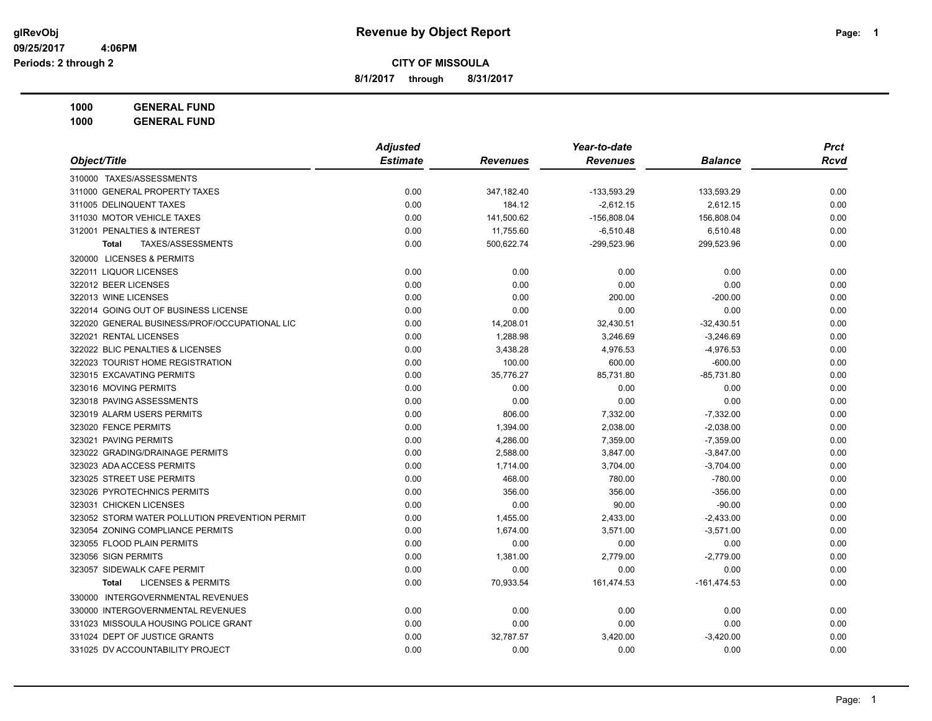**Periods: 2 through 2**

# **CITY OF MISSOULA**

**8/1/2017 through 8/31/2017**

**1000 GENERAL FUND**

 **4:06PM**

| Object/Title                                   | <b>Adjusted</b> |                 | Year-to-date    |                |             |
|------------------------------------------------|-----------------|-----------------|-----------------|----------------|-------------|
|                                                | <b>Estimate</b> | <b>Revenues</b> | <b>Revenues</b> | <b>Balance</b> | <b>Rcvd</b> |
| 310000 TAXES/ASSESSMENTS                       |                 |                 |                 |                |             |
| 311000 GENERAL PROPERTY TAXES                  | 0.00            | 347,182.40      | -133,593.29     | 133,593.29     | 0.00        |
| 311005 DELINQUENT TAXES                        | 0.00            | 184.12          | $-2,612.15$     | 2,612.15       | 0.00        |
| 311030 MOTOR VEHICLE TAXES                     | 0.00            | 141,500.62      | $-156,808.04$   | 156,808.04     | 0.00        |
| 312001 PENALTIES & INTEREST                    | 0.00            | 11,755.60       | $-6,510.48$     | 6,510.48       | 0.00        |
| TAXES/ASSESSMENTS<br>Total                     | 0.00            | 500,622.74      | -299,523.96     | 299,523.96     | 0.00        |
| 320000 LICENSES & PERMITS                      |                 |                 |                 |                |             |
| 322011 LIQUOR LICENSES                         | 0.00            | 0.00            | 0.00            | 0.00           | 0.00        |
| 322012 BEER LICENSES                           | 0.00            | 0.00            | 0.00            | 0.00           | 0.00        |
| 322013 WINE LICENSES                           | 0.00            | 0.00            | 200.00          | $-200.00$      | 0.00        |
| 322014 GOING OUT OF BUSINESS LICENSE           | 0.00            | 0.00            | 0.00            | 0.00           | 0.00        |
| 322020 GENERAL BUSINESS/PROF/OCCUPATIONAL LIC  | 0.00            | 14,208.01       | 32,430.51       | $-32,430.51$   | 0.00        |
| 322021 RENTAL LICENSES                         | 0.00            | 1,288.98        | 3,246.69        | $-3,246.69$    | 0.00        |
| 322022 BLIC PENALTIES & LICENSES               | 0.00            | 3,438.28        | 4,976.53        | $-4,976.53$    | 0.00        |
| 322023 TOURIST HOME REGISTRATION               | 0.00            | 100.00          | 600.00          | $-600.00$      | 0.00        |
| 323015 EXCAVATING PERMITS                      | 0.00            | 35,776.27       | 85,731.80       | -85,731.80     | 0.00        |
| 323016 MOVING PERMITS                          | 0.00            | 0.00            | 0.00            | 0.00           | 0.00        |
| 323018 PAVING ASSESSMENTS                      | 0.00            | 0.00            | 0.00            | 0.00           | 0.00        |
| 323019 ALARM USERS PERMITS                     | 0.00            | 806.00          | 7,332.00        | $-7,332.00$    | 0.00        |
| 323020 FENCE PERMITS                           | 0.00            | 1,394.00        | 2,038.00        | $-2,038.00$    | 0.00        |
| 323021 PAVING PERMITS                          | 0.00            | 4,286.00        | 7,359.00        | $-7,359.00$    | 0.00        |
| 323022 GRADING/DRAINAGE PERMITS                | 0.00            | 2,588.00        | 3,847.00        | $-3,847.00$    | 0.00        |
| 323023 ADA ACCESS PERMITS                      | 0.00            | 1,714.00        | 3,704.00        | $-3,704.00$    | 0.00        |
| 323025 STREET USE PERMITS                      | 0.00            | 468.00          | 780.00          | $-780.00$      | 0.00        |
| 323026 PYROTECHNICS PERMITS                    | 0.00            | 356.00          | 356.00          | $-356.00$      | 0.00        |
| 323031 CHICKEN LICENSES                        | 0.00            | 0.00            | 90.00           | $-90.00$       | 0.00        |
| 323052 STORM WATER POLLUTION PREVENTION PERMIT | 0.00            | 1,455.00        | 2,433.00        | $-2,433.00$    | 0.00        |
| 323054 ZONING COMPLIANCE PERMITS               | 0.00            | 1,674.00        | 3,571.00        | $-3,571.00$    | 0.00        |
| 323055 FLOOD PLAIN PERMITS                     | 0.00            | 0.00            | 0.00            | 0.00           | 0.00        |
| 323056 SIGN PERMITS                            | 0.00            | 1,381.00        | 2,779.00        | $-2,779.00$    | 0.00        |
| 323057 SIDEWALK CAFE PERMIT                    | 0.00            | 0.00            | 0.00            | 0.00           | 0.00        |
| <b>LICENSES &amp; PERMITS</b><br><b>Total</b>  | 0.00            | 70,933.54       | 161,474.53      | $-161,474.53$  | 0.00        |
| 330000 INTERGOVERNMENTAL REVENUES              |                 |                 |                 |                |             |
| 330000 INTERGOVERNMENTAL REVENUES              | 0.00            | 0.00            | 0.00            | 0.00           | 0.00        |
| 331023 MISSOULA HOUSING POLICE GRANT           | 0.00            | 0.00            | 0.00            | 0.00           | 0.00        |
| 331024 DEPT OF JUSTICE GRANTS                  | 0.00            | 32,787.57       | 3,420.00        | $-3,420.00$    | 0.00        |
| 331025 DV ACCOUNTABILITY PROJECT               | 0.00            | 0.00            | 0.00            | 0.00           | 0.00        |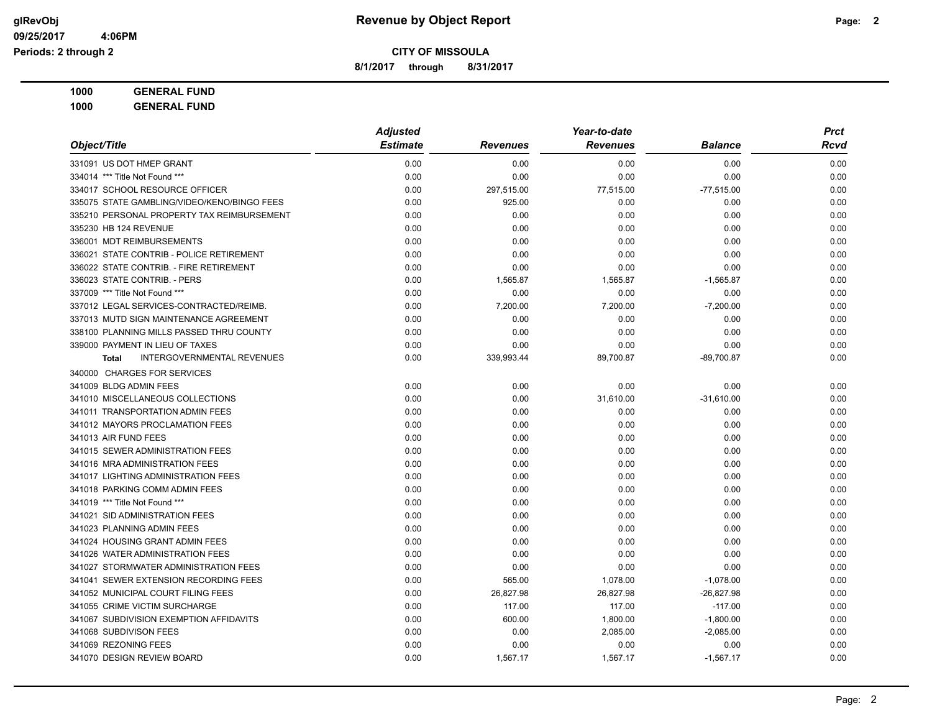**8/1/2017 through 8/31/2017**

**1000 GENERAL FUND**

|                                             | <b>Adjusted</b> |                 | Year-to-date    |                | <b>Prct</b> |
|---------------------------------------------|-----------------|-----------------|-----------------|----------------|-------------|
| Object/Title                                | <b>Estimate</b> | <b>Revenues</b> | <b>Revenues</b> | <b>Balance</b> | <b>Rcvd</b> |
| 331091 US DOT HMEP GRANT                    | 0.00            | 0.00            | 0.00            | 0.00           | 0.00        |
| 334014 *** Title Not Found ***              | 0.00            | 0.00            | 0.00            | 0.00           | 0.00        |
| 334017 SCHOOL RESOURCE OFFICER              | 0.00            | 297,515.00      | 77,515.00       | $-77,515.00$   | 0.00        |
| 335075 STATE GAMBLING/VIDEO/KENO/BINGO FEES | 0.00            | 925.00          | 0.00            | 0.00           | 0.00        |
| 335210 PERSONAL PROPERTY TAX REIMBURSEMENT  | 0.00            | 0.00            | 0.00            | 0.00           | 0.00        |
| 335230 HB 124 REVENUE                       | 0.00            | 0.00            | 0.00            | 0.00           | 0.00        |
| 336001 MDT REIMBURSEMENTS                   | 0.00            | 0.00            | 0.00            | 0.00           | 0.00        |
| 336021 STATE CONTRIB - POLICE RETIREMENT    | 0.00            | 0.00            | 0.00            | 0.00           | 0.00        |
| 336022 STATE CONTRIB. - FIRE RETIREMENT     | 0.00            | 0.00            | 0.00            | 0.00           | 0.00        |
| 336023 STATE CONTRIB. - PERS                | 0.00            | 1,565.87        | 1,565.87        | $-1,565.87$    | 0.00        |
| 337009 *** Title Not Found ***              | 0.00            | 0.00            | 0.00            | 0.00           | 0.00        |
| 337012 LEGAL SERVICES-CONTRACTED/REIMB.     | 0.00            | 7,200.00        | 7,200.00        | $-7,200.00$    | 0.00        |
| 337013 MUTD SIGN MAINTENANCE AGREEMENT      | 0.00            | 0.00            | 0.00            | 0.00           | 0.00        |
| 338100 PLANNING MILLS PASSED THRU COUNTY    | 0.00            | 0.00            | 0.00            | 0.00           | 0.00        |
| 339000 PAYMENT IN LIEU OF TAXES             | 0.00            | 0.00            | 0.00            | 0.00           | 0.00        |
| INTERGOVERNMENTAL REVENUES<br><b>Total</b>  | 0.00            | 339,993.44      | 89,700.87       | $-89,700.87$   | 0.00        |
| 340000 CHARGES FOR SERVICES                 |                 |                 |                 |                |             |
| 341009 BLDG ADMIN FEES                      | 0.00            | 0.00            | 0.00            | 0.00           | 0.00        |
| 341010 MISCELLANEOUS COLLECTIONS            | 0.00            | 0.00            | 31,610.00       | $-31,610.00$   | 0.00        |
| 341011 TRANSPORTATION ADMIN FEES            | 0.00            | 0.00            | 0.00            | 0.00           | 0.00        |
| 341012 MAYORS PROCLAMATION FEES             | 0.00            | 0.00            | 0.00            | 0.00           | 0.00        |
| 341013 AIR FUND FEES                        | 0.00            | 0.00            | 0.00            | 0.00           | 0.00        |
| 341015 SEWER ADMINISTRATION FEES            | 0.00            | 0.00            | 0.00            | 0.00           | 0.00        |
| 341016 MRA ADMINISTRATION FEES              | 0.00            | 0.00            | 0.00            | 0.00           | 0.00        |
| 341017 LIGHTING ADMINISTRATION FEES         | 0.00            | 0.00            | 0.00            | 0.00           | 0.00        |
| 341018 PARKING COMM ADMIN FEES              | 0.00            | 0.00            | 0.00            | 0.00           | 0.00        |
| 341019 *** Title Not Found ***              | 0.00            | 0.00            | 0.00            | 0.00           | 0.00        |
| 341021 SID ADMINISTRATION FEES              | 0.00            | 0.00            | 0.00            | 0.00           | 0.00        |
| 341023 PLANNING ADMIN FEES                  | 0.00            | 0.00            | 0.00            | 0.00           | 0.00        |
| 341024 HOUSING GRANT ADMIN FEES             | 0.00            | 0.00            | 0.00            | 0.00           | 0.00        |
| 341026 WATER ADMINISTRATION FEES            | 0.00            | 0.00            | 0.00            | 0.00           | 0.00        |
| 341027 STORMWATER ADMINISTRATION FEES       | 0.00            | 0.00            | 0.00            | 0.00           | 0.00        |
| 341041 SEWER EXTENSION RECORDING FEES       | 0.00            | 565.00          | 1,078.00        | $-1,078.00$    | 0.00        |
| 341052 MUNICIPAL COURT FILING FEES          | 0.00            | 26,827.98       | 26,827.98       | $-26,827.98$   | 0.00        |
| 341055 CRIME VICTIM SURCHARGE               | 0.00            | 117.00          | 117.00          | $-117.00$      | 0.00        |
| 341067 SUBDIVISION EXEMPTION AFFIDAVITS     | 0.00            | 600.00          | 1,800.00        | $-1,800.00$    | 0.00        |
| 341068 SUBDIVISON FEES                      | 0.00            | 0.00            | 2,085.00        | $-2,085.00$    | 0.00        |
| 341069 REZONING FEES                        | 0.00            | 0.00            | 0.00            | 0.00           | 0.00        |
| 341070 DESIGN REVIEW BOARD                  | 0.00            | 1,567.17        | 1,567.17        | $-1,567.17$    | 0.00        |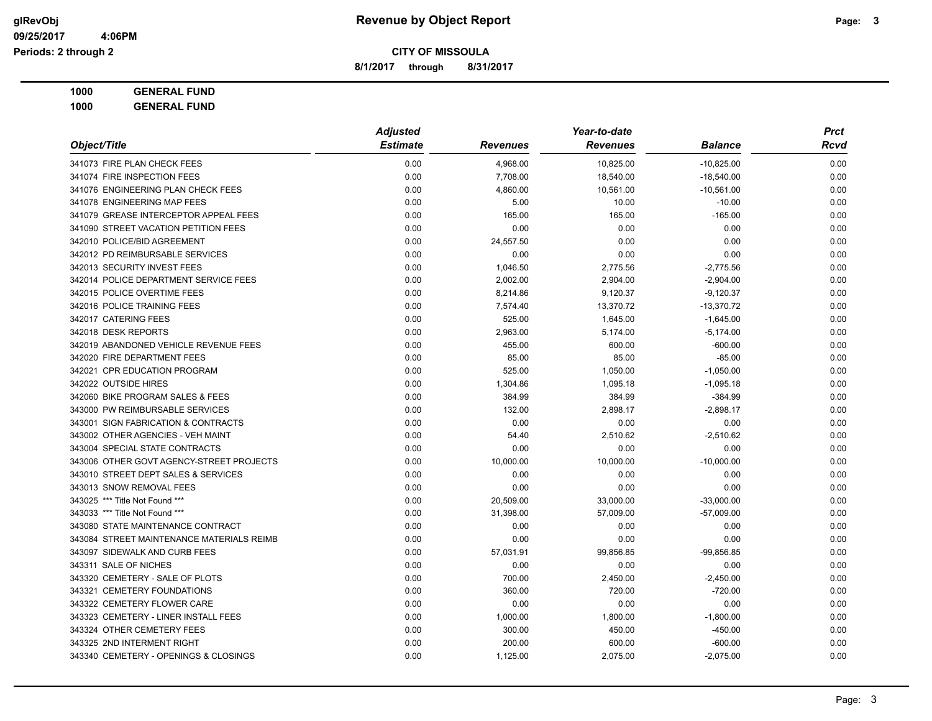**8/1/2017 through 8/31/2017**

**1000 GENERAL FUND**

| Object/Title                              | <b>Adjusted</b> |                 | Year-to-date    |                |      |
|-------------------------------------------|-----------------|-----------------|-----------------|----------------|------|
|                                           | <b>Estimate</b> | <b>Revenues</b> | <b>Revenues</b> | <b>Balance</b> | Rcvd |
| 341073 FIRE PLAN CHECK FEES               | 0.00            | 4,968.00        | 10,825.00       | $-10,825.00$   | 0.00 |
| 341074 FIRE INSPECTION FEES               | 0.00            | 7,708.00        | 18,540.00       | $-18,540.00$   | 0.00 |
| 341076 ENGINEERING PLAN CHECK FEES        | 0.00            | 4,860.00        | 10,561.00       | $-10,561.00$   | 0.00 |
| 341078 ENGINEERING MAP FEES               | 0.00            | 5.00            | 10.00           | $-10.00$       | 0.00 |
| 341079 GREASE INTERCEPTOR APPEAL FEES     | 0.00            | 165.00          | 165.00          | $-165.00$      | 0.00 |
| 341090 STREET VACATION PETITION FEES      | 0.00            | 0.00            | 0.00            | 0.00           | 0.00 |
| 342010 POLICE/BID AGREEMENT               | 0.00            | 24,557.50       | 0.00            | 0.00           | 0.00 |
| 342012 PD REIMBURSABLE SERVICES           | 0.00            | 0.00            | 0.00            | 0.00           | 0.00 |
| 342013 SECURITY INVEST FEES               | 0.00            | 1,046.50        | 2,775.56        | $-2,775.56$    | 0.00 |
| 342014 POLICE DEPARTMENT SERVICE FEES     | 0.00            | 2,002.00        | 2,904.00        | $-2,904.00$    | 0.00 |
| 342015 POLICE OVERTIME FEES               | 0.00            | 8,214.86        | 9,120.37        | $-9,120.37$    | 0.00 |
| 342016 POLICE TRAINING FEES               | 0.00            | 7,574.40        | 13,370.72       | $-13,370.72$   | 0.00 |
| 342017 CATERING FEES                      | 0.00            | 525.00          | 1,645.00        | $-1,645.00$    | 0.00 |
| 342018 DESK REPORTS                       | 0.00            | 2,963.00        | 5,174.00        | $-5,174.00$    | 0.00 |
| 342019 ABANDONED VEHICLE REVENUE FEES     | 0.00            | 455.00          | 600.00          | $-600.00$      | 0.00 |
| 342020 FIRE DEPARTMENT FEES               | 0.00            | 85.00           | 85.00           | $-85.00$       | 0.00 |
| 342021 CPR EDUCATION PROGRAM              | 0.00            | 525.00          | 1,050.00        | $-1,050.00$    | 0.00 |
| 342022 OUTSIDE HIRES                      | 0.00            | 1,304.86        | 1,095.18        | $-1,095.18$    | 0.00 |
| 342060 BIKE PROGRAM SALES & FEES          | 0.00            | 384.99          | 384.99          | $-384.99$      | 0.00 |
| 343000 PW REIMBURSABLE SERVICES           | 0.00            | 132.00          | 2,898.17        | $-2,898.17$    | 0.00 |
| 343001 SIGN FABRICATION & CONTRACTS       | 0.00            | 0.00            | 0.00            | 0.00           | 0.00 |
| 343002 OTHER AGENCIES - VEH MAINT         | 0.00            | 54.40           | 2,510.62        | $-2,510.62$    | 0.00 |
| 343004 SPECIAL STATE CONTRACTS            | 0.00            | 0.00            | 0.00            | 0.00           | 0.00 |
| 343006 OTHER GOVT AGENCY-STREET PROJECTS  | 0.00            | 10,000.00       | 10,000.00       | $-10,000.00$   | 0.00 |
| 343010 STREET DEPT SALES & SERVICES       | 0.00            | 0.00            | 0.00            | 0.00           | 0.00 |
| 343013 SNOW REMOVAL FEES                  | 0.00            | 0.00            | 0.00            | 0.00           | 0.00 |
| 343025 *** Title Not Found ***            | 0.00            | 20,509.00       | 33,000.00       | $-33,000.00$   | 0.00 |
| 343033 *** Title Not Found ***            | 0.00            | 31,398.00       | 57,009.00       | $-57,009.00$   | 0.00 |
| 343080 STATE MAINTENANCE CONTRACT         | 0.00            | 0.00            | 0.00            | 0.00           | 0.00 |
| 343084 STREET MAINTENANCE MATERIALS REIMB | 0.00            | 0.00            | 0.00            | 0.00           | 0.00 |
| 343097 SIDEWALK AND CURB FEES             | 0.00            | 57,031.91       | 99,856.85       | $-99,856.85$   | 0.00 |
| 343311 SALE OF NICHES                     | 0.00            | 0.00            | 0.00            | 0.00           | 0.00 |
| 343320 CEMETERY - SALE OF PLOTS           | 0.00            | 700.00          | 2,450.00        | $-2,450.00$    | 0.00 |
| 343321 CEMETERY FOUNDATIONS               | 0.00            | 360.00          | 720.00          | $-720.00$      | 0.00 |
| 343322 CEMETERY FLOWER CARE               | 0.00            | 0.00            | 0.00            | 0.00           | 0.00 |
| 343323 CEMETERY - LINER INSTALL FEES      | 0.00            | 1,000.00        | 1,800.00        | $-1,800.00$    | 0.00 |
| 343324 OTHER CEMETERY FEES                | 0.00            | 300.00          | 450.00          | $-450.00$      | 0.00 |
| 343325 2ND INTERMENT RIGHT                | 0.00            | 200.00          | 600.00          | $-600.00$      | 0.00 |
| 343340 CEMETERY - OPENINGS & CLOSINGS     | 0.00            | 1,125.00        | 2,075.00        | $-2,075.00$    | 0.00 |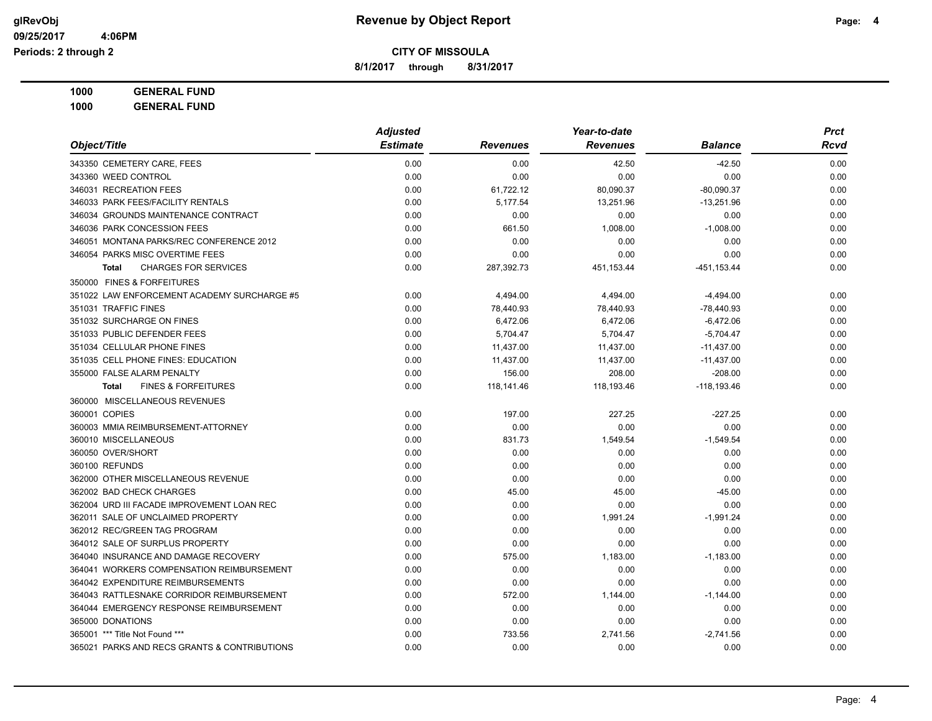**8/1/2017 through 8/31/2017**

## **1000 GENERAL FUND**

|                                                | <b>Adjusted</b> |                 | Year-to-date    |                | <b>Prct</b> |
|------------------------------------------------|-----------------|-----------------|-----------------|----------------|-------------|
| Object/Title                                   | <b>Estimate</b> | <b>Revenues</b> | <b>Revenues</b> | <b>Balance</b> | <b>Rcvd</b> |
| 343350 CEMETERY CARE, FEES                     | 0.00            | 0.00            | 42.50           | $-42.50$       | 0.00        |
| 343360 WEED CONTROL                            | 0.00            | 0.00            | 0.00            | 0.00           | 0.00        |
| 346031 RECREATION FEES                         | 0.00            | 61,722.12       | 80,090.37       | $-80,090.37$   | 0.00        |
| 346033 PARK FEES/FACILITY RENTALS              | 0.00            | 5,177.54        | 13,251.96       | $-13,251.96$   | 0.00        |
| 346034 GROUNDS MAINTENANCE CONTRACT            | 0.00            | 0.00            | 0.00            | 0.00           | 0.00        |
| 346036 PARK CONCESSION FEES                    | 0.00            | 661.50          | 1,008.00        | $-1,008.00$    | 0.00        |
| 346051 MONTANA PARKS/REC CONFERENCE 2012       | 0.00            | 0.00            | 0.00            | 0.00           | 0.00        |
| 346054 PARKS MISC OVERTIME FEES                | 0.00            | 0.00            | 0.00            | 0.00           | 0.00        |
| <b>CHARGES FOR SERVICES</b><br>Total           | 0.00            | 287,392.73      | 451,153.44      | $-451, 153.44$ | 0.00        |
| 350000 FINES & FORFEITURES                     |                 |                 |                 |                |             |
| 351022 LAW ENFORCEMENT ACADEMY SURCHARGE #5    | 0.00            | 4,494.00        | 4,494.00        | $-4,494.00$    | 0.00        |
| 351031 TRAFFIC FINES                           | 0.00            | 78,440.93       | 78,440.93       | $-78,440.93$   | 0.00        |
| 351032 SURCHARGE ON FINES                      | 0.00            | 6,472.06        | 6,472.06        | $-6,472.06$    | 0.00        |
| 351033 PUBLIC DEFENDER FEES                    | 0.00            | 5,704.47        | 5,704.47        | $-5,704.47$    | 0.00        |
| 351034 CELLULAR PHONE FINES                    | 0.00            | 11,437.00       | 11,437.00       | $-11,437.00$   | 0.00        |
| 351035 CELL PHONE FINES: EDUCATION             | 0.00            | 11,437.00       | 11,437.00       | $-11,437.00$   | 0.00        |
| 355000 FALSE ALARM PENALTY                     | 0.00            | 156.00          | 208.00          | $-208.00$      | 0.00        |
| <b>FINES &amp; FORFEITURES</b><br><b>Total</b> | 0.00            | 118,141.46      | 118,193.46      | $-118, 193.46$ | 0.00        |
| 360000 MISCELLANEOUS REVENUES                  |                 |                 |                 |                |             |
| 360001 COPIES                                  | 0.00            | 197.00          | 227.25          | $-227.25$      | 0.00        |
| 360003 MMIA REIMBURSEMENT-ATTORNEY             | 0.00            | 0.00            | 0.00            | 0.00           | 0.00        |
| 360010 MISCELLANEOUS                           | 0.00            | 831.73          | 1,549.54        | $-1,549.54$    | 0.00        |
| 360050 OVER/SHORT                              | 0.00            | 0.00            | 0.00            | 0.00           | 0.00        |
| 360100 REFUNDS                                 | 0.00            | 0.00            | 0.00            | 0.00           | 0.00        |
| 362000 OTHER MISCELLANEOUS REVENUE             | 0.00            | 0.00            | 0.00            | 0.00           | 0.00        |
| 362002 BAD CHECK CHARGES                       | 0.00            | 45.00           | 45.00           | $-45.00$       | 0.00        |
| 362004 URD III FACADE IMPROVEMENT LOAN REC     | 0.00            | 0.00            | 0.00            | 0.00           | 0.00        |
| 362011 SALE OF UNCLAIMED PROPERTY              | 0.00            | 0.00            | 1,991.24        | $-1,991.24$    | 0.00        |
| 362012 REC/GREEN TAG PROGRAM                   | 0.00            | 0.00            | 0.00            | 0.00           | 0.00        |
| 364012 SALE OF SURPLUS PROPERTY                | 0.00            | 0.00            | 0.00            | 0.00           | 0.00        |
| 364040 INSURANCE AND DAMAGE RECOVERY           | 0.00            | 575.00          | 1,183.00        | $-1,183.00$    | 0.00        |
| 364041 WORKERS COMPENSATION REIMBURSEMENT      | 0.00            | 0.00            | 0.00            | 0.00           | 0.00        |
| 364042 EXPENDITURE REIMBURSEMENTS              | 0.00            | 0.00            | 0.00            | 0.00           | 0.00        |
| 364043 RATTLESNAKE CORRIDOR REIMBURSEMENT      | 0.00            | 572.00          | 1,144.00        | $-1,144.00$    | 0.00        |
| 364044 EMERGENCY RESPONSE REIMBURSEMENT        | 0.00            | 0.00            | 0.00            | 0.00           | 0.00        |
| 365000 DONATIONS                               | 0.00            | 0.00            | 0.00            | 0.00           | 0.00        |
| 365001 *** Title Not Found ***                 | 0.00            | 733.56          | 2,741.56        | $-2,741.56$    | 0.00        |
| 365021 PARKS AND RECS GRANTS & CONTRIBUTIONS   | 0.00            | 0.00            | 0.00            | 0.00           | 0.00        |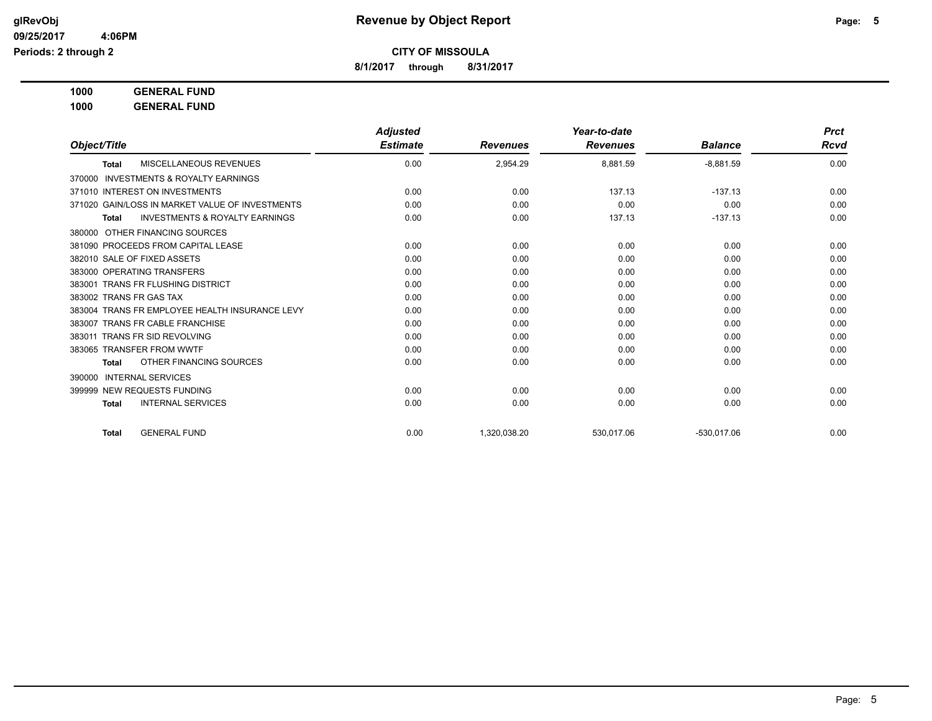**8/1/2017 through 8/31/2017**

**1000 GENERAL FUND**

|                                                     | <b>Adjusted</b> |                 | Year-to-date    |                | <b>Prct</b> |
|-----------------------------------------------------|-----------------|-----------------|-----------------|----------------|-------------|
| Object/Title                                        | <b>Estimate</b> | <b>Revenues</b> | <b>Revenues</b> | <b>Balance</b> | Rcvd        |
| <b>MISCELLANEOUS REVENUES</b><br><b>Total</b>       | 0.00            | 2,954.29        | 8,881.59        | $-8.881.59$    | 0.00        |
| <b>INVESTMENTS &amp; ROYALTY EARNINGS</b><br>370000 |                 |                 |                 |                |             |
| 371010 INTEREST ON INVESTMENTS                      | 0.00            | 0.00            | 137.13          | $-137.13$      | 0.00        |
| 371020 GAIN/LOSS IN MARKET VALUE OF INVESTMENTS     | 0.00            | 0.00            | 0.00            | 0.00           | 0.00        |
| <b>INVESTMENTS &amp; ROYALTY EARNINGS</b><br>Total  | 0.00            | 0.00            | 137.13          | $-137.13$      | 0.00        |
| OTHER FINANCING SOURCES<br>380000                   |                 |                 |                 |                |             |
| 381090 PROCEEDS FROM CAPITAL LEASE                  | 0.00            | 0.00            | 0.00            | 0.00           | 0.00        |
| 382010 SALE OF FIXED ASSETS                         | 0.00            | 0.00            | 0.00            | 0.00           | 0.00        |
| 383000 OPERATING TRANSFERS                          | 0.00            | 0.00            | 0.00            | 0.00           | 0.00        |
| 383001 TRANS FR FLUSHING DISTRICT                   | 0.00            | 0.00            | 0.00            | 0.00           | 0.00        |
| 383002 TRANS FR GAS TAX                             | 0.00            | 0.00            | 0.00            | 0.00           | 0.00        |
| 383004 TRANS FR EMPLOYEE HEALTH INSURANCE LEVY      | 0.00            | 0.00            | 0.00            | 0.00           | 0.00        |
| 383007 TRANS FR CABLE FRANCHISE                     | 0.00            | 0.00            | 0.00            | 0.00           | 0.00        |
| 383011 TRANS FR SID REVOLVING                       | 0.00            | 0.00            | 0.00            | 0.00           | 0.00        |
| 383065 TRANSFER FROM WWTF                           | 0.00            | 0.00            | 0.00            | 0.00           | 0.00        |
| OTHER FINANCING SOURCES<br><b>Total</b>             | 0.00            | 0.00            | 0.00            | 0.00           | 0.00        |
| <b>INTERNAL SERVICES</b><br>390000                  |                 |                 |                 |                |             |
| 399999 NEW REQUESTS FUNDING                         | 0.00            | 0.00            | 0.00            | 0.00           | 0.00        |
| <b>INTERNAL SERVICES</b><br><b>Total</b>            | 0.00            | 0.00            | 0.00            | 0.00           | 0.00        |
| <b>GENERAL FUND</b><br>Total                        | 0.00            | 1,320,038.20    | 530,017.06      | $-530,017.06$  | 0.00        |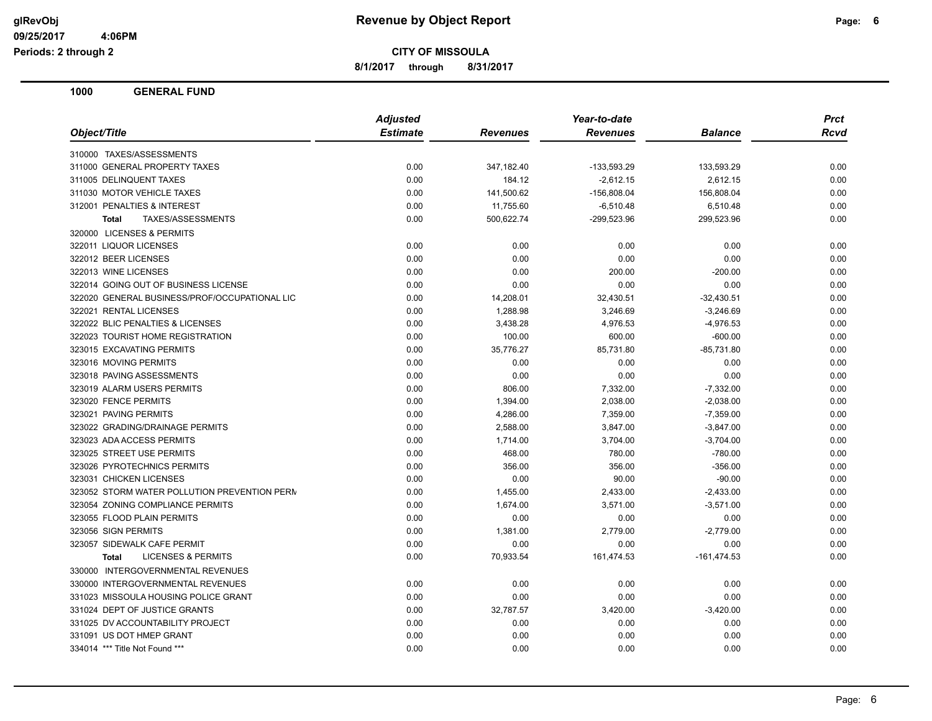**8/1/2017 through 8/31/2017**

| Object/Title                                  | <b>Adjusted</b> |            | Year-to-date    | <b>Prct</b>    |             |
|-----------------------------------------------|-----------------|------------|-----------------|----------------|-------------|
|                                               | <b>Estimate</b> | Revenues   | <b>Revenues</b> | <b>Balance</b> | <b>Rcvd</b> |
| 310000 TAXES/ASSESSMENTS                      |                 |            |                 |                |             |
| 311000 GENERAL PROPERTY TAXES                 | 0.00            | 347,182.40 | -133,593.29     | 133,593.29     | 0.00        |
| 311005 DELINQUENT TAXES                       | 0.00            | 184.12     | $-2.612.15$     | 2.612.15       | 0.00        |
| 311030 MOTOR VEHICLE TAXES                    | 0.00            | 141,500.62 | $-156,808.04$   | 156,808.04     | 0.00        |
| 312001 PENALTIES & INTEREST                   | 0.00            | 11,755.60  | $-6,510.48$     | 6,510.48       | 0.00        |
| TAXES/ASSESSMENTS<br><b>Total</b>             | 0.00            | 500,622.74 | $-299,523.96$   | 299,523.96     | 0.00        |
| 320000 LICENSES & PERMITS                     |                 |            |                 |                |             |
| 322011 LIQUOR LICENSES                        | 0.00            | 0.00       | 0.00            | 0.00           | 0.00        |
| 322012 BEER LICENSES                          | 0.00            | 0.00       | 0.00            | 0.00           | 0.00        |
| 322013 WINE LICENSES                          | 0.00            | 0.00       | 200.00          | $-200.00$      | 0.00        |
| 322014 GOING OUT OF BUSINESS LICENSE          | 0.00            | 0.00       | 0.00            | 0.00           | 0.00        |
| 322020 GENERAL BUSINESS/PROF/OCCUPATIONAL LIC | 0.00            | 14,208.01  | 32,430.51       | $-32,430.51$   | 0.00        |
| 322021 RENTAL LICENSES                        | 0.00            | 1,288.98   | 3,246.69        | $-3,246.69$    | 0.00        |
| 322022 BLIC PENALTIES & LICENSES              | 0.00            | 3,438.28   | 4,976.53        | $-4,976.53$    | 0.00        |
| 322023 TOURIST HOME REGISTRATION              | 0.00            | 100.00     | 600.00          | $-600.00$      | 0.00        |
| 323015 EXCAVATING PERMITS                     | 0.00            | 35,776.27  | 85,731.80       | -85,731.80     | 0.00        |
| 323016 MOVING PERMITS                         | 0.00            | 0.00       | 0.00            | 0.00           | 0.00        |
| 323018 PAVING ASSESSMENTS                     | 0.00            | 0.00       | 0.00            | 0.00           | 0.00        |
| 323019 ALARM USERS PERMITS                    | 0.00            | 806.00     | 7,332.00        | $-7,332.00$    | 0.00        |
| 323020 FENCE PERMITS                          | 0.00            | 1,394.00   | 2,038.00        | $-2,038.00$    | 0.00        |
| 323021 PAVING PERMITS                         | 0.00            | 4,286.00   | 7,359.00        | $-7,359.00$    | 0.00        |
| 323022 GRADING/DRAINAGE PERMITS               | 0.00            | 2,588.00   | 3,847.00        | $-3,847.00$    | 0.00        |
| 323023 ADA ACCESS PERMITS                     | 0.00            | 1,714.00   | 3,704.00        | $-3,704.00$    | 0.00        |
| 323025 STREET USE PERMITS                     | 0.00            | 468.00     | 780.00          | $-780.00$      | 0.00        |
| 323026 PYROTECHNICS PERMITS                   | 0.00            | 356.00     | 356.00          | $-356.00$      | 0.00        |
| 323031 CHICKEN LICENSES                       | 0.00            | 0.00       | 90.00           | $-90.00$       | 0.00        |
| 323052 STORM WATER POLLUTION PREVENTION PERM  | 0.00            | 1,455.00   | 2,433.00        | $-2,433.00$    | 0.00        |
| 323054 ZONING COMPLIANCE PERMITS              | 0.00            | 1,674.00   | 3,571.00        | $-3,571.00$    | 0.00        |
| 323055 FLOOD PLAIN PERMITS                    | 0.00            | 0.00       | 0.00            | 0.00           | 0.00        |
| 323056 SIGN PERMITS                           | 0.00            | 1,381.00   | 2,779.00        | $-2,779.00$    | 0.00        |
| 323057 SIDEWALK CAFE PERMIT                   | 0.00            | 0.00       | 0.00            | 0.00           | 0.00        |
| <b>LICENSES &amp; PERMITS</b><br><b>Total</b> | 0.00            | 70,933.54  | 161,474.53      | $-161,474.53$  | 0.00        |
| 330000 INTERGOVERNMENTAL REVENUES             |                 |            |                 |                |             |
| 330000 INTERGOVERNMENTAL REVENUES             | 0.00            | 0.00       | 0.00            | 0.00           | 0.00        |
| 331023 MISSOULA HOUSING POLICE GRANT          | 0.00            | 0.00       | 0.00            | 0.00           | 0.00        |
| 331024 DEPT OF JUSTICE GRANTS                 | 0.00            | 32,787.57  | 3,420.00        | $-3,420.00$    | 0.00        |
| 331025 DV ACCOUNTABILITY PROJECT              | 0.00            | 0.00       | 0.00            | 0.00           | 0.00        |
| 331091 US DOT HMEP GRANT                      | 0.00            | 0.00       | 0.00            | 0.00           | 0.00        |
| 334014 *** Title Not Found ***                | 0.00            | 0.00       | 0.00            | 0.00           | 0.00        |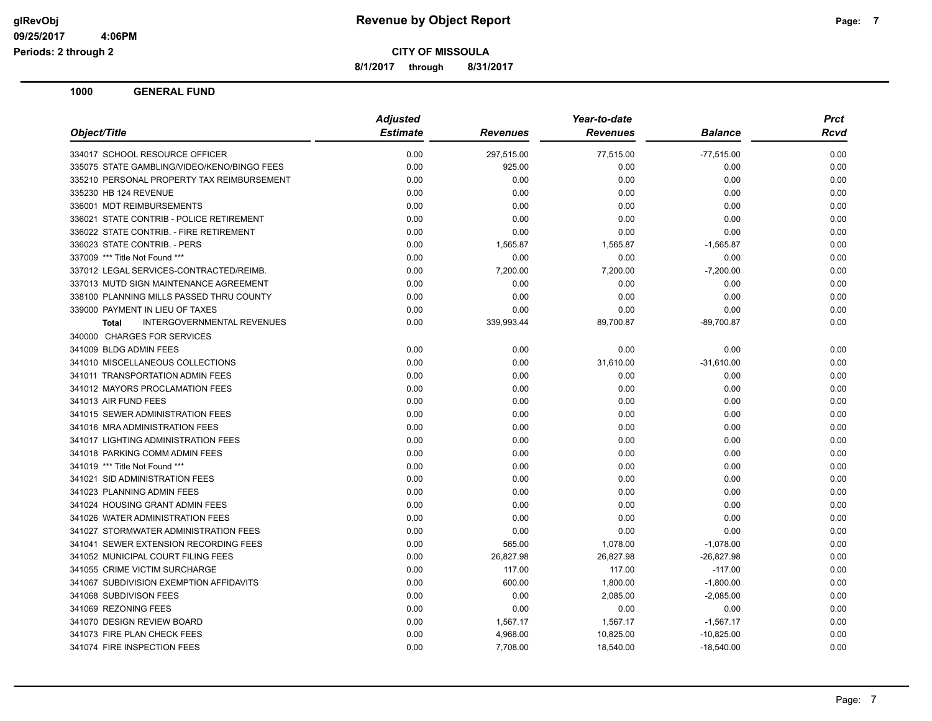**Periods: 2 through 2**

**CITY OF MISSOULA**

**8/1/2017 through 8/31/2017**

# **1000 GENERAL FUND**

 **4:06PM**

| Object/Title                                | <b>Adjusted</b> | Year-to-date    |                 |                | <b>Prct</b> |
|---------------------------------------------|-----------------|-----------------|-----------------|----------------|-------------|
|                                             | <b>Estimate</b> | <b>Revenues</b> | <b>Revenues</b> | <b>Balance</b> | <b>Rcvd</b> |
| 334017 SCHOOL RESOURCE OFFICER              | 0.00            | 297,515.00      | 77,515.00       | $-77,515.00$   | 0.00        |
| 335075 STATE GAMBLING/VIDEO/KENO/BINGO FEES | 0.00            | 925.00          | 0.00            | 0.00           | 0.00        |
| 335210 PERSONAL PROPERTY TAX REIMBURSEMENT  | 0.00            | 0.00            | 0.00            | 0.00           | 0.00        |
| 335230 HB 124 REVENUE                       | 0.00            | 0.00            | 0.00            | 0.00           | 0.00        |
| 336001 MDT REIMBURSEMENTS                   | 0.00            | 0.00            | 0.00            | 0.00           | 0.00        |
| 336021 STATE CONTRIB - POLICE RETIREMENT    | 0.00            | 0.00            | 0.00            | 0.00           | 0.00        |
| 336022 STATE CONTRIB. - FIRE RETIREMENT     | 0.00            | 0.00            | 0.00            | 0.00           | 0.00        |
| 336023 STATE CONTRIB. - PERS                | 0.00            | 1,565.87        | 1,565.87        | $-1,565.87$    | 0.00        |
| 337009 *** Title Not Found ***              | 0.00            | 0.00            | 0.00            | 0.00           | 0.00        |
| 337012 LEGAL SERVICES-CONTRACTED/REIMB.     | 0.00            | 7,200.00        | 7,200.00        | $-7,200.00$    | 0.00        |
| 337013 MUTD SIGN MAINTENANCE AGREEMENT      | 0.00            | 0.00            | 0.00            | 0.00           | 0.00        |
| 338100 PLANNING MILLS PASSED THRU COUNTY    | 0.00            | 0.00            | 0.00            | 0.00           | 0.00        |
| 339000 PAYMENT IN LIEU OF TAXES             | 0.00            | 0.00            | 0.00            | 0.00           | 0.00        |
| INTERGOVERNMENTAL REVENUES<br><b>Total</b>  | 0.00            | 339,993.44      | 89,700.87       | $-89,700.87$   | 0.00        |
| 340000 CHARGES FOR SERVICES                 |                 |                 |                 |                |             |
| 341009 BLDG ADMIN FEES                      | 0.00            | 0.00            | 0.00            | 0.00           | 0.00        |
| 341010 MISCELLANEOUS COLLECTIONS            | 0.00            | 0.00            | 31,610.00       | $-31,610.00$   | 0.00        |
| 341011 TRANSPORTATION ADMIN FEES            | 0.00            | 0.00            | 0.00            | 0.00           | 0.00        |
| 341012 MAYORS PROCLAMATION FEES             | 0.00            | 0.00            | 0.00            | 0.00           | 0.00        |
| 341013 AIR FUND FEES                        | 0.00            | 0.00            | 0.00            | 0.00           | 0.00        |
| 341015 SEWER ADMINISTRATION FEES            | 0.00            | 0.00            | 0.00            | 0.00           | 0.00        |
| 341016 MRA ADMINISTRATION FEES              | 0.00            | 0.00            | 0.00            | 0.00           | 0.00        |
| 341017 LIGHTING ADMINISTRATION FEES         | 0.00            | 0.00            | 0.00            | 0.00           | 0.00        |
| 341018 PARKING COMM ADMIN FEES              | 0.00            | 0.00            | 0.00            | 0.00           | 0.00        |
| 341019 *** Title Not Found ***              | 0.00            | 0.00            | 0.00            | 0.00           | 0.00        |
| 341021 SID ADMINISTRATION FEES              | 0.00            | 0.00            | 0.00            | 0.00           | 0.00        |
| 341023 PLANNING ADMIN FEES                  | 0.00            | 0.00            | 0.00            | 0.00           | 0.00        |
| 341024 HOUSING GRANT ADMIN FEES             | 0.00            | 0.00            | 0.00            | 0.00           | 0.00        |
| 341026 WATER ADMINISTRATION FEES            | 0.00            | 0.00            | 0.00            | 0.00           | 0.00        |
| 341027 STORMWATER ADMINISTRATION FEES       | 0.00            | 0.00            | 0.00            | 0.00           | 0.00        |
| 341041 SEWER EXTENSION RECORDING FEES       | 0.00            | 565.00          | 1,078.00        | $-1,078.00$    | 0.00        |
| 341052 MUNICIPAL COURT FILING FEES          | 0.00            | 26,827.98       | 26,827.98       | $-26,827.98$   | 0.00        |
| 341055 CRIME VICTIM SURCHARGE               | 0.00            | 117.00          | 117.00          | $-117.00$      | 0.00        |
| 341067 SUBDIVISION EXEMPTION AFFIDAVITS     | 0.00            | 600.00          | 1,800.00        | $-1,800.00$    | 0.00        |
| 341068 SUBDIVISON FEES                      | 0.00            | 0.00            | 2,085.00        | $-2,085.00$    | 0.00        |
| 341069 REZONING FEES                        | 0.00            | 0.00            | 0.00            | 0.00           | 0.00        |
| 341070 DESIGN REVIEW BOARD                  | 0.00            | 1,567.17        | 1,567.17        | $-1,567.17$    | 0.00        |
| 341073 FIRE PLAN CHECK FEES                 | 0.00            | 4,968.00        | 10,825.00       | $-10,825.00$   | 0.00        |
| 341074 FIRE INSPECTION FEES                 | 0.00            | 7,708.00        | 18.540.00       | $-18,540.00$   | 0.00        |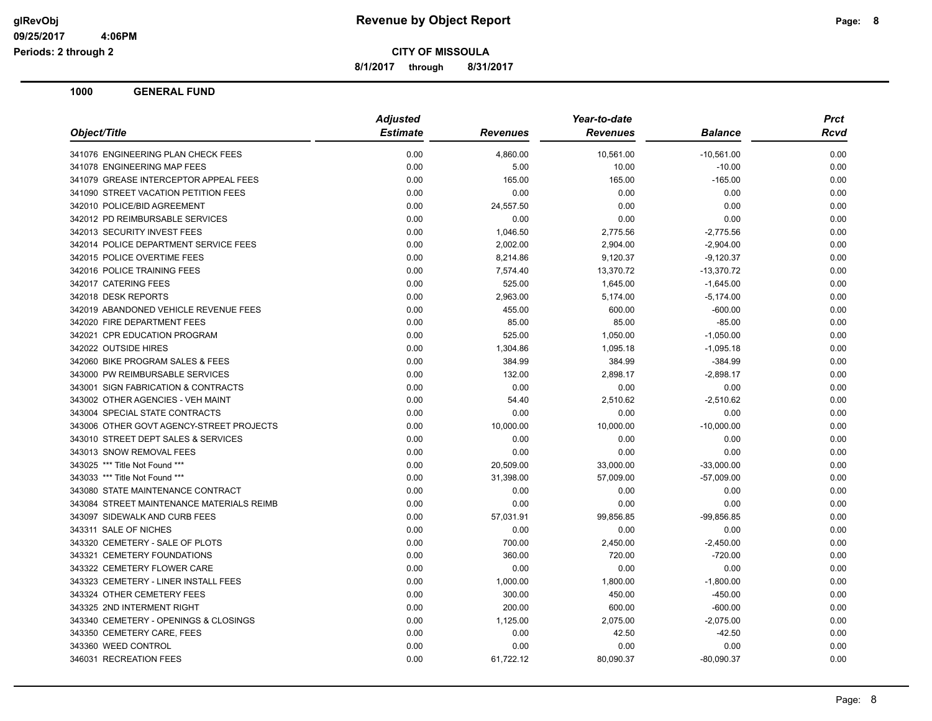**09/25/2017 4:06PM Periods: 2 through 2**

**CITY OF MISSOULA**

**8/1/2017 through 8/31/2017**

| Object/Title                              | <b>Adjusted</b> |                 | Year-to-date    |                | <b>Prct</b> |
|-------------------------------------------|-----------------|-----------------|-----------------|----------------|-------------|
|                                           | <b>Estimate</b> | <b>Revenues</b> | <b>Revenues</b> | <b>Balance</b> | Rcvd        |
| 341076 ENGINEERING PLAN CHECK FEES        | 0.00            | 4,860.00        | 10,561.00       | $-10,561.00$   | 0.00        |
| 341078 ENGINEERING MAP FEES               | 0.00            | 5.00            | 10.00           | $-10.00$       | 0.00        |
| 341079 GREASE INTERCEPTOR APPEAL FEES     | 0.00            | 165.00          | 165.00          | $-165.00$      | 0.00        |
| 341090 STREET VACATION PETITION FEES      | 0.00            | 0.00            | 0.00            | 0.00           | 0.00        |
| 342010 POLICE/BID AGREEMENT               | 0.00            | 24,557.50       | 0.00            | 0.00           | 0.00        |
| 342012 PD REIMBURSABLE SERVICES           | 0.00            | 0.00            | 0.00            | 0.00           | 0.00        |
| 342013 SECURITY INVEST FEES               | 0.00            | 1,046.50        | 2,775.56        | $-2,775.56$    | 0.00        |
| 342014 POLICE DEPARTMENT SERVICE FEES     | 0.00            | 2,002.00        | 2,904.00        | $-2,904.00$    | 0.00        |
| 342015 POLICE OVERTIME FEES               | 0.00            | 8,214.86        | 9,120.37        | $-9,120.37$    | 0.00        |
| 342016 POLICE TRAINING FEES               | 0.00            | 7,574.40        | 13,370.72       | $-13,370.72$   | 0.00        |
| 342017 CATERING FEES                      | 0.00            | 525.00          | 1,645.00        | $-1,645.00$    | 0.00        |
| 342018 DESK REPORTS                       | 0.00            | 2,963.00        | 5,174.00        | $-5,174.00$    | 0.00        |
| 342019 ABANDONED VEHICLE REVENUE FEES     | 0.00            | 455.00          | 600.00          | $-600.00$      | 0.00        |
| 342020 FIRE DEPARTMENT FEES               | 0.00            | 85.00           | 85.00           | $-85.00$       | 0.00        |
| 342021 CPR EDUCATION PROGRAM              | 0.00            | 525.00          | 1,050.00        | $-1,050.00$    | 0.00        |
| 342022 OUTSIDE HIRES                      | 0.00            | 1,304.86        | 1,095.18        | $-1,095.18$    | 0.00        |
| 342060 BIKE PROGRAM SALES & FEES          | 0.00            | 384.99          | 384.99          | $-384.99$      | 0.00        |
| 343000 PW REIMBURSABLE SERVICES           | 0.00            | 132.00          | 2,898.17        | $-2,898.17$    | 0.00        |
| 343001 SIGN FABRICATION & CONTRACTS       | 0.00            | 0.00            | 0.00            | 0.00           | 0.00        |
| 343002 OTHER AGENCIES - VEH MAINT         | 0.00            | 54.40           | 2,510.62        | $-2,510.62$    | 0.00        |
| 343004 SPECIAL STATE CONTRACTS            | 0.00            | 0.00            | 0.00            | 0.00           | 0.00        |
| 343006 OTHER GOVT AGENCY-STREET PROJECTS  | 0.00            | 10,000.00       | 10,000.00       | $-10,000.00$   | 0.00        |
| 343010 STREET DEPT SALES & SERVICES       | 0.00            | 0.00            | 0.00            | 0.00           | 0.00        |
| 343013 SNOW REMOVAL FEES                  | 0.00            | 0.00            | 0.00            | 0.00           | 0.00        |
| 343025 *** Title Not Found ***            | 0.00            | 20,509.00       | 33,000.00       | $-33,000.00$   | 0.00        |
| 343033 *** Title Not Found ***            | 0.00            | 31,398.00       | 57,009.00       | $-57,009.00$   | 0.00        |
| 343080 STATE MAINTENANCE CONTRACT         | 0.00            | 0.00            | 0.00            | 0.00           | 0.00        |
| 343084 STREET MAINTENANCE MATERIALS REIMB | 0.00            | 0.00            | 0.00            | 0.00           | 0.00        |
| 343097 SIDEWALK AND CURB FEES             | 0.00            | 57,031.91       | 99,856.85       | $-99,856.85$   | 0.00        |
| 343311 SALE OF NICHES                     | 0.00            | 0.00            | 0.00            | 0.00           | 0.00        |
| 343320 CEMETERY - SALE OF PLOTS           | 0.00            | 700.00          | 2,450.00        | $-2,450.00$    | 0.00        |
| 343321 CEMETERY FOUNDATIONS               | 0.00            | 360.00          | 720.00          | $-720.00$      | 0.00        |
| 343322 CEMETERY FLOWER CARE               | 0.00            | 0.00            | 0.00            | 0.00           | 0.00        |
| 343323 CEMETERY - LINER INSTALL FEES      | 0.00            | 1,000.00        | 1,800.00        | $-1,800.00$    | 0.00        |
| 343324 OTHER CEMETERY FEES                | 0.00            | 300.00          | 450.00          | $-450.00$      | 0.00        |
| 343325 2ND INTERMENT RIGHT                | 0.00            | 200.00          | 600.00          | $-600.00$      | 0.00        |
| 343340 CEMETERY - OPENINGS & CLOSINGS     | 0.00            | 1,125.00        | 2,075.00        | $-2,075.00$    | 0.00        |
| 343350 CEMETERY CARE, FEES                | 0.00            | 0.00            | 42.50           | $-42.50$       | 0.00        |
| 343360 WEED CONTROL                       | 0.00            | 0.00            | 0.00            | 0.00           | 0.00        |
| 346031 RECREATION FEES                    | 0.00            | 61,722.12       | 80,090.37       | $-80,090.37$   | 0.00        |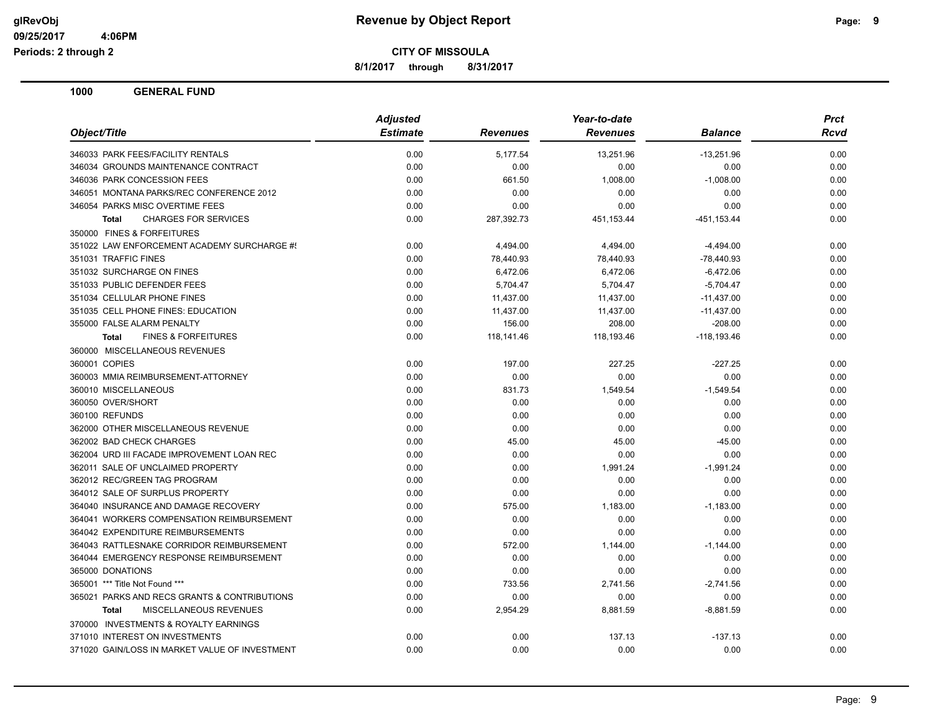**Periods: 2 through 2**

**CITY OF MISSOULA**

**8/1/2017 through 8/31/2017**

#### **1000 GENERAL FUND**

 **4:06PM**

| Object/Title                                   | <b>Adjusted</b><br><b>Estimate</b> | <b>Revenues</b> | Year-to-date<br><b>Revenues</b> | <b>Balance</b> | <b>Prct</b><br><b>Rcvd</b> |
|------------------------------------------------|------------------------------------|-----------------|---------------------------------|----------------|----------------------------|
|                                                |                                    |                 |                                 |                |                            |
| 346033 PARK FEES/FACILITY RENTALS              | 0.00                               | 5,177.54        | 13,251.96                       | $-13,251.96$   | 0.00                       |
| 346034 GROUNDS MAINTENANCE CONTRACT            | 0.00                               | 0.00            | 0.00                            | 0.00           | 0.00                       |
| 346036 PARK CONCESSION FEES                    | 0.00                               | 661.50          | 1,008.00                        | $-1,008.00$    | 0.00                       |
| 346051 MONTANA PARKS/REC CONFERENCE 2012       | 0.00                               | 0.00            | 0.00                            | 0.00           | 0.00                       |
| 346054 PARKS MISC OVERTIME FEES                | 0.00                               | 0.00            | 0.00                            | 0.00           | 0.00                       |
| <b>CHARGES FOR SERVICES</b><br><b>Total</b>    | 0.00                               | 287,392.73      | 451,153.44                      | $-451, 153.44$ | 0.00                       |
| 350000 FINES & FORFEITURES                     |                                    |                 |                                 |                |                            |
| 351022 LAW ENFORCEMENT ACADEMY SURCHARGE #!    | 0.00                               | 4,494.00        | 4,494.00                        | $-4,494.00$    | 0.00                       |
| 351031 TRAFFIC FINES                           | 0.00                               | 78,440.93       | 78,440.93                       | -78,440.93     | 0.00                       |
| 351032 SURCHARGE ON FINES                      | 0.00                               | 6,472.06        | 6,472.06                        | $-6,472.06$    | 0.00                       |
| 351033 PUBLIC DEFENDER FEES                    | 0.00                               | 5,704.47        | 5,704.47                        | $-5,704.47$    | 0.00                       |
| 351034 CELLULAR PHONE FINES                    | 0.00                               | 11,437.00       | 11,437.00                       | $-11,437.00$   | 0.00                       |
| 351035 CELL PHONE FINES: EDUCATION             | 0.00                               | 11,437.00       | 11,437.00                       | $-11,437.00$   | 0.00                       |
| 355000 FALSE ALARM PENALTY                     | 0.00                               | 156.00          | 208.00                          | $-208.00$      | 0.00                       |
| <b>FINES &amp; FORFEITURES</b><br><b>Total</b> | 0.00                               | 118,141.46      | 118,193.46                      | $-118, 193.46$ | 0.00                       |
| 360000 MISCELLANEOUS REVENUES                  |                                    |                 |                                 |                |                            |
| 360001 COPIES                                  | 0.00                               | 197.00          | 227.25                          | $-227.25$      | 0.00                       |
| 360003 MMIA REIMBURSEMENT-ATTORNEY             | 0.00                               | 0.00            | 0.00                            | 0.00           | 0.00                       |
| 360010 MISCELLANEOUS                           | 0.00                               | 831.73          | 1,549.54                        | $-1,549.54$    | 0.00                       |
| 360050 OVER/SHORT                              | 0.00                               | 0.00            | 0.00                            | 0.00           | 0.00                       |
| 360100 REFUNDS                                 | 0.00                               | 0.00            | 0.00                            | 0.00           | 0.00                       |
| 362000 OTHER MISCELLANEOUS REVENUE             | 0.00                               | 0.00            | 0.00                            | 0.00           | 0.00                       |
| 362002 BAD CHECK CHARGES                       | 0.00                               | 45.00           | 45.00                           | $-45.00$       | 0.00                       |
| 362004 URD III FACADE IMPROVEMENT LOAN REC     | 0.00                               | 0.00            | 0.00                            | 0.00           | 0.00                       |
| 362011 SALE OF UNCLAIMED PROPERTY              | 0.00                               | 0.00            | 1,991.24                        | $-1,991.24$    | 0.00                       |
| 362012 REC/GREEN TAG PROGRAM                   | 0.00                               | 0.00            | 0.00                            | 0.00           | 0.00                       |
| 364012 SALE OF SURPLUS PROPERTY                | 0.00                               | 0.00            | 0.00                            | 0.00           | 0.00                       |
| 364040 INSURANCE AND DAMAGE RECOVERY           | 0.00                               | 575.00          | 1,183.00                        | $-1,183.00$    | 0.00                       |
| 364041 WORKERS COMPENSATION REIMBURSEMENT      | 0.00                               | 0.00            | 0.00                            | 0.00           | 0.00                       |
| 364042 EXPENDITURE REIMBURSEMENTS              | 0.00                               | 0.00            | 0.00                            | 0.00           | 0.00                       |
| 364043 RATTLESNAKE CORRIDOR REIMBURSEMENT      | 0.00                               | 572.00          | 1,144.00                        | $-1,144.00$    | 0.00                       |
| 364044 EMERGENCY RESPONSE REIMBURSEMENT        | 0.00                               | 0.00            | 0.00                            | 0.00           | 0.00                       |
| 365000 DONATIONS                               | 0.00                               | 0.00            | 0.00                            | 0.00           | 0.00                       |
| 365001 *** Title Not Found ***                 | 0.00                               | 733.56          | 2,741.56                        | $-2,741.56$    | 0.00                       |
| 365021 PARKS AND RECS GRANTS & CONTRIBUTIONS   | 0.00                               | 0.00            | 0.00                            | 0.00           | 0.00                       |
| MISCELLANEOUS REVENUES<br><b>Total</b>         | 0.00                               | 2,954.29        | 8,881.59                        | $-8,881.59$    | 0.00                       |
| 370000 INVESTMENTS & ROYALTY EARNINGS          |                                    |                 |                                 |                |                            |
| 371010 INTEREST ON INVESTMENTS                 | 0.00                               | 0.00            | 137.13                          | $-137.13$      | 0.00                       |
| 371020 GAIN/LOSS IN MARKET VALUE OF INVESTMENT | 0.00                               | 0.00            | 0.00                            | 0.00           | 0.00                       |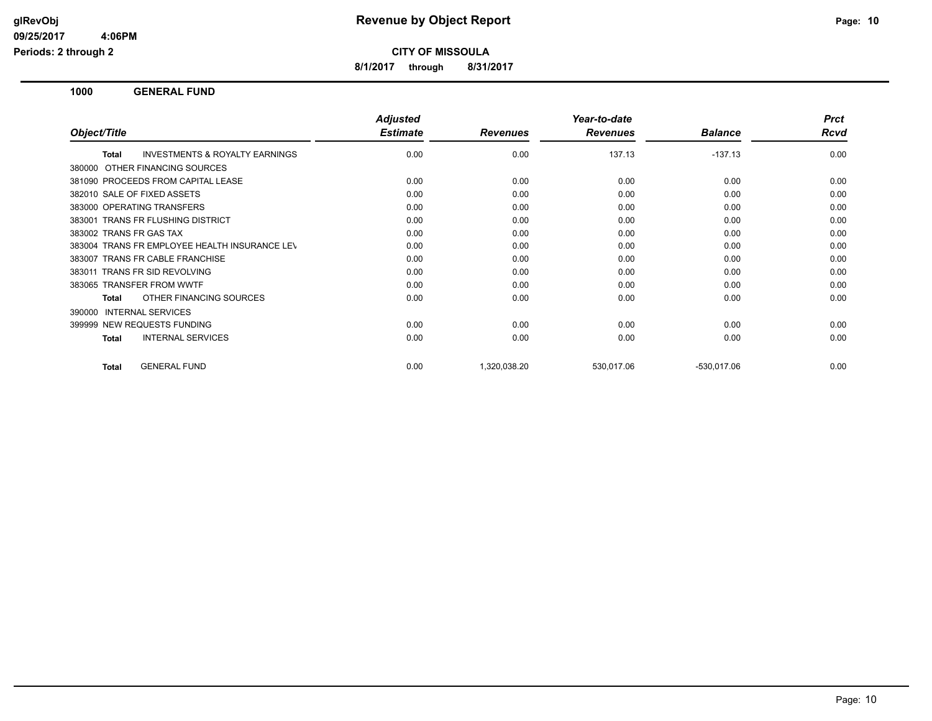**8/1/2017 through 8/31/2017**

| Object/Title                                              | <b>Adjusted</b><br><b>Estimate</b> | <b>Revenues</b> | Year-to-date<br><b>Revenues</b> | <b>Balance</b> | <b>Prct</b><br><b>Rcvd</b> |
|-----------------------------------------------------------|------------------------------------|-----------------|---------------------------------|----------------|----------------------------|
| <b>INVESTMENTS &amp; ROYALTY EARNINGS</b><br><b>Total</b> | 0.00                               | 0.00            | 137.13                          | $-137.13$      | 0.00                       |
| 380000 OTHER FINANCING SOURCES                            |                                    |                 |                                 |                |                            |
| 381090 PROCEEDS FROM CAPITAL LEASE                        | 0.00                               | 0.00            | 0.00                            | 0.00           | 0.00                       |
| 382010 SALE OF FIXED ASSETS                               | 0.00                               | 0.00            | 0.00                            | 0.00           | 0.00                       |
| 383000 OPERATING TRANSFERS                                | 0.00                               | 0.00            | 0.00                            | 0.00           | 0.00                       |
| 383001 TRANS FR FLUSHING DISTRICT                         | 0.00                               | 0.00            | 0.00                            | 0.00           | 0.00                       |
| 383002 TRANS FR GAS TAX                                   | 0.00                               | 0.00            | 0.00                            | 0.00           | 0.00                       |
| 383004 TRANS FR EMPLOYEE HEALTH INSURANCE LEV             | 0.00                               | 0.00            | 0.00                            | 0.00           | 0.00                       |
| 383007 TRANS FR CABLE FRANCHISE                           | 0.00                               | 0.00            | 0.00                            | 0.00           | 0.00                       |
| 383011 TRANS FR SID REVOLVING                             | 0.00                               | 0.00            | 0.00                            | 0.00           | 0.00                       |
| 383065 TRANSFER FROM WWTF                                 | 0.00                               | 0.00            | 0.00                            | 0.00           | 0.00                       |
| OTHER FINANCING SOURCES<br>Total                          | 0.00                               | 0.00            | 0.00                            | 0.00           | 0.00                       |
| <b>INTERNAL SERVICES</b><br>390000                        |                                    |                 |                                 |                |                            |
| 399999 NEW REQUESTS FUNDING                               | 0.00                               | 0.00            | 0.00                            | 0.00           | 0.00                       |
| <b>INTERNAL SERVICES</b><br><b>Total</b>                  | 0.00                               | 0.00            | 0.00                            | 0.00           | 0.00                       |
| <b>GENERAL FUND</b><br>Total                              | 0.00                               | 1,320,038.20    | 530,017.06                      | $-530,017.06$  | 0.00                       |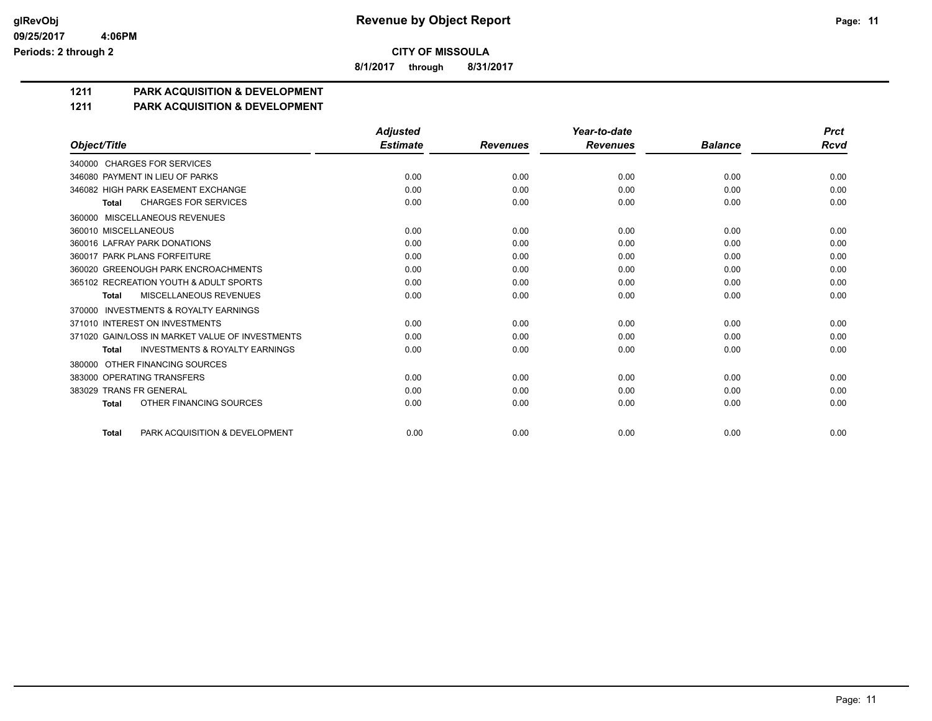**8/1/2017 through 8/31/2017**

# **1211 PARK ACQUISITION & DEVELOPMENT**

#### **1211 PARK ACQUISITION & DEVELOPMENT**

|                                                     | <b>Adjusted</b> |                 | Year-to-date    |                | <b>Prct</b> |
|-----------------------------------------------------|-----------------|-----------------|-----------------|----------------|-------------|
| Object/Title                                        | <b>Estimate</b> | <b>Revenues</b> | <b>Revenues</b> | <b>Balance</b> | Rcvd        |
| 340000 CHARGES FOR SERVICES                         |                 |                 |                 |                |             |
| 346080 PAYMENT IN LIEU OF PARKS                     | 0.00            | 0.00            | 0.00            | 0.00           | 0.00        |
| 346082 HIGH PARK EASEMENT EXCHANGE                  | 0.00            | 0.00            | 0.00            | 0.00           | 0.00        |
| <b>CHARGES FOR SERVICES</b><br><b>Total</b>         | 0.00            | 0.00            | 0.00            | 0.00           | 0.00        |
| 360000 MISCELLANEOUS REVENUES                       |                 |                 |                 |                |             |
| 360010 MISCELLANEOUS                                | 0.00            | 0.00            | 0.00            | 0.00           | 0.00        |
| 360016 LAFRAY PARK DONATIONS                        | 0.00            | 0.00            | 0.00            | 0.00           | 0.00        |
| 360017 PARK PLANS FORFEITURE                        | 0.00            | 0.00            | 0.00            | 0.00           | 0.00        |
| 360020 GREENOUGH PARK ENCROACHMENTS                 | 0.00            | 0.00            | 0.00            | 0.00           | 0.00        |
| 365102 RECREATION YOUTH & ADULT SPORTS              | 0.00            | 0.00            | 0.00            | 0.00           | 0.00        |
| <b>MISCELLANEOUS REVENUES</b><br><b>Total</b>       | 0.00            | 0.00            | 0.00            | 0.00           | 0.00        |
| <b>INVESTMENTS &amp; ROYALTY EARNINGS</b><br>370000 |                 |                 |                 |                |             |
| 371010 INTEREST ON INVESTMENTS                      | 0.00            | 0.00            | 0.00            | 0.00           | 0.00        |
| 371020 GAIN/LOSS IN MARKET VALUE OF INVESTMENTS     | 0.00            | 0.00            | 0.00            | 0.00           | 0.00        |
| <b>INVESTMENTS &amp; ROYALTY EARNINGS</b><br>Total  | 0.00            | 0.00            | 0.00            | 0.00           | 0.00        |
| 380000 OTHER FINANCING SOURCES                      |                 |                 |                 |                |             |
| 383000 OPERATING TRANSFERS                          | 0.00            | 0.00            | 0.00            | 0.00           | 0.00        |
| 383029 TRANS FR GENERAL                             | 0.00            | 0.00            | 0.00            | 0.00           | 0.00        |
| OTHER FINANCING SOURCES<br><b>Total</b>             | 0.00            | 0.00            | 0.00            | 0.00           | 0.00        |
| PARK ACQUISITION & DEVELOPMENT<br>Total             | 0.00            | 0.00            | 0.00            | 0.00           | 0.00        |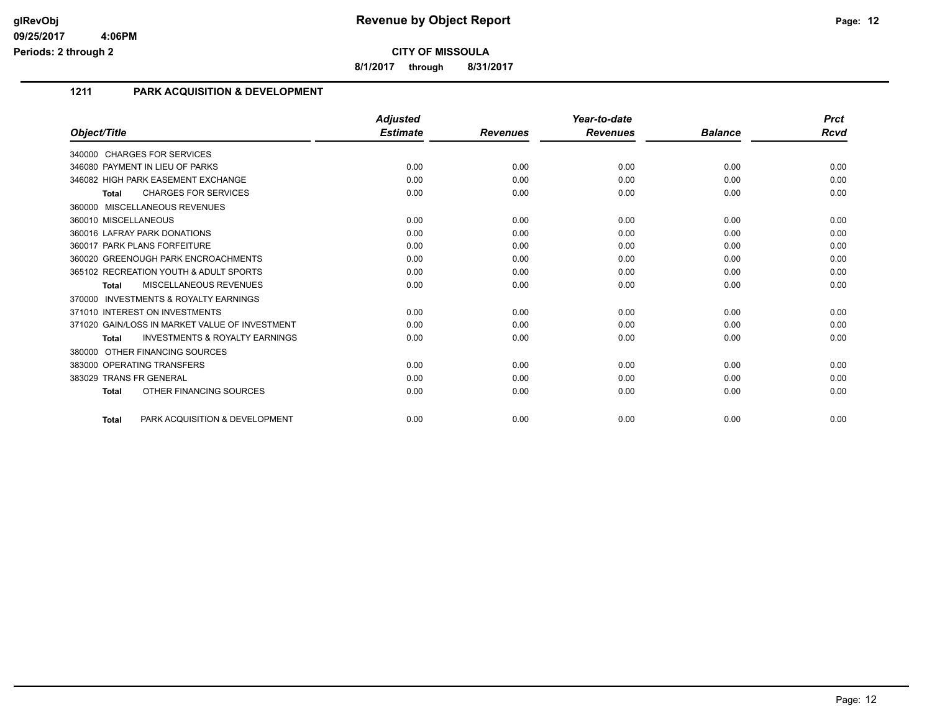**8/1/2017 through 8/31/2017**

## **1211 PARK ACQUISITION & DEVELOPMENT**

|                                                           | <b>Adjusted</b> |                 | Year-to-date    |                | <b>Prct</b> |
|-----------------------------------------------------------|-----------------|-----------------|-----------------|----------------|-------------|
| Object/Title                                              | <b>Estimate</b> | <b>Revenues</b> | <b>Revenues</b> | <b>Balance</b> | Rcvd        |
| 340000 CHARGES FOR SERVICES                               |                 |                 |                 |                |             |
| 346080 PAYMENT IN LIEU OF PARKS                           | 0.00            | 0.00            | 0.00            | 0.00           | 0.00        |
| 346082 HIGH PARK EASEMENT EXCHANGE                        | 0.00            | 0.00            | 0.00            | 0.00           | 0.00        |
| <b>CHARGES FOR SERVICES</b><br><b>Total</b>               | 0.00            | 0.00            | 0.00            | 0.00           | 0.00        |
| 360000 MISCELLANEOUS REVENUES                             |                 |                 |                 |                |             |
| 360010 MISCELLANEOUS                                      | 0.00            | 0.00            | 0.00            | 0.00           | 0.00        |
| 360016 LAFRAY PARK DONATIONS                              | 0.00            | 0.00            | 0.00            | 0.00           | 0.00        |
| 360017 PARK PLANS FORFEITURE                              | 0.00            | 0.00            | 0.00            | 0.00           | 0.00        |
| 360020 GREENOUGH PARK ENCROACHMENTS                       | 0.00            | 0.00            | 0.00            | 0.00           | 0.00        |
| 365102 RECREATION YOUTH & ADULT SPORTS                    | 0.00            | 0.00            | 0.00            | 0.00           | 0.00        |
| <b>MISCELLANEOUS REVENUES</b><br><b>Total</b>             | 0.00            | 0.00            | 0.00            | 0.00           | 0.00        |
| <b>INVESTMENTS &amp; ROYALTY EARNINGS</b><br>370000       |                 |                 |                 |                |             |
| 371010 INTEREST ON INVESTMENTS                            | 0.00            | 0.00            | 0.00            | 0.00           | 0.00        |
| 371020 GAIN/LOSS IN MARKET VALUE OF INVESTMENT            | 0.00            | 0.00            | 0.00            | 0.00           | 0.00        |
| <b>INVESTMENTS &amp; ROYALTY EARNINGS</b><br><b>Total</b> | 0.00            | 0.00            | 0.00            | 0.00           | 0.00        |
| 380000 OTHER FINANCING SOURCES                            |                 |                 |                 |                |             |
| 383000 OPERATING TRANSFERS                                | 0.00            | 0.00            | 0.00            | 0.00           | 0.00        |
| 383029 TRANS FR GENERAL                                   | 0.00            | 0.00            | 0.00            | 0.00           | 0.00        |
| OTHER FINANCING SOURCES<br><b>Total</b>                   | 0.00            | 0.00            | 0.00            | 0.00           | 0.00        |
| PARK ACQUISITION & DEVELOPMENT<br><b>Total</b>            | 0.00            | 0.00            | 0.00            | 0.00           | 0.00        |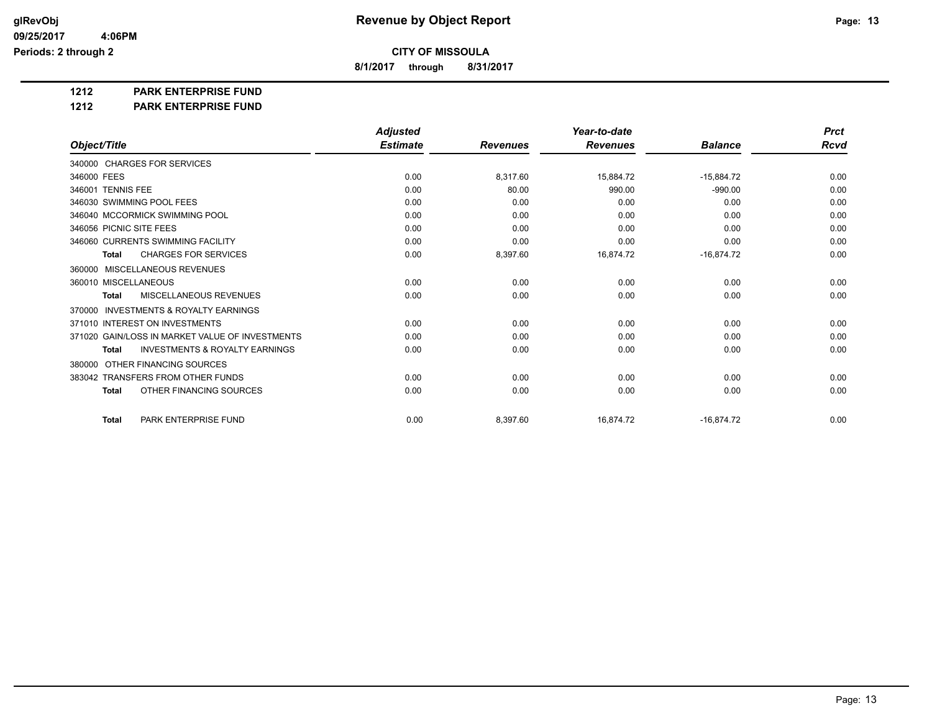**8/1/2017 through 8/31/2017**

**1212 PARK ENTERPRISE FUND**

**1212 PARK ENTERPRISE FUND**

|                                                           | <b>Adjusted</b> |                 | Year-to-date    |                | <b>Prct</b> |
|-----------------------------------------------------------|-----------------|-----------------|-----------------|----------------|-------------|
| Object/Title                                              | <b>Estimate</b> | <b>Revenues</b> | <b>Revenues</b> | <b>Balance</b> | <b>Rcvd</b> |
| 340000 CHARGES FOR SERVICES                               |                 |                 |                 |                |             |
| 346000 FEES                                               | 0.00            | 8,317.60        | 15,884.72       | $-15,884.72$   | 0.00        |
| 346001 TENNIS FEE                                         | 0.00            | 80.00           | 990.00          | $-990.00$      | 0.00        |
| 346030 SWIMMING POOL FEES                                 | 0.00            | 0.00            | 0.00            | 0.00           | 0.00        |
| 346040 MCCORMICK SWIMMING POOL                            | 0.00            | 0.00            | 0.00            | 0.00           | 0.00        |
| 346056 PICNIC SITE FEES                                   | 0.00            | 0.00            | 0.00            | 0.00           | 0.00        |
| 346060 CURRENTS SWIMMING FACILITY                         | 0.00            | 0.00            | 0.00            | 0.00           | 0.00        |
| <b>CHARGES FOR SERVICES</b><br><b>Total</b>               | 0.00            | 8,397.60        | 16,874.72       | $-16,874.72$   | 0.00        |
| MISCELLANEOUS REVENUES<br>360000                          |                 |                 |                 |                |             |
| 360010 MISCELLANEOUS                                      | 0.00            | 0.00            | 0.00            | 0.00           | 0.00        |
| <b>MISCELLANEOUS REVENUES</b><br><b>Total</b>             | 0.00            | 0.00            | 0.00            | 0.00           | 0.00        |
| INVESTMENTS & ROYALTY EARNINGS<br>370000                  |                 |                 |                 |                |             |
| 371010 INTEREST ON INVESTMENTS                            | 0.00            | 0.00            | 0.00            | 0.00           | 0.00        |
| 371020 GAIN/LOSS IN MARKET VALUE OF INVESTMENTS           | 0.00            | 0.00            | 0.00            | 0.00           | 0.00        |
| <b>INVESTMENTS &amp; ROYALTY EARNINGS</b><br><b>Total</b> | 0.00            | 0.00            | 0.00            | 0.00           | 0.00        |
| OTHER FINANCING SOURCES<br>380000                         |                 |                 |                 |                |             |
| 383042 TRANSFERS FROM OTHER FUNDS                         | 0.00            | 0.00            | 0.00            | 0.00           | 0.00        |
| OTHER FINANCING SOURCES<br><b>Total</b>                   | 0.00            | 0.00            | 0.00            | 0.00           | 0.00        |
| PARK ENTERPRISE FUND<br><b>Total</b>                      | 0.00            | 8,397.60        | 16,874.72       | $-16,874.72$   | 0.00        |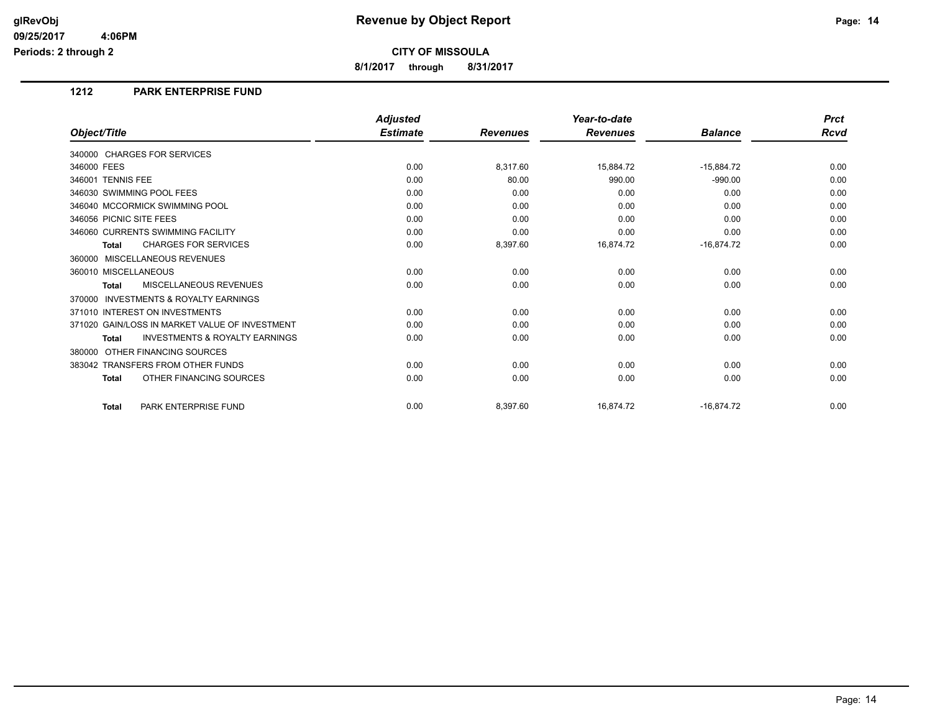**8/1/2017 through 8/31/2017**

#### **1212 PARK ENTERPRISE FUND**

|                                                           | <b>Adjusted</b> |                 | Year-to-date    |                | <b>Prct</b> |
|-----------------------------------------------------------|-----------------|-----------------|-----------------|----------------|-------------|
| Object/Title                                              | <b>Estimate</b> | <b>Revenues</b> | <b>Revenues</b> | <b>Balance</b> | Rcvd        |
| 340000 CHARGES FOR SERVICES                               |                 |                 |                 |                |             |
| 346000 FEES                                               | 0.00            | 8,317.60        | 15,884.72       | $-15,884.72$   | 0.00        |
| 346001 TENNIS FEE                                         | 0.00            | 80.00           | 990.00          | $-990.00$      | 0.00        |
| 346030 SWIMMING POOL FEES                                 | 0.00            | 0.00            | 0.00            | 0.00           | 0.00        |
| 346040 MCCORMICK SWIMMING POOL                            | 0.00            | 0.00            | 0.00            | 0.00           | 0.00        |
| 346056 PICNIC SITE FEES                                   | 0.00            | 0.00            | 0.00            | 0.00           | 0.00        |
| 346060 CURRENTS SWIMMING FACILITY                         | 0.00            | 0.00            | 0.00            | 0.00           | 0.00        |
| <b>CHARGES FOR SERVICES</b><br><b>Total</b>               | 0.00            | 8,397.60        | 16,874.72       | $-16,874.72$   | 0.00        |
| 360000 MISCELLANEOUS REVENUES                             |                 |                 |                 |                |             |
| 360010 MISCELLANEOUS                                      | 0.00            | 0.00            | 0.00            | 0.00           | 0.00        |
| MISCELLANEOUS REVENUES<br><b>Total</b>                    | 0.00            | 0.00            | 0.00            | 0.00           | 0.00        |
| <b>INVESTMENTS &amp; ROYALTY EARNINGS</b><br>370000       |                 |                 |                 |                |             |
| 371010 INTEREST ON INVESTMENTS                            | 0.00            | 0.00            | 0.00            | 0.00           | 0.00        |
| 371020 GAIN/LOSS IN MARKET VALUE OF INVESTMENT            | 0.00            | 0.00            | 0.00            | 0.00           | 0.00        |
| <b>INVESTMENTS &amp; ROYALTY EARNINGS</b><br><b>Total</b> | 0.00            | 0.00            | 0.00            | 0.00           | 0.00        |
| OTHER FINANCING SOURCES<br>380000                         |                 |                 |                 |                |             |
| 383042 TRANSFERS FROM OTHER FUNDS                         | 0.00            | 0.00            | 0.00            | 0.00           | 0.00        |
| OTHER FINANCING SOURCES<br><b>Total</b>                   | 0.00            | 0.00            | 0.00            | 0.00           | 0.00        |
| PARK ENTERPRISE FUND<br><b>Total</b>                      | 0.00            | 8,397.60        | 16.874.72       | $-16.874.72$   | 0.00        |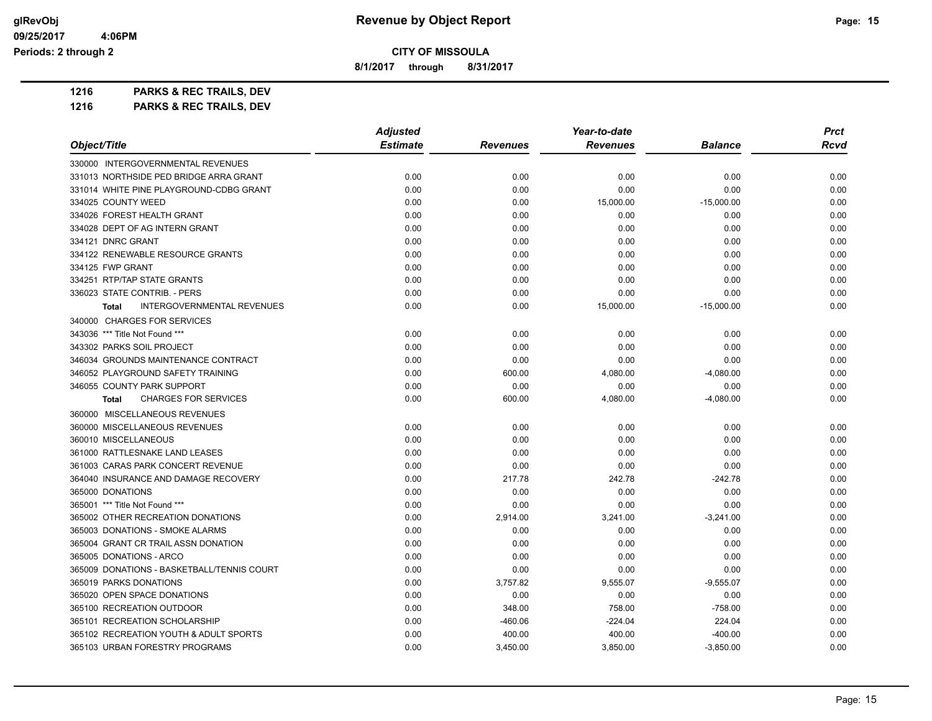**8/1/2017 through 8/31/2017**

**1216 PARKS & REC TRAILS, DEV**

|                                                   | <b>Adjusted</b> |                 | Year-to-date    |                | <b>Prct</b> |
|---------------------------------------------------|-----------------|-----------------|-----------------|----------------|-------------|
| Object/Title                                      | <b>Estimate</b> | <b>Revenues</b> | <b>Revenues</b> | <b>Balance</b> | <b>Rcvd</b> |
| 330000 INTERGOVERNMENTAL REVENUES                 |                 |                 |                 |                |             |
| 331013 NORTHSIDE PED BRIDGE ARRA GRANT            | 0.00            | 0.00            | 0.00            | 0.00           | 0.00        |
| 331014 WHITE PINE PLAYGROUND-CDBG GRANT           | 0.00            | 0.00            | 0.00            | 0.00           | 0.00        |
| 334025 COUNTY WEED                                | 0.00            | 0.00            | 15,000.00       | $-15,000.00$   | 0.00        |
| 334026 FOREST HEALTH GRANT                        | 0.00            | 0.00            | 0.00            | 0.00           | 0.00        |
| 334028 DEPT OF AG INTERN GRANT                    | 0.00            | 0.00            | 0.00            | 0.00           | 0.00        |
| 334121 DNRC GRANT                                 | 0.00            | 0.00            | 0.00            | 0.00           | 0.00        |
| 334122 RENEWABLE RESOURCE GRANTS                  | 0.00            | 0.00            | 0.00            | 0.00           | 0.00        |
| 334125 FWP GRANT                                  | 0.00            | 0.00            | 0.00            | 0.00           | 0.00        |
| 334251 RTP/TAP STATE GRANTS                       | 0.00            | 0.00            | 0.00            | 0.00           | 0.00        |
| 336023 STATE CONTRIB. - PERS                      | 0.00            | 0.00            | 0.00            | 0.00           | 0.00        |
| <b>INTERGOVERNMENTAL REVENUES</b><br><b>Total</b> | 0.00            | 0.00            | 15,000.00       | $-15,000.00$   | 0.00        |
| 340000 CHARGES FOR SERVICES                       |                 |                 |                 |                |             |
| 343036 *** Title Not Found ***                    | 0.00            | 0.00            | 0.00            | 0.00           | 0.00        |
| 343302 PARKS SOIL PROJECT                         | 0.00            | 0.00            | 0.00            | 0.00           | 0.00        |
| 346034 GROUNDS MAINTENANCE CONTRACT               | 0.00            | 0.00            | 0.00            | 0.00           | 0.00        |
| 346052 PLAYGROUND SAFETY TRAINING                 | 0.00            | 600.00          | 4,080.00        | $-4,080.00$    | 0.00        |
| 346055 COUNTY PARK SUPPORT                        | 0.00            | 0.00            | 0.00            | 0.00           | 0.00        |
| <b>CHARGES FOR SERVICES</b><br><b>Total</b>       | 0.00            | 600.00          | 4,080.00        | $-4,080.00$    | 0.00        |
| 360000 MISCELLANEOUS REVENUES                     |                 |                 |                 |                |             |
| 360000 MISCELLANEOUS REVENUES                     | 0.00            | 0.00            | 0.00            | 0.00           | 0.00        |
| 360010 MISCELLANEOUS                              | 0.00            | 0.00            | 0.00            | 0.00           | 0.00        |
| 361000 RATTLESNAKE LAND LEASES                    | 0.00            | 0.00            | 0.00            | 0.00           | 0.00        |
| 361003 CARAS PARK CONCERT REVENUE                 | 0.00            | 0.00            | 0.00            | 0.00           | 0.00        |
| 364040 INSURANCE AND DAMAGE RECOVERY              | 0.00            | 217.78          | 242.78          | $-242.78$      | 0.00        |
| 365000 DONATIONS                                  | 0.00            | 0.00            | 0.00            | 0.00           | 0.00        |
| 365001 *** Title Not Found ***                    | 0.00            | 0.00            | 0.00            | 0.00           | 0.00        |
| 365002 OTHER RECREATION DONATIONS                 | 0.00            | 2,914.00        | 3,241.00        | $-3,241.00$    | 0.00        |
| 365003 DONATIONS - SMOKE ALARMS                   | 0.00            | 0.00            | 0.00            | 0.00           | 0.00        |
| 365004 GRANT CR TRAIL ASSN DONATION               | 0.00            | 0.00            | 0.00            | 0.00           | 0.00        |
| 365005 DONATIONS - ARCO                           | 0.00            | 0.00            | 0.00            | 0.00           | 0.00        |
| 365009 DONATIONS - BASKETBALL/TENNIS COURT        | 0.00            | 0.00            | 0.00            | 0.00           | 0.00        |
| 365019 PARKS DONATIONS                            | 0.00            | 3,757.82        | 9,555.07        | $-9,555.07$    | 0.00        |
| 365020 OPEN SPACE DONATIONS                       | 0.00            | 0.00            | 0.00            | 0.00           | 0.00        |
| 365100 RECREATION OUTDOOR                         | 0.00            | 348.00          | 758.00          | $-758.00$      | 0.00        |
| 365101 RECREATION SCHOLARSHIP                     | 0.00            | $-460.06$       | $-224.04$       | 224.04         | 0.00        |
| 365102 RECREATION YOUTH & ADULT SPORTS            | 0.00            | 400.00          | 400.00          | $-400.00$      | 0.00        |
| 365103 URBAN FORESTRY PROGRAMS                    | 0.00            | 3,450.00        | 3,850.00        | $-3,850.00$    | 0.00        |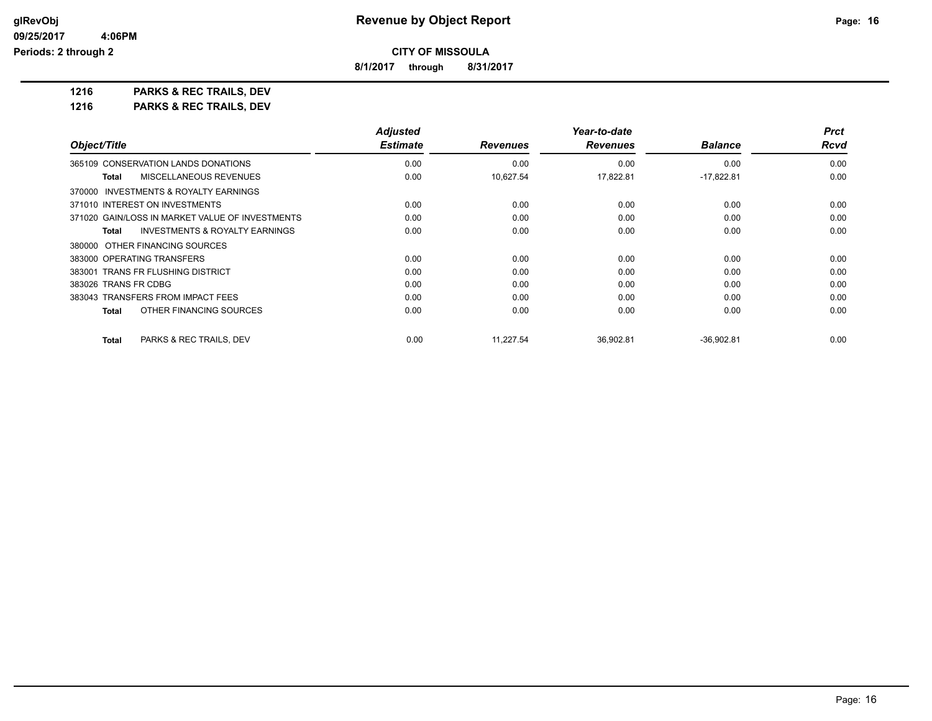**8/1/2017 through 8/31/2017**

**1216 PARKS & REC TRAILS, DEV**

| Object/Title                                              | <b>Adjusted</b> |                 | Year-to-date    |                | <b>Prct</b> |
|-----------------------------------------------------------|-----------------|-----------------|-----------------|----------------|-------------|
|                                                           | <b>Estimate</b> | <b>Revenues</b> | <b>Revenues</b> | <b>Balance</b> | <b>Rcvd</b> |
| 365109 CONSERVATION LANDS DONATIONS                       | 0.00            | 0.00            | 0.00            | 0.00           | 0.00        |
| <b>MISCELLANEOUS REVENUES</b><br><b>Total</b>             | 0.00            | 10,627.54       | 17,822.81       | $-17,822.81$   | 0.00        |
| <b>INVESTMENTS &amp; ROYALTY EARNINGS</b><br>370000       |                 |                 |                 |                |             |
| 371010 INTEREST ON INVESTMENTS                            | 0.00            | 0.00            | 0.00            | 0.00           | 0.00        |
| 371020 GAIN/LOSS IN MARKET VALUE OF INVESTMENTS           | 0.00            | 0.00            | 0.00            | 0.00           | 0.00        |
| <b>INVESTMENTS &amp; ROYALTY EARNINGS</b><br><b>Total</b> | 0.00            | 0.00            | 0.00            | 0.00           | 0.00        |
| 380000 OTHER FINANCING SOURCES                            |                 |                 |                 |                |             |
| 383000 OPERATING TRANSFERS                                | 0.00            | 0.00            | 0.00            | 0.00           | 0.00        |
| 383001 TRANS FR FLUSHING DISTRICT                         | 0.00            | 0.00            | 0.00            | 0.00           | 0.00        |
| 383026 TRANS FR CDBG                                      | 0.00            | 0.00            | 0.00            | 0.00           | 0.00        |
| 383043 TRANSFERS FROM IMPACT FEES                         | 0.00            | 0.00            | 0.00            | 0.00           | 0.00        |
| OTHER FINANCING SOURCES<br><b>Total</b>                   | 0.00            | 0.00            | 0.00            | 0.00           | 0.00        |
| PARKS & REC TRAILS, DEV<br><b>Total</b>                   | 0.00            | 11,227.54       | 36,902.81       | $-36,902.81$   | 0.00        |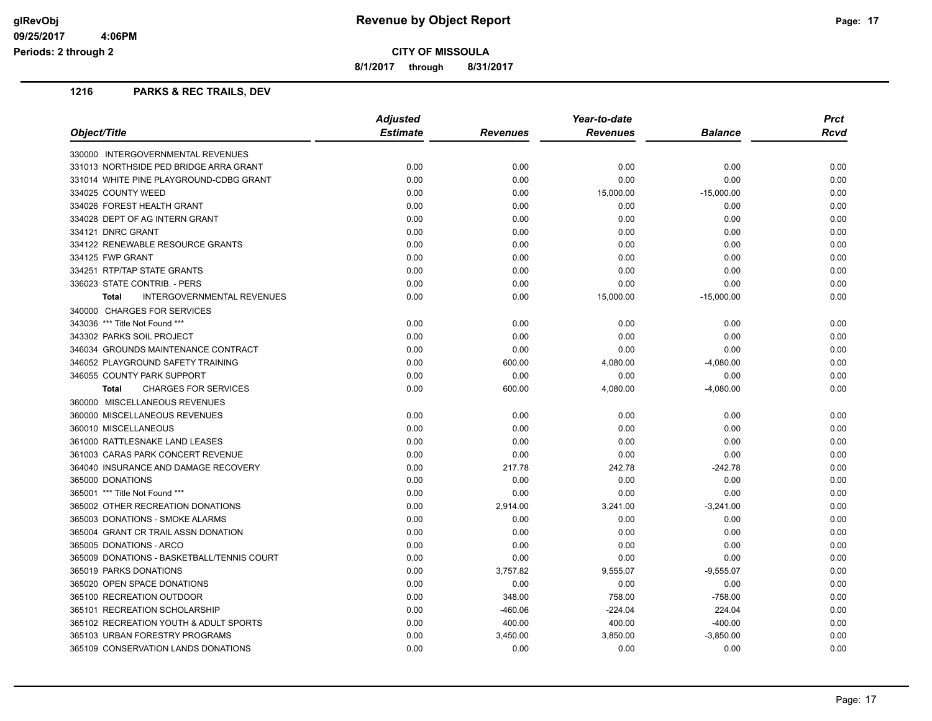**8/1/2017 through 8/31/2017**

| Object/Title                                      | <b>Adjusted</b> |                 | Year-to-date    |                | <b>Prct</b> |
|---------------------------------------------------|-----------------|-----------------|-----------------|----------------|-------------|
|                                                   | <b>Estimate</b> | <b>Revenues</b> | <b>Revenues</b> | <b>Balance</b> | <b>Rcvd</b> |
| 330000 INTERGOVERNMENTAL REVENUES                 |                 |                 |                 |                |             |
| 331013 NORTHSIDE PED BRIDGE ARRA GRANT            | 0.00            | 0.00            | 0.00            | 0.00           | 0.00        |
| 331014 WHITE PINE PLAYGROUND-CDBG GRANT           | 0.00            | 0.00            | 0.00            | 0.00           | 0.00        |
| 334025 COUNTY WEED                                | 0.00            | 0.00            | 15,000.00       | $-15,000.00$   | 0.00        |
| 334026 FOREST HEALTH GRANT                        | 0.00            | 0.00            | 0.00            | 0.00           | 0.00        |
| 334028 DEPT OF AG INTERN GRANT                    | 0.00            | 0.00            | 0.00            | 0.00           | 0.00        |
| 334121 DNRC GRANT                                 | 0.00            | 0.00            | 0.00            | 0.00           | 0.00        |
| 334122 RENEWABLE RESOURCE GRANTS                  | 0.00            | 0.00            | 0.00            | 0.00           | 0.00        |
| 334125 FWP GRANT                                  | 0.00            | 0.00            | 0.00            | 0.00           | 0.00        |
| 334251 RTP/TAP STATE GRANTS                       | 0.00            | 0.00            | 0.00            | 0.00           | 0.00        |
| 336023 STATE CONTRIB. - PERS                      | 0.00            | 0.00            | 0.00            | 0.00           | 0.00        |
| <b>INTERGOVERNMENTAL REVENUES</b><br><b>Total</b> | 0.00            | 0.00            | 15,000.00       | $-15,000.00$   | 0.00        |
| 340000 CHARGES FOR SERVICES                       |                 |                 |                 |                |             |
| 343036 *** Title Not Found ***                    | 0.00            | 0.00            | 0.00            | 0.00           | 0.00        |
| 343302 PARKS SOIL PROJECT                         | 0.00            | 0.00            | 0.00            | 0.00           | 0.00        |
| 346034 GROUNDS MAINTENANCE CONTRACT               | 0.00            | 0.00            | 0.00            | 0.00           | 0.00        |
| 346052 PLAYGROUND SAFETY TRAINING                 | 0.00            | 600.00          | 4,080.00        | -4,080.00      | 0.00        |
| 346055 COUNTY PARK SUPPORT                        | 0.00            | 0.00            | 0.00            | 0.00           | 0.00        |
| <b>CHARGES FOR SERVICES</b><br><b>Total</b>       | 0.00            | 600.00          | 4,080.00        | $-4,080.00$    | 0.00        |
| 360000 MISCELLANEOUS REVENUES                     |                 |                 |                 |                |             |
| 360000 MISCELLANEOUS REVENUES                     | 0.00            | 0.00            | 0.00            | 0.00           | 0.00        |
| 360010 MISCELLANEOUS                              | 0.00            | 0.00            | 0.00            | 0.00           | 0.00        |
| 361000 RATTLESNAKE LAND LEASES                    | 0.00            | 0.00            | 0.00            | 0.00           | 0.00        |
| 361003 CARAS PARK CONCERT REVENUE                 | 0.00            | 0.00            | 0.00            | 0.00           | 0.00        |
| 364040 INSURANCE AND DAMAGE RECOVERY              | 0.00            | 217.78          | 242.78          | $-242.78$      | 0.00        |
| 365000 DONATIONS                                  | 0.00            | 0.00            | 0.00            | 0.00           | 0.00        |
| 365001 *** Title Not Found ***                    | 0.00            | 0.00            | 0.00            | 0.00           | 0.00        |
| 365002 OTHER RECREATION DONATIONS                 | 0.00            | 2,914.00        | 3,241.00        | $-3,241.00$    | 0.00        |
| 365003 DONATIONS - SMOKE ALARMS                   | 0.00            | 0.00            | 0.00            | 0.00           | 0.00        |
| 365004 GRANT CR TRAIL ASSN DONATION               | 0.00            | 0.00            | 0.00            | 0.00           | 0.00        |
| 365005 DONATIONS - ARCO                           | 0.00            | 0.00            | 0.00            | 0.00           | 0.00        |
| 365009 DONATIONS - BASKETBALL/TENNIS COURT        | 0.00            | 0.00            | 0.00            | 0.00           | 0.00        |
| 365019 PARKS DONATIONS                            | 0.00            | 3,757.82        | 9,555.07        | $-9,555.07$    | 0.00        |
| 365020 OPEN SPACE DONATIONS                       | 0.00            | 0.00            | 0.00            | 0.00           | 0.00        |
| 365100 RECREATION OUTDOOR                         | 0.00            | 348.00          | 758.00          | $-758.00$      | 0.00        |
| 365101 RECREATION SCHOLARSHIP                     | 0.00            | $-460.06$       | $-224.04$       | 224.04         | 0.00        |
| 365102 RECREATION YOUTH & ADULT SPORTS            | 0.00            | 400.00          | 400.00          | $-400.00$      | 0.00        |
| 365103 URBAN FORESTRY PROGRAMS                    | 0.00            | 3,450.00        | 3,850.00        | $-3,850.00$    | 0.00        |
| 365109 CONSERVATION LANDS DONATIONS               | 0.00            | 0.00            | 0.00            | 0.00           | 0.00        |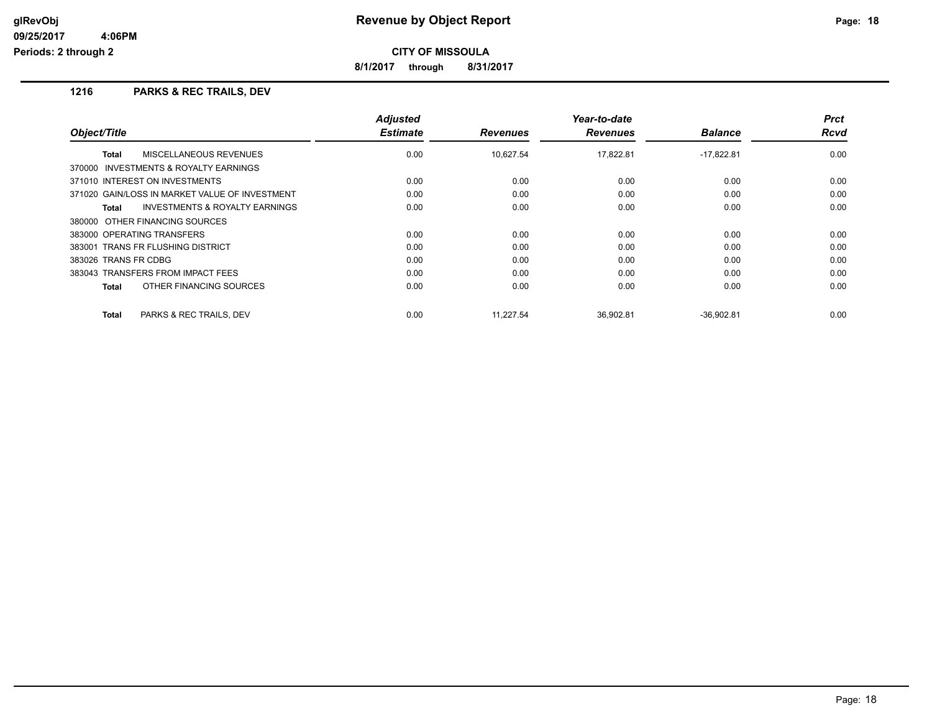**8/1/2017 through 8/31/2017**

| Object/Title                                        | <b>Adjusted</b><br><b>Estimate</b> | <b>Revenues</b> | Year-to-date<br><b>Revenues</b> | <b>Balance</b> | <b>Prct</b><br><b>Rcvd</b> |
|-----------------------------------------------------|------------------------------------|-----------------|---------------------------------|----------------|----------------------------|
|                                                     |                                    |                 |                                 |                |                            |
| MISCELLANEOUS REVENUES<br>Total                     | 0.00                               | 10,627.54       | 17.822.81                       | $-17,822.81$   | 0.00                       |
| <b>INVESTMENTS &amp; ROYALTY EARNINGS</b><br>370000 |                                    |                 |                                 |                |                            |
| 371010 INTEREST ON INVESTMENTS                      | 0.00                               | 0.00            | 0.00                            | 0.00           | 0.00                       |
| 371020 GAIN/LOSS IN MARKET VALUE OF INVESTMENT      | 0.00                               | 0.00            | 0.00                            | 0.00           | 0.00                       |
| <b>INVESTMENTS &amp; ROYALTY EARNINGS</b><br>Total  | 0.00                               | 0.00            | 0.00                            | 0.00           | 0.00                       |
| 380000 OTHER FINANCING SOURCES                      |                                    |                 |                                 |                |                            |
| 383000 OPERATING TRANSFERS                          | 0.00                               | 0.00            | 0.00                            | 0.00           | 0.00                       |
| 383001 TRANS FR FLUSHING DISTRICT                   | 0.00                               | 0.00            | 0.00                            | 0.00           | 0.00                       |
| 383026 TRANS FR CDBG                                | 0.00                               | 0.00            | 0.00                            | 0.00           | 0.00                       |
| 383043 TRANSFERS FROM IMPACT FEES                   | 0.00                               | 0.00            | 0.00                            | 0.00           | 0.00                       |
| OTHER FINANCING SOURCES<br><b>Total</b>             | 0.00                               | 0.00            | 0.00                            | 0.00           | 0.00                       |
| PARKS & REC TRAILS, DEV<br><b>Total</b>             | 0.00                               | 11,227.54       | 36,902.81                       | $-36,902.81$   | 0.00                       |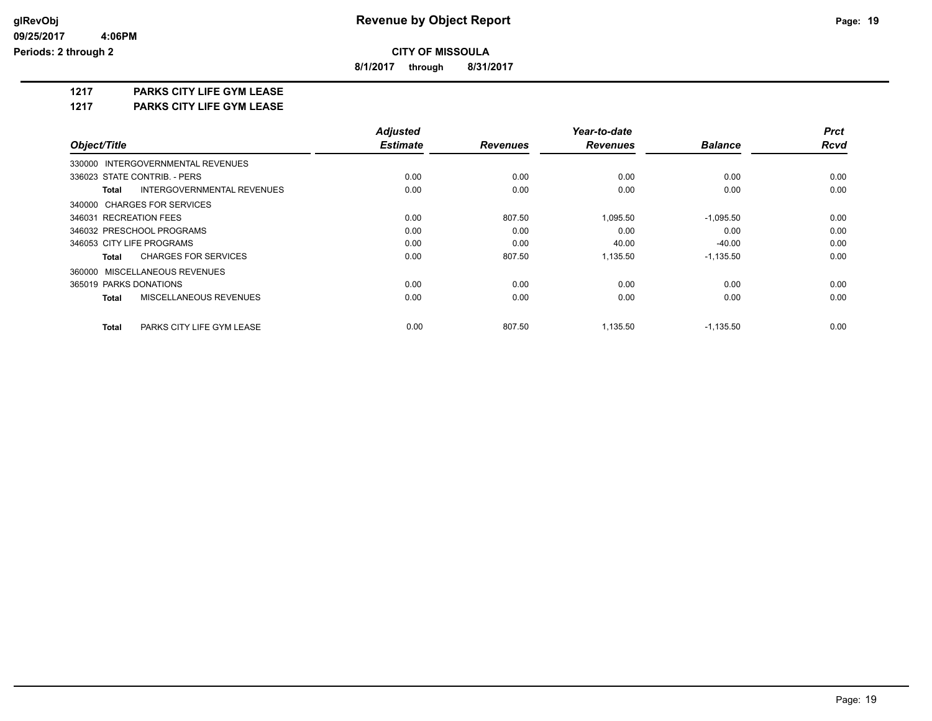**8/1/2017 through 8/31/2017**

## **1217 PARKS CITY LIFE GYM LEASE**

**1217 PARKS CITY LIFE GYM LEASE**

|                                           | <b>Adjusted</b> |                 | Year-to-date    |                | <b>Prct</b> |
|-------------------------------------------|-----------------|-----------------|-----------------|----------------|-------------|
| Object/Title                              | <b>Estimate</b> | <b>Revenues</b> | <b>Revenues</b> | <b>Balance</b> | <b>Rcvd</b> |
| 330000 INTERGOVERNMENTAL REVENUES         |                 |                 |                 |                |             |
| 336023 STATE CONTRIB. - PERS              | 0.00            | 0.00            | 0.00            | 0.00           | 0.00        |
| INTERGOVERNMENTAL REVENUES<br>Total       | 0.00            | 0.00            | 0.00            | 0.00           | 0.00        |
| 340000 CHARGES FOR SERVICES               |                 |                 |                 |                |             |
| 346031 RECREATION FEES                    | 0.00            | 807.50          | 1,095.50        | $-1,095.50$    | 0.00        |
| 346032 PRESCHOOL PROGRAMS                 | 0.00            | 0.00            | 0.00            | 0.00           | 0.00        |
| 346053 CITY LIFE PROGRAMS                 | 0.00            | 0.00            | 40.00           | $-40.00$       | 0.00        |
| <b>CHARGES FOR SERVICES</b><br>Total      | 0.00            | 807.50          | 1,135.50        | $-1,135.50$    | 0.00        |
| 360000 MISCELLANEOUS REVENUES             |                 |                 |                 |                |             |
| 365019 PARKS DONATIONS                    | 0.00            | 0.00            | 0.00            | 0.00           | 0.00        |
| MISCELLANEOUS REVENUES<br><b>Total</b>    | 0.00            | 0.00            | 0.00            | 0.00           | 0.00        |
| PARKS CITY LIFE GYM LEASE<br><b>Total</b> | 0.00            | 807.50          | 1,135.50        | $-1,135.50$    | 0.00        |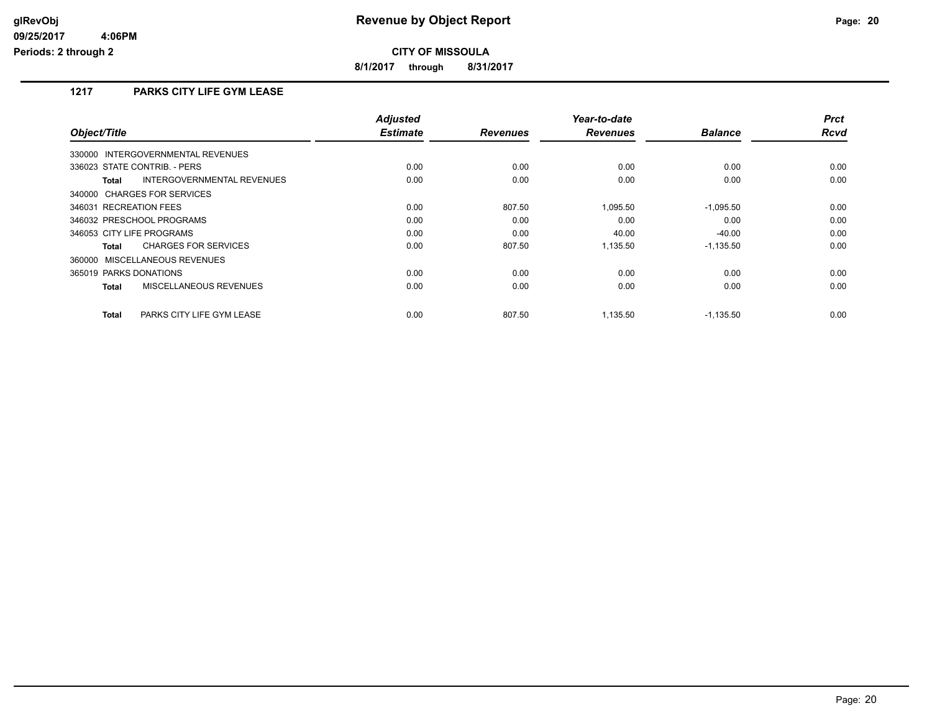**8/1/2017 through 8/31/2017**

## **1217 PARKS CITY LIFE GYM LEASE**

| Object/Title                                | <b>Adjusted</b><br><b>Estimate</b> | <b>Revenues</b> | Year-to-date<br><b>Revenues</b> | <b>Balance</b> | <b>Prct</b><br>Rcvd |
|---------------------------------------------|------------------------------------|-----------------|---------------------------------|----------------|---------------------|
| 330000 INTERGOVERNMENTAL REVENUES           |                                    |                 |                                 |                |                     |
| 336023 STATE CONTRIB. - PERS                | 0.00                               | 0.00            | 0.00                            | 0.00           | 0.00                |
| INTERGOVERNMENTAL REVENUES<br>Total         | 0.00                               | 0.00            | 0.00                            | 0.00           | 0.00                |
| 340000 CHARGES FOR SERVICES                 |                                    |                 |                                 |                |                     |
| 346031 RECREATION FEES                      | 0.00                               | 807.50          | 1.095.50                        | $-1,095.50$    | 0.00                |
| 346032 PRESCHOOL PROGRAMS                   | 0.00                               | 0.00            | 0.00                            | 0.00           | 0.00                |
| 346053 CITY LIFE PROGRAMS                   | 0.00                               | 0.00            | 40.00                           | $-40.00$       | 0.00                |
| <b>CHARGES FOR SERVICES</b><br><b>Total</b> | 0.00                               | 807.50          | 1,135.50                        | $-1,135.50$    | 0.00                |
| 360000 MISCELLANEOUS REVENUES               |                                    |                 |                                 |                |                     |
| 365019 PARKS DONATIONS                      | 0.00                               | 0.00            | 0.00                            | 0.00           | 0.00                |
| MISCELLANEOUS REVENUES<br><b>Total</b>      | 0.00                               | 0.00            | 0.00                            | 0.00           | 0.00                |
| PARKS CITY LIFE GYM LEASE<br><b>Total</b>   | 0.00                               | 807.50          | 1.135.50                        | $-1,135.50$    | 0.00                |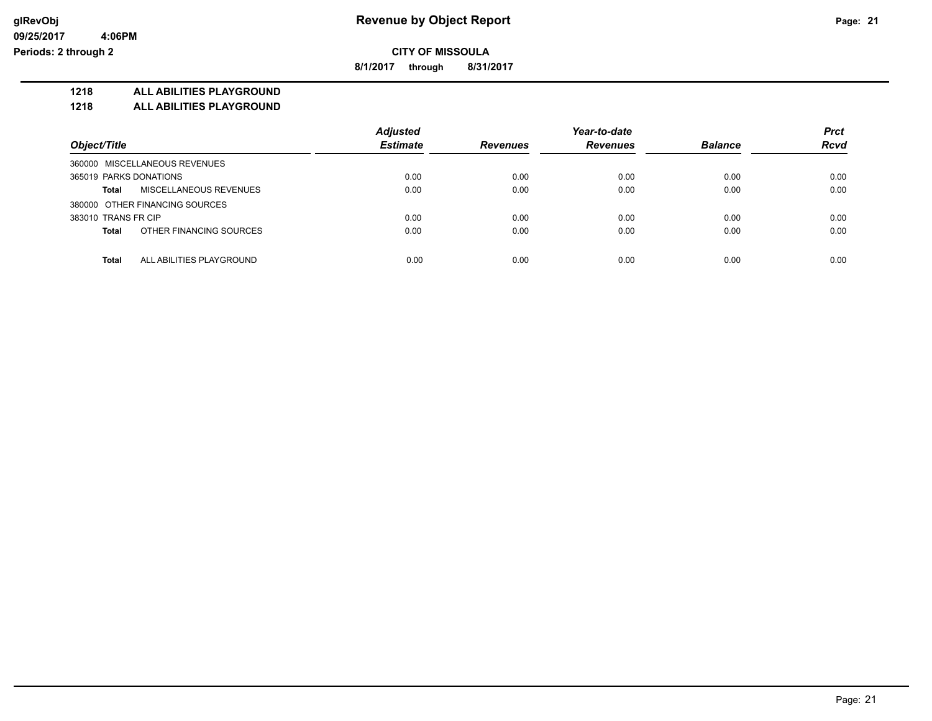**8/1/2017 through 8/31/2017**

**1218 ALL ABILITIES PLAYGROUND**

**1218 ALL ABILITIES PLAYGROUND**

|                                               | <b>Adjusted</b> |                 | Year-to-date    |                | <b>Prct</b> |
|-----------------------------------------------|-----------------|-----------------|-----------------|----------------|-------------|
| Object/Title                                  | <b>Estimate</b> | <b>Revenues</b> | <b>Revenues</b> | <b>Balance</b> | <b>Rcvd</b> |
| 360000 MISCELLANEOUS REVENUES                 |                 |                 |                 |                |             |
| 365019 PARKS DONATIONS                        | 0.00            | 0.00            | 0.00            | 0.00           | 0.00        |
| <b>MISCELLANEOUS REVENUES</b><br><b>Total</b> | 0.00            | 0.00            | 0.00            | 0.00           | 0.00        |
| 380000 OTHER FINANCING SOURCES                |                 |                 |                 |                |             |
| 383010 TRANS FR CIP                           | 0.00            | 0.00            | 0.00            | 0.00           | 0.00        |
| OTHER FINANCING SOURCES<br>Total              | 0.00            | 0.00            | 0.00            | 0.00           | 0.00        |
|                                               |                 |                 |                 |                |             |
| ALL ABILITIES PLAYGROUND<br>Total             | 0.00            | 0.00            | 0.00            | 0.00           | 0.00        |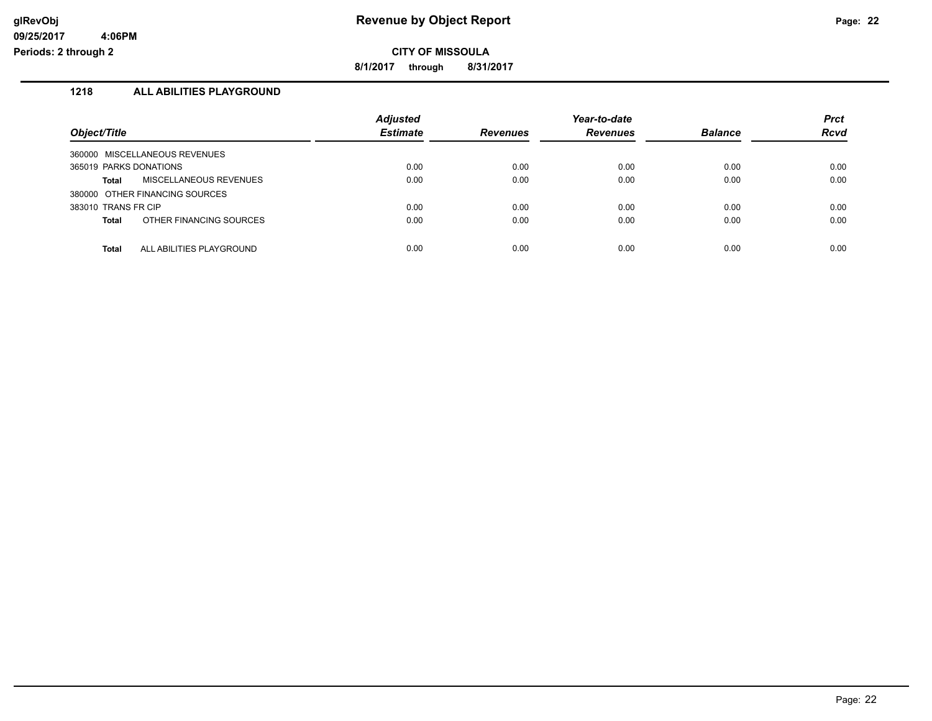**Periods: 2 through 2**

**CITY OF MISSOULA**

**8/1/2017 through 8/31/2017**

#### **1218 ALL ABILITIES PLAYGROUND**

| Object/Title                            | <b>Adjusted</b><br><b>Estimate</b> | <b>Revenues</b> | Year-to-date<br><b>Revenues</b> | <b>Balance</b> | <b>Prct</b><br><b>Rcvd</b> |
|-----------------------------------------|------------------------------------|-----------------|---------------------------------|----------------|----------------------------|
| MISCELLANEOUS REVENUES<br>360000        |                                    |                 |                                 |                |                            |
| 365019 PARKS DONATIONS                  | 0.00                               | 0.00            | 0.00                            | 0.00           | 0.00                       |
| <b>MISCELLANEOUS REVENUES</b><br>Total  | 0.00                               | 0.00            | 0.00                            | 0.00           | 0.00                       |
| 380000 OTHER FINANCING SOURCES          |                                    |                 |                                 |                |                            |
| 383010 TRANS FR CIP                     | 0.00                               | 0.00            | 0.00                            | 0.00           | 0.00                       |
| OTHER FINANCING SOURCES<br><b>Total</b> | 0.00                               | 0.00            | 0.00                            | 0.00           | 0.00                       |
| ALL ABILITIES PLAYGROUND<br>Total       | 0.00                               | 0.00            | 0.00                            | 0.00           | 0.00                       |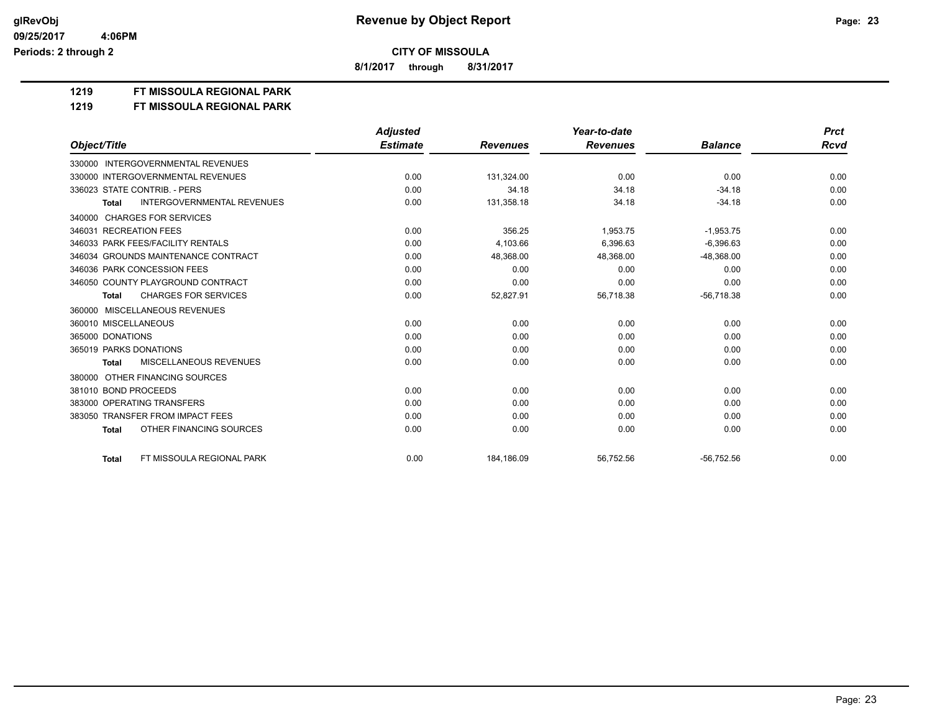**8/1/2017 through 8/31/2017**

## **1219 FT MISSOULA REGIONAL PARK**

#### **1219 FT MISSOULA REGIONAL PARK**

|                                                   | <b>Adjusted</b> |                 | Year-to-date    |                | <b>Prct</b> |
|---------------------------------------------------|-----------------|-----------------|-----------------|----------------|-------------|
| Object/Title                                      | <b>Estimate</b> | <b>Revenues</b> | <b>Revenues</b> | <b>Balance</b> | <b>Rcvd</b> |
| 330000 INTERGOVERNMENTAL REVENUES                 |                 |                 |                 |                |             |
| 330000 INTERGOVERNMENTAL REVENUES                 | 0.00            | 131,324.00      | 0.00            | 0.00           | 0.00        |
| 336023 STATE CONTRIB. - PERS                      | 0.00            | 34.18           | 34.18           | $-34.18$       | 0.00        |
| <b>INTERGOVERNMENTAL REVENUES</b><br><b>Total</b> | 0.00            | 131,358.18      | 34.18           | $-34.18$       | 0.00        |
| 340000 CHARGES FOR SERVICES                       |                 |                 |                 |                |             |
| 346031 RECREATION FEES                            | 0.00            | 356.25          | 1,953.75        | $-1,953.75$    | 0.00        |
| 346033 PARK FEES/FACILITY RENTALS                 | 0.00            | 4,103.66        | 6,396.63        | $-6,396.63$    | 0.00        |
| 346034 GROUNDS MAINTENANCE CONTRACT               | 0.00            | 48,368.00       | 48,368.00       | $-48,368.00$   | 0.00        |
| 346036 PARK CONCESSION FEES                       | 0.00            | 0.00            | 0.00            | 0.00           | 0.00        |
| 346050 COUNTY PLAYGROUND CONTRACT                 | 0.00            | 0.00            | 0.00            | 0.00           | 0.00        |
| <b>CHARGES FOR SERVICES</b><br>Total              | 0.00            | 52,827.91       | 56,718.38       | $-56,718.38$   | 0.00        |
| 360000 MISCELLANEOUS REVENUES                     |                 |                 |                 |                |             |
| 360010 MISCELLANEOUS                              | 0.00            | 0.00            | 0.00            | 0.00           | 0.00        |
| 365000 DONATIONS                                  | 0.00            | 0.00            | 0.00            | 0.00           | 0.00        |
| 365019 PARKS DONATIONS                            | 0.00            | 0.00            | 0.00            | 0.00           | 0.00        |
| <b>MISCELLANEOUS REVENUES</b><br><b>Total</b>     | 0.00            | 0.00            | 0.00            | 0.00           | 0.00        |
| OTHER FINANCING SOURCES<br>380000                 |                 |                 |                 |                |             |
| 381010 BOND PROCEEDS                              | 0.00            | 0.00            | 0.00            | 0.00           | 0.00        |
| 383000 OPERATING TRANSFERS                        | 0.00            | 0.00            | 0.00            | 0.00           | 0.00        |
| 383050 TRANSFER FROM IMPACT FEES                  | 0.00            | 0.00            | 0.00            | 0.00           | 0.00        |
| OTHER FINANCING SOURCES<br><b>Total</b>           | 0.00            | 0.00            | 0.00            | 0.00           | 0.00        |
| FT MISSOULA REGIONAL PARK<br><b>Total</b>         | 0.00            | 184,186.09      | 56,752.56       | $-56,752.56$   | 0.00        |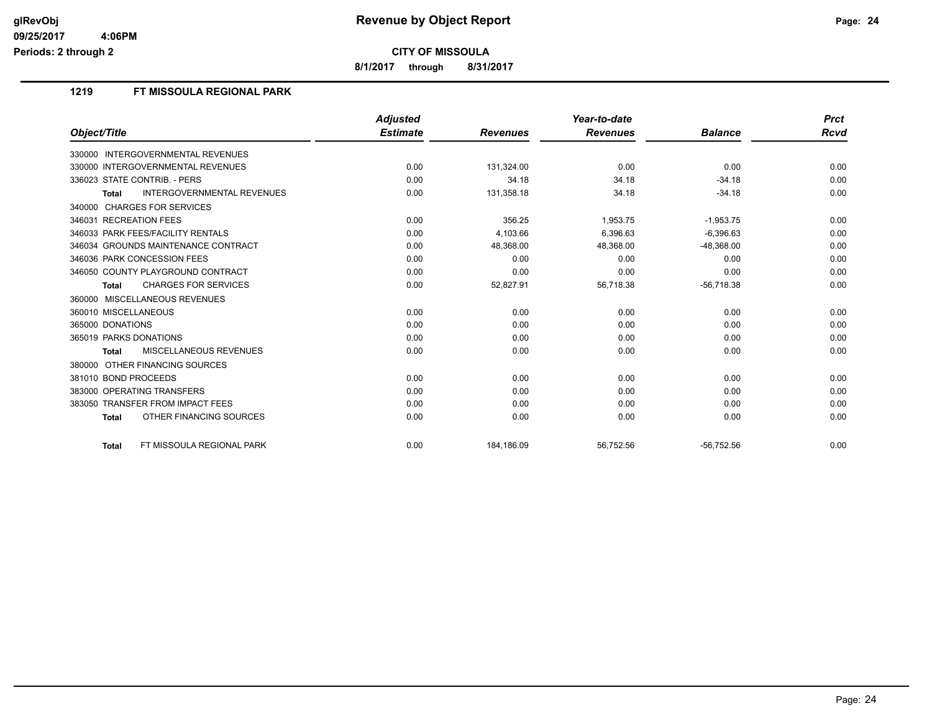**8/1/2017 through 8/31/2017**

## **1219 FT MISSOULA REGIONAL PARK**

|                                                   | <b>Adjusted</b> |                 | Year-to-date    |                | <b>Prct</b> |
|---------------------------------------------------|-----------------|-----------------|-----------------|----------------|-------------|
| Object/Title                                      | <b>Estimate</b> | <b>Revenues</b> | <b>Revenues</b> | <b>Balance</b> | <b>Rcvd</b> |
| 330000 INTERGOVERNMENTAL REVENUES                 |                 |                 |                 |                |             |
| 330000 INTERGOVERNMENTAL REVENUES                 | 0.00            | 131,324.00      | 0.00            | 0.00           | 0.00        |
| 336023 STATE CONTRIB. - PERS                      | 0.00            | 34.18           | 34.18           | $-34.18$       | 0.00        |
| <b>INTERGOVERNMENTAL REVENUES</b><br><b>Total</b> | 0.00            | 131,358.18      | 34.18           | $-34.18$       | 0.00        |
| 340000 CHARGES FOR SERVICES                       |                 |                 |                 |                |             |
| 346031 RECREATION FEES                            | 0.00            | 356.25          | 1,953.75        | $-1,953.75$    | 0.00        |
| 346033 PARK FEES/FACILITY RENTALS                 | 0.00            | 4,103.66        | 6,396.63        | $-6,396.63$    | 0.00        |
| 346034 GROUNDS MAINTENANCE CONTRACT               | 0.00            | 48,368.00       | 48,368.00       | $-48,368.00$   | 0.00        |
| 346036 PARK CONCESSION FEES                       | 0.00            | 0.00            | 0.00            | 0.00           | 0.00        |
| 346050 COUNTY PLAYGROUND CONTRACT                 | 0.00            | 0.00            | 0.00            | 0.00           | 0.00        |
| <b>CHARGES FOR SERVICES</b><br><b>Total</b>       | 0.00            | 52,827.91       | 56,718.38       | $-56,718.38$   | 0.00        |
| 360000 MISCELLANEOUS REVENUES                     |                 |                 |                 |                |             |
| 360010 MISCELLANEOUS                              | 0.00            | 0.00            | 0.00            | 0.00           | 0.00        |
| 365000 DONATIONS                                  | 0.00            | 0.00            | 0.00            | 0.00           | 0.00        |
| 365019 PARKS DONATIONS                            | 0.00            | 0.00            | 0.00            | 0.00           | 0.00        |
| MISCELLANEOUS REVENUES<br><b>Total</b>            | 0.00            | 0.00            | 0.00            | 0.00           | 0.00        |
| OTHER FINANCING SOURCES<br>380000                 |                 |                 |                 |                |             |
| 381010 BOND PROCEEDS                              | 0.00            | 0.00            | 0.00            | 0.00           | 0.00        |
| 383000 OPERATING TRANSFERS                        | 0.00            | 0.00            | 0.00            | 0.00           | 0.00        |
| 383050 TRANSFER FROM IMPACT FEES                  | 0.00            | 0.00            | 0.00            | 0.00           | 0.00        |
| OTHER FINANCING SOURCES<br><b>Total</b>           | 0.00            | 0.00            | 0.00            | 0.00           | 0.00        |
| FT MISSOULA REGIONAL PARK<br><b>Total</b>         | 0.00            | 184.186.09      | 56,752.56       | $-56.752.56$   | 0.00        |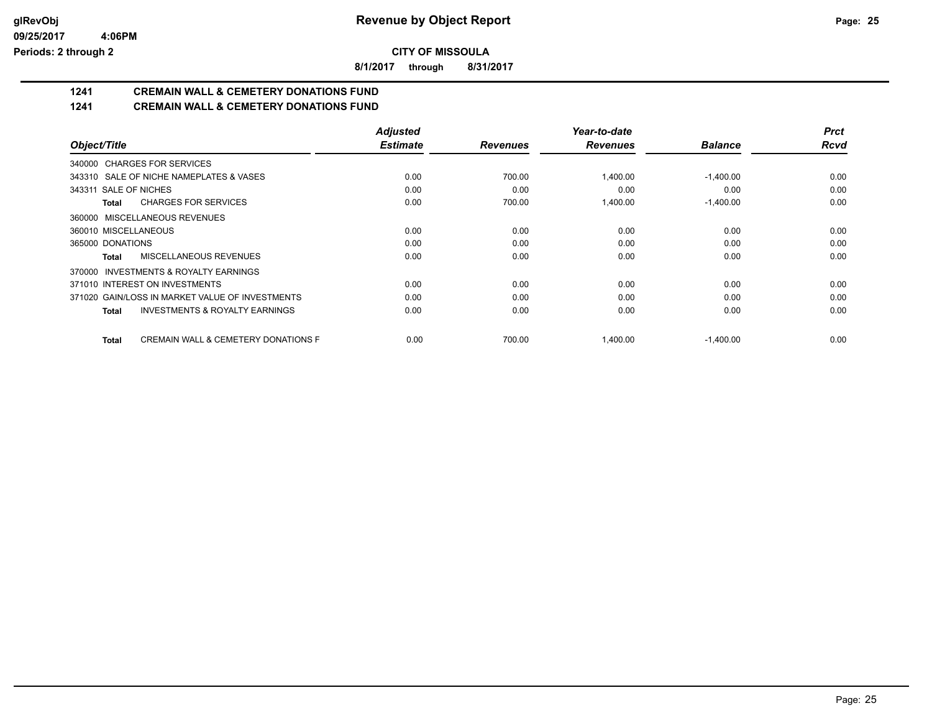**Periods: 2 through 2**

 **4:06PM**

**CITY OF MISSOULA**

**8/1/2017 through 8/31/2017**

# **1241 CREMAIN WALL & CEMETERY DONATIONS FUND**

# **1241 CREMAIN WALL & CEMETERY DONATIONS FUND**

|                                                         | <b>Adjusted</b> |                 | Year-to-date    |                | <b>Prct</b> |
|---------------------------------------------------------|-----------------|-----------------|-----------------|----------------|-------------|
| Object/Title                                            | <b>Estimate</b> | <b>Revenues</b> | <b>Revenues</b> | <b>Balance</b> | <b>Rcvd</b> |
| 340000 CHARGES FOR SERVICES                             |                 |                 |                 |                |             |
| 343310 SALE OF NICHE NAMEPLATES & VASES                 | 0.00            | 700.00          | 1,400.00        | $-1,400.00$    | 0.00        |
| 343311 SALE OF NICHES                                   | 0.00            | 0.00            | 0.00            | 0.00           | 0.00        |
| <b>CHARGES FOR SERVICES</b><br>Total                    | 0.00            | 700.00          | 1,400.00        | $-1,400.00$    | 0.00        |
| 360000 MISCELLANEOUS REVENUES                           |                 |                 |                 |                |             |
| 360010 MISCELLANEOUS                                    | 0.00            | 0.00            | 0.00            | 0.00           | 0.00        |
| 365000 DONATIONS                                        | 0.00            | 0.00            | 0.00            | 0.00           | 0.00        |
| <b>MISCELLANEOUS REVENUES</b><br><b>Total</b>           | 0.00            | 0.00            | 0.00            | 0.00           | 0.00        |
| 370000 INVESTMENTS & ROYALTY EARNINGS                   |                 |                 |                 |                |             |
| 371010 INTEREST ON INVESTMENTS                          | 0.00            | 0.00            | 0.00            | 0.00           | 0.00        |
| 371020 GAIN/LOSS IN MARKET VALUE OF INVESTMENTS         | 0.00            | 0.00            | 0.00            | 0.00           | 0.00        |
| <b>INVESTMENTS &amp; ROYALTY EARNINGS</b><br>Total      | 0.00            | 0.00            | 0.00            | 0.00           | 0.00        |
| <b>CREMAIN WALL &amp; CEMETERY DONATIONS F</b><br>Total | 0.00            | 700.00          | 1,400.00        | $-1,400.00$    | 0.00        |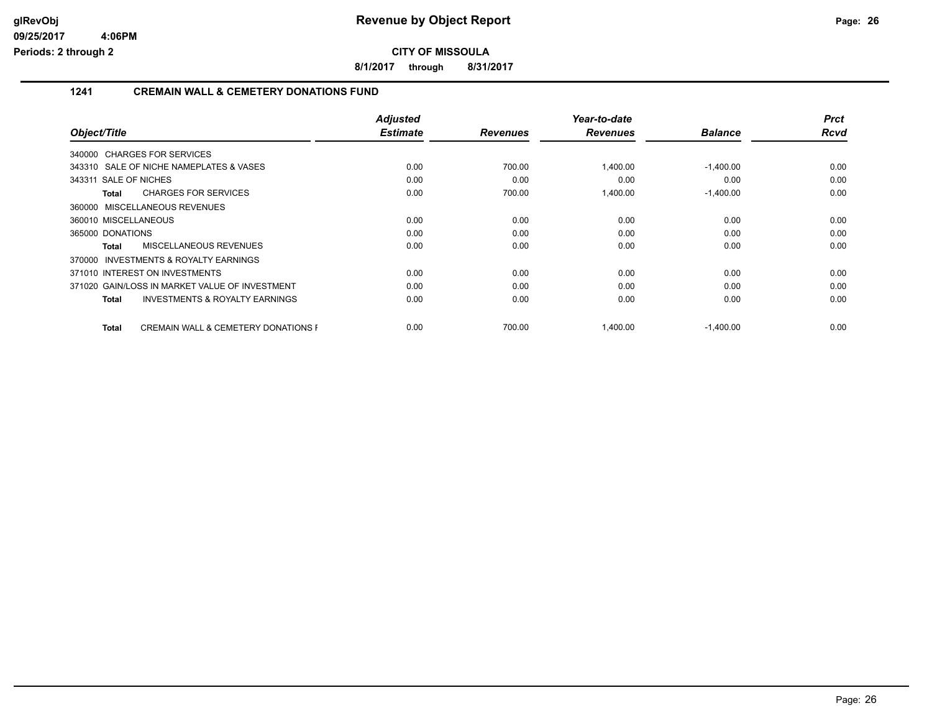**8/1/2017 through 8/31/2017**

#### **1241 CREMAIN WALL & CEMETERY DONATIONS FUND**

|                                                                | <b>Adjusted</b> |                 | Year-to-date    |                | <b>Prct</b> |
|----------------------------------------------------------------|-----------------|-----------------|-----------------|----------------|-------------|
| Object/Title                                                   | <b>Estimate</b> | <b>Revenues</b> | <b>Revenues</b> | <b>Balance</b> | <b>Rcvd</b> |
| 340000 CHARGES FOR SERVICES                                    |                 |                 |                 |                |             |
| 343310 SALE OF NICHE NAMEPLATES & VASES                        | 0.00            | 700.00          | 1,400.00        | $-1,400.00$    | 0.00        |
| 343311 SALE OF NICHES                                          | 0.00            | 0.00            | 0.00            | 0.00           | 0.00        |
| <b>CHARGES FOR SERVICES</b><br>Total                           | 0.00            | 700.00          | 1,400.00        | $-1,400.00$    | 0.00        |
| 360000 MISCELLANEOUS REVENUES                                  |                 |                 |                 |                |             |
| 360010 MISCELLANEOUS                                           | 0.00            | 0.00            | 0.00            | 0.00           | 0.00        |
| 365000 DONATIONS                                               | 0.00            | 0.00            | 0.00            | 0.00           | 0.00        |
| MISCELLANEOUS REVENUES<br>Total                                | 0.00            | 0.00            | 0.00            | 0.00           | 0.00        |
| INVESTMENTS & ROYALTY EARNINGS<br>370000                       |                 |                 |                 |                |             |
| 371010 INTEREST ON INVESTMENTS                                 | 0.00            | 0.00            | 0.00            | 0.00           | 0.00        |
| 371020 GAIN/LOSS IN MARKET VALUE OF INVESTMENT                 | 0.00            | 0.00            | 0.00            | 0.00           | 0.00        |
| <b>INVESTMENTS &amp; ROYALTY EARNINGS</b><br>Total             | 0.00            | 0.00            | 0.00            | 0.00           | 0.00        |
| <b>CREMAIN WALL &amp; CEMETERY DONATIONS F</b><br><b>Total</b> | 0.00            | 700.00          | 1.400.00        | $-1,400.00$    | 0.00        |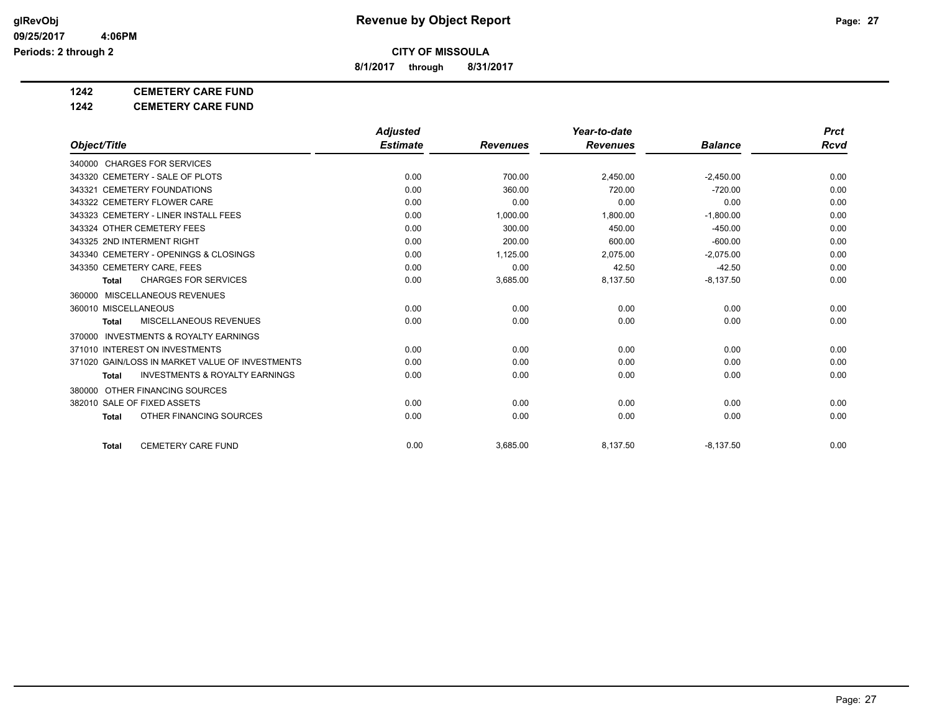**8/1/2017 through 8/31/2017**

#### **1242 CEMETERY CARE FUND**

**1242 CEMETERY CARE FUND**

|                                                           | <b>Adjusted</b> |                 | Year-to-date    |                | <b>Prct</b> |
|-----------------------------------------------------------|-----------------|-----------------|-----------------|----------------|-------------|
| Object/Title                                              | <b>Estimate</b> | <b>Revenues</b> | <b>Revenues</b> | <b>Balance</b> | <b>Rcvd</b> |
| 340000 CHARGES FOR SERVICES                               |                 |                 |                 |                |             |
| 343320 CEMETERY - SALE OF PLOTS                           | 0.00            | 700.00          | 2,450.00        | $-2,450.00$    | 0.00        |
| 343321 CEMETERY FOUNDATIONS                               | 0.00            | 360.00          | 720.00          | $-720.00$      | 0.00        |
| 343322 CEMETERY FLOWER CARE                               | 0.00            | 0.00            | 0.00            | 0.00           | 0.00        |
| 343323 CEMETERY - LINER INSTALL FEES                      | 0.00            | 1,000.00        | 1,800.00        | $-1,800.00$    | 0.00        |
| 343324 OTHER CEMETERY FEES                                | 0.00            | 300.00          | 450.00          | $-450.00$      | 0.00        |
| 343325 2ND INTERMENT RIGHT                                | 0.00            | 200.00          | 600.00          | $-600.00$      | 0.00        |
| 343340 CEMETERY - OPENINGS & CLOSINGS                     | 0.00            | 1,125.00        | 2,075.00        | $-2,075.00$    | 0.00        |
| 343350 CEMETERY CARE, FEES                                | 0.00            | 0.00            | 42.50           | $-42.50$       | 0.00        |
| <b>CHARGES FOR SERVICES</b><br><b>Total</b>               | 0.00            | 3,685.00        | 8,137.50        | $-8,137.50$    | 0.00        |
| 360000 MISCELLANEOUS REVENUES                             |                 |                 |                 |                |             |
| 360010 MISCELLANEOUS                                      | 0.00            | 0.00            | 0.00            | 0.00           | 0.00        |
| <b>MISCELLANEOUS REVENUES</b><br><b>Total</b>             | 0.00            | 0.00            | 0.00            | 0.00           | 0.00        |
| <b>INVESTMENTS &amp; ROYALTY EARNINGS</b><br>370000       |                 |                 |                 |                |             |
| 371010 INTEREST ON INVESTMENTS                            | 0.00            | 0.00            | 0.00            | 0.00           | 0.00        |
| 371020 GAIN/LOSS IN MARKET VALUE OF INVESTMENTS           | 0.00            | 0.00            | 0.00            | 0.00           | 0.00        |
| <b>INVESTMENTS &amp; ROYALTY EARNINGS</b><br><b>Total</b> | 0.00            | 0.00            | 0.00            | 0.00           | 0.00        |
| 380000 OTHER FINANCING SOURCES                            |                 |                 |                 |                |             |
| 382010 SALE OF FIXED ASSETS                               | 0.00            | 0.00            | 0.00            | 0.00           | 0.00        |
| OTHER FINANCING SOURCES<br>Total                          | 0.00            | 0.00            | 0.00            | 0.00           | 0.00        |
| <b>CEMETERY CARE FUND</b><br><b>Total</b>                 | 0.00            | 3.685.00        | 8.137.50        | $-8.137.50$    | 0.00        |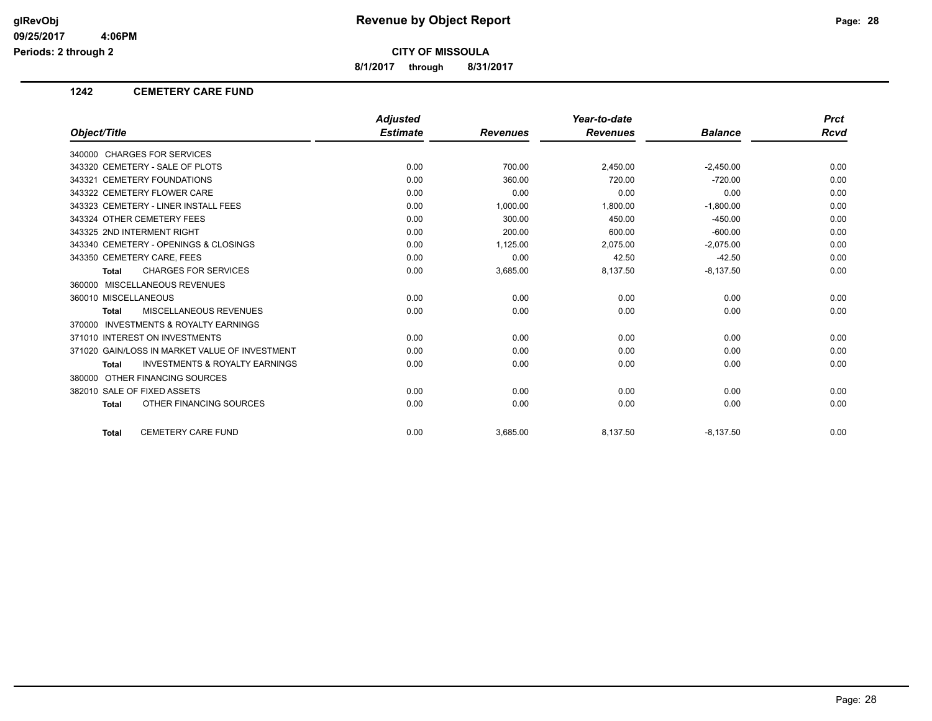**8/1/2017 through 8/31/2017**

#### **1242 CEMETERY CARE FUND**

|                                                           | <b>Adjusted</b> |                 | Year-to-date    |                | <b>Prct</b> |
|-----------------------------------------------------------|-----------------|-----------------|-----------------|----------------|-------------|
| Object/Title                                              | <b>Estimate</b> | <b>Revenues</b> | <b>Revenues</b> | <b>Balance</b> | Rcvd        |
| 340000 CHARGES FOR SERVICES                               |                 |                 |                 |                |             |
| 343320 CEMETERY - SALE OF PLOTS                           | 0.00            | 700.00          | 2,450.00        | $-2,450.00$    | 0.00        |
| 343321 CEMETERY FOUNDATIONS                               | 0.00            | 360.00          | 720.00          | $-720.00$      | 0.00        |
| 343322 CEMETERY FLOWER CARE                               | 0.00            | 0.00            | 0.00            | 0.00           | 0.00        |
| 343323 CEMETERY - LINER INSTALL FEES                      | 0.00            | 1.000.00        | 1,800.00        | $-1,800.00$    | 0.00        |
| 343324 OTHER CEMETERY FEES                                | 0.00            | 300.00          | 450.00          | $-450.00$      | 0.00        |
| 343325 2ND INTERMENT RIGHT                                | 0.00            | 200.00          | 600.00          | $-600.00$      | 0.00        |
| 343340 CEMETERY - OPENINGS & CLOSINGS                     | 0.00            | 1,125.00        | 2,075.00        | $-2,075.00$    | 0.00        |
| 343350 CEMETERY CARE, FEES                                | 0.00            | 0.00            | 42.50           | $-42.50$       | 0.00        |
| <b>CHARGES FOR SERVICES</b><br><b>Total</b>               | 0.00            | 3,685.00        | 8,137.50        | $-8,137.50$    | 0.00        |
| 360000 MISCELLANEOUS REVENUES                             |                 |                 |                 |                |             |
| 360010 MISCELLANEOUS                                      | 0.00            | 0.00            | 0.00            | 0.00           | 0.00        |
| <b>MISCELLANEOUS REVENUES</b><br><b>Total</b>             | 0.00            | 0.00            | 0.00            | 0.00           | 0.00        |
| 370000 INVESTMENTS & ROYALTY EARNINGS                     |                 |                 |                 |                |             |
| 371010 INTEREST ON INVESTMENTS                            | 0.00            | 0.00            | 0.00            | 0.00           | 0.00        |
| 371020 GAIN/LOSS IN MARKET VALUE OF INVESTMENT            | 0.00            | 0.00            | 0.00            | 0.00           | 0.00        |
| <b>INVESTMENTS &amp; ROYALTY EARNINGS</b><br><b>Total</b> | 0.00            | 0.00            | 0.00            | 0.00           | 0.00        |
| 380000 OTHER FINANCING SOURCES                            |                 |                 |                 |                |             |
| 382010 SALE OF FIXED ASSETS                               | 0.00            | 0.00            | 0.00            | 0.00           | 0.00        |
| OTHER FINANCING SOURCES<br><b>Total</b>                   | 0.00            | 0.00            | 0.00            | 0.00           | 0.00        |
| <b>CEMETERY CARE FUND</b><br><b>Total</b>                 | 0.00            | 3,685.00        | 8,137.50        | $-8,137.50$    | 0.00        |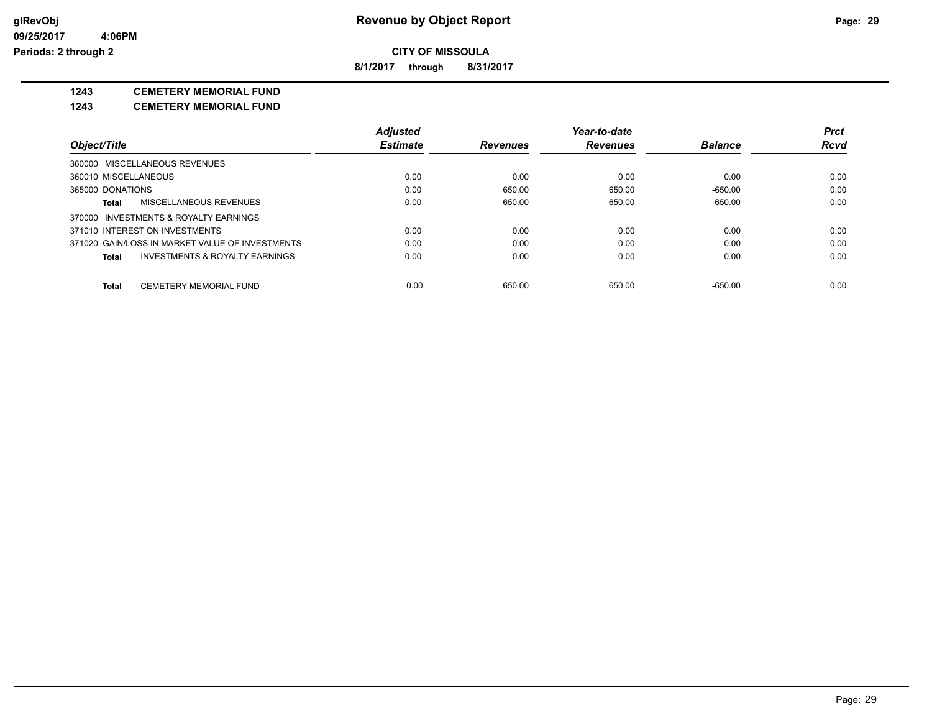**8/1/2017 through 8/31/2017**

**1243 CEMETERY MEMORIAL FUND**

**1243 CEMETERY MEMORIAL FUND**

|                                                    | <b>Adjusted</b> |                 | Year-to-date    |                | <b>Prct</b> |
|----------------------------------------------------|-----------------|-----------------|-----------------|----------------|-------------|
| Object/Title                                       | <b>Estimate</b> | <b>Revenues</b> | <b>Revenues</b> | <b>Balance</b> | <b>Rcvd</b> |
| 360000 MISCELLANEOUS REVENUES                      |                 |                 |                 |                |             |
| 360010 MISCELLANEOUS                               | 0.00            | 0.00            | 0.00            | 0.00           | 0.00        |
| 365000 DONATIONS                                   | 0.00            | 650.00          | 650.00          | $-650.00$      | 0.00        |
| <b>MISCELLANEOUS REVENUES</b><br>Total             | 0.00            | 650.00          | 650.00          | $-650.00$      | 0.00        |
| 370000 INVESTMENTS & ROYALTY EARNINGS              |                 |                 |                 |                |             |
| 371010 INTEREST ON INVESTMENTS                     | 0.00            | 0.00            | 0.00            | 0.00           | 0.00        |
| 371020 GAIN/LOSS IN MARKET VALUE OF INVESTMENTS    | 0.00            | 0.00            | 0.00            | 0.00           | 0.00        |
| <b>INVESTMENTS &amp; ROYALTY EARNINGS</b><br>Total | 0.00            | 0.00            | 0.00            | 0.00           | 0.00        |
| <b>CEMETERY MEMORIAL FUND</b><br>Total             | 0.00            | 650.00          | 650.00          | $-650.00$      | 0.00        |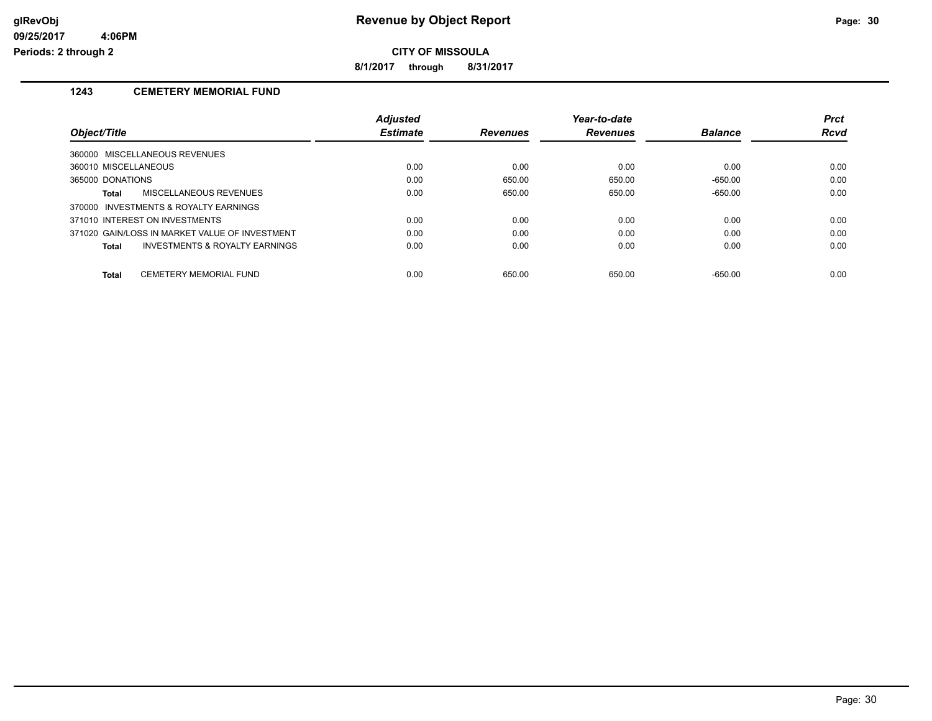**Periods: 2 through 2**

**CITY OF MISSOULA**

**8/1/2017 through 8/31/2017**

## **1243 CEMETERY MEMORIAL FUND**

|                      |                                                | <b>Adiusted</b> |                 | Year-to-date    |                | <b>Prct</b> |
|----------------------|------------------------------------------------|-----------------|-----------------|-----------------|----------------|-------------|
| Object/Title         |                                                | <b>Estimate</b> | <b>Revenues</b> | <b>Revenues</b> | <b>Balance</b> | <b>Rcvd</b> |
|                      | 360000 MISCELLANEOUS REVENUES                  |                 |                 |                 |                |             |
| 360010 MISCELLANEOUS |                                                | 0.00            | 0.00            | 0.00            | 0.00           | 0.00        |
| 365000 DONATIONS     |                                                | 0.00            | 650.00          | 650.00          | $-650.00$      | 0.00        |
| <b>Total</b>         | MISCELLANEOUS REVENUES                         | 0.00            | 650.00          | 650.00          | $-650.00$      | 0.00        |
|                      | 370000 INVESTMENTS & ROYALTY EARNINGS          |                 |                 |                 |                |             |
|                      | 371010 INTEREST ON INVESTMENTS                 | 0.00            | 0.00            | 0.00            | 0.00           | 0.00        |
|                      | 371020 GAIN/LOSS IN MARKET VALUE OF INVESTMENT | 0.00            | 0.00            | 0.00            | 0.00           | 0.00        |
| <b>Total</b>         | INVESTMENTS & ROYALTY EARNINGS                 | 0.00            | 0.00            | 0.00            | 0.00           | 0.00        |
| <b>Total</b>         | <b>CEMETERY MEMORIAL FUND</b>                  | 0.00            | 650.00          | 650.00          | $-650.00$      | 0.00        |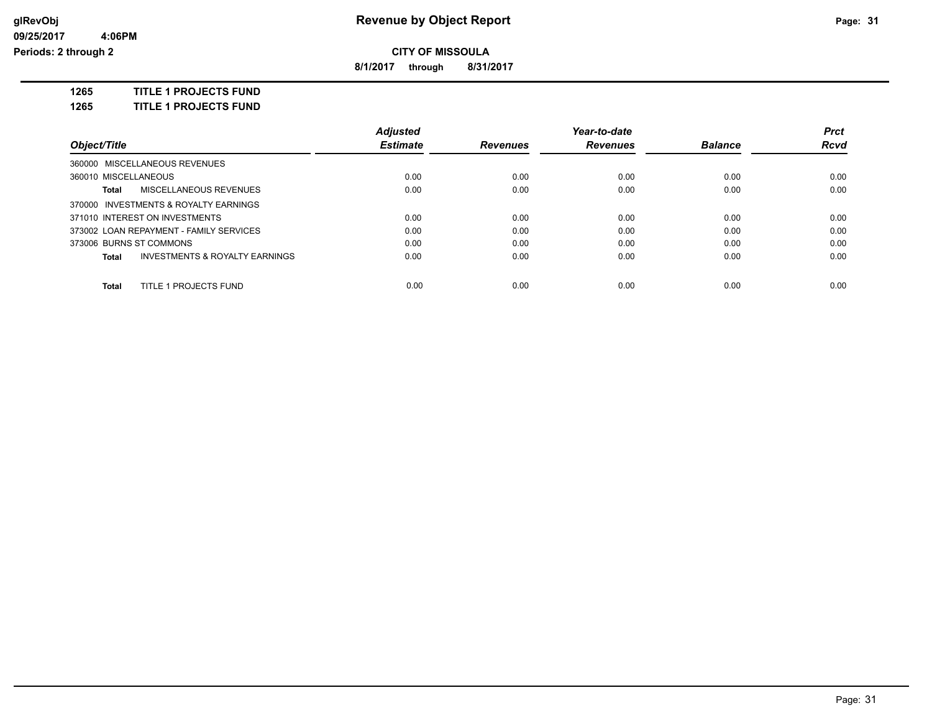**8/1/2017 through 8/31/2017**

**1265 TITLE 1 PROJECTS FUND**

**1265 TITLE 1 PROJECTS FUND**

|                                         | <b>Adjusted</b> |                 | Year-to-date    |                | <b>Prct</b> |
|-----------------------------------------|-----------------|-----------------|-----------------|----------------|-------------|
| Object/Title                            | <b>Estimate</b> | <b>Revenues</b> | <b>Revenues</b> | <b>Balance</b> | Rcvd        |
| 360000 MISCELLANEOUS REVENUES           |                 |                 |                 |                |             |
| 360010 MISCELLANEOUS                    | 0.00            | 0.00            | 0.00            | 0.00           | 0.00        |
| MISCELLANEOUS REVENUES<br>Total         | 0.00            | 0.00            | 0.00            | 0.00           | 0.00        |
| 370000 INVESTMENTS & ROYALTY EARNINGS   |                 |                 |                 |                |             |
| 371010 INTEREST ON INVESTMENTS          | 0.00            | 0.00            | 0.00            | 0.00           | 0.00        |
| 373002 LOAN REPAYMENT - FAMILY SERVICES | 0.00            | 0.00            | 0.00            | 0.00           | 0.00        |
| 373006 BURNS ST COMMONS                 | 0.00            | 0.00            | 0.00            | 0.00           | 0.00        |
| INVESTMENTS & ROYALTY EARNINGS<br>Total | 0.00            | 0.00            | 0.00            | 0.00           | 0.00        |
| <b>TITLE 1 PROJECTS FUND</b><br>Total   | 0.00            | 0.00            | 0.00            | 0.00           | 0.00        |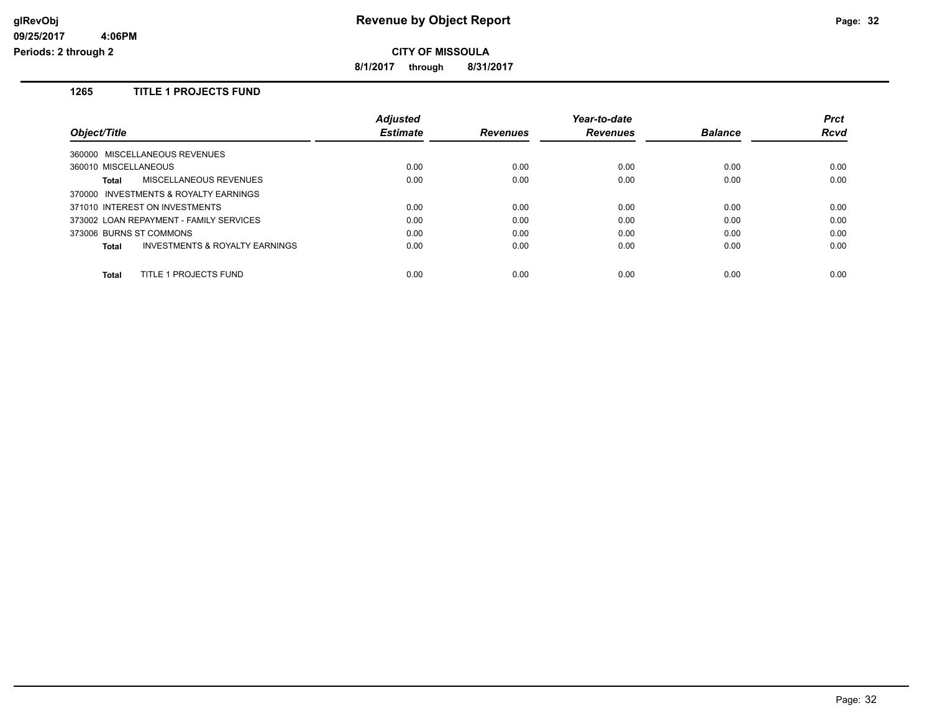**8/1/2017 through 8/31/2017**

## **1265 TITLE 1 PROJECTS FUND**

|                                                    | <b>Adjusted</b> |                 | Year-to-date    |                | <b>Prct</b> |
|----------------------------------------------------|-----------------|-----------------|-----------------|----------------|-------------|
| Object/Title                                       | <b>Estimate</b> | <b>Revenues</b> | <b>Revenues</b> | <b>Balance</b> | <b>Rcvd</b> |
| 360000 MISCELLANEOUS REVENUES                      |                 |                 |                 |                |             |
| 360010 MISCELLANEOUS                               | 0.00            | 0.00            | 0.00            | 0.00           | 0.00        |
| <b>MISCELLANEOUS REVENUES</b><br>Total             | 0.00            | 0.00            | 0.00            | 0.00           | 0.00        |
| 370000 INVESTMENTS & ROYALTY EARNINGS              |                 |                 |                 |                |             |
| 371010 INTEREST ON INVESTMENTS                     | 0.00            | 0.00            | 0.00            | 0.00           | 0.00        |
| 373002 LOAN REPAYMENT - FAMILY SERVICES            | 0.00            | 0.00            | 0.00            | 0.00           | 0.00        |
| 373006 BURNS ST COMMONS                            | 0.00            | 0.00            | 0.00            | 0.00           | 0.00        |
| <b>INVESTMENTS &amp; ROYALTY EARNINGS</b><br>Total | 0.00            | 0.00            | 0.00            | 0.00           | 0.00        |
| TITLE 1 PROJECTS FUND<br>Total                     | 0.00            | 0.00            | 0.00            | 0.00           | 0.00        |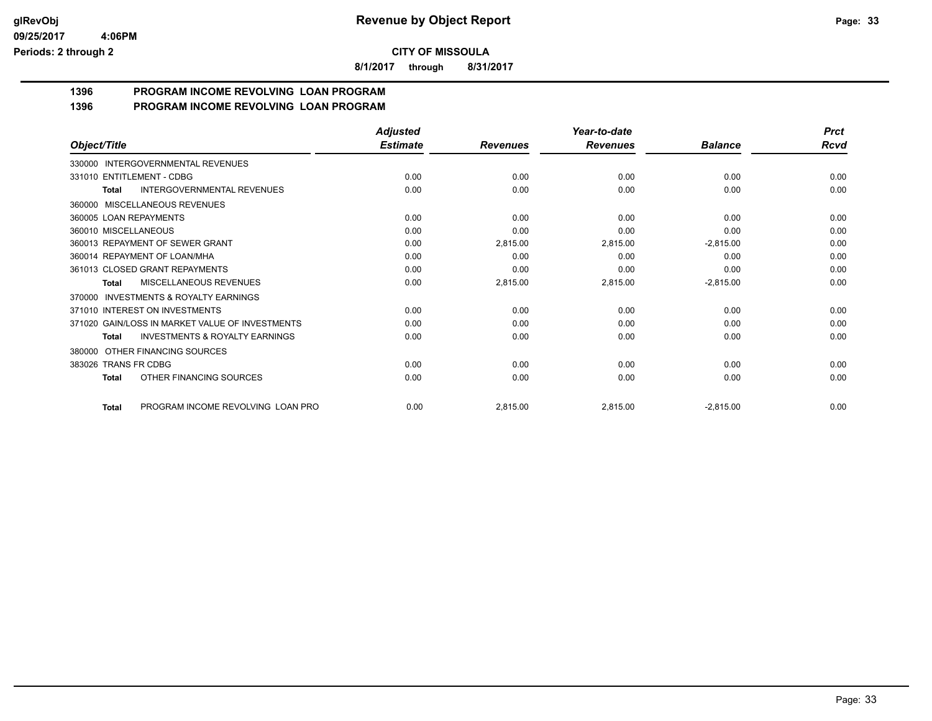**8/1/2017 through 8/31/2017**

#### **1396 PROGRAM INCOME REVOLVING LOAN PROGRAM 1396 PROGRAM INCOME REVOLVING LOAN PROGRAM**

|                                                           | <b>Adjusted</b> |                 | Year-to-date    |                | <b>Prct</b> |
|-----------------------------------------------------------|-----------------|-----------------|-----------------|----------------|-------------|
| Object/Title                                              | <b>Estimate</b> | <b>Revenues</b> | <b>Revenues</b> | <b>Balance</b> | <b>Rcvd</b> |
| <b>INTERGOVERNMENTAL REVENUES</b><br>330000               |                 |                 |                 |                |             |
| 331010 ENTITLEMENT - CDBG                                 | 0.00            | 0.00            | 0.00            | 0.00           | 0.00        |
| <b>INTERGOVERNMENTAL REVENUES</b><br>Total                | 0.00            | 0.00            | 0.00            | 0.00           | 0.00        |
| <b>MISCELLANEOUS REVENUES</b><br>360000                   |                 |                 |                 |                |             |
| 360005 LOAN REPAYMENTS                                    | 0.00            | 0.00            | 0.00            | 0.00           | 0.00        |
| 360010 MISCELLANEOUS                                      | 0.00            | 0.00            | 0.00            | 0.00           | 0.00        |
| 360013 REPAYMENT OF SEWER GRANT                           | 0.00            | 2,815.00        | 2,815.00        | $-2,815.00$    | 0.00        |
| 360014 REPAYMENT OF LOAN/MHA                              | 0.00            | 0.00            | 0.00            | 0.00           | 0.00        |
| 361013 CLOSED GRANT REPAYMENTS                            | 0.00            | 0.00            | 0.00            | 0.00           | 0.00        |
| MISCELLANEOUS REVENUES<br>Total                           | 0.00            | 2,815.00        | 2,815.00        | $-2,815.00$    | 0.00        |
| <b>INVESTMENTS &amp; ROYALTY EARNINGS</b><br>370000       |                 |                 |                 |                |             |
| 371010 INTEREST ON INVESTMENTS                            | 0.00            | 0.00            | 0.00            | 0.00           | 0.00        |
| 371020 GAIN/LOSS IN MARKET VALUE OF INVESTMENTS           | 0.00            | 0.00            | 0.00            | 0.00           | 0.00        |
| <b>INVESTMENTS &amp; ROYALTY EARNINGS</b><br><b>Total</b> | 0.00            | 0.00            | 0.00            | 0.00           | 0.00        |
| OTHER FINANCING SOURCES<br>380000                         |                 |                 |                 |                |             |
| 383026 TRANS FR CDBG                                      | 0.00            | 0.00            | 0.00            | 0.00           | 0.00        |
| OTHER FINANCING SOURCES<br>Total                          | 0.00            | 0.00            | 0.00            | 0.00           | 0.00        |
| PROGRAM INCOME REVOLVING LOAN PRO<br><b>Total</b>         | 0.00            | 2,815.00        | 2,815.00        | $-2,815.00$    | 0.00        |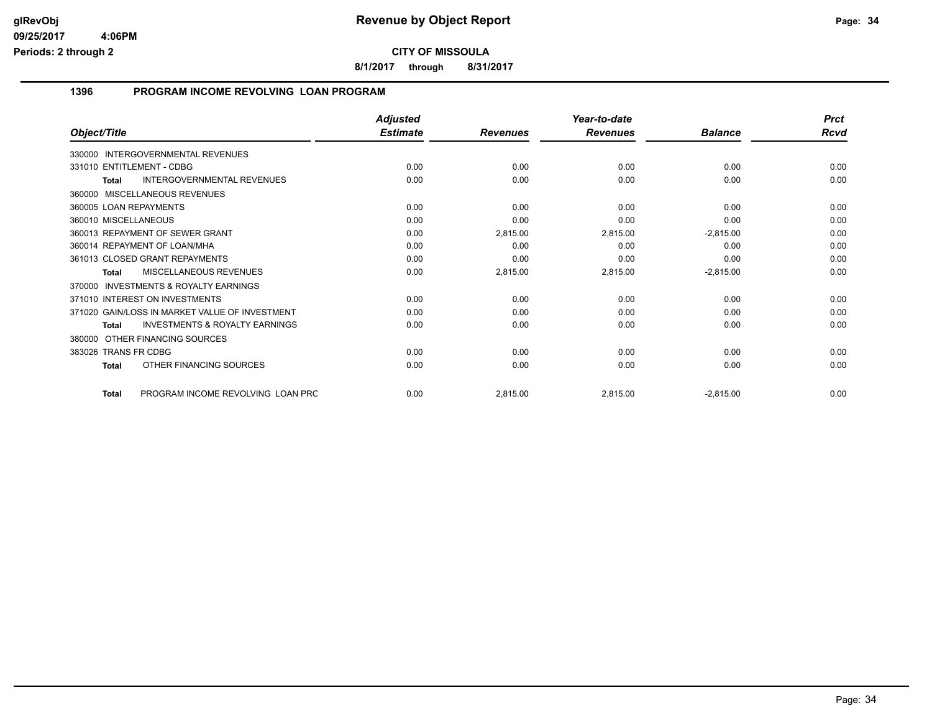**8/1/2017 through 8/31/2017**

#### **1396 PROGRAM INCOME REVOLVING LOAN PROGRAM**

|                                                           | <b>Adjusted</b> |                 | Year-to-date    |                | <b>Prct</b> |
|-----------------------------------------------------------|-----------------|-----------------|-----------------|----------------|-------------|
| Object/Title                                              | <b>Estimate</b> | <b>Revenues</b> | <b>Revenues</b> | <b>Balance</b> | <b>Rcvd</b> |
| 330000 INTERGOVERNMENTAL REVENUES                         |                 |                 |                 |                |             |
| 331010 ENTITLEMENT - CDBG                                 | 0.00            | 0.00            | 0.00            | 0.00           | 0.00        |
| INTERGOVERNMENTAL REVENUES<br><b>Total</b>                | 0.00            | 0.00            | 0.00            | 0.00           | 0.00        |
| MISCELLANEOUS REVENUES<br>360000                          |                 |                 |                 |                |             |
| 360005 LOAN REPAYMENTS                                    | 0.00            | 0.00            | 0.00            | 0.00           | 0.00        |
| 360010 MISCELLANEOUS                                      | 0.00            | 0.00            | 0.00            | 0.00           | 0.00        |
| 360013 REPAYMENT OF SEWER GRANT                           | 0.00            | 2,815.00        | 2,815.00        | $-2,815.00$    | 0.00        |
| 360014 REPAYMENT OF LOAN/MHA                              | 0.00            | 0.00            | 0.00            | 0.00           | 0.00        |
| 361013 CLOSED GRANT REPAYMENTS                            | 0.00            | 0.00            | 0.00            | 0.00           | 0.00        |
| MISCELLANEOUS REVENUES<br>Total                           | 0.00            | 2,815.00        | 2,815.00        | $-2,815.00$    | 0.00        |
| <b>INVESTMENTS &amp; ROYALTY EARNINGS</b><br>370000       |                 |                 |                 |                |             |
| 371010 INTEREST ON INVESTMENTS                            | 0.00            | 0.00            | 0.00            | 0.00           | 0.00        |
| 371020 GAIN/LOSS IN MARKET VALUE OF INVESTMENT            | 0.00            | 0.00            | 0.00            | 0.00           | 0.00        |
| <b>INVESTMENTS &amp; ROYALTY EARNINGS</b><br><b>Total</b> | 0.00            | 0.00            | 0.00            | 0.00           | 0.00        |
| OTHER FINANCING SOURCES<br>380000                         |                 |                 |                 |                |             |
| 383026 TRANS FR CDBG                                      | 0.00            | 0.00            | 0.00            | 0.00           | 0.00        |
| OTHER FINANCING SOURCES<br><b>Total</b>                   | 0.00            | 0.00            | 0.00            | 0.00           | 0.00        |
| PROGRAM INCOME REVOLVING LOAN PRC<br><b>Total</b>         | 0.00            | 2,815.00        | 2,815.00        | $-2,815.00$    | 0.00        |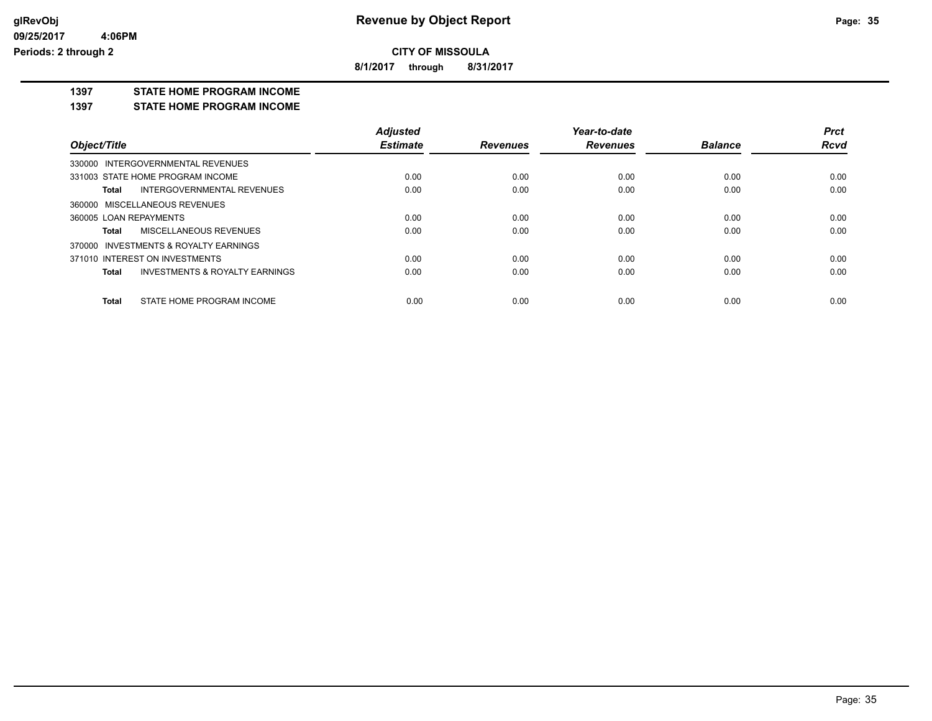**8/1/2017 through 8/31/2017**

#### **1397 STATE HOME PROGRAM INCOME**

#### **1397 STATE HOME PROGRAM INCOME**

|                                                    | <b>Adjusted</b> |                 | Year-to-date    |                | <b>Prct</b> |
|----------------------------------------------------|-----------------|-----------------|-----------------|----------------|-------------|
| Object/Title                                       | <b>Estimate</b> | <b>Revenues</b> | <b>Revenues</b> | <b>Balance</b> | <b>Rcvd</b> |
| 330000 INTERGOVERNMENTAL REVENUES                  |                 |                 |                 |                |             |
| 331003 STATE HOME PROGRAM INCOME                   | 0.00            | 0.00            | 0.00            | 0.00           | 0.00        |
| INTERGOVERNMENTAL REVENUES<br>Total                | 0.00            | 0.00            | 0.00            | 0.00           | 0.00        |
| 360000 MISCELLANEOUS REVENUES                      |                 |                 |                 |                |             |
| 360005 LOAN REPAYMENTS                             | 0.00            | 0.00            | 0.00            | 0.00           | 0.00        |
| MISCELLANEOUS REVENUES<br>Total                    | 0.00            | 0.00            | 0.00            | 0.00           | 0.00        |
| 370000 INVESTMENTS & ROYALTY EARNINGS              |                 |                 |                 |                |             |
| 371010 INTEREST ON INVESTMENTS                     | 0.00            | 0.00            | 0.00            | 0.00           | 0.00        |
| <b>INVESTMENTS &amp; ROYALTY EARNINGS</b><br>Total | 0.00            | 0.00            | 0.00            | 0.00           | 0.00        |
|                                                    |                 |                 |                 |                |             |
| STATE HOME PROGRAM INCOME<br>Total                 | 0.00            | 0.00            | 0.00            | 0.00           | 0.00        |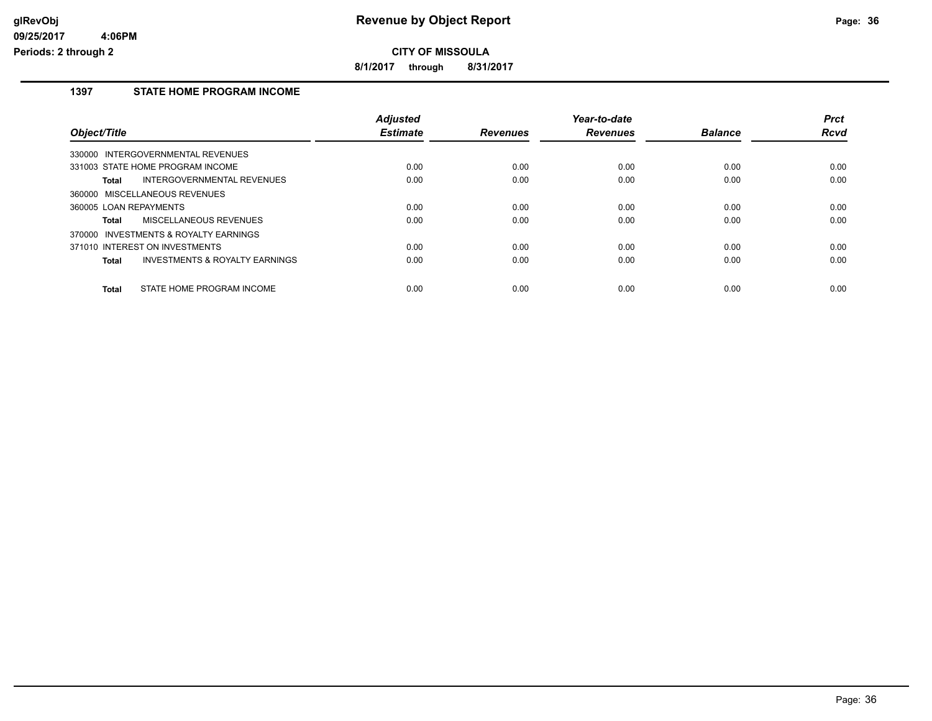**8/1/2017 through 8/31/2017**

## **1397 STATE HOME PROGRAM INCOME**

| Object/Title           |                                           | <b>Adjusted</b><br><b>Estimate</b> | <b>Revenues</b> | Year-to-date<br><b>Revenues</b> | <b>Balance</b> | <b>Prct</b><br><b>Rcvd</b> |
|------------------------|-------------------------------------------|------------------------------------|-----------------|---------------------------------|----------------|----------------------------|
| 330000                 | INTERGOVERNMENTAL REVENUES                |                                    |                 |                                 |                |                            |
|                        | 331003 STATE HOME PROGRAM INCOME          | 0.00                               | 0.00            | 0.00                            | 0.00           | 0.00                       |
| Total                  | INTERGOVERNMENTAL REVENUES                | 0.00                               | 0.00            | 0.00                            | 0.00           | 0.00                       |
| 360000                 | MISCELLANEOUS REVENUES                    |                                    |                 |                                 |                |                            |
| 360005 LOAN REPAYMENTS |                                           | 0.00                               | 0.00            | 0.00                            | 0.00           | 0.00                       |
| <b>Total</b>           | MISCELLANEOUS REVENUES                    | 0.00                               | 0.00            | 0.00                            | 0.00           | 0.00                       |
| 370000                 | INVESTMENTS & ROYALTY EARNINGS            |                                    |                 |                                 |                |                            |
|                        | 371010 INTEREST ON INVESTMENTS            | 0.00                               | 0.00            | 0.00                            | 0.00           | 0.00                       |
| <b>Total</b>           | <b>INVESTMENTS &amp; ROYALTY EARNINGS</b> | 0.00                               | 0.00            | 0.00                            | 0.00           | 0.00                       |
| <b>Total</b>           | STATE HOME PROGRAM INCOME                 | 0.00                               | 0.00            | 0.00                            | 0.00           | 0.00                       |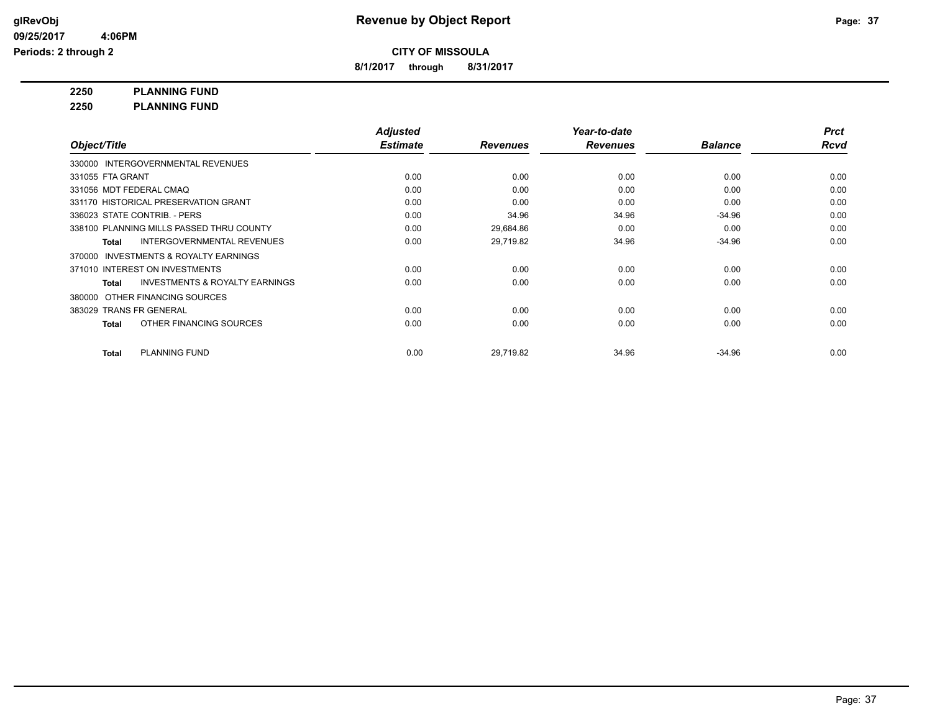**8/1/2017 through 8/31/2017**

**2250 PLANNING FUND**

**2250 PLANNING FUND**

|                                                           | <b>Adjusted</b> |                 | Year-to-date    |                | <b>Prct</b> |
|-----------------------------------------------------------|-----------------|-----------------|-----------------|----------------|-------------|
| Object/Title                                              | <b>Estimate</b> | <b>Revenues</b> | <b>Revenues</b> | <b>Balance</b> | <b>Rcvd</b> |
| 330000 INTERGOVERNMENTAL REVENUES                         |                 |                 |                 |                |             |
| 331055 FTA GRANT                                          | 0.00            | 0.00            | 0.00            | 0.00           | 0.00        |
| 331056 MDT FEDERAL CMAQ                                   | 0.00            | 0.00            | 0.00            | 0.00           | 0.00        |
| 331170 HISTORICAL PRESERVATION GRANT                      | 0.00            | 0.00            | 0.00            | 0.00           | 0.00        |
| 336023 STATE CONTRIB. - PERS                              | 0.00            | 34.96           | 34.96           | $-34.96$       | 0.00        |
| 338100 PLANNING MILLS PASSED THRU COUNTY                  | 0.00            | 29,684.86       | 0.00            | 0.00           | 0.00        |
| <b>INTERGOVERNMENTAL REVENUES</b><br><b>Total</b>         | 0.00            | 29,719.82       | 34.96           | $-34.96$       | 0.00        |
| INVESTMENTS & ROYALTY EARNINGS<br>370000                  |                 |                 |                 |                |             |
| 371010 INTEREST ON INVESTMENTS                            | 0.00            | 0.00            | 0.00            | 0.00           | 0.00        |
| <b>INVESTMENTS &amp; ROYALTY EARNINGS</b><br><b>Total</b> | 0.00            | 0.00            | 0.00            | 0.00           | 0.00        |
| OTHER FINANCING SOURCES<br>380000                         |                 |                 |                 |                |             |
| 383029 TRANS FR GENERAL                                   | 0.00            | 0.00            | 0.00            | 0.00           | 0.00        |
| OTHER FINANCING SOURCES<br><b>Total</b>                   | 0.00            | 0.00            | 0.00            | 0.00           | 0.00        |
|                                                           |                 |                 |                 |                |             |
| <b>PLANNING FUND</b><br><b>Total</b>                      | 0.00            | 29,719.82       | 34.96           | $-34.96$       | 0.00        |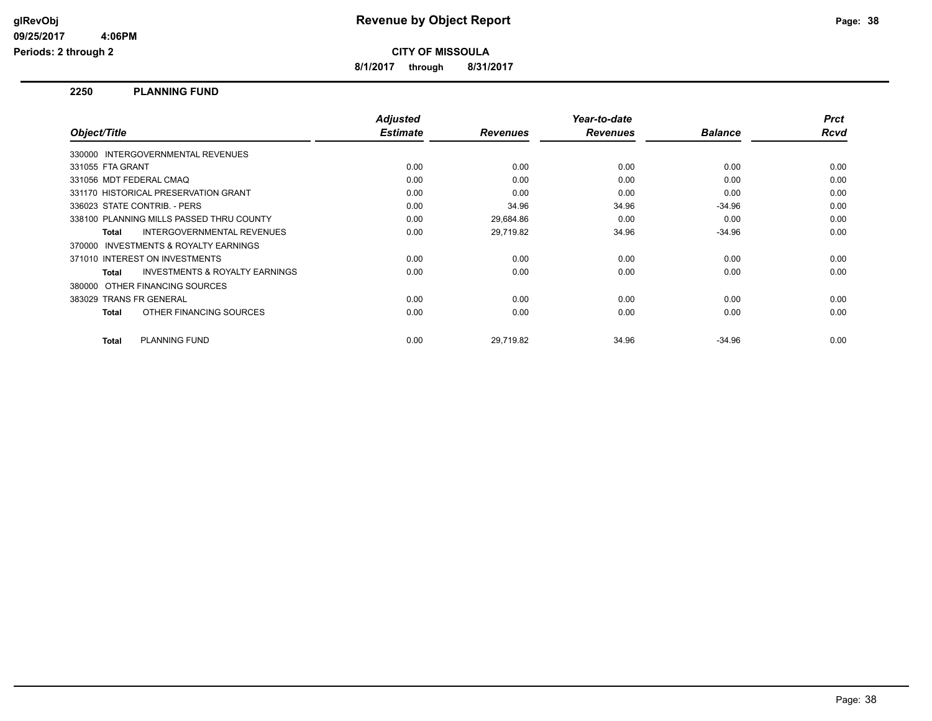**8/1/2017 through 8/31/2017**

# **2250 PLANNING FUND**

| Object/Title                                        | <b>Adjusted</b><br><b>Estimate</b> | <b>Revenues</b> | Year-to-date<br><b>Revenues</b> | <b>Balance</b> | <b>Prct</b><br><b>Rcvd</b> |
|-----------------------------------------------------|------------------------------------|-----------------|---------------------------------|----------------|----------------------------|
| 330000 INTERGOVERNMENTAL REVENUES                   |                                    |                 |                                 |                |                            |
| 331055 FTA GRANT                                    | 0.00                               | 0.00            | 0.00                            | 0.00           | 0.00                       |
| 331056 MDT FEDERAL CMAQ                             | 0.00                               | 0.00            | 0.00                            | 0.00           | 0.00                       |
| 331170 HISTORICAL PRESERVATION GRANT                | 0.00                               | 0.00            | 0.00                            | 0.00           | 0.00                       |
| 336023 STATE CONTRIB. - PERS                        | 0.00                               | 34.96           | 34.96                           | $-34.96$       | 0.00                       |
| 338100 PLANNING MILLS PASSED THRU COUNTY            | 0.00                               | 29,684.86       | 0.00                            | 0.00           | 0.00                       |
| <b>INTERGOVERNMENTAL REVENUES</b><br>Total          | 0.00                               | 29,719.82       | 34.96                           | $-34.96$       | 0.00                       |
| <b>INVESTMENTS &amp; ROYALTY EARNINGS</b><br>370000 |                                    |                 |                                 |                |                            |
| 371010 INTEREST ON INVESTMENTS                      | 0.00                               | 0.00            | 0.00                            | 0.00           | 0.00                       |
| <b>INVESTMENTS &amp; ROYALTY EARNINGS</b><br>Total  | 0.00                               | 0.00            | 0.00                            | 0.00           | 0.00                       |
| 380000 OTHER FINANCING SOURCES                      |                                    |                 |                                 |                |                            |
| 383029 TRANS FR GENERAL                             | 0.00                               | 0.00            | 0.00                            | 0.00           | 0.00                       |
| OTHER FINANCING SOURCES<br>Total                    | 0.00                               | 0.00            | 0.00                            | 0.00           | 0.00                       |
|                                                     |                                    |                 |                                 |                |                            |
| <b>PLANNING FUND</b><br>Total                       | 0.00                               | 29.719.82       | 34.96                           | $-34.96$       | 0.00                       |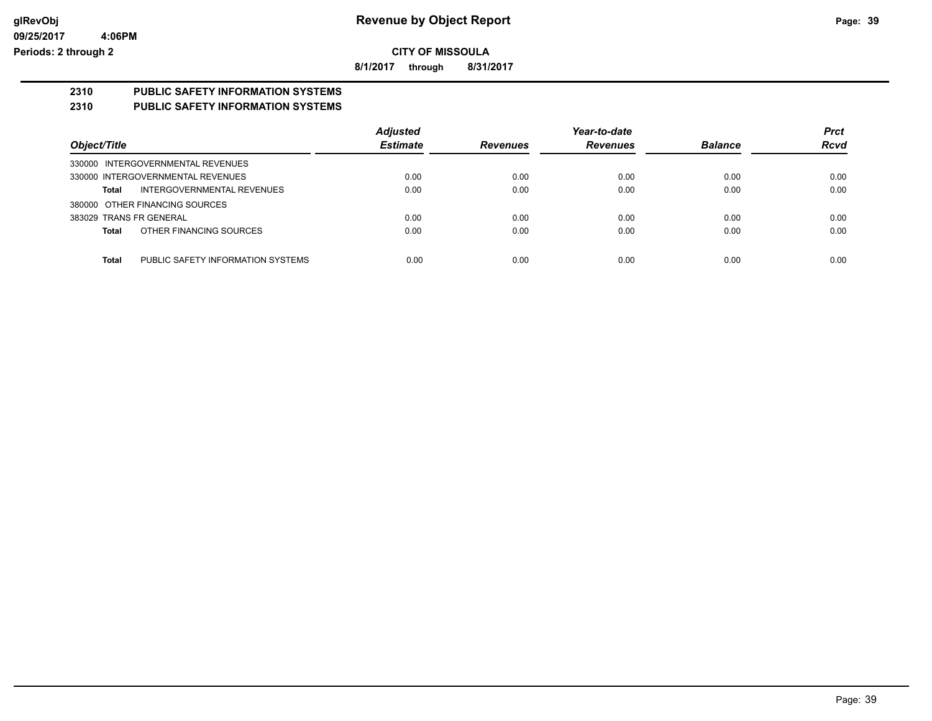**8/1/2017 through 8/31/2017**

# **2310 PUBLIC SAFETY INFORMATION SYSTEMS 2310 PUBLIC SAFETY INFORMATION SYSTEMS**

|                                            | <b>Adjusted</b> |                 | Year-to-date    |                | <b>Prct</b> |
|--------------------------------------------|-----------------|-----------------|-----------------|----------------|-------------|
| Object/Title                               | <b>Estimate</b> | <b>Revenues</b> | <b>Revenues</b> | <b>Balance</b> | Rcvd        |
| 330000 INTERGOVERNMENTAL REVENUES          |                 |                 |                 |                |             |
| 330000 INTERGOVERNMENTAL REVENUES          | 0.00            | 0.00            | 0.00            | 0.00           | 0.00        |
| <b>INTERGOVERNMENTAL REVENUES</b><br>Total | 0.00            | 0.00            | 0.00            | 0.00           | 0.00        |
| 380000 OTHER FINANCING SOURCES             |                 |                 |                 |                |             |
| 383029 TRANS FR GENERAL                    | 0.00            | 0.00            | 0.00            | 0.00           | 0.00        |
| OTHER FINANCING SOURCES<br>Total           | 0.00            | 0.00            | 0.00            | 0.00           | 0.00        |
| PUBLIC SAFETY INFORMATION SYSTEMS<br>Total | 0.00            | 0.00            | 0.00            | 0.00           | 0.00        |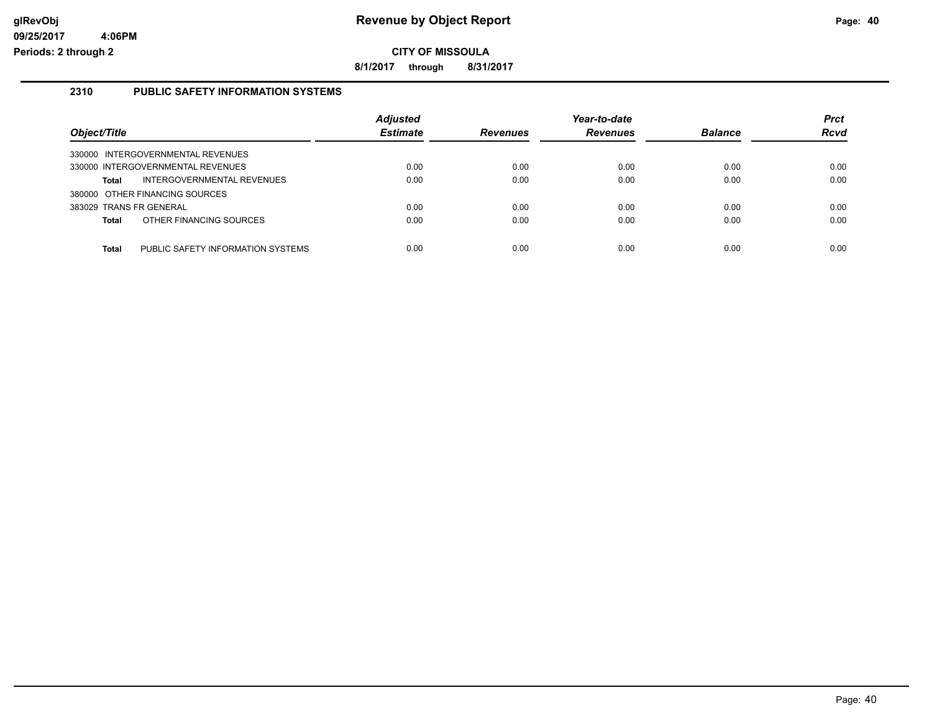**8/1/2017 through 8/31/2017**

# **2310 PUBLIC SAFETY INFORMATION SYSTEMS**

|                                                   | <b>Adjusted</b> |                 | Year-to-date    |                | <b>Prct</b> |
|---------------------------------------------------|-----------------|-----------------|-----------------|----------------|-------------|
| Object/Title                                      | <b>Estimate</b> | <b>Revenues</b> | <b>Revenues</b> | <b>Balance</b> | <b>Rcvd</b> |
| 330000 INTERGOVERNMENTAL REVENUES                 |                 |                 |                 |                |             |
| 330000 INTERGOVERNMENTAL REVENUES                 | 0.00            | 0.00            | 0.00            | 0.00           | 0.00        |
| INTERGOVERNMENTAL REVENUES<br><b>Total</b>        | 0.00            | 0.00            | 0.00            | 0.00           | 0.00        |
| 380000 OTHER FINANCING SOURCES                    |                 |                 |                 |                |             |
| 383029 TRANS FR GENERAL                           | 0.00            | 0.00            | 0.00            | 0.00           | 0.00        |
| OTHER FINANCING SOURCES<br><b>Total</b>           | 0.00            | 0.00            | 0.00            | 0.00           | 0.00        |
|                                                   |                 |                 |                 |                |             |
| PUBLIC SAFETY INFORMATION SYSTEMS<br><b>Total</b> | 0.00            | 0.00            | 0.00            | 0.00           | 0.00        |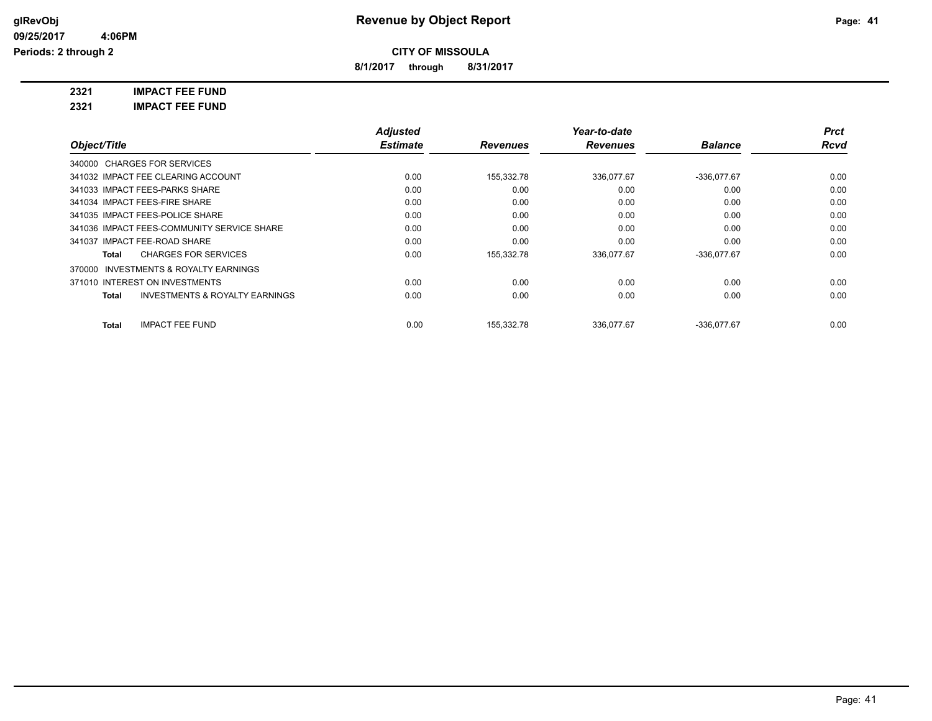**8/1/2017 through 8/31/2017**

**2321 IMPACT FEE FUND**

**2321 IMPACT FEE FUND**

|                                                           | <b>Adjusted</b> |                 | Year-to-date    |                | <b>Prct</b> |
|-----------------------------------------------------------|-----------------|-----------------|-----------------|----------------|-------------|
| Object/Title                                              | <b>Estimate</b> | <b>Revenues</b> | <b>Revenues</b> | <b>Balance</b> | Rcvd        |
| 340000 CHARGES FOR SERVICES                               |                 |                 |                 |                |             |
| 341032 IMPACT FEE CLEARING ACCOUNT                        | 0.00            | 155,332.78      | 336,077.67      | $-336,077.67$  | 0.00        |
| 341033 IMPACT FEES-PARKS SHARE                            | 0.00            | 0.00            | 0.00            | 0.00           | 0.00        |
| 341034 IMPACT FEES-FIRE SHARE                             | 0.00            | 0.00            | 0.00            | 0.00           | 0.00        |
| 341035 IMPACT FEES-POLICE SHARE                           | 0.00            | 0.00            | 0.00            | 0.00           | 0.00        |
| 341036 IMPACT FEES-COMMUNITY SERVICE SHARE                | 0.00            | 0.00            | 0.00            | 0.00           | 0.00        |
| 341037 IMPACT FEE-ROAD SHARE                              | 0.00            | 0.00            | 0.00            | 0.00           | 0.00        |
| <b>CHARGES FOR SERVICES</b><br>Total                      | 0.00            | 155,332.78      | 336,077.67      | $-336,077.67$  | 0.00        |
| 370000 INVESTMENTS & ROYALTY EARNINGS                     |                 |                 |                 |                |             |
| 371010 INTEREST ON INVESTMENTS                            | 0.00            | 0.00            | 0.00            | 0.00           | 0.00        |
| <b>INVESTMENTS &amp; ROYALTY EARNINGS</b><br><b>Total</b> | 0.00            | 0.00            | 0.00            | 0.00           | 0.00        |
| <b>IMPACT FEE FUND</b><br>Total                           | 0.00            | 155.332.78      | 336.077.67      | -336.077.67    | 0.00        |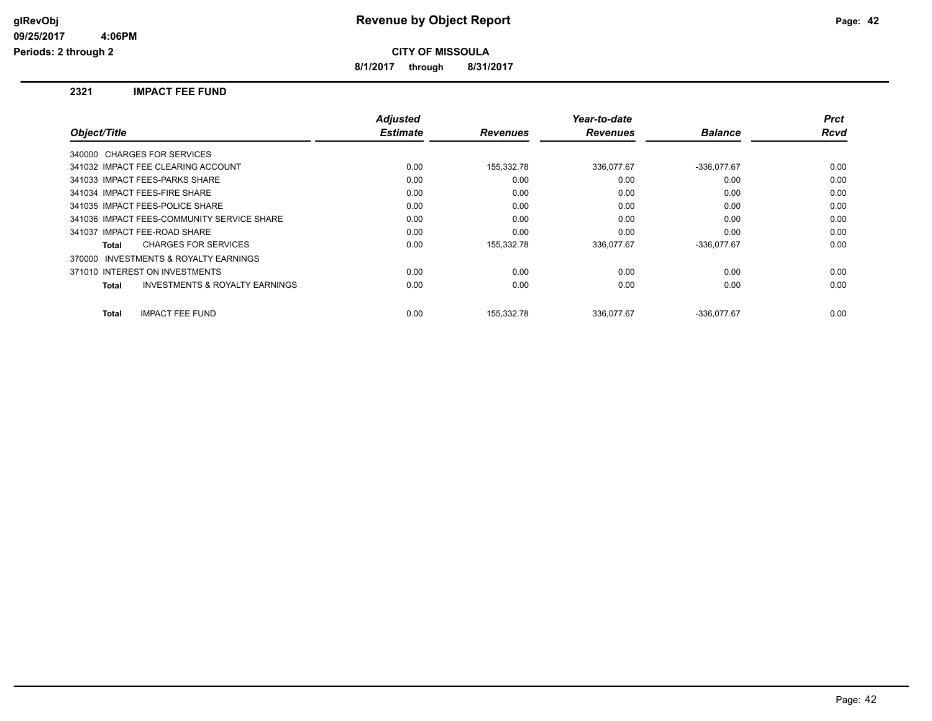**8/1/2017 through 8/31/2017**

# **2321 IMPACT FEE FUND**

|                                                     | <b>Adjusted</b><br><b>Estimate</b> |                 | Year-to-date    |                | <b>Prct</b><br><b>Rcvd</b> |
|-----------------------------------------------------|------------------------------------|-----------------|-----------------|----------------|----------------------------|
| Object/Title                                        |                                    | <b>Revenues</b> | <b>Revenues</b> | <b>Balance</b> |                            |
| 340000 CHARGES FOR SERVICES                         |                                    |                 |                 |                |                            |
| 341032 IMPACT FEE CLEARING ACCOUNT                  | 0.00                               | 155,332.78      | 336,077.67      | $-336,077.67$  | 0.00                       |
| 341033 IMPACT FEES-PARKS SHARE                      | 0.00                               | 0.00            | 0.00            | 0.00           | 0.00                       |
| 341034 IMPACT FEES-FIRE SHARE                       | 0.00                               | 0.00            | 0.00            | 0.00           | 0.00                       |
| 341035 IMPACT FEES-POLICE SHARE                     | 0.00                               | 0.00            | 0.00            | 0.00           | 0.00                       |
| 341036 IMPACT FEES-COMMUNITY SERVICE SHARE          | 0.00                               | 0.00            | 0.00            | 0.00           | 0.00                       |
| 341037 IMPACT FEE-ROAD SHARE                        | 0.00                               | 0.00            | 0.00            | 0.00           | 0.00                       |
| <b>CHARGES FOR SERVICES</b><br>Total                | 0.00                               | 155,332.78      | 336.077.67      | -336.077.67    | 0.00                       |
| <b>INVESTMENTS &amp; ROYALTY EARNINGS</b><br>370000 |                                    |                 |                 |                |                            |
| 371010 INTEREST ON INVESTMENTS                      | 0.00                               | 0.00            | 0.00            | 0.00           | 0.00                       |
| INVESTMENTS & ROYALTY EARNINGS<br>Total             | 0.00                               | 0.00            | 0.00            | 0.00           | 0.00                       |
| <b>IMPACT FEE FUND</b><br><b>Total</b>              | 0.00                               | 155,332.78      | 336,077.67      | $-336,077.67$  | 0.00                       |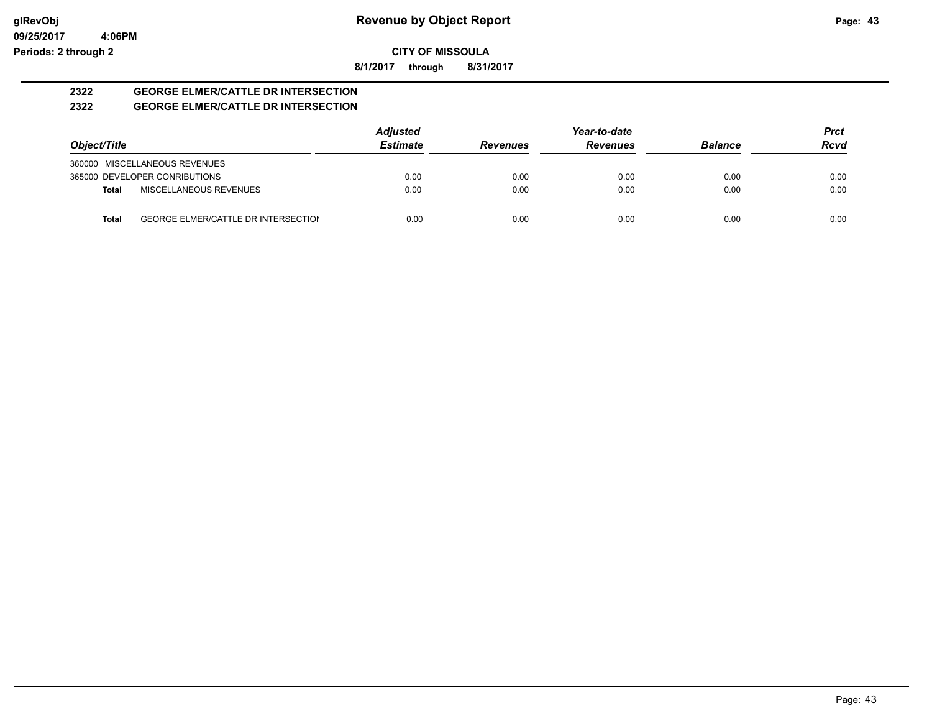# **09/25/2017 4:06PM Periods: 2 through 2**

**CITY OF MISSOULA**

**8/1/2017 through 8/31/2017**

# **2322 GEORGE ELMER/CATTLE DR INTERSECTION 2322 GEORGE ELMER/CATTLE DR INTERSECTION**

|              |                                            | <b>Adjusted</b> |                 | Year-to-date    |                | Prct |
|--------------|--------------------------------------------|-----------------|-----------------|-----------------|----------------|------|
| Object/Title |                                            | <b>Estimate</b> | <b>Revenues</b> | <b>Revenues</b> | <b>Balance</b> | Rcvd |
|              | 360000 MISCELLANEOUS REVENUES              |                 |                 |                 |                |      |
|              | 365000 DEVELOPER CONRIBUTIONS              | 0.00            | 0.00            | 0.00            | 0.00           | 0.00 |
| <b>Total</b> | MISCELLANEOUS REVENUES                     | 0.00            | 0.00            | 0.00            | 0.00           | 0.00 |
| <b>Total</b> | <b>GEORGE ELMER/CATTLE DR INTERSECTION</b> | 0.00            | 0.00            | 0.00            | 0.00           | 0.00 |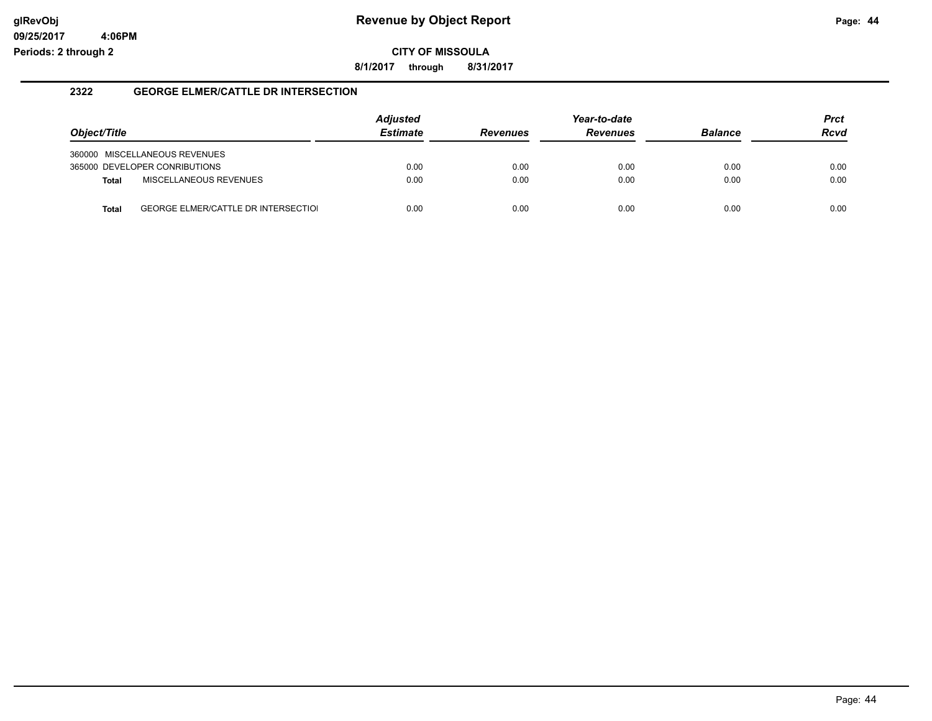**8/1/2017 through 8/31/2017**

# **2322 GEORGE ELMER/CATTLE DR INTERSECTION**

| Object/Title |                                            | <b>Adjusted</b><br><b>Estimate</b> | <b>Revenues</b> | Year-to-date<br><b>Revenues</b> | <b>Balance</b> | <b>Prct</b><br><b>Rcvd</b> |
|--------------|--------------------------------------------|------------------------------------|-----------------|---------------------------------|----------------|----------------------------|
|              | 360000 MISCELLANEOUS REVENUES              |                                    |                 |                                 |                |                            |
|              | 365000 DEVELOPER CONRIBUTIONS              | 0.00                               | 0.00            | 0.00                            | 0.00           | 0.00                       |
| <b>Total</b> | MISCELLANEOUS REVENUES                     | 0.00                               | 0.00            | 0.00                            | 0.00           | 0.00                       |
|              |                                            |                                    |                 |                                 |                |                            |
| <b>Total</b> | <b>GEORGE ELMER/CATTLE DR INTERSECTIOI</b> | 0.00                               | 0.00            | 0.00                            | 0.00           | 0.00                       |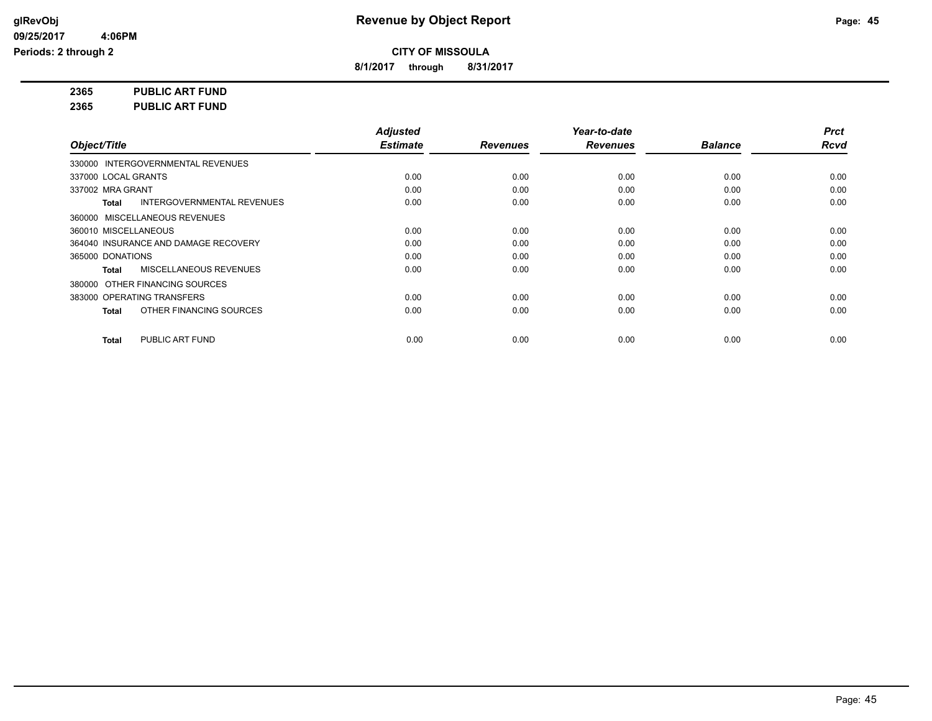**8/1/2017 through 8/31/2017**

**2365 PUBLIC ART FUND**

**2365 PUBLIC ART FUND**

|                                      | <b>Adjusted</b> |                 | Year-to-date    |                | <b>Prct</b> |
|--------------------------------------|-----------------|-----------------|-----------------|----------------|-------------|
| Object/Title                         | <b>Estimate</b> | <b>Revenues</b> | <b>Revenues</b> | <b>Balance</b> | <b>Rcvd</b> |
| 330000 INTERGOVERNMENTAL REVENUES    |                 |                 |                 |                |             |
| 337000 LOCAL GRANTS                  | 0.00            | 0.00            | 0.00            | 0.00           | 0.00        |
| 337002 MRA GRANT                     | 0.00            | 0.00            | 0.00            | 0.00           | 0.00        |
| INTERGOVERNMENTAL REVENUES<br>Total  | 0.00            | 0.00            | 0.00            | 0.00           | 0.00        |
| 360000 MISCELLANEOUS REVENUES        |                 |                 |                 |                |             |
| 360010 MISCELLANEOUS                 | 0.00            | 0.00            | 0.00            | 0.00           | 0.00        |
| 364040 INSURANCE AND DAMAGE RECOVERY | 0.00            | 0.00            | 0.00            | 0.00           | 0.00        |
| 365000 DONATIONS                     | 0.00            | 0.00            | 0.00            | 0.00           | 0.00        |
| MISCELLANEOUS REVENUES<br>Total      | 0.00            | 0.00            | 0.00            | 0.00           | 0.00        |
| 380000 OTHER FINANCING SOURCES       |                 |                 |                 |                |             |
| 383000 OPERATING TRANSFERS           | 0.00            | 0.00            | 0.00            | 0.00           | 0.00        |
| OTHER FINANCING SOURCES<br>Total     | 0.00            | 0.00            | 0.00            | 0.00           | 0.00        |
| PUBLIC ART FUND<br>Total             | 0.00            | 0.00            | 0.00            | 0.00           | 0.00        |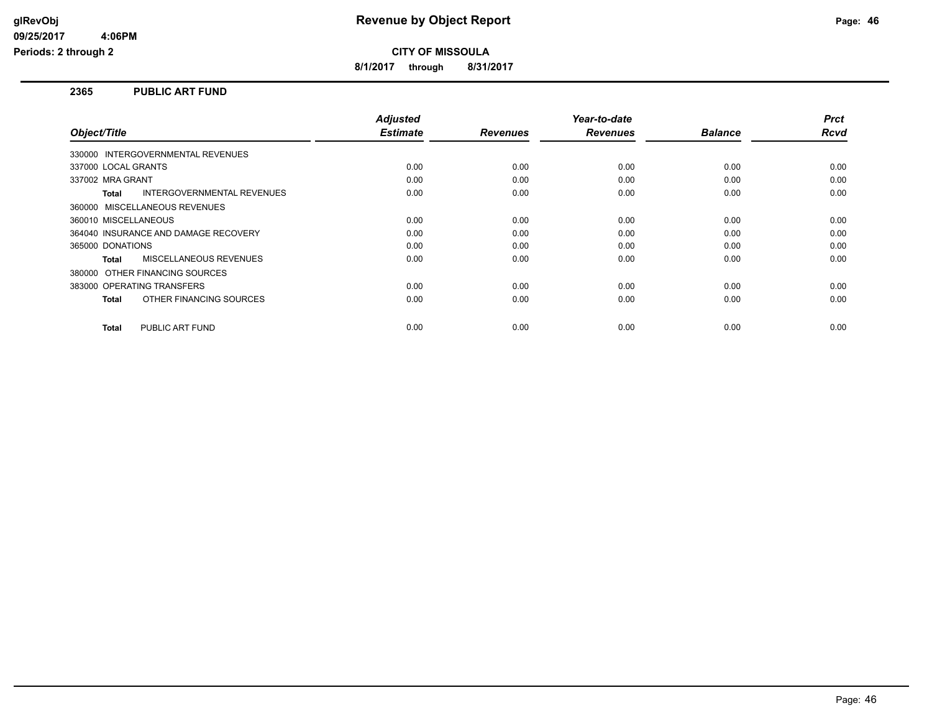**Periods: 2 through 2**

**CITY OF MISSOULA**

**8/1/2017 through 8/31/2017**

# **2365 PUBLIC ART FUND**

 **4:06PM**

| Object/Title                               | <b>Adjusted</b><br><b>Estimate</b> | <b>Revenues</b> | Year-to-date<br><b>Revenues</b> | <b>Balance</b> | <b>Prct</b><br>Rcvd |
|--------------------------------------------|------------------------------------|-----------------|---------------------------------|----------------|---------------------|
| 330000 INTERGOVERNMENTAL REVENUES          |                                    |                 |                                 |                |                     |
| 337000 LOCAL GRANTS                        | 0.00                               | 0.00            | 0.00                            | 0.00           | 0.00                |
| 337002 MRA GRANT                           | 0.00                               | 0.00            | 0.00                            | 0.00           | 0.00                |
| <b>INTERGOVERNMENTAL REVENUES</b><br>Total | 0.00                               | 0.00            | 0.00                            | 0.00           | 0.00                |
| 360000 MISCELLANEOUS REVENUES              |                                    |                 |                                 |                |                     |
| 360010 MISCELLANEOUS                       | 0.00                               | 0.00            | 0.00                            | 0.00           | 0.00                |
| 364040 INSURANCE AND DAMAGE RECOVERY       | 0.00                               | 0.00            | 0.00                            | 0.00           | 0.00                |
| 365000 DONATIONS                           | 0.00                               | 0.00            | 0.00                            | 0.00           | 0.00                |
| <b>MISCELLANEOUS REVENUES</b><br>Total     | 0.00                               | 0.00            | 0.00                            | 0.00           | 0.00                |
| 380000 OTHER FINANCING SOURCES             |                                    |                 |                                 |                |                     |
| 383000 OPERATING TRANSFERS                 | 0.00                               | 0.00            | 0.00                            | 0.00           | 0.00                |
| OTHER FINANCING SOURCES<br>Total           | 0.00                               | 0.00            | 0.00                            | 0.00           | 0.00                |
|                                            |                                    |                 |                                 |                |                     |
| PUBLIC ART FUND<br>Total                   | 0.00                               | 0.00            | 0.00                            | 0.00           | 0.00                |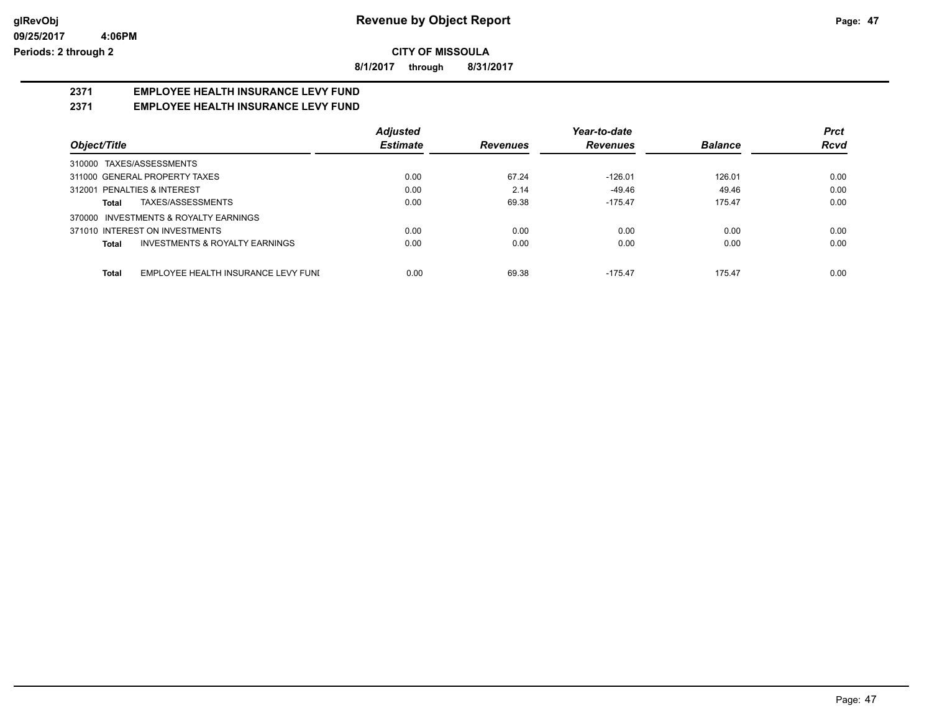**8/1/2017 through 8/31/2017**

# **2371 EMPLOYEE HEALTH INSURANCE LEVY FUND**

# **2371 EMPLOYEE HEALTH INSURANCE LEVY FUND**

|                                                | <b>Adjusted</b> |                 | Year-to-date    |                | <b>Prct</b> |
|------------------------------------------------|-----------------|-----------------|-----------------|----------------|-------------|
| Object/Title                                   | <b>Estimate</b> | <b>Revenues</b> | <b>Revenues</b> | <b>Balance</b> | <b>Rcvd</b> |
| 310000 TAXES/ASSESSMENTS                       |                 |                 |                 |                |             |
| 311000 GENERAL PROPERTY TAXES                  | 0.00            | 67.24           | $-126.01$       | 126.01         | 0.00        |
| 312001 PENALTIES & INTEREST                    | 0.00            | 2.14            | $-49.46$        | 49.46          | 0.00        |
| TAXES/ASSESSMENTS<br>Total                     | 0.00            | 69.38           | $-175.47$       | 175.47         | 0.00        |
| 370000 INVESTMENTS & ROYALTY EARNINGS          |                 |                 |                 |                |             |
| 371010 INTEREST ON INVESTMENTS                 | 0.00            | 0.00            | 0.00            | 0.00           | 0.00        |
| INVESTMENTS & ROYALTY EARNINGS<br><b>Total</b> | 0.00            | 0.00            | 0.00            | 0.00           | 0.00        |
|                                                |                 |                 |                 |                |             |
| EMPLOYEE HEALTH INSURANCE LEVY FUNI<br>Total   | 0.00            | 69.38           | $-175.47$       | 175.47         | 0.00        |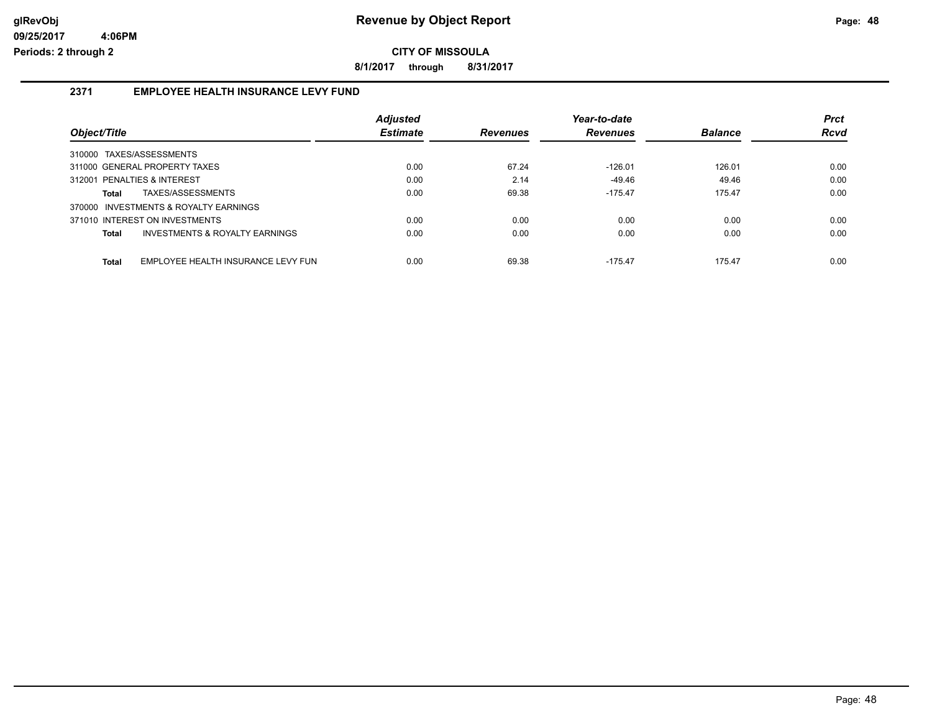**8/1/2017 through 8/31/2017**

# **2371 EMPLOYEE HEALTH INSURANCE LEVY FUND**

|                                                    | <b>Adjusted</b> |                 | Year-to-date    |                | <b>Prct</b> |
|----------------------------------------------------|-----------------|-----------------|-----------------|----------------|-------------|
| Object/Title                                       | <b>Estimate</b> | <b>Revenues</b> | <b>Revenues</b> | <b>Balance</b> | <b>Rcvd</b> |
| 310000 TAXES/ASSESSMENTS                           |                 |                 |                 |                |             |
| 311000 GENERAL PROPERTY TAXES                      | 0.00            | 67.24           | $-126.01$       | 126.01         | 0.00        |
| 312001 PENALTIES & INTEREST                        | 0.00            | 2.14            | $-49.46$        | 49.46          | 0.00        |
| TAXES/ASSESSMENTS<br>Total                         | 0.00            | 69.38           | $-175.47$       | 175.47         | 0.00        |
| 370000 INVESTMENTS & ROYALTY EARNINGS              |                 |                 |                 |                |             |
| 371010 INTEREST ON INVESTMENTS                     | 0.00            | 0.00            | 0.00            | 0.00           | 0.00        |
| <b>INVESTMENTS &amp; ROYALTY EARNINGS</b><br>Total | 0.00            | 0.00            | 0.00            | 0.00           | 0.00        |
|                                                    |                 |                 |                 |                |             |
| Total<br>EMPLOYEE HEALTH INSURANCE LEVY FUN        | 0.00            | 69.38           | $-175.47$       | 175.47         | 0.00        |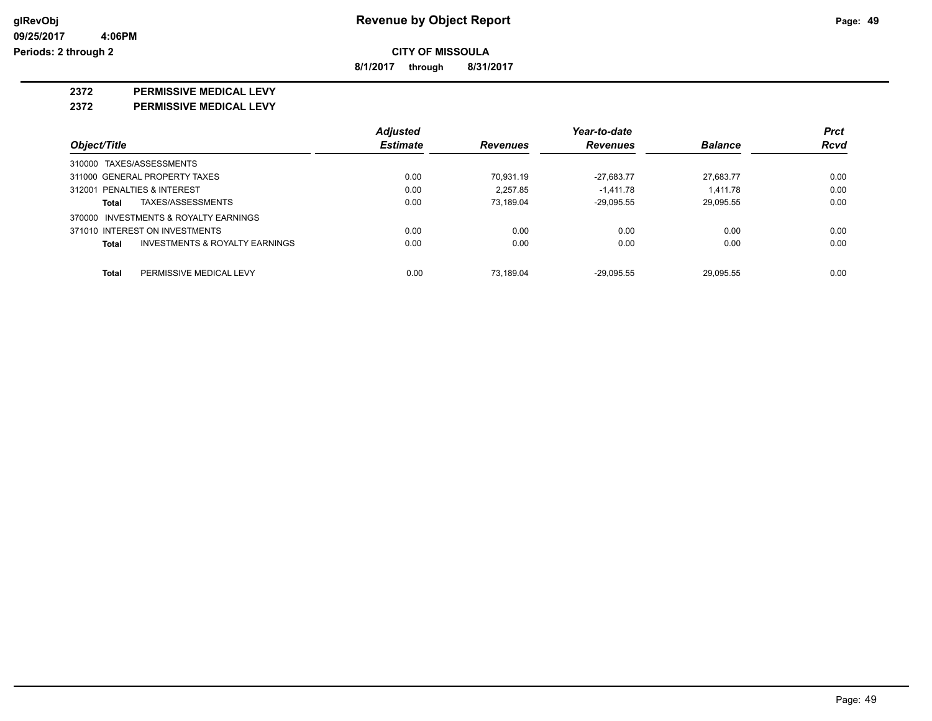**8/1/2017 through 8/31/2017**

**2372 PERMISSIVE MEDICAL LEVY**

**2372 PERMISSIVE MEDICAL LEVY**

|                                                    | <b>Adjusted</b> |                 | Year-to-date    |                | <b>Prct</b> |
|----------------------------------------------------|-----------------|-----------------|-----------------|----------------|-------------|
| Object/Title                                       | <b>Estimate</b> | <b>Revenues</b> | <b>Revenues</b> | <b>Balance</b> | Rcvd        |
| 310000 TAXES/ASSESSMENTS                           |                 |                 |                 |                |             |
| 311000 GENERAL PROPERTY TAXES                      | 0.00            | 70.931.19       | $-27,683.77$    | 27.683.77      | 0.00        |
| 312001 PENALTIES & INTEREST                        | 0.00            | 2.257.85        | $-1.411.78$     | 1.411.78       | 0.00        |
| TAXES/ASSESSMENTS<br>Total                         | 0.00            | 73.189.04       | $-29,095.55$    | 29.095.55      | 0.00        |
| 370000 INVESTMENTS & ROYALTY EARNINGS              |                 |                 |                 |                |             |
| 371010 INTEREST ON INVESTMENTS                     | 0.00            | 0.00            | 0.00            | 0.00           | 0.00        |
| <b>INVESTMENTS &amp; ROYALTY EARNINGS</b><br>Total | 0.00            | 0.00            | 0.00            | 0.00           | 0.00        |
|                                                    |                 |                 |                 |                |             |
| PERMISSIVE MEDICAL LEVY<br>Total                   | 0.00            | 73.189.04       | $-29.095.55$    | 29.095.55      | 0.00        |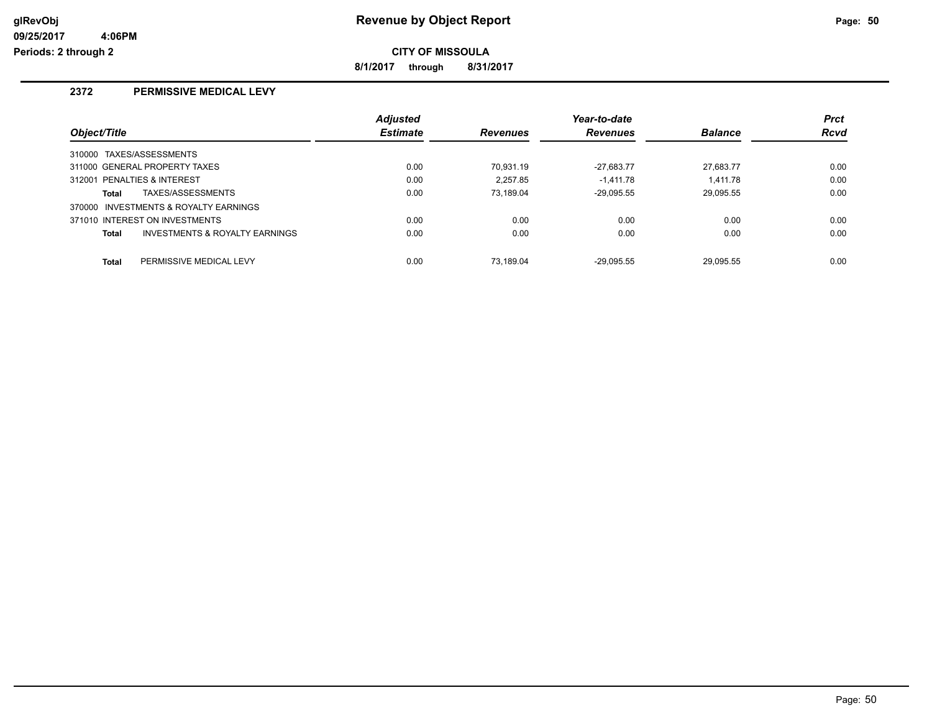**8/1/2017 through 8/31/2017**

# **2372 PERMISSIVE MEDICAL LEVY**

|                                                | <b>Adjusted</b> |                 | Year-to-date    |                | <b>Prct</b> |
|------------------------------------------------|-----------------|-----------------|-----------------|----------------|-------------|
| Object/Title                                   | <b>Estimate</b> | <b>Revenues</b> | <b>Revenues</b> | <b>Balance</b> | <b>Rcvd</b> |
| 310000 TAXES/ASSESSMENTS                       |                 |                 |                 |                |             |
| 311000 GENERAL PROPERTY TAXES                  | 0.00            | 70.931.19       | $-27.683.77$    | 27.683.77      | 0.00        |
| 312001 PENALTIES & INTEREST                    | 0.00            | 2.257.85        | $-1.411.78$     | 1.411.78       | 0.00        |
| TAXES/ASSESSMENTS<br><b>Total</b>              | 0.00            | 73.189.04       | $-29,095.55$    | 29.095.55      | 0.00        |
| 370000 INVESTMENTS & ROYALTY EARNINGS          |                 |                 |                 |                |             |
| 371010 INTEREST ON INVESTMENTS                 | 0.00            | 0.00            | 0.00            | 0.00           | 0.00        |
| INVESTMENTS & ROYALTY EARNINGS<br><b>Total</b> | 0.00            | 0.00            | 0.00            | 0.00           | 0.00        |
| <b>Total</b><br>PERMISSIVE MEDICAL LEVY        | 0.00            | 73.189.04       | $-29.095.55$    | 29.095.55      | 0.00        |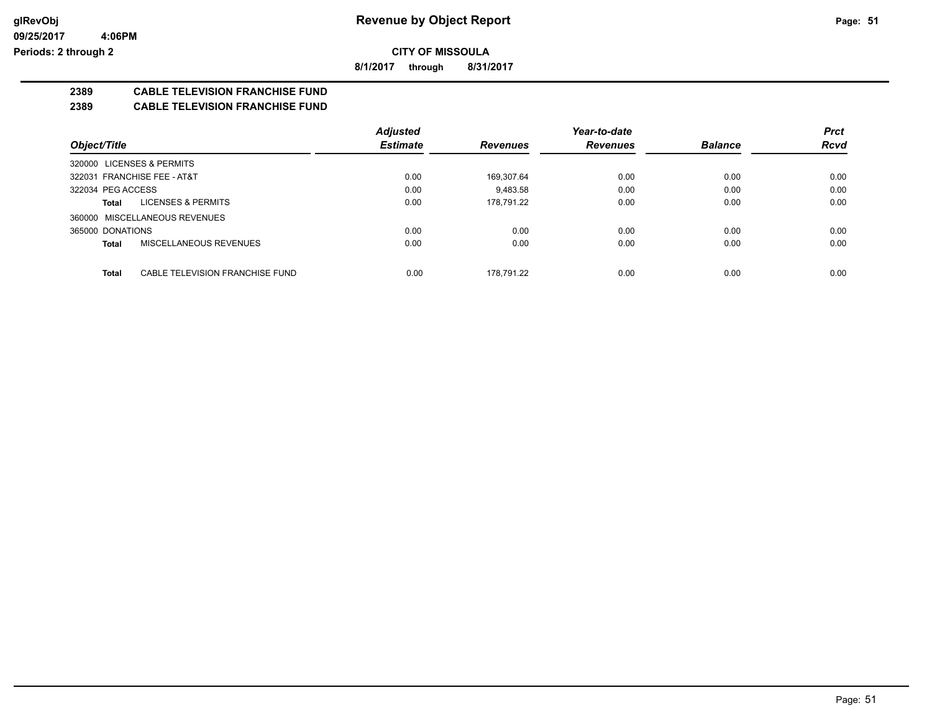**8/1/2017 through 8/31/2017**

# **2389 CABLE TELEVISION FRANCHISE FUND**

# **2389 CABLE TELEVISION FRANCHISE FUND**

|                                          | <b>Adjusted</b> |                 | Year-to-date    |                | <b>Prct</b> |
|------------------------------------------|-----------------|-----------------|-----------------|----------------|-------------|
| Object/Title                             | <b>Estimate</b> | <b>Revenues</b> | <b>Revenues</b> | <b>Balance</b> | <b>Rcvd</b> |
| 320000 LICENSES & PERMITS                |                 |                 |                 |                |             |
| 322031 FRANCHISE FEE - AT&T              | 0.00            | 169,307.64      | 0.00            | 0.00           | 0.00        |
| 322034 PEG ACCESS                        | 0.00            | 9.483.58        | 0.00            | 0.00           | 0.00        |
| <b>LICENSES &amp; PERMITS</b><br>Total   | 0.00            | 178,791.22      | 0.00            | 0.00           | 0.00        |
| 360000 MISCELLANEOUS REVENUES            |                 |                 |                 |                |             |
| 365000 DONATIONS                         | 0.00            | 0.00            | 0.00            | 0.00           | 0.00        |
| MISCELLANEOUS REVENUES<br><b>Total</b>   | 0.00            | 0.00            | 0.00            | 0.00           | 0.00        |
| CABLE TELEVISION FRANCHISE FUND<br>Total | 0.00            | 178.791.22      | 0.00            | 0.00           | 0.00        |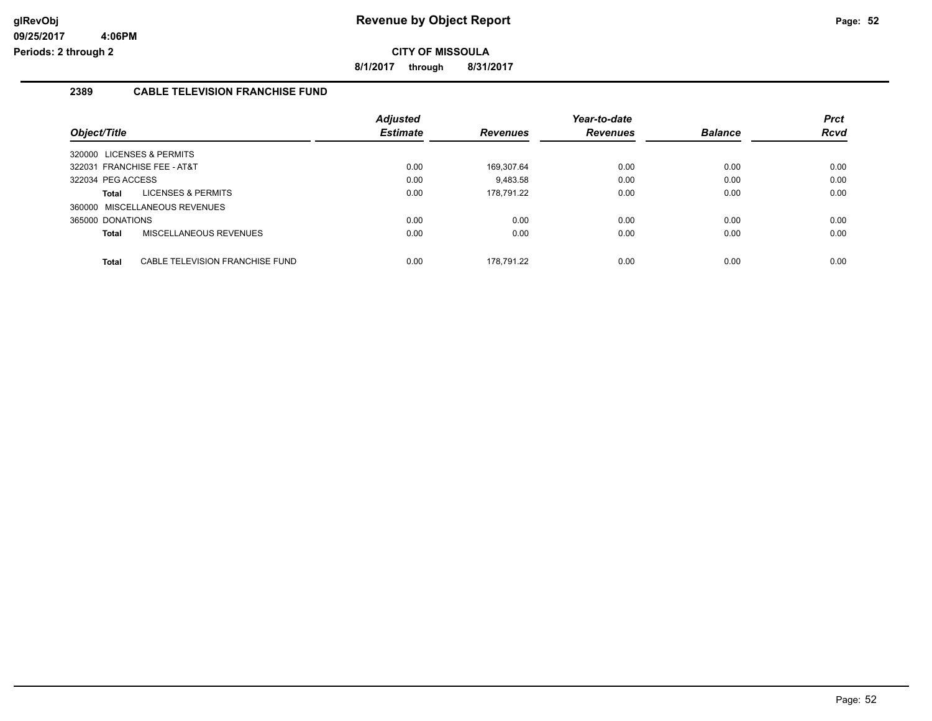**8/1/2017 through 8/31/2017**

# **2389 CABLE TELEVISION FRANCHISE FUND**

|                             |                                 | <b>Adjusted</b> |                 | Year-to-date    |                | <b>Prct</b> |
|-----------------------------|---------------------------------|-----------------|-----------------|-----------------|----------------|-------------|
| Object/Title                |                                 | <b>Estimate</b> | <b>Revenues</b> | <b>Revenues</b> | <b>Balance</b> | <b>Rcvd</b> |
| 320000 LICENSES & PERMITS   |                                 |                 |                 |                 |                |             |
| 322031 FRANCHISE FEE - AT&T |                                 | 0.00            | 169,307.64      | 0.00            | 0.00           | 0.00        |
| 322034 PEG ACCESS           |                                 | 0.00            | 9.483.58        | 0.00            | 0.00           | 0.00        |
| Total                       | <b>LICENSES &amp; PERMITS</b>   | 0.00            | 178.791.22      | 0.00            | 0.00           | 0.00        |
|                             | 360000 MISCELLANEOUS REVENUES   |                 |                 |                 |                |             |
| 365000 DONATIONS            |                                 | 0.00            | 0.00            | 0.00            | 0.00           | 0.00        |
| Total                       | MISCELLANEOUS REVENUES          | 0.00            | 0.00            | 0.00            | 0.00           | 0.00        |
|                             |                                 |                 |                 |                 |                |             |
| Total                       | CABLE TELEVISION FRANCHISE FUND | 0.00            | 178.791.22      | 0.00            | 0.00           | 0.00        |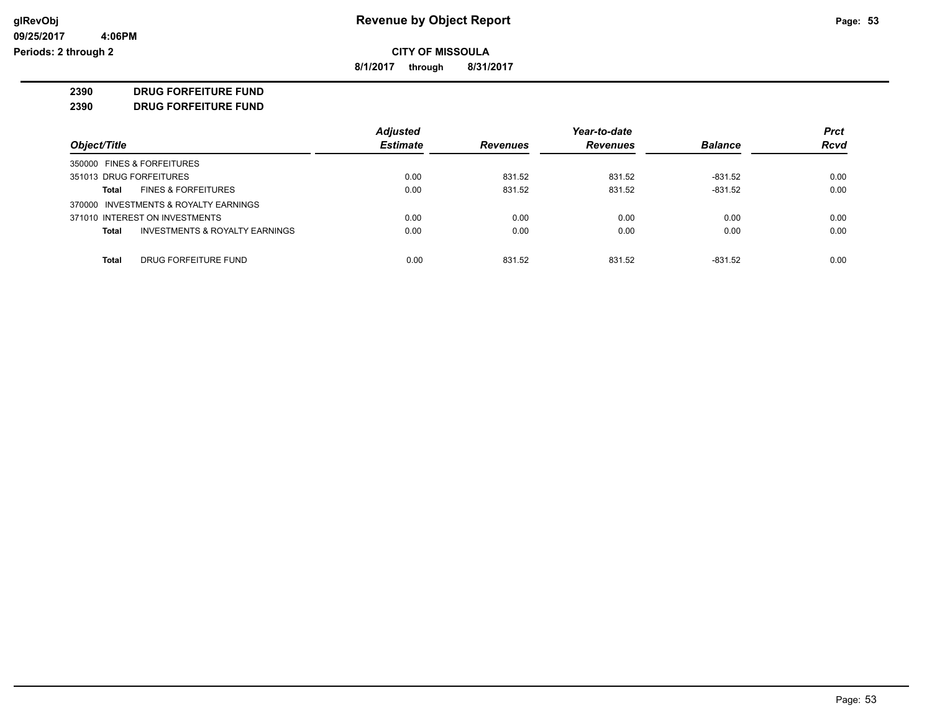**8/1/2017 through 8/31/2017**

**2390 DRUG FORFEITURE FUND**

**2390 DRUG FORFEITURE FUND**

|                                                           | <b>Adjusted</b> |                 | Year-to-date    |                | <b>Prct</b> |
|-----------------------------------------------------------|-----------------|-----------------|-----------------|----------------|-------------|
| Object/Title                                              | <b>Estimate</b> | <b>Revenues</b> | <b>Revenues</b> | <b>Balance</b> | <b>Rcvd</b> |
| 350000 FINES & FORFEITURES                                |                 |                 |                 |                |             |
| 351013 DRUG FORFEITURES                                   | 0.00            | 831.52          | 831.52          | $-831.52$      | 0.00        |
| <b>FINES &amp; FORFEITURES</b><br><b>Total</b>            | 0.00            | 831.52          | 831.52          | $-831.52$      | 0.00        |
| 370000 INVESTMENTS & ROYALTY EARNINGS                     |                 |                 |                 |                |             |
| 371010 INTEREST ON INVESTMENTS                            | 0.00            | 0.00            | 0.00            | 0.00           | 0.00        |
| <b>INVESTMENTS &amp; ROYALTY EARNINGS</b><br><b>Total</b> | 0.00            | 0.00            | 0.00            | 0.00           | 0.00        |
|                                                           |                 |                 |                 |                |             |
| DRUG FORFEITURE FUND<br><b>Total</b>                      | 0.00            | 831.52          | 831.52          | $-831.52$      | 0.00        |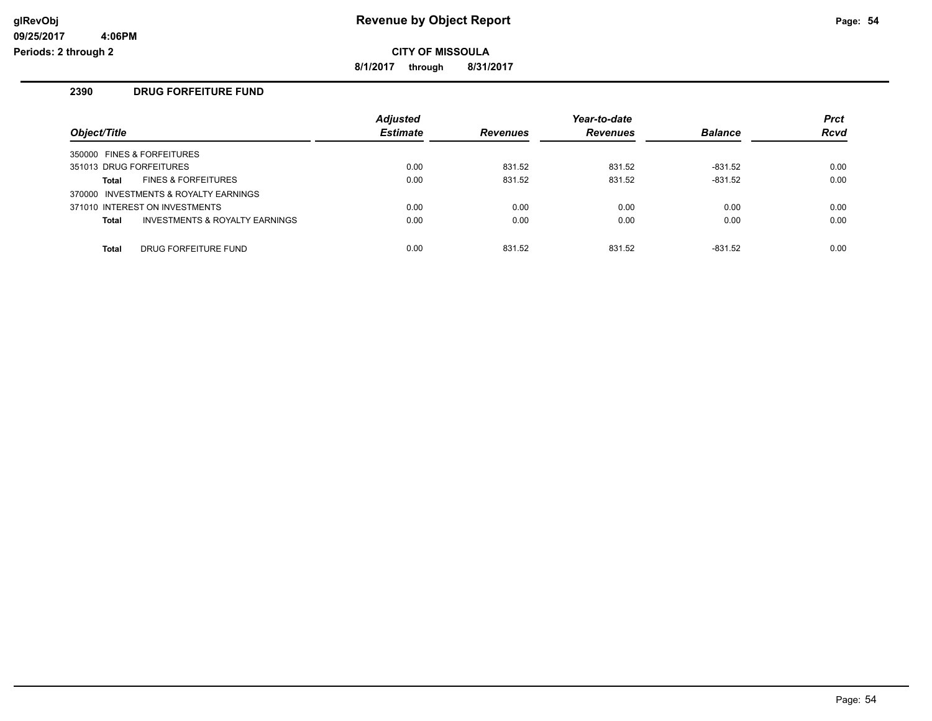**Periods: 2 through 2**

**CITY OF MISSOULA**

**8/1/2017 through 8/31/2017**

# **2390 DRUG FORFEITURE FUND**

 **4:06PM**

|                         |                                       | <b>Adjusted</b> |                 | Year-to-date    |                | <b>Prct</b> |
|-------------------------|---------------------------------------|-----------------|-----------------|-----------------|----------------|-------------|
| Obiect/Title            |                                       | <b>Estimate</b> | <b>Revenues</b> | <b>Revenues</b> | <b>Balance</b> | <b>Rcvd</b> |
|                         | 350000 FINES & FORFEITURES            |                 |                 |                 |                |             |
| 351013 DRUG FORFEITURES |                                       | 0.00            | 831.52          | 831.52          | $-831.52$      | 0.00        |
| <b>Total</b>            | <b>FINES &amp; FORFEITURES</b>        | 0.00            | 831.52          | 831.52          | $-831.52$      | 0.00        |
|                         | 370000 INVESTMENTS & ROYALTY EARNINGS |                 |                 |                 |                |             |
|                         | 371010 INTEREST ON INVESTMENTS        | 0.00            | 0.00            | 0.00            | 0.00           | 0.00        |
| <b>Total</b>            | INVESTMENTS & ROYALTY EARNINGS        | 0.00            | 0.00            | 0.00            | 0.00           | 0.00        |
| <b>Total</b>            | DRUG FORFEITURE FUND                  | 0.00            | 831.52          | 831.52          | $-831.52$      | 0.00        |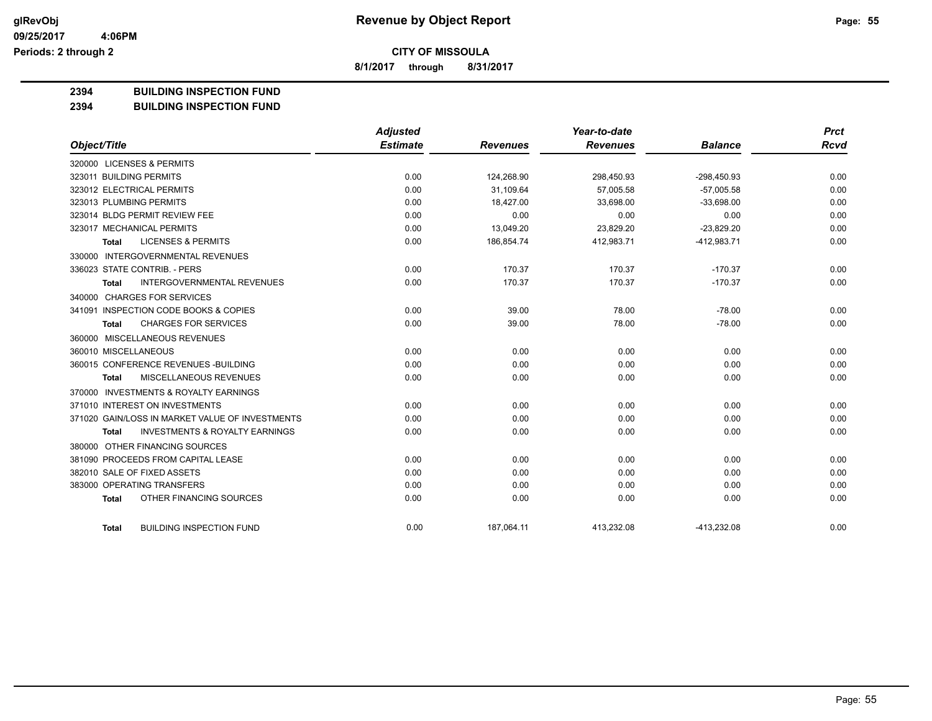**8/1/2017 through 8/31/2017**

**2394 BUILDING INSPECTION FUND**

**2394 BUILDING INSPECTION FUND**

|                                                    | <b>Adjusted</b> |                 | Year-to-date    |                | <b>Prct</b> |
|----------------------------------------------------|-----------------|-----------------|-----------------|----------------|-------------|
| Object/Title                                       | <b>Estimate</b> | <b>Revenues</b> | <b>Revenues</b> | <b>Balance</b> | <b>Rcvd</b> |
| 320000 LICENSES & PERMITS                          |                 |                 |                 |                |             |
| 323011 BUILDING PERMITS                            | 0.00            | 124,268.90      | 298,450.93      | $-298,450.93$  | 0.00        |
| 323012 ELECTRICAL PERMITS                          | 0.00            | 31,109.64       | 57,005.58       | $-57,005.58$   | 0.00        |
| 323013 PLUMBING PERMITS                            | 0.00            | 18,427.00       | 33,698.00       | $-33,698.00$   | 0.00        |
| 323014 BLDG PERMIT REVIEW FEE                      | 0.00            | 0.00            | 0.00            | 0.00           | 0.00        |
| 323017 MECHANICAL PERMITS                          | 0.00            | 13,049.20       | 23,829.20       | $-23.829.20$   | 0.00        |
| <b>LICENSES &amp; PERMITS</b><br><b>Total</b>      | 0.00            | 186,854.74      | 412,983.71      | -412,983.71    | 0.00        |
| 330000 INTERGOVERNMENTAL REVENUES                  |                 |                 |                 |                |             |
| 336023 STATE CONTRIB. - PERS                       | 0.00            | 170.37          | 170.37          | $-170.37$      | 0.00        |
| <b>INTERGOVERNMENTAL REVENUES</b><br><b>Total</b>  | 0.00            | 170.37          | 170.37          | $-170.37$      | 0.00        |
| 340000 CHARGES FOR SERVICES                        |                 |                 |                 |                |             |
| 341091 INSPECTION CODE BOOKS & COPIES              | 0.00            | 39.00           | 78.00           | $-78.00$       | 0.00        |
| <b>CHARGES FOR SERVICES</b><br><b>Total</b>        | 0.00            | 39.00           | 78.00           | $-78.00$       | 0.00        |
| 360000 MISCELLANEOUS REVENUES                      |                 |                 |                 |                |             |
| 360010 MISCELLANEOUS                               | 0.00            | 0.00            | 0.00            | 0.00           | 0.00        |
| 360015 CONFERENCE REVENUES - BUILDING              | 0.00            | 0.00            | 0.00            | 0.00           | 0.00        |
| MISCELLANEOUS REVENUES<br><b>Total</b>             | 0.00            | 0.00            | 0.00            | 0.00           | 0.00        |
| 370000 INVESTMENTS & ROYALTY EARNINGS              |                 |                 |                 |                |             |
| 371010 INTEREST ON INVESTMENTS                     | 0.00            | 0.00            | 0.00            | 0.00           | 0.00        |
| 371020 GAIN/LOSS IN MARKET VALUE OF INVESTMENTS    | 0.00            | 0.00            | 0.00            | 0.00           | 0.00        |
| <b>INVESTMENTS &amp; ROYALTY EARNINGS</b><br>Total | 0.00            | 0.00            | 0.00            | 0.00           | 0.00        |
| OTHER FINANCING SOURCES<br>380000                  |                 |                 |                 |                |             |
| 381090 PROCEEDS FROM CAPITAL LEASE                 | 0.00            | 0.00            | 0.00            | 0.00           | 0.00        |
| 382010 SALE OF FIXED ASSETS                        | 0.00            | 0.00            | 0.00            | 0.00           | 0.00        |
| 383000 OPERATING TRANSFERS                         | 0.00            | 0.00            | 0.00            | 0.00           | 0.00        |
| OTHER FINANCING SOURCES<br><b>Total</b>            | 0.00            | 0.00            | 0.00            | 0.00           | 0.00        |
| <b>BUILDING INSPECTION FUND</b><br><b>Total</b>    | 0.00            | 187,064.11      | 413,232.08      | -413,232.08    | 0.00        |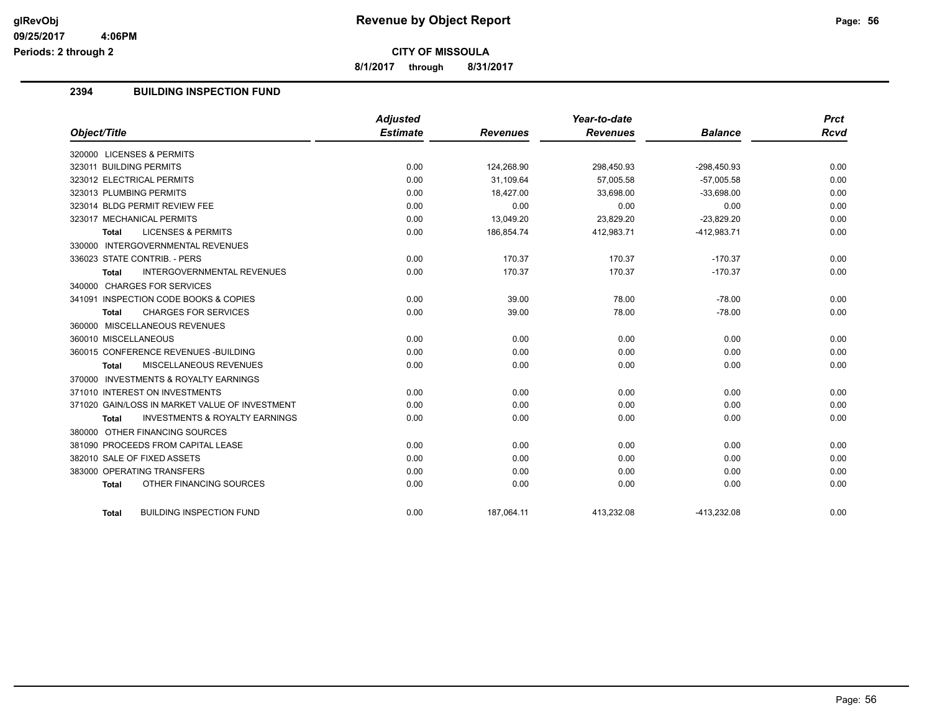**8/1/2017 through 8/31/2017**

# **2394 BUILDING INSPECTION FUND**

|                                                    | <b>Adjusted</b> |                 | Year-to-date    |                | <b>Prct</b> |
|----------------------------------------------------|-----------------|-----------------|-----------------|----------------|-------------|
| Object/Title                                       | <b>Estimate</b> | <b>Revenues</b> | <b>Revenues</b> | <b>Balance</b> | <b>Rcvd</b> |
| 320000 LICENSES & PERMITS                          |                 |                 |                 |                |             |
| 323011 BUILDING PERMITS                            | 0.00            | 124,268.90      | 298,450.93      | $-298,450.93$  | 0.00        |
| 323012 ELECTRICAL PERMITS                          | 0.00            | 31.109.64       | 57.005.58       | $-57.005.58$   | 0.00        |
| 323013 PLUMBING PERMITS                            | 0.00            | 18,427.00       | 33,698.00       | $-33,698.00$   | 0.00        |
| 323014 BLDG PERMIT REVIEW FEE                      | 0.00            | 0.00            | 0.00            | 0.00           | 0.00        |
| 323017 MECHANICAL PERMITS                          | 0.00            | 13,049.20       | 23,829.20       | $-23,829.20$   | 0.00        |
| <b>LICENSES &amp; PERMITS</b><br><b>Total</b>      | 0.00            | 186,854.74      | 412,983.71      | -412,983.71    | 0.00        |
| 330000 INTERGOVERNMENTAL REVENUES                  |                 |                 |                 |                |             |
| 336023 STATE CONTRIB. - PERS                       | 0.00            | 170.37          | 170.37          | $-170.37$      | 0.00        |
| <b>INTERGOVERNMENTAL REVENUES</b><br><b>Total</b>  | 0.00            | 170.37          | 170.37          | $-170.37$      | 0.00        |
| 340000 CHARGES FOR SERVICES                        |                 |                 |                 |                |             |
| 341091 INSPECTION CODE BOOKS & COPIES              | 0.00            | 39.00           | 78.00           | $-78.00$       | 0.00        |
| <b>CHARGES FOR SERVICES</b><br>Total               | 0.00            | 39.00           | 78.00           | $-78.00$       | 0.00        |
| 360000 MISCELLANEOUS REVENUES                      |                 |                 |                 |                |             |
| 360010 MISCELLANEOUS                               | 0.00            | 0.00            | 0.00            | 0.00           | 0.00        |
| 360015 CONFERENCE REVENUES - BUILDING              | 0.00            | 0.00            | 0.00            | 0.00           | 0.00        |
| MISCELLANEOUS REVENUES<br><b>Total</b>             | 0.00            | 0.00            | 0.00            | 0.00           | 0.00        |
| 370000 INVESTMENTS & ROYALTY EARNINGS              |                 |                 |                 |                |             |
| 371010 INTEREST ON INVESTMENTS                     | 0.00            | 0.00            | 0.00            | 0.00           | 0.00        |
| 371020 GAIN/LOSS IN MARKET VALUE OF INVESTMENT     | 0.00            | 0.00            | 0.00            | 0.00           | 0.00        |
| <b>INVESTMENTS &amp; ROYALTY EARNINGS</b><br>Total | 0.00            | 0.00            | 0.00            | 0.00           | 0.00        |
| 380000 OTHER FINANCING SOURCES                     |                 |                 |                 |                |             |
| 381090 PROCEEDS FROM CAPITAL LEASE                 | 0.00            | 0.00            | 0.00            | 0.00           | 0.00        |
| 382010 SALE OF FIXED ASSETS                        | 0.00            | 0.00            | 0.00            | 0.00           | 0.00        |
| 383000 OPERATING TRANSFERS                         | 0.00            | 0.00            | 0.00            | 0.00           | 0.00        |
| OTHER FINANCING SOURCES<br><b>Total</b>            | 0.00            | 0.00            | 0.00            | 0.00           | 0.00        |
| <b>BUILDING INSPECTION FUND</b><br><b>Total</b>    | 0.00            | 187,064.11      | 413,232.08      | -413,232.08    | 0.00        |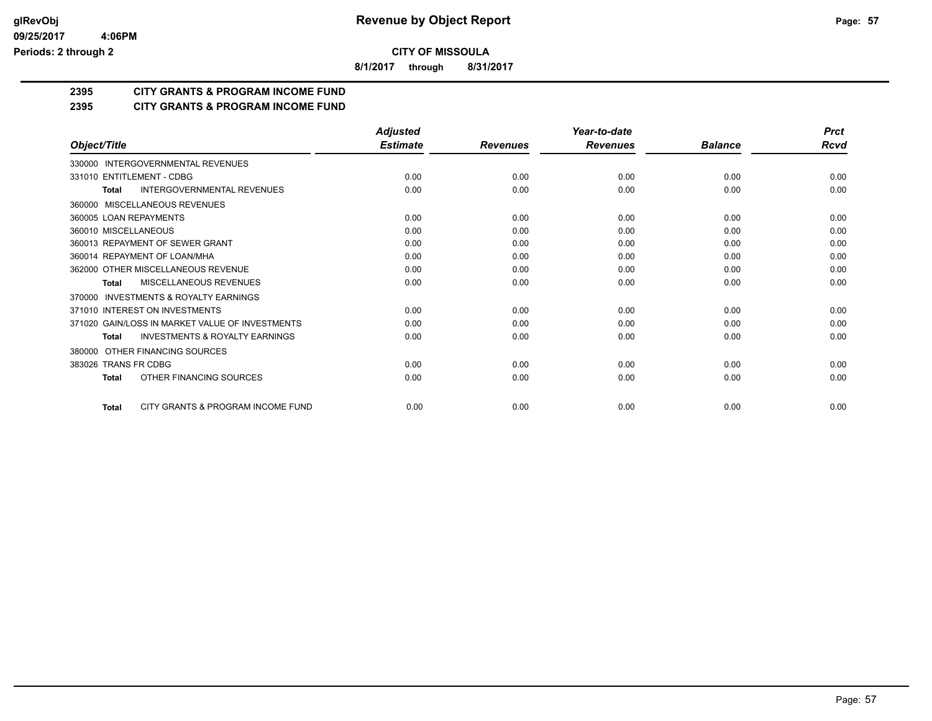**8/1/2017 through 8/31/2017**

# **2395 CITY GRANTS & PROGRAM INCOME FUND**

# **2395 CITY GRANTS & PROGRAM INCOME FUND**

|                                                           | <b>Adjusted</b> |                 | Year-to-date    |                | <b>Prct</b> |
|-----------------------------------------------------------|-----------------|-----------------|-----------------|----------------|-------------|
| Object/Title                                              | <b>Estimate</b> | <b>Revenues</b> | <b>Revenues</b> | <b>Balance</b> | Rcvd        |
| 330000 INTERGOVERNMENTAL REVENUES                         |                 |                 |                 |                |             |
| 331010 ENTITLEMENT - CDBG                                 | 0.00            | 0.00            | 0.00            | 0.00           | 0.00        |
| <b>INTERGOVERNMENTAL REVENUES</b><br>Total                | 0.00            | 0.00            | 0.00            | 0.00           | 0.00        |
| MISCELLANEOUS REVENUES<br>360000                          |                 |                 |                 |                |             |
| 360005 LOAN REPAYMENTS                                    | 0.00            | 0.00            | 0.00            | 0.00           | 0.00        |
| 360010 MISCELLANEOUS                                      | 0.00            | 0.00            | 0.00            | 0.00           | 0.00        |
| 360013 REPAYMENT OF SEWER GRANT                           | 0.00            | 0.00            | 0.00            | 0.00           | 0.00        |
| 360014 REPAYMENT OF LOAN/MHA                              | 0.00            | 0.00            | 0.00            | 0.00           | 0.00        |
| 362000 OTHER MISCELLANEOUS REVENUE                        | 0.00            | 0.00            | 0.00            | 0.00           | 0.00        |
| MISCELLANEOUS REVENUES<br><b>Total</b>                    | 0.00            | 0.00            | 0.00            | 0.00           | 0.00        |
| INVESTMENTS & ROYALTY EARNINGS<br>370000                  |                 |                 |                 |                |             |
| 371010 INTEREST ON INVESTMENTS                            | 0.00            | 0.00            | 0.00            | 0.00           | 0.00        |
| 371020 GAIN/LOSS IN MARKET VALUE OF INVESTMENTS           | 0.00            | 0.00            | 0.00            | 0.00           | 0.00        |
| <b>INVESTMENTS &amp; ROYALTY EARNINGS</b><br><b>Total</b> | 0.00            | 0.00            | 0.00            | 0.00           | 0.00        |
| OTHER FINANCING SOURCES<br>380000                         |                 |                 |                 |                |             |
| 383026 TRANS FR CDBG                                      | 0.00            | 0.00            | 0.00            | 0.00           | 0.00        |
| OTHER FINANCING SOURCES<br><b>Total</b>                   | 0.00            | 0.00            | 0.00            | 0.00           | 0.00        |
| CITY GRANTS & PROGRAM INCOME FUND<br>Total                | 0.00            | 0.00            | 0.00            | 0.00           | 0.00        |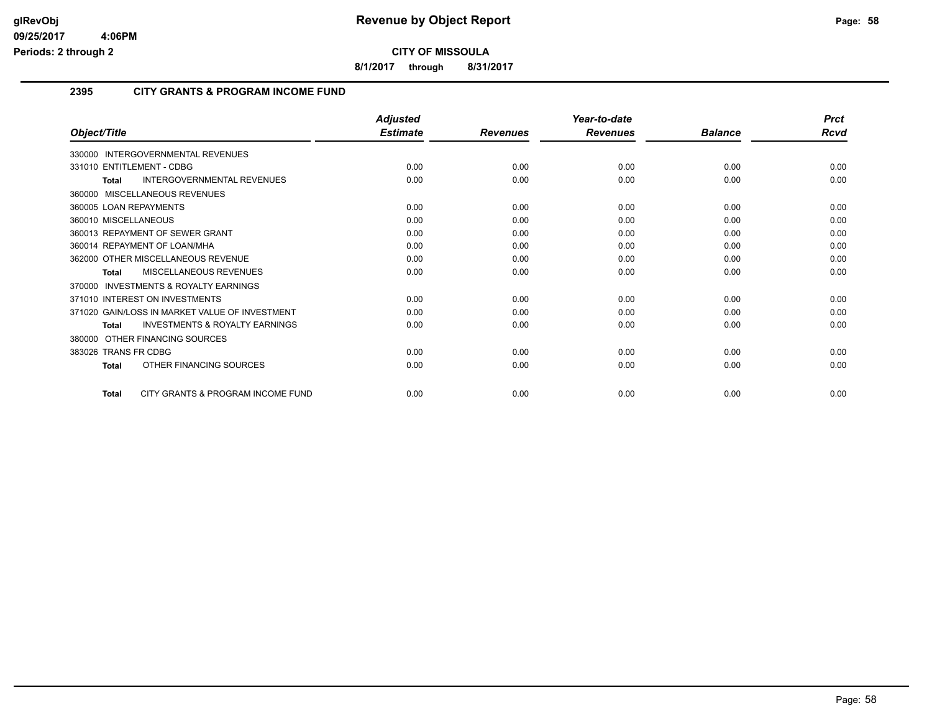**8/1/2017 through 8/31/2017**

# **2395 CITY GRANTS & PROGRAM INCOME FUND**

| <b>Adjusted</b> |                 | Year-to-date    |                | <b>Prct</b> |
|-----------------|-----------------|-----------------|----------------|-------------|
| <b>Estimate</b> | <b>Revenues</b> | <b>Revenues</b> | <b>Balance</b> | <b>Rcvd</b> |
|                 |                 |                 |                |             |
| 0.00            | 0.00            | 0.00            | 0.00           | 0.00        |
| 0.00            | 0.00            | 0.00            | 0.00           | 0.00        |
|                 |                 |                 |                |             |
| 0.00            | 0.00            | 0.00            | 0.00           | 0.00        |
| 0.00            | 0.00            | 0.00            | 0.00           | 0.00        |
| 0.00            | 0.00            | 0.00            | 0.00           | 0.00        |
| 0.00            | 0.00            | 0.00            | 0.00           | 0.00        |
| 0.00            | 0.00            | 0.00            | 0.00           | 0.00        |
| 0.00            | 0.00            | 0.00            | 0.00           | 0.00        |
|                 |                 |                 |                |             |
| 0.00            | 0.00            | 0.00            | 0.00           | 0.00        |
| 0.00            | 0.00            | 0.00            | 0.00           | 0.00        |
| 0.00            | 0.00            | 0.00            | 0.00           | 0.00        |
|                 |                 |                 |                |             |
| 0.00            | 0.00            | 0.00            | 0.00           | 0.00        |
| 0.00            | 0.00            | 0.00            | 0.00           | 0.00        |
|                 |                 |                 |                | 0.00        |
|                 | 0.00            | 0.00            | 0.00           | 0.00        |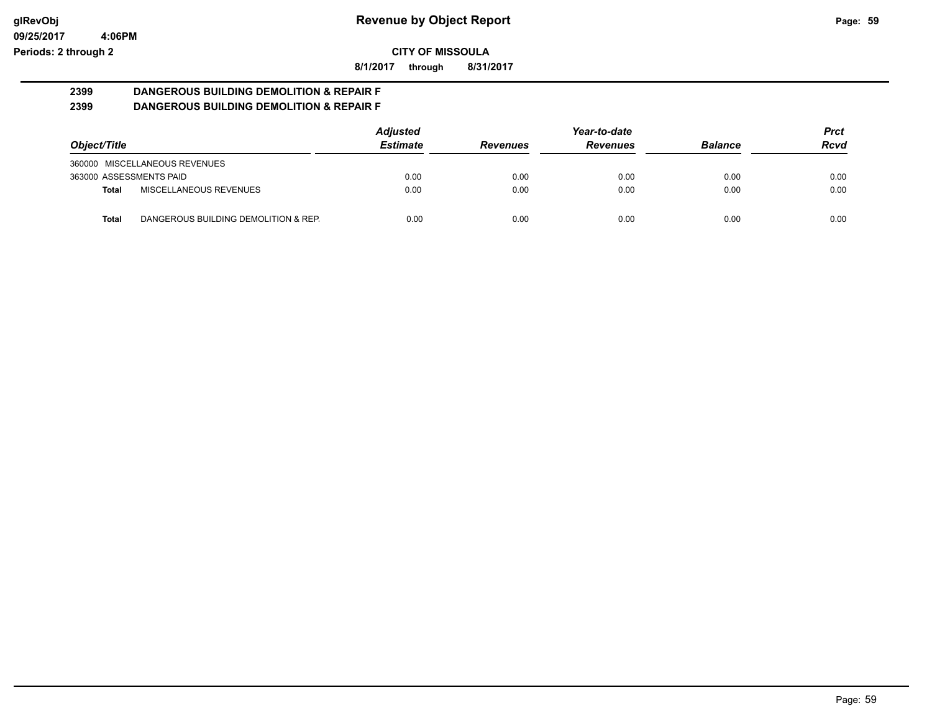**8/1/2017 through 8/31/2017**

# **2399 DANGEROUS BUILDING DEMOLITION & REPAIR F 2399 DANGEROUS BUILDING DEMOLITION & REPAIR F**

|                         |                                      | <b>Adjusted</b> |                 | Year-to-date    |                | <b>Prct</b> |
|-------------------------|--------------------------------------|-----------------|-----------------|-----------------|----------------|-------------|
| Object/Title            |                                      | <b>Estimate</b> | <b>Revenues</b> | <b>Revenues</b> | <b>Balance</b> | <b>Rcvd</b> |
|                         | 360000 MISCELLANEOUS REVENUES        |                 |                 |                 |                |             |
| 363000 ASSESSMENTS PAID |                                      | 0.00            | 0.00            | 0.00            | 0.00           | 0.00        |
| Total                   | MISCELLANEOUS REVENUES               | 0.00            | 0.00            | 0.00            | 0.00           | 0.00        |
| <b>Total</b>            | DANGEROUS BUILDING DEMOLITION & REP. | 0.00            | 0.00            | 0.00            | 0.00           | 0.00        |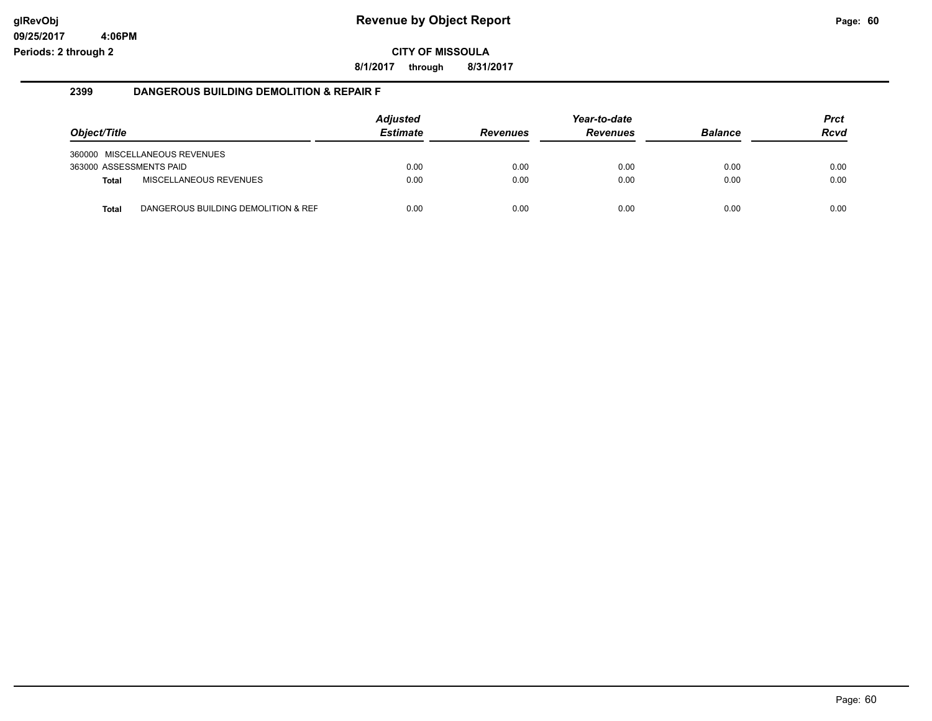**Periods: 2 through 2**

**CITY OF MISSOULA**

**8/1/2017 through 8/31/2017**

# **2399 DANGEROUS BUILDING DEMOLITION & REPAIR F**

| Object/Title            |                                     | <b>Adjusted</b><br><b>Estimate</b> | <b>Revenues</b> | Year-to-date<br><b>Revenues</b> | <b>Balance</b> | <b>Prct</b><br><b>Rcvd</b> |
|-------------------------|-------------------------------------|------------------------------------|-----------------|---------------------------------|----------------|----------------------------|
|                         | 360000 MISCELLANEOUS REVENUES       |                                    |                 |                                 |                |                            |
| 363000 ASSESSMENTS PAID |                                     | 0.00                               | 0.00            | 0.00                            | 0.00           | 0.00                       |
| Total                   | MISCELLANEOUS REVENUES              | 0.00                               | 0.00            | 0.00                            | 0.00           | 0.00                       |
| <b>Total</b>            | DANGEROUS BUILDING DEMOLITION & REF | 0.00                               | 0.00            | 0.00                            | 0.00           | 0.00                       |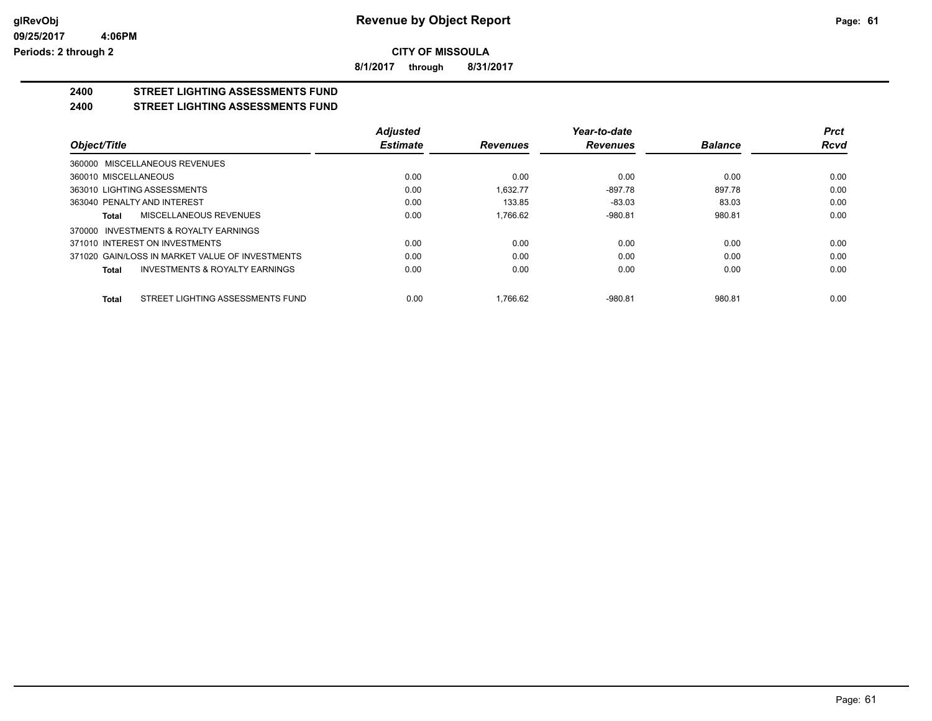**8/1/2017 through 8/31/2017**

# **2400 STREET LIGHTING ASSESSMENTS FUND 2400 STREET LIGHTING ASSESSMENTS FUND**

|                                                    | <b>Adjusted</b> |                 | Year-to-date    |                | <b>Prct</b> |
|----------------------------------------------------|-----------------|-----------------|-----------------|----------------|-------------|
| Object/Title                                       | <b>Estimate</b> | <b>Revenues</b> | <b>Revenues</b> | <b>Balance</b> | <b>Rcvd</b> |
| 360000 MISCELLANEOUS REVENUES                      |                 |                 |                 |                |             |
| 360010 MISCELLANEOUS                               | 0.00            | 0.00            | 0.00            | 0.00           | 0.00        |
| 363010 LIGHTING ASSESSMENTS                        | 0.00            | 1.632.77        | -897.78         | 897.78         | 0.00        |
| 363040 PENALTY AND INTEREST                        | 0.00            | 133.85          | $-83.03$        | 83.03          | 0.00        |
| MISCELLANEOUS REVENUES<br>Total                    | 0.00            | 1.766.62        | $-980.81$       | 980.81         | 0.00        |
| 370000 INVESTMENTS & ROYALTY EARNINGS              |                 |                 |                 |                |             |
| 371010 INTEREST ON INVESTMENTS                     | 0.00            | 0.00            | 0.00            | 0.00           | 0.00        |
| 371020 GAIN/LOSS IN MARKET VALUE OF INVESTMENTS    | 0.00            | 0.00            | 0.00            | 0.00           | 0.00        |
| <b>INVESTMENTS &amp; ROYALTY EARNINGS</b><br>Total | 0.00            | 0.00            | 0.00            | 0.00           | 0.00        |
| STREET LIGHTING ASSESSMENTS FUND<br><b>Total</b>   | 0.00            | 1.766.62        | $-980.81$       | 980.81         | 0.00        |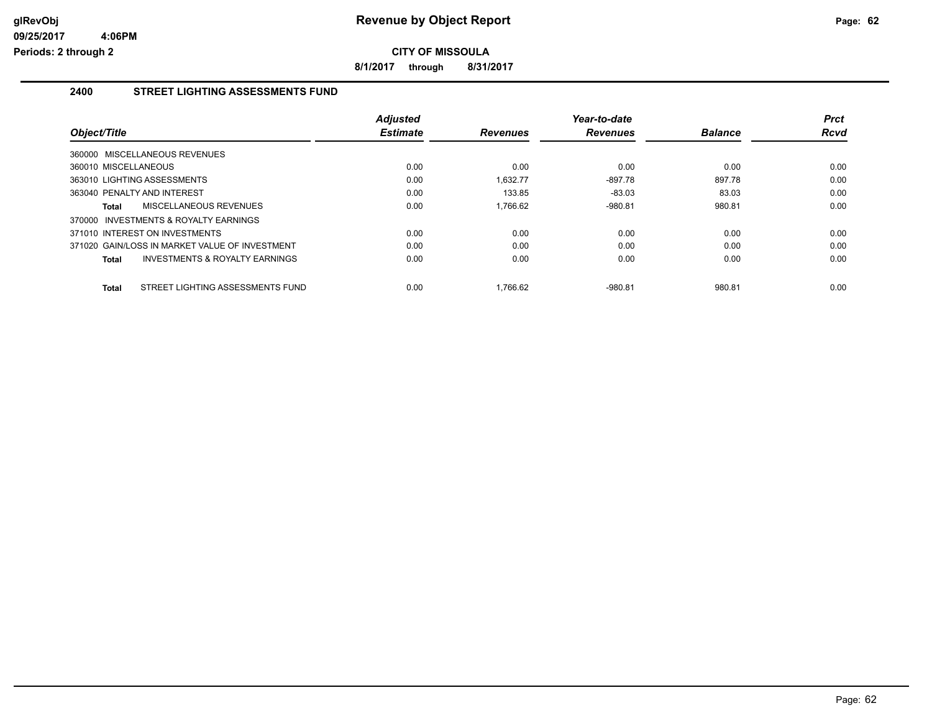**8/1/2017 through 8/31/2017**

# **2400 STREET LIGHTING ASSESSMENTS FUND**

| Object/Title                                   | <b>Adjusted</b><br><b>Estimate</b> | <b>Revenues</b> | Year-to-date<br><b>Revenues</b> | <b>Balance</b> | <b>Prct</b><br><b>Rcvd</b> |
|------------------------------------------------|------------------------------------|-----------------|---------------------------------|----------------|----------------------------|
| 360000 MISCELLANEOUS REVENUES                  |                                    |                 |                                 |                |                            |
| 360010 MISCELLANEOUS                           | 0.00                               | 0.00            | 0.00                            | 0.00           | 0.00                       |
| 363010 LIGHTING ASSESSMENTS                    | 0.00                               | 1.632.77        | $-897.78$                       | 897.78         | 0.00                       |
| 363040 PENALTY AND INTEREST                    | 0.00                               | 133.85          | $-83.03$                        | 83.03          | 0.00                       |
| MISCELLANEOUS REVENUES<br>Total                | 0.00                               | 1.766.62        | $-980.81$                       | 980.81         | 0.00                       |
| 370000 INVESTMENTS & ROYALTY EARNINGS          |                                    |                 |                                 |                |                            |
| 371010 INTEREST ON INVESTMENTS                 | 0.00                               | 0.00            | 0.00                            | 0.00           | 0.00                       |
| 371020 GAIN/LOSS IN MARKET VALUE OF INVESTMENT | 0.00                               | 0.00            | 0.00                            | 0.00           | 0.00                       |
| INVESTMENTS & ROYALTY EARNINGS<br>Total        | 0.00                               | 0.00            | 0.00                            | 0.00           | 0.00                       |
| STREET LIGHTING ASSESSMENTS FUND<br>Total      | 0.00                               | 1.766.62        | $-980.81$                       | 980.81         | 0.00                       |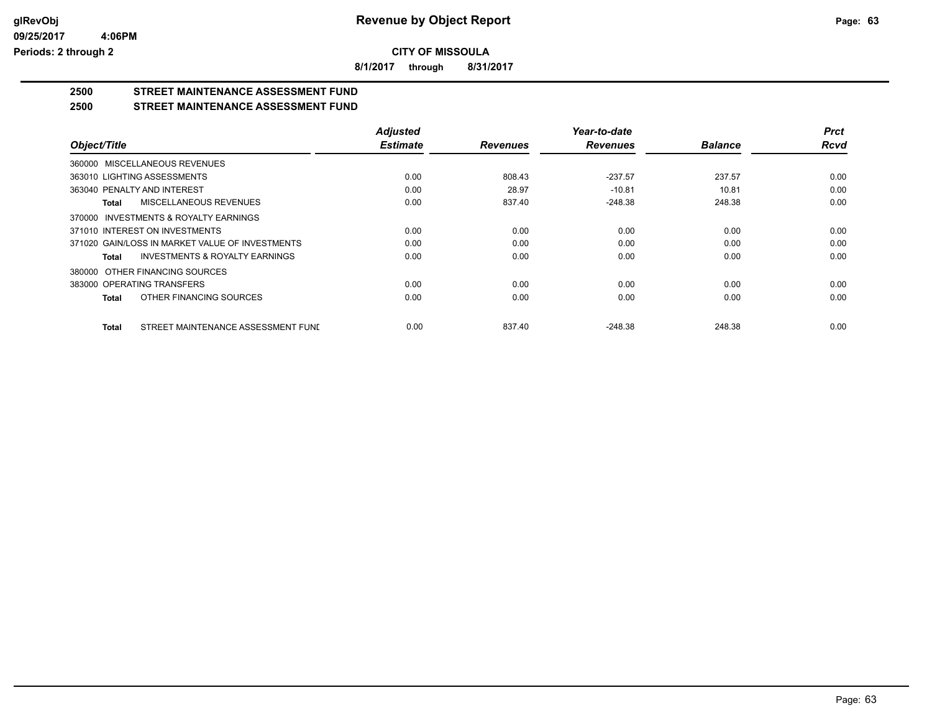**8/1/2017 through 8/31/2017**

# **2500 STREET MAINTENANCE ASSESSMENT FUND**

# **2500 STREET MAINTENANCE ASSESSMENT FUND**

|                                                           | <b>Adjusted</b> |                 | Year-to-date    |                | <b>Prct</b> |
|-----------------------------------------------------------|-----------------|-----------------|-----------------|----------------|-------------|
| Object/Title                                              | <b>Estimate</b> | <b>Revenues</b> | <b>Revenues</b> | <b>Balance</b> | <b>Rcvd</b> |
| 360000 MISCELLANEOUS REVENUES                             |                 |                 |                 |                |             |
| 363010 LIGHTING ASSESSMENTS                               | 0.00            | 808.43          | $-237.57$       | 237.57         | 0.00        |
| 363040 PENALTY AND INTEREST                               | 0.00            | 28.97           | $-10.81$        | 10.81          | 0.00        |
| MISCELLANEOUS REVENUES<br>Total                           | 0.00            | 837.40          | $-248.38$       | 248.38         | 0.00        |
| 370000 INVESTMENTS & ROYALTY EARNINGS                     |                 |                 |                 |                |             |
| 371010 INTEREST ON INVESTMENTS                            | 0.00            | 0.00            | 0.00            | 0.00           | 0.00        |
| 371020 GAIN/LOSS IN MARKET VALUE OF INVESTMENTS           | 0.00            | 0.00            | 0.00            | 0.00           | 0.00        |
| <b>INVESTMENTS &amp; ROYALTY EARNINGS</b><br><b>Total</b> | 0.00            | 0.00            | 0.00            | 0.00           | 0.00        |
| OTHER FINANCING SOURCES<br>380000                         |                 |                 |                 |                |             |
| 383000 OPERATING TRANSFERS                                | 0.00            | 0.00            | 0.00            | 0.00           | 0.00        |
| OTHER FINANCING SOURCES<br><b>Total</b>                   | 0.00            | 0.00            | 0.00            | 0.00           | 0.00        |
| STREET MAINTENANCE ASSESSMENT FUNI<br><b>Total</b>        | 0.00            | 837.40          | $-248.38$       | 248.38         | 0.00        |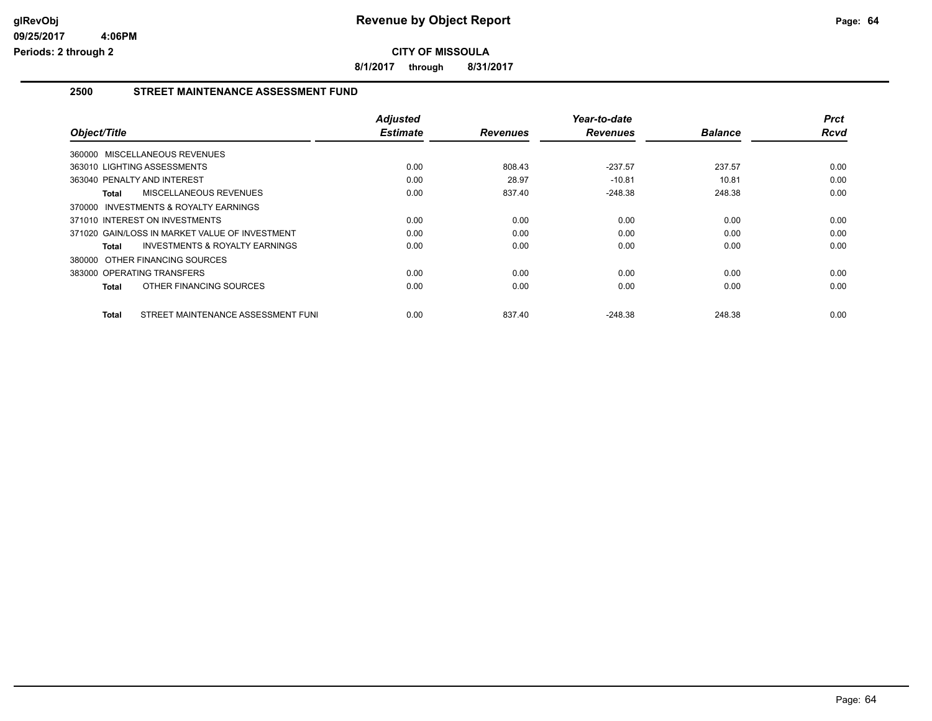**8/1/2017 through 8/31/2017**

# **2500 STREET MAINTENANCE ASSESSMENT FUND**

| Object/Title                                       | <b>Adjusted</b><br><b>Estimate</b> | <b>Revenues</b> | Year-to-date<br><b>Revenues</b> | <b>Balance</b> | <b>Prct</b><br>Rcvd |
|----------------------------------------------------|------------------------------------|-----------------|---------------------------------|----------------|---------------------|
| 360000 MISCELLANEOUS REVENUES                      |                                    |                 |                                 |                |                     |
| 363010 LIGHTING ASSESSMENTS                        | 0.00                               | 808.43          | $-237.57$                       | 237.57         | 0.00                |
| 363040 PENALTY AND INTEREST                        | 0.00                               | 28.97           | $-10.81$                        | 10.81          | 0.00                |
| MISCELLANEOUS REVENUES<br>Total                    | 0.00                               | 837.40          | $-248.38$                       | 248.38         | 0.00                |
| 370000 INVESTMENTS & ROYALTY EARNINGS              |                                    |                 |                                 |                |                     |
| 371010 INTEREST ON INVESTMENTS                     | 0.00                               | 0.00            | 0.00                            | 0.00           | 0.00                |
| 371020 GAIN/LOSS IN MARKET VALUE OF INVESTMENT     | 0.00                               | 0.00            | 0.00                            | 0.00           | 0.00                |
| <b>INVESTMENTS &amp; ROYALTY EARNINGS</b><br>Total | 0.00                               | 0.00            | 0.00                            | 0.00           | 0.00                |
| 380000 OTHER FINANCING SOURCES                     |                                    |                 |                                 |                |                     |
| 383000 OPERATING TRANSFERS                         | 0.00                               | 0.00            | 0.00                            | 0.00           | 0.00                |
| OTHER FINANCING SOURCES<br>Total                   | 0.00                               | 0.00            | 0.00                            | 0.00           | 0.00                |
| STREET MAINTENANCE ASSESSMENT FUNI<br>Total        | 0.00                               | 837.40          | $-248.38$                       | 248.38         | 0.00                |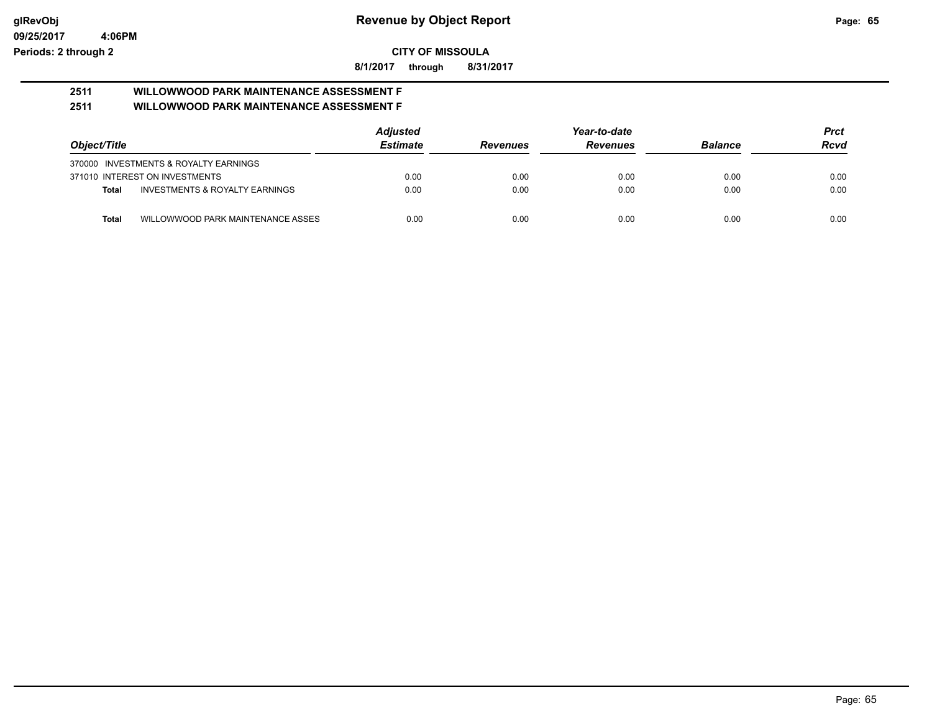# **09/25/2017 4:06PM Periods: 2 through 2**

**CITY OF MISSOULA**

**8/1/2017 through 8/31/2017**

# **2511 WILLOWWOOD PARK MAINTENANCE ASSESSMENT F 2511 WILLOWWOOD PARK MAINTENANCE ASSESSMENT F**

|              |                                           | <b>Adjusted</b> |                 | Year-to-date    |                | Prct |
|--------------|-------------------------------------------|-----------------|-----------------|-----------------|----------------|------|
| Object/Title |                                           | <b>Estimate</b> | <b>Revenues</b> | <b>Revenues</b> | <b>Balance</b> | Rcvd |
|              | 370000 INVESTMENTS & ROYALTY EARNINGS     |                 |                 |                 |                |      |
|              | 371010 INTEREST ON INVESTMENTS            | 0.00            | 0.00            | 0.00            | 0.00           | 0.00 |
| Total        | <b>INVESTMENTS &amp; ROYALTY EARNINGS</b> | 0.00            | 0.00            | 0.00            | 0.00           | 0.00 |
| Total        | WILLOWWOOD PARK MAINTENANCE ASSES         | 0.00            | 0.00            | 0.00            | 0.00           | 0.00 |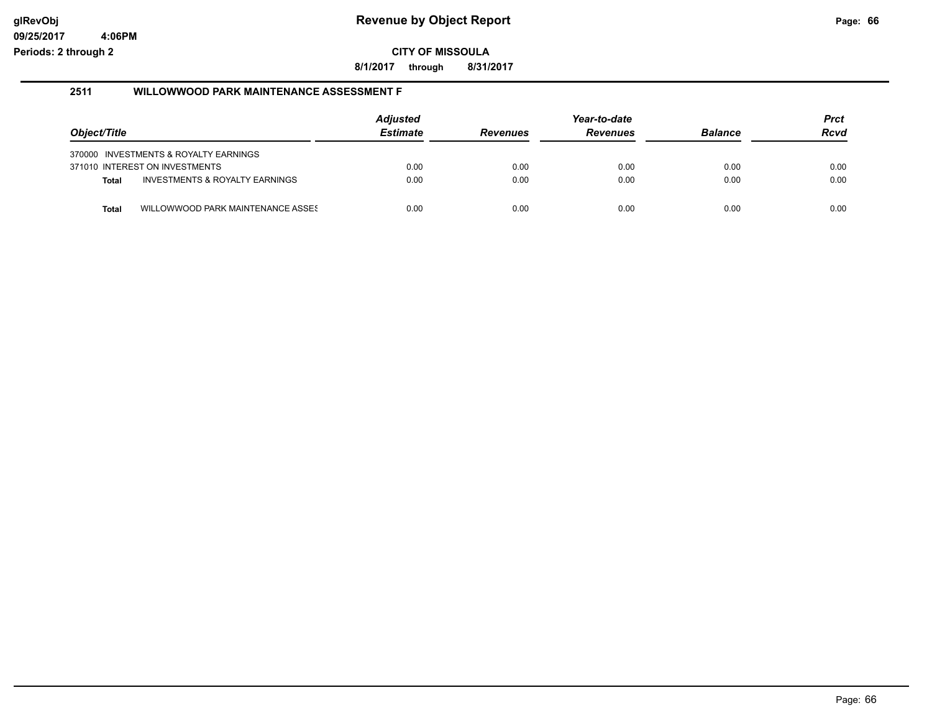**8/1/2017 through 8/31/2017**

# **2511 WILLOWWOOD PARK MAINTENANCE ASSESSMENT F**

| Object/Title |                                       | Adjusted<br><b>Estimate</b> | <b>Revenues</b> | Year-to-date<br><b>Revenues</b> | <b>Balance</b> | <b>Prct</b><br><b>Rcvd</b> |
|--------------|---------------------------------------|-----------------------------|-----------------|---------------------------------|----------------|----------------------------|
|              | 370000 INVESTMENTS & ROYALTY EARNINGS |                             |                 |                                 |                |                            |
|              | 371010 INTEREST ON INVESTMENTS        | 0.00                        | 0.00            | 0.00                            | 0.00           | 0.00                       |
| <b>Total</b> | INVESTMENTS & ROYALTY EARNINGS        | 0.00                        | 0.00            | 0.00                            | 0.00           | 0.00                       |
| <b>Total</b> | WILLOWWOOD PARK MAINTENANCE ASSES     | 0.00                        | 0.00            | 0.00                            | 0.00           | 0.00                       |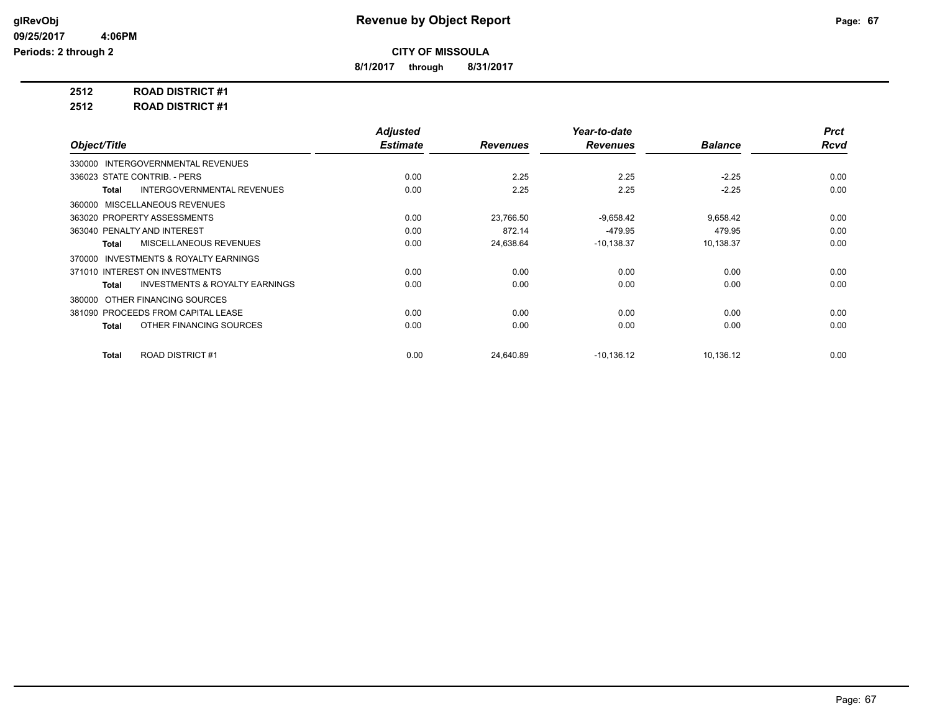**8/1/2017 through 8/31/2017**

**2512 ROAD DISTRICT #1**

**2512 ROAD DISTRICT #1**

|                                                           | <b>Adjusted</b> |                 | Year-to-date    |                | <b>Prct</b> |
|-----------------------------------------------------------|-----------------|-----------------|-----------------|----------------|-------------|
| Object/Title                                              | <b>Estimate</b> | <b>Revenues</b> | <b>Revenues</b> | <b>Balance</b> | <b>Rcvd</b> |
| INTERGOVERNMENTAL REVENUES<br>330000                      |                 |                 |                 |                |             |
| 336023 STATE CONTRIB. - PERS                              | 0.00            | 2.25            | 2.25            | $-2.25$        | 0.00        |
| <b>INTERGOVERNMENTAL REVENUES</b><br><b>Total</b>         | 0.00            | 2.25            | 2.25            | $-2.25$        | 0.00        |
| 360000 MISCELLANEOUS REVENUES                             |                 |                 |                 |                |             |
| 363020 PROPERTY ASSESSMENTS                               | 0.00            | 23,766.50       | $-9,658.42$     | 9,658.42       | 0.00        |
| 363040 PENALTY AND INTEREST                               | 0.00            | 872.14          | $-479.95$       | 479.95         | 0.00        |
| MISCELLANEOUS REVENUES<br>Total                           | 0.00            | 24,638.64       | $-10,138.37$    | 10,138.37      | 0.00        |
| <b>INVESTMENTS &amp; ROYALTY EARNINGS</b><br>370000       |                 |                 |                 |                |             |
| 371010 INTEREST ON INVESTMENTS                            | 0.00            | 0.00            | 0.00            | 0.00           | 0.00        |
| <b>INVESTMENTS &amp; ROYALTY EARNINGS</b><br><b>Total</b> | 0.00            | 0.00            | 0.00            | 0.00           | 0.00        |
| OTHER FINANCING SOURCES<br>380000                         |                 |                 |                 |                |             |
| 381090 PROCEEDS FROM CAPITAL LEASE                        | 0.00            | 0.00            | 0.00            | 0.00           | 0.00        |
| OTHER FINANCING SOURCES<br><b>Total</b>                   | 0.00            | 0.00            | 0.00            | 0.00           | 0.00        |
| <b>ROAD DISTRICT #1</b><br><b>Total</b>                   | 0.00            | 24,640.89       | $-10, 136.12$   | 10,136.12      | 0.00        |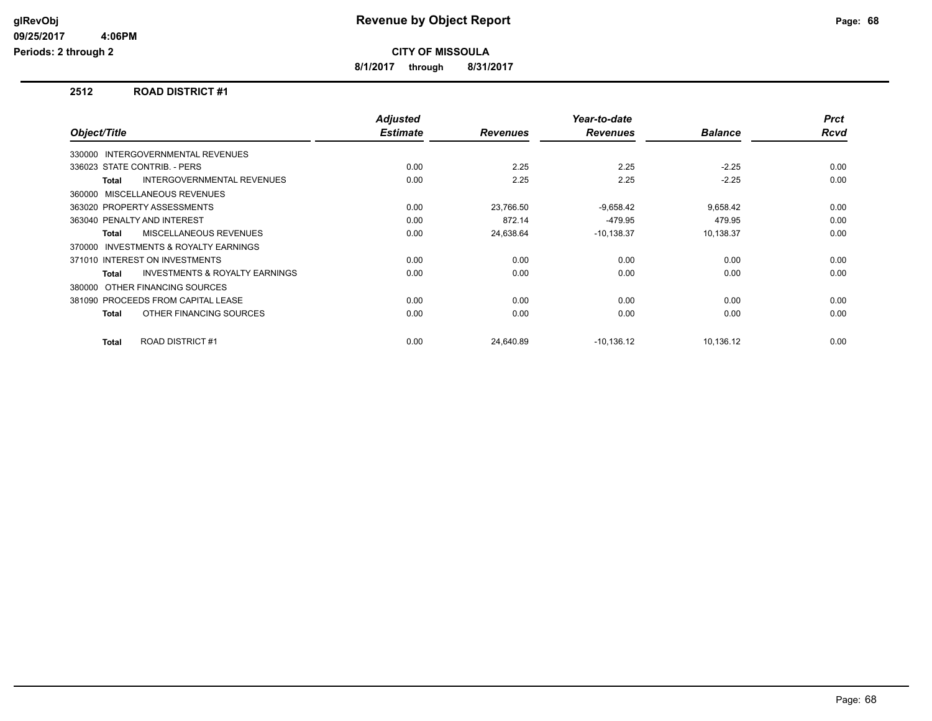**8/1/2017 through 8/31/2017**

# **2512 ROAD DISTRICT #1**

|                                                     | <b>Adjusted</b> |                 | Year-to-date    |                | <b>Prct</b> |
|-----------------------------------------------------|-----------------|-----------------|-----------------|----------------|-------------|
| Object/Title                                        | <b>Estimate</b> | <b>Revenues</b> | <b>Revenues</b> | <b>Balance</b> | <b>Rcvd</b> |
| 330000 INTERGOVERNMENTAL REVENUES                   |                 |                 |                 |                |             |
| 336023 STATE CONTRIB. - PERS                        | 0.00            | 2.25            | 2.25            | $-2.25$        | 0.00        |
| <b>INTERGOVERNMENTAL REVENUES</b><br><b>Total</b>   | 0.00            | 2.25            | 2.25            | $-2.25$        | 0.00        |
| 360000 MISCELLANEOUS REVENUES                       |                 |                 |                 |                |             |
| 363020 PROPERTY ASSESSMENTS                         | 0.00            | 23,766.50       | $-9,658.42$     | 9,658.42       | 0.00        |
| 363040 PENALTY AND INTEREST                         | 0.00            | 872.14          | $-479.95$       | 479.95         | 0.00        |
| MISCELLANEOUS REVENUES<br><b>Total</b>              | 0.00            | 24,638.64       | $-10,138.37$    | 10,138.37      | 0.00        |
| <b>INVESTMENTS &amp; ROYALTY EARNINGS</b><br>370000 |                 |                 |                 |                |             |
| 371010 INTEREST ON INVESTMENTS                      | 0.00            | 0.00            | 0.00            | 0.00           | 0.00        |
| <b>INVESTMENTS &amp; ROYALTY EARNINGS</b><br>Total  | 0.00            | 0.00            | 0.00            | 0.00           | 0.00        |
| 380000 OTHER FINANCING SOURCES                      |                 |                 |                 |                |             |
| 381090 PROCEEDS FROM CAPITAL LEASE                  | 0.00            | 0.00            | 0.00            | 0.00           | 0.00        |
| OTHER FINANCING SOURCES<br><b>Total</b>             | 0.00            | 0.00            | 0.00            | 0.00           | 0.00        |
| ROAD DISTRICT #1<br><b>Total</b>                    | 0.00            | 24,640.89       | $-10,136.12$    | 10,136.12      | 0.00        |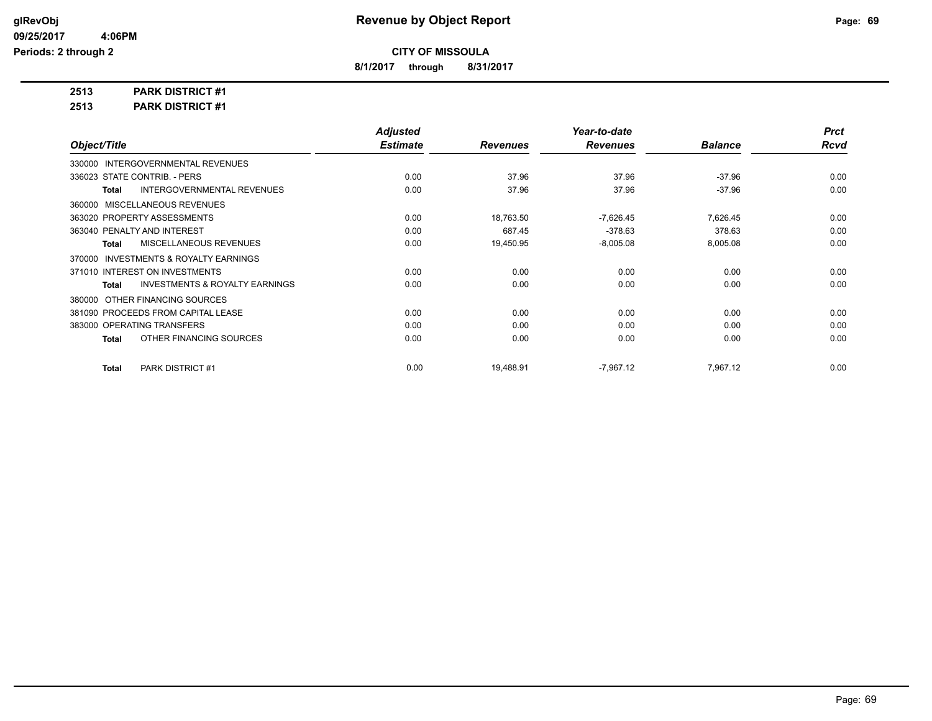**8/1/2017 through 8/31/2017**

**2513 PARK DISTRICT #1**

**2513 PARK DISTRICT #1**

|                                                           | <b>Adjusted</b> |                 | Year-to-date    |                | <b>Prct</b> |
|-----------------------------------------------------------|-----------------|-----------------|-----------------|----------------|-------------|
| Object/Title                                              | <b>Estimate</b> | <b>Revenues</b> | <b>Revenues</b> | <b>Balance</b> | <b>Rcvd</b> |
| 330000 INTERGOVERNMENTAL REVENUES                         |                 |                 |                 |                |             |
| 336023 STATE CONTRIB. - PERS                              | 0.00            | 37.96           | 37.96           | $-37.96$       | 0.00        |
| <b>INTERGOVERNMENTAL REVENUES</b><br><b>Total</b>         | 0.00            | 37.96           | 37.96           | $-37.96$       | 0.00        |
| MISCELLANEOUS REVENUES<br>360000                          |                 |                 |                 |                |             |
| 363020 PROPERTY ASSESSMENTS                               | 0.00            | 18.763.50       | $-7,626.45$     | 7,626.45       | 0.00        |
| 363040 PENALTY AND INTEREST                               | 0.00            | 687.45          | $-378.63$       | 378.63         | 0.00        |
| MISCELLANEOUS REVENUES<br><b>Total</b>                    | 0.00            | 19,450.95       | $-8,005.08$     | 8,005.08       | 0.00        |
| <b>INVESTMENTS &amp; ROYALTY EARNINGS</b><br>370000       |                 |                 |                 |                |             |
| 371010 INTEREST ON INVESTMENTS                            | 0.00            | 0.00            | 0.00            | 0.00           | 0.00        |
| <b>INVESTMENTS &amp; ROYALTY EARNINGS</b><br><b>Total</b> | 0.00            | 0.00            | 0.00            | 0.00           | 0.00        |
| OTHER FINANCING SOURCES<br>380000                         |                 |                 |                 |                |             |
| 381090 PROCEEDS FROM CAPITAL LEASE                        | 0.00            | 0.00            | 0.00            | 0.00           | 0.00        |
| 383000 OPERATING TRANSFERS                                | 0.00            | 0.00            | 0.00            | 0.00           | 0.00        |
| OTHER FINANCING SOURCES<br><b>Total</b>                   | 0.00            | 0.00            | 0.00            | 0.00           | 0.00        |
| <b>PARK DISTRICT #1</b><br>Total                          | 0.00            | 19,488.91       | $-7,967.12$     | 7,967.12       | 0.00        |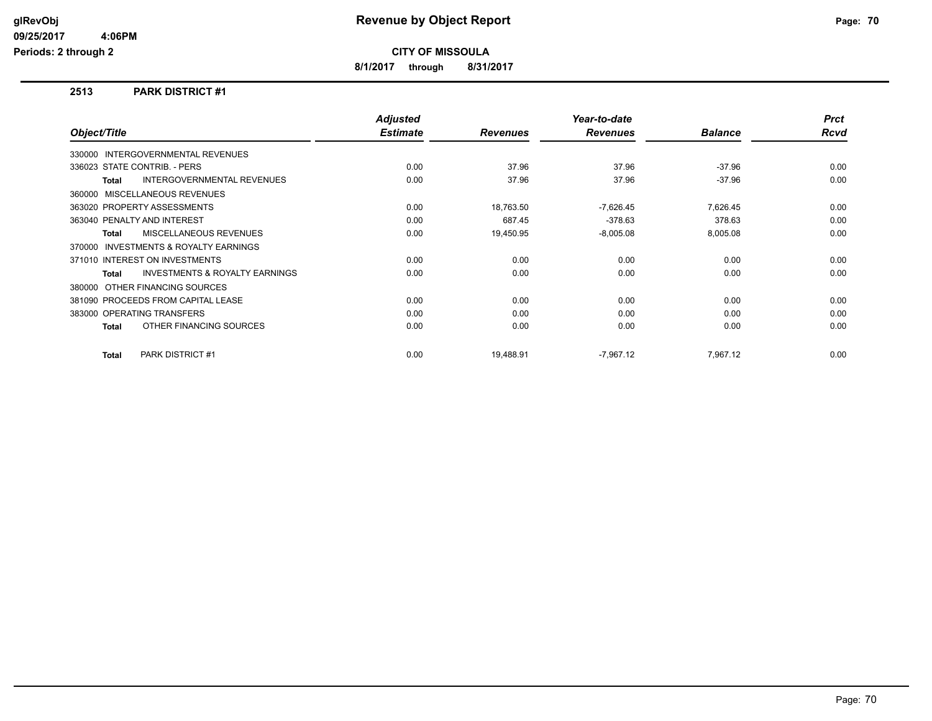**8/1/2017 through 8/31/2017**

# **2513 PARK DISTRICT #1**

|                                                           | Adjusted        |                 | Year-to-date    |                | <b>Prct</b> |
|-----------------------------------------------------------|-----------------|-----------------|-----------------|----------------|-------------|
| Object/Title                                              | <b>Estimate</b> | <b>Revenues</b> | <b>Revenues</b> | <b>Balance</b> | Rcvd        |
| 330000 INTERGOVERNMENTAL REVENUES                         |                 |                 |                 |                |             |
| 336023 STATE CONTRIB. - PERS                              | 0.00            | 37.96           | 37.96           | $-37.96$       | 0.00        |
| <b>INTERGOVERNMENTAL REVENUES</b><br><b>Total</b>         | 0.00            | 37.96           | 37.96           | $-37.96$       | 0.00        |
| 360000 MISCELLANEOUS REVENUES                             |                 |                 |                 |                |             |
| 363020 PROPERTY ASSESSMENTS                               | 0.00            | 18,763.50       | $-7,626.45$     | 7,626.45       | 0.00        |
| 363040 PENALTY AND INTEREST                               | 0.00            | 687.45          | $-378.63$       | 378.63         | 0.00        |
| <b>MISCELLANEOUS REVENUES</b><br><b>Total</b>             | 0.00            | 19,450.95       | $-8,005.08$     | 8,005.08       | 0.00        |
| <b>INVESTMENTS &amp; ROYALTY EARNINGS</b><br>370000       |                 |                 |                 |                |             |
| 371010 INTEREST ON INVESTMENTS                            | 0.00            | 0.00            | 0.00            | 0.00           | 0.00        |
| <b>INVESTMENTS &amp; ROYALTY EARNINGS</b><br><b>Total</b> | 0.00            | 0.00            | 0.00            | 0.00           | 0.00        |
| OTHER FINANCING SOURCES<br>380000                         |                 |                 |                 |                |             |
| 381090 PROCEEDS FROM CAPITAL LEASE                        | 0.00            | 0.00            | 0.00            | 0.00           | 0.00        |
| 383000 OPERATING TRANSFERS                                | 0.00            | 0.00            | 0.00            | 0.00           | 0.00        |
| OTHER FINANCING SOURCES<br><b>Total</b>                   | 0.00            | 0.00            | 0.00            | 0.00           | 0.00        |
| <b>PARK DISTRICT #1</b><br><b>Total</b>                   | 0.00            | 19,488.91       | $-7,967.12$     | 7.967.12       | 0.00        |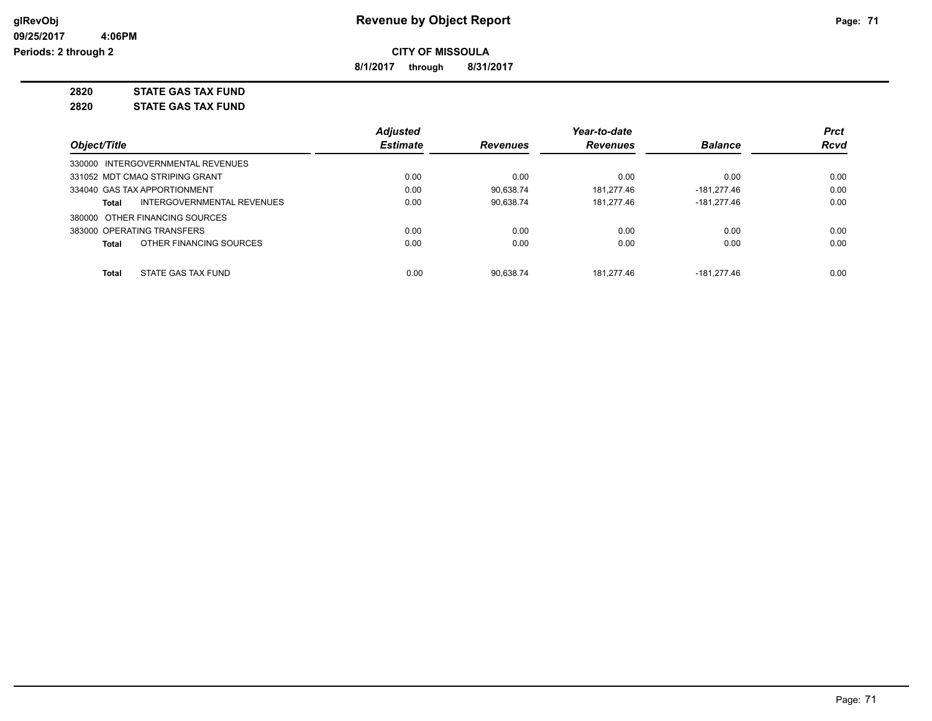**8/1/2017 through 8/31/2017**

**2820 STATE GAS TAX FUND**

**2820 STATE GAS TAX FUND**

|                                     | <b>Adjusted</b> |                 | Year-to-date    |                | <b>Prct</b> |
|-------------------------------------|-----------------|-----------------|-----------------|----------------|-------------|
| Object/Title                        | <b>Estimate</b> | <b>Revenues</b> | <b>Revenues</b> | <b>Balance</b> | <b>Rcvd</b> |
| 330000 INTERGOVERNMENTAL REVENUES   |                 |                 |                 |                |             |
| 331052 MDT CMAQ STRIPING GRANT      | 0.00            | 0.00            | 0.00            | 0.00           | 0.00        |
| 334040 GAS TAX APPORTIONMENT        | 0.00            | 90.638.74       | 181.277.46      | -181.277.46    | 0.00        |
| INTERGOVERNMENTAL REVENUES<br>Total | 0.00            | 90,638.74       | 181,277.46      | -181,277.46    | 0.00        |
| 380000 OTHER FINANCING SOURCES      |                 |                 |                 |                |             |
| 383000 OPERATING TRANSFERS          | 0.00            | 0.00            | 0.00            | 0.00           | 0.00        |
| OTHER FINANCING SOURCES<br>Total    | 0.00            | 0.00            | 0.00            | 0.00           | 0.00        |
|                                     |                 |                 |                 |                |             |
| STATE GAS TAX FUND<br><b>Total</b>  | 0.00            | 90.638.74       | 181.277.46      | $-181.277.46$  | 0.00        |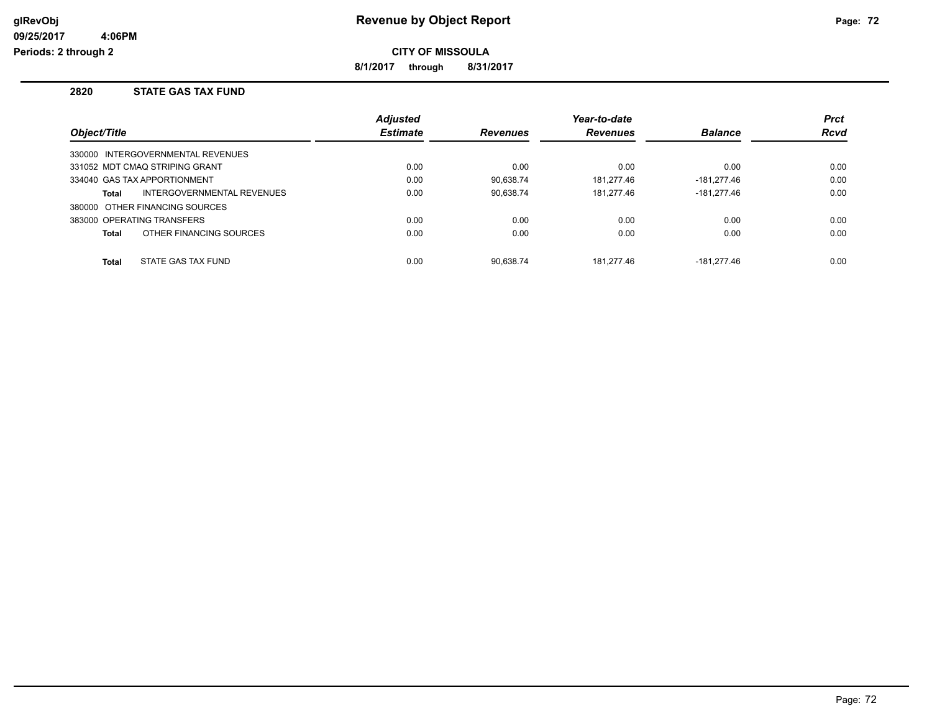**8/1/2017 through 8/31/2017**

# **2820 STATE GAS TAX FUND**

|                                            | <b>Adjusted</b> |                 | Year-to-date    |                | <b>Prct</b> |
|--------------------------------------------|-----------------|-----------------|-----------------|----------------|-------------|
| Object/Title                               | <b>Estimate</b> | <b>Revenues</b> | <b>Revenues</b> | <b>Balance</b> | <b>Rcvd</b> |
| 330000 INTERGOVERNMENTAL REVENUES          |                 |                 |                 |                |             |
| 331052 MDT CMAQ STRIPING GRANT             | 0.00            | 0.00            | 0.00            | 0.00           | 0.00        |
| 334040 GAS TAX APPORTIONMENT               | 0.00            | 90.638.74       | 181.277.46      | $-181.277.46$  | 0.00        |
| INTERGOVERNMENTAL REVENUES<br><b>Total</b> | 0.00            | 90,638.74       | 181.277.46      | $-181.277.46$  | 0.00        |
| 380000 OTHER FINANCING SOURCES             |                 |                 |                 |                |             |
| 383000 OPERATING TRANSFERS                 | 0.00            | 0.00            | 0.00            | 0.00           | 0.00        |
| OTHER FINANCING SOURCES<br><b>Total</b>    | 0.00            | 0.00            | 0.00            | 0.00           | 0.00        |
| <b>Total</b><br>STATE GAS TAX FUND         | 0.00            | 90.638.74       | 181.277.46      | $-181.277.46$  | 0.00        |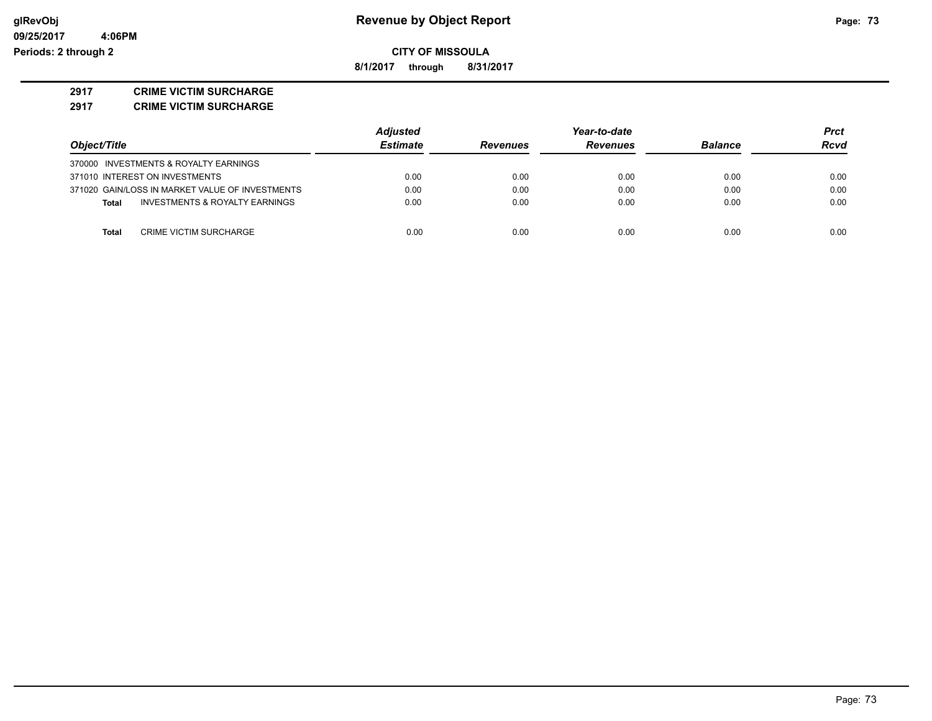**8/1/2017 through 8/31/2017**

#### **2917 CRIME VICTIM SURCHARGE**

**2917 CRIME VICTIM SURCHARGE**

|                                                 | <b>Adjusted</b> |                 | Year-to-date    |                | Prct |  |
|-------------------------------------------------|-----------------|-----------------|-----------------|----------------|------|--|
| Object/Title                                    | <b>Estimate</b> | <b>Revenues</b> | <b>Revenues</b> | <b>Balance</b> | Rcvd |  |
| 370000 INVESTMENTS & ROYALTY EARNINGS           |                 |                 |                 |                |      |  |
| 371010 INTEREST ON INVESTMENTS                  | 0.00            | 0.00            | 0.00            | 0.00           | 0.00 |  |
| 371020 GAIN/LOSS IN MARKET VALUE OF INVESTMENTS | 0.00            | 0.00            | 0.00            | 0.00           | 0.00 |  |
| INVESTMENTS & ROYALTY EARNINGS<br><b>Total</b>  | 0.00            | 0.00            | 0.00            | 0.00           | 0.00 |  |
|                                                 |                 |                 |                 |                |      |  |
| <b>Total</b><br>CRIME VICTIM SURCHARGE          | 0.00            | 0.00            | 0.00            | 0.00           | 0.00 |  |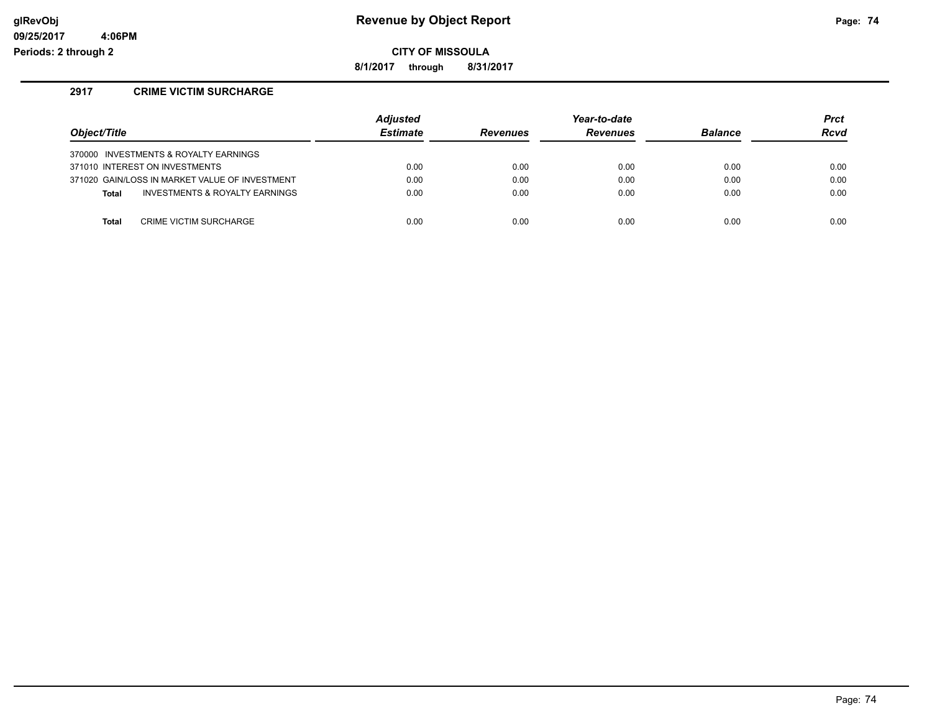**Periods: 2 through 2**

**CITY OF MISSOULA**

**8/1/2017 through 8/31/2017**

#### **2917 CRIME VICTIM SURCHARGE**

 **4:06PM**

| Object/Title                                       | <b>Adjusted</b><br><b>Estimate</b> | <b>Revenues</b> | Year-to-date<br><b>Revenues</b> | <b>Balance</b> | <b>Prct</b><br><b>Rcvd</b> |
|----------------------------------------------------|------------------------------------|-----------------|---------------------------------|----------------|----------------------------|
| 370000 INVESTMENTS & ROYALTY EARNINGS              |                                    |                 |                                 |                |                            |
| 371010 INTEREST ON INVESTMENTS                     | 0.00                               | 0.00            | 0.00                            | 0.00           | 0.00                       |
| 371020 GAIN/LOSS IN MARKET VALUE OF INVESTMENT     | 0.00                               | 0.00            | 0.00                            | 0.00           | 0.00                       |
| <b>INVESTMENTS &amp; ROYALTY EARNINGS</b><br>Total | 0.00                               | 0.00            | 0.00                            | 0.00           | 0.00                       |
|                                                    |                                    |                 |                                 |                |                            |
| CRIME VICTIM SURCHARGE<br>Total                    | 0.00                               | 0.00            | 0.00                            | 0.00           | 0.00                       |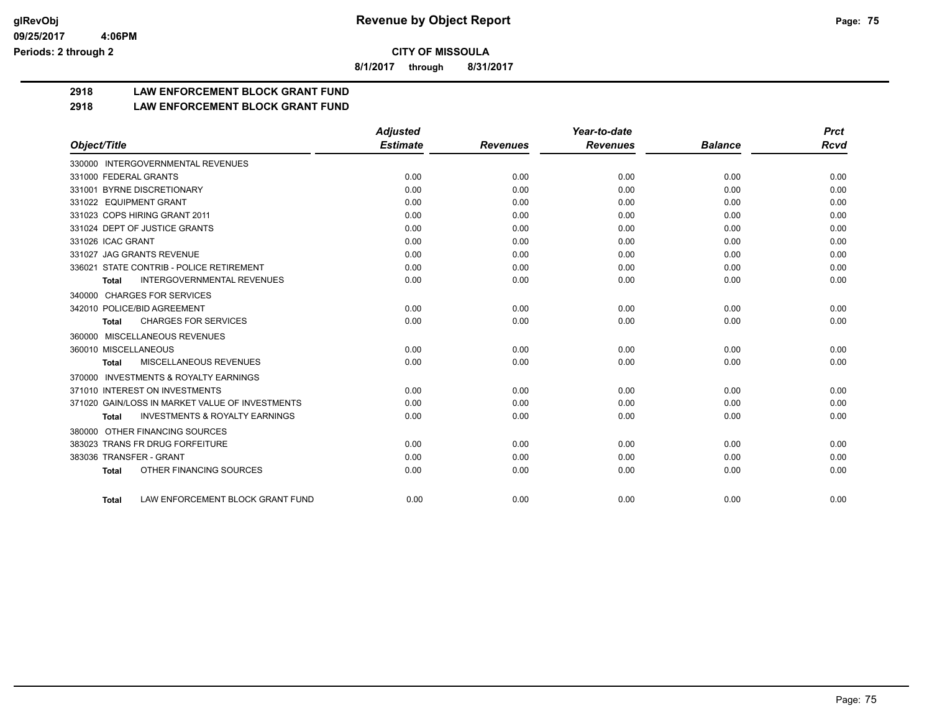**8/1/2017 through 8/31/2017**

# **2918 LAW ENFORCEMENT BLOCK GRANT FUND**

## **2918 LAW ENFORCEMENT BLOCK GRANT FUND**

|                                                           | <b>Adjusted</b> |                 | Year-to-date    |                | <b>Prct</b> |
|-----------------------------------------------------------|-----------------|-----------------|-----------------|----------------|-------------|
| Object/Title                                              | <b>Estimate</b> | <b>Revenues</b> | <b>Revenues</b> | <b>Balance</b> | <b>Rcvd</b> |
| 330000 INTERGOVERNMENTAL REVENUES                         |                 |                 |                 |                |             |
| 331000 FEDERAL GRANTS                                     | 0.00            | 0.00            | 0.00            | 0.00           | 0.00        |
| 331001 BYRNE DISCRETIONARY                                | 0.00            | 0.00            | 0.00            | 0.00           | 0.00        |
| 331022 EQUIPMENT GRANT                                    | 0.00            | 0.00            | 0.00            | 0.00           | 0.00        |
| 331023 COPS HIRING GRANT 2011                             | 0.00            | 0.00            | 0.00            | 0.00           | 0.00        |
| 331024 DEPT OF JUSTICE GRANTS                             | 0.00            | 0.00            | 0.00            | 0.00           | 0.00        |
| 331026 ICAC GRANT                                         | 0.00            | 0.00            | 0.00            | 0.00           | 0.00        |
| 331027 JAG GRANTS REVENUE                                 | 0.00            | 0.00            | 0.00            | 0.00           | 0.00        |
| 336021 STATE CONTRIB - POLICE RETIREMENT                  | 0.00            | 0.00            | 0.00            | 0.00           | 0.00        |
| <b>INTERGOVERNMENTAL REVENUES</b><br><b>Total</b>         | 0.00            | 0.00            | 0.00            | 0.00           | 0.00        |
| 340000 CHARGES FOR SERVICES                               |                 |                 |                 |                |             |
| 342010 POLICE/BID AGREEMENT                               | 0.00            | 0.00            | 0.00            | 0.00           | 0.00        |
| <b>CHARGES FOR SERVICES</b><br><b>Total</b>               | 0.00            | 0.00            | 0.00            | 0.00           | 0.00        |
| 360000 MISCELLANEOUS REVENUES                             |                 |                 |                 |                |             |
| 360010 MISCELLANEOUS                                      | 0.00            | 0.00            | 0.00            | 0.00           | 0.00        |
| MISCELLANEOUS REVENUES<br>Total                           | 0.00            | 0.00            | 0.00            | 0.00           | 0.00        |
| <b>INVESTMENTS &amp; ROYALTY EARNINGS</b><br>370000       |                 |                 |                 |                |             |
| 371010 INTEREST ON INVESTMENTS                            | 0.00            | 0.00            | 0.00            | 0.00           | 0.00        |
| 371020 GAIN/LOSS IN MARKET VALUE OF INVESTMENTS           | 0.00            | 0.00            | 0.00            | 0.00           | 0.00        |
| <b>INVESTMENTS &amp; ROYALTY EARNINGS</b><br><b>Total</b> | 0.00            | 0.00            | 0.00            | 0.00           | 0.00        |
| OTHER FINANCING SOURCES<br>380000                         |                 |                 |                 |                |             |
| 383023 TRANS FR DRUG FORFEITURE                           | 0.00            | 0.00            | 0.00            | 0.00           | 0.00        |
| 383036 TRANSFER - GRANT                                   | 0.00            | 0.00            | 0.00            | 0.00           | 0.00        |
| OTHER FINANCING SOURCES<br><b>Total</b>                   | 0.00            | 0.00            | 0.00            | 0.00           | 0.00        |
|                                                           |                 |                 |                 |                |             |
| LAW ENFORCEMENT BLOCK GRANT FUND<br><b>Total</b>          | 0.00            | 0.00            | 0.00            | 0.00           | 0.00        |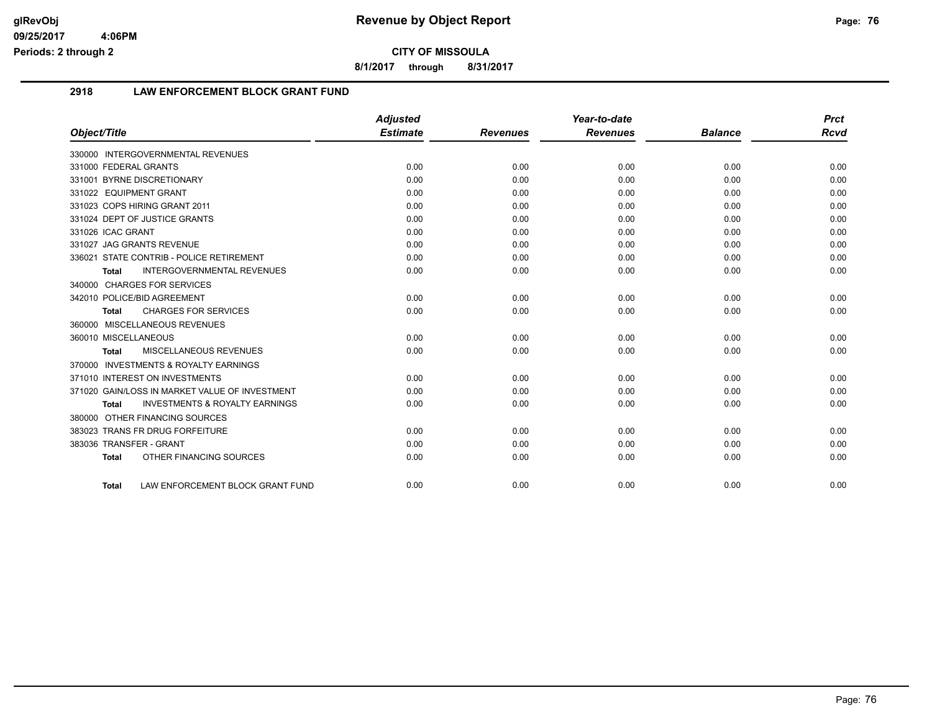**8/1/2017 through 8/31/2017**

## **2918 LAW ENFORCEMENT BLOCK GRANT FUND**

|                                                           | <b>Adjusted</b> |                 | Year-to-date    |                | <b>Prct</b> |
|-----------------------------------------------------------|-----------------|-----------------|-----------------|----------------|-------------|
| Object/Title                                              | <b>Estimate</b> | <b>Revenues</b> | <b>Revenues</b> | <b>Balance</b> | <b>Rcvd</b> |
| 330000 INTERGOVERNMENTAL REVENUES                         |                 |                 |                 |                |             |
| 331000 FEDERAL GRANTS                                     | 0.00            | 0.00            | 0.00            | 0.00           | 0.00        |
| 331001 BYRNE DISCRETIONARY                                | 0.00            | 0.00            | 0.00            | 0.00           | 0.00        |
| 331022 EQUIPMENT GRANT                                    | 0.00            | 0.00            | 0.00            | 0.00           | 0.00        |
| 331023 COPS HIRING GRANT 2011                             | 0.00            | 0.00            | 0.00            | 0.00           | 0.00        |
| 331024 DEPT OF JUSTICE GRANTS                             | 0.00            | 0.00            | 0.00            | 0.00           | 0.00        |
| 331026 ICAC GRANT                                         | 0.00            | 0.00            | 0.00            | 0.00           | 0.00        |
| 331027 JAG GRANTS REVENUE                                 | 0.00            | 0.00            | 0.00            | 0.00           | 0.00        |
| 336021 STATE CONTRIB - POLICE RETIREMENT                  | 0.00            | 0.00            | 0.00            | 0.00           | 0.00        |
| <b>INTERGOVERNMENTAL REVENUES</b><br><b>Total</b>         | 0.00            | 0.00            | 0.00            | 0.00           | 0.00        |
| 340000 CHARGES FOR SERVICES                               |                 |                 |                 |                |             |
| 342010 POLICE/BID AGREEMENT                               | 0.00            | 0.00            | 0.00            | 0.00           | 0.00        |
| <b>CHARGES FOR SERVICES</b><br><b>Total</b>               | 0.00            | 0.00            | 0.00            | 0.00           | 0.00        |
| 360000 MISCELLANEOUS REVENUES                             |                 |                 |                 |                |             |
| 360010 MISCELLANEOUS                                      | 0.00            | 0.00            | 0.00            | 0.00           | 0.00        |
| MISCELLANEOUS REVENUES<br><b>Total</b>                    | 0.00            | 0.00            | 0.00            | 0.00           | 0.00        |
| 370000 INVESTMENTS & ROYALTY EARNINGS                     |                 |                 |                 |                |             |
| 371010 INTEREST ON INVESTMENTS                            | 0.00            | 0.00            | 0.00            | 0.00           | 0.00        |
| 371020 GAIN/LOSS IN MARKET VALUE OF INVESTMENT            | 0.00            | 0.00            | 0.00            | 0.00           | 0.00        |
| <b>INVESTMENTS &amp; ROYALTY EARNINGS</b><br><b>Total</b> | 0.00            | 0.00            | 0.00            | 0.00           | 0.00        |
| 380000 OTHER FINANCING SOURCES                            |                 |                 |                 |                |             |
| 383023 TRANS FR DRUG FORFEITURE                           | 0.00            | 0.00            | 0.00            | 0.00           | 0.00        |
| 383036 TRANSFER - GRANT                                   | 0.00            | 0.00            | 0.00            | 0.00           | 0.00        |
| OTHER FINANCING SOURCES<br><b>Total</b>                   | 0.00            | 0.00            | 0.00            | 0.00           | 0.00        |
| LAW ENFORCEMENT BLOCK GRANT FUND<br>Total                 | 0.00            | 0.00            | 0.00            | 0.00           | 0.00        |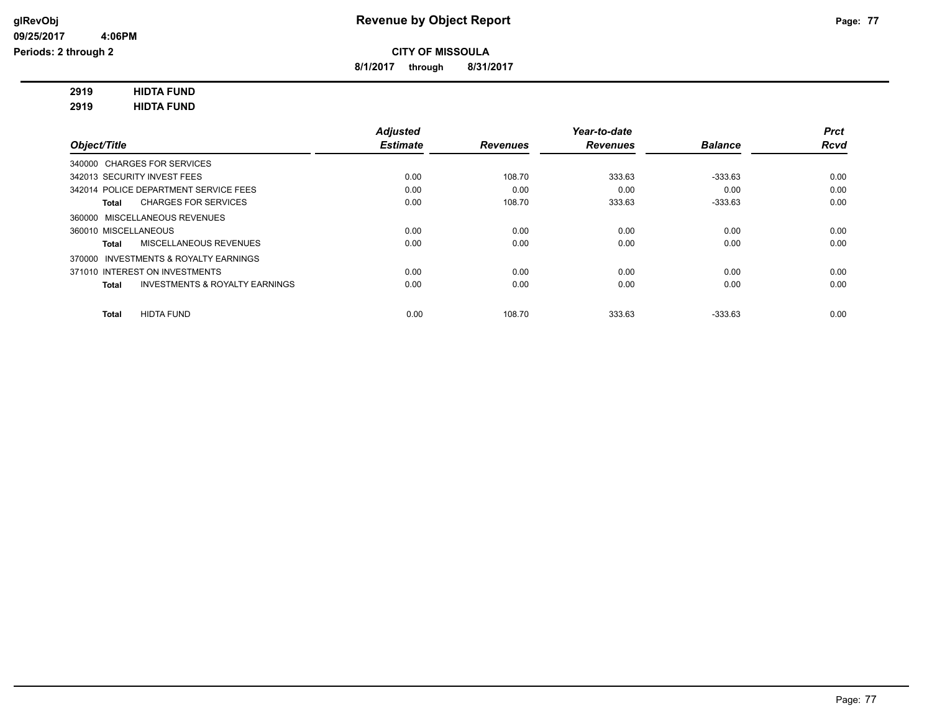**8/1/2017 through 8/31/2017**

## **2919 HIDTA FUND**

**2919 HIDTA FUND**

|                                                    | <b>Adjusted</b> |                 | Year-to-date    |                | <b>Prct</b> |
|----------------------------------------------------|-----------------|-----------------|-----------------|----------------|-------------|
| Object/Title                                       | <b>Estimate</b> | <b>Revenues</b> | <b>Revenues</b> | <b>Balance</b> | <b>Rcvd</b> |
| 340000 CHARGES FOR SERVICES                        |                 |                 |                 |                |             |
| 342013 SECURITY INVEST FEES                        | 0.00            | 108.70          | 333.63          | $-333.63$      | 0.00        |
| 342014 POLICE DEPARTMENT SERVICE FEES              | 0.00            | 0.00            | 0.00            | 0.00           | 0.00        |
| <b>CHARGES FOR SERVICES</b><br>Total               | 0.00            | 108.70          | 333.63          | $-333.63$      | 0.00        |
| 360000 MISCELLANEOUS REVENUES                      |                 |                 |                 |                |             |
| 360010 MISCELLANEOUS                               | 0.00            | 0.00            | 0.00            | 0.00           | 0.00        |
| MISCELLANEOUS REVENUES<br>Total                    | 0.00            | 0.00            | 0.00            | 0.00           | 0.00        |
| 370000 INVESTMENTS & ROYALTY EARNINGS              |                 |                 |                 |                |             |
| 371010 INTEREST ON INVESTMENTS                     | 0.00            | 0.00            | 0.00            | 0.00           | 0.00        |
| <b>INVESTMENTS &amp; ROYALTY EARNINGS</b><br>Total | 0.00            | 0.00            | 0.00            | 0.00           | 0.00        |
| <b>HIDTA FUND</b><br><b>Total</b>                  | 0.00            | 108.70          | 333.63          | $-333.63$      | 0.00        |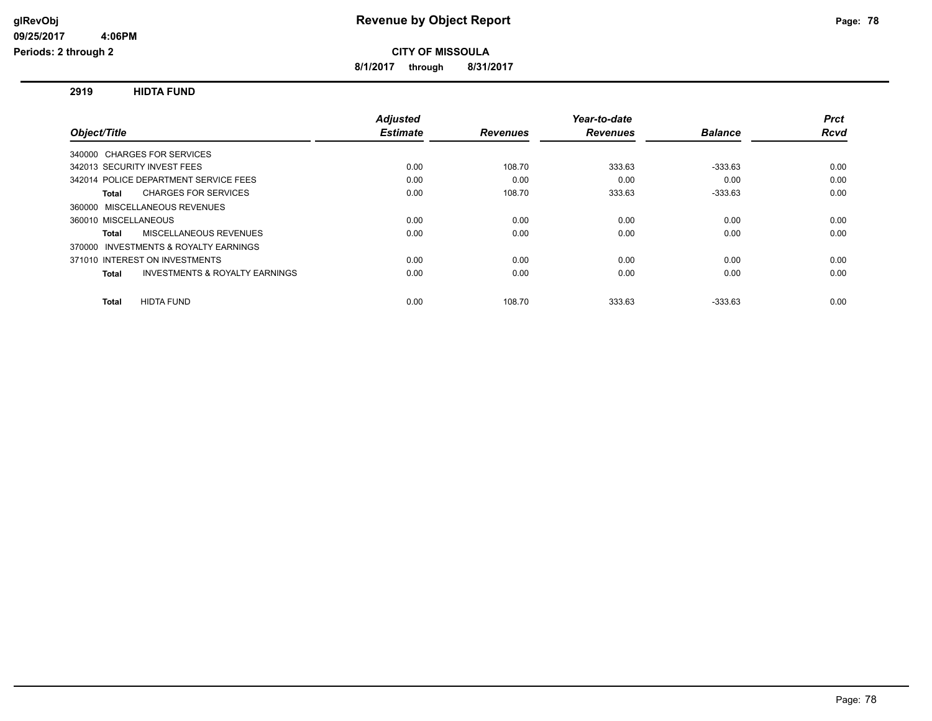**Periods: 2 through 2**

**CITY OF MISSOULA**

**8/1/2017 through 8/31/2017**

**2919 HIDTA FUND**

 **4:06PM**

|                                                    | <b>Adjusted</b> |                 | Year-to-date    |                | <b>Prct</b> |
|----------------------------------------------------|-----------------|-----------------|-----------------|----------------|-------------|
| Object/Title                                       | <b>Estimate</b> | <b>Revenues</b> | <b>Revenues</b> | <b>Balance</b> | Rcvd        |
| 340000 CHARGES FOR SERVICES                        |                 |                 |                 |                |             |
| 342013 SECURITY INVEST FEES                        | 0.00            | 108.70          | 333.63          | $-333.63$      | 0.00        |
| 342014 POLICE DEPARTMENT SERVICE FEES              | 0.00            | 0.00            | 0.00            | 0.00           | 0.00        |
| <b>CHARGES FOR SERVICES</b><br>Total               | 0.00            | 108.70          | 333.63          | $-333.63$      | 0.00        |
| 360000 MISCELLANEOUS REVENUES                      |                 |                 |                 |                |             |
| 360010 MISCELLANEOUS                               | 0.00            | 0.00            | 0.00            | 0.00           | 0.00        |
| MISCELLANEOUS REVENUES<br>Total                    | 0.00            | 0.00            | 0.00            | 0.00           | 0.00        |
| 370000 INVESTMENTS & ROYALTY EARNINGS              |                 |                 |                 |                |             |
| 371010 INTEREST ON INVESTMENTS                     | 0.00            | 0.00            | 0.00            | 0.00           | 0.00        |
| <b>INVESTMENTS &amp; ROYALTY EARNINGS</b><br>Total | 0.00            | 0.00            | 0.00            | 0.00           | 0.00        |
| <b>HIDTA FUND</b><br><b>Total</b>                  | 0.00            | 108.70          | 333.63          | $-333.63$      | 0.00        |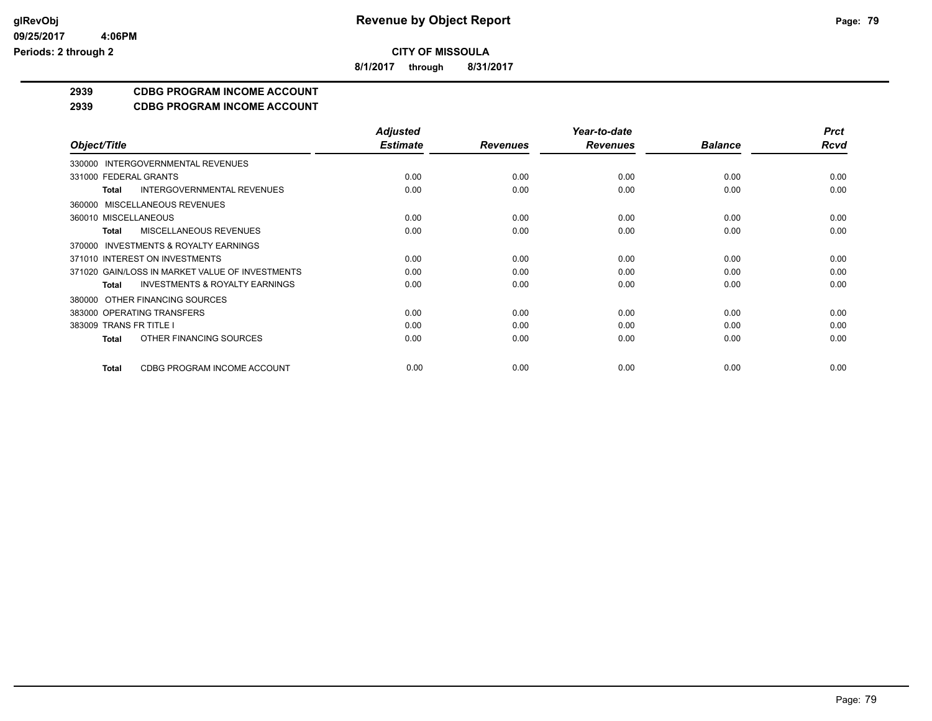**8/1/2017 through 8/31/2017**

## **2939 CDBG PROGRAM INCOME ACCOUNT**

#### **2939 CDBG PROGRAM INCOME ACCOUNT**

|                                                    | <b>Adjusted</b> |                 | Year-to-date    |                | <b>Prct</b> |
|----------------------------------------------------|-----------------|-----------------|-----------------|----------------|-------------|
| Object/Title                                       | <b>Estimate</b> | <b>Revenues</b> | <b>Revenues</b> | <b>Balance</b> | Rcvd        |
| 330000 INTERGOVERNMENTAL REVENUES                  |                 |                 |                 |                |             |
| 331000 FEDERAL GRANTS                              | 0.00            | 0.00            | 0.00            | 0.00           | 0.00        |
| INTERGOVERNMENTAL REVENUES<br><b>Total</b>         | 0.00            | 0.00            | 0.00            | 0.00           | 0.00        |
| 360000 MISCELLANEOUS REVENUES                      |                 |                 |                 |                |             |
| 360010 MISCELLANEOUS                               | 0.00            | 0.00            | 0.00            | 0.00           | 0.00        |
| MISCELLANEOUS REVENUES<br><b>Total</b>             | 0.00            | 0.00            | 0.00            | 0.00           | 0.00        |
| 370000 INVESTMENTS & ROYALTY EARNINGS              |                 |                 |                 |                |             |
| 371010 INTEREST ON INVESTMENTS                     | 0.00            | 0.00            | 0.00            | 0.00           | 0.00        |
| 371020 GAIN/LOSS IN MARKET VALUE OF INVESTMENTS    | 0.00            | 0.00            | 0.00            | 0.00           | 0.00        |
| <b>INVESTMENTS &amp; ROYALTY EARNINGS</b><br>Total | 0.00            | 0.00            | 0.00            | 0.00           | 0.00        |
| 380000 OTHER FINANCING SOURCES                     |                 |                 |                 |                |             |
| 383000 OPERATING TRANSFERS                         | 0.00            | 0.00            | 0.00            | 0.00           | 0.00        |
| 383009 TRANS FR TITLE I                            | 0.00            | 0.00            | 0.00            | 0.00           | 0.00        |
| OTHER FINANCING SOURCES<br><b>Total</b>            | 0.00            | 0.00            | 0.00            | 0.00           | 0.00        |
|                                                    |                 |                 |                 |                |             |
| CDBG PROGRAM INCOME ACCOUNT<br>Total               | 0.00            | 0.00            | 0.00            | 0.00           | 0.00        |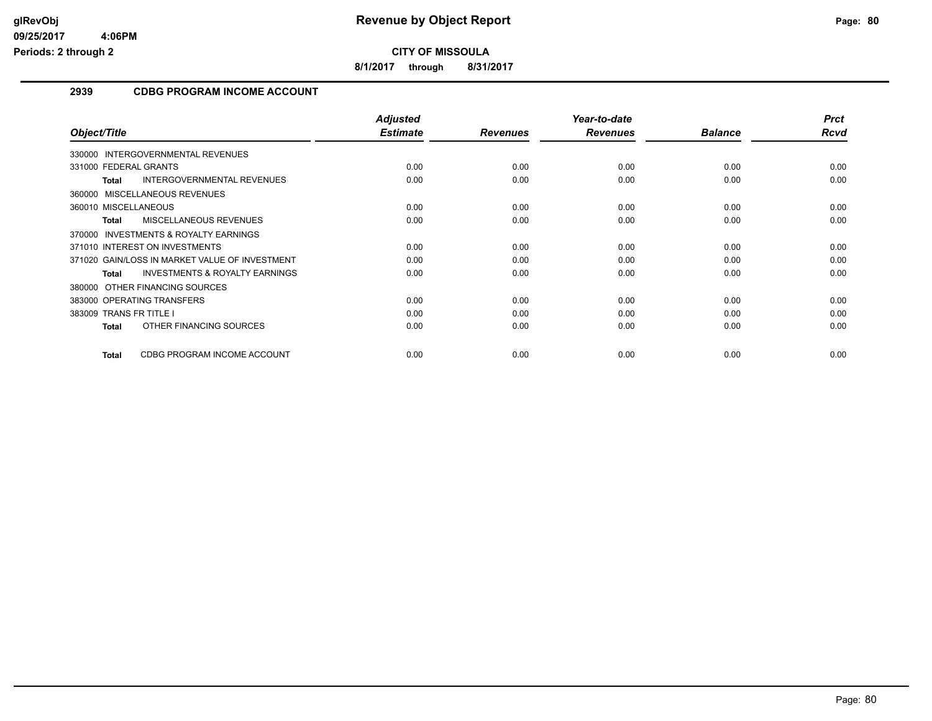**8/1/2017 through 8/31/2017**

## **2939 CDBG PROGRAM INCOME ACCOUNT**

| Object/Title                                              | <b>Adjusted</b><br><b>Estimate</b> | <b>Revenues</b> | Year-to-date<br><b>Revenues</b> | <b>Balance</b> | <b>Prct</b><br><b>Rcvd</b> |
|-----------------------------------------------------------|------------------------------------|-----------------|---------------------------------|----------------|----------------------------|
|                                                           |                                    |                 |                                 |                |                            |
| 330000 INTERGOVERNMENTAL REVENUES                         |                                    |                 |                                 |                |                            |
| 331000 FEDERAL GRANTS                                     | 0.00                               | 0.00            | 0.00                            | 0.00           | 0.00                       |
| INTERGOVERNMENTAL REVENUES<br><b>Total</b>                | 0.00                               | 0.00            | 0.00                            | 0.00           | 0.00                       |
| 360000 MISCELLANEOUS REVENUES                             |                                    |                 |                                 |                |                            |
| 360010 MISCELLANEOUS                                      | 0.00                               | 0.00            | 0.00                            | 0.00           | 0.00                       |
| MISCELLANEOUS REVENUES<br><b>Total</b>                    | 0.00                               | 0.00            | 0.00                            | 0.00           | 0.00                       |
| 370000 INVESTMENTS & ROYALTY EARNINGS                     |                                    |                 |                                 |                |                            |
| 371010 INTEREST ON INVESTMENTS                            | 0.00                               | 0.00            | 0.00                            | 0.00           | 0.00                       |
| 371020 GAIN/LOSS IN MARKET VALUE OF INVESTMENT            | 0.00                               | 0.00            | 0.00                            | 0.00           | 0.00                       |
| <b>INVESTMENTS &amp; ROYALTY EARNINGS</b><br><b>Total</b> | 0.00                               | 0.00            | 0.00                            | 0.00           | 0.00                       |
| 380000 OTHER FINANCING SOURCES                            |                                    |                 |                                 |                |                            |
| 383000 OPERATING TRANSFERS                                | 0.00                               | 0.00            | 0.00                            | 0.00           | 0.00                       |
| 383009 TRANS FR TITLE I                                   | 0.00                               | 0.00            | 0.00                            | 0.00           | 0.00                       |
| OTHER FINANCING SOURCES<br><b>Total</b>                   | 0.00                               | 0.00            | 0.00                            | 0.00           | 0.00                       |
| CDBG PROGRAM INCOME ACCOUNT<br><b>Total</b>               | 0.00                               | 0.00            | 0.00                            | 0.00           | 0.00                       |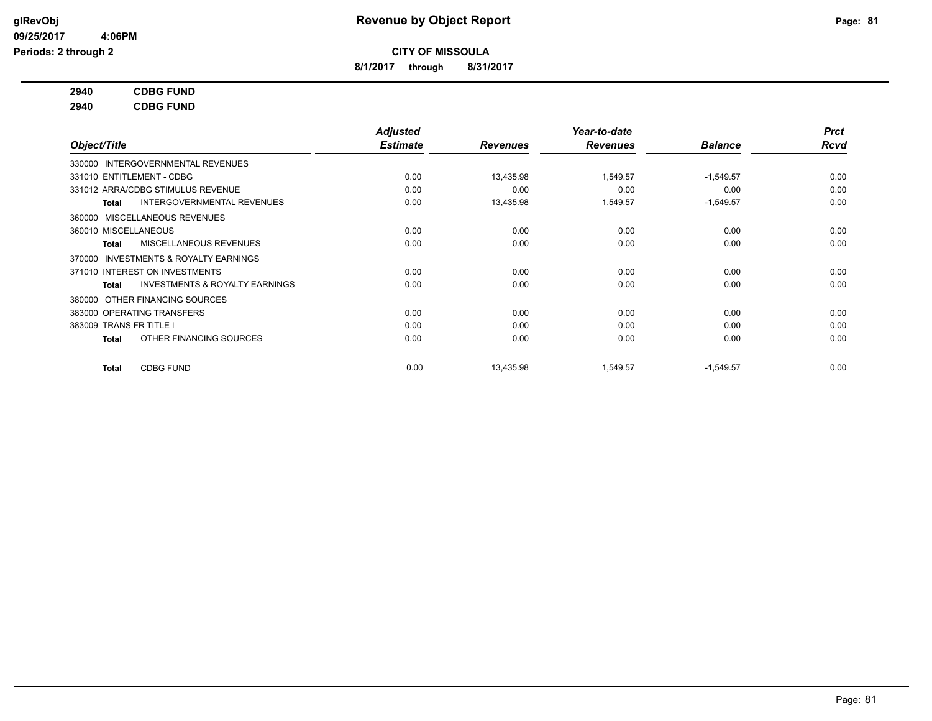**8/1/2017 through 8/31/2017**

## **2940 CDBG FUND**

**2940 CDBG FUND**

|                                                     | <b>Adjusted</b> |                 | Year-to-date    |                | <b>Prct</b> |
|-----------------------------------------------------|-----------------|-----------------|-----------------|----------------|-------------|
| Object/Title                                        | <b>Estimate</b> | <b>Revenues</b> | <b>Revenues</b> | <b>Balance</b> | <b>Rcvd</b> |
| 330000 INTERGOVERNMENTAL REVENUES                   |                 |                 |                 |                |             |
| 331010 ENTITLEMENT - CDBG                           | 0.00            | 13,435.98       | 1,549.57        | $-1,549.57$    | 0.00        |
| 331012 ARRA/CDBG STIMULUS REVENUE                   | 0.00            | 0.00            | 0.00            | 0.00           | 0.00        |
| <b>INTERGOVERNMENTAL REVENUES</b><br>Total          | 0.00            | 13,435.98       | 1,549.57        | $-1,549.57$    | 0.00        |
| 360000 MISCELLANEOUS REVENUES                       |                 |                 |                 |                |             |
| 360010 MISCELLANEOUS                                | 0.00            | 0.00            | 0.00            | 0.00           | 0.00        |
| <b>MISCELLANEOUS REVENUES</b><br>Total              | 0.00            | 0.00            | 0.00            | 0.00           | 0.00        |
| <b>INVESTMENTS &amp; ROYALTY EARNINGS</b><br>370000 |                 |                 |                 |                |             |
| 371010 INTEREST ON INVESTMENTS                      | 0.00            | 0.00            | 0.00            | 0.00           | 0.00        |
| <b>INVESTMENTS &amp; ROYALTY EARNINGS</b><br>Total  | 0.00            | 0.00            | 0.00            | 0.00           | 0.00        |
| OTHER FINANCING SOURCES<br>380000                   |                 |                 |                 |                |             |
| 383000 OPERATING TRANSFERS                          | 0.00            | 0.00            | 0.00            | 0.00           | 0.00        |
| 383009 TRANS FR TITLE I                             | 0.00            | 0.00            | 0.00            | 0.00           | 0.00        |
| OTHER FINANCING SOURCES<br>Total                    | 0.00            | 0.00            | 0.00            | 0.00           | 0.00        |
| <b>CDBG FUND</b><br><b>Total</b>                    | 0.00            | 13,435.98       | 1,549.57        | $-1,549.57$    | 0.00        |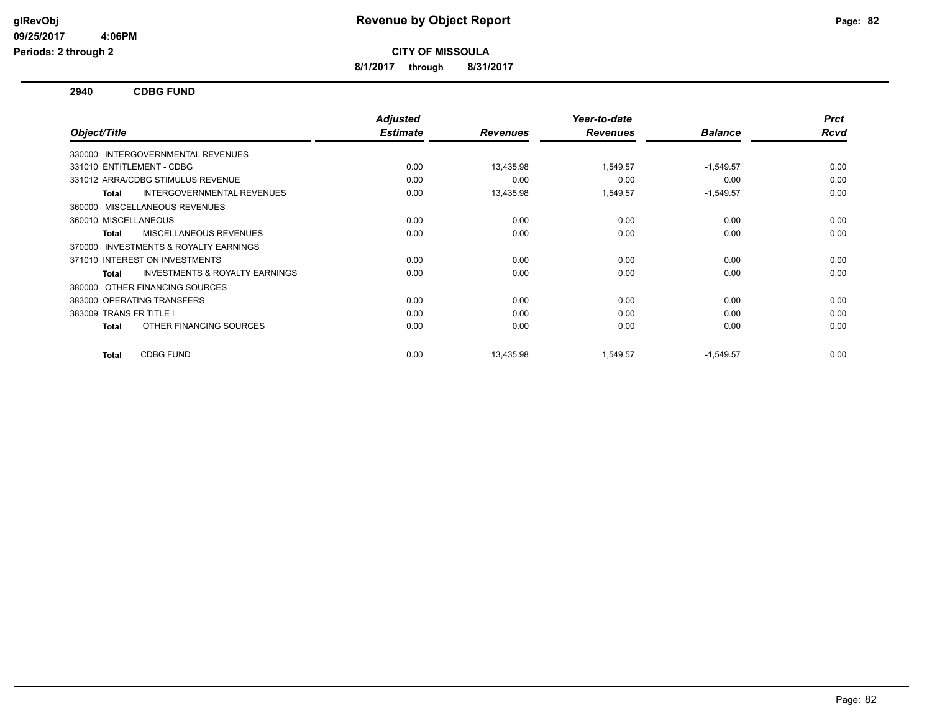**8/1/2017 through 8/31/2017**

**2940 CDBG FUND**

|                                                           | <b>Adjusted</b> |                 | Year-to-date    |                | <b>Prct</b> |
|-----------------------------------------------------------|-----------------|-----------------|-----------------|----------------|-------------|
| Object/Title                                              | <b>Estimate</b> | <b>Revenues</b> | <b>Revenues</b> | <b>Balance</b> | Rcvd        |
| 330000 INTERGOVERNMENTAL REVENUES                         |                 |                 |                 |                |             |
| 331010 ENTITLEMENT - CDBG                                 | 0.00            | 13,435.98       | 1,549.57        | $-1,549.57$    | 0.00        |
| 331012 ARRA/CDBG STIMULUS REVENUE                         | 0.00            | 0.00            | 0.00            | 0.00           | 0.00        |
| <b>INTERGOVERNMENTAL REVENUES</b><br><b>Total</b>         | 0.00            | 13,435.98       | 1,549.57        | $-1,549.57$    | 0.00        |
| MISCELLANEOUS REVENUES<br>360000                          |                 |                 |                 |                |             |
| 360010 MISCELLANEOUS                                      | 0.00            | 0.00            | 0.00            | 0.00           | 0.00        |
| MISCELLANEOUS REVENUES<br><b>Total</b>                    | 0.00            | 0.00            | 0.00            | 0.00           | 0.00        |
| INVESTMENTS & ROYALTY EARNINGS<br>370000                  |                 |                 |                 |                |             |
| 371010 INTEREST ON INVESTMENTS                            | 0.00            | 0.00            | 0.00            | 0.00           | 0.00        |
| <b>INVESTMENTS &amp; ROYALTY EARNINGS</b><br><b>Total</b> | 0.00            | 0.00            | 0.00            | 0.00           | 0.00        |
| OTHER FINANCING SOURCES<br>380000                         |                 |                 |                 |                |             |
| 383000 OPERATING TRANSFERS                                | 0.00            | 0.00            | 0.00            | 0.00           | 0.00        |
| 383009 TRANS FR TITLE I                                   | 0.00            | 0.00            | 0.00            | 0.00           | 0.00        |
| OTHER FINANCING SOURCES<br><b>Total</b>                   | 0.00            | 0.00            | 0.00            | 0.00           | 0.00        |
| <b>CDBG FUND</b><br><b>Total</b>                          | 0.00            | 13,435.98       | 1,549.57        | $-1,549.57$    | 0.00        |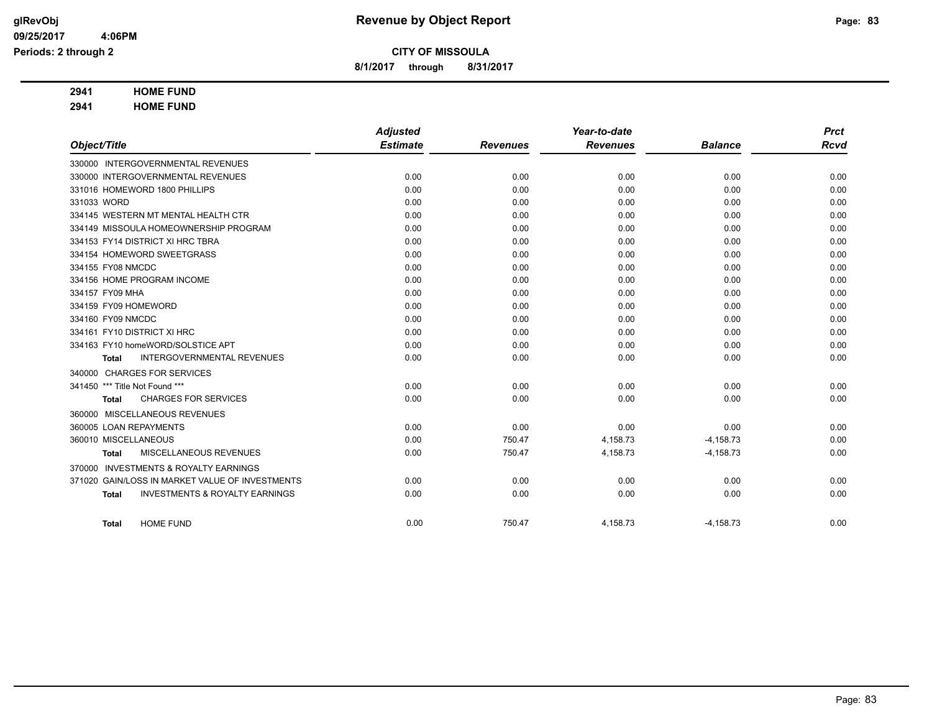**8/1/2017 through 8/31/2017**

## **2941 HOME FUND**

**2941 HOME FUND**

|                                                           | <b>Adjusted</b> |                 | Year-to-date    |                | <b>Prct</b> |
|-----------------------------------------------------------|-----------------|-----------------|-----------------|----------------|-------------|
| Object/Title                                              | <b>Estimate</b> | <b>Revenues</b> | <b>Revenues</b> | <b>Balance</b> | <b>Rcvd</b> |
| 330000 INTERGOVERNMENTAL REVENUES                         |                 |                 |                 |                |             |
| 330000 INTERGOVERNMENTAL REVENUES                         | 0.00            | 0.00            | 0.00            | 0.00           | 0.00        |
| 331016 HOMEWORD 1800 PHILLIPS                             | 0.00            | 0.00            | 0.00            | 0.00           | 0.00        |
| 331033 WORD                                               | 0.00            | 0.00            | 0.00            | 0.00           | 0.00        |
| 334145 WESTERN MT MENTAL HEALTH CTR                       | 0.00            | 0.00            | 0.00            | 0.00           | 0.00        |
| 334149 MISSOULA HOMEOWNERSHIP PROGRAM                     | 0.00            | 0.00            | 0.00            | 0.00           | 0.00        |
| 334153 FY14 DISTRICT XI HRC TBRA                          | 0.00            | 0.00            | 0.00            | 0.00           | 0.00        |
| 334154 HOMEWORD SWEETGRASS                                | 0.00            | 0.00            | 0.00            | 0.00           | 0.00        |
| 334155 FY08 NMCDC                                         | 0.00            | 0.00            | 0.00            | 0.00           | 0.00        |
| 334156 HOME PROGRAM INCOME                                | 0.00            | 0.00            | 0.00            | 0.00           | 0.00        |
| 334157 FY09 MHA                                           | 0.00            | 0.00            | 0.00            | 0.00           | 0.00        |
| 334159 FY09 HOMEWORD                                      | 0.00            | 0.00            | 0.00            | 0.00           | 0.00        |
| 334160 FY09 NMCDC                                         | 0.00            | 0.00            | 0.00            | 0.00           | 0.00        |
| 334161 FY10 DISTRICT XI HRC                               | 0.00            | 0.00            | 0.00            | 0.00           | 0.00        |
| 334163 FY10 homeWORD/SOLSTICE APT                         | 0.00            | 0.00            | 0.00            | 0.00           | 0.00        |
| <b>INTERGOVERNMENTAL REVENUES</b><br><b>Total</b>         | 0.00            | 0.00            | 0.00            | 0.00           | 0.00        |
| 340000 CHARGES FOR SERVICES                               |                 |                 |                 |                |             |
| 341450 *** Title Not Found ***                            | 0.00            | 0.00            | 0.00            | 0.00           | 0.00        |
| <b>CHARGES FOR SERVICES</b><br><b>Total</b>               | 0.00            | 0.00            | 0.00            | 0.00           | 0.00        |
| 360000 MISCELLANEOUS REVENUES                             |                 |                 |                 |                |             |
| 360005 LOAN REPAYMENTS                                    | 0.00            | 0.00            | 0.00            | 0.00           | 0.00        |
| 360010 MISCELLANEOUS                                      | 0.00            | 750.47          | 4,158.73        | $-4,158.73$    | 0.00        |
| MISCELLANEOUS REVENUES<br><b>Total</b>                    | 0.00            | 750.47          | 4,158.73        | $-4,158.73$    | 0.00        |
| 370000 INVESTMENTS & ROYALTY EARNINGS                     |                 |                 |                 |                |             |
| <b>GAIN/LOSS IN MARKET VALUE OF INVESTMENTS</b><br>371020 | 0.00            | 0.00            | 0.00            | 0.00           | 0.00        |
| <b>INVESTMENTS &amp; ROYALTY EARNINGS</b><br><b>Total</b> | 0.00            | 0.00            | 0.00            | 0.00           | 0.00        |
| <b>HOME FUND</b><br><b>Total</b>                          | 0.00            | 750.47          | 4,158.73        | $-4,158.73$    | 0.00        |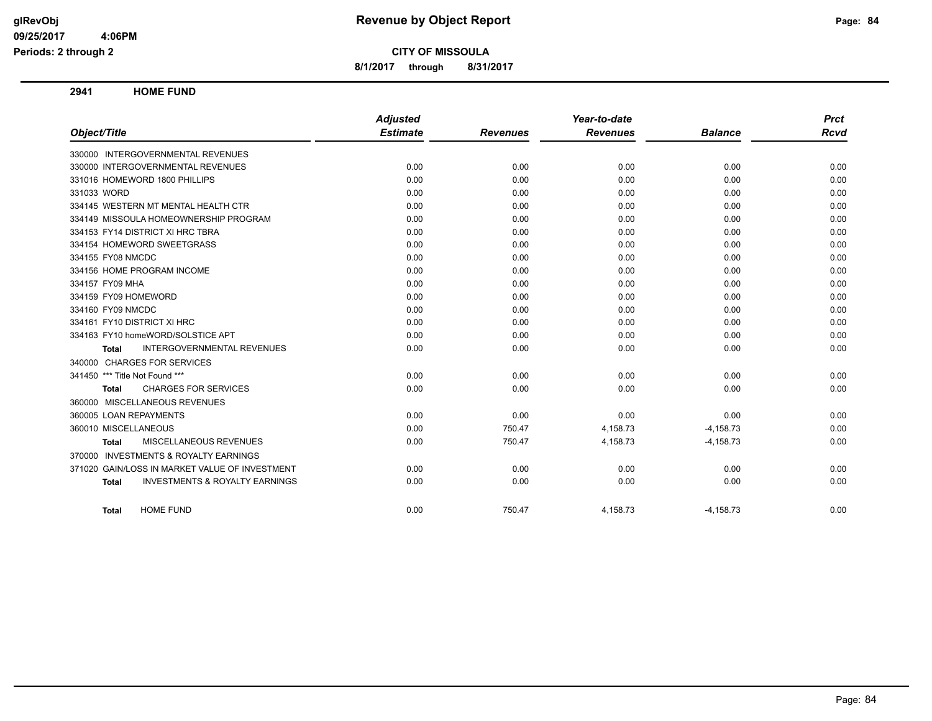**8/1/2017 through 8/31/2017**

**2941 HOME FUND**

|                                                           | <b>Adjusted</b> |                 | Year-to-date    |                | <b>Prct</b> |
|-----------------------------------------------------------|-----------------|-----------------|-----------------|----------------|-------------|
| Object/Title                                              | <b>Estimate</b> | <b>Revenues</b> | <b>Revenues</b> | <b>Balance</b> | <b>Rcvd</b> |
| 330000 INTERGOVERNMENTAL REVENUES                         |                 |                 |                 |                |             |
| 330000 INTERGOVERNMENTAL REVENUES                         | 0.00            | 0.00            | 0.00            | 0.00           | 0.00        |
| 331016 HOMEWORD 1800 PHILLIPS                             | 0.00            | 0.00            | 0.00            | 0.00           | 0.00        |
| 331033 WORD                                               | 0.00            | 0.00            | 0.00            | 0.00           | 0.00        |
| 334145 WESTERN MT MENTAL HEALTH CTR                       | 0.00            | 0.00            | 0.00            | 0.00           | 0.00        |
| 334149 MISSOULA HOMEOWNERSHIP PROGRAM                     | 0.00            | 0.00            | 0.00            | 0.00           | 0.00        |
| 334153 FY14 DISTRICT XI HRC TBRA                          | 0.00            | 0.00            | 0.00            | 0.00           | 0.00        |
| 334154 HOMEWORD SWEETGRASS                                | 0.00            | 0.00            | 0.00            | 0.00           | 0.00        |
| 334155 FY08 NMCDC                                         | 0.00            | 0.00            | 0.00            | 0.00           | 0.00        |
| 334156 HOME PROGRAM INCOME                                | 0.00            | 0.00            | 0.00            | 0.00           | 0.00        |
| 334157 FY09 MHA                                           | 0.00            | 0.00            | 0.00            | 0.00           | 0.00        |
| 334159 FY09 HOMEWORD                                      | 0.00            | 0.00            | 0.00            | 0.00           | 0.00        |
| 334160 FY09 NMCDC                                         | 0.00            | 0.00            | 0.00            | 0.00           | 0.00        |
| 334161 FY10 DISTRICT XI HRC                               | 0.00            | 0.00            | 0.00            | 0.00           | 0.00        |
| 334163 FY10 homeWORD/SOLSTICE APT                         | 0.00            | 0.00            | 0.00            | 0.00           | 0.00        |
| <b>INTERGOVERNMENTAL REVENUES</b><br><b>Total</b>         | 0.00            | 0.00            | 0.00            | 0.00           | 0.00        |
| 340000 CHARGES FOR SERVICES                               |                 |                 |                 |                |             |
| 341450 *** Title Not Found ***                            | 0.00            | 0.00            | 0.00            | 0.00           | 0.00        |
| <b>CHARGES FOR SERVICES</b><br>Total                      | 0.00            | 0.00            | 0.00            | 0.00           | 0.00        |
| 360000 MISCELLANEOUS REVENUES                             |                 |                 |                 |                |             |
| 360005 LOAN REPAYMENTS                                    | 0.00            | 0.00            | 0.00            | 0.00           | 0.00        |
| 360010 MISCELLANEOUS                                      | 0.00            | 750.47          | 4,158.73        | $-4,158.73$    | 0.00        |
| MISCELLANEOUS REVENUES<br><b>Total</b>                    | 0.00            | 750.47          | 4,158.73        | $-4,158.73$    | 0.00        |
| 370000 INVESTMENTS & ROYALTY EARNINGS                     |                 |                 |                 |                |             |
| 371020 GAIN/LOSS IN MARKET VALUE OF INVESTMENT            | 0.00            | 0.00            | 0.00            | 0.00           | 0.00        |
| <b>INVESTMENTS &amp; ROYALTY EARNINGS</b><br><b>Total</b> | 0.00            | 0.00            | 0.00            | 0.00           | 0.00        |
|                                                           |                 |                 |                 |                |             |
| <b>HOME FUND</b><br><b>Total</b>                          | 0.00            | 750.47          | 4,158.73        | $-4,158.73$    | 0.00        |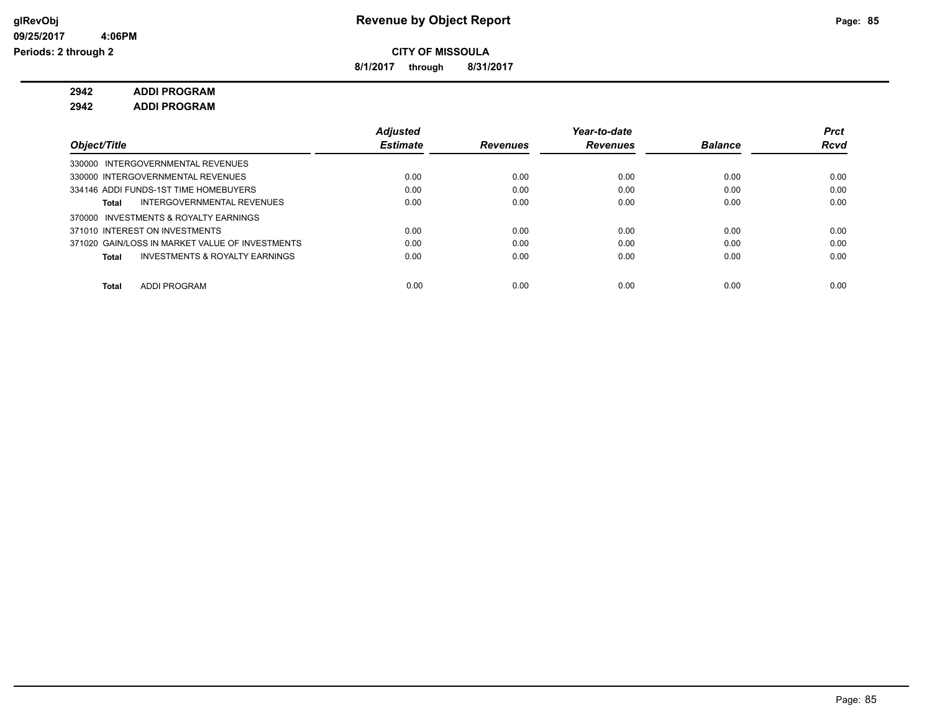**8/1/2017 through 8/31/2017**

**2942 ADDI PROGRAM**

**2942 ADDI PROGRAM**

|                                                    | <b>Adjusted</b> |                 | Year-to-date    |                | <b>Prct</b> |
|----------------------------------------------------|-----------------|-----------------|-----------------|----------------|-------------|
| Object/Title                                       | <b>Estimate</b> | <b>Revenues</b> | <b>Revenues</b> | <b>Balance</b> | <b>Rcvd</b> |
| 330000 INTERGOVERNMENTAL REVENUES                  |                 |                 |                 |                |             |
| 330000 INTERGOVERNMENTAL REVENUES                  | 0.00            | 0.00            | 0.00            | 0.00           | 0.00        |
| 334146 ADDI FUNDS-1ST TIME HOMEBUYERS              | 0.00            | 0.00            | 0.00            | 0.00           | 0.00        |
| INTERGOVERNMENTAL REVENUES<br>Total                | 0.00            | 0.00            | 0.00            | 0.00           | 0.00        |
| 370000 INVESTMENTS & ROYALTY EARNINGS              |                 |                 |                 |                |             |
| 371010 INTEREST ON INVESTMENTS                     | 0.00            | 0.00            | 0.00            | 0.00           | 0.00        |
| 371020 GAIN/LOSS IN MARKET VALUE OF INVESTMENTS    | 0.00            | 0.00            | 0.00            | 0.00           | 0.00        |
| <b>INVESTMENTS &amp; ROYALTY EARNINGS</b><br>Total | 0.00            | 0.00            | 0.00            | 0.00           | 0.00        |
| ADDI PROGRAM<br><b>Total</b>                       | 0.00            | 0.00            | 0.00            | 0.00           | 0.00        |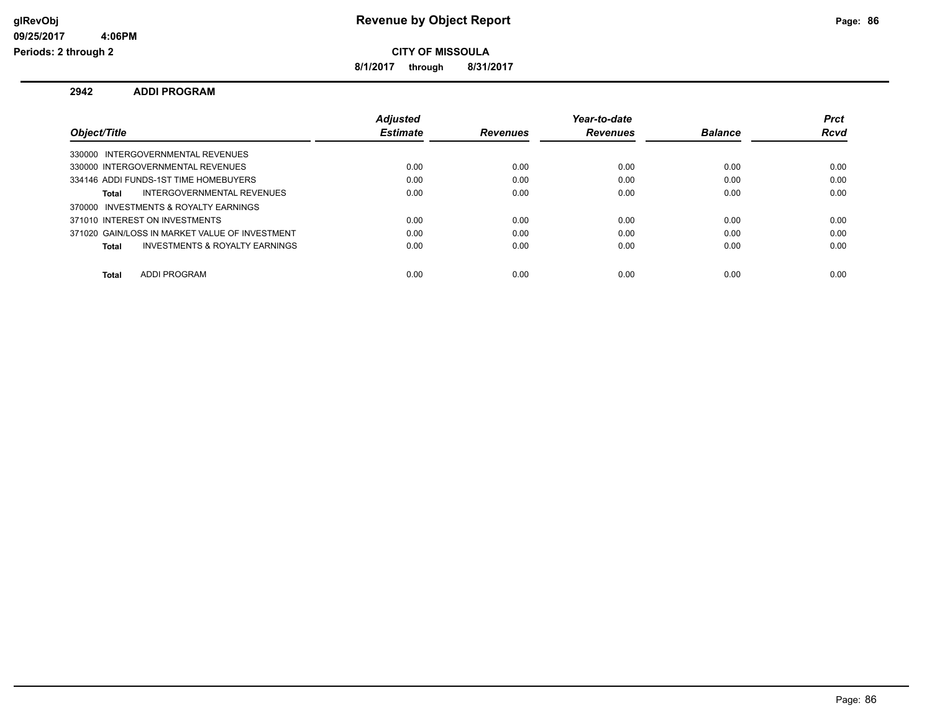**8/1/2017 through 8/31/2017**

#### **2942 ADDI PROGRAM**

|                                                | <b>Adiusted</b> |                 | Year-to-date    |                | <b>Prct</b> |
|------------------------------------------------|-----------------|-----------------|-----------------|----------------|-------------|
| Object/Title                                   | <b>Estimate</b> | <b>Revenues</b> | <b>Revenues</b> | <b>Balance</b> | <b>Rcvd</b> |
| 330000 INTERGOVERNMENTAL REVENUES              |                 |                 |                 |                |             |
| 330000 INTERGOVERNMENTAL REVENUES              | 0.00            | 0.00            | 0.00            | 0.00           | 0.00        |
| 334146 ADDI FUNDS-1ST TIME HOMEBUYERS          | 0.00            | 0.00            | 0.00            | 0.00           | 0.00        |
| INTERGOVERNMENTAL REVENUES<br><b>Total</b>     | 0.00            | 0.00            | 0.00            | 0.00           | 0.00        |
| 370000 INVESTMENTS & ROYALTY EARNINGS          |                 |                 |                 |                |             |
| 371010 INTEREST ON INVESTMENTS                 | 0.00            | 0.00            | 0.00            | 0.00           | 0.00        |
| 371020 GAIN/LOSS IN MARKET VALUE OF INVESTMENT | 0.00            | 0.00            | 0.00            | 0.00           | 0.00        |
| <b>Total</b><br>INVESTMENTS & ROYALTY EARNINGS | 0.00            | 0.00            | 0.00            | 0.00           | 0.00        |
|                                                |                 |                 |                 |                |             |
| <b>ADDI PROGRAM</b><br><b>Total</b>            | 0.00            | 0.00            | 0.00            | 0.00           | 0.00        |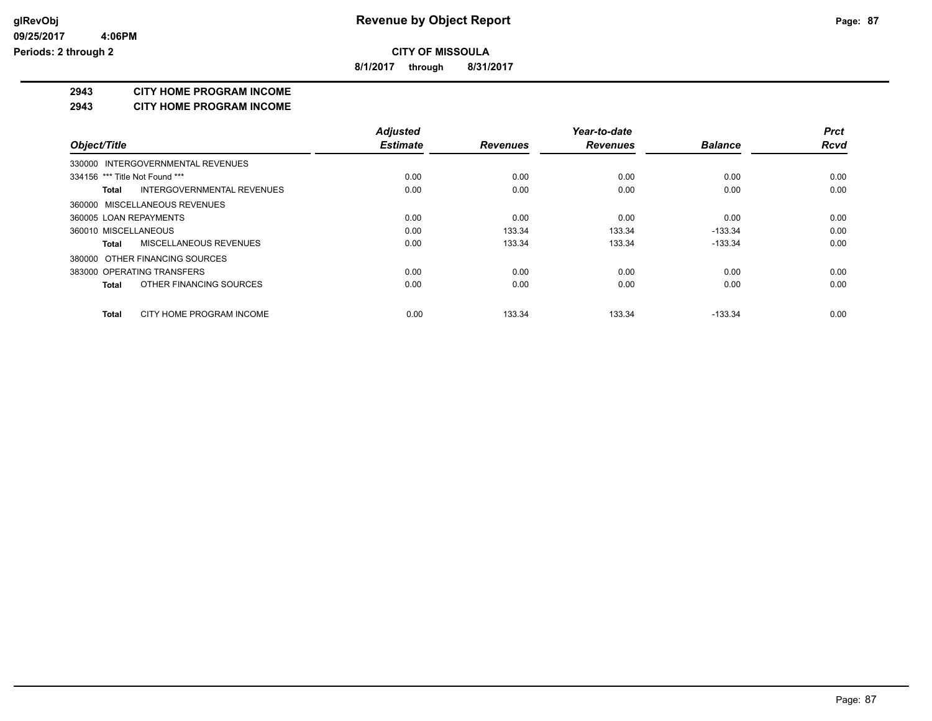**8/1/2017 through 8/31/2017**

#### **2943 CITY HOME PROGRAM INCOME**

#### **2943 CITY HOME PROGRAM INCOME**

|                                     | <b>Adjusted</b> |                 | Year-to-date    |                | <b>Prct</b> |
|-------------------------------------|-----------------|-----------------|-----------------|----------------|-------------|
| Object/Title                        | <b>Estimate</b> | <b>Revenues</b> | <b>Revenues</b> | <b>Balance</b> | <b>Rcvd</b> |
| 330000 INTERGOVERNMENTAL REVENUES   |                 |                 |                 |                |             |
| 334156 *** Title Not Found ***      | 0.00            | 0.00            | 0.00            | 0.00           | 0.00        |
| INTERGOVERNMENTAL REVENUES<br>Total | 0.00            | 0.00            | 0.00            | 0.00           | 0.00        |
| 360000 MISCELLANEOUS REVENUES       |                 |                 |                 |                |             |
| 360005 LOAN REPAYMENTS              | 0.00            | 0.00            | 0.00            | 0.00           | 0.00        |
| 360010 MISCELLANEOUS                | 0.00            | 133.34          | 133.34          | $-133.34$      | 0.00        |
| MISCELLANEOUS REVENUES<br>Total     | 0.00            | 133.34          | 133.34          | $-133.34$      | 0.00        |
| 380000 OTHER FINANCING SOURCES      |                 |                 |                 |                |             |
| 383000 OPERATING TRANSFERS          | 0.00            | 0.00            | 0.00            | 0.00           | 0.00        |
| OTHER FINANCING SOURCES<br>Total    | 0.00            | 0.00            | 0.00            | 0.00           | 0.00        |
| CITY HOME PROGRAM INCOME<br>Total   | 0.00            | 133.34          | 133.34          | $-133.34$      | 0.00        |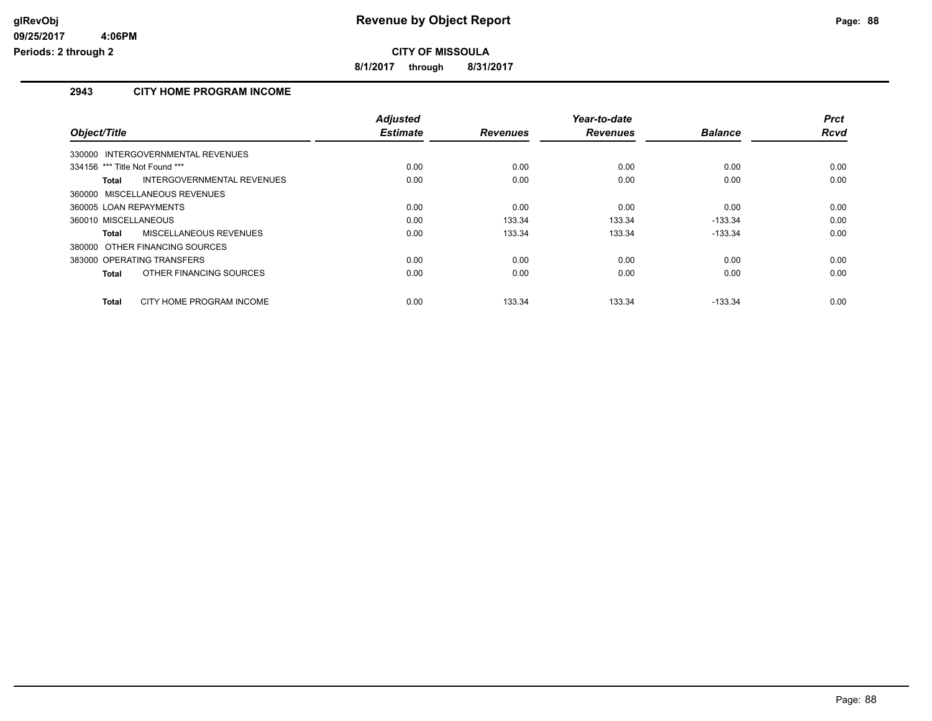**8/1/2017 through 8/31/2017**

## **2943 CITY HOME PROGRAM INCOME**

|                                          | <b>Adjusted</b> |                 | Year-to-date    |                | <b>Prct</b> |
|------------------------------------------|-----------------|-----------------|-----------------|----------------|-------------|
| Object/Title                             | <b>Estimate</b> | <b>Revenues</b> | <b>Revenues</b> | <b>Balance</b> | <b>Rcvd</b> |
| 330000 INTERGOVERNMENTAL REVENUES        |                 |                 |                 |                |             |
| 334156 *** Title Not Found ***           | 0.00            | 0.00            | 0.00            | 0.00           | 0.00        |
| INTERGOVERNMENTAL REVENUES<br>Total      | 0.00            | 0.00            | 0.00            | 0.00           | 0.00        |
| 360000 MISCELLANEOUS REVENUES            |                 |                 |                 |                |             |
| 360005 LOAN REPAYMENTS                   | 0.00            | 0.00            | 0.00            | 0.00           | 0.00        |
| 360010 MISCELLANEOUS                     | 0.00            | 133.34          | 133.34          | $-133.34$      | 0.00        |
| MISCELLANEOUS REVENUES<br>Total          | 0.00            | 133.34          | 133.34          | $-133.34$      | 0.00        |
| 380000 OTHER FINANCING SOURCES           |                 |                 |                 |                |             |
| 383000 OPERATING TRANSFERS               | 0.00            | 0.00            | 0.00            | 0.00           | 0.00        |
| OTHER FINANCING SOURCES<br>Total         | 0.00            | 0.00            | 0.00            | 0.00           | 0.00        |
| CITY HOME PROGRAM INCOME<br><b>Total</b> | 0.00            | 133.34          | 133.34          | $-133.34$      | 0.00        |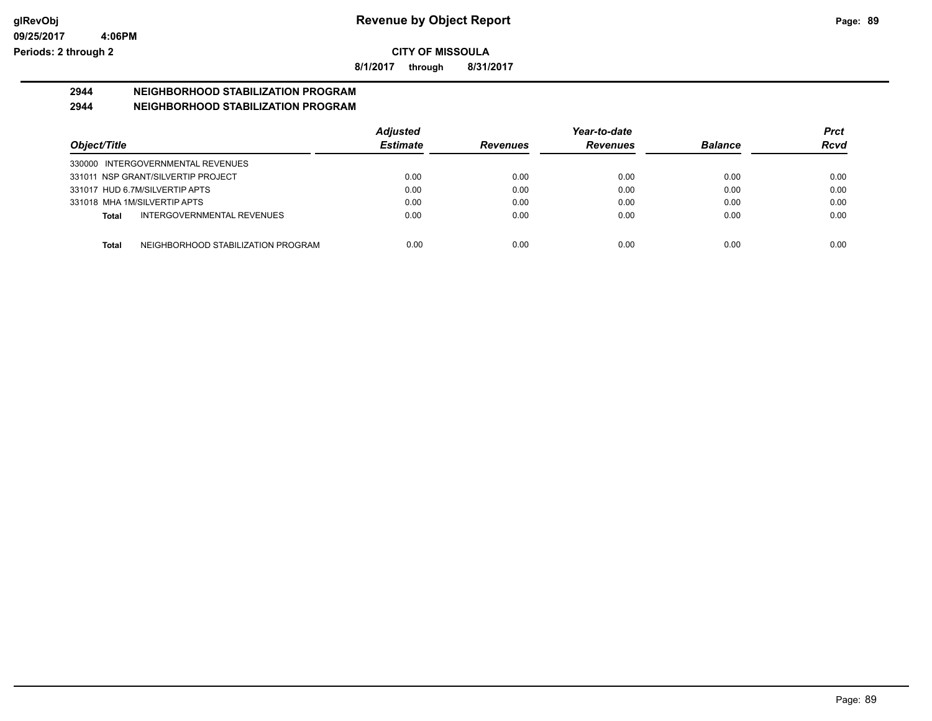**8/1/2017 through 8/31/2017**

# **2944 NEIGHBORHOOD STABILIZATION PROGRAM**

# **2944 NEIGHBORHOOD STABILIZATION PROGRAM**

|                                                    | <b>Adjusted</b> |                 | Year-to-date    |                | Prct |
|----------------------------------------------------|-----------------|-----------------|-----------------|----------------|------|
| Object/Title                                       | <b>Estimate</b> | <b>Revenues</b> | <b>Revenues</b> | <b>Balance</b> | Rcvd |
| 330000 INTERGOVERNMENTAL REVENUES                  |                 |                 |                 |                |      |
| 331011 NSP GRANT/SILVERTIP PROJECT                 | 0.00            | 0.00            | 0.00            | 0.00           | 0.00 |
| 331017 HUD 6.7M/SILVERTIP APTS                     | 0.00            | 0.00            | 0.00            | 0.00           | 0.00 |
| 331018 MHA 1M/SILVERTIP APTS                       | 0.00            | 0.00            | 0.00            | 0.00           | 0.00 |
| INTERGOVERNMENTAL REVENUES<br>Total                | 0.00            | 0.00            | 0.00            | 0.00           | 0.00 |
| NEIGHBORHOOD STABILIZATION PROGRAM<br><b>Total</b> | 0.00            | 0.00            | 0.00            | 0.00           | 0.00 |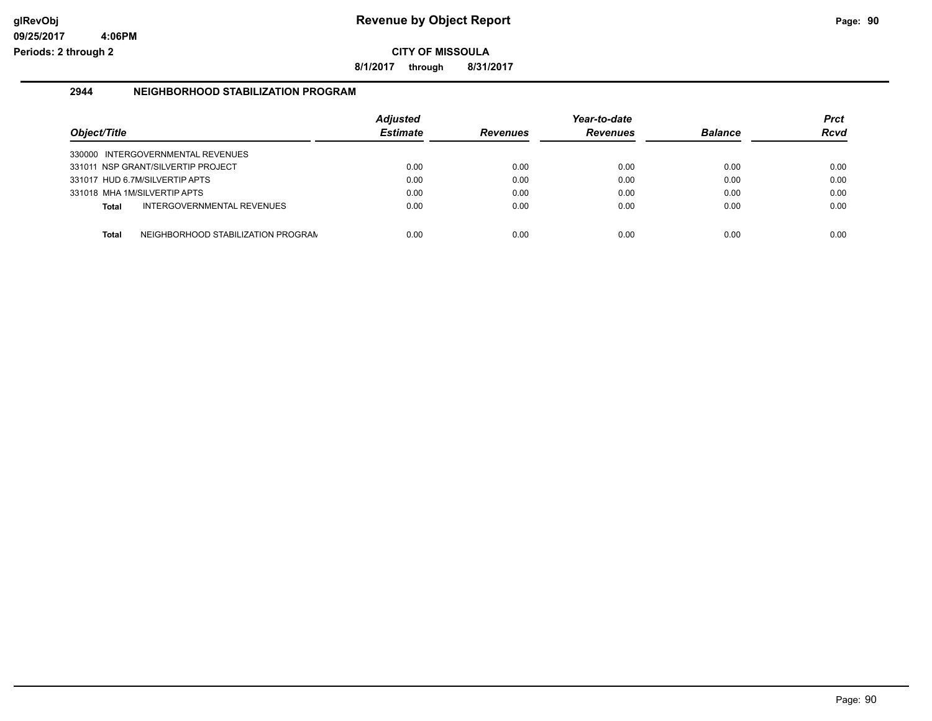**8/1/2017 through 8/31/2017**

#### **2944 NEIGHBORHOOD STABILIZATION PROGRAM**

| Object/Title |                                    | <b>Adjusted</b><br><b>Estimate</b> | <b>Revenues</b> | Year-to-date<br><b>Revenues</b> | <b>Balance</b> | <b>Prct</b><br><b>Rcvd</b> |
|--------------|------------------------------------|------------------------------------|-----------------|---------------------------------|----------------|----------------------------|
|              | 330000 INTERGOVERNMENTAL REVENUES  |                                    |                 |                                 |                |                            |
|              | 331011 NSP GRANT/SILVERTIP PROJECT | 0.00                               | 0.00            | 0.00                            | 0.00           | 0.00                       |
|              | 331017 HUD 6.7M/SILVERTIP APTS     | 0.00                               | 0.00            | 0.00                            | 0.00           | 0.00                       |
|              | 331018 MHA 1M/SILVERTIP APTS       | 0.00                               | 0.00            | 0.00                            | 0.00           | 0.00                       |
| <b>Total</b> | INTERGOVERNMENTAL REVENUES         | 0.00                               | 0.00            | 0.00                            | 0.00           | 0.00                       |
| <b>Total</b> | NEIGHBORHOOD STABILIZATION PROGRAM | 0.00                               | 0.00            | 0.00                            | 0.00           | 0.00                       |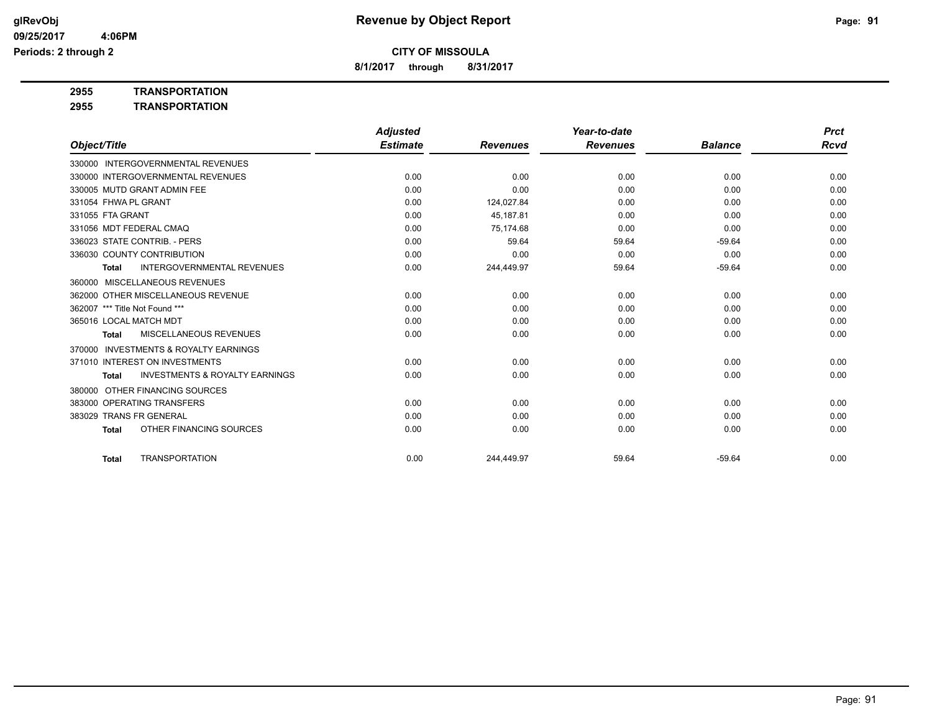**8/1/2017 through 8/31/2017**

**2955 TRANSPORTATION**

**2955 TRANSPORTATION**

|                                                           | <b>Adjusted</b> |                 | Year-to-date    |                | <b>Prct</b> |
|-----------------------------------------------------------|-----------------|-----------------|-----------------|----------------|-------------|
| Object/Title                                              | <b>Estimate</b> | <b>Revenues</b> | <b>Revenues</b> | <b>Balance</b> | Rcvd        |
| 330000 INTERGOVERNMENTAL REVENUES                         |                 |                 |                 |                |             |
| 330000 INTERGOVERNMENTAL REVENUES                         | 0.00            | 0.00            | 0.00            | 0.00           | 0.00        |
| 330005 MUTD GRANT ADMIN FEE                               | 0.00            | 0.00            | 0.00            | 0.00           | 0.00        |
| 331054 FHWA PL GRANT                                      | 0.00            | 124,027.84      | 0.00            | 0.00           | 0.00        |
| 331055 FTA GRANT                                          | 0.00            | 45.187.81       | 0.00            | 0.00           | 0.00        |
| 331056 MDT FEDERAL CMAO                                   | 0.00            | 75,174.68       | 0.00            | 0.00           | 0.00        |
| 336023 STATE CONTRIB. - PERS                              | 0.00            | 59.64           | 59.64           | $-59.64$       | 0.00        |
| 336030 COUNTY CONTRIBUTION                                | 0.00            | 0.00            | 0.00            | 0.00           | 0.00        |
| <b>INTERGOVERNMENTAL REVENUES</b><br><b>Total</b>         | 0.00            | 244,449.97      | 59.64           | $-59.64$       | 0.00        |
| <b>MISCELLANEOUS REVENUES</b><br>360000                   |                 |                 |                 |                |             |
| 362000 OTHER MISCELLANEOUS REVENUE                        | 0.00            | 0.00            | 0.00            | 0.00           | 0.00        |
| 362007 *** Title Not Found ***                            | 0.00            | 0.00            | 0.00            | 0.00           | 0.00        |
| 365016 LOCAL MATCH MDT                                    | 0.00            | 0.00            | 0.00            | 0.00           | 0.00        |
| MISCELLANEOUS REVENUES<br><b>Total</b>                    | 0.00            | 0.00            | 0.00            | 0.00           | 0.00        |
| <b>INVESTMENTS &amp; ROYALTY EARNINGS</b><br>370000       |                 |                 |                 |                |             |
| 371010 INTEREST ON INVESTMENTS                            | 0.00            | 0.00            | 0.00            | 0.00           | 0.00        |
| <b>INVESTMENTS &amp; ROYALTY EARNINGS</b><br><b>Total</b> | 0.00            | 0.00            | 0.00            | 0.00           | 0.00        |
| OTHER FINANCING SOURCES<br>380000                         |                 |                 |                 |                |             |
| 383000 OPERATING TRANSFERS                                | 0.00            | 0.00            | 0.00            | 0.00           | 0.00        |
| 383029 TRANS FR GENERAL                                   | 0.00            | 0.00            | 0.00            | 0.00           | 0.00        |
| OTHER FINANCING SOURCES<br><b>Total</b>                   | 0.00            | 0.00            | 0.00            | 0.00           | 0.00        |
| <b>TRANSPORTATION</b><br><b>Total</b>                     | 0.00            | 244,449.97      | 59.64           | $-59.64$       | 0.00        |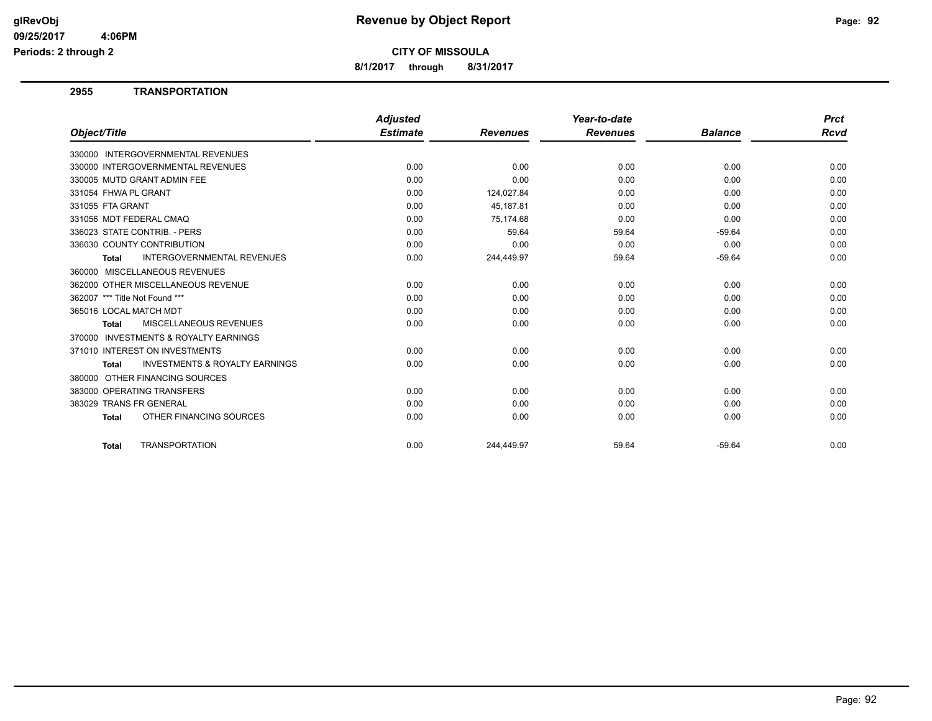**8/1/2017 through 8/31/2017**

#### **2955 TRANSPORTATION**

|                                                           | <b>Adjusted</b> |                 | Year-to-date    |                | <b>Prct</b> |
|-----------------------------------------------------------|-----------------|-----------------|-----------------|----------------|-------------|
| Object/Title                                              | <b>Estimate</b> | <b>Revenues</b> | <b>Revenues</b> | <b>Balance</b> | <b>Rcvd</b> |
| 330000 INTERGOVERNMENTAL REVENUES                         |                 |                 |                 |                |             |
| 330000 INTERGOVERNMENTAL REVENUES                         | 0.00            | 0.00            | 0.00            | 0.00           | 0.00        |
| 330005 MUTD GRANT ADMIN FEE                               | 0.00            | 0.00            | 0.00            | 0.00           | 0.00        |
| 331054 FHWA PL GRANT                                      | 0.00            | 124,027.84      | 0.00            | 0.00           | 0.00        |
| 331055 FTA GRANT                                          | 0.00            | 45,187.81       | 0.00            | 0.00           | 0.00        |
| 331056 MDT FEDERAL CMAQ                                   | 0.00            | 75,174.68       | 0.00            | 0.00           | 0.00        |
| 336023 STATE CONTRIB. - PERS                              | 0.00            | 59.64           | 59.64           | $-59.64$       | 0.00        |
| 336030 COUNTY CONTRIBUTION                                | 0.00            | 0.00            | 0.00            | 0.00           | 0.00        |
| <b>INTERGOVERNMENTAL REVENUES</b><br><b>Total</b>         | 0.00            | 244,449.97      | 59.64           | $-59.64$       | 0.00        |
| 360000 MISCELLANEOUS REVENUES                             |                 |                 |                 |                |             |
| 362000 OTHER MISCELLANEOUS REVENUE                        | 0.00            | 0.00            | 0.00            | 0.00           | 0.00        |
| 362007 *** Title Not Found ***                            | 0.00            | 0.00            | 0.00            | 0.00           | 0.00        |
| 365016 LOCAL MATCH MDT                                    | 0.00            | 0.00            | 0.00            | 0.00           | 0.00        |
| <b>MISCELLANEOUS REVENUES</b><br><b>Total</b>             | 0.00            | 0.00            | 0.00            | 0.00           | 0.00        |
| <b>INVESTMENTS &amp; ROYALTY EARNINGS</b><br>370000       |                 |                 |                 |                |             |
| 371010 INTEREST ON INVESTMENTS                            | 0.00            | 0.00            | 0.00            | 0.00           | 0.00        |
| <b>INVESTMENTS &amp; ROYALTY EARNINGS</b><br><b>Total</b> | 0.00            | 0.00            | 0.00            | 0.00           | 0.00        |
| 380000 OTHER FINANCING SOURCES                            |                 |                 |                 |                |             |
| 383000 OPERATING TRANSFERS                                | 0.00            | 0.00            | 0.00            | 0.00           | 0.00        |
| 383029 TRANS FR GENERAL                                   | 0.00            | 0.00            | 0.00            | 0.00           | 0.00        |
| OTHER FINANCING SOURCES<br><b>Total</b>                   | 0.00            | 0.00            | 0.00            | 0.00           | 0.00        |
| <b>TRANSPORTATION</b><br><b>Total</b>                     | 0.00            | 244.449.97      | 59.64           | $-59.64$       | 0.00        |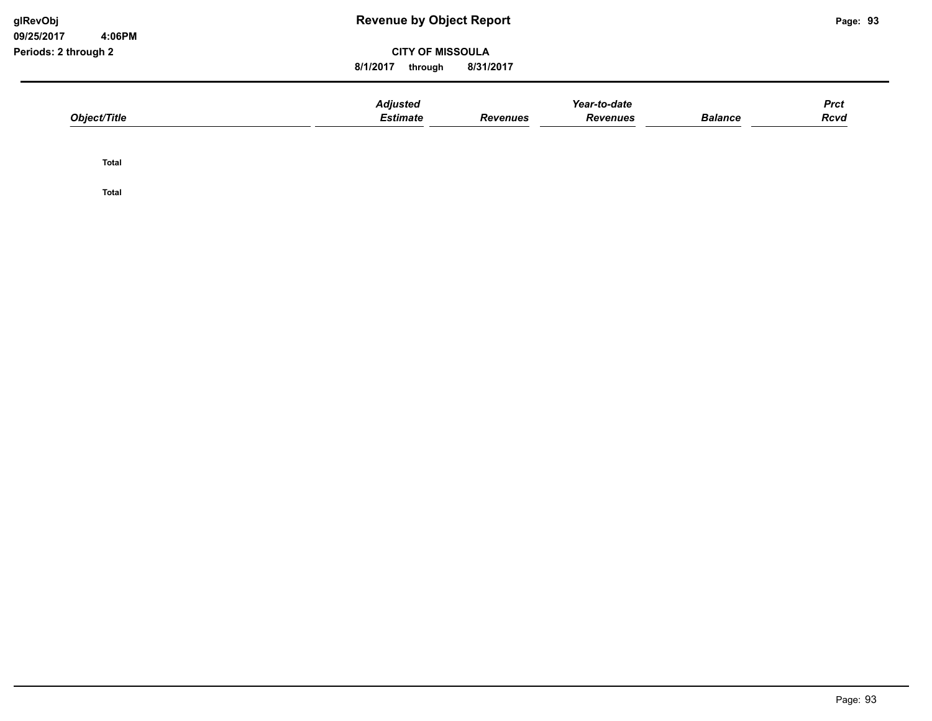| glRevObj<br>09/25/2017<br>4:06PM<br>Periods: 2 through 2 |                                                | <b>Revenue by Object Report</b> |                                 |                |                            |  |  |
|----------------------------------------------------------|------------------------------------------------|---------------------------------|---------------------------------|----------------|----------------------------|--|--|
|                                                          | <b>CITY OF MISSOULA</b><br>8/1/2017<br>through | 8/31/2017                       |                                 |                |                            |  |  |
| Object/Title                                             | <b>Adjusted</b><br><b>Estimate</b>             | <b>Revenues</b>                 | Year-to-date<br><b>Revenues</b> | <b>Balance</b> | <b>Prct</b><br><b>Rcvd</b> |  |  |
| <b>Total</b>                                             |                                                |                                 |                                 |                |                            |  |  |

**Total**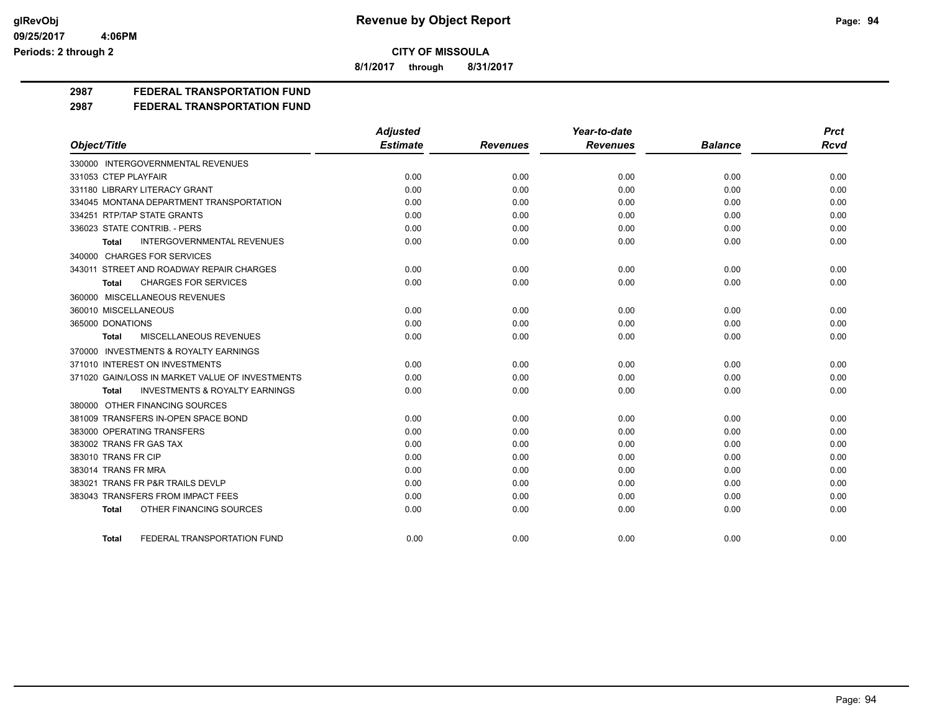**8/1/2017 through 8/31/2017**

**2987 FEDERAL TRANSPORTATION FUND**

**2987 FEDERAL TRANSPORTATION FUND**

|                                                    | <b>Adjusted</b> |                 | Year-to-date    |                | <b>Prct</b> |
|----------------------------------------------------|-----------------|-----------------|-----------------|----------------|-------------|
| Object/Title                                       | <b>Estimate</b> | <b>Revenues</b> | <b>Revenues</b> | <b>Balance</b> | <b>Rcvd</b> |
| 330000 INTERGOVERNMENTAL REVENUES                  |                 |                 |                 |                |             |
| 331053 CTEP PLAYFAIR                               | 0.00            | 0.00            | 0.00            | 0.00           | 0.00        |
| 331180 LIBRARY LITERACY GRANT                      | 0.00            | 0.00            | 0.00            | 0.00           | 0.00        |
| 334045 MONTANA DEPARTMENT TRANSPORTATION           | 0.00            | 0.00            | 0.00            | 0.00           | 0.00        |
| 334251 RTP/TAP STATE GRANTS                        | 0.00            | 0.00            | 0.00            | 0.00           | 0.00        |
| 336023 STATE CONTRIB. - PERS                       | 0.00            | 0.00            | 0.00            | 0.00           | 0.00        |
| <b>INTERGOVERNMENTAL REVENUES</b><br><b>Total</b>  | 0.00            | 0.00            | 0.00            | 0.00           | 0.00        |
| 340000 CHARGES FOR SERVICES                        |                 |                 |                 |                |             |
| 343011 STREET AND ROADWAY REPAIR CHARGES           | 0.00            | 0.00            | 0.00            | 0.00           | 0.00        |
| <b>CHARGES FOR SERVICES</b><br>Total               | 0.00            | 0.00            | 0.00            | 0.00           | 0.00        |
| 360000 MISCELLANEOUS REVENUES                      |                 |                 |                 |                |             |
| 360010 MISCELLANEOUS                               | 0.00            | 0.00            | 0.00            | 0.00           | 0.00        |
| 365000 DONATIONS                                   | 0.00            | 0.00            | 0.00            | 0.00           | 0.00        |
| MISCELLANEOUS REVENUES<br><b>Total</b>             | 0.00            | 0.00            | 0.00            | 0.00           | 0.00        |
| 370000 INVESTMENTS & ROYALTY EARNINGS              |                 |                 |                 |                |             |
| 371010 INTEREST ON INVESTMENTS                     | 0.00            | 0.00            | 0.00            | 0.00           | 0.00        |
| 371020 GAIN/LOSS IN MARKET VALUE OF INVESTMENTS    | 0.00            | 0.00            | 0.00            | 0.00           | 0.00        |
| <b>INVESTMENTS &amp; ROYALTY EARNINGS</b><br>Total | 0.00            | 0.00            | 0.00            | 0.00           | 0.00        |
| OTHER FINANCING SOURCES<br>380000                  |                 |                 |                 |                |             |
| 381009 TRANSFERS IN-OPEN SPACE BOND                | 0.00            | 0.00            | 0.00            | 0.00           | 0.00        |
| 383000 OPERATING TRANSFERS                         | 0.00            | 0.00            | 0.00            | 0.00           | 0.00        |
| 383002 TRANS FR GAS TAX                            | 0.00            | 0.00            | 0.00            | 0.00           | 0.00        |
| 383010 TRANS FR CIP                                | 0.00            | 0.00            | 0.00            | 0.00           | 0.00        |
| 383014 TRANS FR MRA                                | 0.00            | 0.00            | 0.00            | 0.00           | 0.00        |
| 383021 TRANS FR P&R TRAILS DEVLP                   | 0.00            | 0.00            | 0.00            | 0.00           | 0.00        |
| 383043 TRANSFERS FROM IMPACT FEES                  | 0.00            | 0.00            | 0.00            | 0.00           | 0.00        |
| OTHER FINANCING SOURCES<br><b>Total</b>            | 0.00            | 0.00            | 0.00            | 0.00           | 0.00        |
| FEDERAL TRANSPORTATION FUND<br>Total               | 0.00            | 0.00            | 0.00            | 0.00           | 0.00        |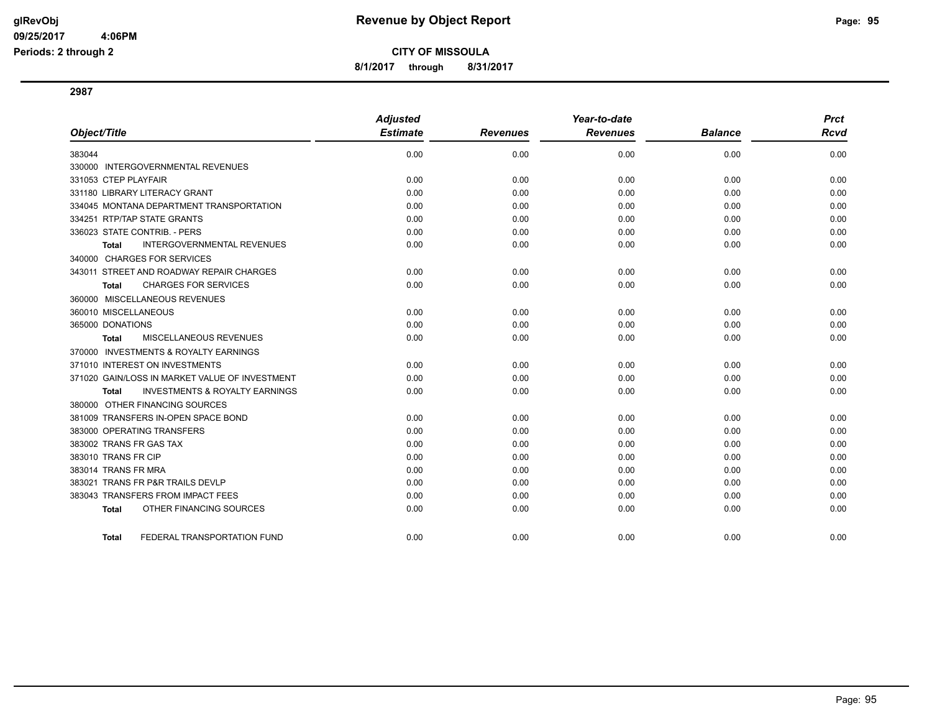**8/1/2017 through 8/31/2017**

**2987**

| Object/Title                                       | <b>Adjusted</b><br><b>Estimate</b> | <b>Revenues</b> | Year-to-date<br><b>Revenues</b> | <b>Balance</b> | <b>Prct</b><br><b>Rcvd</b> |
|----------------------------------------------------|------------------------------------|-----------------|---------------------------------|----------------|----------------------------|
|                                                    |                                    |                 |                                 |                |                            |
| 383044                                             | 0.00                               | 0.00            | 0.00                            | 0.00           | 0.00                       |
| 330000 INTERGOVERNMENTAL REVENUES                  |                                    |                 |                                 |                |                            |
| 331053 CTEP PLAYFAIR                               | 0.00                               | 0.00            | 0.00                            | 0.00           | 0.00                       |
| 331180 LIBRARY LITERACY GRANT                      | 0.00                               | 0.00            | 0.00                            | 0.00           | 0.00                       |
| 334045 MONTANA DEPARTMENT TRANSPORTATION           | 0.00                               | 0.00            | 0.00                            | 0.00           | 0.00                       |
| 334251 RTP/TAP STATE GRANTS                        | 0.00                               | 0.00            | 0.00                            | 0.00           | 0.00                       |
| 336023 STATE CONTRIB. - PERS                       | 0.00                               | 0.00            | 0.00                            | 0.00           | 0.00                       |
| <b>INTERGOVERNMENTAL REVENUES</b><br>Total         | 0.00                               | 0.00            | 0.00                            | 0.00           | 0.00                       |
| 340000 CHARGES FOR SERVICES                        |                                    |                 |                                 |                |                            |
| 343011 STREET AND ROADWAY REPAIR CHARGES           | 0.00                               | 0.00            | 0.00                            | 0.00           | 0.00                       |
| <b>CHARGES FOR SERVICES</b><br>Total               | 0.00                               | 0.00            | 0.00                            | 0.00           | 0.00                       |
| 360000 MISCELLANEOUS REVENUES                      |                                    |                 |                                 |                |                            |
| 360010 MISCELLANEOUS                               | 0.00                               | 0.00            | 0.00                            | 0.00           | 0.00                       |
| 365000 DONATIONS                                   | 0.00                               | 0.00            | 0.00                            | 0.00           | 0.00                       |
| MISCELLANEOUS REVENUES<br>Total                    | 0.00                               | 0.00            | 0.00                            | 0.00           | 0.00                       |
| 370000 INVESTMENTS & ROYALTY EARNINGS              |                                    |                 |                                 |                |                            |
| 371010 INTEREST ON INVESTMENTS                     | 0.00                               | 0.00            | 0.00                            | 0.00           | 0.00                       |
| 371020 GAIN/LOSS IN MARKET VALUE OF INVESTMENT     | 0.00                               | 0.00            | 0.00                            | 0.00           | 0.00                       |
| <b>INVESTMENTS &amp; ROYALTY EARNINGS</b><br>Total | 0.00                               | 0.00            | 0.00                            | 0.00           | 0.00                       |
| 380000 OTHER FINANCING SOURCES                     |                                    |                 |                                 |                |                            |
| 381009 TRANSFERS IN-OPEN SPACE BOND                | 0.00                               | 0.00            | 0.00                            | 0.00           | 0.00                       |
| 383000 OPERATING TRANSFERS                         | 0.00                               | 0.00            | 0.00                            | 0.00           | 0.00                       |
| 383002 TRANS FR GAS TAX                            | 0.00                               | 0.00            | 0.00                            | 0.00           | 0.00                       |
| 383010 TRANS FR CIP                                | 0.00                               | 0.00            | 0.00                            | 0.00           | 0.00                       |
| 383014 TRANS FR MRA                                | 0.00                               | 0.00            | 0.00                            | 0.00           | 0.00                       |
| 383021 TRANS FR P&R TRAILS DEVLP                   | 0.00                               | 0.00            | 0.00                            | 0.00           | 0.00                       |
| 383043 TRANSFERS FROM IMPACT FEES                  | 0.00                               | 0.00            | 0.00                            | 0.00           | 0.00                       |
| OTHER FINANCING SOURCES<br><b>Total</b>            | 0.00                               | 0.00            | 0.00                            | 0.00           | 0.00                       |
|                                                    |                                    |                 |                                 |                |                            |
| FEDERAL TRANSPORTATION FUND<br><b>Total</b>        | 0.00                               | 0.00            | 0.00                            | 0.00           | 0.00                       |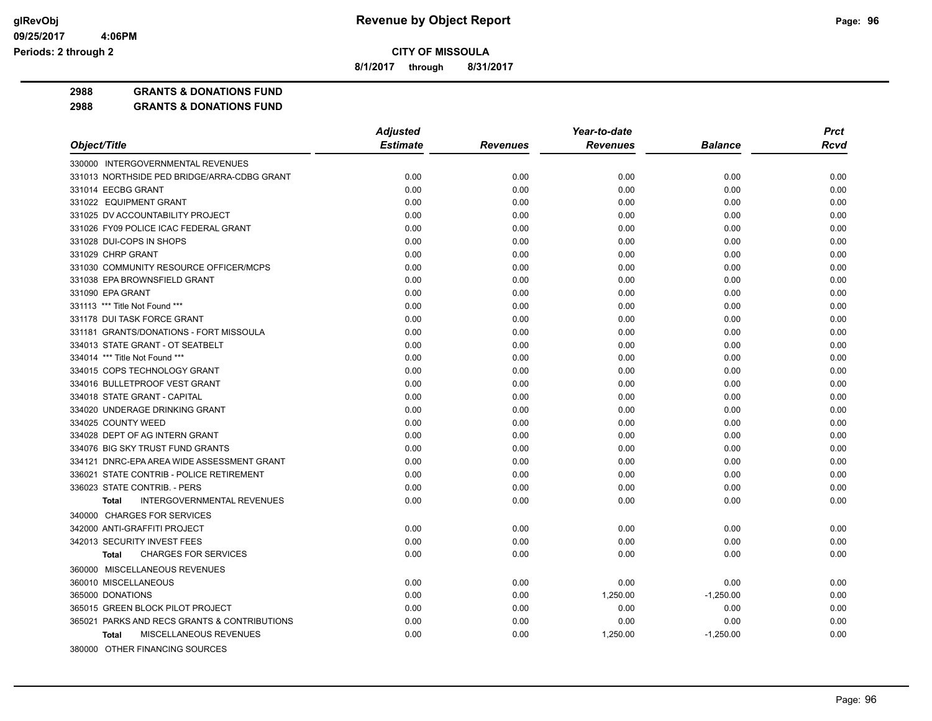**8/1/2017 through 8/31/2017**

**2988 GRANTS & DONATIONS FUND**

|                                              | <b>Adjusted</b> |                 | Year-to-date    |                | <b>Prct</b> |
|----------------------------------------------|-----------------|-----------------|-----------------|----------------|-------------|
| Object/Title                                 | <b>Estimate</b> | <b>Revenues</b> | <b>Revenues</b> | <b>Balance</b> | <b>Rcvd</b> |
| 330000 INTERGOVERNMENTAL REVENUES            |                 |                 |                 |                |             |
| 331013 NORTHSIDE PED BRIDGE/ARRA-CDBG GRANT  | 0.00            | 0.00            | 0.00            | 0.00           | 0.00        |
| 331014 EECBG GRANT                           | 0.00            | 0.00            | 0.00            | 0.00           | 0.00        |
| 331022 EQUIPMENT GRANT                       | 0.00            | 0.00            | 0.00            | 0.00           | 0.00        |
| 331025 DV ACCOUNTABILITY PROJECT             | 0.00            | 0.00            | 0.00            | 0.00           | 0.00        |
| 331026 FY09 POLICE ICAC FEDERAL GRANT        | 0.00            | 0.00            | 0.00            | 0.00           | 0.00        |
| 331028 DUI-COPS IN SHOPS                     | 0.00            | 0.00            | 0.00            | 0.00           | 0.00        |
| 331029 CHRP GRANT                            | 0.00            | 0.00            | 0.00            | 0.00           | 0.00        |
| 331030 COMMUNITY RESOURCE OFFICER/MCPS       | 0.00            | 0.00            | 0.00            | 0.00           | 0.00        |
| 331038 EPA BROWNSFIELD GRANT                 | 0.00            | 0.00            | 0.00            | 0.00           | 0.00        |
| 331090 EPA GRANT                             | 0.00            | 0.00            | 0.00            | 0.00           | 0.00        |
| 331113 *** Title Not Found ***               | 0.00            | 0.00            | 0.00            | 0.00           | 0.00        |
| 331178 DUI TASK FORCE GRANT                  | 0.00            | 0.00            | 0.00            | 0.00           | 0.00        |
| 331181 GRANTS/DONATIONS - FORT MISSOULA      | 0.00            | 0.00            | 0.00            | 0.00           | 0.00        |
| 334013 STATE GRANT - OT SEATBELT             | 0.00            | 0.00            | 0.00            | 0.00           | 0.00        |
| 334014 *** Title Not Found ***               | 0.00            | 0.00            | 0.00            | 0.00           | 0.00        |
| 334015 COPS TECHNOLOGY GRANT                 | 0.00            | 0.00            | 0.00            | 0.00           | 0.00        |
| 334016 BULLETPROOF VEST GRANT                | 0.00            | 0.00            | 0.00            | 0.00           | 0.00        |
| 334018 STATE GRANT - CAPITAL                 | 0.00            | 0.00            | 0.00            | 0.00           | 0.00        |
| 334020 UNDERAGE DRINKING GRANT               | 0.00            | 0.00            | 0.00            | 0.00           | 0.00        |
| 334025 COUNTY WEED                           | 0.00            | 0.00            | 0.00            | 0.00           | 0.00        |
| 334028 DEPT OF AG INTERN GRANT               | 0.00            | 0.00            | 0.00            | 0.00           | 0.00        |
| 334076 BIG SKY TRUST FUND GRANTS             | 0.00            | 0.00            | 0.00            | 0.00           | 0.00        |
| 334121 DNRC-EPA AREA WIDE ASSESSMENT GRANT   | 0.00            | 0.00            | 0.00            | 0.00           | 0.00        |
| 336021 STATE CONTRIB - POLICE RETIREMENT     | 0.00            | 0.00            | 0.00            | 0.00           | 0.00        |
| 336023 STATE CONTRIB. - PERS                 | 0.00            | 0.00            | 0.00            | 0.00           | 0.00        |
| INTERGOVERNMENTAL REVENUES<br><b>Total</b>   | 0.00            | 0.00            | 0.00            | 0.00           | 0.00        |
| 340000 CHARGES FOR SERVICES                  |                 |                 |                 |                |             |
| 342000 ANTI-GRAFFITI PROJECT                 | 0.00            | 0.00            | 0.00            | 0.00           | 0.00        |
| 342013 SECURITY INVEST FEES                  | 0.00            | 0.00            | 0.00            | 0.00           | 0.00        |
| <b>CHARGES FOR SERVICES</b><br>Total         | 0.00            | 0.00            | 0.00            | 0.00           | 0.00        |
| 360000 MISCELLANEOUS REVENUES                |                 |                 |                 |                |             |
| 360010 MISCELLANEOUS                         | 0.00            | 0.00            | 0.00            | 0.00           | 0.00        |
| 365000 DONATIONS                             | 0.00            | 0.00            | 1,250.00        | $-1,250.00$    | 0.00        |
| 365015 GREEN BLOCK PILOT PROJECT             | 0.00            | 0.00            | 0.00            | 0.00           | 0.00        |
| 365021 PARKS AND RECS GRANTS & CONTRIBUTIONS | 0.00            | 0.00            | 0.00            | 0.00           | 0.00        |
| MISCELLANEOUS REVENUES<br><b>Total</b>       | 0.00            | 0.00            | 1,250.00        | $-1,250.00$    | 0.00        |
| 380000 OTHER FINANCING SOURCES               |                 |                 |                 |                |             |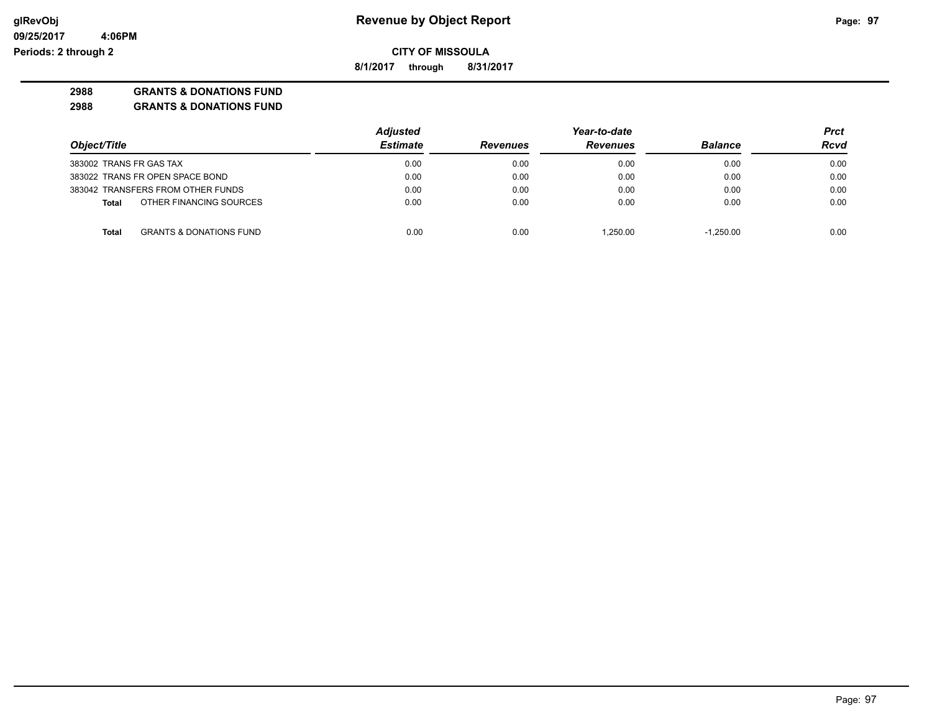**09/25/2017 4:06PM Periods: 2 through 2**

## **CITY OF MISSOULA**

**8/1/2017 through 8/31/2017**

## **2988 GRANTS & DONATIONS FUND**

|                                                    | <b>Adjusted</b> | Year-to-date    |                 |                | Prct |
|----------------------------------------------------|-----------------|-----------------|-----------------|----------------|------|
| Object/Title                                       | <b>Estimate</b> | <b>Revenues</b> | <b>Revenues</b> | <b>Balance</b> | Rcvd |
| 383002 TRANS FR GAS TAX                            | 0.00            | 0.00            | 0.00            | 0.00           | 0.00 |
| 383022 TRANS FR OPEN SPACE BOND                    | 0.00            | 0.00            | 0.00            | 0.00           | 0.00 |
| 383042 TRANSFERS FROM OTHER FUNDS                  | 0.00            | 0.00            | 0.00            | 0.00           | 0.00 |
| OTHER FINANCING SOURCES<br><b>Total</b>            | 0.00            | 0.00            | 0.00            | 0.00           | 0.00 |
| <b>GRANTS &amp; DONATIONS FUND</b><br><b>Total</b> | 0.00            | 0.00            | 1.250.00        | $-1.250.00$    | 0.00 |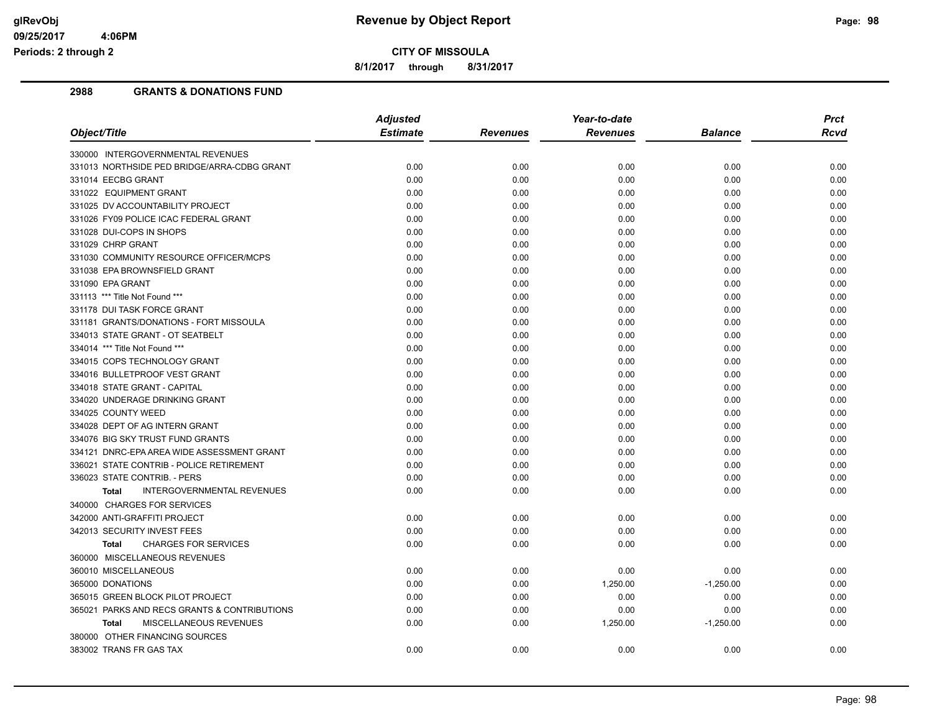**8/1/2017 through 8/31/2017**

|                                                   | <b>Adjusted</b> |                 | Year-to-date    |                | <b>Prct</b> |
|---------------------------------------------------|-----------------|-----------------|-----------------|----------------|-------------|
| Object/Title                                      | <b>Estimate</b> | <b>Revenues</b> | <b>Revenues</b> | <b>Balance</b> | <b>Rcvd</b> |
| 330000 INTERGOVERNMENTAL REVENUES                 |                 |                 |                 |                |             |
| 331013 NORTHSIDE PED BRIDGE/ARRA-CDBG GRANT       | 0.00            | 0.00            | 0.00            | 0.00           | 0.00        |
| 331014 EECBG GRANT                                | 0.00            | 0.00            | 0.00            | 0.00           | 0.00        |
| 331022 EQUIPMENT GRANT                            | 0.00            | 0.00            | 0.00            | 0.00           | 0.00        |
| 331025 DV ACCOUNTABILITY PROJECT                  | 0.00            | 0.00            | 0.00            | 0.00           | 0.00        |
| 331026 FY09 POLICE ICAC FEDERAL GRANT             | 0.00            | 0.00            | 0.00            | 0.00           | 0.00        |
| 331028 DUI-COPS IN SHOPS                          | 0.00            | 0.00            | 0.00            | 0.00           | 0.00        |
| 331029 CHRP GRANT                                 | 0.00            | 0.00            | 0.00            | 0.00           | 0.00        |
| 331030 COMMUNITY RESOURCE OFFICER/MCPS            | 0.00            | 0.00            | 0.00            | 0.00           | 0.00        |
| 331038 EPA BROWNSFIELD GRANT                      | 0.00            | 0.00            | 0.00            | 0.00           | 0.00        |
| 331090 EPA GRANT                                  | 0.00            | 0.00            | 0.00            | 0.00           | 0.00        |
| 331113 *** Title Not Found ***                    | 0.00            | 0.00            | 0.00            | 0.00           | 0.00        |
| 331178 DUI TASK FORCE GRANT                       | 0.00            | 0.00            | 0.00            | 0.00           | 0.00        |
| 331181 GRANTS/DONATIONS - FORT MISSOULA           | 0.00            | 0.00            | 0.00            | 0.00           | 0.00        |
| 334013 STATE GRANT - OT SEATBELT                  | 0.00            | 0.00            | 0.00            | 0.00           | 0.00        |
| 334014 *** Title Not Found ***                    | 0.00            | 0.00            | 0.00            | 0.00           | 0.00        |
| 334015 COPS TECHNOLOGY GRANT                      | 0.00            | 0.00            | 0.00            | 0.00           | 0.00        |
| 334016 BULLETPROOF VEST GRANT                     | 0.00            | 0.00            | 0.00            | 0.00           | 0.00        |
| 334018 STATE GRANT - CAPITAL                      | 0.00            | 0.00            | 0.00            | 0.00           | 0.00        |
| 334020 UNDERAGE DRINKING GRANT                    | 0.00            | 0.00            | 0.00            | 0.00           | 0.00        |
| 334025 COUNTY WEED                                | 0.00            | 0.00            | 0.00            | 0.00           | 0.00        |
| 334028 DEPT OF AG INTERN GRANT                    | 0.00            | 0.00            | 0.00            | 0.00           | 0.00        |
| 334076 BIG SKY TRUST FUND GRANTS                  | 0.00            | 0.00            | 0.00            | 0.00           | 0.00        |
| 334121 DNRC-EPA AREA WIDE ASSESSMENT GRANT        | 0.00            | 0.00            | 0.00            | 0.00           | 0.00        |
| 336021 STATE CONTRIB - POLICE RETIREMENT          | 0.00            | 0.00            | 0.00            | 0.00           | 0.00        |
| 336023 STATE CONTRIB. - PERS                      | 0.00            | 0.00            | 0.00            | 0.00           | 0.00        |
| <b>INTERGOVERNMENTAL REVENUES</b><br><b>Total</b> | 0.00            | 0.00            | 0.00            | 0.00           | 0.00        |
| 340000 CHARGES FOR SERVICES                       |                 |                 |                 |                |             |
| 342000 ANTI-GRAFFITI PROJECT                      | 0.00            | 0.00            | 0.00            | 0.00           | 0.00        |
| 342013 SECURITY INVEST FEES                       | 0.00            | 0.00            | 0.00            | 0.00           | 0.00        |
| <b>CHARGES FOR SERVICES</b><br><b>Total</b>       | 0.00            | 0.00            | 0.00            | 0.00           | 0.00        |
| 360000 MISCELLANEOUS REVENUES                     |                 |                 |                 |                |             |
| 360010 MISCELLANEOUS                              | 0.00            | 0.00            | 0.00            | 0.00           | 0.00        |
| 365000 DONATIONS                                  | 0.00            | 0.00            | 1,250.00        | $-1,250.00$    | 0.00        |
| 365015 GREEN BLOCK PILOT PROJECT                  | 0.00            | 0.00            | 0.00            | 0.00           | 0.00        |
| 365021 PARKS AND RECS GRANTS & CONTRIBUTIONS      | 0.00            | 0.00            | 0.00            | 0.00           | 0.00        |
| MISCELLANEOUS REVENUES<br>Total                   | 0.00            | 0.00            | 1,250.00        | $-1,250.00$    | 0.00        |
| 380000 OTHER FINANCING SOURCES                    |                 |                 |                 |                |             |
| 383002 TRANS FR GAS TAX                           | 0.00            | 0.00            | 0.00            | 0.00           | 0.00        |
|                                                   |                 |                 |                 |                |             |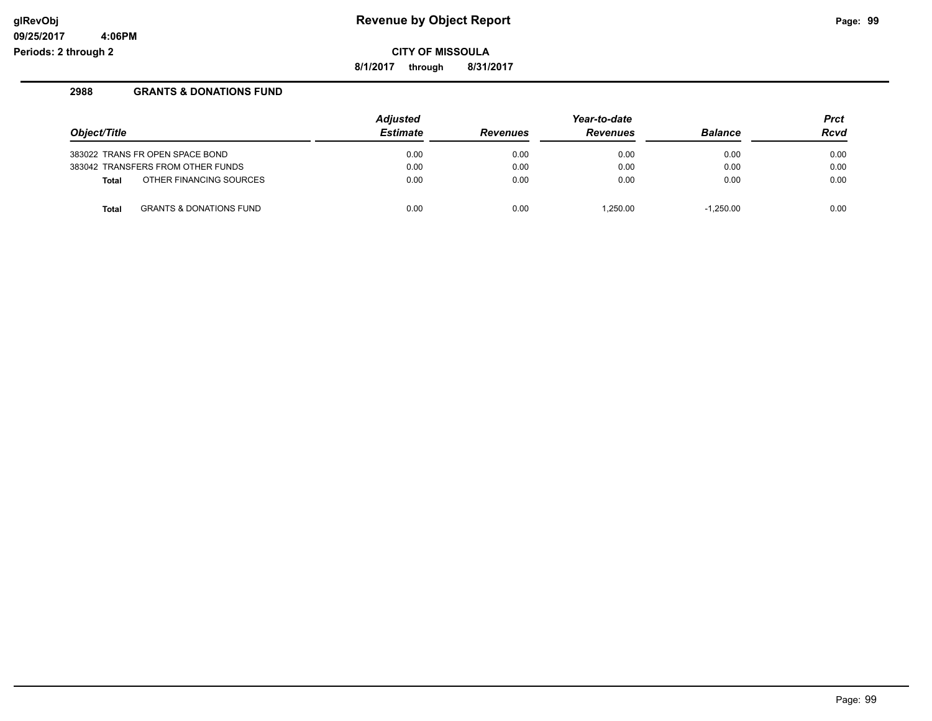**8/1/2017 through 8/31/2017**

| <b>Object/Title</b>                                | <b>Adjusted</b><br><b>Estimate</b> | <b>Revenues</b> | Year-to-date<br><b>Revenues</b> | <b>Balance</b> | <b>Prct</b><br><b>Rcvd</b> |
|----------------------------------------------------|------------------------------------|-----------------|---------------------------------|----------------|----------------------------|
| 383022 TRANS FR OPEN SPACE BOND                    | 0.00                               | 0.00            | 0.00                            | 0.00           | 0.00                       |
| 383042 TRANSFERS FROM OTHER FUNDS                  | 0.00                               | 0.00            | 0.00                            | 0.00           | 0.00                       |
| OTHER FINANCING SOURCES<br><b>Total</b>            | 0.00                               | 0.00            | 0.00                            | 0.00           | 0.00                       |
| <b>Total</b><br><b>GRANTS &amp; DONATIONS FUND</b> | 0.00                               | 0.00            | 1.250.00                        | $-1.250.00$    | 0.00                       |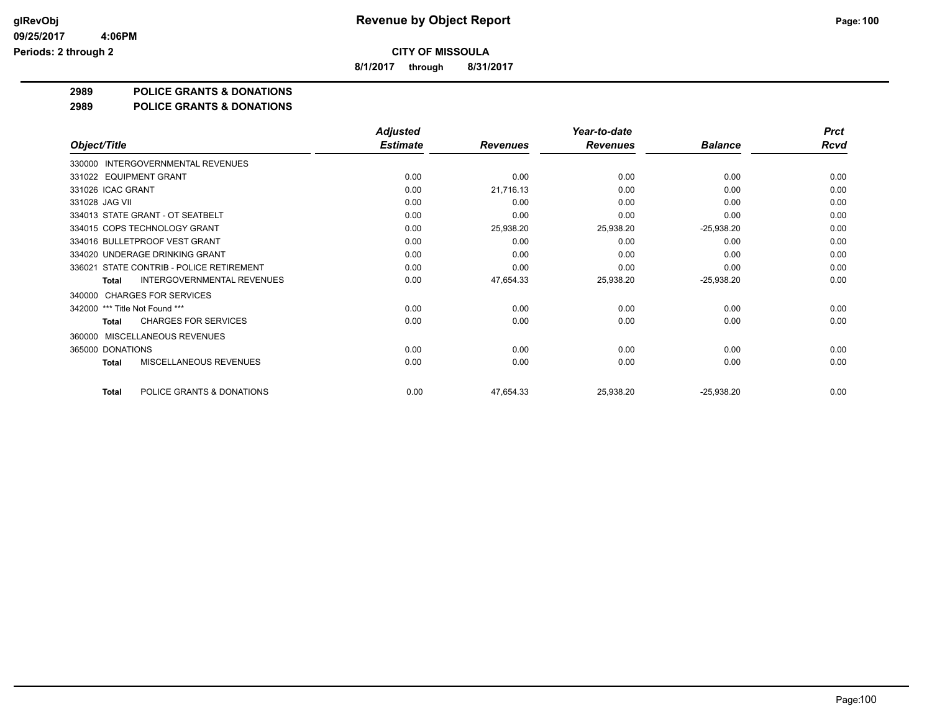**8/1/2017 through 8/31/2017**

## **2989 POLICE GRANTS & DONATIONS**

#### **2989 POLICE GRANTS & DONATIONS**

|                                                   | <b>Adjusted</b> |                 | Year-to-date    |                | <b>Prct</b> |
|---------------------------------------------------|-----------------|-----------------|-----------------|----------------|-------------|
| Object/Title                                      | <b>Estimate</b> | <b>Revenues</b> | <b>Revenues</b> | <b>Balance</b> | <b>Rcvd</b> |
| 330000 INTERGOVERNMENTAL REVENUES                 |                 |                 |                 |                |             |
| 331022 EQUIPMENT GRANT                            | 0.00            | 0.00            | 0.00            | 0.00           | 0.00        |
| 331026 ICAC GRANT                                 | 0.00            | 21,716.13       | 0.00            | 0.00           | 0.00        |
| 331028 JAG VII                                    | 0.00            | 0.00            | 0.00            | 0.00           | 0.00        |
| 334013 STATE GRANT - OT SEATBELT                  | 0.00            | 0.00            | 0.00            | 0.00           | 0.00        |
| 334015 COPS TECHNOLOGY GRANT                      | 0.00            | 25,938.20       | 25,938.20       | $-25,938.20$   | 0.00        |
| 334016 BULLETPROOF VEST GRANT                     | 0.00            | 0.00            | 0.00            | 0.00           | 0.00        |
| 334020 UNDERAGE DRINKING GRANT                    | 0.00            | 0.00            | 0.00            | 0.00           | 0.00        |
| 336021 STATE CONTRIB - POLICE RETIREMENT          | 0.00            | 0.00            | 0.00            | 0.00           | 0.00        |
| <b>INTERGOVERNMENTAL REVENUES</b><br><b>Total</b> | 0.00            | 47,654.33       | 25,938.20       | $-25,938.20$   | 0.00        |
| <b>CHARGES FOR SERVICES</b><br>340000             |                 |                 |                 |                |             |
| 342000 *** Title Not Found ***                    | 0.00            | 0.00            | 0.00            | 0.00           | 0.00        |
| <b>CHARGES FOR SERVICES</b><br><b>Total</b>       | 0.00            | 0.00            | 0.00            | 0.00           | 0.00        |
| MISCELLANEOUS REVENUES<br>360000                  |                 |                 |                 |                |             |
| 365000 DONATIONS                                  | 0.00            | 0.00            | 0.00            | 0.00           | 0.00        |
| MISCELLANEOUS REVENUES<br><b>Total</b>            | 0.00            | 0.00            | 0.00            | 0.00           | 0.00        |
| POLICE GRANTS & DONATIONS<br><b>Total</b>         | 0.00            | 47,654.33       | 25,938.20       | $-25,938.20$   | 0.00        |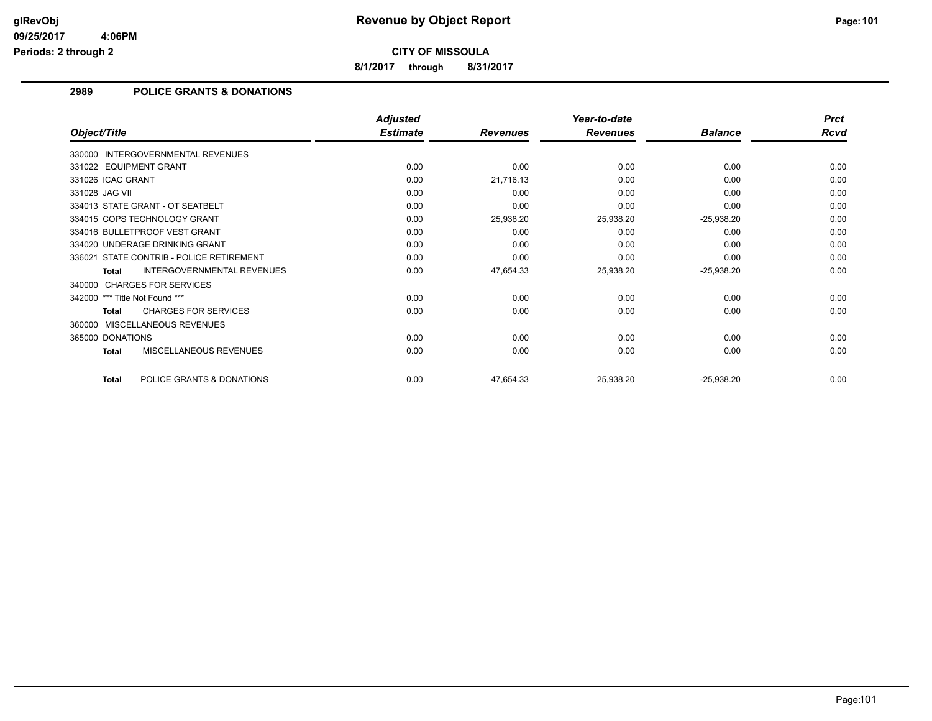**8/1/2017 through 8/31/2017**

## **2989 POLICE GRANTS & DONATIONS**

|                                                   | <b>Adjusted</b> |                 | Year-to-date    |                | <b>Prct</b> |
|---------------------------------------------------|-----------------|-----------------|-----------------|----------------|-------------|
| Object/Title                                      | <b>Estimate</b> | <b>Revenues</b> | <b>Revenues</b> | <b>Balance</b> | <b>Rcvd</b> |
| INTERGOVERNMENTAL REVENUES<br>330000              |                 |                 |                 |                |             |
| 331022 EQUIPMENT GRANT                            | 0.00            | 0.00            | 0.00            | 0.00           | 0.00        |
| 331026 ICAC GRANT                                 | 0.00            | 21,716.13       | 0.00            | 0.00           | 0.00        |
| 331028 JAG VII                                    | 0.00            | 0.00            | 0.00            | 0.00           | 0.00        |
| 334013 STATE GRANT - OT SEATBELT                  | 0.00            | 0.00            | 0.00            | 0.00           | 0.00        |
| 334015 COPS TECHNOLOGY GRANT                      | 0.00            | 25,938.20       | 25,938.20       | $-25,938.20$   | 0.00        |
| 334016 BULLETPROOF VEST GRANT                     | 0.00            | 0.00            | 0.00            | 0.00           | 0.00        |
| 334020 UNDERAGE DRINKING GRANT                    | 0.00            | 0.00            | 0.00            | 0.00           | 0.00        |
| 336021 STATE CONTRIB - POLICE RETIREMENT          | 0.00            | 0.00            | 0.00            | 0.00           | 0.00        |
| <b>INTERGOVERNMENTAL REVENUES</b><br><b>Total</b> | 0.00            | 47,654.33       | 25,938.20       | $-25,938.20$   | 0.00        |
| 340000 CHARGES FOR SERVICES                       |                 |                 |                 |                |             |
| 342000 *** Title Not Found ***                    | 0.00            | 0.00            | 0.00            | 0.00           | 0.00        |
| <b>CHARGES FOR SERVICES</b><br><b>Total</b>       | 0.00            | 0.00            | 0.00            | 0.00           | 0.00        |
| MISCELLANEOUS REVENUES<br>360000                  |                 |                 |                 |                |             |
| 365000 DONATIONS                                  | 0.00            | 0.00            | 0.00            | 0.00           | 0.00        |
| <b>MISCELLANEOUS REVENUES</b><br><b>Total</b>     | 0.00            | 0.00            | 0.00            | 0.00           | 0.00        |
| POLICE GRANTS & DONATIONS<br><b>Total</b>         | 0.00            | 47,654.33       | 25,938.20       | $-25,938.20$   | 0.00        |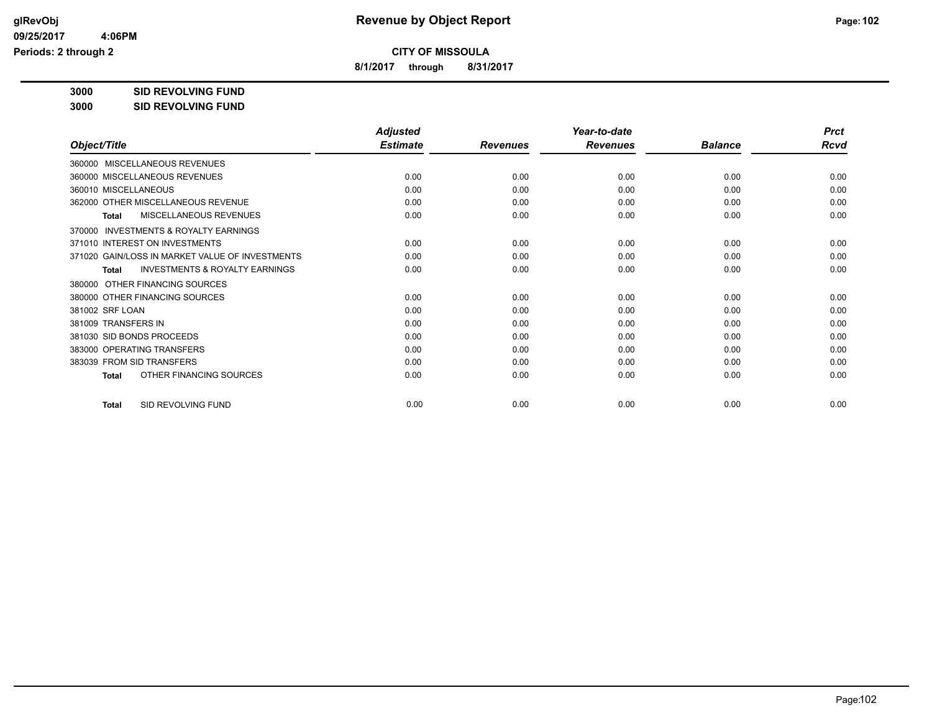**8/1/2017 through 8/31/2017**

**3000 SID REVOLVING FUND**

**3000 SID REVOLVING FUND**

|                                                     | <b>Adjusted</b> |                 | Year-to-date    |                | <b>Prct</b> |
|-----------------------------------------------------|-----------------|-----------------|-----------------|----------------|-------------|
| Object/Title                                        | <b>Estimate</b> | <b>Revenues</b> | <b>Revenues</b> | <b>Balance</b> | Rcvd        |
| 360000 MISCELLANEOUS REVENUES                       |                 |                 |                 |                |             |
| 360000 MISCELLANEOUS REVENUES                       | 0.00            | 0.00            | 0.00            | 0.00           | 0.00        |
| 360010 MISCELLANEOUS                                | 0.00            | 0.00            | 0.00            | 0.00           | 0.00        |
| 362000 OTHER MISCELLANEOUS REVENUE                  | 0.00            | 0.00            | 0.00            | 0.00           | 0.00        |
| MISCELLANEOUS REVENUES<br>Total                     | 0.00            | 0.00            | 0.00            | 0.00           | 0.00        |
| <b>INVESTMENTS &amp; ROYALTY EARNINGS</b><br>370000 |                 |                 |                 |                |             |
| 371010 INTEREST ON INVESTMENTS                      | 0.00            | 0.00            | 0.00            | 0.00           | 0.00        |
| 371020 GAIN/LOSS IN MARKET VALUE OF INVESTMENTS     | 0.00            | 0.00            | 0.00            | 0.00           | 0.00        |
| <b>INVESTMENTS &amp; ROYALTY EARNINGS</b><br>Total  | 0.00            | 0.00            | 0.00            | 0.00           | 0.00        |
| OTHER FINANCING SOURCES<br>380000                   |                 |                 |                 |                |             |
| 380000 OTHER FINANCING SOURCES                      | 0.00            | 0.00            | 0.00            | 0.00           | 0.00        |
| 381002 SRF LOAN                                     | 0.00            | 0.00            | 0.00            | 0.00           | 0.00        |
| 381009 TRANSFERS IN                                 | 0.00            | 0.00            | 0.00            | 0.00           | 0.00        |
| 381030 SID BONDS PROCEEDS                           | 0.00            | 0.00            | 0.00            | 0.00           | 0.00        |
| 383000 OPERATING TRANSFERS                          | 0.00            | 0.00            | 0.00            | 0.00           | 0.00        |
| 383039 FROM SID TRANSFERS                           | 0.00            | 0.00            | 0.00            | 0.00           | 0.00        |
| OTHER FINANCING SOURCES<br><b>Total</b>             | 0.00            | 0.00            | 0.00            | 0.00           | 0.00        |
| SID REVOLVING FUND<br><b>Total</b>                  | 0.00            | 0.00            | 0.00            | 0.00           | 0.00        |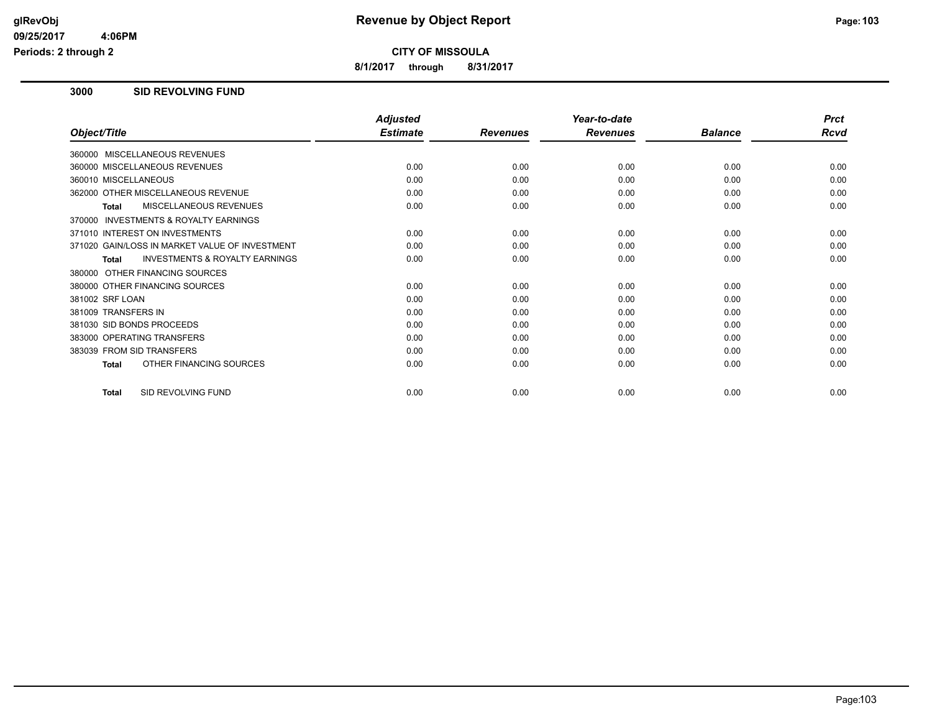**8/1/2017 through 8/31/2017**

#### **3000 SID REVOLVING FUND**

|                                                           | <b>Adjusted</b> |                 | Year-to-date    |                | <b>Prct</b> |
|-----------------------------------------------------------|-----------------|-----------------|-----------------|----------------|-------------|
| Object/Title                                              | <b>Estimate</b> | <b>Revenues</b> | <b>Revenues</b> | <b>Balance</b> | Rcvd        |
| 360000 MISCELLANEOUS REVENUES                             |                 |                 |                 |                |             |
| 360000 MISCELLANEOUS REVENUES                             | 0.00            | 0.00            | 0.00            | 0.00           | 0.00        |
| 360010 MISCELLANEOUS                                      | 0.00            | 0.00            | 0.00            | 0.00           | 0.00        |
| 362000 OTHER MISCELLANEOUS REVENUE                        | 0.00            | 0.00            | 0.00            | 0.00           | 0.00        |
| <b>MISCELLANEOUS REVENUES</b><br><b>Total</b>             | 0.00            | 0.00            | 0.00            | 0.00           | 0.00        |
| <b>INVESTMENTS &amp; ROYALTY EARNINGS</b><br>370000       |                 |                 |                 |                |             |
| 371010 INTEREST ON INVESTMENTS                            | 0.00            | 0.00            | 0.00            | 0.00           | 0.00        |
| 371020 GAIN/LOSS IN MARKET VALUE OF INVESTMENT            | 0.00            | 0.00            | 0.00            | 0.00           | 0.00        |
| <b>INVESTMENTS &amp; ROYALTY EARNINGS</b><br><b>Total</b> | 0.00            | 0.00            | 0.00            | 0.00           | 0.00        |
| 380000 OTHER FINANCING SOURCES                            |                 |                 |                 |                |             |
| 380000 OTHER FINANCING SOURCES                            | 0.00            | 0.00            | 0.00            | 0.00           | 0.00        |
| 381002 SRF LOAN                                           | 0.00            | 0.00            | 0.00            | 0.00           | 0.00        |
| 381009 TRANSFERS IN                                       | 0.00            | 0.00            | 0.00            | 0.00           | 0.00        |
| 381030 SID BONDS PROCEEDS                                 | 0.00            | 0.00            | 0.00            | 0.00           | 0.00        |
| 383000 OPERATING TRANSFERS                                | 0.00            | 0.00            | 0.00            | 0.00           | 0.00        |
| 383039 FROM SID TRANSFERS                                 | 0.00            | 0.00            | 0.00            | 0.00           | 0.00        |
| OTHER FINANCING SOURCES<br><b>Total</b>                   | 0.00            | 0.00            | 0.00            | 0.00           | 0.00        |
| SID REVOLVING FUND<br><b>Total</b>                        | 0.00            | 0.00            | 0.00            | 0.00           | 0.00        |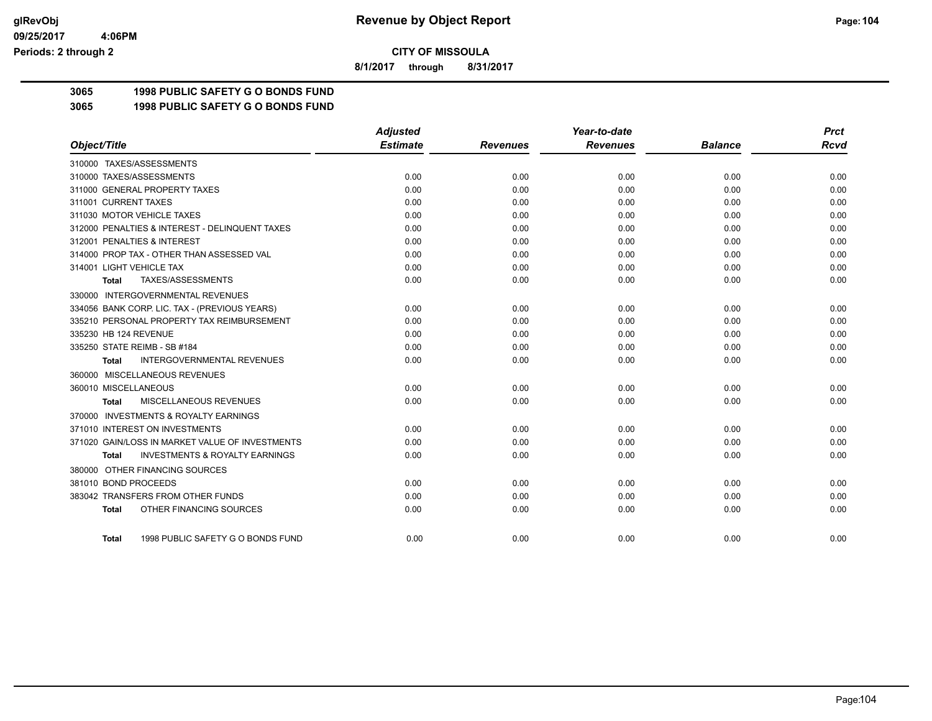**8/1/2017 through 8/31/2017**

## **3065 1998 PUBLIC SAFETY G O BONDS FUND**

**3065 1998 PUBLIC SAFETY G O BONDS FUND**

|                                                    | <b>Adjusted</b> |                 | Year-to-date    |                | <b>Prct</b> |
|----------------------------------------------------|-----------------|-----------------|-----------------|----------------|-------------|
| Object/Title                                       | <b>Estimate</b> | <b>Revenues</b> | <b>Revenues</b> | <b>Balance</b> | <b>Rcvd</b> |
| 310000 TAXES/ASSESSMENTS                           |                 |                 |                 |                |             |
| 310000 TAXES/ASSESSMENTS                           | 0.00            | 0.00            | 0.00            | 0.00           | 0.00        |
| 311000 GENERAL PROPERTY TAXES                      | 0.00            | 0.00            | 0.00            | 0.00           | 0.00        |
| 311001 CURRENT TAXES                               | 0.00            | 0.00            | 0.00            | 0.00           | 0.00        |
| 311030 MOTOR VEHICLE TAXES                         | 0.00            | 0.00            | 0.00            | 0.00           | 0.00        |
| 312000 PENALTIES & INTEREST - DELINQUENT TAXES     | 0.00            | 0.00            | 0.00            | 0.00           | 0.00        |
| 312001 PENALTIES & INTEREST                        | 0.00            | 0.00            | 0.00            | 0.00           | 0.00        |
| 314000 PROP TAX - OTHER THAN ASSESSED VAL          | 0.00            | 0.00            | 0.00            | 0.00           | 0.00        |
| 314001 LIGHT VEHICLE TAX                           | 0.00            | 0.00            | 0.00            | 0.00           | 0.00        |
| TAXES/ASSESSMENTS<br>Total                         | 0.00            | 0.00            | 0.00            | 0.00           | 0.00        |
| 330000 INTERGOVERNMENTAL REVENUES                  |                 |                 |                 |                |             |
| 334056 BANK CORP. LIC. TAX - (PREVIOUS YEARS)      | 0.00            | 0.00            | 0.00            | 0.00           | 0.00        |
| 335210 PERSONAL PROPERTY TAX REIMBURSEMENT         | 0.00            | 0.00            | 0.00            | 0.00           | 0.00        |
| 335230 HB 124 REVENUE                              | 0.00            | 0.00            | 0.00            | 0.00           | 0.00        |
| 335250 STATE REIMB - SB #184                       | 0.00            | 0.00            | 0.00            | 0.00           | 0.00        |
| <b>INTERGOVERNMENTAL REVENUES</b><br>Total         | 0.00            | 0.00            | 0.00            | 0.00           | 0.00        |
| 360000 MISCELLANEOUS REVENUES                      |                 |                 |                 |                |             |
| 360010 MISCELLANEOUS                               | 0.00            | 0.00            | 0.00            | 0.00           | 0.00        |
| <b>MISCELLANEOUS REVENUES</b><br>Total             | 0.00            | 0.00            | 0.00            | 0.00           | 0.00        |
| 370000 INVESTMENTS & ROYALTY EARNINGS              |                 |                 |                 |                |             |
| 371010 INTEREST ON INVESTMENTS                     | 0.00            | 0.00            | 0.00            | 0.00           | 0.00        |
| 371020 GAIN/LOSS IN MARKET VALUE OF INVESTMENTS    | 0.00            | 0.00            | 0.00            | 0.00           | 0.00        |
| <b>INVESTMENTS &amp; ROYALTY EARNINGS</b><br>Total | 0.00            | 0.00            | 0.00            | 0.00           | 0.00        |
| 380000 OTHER FINANCING SOURCES                     |                 |                 |                 |                |             |
| 381010 BOND PROCEEDS                               | 0.00            | 0.00            | 0.00            | 0.00           | 0.00        |
| 383042 TRANSFERS FROM OTHER FUNDS                  | 0.00            | 0.00            | 0.00            | 0.00           | 0.00        |
| OTHER FINANCING SOURCES<br><b>Total</b>            | 0.00            | 0.00            | 0.00            | 0.00           | 0.00        |
| 1998 PUBLIC SAFETY G O BONDS FUND<br>Total         | 0.00            | 0.00            | 0.00            | 0.00           | 0.00        |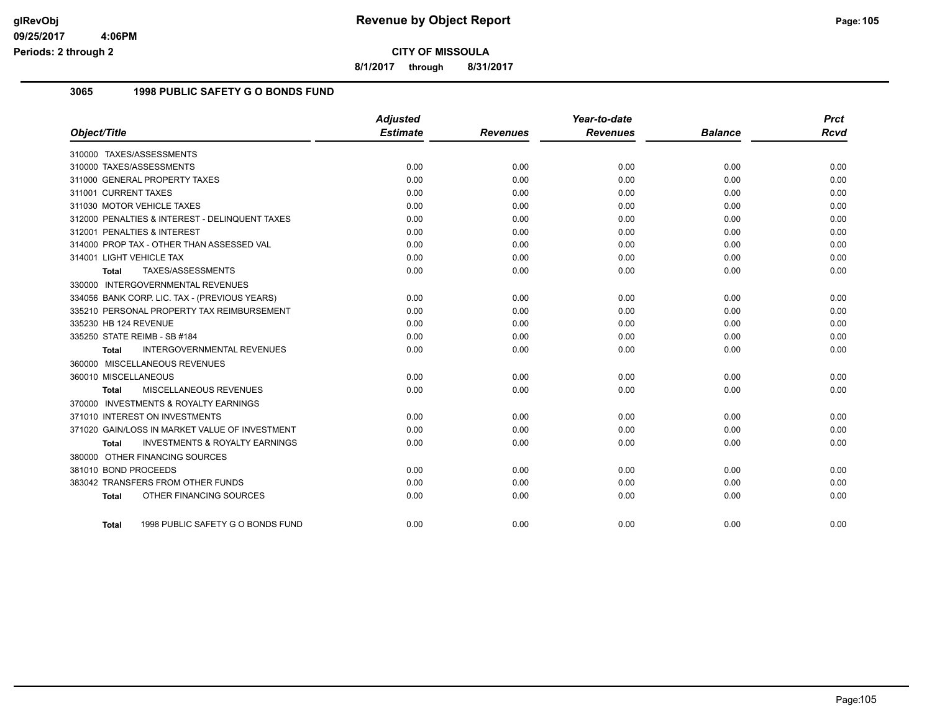**8/1/2017 through 8/31/2017**

## **3065 1998 PUBLIC SAFETY G O BONDS FUND**

| Object/Title                                              | <b>Adjusted</b><br><b>Estimate</b> | <b>Revenues</b> | Year-to-date<br><b>Revenues</b> | <b>Balance</b> | <b>Prct</b><br>Rcvd |
|-----------------------------------------------------------|------------------------------------|-----------------|---------------------------------|----------------|---------------------|
|                                                           |                                    |                 |                                 |                |                     |
| 310000 TAXES/ASSESSMENTS                                  |                                    |                 |                                 |                |                     |
| 310000 TAXES/ASSESSMENTS                                  | 0.00                               | 0.00            | 0.00                            | 0.00           | 0.00                |
| 311000 GENERAL PROPERTY TAXES                             | 0.00                               | 0.00            | 0.00                            | 0.00           | 0.00                |
| 311001 CURRENT TAXES                                      | 0.00                               | 0.00            | 0.00                            | 0.00           | 0.00                |
| 311030 MOTOR VEHICLE TAXES                                | 0.00                               | 0.00            | 0.00                            | 0.00           | 0.00                |
| 312000 PENALTIES & INTEREST - DELINQUENT TAXES            | 0.00                               | 0.00            | 0.00                            | 0.00           | 0.00                |
| 312001 PENALTIES & INTEREST                               | 0.00                               | 0.00            | 0.00                            | 0.00           | 0.00                |
| 314000 PROP TAX - OTHER THAN ASSESSED VAL                 | 0.00                               | 0.00            | 0.00                            | 0.00           | 0.00                |
| 314001 LIGHT VEHICLE TAX                                  | 0.00                               | 0.00            | 0.00                            | 0.00           | 0.00                |
| TAXES/ASSESSMENTS<br><b>Total</b>                         | 0.00                               | 0.00            | 0.00                            | 0.00           | 0.00                |
| 330000 INTERGOVERNMENTAL REVENUES                         |                                    |                 |                                 |                |                     |
| 334056 BANK CORP. LIC. TAX - (PREVIOUS YEARS)             | 0.00                               | 0.00            | 0.00                            | 0.00           | 0.00                |
| 335210 PERSONAL PROPERTY TAX REIMBURSEMENT                | 0.00                               | 0.00            | 0.00                            | 0.00           | 0.00                |
| 335230 HB 124 REVENUE                                     | 0.00                               | 0.00            | 0.00                            | 0.00           | 0.00                |
| 335250 STATE REIMB - SB #184                              | 0.00                               | 0.00            | 0.00                            | 0.00           | 0.00                |
| <b>INTERGOVERNMENTAL REVENUES</b><br><b>Total</b>         | 0.00                               | 0.00            | 0.00                            | 0.00           | 0.00                |
| 360000 MISCELLANEOUS REVENUES                             |                                    |                 |                                 |                |                     |
| 360010 MISCELLANEOUS                                      | 0.00                               | 0.00            | 0.00                            | 0.00           | 0.00                |
| MISCELLANEOUS REVENUES<br><b>Total</b>                    | 0.00                               | 0.00            | 0.00                            | 0.00           | 0.00                |
| 370000 INVESTMENTS & ROYALTY EARNINGS                     |                                    |                 |                                 |                |                     |
| 371010 INTEREST ON INVESTMENTS                            | 0.00                               | 0.00            | 0.00                            | 0.00           | 0.00                |
| 371020 GAIN/LOSS IN MARKET VALUE OF INVESTMENT            | 0.00                               | 0.00            | 0.00                            | 0.00           | 0.00                |
| <b>INVESTMENTS &amp; ROYALTY EARNINGS</b><br><b>Total</b> | 0.00                               | 0.00            | 0.00                            | 0.00           | 0.00                |
| 380000 OTHER FINANCING SOURCES                            |                                    |                 |                                 |                |                     |
| 381010 BOND PROCEEDS                                      | 0.00                               | 0.00            | 0.00                            | 0.00           | 0.00                |
| 383042 TRANSFERS FROM OTHER FUNDS                         | 0.00                               | 0.00            | 0.00                            | 0.00           | 0.00                |
| OTHER FINANCING SOURCES<br><b>Total</b>                   | 0.00                               | 0.00            | 0.00                            | 0.00           | 0.00                |
|                                                           |                                    |                 |                                 |                |                     |
| 1998 PUBLIC SAFETY G O BONDS FUND<br>Total                | 0.00                               | 0.00            | 0.00                            | 0.00           | 0.00                |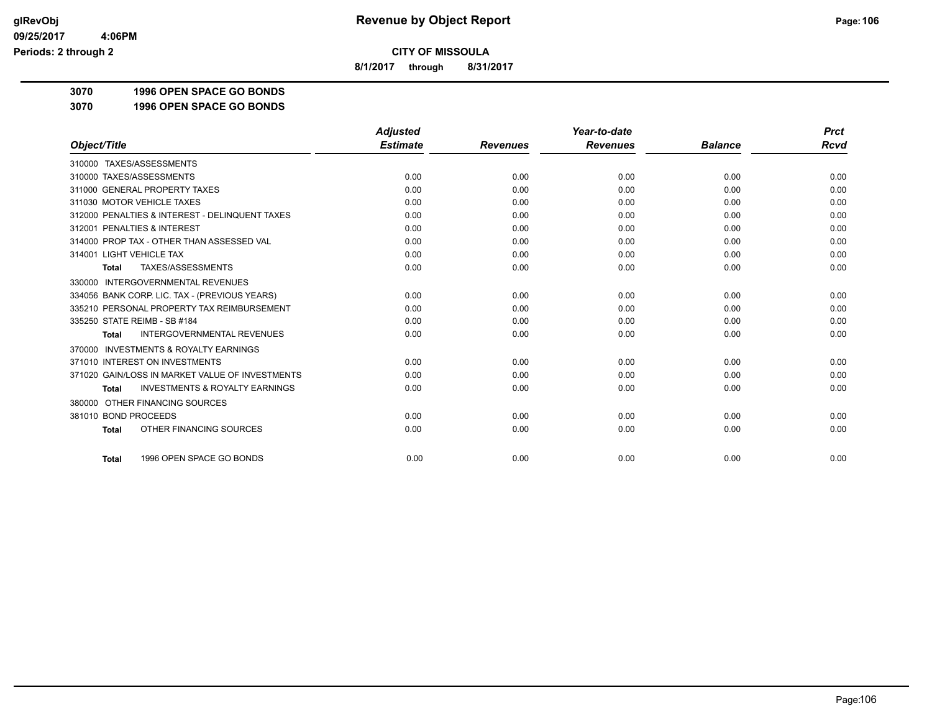**8/1/2017 through 8/31/2017**

**3070 1996 OPEN SPACE GO BONDS**

**3070 1996 OPEN SPACE GO BONDS**

|                                                    | <b>Adjusted</b> |                 | Year-to-date    |                | <b>Prct</b> |
|----------------------------------------------------|-----------------|-----------------|-----------------|----------------|-------------|
| Object/Title                                       | <b>Estimate</b> | <b>Revenues</b> | <b>Revenues</b> | <b>Balance</b> | <b>Rcvd</b> |
| 310000 TAXES/ASSESSMENTS                           |                 |                 |                 |                |             |
| 310000 TAXES/ASSESSMENTS                           | 0.00            | 0.00            | 0.00            | 0.00           | 0.00        |
| 311000 GENERAL PROPERTY TAXES                      | 0.00            | 0.00            | 0.00            | 0.00           | 0.00        |
| 311030 MOTOR VEHICLE TAXES                         | 0.00            | 0.00            | 0.00            | 0.00           | 0.00        |
| 312000 PENALTIES & INTEREST - DELINQUENT TAXES     | 0.00            | 0.00            | 0.00            | 0.00           | 0.00        |
| 312001 PENALTIES & INTEREST                        | 0.00            | 0.00            | 0.00            | 0.00           | 0.00        |
| 314000 PROP TAX - OTHER THAN ASSESSED VAL          | 0.00            | 0.00            | 0.00            | 0.00           | 0.00        |
| 314001 LIGHT VEHICLE TAX                           | 0.00            | 0.00            | 0.00            | 0.00           | 0.00        |
| TAXES/ASSESSMENTS<br><b>Total</b>                  | 0.00            | 0.00            | 0.00            | 0.00           | 0.00        |
| <b>INTERGOVERNMENTAL REVENUES</b><br>330000        |                 |                 |                 |                |             |
| 334056 BANK CORP. LIC. TAX - (PREVIOUS YEARS)      | 0.00            | 0.00            | 0.00            | 0.00           | 0.00        |
| 335210 PERSONAL PROPERTY TAX REIMBURSEMENT         | 0.00            | 0.00            | 0.00            | 0.00           | 0.00        |
| 335250 STATE REIMB - SB #184                       | 0.00            | 0.00            | 0.00            | 0.00           | 0.00        |
| <b>INTERGOVERNMENTAL REVENUES</b><br><b>Total</b>  | 0.00            | 0.00            | 0.00            | 0.00           | 0.00        |
| 370000 INVESTMENTS & ROYALTY EARNINGS              |                 |                 |                 |                |             |
| 371010 INTEREST ON INVESTMENTS                     | 0.00            | 0.00            | 0.00            | 0.00           | 0.00        |
| 371020 GAIN/LOSS IN MARKET VALUE OF INVESTMENTS    | 0.00            | 0.00            | 0.00            | 0.00           | 0.00        |
| <b>INVESTMENTS &amp; ROYALTY EARNINGS</b><br>Total | 0.00            | 0.00            | 0.00            | 0.00           | 0.00        |
| OTHER FINANCING SOURCES<br>380000                  |                 |                 |                 |                |             |
| 381010 BOND PROCEEDS                               | 0.00            | 0.00            | 0.00            | 0.00           | 0.00        |
| OTHER FINANCING SOURCES<br><b>Total</b>            | 0.00            | 0.00            | 0.00            | 0.00           | 0.00        |
| 1996 OPEN SPACE GO BONDS<br>Total                  | 0.00            | 0.00            | 0.00            | 0.00           | 0.00        |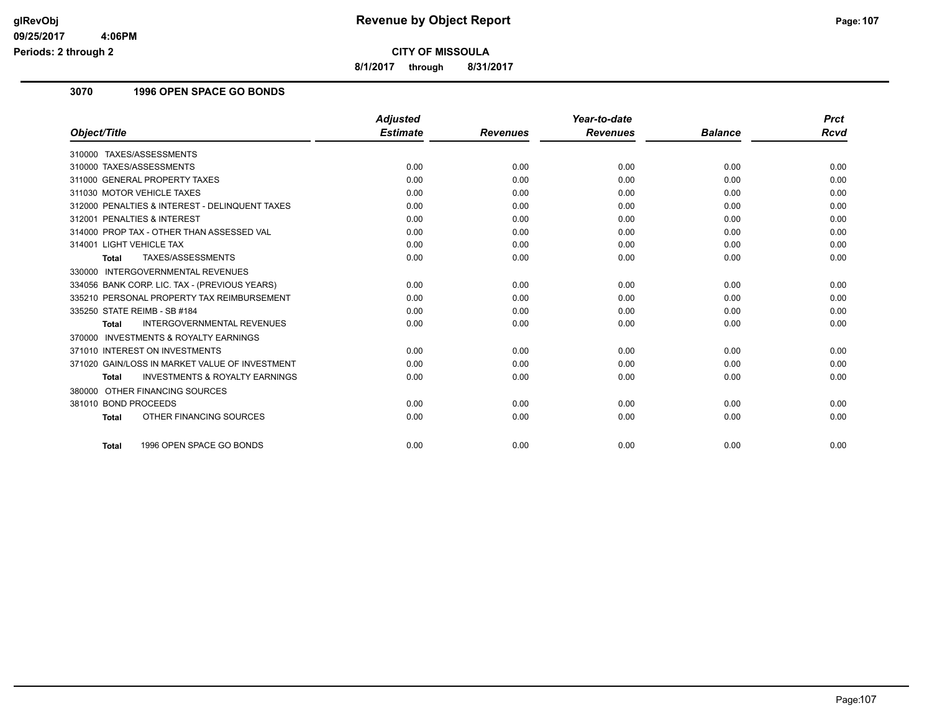**8/1/2017 through 8/31/2017**

## **3070 1996 OPEN SPACE GO BONDS**

|                                                           | <b>Adjusted</b> |                 | Year-to-date    |                | <b>Prct</b> |
|-----------------------------------------------------------|-----------------|-----------------|-----------------|----------------|-------------|
| Object/Title                                              | <b>Estimate</b> | <b>Revenues</b> | <b>Revenues</b> | <b>Balance</b> | Rcvd        |
| 310000 TAXES/ASSESSMENTS                                  |                 |                 |                 |                |             |
| 310000 TAXES/ASSESSMENTS                                  | 0.00            | 0.00            | 0.00            | 0.00           | 0.00        |
| 311000 GENERAL PROPERTY TAXES                             | 0.00            | 0.00            | 0.00            | 0.00           | 0.00        |
| 311030 MOTOR VEHICLE TAXES                                | 0.00            | 0.00            | 0.00            | 0.00           | 0.00        |
| 312000 PENALTIES & INTEREST - DELINQUENT TAXES            | 0.00            | 0.00            | 0.00            | 0.00           | 0.00        |
| 312001 PENALTIES & INTEREST                               | 0.00            | 0.00            | 0.00            | 0.00           | 0.00        |
| 314000 PROP TAX - OTHER THAN ASSESSED VAL                 | 0.00            | 0.00            | 0.00            | 0.00           | 0.00        |
| 314001 LIGHT VEHICLE TAX                                  | 0.00            | 0.00            | 0.00            | 0.00           | 0.00        |
| TAXES/ASSESSMENTS<br><b>Total</b>                         | 0.00            | 0.00            | 0.00            | 0.00           | 0.00        |
| 330000 INTERGOVERNMENTAL REVENUES                         |                 |                 |                 |                |             |
| 334056 BANK CORP. LIC. TAX - (PREVIOUS YEARS)             | 0.00            | 0.00            | 0.00            | 0.00           | 0.00        |
| 335210 PERSONAL PROPERTY TAX REIMBURSEMENT                | 0.00            | 0.00            | 0.00            | 0.00           | 0.00        |
| 335250 STATE REIMB - SB #184                              | 0.00            | 0.00            | 0.00            | 0.00           | 0.00        |
| INTERGOVERNMENTAL REVENUES<br>Total                       | 0.00            | 0.00            | 0.00            | 0.00           | 0.00        |
| 370000 INVESTMENTS & ROYALTY EARNINGS                     |                 |                 |                 |                |             |
| 371010 INTEREST ON INVESTMENTS                            | 0.00            | 0.00            | 0.00            | 0.00           | 0.00        |
| 371020 GAIN/LOSS IN MARKET VALUE OF INVESTMENT            | 0.00            | 0.00            | 0.00            | 0.00           | 0.00        |
| <b>INVESTMENTS &amp; ROYALTY EARNINGS</b><br><b>Total</b> | 0.00            | 0.00            | 0.00            | 0.00           | 0.00        |
| 380000 OTHER FINANCING SOURCES                            |                 |                 |                 |                |             |
| 381010 BOND PROCEEDS                                      | 0.00            | 0.00            | 0.00            | 0.00           | 0.00        |
| OTHER FINANCING SOURCES<br>Total                          | 0.00            | 0.00            | 0.00            | 0.00           | 0.00        |
| 1996 OPEN SPACE GO BONDS<br>Total                         | 0.00            | 0.00            | 0.00            | 0.00           | 0.00        |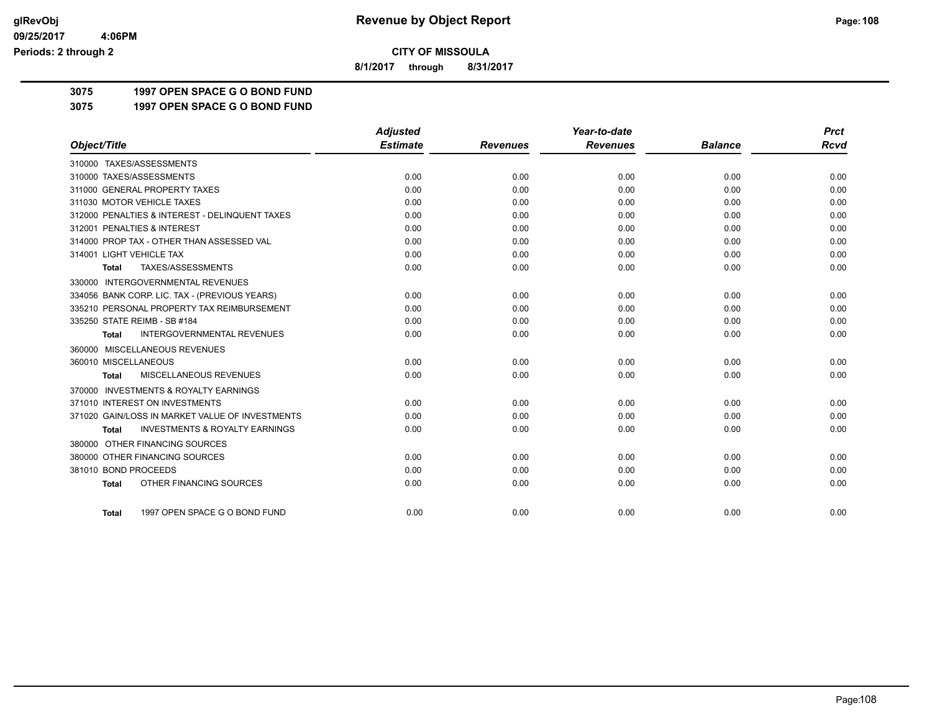**8/1/2017 through 8/31/2017**

## **3075 1997 OPEN SPACE G O BOND FUND**

#### **3075 1997 OPEN SPACE G O BOND FUND**

|                                |                                                 | <b>Adjusted</b> |                 | Year-to-date    |                | <b>Prct</b> |
|--------------------------------|-------------------------------------------------|-----------------|-----------------|-----------------|----------------|-------------|
| Object/Title                   |                                                 | <b>Estimate</b> | <b>Revenues</b> | <b>Revenues</b> | <b>Balance</b> | Rcvd        |
| 310000 TAXES/ASSESSMENTS       |                                                 |                 |                 |                 |                |             |
| 310000 TAXES/ASSESSMENTS       |                                                 | 0.00            | 0.00            | 0.00            | 0.00           | 0.00        |
| 311000 GENERAL PROPERTY TAXES  |                                                 | 0.00            | 0.00            | 0.00            | 0.00           | 0.00        |
| 311030 MOTOR VEHICLE TAXES     |                                                 | 0.00            | 0.00            | 0.00            | 0.00           | 0.00        |
|                                | 312000 PENALTIES & INTEREST - DELINQUENT TAXES  | 0.00            | 0.00            | 0.00            | 0.00           | 0.00        |
| 312001 PENALTIES & INTEREST    |                                                 | 0.00            | 0.00            | 0.00            | 0.00           | 0.00        |
|                                | 314000 PROP TAX - OTHER THAN ASSESSED VAL       | 0.00            | 0.00            | 0.00            | 0.00           | 0.00        |
| 314001 LIGHT VEHICLE TAX       |                                                 | 0.00            | 0.00            | 0.00            | 0.00           | 0.00        |
| Total                          | TAXES/ASSESSMENTS                               | 0.00            | 0.00            | 0.00            | 0.00           | 0.00        |
|                                | 330000 INTERGOVERNMENTAL REVENUES               |                 |                 |                 |                |             |
|                                | 334056 BANK CORP. LIC. TAX - (PREVIOUS YEARS)   | 0.00            | 0.00            | 0.00            | 0.00           | 0.00        |
|                                | 335210 PERSONAL PROPERTY TAX REIMBURSEMENT      | 0.00            | 0.00            | 0.00            | 0.00           | 0.00        |
| 335250 STATE REIMB - SB #184   |                                                 | 0.00            | 0.00            | 0.00            | 0.00           | 0.00        |
| <b>Total</b>                   | <b>INTERGOVERNMENTAL REVENUES</b>               | 0.00            | 0.00            | 0.00            | 0.00           | 0.00        |
| 360000 MISCELLANEOUS REVENUES  |                                                 |                 |                 |                 |                |             |
| 360010 MISCELLANEOUS           |                                                 | 0.00            | 0.00            | 0.00            | 0.00           | 0.00        |
| Total                          | <b>MISCELLANEOUS REVENUES</b>                   | 0.00            | 0.00            | 0.00            | 0.00           | 0.00        |
|                                | 370000 INVESTMENTS & ROYALTY EARNINGS           |                 |                 |                 |                |             |
| 371010 INTEREST ON INVESTMENTS |                                                 | 0.00            | 0.00            | 0.00            | 0.00           | 0.00        |
|                                | 371020 GAIN/LOSS IN MARKET VALUE OF INVESTMENTS | 0.00            | 0.00            | 0.00            | 0.00           | 0.00        |
| Total                          | <b>INVESTMENTS &amp; ROYALTY EARNINGS</b>       | 0.00            | 0.00            | 0.00            | 0.00           | 0.00        |
| 380000 OTHER FINANCING SOURCES |                                                 |                 |                 |                 |                |             |
| 380000 OTHER FINANCING SOURCES |                                                 | 0.00            | 0.00            | 0.00            | 0.00           | 0.00        |
| 381010 BOND PROCEEDS           |                                                 | 0.00            | 0.00            | 0.00            | 0.00           | 0.00        |
| <b>Total</b>                   | OTHER FINANCING SOURCES                         | 0.00            | 0.00            | 0.00            | 0.00           | 0.00        |
|                                |                                                 |                 |                 |                 |                |             |
| <b>Total</b>                   | 1997 OPEN SPACE G O BOND FUND                   | 0.00            | 0.00            | 0.00            | 0.00           | 0.00        |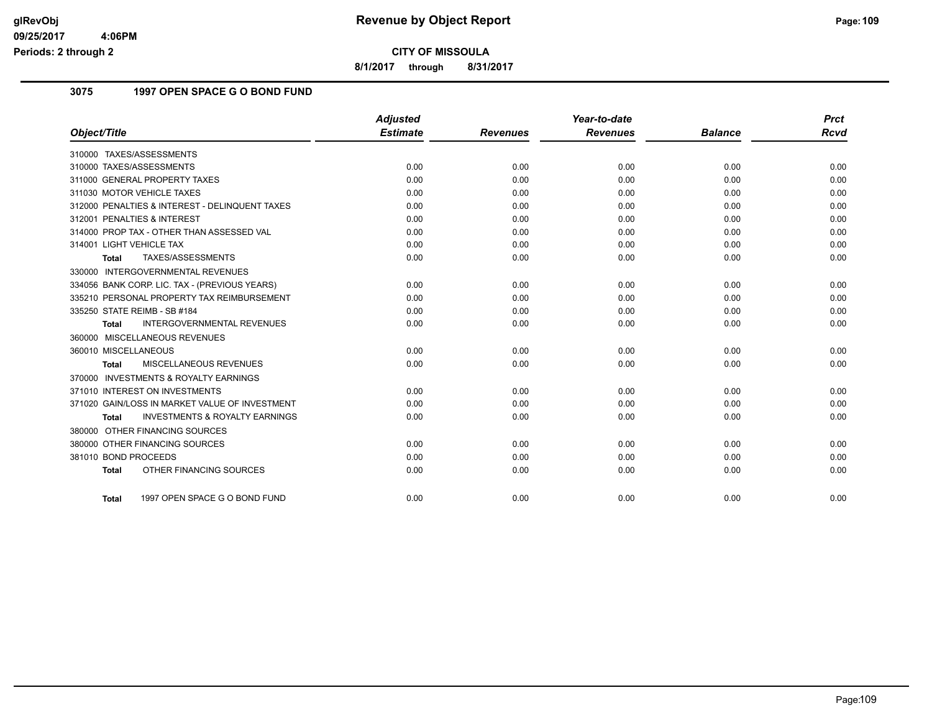**8/1/2017 through 8/31/2017**

# **3075 1997 OPEN SPACE G O BOND FUND**

|                                                           | <b>Adjusted</b> |                 | Year-to-date    |                | <b>Prct</b> |
|-----------------------------------------------------------|-----------------|-----------------|-----------------|----------------|-------------|
| Object/Title                                              | <b>Estimate</b> | <b>Revenues</b> | <b>Revenues</b> | <b>Balance</b> | Rcvd        |
| 310000 TAXES/ASSESSMENTS                                  |                 |                 |                 |                |             |
| 310000 TAXES/ASSESSMENTS                                  | 0.00            | 0.00            | 0.00            | 0.00           | 0.00        |
| 311000 GENERAL PROPERTY TAXES                             | 0.00            | 0.00            | 0.00            | 0.00           | 0.00        |
| 311030 MOTOR VEHICLE TAXES                                | 0.00            | 0.00            | 0.00            | 0.00           | 0.00        |
| 312000 PENALTIES & INTEREST - DELINQUENT TAXES            | 0.00            | 0.00            | 0.00            | 0.00           | 0.00        |
| 312001 PENALTIES & INTEREST                               | 0.00            | 0.00            | 0.00            | 0.00           | 0.00        |
| 314000 PROP TAX - OTHER THAN ASSESSED VAL                 | 0.00            | 0.00            | 0.00            | 0.00           | 0.00        |
| 314001 LIGHT VEHICLE TAX                                  | 0.00            | 0.00            | 0.00            | 0.00           | 0.00        |
| TAXES/ASSESSMENTS<br><b>Total</b>                         | 0.00            | 0.00            | 0.00            | 0.00           | 0.00        |
| 330000 INTERGOVERNMENTAL REVENUES                         |                 |                 |                 |                |             |
| 334056 BANK CORP. LIC. TAX - (PREVIOUS YEARS)             | 0.00            | 0.00            | 0.00            | 0.00           | 0.00        |
| 335210 PERSONAL PROPERTY TAX REIMBURSEMENT                | 0.00            | 0.00            | 0.00            | 0.00           | 0.00        |
| 335250 STATE REIMB - SB #184                              | 0.00            | 0.00            | 0.00            | 0.00           | 0.00        |
| <b>INTERGOVERNMENTAL REVENUES</b><br><b>Total</b>         | 0.00            | 0.00            | 0.00            | 0.00           | 0.00        |
| 360000 MISCELLANEOUS REVENUES                             |                 |                 |                 |                |             |
| 360010 MISCELLANEOUS                                      | 0.00            | 0.00            | 0.00            | 0.00           | 0.00        |
| MISCELLANEOUS REVENUES<br><b>Total</b>                    | 0.00            | 0.00            | 0.00            | 0.00           | 0.00        |
| 370000 INVESTMENTS & ROYALTY EARNINGS                     |                 |                 |                 |                |             |
| 371010 INTEREST ON INVESTMENTS                            | 0.00            | 0.00            | 0.00            | 0.00           | 0.00        |
| 371020 GAIN/LOSS IN MARKET VALUE OF INVESTMENT            | 0.00            | 0.00            | 0.00            | 0.00           | 0.00        |
| <b>INVESTMENTS &amp; ROYALTY EARNINGS</b><br><b>Total</b> | 0.00            | 0.00            | 0.00            | 0.00           | 0.00        |
| 380000 OTHER FINANCING SOURCES                            |                 |                 |                 |                |             |
| 380000 OTHER FINANCING SOURCES                            | 0.00            | 0.00            | 0.00            | 0.00           | 0.00        |
| 381010 BOND PROCEEDS                                      | 0.00            | 0.00            | 0.00            | 0.00           | 0.00        |
| OTHER FINANCING SOURCES<br><b>Total</b>                   | 0.00            | 0.00            | 0.00            | 0.00           | 0.00        |
| 1997 OPEN SPACE G O BOND FUND<br><b>Total</b>             | 0.00            | 0.00            | 0.00            | 0.00           | 0.00        |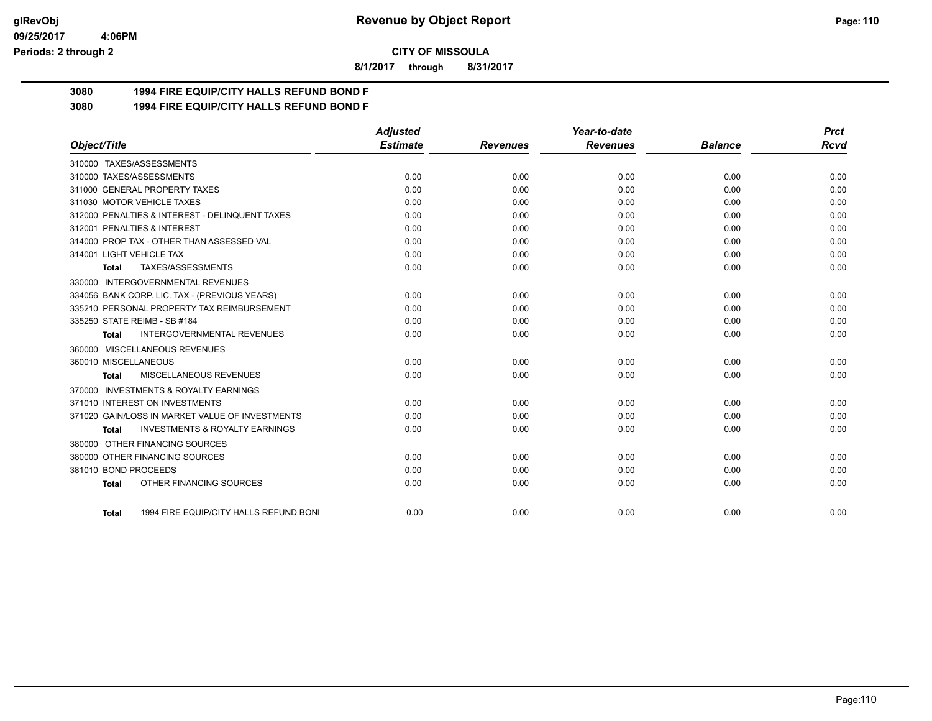**Periods: 2 through 2**

**CITY OF MISSOULA**

**8/1/2017 through 8/31/2017**

# **3080 1994 FIRE EQUIP/CITY HALLS REFUND BOND F**

**3080 1994 FIRE EQUIP/CITY HALLS REFUND BOND F**

|                              |                                                 | <b>Adjusted</b> |                 | Year-to-date    |                | <b>Prct</b> |
|------------------------------|-------------------------------------------------|-----------------|-----------------|-----------------|----------------|-------------|
| Object/Title                 |                                                 | <b>Estimate</b> | <b>Revenues</b> | <b>Revenues</b> | <b>Balance</b> | <b>Rcvd</b> |
| 310000 TAXES/ASSESSMENTS     |                                                 |                 |                 |                 |                |             |
| 310000 TAXES/ASSESSMENTS     |                                                 | 0.00            | 0.00            | 0.00            | 0.00           | 0.00        |
|                              | 311000 GENERAL PROPERTY TAXES                   | 0.00            | 0.00            | 0.00            | 0.00           | 0.00        |
| 311030 MOTOR VEHICLE TAXES   |                                                 | 0.00            | 0.00            | 0.00            | 0.00           | 0.00        |
|                              | 312000 PENALTIES & INTEREST - DELINQUENT TAXES  | 0.00            | 0.00            | 0.00            | 0.00           | 0.00        |
| 312001 PENALTIES & INTEREST  |                                                 | 0.00            | 0.00            | 0.00            | 0.00           | 0.00        |
|                              | 314000 PROP TAX - OTHER THAN ASSESSED VAL       | 0.00            | 0.00            | 0.00            | 0.00           | 0.00        |
| 314001 LIGHT VEHICLE TAX     |                                                 | 0.00            | 0.00            | 0.00            | 0.00           | 0.00        |
| Total                        | TAXES/ASSESSMENTS                               | 0.00            | 0.00            | 0.00            | 0.00           | 0.00        |
|                              | 330000 INTERGOVERNMENTAL REVENUES               |                 |                 |                 |                |             |
|                              | 334056 BANK CORP. LIC. TAX - (PREVIOUS YEARS)   | 0.00            | 0.00            | 0.00            | 0.00           | 0.00        |
|                              | 335210 PERSONAL PROPERTY TAX REIMBURSEMENT      | 0.00            | 0.00            | 0.00            | 0.00           | 0.00        |
| 335250 STATE REIMB - SB #184 |                                                 | 0.00            | 0.00            | 0.00            | 0.00           | 0.00        |
| <b>Total</b>                 | <b>INTERGOVERNMENTAL REVENUES</b>               | 0.00            | 0.00            | 0.00            | 0.00           | 0.00        |
|                              | 360000 MISCELLANEOUS REVENUES                   |                 |                 |                 |                |             |
| 360010 MISCELLANEOUS         |                                                 | 0.00            | 0.00            | 0.00            | 0.00           | 0.00        |
| Total                        | <b>MISCELLANEOUS REVENUES</b>                   | 0.00            | 0.00            | 0.00            | 0.00           | 0.00        |
| 370000                       | <b>INVESTMENTS &amp; ROYALTY EARNINGS</b>       |                 |                 |                 |                |             |
|                              | 371010 INTEREST ON INVESTMENTS                  | 0.00            | 0.00            | 0.00            | 0.00           | 0.00        |
|                              | 371020 GAIN/LOSS IN MARKET VALUE OF INVESTMENTS | 0.00            | 0.00            | 0.00            | 0.00           | 0.00        |
| Total                        | <b>INVESTMENTS &amp; ROYALTY EARNINGS</b>       | 0.00            | 0.00            | 0.00            | 0.00           | 0.00        |
|                              | 380000 OTHER FINANCING SOURCES                  |                 |                 |                 |                |             |
|                              | 380000 OTHER FINANCING SOURCES                  | 0.00            | 0.00            | 0.00            | 0.00           | 0.00        |
| 381010 BOND PROCEEDS         |                                                 | 0.00            | 0.00            | 0.00            | 0.00           | 0.00        |
| <b>Total</b>                 | OTHER FINANCING SOURCES                         | 0.00            | 0.00            | 0.00            | 0.00           | 0.00        |
|                              |                                                 |                 |                 |                 |                |             |
| <b>Total</b>                 | 1994 FIRE EQUIP/CITY HALLS REFUND BONI          | 0.00            | 0.00            | 0.00            | 0.00           | 0.00        |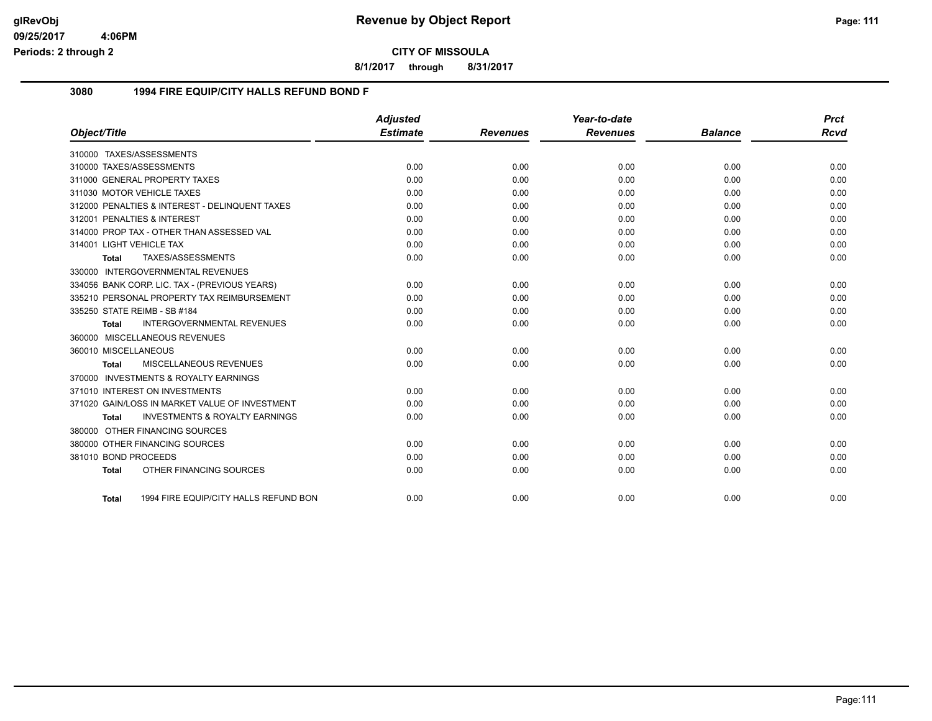**8/1/2017 through 8/31/2017**

# **3080 1994 FIRE EQUIP/CITY HALLS REFUND BOND F**

|                              |                                                | <b>Adjusted</b> |                 | Year-to-date    |                | <b>Prct</b> |
|------------------------------|------------------------------------------------|-----------------|-----------------|-----------------|----------------|-------------|
| Object/Title                 |                                                | <b>Estimate</b> | <b>Revenues</b> | <b>Revenues</b> | <b>Balance</b> | Rcvd        |
| 310000 TAXES/ASSESSMENTS     |                                                |                 |                 |                 |                |             |
| 310000 TAXES/ASSESSMENTS     |                                                | 0.00            | 0.00            | 0.00            | 0.00           | 0.00        |
|                              | 311000 GENERAL PROPERTY TAXES                  | 0.00            | 0.00            | 0.00            | 0.00           | 0.00        |
| 311030 MOTOR VEHICLE TAXES   |                                                | 0.00            | 0.00            | 0.00            | 0.00           | 0.00        |
|                              | 312000 PENALTIES & INTEREST - DELINQUENT TAXES | 0.00            | 0.00            | 0.00            | 0.00           | 0.00        |
| 312001 PENALTIES & INTEREST  |                                                | 0.00            | 0.00            | 0.00            | 0.00           | 0.00        |
|                              | 314000 PROP TAX - OTHER THAN ASSESSED VAL      | 0.00            | 0.00            | 0.00            | 0.00           | 0.00        |
| 314001 LIGHT VEHICLE TAX     |                                                | 0.00            | 0.00            | 0.00            | 0.00           | 0.00        |
| <b>Total</b>                 | TAXES/ASSESSMENTS                              | 0.00            | 0.00            | 0.00            | 0.00           | 0.00        |
|                              | 330000 INTERGOVERNMENTAL REVENUES              |                 |                 |                 |                |             |
|                              | 334056 BANK CORP. LIC. TAX - (PREVIOUS YEARS)  | 0.00            | 0.00            | 0.00            | 0.00           | 0.00        |
|                              | 335210 PERSONAL PROPERTY TAX REIMBURSEMENT     | 0.00            | 0.00            | 0.00            | 0.00           | 0.00        |
| 335250 STATE REIMB - SB #184 |                                                | 0.00            | 0.00            | 0.00            | 0.00           | 0.00        |
| <b>Total</b>                 | <b>INTERGOVERNMENTAL REVENUES</b>              | 0.00            | 0.00            | 0.00            | 0.00           | 0.00        |
|                              | 360000 MISCELLANEOUS REVENUES                  |                 |                 |                 |                |             |
| 360010 MISCELLANEOUS         |                                                | 0.00            | 0.00            | 0.00            | 0.00           | 0.00        |
| <b>Total</b>                 | <b>MISCELLANEOUS REVENUES</b>                  | 0.00            | 0.00            | 0.00            | 0.00           | 0.00        |
|                              | 370000 INVESTMENTS & ROYALTY EARNINGS          |                 |                 |                 |                |             |
|                              | 371010 INTEREST ON INVESTMENTS                 | 0.00            | 0.00            | 0.00            | 0.00           | 0.00        |
|                              | 371020 GAIN/LOSS IN MARKET VALUE OF INVESTMENT | 0.00            | 0.00            | 0.00            | 0.00           | 0.00        |
| <b>Total</b>                 | <b>INVESTMENTS &amp; ROYALTY EARNINGS</b>      | 0.00            | 0.00            | 0.00            | 0.00           | 0.00        |
|                              | 380000 OTHER FINANCING SOURCES                 |                 |                 |                 |                |             |
|                              | 380000 OTHER FINANCING SOURCES                 | 0.00            | 0.00            | 0.00            | 0.00           | 0.00        |
| 381010 BOND PROCEEDS         |                                                | 0.00            | 0.00            | 0.00            | 0.00           | 0.00        |
| <b>Total</b>                 | OTHER FINANCING SOURCES                        | 0.00            | 0.00            | 0.00            | 0.00           | 0.00        |
|                              |                                                |                 |                 |                 |                |             |
| Total                        | 1994 FIRE EQUIP/CITY HALLS REFUND BON          | 0.00            | 0.00            | 0.00            | 0.00           | 0.00        |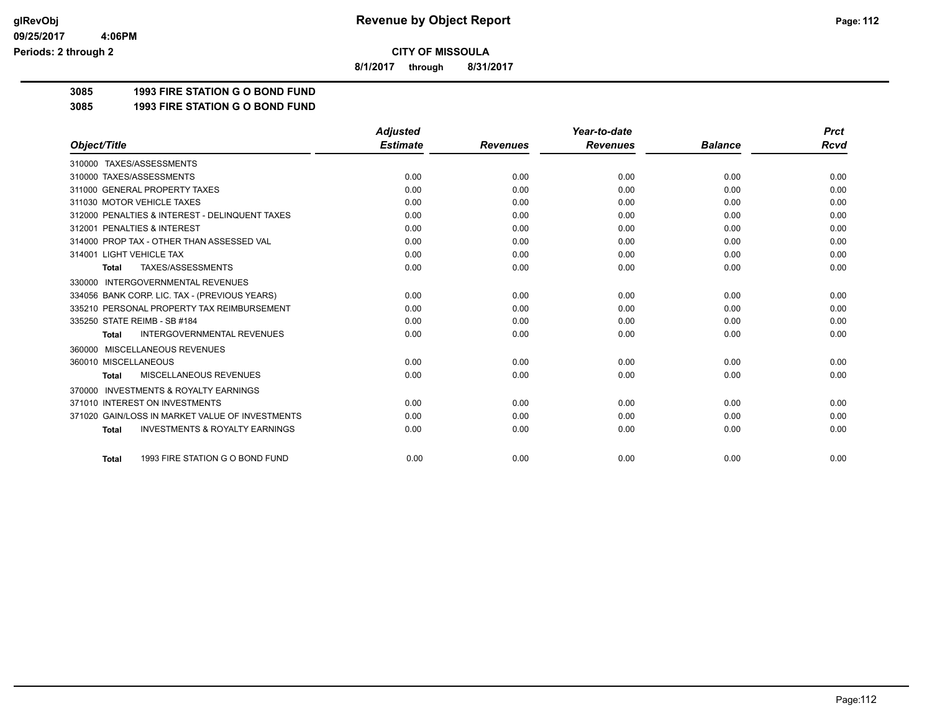**8/1/2017 through 8/31/2017**

# **3085 1993 FIRE STATION G O BOND FUND**

**3085 1993 FIRE STATION G O BOND FUND**

|                                                           | <b>Adjusted</b> |                 | Year-to-date    |                | <b>Prct</b> |
|-----------------------------------------------------------|-----------------|-----------------|-----------------|----------------|-------------|
| Object/Title                                              | <b>Estimate</b> | <b>Revenues</b> | <b>Revenues</b> | <b>Balance</b> | <b>Rcvd</b> |
| 310000 TAXES/ASSESSMENTS                                  |                 |                 |                 |                |             |
| 310000 TAXES/ASSESSMENTS                                  | 0.00            | 0.00            | 0.00            | 0.00           | 0.00        |
| 311000 GENERAL PROPERTY TAXES                             | 0.00            | 0.00            | 0.00            | 0.00           | 0.00        |
| 311030 MOTOR VEHICLE TAXES                                | 0.00            | 0.00            | 0.00            | 0.00           | 0.00        |
| 312000 PENALTIES & INTEREST - DELINQUENT TAXES            | 0.00            | 0.00            | 0.00            | 0.00           | 0.00        |
| 312001 PENALTIES & INTEREST                               | 0.00            | 0.00            | 0.00            | 0.00           | 0.00        |
| 314000 PROP TAX - OTHER THAN ASSESSED VAL                 | 0.00            | 0.00            | 0.00            | 0.00           | 0.00        |
| 314001 LIGHT VEHICLE TAX                                  | 0.00            | 0.00            | 0.00            | 0.00           | 0.00        |
| TAXES/ASSESSMENTS<br><b>Total</b>                         | 0.00            | 0.00            | 0.00            | 0.00           | 0.00        |
| <b>INTERGOVERNMENTAL REVENUES</b><br>330000               |                 |                 |                 |                |             |
| 334056 BANK CORP. LIC. TAX - (PREVIOUS YEARS)             | 0.00            | 0.00            | 0.00            | 0.00           | 0.00        |
| 335210 PERSONAL PROPERTY TAX REIMBURSEMENT                | 0.00            | 0.00            | 0.00            | 0.00           | 0.00        |
| 335250 STATE REIMB - SB #184                              | 0.00            | 0.00            | 0.00            | 0.00           | 0.00        |
| <b>INTERGOVERNMENTAL REVENUES</b><br><b>Total</b>         | 0.00            | 0.00            | 0.00            | 0.00           | 0.00        |
| MISCELLANEOUS REVENUES<br>360000                          |                 |                 |                 |                |             |
| 360010 MISCELLANEOUS                                      | 0.00            | 0.00            | 0.00            | 0.00           | 0.00        |
| MISCELLANEOUS REVENUES<br><b>Total</b>                    | 0.00            | 0.00            | 0.00            | 0.00           | 0.00        |
| <b>INVESTMENTS &amp; ROYALTY EARNINGS</b><br>370000       |                 |                 |                 |                |             |
| 371010 INTEREST ON INVESTMENTS                            | 0.00            | 0.00            | 0.00            | 0.00           | 0.00        |
| 371020 GAIN/LOSS IN MARKET VALUE OF INVESTMENTS           | 0.00            | 0.00            | 0.00            | 0.00           | 0.00        |
| <b>INVESTMENTS &amp; ROYALTY EARNINGS</b><br><b>Total</b> | 0.00            | 0.00            | 0.00            | 0.00           | 0.00        |
| 1993 FIRE STATION G O BOND FUND<br><b>Total</b>           | 0.00            | 0.00            | 0.00            | 0.00           | 0.00        |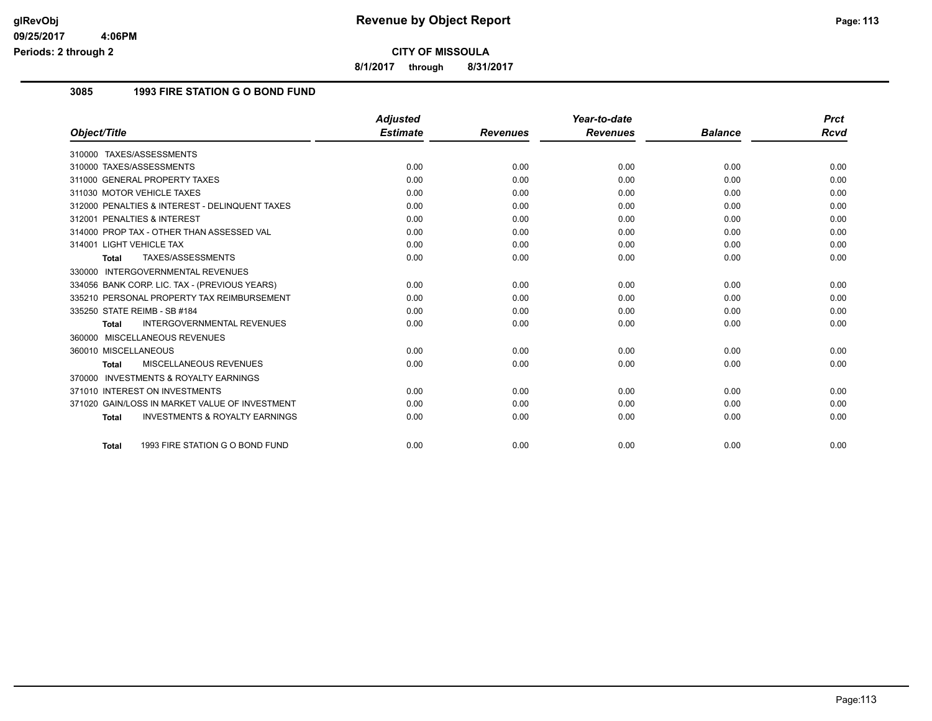**8/1/2017 through 8/31/2017**

# **3085 1993 FIRE STATION G O BOND FUND**

|                                                           | <b>Adjusted</b> |                 | Year-to-date    |                | <b>Prct</b> |
|-----------------------------------------------------------|-----------------|-----------------|-----------------|----------------|-------------|
| Object/Title                                              | <b>Estimate</b> | <b>Revenues</b> | <b>Revenues</b> | <b>Balance</b> | Rcvd        |
| 310000 TAXES/ASSESSMENTS                                  |                 |                 |                 |                |             |
| 310000 TAXES/ASSESSMENTS                                  | 0.00            | 0.00            | 0.00            | 0.00           | 0.00        |
| 311000 GENERAL PROPERTY TAXES                             | 0.00            | 0.00            | 0.00            | 0.00           | 0.00        |
| 311030 MOTOR VEHICLE TAXES                                | 0.00            | 0.00            | 0.00            | 0.00           | 0.00        |
| 312000 PENALTIES & INTEREST - DELINQUENT TAXES            | 0.00            | 0.00            | 0.00            | 0.00           | 0.00        |
| 312001 PENALTIES & INTEREST                               | 0.00            | 0.00            | 0.00            | 0.00           | 0.00        |
| 314000 PROP TAX - OTHER THAN ASSESSED VAL                 | 0.00            | 0.00            | 0.00            | 0.00           | 0.00        |
| 314001 LIGHT VEHICLE TAX                                  | 0.00            | 0.00            | 0.00            | 0.00           | 0.00        |
| <b>TAXES/ASSESSMENTS</b><br>Total                         | 0.00            | 0.00            | 0.00            | 0.00           | 0.00        |
| 330000 INTERGOVERNMENTAL REVENUES                         |                 |                 |                 |                |             |
| 334056 BANK CORP. LIC. TAX - (PREVIOUS YEARS)             | 0.00            | 0.00            | 0.00            | 0.00           | 0.00        |
| 335210 PERSONAL PROPERTY TAX REIMBURSEMENT                | 0.00            | 0.00            | 0.00            | 0.00           | 0.00        |
| 335250 STATE REIMB - SB #184                              | 0.00            | 0.00            | 0.00            | 0.00           | 0.00        |
| <b>INTERGOVERNMENTAL REVENUES</b><br><b>Total</b>         | 0.00            | 0.00            | 0.00            | 0.00           | 0.00        |
| 360000 MISCELLANEOUS REVENUES                             |                 |                 |                 |                |             |
| 360010 MISCELLANEOUS                                      | 0.00            | 0.00            | 0.00            | 0.00           | 0.00        |
| MISCELLANEOUS REVENUES<br><b>Total</b>                    | 0.00            | 0.00            | 0.00            | 0.00           | 0.00        |
| 370000 INVESTMENTS & ROYALTY EARNINGS                     |                 |                 |                 |                |             |
| 371010 INTEREST ON INVESTMENTS                            | 0.00            | 0.00            | 0.00            | 0.00           | 0.00        |
| 371020 GAIN/LOSS IN MARKET VALUE OF INVESTMENT            | 0.00            | 0.00            | 0.00            | 0.00           | 0.00        |
| <b>INVESTMENTS &amp; ROYALTY EARNINGS</b><br><b>Total</b> | 0.00            | 0.00            | 0.00            | 0.00           | 0.00        |
| 1993 FIRE STATION G O BOND FUND<br>Total                  | 0.00            | 0.00            | 0.00            | 0.00           | 0.00        |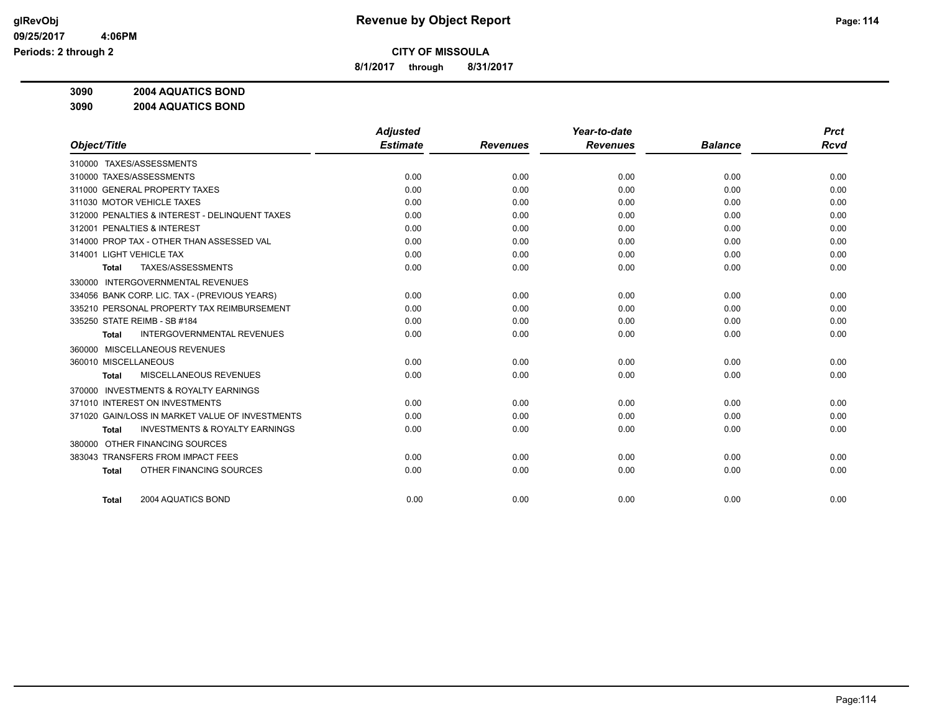**8/1/2017 through 8/31/2017**

**3090 2004 AQUATICS BOND**

**3090 2004 AQUATICS BOND**

|                                                           | <b>Adjusted</b> |                 | Year-to-date    |                | <b>Prct</b> |
|-----------------------------------------------------------|-----------------|-----------------|-----------------|----------------|-------------|
| Object/Title                                              | <b>Estimate</b> | <b>Revenues</b> | <b>Revenues</b> | <b>Balance</b> | <b>Rcvd</b> |
| 310000 TAXES/ASSESSMENTS                                  |                 |                 |                 |                |             |
| 310000 TAXES/ASSESSMENTS                                  | 0.00            | 0.00            | 0.00            | 0.00           | 0.00        |
| 311000 GENERAL PROPERTY TAXES                             | 0.00            | 0.00            | 0.00            | 0.00           | 0.00        |
| 311030 MOTOR VEHICLE TAXES                                | 0.00            | 0.00            | 0.00            | 0.00           | 0.00        |
| 312000 PENALTIES & INTEREST - DELINQUENT TAXES            | 0.00            | 0.00            | 0.00            | 0.00           | 0.00        |
| 312001 PENALTIES & INTEREST                               | 0.00            | 0.00            | 0.00            | 0.00           | 0.00        |
| 314000 PROP TAX - OTHER THAN ASSESSED VAL                 | 0.00            | 0.00            | 0.00            | 0.00           | 0.00        |
| 314001 LIGHT VEHICLE TAX                                  | 0.00            | 0.00            | 0.00            | 0.00           | 0.00        |
| TAXES/ASSESSMENTS<br><b>Total</b>                         | 0.00            | 0.00            | 0.00            | 0.00           | 0.00        |
| 330000 INTERGOVERNMENTAL REVENUES                         |                 |                 |                 |                |             |
| 334056 BANK CORP. LIC. TAX - (PREVIOUS YEARS)             | 0.00            | 0.00            | 0.00            | 0.00           | 0.00        |
| 335210 PERSONAL PROPERTY TAX REIMBURSEMENT                | 0.00            | 0.00            | 0.00            | 0.00           | 0.00        |
| 335250 STATE REIMB - SB #184                              | 0.00            | 0.00            | 0.00            | 0.00           | 0.00        |
| <b>INTERGOVERNMENTAL REVENUES</b><br><b>Total</b>         | 0.00            | 0.00            | 0.00            | 0.00           | 0.00        |
| MISCELLANEOUS REVENUES<br>360000                          |                 |                 |                 |                |             |
| 360010 MISCELLANEOUS                                      | 0.00            | 0.00            | 0.00            | 0.00           | 0.00        |
| <b>MISCELLANEOUS REVENUES</b><br><b>Total</b>             | 0.00            | 0.00            | 0.00            | 0.00           | 0.00        |
| <b>INVESTMENTS &amp; ROYALTY EARNINGS</b><br>370000       |                 |                 |                 |                |             |
| 371010 INTEREST ON INVESTMENTS                            | 0.00            | 0.00            | 0.00            | 0.00           | 0.00        |
| 371020 GAIN/LOSS IN MARKET VALUE OF INVESTMENTS           | 0.00            | 0.00            | 0.00            | 0.00           | 0.00        |
| <b>INVESTMENTS &amp; ROYALTY EARNINGS</b><br><b>Total</b> | 0.00            | 0.00            | 0.00            | 0.00           | 0.00        |
| OTHER FINANCING SOURCES<br>380000                         |                 |                 |                 |                |             |
| 383043 TRANSFERS FROM IMPACT FEES                         | 0.00            | 0.00            | 0.00            | 0.00           | 0.00        |
| OTHER FINANCING SOURCES<br><b>Total</b>                   | 0.00            | 0.00            | 0.00            | 0.00           | 0.00        |
| 2004 AQUATICS BOND                                        |                 |                 |                 |                |             |
| <b>Total</b>                                              | 0.00            | 0.00            | 0.00            | 0.00           | 0.00        |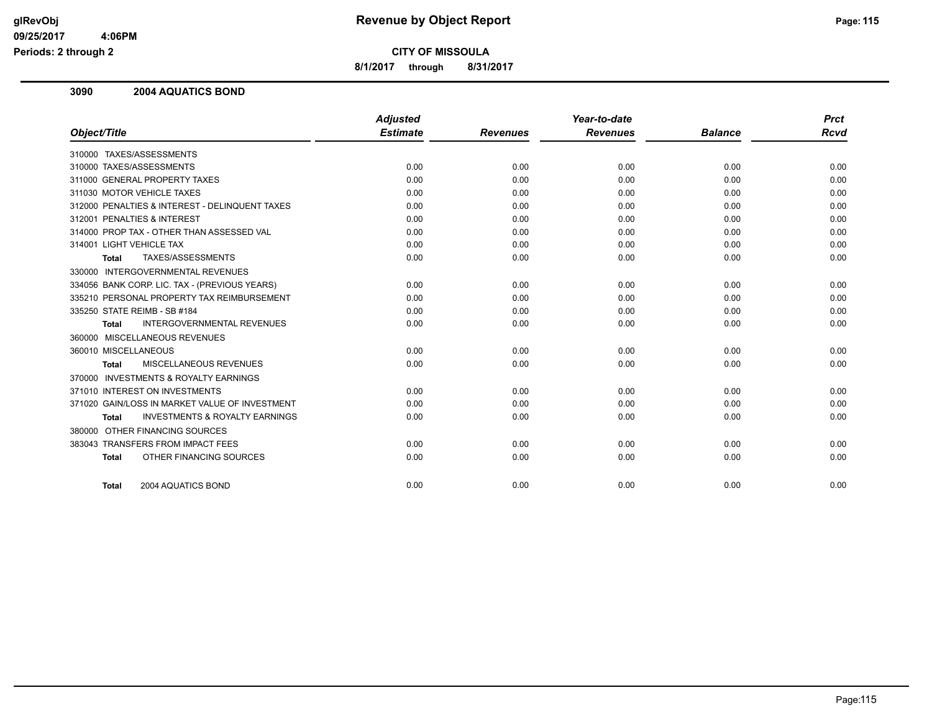**8/1/2017 through 8/31/2017**

# **3090 2004 AQUATICS BOND**

|                                                           | <b>Adjusted</b> |                 | Year-to-date    |                | <b>Prct</b> |
|-----------------------------------------------------------|-----------------|-----------------|-----------------|----------------|-------------|
| Object/Title                                              | <b>Estimate</b> | <b>Revenues</b> | <b>Revenues</b> | <b>Balance</b> | <b>Rcvd</b> |
| 310000 TAXES/ASSESSMENTS                                  |                 |                 |                 |                |             |
| 310000 TAXES/ASSESSMENTS                                  | 0.00            | 0.00            | 0.00            | 0.00           | 0.00        |
| 311000 GENERAL PROPERTY TAXES                             | 0.00            | 0.00            | 0.00            | 0.00           | 0.00        |
| 311030 MOTOR VEHICLE TAXES                                | 0.00            | 0.00            | 0.00            | 0.00           | 0.00        |
| 312000 PENALTIES & INTEREST - DELINQUENT TAXES            | 0.00            | 0.00            | 0.00            | 0.00           | 0.00        |
| 312001 PENALTIES & INTEREST                               | 0.00            | 0.00            | 0.00            | 0.00           | 0.00        |
| 314000 PROP TAX - OTHER THAN ASSESSED VAL                 | 0.00            | 0.00            | 0.00            | 0.00           | 0.00        |
| 314001 LIGHT VEHICLE TAX                                  | 0.00            | 0.00            | 0.00            | 0.00           | 0.00        |
| TAXES/ASSESSMENTS<br><b>Total</b>                         | 0.00            | 0.00            | 0.00            | 0.00           | 0.00        |
| 330000 INTERGOVERNMENTAL REVENUES                         |                 |                 |                 |                |             |
| 334056 BANK CORP. LIC. TAX - (PREVIOUS YEARS)             | 0.00            | 0.00            | 0.00            | 0.00           | 0.00        |
| 335210 PERSONAL PROPERTY TAX REIMBURSEMENT                | 0.00            | 0.00            | 0.00            | 0.00           | 0.00        |
| 335250 STATE REIMB - SB #184                              | 0.00            | 0.00            | 0.00            | 0.00           | 0.00        |
| <b>INTERGOVERNMENTAL REVENUES</b><br><b>Total</b>         | 0.00            | 0.00            | 0.00            | 0.00           | 0.00        |
| 360000 MISCELLANEOUS REVENUES                             |                 |                 |                 |                |             |
| 360010 MISCELLANEOUS                                      | 0.00            | 0.00            | 0.00            | 0.00           | 0.00        |
| <b>MISCELLANEOUS REVENUES</b><br>Total                    | 0.00            | 0.00            | 0.00            | 0.00           | 0.00        |
| 370000 INVESTMENTS & ROYALTY EARNINGS                     |                 |                 |                 |                |             |
| 371010 INTEREST ON INVESTMENTS                            | 0.00            | 0.00            | 0.00            | 0.00           | 0.00        |
| 371020 GAIN/LOSS IN MARKET VALUE OF INVESTMENT            | 0.00            | 0.00            | 0.00            | 0.00           | 0.00        |
| <b>INVESTMENTS &amp; ROYALTY EARNINGS</b><br><b>Total</b> | 0.00            | 0.00            | 0.00            | 0.00           | 0.00        |
| 380000 OTHER FINANCING SOURCES                            |                 |                 |                 |                |             |
| 383043 TRANSFERS FROM IMPACT FEES                         | 0.00            | 0.00            | 0.00            | 0.00           | 0.00        |
| OTHER FINANCING SOURCES<br><b>Total</b>                   | 0.00            | 0.00            | 0.00            | 0.00           | 0.00        |
|                                                           |                 |                 |                 |                |             |
| 2004 AQUATICS BOND<br><b>Total</b>                        | 0.00            | 0.00            | 0.00            | 0.00           | 0.00        |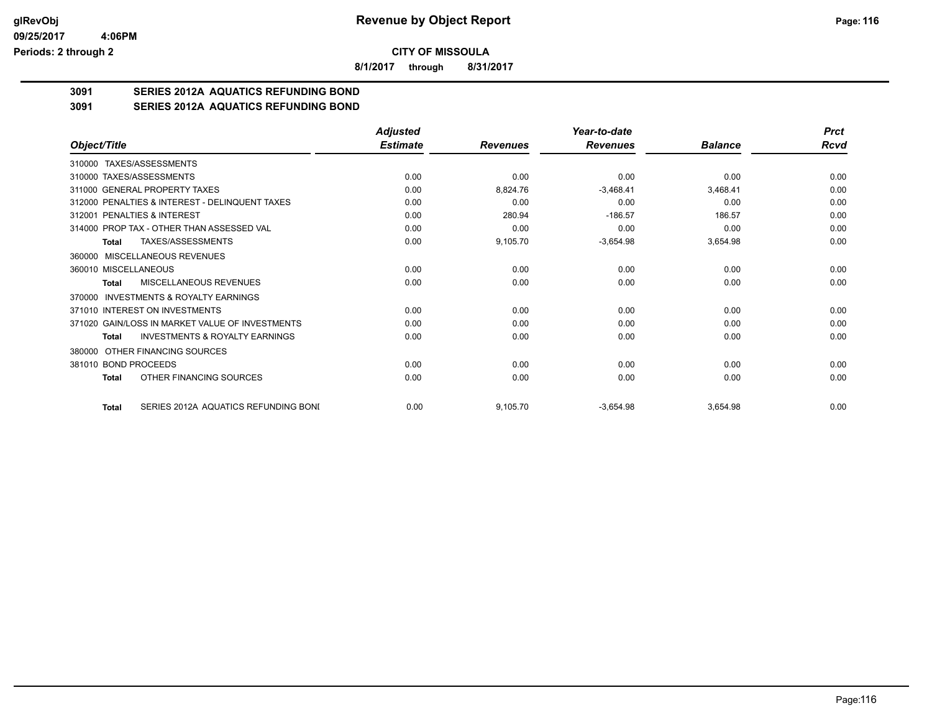**8/1/2017 through 8/31/2017**

# **3091 SERIES 2012A AQUATICS REFUNDING BOND**

# **3091 SERIES 2012A AQUATICS REFUNDING BOND**

|                                                      | <b>Adjusted</b> |                 | Year-to-date    |                | <b>Prct</b> |
|------------------------------------------------------|-----------------|-----------------|-----------------|----------------|-------------|
| Object/Title                                         | <b>Estimate</b> | <b>Revenues</b> | <b>Revenues</b> | <b>Balance</b> | <b>Rcvd</b> |
| 310000 TAXES/ASSESSMENTS                             |                 |                 |                 |                |             |
| 310000 TAXES/ASSESSMENTS                             | 0.00            | 0.00            | 0.00            | 0.00           | 0.00        |
| 311000 GENERAL PROPERTY TAXES                        | 0.00            | 8,824.76        | $-3,468.41$     | 3,468.41       | 0.00        |
| 312000 PENALTIES & INTEREST - DELINQUENT TAXES       | 0.00            | 0.00            | 0.00            | 0.00           | 0.00        |
| 312001 PENALTIES & INTEREST                          | 0.00            | 280.94          | $-186.57$       | 186.57         | 0.00        |
| 314000 PROP TAX - OTHER THAN ASSESSED VAL            | 0.00            | 0.00            | 0.00            | 0.00           | 0.00        |
| TAXES/ASSESSMENTS<br>Total                           | 0.00            | 9,105.70        | $-3,654.98$     | 3,654.98       | 0.00        |
| 360000 MISCELLANEOUS REVENUES                        |                 |                 |                 |                |             |
| 360010 MISCELLANEOUS                                 | 0.00            | 0.00            | 0.00            | 0.00           | 0.00        |
| <b>MISCELLANEOUS REVENUES</b><br>Total               | 0.00            | 0.00            | 0.00            | 0.00           | 0.00        |
| <b>INVESTMENTS &amp; ROYALTY EARNINGS</b><br>370000  |                 |                 |                 |                |             |
| 371010 INTEREST ON INVESTMENTS                       | 0.00            | 0.00            | 0.00            | 0.00           | 0.00        |
| 371020 GAIN/LOSS IN MARKET VALUE OF INVESTMENTS      | 0.00            | 0.00            | 0.00            | 0.00           | 0.00        |
| <b>INVESTMENTS &amp; ROYALTY EARNINGS</b><br>Total   | 0.00            | 0.00            | 0.00            | 0.00           | 0.00        |
| OTHER FINANCING SOURCES<br>380000                    |                 |                 |                 |                |             |
| 381010 BOND PROCEEDS                                 | 0.00            | 0.00            | 0.00            | 0.00           | 0.00        |
| OTHER FINANCING SOURCES<br>Total                     | 0.00            | 0.00            | 0.00            | 0.00           | 0.00        |
| SERIES 2012A AQUATICS REFUNDING BONI<br><b>Total</b> | 0.00            | 9,105.70        | $-3,654.98$     | 3,654.98       | 0.00        |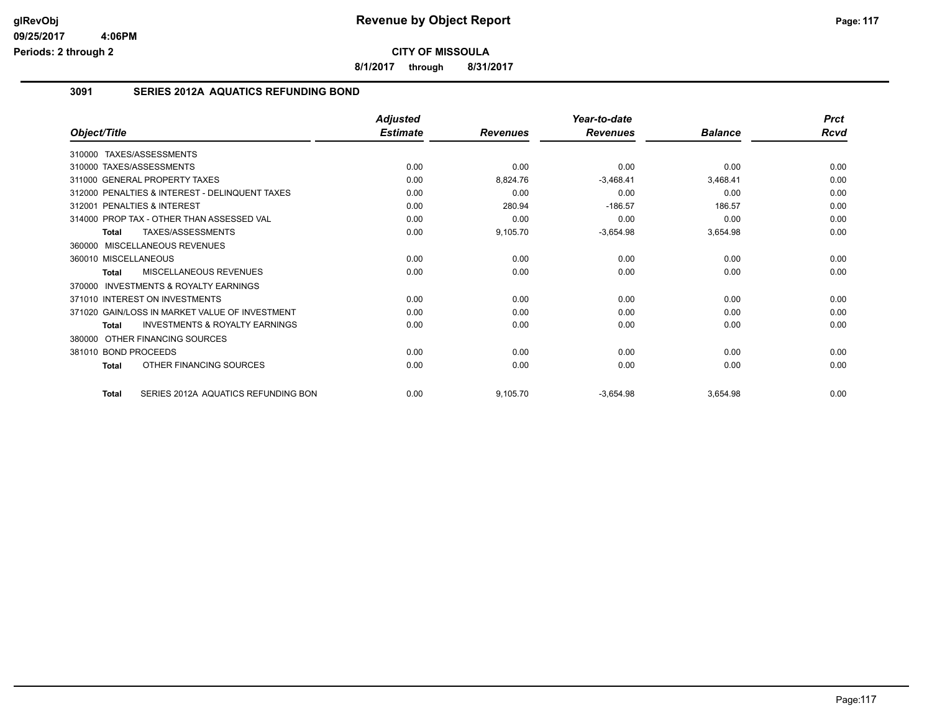**8/1/2017 through 8/31/2017**

# **3091 SERIES 2012A AQUATICS REFUNDING BOND**

|                                                           | <b>Adjusted</b> |                 | Year-to-date    |                | <b>Prct</b> |
|-----------------------------------------------------------|-----------------|-----------------|-----------------|----------------|-------------|
| Object/Title                                              | <b>Estimate</b> | <b>Revenues</b> | <b>Revenues</b> | <b>Balance</b> | <b>Rcvd</b> |
| 310000 TAXES/ASSESSMENTS                                  |                 |                 |                 |                |             |
| 310000 TAXES/ASSESSMENTS                                  | 0.00            | 0.00            | 0.00            | 0.00           | 0.00        |
| 311000 GENERAL PROPERTY TAXES                             | 0.00            | 8,824.76        | $-3,468.41$     | 3,468.41       | 0.00        |
| 312000 PENALTIES & INTEREST - DELINQUENT TAXES            | 0.00            | 0.00            | 0.00            | 0.00           | 0.00        |
| 312001 PENALTIES & INTEREST                               | 0.00            | 280.94          | $-186.57$       | 186.57         | 0.00        |
| 314000 PROP TAX - OTHER THAN ASSESSED VAL                 | 0.00            | 0.00            | 0.00            | 0.00           | 0.00        |
| TAXES/ASSESSMENTS<br><b>Total</b>                         | 0.00            | 9,105.70        | $-3,654.98$     | 3,654.98       | 0.00        |
| 360000 MISCELLANEOUS REVENUES                             |                 |                 |                 |                |             |
| 360010 MISCELLANEOUS                                      | 0.00            | 0.00            | 0.00            | 0.00           | 0.00        |
| <b>MISCELLANEOUS REVENUES</b><br><b>Total</b>             | 0.00            | 0.00            | 0.00            | 0.00           | 0.00        |
| INVESTMENTS & ROYALTY EARNINGS<br>370000                  |                 |                 |                 |                |             |
| 371010 INTEREST ON INVESTMENTS                            | 0.00            | 0.00            | 0.00            | 0.00           | 0.00        |
| 371020 GAIN/LOSS IN MARKET VALUE OF INVESTMENT            | 0.00            | 0.00            | 0.00            | 0.00           | 0.00        |
| <b>INVESTMENTS &amp; ROYALTY EARNINGS</b><br><b>Total</b> | 0.00            | 0.00            | 0.00            | 0.00           | 0.00        |
| OTHER FINANCING SOURCES<br>380000                         |                 |                 |                 |                |             |
| 381010 BOND PROCEEDS                                      | 0.00            | 0.00            | 0.00            | 0.00           | 0.00        |
| OTHER FINANCING SOURCES<br><b>Total</b>                   | 0.00            | 0.00            | 0.00            | 0.00           | 0.00        |
| SERIES 2012A AQUATICS REFUNDING BON<br><b>Total</b>       | 0.00            | 9,105.70        | $-3,654.98$     | 3,654.98       | 0.00        |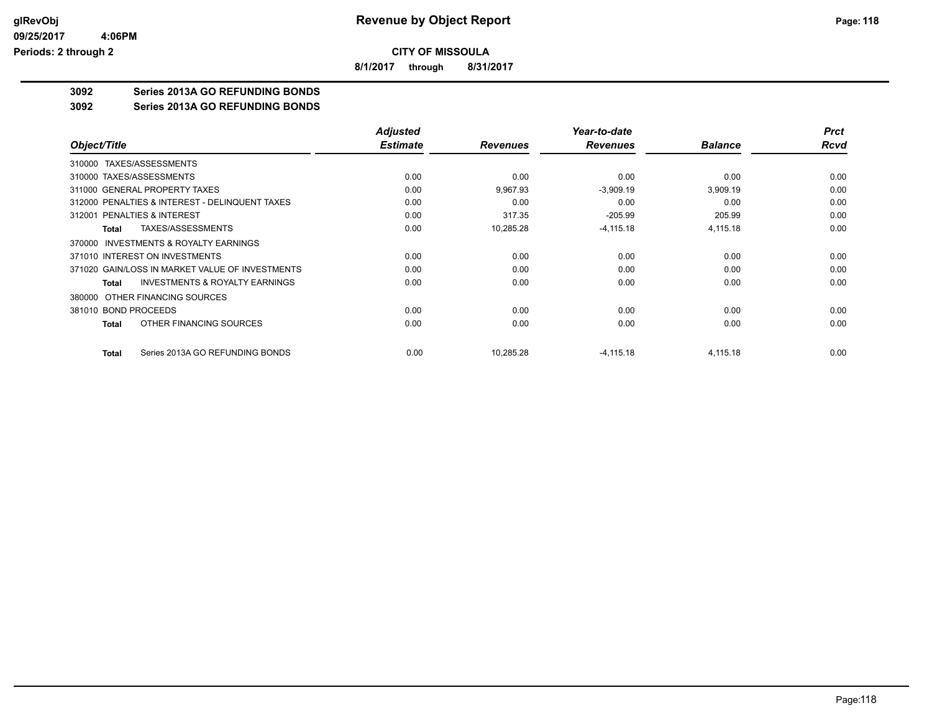**8/1/2017 through 8/31/2017**

# **3092 Series 2013A GO REFUNDING BONDS**

# **3092 Series 2013A GO REFUNDING BONDS**

|                                                     | Adjusted        |                 | Year-to-date    |                | <b>Prct</b> |
|-----------------------------------------------------|-----------------|-----------------|-----------------|----------------|-------------|
| Object/Title                                        | <b>Estimate</b> | <b>Revenues</b> | <b>Revenues</b> | <b>Balance</b> | <b>Rcvd</b> |
| 310000 TAXES/ASSESSMENTS                            |                 |                 |                 |                |             |
| 310000 TAXES/ASSESSMENTS                            | 0.00            | 0.00            | 0.00            | 0.00           | 0.00        |
| 311000 GENERAL PROPERTY TAXES                       | 0.00            | 9,967.93        | $-3,909.19$     | 3,909.19       | 0.00        |
| 312000 PENALTIES & INTEREST - DELINQUENT TAXES      | 0.00            | 0.00            | 0.00            | 0.00           | 0.00        |
| 312001 PENALTIES & INTEREST                         | 0.00            | 317.35          | $-205.99$       | 205.99         | 0.00        |
| <b>TAXES/ASSESSMENTS</b><br>Total                   | 0.00            | 10,285.28       | $-4, 115.18$    | 4,115.18       | 0.00        |
| <b>INVESTMENTS &amp; ROYALTY EARNINGS</b><br>370000 |                 |                 |                 |                |             |
| 371010 INTEREST ON INVESTMENTS                      | 0.00            | 0.00            | 0.00            | 0.00           | 0.00        |
| 371020 GAIN/LOSS IN MARKET VALUE OF INVESTMENTS     | 0.00            | 0.00            | 0.00            | 0.00           | 0.00        |
| <b>INVESTMENTS &amp; ROYALTY EARNINGS</b><br>Total  | 0.00            | 0.00            | 0.00            | 0.00           | 0.00        |
| OTHER FINANCING SOURCES<br>380000                   |                 |                 |                 |                |             |
| 381010 BOND PROCEEDS                                | 0.00            | 0.00            | 0.00            | 0.00           | 0.00        |
| OTHER FINANCING SOURCES<br>Total                    | 0.00            | 0.00            | 0.00            | 0.00           | 0.00        |
| Series 2013A GO REFUNDING BONDS<br>Total            | 0.00            | 10,285.28       | $-4, 115.18$    | 4,115.18       | 0.00        |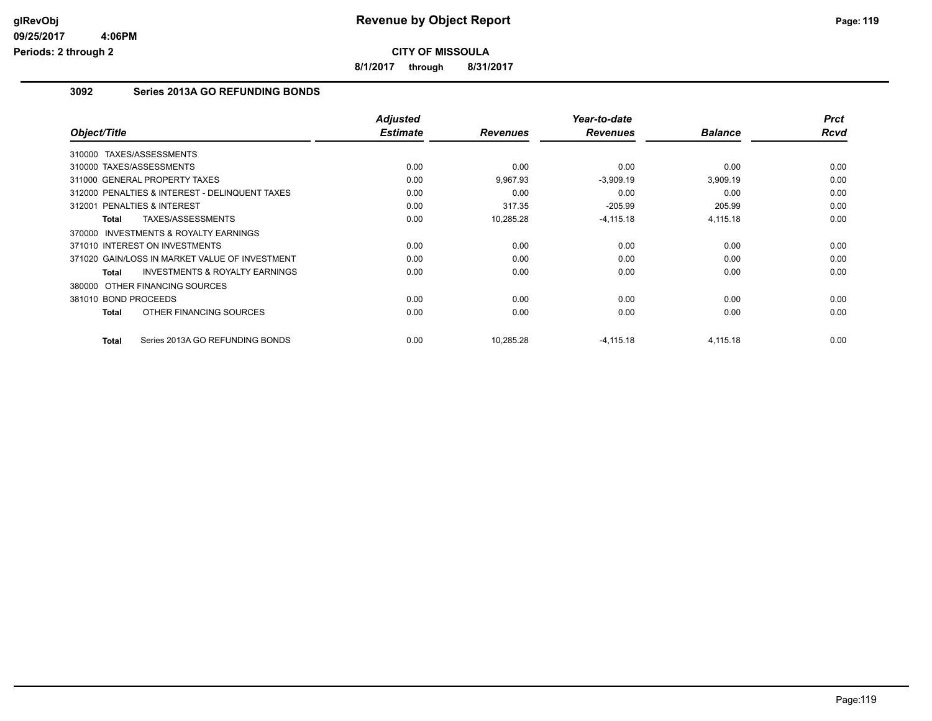**8/1/2017 through 8/31/2017**

# **3092 Series 2013A GO REFUNDING BONDS**

| Object/Title                                        | <b>Adjusted</b><br><b>Estimate</b> | <b>Revenues</b> | Year-to-date<br><b>Revenues</b> | <b>Balance</b> | <b>Prct</b><br><b>Rcvd</b> |
|-----------------------------------------------------|------------------------------------|-----------------|---------------------------------|----------------|----------------------------|
| 310000 TAXES/ASSESSMENTS                            |                                    |                 |                                 |                |                            |
| 310000 TAXES/ASSESSMENTS                            | 0.00                               | 0.00            | 0.00                            | 0.00           | 0.00                       |
| 311000 GENERAL PROPERTY TAXES                       | 0.00                               | 9,967.93        | $-3,909.19$                     | 3,909.19       | 0.00                       |
| 312000 PENALTIES & INTEREST - DELINQUENT TAXES      | 0.00                               | 0.00            | 0.00                            | 0.00           | 0.00                       |
| <b>PENALTIES &amp; INTEREST</b><br>312001           | 0.00                               | 317.35          | $-205.99$                       | 205.99         | 0.00                       |
| TAXES/ASSESSMENTS<br>Total                          | 0.00                               | 10,285.28       | $-4, 115.18$                    | 4,115.18       | 0.00                       |
| <b>INVESTMENTS &amp; ROYALTY EARNINGS</b><br>370000 |                                    |                 |                                 |                |                            |
| 371010 INTEREST ON INVESTMENTS                      | 0.00                               | 0.00            | 0.00                            | 0.00           | 0.00                       |
| 371020 GAIN/LOSS IN MARKET VALUE OF INVESTMENT      | 0.00                               | 0.00            | 0.00                            | 0.00           | 0.00                       |
| <b>INVESTMENTS &amp; ROYALTY EARNINGS</b><br>Total  | 0.00                               | 0.00            | 0.00                            | 0.00           | 0.00                       |
| 380000 OTHER FINANCING SOURCES                      |                                    |                 |                                 |                |                            |
| 381010 BOND PROCEEDS                                | 0.00                               | 0.00            | 0.00                            | 0.00           | 0.00                       |
| OTHER FINANCING SOURCES<br>Total                    | 0.00                               | 0.00            | 0.00                            | 0.00           | 0.00                       |
| Series 2013A GO REFUNDING BONDS<br>Total            | 0.00                               | 10.285.28       | $-4,115.18$                     | 4,115.18       | 0.00                       |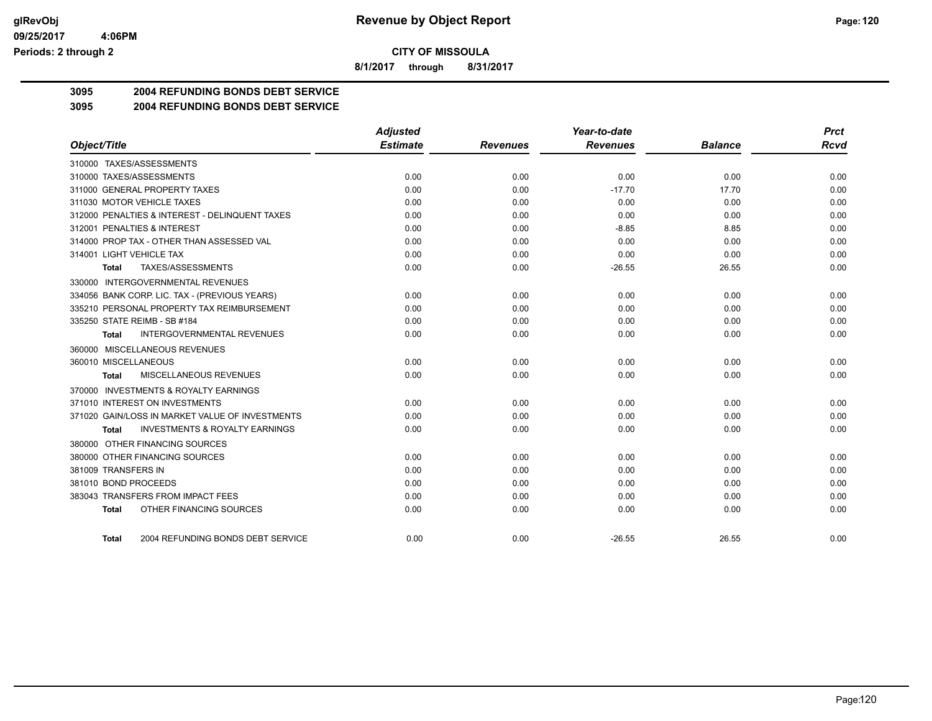**8/1/2017 through 8/31/2017**

# **3095 2004 REFUNDING BONDS DEBT SERVICE**

# **3095 2004 REFUNDING BONDS DEBT SERVICE**

|                                                    | <b>Adjusted</b> |                 | Year-to-date    |                | <b>Prct</b> |
|----------------------------------------------------|-----------------|-----------------|-----------------|----------------|-------------|
| Object/Title                                       | <b>Estimate</b> | <b>Revenues</b> | <b>Revenues</b> | <b>Balance</b> | Rcvd        |
| 310000 TAXES/ASSESSMENTS                           |                 |                 |                 |                |             |
| 310000 TAXES/ASSESSMENTS                           | 0.00            | 0.00            | 0.00            | 0.00           | 0.00        |
| 311000 GENERAL PROPERTY TAXES                      | 0.00            | 0.00            | $-17.70$        | 17.70          | 0.00        |
| 311030 MOTOR VEHICLE TAXES                         | 0.00            | 0.00            | 0.00            | 0.00           | 0.00        |
| 312000 PENALTIES & INTEREST - DELINQUENT TAXES     | 0.00            | 0.00            | 0.00            | 0.00           | 0.00        |
| 312001 PENALTIES & INTEREST                        | 0.00            | 0.00            | $-8.85$         | 8.85           | 0.00        |
| 314000 PROP TAX - OTHER THAN ASSESSED VAL          | 0.00            | 0.00            | 0.00            | 0.00           | 0.00        |
| 314001 LIGHT VEHICLE TAX                           | 0.00            | 0.00            | 0.00            | 0.00           | 0.00        |
| TAXES/ASSESSMENTS<br>Total                         | 0.00            | 0.00            | $-26.55$        | 26.55          | 0.00        |
| 330000 INTERGOVERNMENTAL REVENUES                  |                 |                 |                 |                |             |
| 334056 BANK CORP. LIC. TAX - (PREVIOUS YEARS)      | 0.00            | 0.00            | 0.00            | 0.00           | 0.00        |
| 335210 PERSONAL PROPERTY TAX REIMBURSEMENT         | 0.00            | 0.00            | 0.00            | 0.00           | 0.00        |
| 335250 STATE REIMB - SB #184                       | 0.00            | 0.00            | 0.00            | 0.00           | 0.00        |
| <b>INTERGOVERNMENTAL REVENUES</b><br>Total         | 0.00            | 0.00            | 0.00            | 0.00           | 0.00        |
| 360000 MISCELLANEOUS REVENUES                      |                 |                 |                 |                |             |
| 360010 MISCELLANEOUS                               | 0.00            | 0.00            | 0.00            | 0.00           | 0.00        |
| MISCELLANEOUS REVENUES<br>Total                    | 0.00            | 0.00            | 0.00            | 0.00           | 0.00        |
| 370000 INVESTMENTS & ROYALTY EARNINGS              |                 |                 |                 |                |             |
| 371010 INTEREST ON INVESTMENTS                     | 0.00            | 0.00            | 0.00            | 0.00           | 0.00        |
| 371020 GAIN/LOSS IN MARKET VALUE OF INVESTMENTS    | 0.00            | 0.00            | 0.00            | 0.00           | 0.00        |
| <b>INVESTMENTS &amp; ROYALTY EARNINGS</b><br>Total | 0.00            | 0.00            | 0.00            | 0.00           | 0.00        |
| 380000 OTHER FINANCING SOURCES                     |                 |                 |                 |                |             |
| 380000 OTHER FINANCING SOURCES                     | 0.00            | 0.00            | 0.00            | 0.00           | 0.00        |
| 381009 TRANSFERS IN                                | 0.00            | 0.00            | 0.00            | 0.00           | 0.00        |
| 381010 BOND PROCEEDS                               | 0.00            | 0.00            | 0.00            | 0.00           | 0.00        |
| 383043 TRANSFERS FROM IMPACT FEES                  | 0.00            | 0.00            | 0.00            | 0.00           | 0.00        |
| OTHER FINANCING SOURCES<br><b>Total</b>            | 0.00            | 0.00            | 0.00            | 0.00           | 0.00        |
| 2004 REFUNDING BONDS DEBT SERVICE<br>Total         | 0.00            | 0.00            | $-26.55$        | 26.55          | 0.00        |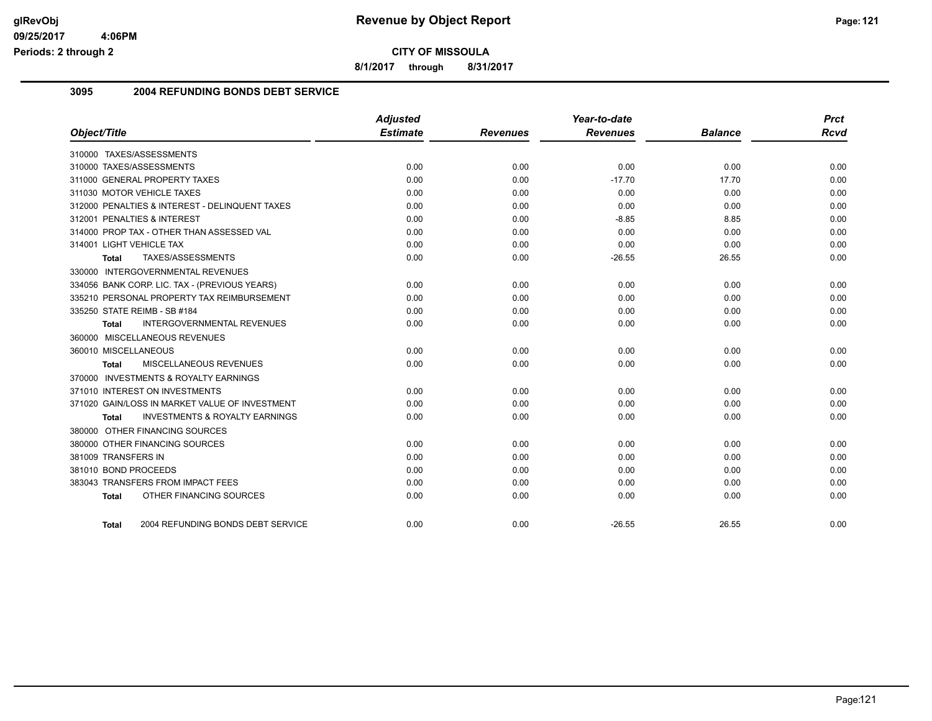**8/1/2017 through 8/31/2017**

# **3095 2004 REFUNDING BONDS DEBT SERVICE**

|                                                           | <b>Adjusted</b> |                 | Year-to-date    |                | <b>Prct</b> |
|-----------------------------------------------------------|-----------------|-----------------|-----------------|----------------|-------------|
| Object/Title                                              | <b>Estimate</b> | <b>Revenues</b> | <b>Revenues</b> | <b>Balance</b> | <b>Rcvd</b> |
| 310000 TAXES/ASSESSMENTS                                  |                 |                 |                 |                |             |
| 310000 TAXES/ASSESSMENTS                                  | 0.00            | 0.00            | 0.00            | 0.00           | 0.00        |
| 311000 GENERAL PROPERTY TAXES                             | 0.00            | 0.00            | $-17.70$        | 17.70          | 0.00        |
| 311030 MOTOR VEHICLE TAXES                                | 0.00            | 0.00            | 0.00            | 0.00           | 0.00        |
| 312000 PENALTIES & INTEREST - DELINQUENT TAXES            | 0.00            | 0.00            | 0.00            | 0.00           | 0.00        |
| 312001 PENALTIES & INTEREST                               | 0.00            | 0.00            | $-8.85$         | 8.85           | 0.00        |
| 314000 PROP TAX - OTHER THAN ASSESSED VAL                 | 0.00            | 0.00            | 0.00            | 0.00           | 0.00        |
| 314001 LIGHT VEHICLE TAX                                  | 0.00            | 0.00            | 0.00            | 0.00           | 0.00        |
| TAXES/ASSESSMENTS<br>Total                                | 0.00            | 0.00            | $-26.55$        | 26.55          | 0.00        |
| 330000 INTERGOVERNMENTAL REVENUES                         |                 |                 |                 |                |             |
| 334056 BANK CORP. LIC. TAX - (PREVIOUS YEARS)             | 0.00            | 0.00            | 0.00            | 0.00           | 0.00        |
| 335210 PERSONAL PROPERTY TAX REIMBURSEMENT                | 0.00            | 0.00            | 0.00            | 0.00           | 0.00        |
| 335250 STATE REIMB - SB #184                              | 0.00            | 0.00            | 0.00            | 0.00           | 0.00        |
| <b>INTERGOVERNMENTAL REVENUES</b><br><b>Total</b>         | 0.00            | 0.00            | 0.00            | 0.00           | 0.00        |
| 360000 MISCELLANEOUS REVENUES                             |                 |                 |                 |                |             |
| 360010 MISCELLANEOUS                                      | 0.00            | 0.00            | 0.00            | 0.00           | 0.00        |
| MISCELLANEOUS REVENUES<br>Total                           | 0.00            | 0.00            | 0.00            | 0.00           | 0.00        |
| 370000 INVESTMENTS & ROYALTY EARNINGS                     |                 |                 |                 |                |             |
| 371010 INTEREST ON INVESTMENTS                            | 0.00            | 0.00            | 0.00            | 0.00           | 0.00        |
| 371020 GAIN/LOSS IN MARKET VALUE OF INVESTMENT            | 0.00            | 0.00            | 0.00            | 0.00           | 0.00        |
| <b>INVESTMENTS &amp; ROYALTY EARNINGS</b><br><b>Total</b> | 0.00            | 0.00            | 0.00            | 0.00           | 0.00        |
| 380000 OTHER FINANCING SOURCES                            |                 |                 |                 |                |             |
| 380000 OTHER FINANCING SOURCES                            | 0.00            | 0.00            | 0.00            | 0.00           | 0.00        |
| 381009 TRANSFERS IN                                       | 0.00            | 0.00            | 0.00            | 0.00           | 0.00        |
| 381010 BOND PROCEEDS                                      | 0.00            | 0.00            | 0.00            | 0.00           | 0.00        |
| 383043 TRANSFERS FROM IMPACT FEES                         | 0.00            | 0.00            | 0.00            | 0.00           | 0.00        |
| OTHER FINANCING SOURCES<br><b>Total</b>                   | 0.00            | 0.00            | 0.00            | 0.00           | 0.00        |
| 2004 REFUNDING BONDS DEBT SERVICE<br>Total                | 0.00            | 0.00            | $-26.55$        | 26.55          | 0.00        |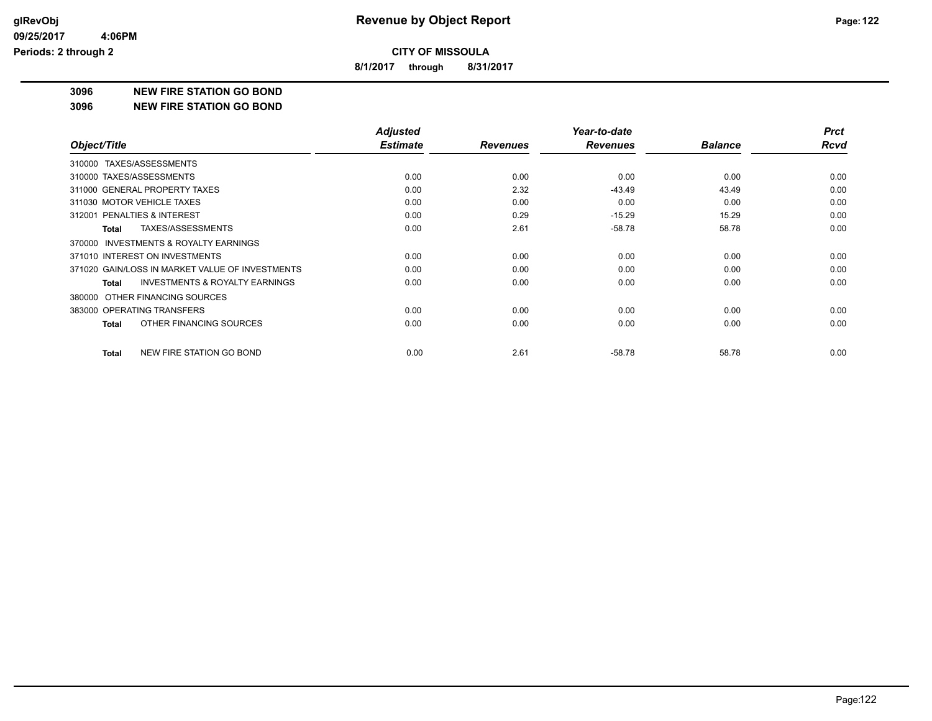**8/1/2017 through 8/31/2017**

**3096 NEW FIRE STATION GO BOND**

**3096 NEW FIRE STATION GO BOND**

|                                                    | <b>Adjusted</b> |                 | Year-to-date    |                | <b>Prct</b> |
|----------------------------------------------------|-----------------|-----------------|-----------------|----------------|-------------|
| Object/Title                                       | <b>Estimate</b> | <b>Revenues</b> | <b>Revenues</b> | <b>Balance</b> | <b>Rcvd</b> |
| 310000 TAXES/ASSESSMENTS                           |                 |                 |                 |                |             |
| 310000 TAXES/ASSESSMENTS                           | 0.00            | 0.00            | 0.00            | 0.00           | 0.00        |
| 311000 GENERAL PROPERTY TAXES                      | 0.00            | 2.32            | $-43.49$        | 43.49          | 0.00        |
| 311030 MOTOR VEHICLE TAXES                         | 0.00            | 0.00            | 0.00            | 0.00           | 0.00        |
| PENALTIES & INTEREST<br>312001                     | 0.00            | 0.29            | $-15.29$        | 15.29          | 0.00        |
| TAXES/ASSESSMENTS<br>Total                         | 0.00            | 2.61            | $-58.78$        | 58.78          | 0.00        |
| 370000 INVESTMENTS & ROYALTY EARNINGS              |                 |                 |                 |                |             |
| 371010 INTEREST ON INVESTMENTS                     | 0.00            | 0.00            | 0.00            | 0.00           | 0.00        |
| 371020 GAIN/LOSS IN MARKET VALUE OF INVESTMENTS    | 0.00            | 0.00            | 0.00            | 0.00           | 0.00        |
| <b>INVESTMENTS &amp; ROYALTY EARNINGS</b><br>Total | 0.00            | 0.00            | 0.00            | 0.00           | 0.00        |
| OTHER FINANCING SOURCES<br>380000                  |                 |                 |                 |                |             |
| 383000 OPERATING TRANSFERS                         | 0.00            | 0.00            | 0.00            | 0.00           | 0.00        |
| OTHER FINANCING SOURCES<br>Total                   | 0.00            | 0.00            | 0.00            | 0.00           | 0.00        |
| NEW FIRE STATION GO BOND<br><b>Total</b>           | 0.00            | 2.61            | $-58.78$        | 58.78          | 0.00        |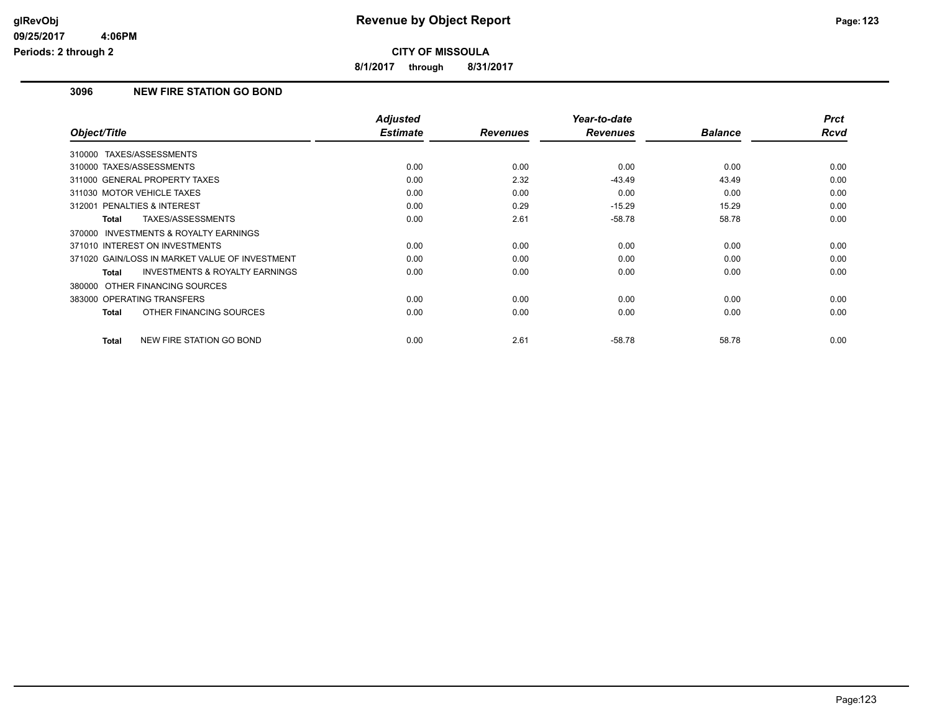**8/1/2017 through 8/31/2017**

# **3096 NEW FIRE STATION GO BOND**

|                                                    | <b>Adjusted</b> |                 | Year-to-date    |                | <b>Prct</b> |
|----------------------------------------------------|-----------------|-----------------|-----------------|----------------|-------------|
| Object/Title                                       | <b>Estimate</b> | <b>Revenues</b> | <b>Revenues</b> | <b>Balance</b> | <b>Rcvd</b> |
| 310000 TAXES/ASSESSMENTS                           |                 |                 |                 |                |             |
| 310000 TAXES/ASSESSMENTS                           | 0.00            | 0.00            | 0.00            | 0.00           | 0.00        |
| 311000 GENERAL PROPERTY TAXES                      | 0.00            | 2.32            | $-43.49$        | 43.49          | 0.00        |
| 311030 MOTOR VEHICLE TAXES                         | 0.00            | 0.00            | 0.00            | 0.00           | 0.00        |
| 312001 PENALTIES & INTEREST                        | 0.00            | 0.29            | $-15.29$        | 15.29          | 0.00        |
| TAXES/ASSESSMENTS<br><b>Total</b>                  | 0.00            | 2.61            | $-58.78$        | 58.78          | 0.00        |
| 370000 INVESTMENTS & ROYALTY EARNINGS              |                 |                 |                 |                |             |
| 371010 INTEREST ON INVESTMENTS                     | 0.00            | 0.00            | 0.00            | 0.00           | 0.00        |
| 371020 GAIN/LOSS IN MARKET VALUE OF INVESTMENT     | 0.00            | 0.00            | 0.00            | 0.00           | 0.00        |
| <b>INVESTMENTS &amp; ROYALTY EARNINGS</b><br>Total | 0.00            | 0.00            | 0.00            | 0.00           | 0.00        |
| 380000 OTHER FINANCING SOURCES                     |                 |                 |                 |                |             |
| 383000 OPERATING TRANSFERS                         | 0.00            | 0.00            | 0.00            | 0.00           | 0.00        |
| OTHER FINANCING SOURCES<br>Total                   | 0.00            | 0.00            | 0.00            | 0.00           | 0.00        |
| NEW FIRE STATION GO BOND<br>Total                  | 0.00            | 2.61            | $-58.78$        | 58.78          | 0.00        |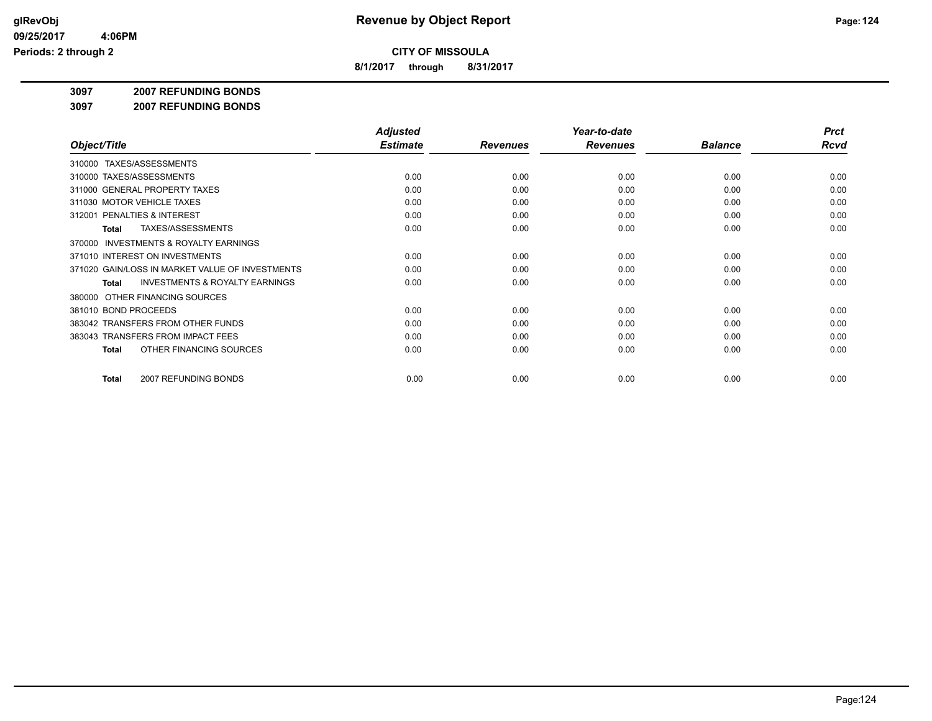**8/1/2017 through 8/31/2017**

**3097 2007 REFUNDING BONDS**

**3097 2007 REFUNDING BONDS**

|                                                     | <b>Adjusted</b> |                 | Year-to-date    |                | <b>Prct</b> |
|-----------------------------------------------------|-----------------|-----------------|-----------------|----------------|-------------|
| Object/Title                                        | <b>Estimate</b> | <b>Revenues</b> | <b>Revenues</b> | <b>Balance</b> | <b>Rcvd</b> |
| 310000 TAXES/ASSESSMENTS                            |                 |                 |                 |                |             |
| 310000 TAXES/ASSESSMENTS                            | 0.00            | 0.00            | 0.00            | 0.00           | 0.00        |
| 311000 GENERAL PROPERTY TAXES                       | 0.00            | 0.00            | 0.00            | 0.00           | 0.00        |
| 311030 MOTOR VEHICLE TAXES                          | 0.00            | 0.00            | 0.00            | 0.00           | 0.00        |
| PENALTIES & INTEREST<br>312001                      | 0.00            | 0.00            | 0.00            | 0.00           | 0.00        |
| TAXES/ASSESSMENTS<br>Total                          | 0.00            | 0.00            | 0.00            | 0.00           | 0.00        |
| <b>INVESTMENTS &amp; ROYALTY EARNINGS</b><br>370000 |                 |                 |                 |                |             |
| 371010 INTEREST ON INVESTMENTS                      | 0.00            | 0.00            | 0.00            | 0.00           | 0.00        |
| 371020 GAIN/LOSS IN MARKET VALUE OF INVESTMENTS     | 0.00            | 0.00            | 0.00            | 0.00           | 0.00        |
| <b>INVESTMENTS &amp; ROYALTY EARNINGS</b><br>Total  | 0.00            | 0.00            | 0.00            | 0.00           | 0.00        |
| OTHER FINANCING SOURCES<br>380000                   |                 |                 |                 |                |             |
| 381010 BOND PROCEEDS                                | 0.00            | 0.00            | 0.00            | 0.00           | 0.00        |
| 383042 TRANSFERS FROM OTHER FUNDS                   | 0.00            | 0.00            | 0.00            | 0.00           | 0.00        |
| 383043 TRANSFERS FROM IMPACT FEES                   | 0.00            | 0.00            | 0.00            | 0.00           | 0.00        |
| OTHER FINANCING SOURCES<br><b>Total</b>             | 0.00            | 0.00            | 0.00            | 0.00           | 0.00        |
| 2007 REFUNDING BONDS<br>Total                       | 0.00            | 0.00            | 0.00            | 0.00           | 0.00        |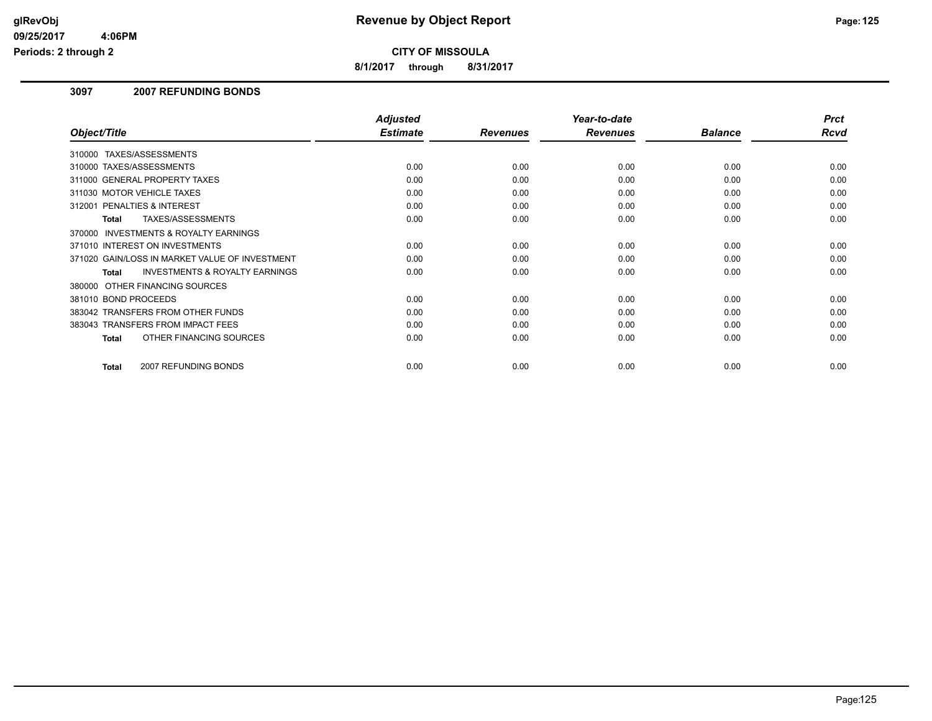**8/1/2017 through 8/31/2017**

# **3097 2007 REFUNDING BONDS**

|                                                     | <b>Adjusted</b> |                 | Year-to-date    |                | <b>Prct</b> |
|-----------------------------------------------------|-----------------|-----------------|-----------------|----------------|-------------|
| Object/Title                                        | <b>Estimate</b> | <b>Revenues</b> | <b>Revenues</b> | <b>Balance</b> | <b>Rcvd</b> |
| 310000 TAXES/ASSESSMENTS                            |                 |                 |                 |                |             |
| 310000 TAXES/ASSESSMENTS                            | 0.00            | 0.00            | 0.00            | 0.00           | 0.00        |
| 311000 GENERAL PROPERTY TAXES                       | 0.00            | 0.00            | 0.00            | 0.00           | 0.00        |
| 311030 MOTOR VEHICLE TAXES                          | 0.00            | 0.00            | 0.00            | 0.00           | 0.00        |
| 312001 PENALTIES & INTEREST                         | 0.00            | 0.00            | 0.00            | 0.00           | 0.00        |
| TAXES/ASSESSMENTS<br><b>Total</b>                   | 0.00            | 0.00            | 0.00            | 0.00           | 0.00        |
| <b>INVESTMENTS &amp; ROYALTY EARNINGS</b><br>370000 |                 |                 |                 |                |             |
| 371010 INTEREST ON INVESTMENTS                      | 0.00            | 0.00            | 0.00            | 0.00           | 0.00        |
| 371020 GAIN/LOSS IN MARKET VALUE OF INVESTMENT      | 0.00            | 0.00            | 0.00            | 0.00           | 0.00        |
| <b>INVESTMENTS &amp; ROYALTY EARNINGS</b><br>Total  | 0.00            | 0.00            | 0.00            | 0.00           | 0.00        |
| 380000 OTHER FINANCING SOURCES                      |                 |                 |                 |                |             |
| 381010 BOND PROCEEDS                                | 0.00            | 0.00            | 0.00            | 0.00           | 0.00        |
| 383042 TRANSFERS FROM OTHER FUNDS                   | 0.00            | 0.00            | 0.00            | 0.00           | 0.00        |
| 383043 TRANSFERS FROM IMPACT FEES                   | 0.00            | 0.00            | 0.00            | 0.00           | 0.00        |
| OTHER FINANCING SOURCES<br><b>Total</b>             | 0.00            | 0.00            | 0.00            | 0.00           | 0.00        |
| 2007 REFUNDING BONDS<br>Total                       | 0.00            | 0.00            | 0.00            | 0.00           | 0.00        |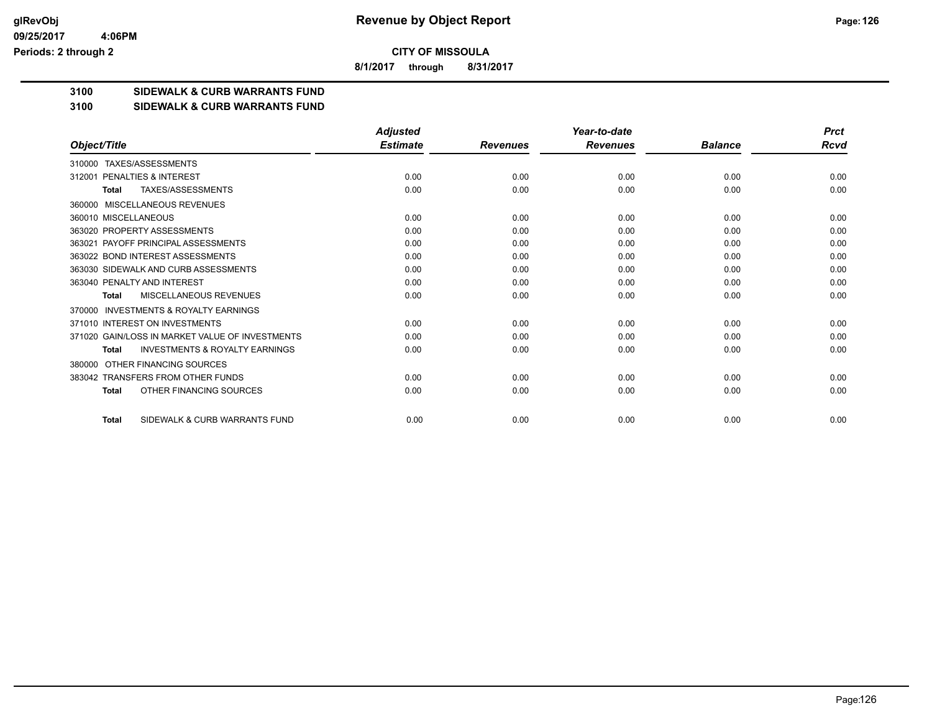**8/1/2017 through 8/31/2017**

# **3100 SIDEWALK & CURB WARRANTS FUND**

# **3100 SIDEWALK & CURB WARRANTS FUND**

|                                                           | <b>Adjusted</b> |                 | Year-to-date    |                | <b>Prct</b> |
|-----------------------------------------------------------|-----------------|-----------------|-----------------|----------------|-------------|
| Object/Title                                              | <b>Estimate</b> | <b>Revenues</b> | <b>Revenues</b> | <b>Balance</b> | <b>Rcvd</b> |
| TAXES/ASSESSMENTS<br>310000                               |                 |                 |                 |                |             |
| PENALTIES & INTEREST<br>312001                            | 0.00            | 0.00            | 0.00            | 0.00           | 0.00        |
| <b>TAXES/ASSESSMENTS</b><br><b>Total</b>                  | 0.00            | 0.00            | 0.00            | 0.00           | 0.00        |
| MISCELLANEOUS REVENUES<br>360000                          |                 |                 |                 |                |             |
| 360010 MISCELLANEOUS                                      | 0.00            | 0.00            | 0.00            | 0.00           | 0.00        |
| 363020 PROPERTY ASSESSMENTS                               | 0.00            | 0.00            | 0.00            | 0.00           | 0.00        |
| 363021 PAYOFF PRINCIPAL ASSESSMENTS                       | 0.00            | 0.00            | 0.00            | 0.00           | 0.00        |
| 363022 BOND INTEREST ASSESSMENTS                          | 0.00            | 0.00            | 0.00            | 0.00           | 0.00        |
| 363030 SIDEWALK AND CURB ASSESSMENTS                      | 0.00            | 0.00            | 0.00            | 0.00           | 0.00        |
| 363040 PENALTY AND INTEREST                               | 0.00            | 0.00            | 0.00            | 0.00           | 0.00        |
| MISCELLANEOUS REVENUES<br><b>Total</b>                    | 0.00            | 0.00            | 0.00            | 0.00           | 0.00        |
| <b>INVESTMENTS &amp; ROYALTY EARNINGS</b><br>370000       |                 |                 |                 |                |             |
| 371010 INTEREST ON INVESTMENTS                            | 0.00            | 0.00            | 0.00            | 0.00           | 0.00        |
| 371020 GAIN/LOSS IN MARKET VALUE OF INVESTMENTS           | 0.00            | 0.00            | 0.00            | 0.00           | 0.00        |
| <b>INVESTMENTS &amp; ROYALTY EARNINGS</b><br><b>Total</b> | 0.00            | 0.00            | 0.00            | 0.00           | 0.00        |
| OTHER FINANCING SOURCES<br>380000                         |                 |                 |                 |                |             |
| 383042 TRANSFERS FROM OTHER FUNDS                         | 0.00            | 0.00            | 0.00            | 0.00           | 0.00        |
| OTHER FINANCING SOURCES<br><b>Total</b>                   | 0.00            | 0.00            | 0.00            | 0.00           | 0.00        |
| SIDEWALK & CURB WARRANTS FUND                             |                 | 0.00            | 0.00            |                |             |
| <b>Total</b>                                              | 0.00            |                 |                 | 0.00           | 0.00        |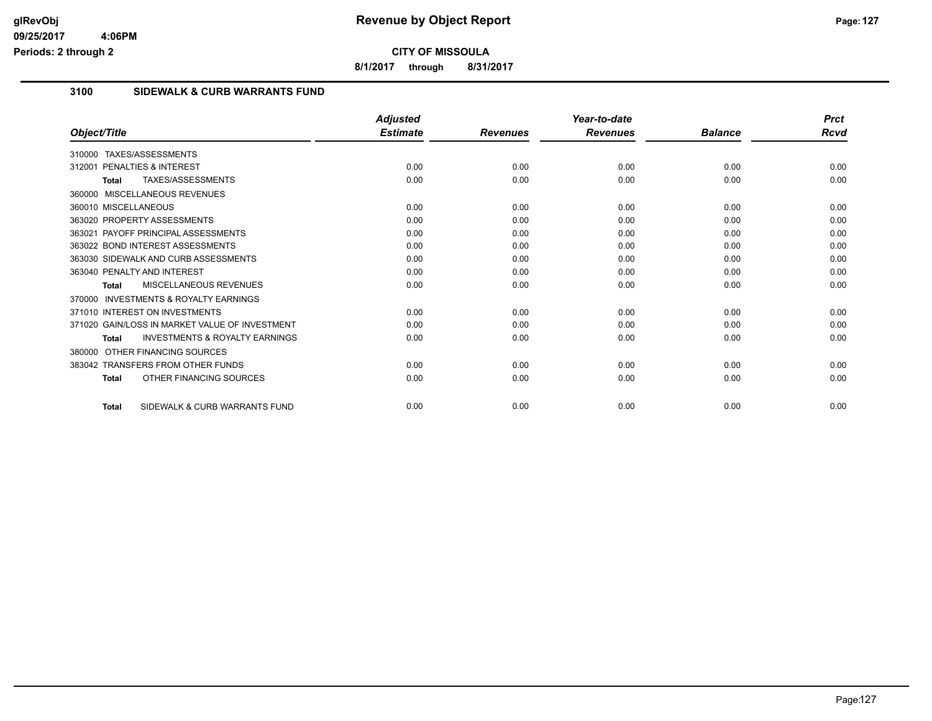**8/1/2017 through 8/31/2017**

# **3100 SIDEWALK & CURB WARRANTS FUND**

|                                                           | <b>Adjusted</b> |                 | Year-to-date    |                | <b>Prct</b> |
|-----------------------------------------------------------|-----------------|-----------------|-----------------|----------------|-------------|
| Object/Title                                              | <b>Estimate</b> | <b>Revenues</b> | <b>Revenues</b> | <b>Balance</b> | Rcvd        |
| TAXES/ASSESSMENTS<br>310000                               |                 |                 |                 |                |             |
| <b>PENALTIES &amp; INTEREST</b><br>312001                 | 0.00            | 0.00            | 0.00            | 0.00           | 0.00        |
| TAXES/ASSESSMENTS<br>Total                                | 0.00            | 0.00            | 0.00            | 0.00           | 0.00        |
| 360000 MISCELLANEOUS REVENUES                             |                 |                 |                 |                |             |
| 360010 MISCELLANEOUS                                      | 0.00            | 0.00            | 0.00            | 0.00           | 0.00        |
| 363020 PROPERTY ASSESSMENTS                               | 0.00            | 0.00            | 0.00            | 0.00           | 0.00        |
| 363021 PAYOFF PRINCIPAL ASSESSMENTS                       | 0.00            | 0.00            | 0.00            | 0.00           | 0.00        |
| 363022 BOND INTEREST ASSESSMENTS                          | 0.00            | 0.00            | 0.00            | 0.00           | 0.00        |
| 363030 SIDEWALK AND CURB ASSESSMENTS                      | 0.00            | 0.00            | 0.00            | 0.00           | 0.00        |
| 363040 PENALTY AND INTEREST                               | 0.00            | 0.00            | 0.00            | 0.00           | 0.00        |
| MISCELLANEOUS REVENUES<br>Total                           | 0.00            | 0.00            | 0.00            | 0.00           | 0.00        |
| <b>INVESTMENTS &amp; ROYALTY EARNINGS</b><br>370000       |                 |                 |                 |                |             |
| 371010 INTEREST ON INVESTMENTS                            | 0.00            | 0.00            | 0.00            | 0.00           | 0.00        |
| 371020 GAIN/LOSS IN MARKET VALUE OF INVESTMENT            | 0.00            | 0.00            | 0.00            | 0.00           | 0.00        |
| <b>INVESTMENTS &amp; ROYALTY EARNINGS</b><br><b>Total</b> | 0.00            | 0.00            | 0.00            | 0.00           | 0.00        |
| OTHER FINANCING SOURCES<br>380000                         |                 |                 |                 |                |             |
| 383042 TRANSFERS FROM OTHER FUNDS                         | 0.00            | 0.00            | 0.00            | 0.00           | 0.00        |
| OTHER FINANCING SOURCES<br><b>Total</b>                   | 0.00            | 0.00            | 0.00            | 0.00           | 0.00        |
| SIDEWALK & CURB WARRANTS FUND<br><b>Total</b>             | 0.00            | 0.00            | 0.00            | 0.00           | 0.00        |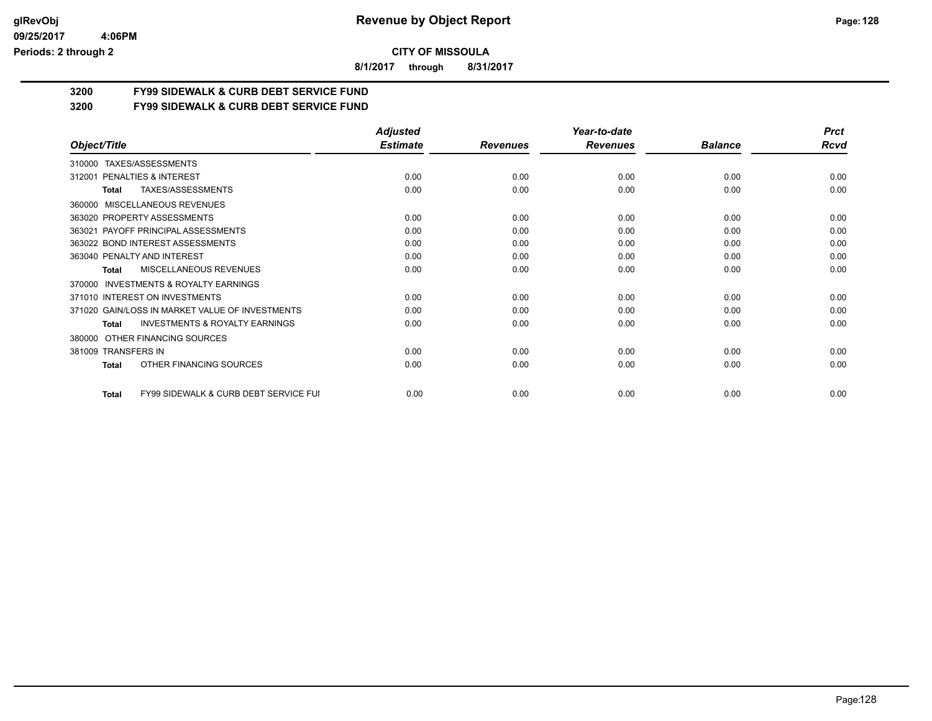# **09/25/2017**

**Periods: 2 through 2**

 **4:06PM**

**CITY OF MISSOULA**

**8/1/2017 through 8/31/2017**

# **3200 FY99 SIDEWALK & CURB DEBT SERVICE FUND**

# **3200 FY99 SIDEWALK & CURB DEBT SERVICE FUND**

|                                                                  | <b>Adjusted</b> |                 | Year-to-date    |                | <b>Prct</b> |
|------------------------------------------------------------------|-----------------|-----------------|-----------------|----------------|-------------|
| Object/Title                                                     | <b>Estimate</b> | <b>Revenues</b> | <b>Revenues</b> | <b>Balance</b> | Rcvd        |
| TAXES/ASSESSMENTS<br>310000                                      |                 |                 |                 |                |             |
| <b>PENALTIES &amp; INTEREST</b><br>312001                        | 0.00            | 0.00            | 0.00            | 0.00           | 0.00        |
| TAXES/ASSESSMENTS<br>Total                                       | 0.00            | 0.00            | 0.00            | 0.00           | 0.00        |
| MISCELLANEOUS REVENUES<br>360000                                 |                 |                 |                 |                |             |
| 363020 PROPERTY ASSESSMENTS                                      | 0.00            | 0.00            | 0.00            | 0.00           | 0.00        |
| 363021 PAYOFF PRINCIPAL ASSESSMENTS                              | 0.00            | 0.00            | 0.00            | 0.00           | 0.00        |
| 363022 BOND INTEREST ASSESSMENTS                                 | 0.00            | 0.00            | 0.00            | 0.00           | 0.00        |
| 363040 PENALTY AND INTEREST                                      | 0.00            | 0.00            | 0.00            | 0.00           | 0.00        |
| <b>MISCELLANEOUS REVENUES</b><br><b>Total</b>                    | 0.00            | 0.00            | 0.00            | 0.00           | 0.00        |
| <b>INVESTMENTS &amp; ROYALTY EARNINGS</b><br>370000              |                 |                 |                 |                |             |
| 371010 INTEREST ON INVESTMENTS                                   | 0.00            | 0.00            | 0.00            | 0.00           | 0.00        |
| 371020 GAIN/LOSS IN MARKET VALUE OF INVESTMENTS                  | 0.00            | 0.00            | 0.00            | 0.00           | 0.00        |
| <b>INVESTMENTS &amp; ROYALTY EARNINGS</b><br>Total               | 0.00            | 0.00            | 0.00            | 0.00           | 0.00        |
| OTHER FINANCING SOURCES<br>380000                                |                 |                 |                 |                |             |
| 381009 TRANSFERS IN                                              | 0.00            | 0.00            | 0.00            | 0.00           | 0.00        |
| OTHER FINANCING SOURCES<br><b>Total</b>                          | 0.00            | 0.00            | 0.00            | 0.00           | 0.00        |
|                                                                  |                 |                 |                 |                |             |
| <b>FY99 SIDEWALK &amp; CURB DEBT SERVICE FUI</b><br><b>Total</b> | 0.00            | 0.00            | 0.00            | 0.00           | 0.00        |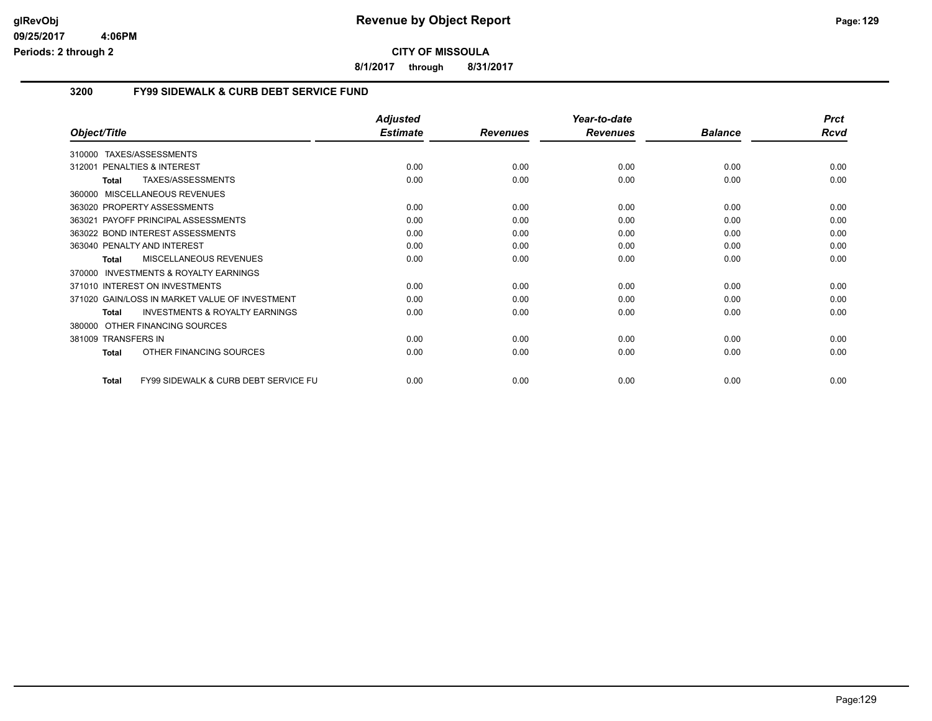**8/1/2017 through 8/31/2017**

# **3200 FY99 SIDEWALK & CURB DEBT SERVICE FUND**

|                                                           | <b>Adjusted</b> |                 | Year-to-date    |                | <b>Prct</b> |
|-----------------------------------------------------------|-----------------|-----------------|-----------------|----------------|-------------|
| Object/Title                                              | <b>Estimate</b> | <b>Revenues</b> | <b>Revenues</b> | <b>Balance</b> | <b>Rcvd</b> |
| TAXES/ASSESSMENTS<br>310000                               |                 |                 |                 |                |             |
| PENALTIES & INTEREST<br>312001                            | 0.00            | 0.00            | 0.00            | 0.00           | 0.00        |
| TAXES/ASSESSMENTS<br>Total                                | 0.00            | 0.00            | 0.00            | 0.00           | 0.00        |
| MISCELLANEOUS REVENUES<br>360000                          |                 |                 |                 |                |             |
| 363020 PROPERTY ASSESSMENTS                               | 0.00            | 0.00            | 0.00            | 0.00           | 0.00        |
| PAYOFF PRINCIPAL ASSESSMENTS<br>363021                    | 0.00            | 0.00            | 0.00            | 0.00           | 0.00        |
| 363022 BOND INTEREST ASSESSMENTS                          | 0.00            | 0.00            | 0.00            | 0.00           | 0.00        |
| 363040 PENALTY AND INTEREST                               | 0.00            | 0.00            | 0.00            | 0.00           | 0.00        |
| <b>MISCELLANEOUS REVENUES</b><br>Total                    | 0.00            | 0.00            | 0.00            | 0.00           | 0.00        |
| INVESTMENTS & ROYALTY EARNINGS<br>370000                  |                 |                 |                 |                |             |
| 371010 INTEREST ON INVESTMENTS                            | 0.00            | 0.00            | 0.00            | 0.00           | 0.00        |
| 371020 GAIN/LOSS IN MARKET VALUE OF INVESTMENT            | 0.00            | 0.00            | 0.00            | 0.00           | 0.00        |
| <b>INVESTMENTS &amp; ROYALTY EARNINGS</b><br><b>Total</b> | 0.00            | 0.00            | 0.00            | 0.00           | 0.00        |
| OTHER FINANCING SOURCES<br>380000                         |                 |                 |                 |                |             |
| 381009 TRANSFERS IN                                       | 0.00            | 0.00            | 0.00            | 0.00           | 0.00        |
| OTHER FINANCING SOURCES<br>Total                          | 0.00            | 0.00            | 0.00            | 0.00           | 0.00        |
| FY99 SIDEWALK & CURB DEBT SERVICE FU<br><b>Total</b>      | 0.00            | 0.00            | 0.00            | 0.00           | 0.00        |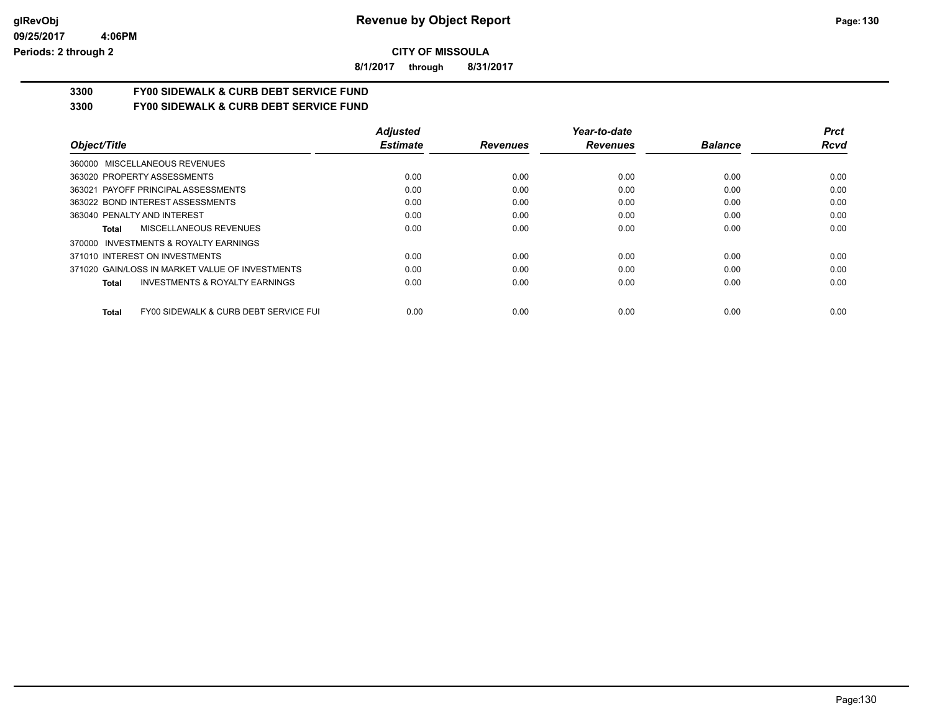# **09/25/2017 4:06PM Periods: 2 through 2**

**CITY OF MISSOULA**

**8/1/2017 through 8/31/2017**

# **3300 FY00 SIDEWALK & CURB DEBT SERVICE FUND**

# **3300 FY00 SIDEWALK & CURB DEBT SERVICE FUND**

|                                                       | <b>Adjusted</b> |                 | Year-to-date    |                | <b>Prct</b> |
|-------------------------------------------------------|-----------------|-----------------|-----------------|----------------|-------------|
| Object/Title                                          | <b>Estimate</b> | <b>Revenues</b> | <b>Revenues</b> | <b>Balance</b> | <b>Rcvd</b> |
| 360000 MISCELLANEOUS REVENUES                         |                 |                 |                 |                |             |
| 363020 PROPERTY ASSESSMENTS                           | 0.00            | 0.00            | 0.00            | 0.00           | 0.00        |
| 363021 PAYOFF PRINCIPAL ASSESSMENTS                   | 0.00            | 0.00            | 0.00            | 0.00           | 0.00        |
| 363022 BOND INTEREST ASSESSMENTS                      | 0.00            | 0.00            | 0.00            | 0.00           | 0.00        |
| 363040 PENALTY AND INTEREST                           | 0.00            | 0.00            | 0.00            | 0.00           | 0.00        |
| MISCELLANEOUS REVENUES<br>Total                       | 0.00            | 0.00            | 0.00            | 0.00           | 0.00        |
| INVESTMENTS & ROYALTY EARNINGS<br>370000              |                 |                 |                 |                |             |
| 371010 INTEREST ON INVESTMENTS                        | 0.00            | 0.00            | 0.00            | 0.00           | 0.00        |
| 371020 GAIN/LOSS IN MARKET VALUE OF INVESTMENTS       | 0.00            | 0.00            | 0.00            | 0.00           | 0.00        |
| <b>INVESTMENTS &amp; ROYALTY EARNINGS</b><br>Total    | 0.00            | 0.00            | 0.00            | 0.00           | 0.00        |
| FY00 SIDEWALK & CURB DEBT SERVICE FUI<br><b>Total</b> | 0.00            | 0.00            | 0.00            | 0.00           | 0.00        |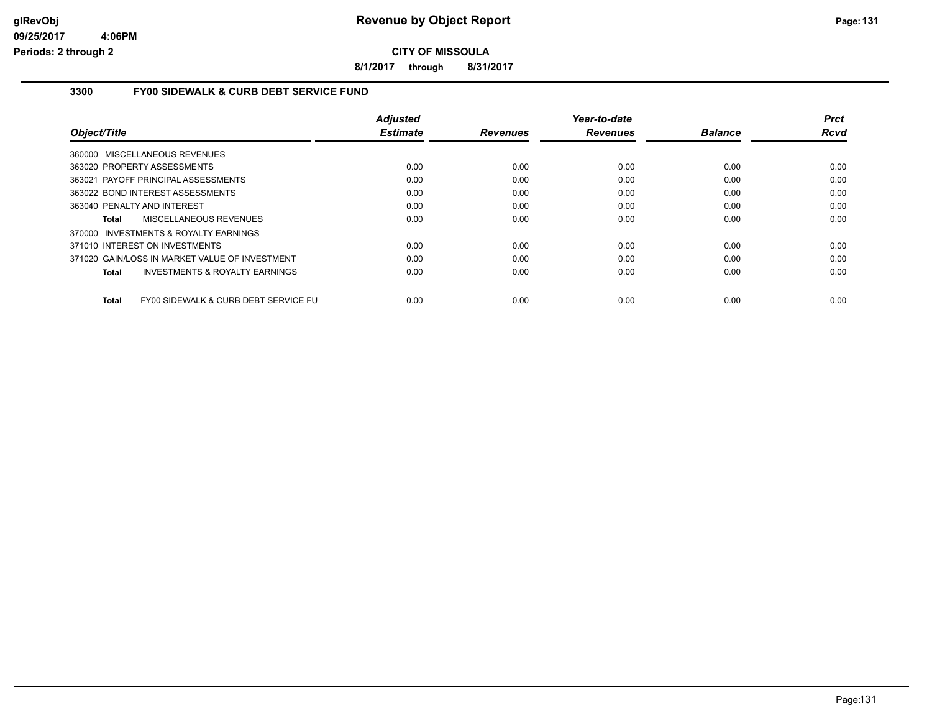**8/1/2017 through 8/31/2017**

# **3300 FY00 SIDEWALK & CURB DEBT SERVICE FUND**

|                                                      | <b>Adjusted</b> |                 | Year-to-date    |                | <b>Prct</b> |
|------------------------------------------------------|-----------------|-----------------|-----------------|----------------|-------------|
| Object/Title                                         | <b>Estimate</b> | <b>Revenues</b> | <b>Revenues</b> | <b>Balance</b> | Rcvd        |
| 360000 MISCELLANEOUS REVENUES                        |                 |                 |                 |                |             |
| 363020 PROPERTY ASSESSMENTS                          | 0.00            | 0.00            | 0.00            | 0.00           | 0.00        |
| 363021 PAYOFF PRINCIPAL ASSESSMENTS                  | 0.00            | 0.00            | 0.00            | 0.00           | 0.00        |
| 363022 BOND INTEREST ASSESSMENTS                     | 0.00            | 0.00            | 0.00            | 0.00           | 0.00        |
| 363040 PENALTY AND INTEREST                          | 0.00            | 0.00            | 0.00            | 0.00           | 0.00        |
| <b>MISCELLANEOUS REVENUES</b><br>Total               | 0.00            | 0.00            | 0.00            | 0.00           | 0.00        |
| 370000 INVESTMENTS & ROYALTY EARNINGS                |                 |                 |                 |                |             |
| 371010 INTEREST ON INVESTMENTS                       | 0.00            | 0.00            | 0.00            | 0.00           | 0.00        |
| 371020 GAIN/LOSS IN MARKET VALUE OF INVESTMENT       | 0.00            | 0.00            | 0.00            | 0.00           | 0.00        |
| <b>INVESTMENTS &amp; ROYALTY EARNINGS</b><br>Total   | 0.00            | 0.00            | 0.00            | 0.00           | 0.00        |
| FY00 SIDEWALK & CURB DEBT SERVICE FU<br><b>Total</b> | 0.00            | 0.00            | 0.00            | 0.00           | 0.00        |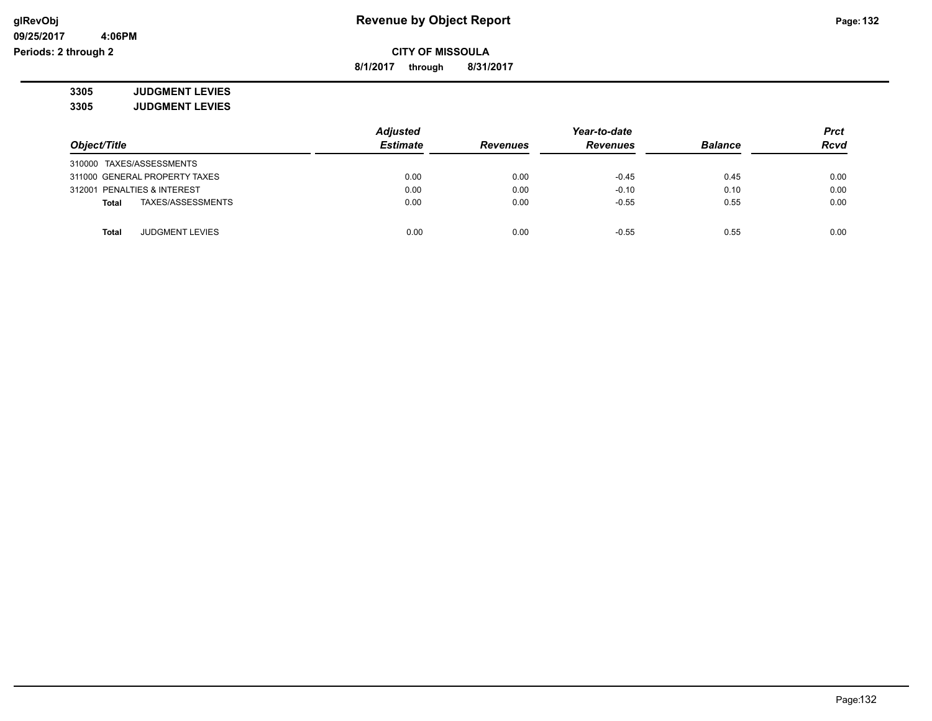**8/1/2017 through 8/31/2017**

**3305 JUDGMENT LEVIES**

**3305 JUDGMENT LEVIES**

|                                 | <b>Adjusted</b> |                 | Year-to-date    |                | <b>Prct</b> |
|---------------------------------|-----------------|-----------------|-----------------|----------------|-------------|
| Object/Title                    | <b>Estimate</b> | <b>Revenues</b> | <b>Revenues</b> | <b>Balance</b> | <b>Rcvd</b> |
| 310000 TAXES/ASSESSMENTS        |                 |                 |                 |                |             |
| 311000 GENERAL PROPERTY TAXES   | 0.00            | 0.00            | $-0.45$         | 0.45           | 0.00        |
| 312001 PENALTIES & INTEREST     | 0.00            | 0.00            | $-0.10$         | 0.10           | 0.00        |
| TAXES/ASSESSMENTS<br>Total      | 0.00            | 0.00            | $-0.55$         | 0.55           | 0.00        |
| <b>JUDGMENT LEVIES</b><br>Total | 0.00            | 0.00            | $-0.55$         | 0.55           | 0.00        |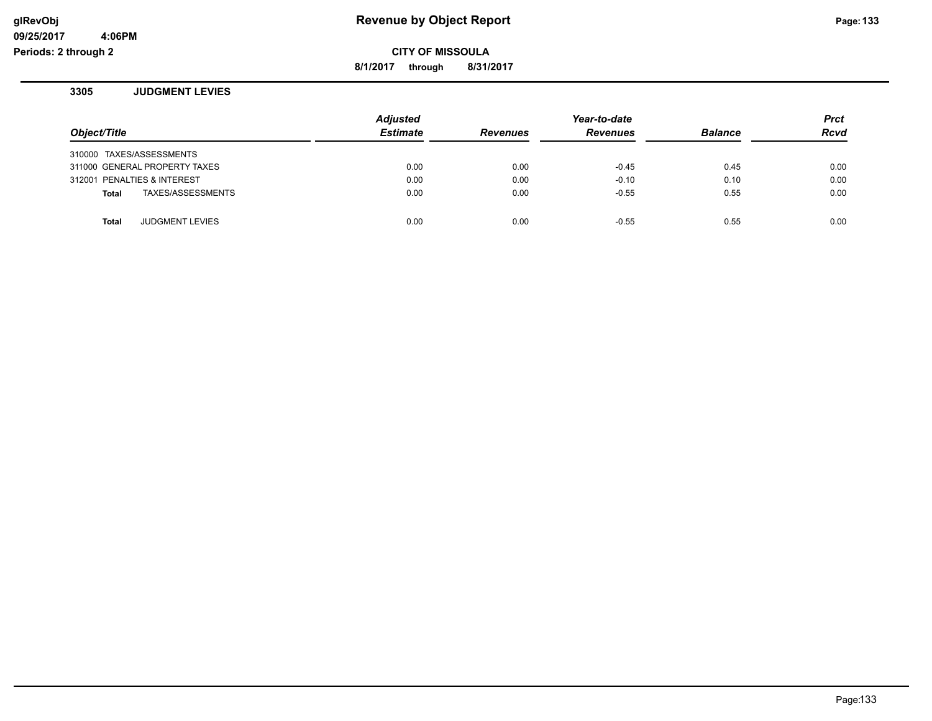**Periods: 2 through 2**

**CITY OF MISSOULA**

**8/1/2017 through 8/31/2017**

# **3305 JUDGMENT LEVIES**

 **4:06PM**

|                                        | Adjusted        |                 | Year-to-date    |                | <b>Prct</b> |
|----------------------------------------|-----------------|-----------------|-----------------|----------------|-------------|
| Object/Title                           | <b>Estimate</b> | <b>Revenues</b> | <b>Revenues</b> | <b>Balance</b> | <b>Rcvd</b> |
| 310000 TAXES/ASSESSMENTS               |                 |                 |                 |                |             |
| 311000 GENERAL PROPERTY TAXES          | 0.00            | 0.00            | $-0.45$         | 0.45           | 0.00        |
| 312001 PENALTIES & INTEREST            | 0.00            | 0.00            | $-0.10$         | 0.10           | 0.00        |
| TAXES/ASSESSMENTS<br><b>Total</b>      | 0.00            | 0.00            | $-0.55$         | 0.55           | 0.00        |
|                                        |                 |                 |                 |                |             |
| <b>JUDGMENT LEVIES</b><br><b>Total</b> | 0.00            | 0.00            | $-0.55$         | 0.55           | 0.00        |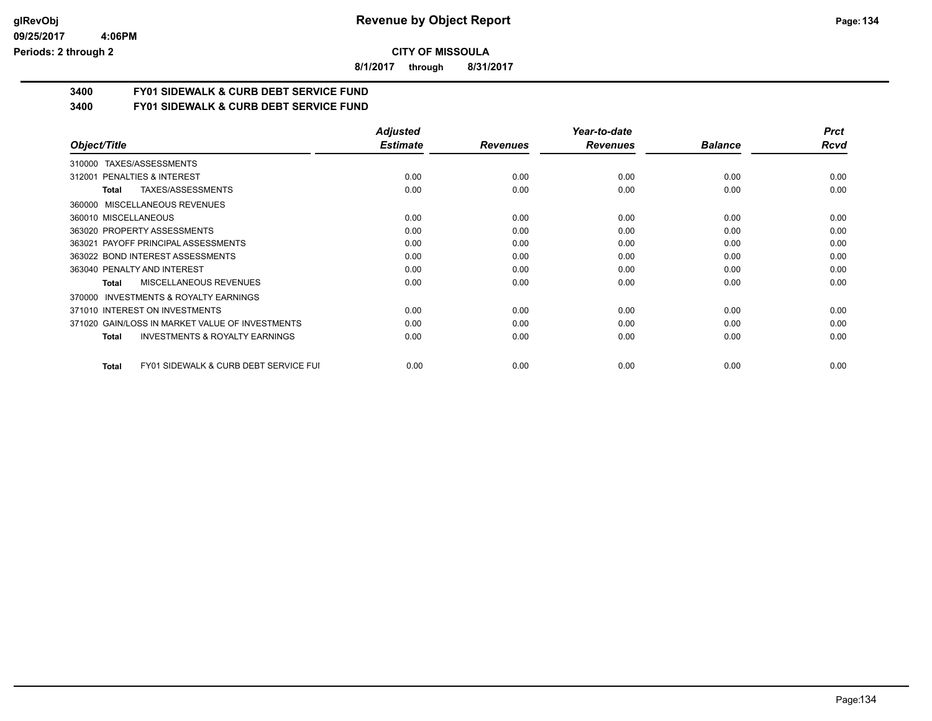**09/25/2017 4:06PM Periods: 2 through 2**

**CITY OF MISSOULA**

**8/1/2017 through 8/31/2017**

# **3400 FY01 SIDEWALK & CURB DEBT SERVICE FUND**

# **3400 FY01 SIDEWALK & CURB DEBT SERVICE FUND**

|                                                    | <b>Adjusted</b> |                 | Year-to-date    |                | <b>Prct</b> |
|----------------------------------------------------|-----------------|-----------------|-----------------|----------------|-------------|
| Object/Title                                       | <b>Estimate</b> | <b>Revenues</b> | <b>Revenues</b> | <b>Balance</b> | <b>Rcvd</b> |
| TAXES/ASSESSMENTS<br>310000                        |                 |                 |                 |                |             |
| 312001 PENALTIES & INTEREST                        | 0.00            | 0.00            | 0.00            | 0.00           | 0.00        |
| TAXES/ASSESSMENTS<br>Total                         | 0.00            | 0.00            | 0.00            | 0.00           | 0.00        |
| MISCELLANEOUS REVENUES<br>360000                   |                 |                 |                 |                |             |
| 360010 MISCELLANEOUS                               | 0.00            | 0.00            | 0.00            | 0.00           | 0.00        |
| 363020 PROPERTY ASSESSMENTS                        | 0.00            | 0.00            | 0.00            | 0.00           | 0.00        |
| 363021 PAYOFF PRINCIPAL ASSESSMENTS                | 0.00            | 0.00            | 0.00            | 0.00           | 0.00        |
| 363022 BOND INTEREST ASSESSMENTS                   | 0.00            | 0.00            | 0.00            | 0.00           | 0.00        |
| 363040 PENALTY AND INTEREST                        | 0.00            | 0.00            | 0.00            | 0.00           | 0.00        |
| <b>MISCELLANEOUS REVENUES</b><br>Total             | 0.00            | 0.00            | 0.00            | 0.00           | 0.00        |
| INVESTMENTS & ROYALTY EARNINGS<br>370000           |                 |                 |                 |                |             |
| 371010 INTEREST ON INVESTMENTS                     | 0.00            | 0.00            | 0.00            | 0.00           | 0.00        |
| 371020 GAIN/LOSS IN MARKET VALUE OF INVESTMENTS    | 0.00            | 0.00            | 0.00            | 0.00           | 0.00        |
| <b>INVESTMENTS &amp; ROYALTY EARNINGS</b><br>Total | 0.00            | 0.00            | 0.00            | 0.00           | 0.00        |
| FY01 SIDEWALK & CURB DEBT SERVICE FUI<br>Total     | 0.00            | 0.00            | 0.00            | 0.00           | 0.00        |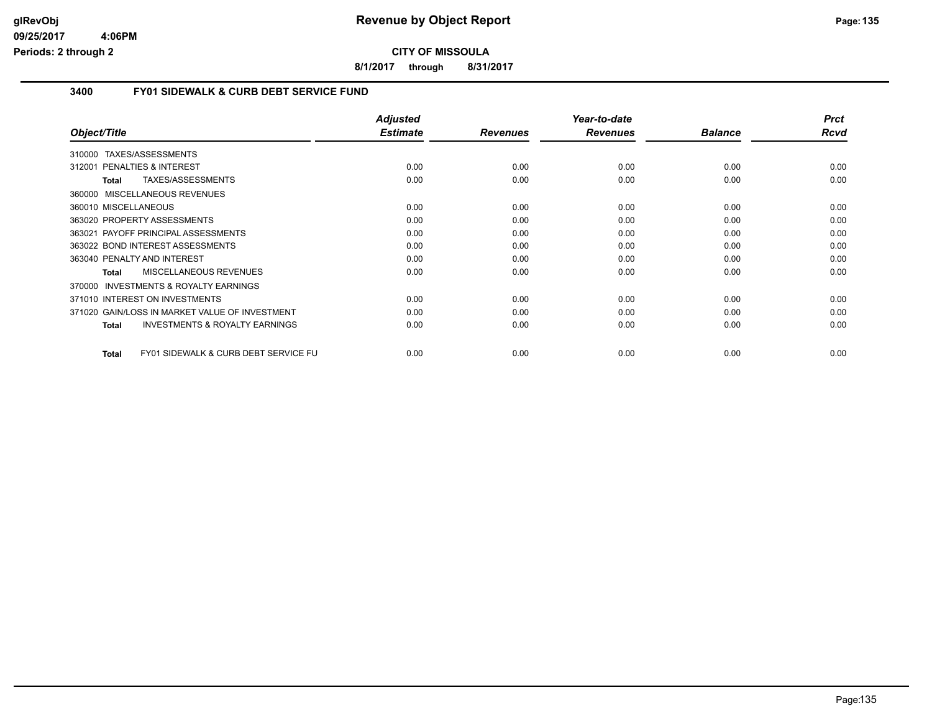**8/1/2017 through 8/31/2017**

# **3400 FY01 SIDEWALK & CURB DEBT SERVICE FUND**

| Object/Title                                              | <b>Adjusted</b><br><b>Estimate</b> |                 | Year-to-date    | <b>Balance</b> | <b>Prct</b> |
|-----------------------------------------------------------|------------------------------------|-----------------|-----------------|----------------|-------------|
|                                                           |                                    | <b>Revenues</b> | <b>Revenues</b> |                | Rcvd        |
| 310000 TAXES/ASSESSMENTS                                  |                                    |                 |                 |                |             |
| <b>PENALTIES &amp; INTEREST</b><br>312001                 | 0.00                               | 0.00            | 0.00            | 0.00           | 0.00        |
| TAXES/ASSESSMENTS<br><b>Total</b>                         | 0.00                               | 0.00            | 0.00            | 0.00           | 0.00        |
| 360000 MISCELLANEOUS REVENUES                             |                                    |                 |                 |                |             |
| 360010 MISCELLANEOUS                                      | 0.00                               | 0.00            | 0.00            | 0.00           | 0.00        |
| 363020 PROPERTY ASSESSMENTS                               | 0.00                               | 0.00            | 0.00            | 0.00           | 0.00        |
| PAYOFF PRINCIPAL ASSESSMENTS<br>363021                    | 0.00                               | 0.00            | 0.00            | 0.00           | 0.00        |
| 363022 BOND INTEREST ASSESSMENTS                          | 0.00                               | 0.00            | 0.00            | 0.00           | 0.00        |
| 363040 PENALTY AND INTEREST                               | 0.00                               | 0.00            | 0.00            | 0.00           | 0.00        |
| <b>MISCELLANEOUS REVENUES</b><br>Total                    | 0.00                               | 0.00            | 0.00            | 0.00           | 0.00        |
| INVESTMENTS & ROYALTY EARNINGS<br>370000                  |                                    |                 |                 |                |             |
| 371010 INTEREST ON INVESTMENTS                            | 0.00                               | 0.00            | 0.00            | 0.00           | 0.00        |
| 371020 GAIN/LOSS IN MARKET VALUE OF INVESTMENT            | 0.00                               | 0.00            | 0.00            | 0.00           | 0.00        |
| <b>INVESTMENTS &amp; ROYALTY EARNINGS</b><br><b>Total</b> | 0.00                               | 0.00            | 0.00            | 0.00           | 0.00        |
| FY01 SIDEWALK & CURB DEBT SERVICE FU<br><b>Total</b>      | 0.00                               | 0.00            | 0.00            | 0.00           | 0.00        |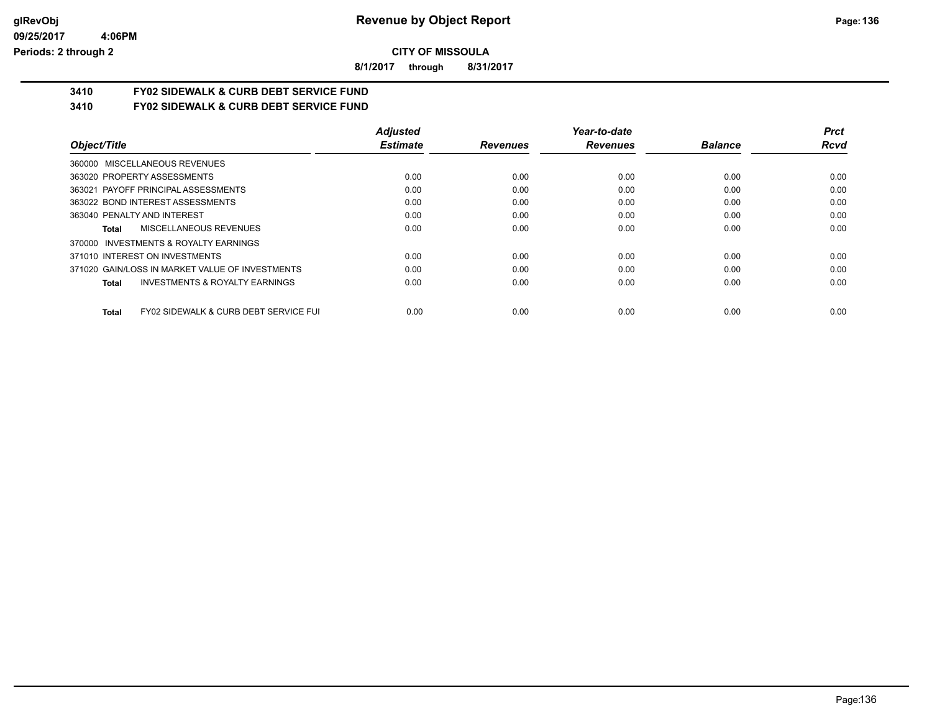# **09/25/2017 4:06PM Periods: 2 through 2**

**CITY OF MISSOULA**

**8/1/2017 through 8/31/2017**

# **3410 FY02 SIDEWALK & CURB DEBT SERVICE FUND**

# **3410 FY02 SIDEWALK & CURB DEBT SERVICE FUND**

|                                                                   | Adjusted        |                 | Year-to-date    |                | <b>Prct</b> |
|-------------------------------------------------------------------|-----------------|-----------------|-----------------|----------------|-------------|
| Object/Title                                                      | <b>Estimate</b> | <b>Revenues</b> | <b>Revenues</b> | <b>Balance</b> | <b>Rcvd</b> |
| 360000 MISCELLANEOUS REVENUES                                     |                 |                 |                 |                |             |
| 363020 PROPERTY ASSESSMENTS                                       | 0.00            | 0.00            | 0.00            | 0.00           | 0.00        |
| 363021 PAYOFF PRINCIPAL ASSESSMENTS                               | 0.00            | 0.00            | 0.00            | 0.00           | 0.00        |
| 363022 BOND INTEREST ASSESSMENTS                                  | 0.00            | 0.00            | 0.00            | 0.00           | 0.00        |
| 363040 PENALTY AND INTEREST                                       | 0.00            | 0.00            | 0.00            | 0.00           | 0.00        |
| MISCELLANEOUS REVENUES<br>Total                                   | 0.00            | 0.00            | 0.00            | 0.00           | 0.00        |
| 370000 INVESTMENTS & ROYALTY EARNINGS                             |                 |                 |                 |                |             |
| 371010 INTEREST ON INVESTMENTS                                    | 0.00            | 0.00            | 0.00            | 0.00           | 0.00        |
| 371020 GAIN/LOSS IN MARKET VALUE OF INVESTMENTS                   | 0.00            | 0.00            | 0.00            | 0.00           | 0.00        |
| <b>INVESTMENTS &amp; ROYALTY EARNINGS</b><br>Total                | 0.00            | 0.00            | 0.00            | 0.00           | 0.00        |
| <b>FY02 SIDEWALK &amp; CURB DEBT SERVICE FULL</b><br><b>Total</b> | 0.00            | 0.00            | 0.00            | 0.00           | 0.00        |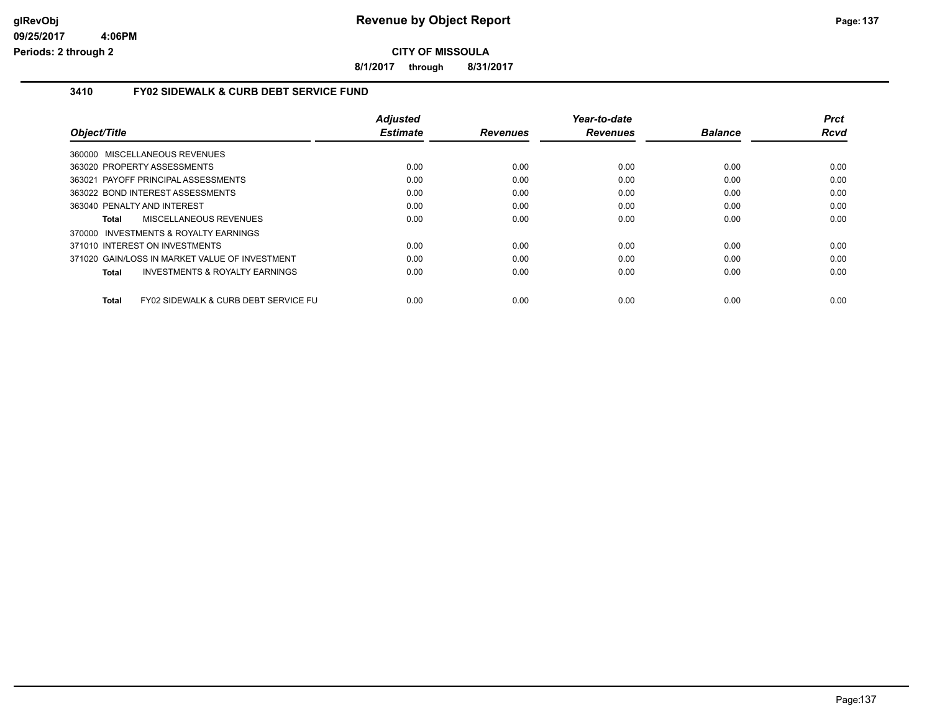**8/1/2017 through 8/31/2017**

# **3410 FY02 SIDEWALK & CURB DEBT SERVICE FUND**

|                                                      | <b>Adjusted</b> |                 | Year-to-date    |                | <b>Prct</b> |
|------------------------------------------------------|-----------------|-----------------|-----------------|----------------|-------------|
| Object/Title                                         | <b>Estimate</b> | <b>Revenues</b> | <b>Revenues</b> | <b>Balance</b> | <b>Rcvd</b> |
| 360000 MISCELLANEOUS REVENUES                        |                 |                 |                 |                |             |
| 363020 PROPERTY ASSESSMENTS                          | 0.00            | 0.00            | 0.00            | 0.00           | 0.00        |
| 363021 PAYOFF PRINCIPAL ASSESSMENTS                  | 0.00            | 0.00            | 0.00            | 0.00           | 0.00        |
| 363022 BOND INTEREST ASSESSMENTS                     | 0.00            | 0.00            | 0.00            | 0.00           | 0.00        |
| 363040 PENALTY AND INTEREST                          | 0.00            | 0.00            | 0.00            | 0.00           | 0.00        |
| MISCELLANEOUS REVENUES<br>Total                      | 0.00            | 0.00            | 0.00            | 0.00           | 0.00        |
| <b>INVESTMENTS &amp; ROYALTY EARNINGS</b><br>370000  |                 |                 |                 |                |             |
| 371010 INTEREST ON INVESTMENTS                       | 0.00            | 0.00            | 0.00            | 0.00           | 0.00        |
| 371020 GAIN/LOSS IN MARKET VALUE OF INVESTMENT       | 0.00            | 0.00            | 0.00            | 0.00           | 0.00        |
| <b>INVESTMENTS &amp; ROYALTY EARNINGS</b><br>Total   | 0.00            | 0.00            | 0.00            | 0.00           | 0.00        |
| FY02 SIDEWALK & CURB DEBT SERVICE FU<br><b>Total</b> | 0.00            | 0.00            | 0.00            | 0.00           | 0.00        |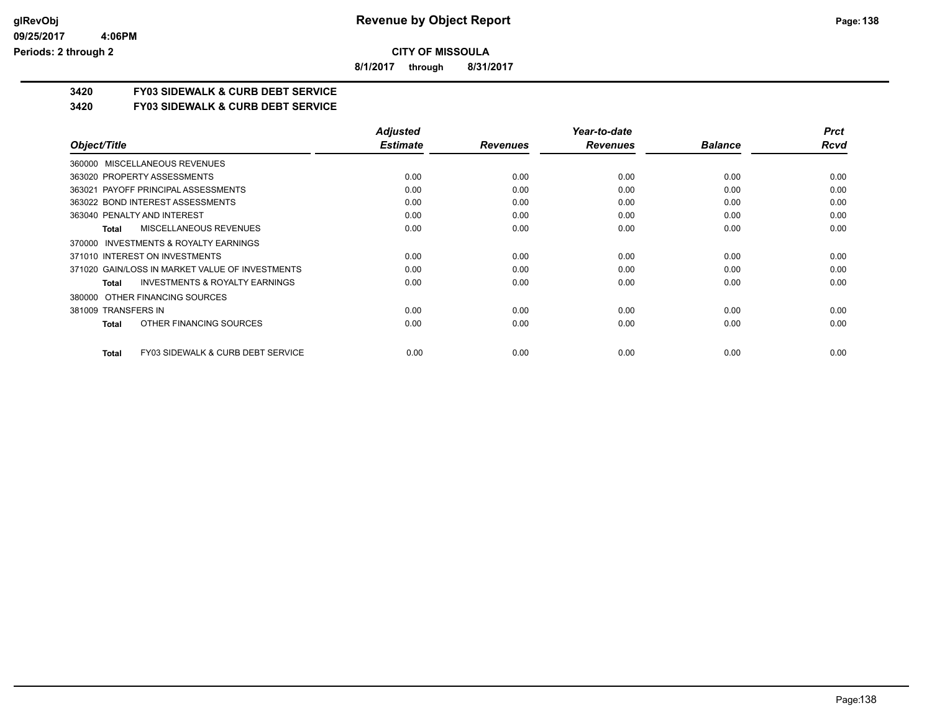**8/1/2017 through 8/31/2017**

# **3420 FY03 SIDEWALK & CURB DEBT SERVICE**

# **3420 FY03 SIDEWALK & CURB DEBT SERVICE**

|                                                     | <b>Adjusted</b> |                 | Year-to-date    |                | <b>Prct</b> |
|-----------------------------------------------------|-----------------|-----------------|-----------------|----------------|-------------|
| Object/Title                                        | <b>Estimate</b> | <b>Revenues</b> | <b>Revenues</b> | <b>Balance</b> | Rcvd        |
| MISCELLANEOUS REVENUES<br>360000                    |                 |                 |                 |                |             |
| 363020 PROPERTY ASSESSMENTS                         | 0.00            | 0.00            | 0.00            | 0.00           | 0.00        |
| 363021 PAYOFF PRINCIPAL ASSESSMENTS                 | 0.00            | 0.00            | 0.00            | 0.00           | 0.00        |
| 363022 BOND INTEREST ASSESSMENTS                    | 0.00            | 0.00            | 0.00            | 0.00           | 0.00        |
| 363040 PENALTY AND INTEREST                         | 0.00            | 0.00            | 0.00            | 0.00           | 0.00        |
| MISCELLANEOUS REVENUES<br><b>Total</b>              | 0.00            | 0.00            | 0.00            | 0.00           | 0.00        |
| <b>INVESTMENTS &amp; ROYALTY EARNINGS</b><br>370000 |                 |                 |                 |                |             |
| 371010 INTEREST ON INVESTMENTS                      | 0.00            | 0.00            | 0.00            | 0.00           | 0.00        |
| 371020 GAIN/LOSS IN MARKET VALUE OF INVESTMENTS     | 0.00            | 0.00            | 0.00            | 0.00           | 0.00        |
| <b>INVESTMENTS &amp; ROYALTY EARNINGS</b><br>Total  | 0.00            | 0.00            | 0.00            | 0.00           | 0.00        |
| OTHER FINANCING SOURCES<br>380000                   |                 |                 |                 |                |             |
| 381009 TRANSFERS IN                                 | 0.00            | 0.00            | 0.00            | 0.00           | 0.00        |
| OTHER FINANCING SOURCES<br><b>Total</b>             | 0.00            | 0.00            | 0.00            | 0.00           | 0.00        |
| FY03 SIDEWALK & CURB DEBT SERVICE<br><b>Total</b>   | 0.00            | 0.00            | 0.00            | 0.00           | 0.00        |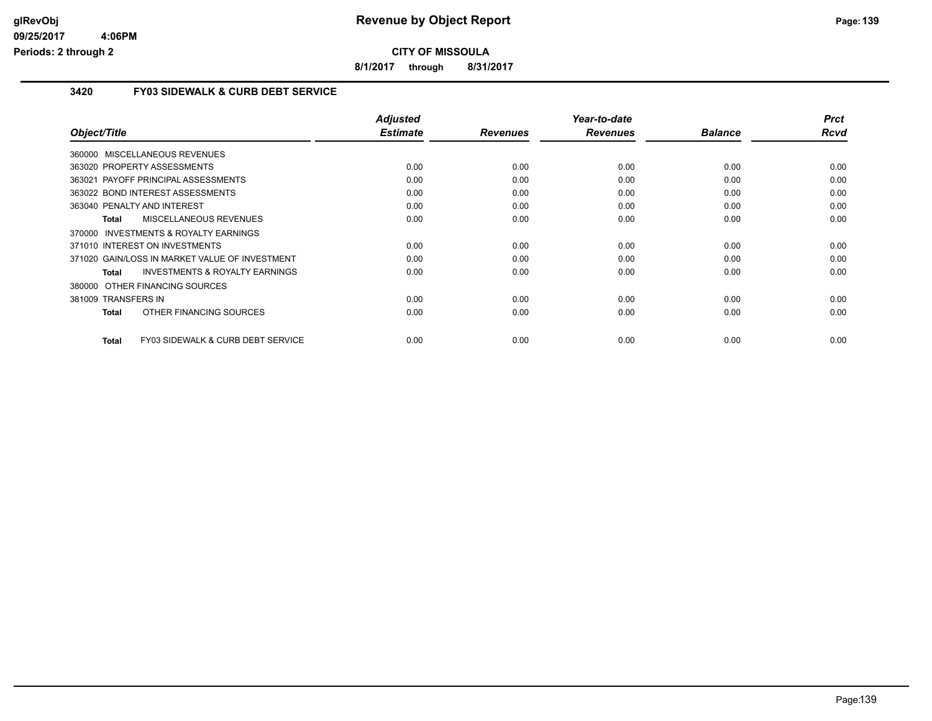**8/1/2017 through 8/31/2017**

# **3420 FY03 SIDEWALK & CURB DEBT SERVICE**

| Object/Title                                       | <b>Adjusted</b><br><b>Estimate</b> | <b>Revenues</b> | Year-to-date<br><b>Revenues</b> | <b>Balance</b> | <b>Prct</b><br>Rcvd |
|----------------------------------------------------|------------------------------------|-----------------|---------------------------------|----------------|---------------------|
| 360000 MISCELLANEOUS REVENUES                      |                                    |                 |                                 |                |                     |
|                                                    |                                    |                 |                                 |                |                     |
| 363020 PROPERTY ASSESSMENTS                        | 0.00                               | 0.00            | 0.00                            | 0.00           | 0.00                |
| 363021 PAYOFF PRINCIPAL ASSESSMENTS                | 0.00                               | 0.00            | 0.00                            | 0.00           | 0.00                |
| 363022 BOND INTEREST ASSESSMENTS                   | 0.00                               | 0.00            | 0.00                            | 0.00           | 0.00                |
| 363040 PENALTY AND INTEREST                        | 0.00                               | 0.00            | 0.00                            | 0.00           | 0.00                |
| MISCELLANEOUS REVENUES<br>Total                    | 0.00                               | 0.00            | 0.00                            | 0.00           | 0.00                |
| 370000 INVESTMENTS & ROYALTY EARNINGS              |                                    |                 |                                 |                |                     |
| 371010 INTEREST ON INVESTMENTS                     | 0.00                               | 0.00            | 0.00                            | 0.00           | 0.00                |
| 371020 GAIN/LOSS IN MARKET VALUE OF INVESTMENT     | 0.00                               | 0.00            | 0.00                            | 0.00           | 0.00                |
| <b>INVESTMENTS &amp; ROYALTY EARNINGS</b><br>Total | 0.00                               | 0.00            | 0.00                            | 0.00           | 0.00                |
| 380000 OTHER FINANCING SOURCES                     |                                    |                 |                                 |                |                     |
| 381009 TRANSFERS IN                                | 0.00                               | 0.00            | 0.00                            | 0.00           | 0.00                |
| OTHER FINANCING SOURCES<br>Total                   | 0.00                               | 0.00            | 0.00                            | 0.00           | 0.00                |
| FY03 SIDEWALK & CURB DEBT SERVICE<br>Total         | 0.00                               | 0.00            | 0.00                            | 0.00           | 0.00                |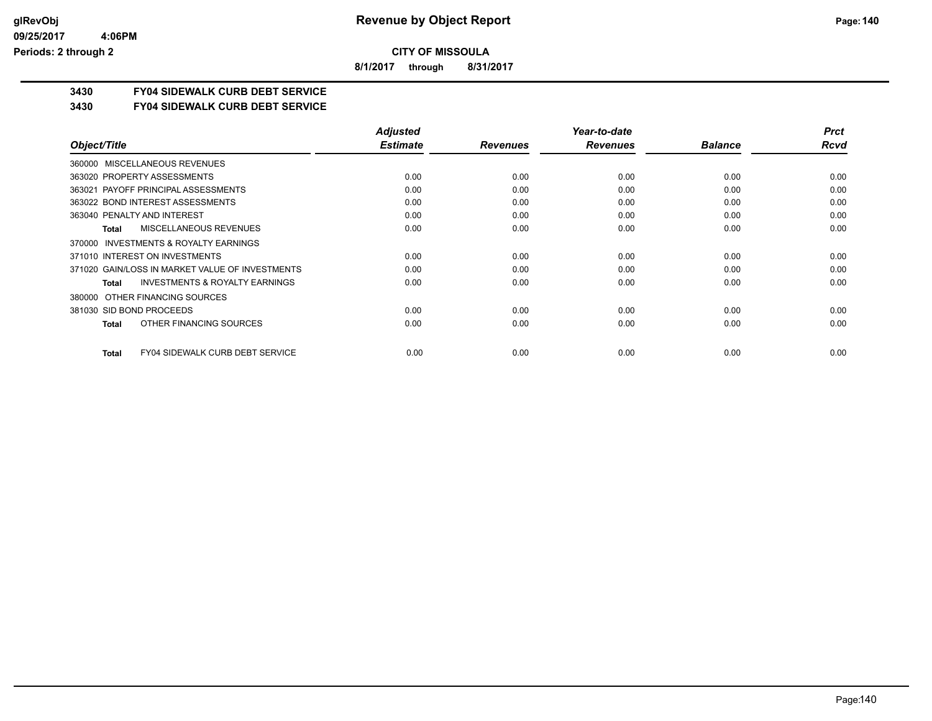**8/1/2017 through 8/31/2017**

# **3430 FY04 SIDEWALK CURB DEBT SERVICE**

# **3430 FY04 SIDEWALK CURB DEBT SERVICE**

|                                                    | <b>Adjusted</b> |                 | Year-to-date    |                | <b>Prct</b> |
|----------------------------------------------------|-----------------|-----------------|-----------------|----------------|-------------|
| Object/Title                                       | <b>Estimate</b> | <b>Revenues</b> | <b>Revenues</b> | <b>Balance</b> | <b>Rcvd</b> |
| 360000 MISCELLANEOUS REVENUES                      |                 |                 |                 |                |             |
| 363020 PROPERTY ASSESSMENTS                        | 0.00            | 0.00            | 0.00            | 0.00           | 0.00        |
| 363021 PAYOFF PRINCIPAL ASSESSMENTS                | 0.00            | 0.00            | 0.00            | 0.00           | 0.00        |
| 363022 BOND INTEREST ASSESSMENTS                   | 0.00            | 0.00            | 0.00            | 0.00           | 0.00        |
| 363040 PENALTY AND INTEREST                        | 0.00            | 0.00            | 0.00            | 0.00           | 0.00        |
| MISCELLANEOUS REVENUES<br>Total                    | 0.00            | 0.00            | 0.00            | 0.00           | 0.00        |
| 370000 INVESTMENTS & ROYALTY EARNINGS              |                 |                 |                 |                |             |
| 371010 INTEREST ON INVESTMENTS                     | 0.00            | 0.00            | 0.00            | 0.00           | 0.00        |
| 371020 GAIN/LOSS IN MARKET VALUE OF INVESTMENTS    | 0.00            | 0.00            | 0.00            | 0.00           | 0.00        |
| <b>INVESTMENTS &amp; ROYALTY EARNINGS</b><br>Total | 0.00            | 0.00            | 0.00            | 0.00           | 0.00        |
| OTHER FINANCING SOURCES<br>380000                  |                 |                 |                 |                |             |
| 381030 SID BOND PROCEEDS                           | 0.00            | 0.00            | 0.00            | 0.00           | 0.00        |
| OTHER FINANCING SOURCES<br>Total                   | 0.00            | 0.00            | 0.00            | 0.00           | 0.00        |
| FY04 SIDEWALK CURB DEBT SERVICE<br><b>Total</b>    | 0.00            | 0.00            | 0.00            | 0.00           | 0.00        |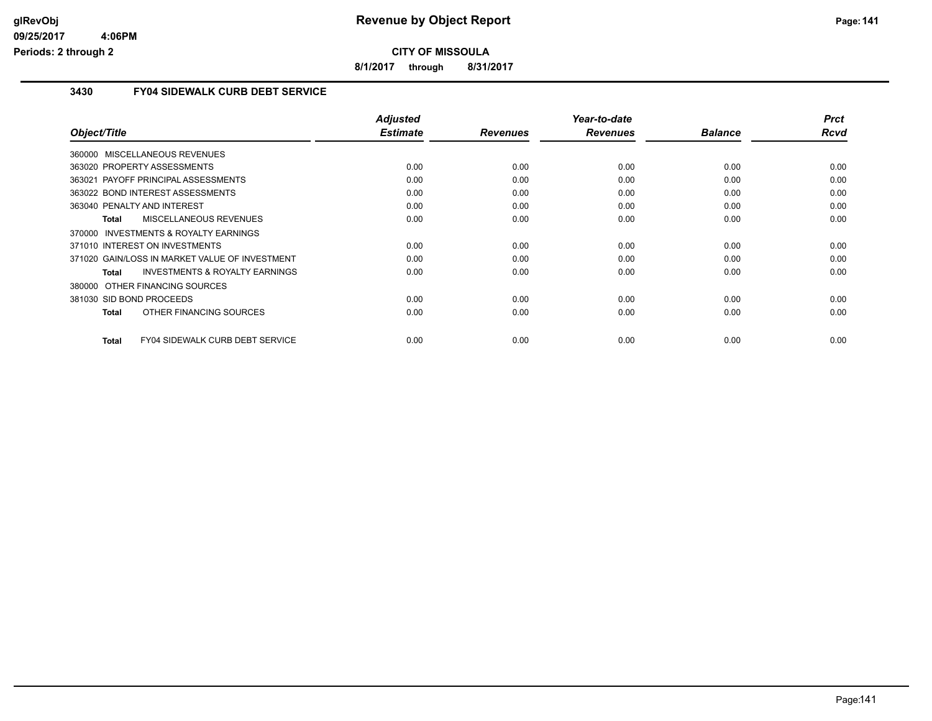**8/1/2017 through 8/31/2017**

# **3430 FY04 SIDEWALK CURB DEBT SERVICE**

| Object/Title                                       | <b>Adjusted</b><br><b>Estimate</b> | <b>Revenues</b> | Year-to-date<br><b>Revenues</b> | <b>Balance</b> | <b>Prct</b><br>Rcvd |
|----------------------------------------------------|------------------------------------|-----------------|---------------------------------|----------------|---------------------|
| 360000 MISCELLANEOUS REVENUES                      |                                    |                 |                                 |                |                     |
| 363020 PROPERTY ASSESSMENTS                        | 0.00                               | 0.00            | 0.00                            | 0.00           | 0.00                |
|                                                    |                                    |                 |                                 |                |                     |
| 363021 PAYOFF PRINCIPAL ASSESSMENTS                | 0.00                               | 0.00            | 0.00                            | 0.00           | 0.00                |
| 363022 BOND INTEREST ASSESSMENTS                   | 0.00                               | 0.00            | 0.00                            | 0.00           | 0.00                |
| 363040 PENALTY AND INTEREST                        | 0.00                               | 0.00            | 0.00                            | 0.00           | 0.00                |
| MISCELLANEOUS REVENUES<br>Total                    | 0.00                               | 0.00            | 0.00                            | 0.00           | 0.00                |
| 370000 INVESTMENTS & ROYALTY EARNINGS              |                                    |                 |                                 |                |                     |
| 371010 INTEREST ON INVESTMENTS                     | 0.00                               | 0.00            | 0.00                            | 0.00           | 0.00                |
| 371020 GAIN/LOSS IN MARKET VALUE OF INVESTMENT     | 0.00                               | 0.00            | 0.00                            | 0.00           | 0.00                |
| <b>INVESTMENTS &amp; ROYALTY EARNINGS</b><br>Total | 0.00                               | 0.00            | 0.00                            | 0.00           | 0.00                |
| 380000 OTHER FINANCING SOURCES                     |                                    |                 |                                 |                |                     |
| 381030 SID BOND PROCEEDS                           | 0.00                               | 0.00            | 0.00                            | 0.00           | 0.00                |
| OTHER FINANCING SOURCES<br>Total                   | 0.00                               | 0.00            | 0.00                            | 0.00           | 0.00                |
|                                                    |                                    |                 |                                 |                |                     |
| FY04 SIDEWALK CURB DEBT SERVICE<br>Total           | 0.00                               | 0.00            | 0.00                            | 0.00           | 0.00                |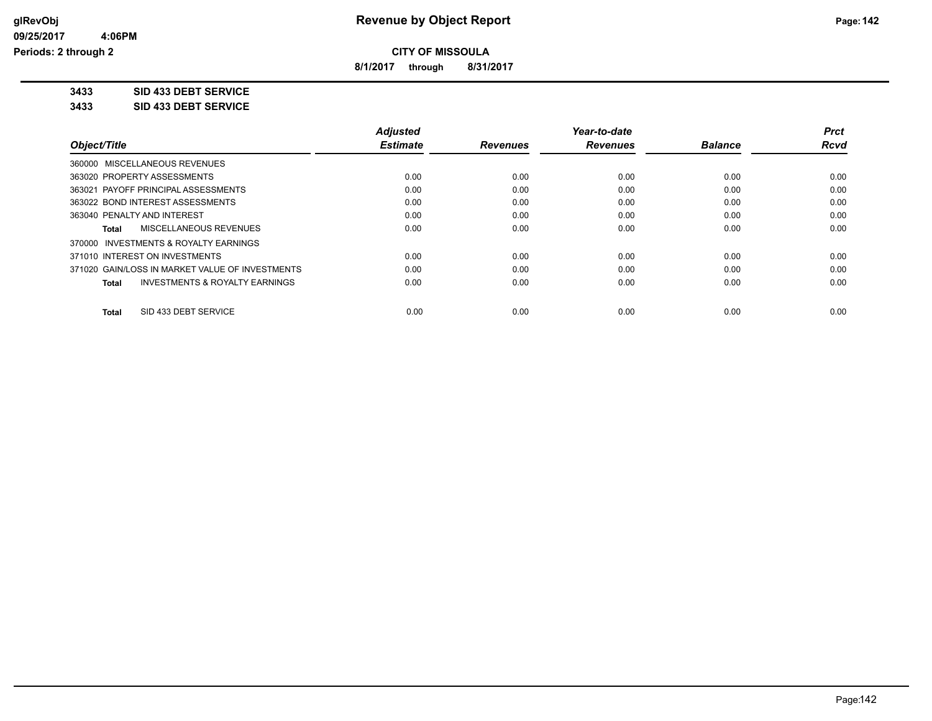**8/1/2017 through 8/31/2017**

**3433 SID 433 DEBT SERVICE**

**3433 SID 433 DEBT SERVICE**

|                                                 | <b>Adiusted</b> |                 | Year-to-date    |                | <b>Prct</b> |
|-------------------------------------------------|-----------------|-----------------|-----------------|----------------|-------------|
| Object/Title                                    | <b>Estimate</b> | <b>Revenues</b> | <b>Revenues</b> | <b>Balance</b> | <b>Rcvd</b> |
| 360000 MISCELLANEOUS REVENUES                   |                 |                 |                 |                |             |
| 363020 PROPERTY ASSESSMENTS                     | 0.00            | 0.00            | 0.00            | 0.00           | 0.00        |
| 363021 PAYOFF PRINCIPAL ASSESSMENTS             | 0.00            | 0.00            | 0.00            | 0.00           | 0.00        |
| 363022 BOND INTEREST ASSESSMENTS                | 0.00            | 0.00            | 0.00            | 0.00           | 0.00        |
| 363040 PENALTY AND INTEREST                     | 0.00            | 0.00            | 0.00            | 0.00           | 0.00        |
| MISCELLANEOUS REVENUES<br>Total                 | 0.00            | 0.00            | 0.00            | 0.00           | 0.00        |
| 370000 INVESTMENTS & ROYALTY EARNINGS           |                 |                 |                 |                |             |
| 371010 INTEREST ON INVESTMENTS                  | 0.00            | 0.00            | 0.00            | 0.00           | 0.00        |
| 371020 GAIN/LOSS IN MARKET VALUE OF INVESTMENTS | 0.00            | 0.00            | 0.00            | 0.00           | 0.00        |
| INVESTMENTS & ROYALTY EARNINGS<br><b>Total</b>  | 0.00            | 0.00            | 0.00            | 0.00           | 0.00        |
| SID 433 DEBT SERVICE<br>Total                   | 0.00            | 0.00            | 0.00            | 0.00           | 0.00        |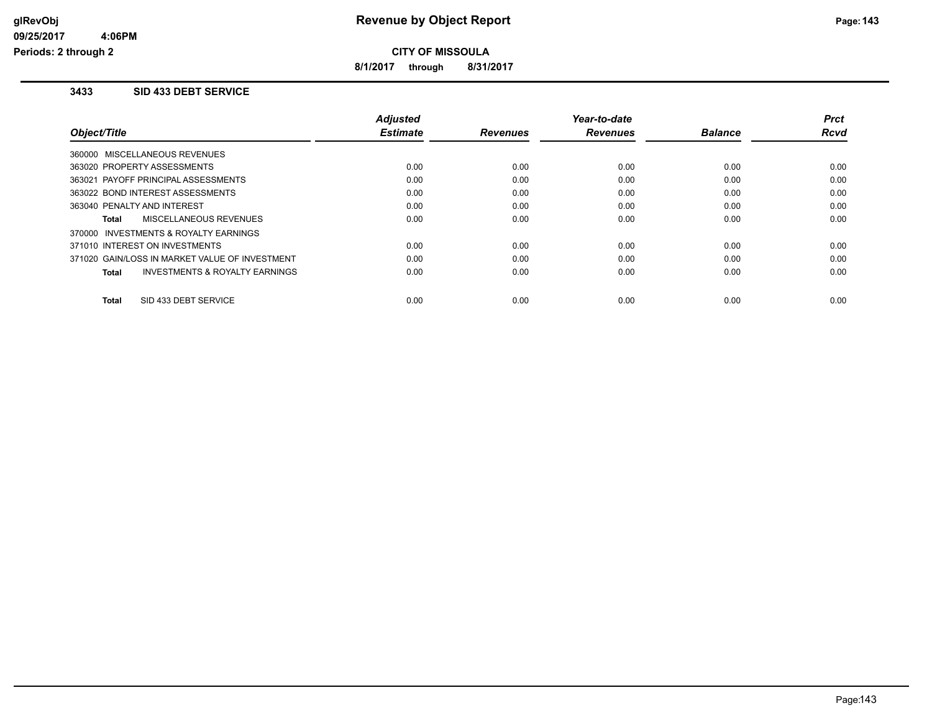**8/1/2017 through 8/31/2017**

# **3433 SID 433 DEBT SERVICE**

|                                                     | <b>Adjusted</b> |                 | Year-to-date    |                | <b>Prct</b> |
|-----------------------------------------------------|-----------------|-----------------|-----------------|----------------|-------------|
| Object/Title                                        | <b>Estimate</b> | <b>Revenues</b> | <b>Revenues</b> | <b>Balance</b> | <b>Rcvd</b> |
| 360000 MISCELLANEOUS REVENUES                       |                 |                 |                 |                |             |
| 363020 PROPERTY ASSESSMENTS                         | 0.00            | 0.00            | 0.00            | 0.00           | 0.00        |
| 363021 PAYOFF PRINCIPAL ASSESSMENTS                 | 0.00            | 0.00            | 0.00            | 0.00           | 0.00        |
| 363022 BOND INTEREST ASSESSMENTS                    | 0.00            | 0.00            | 0.00            | 0.00           | 0.00        |
| 363040 PENALTY AND INTEREST                         | 0.00            | 0.00            | 0.00            | 0.00           | 0.00        |
| MISCELLANEOUS REVENUES<br>Total                     | 0.00            | 0.00            | 0.00            | 0.00           | 0.00        |
| <b>INVESTMENTS &amp; ROYALTY EARNINGS</b><br>370000 |                 |                 |                 |                |             |
| 371010 INTEREST ON INVESTMENTS                      | 0.00            | 0.00            | 0.00            | 0.00           | 0.00        |
| 371020 GAIN/LOSS IN MARKET VALUE OF INVESTMENT      | 0.00            | 0.00            | 0.00            | 0.00           | 0.00        |
| <b>INVESTMENTS &amp; ROYALTY EARNINGS</b><br>Total  | 0.00            | 0.00            | 0.00            | 0.00           | 0.00        |
|                                                     |                 |                 |                 |                |             |
| SID 433 DEBT SERVICE<br>Total                       | 0.00            | 0.00            | 0.00            | 0.00           | 0.00        |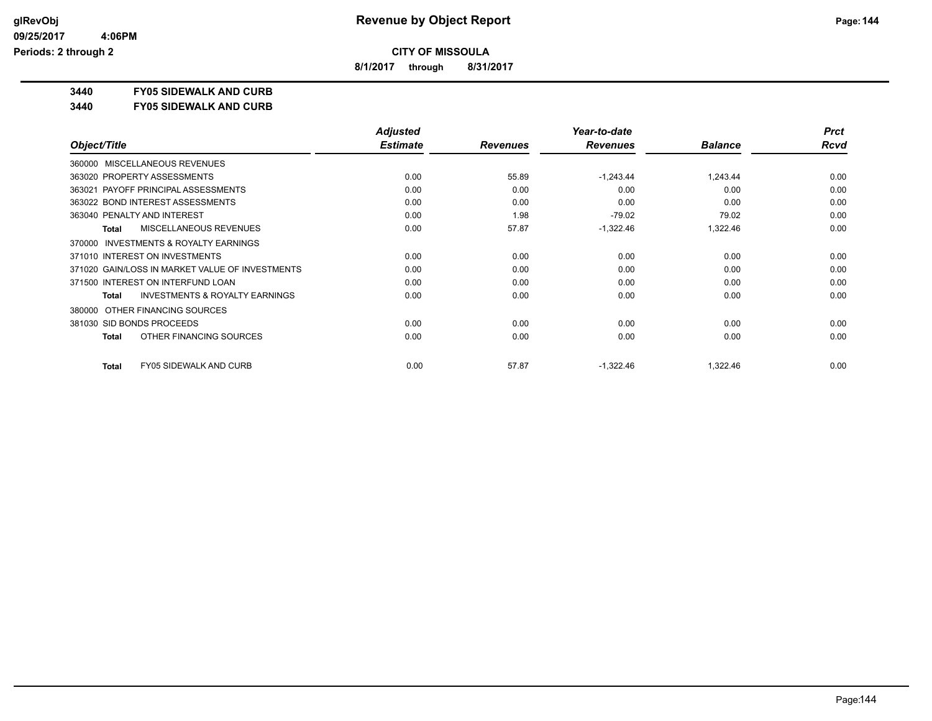**8/1/2017 through 8/31/2017**

**3440 FY05 SIDEWALK AND CURB**

**3440 FY05 SIDEWALK AND CURB**

|                                                           | <b>Adjusted</b> |                 | Year-to-date    |                | <b>Prct</b> |
|-----------------------------------------------------------|-----------------|-----------------|-----------------|----------------|-------------|
| Object/Title                                              | <b>Estimate</b> | <b>Revenues</b> | <b>Revenues</b> | <b>Balance</b> | Rcvd        |
| 360000 MISCELLANEOUS REVENUES                             |                 |                 |                 |                |             |
| 363020 PROPERTY ASSESSMENTS                               | 0.00            | 55.89           | $-1,243.44$     | 1,243.44       | 0.00        |
| 363021 PAYOFF PRINCIPAL ASSESSMENTS                       | 0.00            | 0.00            | 0.00            | 0.00           | 0.00        |
| 363022 BOND INTEREST ASSESSMENTS                          | 0.00            | 0.00            | 0.00            | 0.00           | 0.00        |
| 363040 PENALTY AND INTEREST                               | 0.00            | 1.98            | $-79.02$        | 79.02          | 0.00        |
| <b>MISCELLANEOUS REVENUES</b><br><b>Total</b>             | 0.00            | 57.87           | $-1,322.46$     | 1,322.46       | 0.00        |
| INVESTMENTS & ROYALTY EARNINGS<br>370000                  |                 |                 |                 |                |             |
| 371010 INTEREST ON INVESTMENTS                            | 0.00            | 0.00            | 0.00            | 0.00           | 0.00        |
| 371020 GAIN/LOSS IN MARKET VALUE OF INVESTMENTS           | 0.00            | 0.00            | 0.00            | 0.00           | 0.00        |
| 371500 INTEREST ON INTERFUND LOAN                         | 0.00            | 0.00            | 0.00            | 0.00           | 0.00        |
| <b>INVESTMENTS &amp; ROYALTY EARNINGS</b><br><b>Total</b> | 0.00            | 0.00            | 0.00            | 0.00           | 0.00        |
| OTHER FINANCING SOURCES<br>380000                         |                 |                 |                 |                |             |
| 381030 SID BONDS PROCEEDS                                 | 0.00            | 0.00            | 0.00            | 0.00           | 0.00        |
| OTHER FINANCING SOURCES<br>Total                          | 0.00            | 0.00            | 0.00            | 0.00           | 0.00        |
| <b>FY05 SIDEWALK AND CURB</b><br><b>Total</b>             | 0.00            | 57.87           | $-1,322.46$     | 1,322.46       | 0.00        |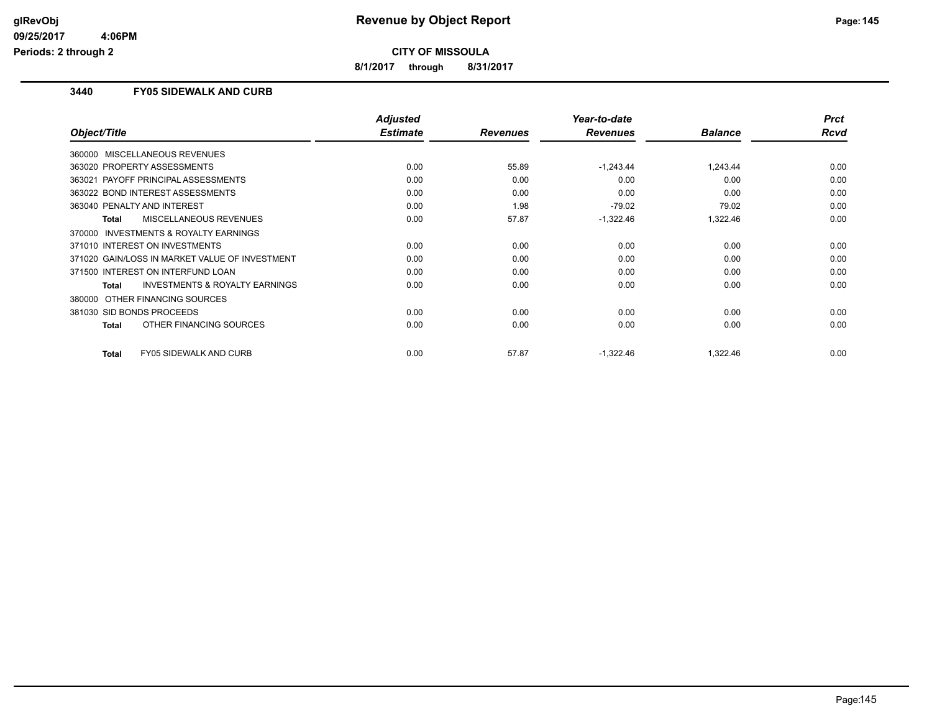**8/1/2017 through 8/31/2017**

## **3440 FY05 SIDEWALK AND CURB**

|                                                     | <b>Adjusted</b> |                 | Year-to-date    |                | <b>Prct</b> |
|-----------------------------------------------------|-----------------|-----------------|-----------------|----------------|-------------|
| Object/Title                                        | <b>Estimate</b> | <b>Revenues</b> | <b>Revenues</b> | <b>Balance</b> | <b>Rcvd</b> |
| 360000 MISCELLANEOUS REVENUES                       |                 |                 |                 |                |             |
| 363020 PROPERTY ASSESSMENTS                         | 0.00            | 55.89           | $-1,243.44$     | 1,243.44       | 0.00        |
| 363021 PAYOFF PRINCIPAL ASSESSMENTS                 | 0.00            | 0.00            | 0.00            | 0.00           | 0.00        |
| 363022 BOND INTEREST ASSESSMENTS                    | 0.00            | 0.00            | 0.00            | 0.00           | 0.00        |
| 363040 PENALTY AND INTEREST                         | 0.00            | 1.98            | $-79.02$        | 79.02          | 0.00        |
| <b>MISCELLANEOUS REVENUES</b><br><b>Total</b>       | 0.00            | 57.87           | $-1,322.46$     | 1,322.46       | 0.00        |
| <b>INVESTMENTS &amp; ROYALTY EARNINGS</b><br>370000 |                 |                 |                 |                |             |
| 371010 INTEREST ON INVESTMENTS                      | 0.00            | 0.00            | 0.00            | 0.00           | 0.00        |
| 371020 GAIN/LOSS IN MARKET VALUE OF INVESTMENT      | 0.00            | 0.00            | 0.00            | 0.00           | 0.00        |
| 371500 INTEREST ON INTERFUND LOAN                   | 0.00            | 0.00            | 0.00            | 0.00           | 0.00        |
| <b>INVESTMENTS &amp; ROYALTY EARNINGS</b><br>Total  | 0.00            | 0.00            | 0.00            | 0.00           | 0.00        |
| 380000 OTHER FINANCING SOURCES                      |                 |                 |                 |                |             |
| 381030 SID BONDS PROCEEDS                           | 0.00            | 0.00            | 0.00            | 0.00           | 0.00        |
| OTHER FINANCING SOURCES<br>Total                    | 0.00            | 0.00            | 0.00            | 0.00           | 0.00        |
| <b>FY05 SIDEWALK AND CURB</b><br>Total              | 0.00            | 57.87           | $-1,322.46$     | 1,322.46       | 0.00        |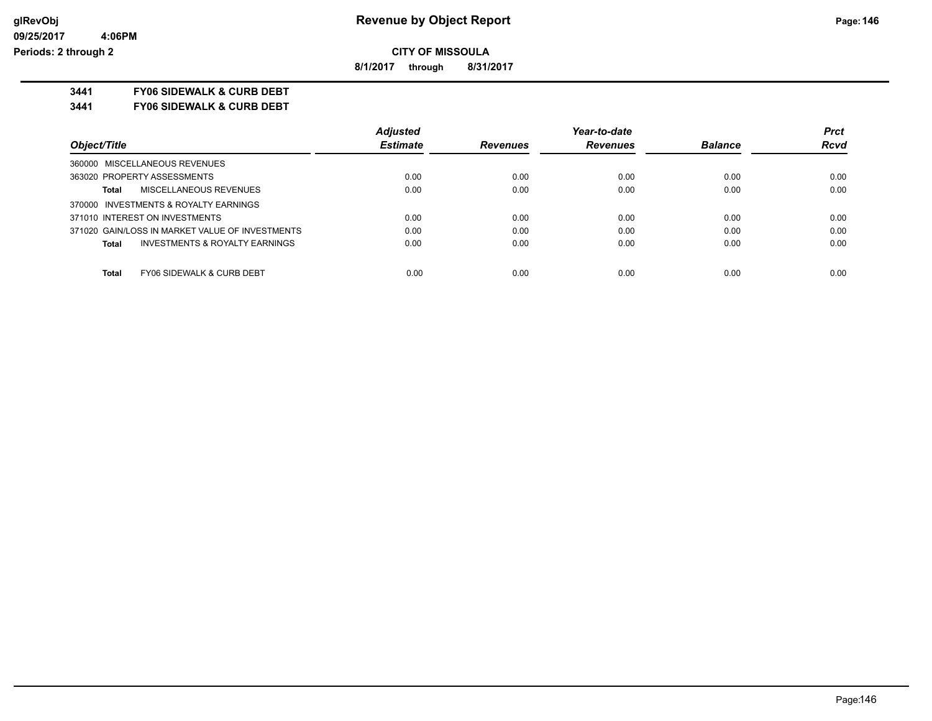**8/1/2017 through 8/31/2017**

**3441 FY06 SIDEWALK & CURB DEBT**

**3441 FY06 SIDEWALK & CURB DEBT**

|                                                 | <b>Adjusted</b> |                 | Year-to-date    |                | <b>Prct</b> |
|-------------------------------------------------|-----------------|-----------------|-----------------|----------------|-------------|
| Object/Title                                    | <b>Estimate</b> | <b>Revenues</b> | <b>Revenues</b> | <b>Balance</b> | <b>Rcvd</b> |
| 360000 MISCELLANEOUS REVENUES                   |                 |                 |                 |                |             |
| 363020 PROPERTY ASSESSMENTS                     | 0.00            | 0.00            | 0.00            | 0.00           | 0.00        |
| MISCELLANEOUS REVENUES<br>Total                 | 0.00            | 0.00            | 0.00            | 0.00           | 0.00        |
| 370000 INVESTMENTS & ROYALTY EARNINGS           |                 |                 |                 |                |             |
| 371010 INTEREST ON INVESTMENTS                  | 0.00            | 0.00            | 0.00            | 0.00           | 0.00        |
| 371020 GAIN/LOSS IN MARKET VALUE OF INVESTMENTS | 0.00            | 0.00            | 0.00            | 0.00           | 0.00        |
| INVESTMENTS & ROYALTY EARNINGS<br>Total         | 0.00            | 0.00            | 0.00            | 0.00           | 0.00        |
|                                                 |                 |                 |                 |                |             |
| <b>FY06 SIDEWALK &amp; CURB DEBT</b><br>Total   | 0.00            | 0.00            | 0.00            | 0.00           | 0.00        |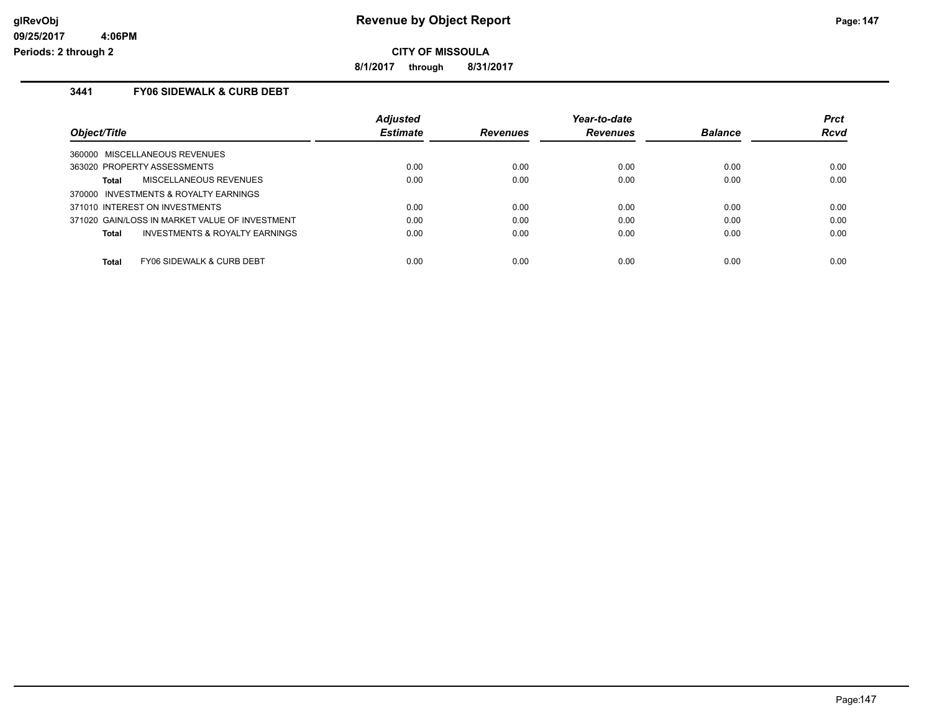**Periods: 2 through 2**

**CITY OF MISSOULA**

**8/1/2017 through 8/31/2017**

# **3441 FY06 SIDEWALK & CURB DEBT**

|                                                | <b>Adjusted</b> |                 | Year-to-date    |                | <b>Prct</b> |
|------------------------------------------------|-----------------|-----------------|-----------------|----------------|-------------|
| Object/Title                                   | <b>Estimate</b> | <b>Revenues</b> | <b>Revenues</b> | <b>Balance</b> | <b>Rcvd</b> |
| 360000 MISCELLANEOUS REVENUES                  |                 |                 |                 |                |             |
| 363020 PROPERTY ASSESSMENTS                    | 0.00            | 0.00            | 0.00            | 0.00           | 0.00        |
| MISCELLANEOUS REVENUES<br>Total                | 0.00            | 0.00            | 0.00            | 0.00           | 0.00        |
| 370000 INVESTMENTS & ROYALTY EARNINGS          |                 |                 |                 |                |             |
| 371010 INTEREST ON INVESTMENTS                 | 0.00            | 0.00            | 0.00            | 0.00           | 0.00        |
| 371020 GAIN/LOSS IN MARKET VALUE OF INVESTMENT | 0.00            | 0.00            | 0.00            | 0.00           | 0.00        |
| INVESTMENTS & ROYALTY EARNINGS<br>Total        | 0.00            | 0.00            | 0.00            | 0.00           | 0.00        |
| Total<br><b>FY06 SIDEWALK &amp; CURB DEBT</b>  | 0.00            | 0.00            | 0.00            | 0.00           | 0.00        |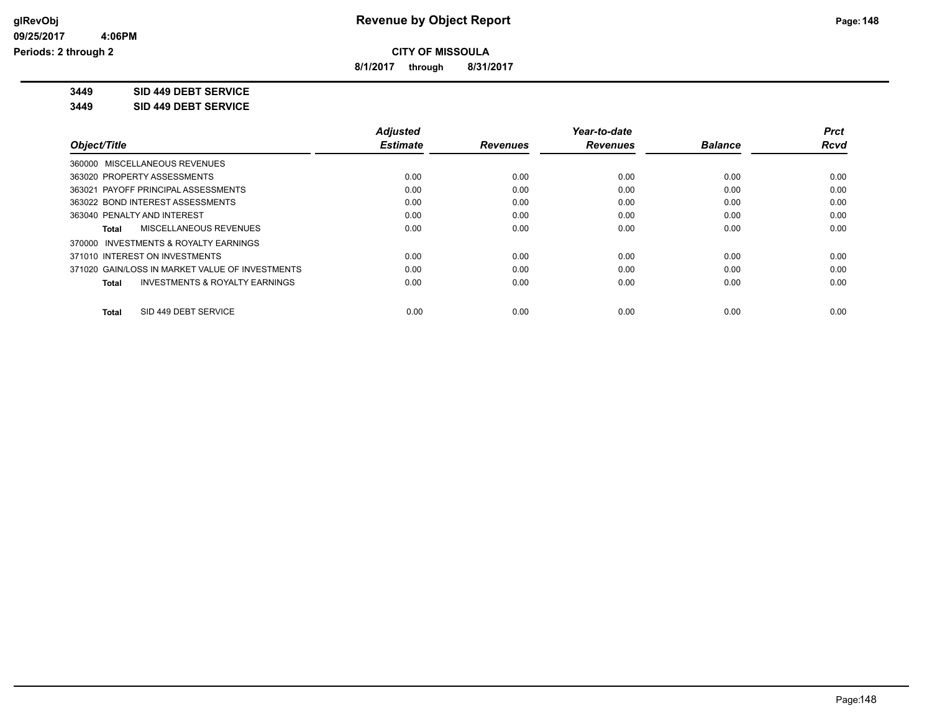**8/1/2017 through 8/31/2017**

**3449 SID 449 DEBT SERVICE**

**3449 SID 449 DEBT SERVICE**

|                                                           | <b>Adjusted</b> |                 | Year-to-date    |                | <b>Prct</b> |
|-----------------------------------------------------------|-----------------|-----------------|-----------------|----------------|-------------|
| Object/Title                                              | <b>Estimate</b> | <b>Revenues</b> | <b>Revenues</b> | <b>Balance</b> | Rcvd        |
| 360000 MISCELLANEOUS REVENUES                             |                 |                 |                 |                |             |
| 363020 PROPERTY ASSESSMENTS                               | 0.00            | 0.00            | 0.00            | 0.00           | 0.00        |
| 363021 PAYOFF PRINCIPAL ASSESSMENTS                       | 0.00            | 0.00            | 0.00            | 0.00           | 0.00        |
| 363022 BOND INTEREST ASSESSMENTS                          | 0.00            | 0.00            | 0.00            | 0.00           | 0.00        |
| 363040 PENALTY AND INTEREST                               | 0.00            | 0.00            | 0.00            | 0.00           | 0.00        |
| MISCELLANEOUS REVENUES<br>Total                           | 0.00            | 0.00            | 0.00            | 0.00           | 0.00        |
| 370000 INVESTMENTS & ROYALTY EARNINGS                     |                 |                 |                 |                |             |
| 371010 INTEREST ON INVESTMENTS                            | 0.00            | 0.00            | 0.00            | 0.00           | 0.00        |
| 371020 GAIN/LOSS IN MARKET VALUE OF INVESTMENTS           | 0.00            | 0.00            | 0.00            | 0.00           | 0.00        |
| <b>INVESTMENTS &amp; ROYALTY EARNINGS</b><br><b>Total</b> | 0.00            | 0.00            | 0.00            | 0.00           | 0.00        |
| SID 449 DEBT SERVICE<br><b>Total</b>                      | 0.00            | 0.00            | 0.00            | 0.00           | 0.00        |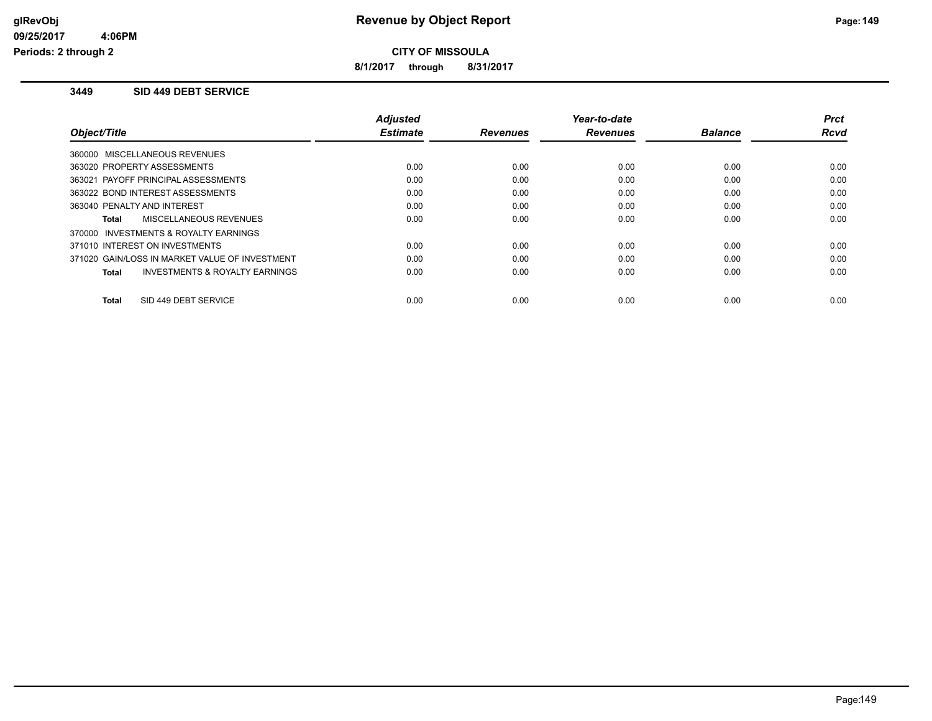**8/1/2017 through 8/31/2017**

### **3449 SID 449 DEBT SERVICE**

|                                                     | <b>Adjusted</b> |                 | Year-to-date    |                | <b>Prct</b> |
|-----------------------------------------------------|-----------------|-----------------|-----------------|----------------|-------------|
| Object/Title                                        | <b>Estimate</b> | <b>Revenues</b> | <b>Revenues</b> | <b>Balance</b> | <b>Rcvd</b> |
| 360000 MISCELLANEOUS REVENUES                       |                 |                 |                 |                |             |
| 363020 PROPERTY ASSESSMENTS                         | 0.00            | 0.00            | 0.00            | 0.00           | 0.00        |
| 363021 PAYOFF PRINCIPAL ASSESSMENTS                 | 0.00            | 0.00            | 0.00            | 0.00           | 0.00        |
| 363022 BOND INTEREST ASSESSMENTS                    | 0.00            | 0.00            | 0.00            | 0.00           | 0.00        |
| 363040 PENALTY AND INTEREST                         | 0.00            | 0.00            | 0.00            | 0.00           | 0.00        |
| <b>MISCELLANEOUS REVENUES</b><br>Total              | 0.00            | 0.00            | 0.00            | 0.00           | 0.00        |
| <b>INVESTMENTS &amp; ROYALTY EARNINGS</b><br>370000 |                 |                 |                 |                |             |
| 371010 INTEREST ON INVESTMENTS                      | 0.00            | 0.00            | 0.00            | 0.00           | 0.00        |
| 371020 GAIN/LOSS IN MARKET VALUE OF INVESTMENT      | 0.00            | 0.00            | 0.00            | 0.00           | 0.00        |
| <b>INVESTMENTS &amp; ROYALTY EARNINGS</b><br>Total  | 0.00            | 0.00            | 0.00            | 0.00           | 0.00        |
|                                                     |                 |                 |                 |                |             |
| SID 449 DEBT SERVICE<br>Total                       | 0.00            | 0.00            | 0.00            | 0.00           | 0.00        |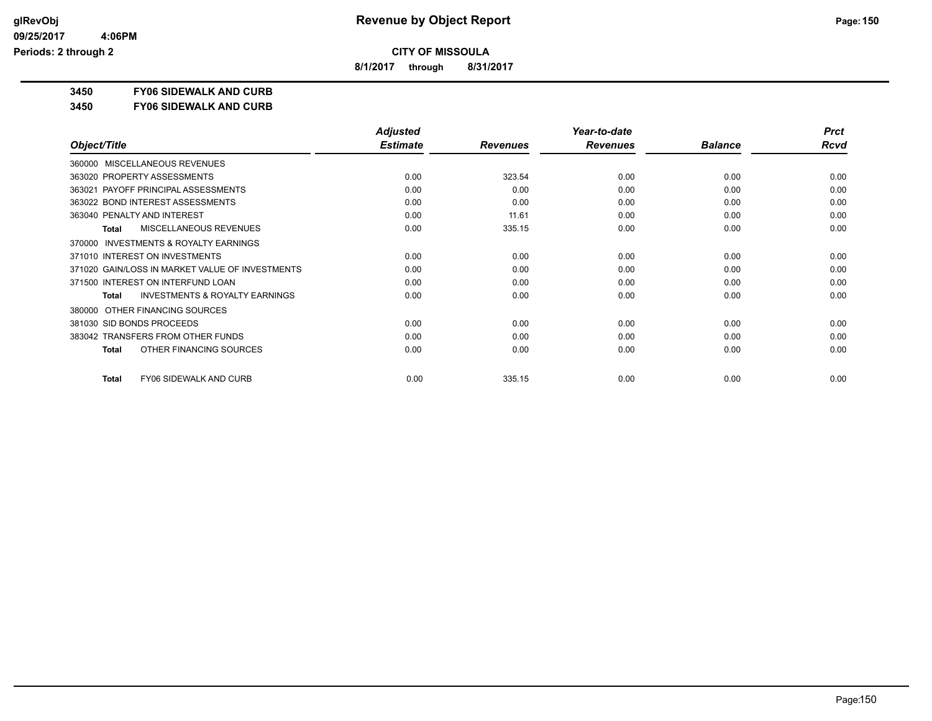**8/1/2017 through 8/31/2017**

**3450 FY06 SIDEWALK AND CURB**

**3450 FY06 SIDEWALK AND CURB**

|                                                    | <b>Adjusted</b> |                 | Year-to-date    |                | <b>Prct</b> |
|----------------------------------------------------|-----------------|-----------------|-----------------|----------------|-------------|
| Object/Title                                       | <b>Estimate</b> | <b>Revenues</b> | <b>Revenues</b> | <b>Balance</b> | <b>Rcvd</b> |
| 360000 MISCELLANEOUS REVENUES                      |                 |                 |                 |                |             |
| 363020 PROPERTY ASSESSMENTS                        | 0.00            | 323.54          | 0.00            | 0.00           | 0.00        |
| PAYOFF PRINCIPAL ASSESSMENTS<br>363021             | 0.00            | 0.00            | 0.00            | 0.00           | 0.00        |
| 363022 BOND INTEREST ASSESSMENTS                   | 0.00            | 0.00            | 0.00            | 0.00           | 0.00        |
| 363040 PENALTY AND INTEREST                        | 0.00            | 11.61           | 0.00            | 0.00           | 0.00        |
| MISCELLANEOUS REVENUES<br><b>Total</b>             | 0.00            | 335.15          | 0.00            | 0.00           | 0.00        |
| INVESTMENTS & ROYALTY EARNINGS<br>370000           |                 |                 |                 |                |             |
| 371010 INTEREST ON INVESTMENTS                     | 0.00            | 0.00            | 0.00            | 0.00           | 0.00        |
| 371020 GAIN/LOSS IN MARKET VALUE OF INVESTMENTS    | 0.00            | 0.00            | 0.00            | 0.00           | 0.00        |
| 371500 INTEREST ON INTERFUND LOAN                  | 0.00            | 0.00            | 0.00            | 0.00           | 0.00        |
| <b>INVESTMENTS &amp; ROYALTY EARNINGS</b><br>Total | 0.00            | 0.00            | 0.00            | 0.00           | 0.00        |
| OTHER FINANCING SOURCES<br>380000                  |                 |                 |                 |                |             |
| 381030 SID BONDS PROCEEDS                          | 0.00            | 0.00            | 0.00            | 0.00           | 0.00        |
| 383042 TRANSFERS FROM OTHER FUNDS                  | 0.00            | 0.00            | 0.00            | 0.00           | 0.00        |
| OTHER FINANCING SOURCES<br><b>Total</b>            | 0.00            | 0.00            | 0.00            | 0.00           | 0.00        |
| FY06 SIDEWALK AND CURB<br>Total                    | 0.00            | 335.15          | 0.00            | 0.00           | 0.00        |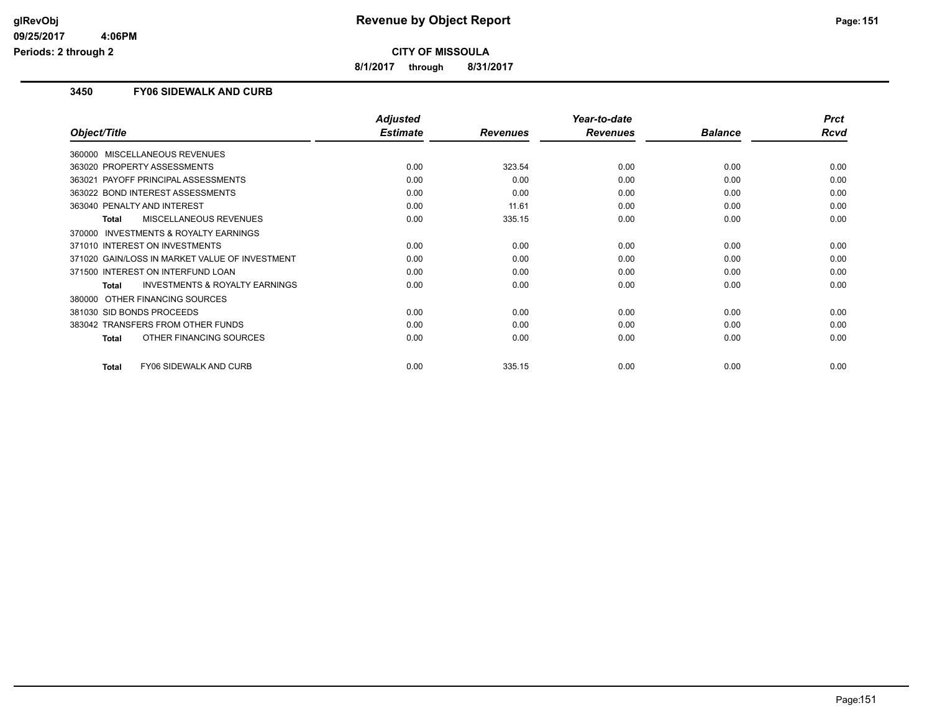**8/1/2017 through 8/31/2017**

## **3450 FY06 SIDEWALK AND CURB**

|                                                    | <b>Adjusted</b> |                 | Year-to-date    |                | <b>Prct</b> |
|----------------------------------------------------|-----------------|-----------------|-----------------|----------------|-------------|
| Object/Title                                       | <b>Estimate</b> | <b>Revenues</b> | <b>Revenues</b> | <b>Balance</b> | <b>Rcvd</b> |
| 360000 MISCELLANEOUS REVENUES                      |                 |                 |                 |                |             |
| 363020 PROPERTY ASSESSMENTS                        | 0.00            | 323.54          | 0.00            | 0.00           | 0.00        |
| PAYOFF PRINCIPAL ASSESSMENTS<br>363021             | 0.00            | 0.00            | 0.00            | 0.00           | 0.00        |
| 363022 BOND INTEREST ASSESSMENTS                   | 0.00            | 0.00            | 0.00            | 0.00           | 0.00        |
| 363040 PENALTY AND INTEREST                        | 0.00            | 11.61           | 0.00            | 0.00           | 0.00        |
| <b>MISCELLANEOUS REVENUES</b><br>Total             | 0.00            | 335.15          | 0.00            | 0.00           | 0.00        |
| 370000 INVESTMENTS & ROYALTY EARNINGS              |                 |                 |                 |                |             |
| 371010 INTEREST ON INVESTMENTS                     | 0.00            | 0.00            | 0.00            | 0.00           | 0.00        |
| 371020 GAIN/LOSS IN MARKET VALUE OF INVESTMENT     | 0.00            | 0.00            | 0.00            | 0.00           | 0.00        |
| 371500 INTEREST ON INTERFUND LOAN                  | 0.00            | 0.00            | 0.00            | 0.00           | 0.00        |
| <b>INVESTMENTS &amp; ROYALTY EARNINGS</b><br>Total | 0.00            | 0.00            | 0.00            | 0.00           | 0.00        |
| OTHER FINANCING SOURCES<br>380000                  |                 |                 |                 |                |             |
| 381030 SID BONDS PROCEEDS                          | 0.00            | 0.00            | 0.00            | 0.00           | 0.00        |
| 383042 TRANSFERS FROM OTHER FUNDS                  | 0.00            | 0.00            | 0.00            | 0.00           | 0.00        |
| OTHER FINANCING SOURCES<br>Total                   | 0.00            | 0.00            | 0.00            | 0.00           | 0.00        |
| FY06 SIDEWALK AND CURB<br><b>Total</b>             | 0.00            | 335.15          | 0.00            | 0.00           | 0.00        |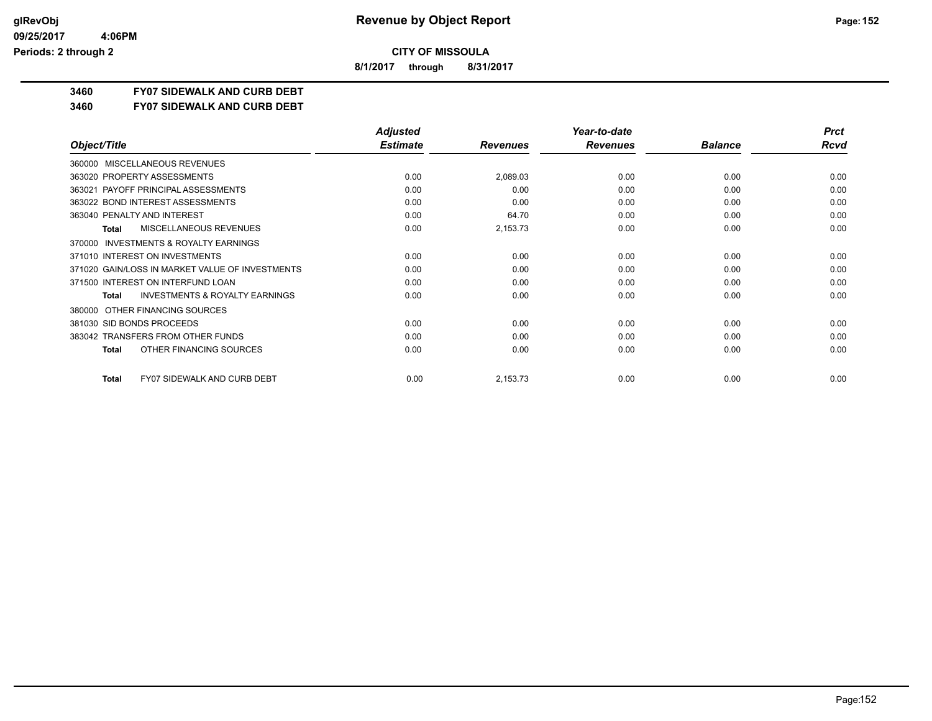**8/1/2017 through 8/31/2017**

**3460 FY07 SIDEWALK AND CURB DEBT**

#### **3460 FY07 SIDEWALK AND CURB DEBT**

|                                                           | <b>Adjusted</b> |                 | Year-to-date    |                | <b>Prct</b> |
|-----------------------------------------------------------|-----------------|-----------------|-----------------|----------------|-------------|
| Object/Title                                              | <b>Estimate</b> | <b>Revenues</b> | <b>Revenues</b> | <b>Balance</b> | Rcvd        |
| MISCELLANEOUS REVENUES<br>360000                          |                 |                 |                 |                |             |
| 363020 PROPERTY ASSESSMENTS                               | 0.00            | 2,089.03        | 0.00            | 0.00           | 0.00        |
| 363021 PAYOFF PRINCIPAL ASSESSMENTS                       | 0.00            | 0.00            | 0.00            | 0.00           | 0.00        |
| 363022 BOND INTEREST ASSESSMENTS                          | 0.00            | 0.00            | 0.00            | 0.00           | 0.00        |
| 363040 PENALTY AND INTEREST                               | 0.00            | 64.70           | 0.00            | 0.00           | 0.00        |
| <b>MISCELLANEOUS REVENUES</b><br>Total                    | 0.00            | 2,153.73        | 0.00            | 0.00           | 0.00        |
| <b>INVESTMENTS &amp; ROYALTY EARNINGS</b><br>370000       |                 |                 |                 |                |             |
| 371010 INTEREST ON INVESTMENTS                            | 0.00            | 0.00            | 0.00            | 0.00           | 0.00        |
| 371020 GAIN/LOSS IN MARKET VALUE OF INVESTMENTS           | 0.00            | 0.00            | 0.00            | 0.00           | 0.00        |
| 371500 INTEREST ON INTERFUND LOAN                         | 0.00            | 0.00            | 0.00            | 0.00           | 0.00        |
| <b>INVESTMENTS &amp; ROYALTY EARNINGS</b><br><b>Total</b> | 0.00            | 0.00            | 0.00            | 0.00           | 0.00        |
| OTHER FINANCING SOURCES<br>380000                         |                 |                 |                 |                |             |
| 381030 SID BONDS PROCEEDS                                 | 0.00            | 0.00            | 0.00            | 0.00           | 0.00        |
| 383042 TRANSFERS FROM OTHER FUNDS                         | 0.00            | 0.00            | 0.00            | 0.00           | 0.00        |
| OTHER FINANCING SOURCES<br><b>Total</b>                   | 0.00            | 0.00            | 0.00            | 0.00           | 0.00        |
| <b>FY07 SIDEWALK AND CURB DEBT</b><br><b>Total</b>        | 0.00            | 2,153.73        | 0.00            | 0.00           | 0.00        |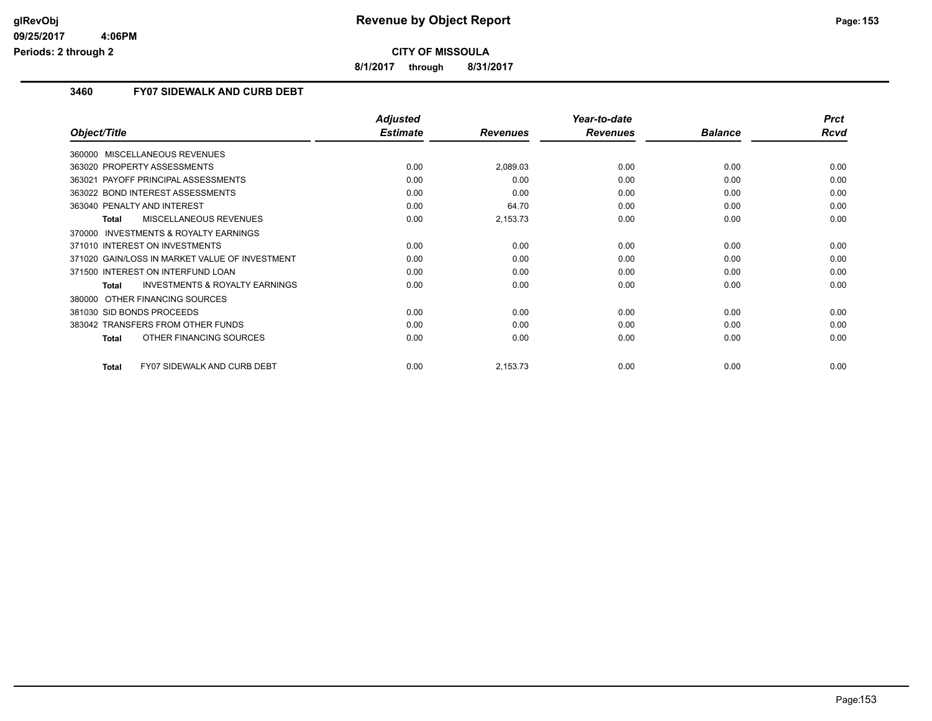**8/1/2017 through 8/31/2017**

# **3460 FY07 SIDEWALK AND CURB DEBT**

|                                                           | <b>Adjusted</b> |                 | Year-to-date    |                | <b>Prct</b> |
|-----------------------------------------------------------|-----------------|-----------------|-----------------|----------------|-------------|
| Object/Title                                              | <b>Estimate</b> | <b>Revenues</b> | <b>Revenues</b> | <b>Balance</b> | Rcvd        |
| 360000 MISCELLANEOUS REVENUES                             |                 |                 |                 |                |             |
| 363020 PROPERTY ASSESSMENTS                               | 0.00            | 2,089.03        | 0.00            | 0.00           | 0.00        |
| 363021 PAYOFF PRINCIPAL ASSESSMENTS                       | 0.00            | 0.00            | 0.00            | 0.00           | 0.00        |
| 363022 BOND INTEREST ASSESSMENTS                          | 0.00            | 0.00            | 0.00            | 0.00           | 0.00        |
| 363040 PENALTY AND INTEREST                               | 0.00            | 64.70           | 0.00            | 0.00           | 0.00        |
| <b>MISCELLANEOUS REVENUES</b><br><b>Total</b>             | 0.00            | 2,153.73        | 0.00            | 0.00           | 0.00        |
| 370000 INVESTMENTS & ROYALTY EARNINGS                     |                 |                 |                 |                |             |
| 371010 INTEREST ON INVESTMENTS                            | 0.00            | 0.00            | 0.00            | 0.00           | 0.00        |
| 371020 GAIN/LOSS IN MARKET VALUE OF INVESTMENT            | 0.00            | 0.00            | 0.00            | 0.00           | 0.00        |
| 371500 INTEREST ON INTERFUND LOAN                         | 0.00            | 0.00            | 0.00            | 0.00           | 0.00        |
| <b>INVESTMENTS &amp; ROYALTY EARNINGS</b><br><b>Total</b> | 0.00            | 0.00            | 0.00            | 0.00           | 0.00        |
| 380000 OTHER FINANCING SOURCES                            |                 |                 |                 |                |             |
| 381030 SID BONDS PROCEEDS                                 | 0.00            | 0.00            | 0.00            | 0.00           | 0.00        |
| 383042 TRANSFERS FROM OTHER FUNDS                         | 0.00            | 0.00            | 0.00            | 0.00           | 0.00        |
| OTHER FINANCING SOURCES<br><b>Total</b>                   | 0.00            | 0.00            | 0.00            | 0.00           | 0.00        |
| <b>FY07 SIDEWALK AND CURB DEBT</b><br>Total               | 0.00            | 2,153.73        | 0.00            | 0.00           | 0.00        |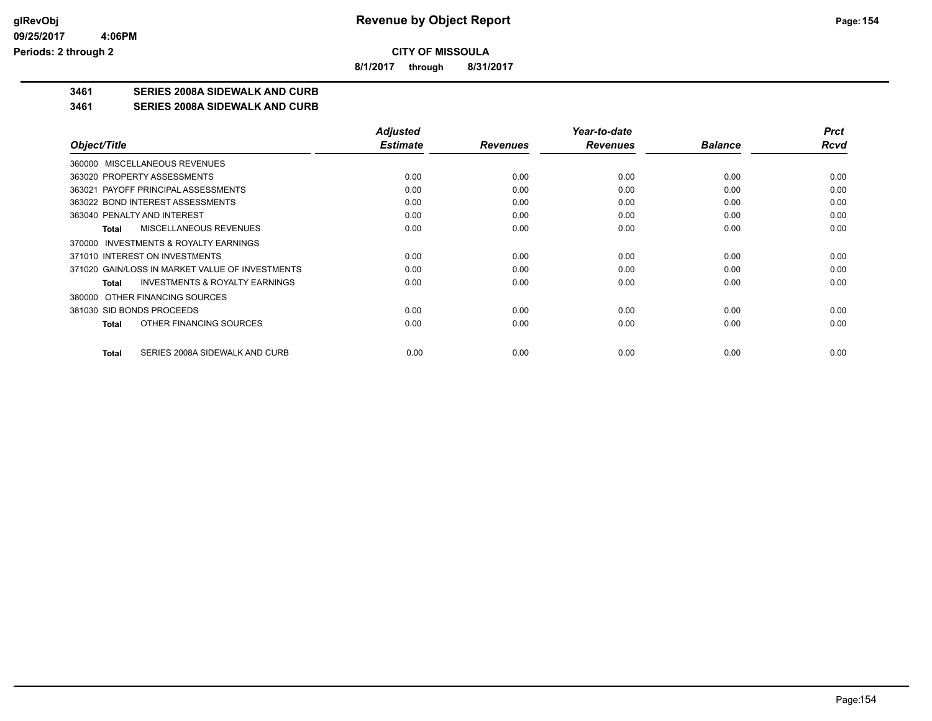**8/1/2017 through 8/31/2017**

# **3461 SERIES 2008A SIDEWALK AND CURB**

## **3461 SERIES 2008A SIDEWALK AND CURB**

|                                                           | <b>Adjusted</b> |                 | Year-to-date    |                | <b>Prct</b> |
|-----------------------------------------------------------|-----------------|-----------------|-----------------|----------------|-------------|
| Object/Title                                              | <b>Estimate</b> | <b>Revenues</b> | <b>Revenues</b> | <b>Balance</b> | <b>Rcvd</b> |
| MISCELLANEOUS REVENUES<br>360000                          |                 |                 |                 |                |             |
| 363020 PROPERTY ASSESSMENTS                               | 0.00            | 0.00            | 0.00            | 0.00           | 0.00        |
| 363021 PAYOFF PRINCIPAL ASSESSMENTS                       | 0.00            | 0.00            | 0.00            | 0.00           | 0.00        |
| 363022 BOND INTEREST ASSESSMENTS                          | 0.00            | 0.00            | 0.00            | 0.00           | 0.00        |
| 363040 PENALTY AND INTEREST                               | 0.00            | 0.00            | 0.00            | 0.00           | 0.00        |
| MISCELLANEOUS REVENUES<br><b>Total</b>                    | 0.00            | 0.00            | 0.00            | 0.00           | 0.00        |
| <b>INVESTMENTS &amp; ROYALTY EARNINGS</b><br>370000       |                 |                 |                 |                |             |
| 371010 INTEREST ON INVESTMENTS                            | 0.00            | 0.00            | 0.00            | 0.00           | 0.00        |
| 371020 GAIN/LOSS IN MARKET VALUE OF INVESTMENTS           | 0.00            | 0.00            | 0.00            | 0.00           | 0.00        |
| <b>INVESTMENTS &amp; ROYALTY EARNINGS</b><br><b>Total</b> | 0.00            | 0.00            | 0.00            | 0.00           | 0.00        |
| OTHER FINANCING SOURCES<br>380000                         |                 |                 |                 |                |             |
| 381030 SID BONDS PROCEEDS                                 | 0.00            | 0.00            | 0.00            | 0.00           | 0.00        |
| OTHER FINANCING SOURCES<br><b>Total</b>                   | 0.00            | 0.00            | 0.00            | 0.00           | 0.00        |
| SERIES 2008A SIDEWALK AND CURB<br><b>Total</b>            | 0.00            | 0.00            | 0.00            | 0.00           | 0.00        |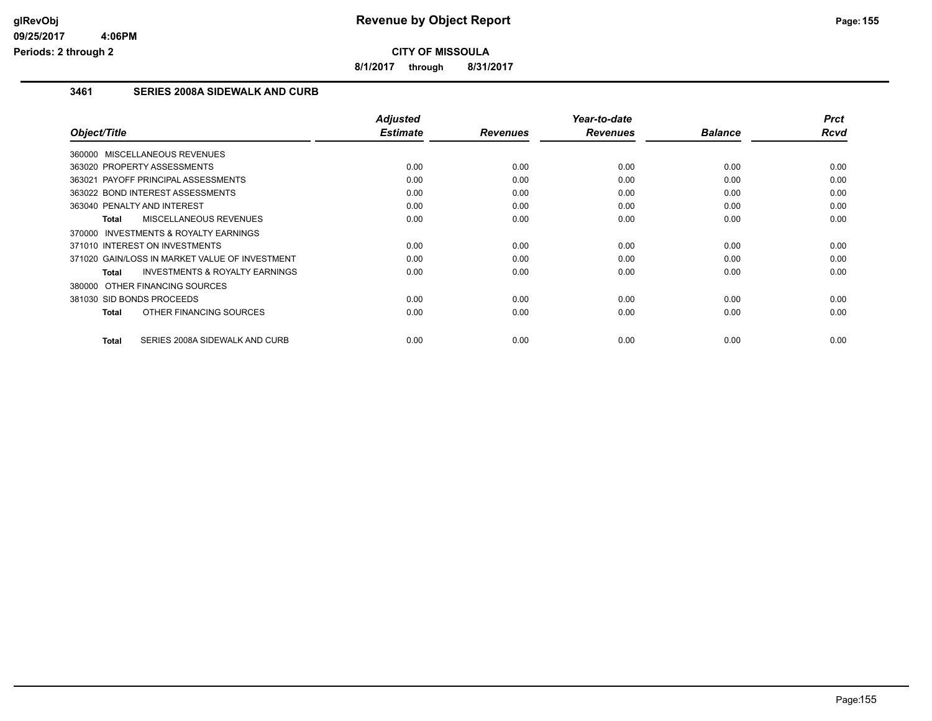**8/1/2017 through 8/31/2017**

## **3461 SERIES 2008A SIDEWALK AND CURB**

| Object/Title                                       | <b>Adjusted</b><br><b>Estimate</b> | <b>Revenues</b> | Year-to-date<br><b>Revenues</b> | <b>Balance</b> | <b>Prct</b><br><b>Rcvd</b> |
|----------------------------------------------------|------------------------------------|-----------------|---------------------------------|----------------|----------------------------|
|                                                    |                                    |                 |                                 |                |                            |
| 360000 MISCELLANEOUS REVENUES                      |                                    |                 |                                 |                |                            |
| 363020 PROPERTY ASSESSMENTS                        | 0.00                               | 0.00            | 0.00                            | 0.00           | 0.00                       |
| 363021 PAYOFF PRINCIPAL ASSESSMENTS                | 0.00                               | 0.00            | 0.00                            | 0.00           | 0.00                       |
| 363022 BOND INTEREST ASSESSMENTS                   | 0.00                               | 0.00            | 0.00                            | 0.00           | 0.00                       |
| 363040 PENALTY AND INTEREST                        | 0.00                               | 0.00            | 0.00                            | 0.00           | 0.00                       |
| <b>MISCELLANEOUS REVENUES</b><br>Total             | 0.00                               | 0.00            | 0.00                            | 0.00           | 0.00                       |
| 370000 INVESTMENTS & ROYALTY EARNINGS              |                                    |                 |                                 |                |                            |
| 371010 INTEREST ON INVESTMENTS                     | 0.00                               | 0.00            | 0.00                            | 0.00           | 0.00                       |
| 371020 GAIN/LOSS IN MARKET VALUE OF INVESTMENT     | 0.00                               | 0.00            | 0.00                            | 0.00           | 0.00                       |
| <b>INVESTMENTS &amp; ROYALTY EARNINGS</b><br>Total | 0.00                               | 0.00            | 0.00                            | 0.00           | 0.00                       |
| 380000 OTHER FINANCING SOURCES                     |                                    |                 |                                 |                |                            |
| 381030 SID BONDS PROCEEDS                          | 0.00                               | 0.00            | 0.00                            | 0.00           | 0.00                       |
| OTHER FINANCING SOURCES<br><b>Total</b>            | 0.00                               | 0.00            | 0.00                            | 0.00           | 0.00                       |
|                                                    |                                    |                 |                                 |                |                            |
| SERIES 2008A SIDEWALK AND CURB<br><b>Total</b>     | 0.00                               | 0.00            | 0.00                            | 0.00           | 0.00                       |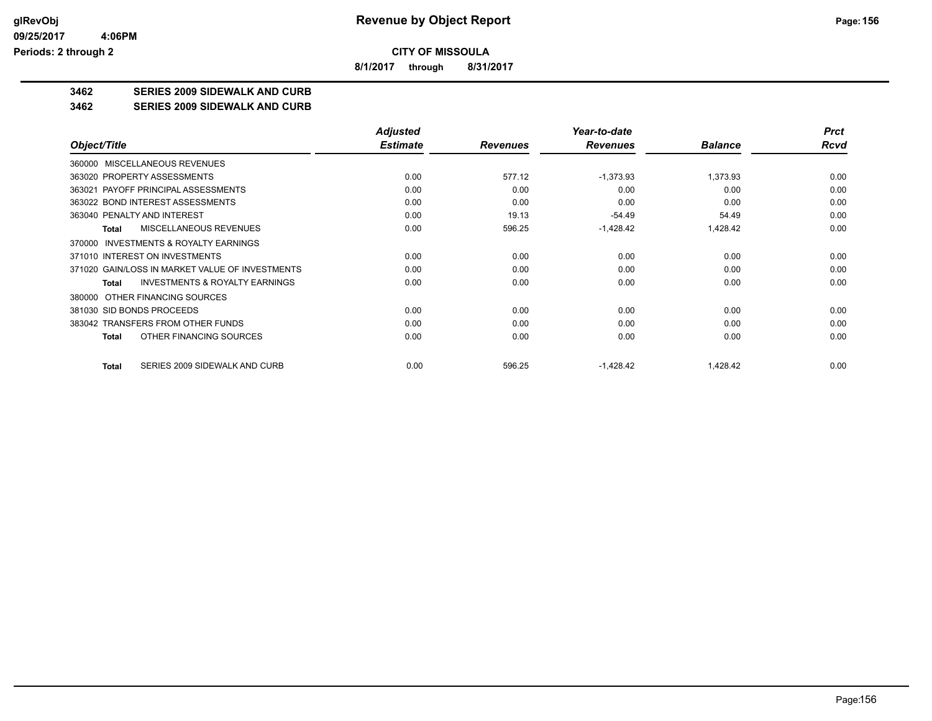**8/1/2017 through 8/31/2017**

# **3462 SERIES 2009 SIDEWALK AND CURB**

## **3462 SERIES 2009 SIDEWALK AND CURB**

|                                                           | <b>Adjusted</b> |                 | Year-to-date    |                | <b>Prct</b> |
|-----------------------------------------------------------|-----------------|-----------------|-----------------|----------------|-------------|
| Object/Title                                              | <b>Estimate</b> | <b>Revenues</b> | <b>Revenues</b> | <b>Balance</b> | Rcvd        |
| MISCELLANEOUS REVENUES<br>360000                          |                 |                 |                 |                |             |
| 363020 PROPERTY ASSESSMENTS                               | 0.00            | 577.12          | $-1,373.93$     | 1,373.93       | 0.00        |
| 363021 PAYOFF PRINCIPAL ASSESSMENTS                       | 0.00            | 0.00            | 0.00            | 0.00           | 0.00        |
| 363022 BOND INTEREST ASSESSMENTS                          | 0.00            | 0.00            | 0.00            | 0.00           | 0.00        |
| 363040 PENALTY AND INTEREST                               | 0.00            | 19.13           | $-54.49$        | 54.49          | 0.00        |
| <b>MISCELLANEOUS REVENUES</b><br><b>Total</b>             | 0.00            | 596.25          | $-1,428.42$     | 1,428.42       | 0.00        |
| INVESTMENTS & ROYALTY EARNINGS<br>370000                  |                 |                 |                 |                |             |
| 371010 INTEREST ON INVESTMENTS                            | 0.00            | 0.00            | 0.00            | 0.00           | 0.00        |
| 371020 GAIN/LOSS IN MARKET VALUE OF INVESTMENTS           | 0.00            | 0.00            | 0.00            | 0.00           | 0.00        |
| <b>INVESTMENTS &amp; ROYALTY EARNINGS</b><br><b>Total</b> | 0.00            | 0.00            | 0.00            | 0.00           | 0.00        |
| OTHER FINANCING SOURCES<br>380000                         |                 |                 |                 |                |             |
| 381030 SID BONDS PROCEEDS                                 | 0.00            | 0.00            | 0.00            | 0.00           | 0.00        |
| 383042 TRANSFERS FROM OTHER FUNDS                         | 0.00            | 0.00            | 0.00            | 0.00           | 0.00        |
| OTHER FINANCING SOURCES<br><b>Total</b>                   | 0.00            | 0.00            | 0.00            | 0.00           | 0.00        |
| SERIES 2009 SIDEWALK AND CURB<br><b>Total</b>             | 0.00            | 596.25          | $-1,428.42$     | 1,428.42       | 0.00        |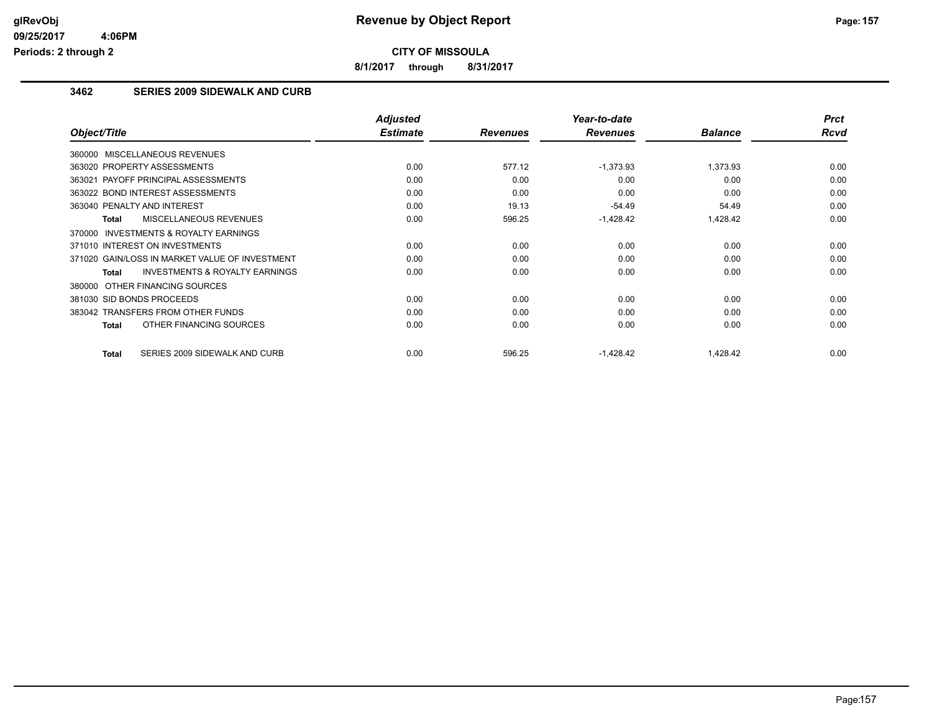**8/1/2017 through 8/31/2017**

# **3462 SERIES 2009 SIDEWALK AND CURB**

|                                                     | <b>Adjusted</b> |                 | Year-to-date    |                | <b>Prct</b> |
|-----------------------------------------------------|-----------------|-----------------|-----------------|----------------|-------------|
| Object/Title                                        | <b>Estimate</b> | <b>Revenues</b> | <b>Revenues</b> | <b>Balance</b> | <b>Rcvd</b> |
| 360000 MISCELLANEOUS REVENUES                       |                 |                 |                 |                |             |
| 363020 PROPERTY ASSESSMENTS                         | 0.00            | 577.12          | $-1,373.93$     | 1,373.93       | 0.00        |
| 363021 PAYOFF PRINCIPAL ASSESSMENTS                 | 0.00            | 0.00            | 0.00            | 0.00           | 0.00        |
| 363022 BOND INTEREST ASSESSMENTS                    | 0.00            | 0.00            | 0.00            | 0.00           | 0.00        |
| 363040 PENALTY AND INTEREST                         | 0.00            | 19.13           | $-54.49$        | 54.49          | 0.00        |
| <b>MISCELLANEOUS REVENUES</b><br>Total              | 0.00            | 596.25          | $-1,428.42$     | 1,428.42       | 0.00        |
| <b>INVESTMENTS &amp; ROYALTY EARNINGS</b><br>370000 |                 |                 |                 |                |             |
| 371010 INTEREST ON INVESTMENTS                      | 0.00            | 0.00            | 0.00            | 0.00           | 0.00        |
| 371020 GAIN/LOSS IN MARKET VALUE OF INVESTMENT      | 0.00            | 0.00            | 0.00            | 0.00           | 0.00        |
| <b>INVESTMENTS &amp; ROYALTY EARNINGS</b><br>Total  | 0.00            | 0.00            | 0.00            | 0.00           | 0.00        |
| OTHER FINANCING SOURCES<br>380000                   |                 |                 |                 |                |             |
| 381030 SID BONDS PROCEEDS                           | 0.00            | 0.00            | 0.00            | 0.00           | 0.00        |
| 383042 TRANSFERS FROM OTHER FUNDS                   | 0.00            | 0.00            | 0.00            | 0.00           | 0.00        |
| OTHER FINANCING SOURCES<br><b>Total</b>             | 0.00            | 0.00            | 0.00            | 0.00           | 0.00        |
| SERIES 2009 SIDEWALK AND CURB<br><b>Total</b>       | 0.00            | 596.25          | $-1,428.42$     | 1,428.42       | 0.00        |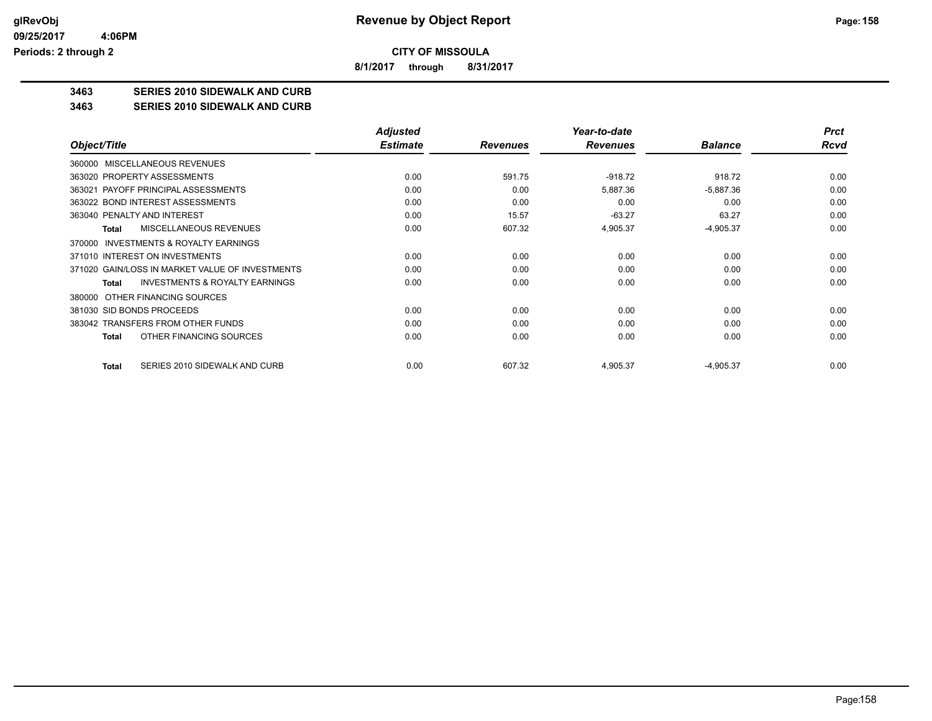**8/1/2017 through 8/31/2017**

# **3463 SERIES 2010 SIDEWALK AND CURB**

### **3463 SERIES 2010 SIDEWALK AND CURB**

|                                                    | <b>Adjusted</b> |                 | Year-to-date    |                | <b>Prct</b> |
|----------------------------------------------------|-----------------|-----------------|-----------------|----------------|-------------|
| Object/Title                                       | <b>Estimate</b> | <b>Revenues</b> | <b>Revenues</b> | <b>Balance</b> | Rcvd        |
| 360000 MISCELLANEOUS REVENUES                      |                 |                 |                 |                |             |
| 363020 PROPERTY ASSESSMENTS                        | 0.00            | 591.75          | $-918.72$       | 918.72         | 0.00        |
| 363021 PAYOFF PRINCIPAL ASSESSMENTS                | 0.00            | 0.00            | 5,887.36        | $-5,887.36$    | 0.00        |
| 363022 BOND INTEREST ASSESSMENTS                   | 0.00            | 0.00            | 0.00            | 0.00           | 0.00        |
| 363040 PENALTY AND INTEREST                        | 0.00            | 15.57           | $-63.27$        | 63.27          | 0.00        |
| MISCELLANEOUS REVENUES<br>Total                    | 0.00            | 607.32          | 4,905.37        | $-4,905.37$    | 0.00        |
| INVESTMENTS & ROYALTY EARNINGS<br>370000           |                 |                 |                 |                |             |
| 371010 INTEREST ON INVESTMENTS                     | 0.00            | 0.00            | 0.00            | 0.00           | 0.00        |
| 371020 GAIN/LOSS IN MARKET VALUE OF INVESTMENTS    | 0.00            | 0.00            | 0.00            | 0.00           | 0.00        |
| <b>INVESTMENTS &amp; ROYALTY EARNINGS</b><br>Total | 0.00            | 0.00            | 0.00            | 0.00           | 0.00        |
| 380000 OTHER FINANCING SOURCES                     |                 |                 |                 |                |             |
| 381030 SID BONDS PROCEEDS                          | 0.00            | 0.00            | 0.00            | 0.00           | 0.00        |
| 383042 TRANSFERS FROM OTHER FUNDS                  | 0.00            | 0.00            | 0.00            | 0.00           | 0.00        |
| OTHER FINANCING SOURCES<br>Total                   | 0.00            | 0.00            | 0.00            | 0.00           | 0.00        |
| SERIES 2010 SIDEWALK AND CURB<br><b>Total</b>      | 0.00            | 607.32          | 4,905.37        | $-4,905.37$    | 0.00        |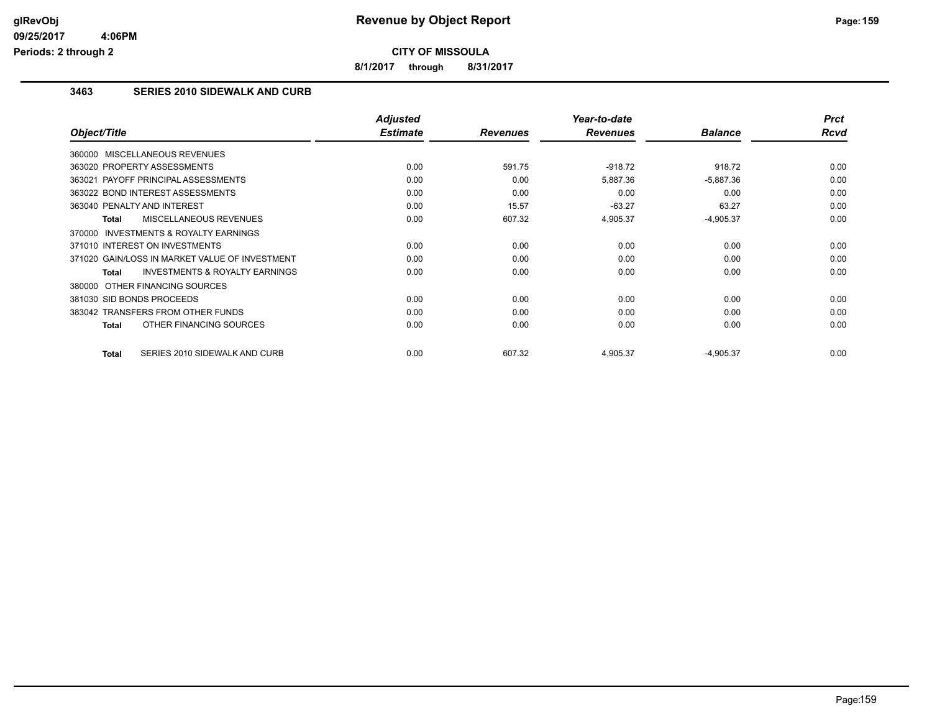**8/1/2017 through 8/31/2017**

# **3463 SERIES 2010 SIDEWALK AND CURB**

|                                                    | <b>Adjusted</b> |                 | Year-to-date    |                | <b>Prct</b> |
|----------------------------------------------------|-----------------|-----------------|-----------------|----------------|-------------|
| Object/Title                                       | <b>Estimate</b> | <b>Revenues</b> | <b>Revenues</b> | <b>Balance</b> | Rcvd        |
| 360000 MISCELLANEOUS REVENUES                      |                 |                 |                 |                |             |
| 363020 PROPERTY ASSESSMENTS                        | 0.00            | 591.75          | $-918.72$       | 918.72         | 0.00        |
| 363021 PAYOFF PRINCIPAL ASSESSMENTS                | 0.00            | 0.00            | 5,887.36        | $-5,887.36$    | 0.00        |
| 363022 BOND INTEREST ASSESSMENTS                   | 0.00            | 0.00            | 0.00            | 0.00           | 0.00        |
| 363040 PENALTY AND INTEREST                        | 0.00            | 15.57           | $-63.27$        | 63.27          | 0.00        |
| MISCELLANEOUS REVENUES<br><b>Total</b>             | 0.00            | 607.32          | 4,905.37        | $-4,905.37$    | 0.00        |
| INVESTMENTS & ROYALTY EARNINGS<br>370000           |                 |                 |                 |                |             |
| 371010 INTEREST ON INVESTMENTS                     | 0.00            | 0.00            | 0.00            | 0.00           | 0.00        |
| 371020 GAIN/LOSS IN MARKET VALUE OF INVESTMENT     | 0.00            | 0.00            | 0.00            | 0.00           | 0.00        |
| <b>INVESTMENTS &amp; ROYALTY EARNINGS</b><br>Total | 0.00            | 0.00            | 0.00            | 0.00           | 0.00        |
| OTHER FINANCING SOURCES<br>380000                  |                 |                 |                 |                |             |
| 381030 SID BONDS PROCEEDS                          | 0.00            | 0.00            | 0.00            | 0.00           | 0.00        |
| 383042 TRANSFERS FROM OTHER FUNDS                  | 0.00            | 0.00            | 0.00            | 0.00           | 0.00        |
| OTHER FINANCING SOURCES<br><b>Total</b>            | 0.00            | 0.00            | 0.00            | 0.00           | 0.00        |
| SERIES 2010 SIDEWALK AND CURB<br><b>Total</b>      | 0.00            | 607.32          | 4,905.37        | $-4,905.37$    | 0.00        |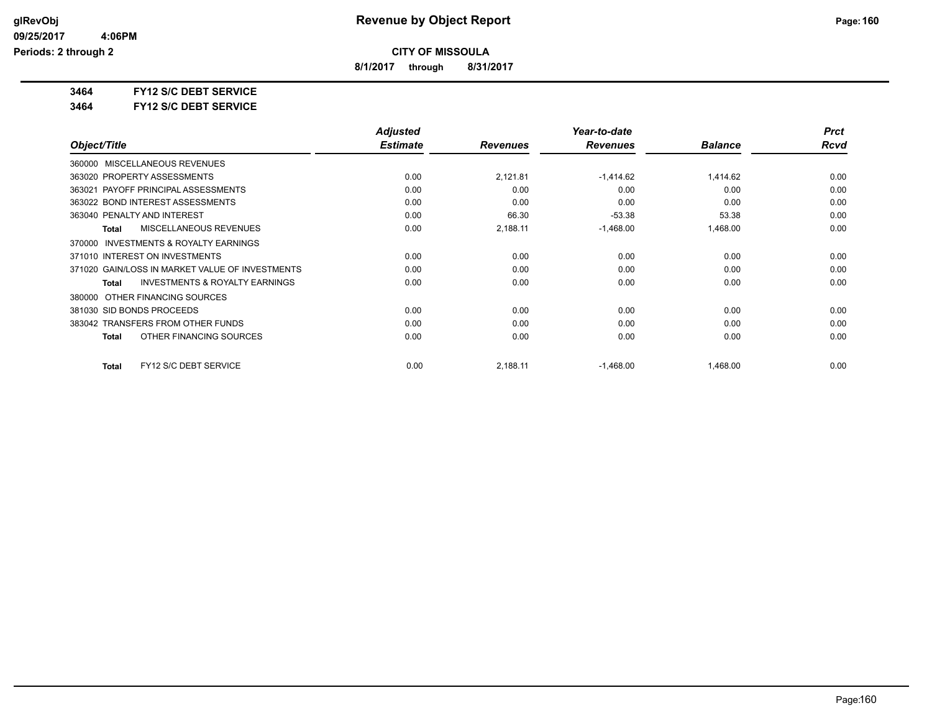**8/1/2017 through 8/31/2017**

**3464 FY12 S/C DEBT SERVICE**

**3464 FY12 S/C DEBT SERVICE**

|                                                           | <b>Adjusted</b> |                 | Year-to-date    |                | <b>Prct</b> |
|-----------------------------------------------------------|-----------------|-----------------|-----------------|----------------|-------------|
| Object/Title                                              | <b>Estimate</b> | <b>Revenues</b> | <b>Revenues</b> | <b>Balance</b> | Rcvd        |
| MISCELLANEOUS REVENUES<br>360000                          |                 |                 |                 |                |             |
| 363020 PROPERTY ASSESSMENTS                               | 0.00            | 2,121.81        | $-1,414.62$     | 1,414.62       | 0.00        |
| 363021 PAYOFF PRINCIPAL ASSESSMENTS                       | 0.00            | 0.00            | 0.00            | 0.00           | 0.00        |
| 363022 BOND INTEREST ASSESSMENTS                          | 0.00            | 0.00            | 0.00            | 0.00           | 0.00        |
| 363040 PENALTY AND INTEREST                               | 0.00            | 66.30           | $-53.38$        | 53.38          | 0.00        |
| <b>MISCELLANEOUS REVENUES</b><br><b>Total</b>             | 0.00            | 2,188.11        | $-1,468.00$     | 1,468.00       | 0.00        |
| INVESTMENTS & ROYALTY EARNINGS<br>370000                  |                 |                 |                 |                |             |
| 371010 INTEREST ON INVESTMENTS                            | 0.00            | 0.00            | 0.00            | 0.00           | 0.00        |
| 371020 GAIN/LOSS IN MARKET VALUE OF INVESTMENTS           | 0.00            | 0.00            | 0.00            | 0.00           | 0.00        |
| <b>INVESTMENTS &amp; ROYALTY EARNINGS</b><br><b>Total</b> | 0.00            | 0.00            | 0.00            | 0.00           | 0.00        |
| OTHER FINANCING SOURCES<br>380000                         |                 |                 |                 |                |             |
| 381030 SID BONDS PROCEEDS                                 | 0.00            | 0.00            | 0.00            | 0.00           | 0.00        |
| 383042 TRANSFERS FROM OTHER FUNDS                         | 0.00            | 0.00            | 0.00            | 0.00           | 0.00        |
| OTHER FINANCING SOURCES<br><b>Total</b>                   | 0.00            | 0.00            | 0.00            | 0.00           | 0.00        |
| FY12 S/C DEBT SERVICE<br><b>Total</b>                     | 0.00            | 2,188.11        | $-1,468.00$     | 1,468.00       | 0.00        |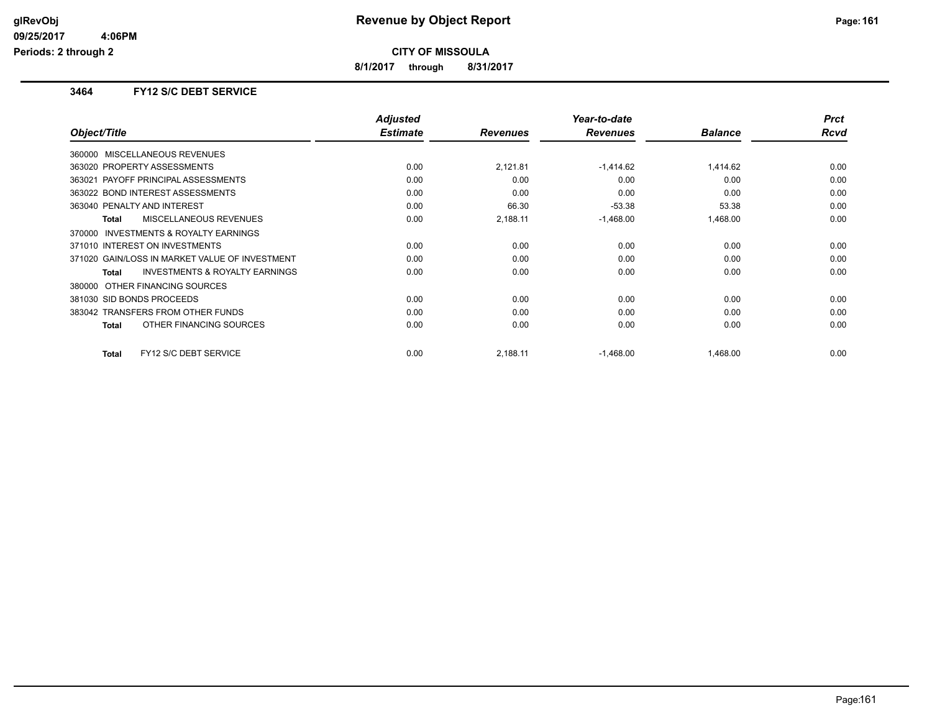**8/1/2017 through 8/31/2017**

## **3464 FY12 S/C DEBT SERVICE**

|                                                           | <b>Adjusted</b> |                 | Year-to-date    |                | <b>Prct</b> |
|-----------------------------------------------------------|-----------------|-----------------|-----------------|----------------|-------------|
| Object/Title                                              | <b>Estimate</b> | <b>Revenues</b> | <b>Revenues</b> | <b>Balance</b> | Rcvd        |
| 360000 MISCELLANEOUS REVENUES                             |                 |                 |                 |                |             |
| 363020 PROPERTY ASSESSMENTS                               | 0.00            | 2,121.81        | $-1,414.62$     | 1,414.62       | 0.00        |
| PAYOFF PRINCIPAL ASSESSMENTS<br>363021                    | 0.00            | 0.00            | 0.00            | 0.00           | 0.00        |
| 363022 BOND INTEREST ASSESSMENTS                          | 0.00            | 0.00            | 0.00            | 0.00           | 0.00        |
| 363040 PENALTY AND INTEREST                               | 0.00            | 66.30           | $-53.38$        | 53.38          | 0.00        |
| MISCELLANEOUS REVENUES<br>Total                           | 0.00            | 2,188.11        | $-1,468.00$     | 1,468.00       | 0.00        |
| INVESTMENTS & ROYALTY EARNINGS<br>370000                  |                 |                 |                 |                |             |
| 371010 INTEREST ON INVESTMENTS                            | 0.00            | 0.00            | 0.00            | 0.00           | 0.00        |
| 371020 GAIN/LOSS IN MARKET VALUE OF INVESTMENT            | 0.00            | 0.00            | 0.00            | 0.00           | 0.00        |
| <b>INVESTMENTS &amp; ROYALTY EARNINGS</b><br><b>Total</b> | 0.00            | 0.00            | 0.00            | 0.00           | 0.00        |
| OTHER FINANCING SOURCES<br>380000                         |                 |                 |                 |                |             |
| 381030 SID BONDS PROCEEDS                                 | 0.00            | 0.00            | 0.00            | 0.00           | 0.00        |
| 383042 TRANSFERS FROM OTHER FUNDS                         | 0.00            | 0.00            | 0.00            | 0.00           | 0.00        |
| OTHER FINANCING SOURCES<br><b>Total</b>                   | 0.00            | 0.00            | 0.00            | 0.00           | 0.00        |
| FY12 S/C DEBT SERVICE<br><b>Total</b>                     | 0.00            | 2,188.11        | $-1,468.00$     | 1,468.00       | 0.00        |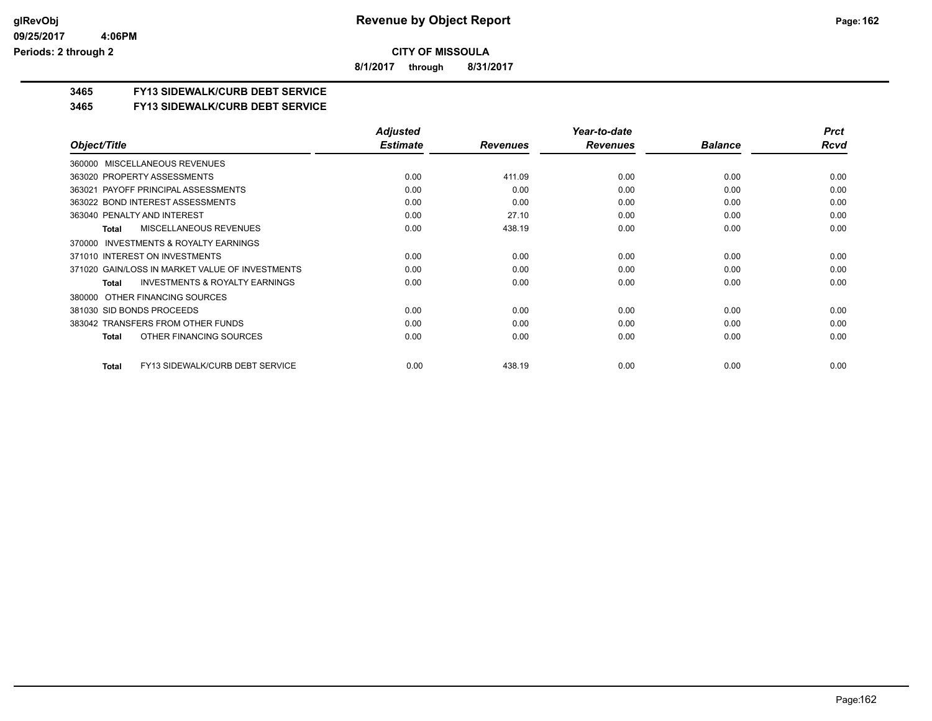**8/1/2017 through 8/31/2017**

# **3465 FY13 SIDEWALK/CURB DEBT SERVICE**

## **3465 FY13 SIDEWALK/CURB DEBT SERVICE**

|                                                    | <b>Adjusted</b> |                 | Year-to-date    |                | <b>Prct</b> |
|----------------------------------------------------|-----------------|-----------------|-----------------|----------------|-------------|
| Object/Title                                       | <b>Estimate</b> | <b>Revenues</b> | <b>Revenues</b> | <b>Balance</b> | Rcvd        |
| MISCELLANEOUS REVENUES<br>360000                   |                 |                 |                 |                |             |
| 363020 PROPERTY ASSESSMENTS                        | 0.00            | 411.09          | 0.00            | 0.00           | 0.00        |
| 363021 PAYOFF PRINCIPAL ASSESSMENTS                | 0.00            | 0.00            | 0.00            | 0.00           | 0.00        |
| 363022 BOND INTEREST ASSESSMENTS                   | 0.00            | 0.00            | 0.00            | 0.00           | 0.00        |
| 363040 PENALTY AND INTEREST                        | 0.00            | 27.10           | 0.00            | 0.00           | 0.00        |
| <b>MISCELLANEOUS REVENUES</b><br>Total             | 0.00            | 438.19          | 0.00            | 0.00           | 0.00        |
| INVESTMENTS & ROYALTY EARNINGS<br>370000           |                 |                 |                 |                |             |
| 371010 INTEREST ON INVESTMENTS                     | 0.00            | 0.00            | 0.00            | 0.00           | 0.00        |
| 371020 GAIN/LOSS IN MARKET VALUE OF INVESTMENTS    | 0.00            | 0.00            | 0.00            | 0.00           | 0.00        |
| <b>INVESTMENTS &amp; ROYALTY EARNINGS</b><br>Total | 0.00            | 0.00            | 0.00            | 0.00           | 0.00        |
| 380000 OTHER FINANCING SOURCES                     |                 |                 |                 |                |             |
| 381030 SID BONDS PROCEEDS                          | 0.00            | 0.00            | 0.00            | 0.00           | 0.00        |
| 383042 TRANSFERS FROM OTHER FUNDS                  | 0.00            | 0.00            | 0.00            | 0.00           | 0.00        |
| OTHER FINANCING SOURCES<br>Total                   | 0.00            | 0.00            | 0.00            | 0.00           | 0.00        |
| <b>FY13 SIDEWALK/CURB DEBT SERVICE</b><br>Total    | 0.00            | 438.19          | 0.00            | 0.00           | 0.00        |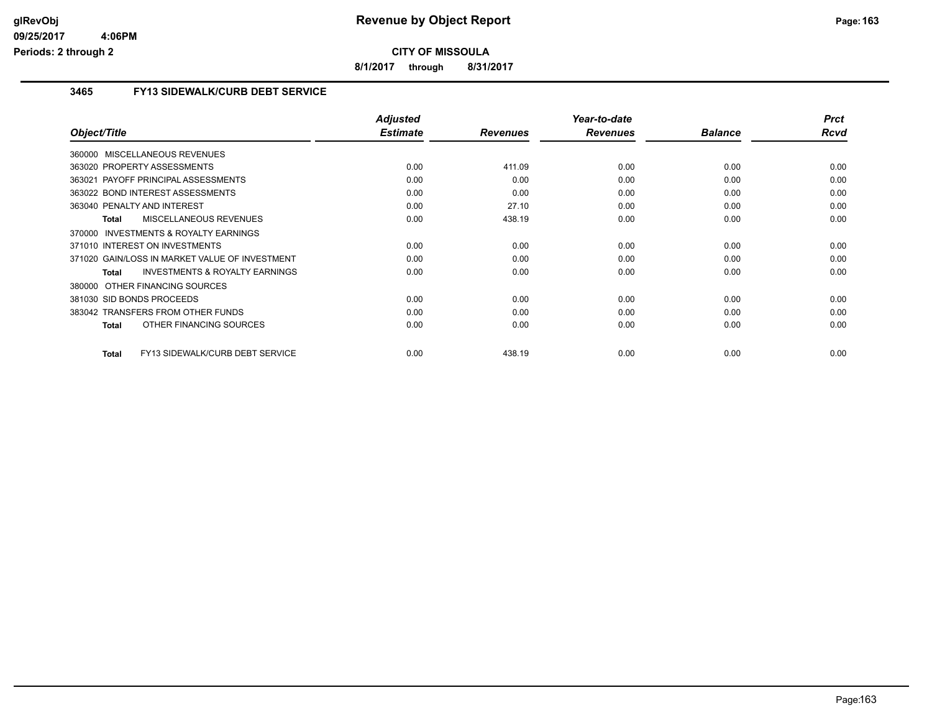**8/1/2017 through 8/31/2017**

# **3465 FY13 SIDEWALK/CURB DEBT SERVICE**

|                                                    | <b>Adjusted</b> |                 | Year-to-date    |                | <b>Prct</b> |
|----------------------------------------------------|-----------------|-----------------|-----------------|----------------|-------------|
| Object/Title                                       | <b>Estimate</b> | <b>Revenues</b> | <b>Revenues</b> | <b>Balance</b> | Rcvd        |
| 360000 MISCELLANEOUS REVENUES                      |                 |                 |                 |                |             |
| 363020 PROPERTY ASSESSMENTS                        | 0.00            | 411.09          | 0.00            | 0.00           | 0.00        |
| PAYOFF PRINCIPAL ASSESSMENTS<br>363021             | 0.00            | 0.00            | 0.00            | 0.00           | 0.00        |
| 363022 BOND INTEREST ASSESSMENTS                   | 0.00            | 0.00            | 0.00            | 0.00           | 0.00        |
| 363040 PENALTY AND INTEREST                        | 0.00            | 27.10           | 0.00            | 0.00           | 0.00        |
| <b>MISCELLANEOUS REVENUES</b><br>Total             | 0.00            | 438.19          | 0.00            | 0.00           | 0.00        |
| 370000 INVESTMENTS & ROYALTY EARNINGS              |                 |                 |                 |                |             |
| 371010 INTEREST ON INVESTMENTS                     | 0.00            | 0.00            | 0.00            | 0.00           | 0.00        |
| 371020 GAIN/LOSS IN MARKET VALUE OF INVESTMENT     | 0.00            | 0.00            | 0.00            | 0.00           | 0.00        |
| <b>INVESTMENTS &amp; ROYALTY EARNINGS</b><br>Total | 0.00            | 0.00            | 0.00            | 0.00           | 0.00        |
| OTHER FINANCING SOURCES<br>380000                  |                 |                 |                 |                |             |
| 381030 SID BONDS PROCEEDS                          | 0.00            | 0.00            | 0.00            | 0.00           | 0.00        |
| 383042 TRANSFERS FROM OTHER FUNDS                  | 0.00            | 0.00            | 0.00            | 0.00           | 0.00        |
| OTHER FINANCING SOURCES<br><b>Total</b>            | 0.00            | 0.00            | 0.00            | 0.00           | 0.00        |
|                                                    |                 |                 |                 |                |             |
| FY13 SIDEWALK/CURB DEBT SERVICE<br><b>Total</b>    | 0.00            | 438.19          | 0.00            | 0.00           | 0.00        |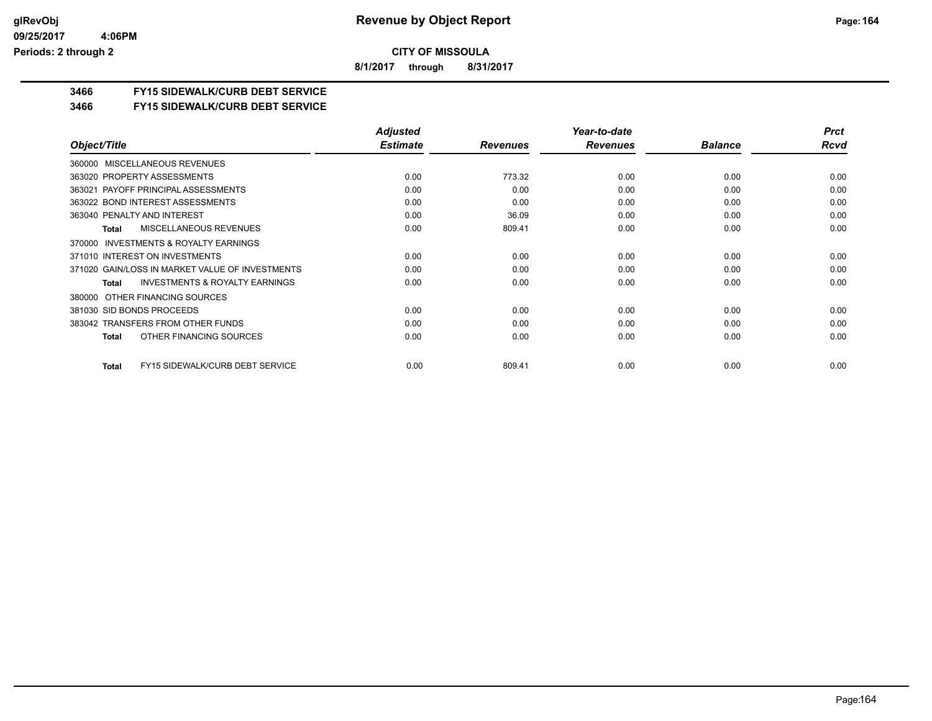**8/1/2017 through 8/31/2017**

# **3466 FY15 SIDEWALK/CURB DEBT SERVICE**

## **3466 FY15 SIDEWALK/CURB DEBT SERVICE**

|                                                    | <b>Adjusted</b> |                 | Year-to-date    |                | <b>Prct</b> |
|----------------------------------------------------|-----------------|-----------------|-----------------|----------------|-------------|
| Object/Title                                       | <b>Estimate</b> | <b>Revenues</b> | <b>Revenues</b> | <b>Balance</b> | Rcvd        |
| MISCELLANEOUS REVENUES<br>360000                   |                 |                 |                 |                |             |
| 363020 PROPERTY ASSESSMENTS                        | 0.00            | 773.32          | 0.00            | 0.00           | 0.00        |
| 363021 PAYOFF PRINCIPAL ASSESSMENTS                | 0.00            | 0.00            | 0.00            | 0.00           | 0.00        |
| 363022 BOND INTEREST ASSESSMENTS                   | 0.00            | 0.00            | 0.00            | 0.00           | 0.00        |
| 363040 PENALTY AND INTEREST                        | 0.00            | 36.09           | 0.00            | 0.00           | 0.00        |
| MISCELLANEOUS REVENUES<br><b>Total</b>             | 0.00            | 809.41          | 0.00            | 0.00           | 0.00        |
| INVESTMENTS & ROYALTY EARNINGS<br>370000           |                 |                 |                 |                |             |
| 371010 INTEREST ON INVESTMENTS                     | 0.00            | 0.00            | 0.00            | 0.00           | 0.00        |
| 371020 GAIN/LOSS IN MARKET VALUE OF INVESTMENTS    | 0.00            | 0.00            | 0.00            | 0.00           | 0.00        |
| <b>INVESTMENTS &amp; ROYALTY EARNINGS</b><br>Total | 0.00            | 0.00            | 0.00            | 0.00           | 0.00        |
| OTHER FINANCING SOURCES<br>380000                  |                 |                 |                 |                |             |
| 381030 SID BONDS PROCEEDS                          | 0.00            | 0.00            | 0.00            | 0.00           | 0.00        |
| 383042 TRANSFERS FROM OTHER FUNDS                  | 0.00            | 0.00            | 0.00            | 0.00           | 0.00        |
| OTHER FINANCING SOURCES<br>Total                   | 0.00            | 0.00            | 0.00            | 0.00           | 0.00        |
|                                                    |                 |                 |                 |                |             |
| FY15 SIDEWALK/CURB DEBT SERVICE<br>Total           | 0.00            | 809.41          | 0.00            | 0.00           | 0.00        |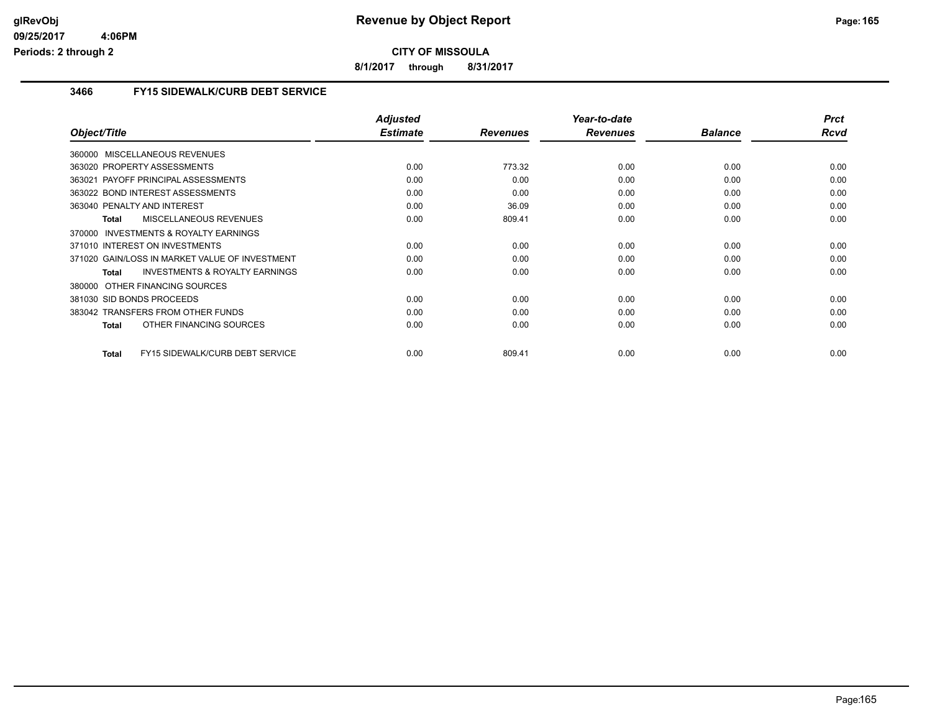**8/1/2017 through 8/31/2017**

## **3466 FY15 SIDEWALK/CURB DEBT SERVICE**

|                                                    | <b>Adjusted</b> |                 | Year-to-date    |                | <b>Prct</b> |
|----------------------------------------------------|-----------------|-----------------|-----------------|----------------|-------------|
| Object/Title                                       | <b>Estimate</b> | <b>Revenues</b> | <b>Revenues</b> | <b>Balance</b> | Rcvd        |
| 360000 MISCELLANEOUS REVENUES                      |                 |                 |                 |                |             |
| 363020 PROPERTY ASSESSMENTS                        | 0.00            | 773.32          | 0.00            | 0.00           | 0.00        |
| 363021 PAYOFF PRINCIPAL ASSESSMENTS                | 0.00            | 0.00            | 0.00            | 0.00           | 0.00        |
| 363022 BOND INTEREST ASSESSMENTS                   | 0.00            | 0.00            | 0.00            | 0.00           | 0.00        |
| 363040 PENALTY AND INTEREST                        | 0.00            | 36.09           | 0.00            | 0.00           | 0.00        |
| <b>MISCELLANEOUS REVENUES</b><br><b>Total</b>      | 0.00            | 809.41          | 0.00            | 0.00           | 0.00        |
| INVESTMENTS & ROYALTY EARNINGS<br>370000           |                 |                 |                 |                |             |
| 371010 INTEREST ON INVESTMENTS                     | 0.00            | 0.00            | 0.00            | 0.00           | 0.00        |
| 371020 GAIN/LOSS IN MARKET VALUE OF INVESTMENT     | 0.00            | 0.00            | 0.00            | 0.00           | 0.00        |
| <b>INVESTMENTS &amp; ROYALTY EARNINGS</b><br>Total | 0.00            | 0.00            | 0.00            | 0.00           | 0.00        |
| OTHER FINANCING SOURCES<br>380000                  |                 |                 |                 |                |             |
| 381030 SID BONDS PROCEEDS                          | 0.00            | 0.00            | 0.00            | 0.00           | 0.00        |
| 383042 TRANSFERS FROM OTHER FUNDS                  | 0.00            | 0.00            | 0.00            | 0.00           | 0.00        |
| OTHER FINANCING SOURCES<br><b>Total</b>            | 0.00            | 0.00            | 0.00            | 0.00           | 0.00        |
| FY15 SIDEWALK/CURB DEBT SERVICE<br><b>Total</b>    | 0.00            | 809.41          | 0.00            | 0.00           | 0.00        |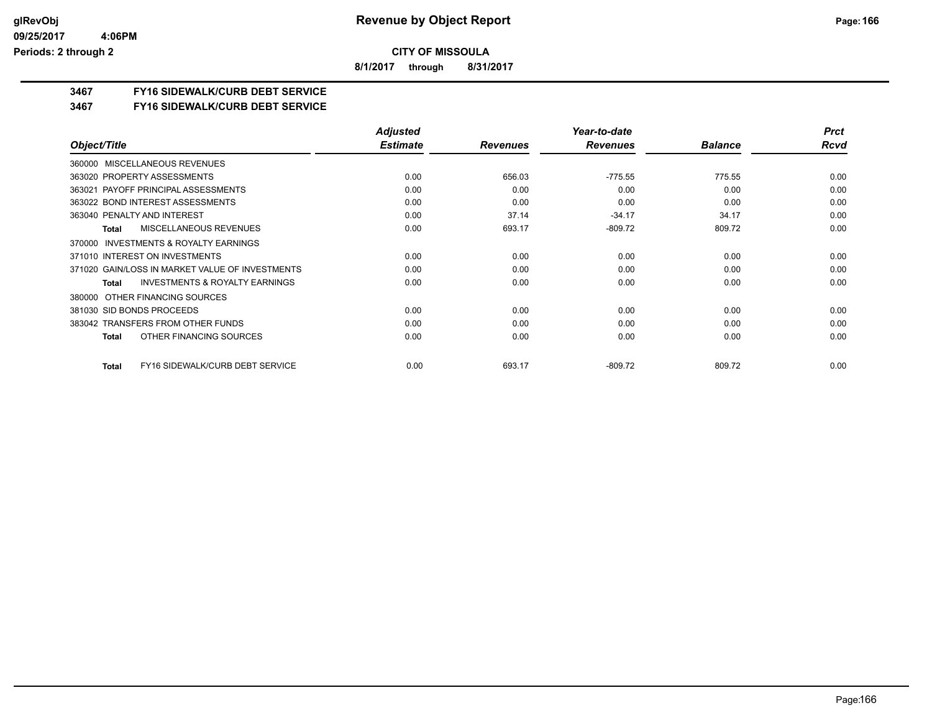**8/1/2017 through 8/31/2017**

# **3467 FY16 SIDEWALK/CURB DEBT SERVICE**

## **3467 FY16 SIDEWALK/CURB DEBT SERVICE**

|                                                           | <b>Adjusted</b> |                 | Year-to-date    |                | <b>Prct</b> |
|-----------------------------------------------------------|-----------------|-----------------|-----------------|----------------|-------------|
| Object/Title                                              | <b>Estimate</b> | <b>Revenues</b> | <b>Revenues</b> | <b>Balance</b> | Rcvd        |
| MISCELLANEOUS REVENUES<br>360000                          |                 |                 |                 |                |             |
| 363020 PROPERTY ASSESSMENTS                               | 0.00            | 656.03          | $-775.55$       | 775.55         | 0.00        |
| 363021 PAYOFF PRINCIPAL ASSESSMENTS                       | 0.00            | 0.00            | 0.00            | 0.00           | 0.00        |
| 363022 BOND INTEREST ASSESSMENTS                          | 0.00            | 0.00            | 0.00            | 0.00           | 0.00        |
| 363040 PENALTY AND INTEREST                               | 0.00            | 37.14           | $-34.17$        | 34.17          | 0.00        |
| MISCELLANEOUS REVENUES<br>Total                           | 0.00            | 693.17          | $-809.72$       | 809.72         | 0.00        |
| <b>INVESTMENTS &amp; ROYALTY EARNINGS</b><br>370000       |                 |                 |                 |                |             |
| 371010 INTEREST ON INVESTMENTS                            | 0.00            | 0.00            | 0.00            | 0.00           | 0.00        |
| 371020 GAIN/LOSS IN MARKET VALUE OF INVESTMENTS           | 0.00            | 0.00            | 0.00            | 0.00           | 0.00        |
| <b>INVESTMENTS &amp; ROYALTY EARNINGS</b><br><b>Total</b> | 0.00            | 0.00            | 0.00            | 0.00           | 0.00        |
| 380000 OTHER FINANCING SOURCES                            |                 |                 |                 |                |             |
| 381030 SID BONDS PROCEEDS                                 | 0.00            | 0.00            | 0.00            | 0.00           | 0.00        |
| 383042 TRANSFERS FROM OTHER FUNDS                         | 0.00            | 0.00            | 0.00            | 0.00           | 0.00        |
| OTHER FINANCING SOURCES<br>Total                          | 0.00            | 0.00            | 0.00            | 0.00           | 0.00        |
| FY16 SIDEWALK/CURB DEBT SERVICE<br>Total                  | 0.00            | 693.17          | $-809.72$       | 809.72         | 0.00        |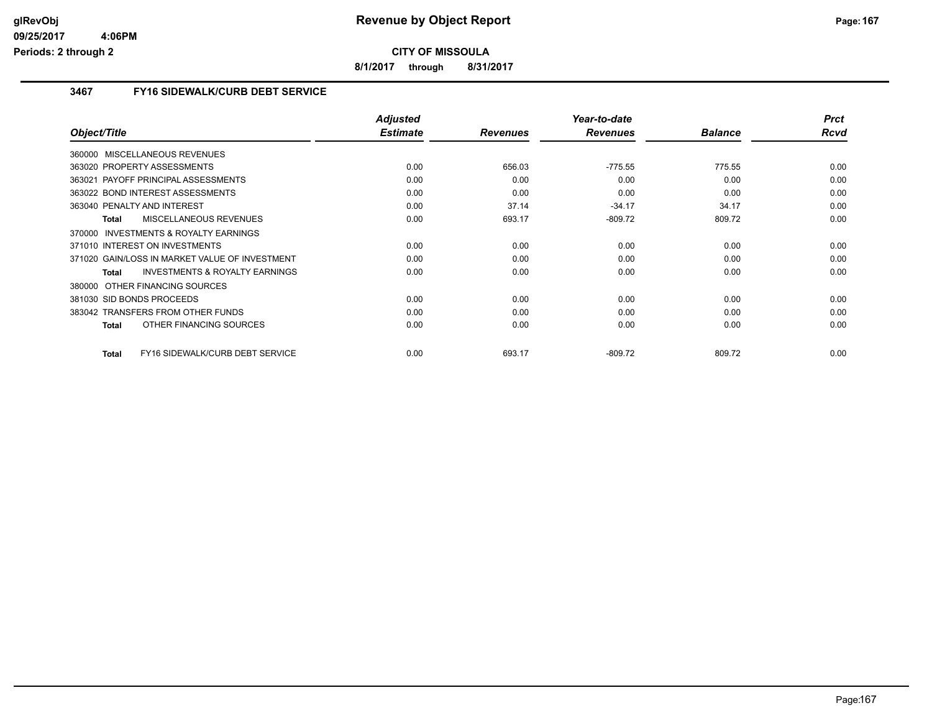**8/1/2017 through 8/31/2017**

## **3467 FY16 SIDEWALK/CURB DEBT SERVICE**

|                                                           | <b>Adjusted</b> |                 | Year-to-date    |                | <b>Prct</b> |
|-----------------------------------------------------------|-----------------|-----------------|-----------------|----------------|-------------|
| Object/Title                                              | <b>Estimate</b> | <b>Revenues</b> | <b>Revenues</b> | <b>Balance</b> | Rcvd        |
| 360000 MISCELLANEOUS REVENUES                             |                 |                 |                 |                |             |
| 363020 PROPERTY ASSESSMENTS                               | 0.00            | 656.03          | $-775.55$       | 775.55         | 0.00        |
| 363021 PAYOFF PRINCIPAL ASSESSMENTS                       | 0.00            | 0.00            | 0.00            | 0.00           | 0.00        |
| 363022 BOND INTEREST ASSESSMENTS                          | 0.00            | 0.00            | 0.00            | 0.00           | 0.00        |
| 363040 PENALTY AND INTEREST                               | 0.00            | 37.14           | $-34.17$        | 34.17          | 0.00        |
| <b>MISCELLANEOUS REVENUES</b><br><b>Total</b>             | 0.00            | 693.17          | $-809.72$       | 809.72         | 0.00        |
| INVESTMENTS & ROYALTY EARNINGS<br>370000                  |                 |                 |                 |                |             |
| 371010 INTEREST ON INVESTMENTS                            | 0.00            | 0.00            | 0.00            | 0.00           | 0.00        |
| 371020 GAIN/LOSS IN MARKET VALUE OF INVESTMENT            | 0.00            | 0.00            | 0.00            | 0.00           | 0.00        |
| <b>INVESTMENTS &amp; ROYALTY EARNINGS</b><br><b>Total</b> | 0.00            | 0.00            | 0.00            | 0.00           | 0.00        |
| OTHER FINANCING SOURCES<br>380000                         |                 |                 |                 |                |             |
| 381030 SID BONDS PROCEEDS                                 | 0.00            | 0.00            | 0.00            | 0.00           | 0.00        |
| 383042 TRANSFERS FROM OTHER FUNDS                         | 0.00            | 0.00            | 0.00            | 0.00           | 0.00        |
| OTHER FINANCING SOURCES<br><b>Total</b>                   | 0.00            | 0.00            | 0.00            | 0.00           | 0.00        |
| FY16 SIDEWALK/CURB DEBT SERVICE<br><b>Total</b>           | 0.00            | 693.17          | $-809.72$       | 809.72         | 0.00        |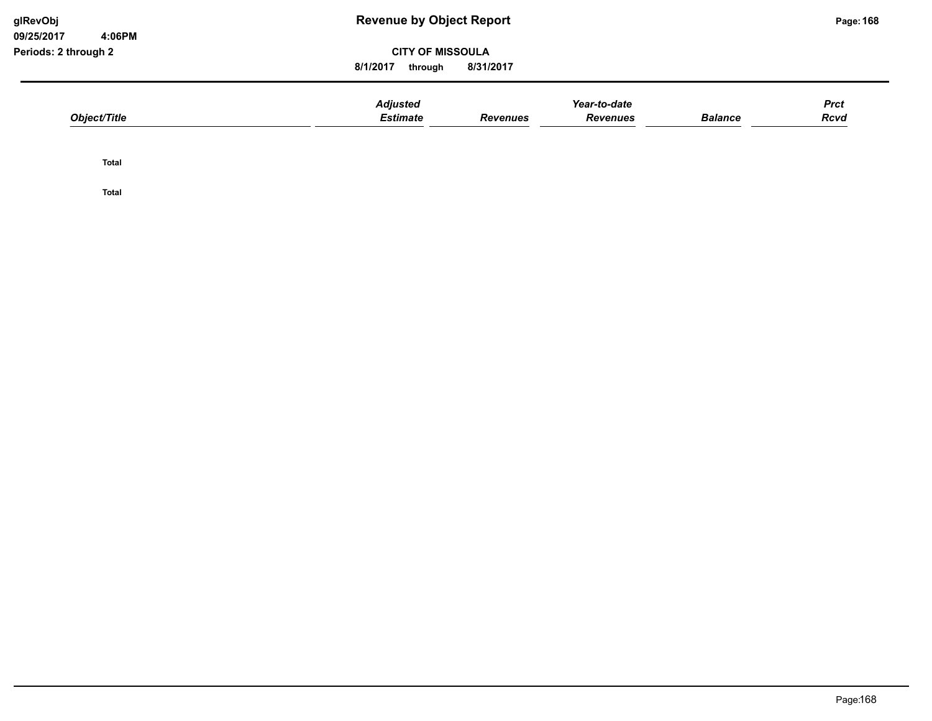| glRevObj<br>09/25/2017<br>4:06PM<br>Periods: 2 through 2 |                                                | <b>Revenue by Object Report</b> |                                 |                |                            |  |
|----------------------------------------------------------|------------------------------------------------|---------------------------------|---------------------------------|----------------|----------------------------|--|
|                                                          | <b>CITY OF MISSOULA</b><br>8/1/2017<br>through | 8/31/2017                       |                                 |                |                            |  |
| Object/Title                                             | <b>Adjusted</b><br><b>Estimate</b>             | <b>Revenues</b>                 | Year-to-date<br><b>Revenues</b> | <b>Balance</b> | <b>Prct</b><br><b>Rcvd</b> |  |
| <b>Total</b>                                             |                                                |                                 |                                 |                |                            |  |

**Total**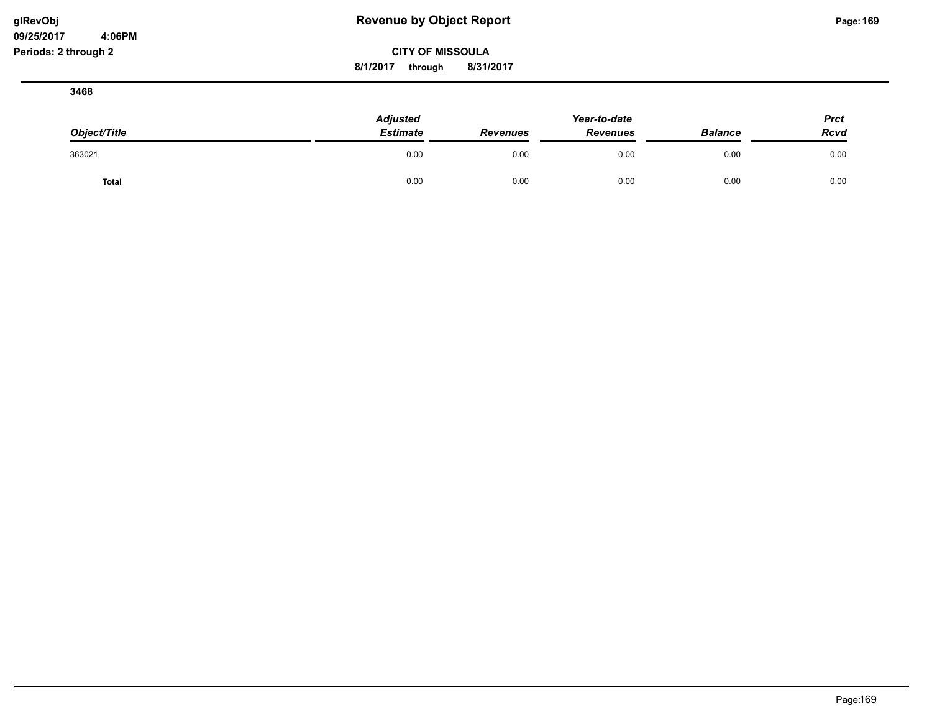**09/25/2017 4:06PM Periods: 2 through 2**

**CITY OF MISSOULA**

**8/1/2017 through 8/31/2017**

**3468**

|              | <b>Adjusted</b> |                 | Year-to-date    |                |             |
|--------------|-----------------|-----------------|-----------------|----------------|-------------|
| Object/Title | <b>Estimate</b> | <b>Revenues</b> | <b>Revenues</b> | <b>Balance</b> | <b>Rcvd</b> |
| 363021       | 0.00            | 0.00            | 0.00            | 0.00           | 0.00        |
| <b>Total</b> | 0.00            | 0.00            | 0.00            | 0.00           | 0.00        |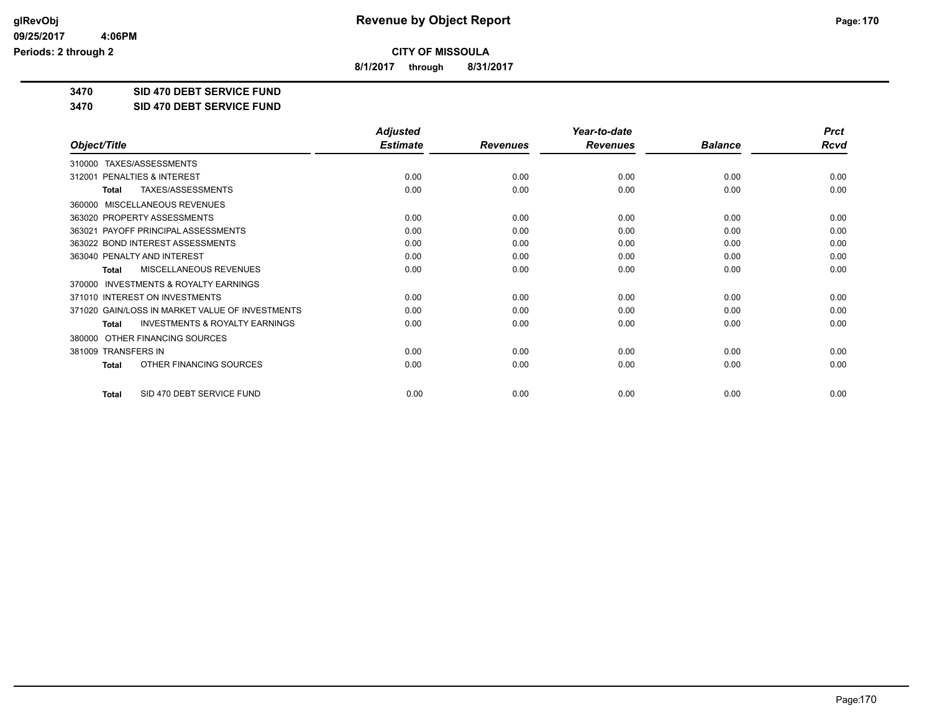**8/1/2017 through 8/31/2017**

**3470 SID 470 DEBT SERVICE FUND**

**3470 SID 470 DEBT SERVICE FUND**

|                                                           | <b>Adjusted</b> |                 | Year-to-date    |                | <b>Prct</b> |
|-----------------------------------------------------------|-----------------|-----------------|-----------------|----------------|-------------|
| Object/Title                                              | <b>Estimate</b> | <b>Revenues</b> | <b>Revenues</b> | <b>Balance</b> | <b>Rcvd</b> |
| TAXES/ASSESSMENTS<br>310000                               |                 |                 |                 |                |             |
| PENALTIES & INTEREST<br>312001                            | 0.00            | 0.00            | 0.00            | 0.00           | 0.00        |
| TAXES/ASSESSMENTS<br><b>Total</b>                         | 0.00            | 0.00            | 0.00            | 0.00           | 0.00        |
| MISCELLANEOUS REVENUES<br>360000                          |                 |                 |                 |                |             |
| 363020 PROPERTY ASSESSMENTS                               | 0.00            | 0.00            | 0.00            | 0.00           | 0.00        |
| 363021 PAYOFF PRINCIPAL ASSESSMENTS                       | 0.00            | 0.00            | 0.00            | 0.00           | 0.00        |
| 363022 BOND INTEREST ASSESSMENTS                          | 0.00            | 0.00            | 0.00            | 0.00           | 0.00        |
| 363040 PENALTY AND INTEREST                               | 0.00            | 0.00            | 0.00            | 0.00           | 0.00        |
| MISCELLANEOUS REVENUES<br><b>Total</b>                    | 0.00            | 0.00            | 0.00            | 0.00           | 0.00        |
| <b>INVESTMENTS &amp; ROYALTY EARNINGS</b><br>370000       |                 |                 |                 |                |             |
| 371010 INTEREST ON INVESTMENTS                            | 0.00            | 0.00            | 0.00            | 0.00           | 0.00        |
| 371020 GAIN/LOSS IN MARKET VALUE OF INVESTMENTS           | 0.00            | 0.00            | 0.00            | 0.00           | 0.00        |
| <b>INVESTMENTS &amp; ROYALTY EARNINGS</b><br><b>Total</b> | 0.00            | 0.00            | 0.00            | 0.00           | 0.00        |
| OTHER FINANCING SOURCES<br>380000                         |                 |                 |                 |                |             |
| 381009 TRANSFERS IN                                       | 0.00            | 0.00            | 0.00            | 0.00           | 0.00        |
| OTHER FINANCING SOURCES<br><b>Total</b>                   | 0.00            | 0.00            | 0.00            | 0.00           | 0.00        |
| SID 470 DEBT SERVICE FUND<br><b>Total</b>                 | 0.00            | 0.00            | 0.00            | 0.00           | 0.00        |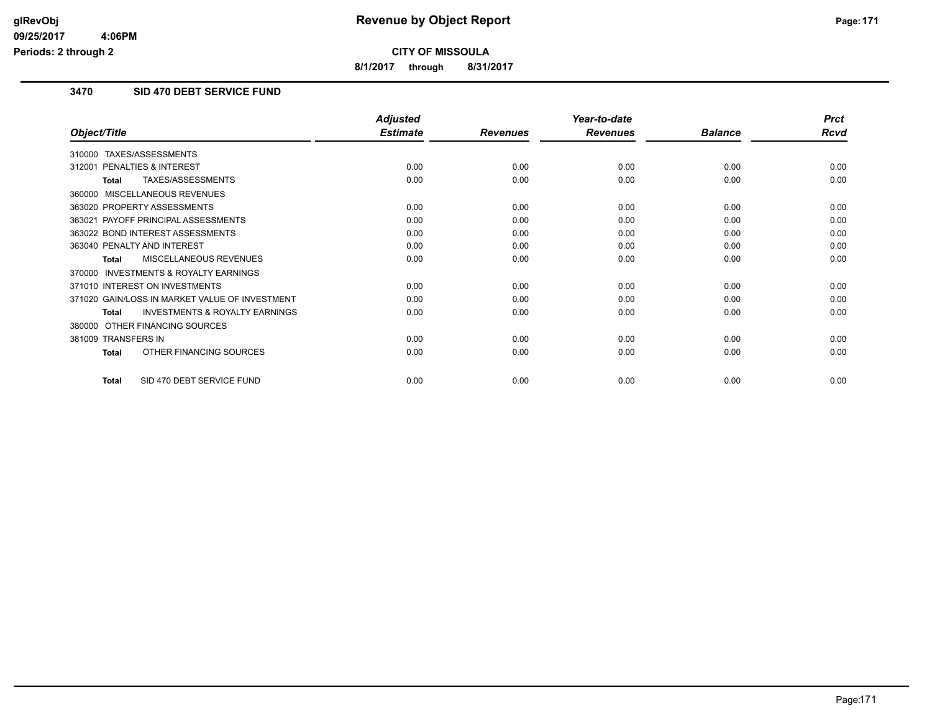**8/1/2017 through 8/31/2017**

# **3470 SID 470 DEBT SERVICE FUND**

|                                                           | <b>Adjusted</b> |                 | Year-to-date    |                | <b>Prct</b> |
|-----------------------------------------------------------|-----------------|-----------------|-----------------|----------------|-------------|
| Object/Title                                              | <b>Estimate</b> | <b>Revenues</b> | <b>Revenues</b> | <b>Balance</b> | <b>Rcvd</b> |
| TAXES/ASSESSMENTS<br>310000                               |                 |                 |                 |                |             |
| 312001 PENALTIES & INTEREST                               | 0.00            | 0.00            | 0.00            | 0.00           | 0.00        |
| TAXES/ASSESSMENTS<br><b>Total</b>                         | 0.00            | 0.00            | 0.00            | 0.00           | 0.00        |
| MISCELLANEOUS REVENUES<br>360000                          |                 |                 |                 |                |             |
| 363020 PROPERTY ASSESSMENTS                               | 0.00            | 0.00            | 0.00            | 0.00           | 0.00        |
| 363021 PAYOFF PRINCIPAL ASSESSMENTS                       | 0.00            | 0.00            | 0.00            | 0.00           | 0.00        |
| 363022 BOND INTEREST ASSESSMENTS                          | 0.00            | 0.00            | 0.00            | 0.00           | 0.00        |
| 363040 PENALTY AND INTEREST                               | 0.00            | 0.00            | 0.00            | 0.00           | 0.00        |
| <b>MISCELLANEOUS REVENUES</b><br><b>Total</b>             | 0.00            | 0.00            | 0.00            | 0.00           | 0.00        |
| <b>INVESTMENTS &amp; ROYALTY EARNINGS</b><br>370000       |                 |                 |                 |                |             |
| 371010 INTEREST ON INVESTMENTS                            | 0.00            | 0.00            | 0.00            | 0.00           | 0.00        |
| 371020 GAIN/LOSS IN MARKET VALUE OF INVESTMENT            | 0.00            | 0.00            | 0.00            | 0.00           | 0.00        |
| <b>INVESTMENTS &amp; ROYALTY EARNINGS</b><br><b>Total</b> | 0.00            | 0.00            | 0.00            | 0.00           | 0.00        |
| OTHER FINANCING SOURCES<br>380000                         |                 |                 |                 |                |             |
| 381009 TRANSFERS IN                                       | 0.00            | 0.00            | 0.00            | 0.00           | 0.00        |
| OTHER FINANCING SOURCES<br><b>Total</b>                   | 0.00            | 0.00            | 0.00            | 0.00           | 0.00        |
| SID 470 DEBT SERVICE FUND<br><b>Total</b>                 | 0.00            | 0.00            | 0.00            | 0.00           | 0.00        |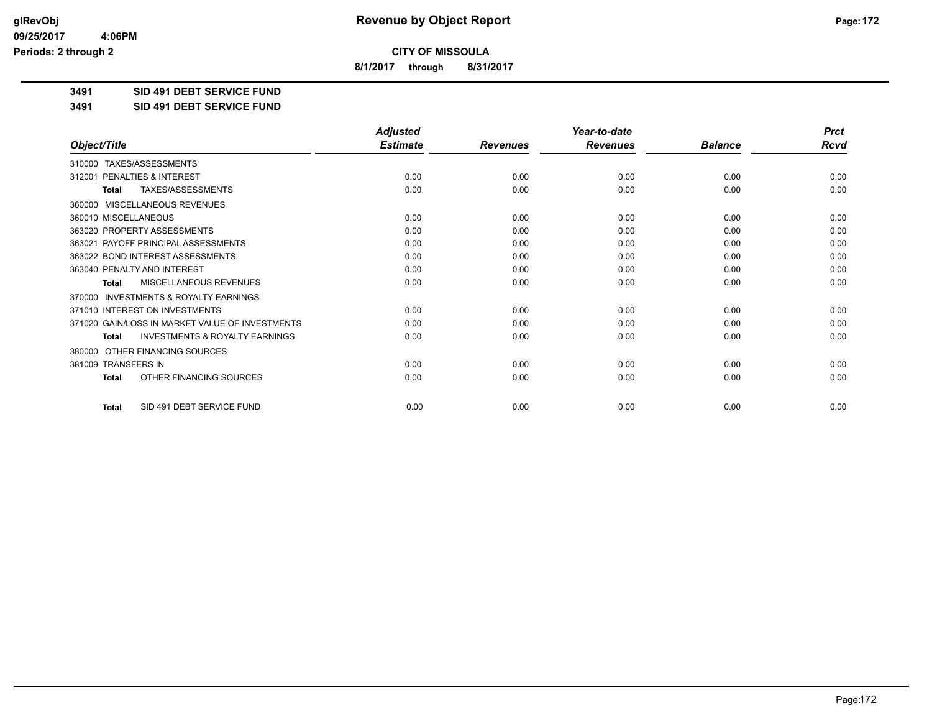**8/1/2017 through 8/31/2017**

**3491 SID 491 DEBT SERVICE FUND**

**3491 SID 491 DEBT SERVICE FUND**

|                                                           | <b>Adjusted</b> |                 | Year-to-date    |                | <b>Prct</b> |
|-----------------------------------------------------------|-----------------|-----------------|-----------------|----------------|-------------|
| Object/Title                                              | <b>Estimate</b> | <b>Revenues</b> | <b>Revenues</b> | <b>Balance</b> | <b>Rcvd</b> |
| 310000 TAXES/ASSESSMENTS                                  |                 |                 |                 |                |             |
| PENALTIES & INTEREST<br>312001                            | 0.00            | 0.00            | 0.00            | 0.00           | 0.00        |
| <b>TAXES/ASSESSMENTS</b><br>Total                         | 0.00            | 0.00            | 0.00            | 0.00           | 0.00        |
| MISCELLANEOUS REVENUES<br>360000                          |                 |                 |                 |                |             |
| 360010 MISCELLANEOUS                                      | 0.00            | 0.00            | 0.00            | 0.00           | 0.00        |
| 363020 PROPERTY ASSESSMENTS                               | 0.00            | 0.00            | 0.00            | 0.00           | 0.00        |
| 363021 PAYOFF PRINCIPAL ASSESSMENTS                       | 0.00            | 0.00            | 0.00            | 0.00           | 0.00        |
| 363022 BOND INTEREST ASSESSMENTS                          | 0.00            | 0.00            | 0.00            | 0.00           | 0.00        |
| 363040 PENALTY AND INTEREST                               | 0.00            | 0.00            | 0.00            | 0.00           | 0.00        |
| MISCELLANEOUS REVENUES<br>Total                           | 0.00            | 0.00            | 0.00            | 0.00           | 0.00        |
| INVESTMENTS & ROYALTY EARNINGS<br>370000                  |                 |                 |                 |                |             |
| 371010 INTEREST ON INVESTMENTS                            | 0.00            | 0.00            | 0.00            | 0.00           | 0.00        |
| 371020 GAIN/LOSS IN MARKET VALUE OF INVESTMENTS           | 0.00            | 0.00            | 0.00            | 0.00           | 0.00        |
| <b>INVESTMENTS &amp; ROYALTY EARNINGS</b><br><b>Total</b> | 0.00            | 0.00            | 0.00            | 0.00           | 0.00        |
| OTHER FINANCING SOURCES<br>380000                         |                 |                 |                 |                |             |
| 381009 TRANSFERS IN                                       | 0.00            | 0.00            | 0.00            | 0.00           | 0.00        |
| OTHER FINANCING SOURCES<br>Total                          | 0.00            | 0.00            | 0.00            | 0.00           | 0.00        |
| SID 491 DEBT SERVICE FUND<br><b>Total</b>                 | 0.00            | 0.00            | 0.00            | 0.00           | 0.00        |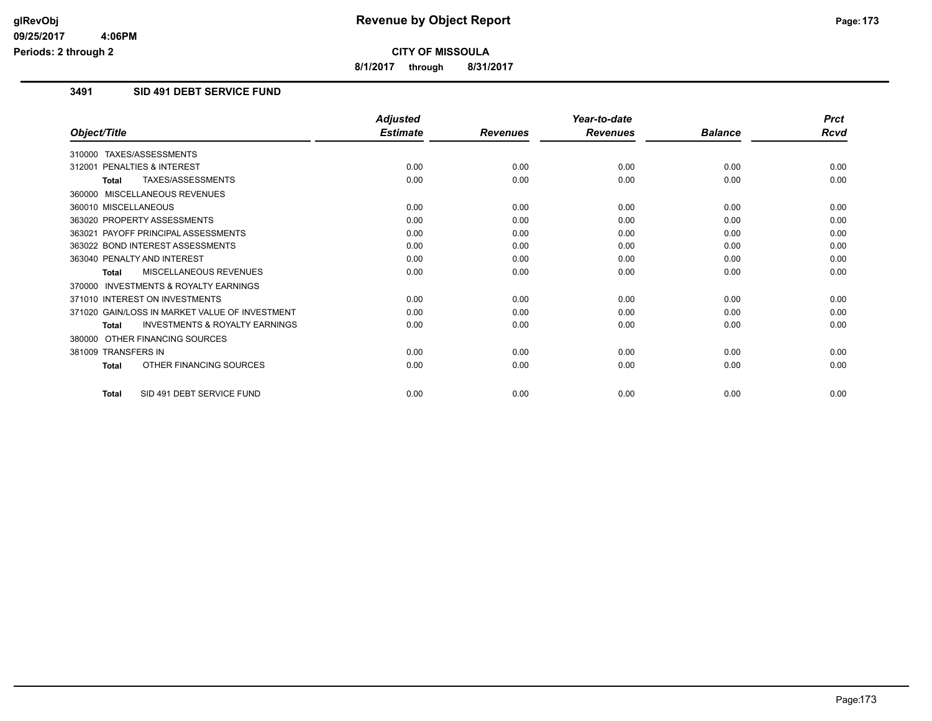**Periods: 2 through 2**

**CITY OF MISSOULA**

**8/1/2017 through 8/31/2017**

# **3491 SID 491 DEBT SERVICE FUND**

|                                                           | <b>Adjusted</b> |                 | Year-to-date    |                | <b>Prct</b> |
|-----------------------------------------------------------|-----------------|-----------------|-----------------|----------------|-------------|
| Object/Title                                              | <b>Estimate</b> | <b>Revenues</b> | <b>Revenues</b> | <b>Balance</b> | <b>Rcvd</b> |
| 310000 TAXES/ASSESSMENTS                                  |                 |                 |                 |                |             |
| 312001 PENALTIES & INTEREST                               | 0.00            | 0.00            | 0.00            | 0.00           | 0.00        |
| TAXES/ASSESSMENTS<br><b>Total</b>                         | 0.00            | 0.00            | 0.00            | 0.00           | 0.00        |
| 360000 MISCELLANEOUS REVENUES                             |                 |                 |                 |                |             |
| 360010 MISCELLANEOUS                                      | 0.00            | 0.00            | 0.00            | 0.00           | 0.00        |
| 363020 PROPERTY ASSESSMENTS                               | 0.00            | 0.00            | 0.00            | 0.00           | 0.00        |
| 363021 PAYOFF PRINCIPAL ASSESSMENTS                       | 0.00            | 0.00            | 0.00            | 0.00           | 0.00        |
| 363022 BOND INTEREST ASSESSMENTS                          | 0.00            | 0.00            | 0.00            | 0.00           | 0.00        |
| 363040 PENALTY AND INTEREST                               | 0.00            | 0.00            | 0.00            | 0.00           | 0.00        |
| MISCELLANEOUS REVENUES<br><b>Total</b>                    | 0.00            | 0.00            | 0.00            | 0.00           | 0.00        |
| INVESTMENTS & ROYALTY EARNINGS<br>370000                  |                 |                 |                 |                |             |
| 371010 INTEREST ON INVESTMENTS                            | 0.00            | 0.00            | 0.00            | 0.00           | 0.00        |
| 371020 GAIN/LOSS IN MARKET VALUE OF INVESTMENT            | 0.00            | 0.00            | 0.00            | 0.00           | 0.00        |
| <b>INVESTMENTS &amp; ROYALTY EARNINGS</b><br><b>Total</b> | 0.00            | 0.00            | 0.00            | 0.00           | 0.00        |
| 380000 OTHER FINANCING SOURCES                            |                 |                 |                 |                |             |
| 381009 TRANSFERS IN                                       | 0.00            | 0.00            | 0.00            | 0.00           | 0.00        |
| OTHER FINANCING SOURCES<br><b>Total</b>                   | 0.00            | 0.00            | 0.00            | 0.00           | 0.00        |
| SID 491 DEBT SERVICE FUND<br><b>Total</b>                 | 0.00            | 0.00            | 0.00            | 0.00           | 0.00        |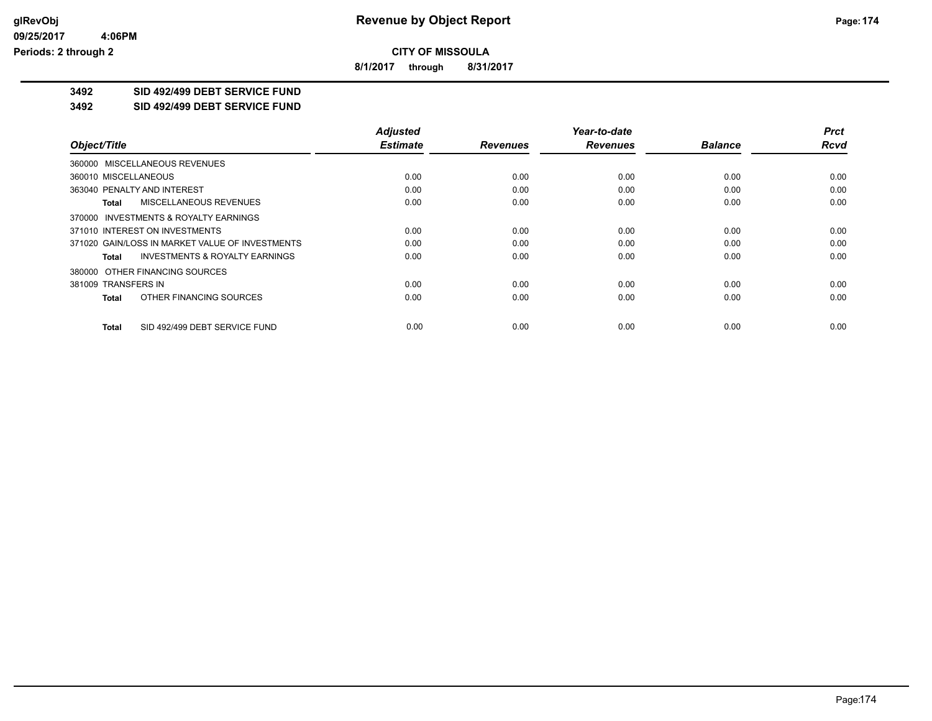**8/1/2017 through 8/31/2017**

**3492 SID 492/499 DEBT SERVICE FUND**

**3492 SID 492/499 DEBT SERVICE FUND**

|                                                    | <b>Adjusted</b> |                 | Year-to-date    |                | <b>Prct</b> |
|----------------------------------------------------|-----------------|-----------------|-----------------|----------------|-------------|
| Object/Title                                       | <b>Estimate</b> | <b>Revenues</b> | <b>Revenues</b> | <b>Balance</b> | <b>Rcvd</b> |
| 360000 MISCELLANEOUS REVENUES                      |                 |                 |                 |                |             |
| 360010 MISCELLANEOUS                               | 0.00            | 0.00            | 0.00            | 0.00           | 0.00        |
| 363040 PENALTY AND INTEREST                        | 0.00            | 0.00            | 0.00            | 0.00           | 0.00        |
| <b>MISCELLANEOUS REVENUES</b><br>Total             | 0.00            | 0.00            | 0.00            | 0.00           | 0.00        |
| 370000 INVESTMENTS & ROYALTY EARNINGS              |                 |                 |                 |                |             |
| 371010 INTEREST ON INVESTMENTS                     | 0.00            | 0.00            | 0.00            | 0.00           | 0.00        |
| 371020 GAIN/LOSS IN MARKET VALUE OF INVESTMENTS    | 0.00            | 0.00            | 0.00            | 0.00           | 0.00        |
| <b>INVESTMENTS &amp; ROYALTY EARNINGS</b><br>Total | 0.00            | 0.00            | 0.00            | 0.00           | 0.00        |
| 380000 OTHER FINANCING SOURCES                     |                 |                 |                 |                |             |
| 381009 TRANSFERS IN                                | 0.00            | 0.00            | 0.00            | 0.00           | 0.00        |
| OTHER FINANCING SOURCES<br><b>Total</b>            | 0.00            | 0.00            | 0.00            | 0.00           | 0.00        |
| SID 492/499 DEBT SERVICE FUND<br><b>Total</b>      | 0.00            | 0.00            | 0.00            | 0.00           | 0.00        |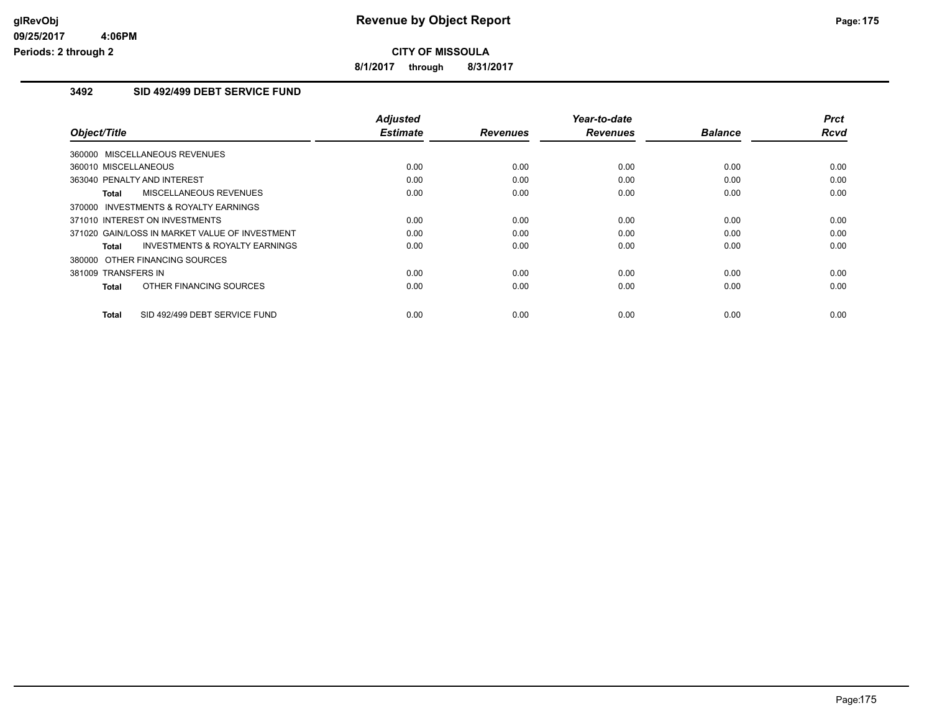**8/1/2017 through 8/31/2017**

# **3492 SID 492/499 DEBT SERVICE FUND**

| Object/Title                                   | <b>Adjusted</b><br><b>Estimate</b> | <b>Revenues</b> | Year-to-date<br><b>Revenues</b> | <b>Balance</b> | <b>Prct</b><br><b>Rcvd</b> |
|------------------------------------------------|------------------------------------|-----------------|---------------------------------|----------------|----------------------------|
| 360000 MISCELLANEOUS REVENUES                  |                                    |                 |                                 |                |                            |
| 360010 MISCELLANEOUS                           | 0.00                               | 0.00            | 0.00                            | 0.00           | 0.00                       |
| 363040 PENALTY AND INTEREST                    | 0.00                               | 0.00            | 0.00                            | 0.00           | 0.00                       |
| MISCELLANEOUS REVENUES<br>Total                | 0.00                               | 0.00            | 0.00                            | 0.00           | 0.00                       |
| 370000 INVESTMENTS & ROYALTY EARNINGS          |                                    |                 |                                 |                |                            |
| 371010 INTEREST ON INVESTMENTS                 | 0.00                               | 0.00            | 0.00                            | 0.00           | 0.00                       |
| 371020 GAIN/LOSS IN MARKET VALUE OF INVESTMENT | 0.00                               | 0.00            | 0.00                            | 0.00           | 0.00                       |
| INVESTMENTS & ROYALTY EARNINGS<br>Total        | 0.00                               | 0.00            | 0.00                            | 0.00           | 0.00                       |
| 380000 OTHER FINANCING SOURCES                 |                                    |                 |                                 |                |                            |
| 381009 TRANSFERS IN                            | 0.00                               | 0.00            | 0.00                            | 0.00           | 0.00                       |
| OTHER FINANCING SOURCES<br><b>Total</b>        | 0.00                               | 0.00            | 0.00                            | 0.00           | 0.00                       |
| SID 492/499 DEBT SERVICE FUND<br><b>Total</b>  | 0.00                               | 0.00            | 0.00                            | 0.00           | 0.00                       |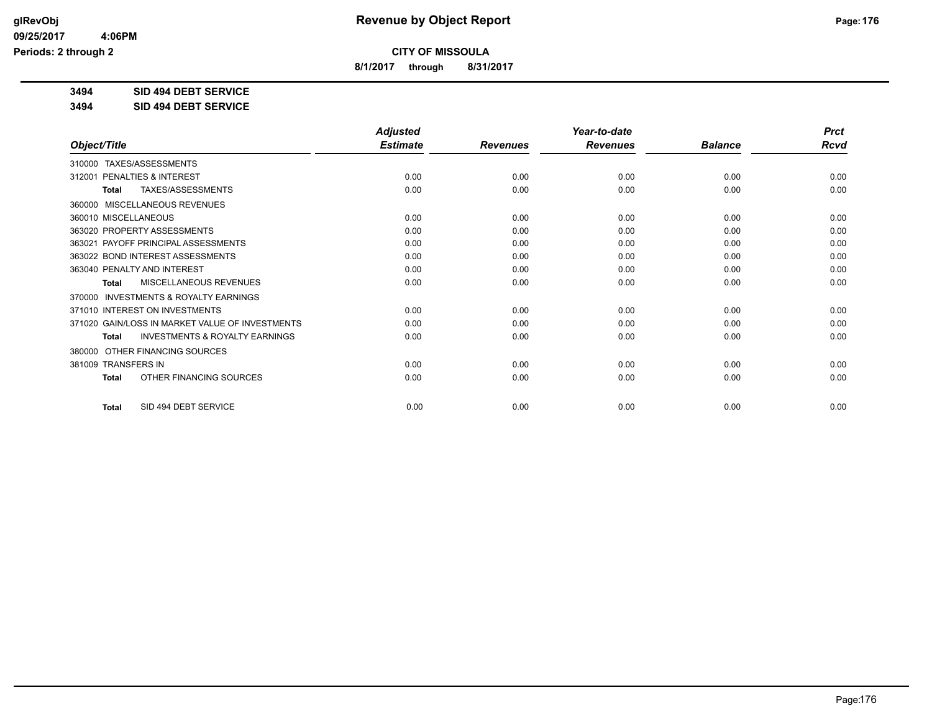**8/1/2017 through 8/31/2017**

**3494 SID 494 DEBT SERVICE**

**3494 SID 494 DEBT SERVICE**

|                                                           | <b>Adjusted</b> |                 | Year-to-date    |                | <b>Prct</b> |
|-----------------------------------------------------------|-----------------|-----------------|-----------------|----------------|-------------|
| Object/Title                                              | <b>Estimate</b> | <b>Revenues</b> | <b>Revenues</b> | <b>Balance</b> | <b>Rcvd</b> |
| TAXES/ASSESSMENTS<br>310000                               |                 |                 |                 |                |             |
| PENALTIES & INTEREST<br>312001                            | 0.00            | 0.00            | 0.00            | 0.00           | 0.00        |
| TAXES/ASSESSMENTS<br><b>Total</b>                         | 0.00            | 0.00            | 0.00            | 0.00           | 0.00        |
| MISCELLANEOUS REVENUES<br>360000                          |                 |                 |                 |                |             |
| 360010 MISCELLANEOUS                                      | 0.00            | 0.00            | 0.00            | 0.00           | 0.00        |
| 363020 PROPERTY ASSESSMENTS                               | 0.00            | 0.00            | 0.00            | 0.00           | 0.00        |
| 363021 PAYOFF PRINCIPAL ASSESSMENTS                       | 0.00            | 0.00            | 0.00            | 0.00           | 0.00        |
| 363022 BOND INTEREST ASSESSMENTS                          | 0.00            | 0.00            | 0.00            | 0.00           | 0.00        |
| 363040 PENALTY AND INTEREST                               | 0.00            | 0.00            | 0.00            | 0.00           | 0.00        |
| MISCELLANEOUS REVENUES<br>Total                           | 0.00            | 0.00            | 0.00            | 0.00           | 0.00        |
| <b>INVESTMENTS &amp; ROYALTY EARNINGS</b><br>370000       |                 |                 |                 |                |             |
| 371010 INTEREST ON INVESTMENTS                            | 0.00            | 0.00            | 0.00            | 0.00           | 0.00        |
| 371020 GAIN/LOSS IN MARKET VALUE OF INVESTMENTS           | 0.00            | 0.00            | 0.00            | 0.00           | 0.00        |
| <b>INVESTMENTS &amp; ROYALTY EARNINGS</b><br><b>Total</b> | 0.00            | 0.00            | 0.00            | 0.00           | 0.00        |
| OTHER FINANCING SOURCES<br>380000                         |                 |                 |                 |                |             |
| 381009 TRANSFERS IN                                       | 0.00            | 0.00            | 0.00            | 0.00           | 0.00        |
| OTHER FINANCING SOURCES<br><b>Total</b>                   | 0.00            | 0.00            | 0.00            | 0.00           | 0.00        |
| SID 494 DEBT SERVICE<br><b>Total</b>                      | 0.00            | 0.00            | 0.00            | 0.00           | 0.00        |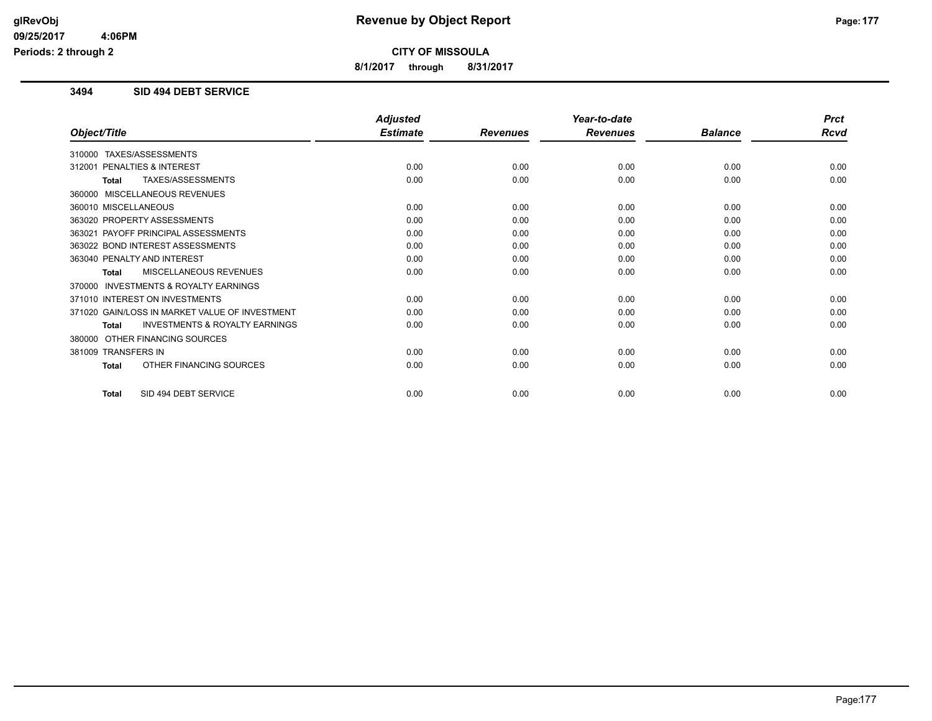**8/1/2017 through 8/31/2017**

## **3494 SID 494 DEBT SERVICE**

|                                                    | <b>Adjusted</b> |                 | Year-to-date    |                | <b>Prct</b> |
|----------------------------------------------------|-----------------|-----------------|-----------------|----------------|-------------|
| Object/Title                                       | <b>Estimate</b> | <b>Revenues</b> | <b>Revenues</b> | <b>Balance</b> | <b>Rcvd</b> |
| 310000 TAXES/ASSESSMENTS                           |                 |                 |                 |                |             |
| PENALTIES & INTEREST<br>312001                     | 0.00            | 0.00            | 0.00            | 0.00           | 0.00        |
| TAXES/ASSESSMENTS<br>Total                         | 0.00            | 0.00            | 0.00            | 0.00           | 0.00        |
| 360000 MISCELLANEOUS REVENUES                      |                 |                 |                 |                |             |
| 360010 MISCELLANEOUS                               | 0.00            | 0.00            | 0.00            | 0.00           | 0.00        |
| 363020 PROPERTY ASSESSMENTS                        | 0.00            | 0.00            | 0.00            | 0.00           | 0.00        |
| 363021 PAYOFF PRINCIPAL ASSESSMENTS                | 0.00            | 0.00            | 0.00            | 0.00           | 0.00        |
| 363022 BOND INTEREST ASSESSMENTS                   | 0.00            | 0.00            | 0.00            | 0.00           | 0.00        |
| 363040 PENALTY AND INTEREST                        | 0.00            | 0.00            | 0.00            | 0.00           | 0.00        |
| MISCELLANEOUS REVENUES<br><b>Total</b>             | 0.00            | 0.00            | 0.00            | 0.00           | 0.00        |
| 370000 INVESTMENTS & ROYALTY EARNINGS              |                 |                 |                 |                |             |
| 371010 INTEREST ON INVESTMENTS                     | 0.00            | 0.00            | 0.00            | 0.00           | 0.00        |
| 371020 GAIN/LOSS IN MARKET VALUE OF INVESTMENT     | 0.00            | 0.00            | 0.00            | 0.00           | 0.00        |
| <b>INVESTMENTS &amp; ROYALTY EARNINGS</b><br>Total | 0.00            | 0.00            | 0.00            | 0.00           | 0.00        |
| 380000 OTHER FINANCING SOURCES                     |                 |                 |                 |                |             |
| 381009 TRANSFERS IN                                | 0.00            | 0.00            | 0.00            | 0.00           | 0.00        |
| OTHER FINANCING SOURCES<br>Total                   | 0.00            | 0.00            | 0.00            | 0.00           | 0.00        |
| SID 494 DEBT SERVICE<br><b>Total</b>               | 0.00            | 0.00            | 0.00            | 0.00           | 0.00        |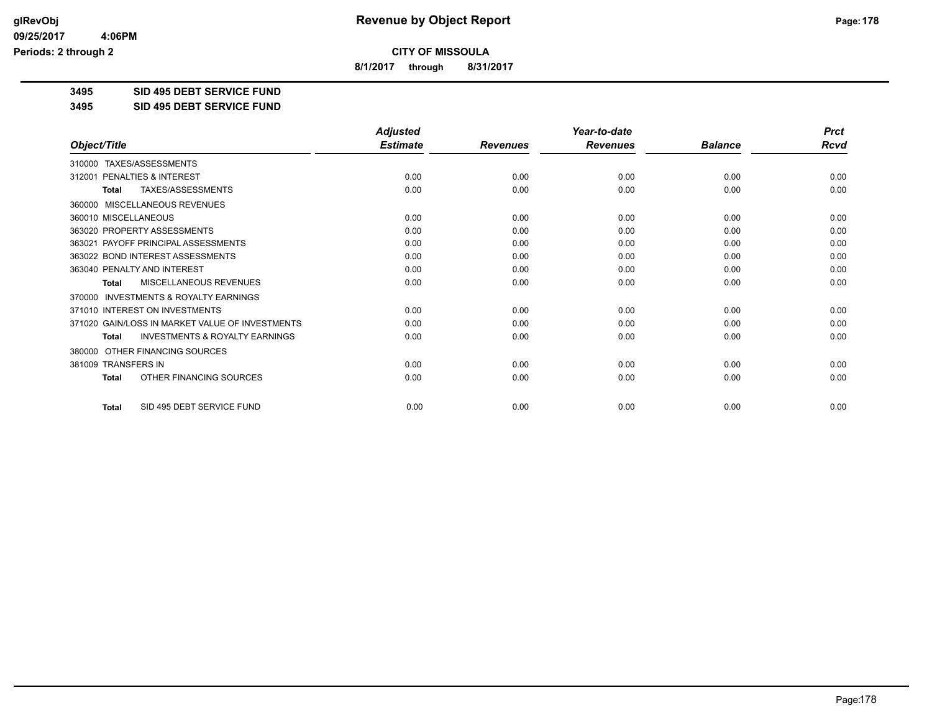**8/1/2017 through 8/31/2017**

**3495 SID 495 DEBT SERVICE FUND**

**3495 SID 495 DEBT SERVICE FUND**

|                                                     | <b>Adjusted</b> |                 | Year-to-date    |                | <b>Prct</b> |
|-----------------------------------------------------|-----------------|-----------------|-----------------|----------------|-------------|
| Object/Title                                        | <b>Estimate</b> | <b>Revenues</b> | <b>Revenues</b> | <b>Balance</b> | <b>Rcvd</b> |
| 310000 TAXES/ASSESSMENTS                            |                 |                 |                 |                |             |
| 312001 PENALTIES & INTEREST                         | 0.00            | 0.00            | 0.00            | 0.00           | 0.00        |
| TAXES/ASSESSMENTS<br><b>Total</b>                   | 0.00            | 0.00            | 0.00            | 0.00           | 0.00        |
| <b>MISCELLANEOUS REVENUES</b><br>360000             |                 |                 |                 |                |             |
| 360010 MISCELLANEOUS                                | 0.00            | 0.00            | 0.00            | 0.00           | 0.00        |
| 363020 PROPERTY ASSESSMENTS                         | 0.00            | 0.00            | 0.00            | 0.00           | 0.00        |
| 363021 PAYOFF PRINCIPAL ASSESSMENTS                 | 0.00            | 0.00            | 0.00            | 0.00           | 0.00        |
| 363022 BOND INTEREST ASSESSMENTS                    | 0.00            | 0.00            | 0.00            | 0.00           | 0.00        |
| 363040 PENALTY AND INTEREST                         | 0.00            | 0.00            | 0.00            | 0.00           | 0.00        |
| MISCELLANEOUS REVENUES<br>Total                     | 0.00            | 0.00            | 0.00            | 0.00           | 0.00        |
| <b>INVESTMENTS &amp; ROYALTY EARNINGS</b><br>370000 |                 |                 |                 |                |             |
| 371010 INTEREST ON INVESTMENTS                      | 0.00            | 0.00            | 0.00            | 0.00           | 0.00        |
| 371020 GAIN/LOSS IN MARKET VALUE OF INVESTMENTS     | 0.00            | 0.00            | 0.00            | 0.00           | 0.00        |
| <b>INVESTMENTS &amp; ROYALTY EARNINGS</b><br>Total  | 0.00            | 0.00            | 0.00            | 0.00           | 0.00        |
| OTHER FINANCING SOURCES<br>380000                   |                 |                 |                 |                |             |
| 381009 TRANSFERS IN                                 | 0.00            | 0.00            | 0.00            | 0.00           | 0.00        |
| OTHER FINANCING SOURCES<br><b>Total</b>             | 0.00            | 0.00            | 0.00            | 0.00           | 0.00        |
| SID 495 DEBT SERVICE FUND<br><b>Total</b>           | 0.00            | 0.00            | 0.00            | 0.00           | 0.00        |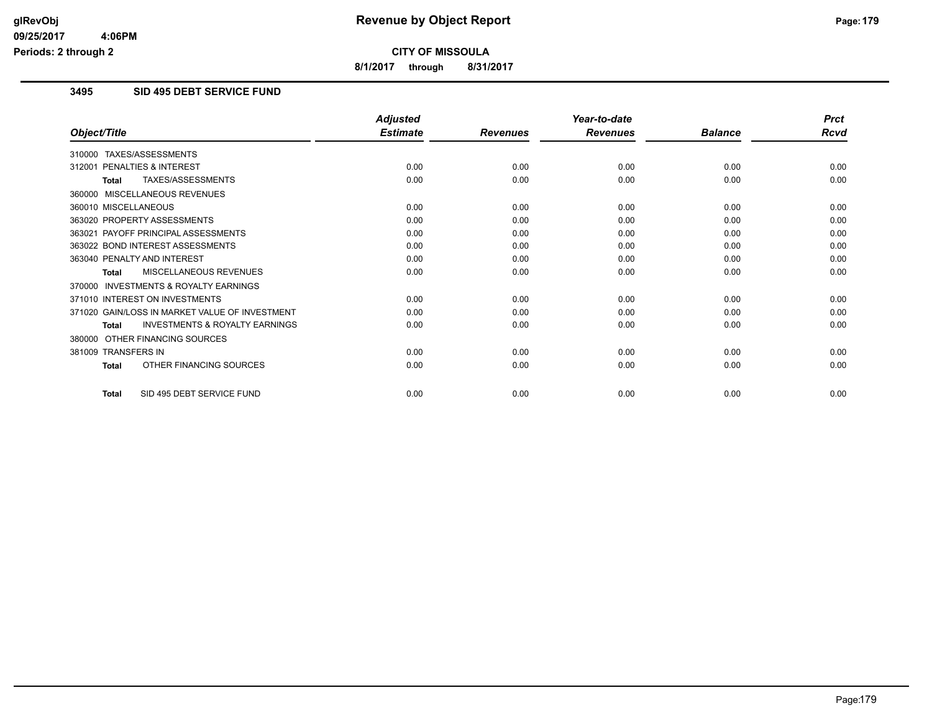**Periods: 2 through 2**

 **4:06PM**

**CITY OF MISSOULA**

**8/1/2017 through 8/31/2017**

# **3495 SID 495 DEBT SERVICE FUND**

|                                                           | <b>Adjusted</b> |                 | Year-to-date    |                | <b>Prct</b> |
|-----------------------------------------------------------|-----------------|-----------------|-----------------|----------------|-------------|
| Object/Title                                              | <b>Estimate</b> | <b>Revenues</b> | <b>Revenues</b> | <b>Balance</b> | <b>Rcvd</b> |
| 310000 TAXES/ASSESSMENTS                                  |                 |                 |                 |                |             |
| 312001 PENALTIES & INTEREST                               | 0.00            | 0.00            | 0.00            | 0.00           | 0.00        |
| TAXES/ASSESSMENTS<br><b>Total</b>                         | 0.00            | 0.00            | 0.00            | 0.00           | 0.00        |
| 360000 MISCELLANEOUS REVENUES                             |                 |                 |                 |                |             |
| 360010 MISCELLANEOUS                                      | 0.00            | 0.00            | 0.00            | 0.00           | 0.00        |
| 363020 PROPERTY ASSESSMENTS                               | 0.00            | 0.00            | 0.00            | 0.00           | 0.00        |
| 363021 PAYOFF PRINCIPAL ASSESSMENTS                       | 0.00            | 0.00            | 0.00            | 0.00           | 0.00        |
| 363022 BOND INTEREST ASSESSMENTS                          | 0.00            | 0.00            | 0.00            | 0.00           | 0.00        |
| 363040 PENALTY AND INTEREST                               | 0.00            | 0.00            | 0.00            | 0.00           | 0.00        |
| MISCELLANEOUS REVENUES<br><b>Total</b>                    | 0.00            | 0.00            | 0.00            | 0.00           | 0.00        |
| INVESTMENTS & ROYALTY EARNINGS<br>370000                  |                 |                 |                 |                |             |
| 371010 INTEREST ON INVESTMENTS                            | 0.00            | 0.00            | 0.00            | 0.00           | 0.00        |
| 371020 GAIN/LOSS IN MARKET VALUE OF INVESTMENT            | 0.00            | 0.00            | 0.00            | 0.00           | 0.00        |
| <b>INVESTMENTS &amp; ROYALTY EARNINGS</b><br><b>Total</b> | 0.00            | 0.00            | 0.00            | 0.00           | 0.00        |
| 380000 OTHER FINANCING SOURCES                            |                 |                 |                 |                |             |
| 381009 TRANSFERS IN                                       | 0.00            | 0.00            | 0.00            | 0.00           | 0.00        |
| OTHER FINANCING SOURCES<br><b>Total</b>                   | 0.00            | 0.00            | 0.00            | 0.00           | 0.00        |
| SID 495 DEBT SERVICE FUND<br><b>Total</b>                 | 0.00            | 0.00            | 0.00            | 0.00           | 0.00        |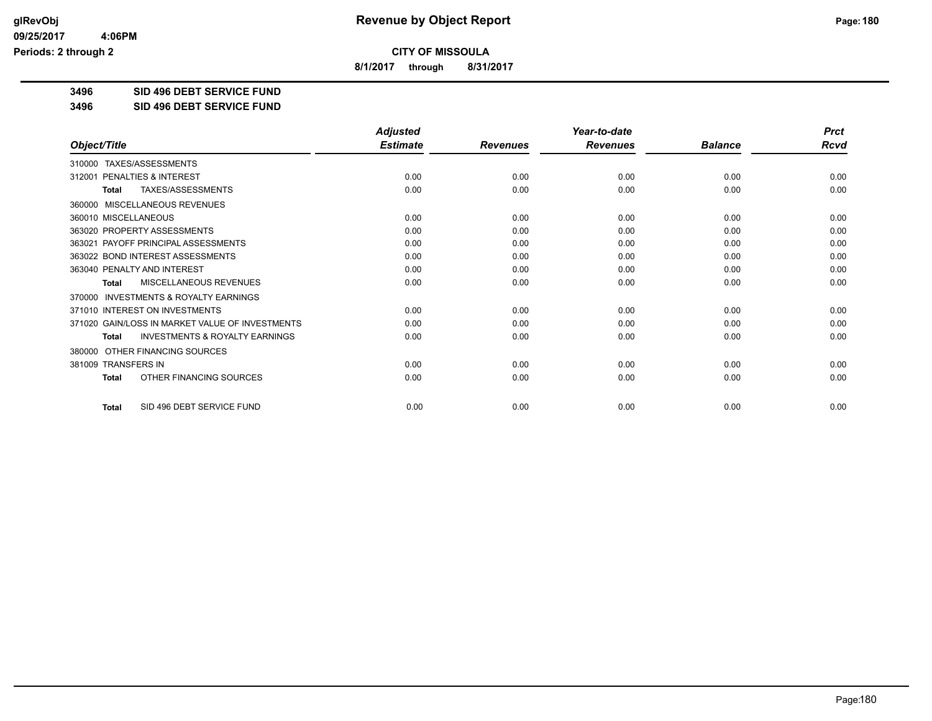**8/1/2017 through 8/31/2017**

**3496 SID 496 DEBT SERVICE FUND**

**3496 SID 496 DEBT SERVICE FUND**

|                                                           | <b>Adjusted</b> |                 | Year-to-date    |                | <b>Prct</b> |
|-----------------------------------------------------------|-----------------|-----------------|-----------------|----------------|-------------|
| Object/Title                                              | <b>Estimate</b> | <b>Revenues</b> | <b>Revenues</b> | <b>Balance</b> | <b>Rcvd</b> |
| TAXES/ASSESSMENTS<br>310000                               |                 |                 |                 |                |             |
| PENALTIES & INTEREST<br>312001                            | 0.00            | 0.00            | 0.00            | 0.00           | 0.00        |
| TAXES/ASSESSMENTS<br>Total                                | 0.00            | 0.00            | 0.00            | 0.00           | 0.00        |
| MISCELLANEOUS REVENUES<br>360000                          |                 |                 |                 |                |             |
| 360010 MISCELLANEOUS                                      | 0.00            | 0.00            | 0.00            | 0.00           | 0.00        |
| 363020 PROPERTY ASSESSMENTS                               | 0.00            | 0.00            | 0.00            | 0.00           | 0.00        |
| 363021 PAYOFF PRINCIPAL ASSESSMENTS                       | 0.00            | 0.00            | 0.00            | 0.00           | 0.00        |
| 363022 BOND INTEREST ASSESSMENTS                          | 0.00            | 0.00            | 0.00            | 0.00           | 0.00        |
| 363040 PENALTY AND INTEREST                               | 0.00            | 0.00            | 0.00            | 0.00           | 0.00        |
| MISCELLANEOUS REVENUES<br><b>Total</b>                    | 0.00            | 0.00            | 0.00            | 0.00           | 0.00        |
| <b>INVESTMENTS &amp; ROYALTY EARNINGS</b><br>370000       |                 |                 |                 |                |             |
| 371010 INTEREST ON INVESTMENTS                            | 0.00            | 0.00            | 0.00            | 0.00           | 0.00        |
| 371020 GAIN/LOSS IN MARKET VALUE OF INVESTMENTS           | 0.00            | 0.00            | 0.00            | 0.00           | 0.00        |
| <b>INVESTMENTS &amp; ROYALTY EARNINGS</b><br><b>Total</b> | 0.00            | 0.00            | 0.00            | 0.00           | 0.00        |
| OTHER FINANCING SOURCES<br>380000                         |                 |                 |                 |                |             |
| 381009 TRANSFERS IN                                       | 0.00            | 0.00            | 0.00            | 0.00           | 0.00        |
| OTHER FINANCING SOURCES<br>Total                          | 0.00            | 0.00            | 0.00            | 0.00           | 0.00        |
| SID 496 DEBT SERVICE FUND<br><b>Total</b>                 | 0.00            | 0.00            | 0.00            | 0.00           | 0.00        |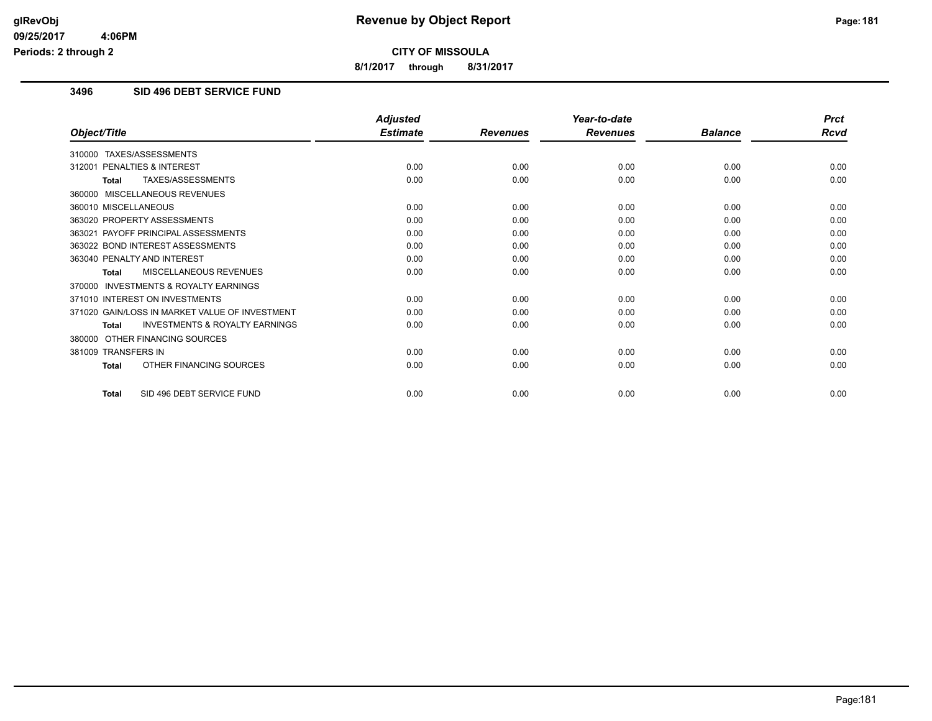**CITY OF MISSOULA**

**8/1/2017 through 8/31/2017**

## **3496 SID 496 DEBT SERVICE FUND**

 **4:06PM**

|                                                           | <b>Adjusted</b> |                 | Year-to-date    |                | <b>Prct</b> |
|-----------------------------------------------------------|-----------------|-----------------|-----------------|----------------|-------------|
| Object/Title                                              | <b>Estimate</b> | <b>Revenues</b> | <b>Revenues</b> | <b>Balance</b> | <b>Rcvd</b> |
| 310000 TAXES/ASSESSMENTS                                  |                 |                 |                 |                |             |
| PENALTIES & INTEREST<br>312001                            | 0.00            | 0.00            | 0.00            | 0.00           | 0.00        |
| <b>TAXES/ASSESSMENTS</b><br><b>Total</b>                  | 0.00            | 0.00            | 0.00            | 0.00           | 0.00        |
| 360000 MISCELLANEOUS REVENUES                             |                 |                 |                 |                |             |
| 360010 MISCELLANEOUS                                      | 0.00            | 0.00            | 0.00            | 0.00           | 0.00        |
| 363020 PROPERTY ASSESSMENTS                               | 0.00            | 0.00            | 0.00            | 0.00           | 0.00        |
| 363021 PAYOFF PRINCIPAL ASSESSMENTS                       | 0.00            | 0.00            | 0.00            | 0.00           | 0.00        |
| 363022 BOND INTEREST ASSESSMENTS                          | 0.00            | 0.00            | 0.00            | 0.00           | 0.00        |
| 363040 PENALTY AND INTEREST                               | 0.00            | 0.00            | 0.00            | 0.00           | 0.00        |
| MISCELLANEOUS REVENUES<br><b>Total</b>                    | 0.00            | 0.00            | 0.00            | 0.00           | 0.00        |
| INVESTMENTS & ROYALTY EARNINGS<br>370000                  |                 |                 |                 |                |             |
| 371010 INTEREST ON INVESTMENTS                            | 0.00            | 0.00            | 0.00            | 0.00           | 0.00        |
| 371020 GAIN/LOSS IN MARKET VALUE OF INVESTMENT            | 0.00            | 0.00            | 0.00            | 0.00           | 0.00        |
| <b>INVESTMENTS &amp; ROYALTY EARNINGS</b><br><b>Total</b> | 0.00            | 0.00            | 0.00            | 0.00           | 0.00        |
| OTHER FINANCING SOURCES<br>380000                         |                 |                 |                 |                |             |
| 381009 TRANSFERS IN                                       | 0.00            | 0.00            | 0.00            | 0.00           | 0.00        |
| OTHER FINANCING SOURCES<br><b>Total</b>                   | 0.00            | 0.00            | 0.00            | 0.00           | 0.00        |
| SID 496 DEBT SERVICE FUND<br><b>Total</b>                 | 0.00            | 0.00            | 0.00            | 0.00           | 0.00        |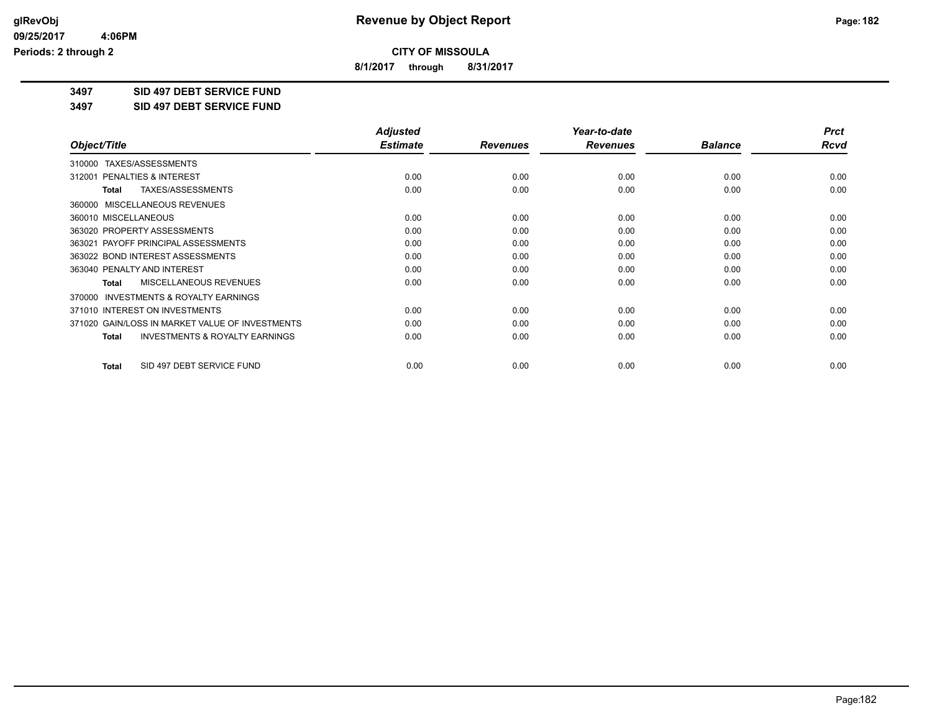**8/1/2017 through 8/31/2017**

**3497 SID 497 DEBT SERVICE FUND**

**3497 SID 497 DEBT SERVICE FUND**

|                                                     | <b>Adjusted</b> |                 | Year-to-date    |                | <b>Prct</b> |
|-----------------------------------------------------|-----------------|-----------------|-----------------|----------------|-------------|
| Object/Title                                        | <b>Estimate</b> | <b>Revenues</b> | <b>Revenues</b> | <b>Balance</b> | <b>Rcvd</b> |
| 310000 TAXES/ASSESSMENTS                            |                 |                 |                 |                |             |
| 312001 PENALTIES & INTEREST                         | 0.00            | 0.00            | 0.00            | 0.00           | 0.00        |
| TAXES/ASSESSMENTS<br>Total                          | 0.00            | 0.00            | 0.00            | 0.00           | 0.00        |
| 360000 MISCELLANEOUS REVENUES                       |                 |                 |                 |                |             |
| 360010 MISCELLANEOUS                                | 0.00            | 0.00            | 0.00            | 0.00           | 0.00        |
| 363020 PROPERTY ASSESSMENTS                         | 0.00            | 0.00            | 0.00            | 0.00           | 0.00        |
| 363021 PAYOFF PRINCIPAL ASSESSMENTS                 | 0.00            | 0.00            | 0.00            | 0.00           | 0.00        |
| 363022 BOND INTEREST ASSESSMENTS                    | 0.00            | 0.00            | 0.00            | 0.00           | 0.00        |
| 363040 PENALTY AND INTEREST                         | 0.00            | 0.00            | 0.00            | 0.00           | 0.00        |
| <b>MISCELLANEOUS REVENUES</b><br>Total              | 0.00            | 0.00            | 0.00            | 0.00           | 0.00        |
| <b>INVESTMENTS &amp; ROYALTY EARNINGS</b><br>370000 |                 |                 |                 |                |             |
| 371010 INTEREST ON INVESTMENTS                      | 0.00            | 0.00            | 0.00            | 0.00           | 0.00        |
| 371020 GAIN/LOSS IN MARKET VALUE OF INVESTMENTS     | 0.00            | 0.00            | 0.00            | 0.00           | 0.00        |
| <b>INVESTMENTS &amp; ROYALTY EARNINGS</b><br>Total  | 0.00            | 0.00            | 0.00            | 0.00           | 0.00        |
| SID 497 DEBT SERVICE FUND<br><b>Total</b>           | 0.00            | 0.00            | 0.00            | 0.00           | 0.00        |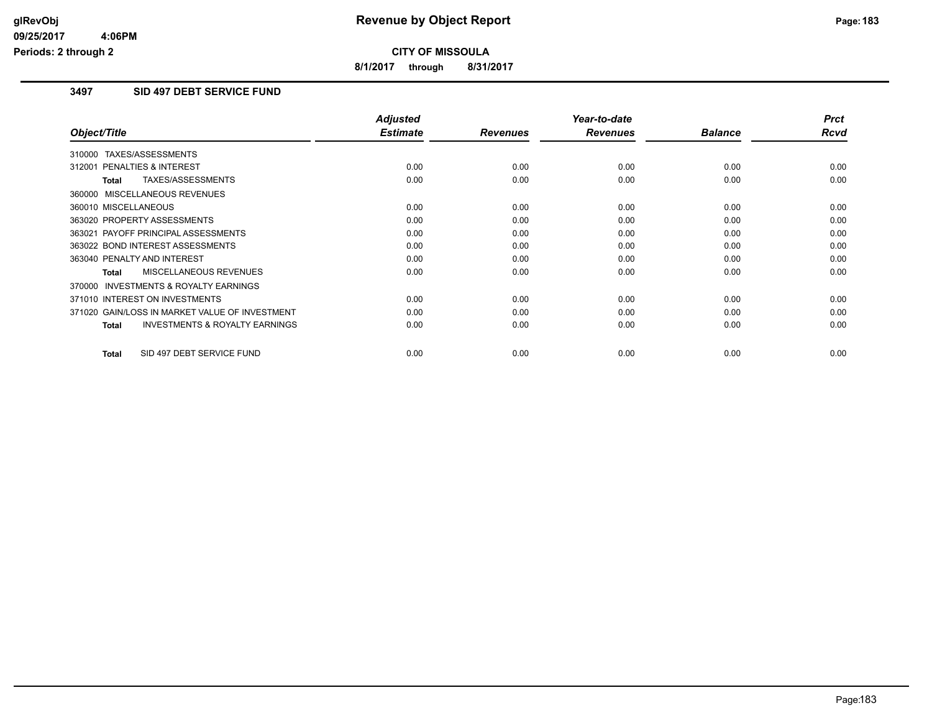**CITY OF MISSOULA**

**8/1/2017 through 8/31/2017**

## **3497 SID 497 DEBT SERVICE FUND**

|                                                     | <b>Adjusted</b> |                 | Year-to-date    |                | <b>Prct</b> |
|-----------------------------------------------------|-----------------|-----------------|-----------------|----------------|-------------|
| Object/Title                                        | <b>Estimate</b> | <b>Revenues</b> | <b>Revenues</b> | <b>Balance</b> | Rcvd        |
| 310000 TAXES/ASSESSMENTS                            |                 |                 |                 |                |             |
| 312001 PENALTIES & INTEREST                         | 0.00            | 0.00            | 0.00            | 0.00           | 0.00        |
| TAXES/ASSESSMENTS<br>Total                          | 0.00            | 0.00            | 0.00            | 0.00           | 0.00        |
| 360000 MISCELLANEOUS REVENUES                       |                 |                 |                 |                |             |
| 360010 MISCELLANEOUS                                | 0.00            | 0.00            | 0.00            | 0.00           | 0.00        |
| 363020 PROPERTY ASSESSMENTS                         | 0.00            | 0.00            | 0.00            | 0.00           | 0.00        |
| 363021 PAYOFF PRINCIPAL ASSESSMENTS                 | 0.00            | 0.00            | 0.00            | 0.00           | 0.00        |
| 363022 BOND INTEREST ASSESSMENTS                    | 0.00            | 0.00            | 0.00            | 0.00           | 0.00        |
| 363040 PENALTY AND INTEREST                         | 0.00            | 0.00            | 0.00            | 0.00           | 0.00        |
| MISCELLANEOUS REVENUES<br>Total                     | 0.00            | 0.00            | 0.00            | 0.00           | 0.00        |
| <b>INVESTMENTS &amp; ROYALTY EARNINGS</b><br>370000 |                 |                 |                 |                |             |
| 371010 INTEREST ON INVESTMENTS                      | 0.00            | 0.00            | 0.00            | 0.00           | 0.00        |
| 371020 GAIN/LOSS IN MARKET VALUE OF INVESTMENT      | 0.00            | 0.00            | 0.00            | 0.00           | 0.00        |
| <b>INVESTMENTS &amp; ROYALTY EARNINGS</b><br>Total  | 0.00            | 0.00            | 0.00            | 0.00           | 0.00        |
| SID 497 DEBT SERVICE FUND<br><b>Total</b>           | 0.00            | 0.00            | 0.00            | 0.00           | 0.00        |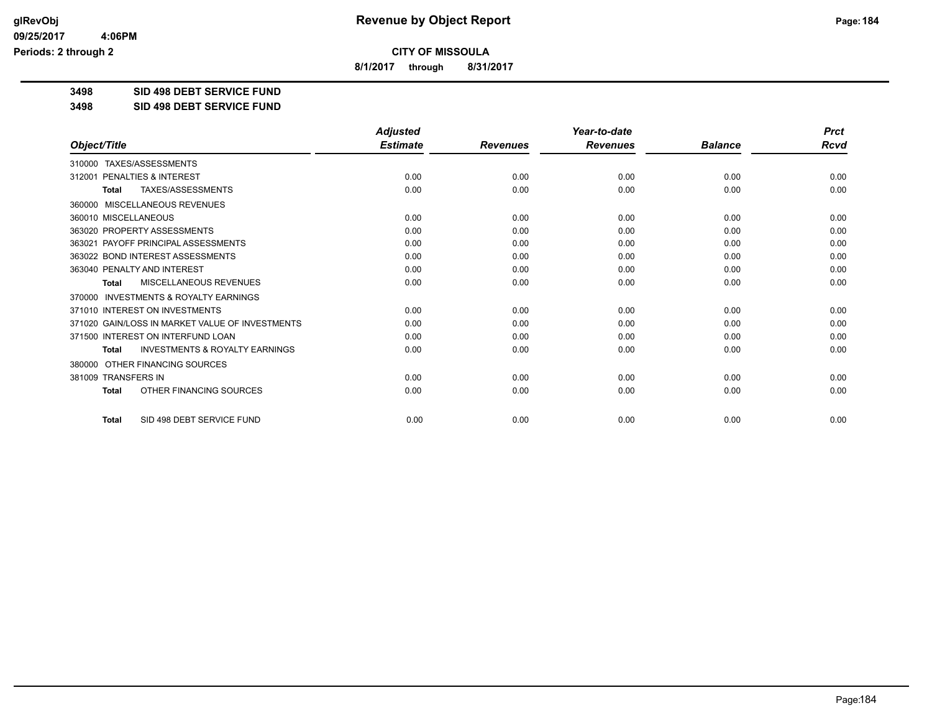**8/1/2017 through 8/31/2017**

**3498 SID 498 DEBT SERVICE FUND**

**3498 SID 498 DEBT SERVICE FUND**

|                                                    | <b>Adjusted</b> |                 | Year-to-date    |                |      |
|----------------------------------------------------|-----------------|-----------------|-----------------|----------------|------|
| Object/Title                                       | <b>Estimate</b> | <b>Revenues</b> | <b>Revenues</b> | <b>Balance</b> | Rcvd |
| TAXES/ASSESSMENTS<br>310000                        |                 |                 |                 |                |      |
| 312001 PENALTIES & INTEREST                        | 0.00            | 0.00            | 0.00            | 0.00           | 0.00 |
| <b>TAXES/ASSESSMENTS</b><br><b>Total</b>           | 0.00            | 0.00            | 0.00            | 0.00           | 0.00 |
| MISCELLANEOUS REVENUES<br>360000                   |                 |                 |                 |                |      |
| 360010 MISCELLANEOUS                               | 0.00            | 0.00            | 0.00            | 0.00           | 0.00 |
| 363020 PROPERTY ASSESSMENTS                        | 0.00            | 0.00            | 0.00            | 0.00           | 0.00 |
| 363021 PAYOFF PRINCIPAL ASSESSMENTS                | 0.00            | 0.00            | 0.00            | 0.00           | 0.00 |
| 363022 BOND INTEREST ASSESSMENTS                   | 0.00            | 0.00            | 0.00            | 0.00           | 0.00 |
| 363040 PENALTY AND INTEREST                        | 0.00            | 0.00            | 0.00            | 0.00           | 0.00 |
| <b>MISCELLANEOUS REVENUES</b><br><b>Total</b>      | 0.00            | 0.00            | 0.00            | 0.00           | 0.00 |
| 370000 INVESTMENTS & ROYALTY EARNINGS              |                 |                 |                 |                |      |
| 371010 INTEREST ON INVESTMENTS                     | 0.00            | 0.00            | 0.00            | 0.00           | 0.00 |
| 371020 GAIN/LOSS IN MARKET VALUE OF INVESTMENTS    | 0.00            | 0.00            | 0.00            | 0.00           | 0.00 |
| 371500 INTEREST ON INTERFUND LOAN                  | 0.00            | 0.00            | 0.00            | 0.00           | 0.00 |
| <b>INVESTMENTS &amp; ROYALTY EARNINGS</b><br>Total | 0.00            | 0.00            | 0.00            | 0.00           | 0.00 |
| OTHER FINANCING SOURCES<br>380000                  |                 |                 |                 |                |      |
| 381009 TRANSFERS IN                                | 0.00            | 0.00            | 0.00            | 0.00           | 0.00 |
| OTHER FINANCING SOURCES<br><b>Total</b>            | 0.00            | 0.00            | 0.00            | 0.00           | 0.00 |
| SID 498 DEBT SERVICE FUND<br><b>Total</b>          | 0.00            | 0.00            | 0.00            | 0.00           | 0.00 |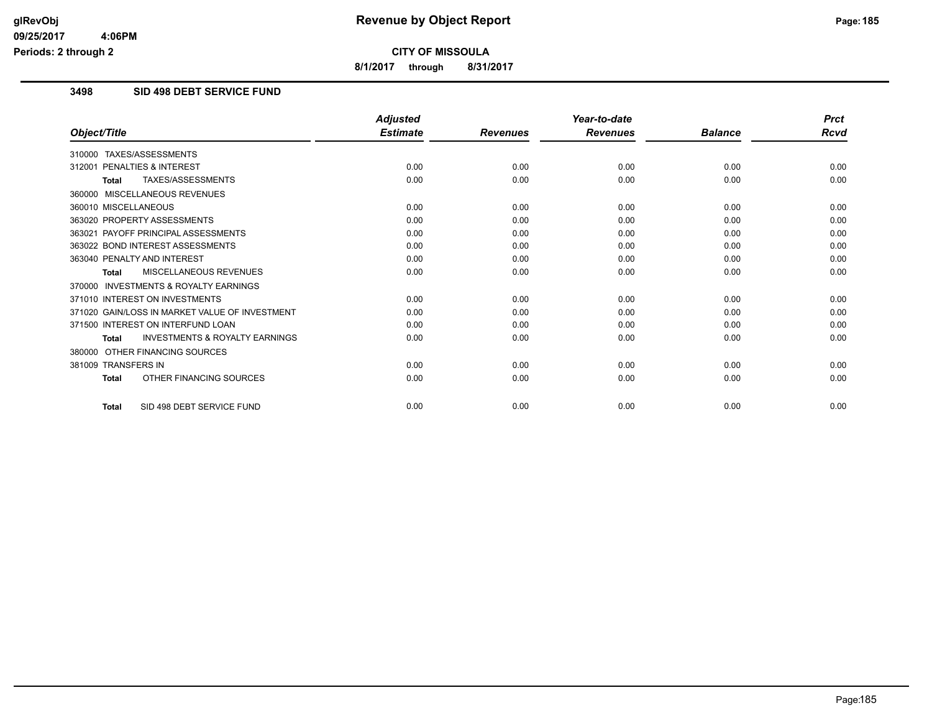**4:06PM**

**CITY OF MISSOULA**

**8/1/2017 through 8/31/2017**

# **3498 SID 498 DEBT SERVICE FUND**

|                                                           | <b>Adjusted</b> |                 | Year-to-date    |                | <b>Prct</b> |
|-----------------------------------------------------------|-----------------|-----------------|-----------------|----------------|-------------|
| Object/Title                                              | <b>Estimate</b> | <b>Revenues</b> | <b>Revenues</b> | <b>Balance</b> | <b>Rcvd</b> |
| TAXES/ASSESSMENTS<br>310000                               |                 |                 |                 |                |             |
| 312001 PENALTIES & INTEREST                               | 0.00            | 0.00            | 0.00            | 0.00           | 0.00        |
| TAXES/ASSESSMENTS<br><b>Total</b>                         | 0.00            | 0.00            | 0.00            | 0.00           | 0.00        |
| 360000 MISCELLANEOUS REVENUES                             |                 |                 |                 |                |             |
| 360010 MISCELLANEOUS                                      | 0.00            | 0.00            | 0.00            | 0.00           | 0.00        |
| 363020 PROPERTY ASSESSMENTS                               | 0.00            | 0.00            | 0.00            | 0.00           | 0.00        |
| 363021 PAYOFF PRINCIPAL ASSESSMENTS                       | 0.00            | 0.00            | 0.00            | 0.00           | 0.00        |
| 363022 BOND INTEREST ASSESSMENTS                          | 0.00            | 0.00            | 0.00            | 0.00           | 0.00        |
| 363040 PENALTY AND INTEREST                               | 0.00            | 0.00            | 0.00            | 0.00           | 0.00        |
| MISCELLANEOUS REVENUES<br><b>Total</b>                    | 0.00            | 0.00            | 0.00            | 0.00           | 0.00        |
| 370000 INVESTMENTS & ROYALTY EARNINGS                     |                 |                 |                 |                |             |
| 371010 INTEREST ON INVESTMENTS                            | 0.00            | 0.00            | 0.00            | 0.00           | 0.00        |
| 371020 GAIN/LOSS IN MARKET VALUE OF INVESTMENT            | 0.00            | 0.00            | 0.00            | 0.00           | 0.00        |
| 371500 INTEREST ON INTERFUND LOAN                         | 0.00            | 0.00            | 0.00            | 0.00           | 0.00        |
| <b>INVESTMENTS &amp; ROYALTY EARNINGS</b><br><b>Total</b> | 0.00            | 0.00            | 0.00            | 0.00           | 0.00        |
| OTHER FINANCING SOURCES<br>380000                         |                 |                 |                 |                |             |
| 381009 TRANSFERS IN                                       | 0.00            | 0.00            | 0.00            | 0.00           | 0.00        |
| OTHER FINANCING SOURCES<br><b>Total</b>                   | 0.00            | 0.00            | 0.00            | 0.00           | 0.00        |
| SID 498 DEBT SERVICE FUND<br><b>Total</b>                 | 0.00            | 0.00            | 0.00            | 0.00           | 0.00        |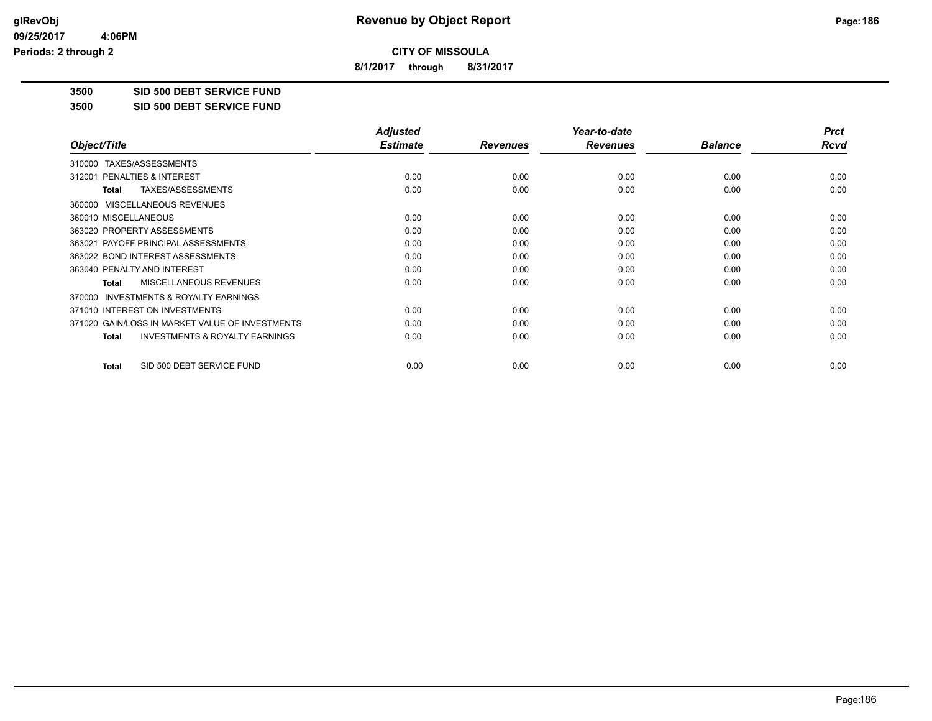**8/1/2017 through 8/31/2017**

**3500 SID 500 DEBT SERVICE FUND**

**3500 SID 500 DEBT SERVICE FUND**

|                                                           | <b>Adjusted</b> |                 | Year-to-date    |                | <b>Prct</b> |
|-----------------------------------------------------------|-----------------|-----------------|-----------------|----------------|-------------|
| Object/Title                                              | <b>Estimate</b> | <b>Revenues</b> | <b>Revenues</b> | <b>Balance</b> | Rcvd        |
| 310000 TAXES/ASSESSMENTS                                  |                 |                 |                 |                |             |
| 312001 PENALTIES & INTEREST                               | 0.00            | 0.00            | 0.00            | 0.00           | 0.00        |
| TAXES/ASSESSMENTS<br><b>Total</b>                         | 0.00            | 0.00            | 0.00            | 0.00           | 0.00        |
| MISCELLANEOUS REVENUES<br>360000                          |                 |                 |                 |                |             |
| 360010 MISCELLANEOUS                                      | 0.00            | 0.00            | 0.00            | 0.00           | 0.00        |
| 363020 PROPERTY ASSESSMENTS                               | 0.00            | 0.00            | 0.00            | 0.00           | 0.00        |
| 363021 PAYOFF PRINCIPAL ASSESSMENTS                       | 0.00            | 0.00            | 0.00            | 0.00           | 0.00        |
| 363022 BOND INTEREST ASSESSMENTS                          | 0.00            | 0.00            | 0.00            | 0.00           | 0.00        |
| 363040 PENALTY AND INTEREST                               | 0.00            | 0.00            | 0.00            | 0.00           | 0.00        |
| <b>MISCELLANEOUS REVENUES</b><br><b>Total</b>             | 0.00            | 0.00            | 0.00            | 0.00           | 0.00        |
| 370000 INVESTMENTS & ROYALTY EARNINGS                     |                 |                 |                 |                |             |
| 371010 INTEREST ON INVESTMENTS                            | 0.00            | 0.00            | 0.00            | 0.00           | 0.00        |
| 371020 GAIN/LOSS IN MARKET VALUE OF INVESTMENTS           | 0.00            | 0.00            | 0.00            | 0.00           | 0.00        |
| <b>INVESTMENTS &amp; ROYALTY EARNINGS</b><br><b>Total</b> | 0.00            | 0.00            | 0.00            | 0.00           | 0.00        |
| SID 500 DEBT SERVICE FUND<br><b>Total</b>                 | 0.00            | 0.00            | 0.00            | 0.00           | 0.00        |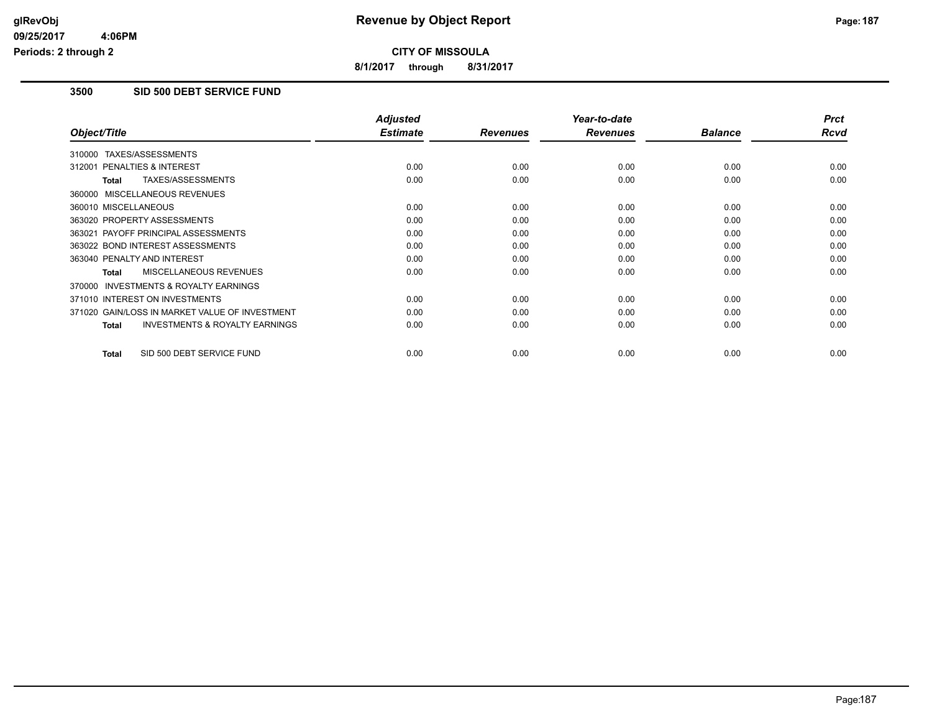**CITY OF MISSOULA**

**8/1/2017 through 8/31/2017**

# **3500 SID 500 DEBT SERVICE FUND**

|                                                    | <b>Adjusted</b> |                 | Year-to-date    |                | <b>Prct</b> |
|----------------------------------------------------|-----------------|-----------------|-----------------|----------------|-------------|
| Object/Title                                       | <b>Estimate</b> | <b>Revenues</b> | <b>Revenues</b> | <b>Balance</b> | <b>Rcvd</b> |
| 310000 TAXES/ASSESSMENTS                           |                 |                 |                 |                |             |
| 312001 PENALTIES & INTEREST                        | 0.00            | 0.00            | 0.00            | 0.00           | 0.00        |
| TAXES/ASSESSMENTS<br>Total                         | 0.00            | 0.00            | 0.00            | 0.00           | 0.00        |
| 360000 MISCELLANEOUS REVENUES                      |                 |                 |                 |                |             |
| 360010 MISCELLANEOUS                               | 0.00            | 0.00            | 0.00            | 0.00           | 0.00        |
| 363020 PROPERTY ASSESSMENTS                        | 0.00            | 0.00            | 0.00            | 0.00           | 0.00        |
| 363021 PAYOFF PRINCIPAL ASSESSMENTS                | 0.00            | 0.00            | 0.00            | 0.00           | 0.00        |
| 363022 BOND INTEREST ASSESSMENTS                   | 0.00            | 0.00            | 0.00            | 0.00           | 0.00        |
| 363040 PENALTY AND INTEREST                        | 0.00            | 0.00            | 0.00            | 0.00           | 0.00        |
| MISCELLANEOUS REVENUES<br>Total                    | 0.00            | 0.00            | 0.00            | 0.00           | 0.00        |
| 370000 INVESTMENTS & ROYALTY EARNINGS              |                 |                 |                 |                |             |
| 371010 INTEREST ON INVESTMENTS                     | 0.00            | 0.00            | 0.00            | 0.00           | 0.00        |
| 371020 GAIN/LOSS IN MARKET VALUE OF INVESTMENT     | 0.00            | 0.00            | 0.00            | 0.00           | 0.00        |
| <b>INVESTMENTS &amp; ROYALTY EARNINGS</b><br>Total | 0.00            | 0.00            | 0.00            | 0.00           | 0.00        |
| SID 500 DEBT SERVICE FUND<br>Total                 | 0.00            | 0.00            | 0.00            | 0.00           | 0.00        |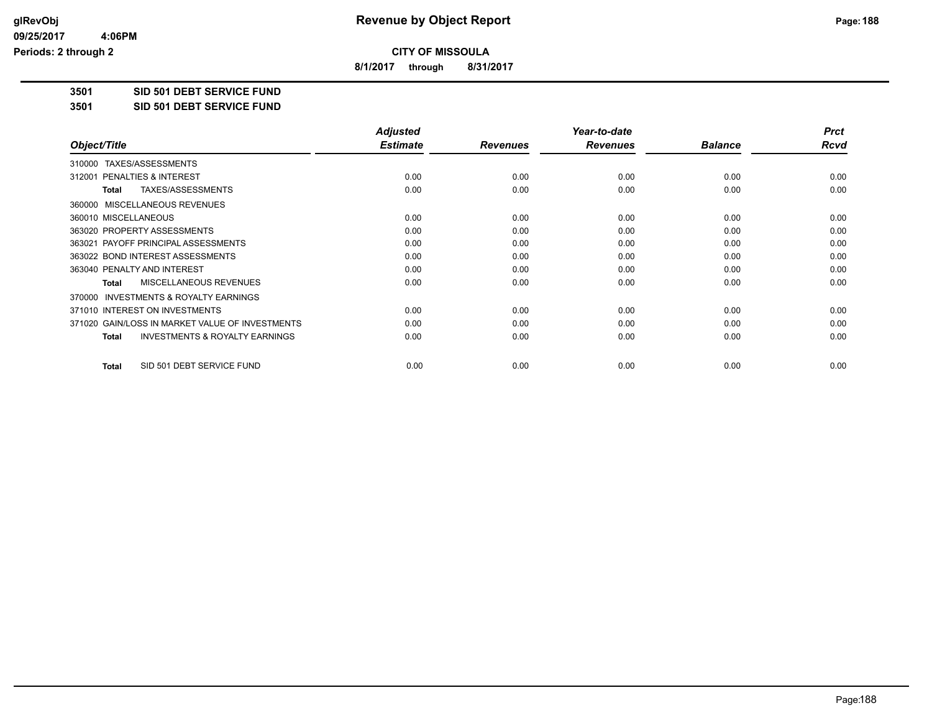**8/1/2017 through 8/31/2017**

**3501 SID 501 DEBT SERVICE FUND**

**3501 SID 501 DEBT SERVICE FUND**

|                                                           | <b>Adjusted</b> |                 | Year-to-date    |                | <b>Prct</b> |
|-----------------------------------------------------------|-----------------|-----------------|-----------------|----------------|-------------|
| Object/Title                                              | <b>Estimate</b> | <b>Revenues</b> | <b>Revenues</b> | <b>Balance</b> | Rcvd        |
| TAXES/ASSESSMENTS<br>310000                               |                 |                 |                 |                |             |
| 312001 PENALTIES & INTEREST                               | 0.00            | 0.00            | 0.00            | 0.00           | 0.00        |
| TAXES/ASSESSMENTS<br><b>Total</b>                         | 0.00            | 0.00            | 0.00            | 0.00           | 0.00        |
| MISCELLANEOUS REVENUES<br>360000                          |                 |                 |                 |                |             |
| 360010 MISCELLANEOUS                                      | 0.00            | 0.00            | 0.00            | 0.00           | 0.00        |
| 363020 PROPERTY ASSESSMENTS                               | 0.00            | 0.00            | 0.00            | 0.00           | 0.00        |
| 363021 PAYOFF PRINCIPAL ASSESSMENTS                       | 0.00            | 0.00            | 0.00            | 0.00           | 0.00        |
| 363022 BOND INTEREST ASSESSMENTS                          | 0.00            | 0.00            | 0.00            | 0.00           | 0.00        |
| 363040 PENALTY AND INTEREST                               | 0.00            | 0.00            | 0.00            | 0.00           | 0.00        |
| <b>MISCELLANEOUS REVENUES</b><br><b>Total</b>             | 0.00            | 0.00            | 0.00            | 0.00           | 0.00        |
| 370000 INVESTMENTS & ROYALTY EARNINGS                     |                 |                 |                 |                |             |
| 371010 INTEREST ON INVESTMENTS                            | 0.00            | 0.00            | 0.00            | 0.00           | 0.00        |
| 371020 GAIN/LOSS IN MARKET VALUE OF INVESTMENTS           | 0.00            | 0.00            | 0.00            | 0.00           | 0.00        |
| <b>INVESTMENTS &amp; ROYALTY EARNINGS</b><br><b>Total</b> | 0.00            | 0.00            | 0.00            | 0.00           | 0.00        |
| SID 501 DEBT SERVICE FUND<br><b>Total</b>                 | 0.00            | 0.00            | 0.00            | 0.00           | 0.00        |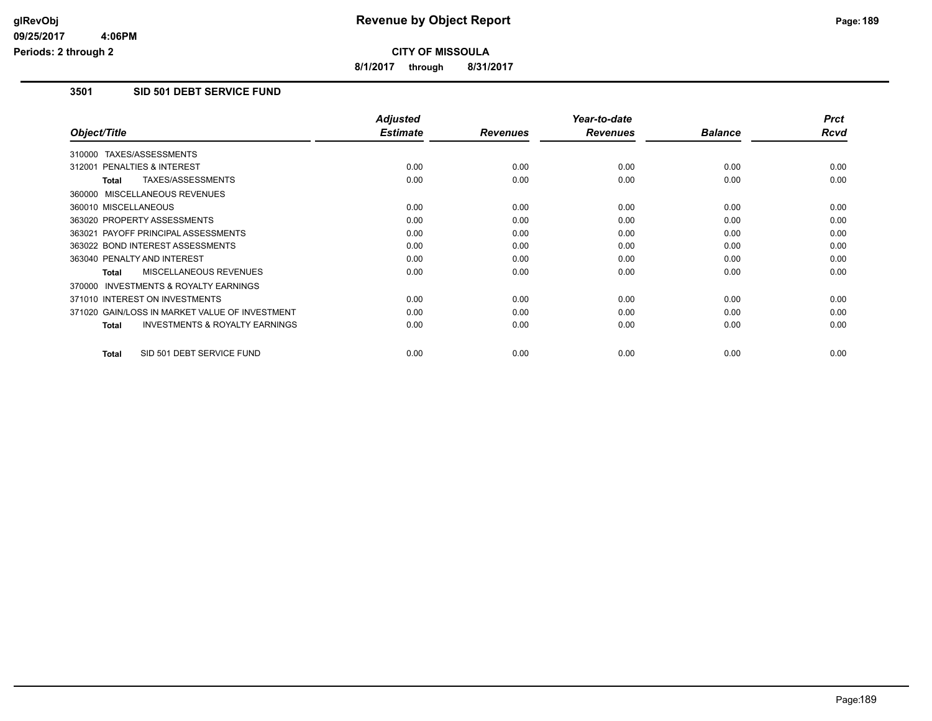**8/1/2017 through 8/31/2017**

# **3501 SID 501 DEBT SERVICE FUND**

|                                                           | <b>Adjusted</b> |                 | Year-to-date    |                | <b>Prct</b> |
|-----------------------------------------------------------|-----------------|-----------------|-----------------|----------------|-------------|
| Object/Title                                              | <b>Estimate</b> | <b>Revenues</b> | <b>Revenues</b> | <b>Balance</b> | <b>Rcvd</b> |
| 310000 TAXES/ASSESSMENTS                                  |                 |                 |                 |                |             |
| 312001 PENALTIES & INTEREST                               | 0.00            | 0.00            | 0.00            | 0.00           | 0.00        |
| TAXES/ASSESSMENTS<br><b>Total</b>                         | 0.00            | 0.00            | 0.00            | 0.00           | 0.00        |
| 360000 MISCELLANEOUS REVENUES                             |                 |                 |                 |                |             |
| 360010 MISCELLANEOUS                                      | 0.00            | 0.00            | 0.00            | 0.00           | 0.00        |
| 363020 PROPERTY ASSESSMENTS                               | 0.00            | 0.00            | 0.00            | 0.00           | 0.00        |
| 363021 PAYOFF PRINCIPAL ASSESSMENTS                       | 0.00            | 0.00            | 0.00            | 0.00           | 0.00        |
| 363022 BOND INTEREST ASSESSMENTS                          | 0.00            | 0.00            | 0.00            | 0.00           | 0.00        |
| 363040 PENALTY AND INTEREST                               | 0.00            | 0.00            | 0.00            | 0.00           | 0.00        |
| MISCELLANEOUS REVENUES<br>Total                           | 0.00            | 0.00            | 0.00            | 0.00           | 0.00        |
| <b>INVESTMENTS &amp; ROYALTY EARNINGS</b><br>370000       |                 |                 |                 |                |             |
| 371010 INTEREST ON INVESTMENTS                            | 0.00            | 0.00            | 0.00            | 0.00           | 0.00        |
| 371020 GAIN/LOSS IN MARKET VALUE OF INVESTMENT            | 0.00            | 0.00            | 0.00            | 0.00           | 0.00        |
| <b>INVESTMENTS &amp; ROYALTY EARNINGS</b><br><b>Total</b> | 0.00            | 0.00            | 0.00            | 0.00           | 0.00        |
|                                                           |                 |                 |                 |                |             |
| SID 501 DEBT SERVICE FUND<br>Total                        | 0.00            | 0.00            | 0.00            | 0.00           | 0.00        |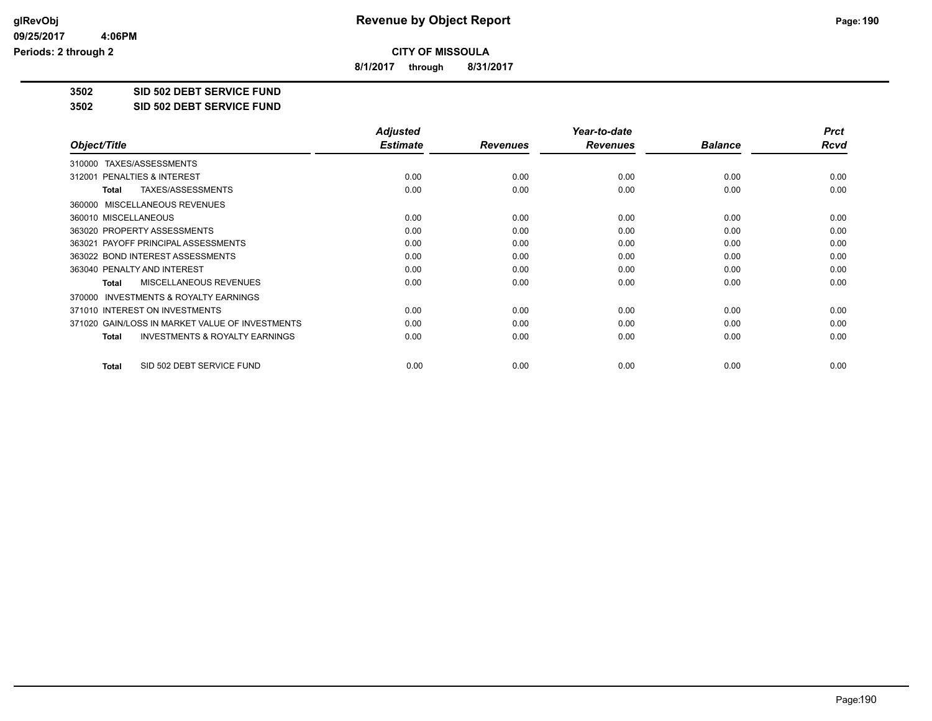**8/1/2017 through 8/31/2017**

**3502 SID 502 DEBT SERVICE FUND**

**3502 SID 502 DEBT SERVICE FUND**

|                                                           | <b>Adjusted</b> |                 | Year-to-date    |                | <b>Prct</b> |
|-----------------------------------------------------------|-----------------|-----------------|-----------------|----------------|-------------|
| Object/Title                                              | <b>Estimate</b> | <b>Revenues</b> | <b>Revenues</b> | <b>Balance</b> | Rcvd        |
| 310000 TAXES/ASSESSMENTS                                  |                 |                 |                 |                |             |
| <b>PENALTIES &amp; INTEREST</b><br>312001                 | 0.00            | 0.00            | 0.00            | 0.00           | 0.00        |
| TAXES/ASSESSMENTS<br>Total                                | 0.00            | 0.00            | 0.00            | 0.00           | 0.00        |
| 360000 MISCELLANEOUS REVENUES                             |                 |                 |                 |                |             |
| 360010 MISCELLANEOUS                                      | 0.00            | 0.00            | 0.00            | 0.00           | 0.00        |
| 363020 PROPERTY ASSESSMENTS                               | 0.00            | 0.00            | 0.00            | 0.00           | 0.00        |
| 363021 PAYOFF PRINCIPAL ASSESSMENTS                       | 0.00            | 0.00            | 0.00            | 0.00           | 0.00        |
| 363022 BOND INTEREST ASSESSMENTS                          | 0.00            | 0.00            | 0.00            | 0.00           | 0.00        |
| 363040 PENALTY AND INTEREST                               | 0.00            | 0.00            | 0.00            | 0.00           | 0.00        |
| <b>MISCELLANEOUS REVENUES</b><br>Total                    | 0.00            | 0.00            | 0.00            | 0.00           | 0.00        |
| <b>INVESTMENTS &amp; ROYALTY EARNINGS</b><br>370000       |                 |                 |                 |                |             |
| 371010 INTEREST ON INVESTMENTS                            | 0.00            | 0.00            | 0.00            | 0.00           | 0.00        |
| 371020 GAIN/LOSS IN MARKET VALUE OF INVESTMENTS           | 0.00            | 0.00            | 0.00            | 0.00           | 0.00        |
| <b>INVESTMENTS &amp; ROYALTY EARNINGS</b><br><b>Total</b> | 0.00            | 0.00            | 0.00            | 0.00           | 0.00        |
| SID 502 DEBT SERVICE FUND<br><b>Total</b>                 | 0.00            | 0.00            | 0.00            | 0.00           | 0.00        |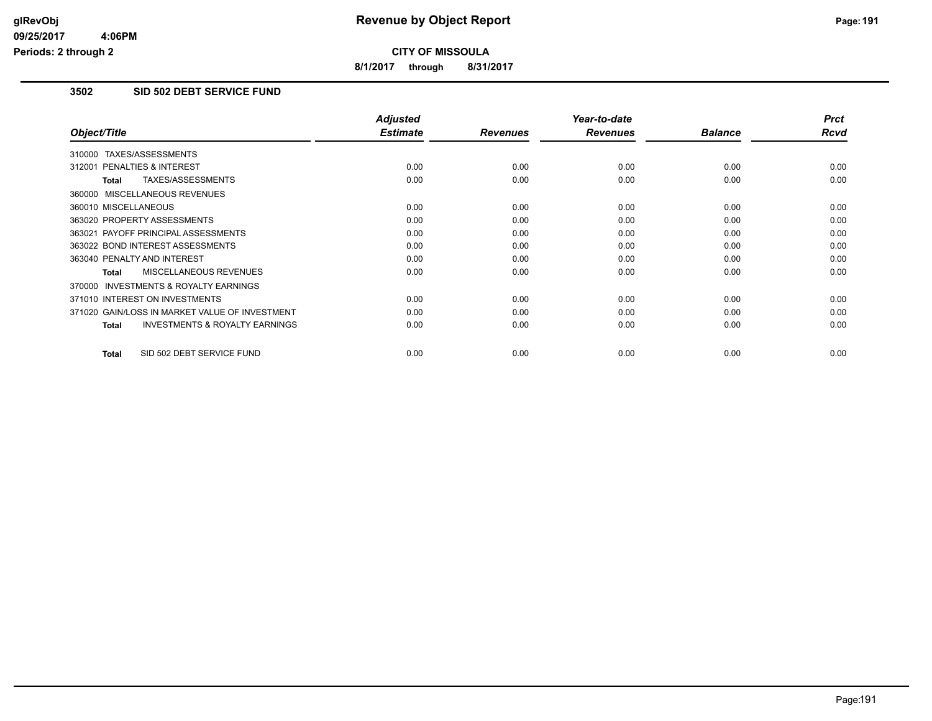**8/1/2017 through 8/31/2017**

## **3502 SID 502 DEBT SERVICE FUND**

|                                                    | <b>Adjusted</b> |                 | Year-to-date    |                | <b>Prct</b> |
|----------------------------------------------------|-----------------|-----------------|-----------------|----------------|-------------|
| Object/Title                                       | <b>Estimate</b> | <b>Revenues</b> | <b>Revenues</b> | <b>Balance</b> | Rcvd        |
| 310000 TAXES/ASSESSMENTS                           |                 |                 |                 |                |             |
| 312001 PENALTIES & INTEREST                        | 0.00            | 0.00            | 0.00            | 0.00           | 0.00        |
| TAXES/ASSESSMENTS<br>Total                         | 0.00            | 0.00            | 0.00            | 0.00           | 0.00        |
| 360000 MISCELLANEOUS REVENUES                      |                 |                 |                 |                |             |
| 360010 MISCELLANEOUS                               | 0.00            | 0.00            | 0.00            | 0.00           | 0.00        |
| 363020 PROPERTY ASSESSMENTS                        | 0.00            | 0.00            | 0.00            | 0.00           | 0.00        |
| 363021 PAYOFF PRINCIPAL ASSESSMENTS                | 0.00            | 0.00            | 0.00            | 0.00           | 0.00        |
| 363022 BOND INTEREST ASSESSMENTS                   | 0.00            | 0.00            | 0.00            | 0.00           | 0.00        |
| 363040 PENALTY AND INTEREST                        | 0.00            | 0.00            | 0.00            | 0.00           | 0.00        |
| MISCELLANEOUS REVENUES<br>Total                    | 0.00            | 0.00            | 0.00            | 0.00           | 0.00        |
| 370000 INVESTMENTS & ROYALTY EARNINGS              |                 |                 |                 |                |             |
| 371010 INTEREST ON INVESTMENTS                     | 0.00            | 0.00            | 0.00            | 0.00           | 0.00        |
| 371020 GAIN/LOSS IN MARKET VALUE OF INVESTMENT     | 0.00            | 0.00            | 0.00            | 0.00           | 0.00        |
| <b>INVESTMENTS &amp; ROYALTY EARNINGS</b><br>Total | 0.00            | 0.00            | 0.00            | 0.00           | 0.00        |
| SID 502 DEBT SERVICE FUND<br>Total                 | 0.00            | 0.00            | 0.00            | 0.00           | 0.00        |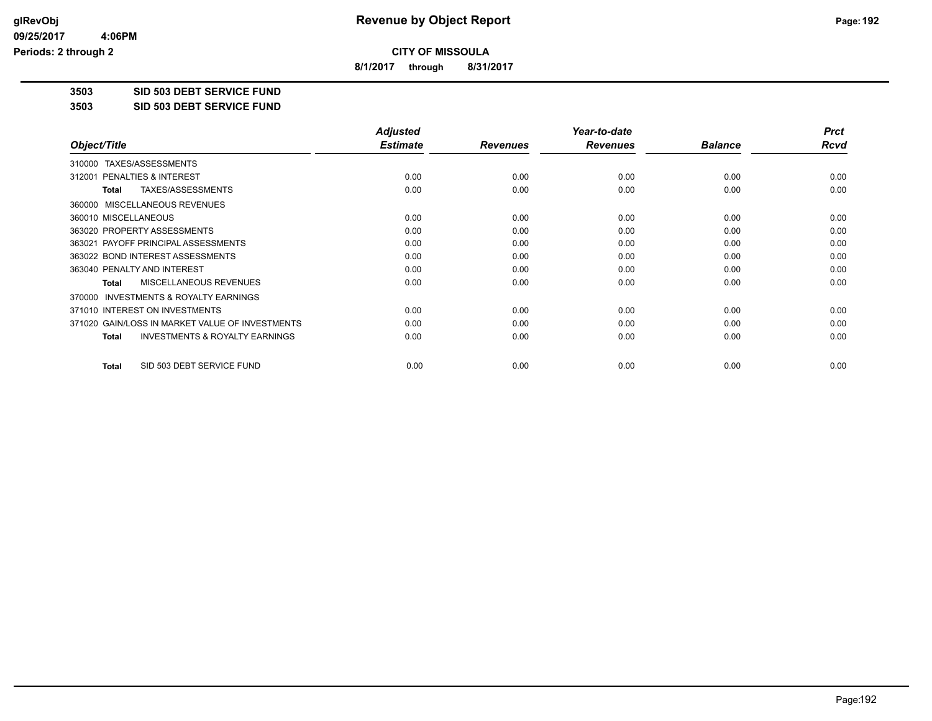**8/1/2017 through 8/31/2017**

**3503 SID 503 DEBT SERVICE FUND**

**3503 SID 503 DEBT SERVICE FUND**

|                                                           | <b>Adjusted</b> |                 | Year-to-date    |                | <b>Prct</b> |
|-----------------------------------------------------------|-----------------|-----------------|-----------------|----------------|-------------|
| Object/Title                                              | <b>Estimate</b> | <b>Revenues</b> | <b>Revenues</b> | <b>Balance</b> | Rcvd        |
| 310000 TAXES/ASSESSMENTS                                  |                 |                 |                 |                |             |
| <b>PENALTIES &amp; INTEREST</b><br>312001                 | 0.00            | 0.00            | 0.00            | 0.00           | 0.00        |
| TAXES/ASSESSMENTS<br>Total                                | 0.00            | 0.00            | 0.00            | 0.00           | 0.00        |
| 360000 MISCELLANEOUS REVENUES                             |                 |                 |                 |                |             |
| 360010 MISCELLANEOUS                                      | 0.00            | 0.00            | 0.00            | 0.00           | 0.00        |
| 363020 PROPERTY ASSESSMENTS                               | 0.00            | 0.00            | 0.00            | 0.00           | 0.00        |
| 363021 PAYOFF PRINCIPAL ASSESSMENTS                       | 0.00            | 0.00            | 0.00            | 0.00           | 0.00        |
| 363022 BOND INTEREST ASSESSMENTS                          | 0.00            | 0.00            | 0.00            | 0.00           | 0.00        |
| 363040 PENALTY AND INTEREST                               | 0.00            | 0.00            | 0.00            | 0.00           | 0.00        |
| <b>MISCELLANEOUS REVENUES</b><br>Total                    | 0.00            | 0.00            | 0.00            | 0.00           | 0.00        |
| <b>INVESTMENTS &amp; ROYALTY EARNINGS</b><br>370000       |                 |                 |                 |                |             |
| 371010 INTEREST ON INVESTMENTS                            | 0.00            | 0.00            | 0.00            | 0.00           | 0.00        |
| 371020 GAIN/LOSS IN MARKET VALUE OF INVESTMENTS           | 0.00            | 0.00            | 0.00            | 0.00           | 0.00        |
| <b>INVESTMENTS &amp; ROYALTY EARNINGS</b><br><b>Total</b> | 0.00            | 0.00            | 0.00            | 0.00           | 0.00        |
| SID 503 DEBT SERVICE FUND<br><b>Total</b>                 | 0.00            | 0.00            | 0.00            | 0.00           | 0.00        |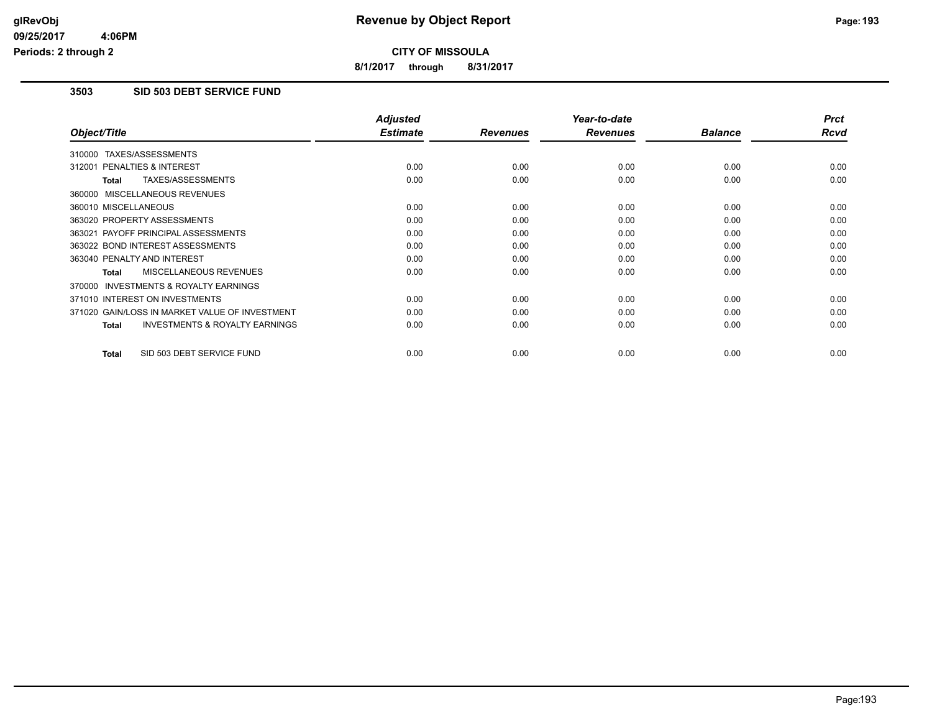**8/1/2017 through 8/31/2017**

## **3503 SID 503 DEBT SERVICE FUND**

|                                                           | <b>Adjusted</b> |                 | Year-to-date    |                | <b>Prct</b> |
|-----------------------------------------------------------|-----------------|-----------------|-----------------|----------------|-------------|
| Object/Title                                              | <b>Estimate</b> | <b>Revenues</b> | <b>Revenues</b> | <b>Balance</b> | <b>Rcvd</b> |
| 310000 TAXES/ASSESSMENTS                                  |                 |                 |                 |                |             |
| 312001 PENALTIES & INTEREST                               | 0.00            | 0.00            | 0.00            | 0.00           | 0.00        |
| TAXES/ASSESSMENTS<br><b>Total</b>                         | 0.00            | 0.00            | 0.00            | 0.00           | 0.00        |
| 360000 MISCELLANEOUS REVENUES                             |                 |                 |                 |                |             |
| 360010 MISCELLANEOUS                                      | 0.00            | 0.00            | 0.00            | 0.00           | 0.00        |
| 363020 PROPERTY ASSESSMENTS                               | 0.00            | 0.00            | 0.00            | 0.00           | 0.00        |
| 363021 PAYOFF PRINCIPAL ASSESSMENTS                       | 0.00            | 0.00            | 0.00            | 0.00           | 0.00        |
| 363022 BOND INTEREST ASSESSMENTS                          | 0.00            | 0.00            | 0.00            | 0.00           | 0.00        |
| 363040 PENALTY AND INTEREST                               | 0.00            | 0.00            | 0.00            | 0.00           | 0.00        |
| <b>MISCELLANEOUS REVENUES</b><br><b>Total</b>             | 0.00            | 0.00            | 0.00            | 0.00           | 0.00        |
| INVESTMENTS & ROYALTY EARNINGS<br>370000                  |                 |                 |                 |                |             |
| 371010 INTEREST ON INVESTMENTS                            | 0.00            | 0.00            | 0.00            | 0.00           | 0.00        |
| 371020 GAIN/LOSS IN MARKET VALUE OF INVESTMENT            | 0.00            | 0.00            | 0.00            | 0.00           | 0.00        |
| <b>INVESTMENTS &amp; ROYALTY EARNINGS</b><br><b>Total</b> | 0.00            | 0.00            | 0.00            | 0.00           | 0.00        |
| SID 503 DEBT SERVICE FUND<br><b>Total</b>                 | 0.00            | 0.00            | 0.00            | 0.00           | 0.00        |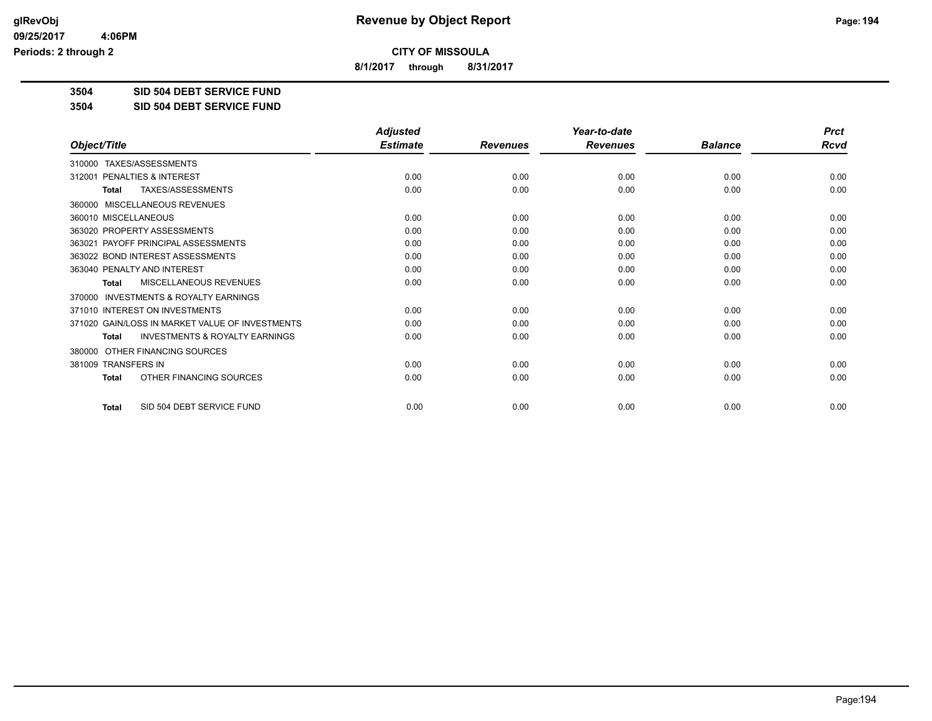**8/1/2017 through 8/31/2017**

**3504 SID 504 DEBT SERVICE FUND**

**3504 SID 504 DEBT SERVICE FUND**

|                                                           | <b>Adjusted</b> |                 | Year-to-date    |                | <b>Prct</b> |
|-----------------------------------------------------------|-----------------|-----------------|-----------------|----------------|-------------|
| Object/Title                                              | <b>Estimate</b> | <b>Revenues</b> | <b>Revenues</b> | <b>Balance</b> | <b>Rcvd</b> |
| 310000 TAXES/ASSESSMENTS                                  |                 |                 |                 |                |             |
| PENALTIES & INTEREST<br>312001                            | 0.00            | 0.00            | 0.00            | 0.00           | 0.00        |
| <b>TAXES/ASSESSMENTS</b><br>Total                         | 0.00            | 0.00            | 0.00            | 0.00           | 0.00        |
| MISCELLANEOUS REVENUES<br>360000                          |                 |                 |                 |                |             |
| 360010 MISCELLANEOUS                                      | 0.00            | 0.00            | 0.00            | 0.00           | 0.00        |
| 363020 PROPERTY ASSESSMENTS                               | 0.00            | 0.00            | 0.00            | 0.00           | 0.00        |
| 363021 PAYOFF PRINCIPAL ASSESSMENTS                       | 0.00            | 0.00            | 0.00            | 0.00           | 0.00        |
| 363022 BOND INTEREST ASSESSMENTS                          | 0.00            | 0.00            | 0.00            | 0.00           | 0.00        |
| 363040 PENALTY AND INTEREST                               | 0.00            | 0.00            | 0.00            | 0.00           | 0.00        |
| MISCELLANEOUS REVENUES<br>Total                           | 0.00            | 0.00            | 0.00            | 0.00           | 0.00        |
| INVESTMENTS & ROYALTY EARNINGS<br>370000                  |                 |                 |                 |                |             |
| 371010 INTEREST ON INVESTMENTS                            | 0.00            | 0.00            | 0.00            | 0.00           | 0.00        |
| 371020 GAIN/LOSS IN MARKET VALUE OF INVESTMENTS           | 0.00            | 0.00            | 0.00            | 0.00           | 0.00        |
| <b>INVESTMENTS &amp; ROYALTY EARNINGS</b><br><b>Total</b> | 0.00            | 0.00            | 0.00            | 0.00           | 0.00        |
| OTHER FINANCING SOURCES<br>380000                         |                 |                 |                 |                |             |
| 381009 TRANSFERS IN                                       | 0.00            | 0.00            | 0.00            | 0.00           | 0.00        |
| OTHER FINANCING SOURCES<br>Total                          | 0.00            | 0.00            | 0.00            | 0.00           | 0.00        |
| SID 504 DEBT SERVICE FUND<br><b>Total</b>                 | 0.00            | 0.00            | 0.00            | 0.00           | 0.00        |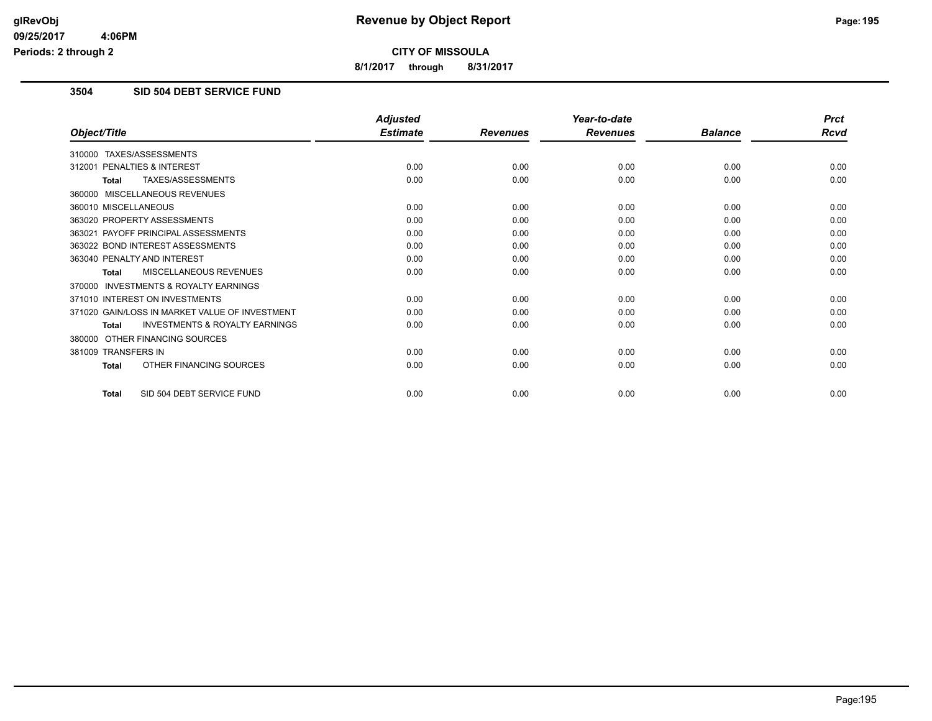**CITY OF MISSOULA**

**8/1/2017 through 8/31/2017**

# **3504 SID 504 DEBT SERVICE FUND**

|                                                           | <b>Adjusted</b> |                 | Year-to-date    |                | <b>Prct</b> |
|-----------------------------------------------------------|-----------------|-----------------|-----------------|----------------|-------------|
| Object/Title                                              | <b>Estimate</b> | <b>Revenues</b> | <b>Revenues</b> | <b>Balance</b> | Rcvd        |
| 310000 TAXES/ASSESSMENTS                                  |                 |                 |                 |                |             |
| 312001 PENALTIES & INTEREST                               | 0.00            | 0.00            | 0.00            | 0.00           | 0.00        |
| TAXES/ASSESSMENTS<br>Total                                | 0.00            | 0.00            | 0.00            | 0.00           | 0.00        |
| 360000 MISCELLANEOUS REVENUES                             |                 |                 |                 |                |             |
| 360010 MISCELLANEOUS                                      | 0.00            | 0.00            | 0.00            | 0.00           | 0.00        |
| 363020 PROPERTY ASSESSMENTS                               | 0.00            | 0.00            | 0.00            | 0.00           | 0.00        |
| 363021 PAYOFF PRINCIPAL ASSESSMENTS                       | 0.00            | 0.00            | 0.00            | 0.00           | 0.00        |
| 363022 BOND INTEREST ASSESSMENTS                          | 0.00            | 0.00            | 0.00            | 0.00           | 0.00        |
| 363040 PENALTY AND INTEREST                               | 0.00            | 0.00            | 0.00            | 0.00           | 0.00        |
| MISCELLANEOUS REVENUES<br>Total                           | 0.00            | 0.00            | 0.00            | 0.00           | 0.00        |
| 370000 INVESTMENTS & ROYALTY EARNINGS                     |                 |                 |                 |                |             |
| 371010 INTEREST ON INVESTMENTS                            | 0.00            | 0.00            | 0.00            | 0.00           | 0.00        |
| 371020 GAIN/LOSS IN MARKET VALUE OF INVESTMENT            | 0.00            | 0.00            | 0.00            | 0.00           | 0.00        |
| <b>INVESTMENTS &amp; ROYALTY EARNINGS</b><br><b>Total</b> | 0.00            | 0.00            | 0.00            | 0.00           | 0.00        |
| 380000 OTHER FINANCING SOURCES                            |                 |                 |                 |                |             |
| 381009 TRANSFERS IN                                       | 0.00            | 0.00            | 0.00            | 0.00           | 0.00        |
| OTHER FINANCING SOURCES<br>Total                          | 0.00            | 0.00            | 0.00            | 0.00           | 0.00        |
| SID 504 DEBT SERVICE FUND<br><b>Total</b>                 | 0.00            | 0.00            | 0.00            | 0.00           | 0.00        |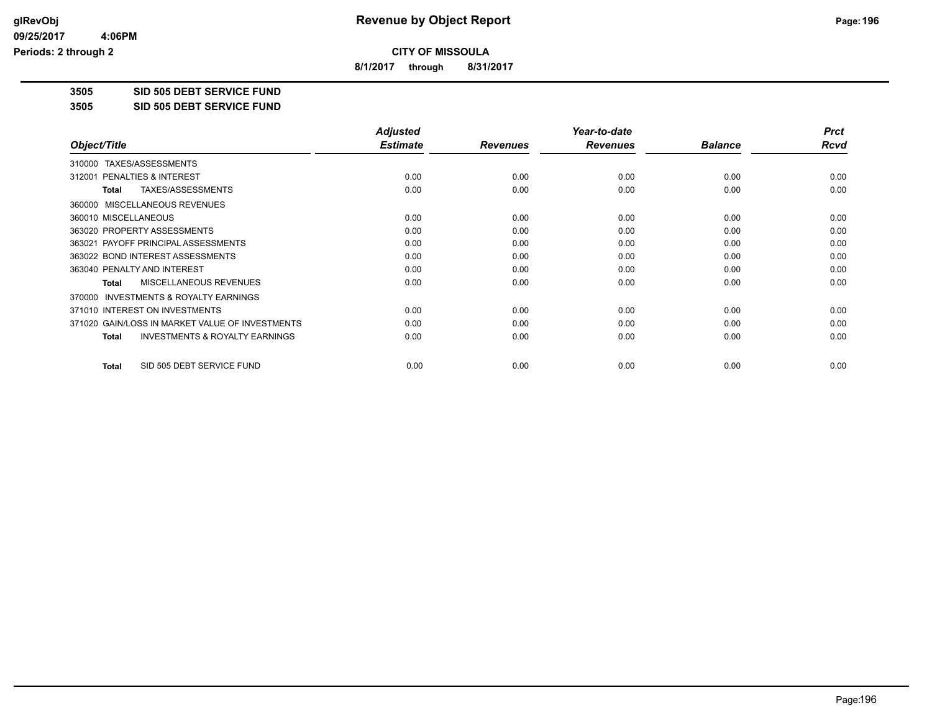**8/1/2017 through 8/31/2017**

**3505 SID 505 DEBT SERVICE FUND**

**3505 SID 505 DEBT SERVICE FUND**

|                                                           | <b>Adjusted</b> |                 | Year-to-date    |                | <b>Prct</b> |
|-----------------------------------------------------------|-----------------|-----------------|-----------------|----------------|-------------|
| Object/Title                                              | <b>Estimate</b> | <b>Revenues</b> | <b>Revenues</b> | <b>Balance</b> | Rcvd        |
| TAXES/ASSESSMENTS<br>310000                               |                 |                 |                 |                |             |
| 312001 PENALTIES & INTEREST                               | 0.00            | 0.00            | 0.00            | 0.00           | 0.00        |
| TAXES/ASSESSMENTS<br><b>Total</b>                         | 0.00            | 0.00            | 0.00            | 0.00           | 0.00        |
| MISCELLANEOUS REVENUES<br>360000                          |                 |                 |                 |                |             |
| 360010 MISCELLANEOUS                                      | 0.00            | 0.00            | 0.00            | 0.00           | 0.00        |
| 363020 PROPERTY ASSESSMENTS                               | 0.00            | 0.00            | 0.00            | 0.00           | 0.00        |
| 363021 PAYOFF PRINCIPAL ASSESSMENTS                       | 0.00            | 0.00            | 0.00            | 0.00           | 0.00        |
| 363022 BOND INTEREST ASSESSMENTS                          | 0.00            | 0.00            | 0.00            | 0.00           | 0.00        |
| 363040 PENALTY AND INTEREST                               | 0.00            | 0.00            | 0.00            | 0.00           | 0.00        |
| <b>MISCELLANEOUS REVENUES</b><br><b>Total</b>             | 0.00            | 0.00            | 0.00            | 0.00           | 0.00        |
| 370000 INVESTMENTS & ROYALTY EARNINGS                     |                 |                 |                 |                |             |
| 371010 INTEREST ON INVESTMENTS                            | 0.00            | 0.00            | 0.00            | 0.00           | 0.00        |
| 371020 GAIN/LOSS IN MARKET VALUE OF INVESTMENTS           | 0.00            | 0.00            | 0.00            | 0.00           | 0.00        |
| <b>INVESTMENTS &amp; ROYALTY EARNINGS</b><br><b>Total</b> | 0.00            | 0.00            | 0.00            | 0.00           | 0.00        |
| SID 505 DEBT SERVICE FUND<br><b>Total</b>                 | 0.00            | 0.00            | 0.00            | 0.00           | 0.00        |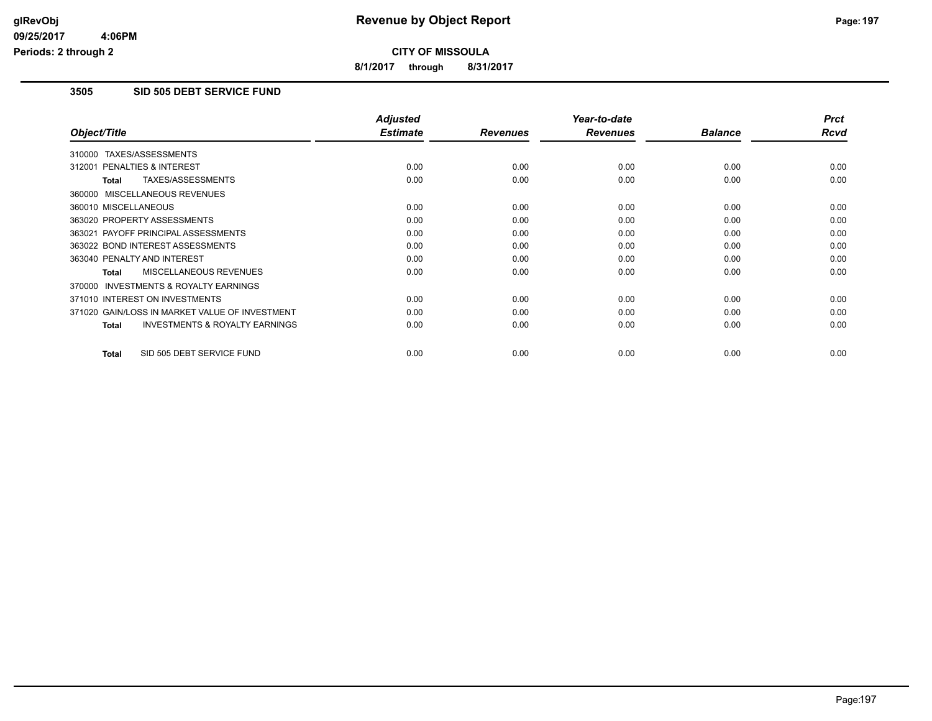**CITY OF MISSOULA**

**8/1/2017 through 8/31/2017**

# **3505 SID 505 DEBT SERVICE FUND**

|                                                           | <b>Adjusted</b> |                 | Year-to-date    |                | <b>Prct</b> |
|-----------------------------------------------------------|-----------------|-----------------|-----------------|----------------|-------------|
| Object/Title                                              | <b>Estimate</b> | <b>Revenues</b> | <b>Revenues</b> | <b>Balance</b> | Rcvd        |
| 310000 TAXES/ASSESSMENTS                                  |                 |                 |                 |                |             |
| 312001 PENALTIES & INTEREST                               | 0.00            | 0.00            | 0.00            | 0.00           | 0.00        |
| TAXES/ASSESSMENTS<br>Total                                | 0.00            | 0.00            | 0.00            | 0.00           | 0.00        |
| 360000 MISCELLANEOUS REVENUES                             |                 |                 |                 |                |             |
| 360010 MISCELLANEOUS                                      | 0.00            | 0.00            | 0.00            | 0.00           | 0.00        |
| 363020 PROPERTY ASSESSMENTS                               | 0.00            | 0.00            | 0.00            | 0.00           | 0.00        |
| 363021 PAYOFF PRINCIPAL ASSESSMENTS                       | 0.00            | 0.00            | 0.00            | 0.00           | 0.00        |
| 363022 BOND INTEREST ASSESSMENTS                          | 0.00            | 0.00            | 0.00            | 0.00           | 0.00        |
| 363040 PENALTY AND INTEREST                               | 0.00            | 0.00            | 0.00            | 0.00           | 0.00        |
| MISCELLANEOUS REVENUES<br>Total                           | 0.00            | 0.00            | 0.00            | 0.00           | 0.00        |
| <b>INVESTMENTS &amp; ROYALTY EARNINGS</b><br>370000       |                 |                 |                 |                |             |
| 371010 INTEREST ON INVESTMENTS                            | 0.00            | 0.00            | 0.00            | 0.00           | 0.00        |
| 371020 GAIN/LOSS IN MARKET VALUE OF INVESTMENT            | 0.00            | 0.00            | 0.00            | 0.00           | 0.00        |
| <b>INVESTMENTS &amp; ROYALTY EARNINGS</b><br><b>Total</b> | 0.00            | 0.00            | 0.00            | 0.00           | 0.00        |
| SID 505 DEBT SERVICE FUND<br><b>Total</b>                 | 0.00            | 0.00            | 0.00            | 0.00           | 0.00        |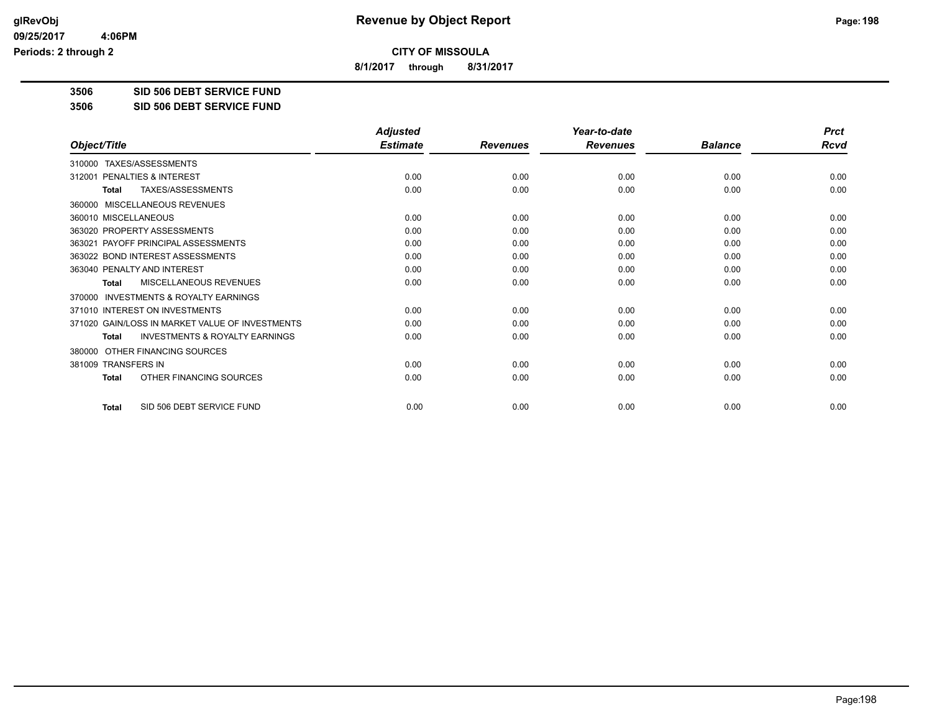**8/1/2017 through 8/31/2017**

**3506 SID 506 DEBT SERVICE FUND**

**3506 SID 506 DEBT SERVICE FUND**

|                                                           | <b>Adjusted</b> |                 | Year-to-date    |                | <b>Prct</b> |
|-----------------------------------------------------------|-----------------|-----------------|-----------------|----------------|-------------|
| Object/Title                                              | <b>Estimate</b> | <b>Revenues</b> | <b>Revenues</b> | <b>Balance</b> | <b>Rcvd</b> |
| TAXES/ASSESSMENTS<br>310000                               |                 |                 |                 |                |             |
| PENALTIES & INTEREST<br>312001                            | 0.00            | 0.00            | 0.00            | 0.00           | 0.00        |
| <b>TAXES/ASSESSMENTS</b><br>Total                         | 0.00            | 0.00            | 0.00            | 0.00           | 0.00        |
| MISCELLANEOUS REVENUES<br>360000                          |                 |                 |                 |                |             |
| 360010 MISCELLANEOUS                                      | 0.00            | 0.00            | 0.00            | 0.00           | 0.00        |
| 363020 PROPERTY ASSESSMENTS                               | 0.00            | 0.00            | 0.00            | 0.00           | 0.00        |
| 363021 PAYOFF PRINCIPAL ASSESSMENTS                       | 0.00            | 0.00            | 0.00            | 0.00           | 0.00        |
| 363022 BOND INTEREST ASSESSMENTS                          | 0.00            | 0.00            | 0.00            | 0.00           | 0.00        |
| 363040 PENALTY AND INTEREST                               | 0.00            | 0.00            | 0.00            | 0.00           | 0.00        |
| MISCELLANEOUS REVENUES<br>Total                           | 0.00            | 0.00            | 0.00            | 0.00           | 0.00        |
| <b>INVESTMENTS &amp; ROYALTY EARNINGS</b><br>370000       |                 |                 |                 |                |             |
| 371010 INTEREST ON INVESTMENTS                            | 0.00            | 0.00            | 0.00            | 0.00           | 0.00        |
| 371020 GAIN/LOSS IN MARKET VALUE OF INVESTMENTS           | 0.00            | 0.00            | 0.00            | 0.00           | 0.00        |
| <b>INVESTMENTS &amp; ROYALTY EARNINGS</b><br><b>Total</b> | 0.00            | 0.00            | 0.00            | 0.00           | 0.00        |
| OTHER FINANCING SOURCES<br>380000                         |                 |                 |                 |                |             |
| 381009 TRANSFERS IN                                       | 0.00            | 0.00            | 0.00            | 0.00           | 0.00        |
| OTHER FINANCING SOURCES<br><b>Total</b>                   | 0.00            | 0.00            | 0.00            | 0.00           | 0.00        |
| SID 506 DEBT SERVICE FUND<br><b>Total</b>                 | 0.00            | 0.00            | 0.00            | 0.00           | 0.00        |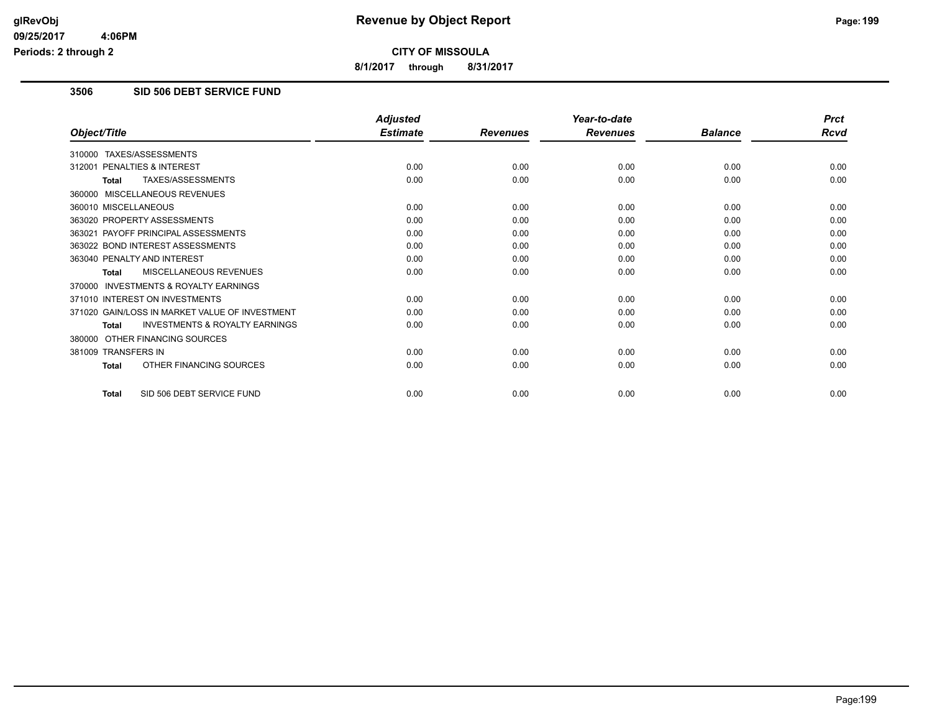**CITY OF MISSOULA**

**8/1/2017 through 8/31/2017**

## **3506 SID 506 DEBT SERVICE FUND**

|                                                           | <b>Adjusted</b> |                 | Year-to-date    |                | <b>Prct</b> |
|-----------------------------------------------------------|-----------------|-----------------|-----------------|----------------|-------------|
| Object/Title                                              | <b>Estimate</b> | <b>Revenues</b> | <b>Revenues</b> | <b>Balance</b> | <b>Rcvd</b> |
| 310000 TAXES/ASSESSMENTS                                  |                 |                 |                 |                |             |
| PENALTIES & INTEREST<br>312001                            | 0.00            | 0.00            | 0.00            | 0.00           | 0.00        |
| TAXES/ASSESSMENTS<br><b>Total</b>                         | 0.00            | 0.00            | 0.00            | 0.00           | 0.00        |
| 360000 MISCELLANEOUS REVENUES                             |                 |                 |                 |                |             |
| 360010 MISCELLANEOUS                                      | 0.00            | 0.00            | 0.00            | 0.00           | 0.00        |
| 363020 PROPERTY ASSESSMENTS                               | 0.00            | 0.00            | 0.00            | 0.00           | 0.00        |
| 363021 PAYOFF PRINCIPAL ASSESSMENTS                       | 0.00            | 0.00            | 0.00            | 0.00           | 0.00        |
| 363022 BOND INTEREST ASSESSMENTS                          | 0.00            | 0.00            | 0.00            | 0.00           | 0.00        |
| 363040 PENALTY AND INTEREST                               | 0.00            | 0.00            | 0.00            | 0.00           | 0.00        |
| MISCELLANEOUS REVENUES<br><b>Total</b>                    | 0.00            | 0.00            | 0.00            | 0.00           | 0.00        |
| <b>INVESTMENTS &amp; ROYALTY EARNINGS</b><br>370000       |                 |                 |                 |                |             |
| 371010 INTEREST ON INVESTMENTS                            | 0.00            | 0.00            | 0.00            | 0.00           | 0.00        |
| 371020 GAIN/LOSS IN MARKET VALUE OF INVESTMENT            | 0.00            | 0.00            | 0.00            | 0.00           | 0.00        |
| <b>INVESTMENTS &amp; ROYALTY EARNINGS</b><br><b>Total</b> | 0.00            | 0.00            | 0.00            | 0.00           | 0.00        |
| OTHER FINANCING SOURCES<br>380000                         |                 |                 |                 |                |             |
| 381009 TRANSFERS IN                                       | 0.00            | 0.00            | 0.00            | 0.00           | 0.00        |
| OTHER FINANCING SOURCES<br><b>Total</b>                   | 0.00            | 0.00            | 0.00            | 0.00           | 0.00        |
| SID 506 DEBT SERVICE FUND<br><b>Total</b>                 | 0.00            | 0.00            | 0.00            | 0.00           | 0.00        |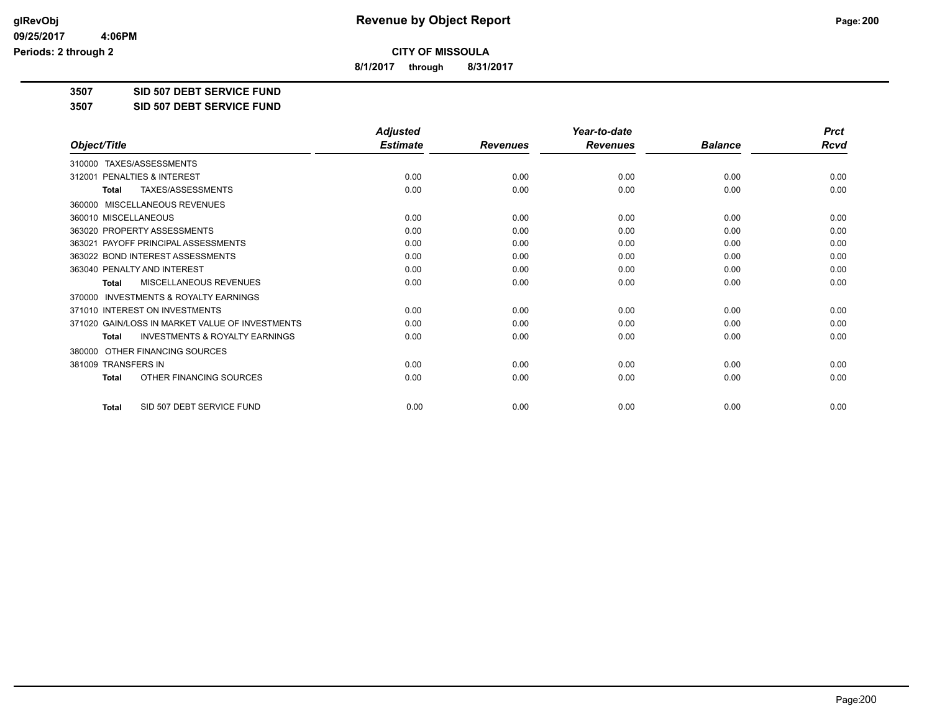**8/1/2017 through 8/31/2017**

**3507 SID 507 DEBT SERVICE FUND**

**3507 SID 507 DEBT SERVICE FUND**

|                                                           | <b>Adjusted</b> |                 | Year-to-date    |                | <b>Prct</b> |
|-----------------------------------------------------------|-----------------|-----------------|-----------------|----------------|-------------|
| Object/Title                                              | <b>Estimate</b> | <b>Revenues</b> | <b>Revenues</b> | <b>Balance</b> | <b>Rcvd</b> |
| TAXES/ASSESSMENTS<br>310000                               |                 |                 |                 |                |             |
| PENALTIES & INTEREST<br>312001                            | 0.00            | 0.00            | 0.00            | 0.00           | 0.00        |
| TAXES/ASSESSMENTS<br>Total                                | 0.00            | 0.00            | 0.00            | 0.00           | 0.00        |
| MISCELLANEOUS REVENUES<br>360000                          |                 |                 |                 |                |             |
| 360010 MISCELLANEOUS                                      | 0.00            | 0.00            | 0.00            | 0.00           | 0.00        |
| 363020 PROPERTY ASSESSMENTS                               | 0.00            | 0.00            | 0.00            | 0.00           | 0.00        |
| 363021 PAYOFF PRINCIPAL ASSESSMENTS                       | 0.00            | 0.00            | 0.00            | 0.00           | 0.00        |
| 363022 BOND INTEREST ASSESSMENTS                          | 0.00            | 0.00            | 0.00            | 0.00           | 0.00        |
| 363040 PENALTY AND INTEREST                               | 0.00            | 0.00            | 0.00            | 0.00           | 0.00        |
| MISCELLANEOUS REVENUES<br>Total                           | 0.00            | 0.00            | 0.00            | 0.00           | 0.00        |
| <b>INVESTMENTS &amp; ROYALTY EARNINGS</b><br>370000       |                 |                 |                 |                |             |
| 371010 INTEREST ON INVESTMENTS                            | 0.00            | 0.00            | 0.00            | 0.00           | 0.00        |
| 371020 GAIN/LOSS IN MARKET VALUE OF INVESTMENTS           | 0.00            | 0.00            | 0.00            | 0.00           | 0.00        |
| <b>INVESTMENTS &amp; ROYALTY EARNINGS</b><br><b>Total</b> | 0.00            | 0.00            | 0.00            | 0.00           | 0.00        |
| OTHER FINANCING SOURCES<br>380000                         |                 |                 |                 |                |             |
| 381009 TRANSFERS IN                                       | 0.00            | 0.00            | 0.00            | 0.00           | 0.00        |
| OTHER FINANCING SOURCES<br><b>Total</b>                   | 0.00            | 0.00            | 0.00            | 0.00           | 0.00        |
| SID 507 DEBT SERVICE FUND<br><b>Total</b>                 | 0.00            | 0.00            | 0.00            | 0.00           | 0.00        |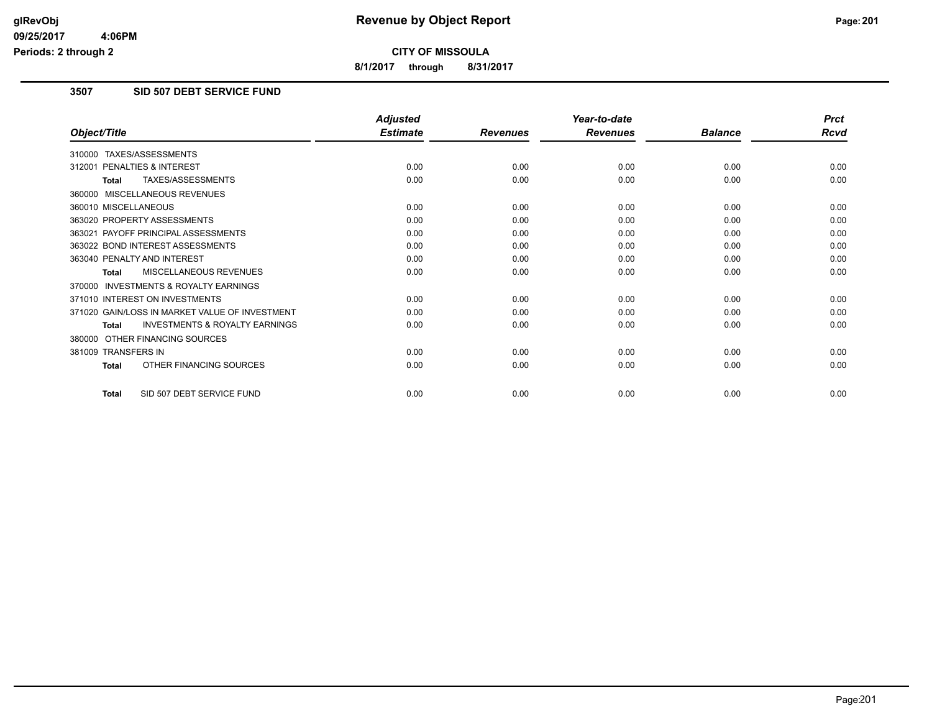**CITY OF MISSOULA**

**8/1/2017 through 8/31/2017**

# **3507 SID 507 DEBT SERVICE FUND**

|                                                           | <b>Adjusted</b> |                 | Year-to-date    |                | <b>Prct</b> |
|-----------------------------------------------------------|-----------------|-----------------|-----------------|----------------|-------------|
| Object/Title                                              | <b>Estimate</b> | <b>Revenues</b> | <b>Revenues</b> | <b>Balance</b> | <b>Rcvd</b> |
| 310000 TAXES/ASSESSMENTS                                  |                 |                 |                 |                |             |
| PENALTIES & INTEREST<br>312001                            | 0.00            | 0.00            | 0.00            | 0.00           | 0.00        |
| TAXES/ASSESSMENTS<br><b>Total</b>                         | 0.00            | 0.00            | 0.00            | 0.00           | 0.00        |
| 360000 MISCELLANEOUS REVENUES                             |                 |                 |                 |                |             |
| 360010 MISCELLANEOUS                                      | 0.00            | 0.00            | 0.00            | 0.00           | 0.00        |
| 363020 PROPERTY ASSESSMENTS                               | 0.00            | 0.00            | 0.00            | 0.00           | 0.00        |
| 363021 PAYOFF PRINCIPAL ASSESSMENTS                       | 0.00            | 0.00            | 0.00            | 0.00           | 0.00        |
| 363022 BOND INTEREST ASSESSMENTS                          | 0.00            | 0.00            | 0.00            | 0.00           | 0.00        |
| 363040 PENALTY AND INTEREST                               | 0.00            | 0.00            | 0.00            | 0.00           | 0.00        |
| MISCELLANEOUS REVENUES<br><b>Total</b>                    | 0.00            | 0.00            | 0.00            | 0.00           | 0.00        |
| <b>INVESTMENTS &amp; ROYALTY EARNINGS</b><br>370000       |                 |                 |                 |                |             |
| 371010 INTEREST ON INVESTMENTS                            | 0.00            | 0.00            | 0.00            | 0.00           | 0.00        |
| 371020 GAIN/LOSS IN MARKET VALUE OF INVESTMENT            | 0.00            | 0.00            | 0.00            | 0.00           | 0.00        |
| <b>INVESTMENTS &amp; ROYALTY EARNINGS</b><br><b>Total</b> | 0.00            | 0.00            | 0.00            | 0.00           | 0.00        |
| OTHER FINANCING SOURCES<br>380000                         |                 |                 |                 |                |             |
| 381009 TRANSFERS IN                                       | 0.00            | 0.00            | 0.00            | 0.00           | 0.00        |
| OTHER FINANCING SOURCES<br><b>Total</b>                   | 0.00            | 0.00            | 0.00            | 0.00           | 0.00        |
| SID 507 DEBT SERVICE FUND<br><b>Total</b>                 | 0.00            | 0.00            | 0.00            | 0.00           | 0.00        |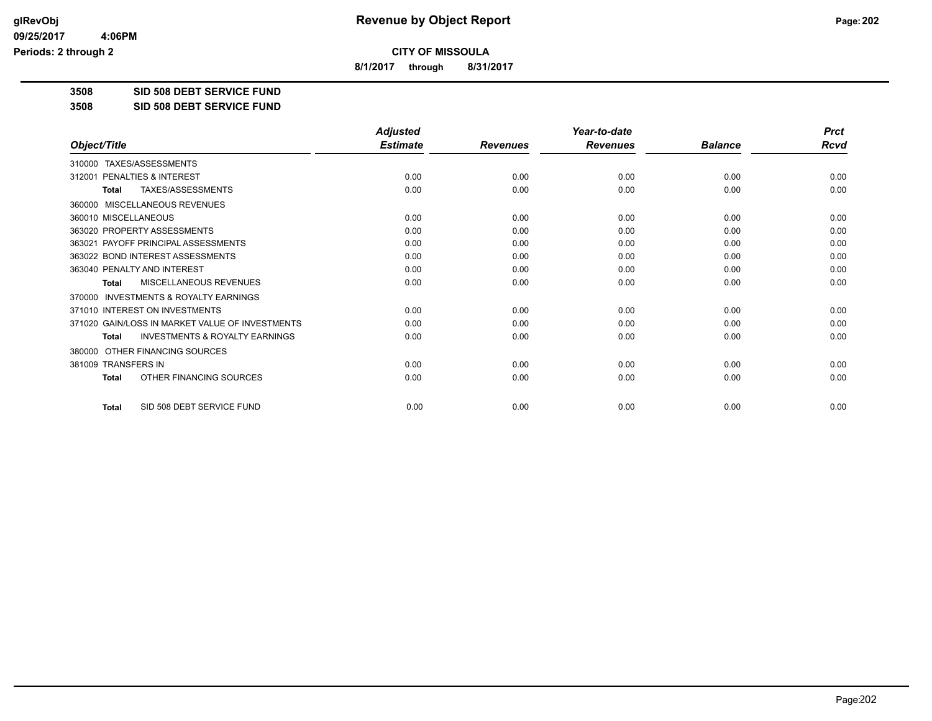**8/1/2017 through 8/31/2017**

**3508 SID 508 DEBT SERVICE FUND**

**3508 SID 508 DEBT SERVICE FUND**

|                                                           | <b>Adjusted</b> |                 | Year-to-date    |                | <b>Prct</b> |
|-----------------------------------------------------------|-----------------|-----------------|-----------------|----------------|-------------|
| Object/Title                                              | <b>Estimate</b> | <b>Revenues</b> | <b>Revenues</b> | <b>Balance</b> | <b>Rcvd</b> |
| TAXES/ASSESSMENTS<br>310000                               |                 |                 |                 |                |             |
| PENALTIES & INTEREST<br>312001                            | 0.00            | 0.00            | 0.00            | 0.00           | 0.00        |
| TAXES/ASSESSMENTS<br>Total                                | 0.00            | 0.00            | 0.00            | 0.00           | 0.00        |
| MISCELLANEOUS REVENUES<br>360000                          |                 |                 |                 |                |             |
| 360010 MISCELLANEOUS                                      | 0.00            | 0.00            | 0.00            | 0.00           | 0.00        |
| 363020 PROPERTY ASSESSMENTS                               | 0.00            | 0.00            | 0.00            | 0.00           | 0.00        |
| 363021 PAYOFF PRINCIPAL ASSESSMENTS                       | 0.00            | 0.00            | 0.00            | 0.00           | 0.00        |
| 363022 BOND INTEREST ASSESSMENTS                          | 0.00            | 0.00            | 0.00            | 0.00           | 0.00        |
| 363040 PENALTY AND INTEREST                               | 0.00            | 0.00            | 0.00            | 0.00           | 0.00        |
| MISCELLANEOUS REVENUES<br>Total                           | 0.00            | 0.00            | 0.00            | 0.00           | 0.00        |
| <b>INVESTMENTS &amp; ROYALTY EARNINGS</b><br>370000       |                 |                 |                 |                |             |
| 371010 INTEREST ON INVESTMENTS                            | 0.00            | 0.00            | 0.00            | 0.00           | 0.00        |
| 371020 GAIN/LOSS IN MARKET VALUE OF INVESTMENTS           | 0.00            | 0.00            | 0.00            | 0.00           | 0.00        |
| <b>INVESTMENTS &amp; ROYALTY EARNINGS</b><br><b>Total</b> | 0.00            | 0.00            | 0.00            | 0.00           | 0.00        |
| OTHER FINANCING SOURCES<br>380000                         |                 |                 |                 |                |             |
| 381009 TRANSFERS IN                                       | 0.00            | 0.00            | 0.00            | 0.00           | 0.00        |
| OTHER FINANCING SOURCES<br><b>Total</b>                   | 0.00            | 0.00            | 0.00            | 0.00           | 0.00        |
| SID 508 DEBT SERVICE FUND<br><b>Total</b>                 | 0.00            | 0.00            | 0.00            | 0.00           | 0.00        |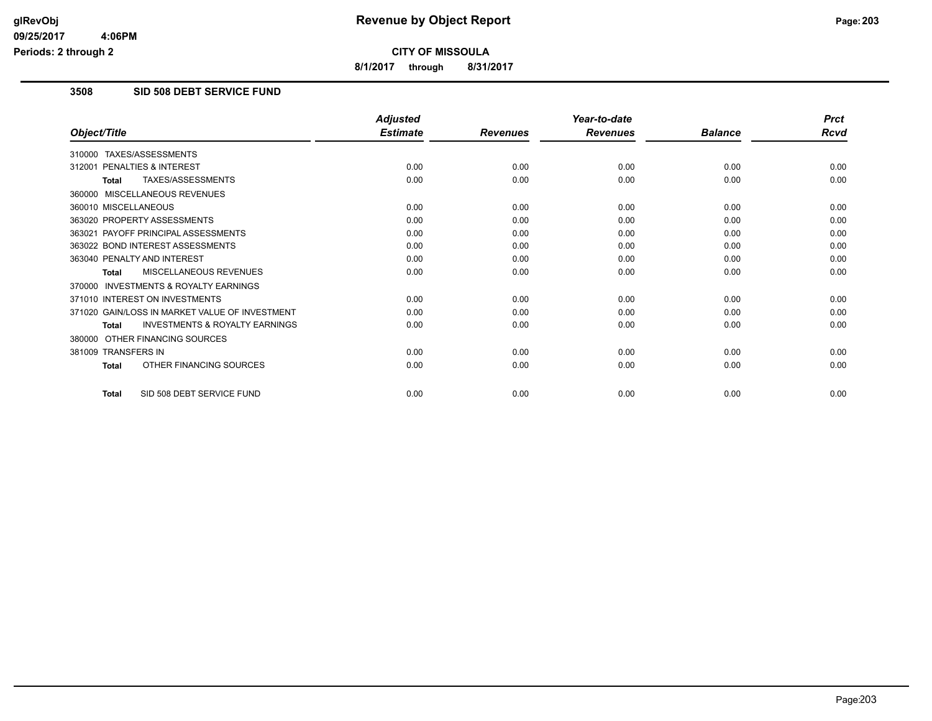**CITY OF MISSOULA**

**8/1/2017 through 8/31/2017**

## **3508 SID 508 DEBT SERVICE FUND**

|                                                    | <b>Adjusted</b> |                 | Year-to-date    |                | <b>Prct</b> |
|----------------------------------------------------|-----------------|-----------------|-----------------|----------------|-------------|
| Object/Title                                       | <b>Estimate</b> | <b>Revenues</b> | <b>Revenues</b> | <b>Balance</b> | <b>Rcvd</b> |
| 310000 TAXES/ASSESSMENTS                           |                 |                 |                 |                |             |
| 312001 PENALTIES & INTEREST                        | 0.00            | 0.00            | 0.00            | 0.00           | 0.00        |
| TAXES/ASSESSMENTS<br>Total                         | 0.00            | 0.00            | 0.00            | 0.00           | 0.00        |
| 360000 MISCELLANEOUS REVENUES                      |                 |                 |                 |                |             |
| 360010 MISCELLANEOUS                               | 0.00            | 0.00            | 0.00            | 0.00           | 0.00        |
| 363020 PROPERTY ASSESSMENTS                        | 0.00            | 0.00            | 0.00            | 0.00           | 0.00        |
| 363021 PAYOFF PRINCIPAL ASSESSMENTS                | 0.00            | 0.00            | 0.00            | 0.00           | 0.00        |
| 363022 BOND INTEREST ASSESSMENTS                   | 0.00            | 0.00            | 0.00            | 0.00           | 0.00        |
| 363040 PENALTY AND INTEREST                        | 0.00            | 0.00            | 0.00            | 0.00           | 0.00        |
| MISCELLANEOUS REVENUES<br>Total                    | 0.00            | 0.00            | 0.00            | 0.00           | 0.00        |
| 370000 INVESTMENTS & ROYALTY EARNINGS              |                 |                 |                 |                |             |
| 371010 INTEREST ON INVESTMENTS                     | 0.00            | 0.00            | 0.00            | 0.00           | 0.00        |
| 371020 GAIN/LOSS IN MARKET VALUE OF INVESTMENT     | 0.00            | 0.00            | 0.00            | 0.00           | 0.00        |
| <b>INVESTMENTS &amp; ROYALTY EARNINGS</b><br>Total | 0.00            | 0.00            | 0.00            | 0.00           | 0.00        |
| 380000 OTHER FINANCING SOURCES                     |                 |                 |                 |                |             |
| 381009 TRANSFERS IN                                | 0.00            | 0.00            | 0.00            | 0.00           | 0.00        |
| OTHER FINANCING SOURCES<br>Total                   | 0.00            | 0.00            | 0.00            | 0.00           | 0.00        |
| SID 508 DEBT SERVICE FUND<br><b>Total</b>          | 0.00            | 0.00            | 0.00            | 0.00           | 0.00        |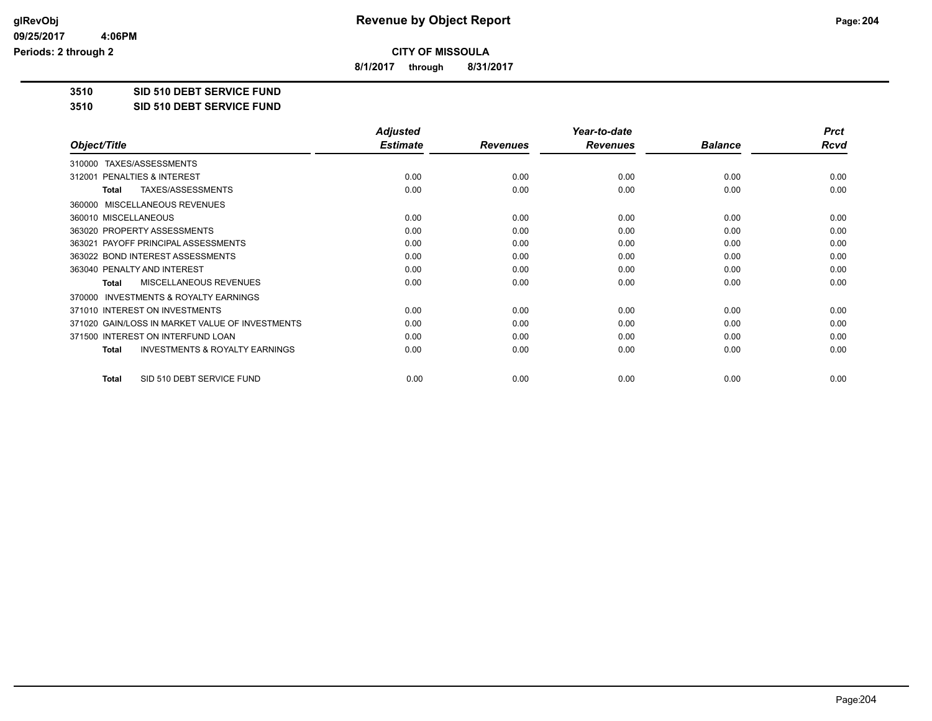**8/1/2017 through 8/31/2017**

**3510 SID 510 DEBT SERVICE FUND**

**3510 SID 510 DEBT SERVICE FUND**

|                                                           | <b>Adjusted</b> |                 | Year-to-date    |                | <b>Prct</b> |
|-----------------------------------------------------------|-----------------|-----------------|-----------------|----------------|-------------|
| Object/Title                                              | <b>Estimate</b> | <b>Revenues</b> | <b>Revenues</b> | <b>Balance</b> | <b>Rcvd</b> |
| TAXES/ASSESSMENTS<br>310000                               |                 |                 |                 |                |             |
| PENALTIES & INTEREST<br>312001                            | 0.00            | 0.00            | 0.00            | 0.00           | 0.00        |
| TAXES/ASSESSMENTS<br><b>Total</b>                         | 0.00            | 0.00            | 0.00            | 0.00           | 0.00        |
| MISCELLANEOUS REVENUES<br>360000                          |                 |                 |                 |                |             |
| 360010 MISCELLANEOUS                                      | 0.00            | 0.00            | 0.00            | 0.00           | 0.00        |
| 363020 PROPERTY ASSESSMENTS                               | 0.00            | 0.00            | 0.00            | 0.00           | 0.00        |
| 363021 PAYOFF PRINCIPAL ASSESSMENTS                       | 0.00            | 0.00            | 0.00            | 0.00           | 0.00        |
| 363022 BOND INTEREST ASSESSMENTS                          | 0.00            | 0.00            | 0.00            | 0.00           | 0.00        |
| 363040 PENALTY AND INTEREST                               | 0.00            | 0.00            | 0.00            | 0.00           | 0.00        |
| <b>MISCELLANEOUS REVENUES</b><br>Total                    | 0.00            | 0.00            | 0.00            | 0.00           | 0.00        |
| <b>INVESTMENTS &amp; ROYALTY EARNINGS</b><br>370000       |                 |                 |                 |                |             |
| 371010 INTEREST ON INVESTMENTS                            | 0.00            | 0.00            | 0.00            | 0.00           | 0.00        |
| 371020 GAIN/LOSS IN MARKET VALUE OF INVESTMENTS           | 0.00            | 0.00            | 0.00            | 0.00           | 0.00        |
| 371500 INTEREST ON INTERFUND LOAN                         | 0.00            | 0.00            | 0.00            | 0.00           | 0.00        |
| <b>INVESTMENTS &amp; ROYALTY EARNINGS</b><br><b>Total</b> | 0.00            | 0.00            | 0.00            | 0.00           | 0.00        |
| SID 510 DEBT SERVICE FUND<br><b>Total</b>                 | 0.00            | 0.00            | 0.00            | 0.00           | 0.00        |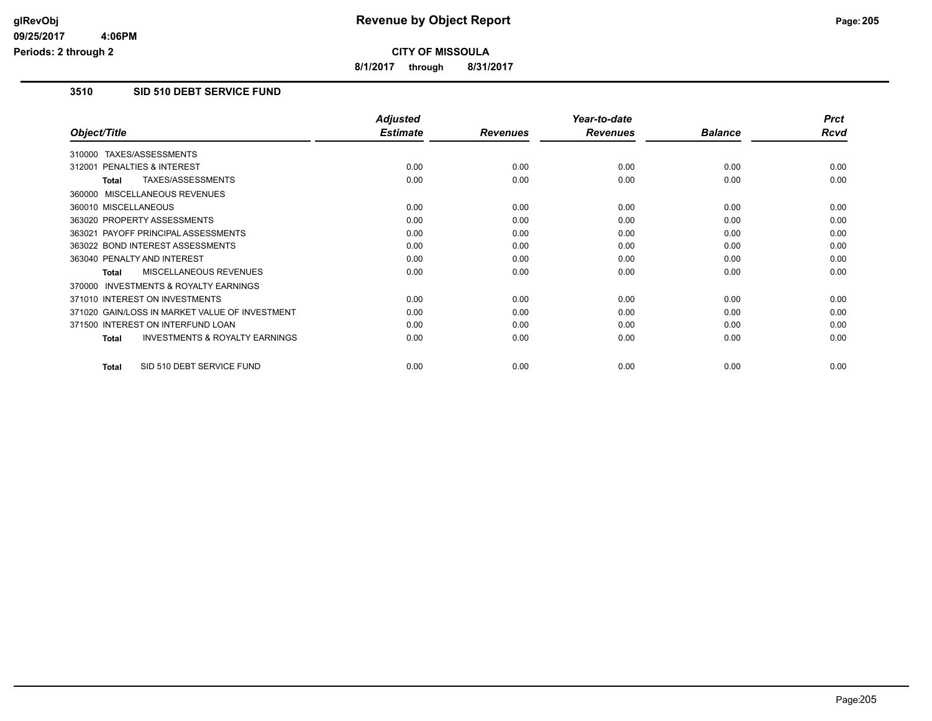**8/1/2017 through 8/31/2017**

# **3510 SID 510 DEBT SERVICE FUND**

|                                                           | <b>Adjusted</b> |                 | Year-to-date    |                | <b>Prct</b> |
|-----------------------------------------------------------|-----------------|-----------------|-----------------|----------------|-------------|
| Object/Title                                              | <b>Estimate</b> | <b>Revenues</b> | <b>Revenues</b> | <b>Balance</b> | <b>Rcvd</b> |
| TAXES/ASSESSMENTS<br>310000                               |                 |                 |                 |                |             |
| 312001 PENALTIES & INTEREST                               | 0.00            | 0.00            | 0.00            | 0.00           | 0.00        |
| TAXES/ASSESSMENTS<br><b>Total</b>                         | 0.00            | 0.00            | 0.00            | 0.00           | 0.00        |
| 360000 MISCELLANEOUS REVENUES                             |                 |                 |                 |                |             |
| 360010 MISCELLANEOUS                                      | 0.00            | 0.00            | 0.00            | 0.00           | 0.00        |
| 363020 PROPERTY ASSESSMENTS                               | 0.00            | 0.00            | 0.00            | 0.00           | 0.00        |
| 363021 PAYOFF PRINCIPAL ASSESSMENTS                       | 0.00            | 0.00            | 0.00            | 0.00           | 0.00        |
| 363022 BOND INTEREST ASSESSMENTS                          | 0.00            | 0.00            | 0.00            | 0.00           | 0.00        |
| 363040 PENALTY AND INTEREST                               | 0.00            | 0.00            | 0.00            | 0.00           | 0.00        |
| MISCELLANEOUS REVENUES<br><b>Total</b>                    | 0.00            | 0.00            | 0.00            | 0.00           | 0.00        |
| 370000 INVESTMENTS & ROYALTY EARNINGS                     |                 |                 |                 |                |             |
| 371010 INTEREST ON INVESTMENTS                            | 0.00            | 0.00            | 0.00            | 0.00           | 0.00        |
| 371020 GAIN/LOSS IN MARKET VALUE OF INVESTMENT            | 0.00            | 0.00            | 0.00            | 0.00           | 0.00        |
| 371500 INTEREST ON INTERFUND LOAN                         | 0.00            | 0.00            | 0.00            | 0.00           | 0.00        |
| <b>INVESTMENTS &amp; ROYALTY EARNINGS</b><br><b>Total</b> | 0.00            | 0.00            | 0.00            | 0.00           | 0.00        |
| SID 510 DEBT SERVICE FUND<br><b>Total</b>                 | 0.00            | 0.00            | 0.00            | 0.00           | 0.00        |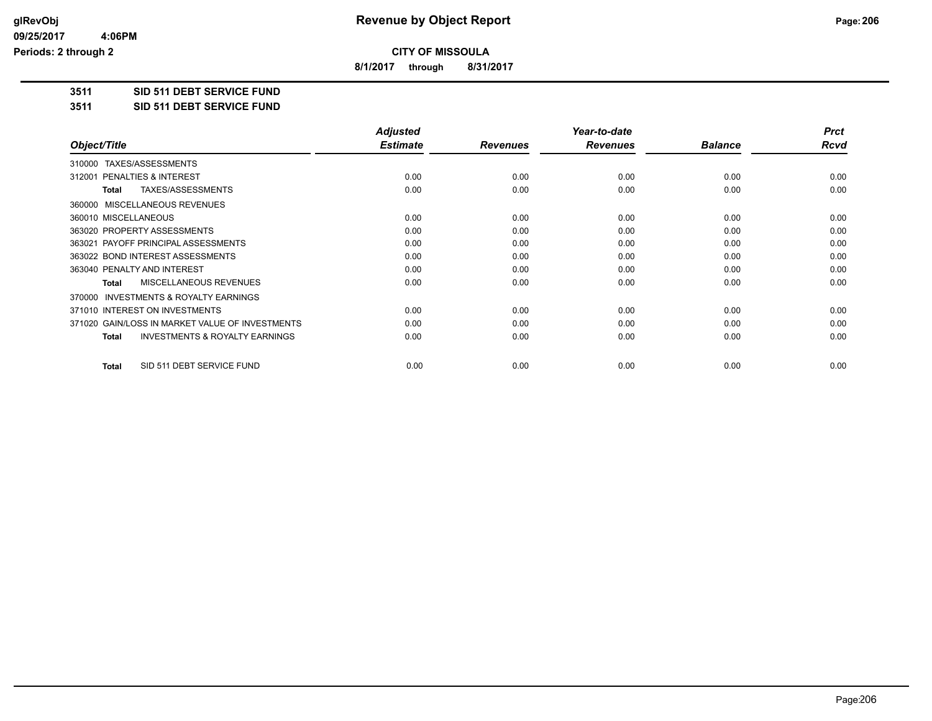**8/1/2017 through 8/31/2017**

**3511 SID 511 DEBT SERVICE FUND**

**3511 SID 511 DEBT SERVICE FUND**

|                                                           | <b>Adjusted</b> |                 | Year-to-date    |                | <b>Prct</b> |
|-----------------------------------------------------------|-----------------|-----------------|-----------------|----------------|-------------|
| Object/Title                                              | <b>Estimate</b> | <b>Revenues</b> | <b>Revenues</b> | <b>Balance</b> | Rcvd        |
| TAXES/ASSESSMENTS<br>310000                               |                 |                 |                 |                |             |
| <b>PENALTIES &amp; INTEREST</b><br>312001                 | 0.00            | 0.00            | 0.00            | 0.00           | 0.00        |
| TAXES/ASSESSMENTS<br><b>Total</b>                         | 0.00            | 0.00            | 0.00            | 0.00           | 0.00        |
| 360000 MISCELLANEOUS REVENUES                             |                 |                 |                 |                |             |
| 360010 MISCELLANEOUS                                      | 0.00            | 0.00            | 0.00            | 0.00           | 0.00        |
| 363020 PROPERTY ASSESSMENTS                               | 0.00            | 0.00            | 0.00            | 0.00           | 0.00        |
| 363021 PAYOFF PRINCIPAL ASSESSMENTS                       | 0.00            | 0.00            | 0.00            | 0.00           | 0.00        |
| 363022 BOND INTEREST ASSESSMENTS                          | 0.00            | 0.00            | 0.00            | 0.00           | 0.00        |
| 363040 PENALTY AND INTEREST                               | 0.00            | 0.00            | 0.00            | 0.00           | 0.00        |
| MISCELLANEOUS REVENUES<br><b>Total</b>                    | 0.00            | 0.00            | 0.00            | 0.00           | 0.00        |
| 370000 INVESTMENTS & ROYALTY EARNINGS                     |                 |                 |                 |                |             |
| 371010 INTEREST ON INVESTMENTS                            | 0.00            | 0.00            | 0.00            | 0.00           | 0.00        |
| 371020 GAIN/LOSS IN MARKET VALUE OF INVESTMENTS           | 0.00            | 0.00            | 0.00            | 0.00           | 0.00        |
| <b>INVESTMENTS &amp; ROYALTY EARNINGS</b><br><b>Total</b> | 0.00            | 0.00            | 0.00            | 0.00           | 0.00        |
| SID 511 DEBT SERVICE FUND<br><b>Total</b>                 | 0.00            | 0.00            | 0.00            | 0.00           | 0.00        |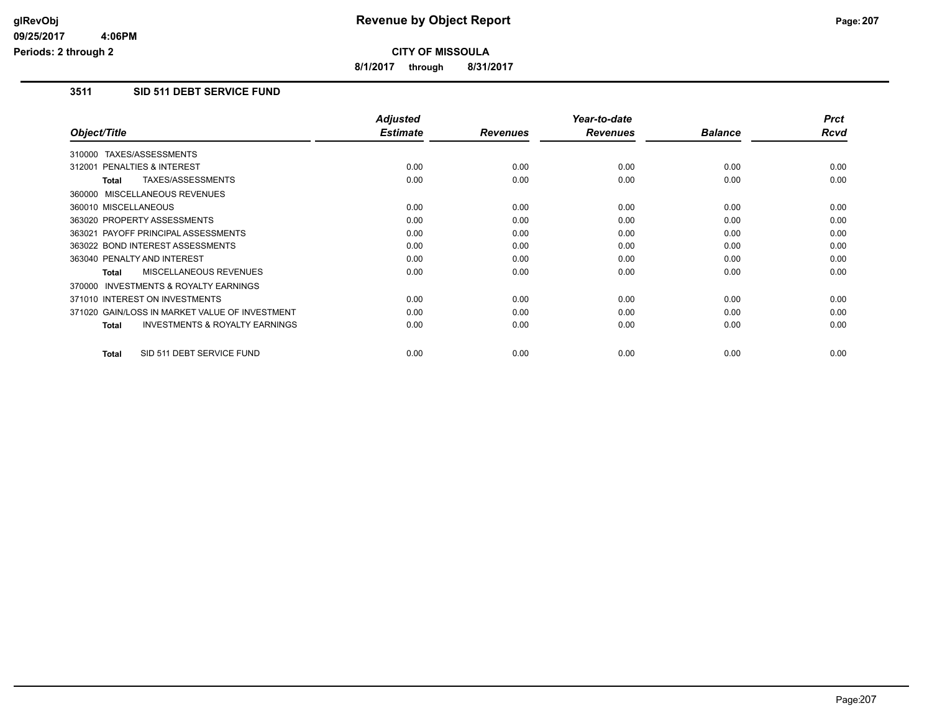**8/1/2017 through 8/31/2017**

# **3511 SID 511 DEBT SERVICE FUND**

|                                                           | <b>Adjusted</b> |                 | Year-to-date    |                | <b>Prct</b> |
|-----------------------------------------------------------|-----------------|-----------------|-----------------|----------------|-------------|
| Object/Title                                              | <b>Estimate</b> | <b>Revenues</b> | <b>Revenues</b> | <b>Balance</b> | Rcvd        |
| 310000 TAXES/ASSESSMENTS                                  |                 |                 |                 |                |             |
| 312001 PENALTIES & INTEREST                               | 0.00            | 0.00            | 0.00            | 0.00           | 0.00        |
| TAXES/ASSESSMENTS<br><b>Total</b>                         | 0.00            | 0.00            | 0.00            | 0.00           | 0.00        |
| 360000 MISCELLANEOUS REVENUES                             |                 |                 |                 |                |             |
| 360010 MISCELLANEOUS                                      | 0.00            | 0.00            | 0.00            | 0.00           | 0.00        |
| 363020 PROPERTY ASSESSMENTS                               | 0.00            | 0.00            | 0.00            | 0.00           | 0.00        |
| 363021 PAYOFF PRINCIPAL ASSESSMENTS                       | 0.00            | 0.00            | 0.00            | 0.00           | 0.00        |
| 363022 BOND INTEREST ASSESSMENTS                          | 0.00            | 0.00            | 0.00            | 0.00           | 0.00        |
| 363040 PENALTY AND INTEREST                               | 0.00            | 0.00            | 0.00            | 0.00           | 0.00        |
| MISCELLANEOUS REVENUES<br>Total                           | 0.00            | 0.00            | 0.00            | 0.00           | 0.00        |
| INVESTMENTS & ROYALTY EARNINGS<br>370000                  |                 |                 |                 |                |             |
| 371010 INTEREST ON INVESTMENTS                            | 0.00            | 0.00            | 0.00            | 0.00           | 0.00        |
| 371020 GAIN/LOSS IN MARKET VALUE OF INVESTMENT            | 0.00            | 0.00            | 0.00            | 0.00           | 0.00        |
| <b>INVESTMENTS &amp; ROYALTY EARNINGS</b><br><b>Total</b> | 0.00            | 0.00            | 0.00            | 0.00           | 0.00        |
| SID 511 DEBT SERVICE FUND<br><b>Total</b>                 | 0.00            | 0.00            | 0.00            | 0.00           | 0.00        |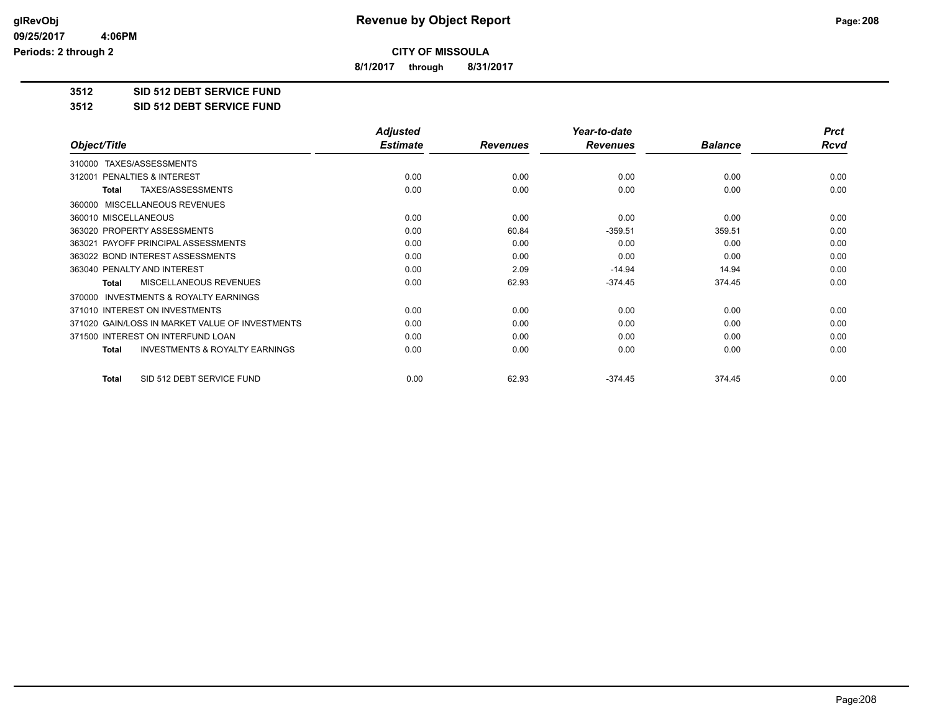**8/1/2017 through 8/31/2017**

**3512 SID 512 DEBT SERVICE FUND**

**3512 SID 512 DEBT SERVICE FUND**

|                                                           | <b>Adjusted</b> |                 | Year-to-date    |                | <b>Prct</b> |
|-----------------------------------------------------------|-----------------|-----------------|-----------------|----------------|-------------|
| Object/Title                                              | <b>Estimate</b> | <b>Revenues</b> | <b>Revenues</b> | <b>Balance</b> | <b>Rcvd</b> |
| TAXES/ASSESSMENTS<br>310000                               |                 |                 |                 |                |             |
| PENALTIES & INTEREST<br>312001                            | 0.00            | 0.00            | 0.00            | 0.00           | 0.00        |
| TAXES/ASSESSMENTS<br><b>Total</b>                         | 0.00            | 0.00            | 0.00            | 0.00           | 0.00        |
| 360000 MISCELLANEOUS REVENUES                             |                 |                 |                 |                |             |
| 360010 MISCELLANEOUS                                      | 0.00            | 0.00            | 0.00            | 0.00           | 0.00        |
| 363020 PROPERTY ASSESSMENTS                               | 0.00            | 60.84           | $-359.51$       | 359.51         | 0.00        |
| 363021 PAYOFF PRINCIPAL ASSESSMENTS                       | 0.00            | 0.00            | 0.00            | 0.00           | 0.00        |
| 363022 BOND INTEREST ASSESSMENTS                          | 0.00            | 0.00            | 0.00            | 0.00           | 0.00        |
| 363040 PENALTY AND INTEREST                               | 0.00            | 2.09            | $-14.94$        | 14.94          | 0.00        |
| <b>MISCELLANEOUS REVENUES</b><br><b>Total</b>             | 0.00            | 62.93           | $-374.45$       | 374.45         | 0.00        |
| <b>INVESTMENTS &amp; ROYALTY EARNINGS</b><br>370000       |                 |                 |                 |                |             |
| 371010 INTEREST ON INVESTMENTS                            | 0.00            | 0.00            | 0.00            | 0.00           | 0.00        |
| 371020 GAIN/LOSS IN MARKET VALUE OF INVESTMENTS           | 0.00            | 0.00            | 0.00            | 0.00           | 0.00        |
| 371500 INTEREST ON INTERFUND LOAN                         | 0.00            | 0.00            | 0.00            | 0.00           | 0.00        |
| <b>INVESTMENTS &amp; ROYALTY EARNINGS</b><br><b>Total</b> | 0.00            | 0.00            | 0.00            | 0.00           | 0.00        |
| SID 512 DEBT SERVICE FUND<br><b>Total</b>                 | 0.00            | 62.93           | $-374.45$       | 374.45         | 0.00        |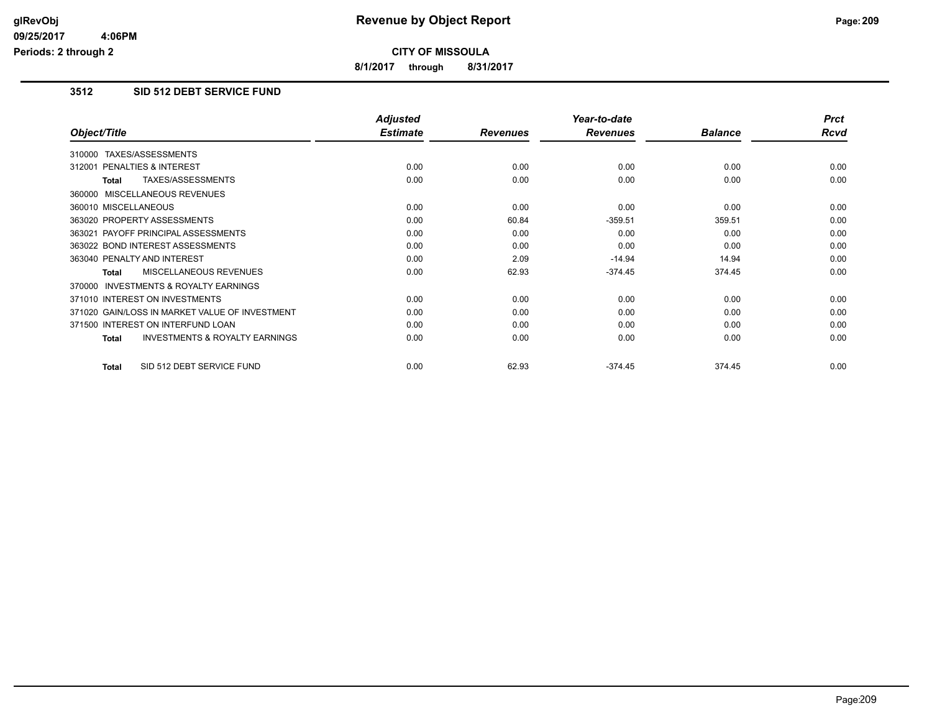**8/1/2017 through 8/31/2017**

# **3512 SID 512 DEBT SERVICE FUND**

|                                                           | <b>Adjusted</b> |                 | Year-to-date    |                | <b>Prct</b> |
|-----------------------------------------------------------|-----------------|-----------------|-----------------|----------------|-------------|
| Object/Title                                              | <b>Estimate</b> | <b>Revenues</b> | <b>Revenues</b> | <b>Balance</b> | Rcvd        |
| TAXES/ASSESSMENTS<br>310000                               |                 |                 |                 |                |             |
| PENALTIES & INTEREST<br>312001                            | 0.00            | 0.00            | 0.00            | 0.00           | 0.00        |
| TAXES/ASSESSMENTS<br><b>Total</b>                         | 0.00            | 0.00            | 0.00            | 0.00           | 0.00        |
| 360000 MISCELLANEOUS REVENUES                             |                 |                 |                 |                |             |
| 360010 MISCELLANEOUS                                      | 0.00            | 0.00            | 0.00            | 0.00           | 0.00        |
| 363020 PROPERTY ASSESSMENTS                               | 0.00            | 60.84           | $-359.51$       | 359.51         | 0.00        |
| 363021 PAYOFF PRINCIPAL ASSESSMENTS                       | 0.00            | 0.00            | 0.00            | 0.00           | 0.00        |
| 363022 BOND INTEREST ASSESSMENTS                          | 0.00            | 0.00            | 0.00            | 0.00           | 0.00        |
| 363040 PENALTY AND INTEREST                               | 0.00            | 2.09            | $-14.94$        | 14.94          | 0.00        |
| <b>MISCELLANEOUS REVENUES</b><br><b>Total</b>             | 0.00            | 62.93           | $-374.45$       | 374.45         | 0.00        |
| <b>INVESTMENTS &amp; ROYALTY EARNINGS</b><br>370000       |                 |                 |                 |                |             |
| 371010 INTEREST ON INVESTMENTS                            | 0.00            | 0.00            | 0.00            | 0.00           | 0.00        |
| 371020 GAIN/LOSS IN MARKET VALUE OF INVESTMENT            | 0.00            | 0.00            | 0.00            | 0.00           | 0.00        |
| 371500 INTEREST ON INTERFUND LOAN                         | 0.00            | 0.00            | 0.00            | 0.00           | 0.00        |
| <b>INVESTMENTS &amp; ROYALTY EARNINGS</b><br><b>Total</b> | 0.00            | 0.00            | 0.00            | 0.00           | 0.00        |
| SID 512 DEBT SERVICE FUND<br><b>Total</b>                 | 0.00            | 62.93           | $-374.45$       | 374.45         | 0.00        |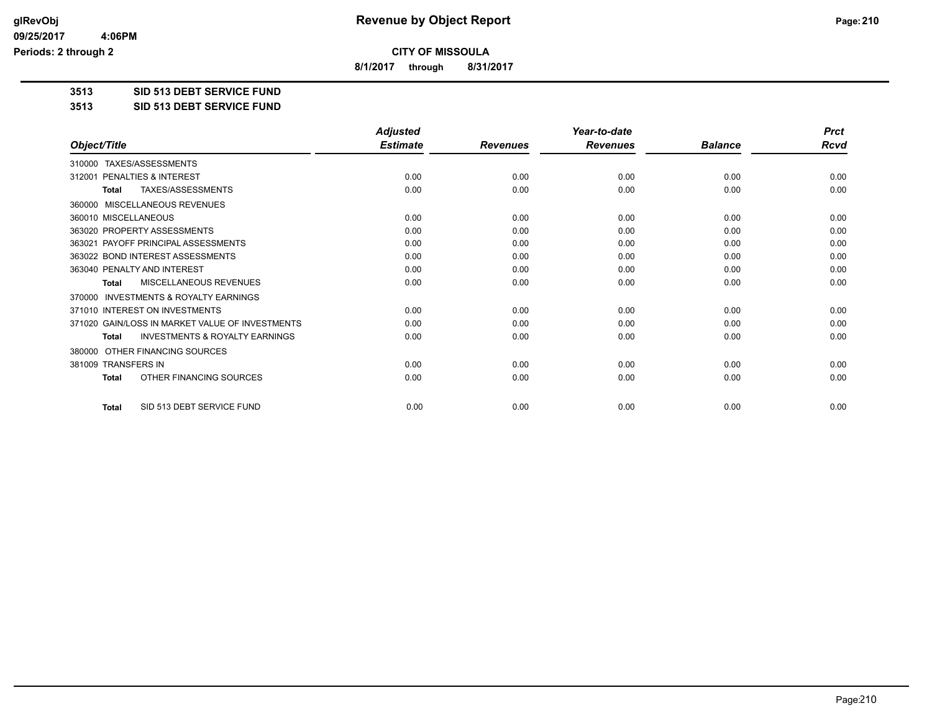**8/1/2017 through 8/31/2017**

**3513 SID 513 DEBT SERVICE FUND**

**3513 SID 513 DEBT SERVICE FUND**

|                                                     | <b>Adjusted</b> |                 | Year-to-date    |                | <b>Prct</b> |
|-----------------------------------------------------|-----------------|-----------------|-----------------|----------------|-------------|
| Object/Title                                        | <b>Estimate</b> | <b>Revenues</b> | <b>Revenues</b> | <b>Balance</b> | <b>Rcvd</b> |
| 310000 TAXES/ASSESSMENTS                            |                 |                 |                 |                |             |
| PENALTIES & INTEREST<br>312001                      | 0.00            | 0.00            | 0.00            | 0.00           | 0.00        |
| <b>TAXES/ASSESSMENTS</b><br><b>Total</b>            | 0.00            | 0.00            | 0.00            | 0.00           | 0.00        |
| MISCELLANEOUS REVENUES<br>360000                    |                 |                 |                 |                |             |
| 360010 MISCELLANEOUS                                | 0.00            | 0.00            | 0.00            | 0.00           | 0.00        |
| 363020 PROPERTY ASSESSMENTS                         | 0.00            | 0.00            | 0.00            | 0.00           | 0.00        |
| 363021 PAYOFF PRINCIPAL ASSESSMENTS                 | 0.00            | 0.00            | 0.00            | 0.00           | 0.00        |
| 363022 BOND INTEREST ASSESSMENTS                    | 0.00            | 0.00            | 0.00            | 0.00           | 0.00        |
| 363040 PENALTY AND INTEREST                         | 0.00            | 0.00            | 0.00            | 0.00           | 0.00        |
| MISCELLANEOUS REVENUES<br>Total                     | 0.00            | 0.00            | 0.00            | 0.00           | 0.00        |
| <b>INVESTMENTS &amp; ROYALTY EARNINGS</b><br>370000 |                 |                 |                 |                |             |
| 371010 INTEREST ON INVESTMENTS                      | 0.00            | 0.00            | 0.00            | 0.00           | 0.00        |
| 371020 GAIN/LOSS IN MARKET VALUE OF INVESTMENTS     | 0.00            | 0.00            | 0.00            | 0.00           | 0.00        |
| <b>INVESTMENTS &amp; ROYALTY EARNINGS</b><br>Total  | 0.00            | 0.00            | 0.00            | 0.00           | 0.00        |
| OTHER FINANCING SOURCES<br>380000                   |                 |                 |                 |                |             |
| 381009 TRANSFERS IN                                 | 0.00            | 0.00            | 0.00            | 0.00           | 0.00        |
| OTHER FINANCING SOURCES<br><b>Total</b>             | 0.00            | 0.00            | 0.00            | 0.00           | 0.00        |
| SID 513 DEBT SERVICE FUND<br><b>Total</b>           | 0.00            | 0.00            | 0.00            | 0.00           | 0.00        |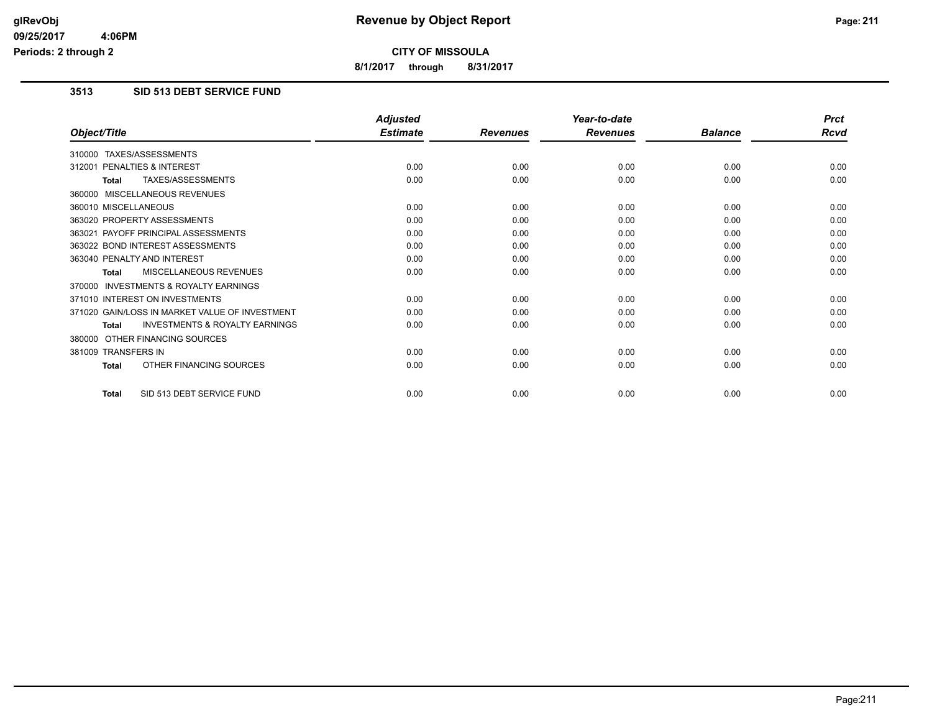**8/1/2017 through 8/31/2017**

## **3513 SID 513 DEBT SERVICE FUND**

|                                                           | <b>Adjusted</b> |                 | Year-to-date    |                | <b>Prct</b> |
|-----------------------------------------------------------|-----------------|-----------------|-----------------|----------------|-------------|
| Object/Title                                              | <b>Estimate</b> | <b>Revenues</b> | <b>Revenues</b> | <b>Balance</b> | <b>Rcvd</b> |
| 310000 TAXES/ASSESSMENTS                                  |                 |                 |                 |                |             |
| PENALTIES & INTEREST<br>312001                            | 0.00            | 0.00            | 0.00            | 0.00           | 0.00        |
| TAXES/ASSESSMENTS<br><b>Total</b>                         | 0.00            | 0.00            | 0.00            | 0.00           | 0.00        |
| 360000 MISCELLANEOUS REVENUES                             |                 |                 |                 |                |             |
| 360010 MISCELLANEOUS                                      | 0.00            | 0.00            | 0.00            | 0.00           | 0.00        |
| 363020 PROPERTY ASSESSMENTS                               | 0.00            | 0.00            | 0.00            | 0.00           | 0.00        |
| 363021 PAYOFF PRINCIPAL ASSESSMENTS                       | 0.00            | 0.00            | 0.00            | 0.00           | 0.00        |
| 363022 BOND INTEREST ASSESSMENTS                          | 0.00            | 0.00            | 0.00            | 0.00           | 0.00        |
| 363040 PENALTY AND INTEREST                               | 0.00            | 0.00            | 0.00            | 0.00           | 0.00        |
| MISCELLANEOUS REVENUES<br><b>Total</b>                    | 0.00            | 0.00            | 0.00            | 0.00           | 0.00        |
| INVESTMENTS & ROYALTY EARNINGS<br>370000                  |                 |                 |                 |                |             |
| 371010 INTEREST ON INVESTMENTS                            | 0.00            | 0.00            | 0.00            | 0.00           | 0.00        |
| 371020 GAIN/LOSS IN MARKET VALUE OF INVESTMENT            | 0.00            | 0.00            | 0.00            | 0.00           | 0.00        |
| <b>INVESTMENTS &amp; ROYALTY EARNINGS</b><br><b>Total</b> | 0.00            | 0.00            | 0.00            | 0.00           | 0.00        |
| 380000 OTHER FINANCING SOURCES                            |                 |                 |                 |                |             |
| 381009 TRANSFERS IN                                       | 0.00            | 0.00            | 0.00            | 0.00           | 0.00        |
| OTHER FINANCING SOURCES<br><b>Total</b>                   | 0.00            | 0.00            | 0.00            | 0.00           | 0.00        |
| SID 513 DEBT SERVICE FUND<br><b>Total</b>                 | 0.00            | 0.00            | 0.00            | 0.00           | 0.00        |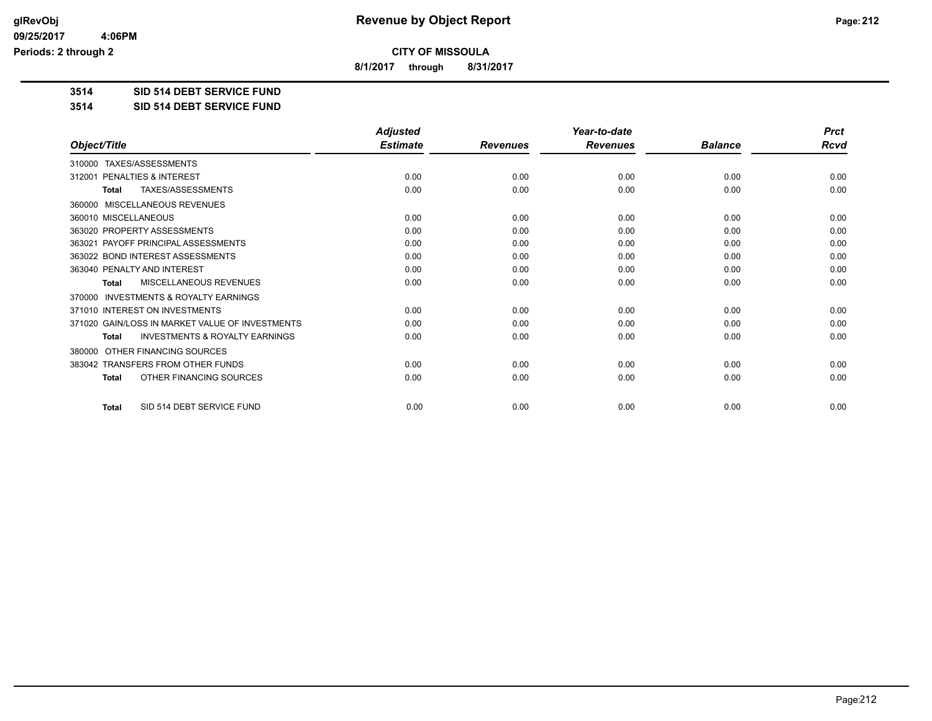**8/1/2017 through 8/31/2017**

**3514 SID 514 DEBT SERVICE FUND**

**3514 SID 514 DEBT SERVICE FUND**

|                                                     | <b>Adjusted</b> |                 | Year-to-date    |                | <b>Prct</b> |
|-----------------------------------------------------|-----------------|-----------------|-----------------|----------------|-------------|
| Object/Title                                        | <b>Estimate</b> | <b>Revenues</b> | <b>Revenues</b> | <b>Balance</b> | <b>Rcvd</b> |
| TAXES/ASSESSMENTS<br>310000                         |                 |                 |                 |                |             |
| PENALTIES & INTEREST<br>312001                      | 0.00            | 0.00            | 0.00            | 0.00           | 0.00        |
| <b>TAXES/ASSESSMENTS</b><br>Total                   | 0.00            | 0.00            | 0.00            | 0.00           | 0.00        |
| <b>MISCELLANEOUS REVENUES</b><br>360000             |                 |                 |                 |                |             |
| 360010 MISCELLANEOUS                                | 0.00            | 0.00            | 0.00            | 0.00           | 0.00        |
| 363020 PROPERTY ASSESSMENTS                         | 0.00            | 0.00            | 0.00            | 0.00           | 0.00        |
| 363021 PAYOFF PRINCIPAL ASSESSMENTS                 | 0.00            | 0.00            | 0.00            | 0.00           | 0.00        |
| 363022 BOND INTEREST ASSESSMENTS                    | 0.00            | 0.00            | 0.00            | 0.00           | 0.00        |
| 363040 PENALTY AND INTEREST                         | 0.00            | 0.00            | 0.00            | 0.00           | 0.00        |
| MISCELLANEOUS REVENUES<br>Total                     | 0.00            | 0.00            | 0.00            | 0.00           | 0.00        |
| <b>INVESTMENTS &amp; ROYALTY EARNINGS</b><br>370000 |                 |                 |                 |                |             |
| 371010 INTEREST ON INVESTMENTS                      | 0.00            | 0.00            | 0.00            | 0.00           | 0.00        |
| 371020 GAIN/LOSS IN MARKET VALUE OF INVESTMENTS     | 0.00            | 0.00            | 0.00            | 0.00           | 0.00        |
| <b>INVESTMENTS &amp; ROYALTY EARNINGS</b><br>Total  | 0.00            | 0.00            | 0.00            | 0.00           | 0.00        |
| OTHER FINANCING SOURCES<br>380000                   |                 |                 |                 |                |             |
| 383042 TRANSFERS FROM OTHER FUNDS                   | 0.00            | 0.00            | 0.00            | 0.00           | 0.00        |
| OTHER FINANCING SOURCES<br><b>Total</b>             | 0.00            | 0.00            | 0.00            | 0.00           | 0.00        |
| SID 514 DEBT SERVICE FUND<br><b>Total</b>           | 0.00            | 0.00            | 0.00            | 0.00           | 0.00        |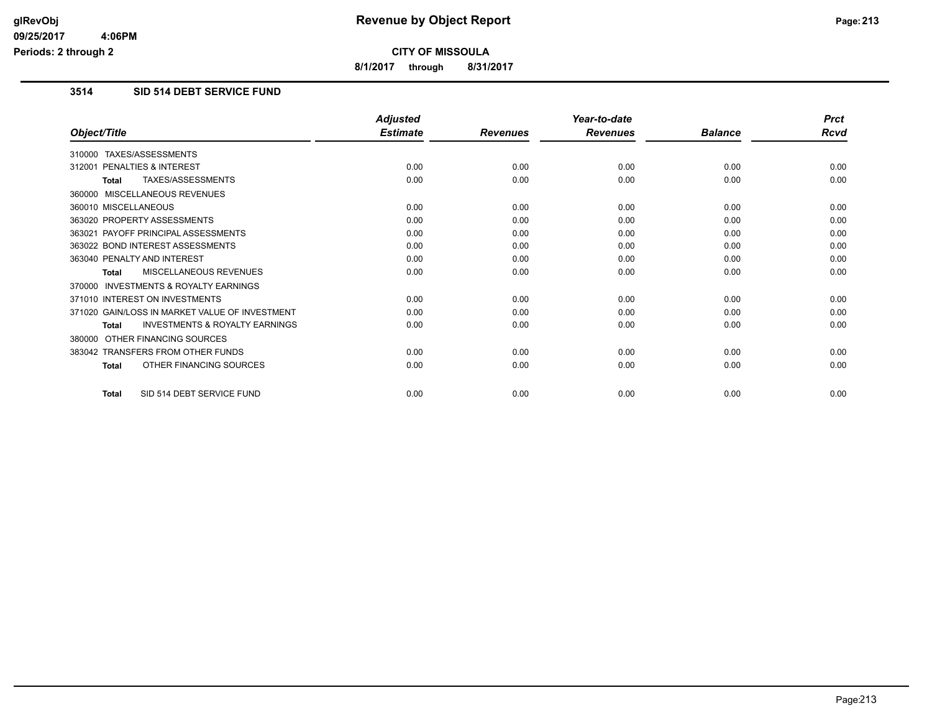**8/1/2017 through 8/31/2017**

# **3514 SID 514 DEBT SERVICE FUND**

|                                                           | <b>Adjusted</b> |                 | Year-to-date    |                | <b>Prct</b> |
|-----------------------------------------------------------|-----------------|-----------------|-----------------|----------------|-------------|
| Object/Title                                              | <b>Estimate</b> | <b>Revenues</b> | <b>Revenues</b> | <b>Balance</b> | <b>Rcvd</b> |
| 310000 TAXES/ASSESSMENTS                                  |                 |                 |                 |                |             |
| PENALTIES & INTEREST<br>312001                            | 0.00            | 0.00            | 0.00            | 0.00           | 0.00        |
| TAXES/ASSESSMENTS<br><b>Total</b>                         | 0.00            | 0.00            | 0.00            | 0.00           | 0.00        |
| 360000 MISCELLANEOUS REVENUES                             |                 |                 |                 |                |             |
| 360010 MISCELLANEOUS                                      | 0.00            | 0.00            | 0.00            | 0.00           | 0.00        |
| 363020 PROPERTY ASSESSMENTS                               | 0.00            | 0.00            | 0.00            | 0.00           | 0.00        |
| 363021 PAYOFF PRINCIPAL ASSESSMENTS                       | 0.00            | 0.00            | 0.00            | 0.00           | 0.00        |
| 363022 BOND INTEREST ASSESSMENTS                          | 0.00            | 0.00            | 0.00            | 0.00           | 0.00        |
| 363040 PENALTY AND INTEREST                               | 0.00            | 0.00            | 0.00            | 0.00           | 0.00        |
| <b>MISCELLANEOUS REVENUES</b><br><b>Total</b>             | 0.00            | 0.00            | 0.00            | 0.00           | 0.00        |
| 370000 INVESTMENTS & ROYALTY EARNINGS                     |                 |                 |                 |                |             |
| 371010 INTEREST ON INVESTMENTS                            | 0.00            | 0.00            | 0.00            | 0.00           | 0.00        |
| 371020 GAIN/LOSS IN MARKET VALUE OF INVESTMENT            | 0.00            | 0.00            | 0.00            | 0.00           | 0.00        |
| <b>INVESTMENTS &amp; ROYALTY EARNINGS</b><br><b>Total</b> | 0.00            | 0.00            | 0.00            | 0.00           | 0.00        |
| 380000 OTHER FINANCING SOURCES                            |                 |                 |                 |                |             |
| 383042 TRANSFERS FROM OTHER FUNDS                         | 0.00            | 0.00            | 0.00            | 0.00           | 0.00        |
| OTHER FINANCING SOURCES<br><b>Total</b>                   | 0.00            | 0.00            | 0.00            | 0.00           | 0.00        |
| SID 514 DEBT SERVICE FUND<br><b>Total</b>                 | 0.00            | 0.00            | 0.00            | 0.00           | 0.00        |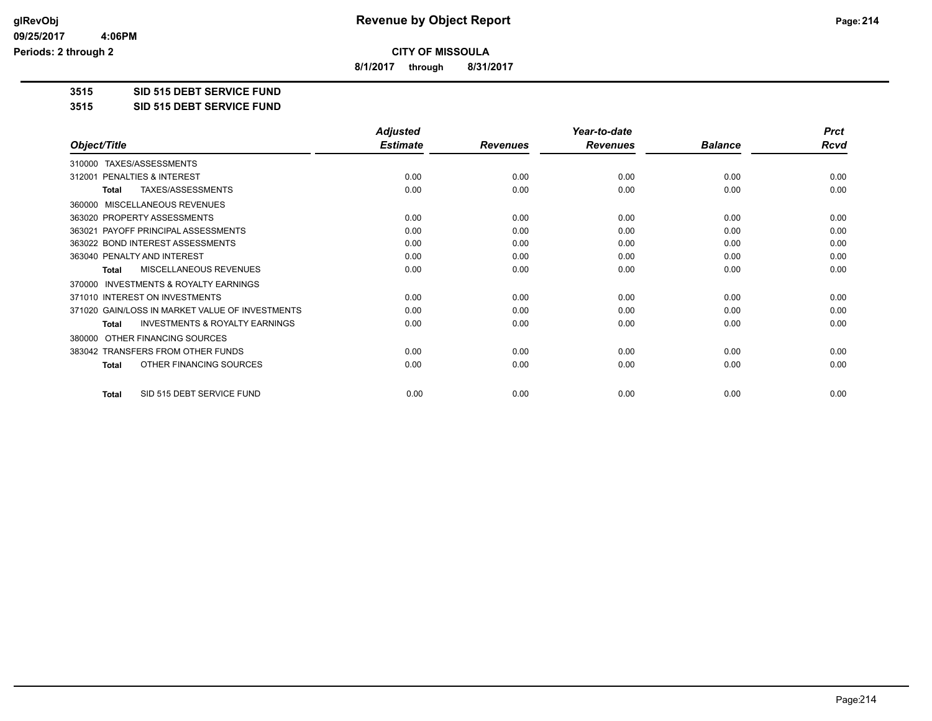**8/1/2017 through 8/31/2017**

**3515 SID 515 DEBT SERVICE FUND**

**3515 SID 515 DEBT SERVICE FUND**

|                                                           | <b>Adjusted</b> |                 | Year-to-date    |                | <b>Prct</b> |
|-----------------------------------------------------------|-----------------|-----------------|-----------------|----------------|-------------|
| Object/Title                                              | <b>Estimate</b> | <b>Revenues</b> | <b>Revenues</b> | <b>Balance</b> | <b>Rcvd</b> |
| TAXES/ASSESSMENTS<br>310000                               |                 |                 |                 |                |             |
| PENALTIES & INTEREST<br>312001                            | 0.00            | 0.00            | 0.00            | 0.00           | 0.00        |
| TAXES/ASSESSMENTS<br><b>Total</b>                         | 0.00            | 0.00            | 0.00            | 0.00           | 0.00        |
| MISCELLANEOUS REVENUES<br>360000                          |                 |                 |                 |                |             |
| 363020 PROPERTY ASSESSMENTS                               | 0.00            | 0.00            | 0.00            | 0.00           | 0.00        |
| 363021 PAYOFF PRINCIPAL ASSESSMENTS                       | 0.00            | 0.00            | 0.00            | 0.00           | 0.00        |
| 363022 BOND INTEREST ASSESSMENTS                          | 0.00            | 0.00            | 0.00            | 0.00           | 0.00        |
| 363040 PENALTY AND INTEREST                               | 0.00            | 0.00            | 0.00            | 0.00           | 0.00        |
| MISCELLANEOUS REVENUES<br><b>Total</b>                    | 0.00            | 0.00            | 0.00            | 0.00           | 0.00        |
| <b>INVESTMENTS &amp; ROYALTY EARNINGS</b><br>370000       |                 |                 |                 |                |             |
| 371010 INTEREST ON INVESTMENTS                            | 0.00            | 0.00            | 0.00            | 0.00           | 0.00        |
| 371020 GAIN/LOSS IN MARKET VALUE OF INVESTMENTS           | 0.00            | 0.00            | 0.00            | 0.00           | 0.00        |
| <b>INVESTMENTS &amp; ROYALTY EARNINGS</b><br><b>Total</b> | 0.00            | 0.00            | 0.00            | 0.00           | 0.00        |
| OTHER FINANCING SOURCES<br>380000                         |                 |                 |                 |                |             |
| 383042 TRANSFERS FROM OTHER FUNDS                         | 0.00            | 0.00            | 0.00            | 0.00           | 0.00        |
| OTHER FINANCING SOURCES<br><b>Total</b>                   | 0.00            | 0.00            | 0.00            | 0.00           | 0.00        |
| SID 515 DEBT SERVICE FUND<br><b>Total</b>                 | 0.00            | 0.00            | 0.00            | 0.00           | 0.00        |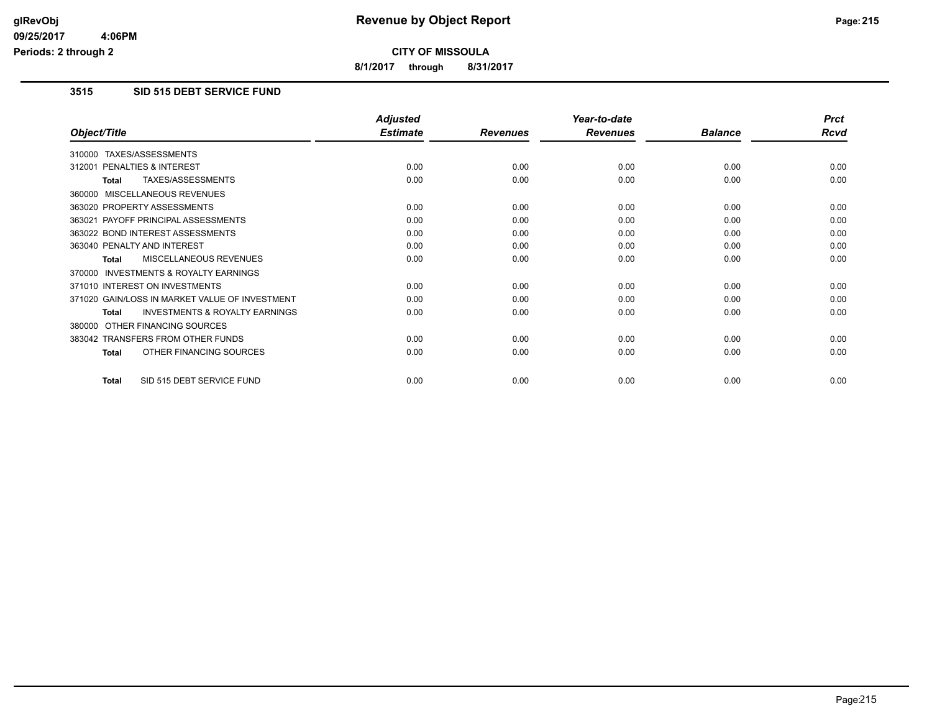**8/1/2017 through 8/31/2017**

# **3515 SID 515 DEBT SERVICE FUND**

|                                                           | <b>Adjusted</b> |                 | Year-to-date    |                | <b>Prct</b> |
|-----------------------------------------------------------|-----------------|-----------------|-----------------|----------------|-------------|
| Object/Title                                              | <b>Estimate</b> | <b>Revenues</b> | <b>Revenues</b> | <b>Balance</b> | <b>Rcvd</b> |
| TAXES/ASSESSMENTS<br>310000                               |                 |                 |                 |                |             |
| 312001 PENALTIES & INTEREST                               | 0.00            | 0.00            | 0.00            | 0.00           | 0.00        |
| TAXES/ASSESSMENTS<br><b>Total</b>                         | 0.00            | 0.00            | 0.00            | 0.00           | 0.00        |
| MISCELLANEOUS REVENUES<br>360000                          |                 |                 |                 |                |             |
| 363020 PROPERTY ASSESSMENTS                               | 0.00            | 0.00            | 0.00            | 0.00           | 0.00        |
| 363021 PAYOFF PRINCIPAL ASSESSMENTS                       | 0.00            | 0.00            | 0.00            | 0.00           | 0.00        |
| 363022 BOND INTEREST ASSESSMENTS                          | 0.00            | 0.00            | 0.00            | 0.00           | 0.00        |
| 363040 PENALTY AND INTEREST                               | 0.00            | 0.00            | 0.00            | 0.00           | 0.00        |
| MISCELLANEOUS REVENUES<br><b>Total</b>                    | 0.00            | 0.00            | 0.00            | 0.00           | 0.00        |
| <b>INVESTMENTS &amp; ROYALTY EARNINGS</b><br>370000       |                 |                 |                 |                |             |
| 371010 INTEREST ON INVESTMENTS                            | 0.00            | 0.00            | 0.00            | 0.00           | 0.00        |
| 371020 GAIN/LOSS IN MARKET VALUE OF INVESTMENT            | 0.00            | 0.00            | 0.00            | 0.00           | 0.00        |
| <b>INVESTMENTS &amp; ROYALTY EARNINGS</b><br><b>Total</b> | 0.00            | 0.00            | 0.00            | 0.00           | 0.00        |
| OTHER FINANCING SOURCES<br>380000                         |                 |                 |                 |                |             |
| 383042 TRANSFERS FROM OTHER FUNDS                         | 0.00            | 0.00            | 0.00            | 0.00           | 0.00        |
| OTHER FINANCING SOURCES<br>Total                          | 0.00            | 0.00            | 0.00            | 0.00           | 0.00        |
| SID 515 DEBT SERVICE FUND<br><b>Total</b>                 | 0.00            | 0.00            | 0.00            | 0.00           | 0.00        |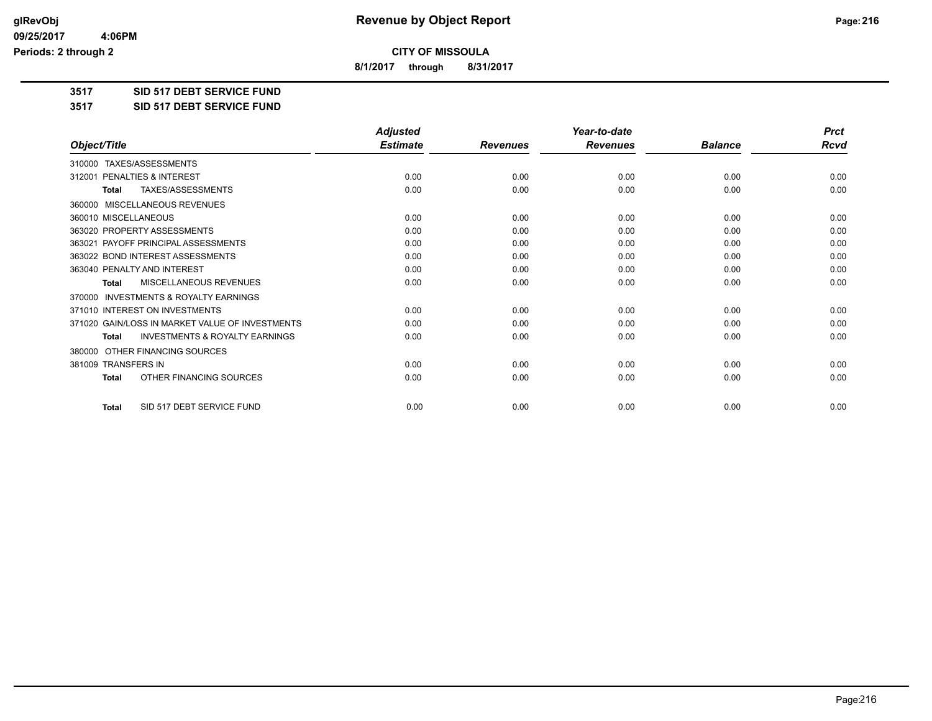**8/1/2017 through 8/31/2017**

**3517 SID 517 DEBT SERVICE FUND**

**3517 SID 517 DEBT SERVICE FUND**

|                                                           | <b>Adjusted</b> |                 | Year-to-date    |                | <b>Prct</b> |
|-----------------------------------------------------------|-----------------|-----------------|-----------------|----------------|-------------|
| Object/Title                                              | <b>Estimate</b> | <b>Revenues</b> | <b>Revenues</b> | <b>Balance</b> | <b>Rcvd</b> |
| TAXES/ASSESSMENTS<br>310000                               |                 |                 |                 |                |             |
| PENALTIES & INTEREST<br>312001                            | 0.00            | 0.00            | 0.00            | 0.00           | 0.00        |
| TAXES/ASSESSMENTS<br>Total                                | 0.00            | 0.00            | 0.00            | 0.00           | 0.00        |
| MISCELLANEOUS REVENUES<br>360000                          |                 |                 |                 |                |             |
| 360010 MISCELLANEOUS                                      | 0.00            | 0.00            | 0.00            | 0.00           | 0.00        |
| 363020 PROPERTY ASSESSMENTS                               | 0.00            | 0.00            | 0.00            | 0.00           | 0.00        |
| 363021 PAYOFF PRINCIPAL ASSESSMENTS                       | 0.00            | 0.00            | 0.00            | 0.00           | 0.00        |
| 363022 BOND INTEREST ASSESSMENTS                          | 0.00            | 0.00            | 0.00            | 0.00           | 0.00        |
| 363040 PENALTY AND INTEREST                               | 0.00            | 0.00            | 0.00            | 0.00           | 0.00        |
| <b>MISCELLANEOUS REVENUES</b><br><b>Total</b>             | 0.00            | 0.00            | 0.00            | 0.00           | 0.00        |
| INVESTMENTS & ROYALTY EARNINGS<br>370000                  |                 |                 |                 |                |             |
| 371010 INTEREST ON INVESTMENTS                            | 0.00            | 0.00            | 0.00            | 0.00           | 0.00        |
| 371020 GAIN/LOSS IN MARKET VALUE OF INVESTMENTS           | 0.00            | 0.00            | 0.00            | 0.00           | 0.00        |
| <b>INVESTMENTS &amp; ROYALTY EARNINGS</b><br><b>Total</b> | 0.00            | 0.00            | 0.00            | 0.00           | 0.00        |
| OTHER FINANCING SOURCES<br>380000                         |                 |                 |                 |                |             |
| 381009 TRANSFERS IN                                       | 0.00            | 0.00            | 0.00            | 0.00           | 0.00        |
| OTHER FINANCING SOURCES<br><b>Total</b>                   | 0.00            | 0.00            | 0.00            | 0.00           | 0.00        |
| SID 517 DEBT SERVICE FUND<br><b>Total</b>                 | 0.00            | 0.00            | 0.00            | 0.00           | 0.00        |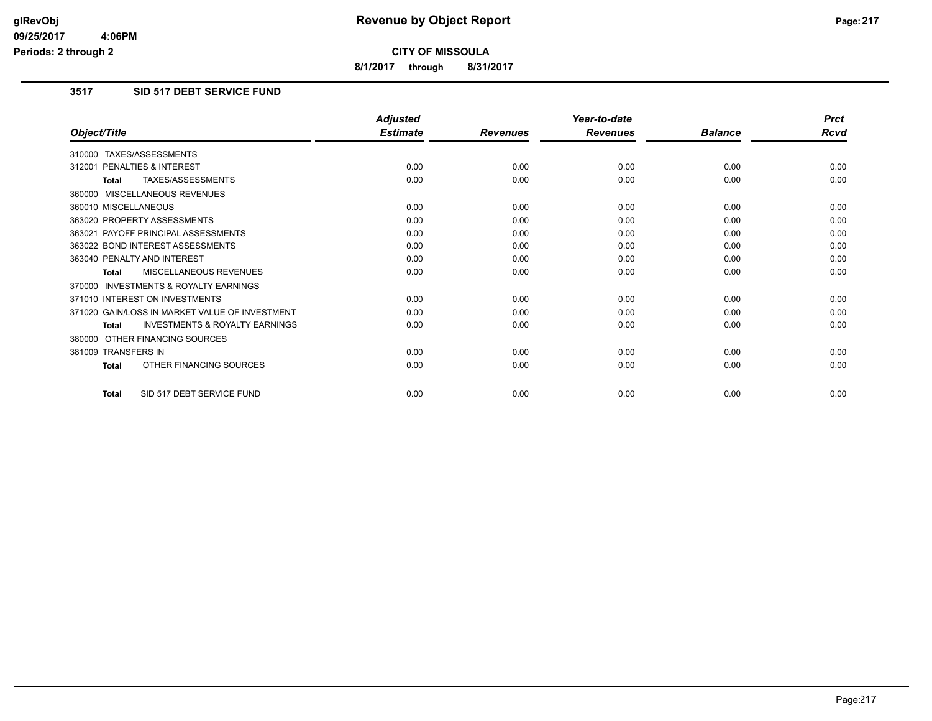**8/1/2017 through 8/31/2017**

## **3517 SID 517 DEBT SERVICE FUND**

|                                                    | <b>Adjusted</b> |                 | Year-to-date    |                | <b>Prct</b> |
|----------------------------------------------------|-----------------|-----------------|-----------------|----------------|-------------|
| Object/Title                                       | <b>Estimate</b> | <b>Revenues</b> | <b>Revenues</b> | <b>Balance</b> | <b>Rcvd</b> |
| 310000 TAXES/ASSESSMENTS                           |                 |                 |                 |                |             |
| PENALTIES & INTEREST<br>312001                     | 0.00            | 0.00            | 0.00            | 0.00           | 0.00        |
| TAXES/ASSESSMENTS<br>Total                         | 0.00            | 0.00            | 0.00            | 0.00           | 0.00        |
| 360000 MISCELLANEOUS REVENUES                      |                 |                 |                 |                |             |
| 360010 MISCELLANEOUS                               | 0.00            | 0.00            | 0.00            | 0.00           | 0.00        |
| 363020 PROPERTY ASSESSMENTS                        | 0.00            | 0.00            | 0.00            | 0.00           | 0.00        |
| 363021 PAYOFF PRINCIPAL ASSESSMENTS                | 0.00            | 0.00            | 0.00            | 0.00           | 0.00        |
| 363022 BOND INTEREST ASSESSMENTS                   | 0.00            | 0.00            | 0.00            | 0.00           | 0.00        |
| 363040 PENALTY AND INTEREST                        | 0.00            | 0.00            | 0.00            | 0.00           | 0.00        |
| MISCELLANEOUS REVENUES<br><b>Total</b>             | 0.00            | 0.00            | 0.00            | 0.00           | 0.00        |
| 370000 INVESTMENTS & ROYALTY EARNINGS              |                 |                 |                 |                |             |
| 371010 INTEREST ON INVESTMENTS                     | 0.00            | 0.00            | 0.00            | 0.00           | 0.00        |
| 371020 GAIN/LOSS IN MARKET VALUE OF INVESTMENT     | 0.00            | 0.00            | 0.00            | 0.00           | 0.00        |
| <b>INVESTMENTS &amp; ROYALTY EARNINGS</b><br>Total | 0.00            | 0.00            | 0.00            | 0.00           | 0.00        |
| 380000 OTHER FINANCING SOURCES                     |                 |                 |                 |                |             |
| 381009 TRANSFERS IN                                | 0.00            | 0.00            | 0.00            | 0.00           | 0.00        |
| OTHER FINANCING SOURCES<br>Total                   | 0.00            | 0.00            | 0.00            | 0.00           | 0.00        |
| SID 517 DEBT SERVICE FUND<br><b>Total</b>          | 0.00            | 0.00            | 0.00            | 0.00           | 0.00        |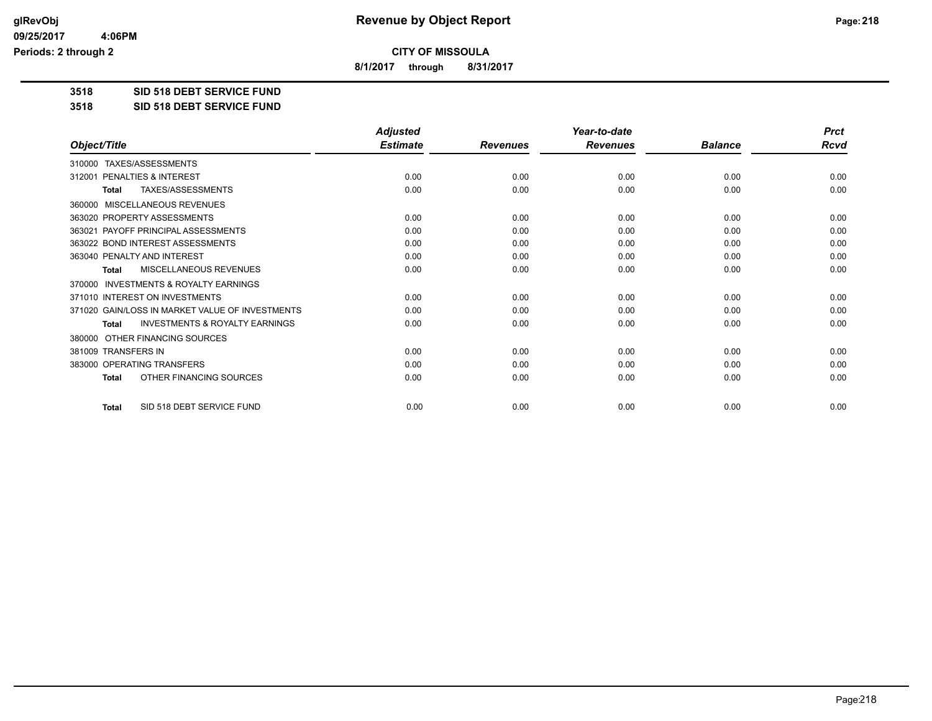**8/1/2017 through 8/31/2017**

**3518 SID 518 DEBT SERVICE FUND**

**3518 SID 518 DEBT SERVICE FUND**

|                                                           | <b>Adjusted</b> |                 | Year-to-date    |                | <b>Prct</b> |
|-----------------------------------------------------------|-----------------|-----------------|-----------------|----------------|-------------|
| Object/Title                                              | <b>Estimate</b> | <b>Revenues</b> | <b>Revenues</b> | <b>Balance</b> | <b>Rcvd</b> |
| TAXES/ASSESSMENTS<br>310000                               |                 |                 |                 |                |             |
| PENALTIES & INTEREST<br>312001                            | 0.00            | 0.00            | 0.00            | 0.00           | 0.00        |
| TAXES/ASSESSMENTS<br><b>Total</b>                         | 0.00            | 0.00            | 0.00            | 0.00           | 0.00        |
| MISCELLANEOUS REVENUES<br>360000                          |                 |                 |                 |                |             |
| 363020 PROPERTY ASSESSMENTS                               | 0.00            | 0.00            | 0.00            | 0.00           | 0.00        |
| 363021 PAYOFF PRINCIPAL ASSESSMENTS                       | 0.00            | 0.00            | 0.00            | 0.00           | 0.00        |
| 363022 BOND INTEREST ASSESSMENTS                          | 0.00            | 0.00            | 0.00            | 0.00           | 0.00        |
| 363040 PENALTY AND INTEREST                               | 0.00            | 0.00            | 0.00            | 0.00           | 0.00        |
| MISCELLANEOUS REVENUES<br><b>Total</b>                    | 0.00            | 0.00            | 0.00            | 0.00           | 0.00        |
| <b>INVESTMENTS &amp; ROYALTY EARNINGS</b><br>370000       |                 |                 |                 |                |             |
| 371010 INTEREST ON INVESTMENTS                            | 0.00            | 0.00            | 0.00            | 0.00           | 0.00        |
| 371020 GAIN/LOSS IN MARKET VALUE OF INVESTMENTS           | 0.00            | 0.00            | 0.00            | 0.00           | 0.00        |
| <b>INVESTMENTS &amp; ROYALTY EARNINGS</b><br><b>Total</b> | 0.00            | 0.00            | 0.00            | 0.00           | 0.00        |
| OTHER FINANCING SOURCES<br>380000                         |                 |                 |                 |                |             |
| 381009 TRANSFERS IN                                       | 0.00            | 0.00            | 0.00            | 0.00           | 0.00        |
| 383000 OPERATING TRANSFERS                                | 0.00            | 0.00            | 0.00            | 0.00           | 0.00        |
| OTHER FINANCING SOURCES<br><b>Total</b>                   | 0.00            | 0.00            | 0.00            | 0.00           | 0.00        |
| SID 518 DEBT SERVICE FUND<br><b>Total</b>                 | 0.00            | 0.00            | 0.00            | 0.00           | 0.00        |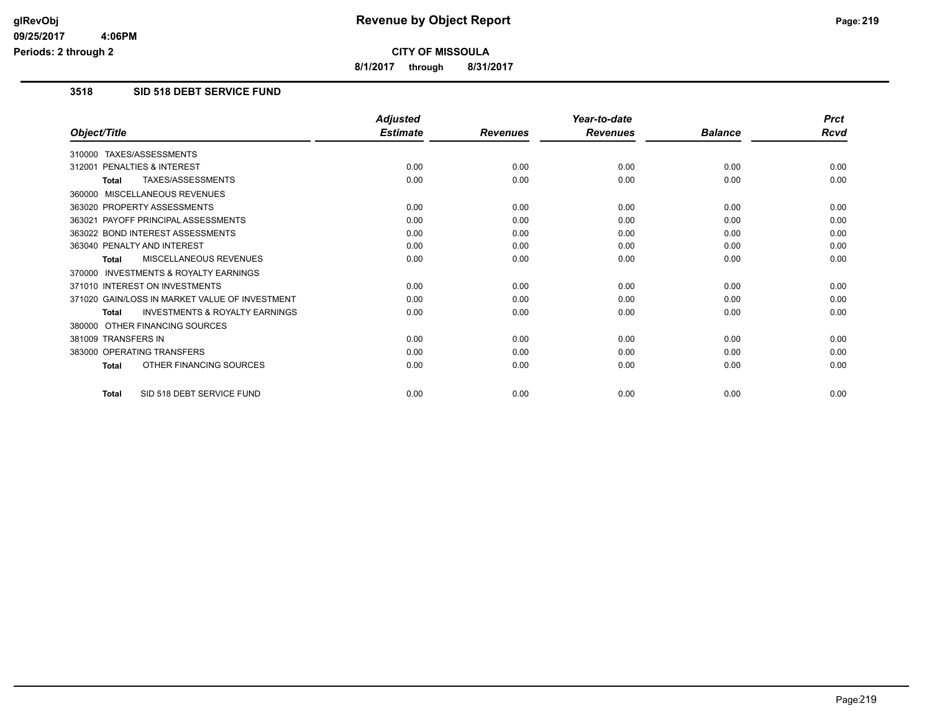**8/1/2017 through 8/31/2017**

## **3518 SID 518 DEBT SERVICE FUND**

|                                                           | <b>Adjusted</b> |                 | Year-to-date    |                | <b>Prct</b> |
|-----------------------------------------------------------|-----------------|-----------------|-----------------|----------------|-------------|
| Object/Title                                              | <b>Estimate</b> | <b>Revenues</b> | <b>Revenues</b> | <b>Balance</b> | <b>Rcvd</b> |
| 310000 TAXES/ASSESSMENTS                                  |                 |                 |                 |                |             |
| 312001 PENALTIES & INTEREST                               | 0.00            | 0.00            | 0.00            | 0.00           | 0.00        |
| TAXES/ASSESSMENTS<br><b>Total</b>                         | 0.00            | 0.00            | 0.00            | 0.00           | 0.00        |
| 360000 MISCELLANEOUS REVENUES                             |                 |                 |                 |                |             |
| 363020 PROPERTY ASSESSMENTS                               | 0.00            | 0.00            | 0.00            | 0.00           | 0.00        |
| 363021 PAYOFF PRINCIPAL ASSESSMENTS                       | 0.00            | 0.00            | 0.00            | 0.00           | 0.00        |
| 363022 BOND INTEREST ASSESSMENTS                          | 0.00            | 0.00            | 0.00            | 0.00           | 0.00        |
| 363040 PENALTY AND INTEREST                               | 0.00            | 0.00            | 0.00            | 0.00           | 0.00        |
| MISCELLANEOUS REVENUES<br><b>Total</b>                    | 0.00            | 0.00            | 0.00            | 0.00           | 0.00        |
| <b>INVESTMENTS &amp; ROYALTY EARNINGS</b><br>370000       |                 |                 |                 |                |             |
| 371010 INTEREST ON INVESTMENTS                            | 0.00            | 0.00            | 0.00            | 0.00           | 0.00        |
| 371020 GAIN/LOSS IN MARKET VALUE OF INVESTMENT            | 0.00            | 0.00            | 0.00            | 0.00           | 0.00        |
| <b>INVESTMENTS &amp; ROYALTY EARNINGS</b><br><b>Total</b> | 0.00            | 0.00            | 0.00            | 0.00           | 0.00        |
| 380000 OTHER FINANCING SOURCES                            |                 |                 |                 |                |             |
| 381009 TRANSFERS IN                                       | 0.00            | 0.00            | 0.00            | 0.00           | 0.00        |
| 383000 OPERATING TRANSFERS                                | 0.00            | 0.00            | 0.00            | 0.00           | 0.00        |
| OTHER FINANCING SOURCES<br><b>Total</b>                   | 0.00            | 0.00            | 0.00            | 0.00           | 0.00        |
| SID 518 DEBT SERVICE FUND<br><b>Total</b>                 | 0.00            | 0.00            | 0.00            | 0.00           | 0.00        |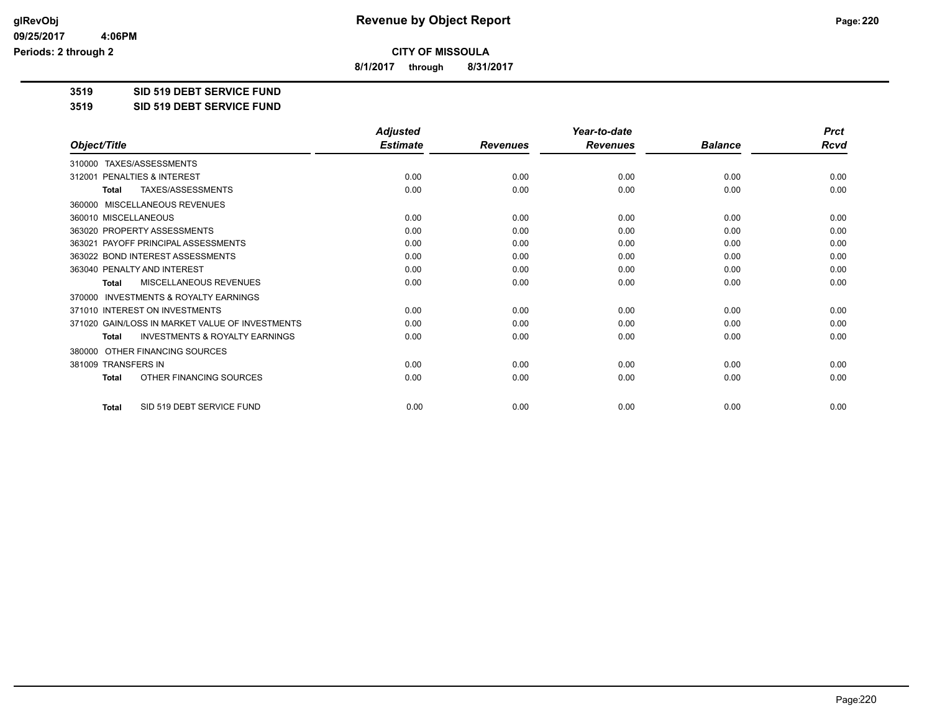**8/1/2017 through 8/31/2017**

**3519 SID 519 DEBT SERVICE FUND**

**3519 SID 519 DEBT SERVICE FUND**

|                                                           | <b>Adjusted</b> |                 | Year-to-date    |                | <b>Prct</b> |
|-----------------------------------------------------------|-----------------|-----------------|-----------------|----------------|-------------|
| Object/Title                                              | <b>Estimate</b> | <b>Revenues</b> | <b>Revenues</b> | <b>Balance</b> | <b>Rcvd</b> |
| TAXES/ASSESSMENTS<br>310000                               |                 |                 |                 |                |             |
| PENALTIES & INTEREST<br>312001                            | 0.00            | 0.00            | 0.00            | 0.00           | 0.00        |
| TAXES/ASSESSMENTS<br>Total                                | 0.00            | 0.00            | 0.00            | 0.00           | 0.00        |
| MISCELLANEOUS REVENUES<br>360000                          |                 |                 |                 |                |             |
| 360010 MISCELLANEOUS                                      | 0.00            | 0.00            | 0.00            | 0.00           | 0.00        |
| 363020 PROPERTY ASSESSMENTS                               | 0.00            | 0.00            | 0.00            | 0.00           | 0.00        |
| 363021 PAYOFF PRINCIPAL ASSESSMENTS                       | 0.00            | 0.00            | 0.00            | 0.00           | 0.00        |
| 363022 BOND INTEREST ASSESSMENTS                          | 0.00            | 0.00            | 0.00            | 0.00           | 0.00        |
| 363040 PENALTY AND INTEREST                               | 0.00            | 0.00            | 0.00            | 0.00           | 0.00        |
| MISCELLANEOUS REVENUES<br><b>Total</b>                    | 0.00            | 0.00            | 0.00            | 0.00           | 0.00        |
| <b>INVESTMENTS &amp; ROYALTY EARNINGS</b><br>370000       |                 |                 |                 |                |             |
| 371010 INTEREST ON INVESTMENTS                            | 0.00            | 0.00            | 0.00            | 0.00           | 0.00        |
| 371020 GAIN/LOSS IN MARKET VALUE OF INVESTMENTS           | 0.00            | 0.00            | 0.00            | 0.00           | 0.00        |
| <b>INVESTMENTS &amp; ROYALTY EARNINGS</b><br><b>Total</b> | 0.00            | 0.00            | 0.00            | 0.00           | 0.00        |
| OTHER FINANCING SOURCES<br>380000                         |                 |                 |                 |                |             |
| 381009 TRANSFERS IN                                       | 0.00            | 0.00            | 0.00            | 0.00           | 0.00        |
| OTHER FINANCING SOURCES<br>Total                          | 0.00            | 0.00            | 0.00            | 0.00           | 0.00        |
| SID 519 DEBT SERVICE FUND<br><b>Total</b>                 | 0.00            | 0.00            | 0.00            | 0.00           | 0.00        |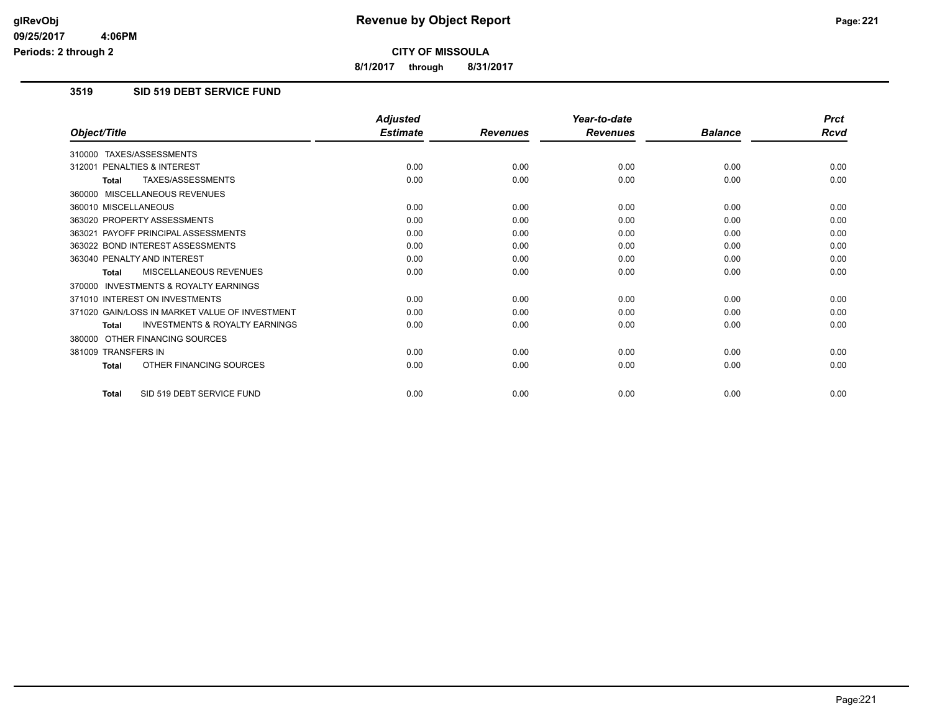**8/1/2017 through 8/31/2017**

## **3519 SID 519 DEBT SERVICE FUND**

|                                                           | <b>Adjusted</b> |                 | Year-to-date    |                | <b>Prct</b> |
|-----------------------------------------------------------|-----------------|-----------------|-----------------|----------------|-------------|
| Object/Title                                              | <b>Estimate</b> | <b>Revenues</b> | <b>Revenues</b> | <b>Balance</b> | <b>Rcvd</b> |
| 310000 TAXES/ASSESSMENTS                                  |                 |                 |                 |                |             |
| 312001 PENALTIES & INTEREST                               | 0.00            | 0.00            | 0.00            | 0.00           | 0.00        |
| TAXES/ASSESSMENTS<br><b>Total</b>                         | 0.00            | 0.00            | 0.00            | 0.00           | 0.00        |
| 360000 MISCELLANEOUS REVENUES                             |                 |                 |                 |                |             |
| 360010 MISCELLANEOUS                                      | 0.00            | 0.00            | 0.00            | 0.00           | 0.00        |
| 363020 PROPERTY ASSESSMENTS                               | 0.00            | 0.00            | 0.00            | 0.00           | 0.00        |
| 363021 PAYOFF PRINCIPAL ASSESSMENTS                       | 0.00            | 0.00            | 0.00            | 0.00           | 0.00        |
| 363022 BOND INTEREST ASSESSMENTS                          | 0.00            | 0.00            | 0.00            | 0.00           | 0.00        |
| 363040 PENALTY AND INTEREST                               | 0.00            | 0.00            | 0.00            | 0.00           | 0.00        |
| MISCELLANEOUS REVENUES<br><b>Total</b>                    | 0.00            | 0.00            | 0.00            | 0.00           | 0.00        |
| INVESTMENTS & ROYALTY EARNINGS<br>370000                  |                 |                 |                 |                |             |
| 371010 INTEREST ON INVESTMENTS                            | 0.00            | 0.00            | 0.00            | 0.00           | 0.00        |
| 371020 GAIN/LOSS IN MARKET VALUE OF INVESTMENT            | 0.00            | 0.00            | 0.00            | 0.00           | 0.00        |
| <b>INVESTMENTS &amp; ROYALTY EARNINGS</b><br><b>Total</b> | 0.00            | 0.00            | 0.00            | 0.00           | 0.00        |
| 380000 OTHER FINANCING SOURCES                            |                 |                 |                 |                |             |
| 381009 TRANSFERS IN                                       | 0.00            | 0.00            | 0.00            | 0.00           | 0.00        |
| OTHER FINANCING SOURCES<br><b>Total</b>                   | 0.00            | 0.00            | 0.00            | 0.00           | 0.00        |
| SID 519 DEBT SERVICE FUND<br><b>Total</b>                 | 0.00            | 0.00            | 0.00            | 0.00           | 0.00        |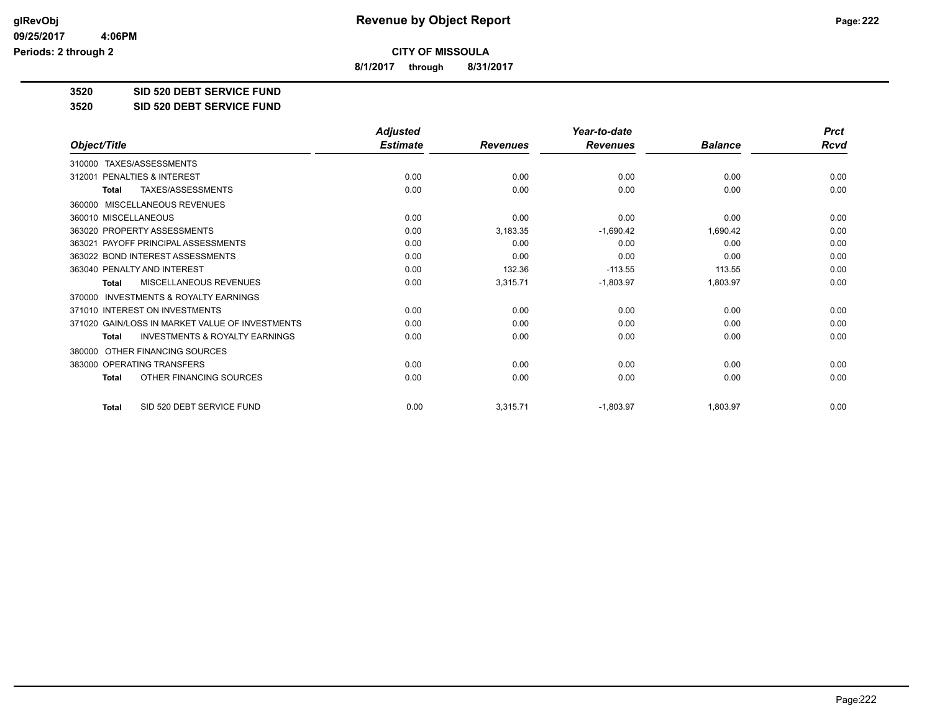**8/1/2017 through 8/31/2017**

**3520 SID 520 DEBT SERVICE FUND**

**3520 SID 520 DEBT SERVICE FUND**

|                                                     | <b>Adjusted</b> |                 | Year-to-date    |                | <b>Prct</b> |
|-----------------------------------------------------|-----------------|-----------------|-----------------|----------------|-------------|
| Object/Title                                        | <b>Estimate</b> | <b>Revenues</b> | <b>Revenues</b> | <b>Balance</b> | Rcvd        |
| TAXES/ASSESSMENTS<br>310000                         |                 |                 |                 |                |             |
| PENALTIES & INTEREST<br>312001                      | 0.00            | 0.00            | 0.00            | 0.00           | 0.00        |
| TAXES/ASSESSMENTS<br><b>Total</b>                   | 0.00            | 0.00            | 0.00            | 0.00           | 0.00        |
| MISCELLANEOUS REVENUES<br>360000                    |                 |                 |                 |                |             |
| 360010 MISCELLANEOUS                                | 0.00            | 0.00            | 0.00            | 0.00           | 0.00        |
| 363020 PROPERTY ASSESSMENTS                         | 0.00            | 3,183.35        | $-1,690.42$     | 1,690.42       | 0.00        |
| PAYOFF PRINCIPAL ASSESSMENTS<br>363021              | 0.00            | 0.00            | 0.00            | 0.00           | 0.00        |
| 363022 BOND INTEREST ASSESSMENTS                    | 0.00            | 0.00            | 0.00            | 0.00           | 0.00        |
| 363040 PENALTY AND INTEREST                         | 0.00            | 132.36          | $-113.55$       | 113.55         | 0.00        |
| MISCELLANEOUS REVENUES<br>Total                     | 0.00            | 3,315.71        | $-1,803.97$     | 1,803.97       | 0.00        |
| <b>INVESTMENTS &amp; ROYALTY EARNINGS</b><br>370000 |                 |                 |                 |                |             |
| 371010 INTEREST ON INVESTMENTS                      | 0.00            | 0.00            | 0.00            | 0.00           | 0.00        |
| 371020 GAIN/LOSS IN MARKET VALUE OF INVESTMENTS     | 0.00            | 0.00            | 0.00            | 0.00           | 0.00        |
| <b>INVESTMENTS &amp; ROYALTY EARNINGS</b><br>Total  | 0.00            | 0.00            | 0.00            | 0.00           | 0.00        |
| OTHER FINANCING SOURCES<br>380000                   |                 |                 |                 |                |             |
| 383000 OPERATING TRANSFERS                          | 0.00            | 0.00            | 0.00            | 0.00           | 0.00        |
| OTHER FINANCING SOURCES<br><b>Total</b>             | 0.00            | 0.00            | 0.00            | 0.00           | 0.00        |
| SID 520 DEBT SERVICE FUND<br><b>Total</b>           | 0.00            | 3,315.71        | $-1,803.97$     | 1,803.97       | 0.00        |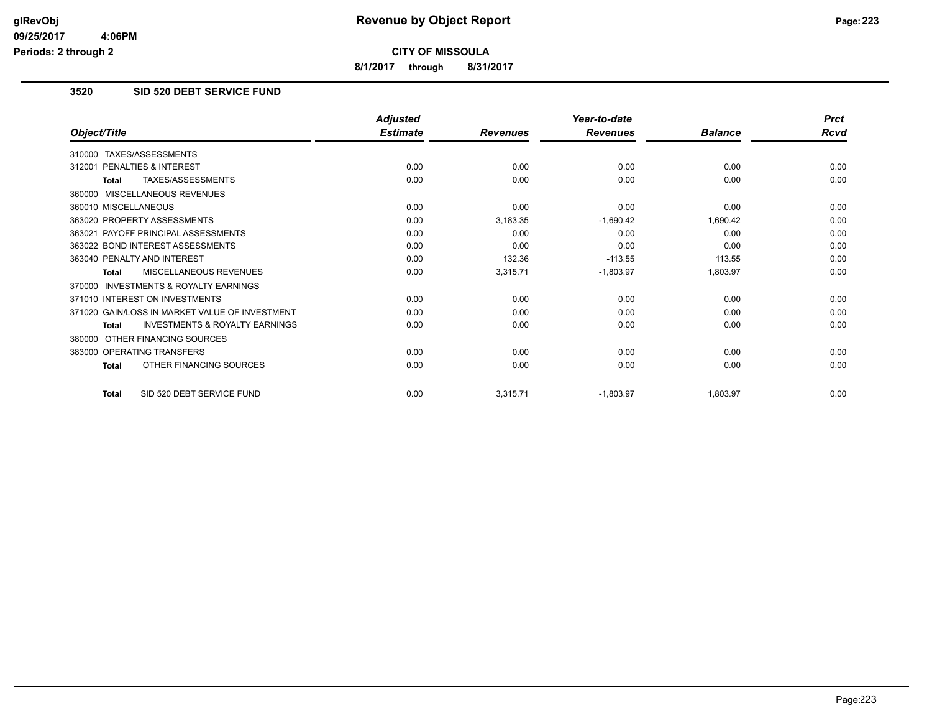**8/1/2017 through 8/31/2017**

## **3520 SID 520 DEBT SERVICE FUND**

|                                                           | <b>Adjusted</b> |                 | Year-to-date    |                | <b>Prct</b> |
|-----------------------------------------------------------|-----------------|-----------------|-----------------|----------------|-------------|
| Object/Title                                              | <b>Estimate</b> | <b>Revenues</b> | <b>Revenues</b> | <b>Balance</b> | Rcvd        |
| 310000 TAXES/ASSESSMENTS                                  |                 |                 |                 |                |             |
| PENALTIES & INTEREST<br>312001                            | 0.00            | 0.00            | 0.00            | 0.00           | 0.00        |
| TAXES/ASSESSMENTS<br><b>Total</b>                         | 0.00            | 0.00            | 0.00            | 0.00           | 0.00        |
| 360000 MISCELLANEOUS REVENUES                             |                 |                 |                 |                |             |
| 360010 MISCELLANEOUS                                      | 0.00            | 0.00            | 0.00            | 0.00           | 0.00        |
| 363020 PROPERTY ASSESSMENTS                               | 0.00            | 3,183.35        | $-1,690.42$     | 1,690.42       | 0.00        |
| 363021 PAYOFF PRINCIPAL ASSESSMENTS                       | 0.00            | 0.00            | 0.00            | 0.00           | 0.00        |
| 363022 BOND INTEREST ASSESSMENTS                          | 0.00            | 0.00            | 0.00            | 0.00           | 0.00        |
| 363040 PENALTY AND INTEREST                               | 0.00            | 132.36          | $-113.55$       | 113.55         | 0.00        |
| MISCELLANEOUS REVENUES<br><b>Total</b>                    | 0.00            | 3,315.71        | $-1,803.97$     | 1,803.97       | 0.00        |
| <b>INVESTMENTS &amp; ROYALTY EARNINGS</b><br>370000       |                 |                 |                 |                |             |
| 371010 INTEREST ON INVESTMENTS                            | 0.00            | 0.00            | 0.00            | 0.00           | 0.00        |
| 371020 GAIN/LOSS IN MARKET VALUE OF INVESTMENT            | 0.00            | 0.00            | 0.00            | 0.00           | 0.00        |
| <b>INVESTMENTS &amp; ROYALTY EARNINGS</b><br><b>Total</b> | 0.00            | 0.00            | 0.00            | 0.00           | 0.00        |
| OTHER FINANCING SOURCES<br>380000                         |                 |                 |                 |                |             |
| 383000 OPERATING TRANSFERS                                | 0.00            | 0.00            | 0.00            | 0.00           | 0.00        |
| OTHER FINANCING SOURCES<br><b>Total</b>                   | 0.00            | 0.00            | 0.00            | 0.00           | 0.00        |
| SID 520 DEBT SERVICE FUND<br><b>Total</b>                 | 0.00            | 3,315.71        | $-1,803.97$     | 1,803.97       | 0.00        |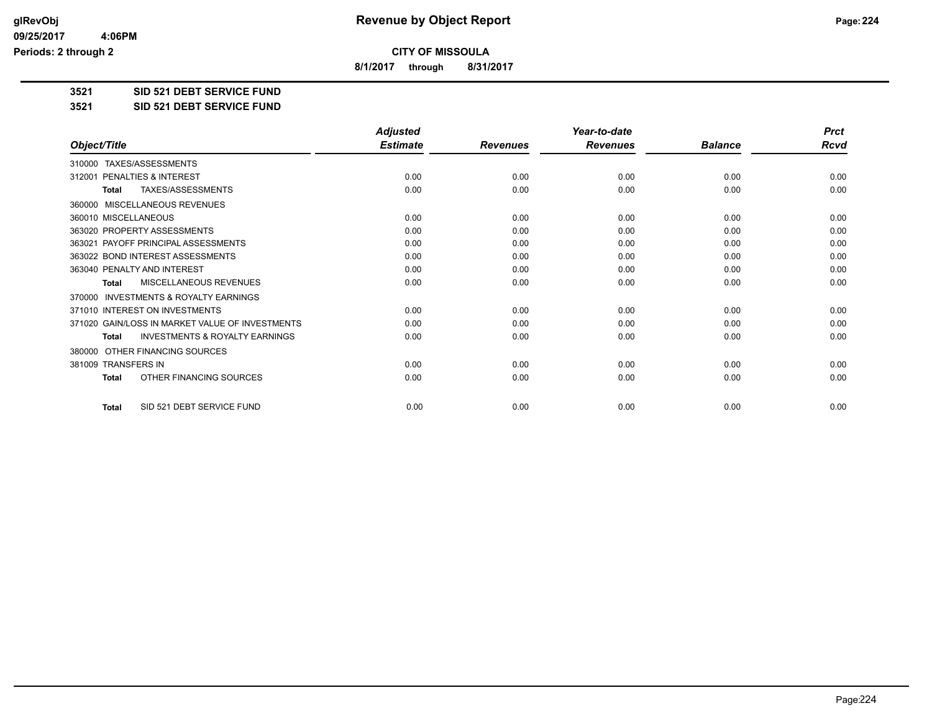**8/1/2017 through 8/31/2017**

**3521 SID 521 DEBT SERVICE FUND**

**3521 SID 521 DEBT SERVICE FUND**

|                                                           | <b>Adjusted</b> |                 | Year-to-date    |                | <b>Prct</b> |
|-----------------------------------------------------------|-----------------|-----------------|-----------------|----------------|-------------|
| Object/Title                                              | <b>Estimate</b> | <b>Revenues</b> | <b>Revenues</b> | <b>Balance</b> | <b>Rcvd</b> |
| TAXES/ASSESSMENTS<br>310000                               |                 |                 |                 |                |             |
| PENALTIES & INTEREST<br>312001                            | 0.00            | 0.00            | 0.00            | 0.00           | 0.00        |
| TAXES/ASSESSMENTS<br>Total                                | 0.00            | 0.00            | 0.00            | 0.00           | 0.00        |
| MISCELLANEOUS REVENUES<br>360000                          |                 |                 |                 |                |             |
| 360010 MISCELLANEOUS                                      | 0.00            | 0.00            | 0.00            | 0.00           | 0.00        |
| 363020 PROPERTY ASSESSMENTS                               | 0.00            | 0.00            | 0.00            | 0.00           | 0.00        |
| 363021 PAYOFF PRINCIPAL ASSESSMENTS                       | 0.00            | 0.00            | 0.00            | 0.00           | 0.00        |
| 363022 BOND INTEREST ASSESSMENTS                          | 0.00            | 0.00            | 0.00            | 0.00           | 0.00        |
| 363040 PENALTY AND INTEREST                               | 0.00            | 0.00            | 0.00            | 0.00           | 0.00        |
| MISCELLANEOUS REVENUES<br>Total                           | 0.00            | 0.00            | 0.00            | 0.00           | 0.00        |
| <b>INVESTMENTS &amp; ROYALTY EARNINGS</b><br>370000       |                 |                 |                 |                |             |
| 371010 INTEREST ON INVESTMENTS                            | 0.00            | 0.00            | 0.00            | 0.00           | 0.00        |
| 371020 GAIN/LOSS IN MARKET VALUE OF INVESTMENTS           | 0.00            | 0.00            | 0.00            | 0.00           | 0.00        |
| <b>INVESTMENTS &amp; ROYALTY EARNINGS</b><br><b>Total</b> | 0.00            | 0.00            | 0.00            | 0.00           | 0.00        |
| OTHER FINANCING SOURCES<br>380000                         |                 |                 |                 |                |             |
| 381009 TRANSFERS IN                                       | 0.00            | 0.00            | 0.00            | 0.00           | 0.00        |
| OTHER FINANCING SOURCES<br><b>Total</b>                   | 0.00            | 0.00            | 0.00            | 0.00           | 0.00        |
| SID 521 DEBT SERVICE FUND<br><b>Total</b>                 | 0.00            | 0.00            | 0.00            | 0.00           | 0.00        |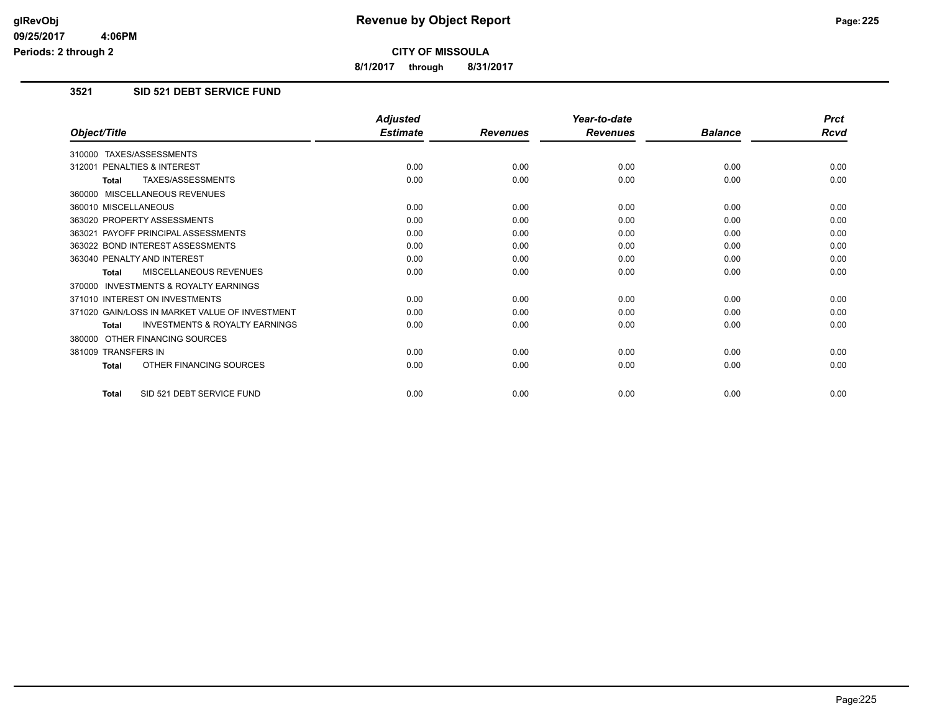**8/1/2017 through 8/31/2017**

## **3521 SID 521 DEBT SERVICE FUND**

|                                                           | <b>Adjusted</b> |                 | Year-to-date    |                | <b>Prct</b> |
|-----------------------------------------------------------|-----------------|-----------------|-----------------|----------------|-------------|
| Object/Title                                              | <b>Estimate</b> | <b>Revenues</b> | <b>Revenues</b> | <b>Balance</b> | <b>Rcvd</b> |
| 310000 TAXES/ASSESSMENTS                                  |                 |                 |                 |                |             |
| PENALTIES & INTEREST<br>312001                            | 0.00            | 0.00            | 0.00            | 0.00           | 0.00        |
| TAXES/ASSESSMENTS<br><b>Total</b>                         | 0.00            | 0.00            | 0.00            | 0.00           | 0.00        |
| 360000 MISCELLANEOUS REVENUES                             |                 |                 |                 |                |             |
| 360010 MISCELLANEOUS                                      | 0.00            | 0.00            | 0.00            | 0.00           | 0.00        |
| 363020 PROPERTY ASSESSMENTS                               | 0.00            | 0.00            | 0.00            | 0.00           | 0.00        |
| 363021 PAYOFF PRINCIPAL ASSESSMENTS                       | 0.00            | 0.00            | 0.00            | 0.00           | 0.00        |
| 363022 BOND INTEREST ASSESSMENTS                          | 0.00            | 0.00            | 0.00            | 0.00           | 0.00        |
| 363040 PENALTY AND INTEREST                               | 0.00            | 0.00            | 0.00            | 0.00           | 0.00        |
| MISCELLANEOUS REVENUES<br><b>Total</b>                    | 0.00            | 0.00            | 0.00            | 0.00           | 0.00        |
| <b>INVESTMENTS &amp; ROYALTY EARNINGS</b><br>370000       |                 |                 |                 |                |             |
| 371010 INTEREST ON INVESTMENTS                            | 0.00            | 0.00            | 0.00            | 0.00           | 0.00        |
| 371020 GAIN/LOSS IN MARKET VALUE OF INVESTMENT            | 0.00            | 0.00            | 0.00            | 0.00           | 0.00        |
| <b>INVESTMENTS &amp; ROYALTY EARNINGS</b><br><b>Total</b> | 0.00            | 0.00            | 0.00            | 0.00           | 0.00        |
| OTHER FINANCING SOURCES<br>380000                         |                 |                 |                 |                |             |
| 381009 TRANSFERS IN                                       | 0.00            | 0.00            | 0.00            | 0.00           | 0.00        |
| OTHER FINANCING SOURCES<br><b>Total</b>                   | 0.00            | 0.00            | 0.00            | 0.00           | 0.00        |
| SID 521 DEBT SERVICE FUND<br><b>Total</b>                 | 0.00            | 0.00            | 0.00            | 0.00           | 0.00        |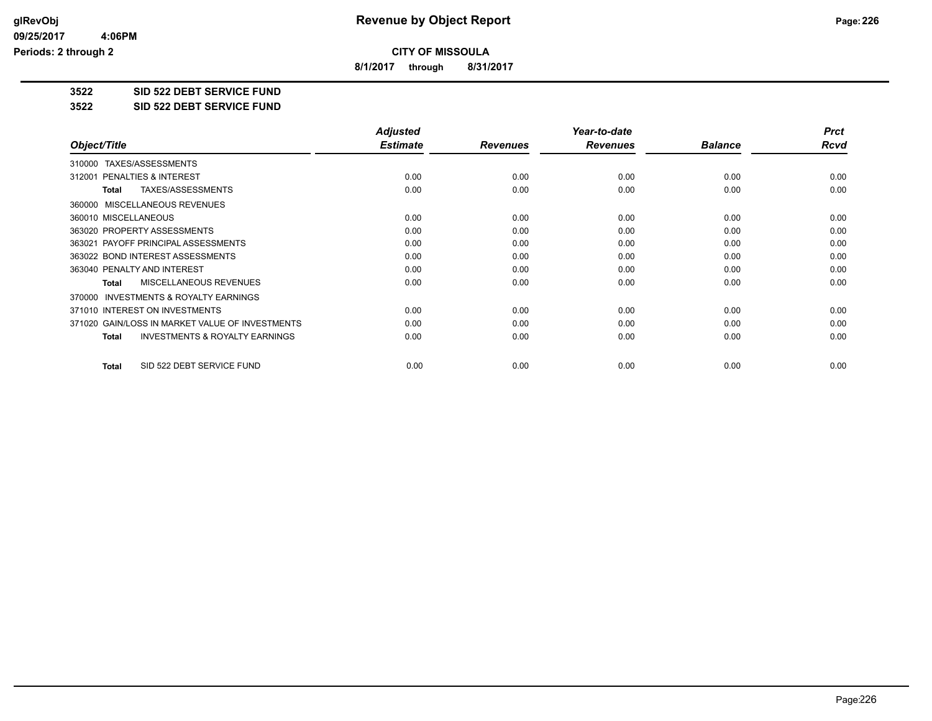**8/1/2017 through 8/31/2017**

**3522 SID 522 DEBT SERVICE FUND**

**3522 SID 522 DEBT SERVICE FUND**

|                                                    | <b>Adjusted</b> |                 | Year-to-date    |                | <b>Prct</b> |
|----------------------------------------------------|-----------------|-----------------|-----------------|----------------|-------------|
| Object/Title                                       | <b>Estimate</b> | <b>Revenues</b> | <b>Revenues</b> | <b>Balance</b> | Rcvd        |
| 310000 TAXES/ASSESSMENTS                           |                 |                 |                 |                |             |
| PENALTIES & INTEREST<br>312001                     | 0.00            | 0.00            | 0.00            | 0.00           | 0.00        |
| TAXES/ASSESSMENTS<br>Total                         | 0.00            | 0.00            | 0.00            | 0.00           | 0.00        |
| 360000 MISCELLANEOUS REVENUES                      |                 |                 |                 |                |             |
| 360010 MISCELLANEOUS                               | 0.00            | 0.00            | 0.00            | 0.00           | 0.00        |
| 363020 PROPERTY ASSESSMENTS                        | 0.00            | 0.00            | 0.00            | 0.00           | 0.00        |
| 363021 PAYOFF PRINCIPAL ASSESSMENTS                | 0.00            | 0.00            | 0.00            | 0.00           | 0.00        |
| 363022 BOND INTEREST ASSESSMENTS                   | 0.00            | 0.00            | 0.00            | 0.00           | 0.00        |
| 363040 PENALTY AND INTEREST                        | 0.00            | 0.00            | 0.00            | 0.00           | 0.00        |
| <b>MISCELLANEOUS REVENUES</b><br>Total             | 0.00            | 0.00            | 0.00            | 0.00           | 0.00        |
| INVESTMENTS & ROYALTY EARNINGS<br>370000           |                 |                 |                 |                |             |
| 371010 INTEREST ON INVESTMENTS                     | 0.00            | 0.00            | 0.00            | 0.00           | 0.00        |
| 371020 GAIN/LOSS IN MARKET VALUE OF INVESTMENTS    | 0.00            | 0.00            | 0.00            | 0.00           | 0.00        |
| <b>INVESTMENTS &amp; ROYALTY EARNINGS</b><br>Total | 0.00            | 0.00            | 0.00            | 0.00           | 0.00        |
| SID 522 DEBT SERVICE FUND<br><b>Total</b>          | 0.00            | 0.00            | 0.00            | 0.00           | 0.00        |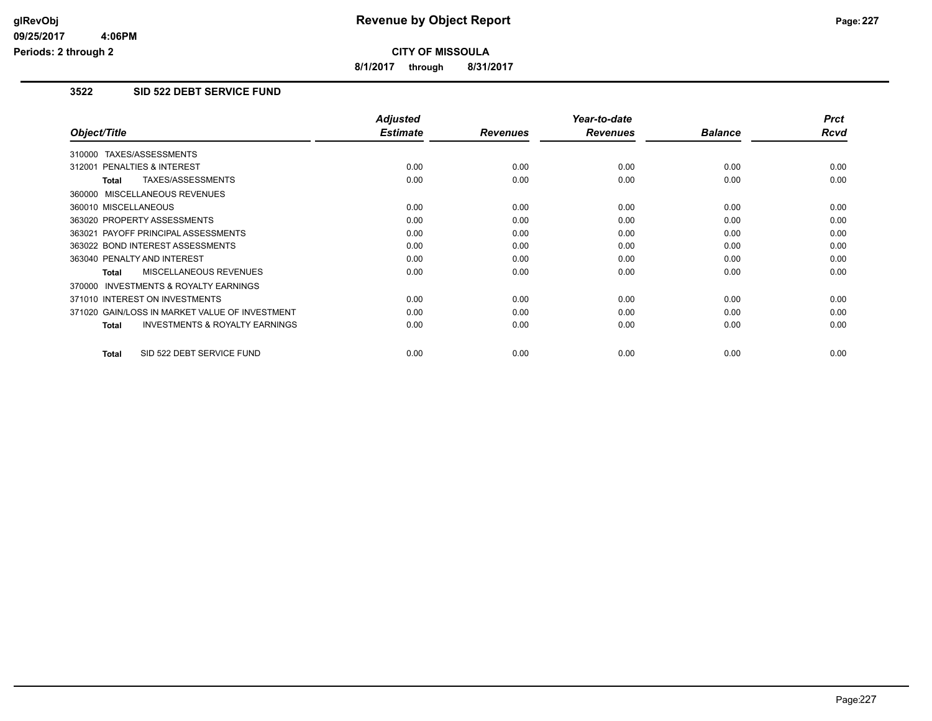**8/1/2017 through 8/31/2017**

## **3522 SID 522 DEBT SERVICE FUND**

|                                                           | <b>Adjusted</b> |                 | Year-to-date    |                | <b>Prct</b> |
|-----------------------------------------------------------|-----------------|-----------------|-----------------|----------------|-------------|
| Object/Title                                              | <b>Estimate</b> | <b>Revenues</b> | <b>Revenues</b> | <b>Balance</b> | Rcvd        |
| 310000 TAXES/ASSESSMENTS                                  |                 |                 |                 |                |             |
| 312001 PENALTIES & INTEREST                               | 0.00            | 0.00            | 0.00            | 0.00           | 0.00        |
| TAXES/ASSESSMENTS<br>Total                                | 0.00            | 0.00            | 0.00            | 0.00           | 0.00        |
| 360000 MISCELLANEOUS REVENUES                             |                 |                 |                 |                |             |
| 360010 MISCELLANEOUS                                      | 0.00            | 0.00            | 0.00            | 0.00           | 0.00        |
| 363020 PROPERTY ASSESSMENTS                               | 0.00            | 0.00            | 0.00            | 0.00           | 0.00        |
| 363021 PAYOFF PRINCIPAL ASSESSMENTS                       | 0.00            | 0.00            | 0.00            | 0.00           | 0.00        |
| 363022 BOND INTEREST ASSESSMENTS                          | 0.00            | 0.00            | 0.00            | 0.00           | 0.00        |
| 363040 PENALTY AND INTEREST                               | 0.00            | 0.00            | 0.00            | 0.00           | 0.00        |
| <b>MISCELLANEOUS REVENUES</b><br><b>Total</b>             | 0.00            | 0.00            | 0.00            | 0.00           | 0.00        |
| INVESTMENTS & ROYALTY EARNINGS<br>370000                  |                 |                 |                 |                |             |
| 371010 INTEREST ON INVESTMENTS                            | 0.00            | 0.00            | 0.00            | 0.00           | 0.00        |
| 371020 GAIN/LOSS IN MARKET VALUE OF INVESTMENT            | 0.00            | 0.00            | 0.00            | 0.00           | 0.00        |
| <b>INVESTMENTS &amp; ROYALTY EARNINGS</b><br><b>Total</b> | 0.00            | 0.00            | 0.00            | 0.00           | 0.00        |
| SID 522 DEBT SERVICE FUND<br><b>Total</b>                 | 0.00            | 0.00            | 0.00            | 0.00           | 0.00        |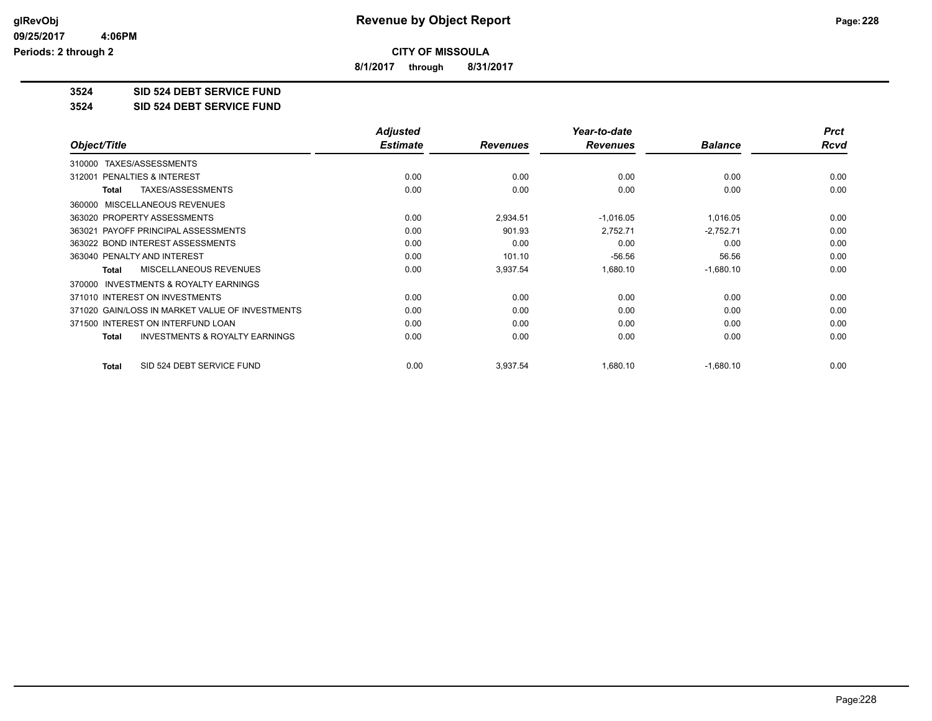**8/1/2017 through 8/31/2017**

**3524 SID 524 DEBT SERVICE FUND**

**3524 SID 524 DEBT SERVICE FUND**

|                                                    | <b>Adjusted</b> |                 | Year-to-date    |                | <b>Prct</b> |
|----------------------------------------------------|-----------------|-----------------|-----------------|----------------|-------------|
| Object/Title                                       | <b>Estimate</b> | <b>Revenues</b> | <b>Revenues</b> | <b>Balance</b> | <b>Rcvd</b> |
| 310000 TAXES/ASSESSMENTS                           |                 |                 |                 |                |             |
| PENALTIES & INTEREST<br>312001                     | 0.00            | 0.00            | 0.00            | 0.00           | 0.00        |
| <b>TAXES/ASSESSMENTS</b><br>Total                  | 0.00            | 0.00            | 0.00            | 0.00           | 0.00        |
| MISCELLANEOUS REVENUES<br>360000                   |                 |                 |                 |                |             |
| 363020 PROPERTY ASSESSMENTS                        | 0.00            | 2,934.51        | $-1,016.05$     | 1,016.05       | 0.00        |
| 363021 PAYOFF PRINCIPAL ASSESSMENTS                | 0.00            | 901.93          | 2,752.71        | $-2,752.71$    | 0.00        |
| 363022 BOND INTEREST ASSESSMENTS                   | 0.00            | 0.00            | 0.00            | 0.00           | 0.00        |
| 363040 PENALTY AND INTEREST                        | 0.00            | 101.10          | $-56.56$        | 56.56          | 0.00        |
| MISCELLANEOUS REVENUES<br>Total                    | 0.00            | 3,937.54        | 1,680.10        | $-1,680.10$    | 0.00        |
| INVESTMENTS & ROYALTY EARNINGS<br>370000           |                 |                 |                 |                |             |
| 371010 INTEREST ON INVESTMENTS                     | 0.00            | 0.00            | 0.00            | 0.00           | 0.00        |
| 371020 GAIN/LOSS IN MARKET VALUE OF INVESTMENTS    | 0.00            | 0.00            | 0.00            | 0.00           | 0.00        |
| 371500 INTEREST ON INTERFUND LOAN                  | 0.00            | 0.00            | 0.00            | 0.00           | 0.00        |
| <b>INVESTMENTS &amp; ROYALTY EARNINGS</b><br>Total | 0.00            | 0.00            | 0.00            | 0.00           | 0.00        |
| SID 524 DEBT SERVICE FUND<br>Total                 | 0.00            | 3,937.54        | 1,680.10        | $-1,680.10$    | 0.00        |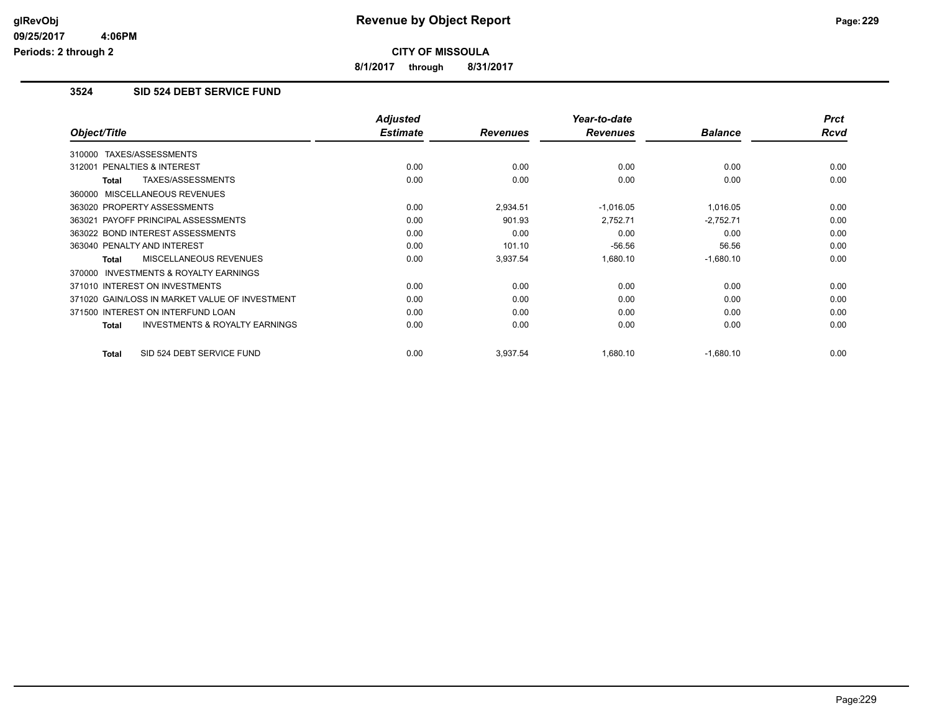**8/1/2017 through 8/31/2017**

## **3524 SID 524 DEBT SERVICE FUND**

|                                                    | <b>Adjusted</b> |                 | Year-to-date    |                | <b>Prct</b> |
|----------------------------------------------------|-----------------|-----------------|-----------------|----------------|-------------|
| Object/Title                                       | <b>Estimate</b> | <b>Revenues</b> | <b>Revenues</b> | <b>Balance</b> | Rcvd        |
| 310000 TAXES/ASSESSMENTS                           |                 |                 |                 |                |             |
| 312001 PENALTIES & INTEREST                        | 0.00            | 0.00            | 0.00            | 0.00           | 0.00        |
| TAXES/ASSESSMENTS<br>Total                         | 0.00            | 0.00            | 0.00            | 0.00           | 0.00        |
| 360000 MISCELLANEOUS REVENUES                      |                 |                 |                 |                |             |
| 363020 PROPERTY ASSESSMENTS                        | 0.00            | 2,934.51        | $-1,016.05$     | 1,016.05       | 0.00        |
| 363021 PAYOFF PRINCIPAL ASSESSMENTS                | 0.00            | 901.93          | 2,752.71        | $-2,752.71$    | 0.00        |
| 363022 BOND INTEREST ASSESSMENTS                   | 0.00            | 0.00            | 0.00            | 0.00           | 0.00        |
| 363040 PENALTY AND INTEREST                        | 0.00            | 101.10          | $-56.56$        | 56.56          | 0.00        |
| <b>MISCELLANEOUS REVENUES</b><br>Total             | 0.00            | 3,937.54        | 1,680.10        | $-1,680.10$    | 0.00        |
| INVESTMENTS & ROYALTY EARNINGS<br>370000           |                 |                 |                 |                |             |
| 371010 INTEREST ON INVESTMENTS                     | 0.00            | 0.00            | 0.00            | 0.00           | 0.00        |
| 371020 GAIN/LOSS IN MARKET VALUE OF INVESTMENT     | 0.00            | 0.00            | 0.00            | 0.00           | 0.00        |
| 371500 INTEREST ON INTERFUND LOAN                  | 0.00            | 0.00            | 0.00            | 0.00           | 0.00        |
| <b>INVESTMENTS &amp; ROYALTY EARNINGS</b><br>Total | 0.00            | 0.00            | 0.00            | 0.00           | 0.00        |
| SID 524 DEBT SERVICE FUND<br>Total                 | 0.00            | 3,937.54        | 1,680.10        | $-1,680.10$    | 0.00        |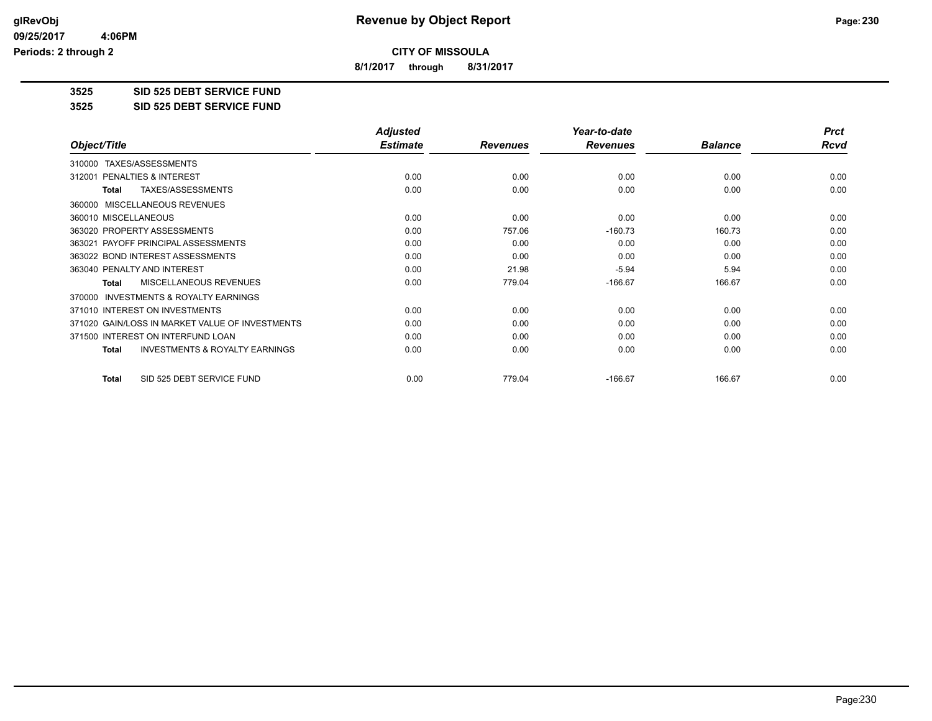**8/1/2017 through 8/31/2017**

**3525 SID 525 DEBT SERVICE FUND**

**3525 SID 525 DEBT SERVICE FUND**

|                                                           | <b>Adjusted</b> |                 | Year-to-date    |                | <b>Prct</b> |
|-----------------------------------------------------------|-----------------|-----------------|-----------------|----------------|-------------|
| Object/Title                                              | <b>Estimate</b> | <b>Revenues</b> | <b>Revenues</b> | <b>Balance</b> | <b>Rcvd</b> |
| 310000 TAXES/ASSESSMENTS                                  |                 |                 |                 |                |             |
| <b>PENALTIES &amp; INTEREST</b><br>312001                 | 0.00            | 0.00            | 0.00            | 0.00           | 0.00        |
| TAXES/ASSESSMENTS<br><b>Total</b>                         | 0.00            | 0.00            | 0.00            | 0.00           | 0.00        |
| MISCELLANEOUS REVENUES<br>360000                          |                 |                 |                 |                |             |
| 360010 MISCELLANEOUS                                      | 0.00            | 0.00            | 0.00            | 0.00           | 0.00        |
| 363020 PROPERTY ASSESSMENTS                               | 0.00            | 757.06          | $-160.73$       | 160.73         | 0.00        |
| 363021 PAYOFF PRINCIPAL ASSESSMENTS                       | 0.00            | 0.00            | 0.00            | 0.00           | 0.00        |
| 363022 BOND INTEREST ASSESSMENTS                          | 0.00            | 0.00            | 0.00            | 0.00           | 0.00        |
| 363040 PENALTY AND INTEREST                               | 0.00            | 21.98           | $-5.94$         | 5.94           | 0.00        |
| <b>MISCELLANEOUS REVENUES</b><br><b>Total</b>             | 0.00            | 779.04          | $-166.67$       | 166.67         | 0.00        |
| <b>INVESTMENTS &amp; ROYALTY EARNINGS</b><br>370000       |                 |                 |                 |                |             |
| 371010 INTEREST ON INVESTMENTS                            | 0.00            | 0.00            | 0.00            | 0.00           | 0.00        |
| 371020 GAIN/LOSS IN MARKET VALUE OF INVESTMENTS           | 0.00            | 0.00            | 0.00            | 0.00           | 0.00        |
| 371500 INTEREST ON INTERFUND LOAN                         | 0.00            | 0.00            | 0.00            | 0.00           | 0.00        |
| <b>INVESTMENTS &amp; ROYALTY EARNINGS</b><br><b>Total</b> | 0.00            | 0.00            | 0.00            | 0.00           | 0.00        |
| SID 525 DEBT SERVICE FUND<br><b>Total</b>                 | 0.00            | 779.04          | $-166.67$       | 166.67         | 0.00        |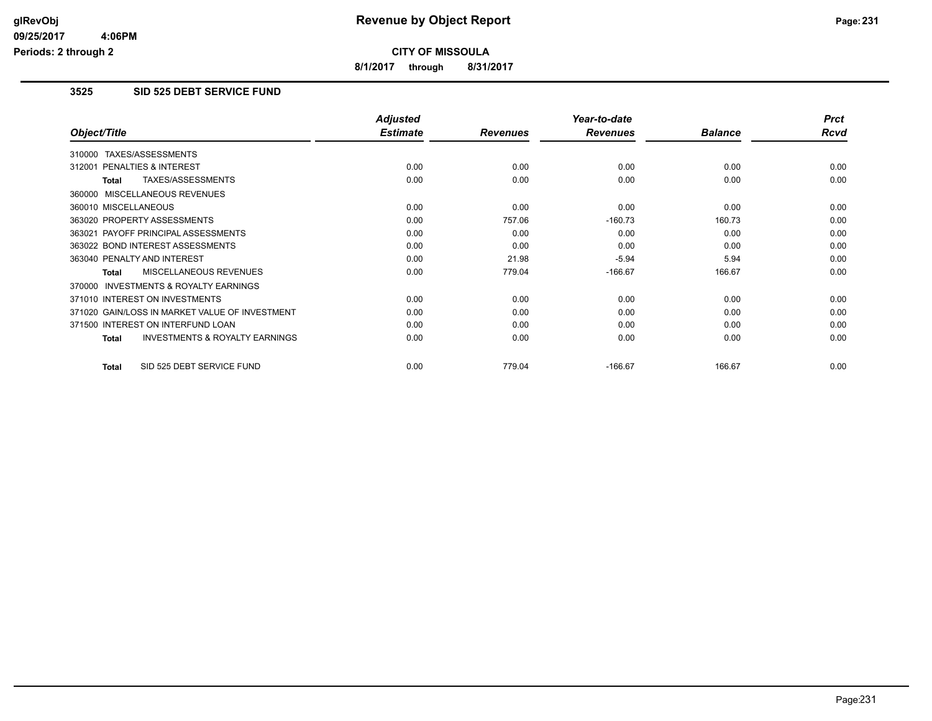**8/1/2017 through 8/31/2017**

## **3525 SID 525 DEBT SERVICE FUND**

|                                                           | <b>Adjusted</b> |                 | Year-to-date    |                | <b>Prct</b> |
|-----------------------------------------------------------|-----------------|-----------------|-----------------|----------------|-------------|
| Object/Title                                              | <b>Estimate</b> | <b>Revenues</b> | <b>Revenues</b> | <b>Balance</b> | Rcvd        |
| TAXES/ASSESSMENTS<br>310000                               |                 |                 |                 |                |             |
| PENALTIES & INTEREST<br>312001                            | 0.00            | 0.00            | 0.00            | 0.00           | 0.00        |
| TAXES/ASSESSMENTS<br><b>Total</b>                         | 0.00            | 0.00            | 0.00            | 0.00           | 0.00        |
| 360000 MISCELLANEOUS REVENUES                             |                 |                 |                 |                |             |
| 360010 MISCELLANEOUS                                      | 0.00            | 0.00            | 0.00            | 0.00           | 0.00        |
| 363020 PROPERTY ASSESSMENTS                               | 0.00            | 757.06          | $-160.73$       | 160.73         | 0.00        |
| 363021 PAYOFF PRINCIPAL ASSESSMENTS                       | 0.00            | 0.00            | 0.00            | 0.00           | 0.00        |
| 363022 BOND INTEREST ASSESSMENTS                          | 0.00            | 0.00            | 0.00            | 0.00           | 0.00        |
| 363040 PENALTY AND INTEREST                               | 0.00            | 21.98           | $-5.94$         | 5.94           | 0.00        |
| <b>MISCELLANEOUS REVENUES</b><br><b>Total</b>             | 0.00            | 779.04          | $-166.67$       | 166.67         | 0.00        |
| <b>INVESTMENTS &amp; ROYALTY EARNINGS</b><br>370000       |                 |                 |                 |                |             |
| 371010 INTEREST ON INVESTMENTS                            | 0.00            | 0.00            | 0.00            | 0.00           | 0.00        |
| 371020 GAIN/LOSS IN MARKET VALUE OF INVESTMENT            | 0.00            | 0.00            | 0.00            | 0.00           | 0.00        |
| 371500 INTEREST ON INTERFUND LOAN                         | 0.00            | 0.00            | 0.00            | 0.00           | 0.00        |
| <b>INVESTMENTS &amp; ROYALTY EARNINGS</b><br><b>Total</b> | 0.00            | 0.00            | 0.00            | 0.00           | 0.00        |
| SID 525 DEBT SERVICE FUND<br><b>Total</b>                 | 0.00            | 779.04          | $-166.67$       | 166.67         | 0.00        |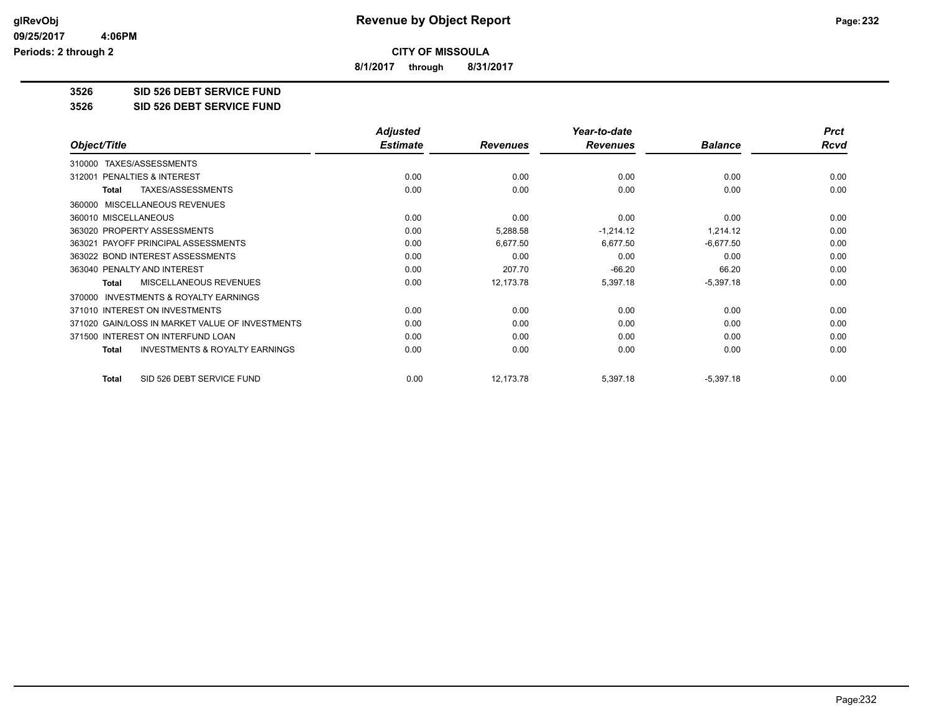**8/1/2017 through 8/31/2017**

**3526 SID 526 DEBT SERVICE FUND**

**3526 SID 526 DEBT SERVICE FUND**

|                                                           | <b>Adjusted</b> |                 | Year-to-date    |                | <b>Prct</b> |
|-----------------------------------------------------------|-----------------|-----------------|-----------------|----------------|-------------|
| Object/Title                                              | <b>Estimate</b> | <b>Revenues</b> | <b>Revenues</b> | <b>Balance</b> | <b>Rcvd</b> |
| TAXES/ASSESSMENTS<br>310000                               |                 |                 |                 |                |             |
| <b>PENALTIES &amp; INTEREST</b><br>312001                 | 0.00            | 0.00            | 0.00            | 0.00           | 0.00        |
| TAXES/ASSESSMENTS<br>Total                                | 0.00            | 0.00            | 0.00            | 0.00           | 0.00        |
| MISCELLANEOUS REVENUES<br>360000                          |                 |                 |                 |                |             |
| 360010 MISCELLANEOUS                                      | 0.00            | 0.00            | 0.00            | 0.00           | 0.00        |
| 363020 PROPERTY ASSESSMENTS                               | 0.00            | 5,288.58        | $-1,214.12$     | 1,214.12       | 0.00        |
| 363021 PAYOFF PRINCIPAL ASSESSMENTS                       | 0.00            | 6,677.50        | 6,677.50        | $-6,677.50$    | 0.00        |
| 363022 BOND INTEREST ASSESSMENTS                          | 0.00            | 0.00            | 0.00            | 0.00           | 0.00        |
| 363040 PENALTY AND INTEREST                               | 0.00            | 207.70          | $-66.20$        | 66.20          | 0.00        |
| <b>MISCELLANEOUS REVENUES</b><br><b>Total</b>             | 0.00            | 12,173.78       | 5,397.18        | $-5,397.18$    | 0.00        |
| <b>INVESTMENTS &amp; ROYALTY EARNINGS</b><br>370000       |                 |                 |                 |                |             |
| 371010 INTEREST ON INVESTMENTS                            | 0.00            | 0.00            | 0.00            | 0.00           | 0.00        |
| 371020 GAIN/LOSS IN MARKET VALUE OF INVESTMENTS           | 0.00            | 0.00            | 0.00            | 0.00           | 0.00        |
| 371500 INTEREST ON INTERFUND LOAN                         | 0.00            | 0.00            | 0.00            | 0.00           | 0.00        |
| <b>INVESTMENTS &amp; ROYALTY EARNINGS</b><br><b>Total</b> | 0.00            | 0.00            | 0.00            | 0.00           | 0.00        |
| SID 526 DEBT SERVICE FUND<br><b>Total</b>                 | 0.00            | 12,173.78       | 5,397.18        | $-5,397.18$    | 0.00        |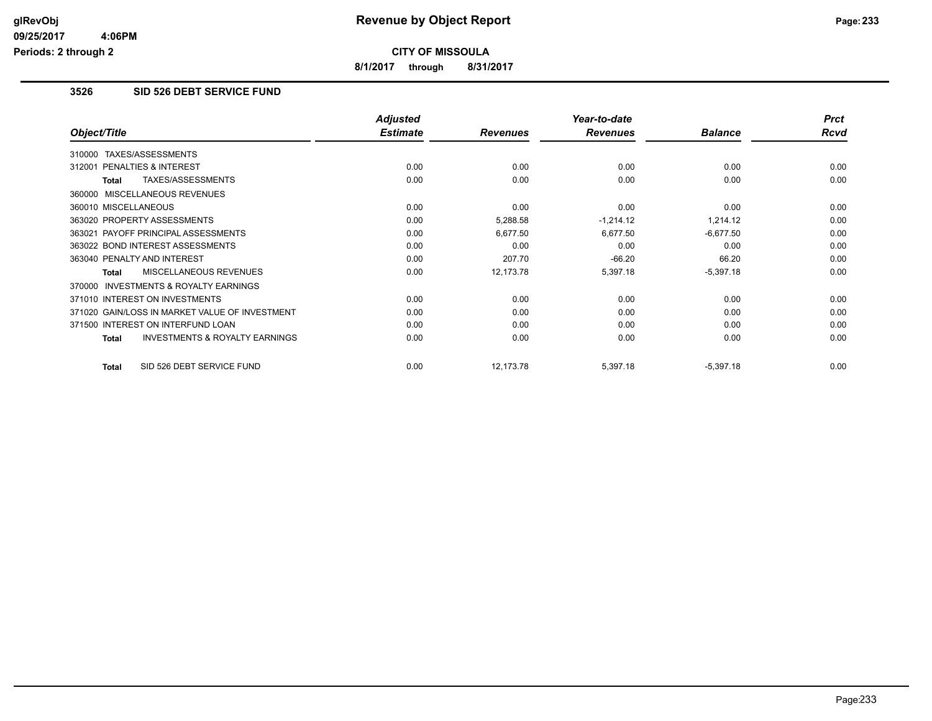**8/1/2017 through 8/31/2017**

## **3526 SID 526 DEBT SERVICE FUND**

|                                                           | <b>Adjusted</b> |                 | Year-to-date    |                | <b>Prct</b> |
|-----------------------------------------------------------|-----------------|-----------------|-----------------|----------------|-------------|
| Object/Title                                              | <b>Estimate</b> | <b>Revenues</b> | <b>Revenues</b> | <b>Balance</b> | Rcvd        |
| TAXES/ASSESSMENTS<br>310000                               |                 |                 |                 |                |             |
| <b>PENALTIES &amp; INTEREST</b><br>312001                 | 0.00            | 0.00            | 0.00            | 0.00           | 0.00        |
| TAXES/ASSESSMENTS<br>Total                                | 0.00            | 0.00            | 0.00            | 0.00           | 0.00        |
| 360000 MISCELLANEOUS REVENUES                             |                 |                 |                 |                |             |
| 360010 MISCELLANEOUS                                      | 0.00            | 0.00            | 0.00            | 0.00           | 0.00        |
| 363020 PROPERTY ASSESSMENTS                               | 0.00            | 5,288.58        | $-1,214.12$     | 1,214.12       | 0.00        |
| 363021 PAYOFF PRINCIPAL ASSESSMENTS                       | 0.00            | 6,677.50        | 6,677.50        | $-6,677.50$    | 0.00        |
| 363022 BOND INTEREST ASSESSMENTS                          | 0.00            | 0.00            | 0.00            | 0.00           | 0.00        |
| 363040 PENALTY AND INTEREST                               | 0.00            | 207.70          | $-66.20$        | 66.20          | 0.00        |
| <b>MISCELLANEOUS REVENUES</b><br><b>Total</b>             | 0.00            | 12,173.78       | 5,397.18        | $-5,397.18$    | 0.00        |
| <b>INVESTMENTS &amp; ROYALTY EARNINGS</b><br>370000       |                 |                 |                 |                |             |
| 371010 INTEREST ON INVESTMENTS                            | 0.00            | 0.00            | 0.00            | 0.00           | 0.00        |
| 371020 GAIN/LOSS IN MARKET VALUE OF INVESTMENT            | 0.00            | 0.00            | 0.00            | 0.00           | 0.00        |
| 371500 INTEREST ON INTERFUND LOAN                         | 0.00            | 0.00            | 0.00            | 0.00           | 0.00        |
| <b>INVESTMENTS &amp; ROYALTY EARNINGS</b><br><b>Total</b> | 0.00            | 0.00            | 0.00            | 0.00           | 0.00        |
| SID 526 DEBT SERVICE FUND<br><b>Total</b>                 | 0.00            | 12,173.78       | 5,397.18        | $-5,397.18$    | 0.00        |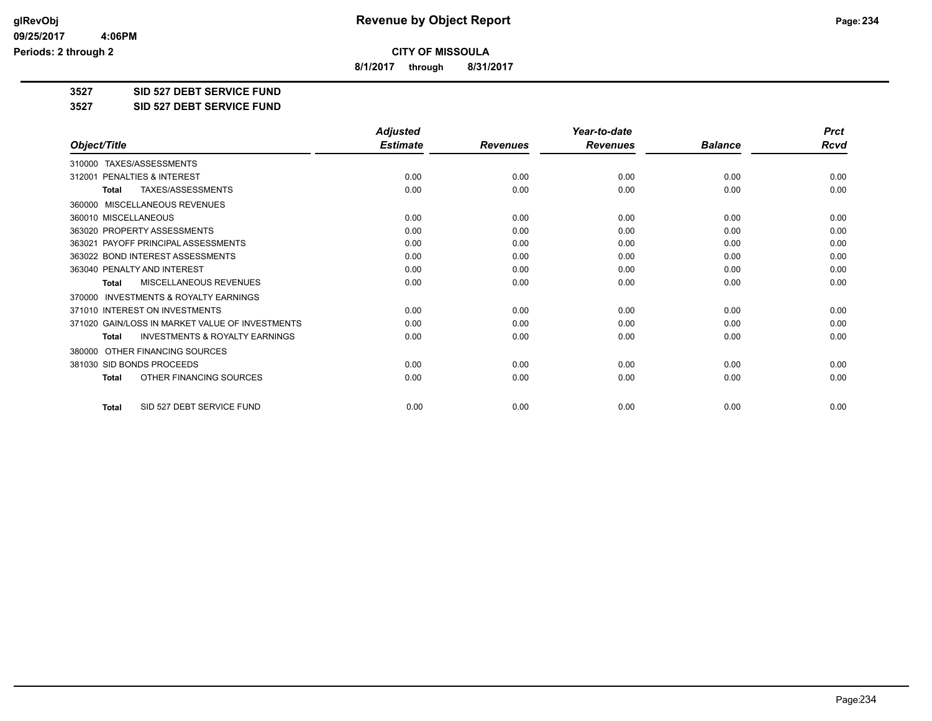**8/1/2017 through 8/31/2017**

**3527 SID 527 DEBT SERVICE FUND**

**3527 SID 527 DEBT SERVICE FUND**

|                                                           | <b>Adjusted</b> |                 | Year-to-date    |                | <b>Prct</b> |
|-----------------------------------------------------------|-----------------|-----------------|-----------------|----------------|-------------|
| Object/Title                                              | <b>Estimate</b> | <b>Revenues</b> | <b>Revenues</b> | <b>Balance</b> | <b>Rcvd</b> |
| TAXES/ASSESSMENTS<br>310000                               |                 |                 |                 |                |             |
| PENALTIES & INTEREST<br>312001                            | 0.00            | 0.00            | 0.00            | 0.00           | 0.00        |
| TAXES/ASSESSMENTS<br>Total                                | 0.00            | 0.00            | 0.00            | 0.00           | 0.00        |
| MISCELLANEOUS REVENUES<br>360000                          |                 |                 |                 |                |             |
| 360010 MISCELLANEOUS                                      | 0.00            | 0.00            | 0.00            | 0.00           | 0.00        |
| 363020 PROPERTY ASSESSMENTS                               | 0.00            | 0.00            | 0.00            | 0.00           | 0.00        |
| 363021 PAYOFF PRINCIPAL ASSESSMENTS                       | 0.00            | 0.00            | 0.00            | 0.00           | 0.00        |
| 363022 BOND INTEREST ASSESSMENTS                          | 0.00            | 0.00            | 0.00            | 0.00           | 0.00        |
| 363040 PENALTY AND INTEREST                               | 0.00            | 0.00            | 0.00            | 0.00           | 0.00        |
| MISCELLANEOUS REVENUES<br>Total                           | 0.00            | 0.00            | 0.00            | 0.00           | 0.00        |
| <b>INVESTMENTS &amp; ROYALTY EARNINGS</b><br>370000       |                 |                 |                 |                |             |
| 371010 INTEREST ON INVESTMENTS                            | 0.00            | 0.00            | 0.00            | 0.00           | 0.00        |
| 371020 GAIN/LOSS IN MARKET VALUE OF INVESTMENTS           | 0.00            | 0.00            | 0.00            | 0.00           | 0.00        |
| <b>INVESTMENTS &amp; ROYALTY EARNINGS</b><br><b>Total</b> | 0.00            | 0.00            | 0.00            | 0.00           | 0.00        |
| OTHER FINANCING SOURCES<br>380000                         |                 |                 |                 |                |             |
| 381030 SID BONDS PROCEEDS                                 | 0.00            | 0.00            | 0.00            | 0.00           | 0.00        |
| OTHER FINANCING SOURCES<br><b>Total</b>                   | 0.00            | 0.00            | 0.00            | 0.00           | 0.00        |
| SID 527 DEBT SERVICE FUND<br><b>Total</b>                 | 0.00            | 0.00            | 0.00            | 0.00           | 0.00        |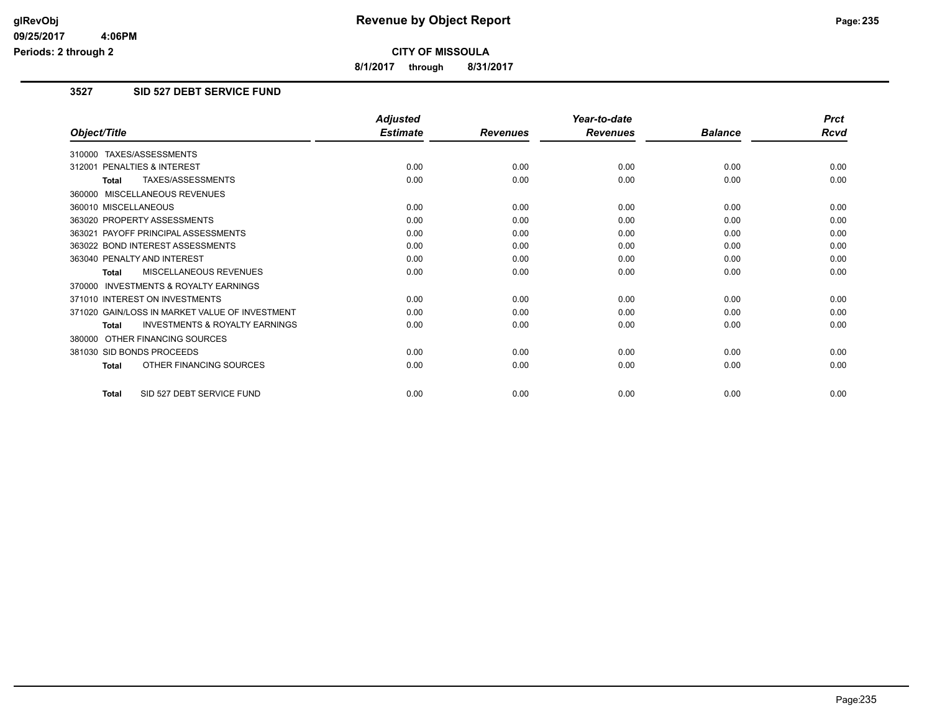**8/1/2017 through 8/31/2017**

## **3527 SID 527 DEBT SERVICE FUND**

|                                                           | <b>Adjusted</b> |                 | Year-to-date    |                | <b>Prct</b> |
|-----------------------------------------------------------|-----------------|-----------------|-----------------|----------------|-------------|
| Object/Title                                              | <b>Estimate</b> | <b>Revenues</b> | <b>Revenues</b> | <b>Balance</b> | <b>Rcvd</b> |
| 310000 TAXES/ASSESSMENTS                                  |                 |                 |                 |                |             |
| 312001 PENALTIES & INTEREST                               | 0.00            | 0.00            | 0.00            | 0.00           | 0.00        |
| TAXES/ASSESSMENTS<br><b>Total</b>                         | 0.00            | 0.00            | 0.00            | 0.00           | 0.00        |
| 360000 MISCELLANEOUS REVENUES                             |                 |                 |                 |                |             |
| 360010 MISCELLANEOUS                                      | 0.00            | 0.00            | 0.00            | 0.00           | 0.00        |
| 363020 PROPERTY ASSESSMENTS                               | 0.00            | 0.00            | 0.00            | 0.00           | 0.00        |
| 363021 PAYOFF PRINCIPAL ASSESSMENTS                       | 0.00            | 0.00            | 0.00            | 0.00           | 0.00        |
| 363022 BOND INTEREST ASSESSMENTS                          | 0.00            | 0.00            | 0.00            | 0.00           | 0.00        |
| 363040 PENALTY AND INTEREST                               | 0.00            | 0.00            | 0.00            | 0.00           | 0.00        |
| MISCELLANEOUS REVENUES<br><b>Total</b>                    | 0.00            | 0.00            | 0.00            | 0.00           | 0.00        |
| <b>INVESTMENTS &amp; ROYALTY EARNINGS</b><br>370000       |                 |                 |                 |                |             |
| 371010 INTEREST ON INVESTMENTS                            | 0.00            | 0.00            | 0.00            | 0.00           | 0.00        |
| 371020 GAIN/LOSS IN MARKET VALUE OF INVESTMENT            | 0.00            | 0.00            | 0.00            | 0.00           | 0.00        |
| <b>INVESTMENTS &amp; ROYALTY EARNINGS</b><br><b>Total</b> | 0.00            | 0.00            | 0.00            | 0.00           | 0.00        |
| OTHER FINANCING SOURCES<br>380000                         |                 |                 |                 |                |             |
| 381030 SID BONDS PROCEEDS                                 | 0.00            | 0.00            | 0.00            | 0.00           | 0.00        |
| OTHER FINANCING SOURCES<br>Total                          | 0.00            | 0.00            | 0.00            | 0.00           | 0.00        |
| SID 527 DEBT SERVICE FUND<br><b>Total</b>                 | 0.00            | 0.00            | 0.00            | 0.00           | 0.00        |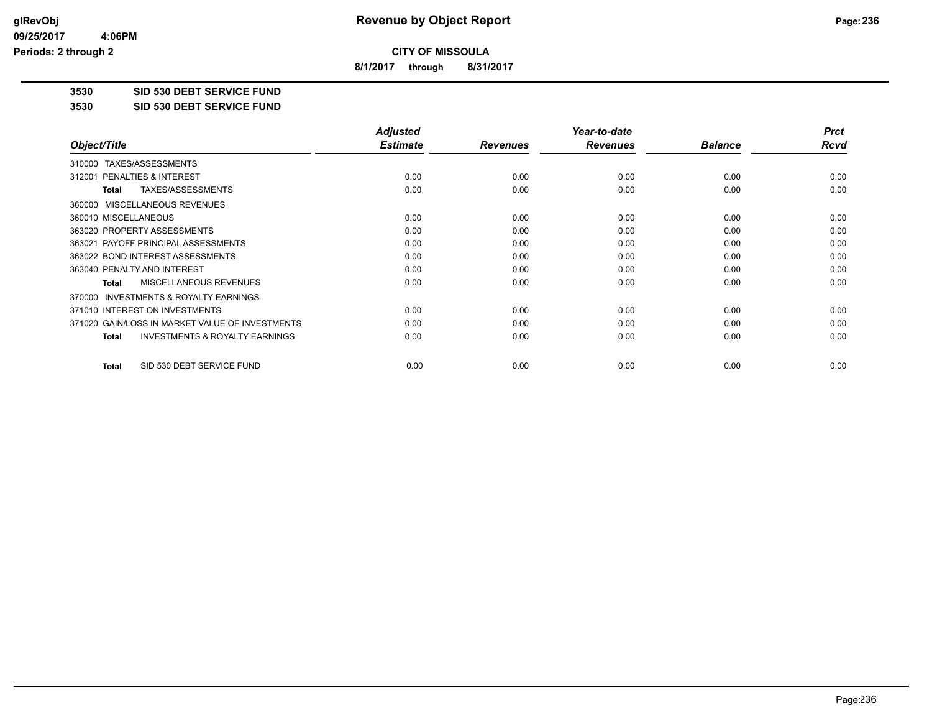**8/1/2017 through 8/31/2017**

**3530 SID 530 DEBT SERVICE FUND**

**3530 SID 530 DEBT SERVICE FUND**

|                                                    | <b>Adjusted</b> |                 | Year-to-date    |                | <b>Prct</b> |
|----------------------------------------------------|-----------------|-----------------|-----------------|----------------|-------------|
| Object/Title                                       | <b>Estimate</b> | <b>Revenues</b> | <b>Revenues</b> | <b>Balance</b> | Rcvd        |
| TAXES/ASSESSMENTS<br>310000                        |                 |                 |                 |                |             |
| <b>PENALTIES &amp; INTEREST</b><br>312001          | 0.00            | 0.00            | 0.00            | 0.00           | 0.00        |
| TAXES/ASSESSMENTS<br>Total                         | 0.00            | 0.00            | 0.00            | 0.00           | 0.00        |
| 360000 MISCELLANEOUS REVENUES                      |                 |                 |                 |                |             |
| 360010 MISCELLANEOUS                               | 0.00            | 0.00            | 0.00            | 0.00           | 0.00        |
| 363020 PROPERTY ASSESSMENTS                        | 0.00            | 0.00            | 0.00            | 0.00           | 0.00        |
| 363021 PAYOFF PRINCIPAL ASSESSMENTS                | 0.00            | 0.00            | 0.00            | 0.00           | 0.00        |
| 363022 BOND INTEREST ASSESSMENTS                   | 0.00            | 0.00            | 0.00            | 0.00           | 0.00        |
| 363040 PENALTY AND INTEREST                        | 0.00            | 0.00            | 0.00            | 0.00           | 0.00        |
| MISCELLANEOUS REVENUES<br>Total                    | 0.00            | 0.00            | 0.00            | 0.00           | 0.00        |
| 370000 INVESTMENTS & ROYALTY EARNINGS              |                 |                 |                 |                |             |
| 371010 INTEREST ON INVESTMENTS                     | 0.00            | 0.00            | 0.00            | 0.00           | 0.00        |
| 371020 GAIN/LOSS IN MARKET VALUE OF INVESTMENTS    | 0.00            | 0.00            | 0.00            | 0.00           | 0.00        |
| <b>INVESTMENTS &amp; ROYALTY EARNINGS</b><br>Total | 0.00            | 0.00            | 0.00            | 0.00           | 0.00        |
| SID 530 DEBT SERVICE FUND<br>Total                 | 0.00            | 0.00            | 0.00            | 0.00           | 0.00        |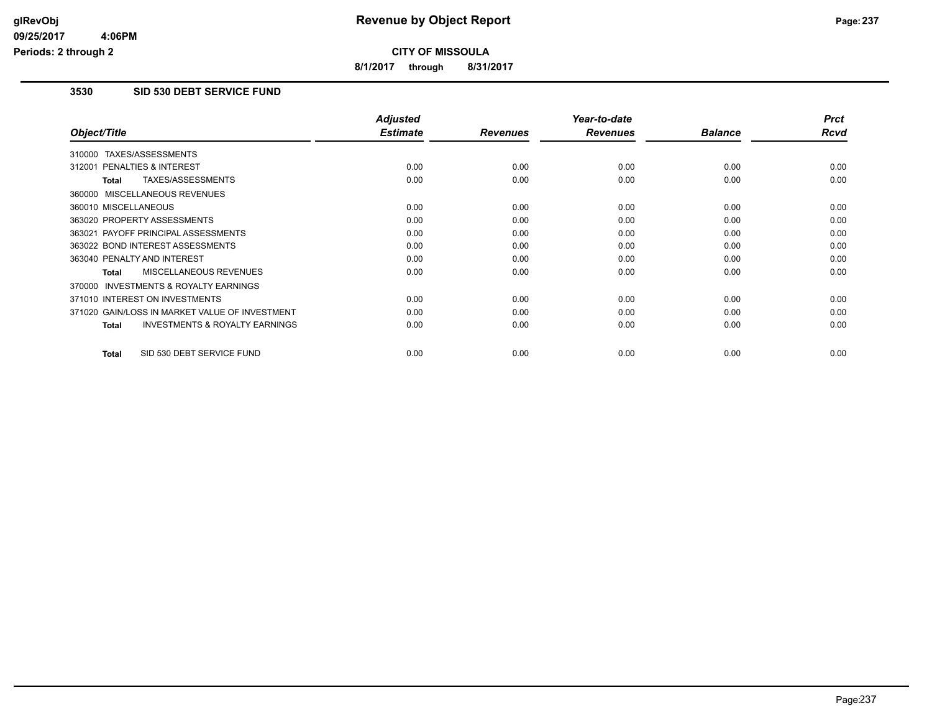**8/1/2017 through 8/31/2017**

## **3530 SID 530 DEBT SERVICE FUND**

|                                                     | <b>Adjusted</b> |                 | Year-to-date    |                | <b>Prct</b> |
|-----------------------------------------------------|-----------------|-----------------|-----------------|----------------|-------------|
| Object/Title                                        | <b>Estimate</b> | <b>Revenues</b> | <b>Revenues</b> | <b>Balance</b> | Rcvd        |
| TAXES/ASSESSMENTS<br>310000                         |                 |                 |                 |                |             |
| 312001 PENALTIES & INTEREST                         | 0.00            | 0.00            | 0.00            | 0.00           | 0.00        |
| TAXES/ASSESSMENTS<br><b>Total</b>                   | 0.00            | 0.00            | 0.00            | 0.00           | 0.00        |
| 360000 MISCELLANEOUS REVENUES                       |                 |                 |                 |                |             |
| 360010 MISCELLANEOUS                                | 0.00            | 0.00            | 0.00            | 0.00           | 0.00        |
| 363020 PROPERTY ASSESSMENTS                         | 0.00            | 0.00            | 0.00            | 0.00           | 0.00        |
| 363021 PAYOFF PRINCIPAL ASSESSMENTS                 | 0.00            | 0.00            | 0.00            | 0.00           | 0.00        |
| 363022 BOND INTEREST ASSESSMENTS                    | 0.00            | 0.00            | 0.00            | 0.00           | 0.00        |
| 363040 PENALTY AND INTEREST                         | 0.00            | 0.00            | 0.00            | 0.00           | 0.00        |
| <b>MISCELLANEOUS REVENUES</b><br>Total              | 0.00            | 0.00            | 0.00            | 0.00           | 0.00        |
| <b>INVESTMENTS &amp; ROYALTY EARNINGS</b><br>370000 |                 |                 |                 |                |             |
| 371010 INTEREST ON INVESTMENTS                      | 0.00            | 0.00            | 0.00            | 0.00           | 0.00        |
| 371020 GAIN/LOSS IN MARKET VALUE OF INVESTMENT      | 0.00            | 0.00            | 0.00            | 0.00           | 0.00        |
| <b>INVESTMENTS &amp; ROYALTY EARNINGS</b><br>Total  | 0.00            | 0.00            | 0.00            | 0.00           | 0.00        |
| SID 530 DEBT SERVICE FUND<br><b>Total</b>           | 0.00            | 0.00            | 0.00            | 0.00           | 0.00        |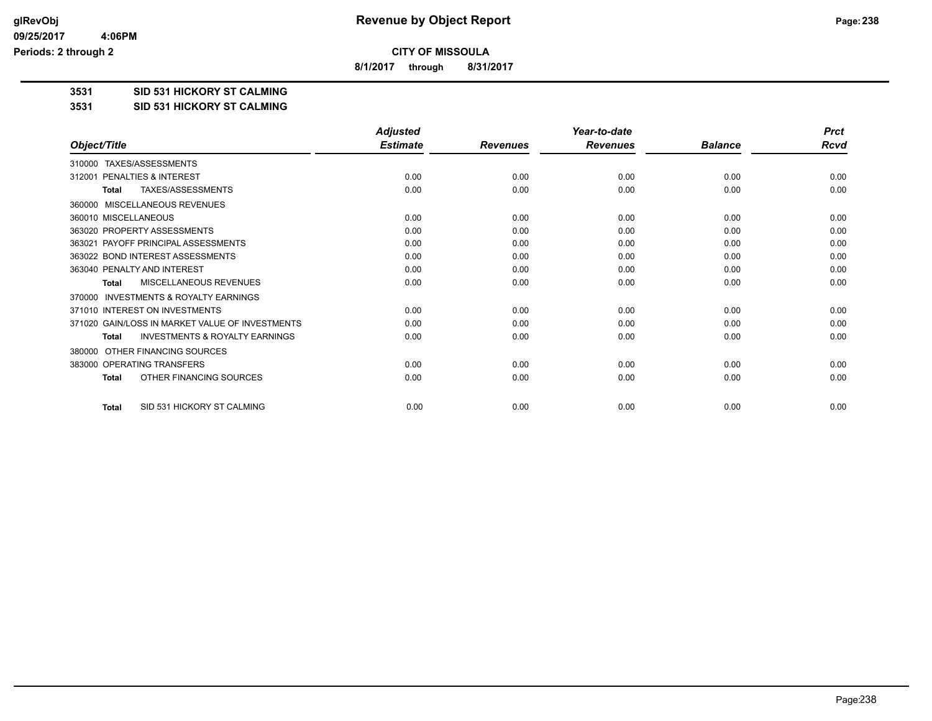**8/1/2017 through 8/31/2017**

**3531 SID 531 HICKORY ST CALMING**

**3531 SID 531 HICKORY ST CALMING**

|                                                           | <b>Adjusted</b> |                 | Year-to-date    |                | <b>Prct</b> |
|-----------------------------------------------------------|-----------------|-----------------|-----------------|----------------|-------------|
| Object/Title                                              | <b>Estimate</b> | <b>Revenues</b> | <b>Revenues</b> | <b>Balance</b> | Rcvd        |
| 310000 TAXES/ASSESSMENTS                                  |                 |                 |                 |                |             |
| PENALTIES & INTEREST<br>312001                            | 0.00            | 0.00            | 0.00            | 0.00           | 0.00        |
| TAXES/ASSESSMENTS<br><b>Total</b>                         | 0.00            | 0.00            | 0.00            | 0.00           | 0.00        |
| MISCELLANEOUS REVENUES<br>360000                          |                 |                 |                 |                |             |
| 360010 MISCELLANEOUS                                      | 0.00            | 0.00            | 0.00            | 0.00           | 0.00        |
| 363020 PROPERTY ASSESSMENTS                               | 0.00            | 0.00            | 0.00            | 0.00           | 0.00        |
| PAYOFF PRINCIPAL ASSESSMENTS<br>363021                    | 0.00            | 0.00            | 0.00            | 0.00           | 0.00        |
| 363022 BOND INTEREST ASSESSMENTS                          | 0.00            | 0.00            | 0.00            | 0.00           | 0.00        |
| 363040 PENALTY AND INTEREST                               | 0.00            | 0.00            | 0.00            | 0.00           | 0.00        |
| MISCELLANEOUS REVENUES<br><b>Total</b>                    | 0.00            | 0.00            | 0.00            | 0.00           | 0.00        |
| <b>INVESTMENTS &amp; ROYALTY EARNINGS</b><br>370000       |                 |                 |                 |                |             |
| 371010 INTEREST ON INVESTMENTS                            | 0.00            | 0.00            | 0.00            | 0.00           | 0.00        |
| 371020 GAIN/LOSS IN MARKET VALUE OF INVESTMENTS           | 0.00            | 0.00            | 0.00            | 0.00           | 0.00        |
| <b>INVESTMENTS &amp; ROYALTY EARNINGS</b><br><b>Total</b> | 0.00            | 0.00            | 0.00            | 0.00           | 0.00        |
| OTHER FINANCING SOURCES<br>380000                         |                 |                 |                 |                |             |
| 383000 OPERATING TRANSFERS                                | 0.00            | 0.00            | 0.00            | 0.00           | 0.00        |
| OTHER FINANCING SOURCES<br><b>Total</b>                   | 0.00            | 0.00            | 0.00            | 0.00           | 0.00        |
| SID 531 HICKORY ST CALMING<br><b>Total</b>                | 0.00            | 0.00            | 0.00            | 0.00           | 0.00        |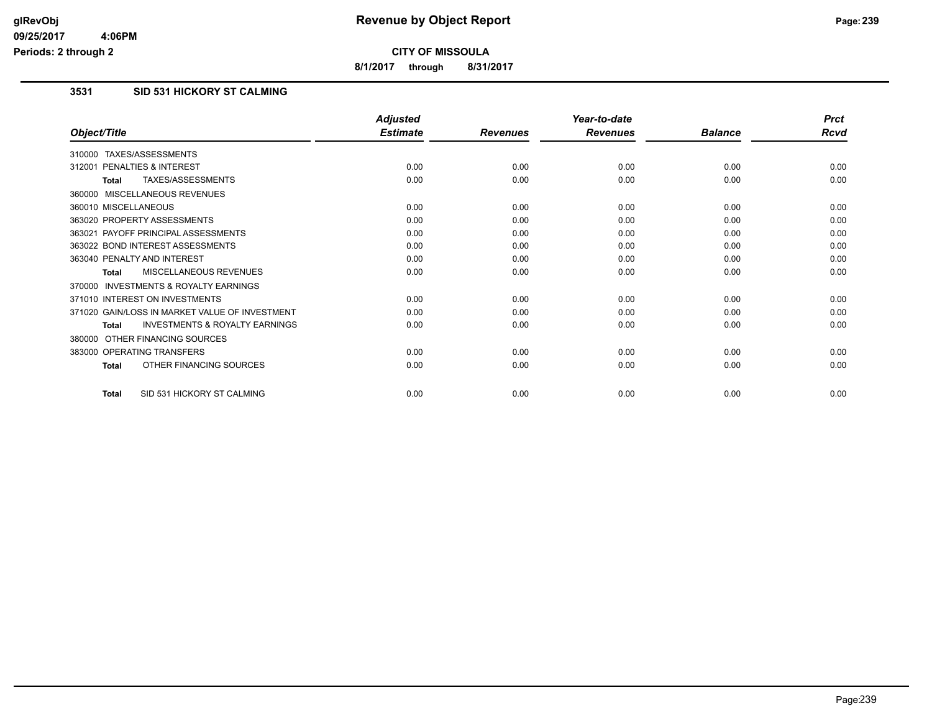**8/1/2017 through 8/31/2017**

## **3531 SID 531 HICKORY ST CALMING**

|                                                           | <b>Adjusted</b> |                 | Year-to-date    |                | <b>Prct</b> |
|-----------------------------------------------------------|-----------------|-----------------|-----------------|----------------|-------------|
| Object/Title                                              | <b>Estimate</b> | <b>Revenues</b> | <b>Revenues</b> | <b>Balance</b> | Rcvd        |
| 310000 TAXES/ASSESSMENTS                                  |                 |                 |                 |                |             |
| PENALTIES & INTEREST<br>312001                            | 0.00            | 0.00            | 0.00            | 0.00           | 0.00        |
| TAXES/ASSESSMENTS<br><b>Total</b>                         | 0.00            | 0.00            | 0.00            | 0.00           | 0.00        |
| 360000 MISCELLANEOUS REVENUES                             |                 |                 |                 |                |             |
| 360010 MISCELLANEOUS                                      | 0.00            | 0.00            | 0.00            | 0.00           | 0.00        |
| 363020 PROPERTY ASSESSMENTS                               | 0.00            | 0.00            | 0.00            | 0.00           | 0.00        |
| 363021 PAYOFF PRINCIPAL ASSESSMENTS                       | 0.00            | 0.00            | 0.00            | 0.00           | 0.00        |
| 363022 BOND INTEREST ASSESSMENTS                          | 0.00            | 0.00            | 0.00            | 0.00           | 0.00        |
| 363040 PENALTY AND INTEREST                               | 0.00            | 0.00            | 0.00            | 0.00           | 0.00        |
| MISCELLANEOUS REVENUES<br><b>Total</b>                    | 0.00            | 0.00            | 0.00            | 0.00           | 0.00        |
| 370000 INVESTMENTS & ROYALTY EARNINGS                     |                 |                 |                 |                |             |
| 371010 INTEREST ON INVESTMENTS                            | 0.00            | 0.00            | 0.00            | 0.00           | 0.00        |
| 371020 GAIN/LOSS IN MARKET VALUE OF INVESTMENT            | 0.00            | 0.00            | 0.00            | 0.00           | 0.00        |
| <b>INVESTMENTS &amp; ROYALTY EARNINGS</b><br><b>Total</b> | 0.00            | 0.00            | 0.00            | 0.00           | 0.00        |
| 380000 OTHER FINANCING SOURCES                            |                 |                 |                 |                |             |
| 383000 OPERATING TRANSFERS                                | 0.00            | 0.00            | 0.00            | 0.00           | 0.00        |
| OTHER FINANCING SOURCES<br><b>Total</b>                   | 0.00            | 0.00            | 0.00            | 0.00           | 0.00        |
| SID 531 HICKORY ST CALMING<br><b>Total</b>                | 0.00            | 0.00            | 0.00            | 0.00           | 0.00        |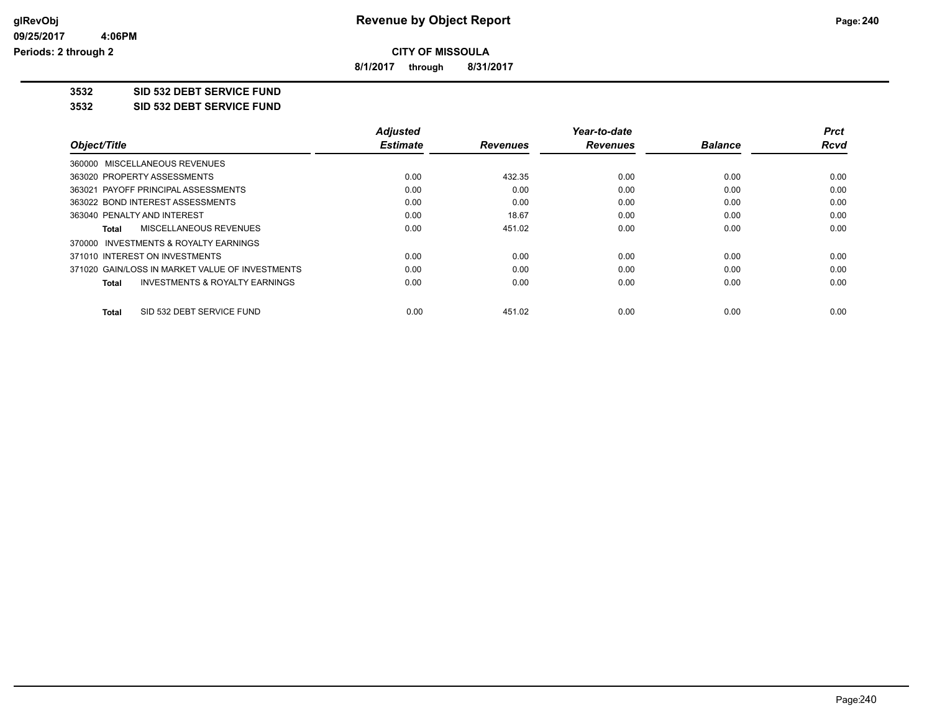**8/1/2017 through 8/31/2017**

**3532 SID 532 DEBT SERVICE FUND**

**3532 SID 532 DEBT SERVICE FUND**

|                                                 | <b>Adjusted</b> |                 | Year-to-date    |                | <b>Prct</b> |
|-------------------------------------------------|-----------------|-----------------|-----------------|----------------|-------------|
| Object/Title                                    | <b>Estimate</b> | <b>Revenues</b> | <b>Revenues</b> | <b>Balance</b> | Rcvd        |
| 360000 MISCELLANEOUS REVENUES                   |                 |                 |                 |                |             |
| 363020 PROPERTY ASSESSMENTS                     | 0.00            | 432.35          | 0.00            | 0.00           | 0.00        |
| 363021 PAYOFF PRINCIPAL ASSESSMENTS             | 0.00            | 0.00            | 0.00            | 0.00           | 0.00        |
| 363022 BOND INTEREST ASSESSMENTS                | 0.00            | 0.00            | 0.00            | 0.00           | 0.00        |
| 363040 PENALTY AND INTEREST                     | 0.00            | 18.67           | 0.00            | 0.00           | 0.00        |
| MISCELLANEOUS REVENUES<br>Total                 | 0.00            | 451.02          | 0.00            | 0.00           | 0.00        |
| 370000 INVESTMENTS & ROYALTY EARNINGS           |                 |                 |                 |                |             |
| 371010 INTEREST ON INVESTMENTS                  | 0.00            | 0.00            | 0.00            | 0.00           | 0.00        |
| 371020 GAIN/LOSS IN MARKET VALUE OF INVESTMENTS | 0.00            | 0.00            | 0.00            | 0.00           | 0.00        |
| INVESTMENTS & ROYALTY EARNINGS<br><b>Total</b>  | 0.00            | 0.00            | 0.00            | 0.00           | 0.00        |
| SID 532 DEBT SERVICE FUND<br>Total              | 0.00            | 451.02          | 0.00            | 0.00           | 0.00        |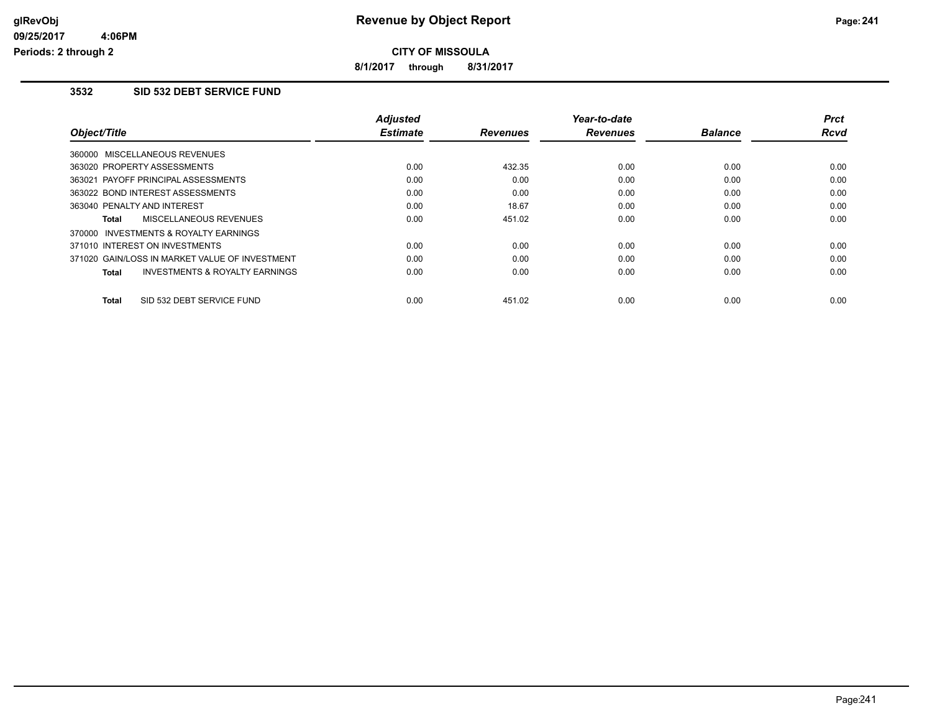**8/1/2017 through 8/31/2017**

#### **3532 SID 532 DEBT SERVICE FUND**

|                                                           | <b>Adjusted</b> |                 | Year-to-date    |                | <b>Prct</b> |
|-----------------------------------------------------------|-----------------|-----------------|-----------------|----------------|-------------|
| Object/Title                                              | <b>Estimate</b> | <b>Revenues</b> | <b>Revenues</b> | <b>Balance</b> | <b>Rcvd</b> |
| 360000 MISCELLANEOUS REVENUES                             |                 |                 |                 |                |             |
| 363020 PROPERTY ASSESSMENTS                               | 0.00            | 432.35          | 0.00            | 0.00           | 0.00        |
| 363021 PAYOFF PRINCIPAL ASSESSMENTS                       | 0.00            | 0.00            | 0.00            | 0.00           | 0.00        |
| 363022 BOND INTEREST ASSESSMENTS                          | 0.00            | 0.00            | 0.00            | 0.00           | 0.00        |
| 363040 PENALTY AND INTEREST                               | 0.00            | 18.67           | 0.00            | 0.00           | 0.00        |
| MISCELLANEOUS REVENUES<br><b>Total</b>                    | 0.00            | 451.02          | 0.00            | 0.00           | 0.00        |
| <b>INVESTMENTS &amp; ROYALTY EARNINGS</b><br>370000       |                 |                 |                 |                |             |
| 371010 INTEREST ON INVESTMENTS                            | 0.00            | 0.00            | 0.00            | 0.00           | 0.00        |
| 371020 GAIN/LOSS IN MARKET VALUE OF INVESTMENT            | 0.00            | 0.00            | 0.00            | 0.00           | 0.00        |
| <b>INVESTMENTS &amp; ROYALTY EARNINGS</b><br><b>Total</b> | 0.00            | 0.00            | 0.00            | 0.00           | 0.00        |
| SID 532 DEBT SERVICE FUND<br><b>Total</b>                 | 0.00            | 451.02          | 0.00            | 0.00           | 0.00        |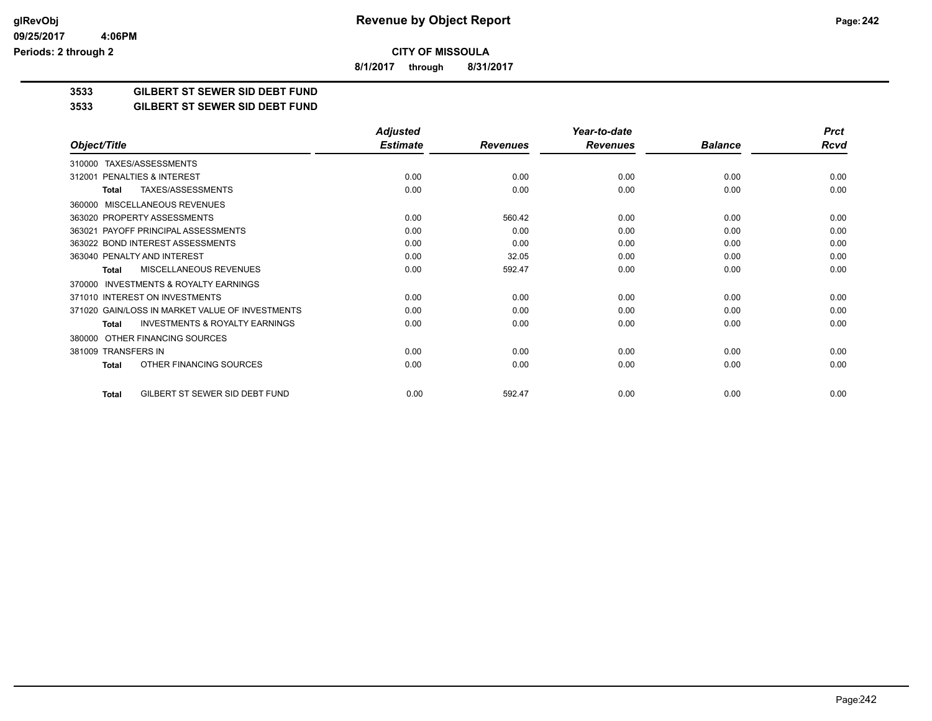**8/1/2017 through 8/31/2017**

# **3533 GILBERT ST SEWER SID DEBT FUND**

#### **3533 GILBERT ST SEWER SID DEBT FUND**

|                                                     | <b>Adjusted</b> |                 | Year-to-date    |                |             |  |
|-----------------------------------------------------|-----------------|-----------------|-----------------|----------------|-------------|--|
| Object/Title                                        | <b>Estimate</b> | <b>Revenues</b> | <b>Revenues</b> | <b>Balance</b> | <b>Rcvd</b> |  |
| TAXES/ASSESSMENTS<br>310000                         |                 |                 |                 |                |             |  |
| PENALTIES & INTEREST<br>312001                      | 0.00            | 0.00            | 0.00            | 0.00           | 0.00        |  |
| TAXES/ASSESSMENTS<br>Total                          | 0.00            | 0.00            | 0.00            | 0.00           | 0.00        |  |
| MISCELLANEOUS REVENUES<br>360000                    |                 |                 |                 |                |             |  |
| 363020 PROPERTY ASSESSMENTS                         | 0.00            | 560.42          | 0.00            | 0.00           | 0.00        |  |
| 363021 PAYOFF PRINCIPAL ASSESSMENTS                 | 0.00            | 0.00            | 0.00            | 0.00           | 0.00        |  |
| 363022 BOND INTEREST ASSESSMENTS                    | 0.00            | 0.00            | 0.00            | 0.00           | 0.00        |  |
| 363040 PENALTY AND INTEREST                         | 0.00            | 32.05           | 0.00            | 0.00           | 0.00        |  |
| <b>MISCELLANEOUS REVENUES</b><br><b>Total</b>       | 0.00            | 592.47          | 0.00            | 0.00           | 0.00        |  |
| <b>INVESTMENTS &amp; ROYALTY EARNINGS</b><br>370000 |                 |                 |                 |                |             |  |
| 371010 INTEREST ON INVESTMENTS                      | 0.00            | 0.00            | 0.00            | 0.00           | 0.00        |  |
| 371020 GAIN/LOSS IN MARKET VALUE OF INVESTMENTS     | 0.00            | 0.00            | 0.00            | 0.00           | 0.00        |  |
| <b>INVESTMENTS &amp; ROYALTY EARNINGS</b><br>Total  | 0.00            | 0.00            | 0.00            | 0.00           | 0.00        |  |
| OTHER FINANCING SOURCES<br>380000                   |                 |                 |                 |                |             |  |
| 381009 TRANSFERS IN                                 | 0.00            | 0.00            | 0.00            | 0.00           | 0.00        |  |
| OTHER FINANCING SOURCES<br><b>Total</b>             | 0.00            | 0.00            | 0.00            | 0.00           | 0.00        |  |
| GILBERT ST SEWER SID DEBT FUND<br><b>Total</b>      | 0.00            | 592.47          | 0.00            | 0.00           | 0.00        |  |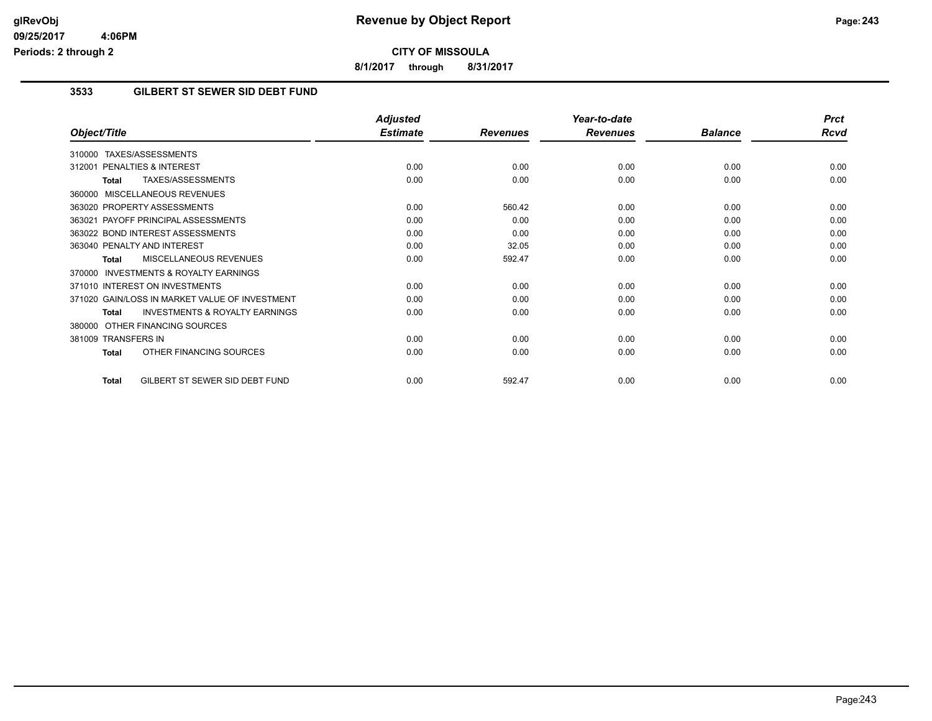**8/1/2017 through 8/31/2017**

## **3533 GILBERT ST SEWER SID DEBT FUND**

|                                                     | <b>Adjusted</b> |                 | Year-to-date    |                | <b>Prct</b> |
|-----------------------------------------------------|-----------------|-----------------|-----------------|----------------|-------------|
| Object/Title                                        | <b>Estimate</b> | <b>Revenues</b> | <b>Revenues</b> | <b>Balance</b> | <b>Rcvd</b> |
| <b>TAXES/ASSESSMENTS</b><br>310000                  |                 |                 |                 |                |             |
| 312001 PENALTIES & INTEREST                         | 0.00            | 0.00            | 0.00            | 0.00           | 0.00        |
| TAXES/ASSESSMENTS<br><b>Total</b>                   | 0.00            | 0.00            | 0.00            | 0.00           | 0.00        |
| 360000 MISCELLANEOUS REVENUES                       |                 |                 |                 |                |             |
| 363020 PROPERTY ASSESSMENTS                         | 0.00            | 560.42          | 0.00            | 0.00           | 0.00        |
| 363021 PAYOFF PRINCIPAL ASSESSMENTS                 | 0.00            | 0.00            | 0.00            | 0.00           | 0.00        |
| 363022 BOND INTEREST ASSESSMENTS                    | 0.00            | 0.00            | 0.00            | 0.00           | 0.00        |
| 363040 PENALTY AND INTEREST                         | 0.00            | 32.05           | 0.00            | 0.00           | 0.00        |
| <b>MISCELLANEOUS REVENUES</b><br>Total              | 0.00            | 592.47          | 0.00            | 0.00           | 0.00        |
| <b>INVESTMENTS &amp; ROYALTY EARNINGS</b><br>370000 |                 |                 |                 |                |             |
| 371010 INTEREST ON INVESTMENTS                      | 0.00            | 0.00            | 0.00            | 0.00           | 0.00        |
| 371020 GAIN/LOSS IN MARKET VALUE OF INVESTMENT      | 0.00            | 0.00            | 0.00            | 0.00           | 0.00        |
| <b>INVESTMENTS &amp; ROYALTY EARNINGS</b><br>Total  | 0.00            | 0.00            | 0.00            | 0.00           | 0.00        |
| OTHER FINANCING SOURCES<br>380000                   |                 |                 |                 |                |             |
| 381009 TRANSFERS IN                                 | 0.00            | 0.00            | 0.00            | 0.00           | 0.00        |
| OTHER FINANCING SOURCES<br><b>Total</b>             | 0.00            | 0.00            | 0.00            | 0.00           | 0.00        |
| GILBERT ST SEWER SID DEBT FUND<br><b>Total</b>      | 0.00            | 592.47          | 0.00            | 0.00           | 0.00        |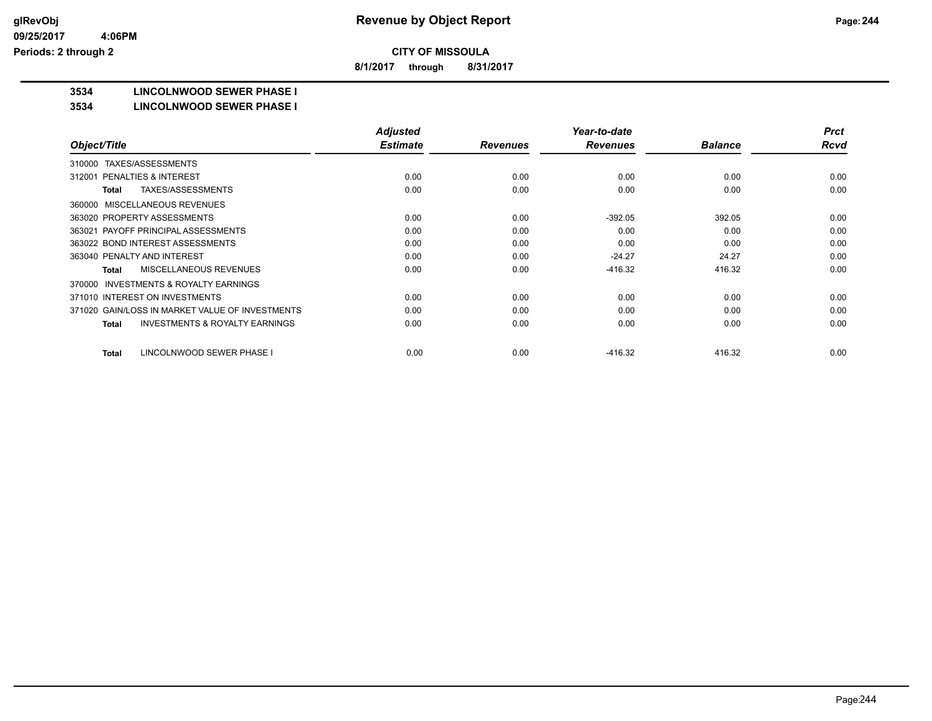**8/1/2017 through 8/31/2017**

## **3534 LINCOLNWOOD SEWER PHASE I**

#### **3534 LINCOLNWOOD SEWER PHASE I**

|                                                           | <b>Adjusted</b> |                 | Year-to-date    |                | <b>Prct</b> |
|-----------------------------------------------------------|-----------------|-----------------|-----------------|----------------|-------------|
| Object/Title                                              | <b>Estimate</b> | <b>Revenues</b> | <b>Revenues</b> | <b>Balance</b> | <b>Rcvd</b> |
| TAXES/ASSESSMENTS<br>310000                               |                 |                 |                 |                |             |
| PENALTIES & INTEREST<br>312001                            | 0.00            | 0.00            | 0.00            | 0.00           | 0.00        |
| TAXES/ASSESSMENTS<br>Total                                | 0.00            | 0.00            | 0.00            | 0.00           | 0.00        |
| MISCELLANEOUS REVENUES<br>360000                          |                 |                 |                 |                |             |
| 363020 PROPERTY ASSESSMENTS                               | 0.00            | 0.00            | $-392.05$       | 392.05         | 0.00        |
| 363021 PAYOFF PRINCIPAL ASSESSMENTS                       | 0.00            | 0.00            | 0.00            | 0.00           | 0.00        |
| 363022 BOND INTEREST ASSESSMENTS                          | 0.00            | 0.00            | 0.00            | 0.00           | 0.00        |
| 363040 PENALTY AND INTEREST                               | 0.00            | 0.00            | $-24.27$        | 24.27          | 0.00        |
| MISCELLANEOUS REVENUES<br>Total                           | 0.00            | 0.00            | $-416.32$       | 416.32         | 0.00        |
| <b>INVESTMENTS &amp; ROYALTY EARNINGS</b><br>370000       |                 |                 |                 |                |             |
| 371010 INTEREST ON INVESTMENTS                            | 0.00            | 0.00            | 0.00            | 0.00           | 0.00        |
| 371020 GAIN/LOSS IN MARKET VALUE OF INVESTMENTS           | 0.00            | 0.00            | 0.00            | 0.00           | 0.00        |
| <b>INVESTMENTS &amp; ROYALTY EARNINGS</b><br><b>Total</b> | 0.00            | 0.00            | 0.00            | 0.00           | 0.00        |
|                                                           |                 |                 |                 |                |             |
| LINCOLNWOOD SEWER PHASE I<br>Total                        | 0.00            | 0.00            | $-416.32$       | 416.32         | 0.00        |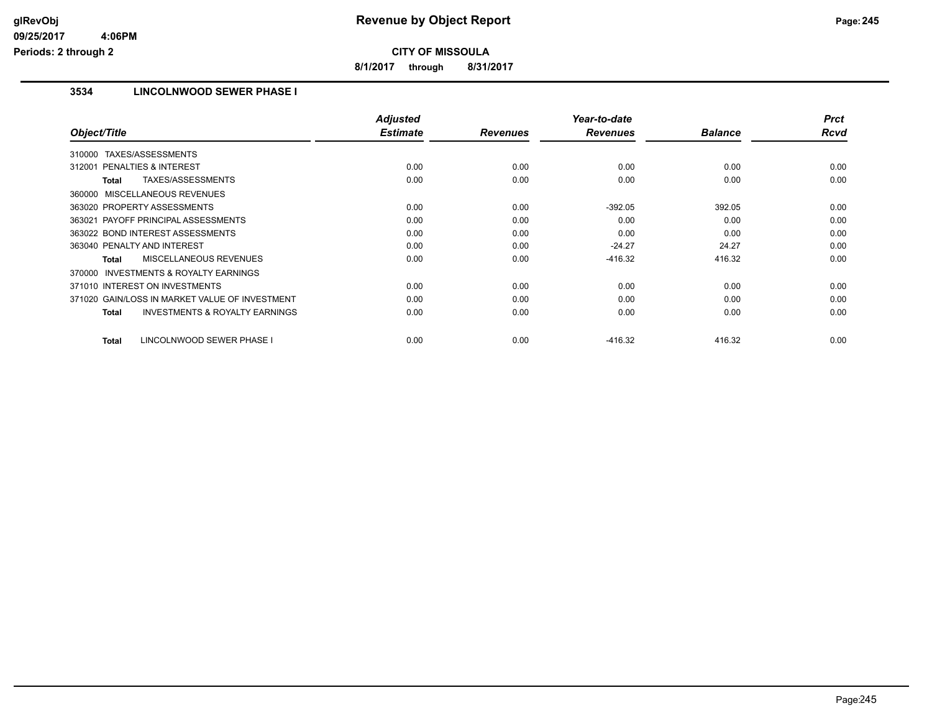**8/1/2017 through 8/31/2017**

## **3534 LINCOLNWOOD SEWER PHASE I**

| Object/Title                                              | <b>Adjusted</b><br><b>Estimate</b> | <b>Revenues</b> | Year-to-date<br><b>Revenues</b> | <b>Balance</b> | <b>Prct</b><br><b>Rcvd</b> |
|-----------------------------------------------------------|------------------------------------|-----------------|---------------------------------|----------------|----------------------------|
|                                                           |                                    |                 |                                 |                |                            |
| TAXES/ASSESSMENTS<br>310000                               |                                    |                 |                                 |                |                            |
| 312001 PENALTIES & INTEREST                               | 0.00                               | 0.00            | 0.00                            | 0.00           | 0.00                       |
| TAXES/ASSESSMENTS<br>Total                                | 0.00                               | 0.00            | 0.00                            | 0.00           | 0.00                       |
| 360000 MISCELLANEOUS REVENUES                             |                                    |                 |                                 |                |                            |
| 363020 PROPERTY ASSESSMENTS                               | 0.00                               | 0.00            | $-392.05$                       | 392.05         | 0.00                       |
| 363021 PAYOFF PRINCIPAL ASSESSMENTS                       | 0.00                               | 0.00            | 0.00                            | 0.00           | 0.00                       |
| 363022 BOND INTEREST ASSESSMENTS                          | 0.00                               | 0.00            | 0.00                            | 0.00           | 0.00                       |
| 363040 PENALTY AND INTEREST                               | 0.00                               | 0.00            | $-24.27$                        | 24.27          | 0.00                       |
| MISCELLANEOUS REVENUES<br><b>Total</b>                    | 0.00                               | 0.00            | $-416.32$                       | 416.32         | 0.00                       |
| <b>INVESTMENTS &amp; ROYALTY EARNINGS</b><br>370000       |                                    |                 |                                 |                |                            |
| 371010 INTEREST ON INVESTMENTS                            | 0.00                               | 0.00            | 0.00                            | 0.00           | 0.00                       |
| 371020 GAIN/LOSS IN MARKET VALUE OF INVESTMENT            | 0.00                               | 0.00            | 0.00                            | 0.00           | 0.00                       |
| <b>INVESTMENTS &amp; ROYALTY EARNINGS</b><br><b>Total</b> | 0.00                               | 0.00            | 0.00                            | 0.00           | 0.00                       |
|                                                           |                                    |                 |                                 |                |                            |
| LINCOLNWOOD SEWER PHASE I<br><b>Total</b>                 | 0.00                               | 0.00            | $-416.32$                       | 416.32         | 0.00                       |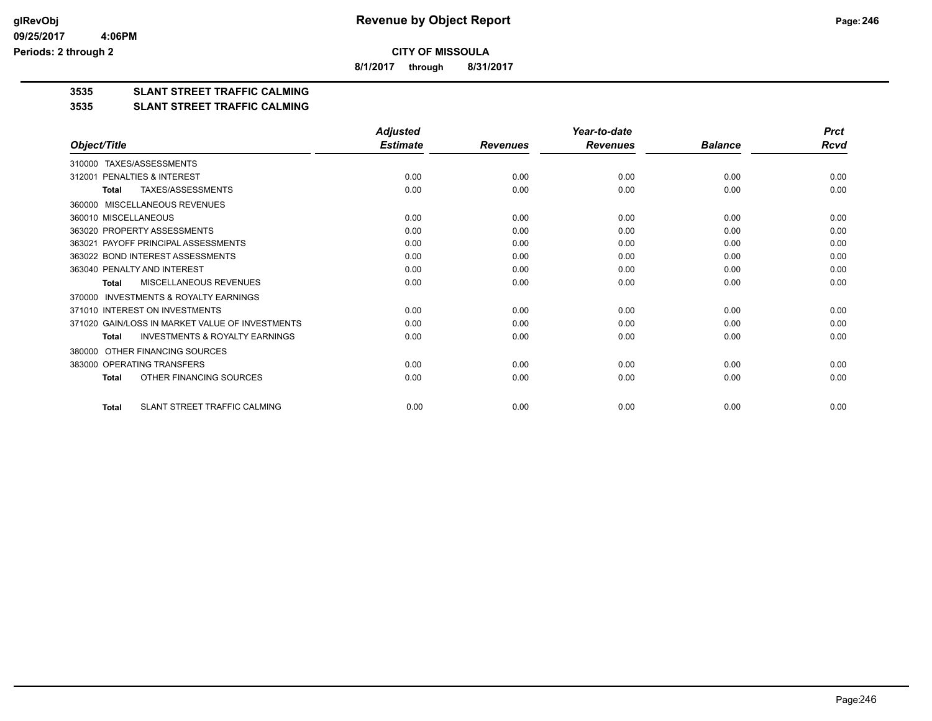**8/1/2017 through 8/31/2017**

# **3535 SLANT STREET TRAFFIC CALMING**

#### **3535 SLANT STREET TRAFFIC CALMING**

|                                                           | <b>Adjusted</b> |                 | Year-to-date    |                | <b>Prct</b> |
|-----------------------------------------------------------|-----------------|-----------------|-----------------|----------------|-------------|
| Object/Title                                              | <b>Estimate</b> | <b>Revenues</b> | <b>Revenues</b> | <b>Balance</b> | <b>Rcvd</b> |
| TAXES/ASSESSMENTS<br>310000                               |                 |                 |                 |                |             |
| PENALTIES & INTEREST<br>312001                            | 0.00            | 0.00            | 0.00            | 0.00           | 0.00        |
| TAXES/ASSESSMENTS<br>Total                                | 0.00            | 0.00            | 0.00            | 0.00           | 0.00        |
| MISCELLANEOUS REVENUES<br>360000                          |                 |                 |                 |                |             |
| 360010 MISCELLANEOUS                                      | 0.00            | 0.00            | 0.00            | 0.00           | 0.00        |
| 363020 PROPERTY ASSESSMENTS                               | 0.00            | 0.00            | 0.00            | 0.00           | 0.00        |
| 363021 PAYOFF PRINCIPAL ASSESSMENTS                       | 0.00            | 0.00            | 0.00            | 0.00           | 0.00        |
| 363022 BOND INTEREST ASSESSMENTS                          | 0.00            | 0.00            | 0.00            | 0.00           | 0.00        |
| 363040 PENALTY AND INTEREST                               | 0.00            | 0.00            | 0.00            | 0.00           | 0.00        |
| MISCELLANEOUS REVENUES<br><b>Total</b>                    | 0.00            | 0.00            | 0.00            | 0.00           | 0.00        |
| <b>INVESTMENTS &amp; ROYALTY EARNINGS</b><br>370000       |                 |                 |                 |                |             |
| 371010 INTEREST ON INVESTMENTS                            | 0.00            | 0.00            | 0.00            | 0.00           | 0.00        |
| 371020 GAIN/LOSS IN MARKET VALUE OF INVESTMENTS           | 0.00            | 0.00            | 0.00            | 0.00           | 0.00        |
| <b>INVESTMENTS &amp; ROYALTY EARNINGS</b><br><b>Total</b> | 0.00            | 0.00            | 0.00            | 0.00           | 0.00        |
| OTHER FINANCING SOURCES<br>380000                         |                 |                 |                 |                |             |
| 383000 OPERATING TRANSFERS                                | 0.00            | 0.00            | 0.00            | 0.00           | 0.00        |
| OTHER FINANCING SOURCES<br><b>Total</b>                   | 0.00            | 0.00            | 0.00            | 0.00           | 0.00        |
| SLANT STREET TRAFFIC CALMING<br><b>Total</b>              | 0.00            | 0.00            | 0.00            | 0.00           | 0.00        |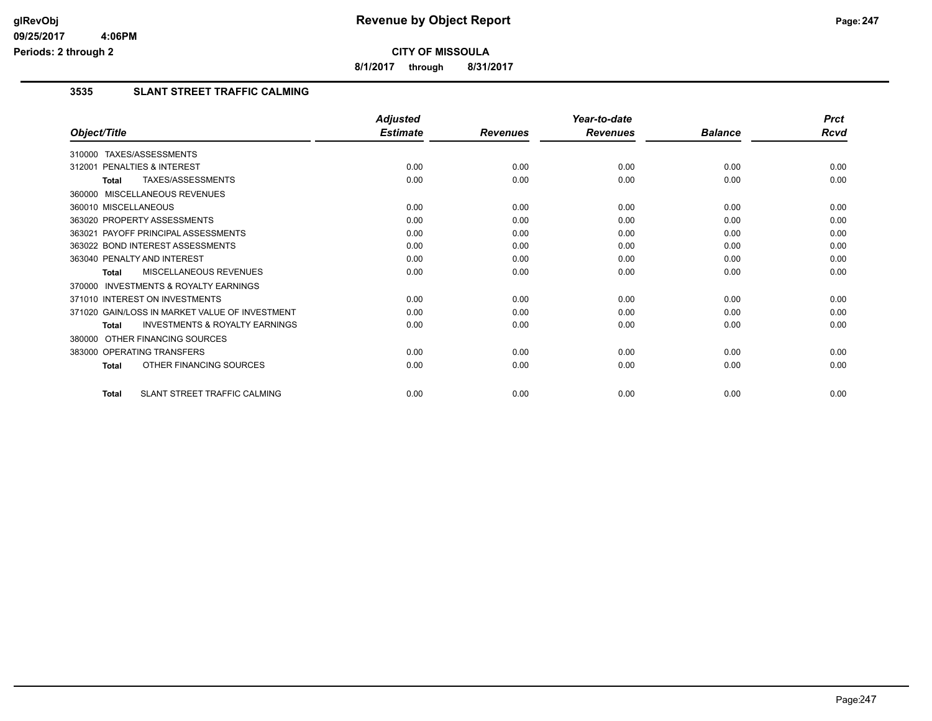**8/1/2017 through 8/31/2017**

## **3535 SLANT STREET TRAFFIC CALMING**

|                                                           | <b>Adjusted</b> |                 | Year-to-date    |                | <b>Prct</b> |
|-----------------------------------------------------------|-----------------|-----------------|-----------------|----------------|-------------|
| Object/Title                                              | <b>Estimate</b> | <b>Revenues</b> | <b>Revenues</b> | <b>Balance</b> | <b>Rcvd</b> |
| 310000 TAXES/ASSESSMENTS                                  |                 |                 |                 |                |             |
| 312001 PENALTIES & INTEREST                               | 0.00            | 0.00            | 0.00            | 0.00           | 0.00        |
| TAXES/ASSESSMENTS<br>Total                                | 0.00            | 0.00            | 0.00            | 0.00           | 0.00        |
| 360000 MISCELLANEOUS REVENUES                             |                 |                 |                 |                |             |
| 360010 MISCELLANEOUS                                      | 0.00            | 0.00            | 0.00            | 0.00           | 0.00        |
| 363020 PROPERTY ASSESSMENTS                               | 0.00            | 0.00            | 0.00            | 0.00           | 0.00        |
| 363021 PAYOFF PRINCIPAL ASSESSMENTS                       | 0.00            | 0.00            | 0.00            | 0.00           | 0.00        |
| 363022 BOND INTEREST ASSESSMENTS                          | 0.00            | 0.00            | 0.00            | 0.00           | 0.00        |
| 363040 PENALTY AND INTEREST                               | 0.00            | 0.00            | 0.00            | 0.00           | 0.00        |
| MISCELLANEOUS REVENUES<br><b>Total</b>                    | 0.00            | 0.00            | 0.00            | 0.00           | 0.00        |
| <b>INVESTMENTS &amp; ROYALTY EARNINGS</b><br>370000       |                 |                 |                 |                |             |
| 371010 INTEREST ON INVESTMENTS                            | 0.00            | 0.00            | 0.00            | 0.00           | 0.00        |
| 371020 GAIN/LOSS IN MARKET VALUE OF INVESTMENT            | 0.00            | 0.00            | 0.00            | 0.00           | 0.00        |
| <b>INVESTMENTS &amp; ROYALTY EARNINGS</b><br><b>Total</b> | 0.00            | 0.00            | 0.00            | 0.00           | 0.00        |
| OTHER FINANCING SOURCES<br>380000                         |                 |                 |                 |                |             |
| 383000 OPERATING TRANSFERS                                | 0.00            | 0.00            | 0.00            | 0.00           | 0.00        |
| OTHER FINANCING SOURCES<br><b>Total</b>                   | 0.00            | 0.00            | 0.00            | 0.00           | 0.00        |
| SLANT STREET TRAFFIC CALMING<br><b>Total</b>              | 0.00            | 0.00            | 0.00            | 0.00           | 0.00        |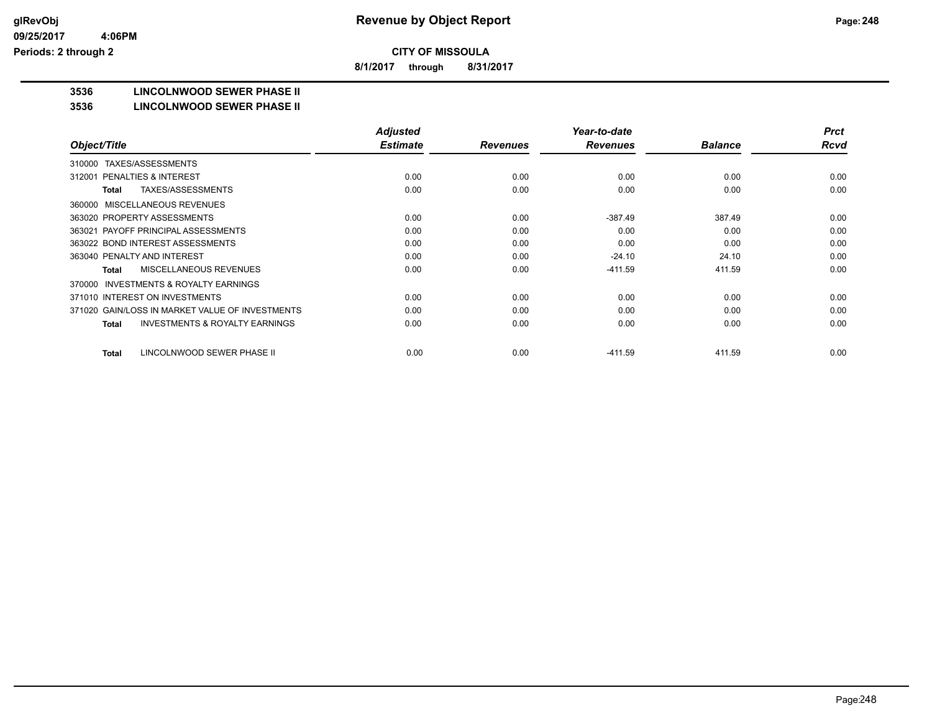**8/1/2017 through 8/31/2017**

# **3536 LINCOLNWOOD SEWER PHASE II**

#### **3536 LINCOLNWOOD SEWER PHASE II**

|                                                           | <b>Adjusted</b> |                 | Year-to-date    |                | <b>Prct</b> |
|-----------------------------------------------------------|-----------------|-----------------|-----------------|----------------|-------------|
| Object/Title                                              | <b>Estimate</b> | <b>Revenues</b> | <b>Revenues</b> | <b>Balance</b> | <b>Rcvd</b> |
| 310000 TAXES/ASSESSMENTS                                  |                 |                 |                 |                |             |
| 312001 PENALTIES & INTEREST                               | 0.00            | 0.00            | 0.00            | 0.00           | 0.00        |
| TAXES/ASSESSMENTS<br>Total                                | 0.00            | 0.00            | 0.00            | 0.00           | 0.00        |
| MISCELLANEOUS REVENUES<br>360000                          |                 |                 |                 |                |             |
| 363020 PROPERTY ASSESSMENTS                               | 0.00            | 0.00            | $-387.49$       | 387.49         | 0.00        |
| 363021 PAYOFF PRINCIPAL ASSESSMENTS                       | 0.00            | 0.00            | 0.00            | 0.00           | 0.00        |
| 363022 BOND INTEREST ASSESSMENTS                          | 0.00            | 0.00            | 0.00            | 0.00           | 0.00        |
| 363040 PENALTY AND INTEREST                               | 0.00            | 0.00            | $-24.10$        | 24.10          | 0.00        |
| MISCELLANEOUS REVENUES<br>Total                           | 0.00            | 0.00            | $-411.59$       | 411.59         | 0.00        |
| <b>INVESTMENTS &amp; ROYALTY EARNINGS</b><br>370000       |                 |                 |                 |                |             |
| 371010 INTEREST ON INVESTMENTS                            | 0.00            | 0.00            | 0.00            | 0.00           | 0.00        |
| 371020 GAIN/LOSS IN MARKET VALUE OF INVESTMENTS           | 0.00            | 0.00            | 0.00            | 0.00           | 0.00        |
| <b>INVESTMENTS &amp; ROYALTY EARNINGS</b><br><b>Total</b> | 0.00            | 0.00            | 0.00            | 0.00           | 0.00        |
|                                                           |                 |                 |                 |                |             |
| LINCOLNWOOD SEWER PHASE II<br>Total                       | 0.00            | 0.00            | $-411.59$       | 411.59         | 0.00        |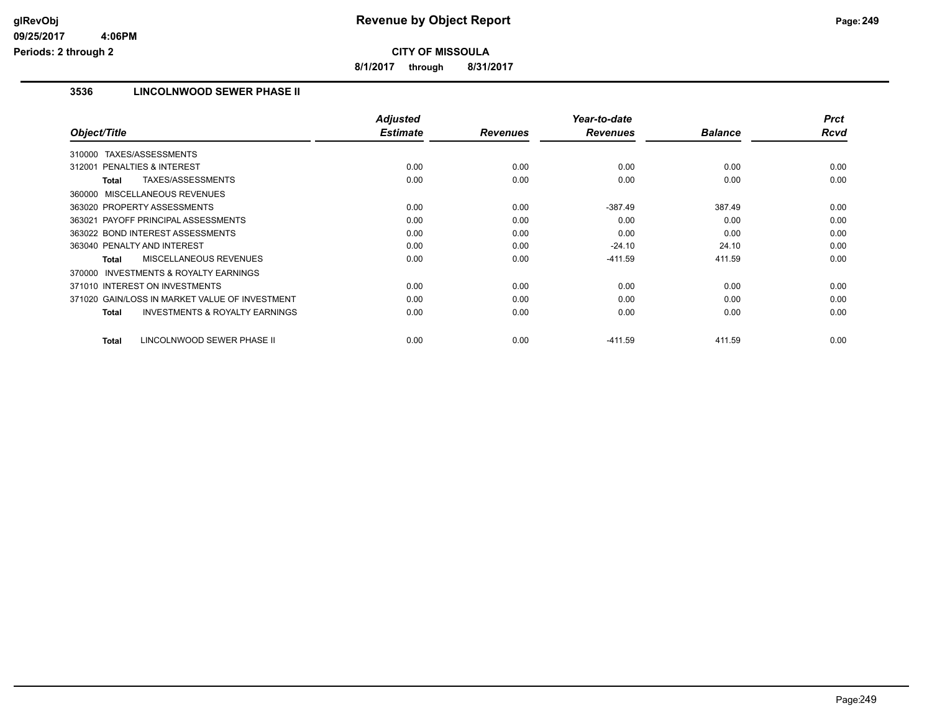**8/1/2017 through 8/31/2017**

## **3536 LINCOLNWOOD SEWER PHASE II**

| Object/Title                                              | <b>Adjusted</b><br><b>Estimate</b> | <b>Revenues</b> | Year-to-date<br><b>Revenues</b> | <b>Balance</b> | <b>Prct</b><br>Rcvd |
|-----------------------------------------------------------|------------------------------------|-----------------|---------------------------------|----------------|---------------------|
|                                                           |                                    |                 |                                 |                |                     |
| TAXES/ASSESSMENTS<br>310000                               |                                    |                 |                                 |                |                     |
| 312001 PENALTIES & INTEREST                               | 0.00                               | 0.00            | 0.00                            | 0.00           | 0.00                |
| TAXES/ASSESSMENTS<br>Total                                | 0.00                               | 0.00            | 0.00                            | 0.00           | 0.00                |
| 360000 MISCELLANEOUS REVENUES                             |                                    |                 |                                 |                |                     |
| 363020 PROPERTY ASSESSMENTS                               | 0.00                               | 0.00            | $-387.49$                       | 387.49         | 0.00                |
| 363021 PAYOFF PRINCIPAL ASSESSMENTS                       | 0.00                               | 0.00            | 0.00                            | 0.00           | 0.00                |
| 363022 BOND INTEREST ASSESSMENTS                          | 0.00                               | 0.00            | 0.00                            | 0.00           | 0.00                |
| 363040 PENALTY AND INTEREST                               | 0.00                               | 0.00            | $-24.10$                        | 24.10          | 0.00                |
| <b>MISCELLANEOUS REVENUES</b><br>Total                    | 0.00                               | 0.00            | $-411.59$                       | 411.59         | 0.00                |
| <b>INVESTMENTS &amp; ROYALTY EARNINGS</b><br>370000       |                                    |                 |                                 |                |                     |
| 371010 INTEREST ON INVESTMENTS                            | 0.00                               | 0.00            | 0.00                            | 0.00           | 0.00                |
| 371020 GAIN/LOSS IN MARKET VALUE OF INVESTMENT            | 0.00                               | 0.00            | 0.00                            | 0.00           | 0.00                |
| <b>INVESTMENTS &amp; ROYALTY EARNINGS</b><br><b>Total</b> | 0.00                               | 0.00            | 0.00                            | 0.00           | 0.00                |
| LINCOLNWOOD SEWER PHASE II<br>Total                       | 0.00                               | 0.00            | $-411.59$                       | 411.59         | 0.00                |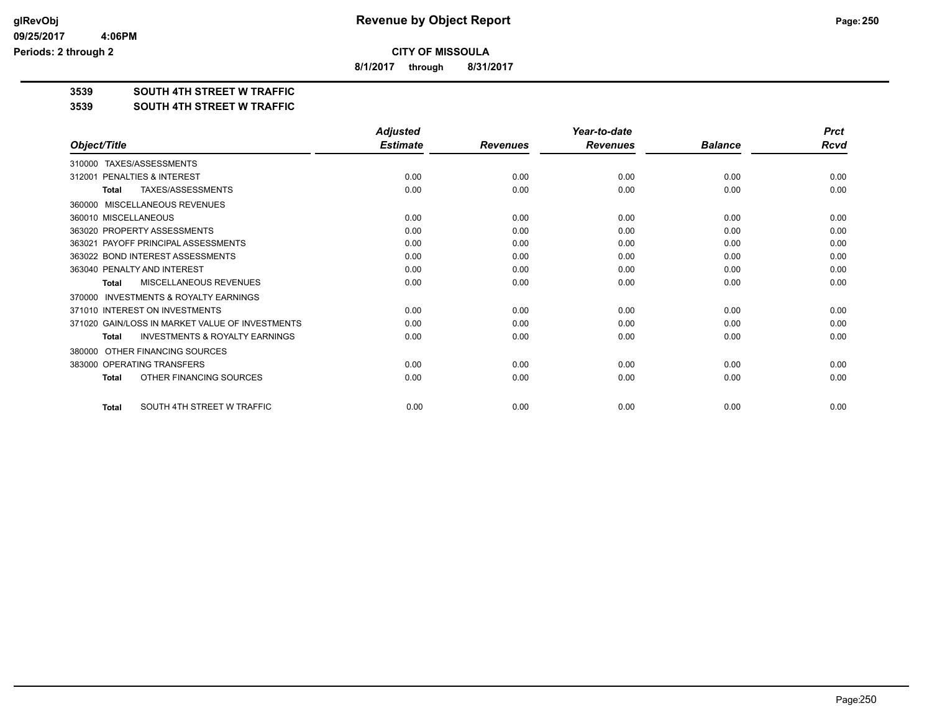**8/1/2017 through 8/31/2017**

#### **3539 SOUTH 4TH STREET W TRAFFIC**

#### **3539 SOUTH 4TH STREET W TRAFFIC**

|                                                           | <b>Adjusted</b> |                 | Year-to-date    |                | <b>Prct</b> |
|-----------------------------------------------------------|-----------------|-----------------|-----------------|----------------|-------------|
| Object/Title                                              | <b>Estimate</b> | <b>Revenues</b> | <b>Revenues</b> | <b>Balance</b> | Rcvd        |
| TAXES/ASSESSMENTS<br>310000                               |                 |                 |                 |                |             |
| PENALTIES & INTEREST<br>312001                            | 0.00            | 0.00            | 0.00            | 0.00           | 0.00        |
| TAXES/ASSESSMENTS<br><b>Total</b>                         | 0.00            | 0.00            | 0.00            | 0.00           | 0.00        |
| MISCELLANEOUS REVENUES<br>360000                          |                 |                 |                 |                |             |
| 360010 MISCELLANEOUS                                      | 0.00            | 0.00            | 0.00            | 0.00           | 0.00        |
| 363020 PROPERTY ASSESSMENTS                               | 0.00            | 0.00            | 0.00            | 0.00           | 0.00        |
| 363021 PAYOFF PRINCIPAL ASSESSMENTS                       | 0.00            | 0.00            | 0.00            | 0.00           | 0.00        |
| 363022 BOND INTEREST ASSESSMENTS                          | 0.00            | 0.00            | 0.00            | 0.00           | 0.00        |
| 363040 PENALTY AND INTEREST                               | 0.00            | 0.00            | 0.00            | 0.00           | 0.00        |
| MISCELLANEOUS REVENUES<br><b>Total</b>                    | 0.00            | 0.00            | 0.00            | 0.00           | 0.00        |
| <b>INVESTMENTS &amp; ROYALTY EARNINGS</b><br>370000       |                 |                 |                 |                |             |
| 371010 INTEREST ON INVESTMENTS                            | 0.00            | 0.00            | 0.00            | 0.00           | 0.00        |
| 371020 GAIN/LOSS IN MARKET VALUE OF INVESTMENTS           | 0.00            | 0.00            | 0.00            | 0.00           | 0.00        |
| <b>INVESTMENTS &amp; ROYALTY EARNINGS</b><br><b>Total</b> | 0.00            | 0.00            | 0.00            | 0.00           | 0.00        |
| OTHER FINANCING SOURCES<br>380000                         |                 |                 |                 |                |             |
| 383000 OPERATING TRANSFERS                                | 0.00            | 0.00            | 0.00            | 0.00           | 0.00        |
| OTHER FINANCING SOURCES<br><b>Total</b>                   | 0.00            | 0.00            | 0.00            | 0.00           | 0.00        |
| SOUTH 4TH STREET W TRAFFIC<br><b>Total</b>                | 0.00            | 0.00            | 0.00            | 0.00           | 0.00        |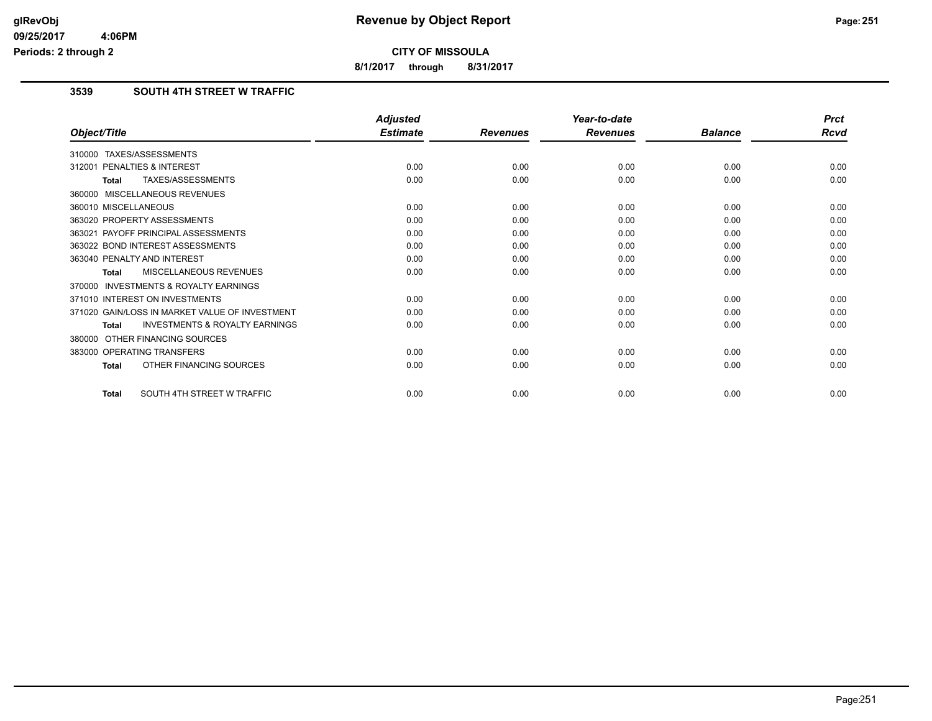**8/1/2017 through 8/31/2017**

## **3539 SOUTH 4TH STREET W TRAFFIC**

|                                                           | <b>Adjusted</b> |                 | Year-to-date    |                | <b>Prct</b> |
|-----------------------------------------------------------|-----------------|-----------------|-----------------|----------------|-------------|
| Object/Title                                              | <b>Estimate</b> | <b>Revenues</b> | <b>Revenues</b> | <b>Balance</b> | Rcvd        |
| 310000 TAXES/ASSESSMENTS                                  |                 |                 |                 |                |             |
| PENALTIES & INTEREST<br>312001                            | 0.00            | 0.00            | 0.00            | 0.00           | 0.00        |
| TAXES/ASSESSMENTS<br><b>Total</b>                         | 0.00            | 0.00            | 0.00            | 0.00           | 0.00        |
| 360000 MISCELLANEOUS REVENUES                             |                 |                 |                 |                |             |
| 360010 MISCELLANEOUS                                      | 0.00            | 0.00            | 0.00            | 0.00           | 0.00        |
| 363020 PROPERTY ASSESSMENTS                               | 0.00            | 0.00            | 0.00            | 0.00           | 0.00        |
| 363021 PAYOFF PRINCIPAL ASSESSMENTS                       | 0.00            | 0.00            | 0.00            | 0.00           | 0.00        |
| 363022 BOND INTEREST ASSESSMENTS                          | 0.00            | 0.00            | 0.00            | 0.00           | 0.00        |
| 363040 PENALTY AND INTEREST                               | 0.00            | 0.00            | 0.00            | 0.00           | 0.00        |
| MISCELLANEOUS REVENUES<br><b>Total</b>                    | 0.00            | 0.00            | 0.00            | 0.00           | 0.00        |
| <b>INVESTMENTS &amp; ROYALTY EARNINGS</b><br>370000       |                 |                 |                 |                |             |
| 371010 INTEREST ON INVESTMENTS                            | 0.00            | 0.00            | 0.00            | 0.00           | 0.00        |
| 371020 GAIN/LOSS IN MARKET VALUE OF INVESTMENT            | 0.00            | 0.00            | 0.00            | 0.00           | 0.00        |
| <b>INVESTMENTS &amp; ROYALTY EARNINGS</b><br><b>Total</b> | 0.00            | 0.00            | 0.00            | 0.00           | 0.00        |
| OTHER FINANCING SOURCES<br>380000                         |                 |                 |                 |                |             |
| 383000 OPERATING TRANSFERS                                | 0.00            | 0.00            | 0.00            | 0.00           | 0.00        |
| OTHER FINANCING SOURCES<br><b>Total</b>                   | 0.00            | 0.00            | 0.00            | 0.00           | 0.00        |
| SOUTH 4TH STREET W TRAFFIC<br><b>Total</b>                | 0.00            | 0.00            | 0.00            | 0.00           | 0.00        |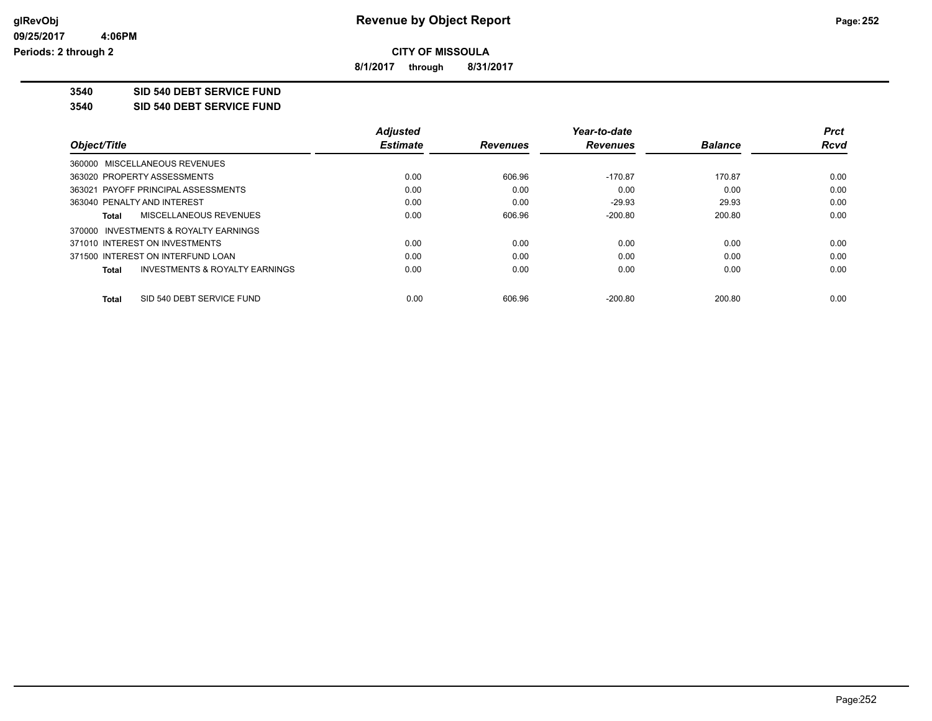**8/1/2017 through 8/31/2017**

**3540 SID 540 DEBT SERVICE FUND**

**3540 SID 540 DEBT SERVICE FUND**

|                                                           | <b>Adjusted</b> |                 | Year-to-date    |                | <b>Prct</b> |
|-----------------------------------------------------------|-----------------|-----------------|-----------------|----------------|-------------|
| Object/Title                                              | <b>Estimate</b> | <b>Revenues</b> | <b>Revenues</b> | <b>Balance</b> | Rcvd        |
| 360000 MISCELLANEOUS REVENUES                             |                 |                 |                 |                |             |
| 363020 PROPERTY ASSESSMENTS                               | 0.00            | 606.96          | $-170.87$       | 170.87         | 0.00        |
| 363021 PAYOFF PRINCIPAL ASSESSMENTS                       | 0.00            | 0.00            | 0.00            | 0.00           | 0.00        |
| 363040 PENALTY AND INTEREST                               | 0.00            | 0.00            | $-29.93$        | 29.93          | 0.00        |
| MISCELLANEOUS REVENUES<br>Total                           | 0.00            | 606.96          | $-200.80$       | 200.80         | 0.00        |
| 370000 INVESTMENTS & ROYALTY EARNINGS                     |                 |                 |                 |                |             |
| 371010 INTEREST ON INVESTMENTS                            | 0.00            | 0.00            | 0.00            | 0.00           | 0.00        |
| 371500 INTEREST ON INTERFUND LOAN                         | 0.00            | 0.00            | 0.00            | 0.00           | 0.00        |
| <b>INVESTMENTS &amp; ROYALTY EARNINGS</b><br><b>Total</b> | 0.00            | 0.00            | 0.00            | 0.00           | 0.00        |
| SID 540 DEBT SERVICE FUND<br>Total                        | 0.00            | 606.96          | $-200.80$       | 200.80         | 0.00        |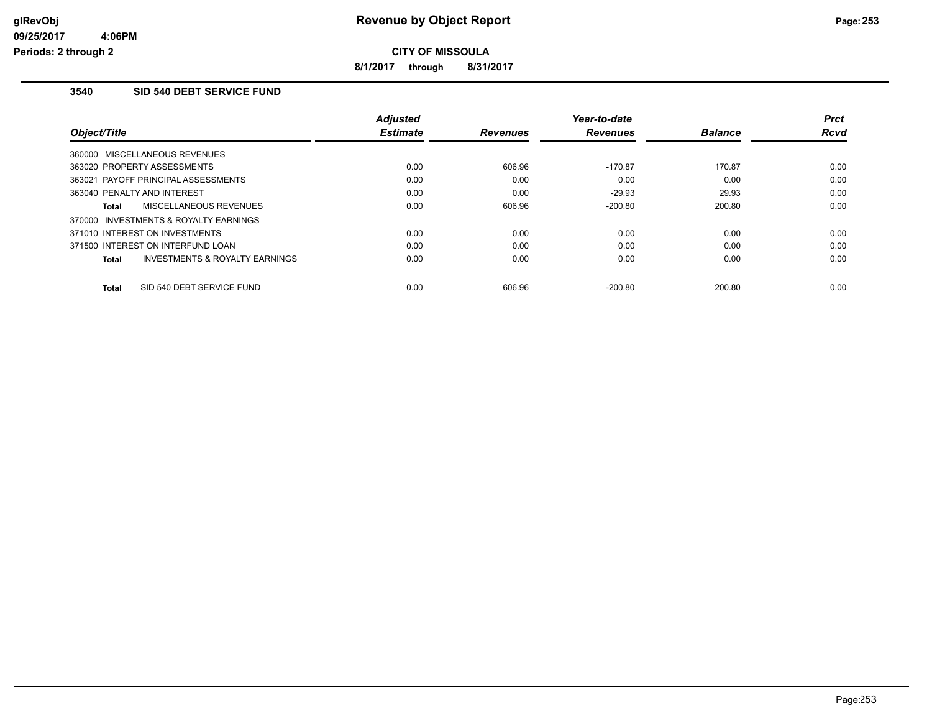**8/1/2017 through 8/31/2017**

#### **3540 SID 540 DEBT SERVICE FUND**

| Object/Title                                       | <b>Adjusted</b><br><b>Estimate</b> | <b>Revenues</b> | Year-to-date<br><b>Revenues</b> | <b>Balance</b> | <b>Prct</b><br><b>Rcvd</b> |
|----------------------------------------------------|------------------------------------|-----------------|---------------------------------|----------------|----------------------------|
| 360000 MISCELLANEOUS REVENUES                      |                                    |                 |                                 |                |                            |
| 363020 PROPERTY ASSESSMENTS                        | 0.00                               | 606.96          | $-170.87$                       | 170.87         | 0.00                       |
| 363021 PAYOFF PRINCIPAL ASSESSMENTS                | 0.00                               | 0.00            | 0.00                            | 0.00           | 0.00                       |
| 363040 PENALTY AND INTEREST                        | 0.00                               | 0.00            | $-29.93$                        | 29.93          | 0.00                       |
| <b>MISCELLANEOUS REVENUES</b><br>Total             | 0.00                               | 606.96          | $-200.80$                       | 200.80         | 0.00                       |
| 370000 INVESTMENTS & ROYALTY EARNINGS              |                                    |                 |                                 |                |                            |
| 371010 INTEREST ON INVESTMENTS                     | 0.00                               | 0.00            | 0.00                            | 0.00           | 0.00                       |
| 371500 INTEREST ON INTERFUND LOAN                  | 0.00                               | 0.00            | 0.00                            | 0.00           | 0.00                       |
| <b>INVESTMENTS &amp; ROYALTY EARNINGS</b><br>Total | 0.00                               | 0.00            | 0.00                            | 0.00           | 0.00                       |
| SID 540 DEBT SERVICE FUND<br>Total                 | 0.00                               | 606.96          | $-200.80$                       | 200.80         | 0.00                       |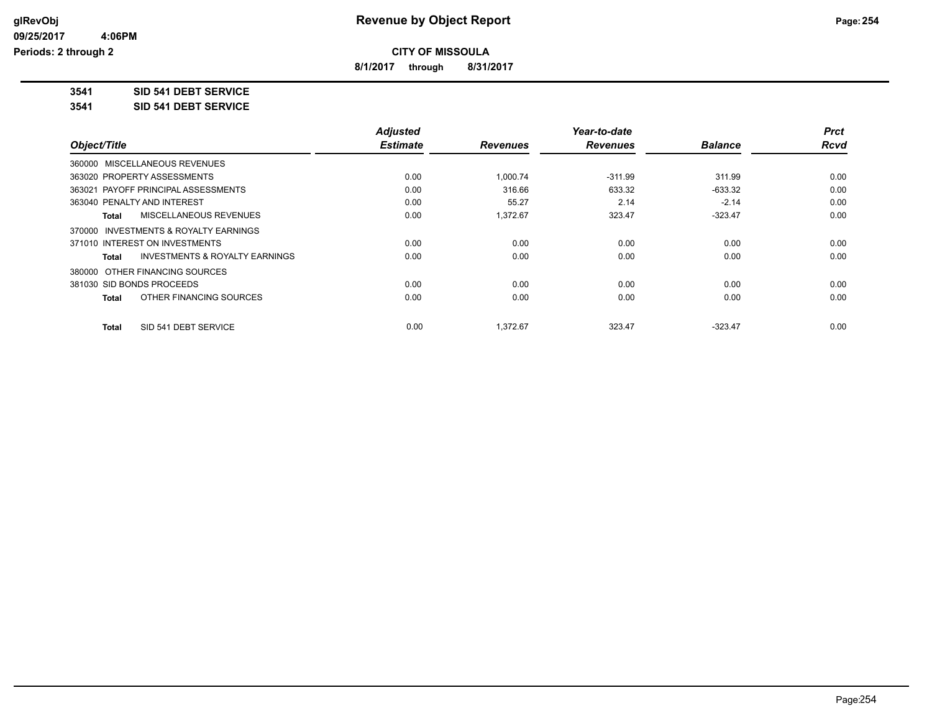**8/1/2017 through 8/31/2017**

**3541 SID 541 DEBT SERVICE**

**3541 SID 541 DEBT SERVICE**

|                                         | <b>Adjusted</b> |                 | Year-to-date    |                | <b>Prct</b> |
|-----------------------------------------|-----------------|-----------------|-----------------|----------------|-------------|
| Object/Title                            | <b>Estimate</b> | <b>Revenues</b> | <b>Revenues</b> | <b>Balance</b> | Rcvd        |
| 360000 MISCELLANEOUS REVENUES           |                 |                 |                 |                |             |
| 363020 PROPERTY ASSESSMENTS             | 0.00            | 1,000.74        | $-311.99$       | 311.99         | 0.00        |
| 363021 PAYOFF PRINCIPAL ASSESSMENTS     | 0.00            | 316.66          | 633.32          | $-633.32$      | 0.00        |
| 363040 PENALTY AND INTEREST             | 0.00            | 55.27           | 2.14            | $-2.14$        | 0.00        |
| MISCELLANEOUS REVENUES<br>Total         | 0.00            | 1,372.67        | 323.47          | $-323.47$      | 0.00        |
| 370000 INVESTMENTS & ROYALTY EARNINGS   |                 |                 |                 |                |             |
| 371010 INTEREST ON INVESTMENTS          | 0.00            | 0.00            | 0.00            | 0.00           | 0.00        |
| INVESTMENTS & ROYALTY EARNINGS<br>Total | 0.00            | 0.00            | 0.00            | 0.00           | 0.00        |
| 380000 OTHER FINANCING SOURCES          |                 |                 |                 |                |             |
| 381030 SID BONDS PROCEEDS               | 0.00            | 0.00            | 0.00            | 0.00           | 0.00        |
| OTHER FINANCING SOURCES<br>Total        | 0.00            | 0.00            | 0.00            | 0.00           | 0.00        |
| SID 541 DEBT SERVICE<br>Total           | 0.00            | 1.372.67        | 323.47          | $-323.47$      | 0.00        |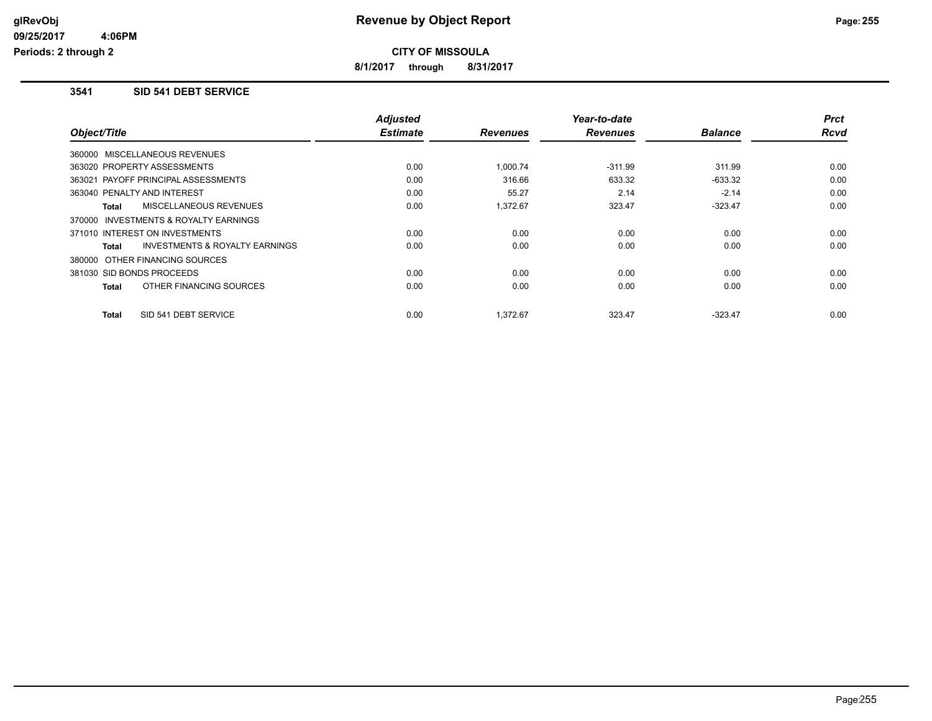**8/1/2017 through 8/31/2017**

#### **3541 SID 541 DEBT SERVICE**

| Object/Title                            | <b>Adjusted</b><br><b>Estimate</b> | <b>Revenues</b> | Year-to-date<br><b>Revenues</b> | <b>Balance</b> | <b>Prct</b><br>Rcvd |
|-----------------------------------------|------------------------------------|-----------------|---------------------------------|----------------|---------------------|
|                                         |                                    |                 |                                 |                |                     |
| 360000 MISCELLANEOUS REVENUES           |                                    |                 |                                 |                |                     |
| 363020 PROPERTY ASSESSMENTS             | 0.00                               | 1.000.74        | $-311.99$                       | 311.99         | 0.00                |
| 363021 PAYOFF PRINCIPAL ASSESSMENTS     | 0.00                               | 316.66          | 633.32                          | $-633.32$      | 0.00                |
| 363040 PENALTY AND INTEREST             | 0.00                               | 55.27           | 2.14                            | $-2.14$        | 0.00                |
| MISCELLANEOUS REVENUES<br>Total         | 0.00                               | 1.372.67        | 323.47                          | $-323.47$      | 0.00                |
| 370000 INVESTMENTS & ROYALTY EARNINGS   |                                    |                 |                                 |                |                     |
| 371010 INTEREST ON INVESTMENTS          | 0.00                               | 0.00            | 0.00                            | 0.00           | 0.00                |
| INVESTMENTS & ROYALTY EARNINGS<br>Total | 0.00                               | 0.00            | 0.00                            | 0.00           | 0.00                |
| 380000 OTHER FINANCING SOURCES          |                                    |                 |                                 |                |                     |
| 381030 SID BONDS PROCEEDS               | 0.00                               | 0.00            | 0.00                            | 0.00           | 0.00                |
| OTHER FINANCING SOURCES<br>Total        | 0.00                               | 0.00            | 0.00                            | 0.00           | 0.00                |
| SID 541 DEBT SERVICE<br>Total           | 0.00                               | 1.372.67        | 323.47                          | $-323.47$      | 0.00                |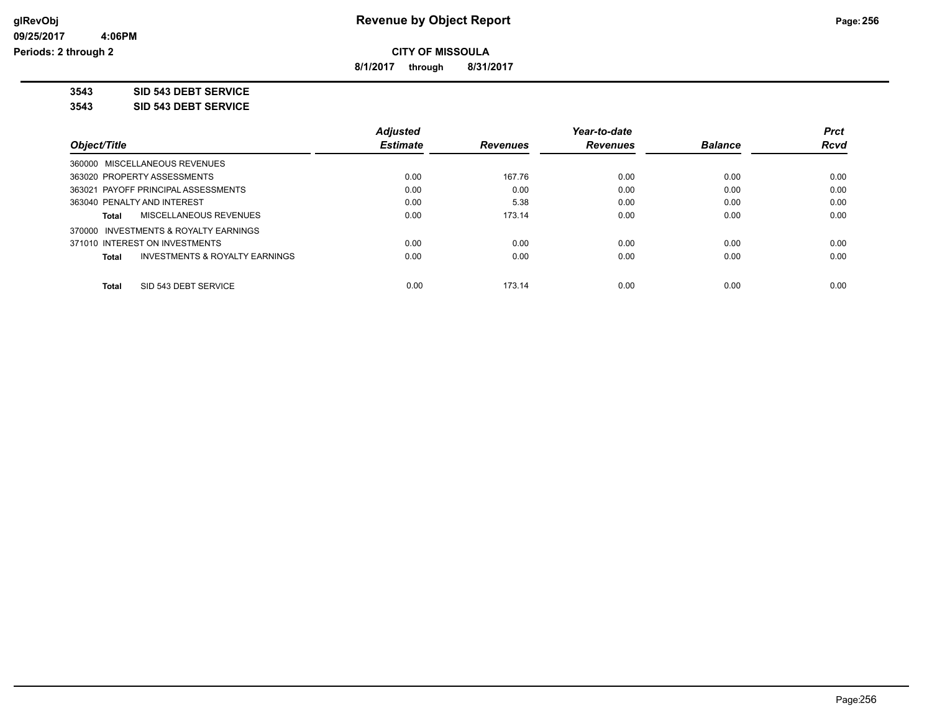**8/1/2017 through 8/31/2017**

**3543 SID 543 DEBT SERVICE**

**3543 SID 543 DEBT SERVICE**

|                                                    | <b>Adjusted</b> |                 | Year-to-date    |                | <b>Prct</b> |
|----------------------------------------------------|-----------------|-----------------|-----------------|----------------|-------------|
| Object/Title                                       | <b>Estimate</b> | <b>Revenues</b> | <b>Revenues</b> | <b>Balance</b> | <b>Rcvd</b> |
| 360000 MISCELLANEOUS REVENUES                      |                 |                 |                 |                |             |
| 363020 PROPERTY ASSESSMENTS                        | 0.00            | 167.76          | 0.00            | 0.00           | 0.00        |
| 363021 PAYOFF PRINCIPAL ASSESSMENTS                | 0.00            | 0.00            | 0.00            | 0.00           | 0.00        |
| 363040 PENALTY AND INTEREST                        | 0.00            | 5.38            | 0.00            | 0.00           | 0.00        |
| MISCELLANEOUS REVENUES<br>Total                    | 0.00            | 173.14          | 0.00            | 0.00           | 0.00        |
| 370000 INVESTMENTS & ROYALTY EARNINGS              |                 |                 |                 |                |             |
| 371010 INTEREST ON INVESTMENTS                     | 0.00            | 0.00            | 0.00            | 0.00           | 0.00        |
| <b>INVESTMENTS &amp; ROYALTY EARNINGS</b><br>Total | 0.00            | 0.00            | 0.00            | 0.00           | 0.00        |
| SID 543 DEBT SERVICE<br><b>Total</b>               | 0.00            | 173.14          | 0.00            | 0.00           | 0.00        |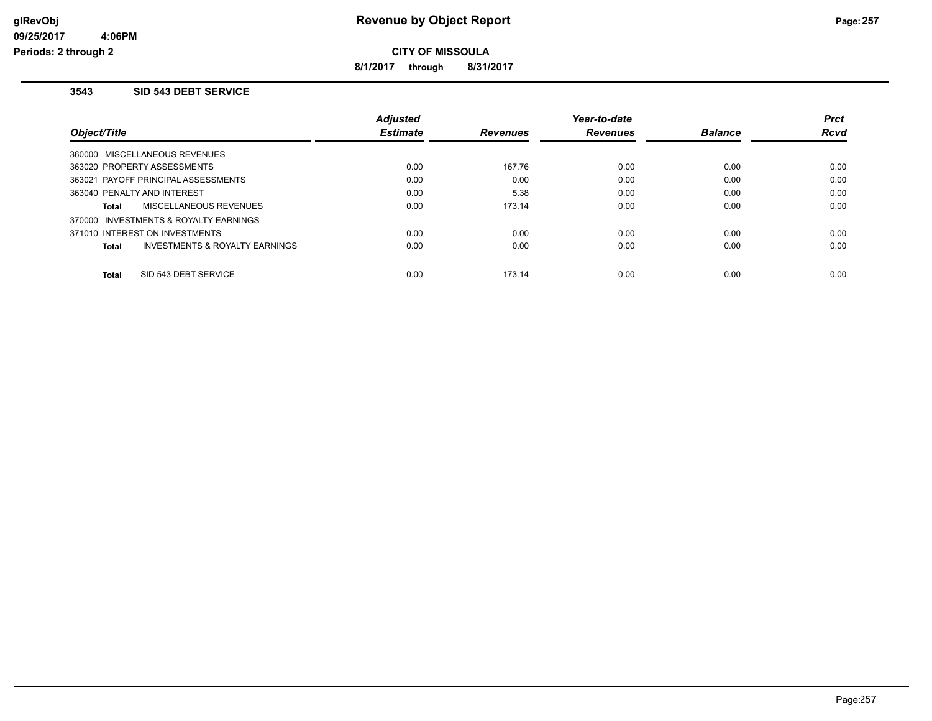**8/1/2017 through 8/31/2017**

#### **3543 SID 543 DEBT SERVICE**

|              |                                     | <b>Adjusted</b> |                 | Year-to-date    |                | <b>Prct</b> |
|--------------|-------------------------------------|-----------------|-----------------|-----------------|----------------|-------------|
| Object/Title |                                     | <b>Estimate</b> | <b>Revenues</b> | <b>Revenues</b> | <b>Balance</b> | <b>Rcvd</b> |
|              | 360000 MISCELLANEOUS REVENUES       |                 |                 |                 |                |             |
|              | 363020 PROPERTY ASSESSMENTS         | 0.00            | 167.76          | 0.00            | 0.00           | 0.00        |
|              | 363021 PAYOFF PRINCIPAL ASSESSMENTS | 0.00            | 0.00            | 0.00            | 0.00           | 0.00        |
|              | 363040 PENALTY AND INTEREST         | 0.00            | 5.38            | 0.00            | 0.00           | 0.00        |
| Total        | MISCELLANEOUS REVENUES              | 0.00            | 173.14          | 0.00            | 0.00           | 0.00        |
| 370000       | INVESTMENTS & ROYALTY EARNINGS      |                 |                 |                 |                |             |
|              | 371010 INTEREST ON INVESTMENTS      | 0.00            | 0.00            | 0.00            | 0.00           | 0.00        |
| Total        | INVESTMENTS & ROYALTY EARNINGS      | 0.00            | 0.00            | 0.00            | 0.00           | 0.00        |
| <b>Total</b> | SID 543 DEBT SERVICE                | 0.00            | 173.14          | 0.00            | 0.00           | 0.00        |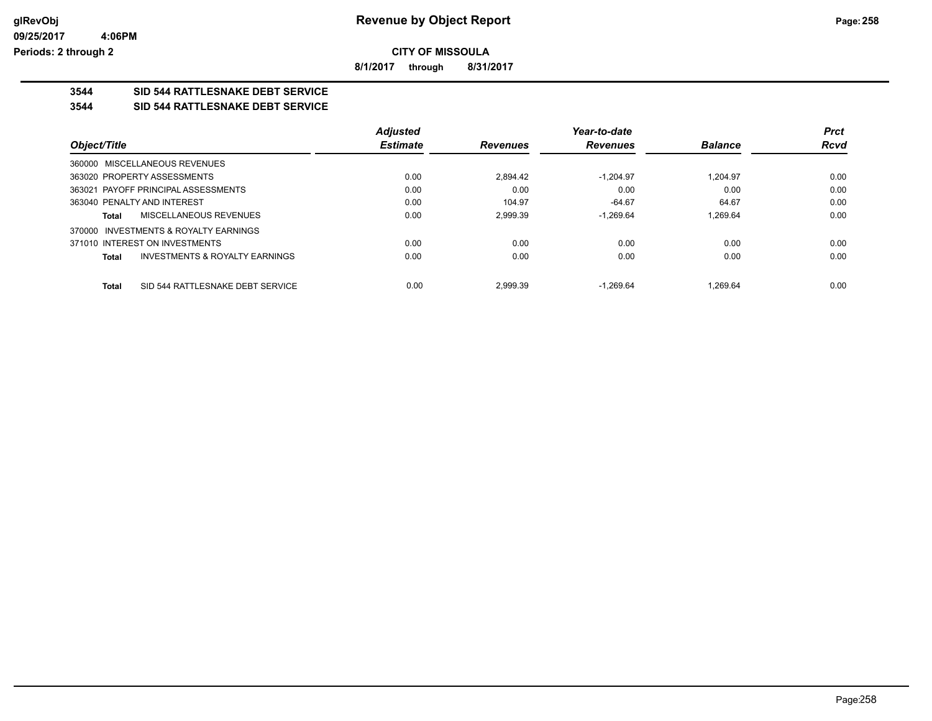**8/1/2017 through 8/31/2017**

# **3544 SID 544 RATTLESNAKE DEBT SERVICE**

## **3544 SID 544 RATTLESNAKE DEBT SERVICE**

|                                                    | <b>Adjusted</b> |                 | Year-to-date    |                | <b>Prct</b> |
|----------------------------------------------------|-----------------|-----------------|-----------------|----------------|-------------|
| Object/Title                                       | <b>Estimate</b> | <b>Revenues</b> | <b>Revenues</b> | <b>Balance</b> | <b>Rcvd</b> |
| 360000 MISCELLANEOUS REVENUES                      |                 |                 |                 |                |             |
| 363020 PROPERTY ASSESSMENTS                        | 0.00            | 2,894.42        | $-1.204.97$     | 1.204.97       | 0.00        |
| 363021 PAYOFF PRINCIPAL ASSESSMENTS                | 0.00            | 0.00            | 0.00            | 0.00           | 0.00        |
| 363040 PENALTY AND INTEREST                        | 0.00            | 104.97          | $-64.67$        | 64.67          | 0.00        |
| MISCELLANEOUS REVENUES<br>Total                    | 0.00            | 2.999.39        | $-1.269.64$     | 1.269.64       | 0.00        |
| INVESTMENTS & ROYALTY EARNINGS<br>370000           |                 |                 |                 |                |             |
| 371010 INTEREST ON INVESTMENTS                     | 0.00            | 0.00            | 0.00            | 0.00           | 0.00        |
| <b>INVESTMENTS &amp; ROYALTY EARNINGS</b><br>Total | 0.00            | 0.00            | 0.00            | 0.00           | 0.00        |
| SID 544 RATTLESNAKE DEBT SERVICE<br><b>Total</b>   | 0.00            | 2.999.39        | $-1.269.64$     | .269.64        | 0.00        |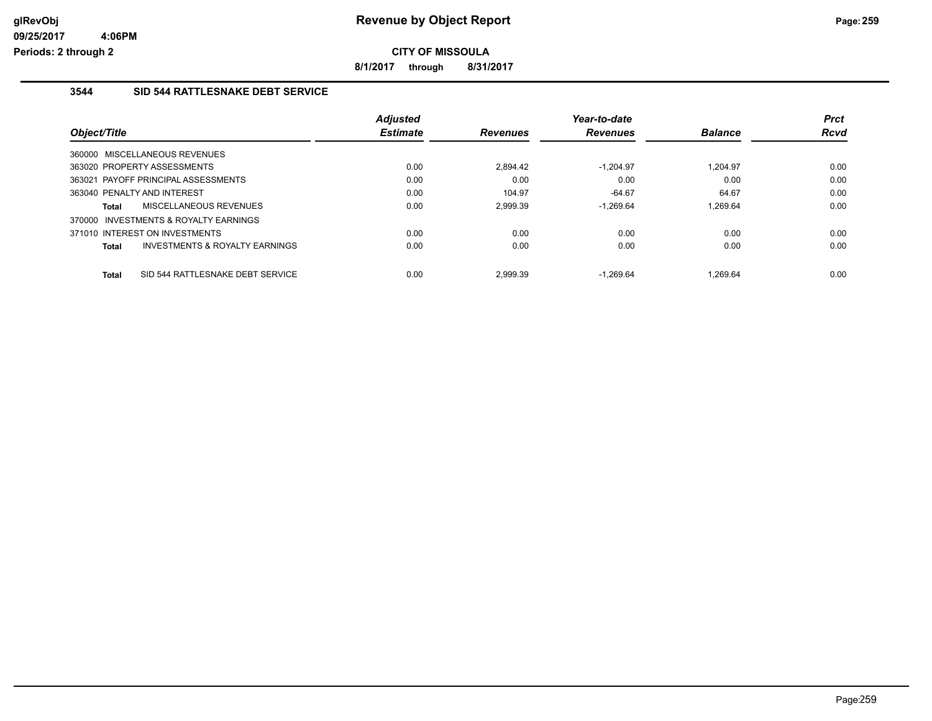**8/1/2017 through 8/31/2017**

#### **3544 SID 544 RATTLESNAKE DEBT SERVICE**

|              |                                           | <b>Adjusted</b> |                 | Year-to-date    |                | <b>Prct</b> |
|--------------|-------------------------------------------|-----------------|-----------------|-----------------|----------------|-------------|
| Object/Title |                                           | <b>Estimate</b> | <b>Revenues</b> | <b>Revenues</b> | <b>Balance</b> | Rcvd        |
|              | 360000 MISCELLANEOUS REVENUES             |                 |                 |                 |                |             |
|              | 363020 PROPERTY ASSESSMENTS               | 0.00            | 2.894.42        | $-1.204.97$     | 1.204.97       | 0.00        |
|              | 363021 PAYOFF PRINCIPAL ASSESSMENTS       | 0.00            | 0.00            | 0.00            | 0.00           | 0.00        |
|              | 363040 PENALTY AND INTEREST               | 0.00            | 104.97          | $-64.67$        | 64.67          | 0.00        |
| <b>Total</b> | MISCELLANEOUS REVENUES                    | 0.00            | 2.999.39        | $-1.269.64$     | 1.269.64       | 0.00        |
| 370000       | <b>INVESTMENTS &amp; ROYALTY EARNINGS</b> |                 |                 |                 |                |             |
|              | 371010 INTEREST ON INVESTMENTS            | 0.00            | 0.00            | 0.00            | 0.00           | 0.00        |
| <b>Total</b> | INVESTMENTS & ROYALTY EARNINGS            | 0.00            | 0.00            | 0.00            | 0.00           | 0.00        |
| <b>Total</b> | SID 544 RATTLESNAKE DEBT SERVICE          | 0.00            | 2.999.39        | $-1.269.64$     | 1.269.64       | 0.00        |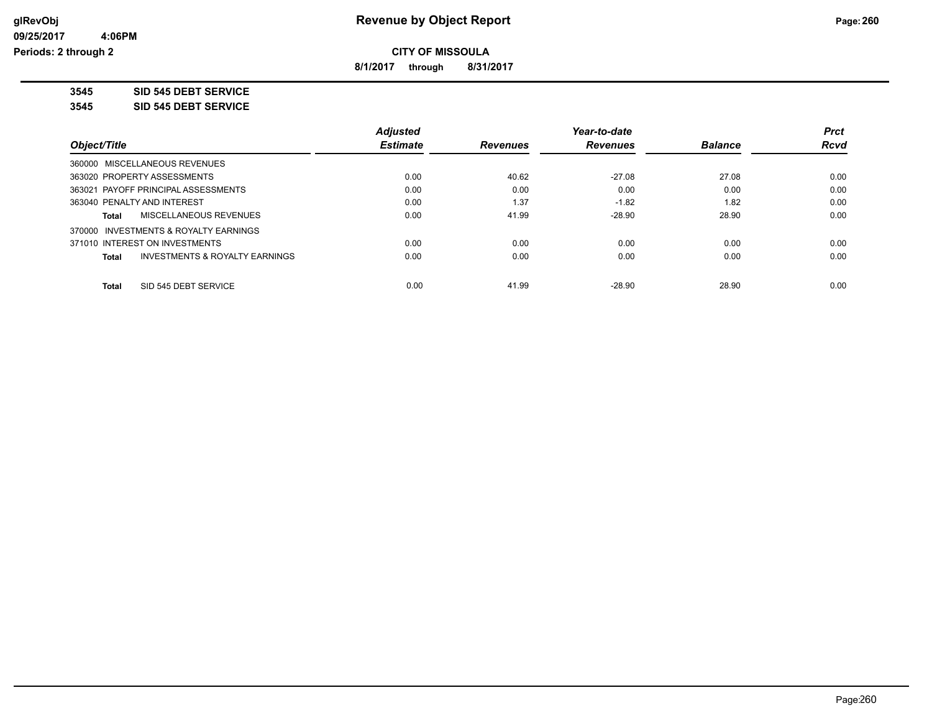**8/1/2017 through 8/31/2017**

**3545 SID 545 DEBT SERVICE**

**3545 SID 545 DEBT SERVICE**

|                                                    | <b>Adjusted</b> |                 | Year-to-date    |                | <b>Prct</b> |
|----------------------------------------------------|-----------------|-----------------|-----------------|----------------|-------------|
| Object/Title                                       | <b>Estimate</b> | <b>Revenues</b> | <b>Revenues</b> | <b>Balance</b> | <b>Rcvd</b> |
| 360000 MISCELLANEOUS REVENUES                      |                 |                 |                 |                |             |
| 363020 PROPERTY ASSESSMENTS                        | 0.00            | 40.62           | $-27.08$        | 27.08          | 0.00        |
| 363021 PAYOFF PRINCIPAL ASSESSMENTS                | 0.00            | 0.00            | 0.00            | 0.00           | 0.00        |
| 363040 PENALTY AND INTEREST                        | 0.00            | 1.37            | $-1.82$         | 1.82           | 0.00        |
| MISCELLANEOUS REVENUES<br>Total                    | 0.00            | 41.99           | $-28.90$        | 28.90          | 0.00        |
| 370000 INVESTMENTS & ROYALTY EARNINGS              |                 |                 |                 |                |             |
| 371010 INTEREST ON INVESTMENTS                     | 0.00            | 0.00            | 0.00            | 0.00           | 0.00        |
| <b>INVESTMENTS &amp; ROYALTY EARNINGS</b><br>Total | 0.00            | 0.00            | 0.00            | 0.00           | 0.00        |
|                                                    |                 |                 |                 |                |             |
| SID 545 DEBT SERVICE<br><b>Total</b>               | 0.00            | 41.99           | $-28.90$        | 28.90          | 0.00        |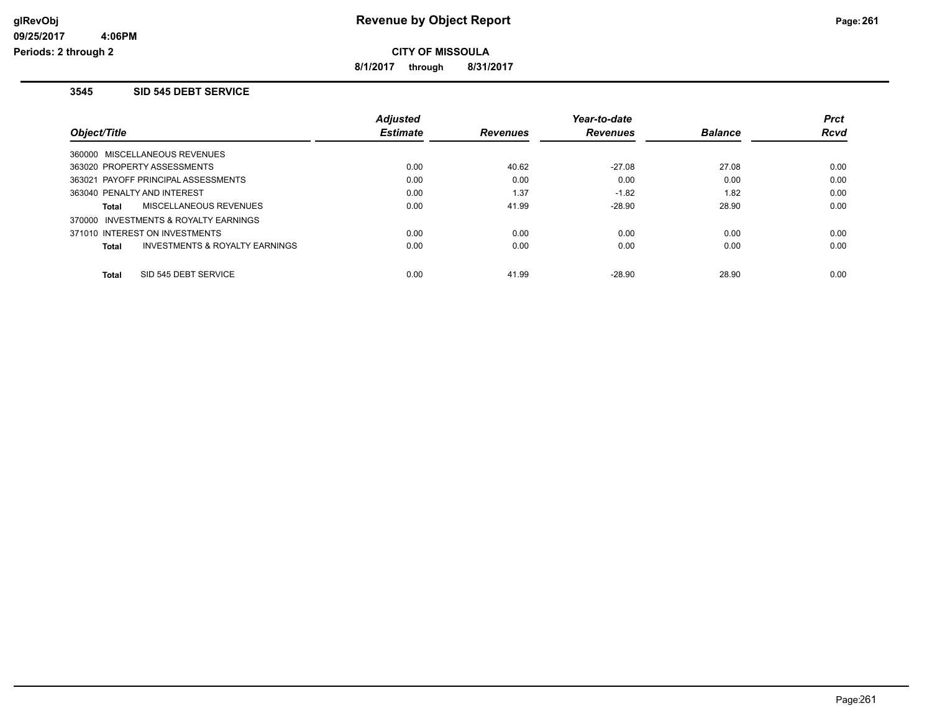**8/1/2017 through 8/31/2017**

#### **3545 SID 545 DEBT SERVICE**

|                                          | Adjusted        |                 | Year-to-date    |                | <b>Prct</b> |
|------------------------------------------|-----------------|-----------------|-----------------|----------------|-------------|
| Object/Title                             | <b>Estimate</b> | <b>Revenues</b> | <b>Revenues</b> | <b>Balance</b> | <b>Rcvd</b> |
| 360000 MISCELLANEOUS REVENUES            |                 |                 |                 |                |             |
| 363020 PROPERTY ASSESSMENTS              | 0.00            | 40.62           | $-27.08$        | 27.08          | 0.00        |
| 363021 PAYOFF PRINCIPAL ASSESSMENTS      | 0.00            | 0.00            | 0.00            | 0.00           | 0.00        |
| 363040 PENALTY AND INTEREST              | 0.00            | 1.37            | $-1.82$         | 1.82           | 0.00        |
| MISCELLANEOUS REVENUES<br>Total          | 0.00            | 41.99           | $-28.90$        | 28.90          | 0.00        |
| INVESTMENTS & ROYALTY EARNINGS<br>370000 |                 |                 |                 |                |             |
| 371010 INTEREST ON INVESTMENTS           | 0.00            | 0.00            | 0.00            | 0.00           | 0.00        |
| INVESTMENTS & ROYALTY EARNINGS<br>Total  | 0.00            | 0.00            | 0.00            | 0.00           | 0.00        |
| SID 545 DEBT SERVICE<br><b>Total</b>     | 0.00            | 41.99           | $-28.90$        | 28.90          | 0.00        |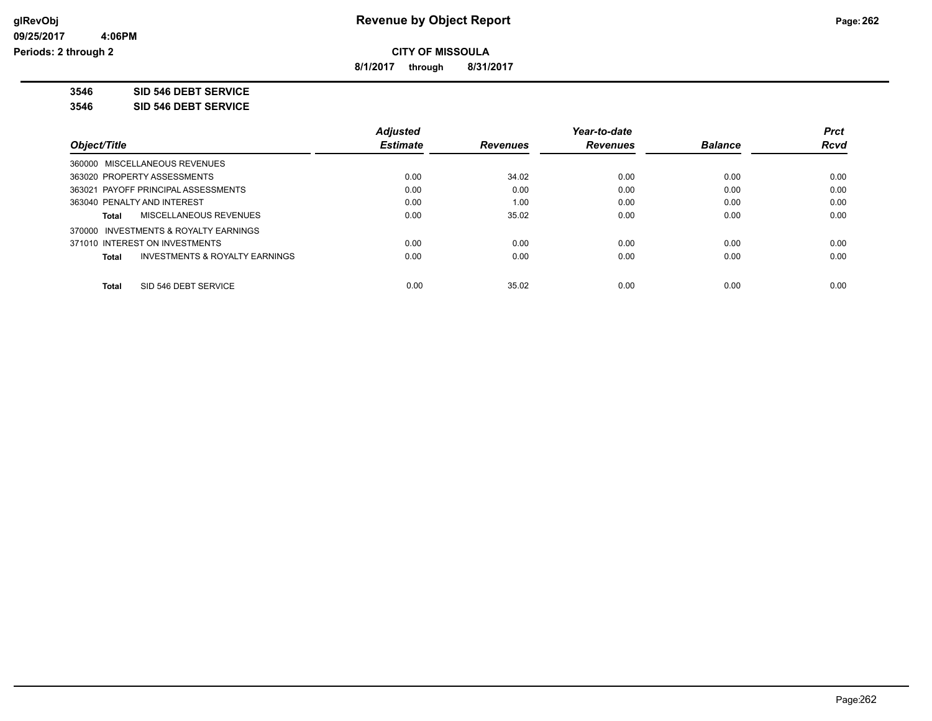**8/1/2017 through 8/31/2017**

**3546 SID 546 DEBT SERVICE**

**3546 SID 546 DEBT SERVICE**

|                                                    | <b>Adjusted</b> |                 | Year-to-date    |                | <b>Prct</b> |
|----------------------------------------------------|-----------------|-----------------|-----------------|----------------|-------------|
| Object/Title                                       | <b>Estimate</b> | <b>Revenues</b> | <b>Revenues</b> | <b>Balance</b> | <b>Rcvd</b> |
| 360000 MISCELLANEOUS REVENUES                      |                 |                 |                 |                |             |
| 363020 PROPERTY ASSESSMENTS                        | 0.00            | 34.02           | 0.00            | 0.00           | 0.00        |
| 363021 PAYOFF PRINCIPAL ASSESSMENTS                | 0.00            | 0.00            | 0.00            | 0.00           | 0.00        |
| 363040 PENALTY AND INTEREST                        | 0.00            | 1.00            | 0.00            | 0.00           | 0.00        |
| MISCELLANEOUS REVENUES<br>Total                    | 0.00            | 35.02           | 0.00            | 0.00           | 0.00        |
| 370000 INVESTMENTS & ROYALTY EARNINGS              |                 |                 |                 |                |             |
| 371010 INTEREST ON INVESTMENTS                     | 0.00            | 0.00            | 0.00            | 0.00           | 0.00        |
| <b>INVESTMENTS &amp; ROYALTY EARNINGS</b><br>Total | 0.00            | 0.00            | 0.00            | 0.00           | 0.00        |
| SID 546 DEBT SERVICE<br>Total                      | 0.00            | 35.02           | 0.00            | 0.00           | 0.00        |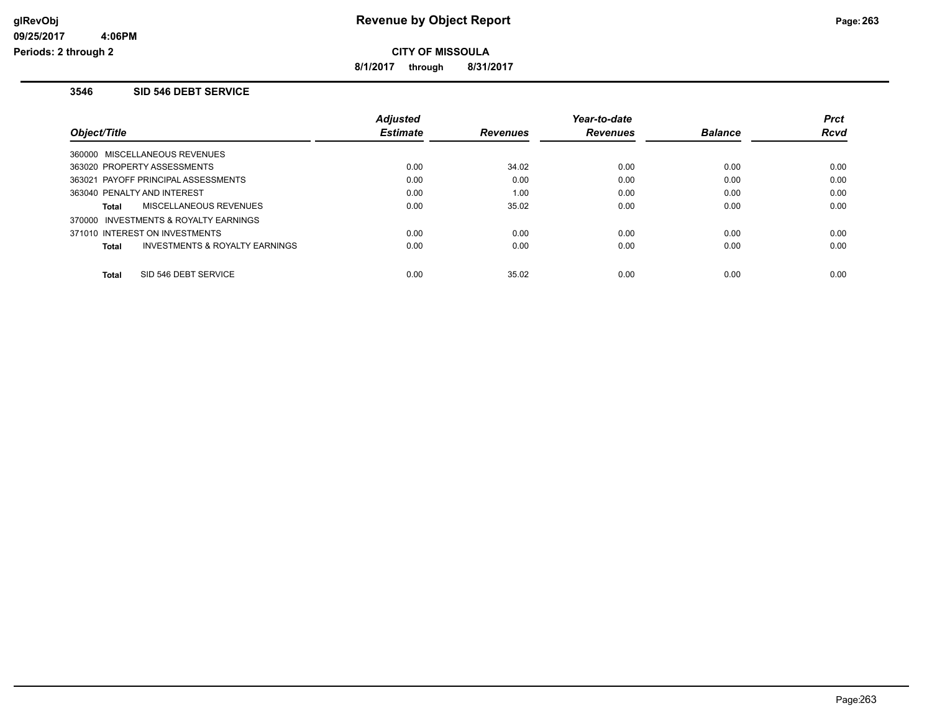**8/1/2017 through 8/31/2017**

#### **3546 SID 546 DEBT SERVICE**

|                                         | <b>Adjusted</b> |                 | Year-to-date    |                | <b>Prct</b> |
|-----------------------------------------|-----------------|-----------------|-----------------|----------------|-------------|
| Object/Title                            | <b>Estimate</b> | <b>Revenues</b> | <b>Revenues</b> | <b>Balance</b> | Rcvd        |
| 360000 MISCELLANEOUS REVENUES           |                 |                 |                 |                |             |
| 363020 PROPERTY ASSESSMENTS             | 0.00            | 34.02           | 0.00            | 0.00           | 0.00        |
| 363021 PAYOFF PRINCIPAL ASSESSMENTS     | 0.00            | 0.00            | 0.00            | 0.00           | 0.00        |
| 363040 PENALTY AND INTEREST             | 0.00            | 1.00            | 0.00            | 0.00           | 0.00        |
| MISCELLANEOUS REVENUES<br>Total         | 0.00            | 35.02           | 0.00            | 0.00           | 0.00        |
| 370000 INVESTMENTS & ROYALTY EARNINGS   |                 |                 |                 |                |             |
| 371010 INTEREST ON INVESTMENTS          | 0.00            | 0.00            | 0.00            | 0.00           | 0.00        |
| INVESTMENTS & ROYALTY EARNINGS<br>Total | 0.00            | 0.00            | 0.00            | 0.00           | 0.00        |
| SID 546 DEBT SERVICE<br><b>Total</b>    | 0.00            | 35.02           | 0.00            | 0.00           | 0.00        |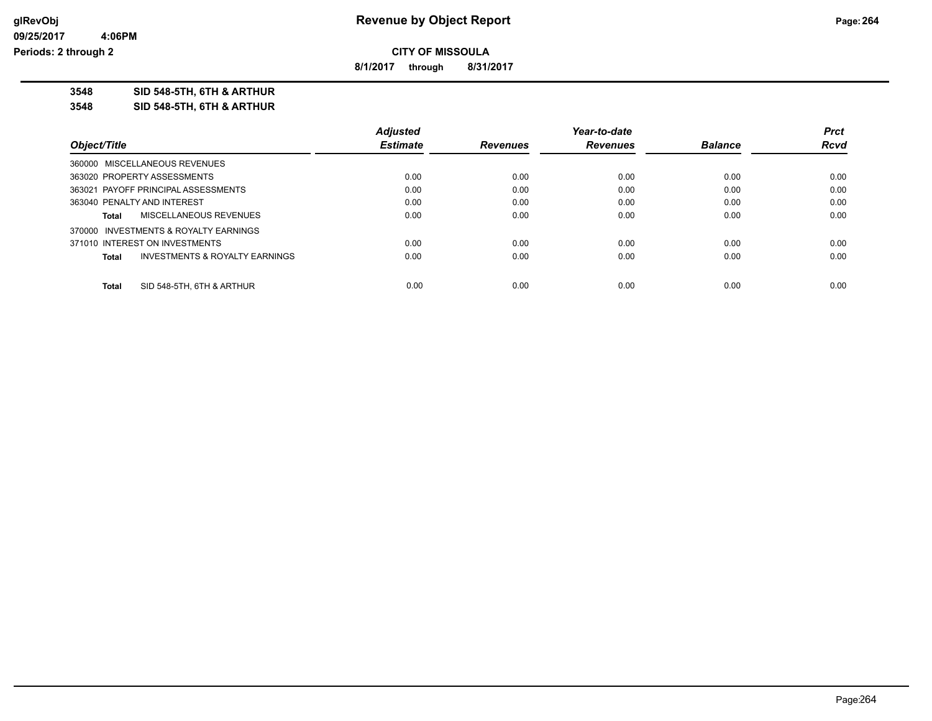**8/1/2017 through 8/31/2017**

**3548 SID 548-5TH, 6TH & ARTHUR**

**3548 SID 548-5TH, 6TH & ARTHUR**

|                                                    | <b>Adjusted</b> |                 | Year-to-date    |                | <b>Prct</b> |
|----------------------------------------------------|-----------------|-----------------|-----------------|----------------|-------------|
| Object/Title                                       | <b>Estimate</b> | <b>Revenues</b> | <b>Revenues</b> | <b>Balance</b> | <b>Rcvd</b> |
| 360000 MISCELLANEOUS REVENUES                      |                 |                 |                 |                |             |
| 363020 PROPERTY ASSESSMENTS                        | 0.00            | 0.00            | 0.00            | 0.00           | 0.00        |
| 363021 PAYOFF PRINCIPAL ASSESSMENTS                | 0.00            | 0.00            | 0.00            | 0.00           | 0.00        |
| 363040 PENALTY AND INTEREST                        | 0.00            | 0.00            | 0.00            | 0.00           | 0.00        |
| <b>MISCELLANEOUS REVENUES</b><br>Total             | 0.00            | 0.00            | 0.00            | 0.00           | 0.00        |
| 370000 INVESTMENTS & ROYALTY EARNINGS              |                 |                 |                 |                |             |
| 371010 INTEREST ON INVESTMENTS                     | 0.00            | 0.00            | 0.00            | 0.00           | 0.00        |
| <b>INVESTMENTS &amp; ROYALTY EARNINGS</b><br>Total | 0.00            | 0.00            | 0.00            | 0.00           | 0.00        |
| SID 548-5TH, 6TH & ARTHUR<br>Total                 | 0.00            | 0.00            | 0.00            | 0.00           | 0.00        |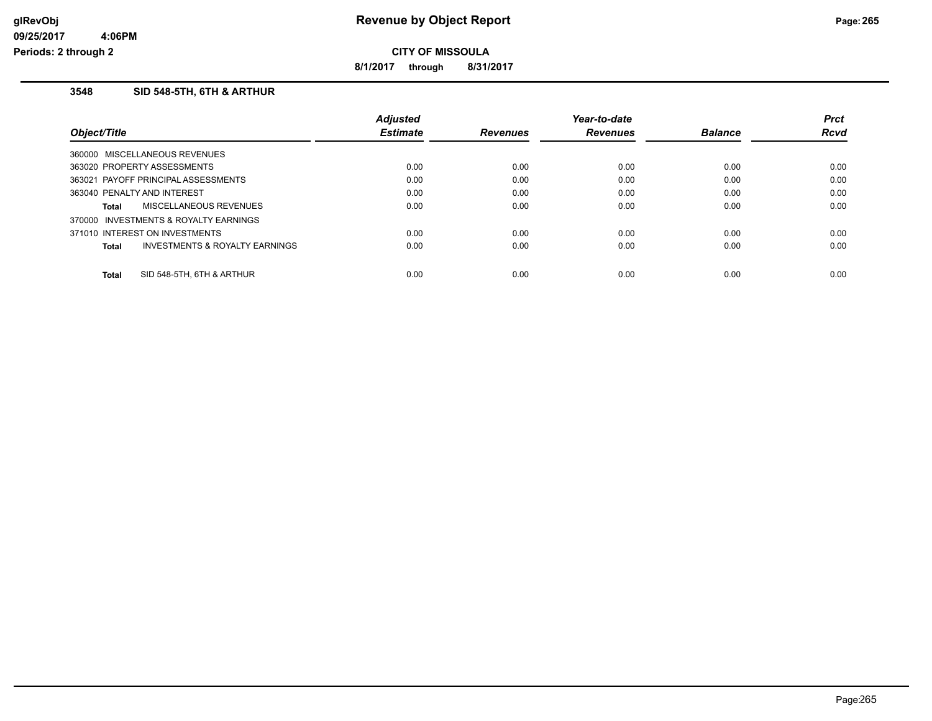**8/1/2017 through 8/31/2017**

#### **3548 SID 548-5TH, 6TH & ARTHUR**

|                                           | <b>Adiusted</b> |                 | Year-to-date    |                | <b>Prct</b> |
|-------------------------------------------|-----------------|-----------------|-----------------|----------------|-------------|
| Obiect/Title                              | <b>Estimate</b> | <b>Revenues</b> | <b>Revenues</b> | <b>Balance</b> | <b>Rcvd</b> |
| 360000 MISCELLANEOUS REVENUES             |                 |                 |                 |                |             |
| 363020 PROPERTY ASSESSMENTS               | 0.00            | 0.00            | 0.00            | 0.00           | 0.00        |
| 363021 PAYOFF PRINCIPAL ASSESSMENTS       | 0.00            | 0.00            | 0.00            | 0.00           | 0.00        |
| 363040 PENALTY AND INTEREST               | 0.00            | 0.00            | 0.00            | 0.00           | 0.00        |
| MISCELLANEOUS REVENUES<br>Total           | 0.00            | 0.00            | 0.00            | 0.00           | 0.00        |
| 370000 INVESTMENTS & ROYALTY EARNINGS     |                 |                 |                 |                |             |
| 371010 INTEREST ON INVESTMENTS            | 0.00            | 0.00            | 0.00            | 0.00           | 0.00        |
| INVESTMENTS & ROYALTY EARNINGS<br>Total   | 0.00            | 0.00            | 0.00            | 0.00           | 0.00        |
| SID 548-5TH, 6TH & ARTHUR<br><b>Total</b> | 0.00            | 0.00            | 0.00            | 0.00           | 0.00        |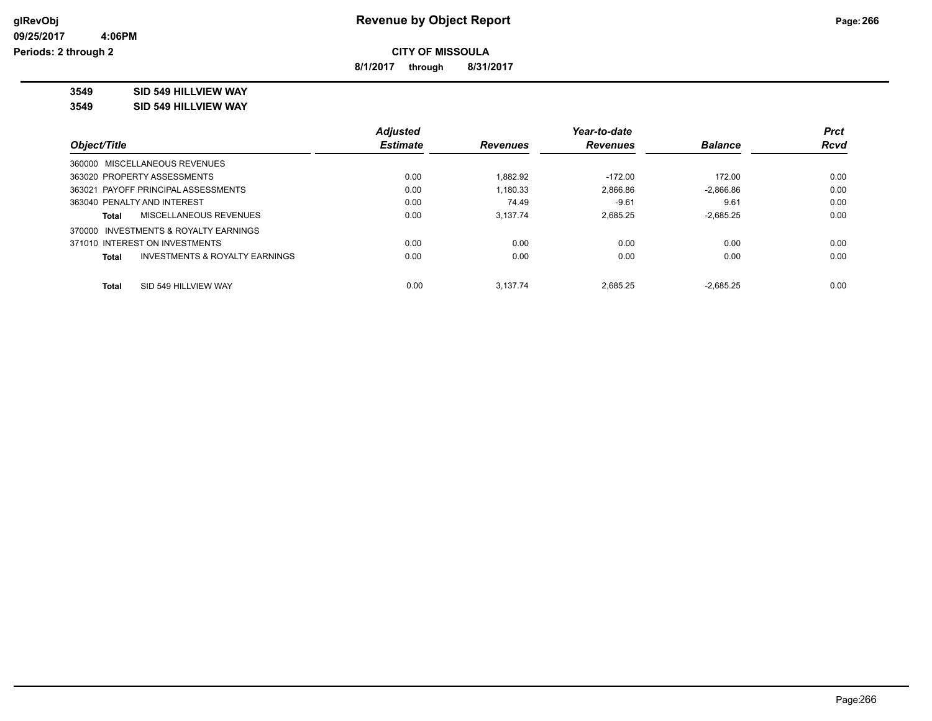**8/1/2017 through 8/31/2017**

#### **3549 SID 549 HILLVIEW WAY**

#### **3549 SID 549 HILLVIEW WAY**

|                                                    | <b>Adjusted</b> |                 | Year-to-date    |                | <b>Prct</b> |
|----------------------------------------------------|-----------------|-----------------|-----------------|----------------|-------------|
| Object/Title                                       | <b>Estimate</b> | <b>Revenues</b> | <b>Revenues</b> | <b>Balance</b> | <b>Rcvd</b> |
| 360000 MISCELLANEOUS REVENUES                      |                 |                 |                 |                |             |
| 363020 PROPERTY ASSESSMENTS                        | 0.00            | 1.882.92        | $-172.00$       | 172.00         | 0.00        |
| 363021 PAYOFF PRINCIPAL ASSESSMENTS                | 0.00            | 1.180.33        | 2,866.86        | $-2,866.86$    | 0.00        |
| 363040 PENALTY AND INTEREST                        | 0.00            | 74.49           | $-9.61$         | 9.61           | 0.00        |
| MISCELLANEOUS REVENUES<br>Total                    | 0.00            | 3.137.74        | 2.685.25        | $-2,685.25$    | 0.00        |
| 370000 INVESTMENTS & ROYALTY EARNINGS              |                 |                 |                 |                |             |
| 371010 INTEREST ON INVESTMENTS                     | 0.00            | 0.00            | 0.00            | 0.00           | 0.00        |
| <b>INVESTMENTS &amp; ROYALTY EARNINGS</b><br>Total | 0.00            | 0.00            | 0.00            | 0.00           | 0.00        |
| SID 549 HILLVIEW WAY<br><b>Total</b>               | 0.00            | 3.137.74        | 2.685.25        | $-2.685.25$    | 0.00        |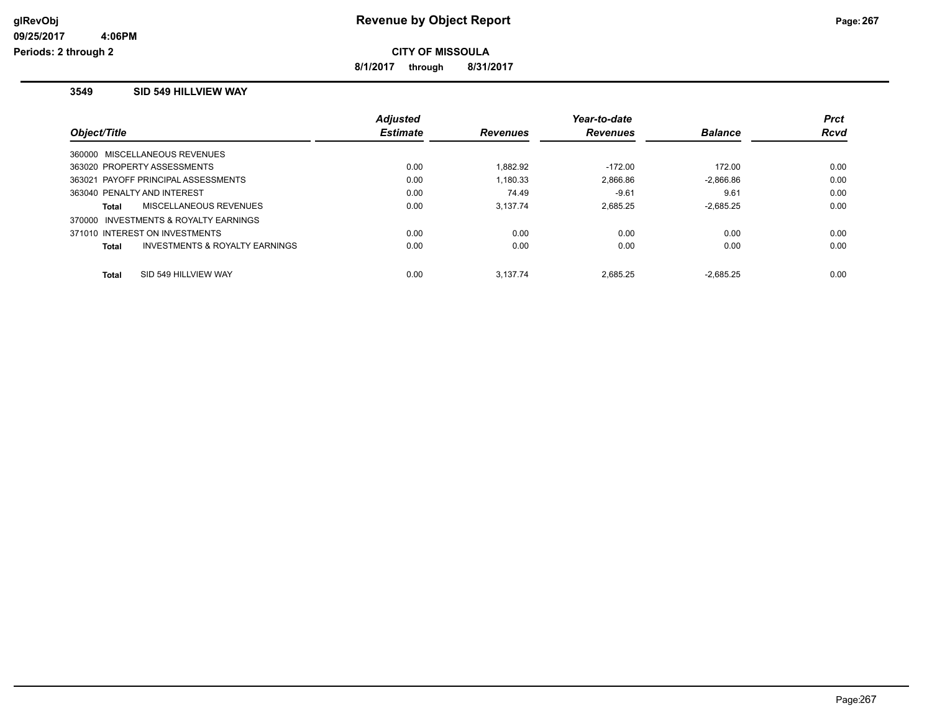**8/1/2017 through 8/31/2017**

#### **3549 SID 549 HILLVIEW WAY**

|                                         | <b>Adjusted</b> |                 | Year-to-date    |                | <b>Prct</b> |
|-----------------------------------------|-----------------|-----------------|-----------------|----------------|-------------|
| Object/Title                            | <b>Estimate</b> | <b>Revenues</b> | <b>Revenues</b> | <b>Balance</b> | <b>Rcvd</b> |
| 360000 MISCELLANEOUS REVENUES           |                 |                 |                 |                |             |
| 363020 PROPERTY ASSESSMENTS             | 0.00            | 1.882.92        | $-172.00$       | 172.00         | 0.00        |
| 363021 PAYOFF PRINCIPAL ASSESSMENTS     | 0.00            | 1.180.33        | 2.866.86        | $-2.866.86$    | 0.00        |
| 363040 PENALTY AND INTEREST             | 0.00            | 74.49           | $-9.61$         | 9.61           | 0.00        |
| MISCELLANEOUS REVENUES<br>Total         | 0.00            | 3.137.74        | 2.685.25        | $-2.685.25$    | 0.00        |
| 370000 INVESTMENTS & ROYALTY EARNINGS   |                 |                 |                 |                |             |
| 371010 INTEREST ON INVESTMENTS          | 0.00            | 0.00            | 0.00            | 0.00           | 0.00        |
| INVESTMENTS & ROYALTY EARNINGS<br>Total | 0.00            | 0.00            | 0.00            | 0.00           | 0.00        |
| SID 549 HILLVIEW WAY<br><b>Total</b>    | 0.00            | 3.137.74        | 2.685.25        | $-2.685.25$    | 0.00        |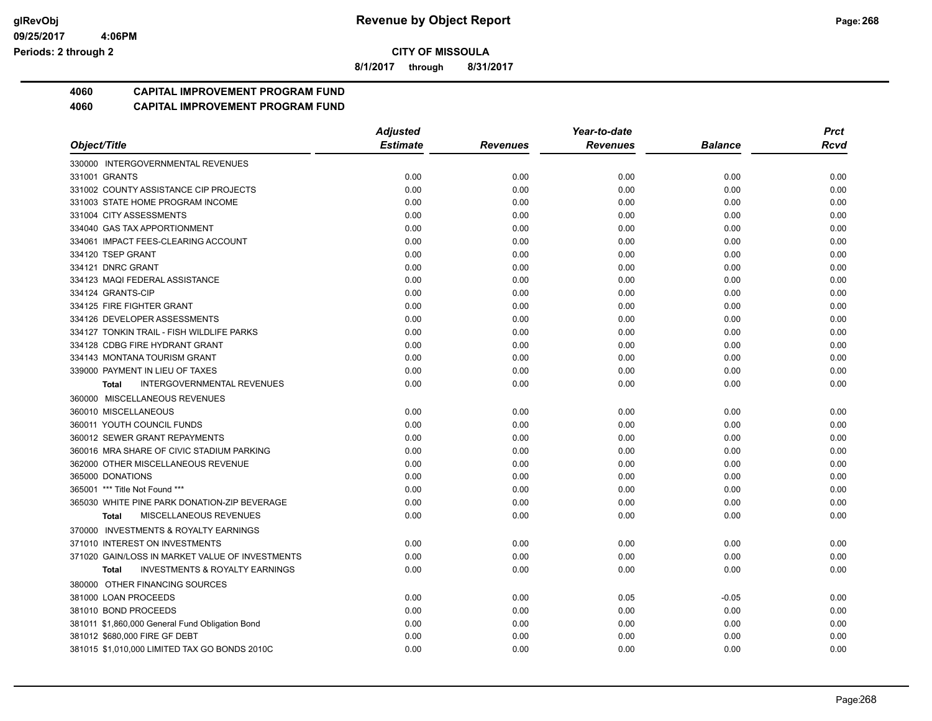**8/1/2017 through 8/31/2017**

# **4060 CAPITAL IMPROVEMENT PROGRAM FUND**

|                                                    | <b>Adjusted</b> |                 | Year-to-date    |                | <b>Prct</b> |
|----------------------------------------------------|-----------------|-----------------|-----------------|----------------|-------------|
| Object/Title                                       | <b>Estimate</b> | <b>Revenues</b> | <b>Revenues</b> | <b>Balance</b> | <b>Rcvd</b> |
| 330000 INTERGOVERNMENTAL REVENUES                  |                 |                 |                 |                |             |
| 331001 GRANTS                                      | 0.00            | 0.00            | 0.00            | 0.00           | 0.00        |
| 331002 COUNTY ASSISTANCE CIP PROJECTS              | 0.00            | 0.00            | 0.00            | 0.00           | 0.00        |
| 331003 STATE HOME PROGRAM INCOME                   | 0.00            | 0.00            | 0.00            | 0.00           | 0.00        |
| 331004 CITY ASSESSMENTS                            | 0.00            | 0.00            | 0.00            | 0.00           | 0.00        |
| 334040 GAS TAX APPORTIONMENT                       | 0.00            | 0.00            | 0.00            | 0.00           | 0.00        |
| 334061 IMPACT FEES-CLEARING ACCOUNT                | 0.00            | 0.00            | 0.00            | 0.00           | 0.00        |
| 334120 TSEP GRANT                                  | 0.00            | 0.00            | 0.00            | 0.00           | 0.00        |
| 334121 DNRC GRANT                                  | 0.00            | 0.00            | 0.00            | 0.00           | 0.00        |
| 334123 MAQI FEDERAL ASSISTANCE                     | 0.00            | 0.00            | 0.00            | 0.00           | 0.00        |
| 334124 GRANTS-CIP                                  | 0.00            | 0.00            | 0.00            | 0.00           | 0.00        |
| 334125 FIRE FIGHTER GRANT                          | 0.00            | 0.00            | 0.00            | 0.00           | 0.00        |
| 334126 DEVELOPER ASSESSMENTS                       | 0.00            | 0.00            | 0.00            | 0.00           | 0.00        |
| 334127 TONKIN TRAIL - FISH WILDLIFE PARKS          | 0.00            | 0.00            | 0.00            | 0.00           | 0.00        |
| 334128 CDBG FIRE HYDRANT GRANT                     | 0.00            | 0.00            | 0.00            | 0.00           | 0.00        |
| 334143 MONTANA TOURISM GRANT                       | 0.00            | 0.00            | 0.00            | 0.00           | 0.00        |
| 339000 PAYMENT IN LIEU OF TAXES                    | 0.00            | 0.00            | 0.00            | 0.00           | 0.00        |
| <b>INTERGOVERNMENTAL REVENUES</b><br><b>Total</b>  | 0.00            | 0.00            | 0.00            | 0.00           | 0.00        |
| 360000 MISCELLANEOUS REVENUES                      |                 |                 |                 |                |             |
| 360010 MISCELLANEOUS                               | 0.00            | 0.00            | 0.00            | 0.00           | 0.00        |
| 360011 YOUTH COUNCIL FUNDS                         | 0.00            | 0.00            | 0.00            | 0.00           | 0.00        |
| 360012 SEWER GRANT REPAYMENTS                      | 0.00            | 0.00            | 0.00            | 0.00           | 0.00        |
| 360016 MRA SHARE OF CIVIC STADIUM PARKING          | 0.00            | 0.00            | 0.00            | 0.00           | 0.00        |
| 362000 OTHER MISCELLANEOUS REVENUE                 | 0.00            | 0.00            | 0.00            | 0.00           | 0.00        |
| 365000 DONATIONS                                   | 0.00            | 0.00            | 0.00            | 0.00           | 0.00        |
| 365001 *** Title Not Found ***                     | 0.00            | 0.00            | 0.00            | 0.00           | 0.00        |
| 365030 WHITE PINE PARK DONATION-ZIP BEVERAGE       | 0.00            | 0.00            | 0.00            | 0.00           | 0.00        |
| MISCELLANEOUS REVENUES<br>Total                    | 0.00            | 0.00            | 0.00            | 0.00           | 0.00        |
| 370000 INVESTMENTS & ROYALTY EARNINGS              |                 |                 |                 |                |             |
| 371010 INTEREST ON INVESTMENTS                     | 0.00            | 0.00            | 0.00            | 0.00           | 0.00        |
| 371020 GAIN/LOSS IN MARKET VALUE OF INVESTMENTS    | 0.00            | 0.00            | 0.00            | 0.00           | 0.00        |
| <b>INVESTMENTS &amp; ROYALTY EARNINGS</b><br>Total | 0.00            | 0.00            | 0.00            | 0.00           | 0.00        |
| 380000 OTHER FINANCING SOURCES                     |                 |                 |                 |                |             |
| 381000 LOAN PROCEEDS                               | 0.00            | 0.00            | 0.05            | $-0.05$        | 0.00        |
| 381010 BOND PROCEEDS                               | 0.00            | 0.00            | 0.00            | 0.00           | 0.00        |
| 381011 \$1,860,000 General Fund Obligation Bond    | 0.00            | 0.00            | 0.00            | 0.00           | 0.00        |
| 381012 \$680,000 FIRE GF DEBT                      | 0.00            | 0.00            | 0.00            | 0.00           | 0.00        |
| 381015 \$1,010,000 LIMITED TAX GO BONDS 2010C      | 0.00            | 0.00            | 0.00            | 0.00           | 0.00        |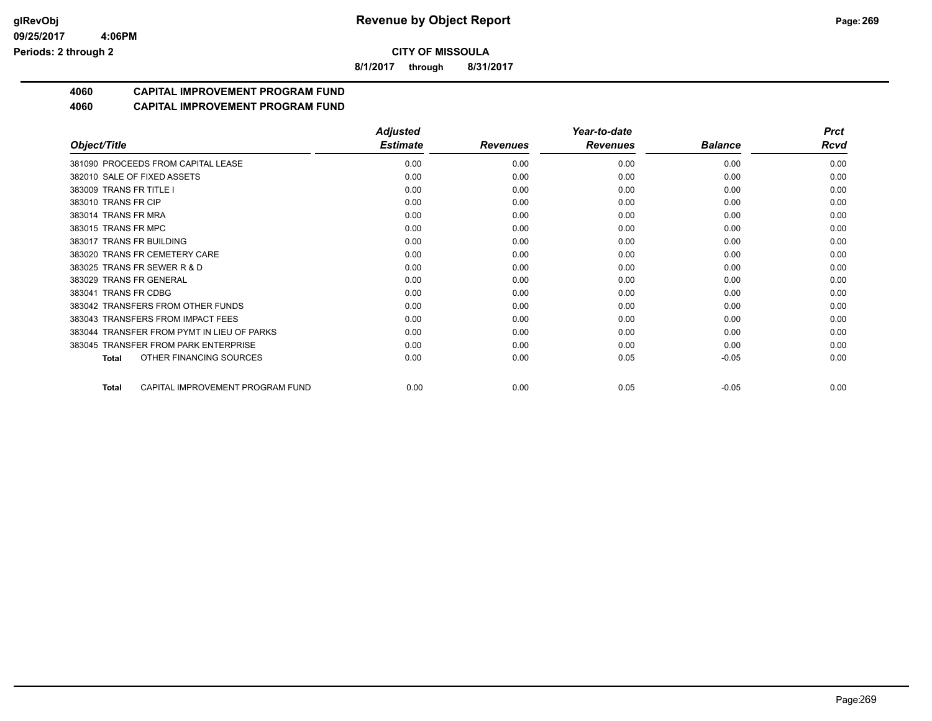**8/1/2017 through 8/31/2017**

# **4060 CAPITAL IMPROVEMENT PROGRAM FUND**

|                                                  | <b>Adjusted</b> |                 | Year-to-date    |                | Prct        |
|--------------------------------------------------|-----------------|-----------------|-----------------|----------------|-------------|
| Object/Title                                     | <b>Estimate</b> | <b>Revenues</b> | <b>Revenues</b> | <b>Balance</b> | <b>Rcvd</b> |
| 381090 PROCEEDS FROM CAPITAL LEASE               | 0.00            | 0.00            | 0.00            | 0.00           | 0.00        |
| 382010 SALE OF FIXED ASSETS                      | 0.00            | 0.00            | 0.00            | 0.00           | 0.00        |
| 383009 TRANS FR TITLE I                          | 0.00            | 0.00            | 0.00            | 0.00           | 0.00        |
| 383010 TRANS FR CIP                              | 0.00            | 0.00            | 0.00            | 0.00           | 0.00        |
| 383014 TRANS FR MRA                              | 0.00            | 0.00            | 0.00            | 0.00           | 0.00        |
| 383015 TRANS FR MPC                              | 0.00            | 0.00            | 0.00            | 0.00           | 0.00        |
| 383017 TRANS FR BUILDING                         | 0.00            | 0.00            | 0.00            | 0.00           | 0.00        |
| 383020 TRANS FR CEMETERY CARE                    | 0.00            | 0.00            | 0.00            | 0.00           | 0.00        |
| 383025 TRANS FR SEWER R & D                      | 0.00            | 0.00            | 0.00            | 0.00           | 0.00        |
| 383029 TRANS FR GENERAL                          | 0.00            | 0.00            | 0.00            | 0.00           | 0.00        |
| 383041 TRANS FR CDBG                             | 0.00            | 0.00            | 0.00            | 0.00           | 0.00        |
| 383042 TRANSFERS FROM OTHER FUNDS                | 0.00            | 0.00            | 0.00            | 0.00           | 0.00        |
| 383043 TRANSFERS FROM IMPACT FEES                | 0.00            | 0.00            | 0.00            | 0.00           | 0.00        |
| 383044 TRANSFER FROM PYMT IN LIEU OF PARKS       | 0.00            | 0.00            | 0.00            | 0.00           | 0.00        |
| 383045 TRANSFER FROM PARK ENTERPRISE             | 0.00            | 0.00            | 0.00            | 0.00           | 0.00        |
| OTHER FINANCING SOURCES<br><b>Total</b>          | 0.00            | 0.00            | 0.05            | $-0.05$        | 0.00        |
| CAPITAL IMPROVEMENT PROGRAM FUND<br><b>Total</b> | 0.00            | 0.00            | 0.05            | $-0.05$        | 0.00        |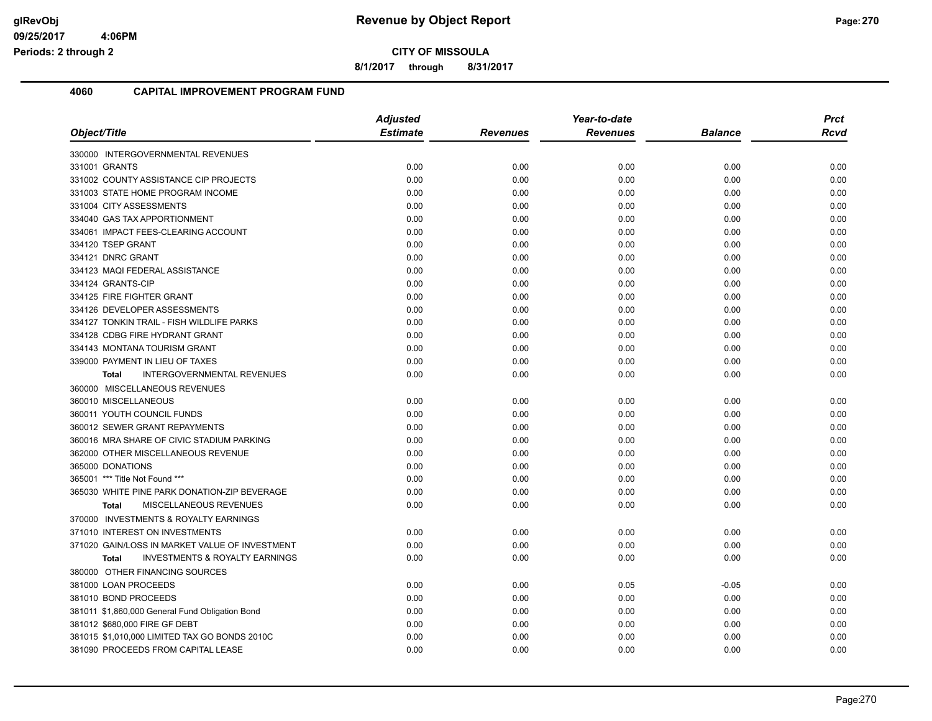**8/1/2017 through 8/31/2017**

|                                                           | <b>Adjusted</b> |                 | Year-to-date    |                | <b>Prct</b> |
|-----------------------------------------------------------|-----------------|-----------------|-----------------|----------------|-------------|
| Object/Title                                              | <b>Estimate</b> | <b>Revenues</b> | <b>Revenues</b> | <b>Balance</b> | <b>Rcvd</b> |
| 330000 INTERGOVERNMENTAL REVENUES                         |                 |                 |                 |                |             |
| 331001 GRANTS                                             | 0.00            | 0.00            | 0.00            | 0.00           | 0.00        |
| 331002 COUNTY ASSISTANCE CIP PROJECTS                     | 0.00            | 0.00            | 0.00            | 0.00           | 0.00        |
| 331003 STATE HOME PROGRAM INCOME                          | 0.00            | 0.00            | 0.00            | 0.00           | 0.00        |
| 331004 CITY ASSESSMENTS                                   | 0.00            | 0.00            | 0.00            | 0.00           | 0.00        |
| 334040 GAS TAX APPORTIONMENT                              | 0.00            | 0.00            | 0.00            | 0.00           | 0.00        |
| 334061 IMPACT FEES-CLEARING ACCOUNT                       | 0.00            | 0.00            | 0.00            | 0.00           | 0.00        |
| 334120 TSEP GRANT                                         | 0.00            | 0.00            | 0.00            | 0.00           | 0.00        |
| 334121 DNRC GRANT                                         | 0.00            | 0.00            | 0.00            | 0.00           | 0.00        |
| 334123 MAQI FEDERAL ASSISTANCE                            | 0.00            | 0.00            | 0.00            | 0.00           | 0.00        |
| 334124 GRANTS-CIP                                         | 0.00            | 0.00            | 0.00            | 0.00           | 0.00        |
| 334125 FIRE FIGHTER GRANT                                 | 0.00            | 0.00            | 0.00            | 0.00           | 0.00        |
| 334126 DEVELOPER ASSESSMENTS                              | 0.00            | 0.00            | 0.00            | 0.00           | 0.00        |
| 334127 TONKIN TRAIL - FISH WILDLIFE PARKS                 | 0.00            | 0.00            | 0.00            | 0.00           | 0.00        |
| 334128 CDBG FIRE HYDRANT GRANT                            | 0.00            | 0.00            | 0.00            | 0.00           | 0.00        |
| 334143 MONTANA TOURISM GRANT                              | 0.00            | 0.00            | 0.00            | 0.00           | 0.00        |
| 339000 PAYMENT IN LIEU OF TAXES                           | 0.00            | 0.00            | 0.00            | 0.00           | 0.00        |
| <b>INTERGOVERNMENTAL REVENUES</b><br><b>Total</b>         | 0.00            | 0.00            | 0.00            | 0.00           | 0.00        |
| 360000 MISCELLANEOUS REVENUES                             |                 |                 |                 |                |             |
| 360010 MISCELLANEOUS                                      | 0.00            | 0.00            | 0.00            | 0.00           | 0.00        |
| 360011 YOUTH COUNCIL FUNDS                                | 0.00            | 0.00            | 0.00            | 0.00           | 0.00        |
| 360012 SEWER GRANT REPAYMENTS                             | 0.00            | 0.00            | 0.00            | 0.00           | 0.00        |
| 360016 MRA SHARE OF CIVIC STADIUM PARKING                 | 0.00            | 0.00            | 0.00            | 0.00           | 0.00        |
| 362000 OTHER MISCELLANEOUS REVENUE                        | 0.00            | 0.00            | 0.00            | 0.00           | 0.00        |
| 365000 DONATIONS                                          | 0.00            | 0.00            | 0.00            | 0.00           | 0.00        |
| 365001 *** Title Not Found ***                            | 0.00            | 0.00            | 0.00            | 0.00           | 0.00        |
| 365030 WHITE PINE PARK DONATION-ZIP BEVERAGE              | 0.00            | 0.00            | 0.00            | 0.00           | 0.00        |
| MISCELLANEOUS REVENUES<br><b>Total</b>                    | 0.00            | 0.00            | 0.00            | 0.00           | 0.00        |
| 370000 INVESTMENTS & ROYALTY EARNINGS                     |                 |                 |                 |                |             |
| 371010 INTEREST ON INVESTMENTS                            | 0.00            | 0.00            | 0.00            | 0.00           | 0.00        |
| 371020 GAIN/LOSS IN MARKET VALUE OF INVESTMENT            | 0.00            | 0.00            | 0.00            | 0.00           | 0.00        |
| <b>INVESTMENTS &amp; ROYALTY EARNINGS</b><br><b>Total</b> | 0.00            | 0.00            | 0.00            | 0.00           | 0.00        |
| 380000 OTHER FINANCING SOURCES                            |                 |                 |                 |                |             |
| 381000 LOAN PROCEEDS                                      | 0.00            | 0.00            | 0.05            | $-0.05$        | 0.00        |
| 381010 BOND PROCEEDS                                      | 0.00            | 0.00            | 0.00            | 0.00           | 0.00        |
| 381011 \$1,860,000 General Fund Obligation Bond           | 0.00            | 0.00            | 0.00            | 0.00           | 0.00        |
| 381012 \$680,000 FIRE GF DEBT                             | 0.00            | 0.00            | 0.00            | 0.00           | 0.00        |
| 381015 \$1,010,000 LIMITED TAX GO BONDS 2010C             | 0.00            | 0.00            | 0.00            | 0.00           | 0.00        |
| 381090 PROCEEDS FROM CAPITAL LEASE                        | 0.00            | 0.00            | 0.00            | 0.00           | 0.00        |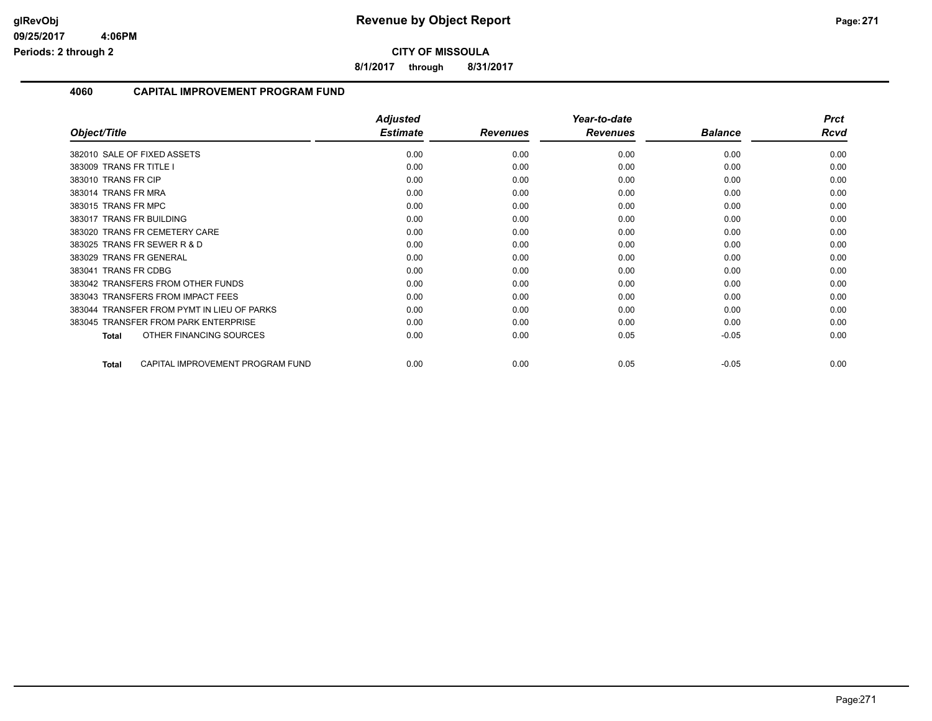**8/1/2017 through 8/31/2017**

|                                                  | <b>Adjusted</b> |                 | Year-to-date    |                | <b>Prct</b> |
|--------------------------------------------------|-----------------|-----------------|-----------------|----------------|-------------|
| Object/Title                                     | <b>Estimate</b> | <b>Revenues</b> | <b>Revenues</b> | <b>Balance</b> | Rcvd        |
| 382010 SALE OF FIXED ASSETS                      | 0.00            | 0.00            | 0.00            | 0.00           | 0.00        |
| 383009 TRANS FR TITLE I                          | 0.00            | 0.00            | 0.00            | 0.00           | 0.00        |
| 383010 TRANS FR CIP                              | 0.00            | 0.00            | 0.00            | 0.00           | 0.00        |
| 383014 TRANS FR MRA                              | 0.00            | 0.00            | 0.00            | 0.00           | 0.00        |
| 383015 TRANS FR MPC                              | 0.00            | 0.00            | 0.00            | 0.00           | 0.00        |
| 383017 TRANS FR BUILDING                         | 0.00            | 0.00            | 0.00            | 0.00           | 0.00        |
| 383020 TRANS FR CEMETERY CARE                    | 0.00            | 0.00            | 0.00            | 0.00           | 0.00        |
| 383025 TRANS FR SEWER R & D                      | 0.00            | 0.00            | 0.00            | 0.00           | 0.00        |
| 383029 TRANS FR GENERAL                          | 0.00            | 0.00            | 0.00            | 0.00           | 0.00        |
| 383041 TRANS FR CDBG                             | 0.00            | 0.00            | 0.00            | 0.00           | 0.00        |
| 383042 TRANSFERS FROM OTHER FUNDS                | 0.00            | 0.00            | 0.00            | 0.00           | 0.00        |
| 383043 TRANSFERS FROM IMPACT FEES                | 0.00            | 0.00            | 0.00            | 0.00           | 0.00        |
| 383044 TRANSFER FROM PYMT IN LIEU OF PARKS       | 0.00            | 0.00            | 0.00            | 0.00           | 0.00        |
| 383045 TRANSFER FROM PARK ENTERPRISE             | 0.00            | 0.00            | 0.00            | 0.00           | 0.00        |
| OTHER FINANCING SOURCES<br>Total                 | 0.00            | 0.00            | 0.05            | $-0.05$        | 0.00        |
| CAPITAL IMPROVEMENT PROGRAM FUND<br><b>Total</b> | 0.00            | 0.00            | 0.05            | $-0.05$        | 0.00        |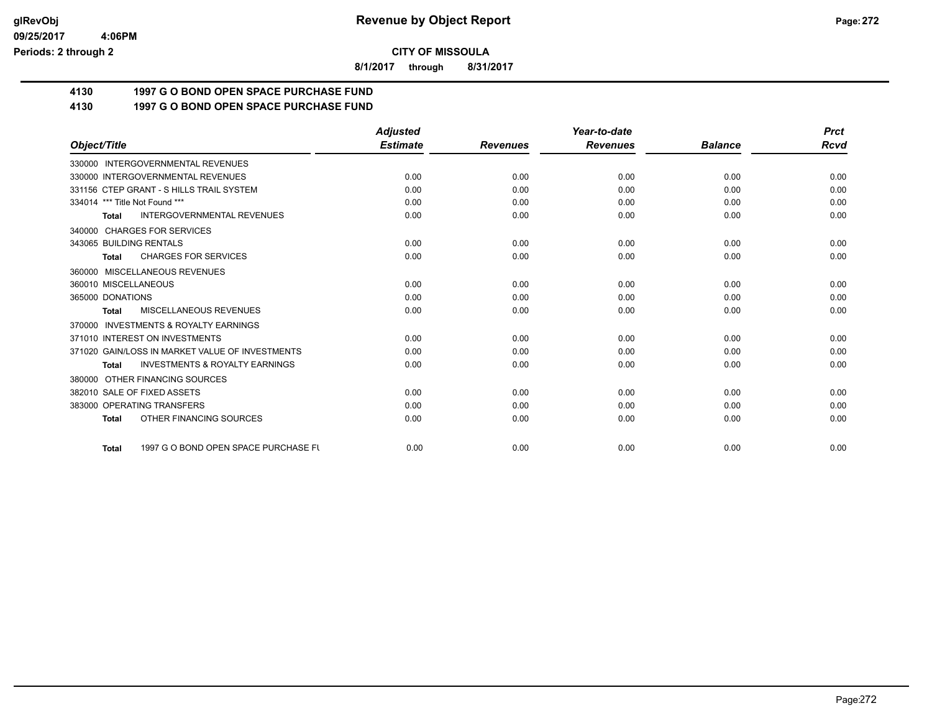**Periods: 2 through 2**

**CITY OF MISSOULA**

**8/1/2017 through 8/31/2017**

# **4130 1997 G O BOND OPEN SPACE PURCHASE FUND**

# **4130 1997 G O BOND OPEN SPACE PURCHASE FUND**

|                                                           | <b>Adjusted</b> |                 | Year-to-date    |                | <b>Prct</b> |
|-----------------------------------------------------------|-----------------|-----------------|-----------------|----------------|-------------|
| Object/Title                                              | <b>Estimate</b> | <b>Revenues</b> | <b>Revenues</b> | <b>Balance</b> | Rcvd        |
| 330000 INTERGOVERNMENTAL REVENUES                         |                 |                 |                 |                |             |
| 330000 INTERGOVERNMENTAL REVENUES                         | 0.00            | 0.00            | 0.00            | 0.00           | 0.00        |
| 331156 CTEP GRANT - S HILLS TRAIL SYSTEM                  | 0.00            | 0.00            | 0.00            | 0.00           | 0.00        |
| 334014 *** Title Not Found ***                            | 0.00            | 0.00            | 0.00            | 0.00           | 0.00        |
| <b>INTERGOVERNMENTAL REVENUES</b><br><b>Total</b>         | 0.00            | 0.00            | 0.00            | 0.00           | 0.00        |
| 340000 CHARGES FOR SERVICES                               |                 |                 |                 |                |             |
| 343065 BUILDING RENTALS                                   | 0.00            | 0.00            | 0.00            | 0.00           | 0.00        |
| <b>CHARGES FOR SERVICES</b><br><b>Total</b>               | 0.00            | 0.00            | 0.00            | 0.00           | 0.00        |
| 360000 MISCELLANEOUS REVENUES                             |                 |                 |                 |                |             |
| 360010 MISCELLANEOUS                                      | 0.00            | 0.00            | 0.00            | 0.00           | 0.00        |
| 365000 DONATIONS                                          | 0.00            | 0.00            | 0.00            | 0.00           | 0.00        |
| MISCELLANEOUS REVENUES<br><b>Total</b>                    | 0.00            | 0.00            | 0.00            | 0.00           | 0.00        |
| <b>INVESTMENTS &amp; ROYALTY EARNINGS</b><br>370000       |                 |                 |                 |                |             |
| 371010 INTEREST ON INVESTMENTS                            | 0.00            | 0.00            | 0.00            | 0.00           | 0.00        |
| 371020 GAIN/LOSS IN MARKET VALUE OF INVESTMENTS           | 0.00            | 0.00            | 0.00            | 0.00           | 0.00        |
| <b>INVESTMENTS &amp; ROYALTY EARNINGS</b><br><b>Total</b> | 0.00            | 0.00            | 0.00            | 0.00           | 0.00        |
| OTHER FINANCING SOURCES<br>380000                         |                 |                 |                 |                |             |
| 382010 SALE OF FIXED ASSETS                               | 0.00            | 0.00            | 0.00            | 0.00           | 0.00        |
| 383000 OPERATING TRANSFERS                                | 0.00            | 0.00            | 0.00            | 0.00           | 0.00        |
| OTHER FINANCING SOURCES<br><b>Total</b>                   | 0.00            | 0.00            | 0.00            | 0.00           | 0.00        |
| 1997 G O BOND OPEN SPACE PURCHASE FU<br><b>Total</b>      | 0.00            | 0.00            | 0.00            | 0.00           | 0.00        |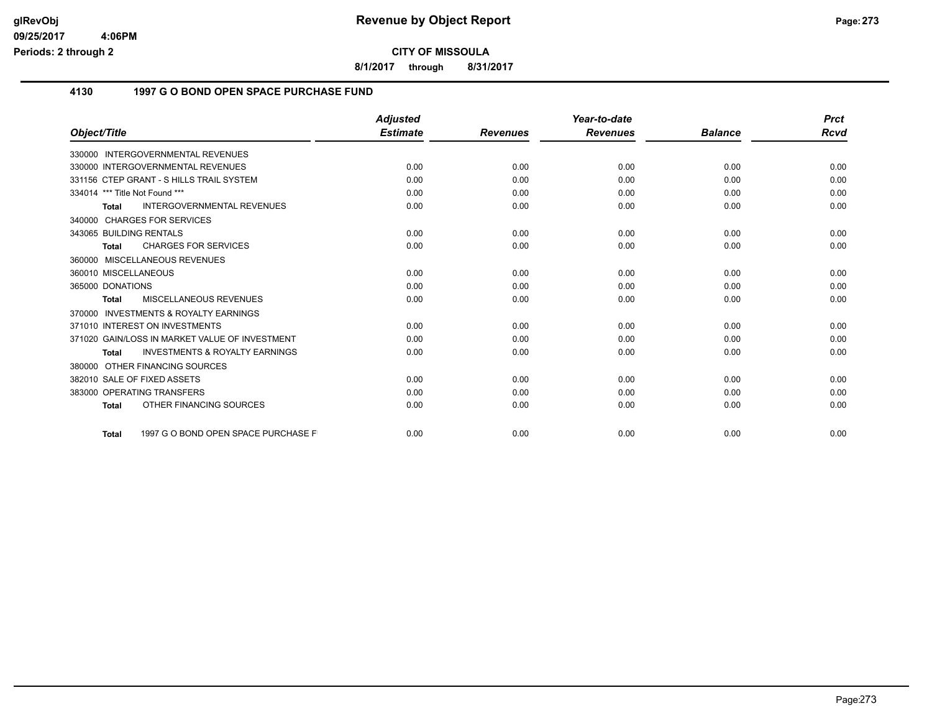**8/1/2017 through 8/31/2017**

#### **4130 1997 G O BOND OPEN SPACE PURCHASE FUND**

|                                                           | <b>Adjusted</b> |                 | Year-to-date    |                | <b>Prct</b> |
|-----------------------------------------------------------|-----------------|-----------------|-----------------|----------------|-------------|
| Object/Title                                              | <b>Estimate</b> | <b>Revenues</b> | <b>Revenues</b> | <b>Balance</b> | <b>Rcvd</b> |
| 330000 INTERGOVERNMENTAL REVENUES                         |                 |                 |                 |                |             |
| 330000 INTERGOVERNMENTAL REVENUES                         | 0.00            | 0.00            | 0.00            | 0.00           | 0.00        |
| 331156 CTEP GRANT - S HILLS TRAIL SYSTEM                  | 0.00            | 0.00            | 0.00            | 0.00           | 0.00        |
| 334014 *** Title Not Found ***                            | 0.00            | 0.00            | 0.00            | 0.00           | 0.00        |
| <b>INTERGOVERNMENTAL REVENUES</b><br>Total                | 0.00            | 0.00            | 0.00            | 0.00           | 0.00        |
| 340000 CHARGES FOR SERVICES                               |                 |                 |                 |                |             |
| 343065 BUILDING RENTALS                                   | 0.00            | 0.00            | 0.00            | 0.00           | 0.00        |
| <b>CHARGES FOR SERVICES</b><br>Total                      | 0.00            | 0.00            | 0.00            | 0.00           | 0.00        |
| 360000 MISCELLANEOUS REVENUES                             |                 |                 |                 |                |             |
| 360010 MISCELLANEOUS                                      | 0.00            | 0.00            | 0.00            | 0.00           | 0.00        |
| 365000 DONATIONS                                          | 0.00            | 0.00            | 0.00            | 0.00           | 0.00        |
| <b>MISCELLANEOUS REVENUES</b><br><b>Total</b>             | 0.00            | 0.00            | 0.00            | 0.00           | 0.00        |
| 370000 INVESTMENTS & ROYALTY EARNINGS                     |                 |                 |                 |                |             |
| 371010 INTEREST ON INVESTMENTS                            | 0.00            | 0.00            | 0.00            | 0.00           | 0.00        |
| 371020 GAIN/LOSS IN MARKET VALUE OF INVESTMENT            | 0.00            | 0.00            | 0.00            | 0.00           | 0.00        |
| <b>INVESTMENTS &amp; ROYALTY EARNINGS</b><br><b>Total</b> | 0.00            | 0.00            | 0.00            | 0.00           | 0.00        |
| 380000 OTHER FINANCING SOURCES                            |                 |                 |                 |                |             |
| 382010 SALE OF FIXED ASSETS                               | 0.00            | 0.00            | 0.00            | 0.00           | 0.00        |
| 383000 OPERATING TRANSFERS                                | 0.00            | 0.00            | 0.00            | 0.00           | 0.00        |
| OTHER FINANCING SOURCES<br><b>Total</b>                   | 0.00            | 0.00            | 0.00            | 0.00           | 0.00        |
| 1997 G O BOND OPEN SPACE PURCHASE F<br>Total              | 0.00            | 0.00            | 0.00            | 0.00           | 0.00        |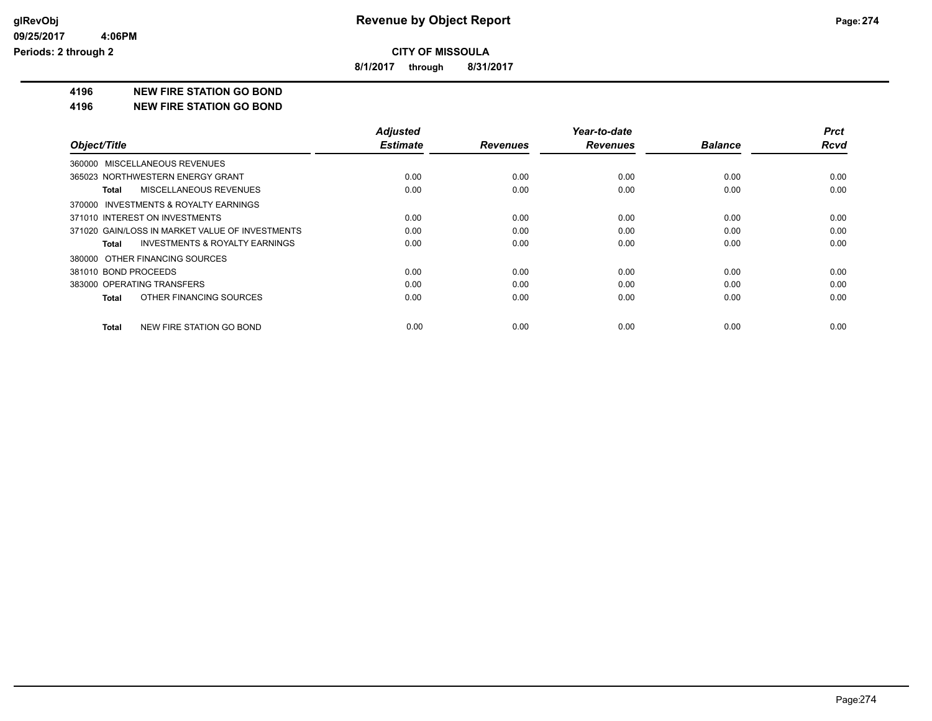**8/1/2017 through 8/31/2017**

#### **4196 NEW FIRE STATION GO BOND**

#### **4196 NEW FIRE STATION GO BOND**

|                                                    | <b>Adjusted</b> |                 | Year-to-date    |                | <b>Prct</b> |
|----------------------------------------------------|-----------------|-----------------|-----------------|----------------|-------------|
| Object/Title                                       | <b>Estimate</b> | <b>Revenues</b> | <b>Revenues</b> | <b>Balance</b> | <b>Rcvd</b> |
| 360000 MISCELLANEOUS REVENUES                      |                 |                 |                 |                |             |
| 365023 NORTHWESTERN ENERGY GRANT                   | 0.00            | 0.00            | 0.00            | 0.00           | 0.00        |
| <b>MISCELLANEOUS REVENUES</b><br>Total             | 0.00            | 0.00            | 0.00            | 0.00           | 0.00        |
| 370000 INVESTMENTS & ROYALTY EARNINGS              |                 |                 |                 |                |             |
| 371010 INTEREST ON INVESTMENTS                     | 0.00            | 0.00            | 0.00            | 0.00           | 0.00        |
| 371020 GAIN/LOSS IN MARKET VALUE OF INVESTMENTS    | 0.00            | 0.00            | 0.00            | 0.00           | 0.00        |
| <b>INVESTMENTS &amp; ROYALTY EARNINGS</b><br>Total | 0.00            | 0.00            | 0.00            | 0.00           | 0.00        |
| 380000 OTHER FINANCING SOURCES                     |                 |                 |                 |                |             |
| 381010 BOND PROCEEDS                               | 0.00            | 0.00            | 0.00            | 0.00           | 0.00        |
| 383000 OPERATING TRANSFERS                         | 0.00            | 0.00            | 0.00            | 0.00           | 0.00        |
| OTHER FINANCING SOURCES<br>Total                   | 0.00            | 0.00            | 0.00            | 0.00           | 0.00        |
| NEW FIRE STATION GO BOND<br>Total                  | 0.00            | 0.00            | 0.00            | 0.00           | 0.00        |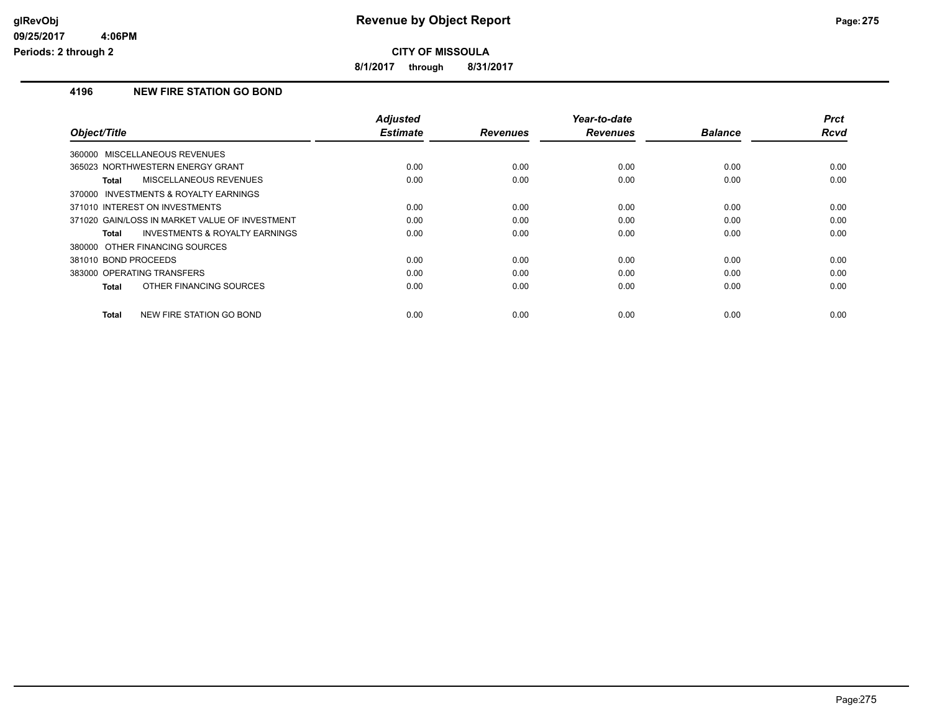**8/1/2017 through 8/31/2017**

#### **4196 NEW FIRE STATION GO BOND**

|                                                           | <b>Adjusted</b> |                 | Year-to-date    |                | <b>Prct</b> |
|-----------------------------------------------------------|-----------------|-----------------|-----------------|----------------|-------------|
| Object/Title                                              | <b>Estimate</b> | <b>Revenues</b> | <b>Revenues</b> | <b>Balance</b> | <b>Rcvd</b> |
| 360000 MISCELLANEOUS REVENUES                             |                 |                 |                 |                |             |
| 365023 NORTHWESTERN ENERGY GRANT                          | 0.00            | 0.00            | 0.00            | 0.00           | 0.00        |
| MISCELLANEOUS REVENUES<br><b>Total</b>                    | 0.00            | 0.00            | 0.00            | 0.00           | 0.00        |
| 370000 INVESTMENTS & ROYALTY EARNINGS                     |                 |                 |                 |                |             |
| 371010 INTEREST ON INVESTMENTS                            | 0.00            | 0.00            | 0.00            | 0.00           | 0.00        |
| 371020 GAIN/LOSS IN MARKET VALUE OF INVESTMENT            | 0.00            | 0.00            | 0.00            | 0.00           | 0.00        |
| <b>INVESTMENTS &amp; ROYALTY EARNINGS</b><br><b>Total</b> | 0.00            | 0.00            | 0.00            | 0.00           | 0.00        |
| 380000 OTHER FINANCING SOURCES                            |                 |                 |                 |                |             |
| 381010 BOND PROCEEDS                                      | 0.00            | 0.00            | 0.00            | 0.00           | 0.00        |
| 383000 OPERATING TRANSFERS                                | 0.00            | 0.00            | 0.00            | 0.00           | 0.00        |
| OTHER FINANCING SOURCES<br><b>Total</b>                   | 0.00            | 0.00            | 0.00            | 0.00           | 0.00        |
| NEW FIRE STATION GO BOND<br><b>Total</b>                  | 0.00            | 0.00            | 0.00            | 0.00           | 0.00        |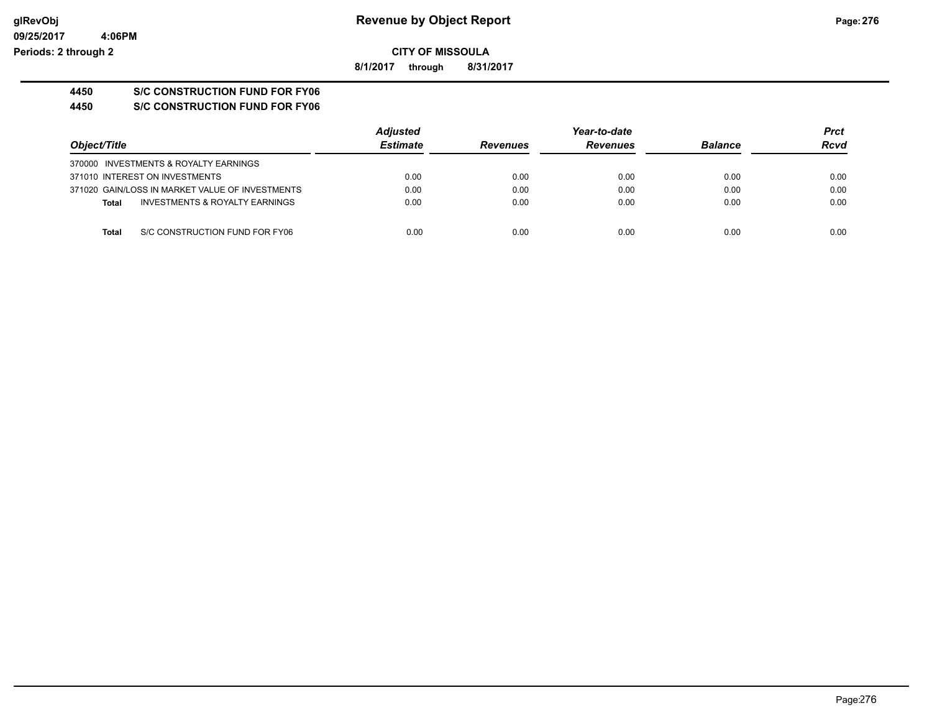#### **09/25/2017 4:06PM Periods: 2 through 2**

**CITY OF MISSOULA**

**8/1/2017 through 8/31/2017**

# **4450 S/C CONSTRUCTION FUND FOR FY06**

# **4450 S/C CONSTRUCTION FUND FOR FY06**

|                                       |                                                 | <b>Adjusted</b> |                 | Year-to-date    |                | <b>Prct</b> |
|---------------------------------------|-------------------------------------------------|-----------------|-----------------|-----------------|----------------|-------------|
| Object/Title                          |                                                 | <b>Estimate</b> | <b>Revenues</b> | <b>Revenues</b> | <b>Balance</b> | <b>Rcvd</b> |
| 370000 INVESTMENTS & ROYALTY EARNINGS |                                                 |                 |                 |                 |                |             |
| 371010 INTEREST ON INVESTMENTS        |                                                 | 0.00            | 0.00            | 0.00            | 0.00           | 0.00        |
|                                       | 371020 GAIN/LOSS IN MARKET VALUE OF INVESTMENTS | 0.00            | 0.00            | 0.00            | 0.00           | 0.00        |
| Total                                 | INVESTMENTS & ROYALTY EARNINGS                  | 0.00            | 0.00            | 0.00            | 0.00           | 0.00        |
| Total                                 | S/C CONSTRUCTION FUND FOR FY06                  | 0.00            | 0.00            | 0.00            | 0.00           | 0.00        |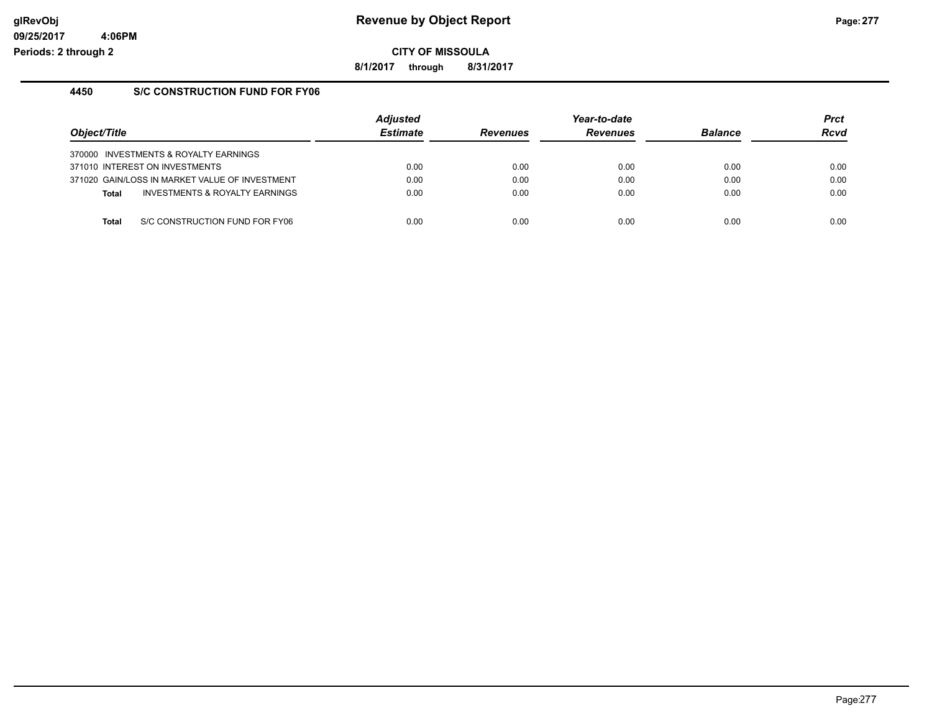**8/1/2017 through 8/31/2017**

#### **4450 S/C CONSTRUCTION FUND FOR FY06**

| Object/Title |                                                | <b>Adjusted</b><br><b>Estimate</b> | <b>Revenues</b> | Year-to-date<br><b>Revenues</b> | <b>Balance</b> | <b>Prct</b><br>Rcvd |
|--------------|------------------------------------------------|------------------------------------|-----------------|---------------------------------|----------------|---------------------|
|              | 370000 INVESTMENTS & ROYALTY EARNINGS          |                                    |                 |                                 |                |                     |
|              | 371010 INTEREST ON INVESTMENTS                 | 0.00                               | 0.00            | 0.00                            | 0.00           | 0.00                |
|              | 371020 GAIN/LOSS IN MARKET VALUE OF INVESTMENT | 0.00                               | 0.00            | 0.00                            | 0.00           | 0.00                |
| Total        | <b>INVESTMENTS &amp; ROYALTY EARNINGS</b>      | 0.00                               | 0.00            | 0.00                            | 0.00           | 0.00                |
|              |                                                |                                    |                 |                                 |                |                     |
| Total        | S/C CONSTRUCTION FUND FOR FY06                 | 0.00                               | 0.00            | 0.00                            | 0.00           | 0.00                |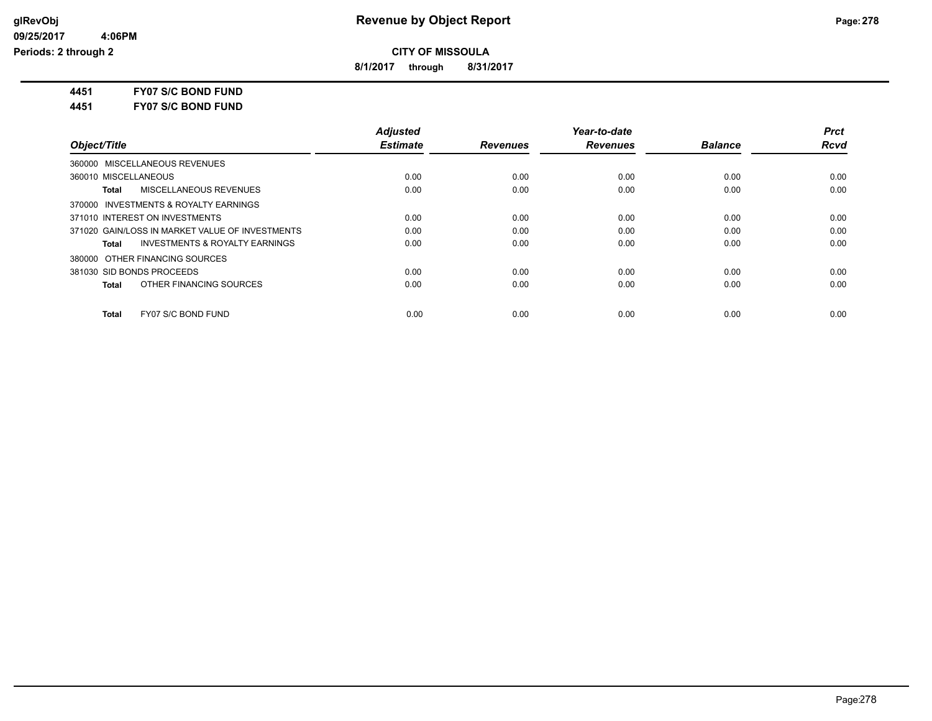**8/1/2017 through 8/31/2017**

**4451 FY07 S/C BOND FUND**

**4451 FY07 S/C BOND FUND**

|                                                    | <b>Adjusted</b> |                 | Year-to-date    |                | <b>Prct</b> |
|----------------------------------------------------|-----------------|-----------------|-----------------|----------------|-------------|
| Object/Title                                       | <b>Estimate</b> | <b>Revenues</b> | <b>Revenues</b> | <b>Balance</b> | <b>Rcvd</b> |
| 360000 MISCELLANEOUS REVENUES                      |                 |                 |                 |                |             |
| 360010 MISCELLANEOUS                               | 0.00            | 0.00            | 0.00            | 0.00           | 0.00        |
| MISCELLANEOUS REVENUES<br>Total                    | 0.00            | 0.00            | 0.00            | 0.00           | 0.00        |
| 370000 INVESTMENTS & ROYALTY EARNINGS              |                 |                 |                 |                |             |
| 371010 INTEREST ON INVESTMENTS                     | 0.00            | 0.00            | 0.00            | 0.00           | 0.00        |
| 371020 GAIN/LOSS IN MARKET VALUE OF INVESTMENTS    | 0.00            | 0.00            | 0.00            | 0.00           | 0.00        |
| <b>INVESTMENTS &amp; ROYALTY EARNINGS</b><br>Total | 0.00            | 0.00            | 0.00            | 0.00           | 0.00        |
| 380000 OTHER FINANCING SOURCES                     |                 |                 |                 |                |             |
| 381030 SID BONDS PROCEEDS                          | 0.00            | 0.00            | 0.00            | 0.00           | 0.00        |
| OTHER FINANCING SOURCES<br>Total                   | 0.00            | 0.00            | 0.00            | 0.00           | 0.00        |
| FY07 S/C BOND FUND<br><b>Total</b>                 | 0.00            | 0.00            | 0.00            | 0.00           | 0.00        |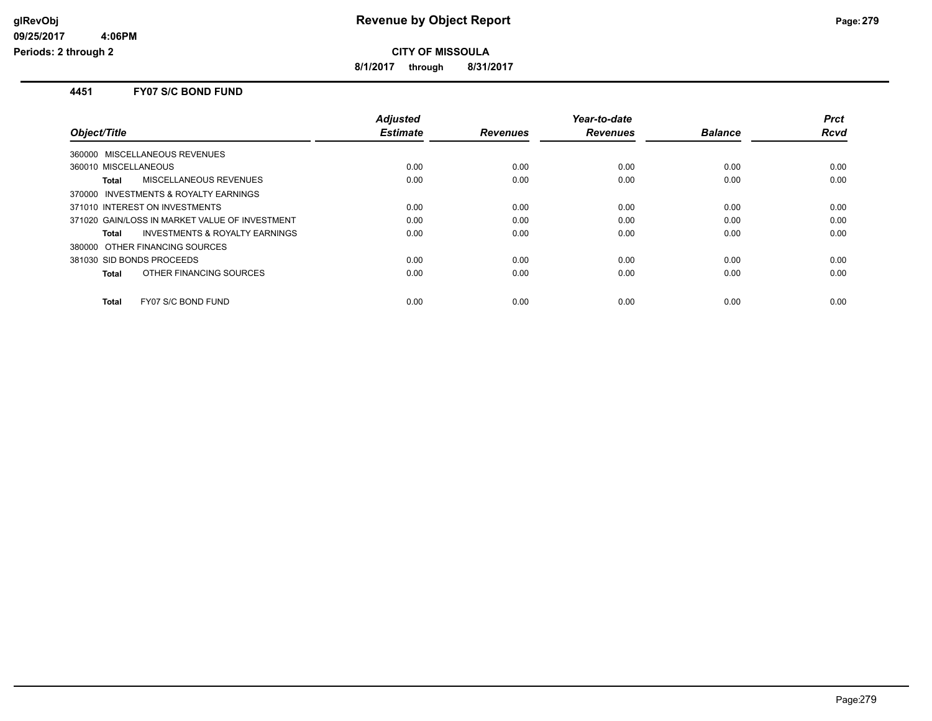**Periods: 2 through 2**

**CITY OF MISSOULA**

**8/1/2017 through 8/31/2017**

#### **4451 FY07 S/C BOND FUND**

 **4:06PM**

| Object/Title                                       | <b>Adjusted</b><br><b>Estimate</b> | <b>Revenues</b> | Year-to-date<br><b>Revenues</b> | <b>Balance</b> | <b>Prct</b><br><b>Rcvd</b> |
|----------------------------------------------------|------------------------------------|-----------------|---------------------------------|----------------|----------------------------|
| 360000 MISCELLANEOUS REVENUES                      |                                    |                 |                                 |                |                            |
| 360010 MISCELLANEOUS                               | 0.00                               | 0.00            | 0.00                            | 0.00           | 0.00                       |
| MISCELLANEOUS REVENUES<br>Total                    | 0.00                               | 0.00            | 0.00                            | 0.00           | 0.00                       |
| 370000 INVESTMENTS & ROYALTY EARNINGS              |                                    |                 |                                 |                |                            |
| 371010 INTEREST ON INVESTMENTS                     | 0.00                               | 0.00            | 0.00                            | 0.00           | 0.00                       |
| 371020 GAIN/LOSS IN MARKET VALUE OF INVESTMENT     | 0.00                               | 0.00            | 0.00                            | 0.00           | 0.00                       |
| <b>INVESTMENTS &amp; ROYALTY EARNINGS</b><br>Total | 0.00                               | 0.00            | 0.00                            | 0.00           | 0.00                       |
| 380000 OTHER FINANCING SOURCES                     |                                    |                 |                                 |                |                            |
| 381030 SID BONDS PROCEEDS                          | 0.00                               | 0.00            | 0.00                            | 0.00           | 0.00                       |
| OTHER FINANCING SOURCES<br>Total                   | 0.00                               | 0.00            | 0.00                            | 0.00           | 0.00                       |
| FY07 S/C BOND FUND<br><b>Total</b>                 | 0.00                               | 0.00            | 0.00                            | 0.00           | 0.00                       |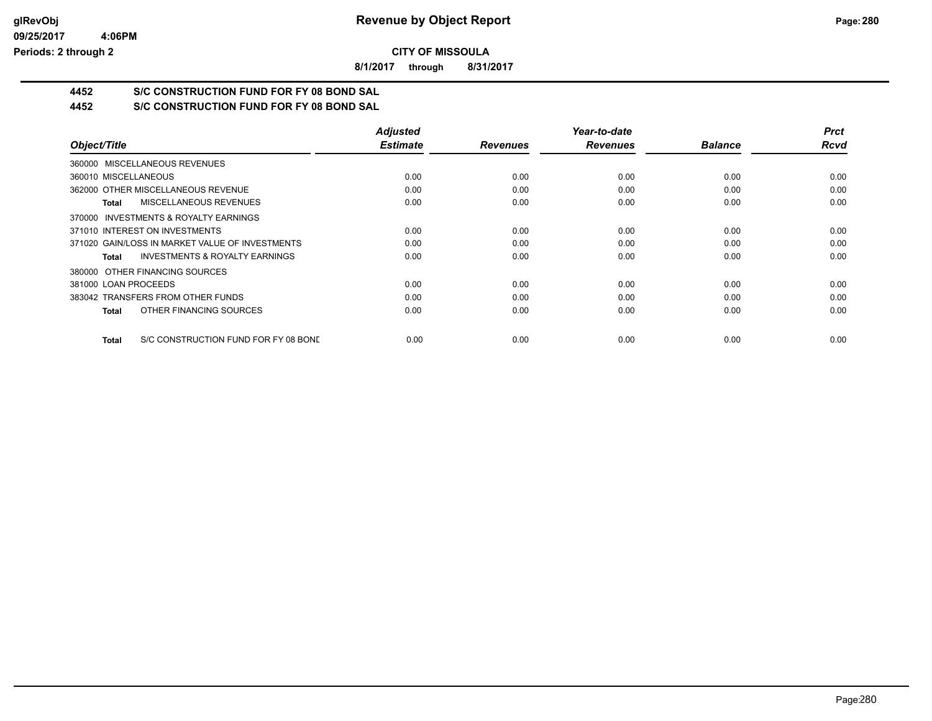**8/1/2017 through 8/31/2017**

# **4452 S/C CONSTRUCTION FUND FOR FY 08 BOND SAL**

# **4452 S/C CONSTRUCTION FUND FOR FY 08 BOND SAL**

|                                                      | <b>Adjusted</b> |                 | Year-to-date    |                | <b>Prct</b> |
|------------------------------------------------------|-----------------|-----------------|-----------------|----------------|-------------|
| Object/Title                                         | <b>Estimate</b> | <b>Revenues</b> | <b>Revenues</b> | <b>Balance</b> | <b>Rcvd</b> |
| 360000 MISCELLANEOUS REVENUES                        |                 |                 |                 |                |             |
| 360010 MISCELLANEOUS                                 | 0.00            | 0.00            | 0.00            | 0.00           | 0.00        |
| 362000 OTHER MISCELLANEOUS REVENUE                   | 0.00            | 0.00            | 0.00            | 0.00           | 0.00        |
| <b>MISCELLANEOUS REVENUES</b><br><b>Total</b>        | 0.00            | 0.00            | 0.00            | 0.00           | 0.00        |
| INVESTMENTS & ROYALTY EARNINGS<br>370000             |                 |                 |                 |                |             |
| 371010 INTEREST ON INVESTMENTS                       | 0.00            | 0.00            | 0.00            | 0.00           | 0.00        |
| 371020 GAIN/LOSS IN MARKET VALUE OF INVESTMENTS      | 0.00            | 0.00            | 0.00            | 0.00           | 0.00        |
| <b>INVESTMENTS &amp; ROYALTY EARNINGS</b><br>Total   | 0.00            | 0.00            | 0.00            | 0.00           | 0.00        |
| 380000 OTHER FINANCING SOURCES                       |                 |                 |                 |                |             |
| 381000 LOAN PROCEEDS                                 | 0.00            | 0.00            | 0.00            | 0.00           | 0.00        |
| 383042 TRANSFERS FROM OTHER FUNDS                    | 0.00            | 0.00            | 0.00            | 0.00           | 0.00        |
| OTHER FINANCING SOURCES<br>Total                     | 0.00            | 0.00            | 0.00            | 0.00           | 0.00        |
| S/C CONSTRUCTION FUND FOR FY 08 BOND<br><b>Total</b> | 0.00            | 0.00            | 0.00            | 0.00           | 0.00        |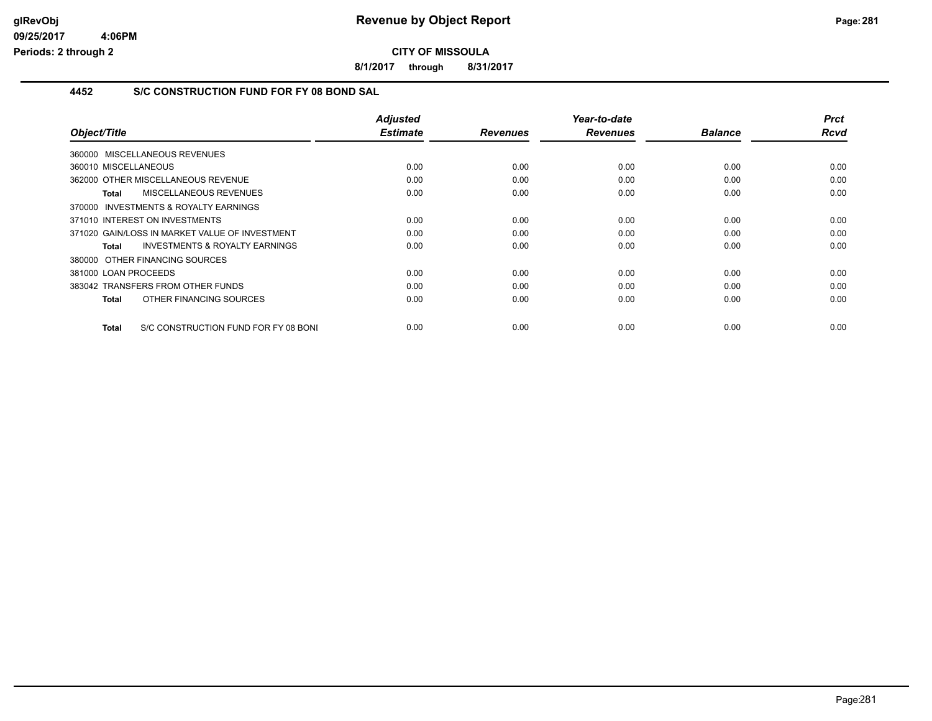**8/1/2017 through 8/31/2017**

#### **4452 S/C CONSTRUCTION FUND FOR FY 08 BOND SAL**

| Object/Title                                         | <b>Adjusted</b><br><b>Estimate</b> | <b>Revenues</b> | Year-to-date<br><b>Revenues</b> | <b>Balance</b> | <b>Prct</b><br><b>Rcvd</b> |
|------------------------------------------------------|------------------------------------|-----------------|---------------------------------|----------------|----------------------------|
|                                                      |                                    |                 |                                 |                |                            |
| 360000 MISCELLANEOUS REVENUES                        |                                    |                 |                                 |                |                            |
| 360010 MISCELLANEOUS                                 | 0.00                               | 0.00            | 0.00                            | 0.00           | 0.00                       |
| 362000 OTHER MISCELLANEOUS REVENUE                   | 0.00                               | 0.00            | 0.00                            | 0.00           | 0.00                       |
| MISCELLANEOUS REVENUES<br>Total                      | 0.00                               | 0.00            | 0.00                            | 0.00           | 0.00                       |
| 370000 INVESTMENTS & ROYALTY EARNINGS                |                                    |                 |                                 |                |                            |
| 371010 INTEREST ON INVESTMENTS                       | 0.00                               | 0.00            | 0.00                            | 0.00           | 0.00                       |
| 371020 GAIN/LOSS IN MARKET VALUE OF INVESTMENT       | 0.00                               | 0.00            | 0.00                            | 0.00           | 0.00                       |
| <b>INVESTMENTS &amp; ROYALTY EARNINGS</b><br>Total   | 0.00                               | 0.00            | 0.00                            | 0.00           | 0.00                       |
| 380000 OTHER FINANCING SOURCES                       |                                    |                 |                                 |                |                            |
| 381000 LOAN PROCEEDS                                 | 0.00                               | 0.00            | 0.00                            | 0.00           | 0.00                       |
| 383042 TRANSFERS FROM OTHER FUNDS                    | 0.00                               | 0.00            | 0.00                            | 0.00           | 0.00                       |
| OTHER FINANCING SOURCES<br>Total                     | 0.00                               | 0.00            | 0.00                            | 0.00           | 0.00                       |
|                                                      |                                    |                 |                                 |                |                            |
| S/C CONSTRUCTION FUND FOR FY 08 BONI<br><b>Total</b> | 0.00                               | 0.00            | 0.00                            | 0.00           | 0.00                       |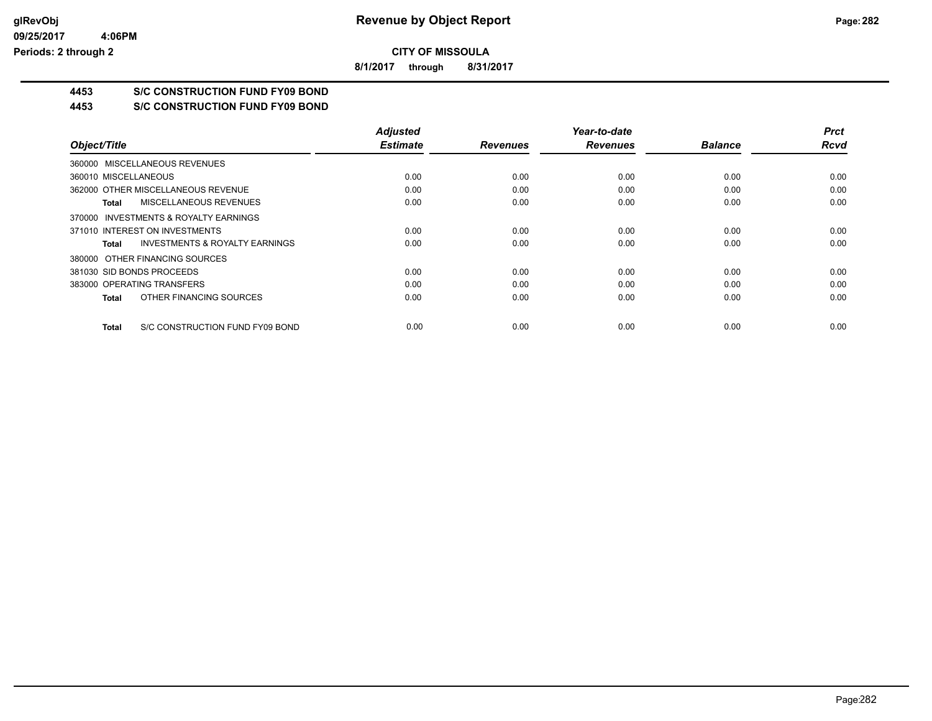**8/1/2017 through 8/31/2017**

# **4453 S/C CONSTRUCTION FUND FY09 BOND**

#### **4453 S/C CONSTRUCTION FUND FY09 BOND**

|                                                    | <b>Adjusted</b> |                 | Year-to-date    |                | <b>Prct</b> |
|----------------------------------------------------|-----------------|-----------------|-----------------|----------------|-------------|
| Object/Title                                       | <b>Estimate</b> | <b>Revenues</b> | <b>Revenues</b> | <b>Balance</b> | <b>Rcvd</b> |
| 360000 MISCELLANEOUS REVENUES                      |                 |                 |                 |                |             |
| 360010 MISCELLANEOUS                               | 0.00            | 0.00            | 0.00            | 0.00           | 0.00        |
| 362000 OTHER MISCELLANEOUS REVENUE                 | 0.00            | 0.00            | 0.00            | 0.00           | 0.00        |
| MISCELLANEOUS REVENUES<br>Total                    | 0.00            | 0.00            | 0.00            | 0.00           | 0.00        |
| 370000 INVESTMENTS & ROYALTY EARNINGS              |                 |                 |                 |                |             |
| 371010 INTEREST ON INVESTMENTS                     | 0.00            | 0.00            | 0.00            | 0.00           | 0.00        |
| <b>INVESTMENTS &amp; ROYALTY EARNINGS</b><br>Total | 0.00            | 0.00            | 0.00            | 0.00           | 0.00        |
| 380000 OTHER FINANCING SOURCES                     |                 |                 |                 |                |             |
| 381030 SID BONDS PROCEEDS                          | 0.00            | 0.00            | 0.00            | 0.00           | 0.00        |
| 383000 OPERATING TRANSFERS                         | 0.00            | 0.00            | 0.00            | 0.00           | 0.00        |
| OTHER FINANCING SOURCES<br>Total                   | 0.00            | 0.00            | 0.00            | 0.00           | 0.00        |
| S/C CONSTRUCTION FUND FY09 BOND<br>Total           | 0.00            | 0.00            | 0.00            | 0.00           | 0.00        |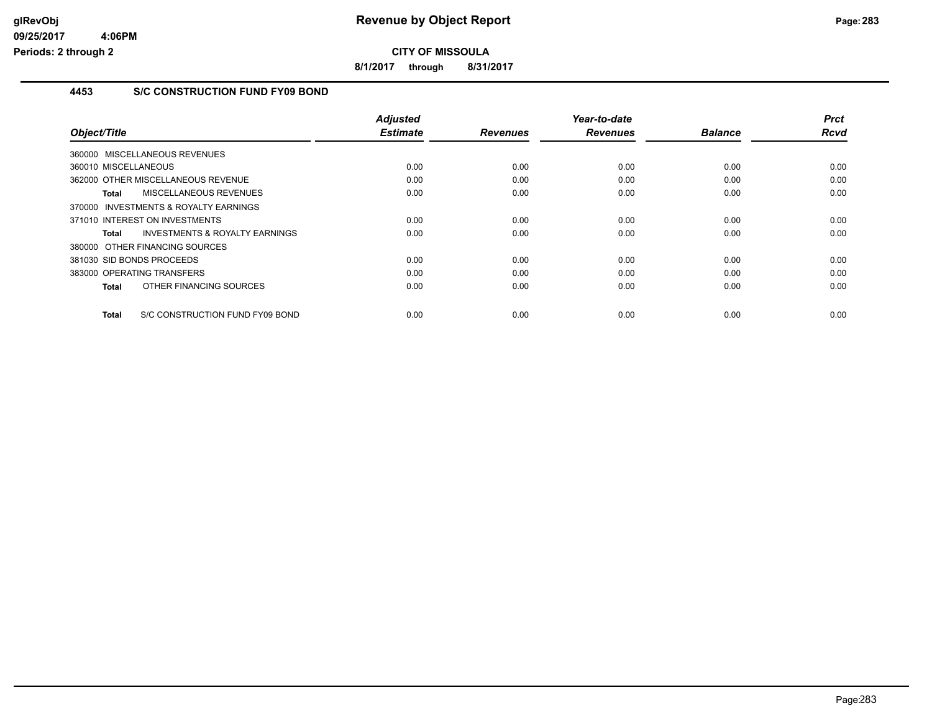**8/1/2017 through 8/31/2017**

#### **4453 S/C CONSTRUCTION FUND FY09 BOND**

|                                                    | <b>Adjusted</b> |                 | Year-to-date    |                | <b>Prct</b> |
|----------------------------------------------------|-----------------|-----------------|-----------------|----------------|-------------|
| Object/Title                                       | <b>Estimate</b> | <b>Revenues</b> | <b>Revenues</b> | <b>Balance</b> | <b>Rcvd</b> |
| 360000 MISCELLANEOUS REVENUES                      |                 |                 |                 |                |             |
| 360010 MISCELLANEOUS                               | 0.00            | 0.00            | 0.00            | 0.00           | 0.00        |
| 362000 OTHER MISCELLANEOUS REVENUE                 | 0.00            | 0.00            | 0.00            | 0.00           | 0.00        |
| <b>MISCELLANEOUS REVENUES</b><br>Total             | 0.00            | 0.00            | 0.00            | 0.00           | 0.00        |
| 370000 INVESTMENTS & ROYALTY EARNINGS              |                 |                 |                 |                |             |
| 371010 INTEREST ON INVESTMENTS                     | 0.00            | 0.00            | 0.00            | 0.00           | 0.00        |
| <b>INVESTMENTS &amp; ROYALTY EARNINGS</b><br>Total | 0.00            | 0.00            | 0.00            | 0.00           | 0.00        |
| 380000 OTHER FINANCING SOURCES                     |                 |                 |                 |                |             |
| 381030 SID BONDS PROCEEDS                          | 0.00            | 0.00            | 0.00            | 0.00           | 0.00        |
| 383000 OPERATING TRANSFERS                         | 0.00            | 0.00            | 0.00            | 0.00           | 0.00        |
| OTHER FINANCING SOURCES<br><b>Total</b>            | 0.00            | 0.00            | 0.00            | 0.00           | 0.00        |
| S/C CONSTRUCTION FUND FY09 BOND<br><b>Total</b>    | 0.00            | 0.00            | 0.00            | 0.00           | 0.00        |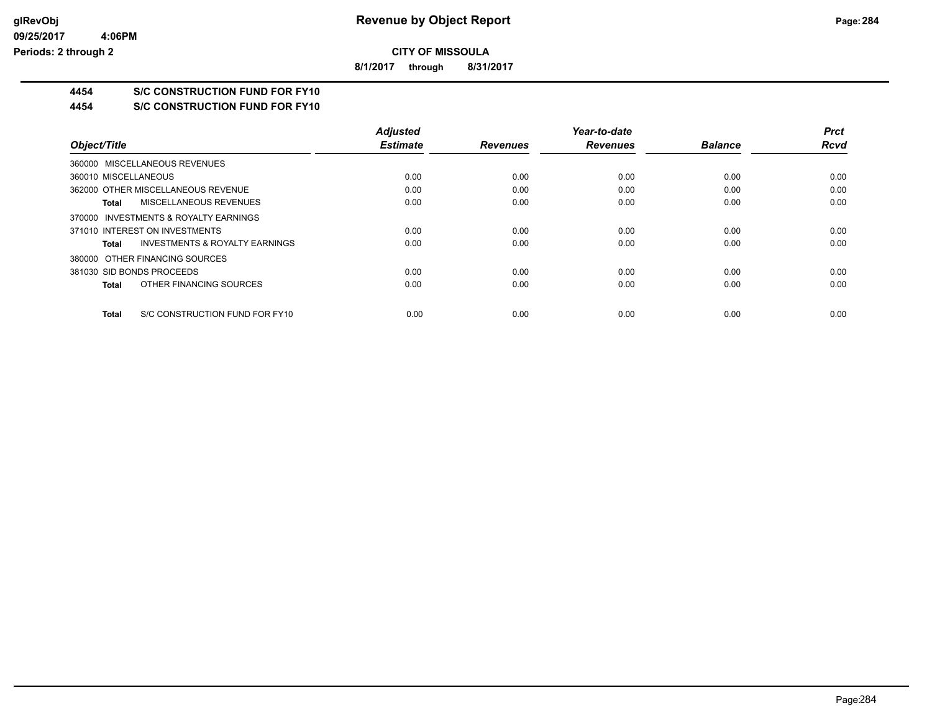**8/1/2017 through 8/31/2017**

## **4454 S/C CONSTRUCTION FUND FOR FY10**

#### **4454 S/C CONSTRUCTION FUND FOR FY10**

|                                                    | <b>Adjusted</b> |                 | Year-to-date    |                | <b>Prct</b> |
|----------------------------------------------------|-----------------|-----------------|-----------------|----------------|-------------|
| Object/Title                                       | <b>Estimate</b> | <b>Revenues</b> | <b>Revenues</b> | <b>Balance</b> | <b>Rcvd</b> |
| 360000 MISCELLANEOUS REVENUES                      |                 |                 |                 |                |             |
| 360010 MISCELLANEOUS                               | 0.00            | 0.00            | 0.00            | 0.00           | 0.00        |
| 362000 OTHER MISCELLANEOUS REVENUE                 | 0.00            | 0.00            | 0.00            | 0.00           | 0.00        |
| MISCELLANEOUS REVENUES<br>Total                    | 0.00            | 0.00            | 0.00            | 0.00           | 0.00        |
| 370000 INVESTMENTS & ROYALTY EARNINGS              |                 |                 |                 |                |             |
| 371010 INTEREST ON INVESTMENTS                     | 0.00            | 0.00            | 0.00            | 0.00           | 0.00        |
| <b>INVESTMENTS &amp; ROYALTY EARNINGS</b><br>Total | 0.00            | 0.00            | 0.00            | 0.00           | 0.00        |
| 380000 OTHER FINANCING SOURCES                     |                 |                 |                 |                |             |
| 381030 SID BONDS PROCEEDS                          | 0.00            | 0.00            | 0.00            | 0.00           | 0.00        |
| OTHER FINANCING SOURCES<br>Total                   | 0.00            | 0.00            | 0.00            | 0.00           | 0.00        |
| S/C CONSTRUCTION FUND FOR FY10<br>Total            | 0.00            | 0.00            | 0.00            | 0.00           | 0.00        |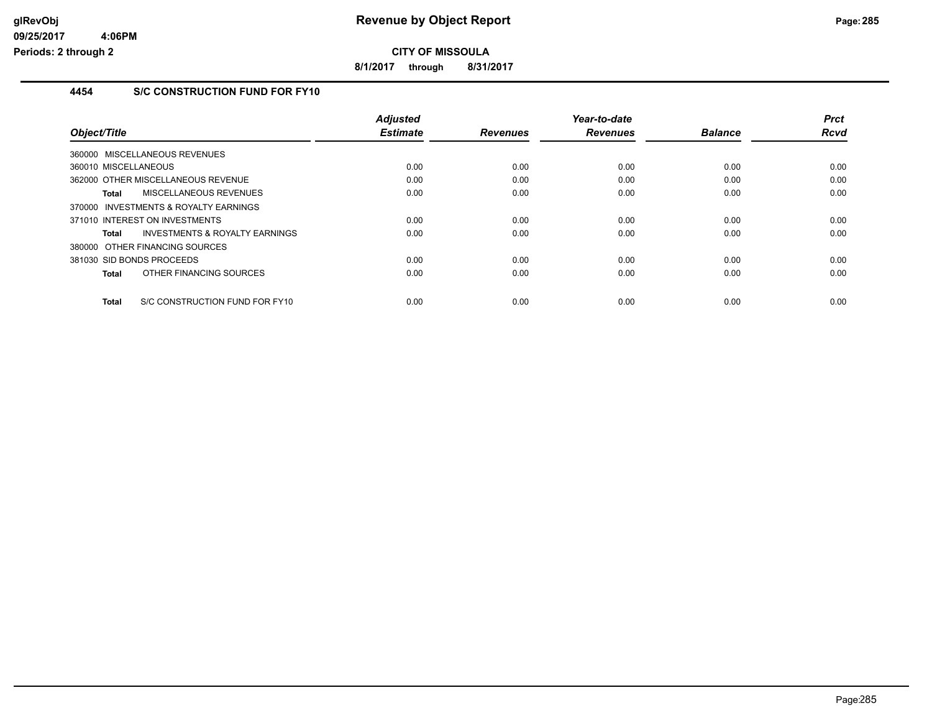**8/1/2017 through 8/31/2017**

#### **4454 S/C CONSTRUCTION FUND FOR FY10**

|                                                     | <b>Adjusted</b> |                 | Year-to-date    |                | <b>Prct</b> |
|-----------------------------------------------------|-----------------|-----------------|-----------------|----------------|-------------|
| Object/Title                                        | <b>Estimate</b> | <b>Revenues</b> | <b>Revenues</b> | <b>Balance</b> | <b>Rcvd</b> |
| 360000 MISCELLANEOUS REVENUES                       |                 |                 |                 |                |             |
| 360010 MISCELLANEOUS                                | 0.00            | 0.00            | 0.00            | 0.00           | 0.00        |
| 362000 OTHER MISCELLANEOUS REVENUE                  | 0.00            | 0.00            | 0.00            | 0.00           | 0.00        |
| MISCELLANEOUS REVENUES<br>Total                     | 0.00            | 0.00            | 0.00            | 0.00           | 0.00        |
| <b>INVESTMENTS &amp; ROYALTY EARNINGS</b><br>370000 |                 |                 |                 |                |             |
| 371010 INTEREST ON INVESTMENTS                      | 0.00            | 0.00            | 0.00            | 0.00           | 0.00        |
| <b>INVESTMENTS &amp; ROYALTY EARNINGS</b><br>Total  | 0.00            | 0.00            | 0.00            | 0.00           | 0.00        |
| 380000 OTHER FINANCING SOURCES                      |                 |                 |                 |                |             |
| 381030 SID BONDS PROCEEDS                           | 0.00            | 0.00            | 0.00            | 0.00           | 0.00        |
| OTHER FINANCING SOURCES<br>Total                    | 0.00            | 0.00            | 0.00            | 0.00           | 0.00        |
| S/C CONSTRUCTION FUND FOR FY10<br><b>Total</b>      | 0.00            | 0.00            | 0.00            | 0.00           | 0.00        |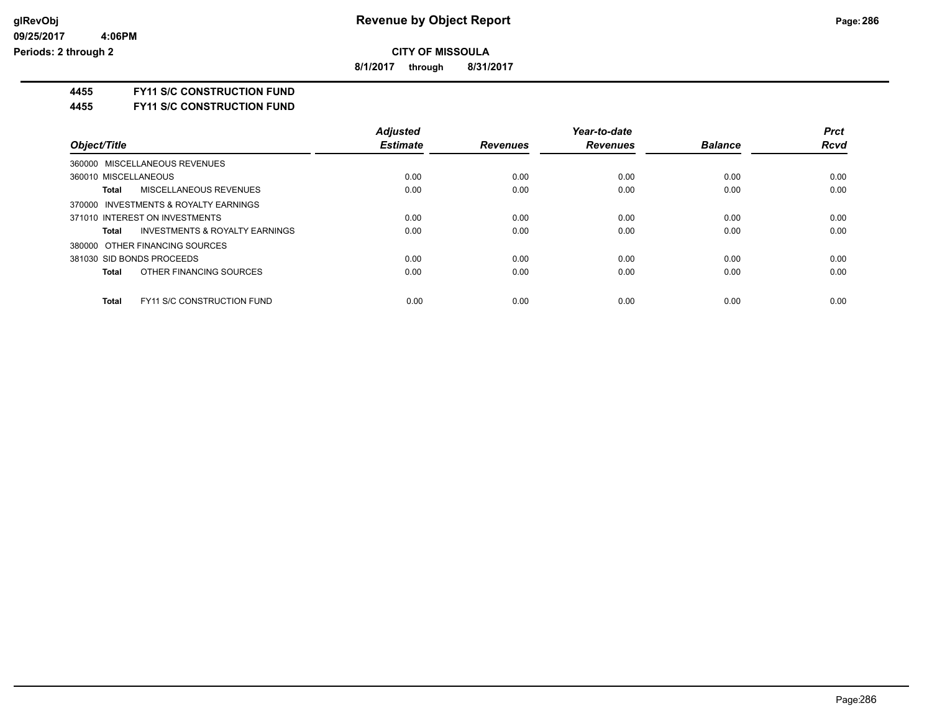**8/1/2017 through 8/31/2017**

## **4455 FY11 S/C CONSTRUCTION FUND**

#### **4455 FY11 S/C CONSTRUCTION FUND**

|                                                   | <b>Adjusted</b> |                 | Year-to-date    |                | <b>Prct</b> |
|---------------------------------------------------|-----------------|-----------------|-----------------|----------------|-------------|
| Object/Title                                      | <b>Estimate</b> | <b>Revenues</b> | <b>Revenues</b> | <b>Balance</b> | <b>Rcvd</b> |
| 360000 MISCELLANEOUS REVENUES                     |                 |                 |                 |                |             |
| 360010 MISCELLANEOUS                              | 0.00            | 0.00            | 0.00            | 0.00           | 0.00        |
| MISCELLANEOUS REVENUES<br>Total                   | 0.00            | 0.00            | 0.00            | 0.00           | 0.00        |
| 370000 INVESTMENTS & ROYALTY EARNINGS             |                 |                 |                 |                |             |
| 371010 INTEREST ON INVESTMENTS                    | 0.00            | 0.00            | 0.00            | 0.00           | 0.00        |
| INVESTMENTS & ROYALTY EARNINGS<br>Total           | 0.00            | 0.00            | 0.00            | 0.00           | 0.00        |
| 380000 OTHER FINANCING SOURCES                    |                 |                 |                 |                |             |
| 381030 SID BONDS PROCEEDS                         | 0.00            | 0.00            | 0.00            | 0.00           | 0.00        |
| OTHER FINANCING SOURCES<br><b>Total</b>           | 0.00            | 0.00            | 0.00            | 0.00           | 0.00        |
| <b>FY11 S/C CONSTRUCTION FUND</b><br><b>Total</b> | 0.00            | 0.00            | 0.00            | 0.00           | 0.00        |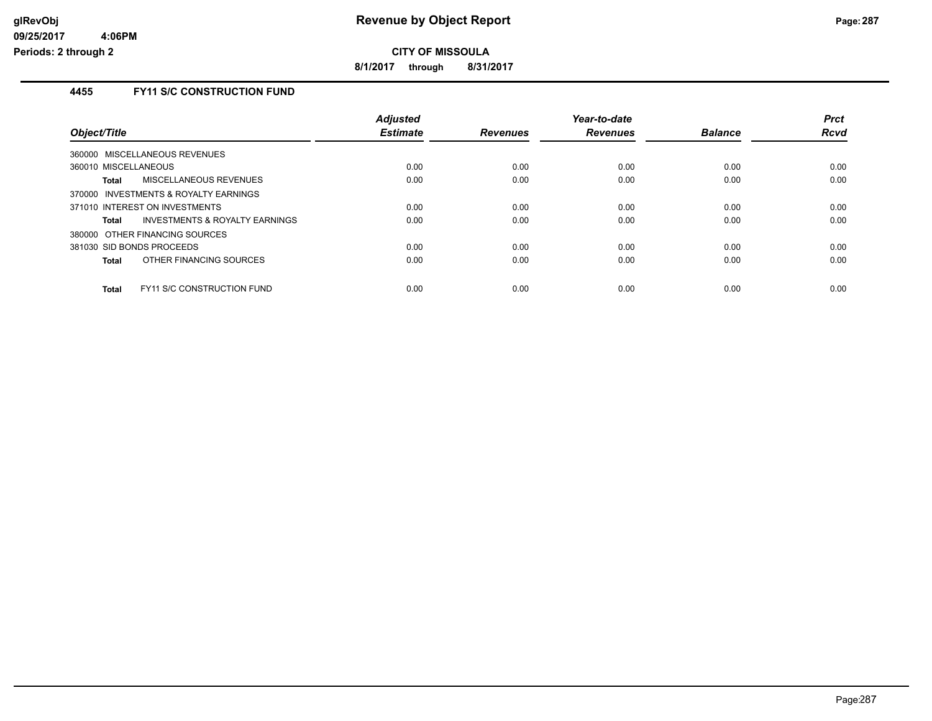**Periods: 2 through 2**

**CITY OF MISSOULA**

**8/1/2017 through 8/31/2017**

## **4455 FY11 S/C CONSTRUCTION FUND**

| Object/Title                                      | <b>Adiusted</b><br><b>Estimate</b> | <b>Revenues</b> | Year-to-date<br><b>Revenues</b> | <b>Balance</b> | <b>Prct</b><br><b>Rcvd</b> |
|---------------------------------------------------|------------------------------------|-----------------|---------------------------------|----------------|----------------------------|
| 360000 MISCELLANEOUS REVENUES                     |                                    |                 |                                 |                |                            |
| 360010 MISCELLANEOUS                              | 0.00                               | 0.00            | 0.00                            | 0.00           | 0.00                       |
| MISCELLANEOUS REVENUES<br>Total                   | 0.00                               | 0.00            | 0.00                            | 0.00           | 0.00                       |
| 370000 INVESTMENTS & ROYALTY EARNINGS             |                                    |                 |                                 |                |                            |
| 371010 INTEREST ON INVESTMENTS                    | 0.00                               | 0.00            | 0.00                            | 0.00           | 0.00                       |
| INVESTMENTS & ROYALTY EARNINGS<br>Total           | 0.00                               | 0.00            | 0.00                            | 0.00           | 0.00                       |
| 380000 OTHER FINANCING SOURCES                    |                                    |                 |                                 |                |                            |
| 381030 SID BONDS PROCEEDS                         | 0.00                               | 0.00            | 0.00                            | 0.00           | 0.00                       |
| OTHER FINANCING SOURCES<br><b>Total</b>           | 0.00                               | 0.00            | 0.00                            | 0.00           | 0.00                       |
| <b>FY11 S/C CONSTRUCTION FUND</b><br><b>Total</b> | 0.00                               | 0.00            | 0.00                            | 0.00           | 0.00                       |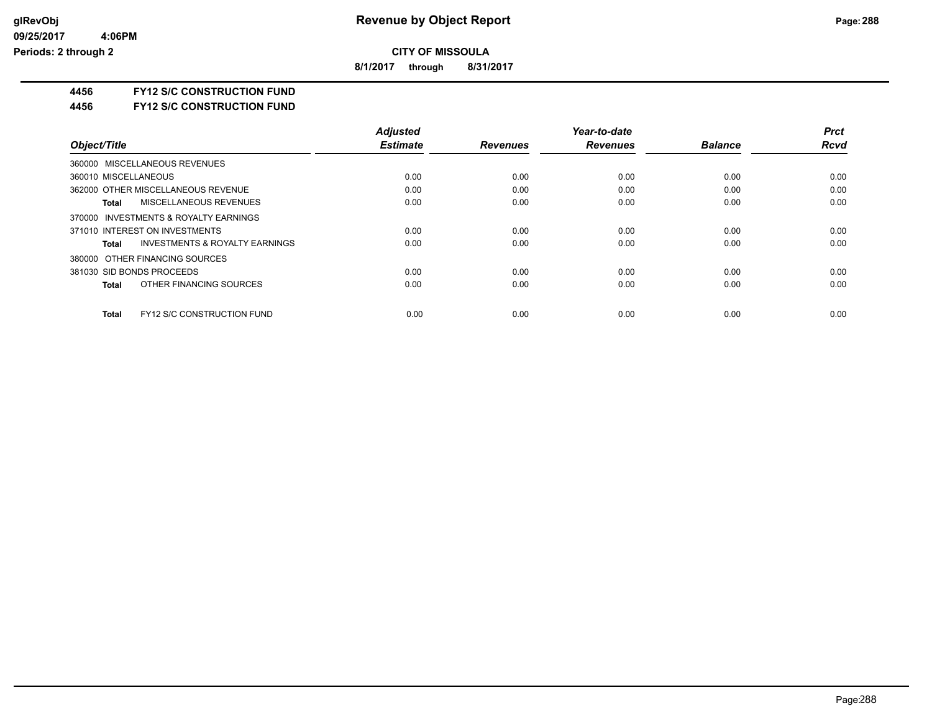**8/1/2017 through 8/31/2017**

#### **4456 FY12 S/C CONSTRUCTION FUND**

#### **4456 FY12 S/C CONSTRUCTION FUND**

|                                            | <b>Adjusted</b> |                 | Year-to-date    |                | <b>Prct</b> |
|--------------------------------------------|-----------------|-----------------|-----------------|----------------|-------------|
| Object/Title                               | <b>Estimate</b> | <b>Revenues</b> | <b>Revenues</b> | <b>Balance</b> | <b>Rcvd</b> |
| 360000 MISCELLANEOUS REVENUES              |                 |                 |                 |                |             |
| 360010 MISCELLANEOUS                       | 0.00            | 0.00            | 0.00            | 0.00           | 0.00        |
| 362000 OTHER MISCELLANEOUS REVENUE         | 0.00            | 0.00            | 0.00            | 0.00           | 0.00        |
| <b>MISCELLANEOUS REVENUES</b><br>Total     | 0.00            | 0.00            | 0.00            | 0.00           | 0.00        |
| 370000 INVESTMENTS & ROYALTY EARNINGS      |                 |                 |                 |                |             |
| 371010 INTEREST ON INVESTMENTS             | 0.00            | 0.00            | 0.00            | 0.00           | 0.00        |
| INVESTMENTS & ROYALTY EARNINGS<br>Total    | 0.00            | 0.00            | 0.00            | 0.00           | 0.00        |
| 380000 OTHER FINANCING SOURCES             |                 |                 |                 |                |             |
| 381030 SID BONDS PROCEEDS                  | 0.00            | 0.00            | 0.00            | 0.00           | 0.00        |
| OTHER FINANCING SOURCES<br>Total           | 0.00            | 0.00            | 0.00            | 0.00           | 0.00        |
| <b>FY12 S/C CONSTRUCTION FUND</b><br>Total | 0.00            | 0.00            | 0.00            | 0.00           | 0.00        |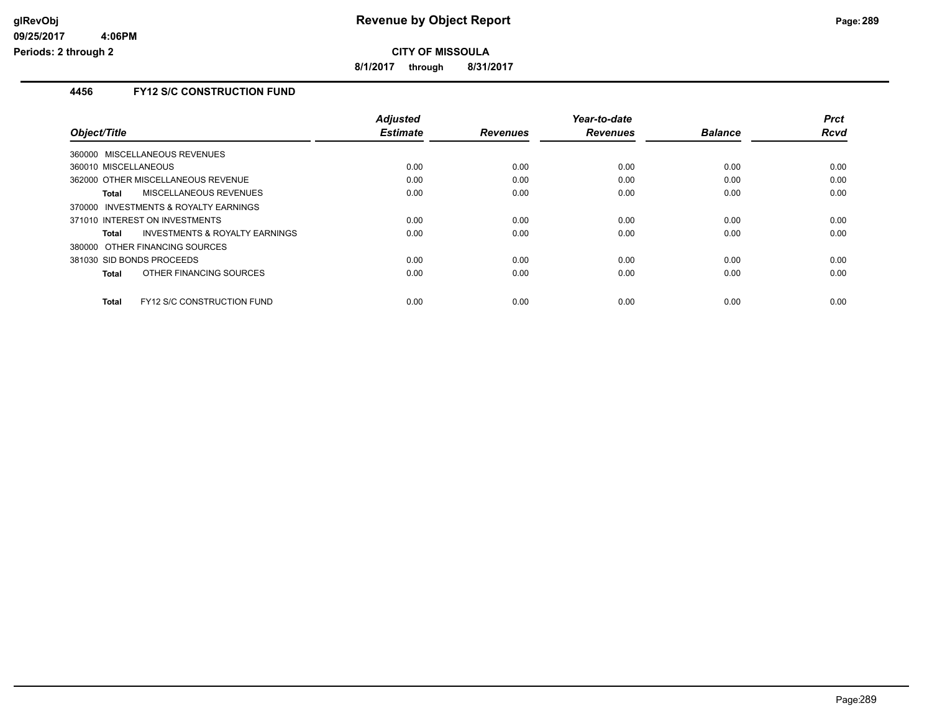**8/1/2017 through 8/31/2017**

#### **4456 FY12 S/C CONSTRUCTION FUND**

| Object/Title                                      | <b>Adjusted</b><br><b>Estimate</b> | <b>Revenues</b> | Year-to-date<br><b>Revenues</b> | <b>Balance</b> | <b>Prct</b><br>Rcvd |
|---------------------------------------------------|------------------------------------|-----------------|---------------------------------|----------------|---------------------|
|                                                   |                                    |                 |                                 |                |                     |
| 360000 MISCELLANEOUS REVENUES                     |                                    |                 |                                 |                |                     |
| 360010 MISCELLANEOUS                              | 0.00                               | 0.00            | 0.00                            | 0.00           | 0.00                |
| 362000 OTHER MISCELLANEOUS REVENUE                | 0.00                               | 0.00            | 0.00                            | 0.00           | 0.00                |
| <b>MISCELLANEOUS REVENUES</b><br>Total            | 0.00                               | 0.00            | 0.00                            | 0.00           | 0.00                |
| 370000 INVESTMENTS & ROYALTY EARNINGS             |                                    |                 |                                 |                |                     |
| 371010 INTEREST ON INVESTMENTS                    | 0.00                               | 0.00            | 0.00                            | 0.00           | 0.00                |
| INVESTMENTS & ROYALTY EARNINGS<br>Total           | 0.00                               | 0.00            | 0.00                            | 0.00           | 0.00                |
| 380000 OTHER FINANCING SOURCES                    |                                    |                 |                                 |                |                     |
| 381030 SID BONDS PROCEEDS                         | 0.00                               | 0.00            | 0.00                            | 0.00           | 0.00                |
| OTHER FINANCING SOURCES<br>Total                  | 0.00                               | 0.00            | 0.00                            | 0.00           | 0.00                |
| <b>FY12 S/C CONSTRUCTION FUND</b><br><b>Total</b> | 0.00                               | 0.00            | 0.00                            | 0.00           | 0.00                |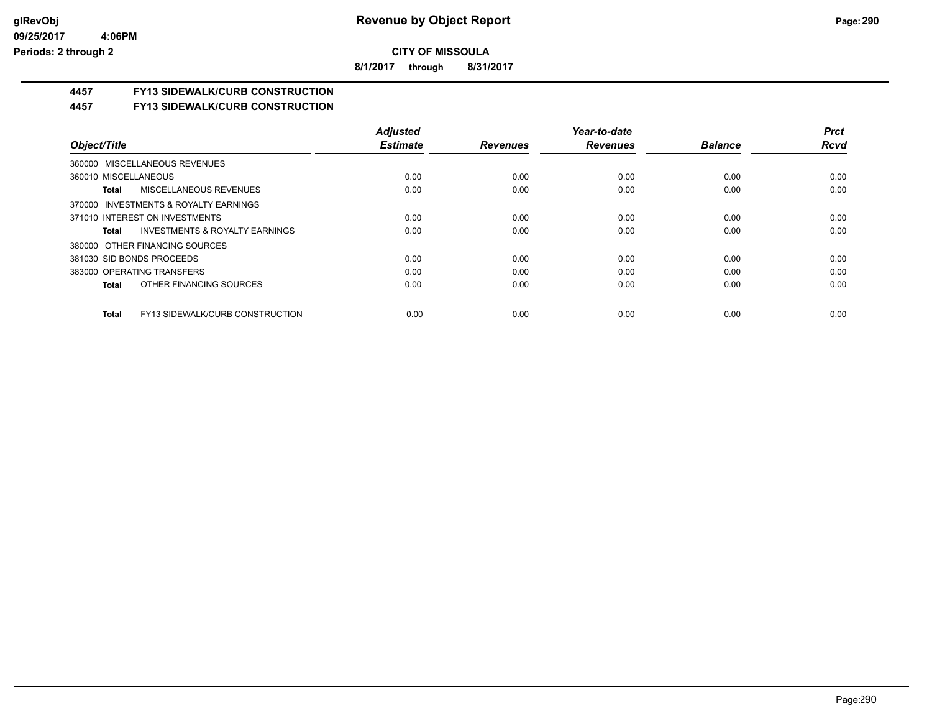**CITY OF MISSOULA**

**8/1/2017 through 8/31/2017**

# **4457 FY13 SIDEWALK/CURB CONSTRUCTION**

#### **4457 FY13 SIDEWALK/CURB CONSTRUCTION**

|                                                    | <b>Adjusted</b> |                 | Year-to-date    |                | <b>Prct</b> |
|----------------------------------------------------|-----------------|-----------------|-----------------|----------------|-------------|
| Object/Title                                       | <b>Estimate</b> | <b>Revenues</b> | <b>Revenues</b> | <b>Balance</b> | <b>Rcvd</b> |
| 360000 MISCELLANEOUS REVENUES                      |                 |                 |                 |                |             |
| 360010 MISCELLANEOUS                               | 0.00            | 0.00            | 0.00            | 0.00           | 0.00        |
| MISCELLANEOUS REVENUES<br>Total                    | 0.00            | 0.00            | 0.00            | 0.00           | 0.00        |
| 370000 INVESTMENTS & ROYALTY EARNINGS              |                 |                 |                 |                |             |
| 371010 INTEREST ON INVESTMENTS                     | 0.00            | 0.00            | 0.00            | 0.00           | 0.00        |
| <b>INVESTMENTS &amp; ROYALTY EARNINGS</b><br>Total | 0.00            | 0.00            | 0.00            | 0.00           | 0.00        |
| 380000 OTHER FINANCING SOURCES                     |                 |                 |                 |                |             |
| 381030 SID BONDS PROCEEDS                          | 0.00            | 0.00            | 0.00            | 0.00           | 0.00        |
| 383000 OPERATING TRANSFERS                         | 0.00            | 0.00            | 0.00            | 0.00           | 0.00        |
| OTHER FINANCING SOURCES<br>Total                   | 0.00            | 0.00            | 0.00            | 0.00           | 0.00        |
| <b>FY13 SIDEWALK/CURB CONSTRUCTION</b><br>Total    | 0.00            | 0.00            | 0.00            | 0.00           | 0.00        |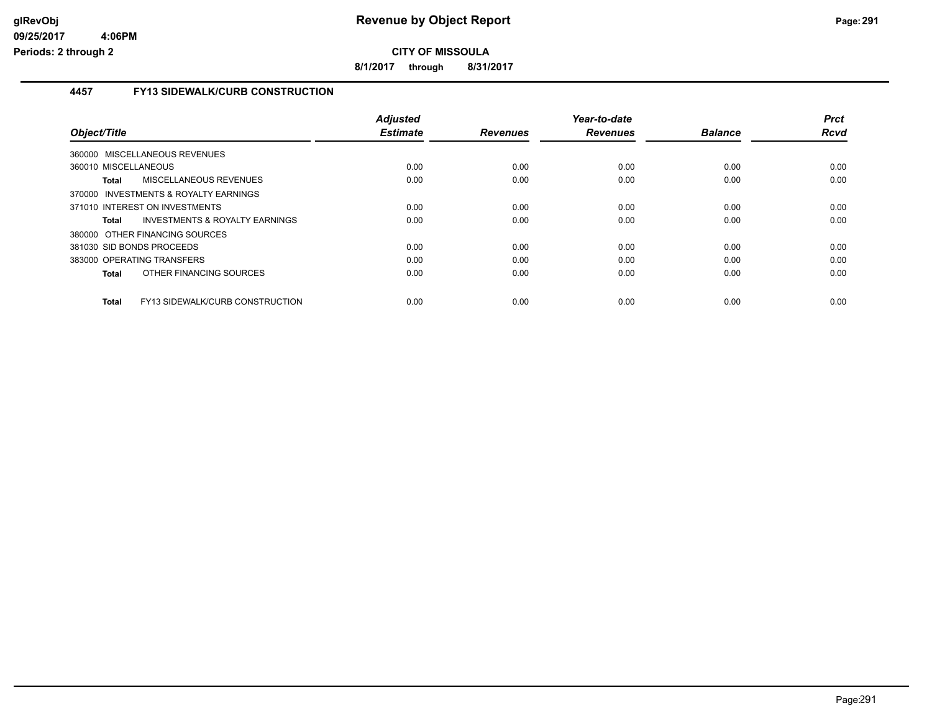**8/1/2017 through 8/31/2017**

#### **4457 FY13 SIDEWALK/CURB CONSTRUCTION**

|                                                        | <b>Adjusted</b> |                 | Year-to-date    |                | <b>Prct</b> |
|--------------------------------------------------------|-----------------|-----------------|-----------------|----------------|-------------|
| Object/Title                                           | <b>Estimate</b> | <b>Revenues</b> | <b>Revenues</b> | <b>Balance</b> | <b>Rcvd</b> |
| 360000 MISCELLANEOUS REVENUES                          |                 |                 |                 |                |             |
| 360010 MISCELLANEOUS                                   | 0.00            | 0.00            | 0.00            | 0.00           | 0.00        |
| MISCELLANEOUS REVENUES<br><b>Total</b>                 | 0.00            | 0.00            | 0.00            | 0.00           | 0.00        |
| 370000 INVESTMENTS & ROYALTY EARNINGS                  |                 |                 |                 |                |             |
| 371010 INTEREST ON INVESTMENTS                         | 0.00            | 0.00            | 0.00            | 0.00           | 0.00        |
| <b>INVESTMENTS &amp; ROYALTY EARNINGS</b><br>Total     | 0.00            | 0.00            | 0.00            | 0.00           | 0.00        |
| 380000 OTHER FINANCING SOURCES                         |                 |                 |                 |                |             |
| 381030 SID BONDS PROCEEDS                              | 0.00            | 0.00            | 0.00            | 0.00           | 0.00        |
| 383000 OPERATING TRANSFERS                             | 0.00            | 0.00            | 0.00            | 0.00           | 0.00        |
| OTHER FINANCING SOURCES<br><b>Total</b>                | 0.00            | 0.00            | 0.00            | 0.00           | 0.00        |
| <b>FY13 SIDEWALK/CURB CONSTRUCTION</b><br><b>Total</b> | 0.00            | 0.00            | 0.00            | 0.00           | 0.00        |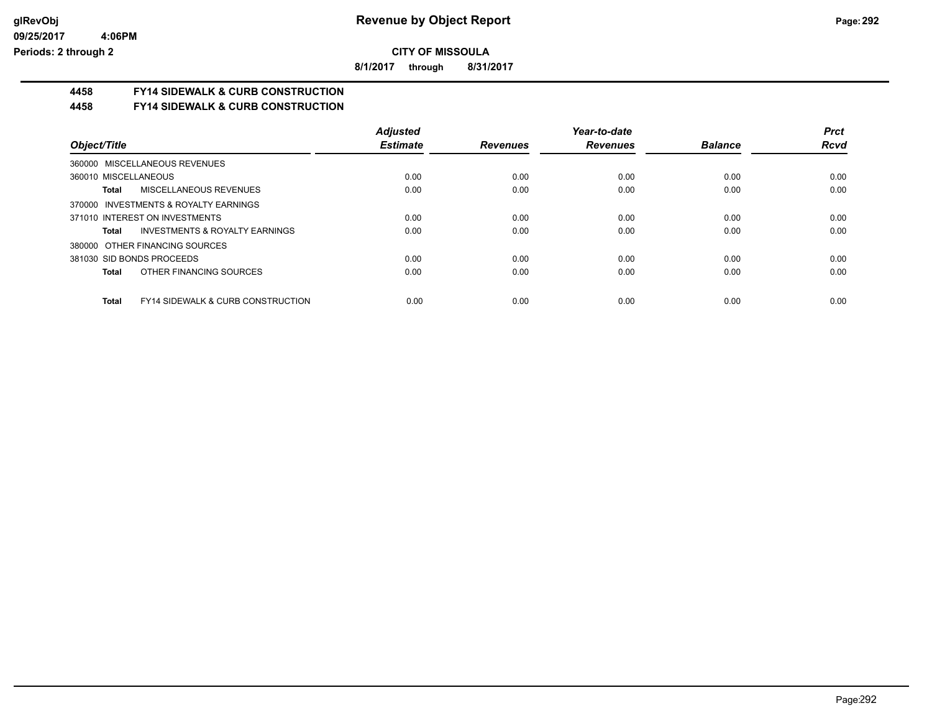**4:06PM**

**CITY OF MISSOULA**

**8/1/2017 through 8/31/2017**

# **4458 FY14 SIDEWALK & CURB CONSTRUCTION**

### **4458 FY14 SIDEWALK & CURB CONSTRUCTION**

|                                                       | <b>Adjusted</b> |                 | Year-to-date    |                | <b>Prct</b> |
|-------------------------------------------------------|-----------------|-----------------|-----------------|----------------|-------------|
| Object/Title                                          | <b>Estimate</b> | <b>Revenues</b> | <b>Revenues</b> | <b>Balance</b> | <b>Rcvd</b> |
| 360000 MISCELLANEOUS REVENUES                         |                 |                 |                 |                |             |
| 360010 MISCELLANEOUS                                  | 0.00            | 0.00            | 0.00            | 0.00           | 0.00        |
| <b>MISCELLANEOUS REVENUES</b><br>Total                | 0.00            | 0.00            | 0.00            | 0.00           | 0.00        |
| 370000 INVESTMENTS & ROYALTY EARNINGS                 |                 |                 |                 |                |             |
| 371010 INTEREST ON INVESTMENTS                        | 0.00            | 0.00            | 0.00            | 0.00           | 0.00        |
| <b>INVESTMENTS &amp; ROYALTY EARNINGS</b><br>Total    | 0.00            | 0.00            | 0.00            | 0.00           | 0.00        |
| 380000 OTHER FINANCING SOURCES                        |                 |                 |                 |                |             |
| 381030 SID BONDS PROCEEDS                             | 0.00            | 0.00            | 0.00            | 0.00           | 0.00        |
| OTHER FINANCING SOURCES<br>Total                      | 0.00            | 0.00            | 0.00            | 0.00           | 0.00        |
| <b>FY14 SIDEWALK &amp; CURB CONSTRUCTION</b><br>Total | 0.00            | 0.00            | 0.00            | 0.00           | 0.00        |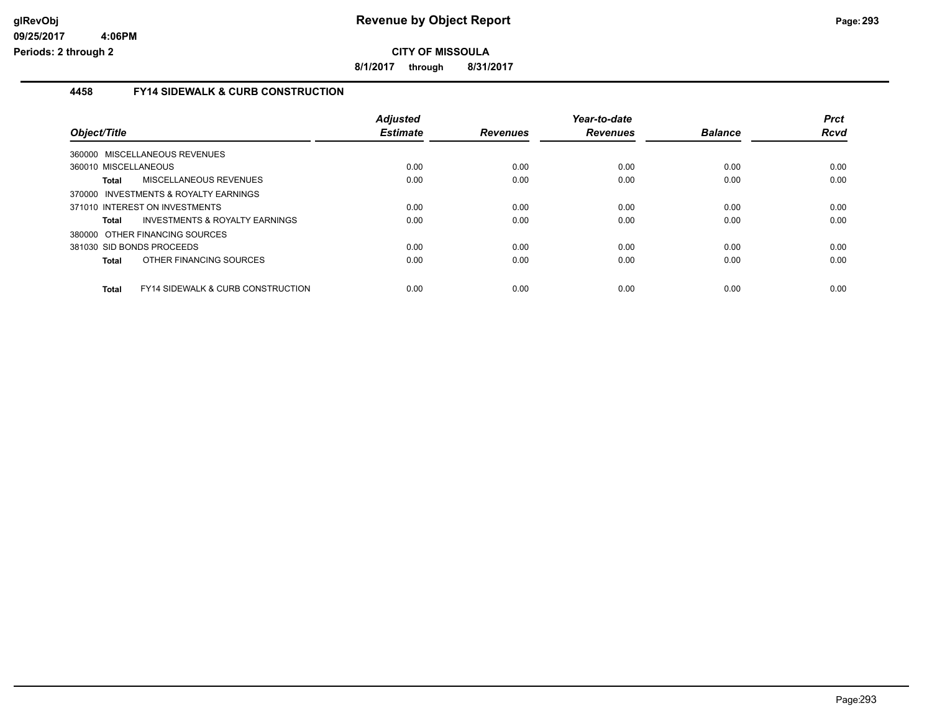**CITY OF MISSOULA**

**8/1/2017 through 8/31/2017**

#### **4458 FY14 SIDEWALK & CURB CONSTRUCTION**

| Object/Title                          |                                              | <b>Adjusted</b><br><b>Estimate</b> | <b>Revenues</b> | Year-to-date<br><b>Revenues</b> | <b>Balance</b> | <b>Prct</b><br>Rcvd |
|---------------------------------------|----------------------------------------------|------------------------------------|-----------------|---------------------------------|----------------|---------------------|
| 360000 MISCELLANEOUS REVENUES         |                                              |                                    |                 |                                 |                |                     |
| 360010 MISCELLANEOUS                  |                                              | 0.00                               | 0.00            | 0.00                            | 0.00           | 0.00                |
| <b>Total</b>                          | <b>MISCELLANEOUS REVENUES</b>                | 0.00                               | 0.00            | 0.00                            | 0.00           | 0.00                |
| 370000 INVESTMENTS & ROYALTY EARNINGS |                                              |                                    |                 |                                 |                |                     |
| 371010 INTEREST ON INVESTMENTS        |                                              | 0.00                               | 0.00            | 0.00                            | 0.00           | 0.00                |
| <b>Total</b>                          | <b>INVESTMENTS &amp; ROYALTY EARNINGS</b>    | 0.00                               | 0.00            | 0.00                            | 0.00           | 0.00                |
| 380000 OTHER FINANCING SOURCES        |                                              |                                    |                 |                                 |                |                     |
| 381030 SID BONDS PROCEEDS             |                                              | 0.00                               | 0.00            | 0.00                            | 0.00           | 0.00                |
| <b>Total</b>                          | OTHER FINANCING SOURCES                      | 0.00                               | 0.00            | 0.00                            | 0.00           | 0.00                |
| <b>Total</b>                          | <b>FY14 SIDEWALK &amp; CURB CONSTRUCTION</b> | 0.00                               | 0.00            | 0.00                            | 0.00           | 0.00                |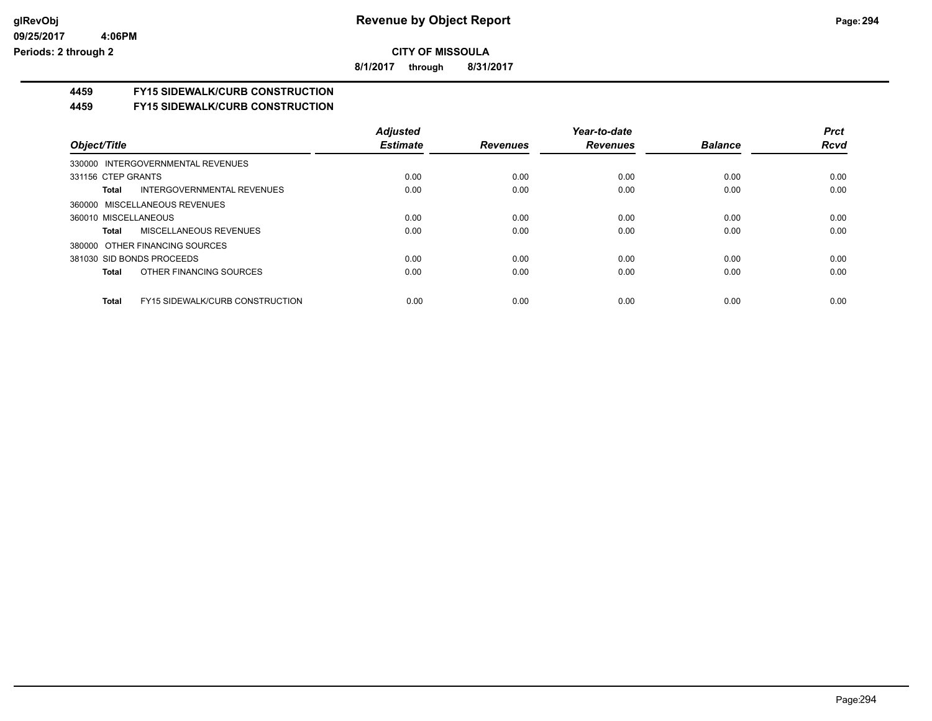**4:06PM**

**CITY OF MISSOULA**

**8/1/2017 through 8/31/2017**

# **4459 FY15 SIDEWALK/CURB CONSTRUCTION**

**4459 FY15 SIDEWALK/CURB CONSTRUCTION**

|                                                 | <b>Adjusted</b> |                 | Year-to-date    |                | <b>Prct</b> |
|-------------------------------------------------|-----------------|-----------------|-----------------|----------------|-------------|
| Object/Title                                    | <b>Estimate</b> | <b>Revenues</b> | <b>Revenues</b> | <b>Balance</b> | <b>Rcvd</b> |
| 330000 INTERGOVERNMENTAL REVENUES               |                 |                 |                 |                |             |
| 331156 CTEP GRANTS                              | 0.00            | 0.00            | 0.00            | 0.00           | 0.00        |
| INTERGOVERNMENTAL REVENUES<br>Total             | 0.00            | 0.00            | 0.00            | 0.00           | 0.00        |
| 360000 MISCELLANEOUS REVENUES                   |                 |                 |                 |                |             |
| 360010 MISCELLANEOUS                            | 0.00            | 0.00            | 0.00            | 0.00           | 0.00        |
| MISCELLANEOUS REVENUES<br>Total                 | 0.00            | 0.00            | 0.00            | 0.00           | 0.00        |
| 380000 OTHER FINANCING SOURCES                  |                 |                 |                 |                |             |
| 381030 SID BONDS PROCEEDS                       | 0.00            | 0.00            | 0.00            | 0.00           | 0.00        |
| OTHER FINANCING SOURCES<br>Total                | 0.00            | 0.00            | 0.00            | 0.00           | 0.00        |
| <b>FY15 SIDEWALK/CURB CONSTRUCTION</b><br>Total | 0.00            | 0.00            | 0.00            | 0.00           | 0.00        |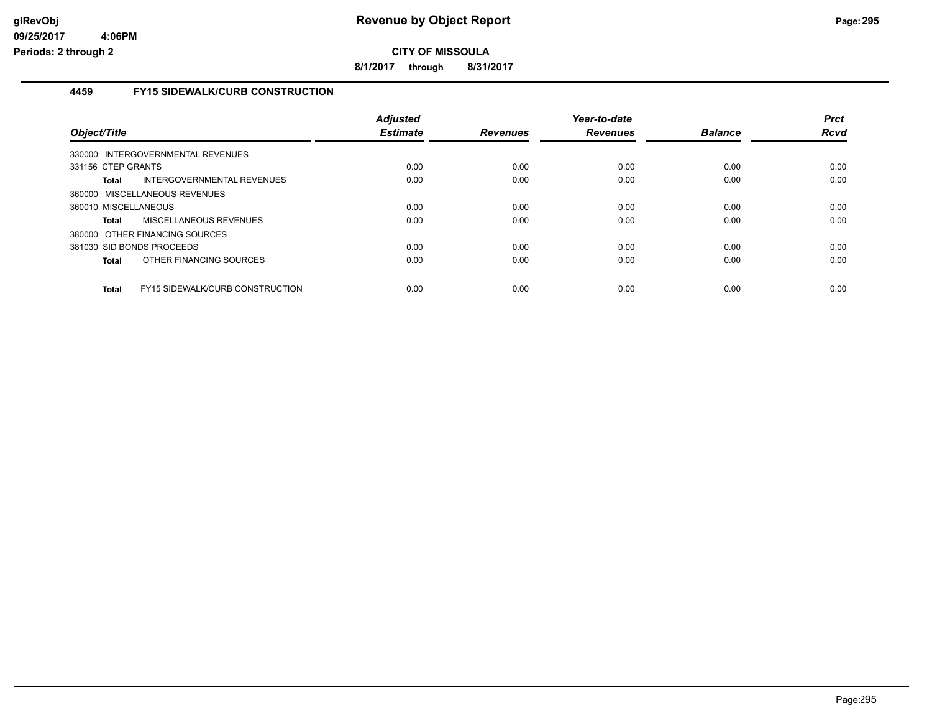**8/1/2017 through 8/31/2017**

#### **4459 FY15 SIDEWALK/CURB CONSTRUCTION**

| Object/Title                                    | <b>Adiusted</b><br><b>Estimate</b> | <b>Revenues</b> | Year-to-date<br><b>Revenues</b> | <b>Balance</b> | <b>Prct</b><br><b>Rcvd</b> |
|-------------------------------------------------|------------------------------------|-----------------|---------------------------------|----------------|----------------------------|
| 330000 INTERGOVERNMENTAL REVENUES               |                                    |                 |                                 |                |                            |
| 331156 CTEP GRANTS                              | 0.00                               | 0.00            | 0.00                            | 0.00           | 0.00                       |
| INTERGOVERNMENTAL REVENUES<br><b>Total</b>      | 0.00                               | 0.00            | 0.00                            | 0.00           | 0.00                       |
| 360000 MISCELLANEOUS REVENUES                   |                                    |                 |                                 |                |                            |
| 360010 MISCELLANEOUS                            | 0.00                               | 0.00            | 0.00                            | 0.00           | 0.00                       |
| MISCELLANEOUS REVENUES<br><b>Total</b>          | 0.00                               | 0.00            | 0.00                            | 0.00           | 0.00                       |
| 380000 OTHER FINANCING SOURCES                  |                                    |                 |                                 |                |                            |
| 381030 SID BONDS PROCEEDS                       | 0.00                               | 0.00            | 0.00                            | 0.00           | 0.00                       |
| OTHER FINANCING SOURCES<br><b>Total</b>         | 0.00                               | 0.00            | 0.00                            | 0.00           | 0.00                       |
| FY15 SIDEWALK/CURB CONSTRUCTION<br><b>Total</b> | 0.00                               | 0.00            | 0.00                            | 0.00           | 0.00                       |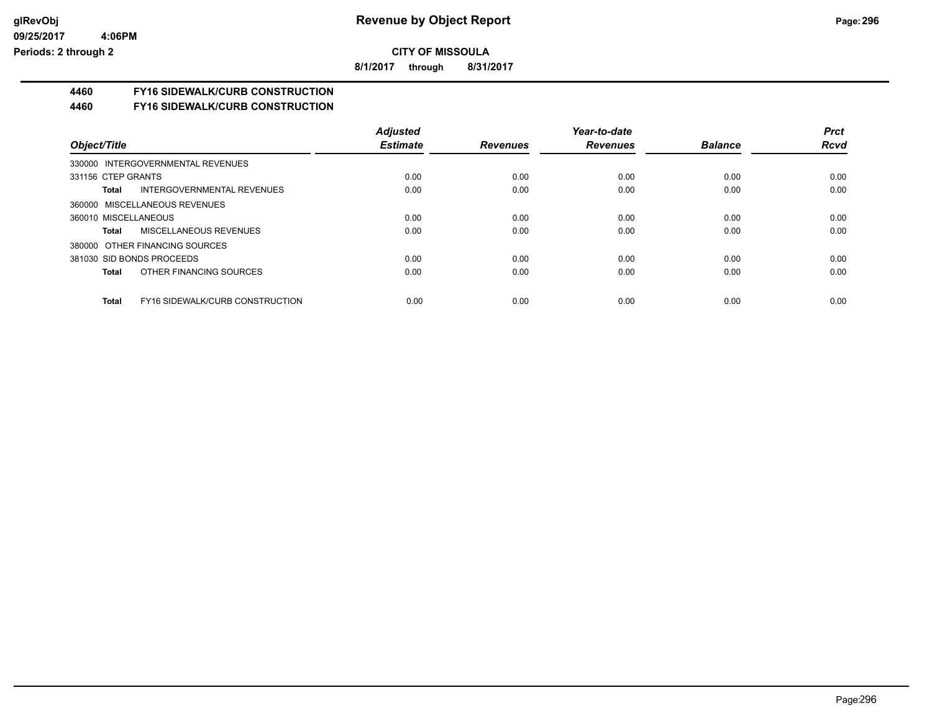**09/25/2017 4:06PM Periods: 2 through 2**

**CITY OF MISSOULA**

**8/1/2017 through 8/31/2017**

# **4460 FY16 SIDEWALK/CURB CONSTRUCTION**

**4460 FY16 SIDEWALK/CURB CONSTRUCTION**

|                                                 | <b>Adjusted</b> |                 | Year-to-date    |                | <b>Prct</b> |
|-------------------------------------------------|-----------------|-----------------|-----------------|----------------|-------------|
| Object/Title                                    | <b>Estimate</b> | <b>Revenues</b> | <b>Revenues</b> | <b>Balance</b> | <b>Rcvd</b> |
| 330000 INTERGOVERNMENTAL REVENUES               |                 |                 |                 |                |             |
| 331156 CTEP GRANTS                              | 0.00            | 0.00            | 0.00            | 0.00           | 0.00        |
| INTERGOVERNMENTAL REVENUES<br>Total             | 0.00            | 0.00            | 0.00            | 0.00           | 0.00        |
| 360000 MISCELLANEOUS REVENUES                   |                 |                 |                 |                |             |
| 360010 MISCELLANEOUS                            | 0.00            | 0.00            | 0.00            | 0.00           | 0.00        |
| MISCELLANEOUS REVENUES<br>Total                 | 0.00            | 0.00            | 0.00            | 0.00           | 0.00        |
| 380000 OTHER FINANCING SOURCES                  |                 |                 |                 |                |             |
| 381030 SID BONDS PROCEEDS                       | 0.00            | 0.00            | 0.00            | 0.00           | 0.00        |
| OTHER FINANCING SOURCES<br>Total                | 0.00            | 0.00            | 0.00            | 0.00           | 0.00        |
| <b>FY16 SIDEWALK/CURB CONSTRUCTION</b><br>Total | 0.00            | 0.00            | 0.00            | 0.00           | 0.00        |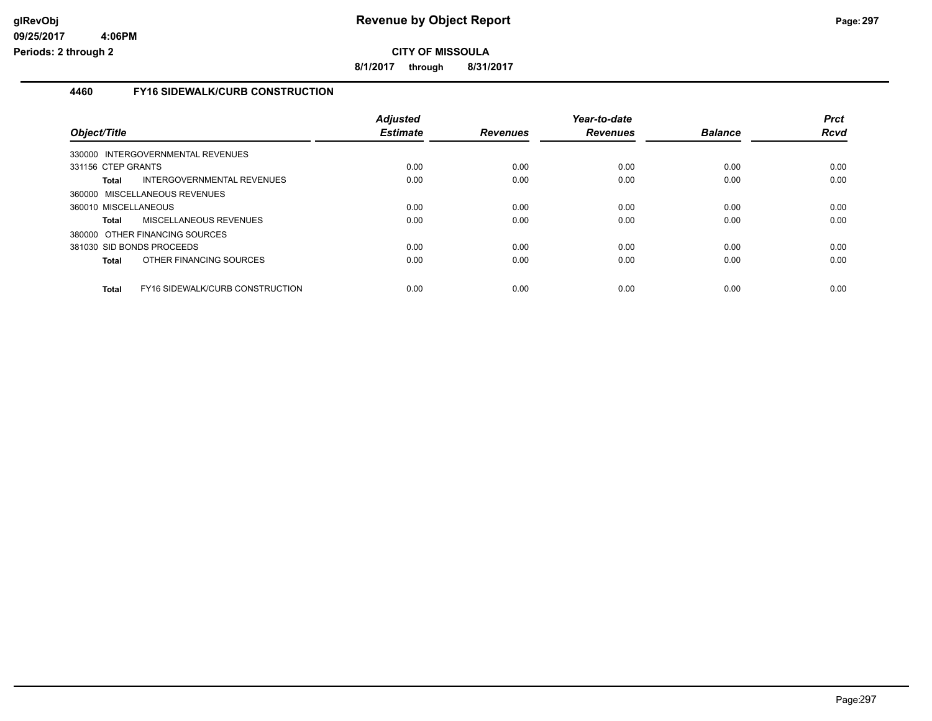**CITY OF MISSOULA**

**8/1/2017 through 8/31/2017**

#### **4460 FY16 SIDEWALK/CURB CONSTRUCTION**

| Object/Title                                    | <b>Adjusted</b><br><b>Estimate</b> | <b>Revenues</b> | Year-to-date<br><b>Revenues</b> | <b>Balance</b> | <b>Prct</b><br><b>Rcvd</b> |
|-------------------------------------------------|------------------------------------|-----------------|---------------------------------|----------------|----------------------------|
| 330000 INTERGOVERNMENTAL REVENUES               |                                    |                 |                                 |                |                            |
| 331156 CTEP GRANTS                              | 0.00                               | 0.00            | 0.00                            | 0.00           | 0.00                       |
| INTERGOVERNMENTAL REVENUES<br><b>Total</b>      | 0.00                               | 0.00            | 0.00                            | 0.00           | 0.00                       |
| 360000 MISCELLANEOUS REVENUES                   |                                    |                 |                                 |                |                            |
| 360010 MISCELLANEOUS                            | 0.00                               | 0.00            | 0.00                            | 0.00           | 0.00                       |
| MISCELLANEOUS REVENUES<br><b>Total</b>          | 0.00                               | 0.00            | 0.00                            | 0.00           | 0.00                       |
| 380000 OTHER FINANCING SOURCES                  |                                    |                 |                                 |                |                            |
| 381030 SID BONDS PROCEEDS                       | 0.00                               | 0.00            | 0.00                            | 0.00           | 0.00                       |
| OTHER FINANCING SOURCES<br><b>Total</b>         | 0.00                               | 0.00            | 0.00                            | 0.00           | 0.00                       |
| FY16 SIDEWALK/CURB CONSTRUCTION<br><b>Total</b> | 0.00                               | 0.00            | 0.00                            | 0.00           | 0.00                       |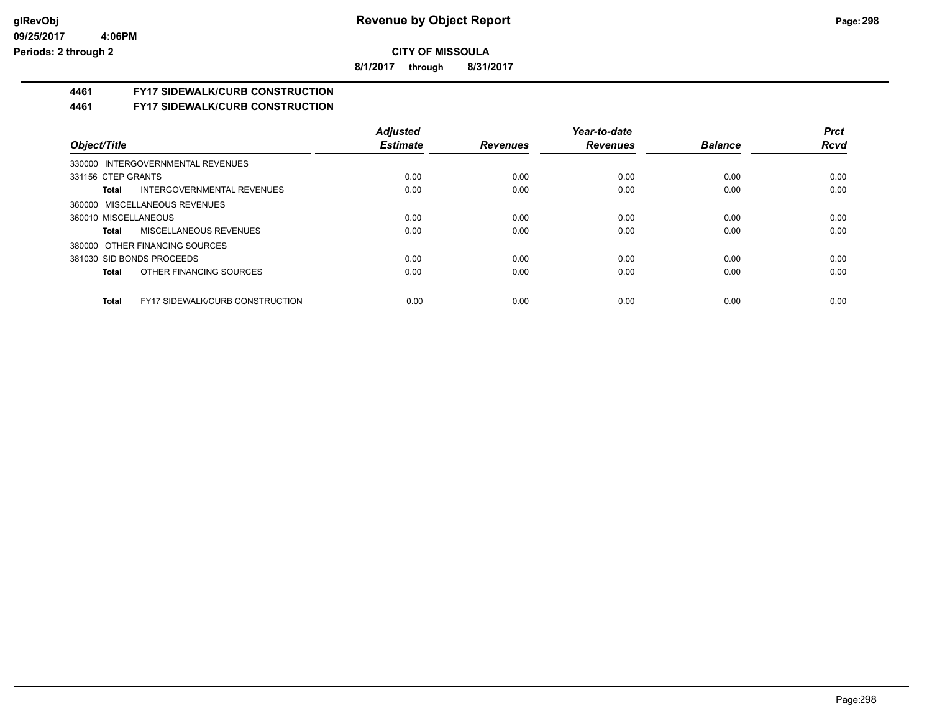# **09/25/2017**

**Periods: 2 through 2**

 **4:06PM**

**glRevObj Revenue by Object Report Page:298** 

**CITY OF MISSOULA**

**8/1/2017 through 8/31/2017**

# **4461 FY17 SIDEWALK/CURB CONSTRUCTION**

**4461 FY17 SIDEWALK/CURB CONSTRUCTION**

|                                                        | <b>Adjusted</b> |                 | Year-to-date    |                | <b>Prct</b> |
|--------------------------------------------------------|-----------------|-----------------|-----------------|----------------|-------------|
| Object/Title                                           | <b>Estimate</b> | <b>Revenues</b> | <b>Revenues</b> | <b>Balance</b> | <b>Rcvd</b> |
| 330000 INTERGOVERNMENTAL REVENUES                      |                 |                 |                 |                |             |
| 331156 CTEP GRANTS                                     | 0.00            | 0.00            | 0.00            | 0.00           | 0.00        |
| INTERGOVERNMENTAL REVENUES<br>Total                    | 0.00            | 0.00            | 0.00            | 0.00           | 0.00        |
| 360000 MISCELLANEOUS REVENUES                          |                 |                 |                 |                |             |
| 360010 MISCELLANEOUS                                   | 0.00            | 0.00            | 0.00            | 0.00           | 0.00        |
| <b>MISCELLANEOUS REVENUES</b><br>Total                 | 0.00            | 0.00            | 0.00            | 0.00           | 0.00        |
| 380000 OTHER FINANCING SOURCES                         |                 |                 |                 |                |             |
| 381030 SID BONDS PROCEEDS                              | 0.00            | 0.00            | 0.00            | 0.00           | 0.00        |
| OTHER FINANCING SOURCES<br>Total                       | 0.00            | 0.00            | 0.00            | 0.00           | 0.00        |
| <b>FY17 SIDEWALK/CURB CONSTRUCTION</b><br><b>Total</b> | 0.00            | 0.00            | 0.00            | 0.00           | 0.00        |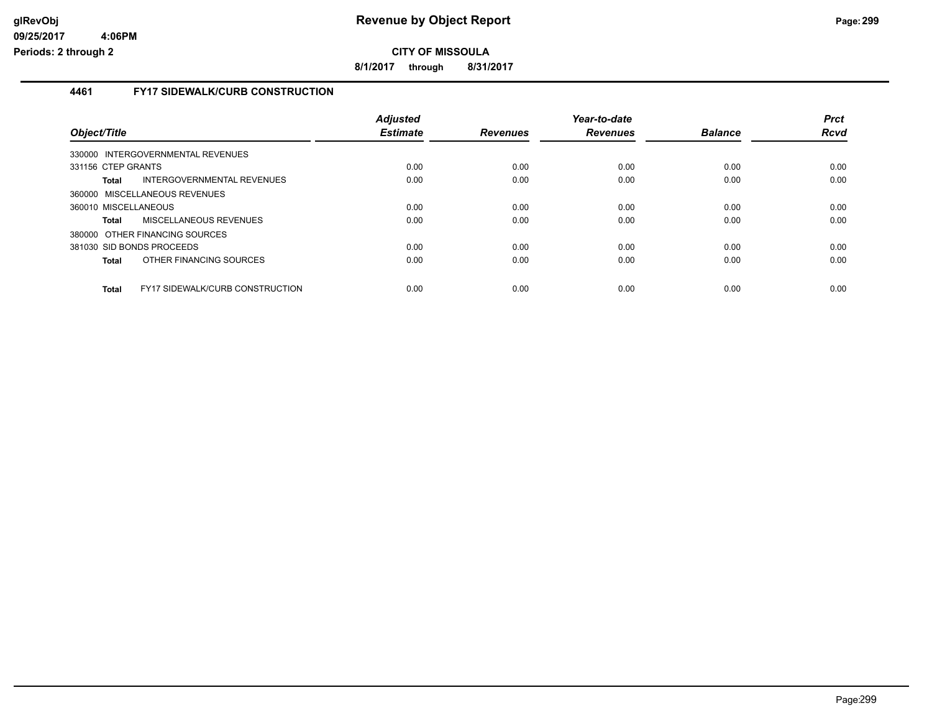**8/1/2017 through 8/31/2017**

#### **4461 FY17 SIDEWALK/CURB CONSTRUCTION**

| Object/Title                                    | <b>Adjusted</b><br><b>Estimate</b> | <b>Revenues</b> | Year-to-date<br><b>Revenues</b> | <b>Balance</b> | <b>Prct</b><br><b>Rcvd</b> |
|-------------------------------------------------|------------------------------------|-----------------|---------------------------------|----------------|----------------------------|
| 330000 INTERGOVERNMENTAL REVENUES               |                                    |                 |                                 |                |                            |
| 331156 CTEP GRANTS                              | 0.00                               | 0.00            | 0.00                            | 0.00           | 0.00                       |
| INTERGOVERNMENTAL REVENUES<br><b>Total</b>      | 0.00                               | 0.00            | 0.00                            | 0.00           | 0.00                       |
| 360000 MISCELLANEOUS REVENUES                   |                                    |                 |                                 |                |                            |
| 360010 MISCELLANEOUS                            | 0.00                               | 0.00            | 0.00                            | 0.00           | 0.00                       |
| MISCELLANEOUS REVENUES<br><b>Total</b>          | 0.00                               | 0.00            | 0.00                            | 0.00           | 0.00                       |
| 380000 OTHER FINANCING SOURCES                  |                                    |                 |                                 |                |                            |
| 381030 SID BONDS PROCEEDS                       | 0.00                               | 0.00            | 0.00                            | 0.00           | 0.00                       |
| OTHER FINANCING SOURCES<br><b>Total</b>         | 0.00                               | 0.00            | 0.00                            | 0.00           | 0.00                       |
| FY17 SIDEWALK/CURB CONSTRUCTION<br><b>Total</b> | 0.00                               | 0.00            | 0.00                            | 0.00           | 0.00                       |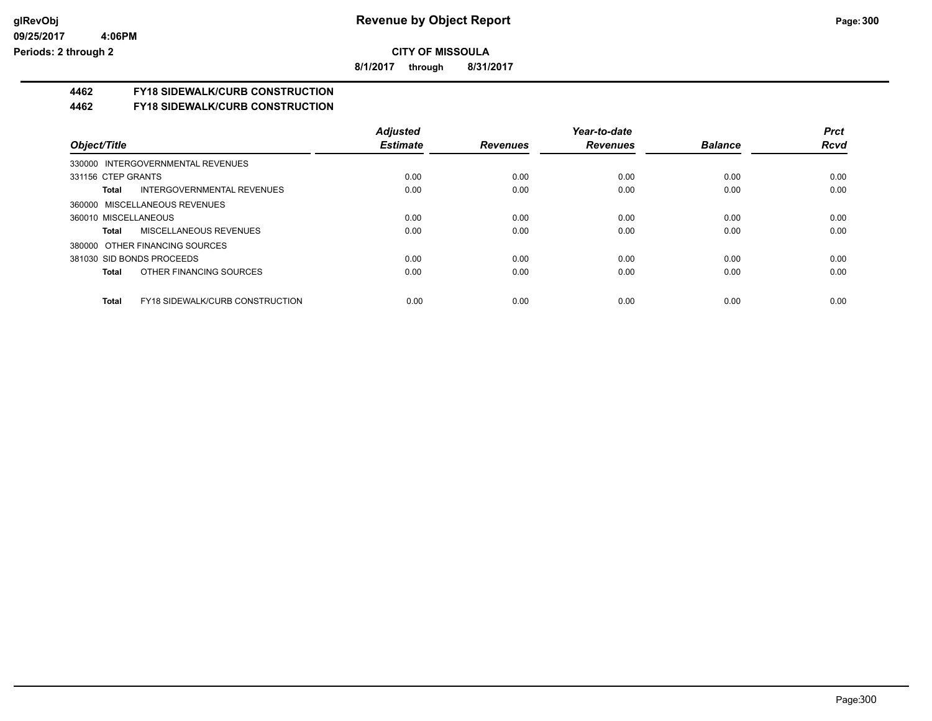# **09/25/2017**

**Periods: 2 through 2**

 **4:06PM**

**CITY OF MISSOULA**

**8/1/2017 through 8/31/2017**

# **4462 FY18 SIDEWALK/CURB CONSTRUCTION**

**4462 FY18 SIDEWALK/CURB CONSTRUCTION**

|                                                 | <b>Adjusted</b> |                 | Year-to-date    |                | <b>Prct</b> |
|-------------------------------------------------|-----------------|-----------------|-----------------|----------------|-------------|
| Object/Title                                    | <b>Estimate</b> | <b>Revenues</b> | <b>Revenues</b> | <b>Balance</b> | <b>Rcvd</b> |
| 330000 INTERGOVERNMENTAL REVENUES               |                 |                 |                 |                |             |
| 331156 CTEP GRANTS                              | 0.00            | 0.00            | 0.00            | 0.00           | 0.00        |
| INTERGOVERNMENTAL REVENUES<br>Total             | 0.00            | 0.00            | 0.00            | 0.00           | 0.00        |
| 360000 MISCELLANEOUS REVENUES                   |                 |                 |                 |                |             |
| 360010 MISCELLANEOUS                            | 0.00            | 0.00            | 0.00            | 0.00           | 0.00        |
| MISCELLANEOUS REVENUES<br>Total                 | 0.00            | 0.00            | 0.00            | 0.00           | 0.00        |
| 380000 OTHER FINANCING SOURCES                  |                 |                 |                 |                |             |
| 381030 SID BONDS PROCEEDS                       | 0.00            | 0.00            | 0.00            | 0.00           | 0.00        |
| OTHER FINANCING SOURCES<br>Total                | 0.00            | 0.00            | 0.00            | 0.00           | 0.00        |
| <b>FY18 SIDEWALK/CURB CONSTRUCTION</b><br>Total | 0.00            | 0.00            | 0.00            | 0.00           | 0.00        |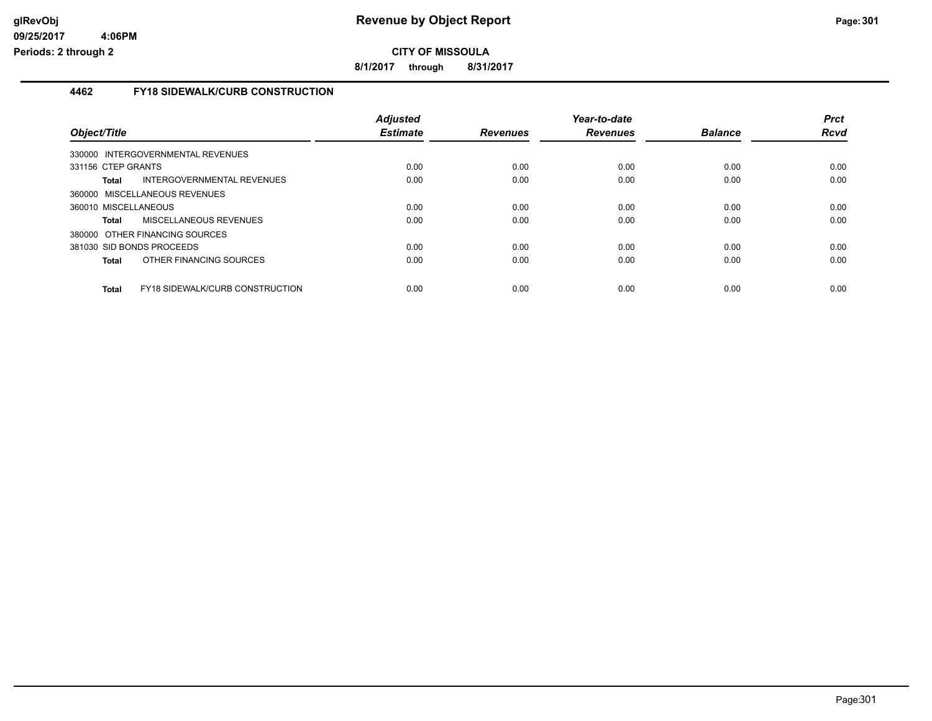**8/1/2017 through 8/31/2017**

#### **4462 FY18 SIDEWALK/CURB CONSTRUCTION**

| Object/Title                                    | <b>Adjusted</b><br><b>Estimate</b> | <b>Revenues</b> | Year-to-date<br><b>Revenues</b> | <b>Balance</b> | <b>Prct</b><br><b>Rcvd</b> |
|-------------------------------------------------|------------------------------------|-----------------|---------------------------------|----------------|----------------------------|
| 330000 INTERGOVERNMENTAL REVENUES               |                                    |                 |                                 |                |                            |
| 331156 CTEP GRANTS                              | 0.00                               | 0.00            | 0.00                            | 0.00           | 0.00                       |
| INTERGOVERNMENTAL REVENUES<br><b>Total</b>      | 0.00                               | 0.00            | 0.00                            | 0.00           | 0.00                       |
| 360000 MISCELLANEOUS REVENUES                   |                                    |                 |                                 |                |                            |
| 360010 MISCELLANEOUS                            | 0.00                               | 0.00            | 0.00                            | 0.00           | 0.00                       |
| MISCELLANEOUS REVENUES<br><b>Total</b>          | 0.00                               | 0.00            | 0.00                            | 0.00           | 0.00                       |
| 380000 OTHER FINANCING SOURCES                  |                                    |                 |                                 |                |                            |
| 381030 SID BONDS PROCEEDS                       | 0.00                               | 0.00            | 0.00                            | 0.00           | 0.00                       |
| OTHER FINANCING SOURCES<br><b>Total</b>         | 0.00                               | 0.00            | 0.00                            | 0.00           | 0.00                       |
| FY18 SIDEWALK/CURB CONSTRUCTION<br><b>Total</b> | 0.00                               | 0.00            | 0.00                            | 0.00           | 0.00                       |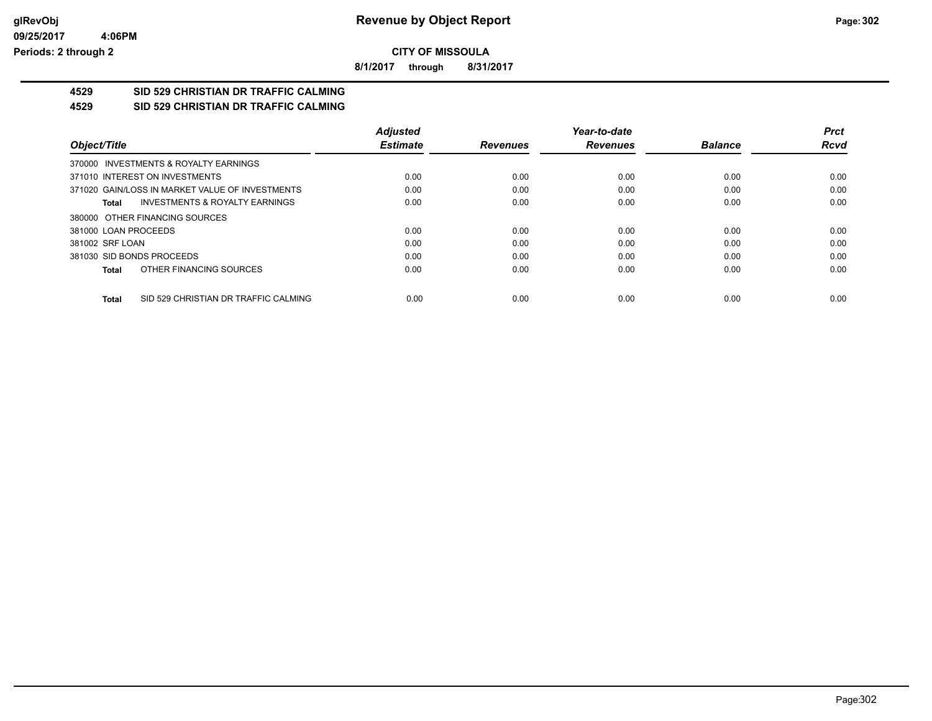**8/1/2017 through 8/31/2017**

#### **4529 SID 529 CHRISTIAN DR TRAFFIC CALMING 4529 SID 529 CHRISTIAN DR TRAFFIC CALMING**

|                      |                                                 | <b>Adjusted</b> |                 | Year-to-date    |                | <b>Prct</b> |
|----------------------|-------------------------------------------------|-----------------|-----------------|-----------------|----------------|-------------|
| Object/Title         |                                                 | <b>Estimate</b> | <b>Revenues</b> | <b>Revenues</b> | <b>Balance</b> | <b>Rcvd</b> |
|                      | 370000 INVESTMENTS & ROYALTY EARNINGS           |                 |                 |                 |                |             |
|                      | 371010 INTEREST ON INVESTMENTS                  | 0.00            | 0.00            | 0.00            | 0.00           | 0.00        |
|                      | 371020 GAIN/LOSS IN MARKET VALUE OF INVESTMENTS | 0.00            | 0.00            | 0.00            | 0.00           | 0.00        |
| Total                | <b>INVESTMENTS &amp; ROYALTY EARNINGS</b>       | 0.00            | 0.00            | 0.00            | 0.00           | 0.00        |
|                      | 380000 OTHER FINANCING SOURCES                  |                 |                 |                 |                |             |
| 381000 LOAN PROCEEDS |                                                 | 0.00            | 0.00            | 0.00            | 0.00           | 0.00        |
| 381002 SRF LOAN      |                                                 | 0.00            | 0.00            | 0.00            | 0.00           | 0.00        |
|                      | 381030 SID BONDS PROCEEDS                       | 0.00            | 0.00            | 0.00            | 0.00           | 0.00        |
| Total                | OTHER FINANCING SOURCES                         | 0.00            | 0.00            | 0.00            | 0.00           | 0.00        |
| <b>Total</b>         | SID 529 CHRISTIAN DR TRAFFIC CALMING            | 0.00            | 0.00            | 0.00            | 0.00           | 0.00        |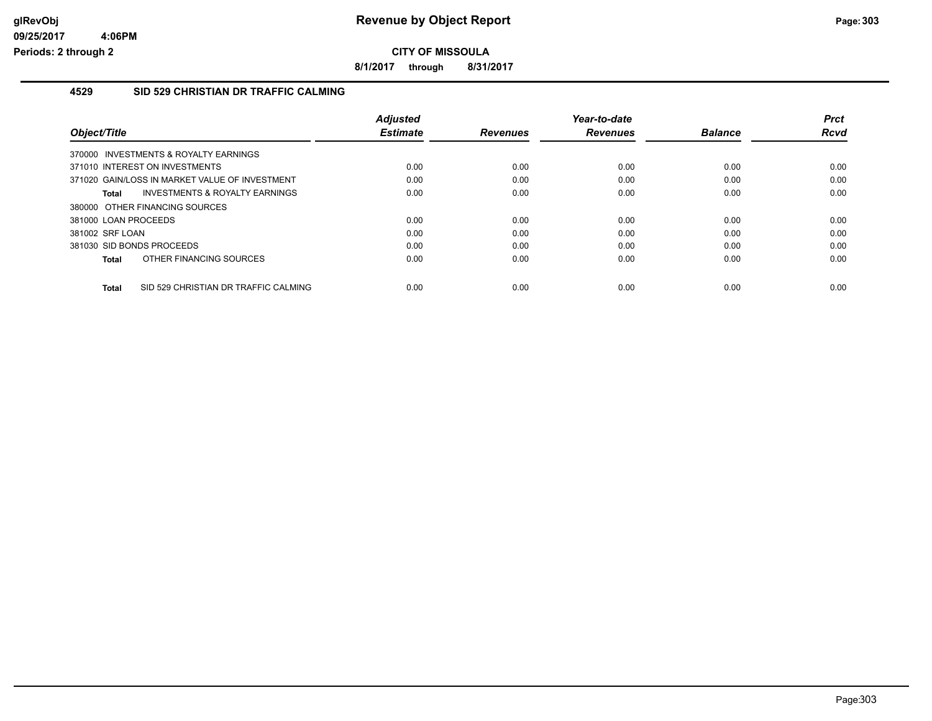**8/1/2017 through 8/31/2017**

#### **4529 SID 529 CHRISTIAN DR TRAFFIC CALMING**

| Object/Title                                   | <b>Adjusted</b><br><b>Estimate</b> | <b>Revenues</b> | Year-to-date<br><b>Revenues</b> | <b>Balance</b> | <b>Prct</b><br>Rcvd |
|------------------------------------------------|------------------------------------|-----------------|---------------------------------|----------------|---------------------|
| 370000 INVESTMENTS & ROYALTY EARNINGS          |                                    |                 |                                 |                |                     |
| 371010 INTEREST ON INVESTMENTS                 | 0.00                               | 0.00            | 0.00                            | 0.00           | 0.00                |
| 371020 GAIN/LOSS IN MARKET VALUE OF INVESTMENT | 0.00                               | 0.00            | 0.00                            | 0.00           | 0.00                |
| INVESTMENTS & ROYALTY EARNINGS<br>Total        | 0.00                               | 0.00            | 0.00                            | 0.00           | 0.00                |
| 380000 OTHER FINANCING SOURCES                 |                                    |                 |                                 |                |                     |
| 381000 LOAN PROCEEDS                           | 0.00                               | 0.00            | 0.00                            | 0.00           | 0.00                |
| 381002 SRF LOAN                                | 0.00                               | 0.00            | 0.00                            | 0.00           | 0.00                |
| 381030 SID BONDS PROCEEDS                      | 0.00                               | 0.00            | 0.00                            | 0.00           | 0.00                |
| OTHER FINANCING SOURCES<br>Total               | 0.00                               | 0.00            | 0.00                            | 0.00           | 0.00                |
| SID 529 CHRISTIAN DR TRAFFIC CALMING<br>Total  | 0.00                               | 0.00            | 0.00                            | 0.00           | 0.00                |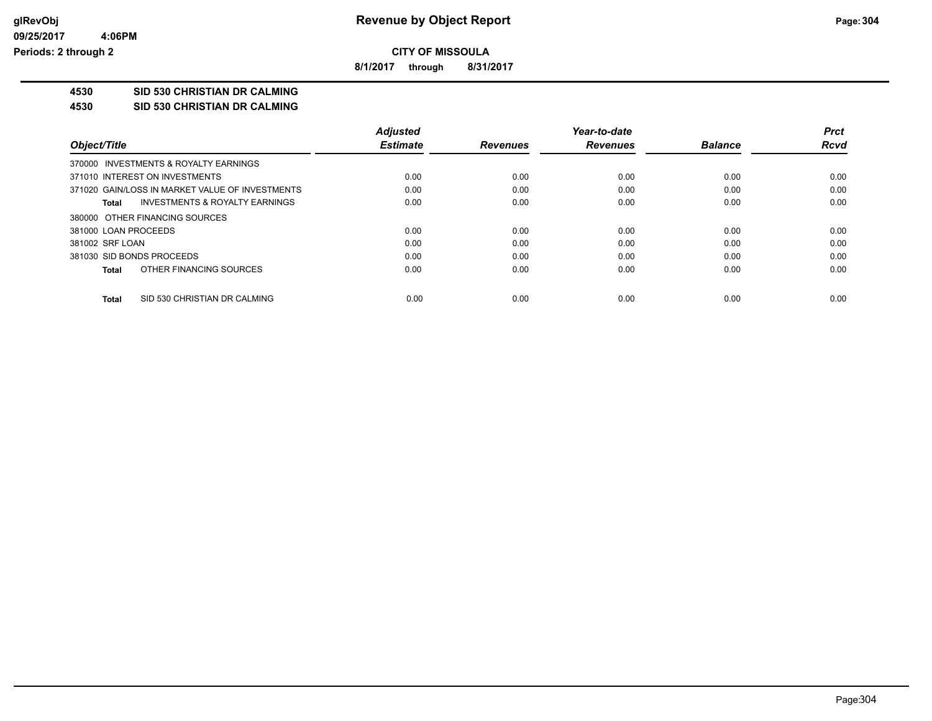**8/1/2017 through 8/31/2017**

### **4530 SID 530 CHRISTIAN DR CALMING**

#### **4530 SID 530 CHRISTIAN DR CALMING**

|                                                 | <b>Adjusted</b> |                 | Year-to-date    |                | <b>Prct</b> |
|-------------------------------------------------|-----------------|-----------------|-----------------|----------------|-------------|
| Object/Title                                    | <b>Estimate</b> | <b>Revenues</b> | <b>Revenues</b> | <b>Balance</b> | <b>Rcvd</b> |
| 370000 INVESTMENTS & ROYALTY EARNINGS           |                 |                 |                 |                |             |
| 371010 INTEREST ON INVESTMENTS                  | 0.00            | 0.00            | 0.00            | 0.00           | 0.00        |
| 371020 GAIN/LOSS IN MARKET VALUE OF INVESTMENTS | 0.00            | 0.00            | 0.00            | 0.00           | 0.00        |
| INVESTMENTS & ROYALTY EARNINGS<br>Total         | 0.00            | 0.00            | 0.00            | 0.00           | 0.00        |
| 380000 OTHER FINANCING SOURCES                  |                 |                 |                 |                |             |
| 381000 LOAN PROCEEDS                            | 0.00            | 0.00            | 0.00            | 0.00           | 0.00        |
| 381002 SRF LOAN                                 | 0.00            | 0.00            | 0.00            | 0.00           | 0.00        |
| 381030 SID BONDS PROCEEDS                       | 0.00            | 0.00            | 0.00            | 0.00           | 0.00        |
| OTHER FINANCING SOURCES<br>Total                | 0.00            | 0.00            | 0.00            | 0.00           | 0.00        |
|                                                 |                 |                 |                 |                |             |
| SID 530 CHRISTIAN DR CALMING<br><b>Total</b>    | 0.00            | 0.00            | 0.00            | 0.00           | 0.00        |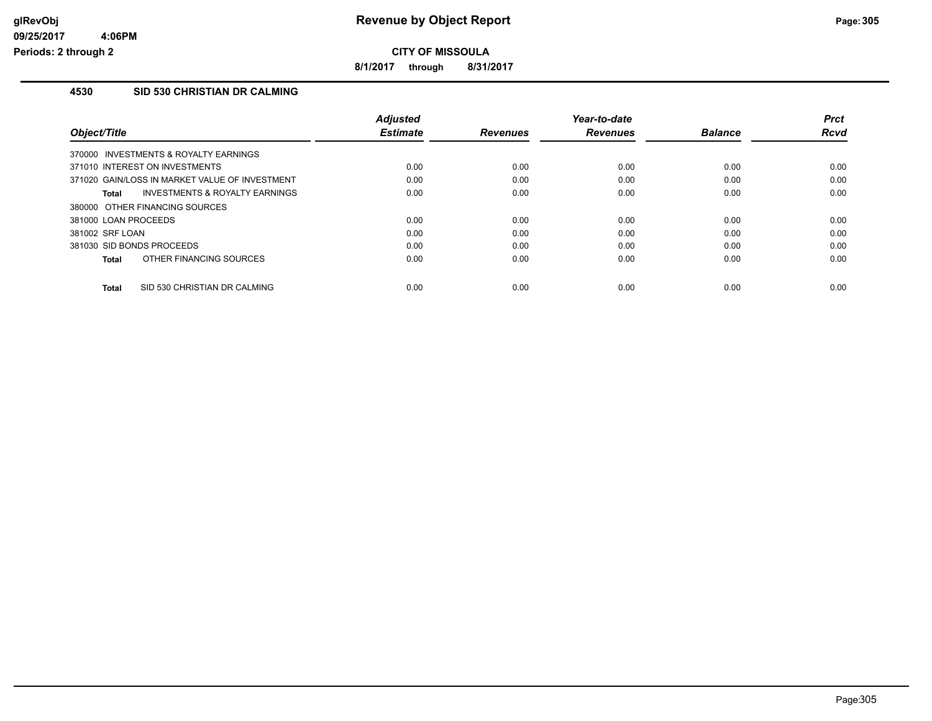**8/1/2017 through 8/31/2017**

#### **4530 SID 530 CHRISTIAN DR CALMING**

| Object/Title                                       | <b>Adjusted</b><br><b>Estimate</b> | <b>Revenues</b> | Year-to-date<br><b>Revenues</b> | <b>Balance</b> | <b>Prct</b><br>Rcvd |
|----------------------------------------------------|------------------------------------|-----------------|---------------------------------|----------------|---------------------|
| 370000 INVESTMENTS & ROYALTY EARNINGS              |                                    |                 |                                 |                |                     |
| 371010 INTEREST ON INVESTMENTS                     | 0.00                               | 0.00            | 0.00                            | 0.00           | 0.00                |
| 371020 GAIN/LOSS IN MARKET VALUE OF INVESTMENT     | 0.00                               | 0.00            | 0.00                            | 0.00           | 0.00                |
| <b>INVESTMENTS &amp; ROYALTY EARNINGS</b><br>Total | 0.00                               | 0.00            | 0.00                            | 0.00           | 0.00                |
| 380000 OTHER FINANCING SOURCES                     |                                    |                 |                                 |                |                     |
| 381000 LOAN PROCEEDS                               | 0.00                               | 0.00            | 0.00                            | 0.00           | 0.00                |
| 381002 SRF LOAN                                    | 0.00                               | 0.00            | 0.00                            | 0.00           | 0.00                |
| 381030 SID BONDS PROCEEDS                          | 0.00                               | 0.00            | 0.00                            | 0.00           | 0.00                |
| OTHER FINANCING SOURCES<br><b>Total</b>            | 0.00                               | 0.00            | 0.00                            | 0.00           | 0.00                |
| SID 530 CHRISTIAN DR CALMING<br>Total              | 0.00                               | 0.00            | 0.00                            | 0.00           | 0.00                |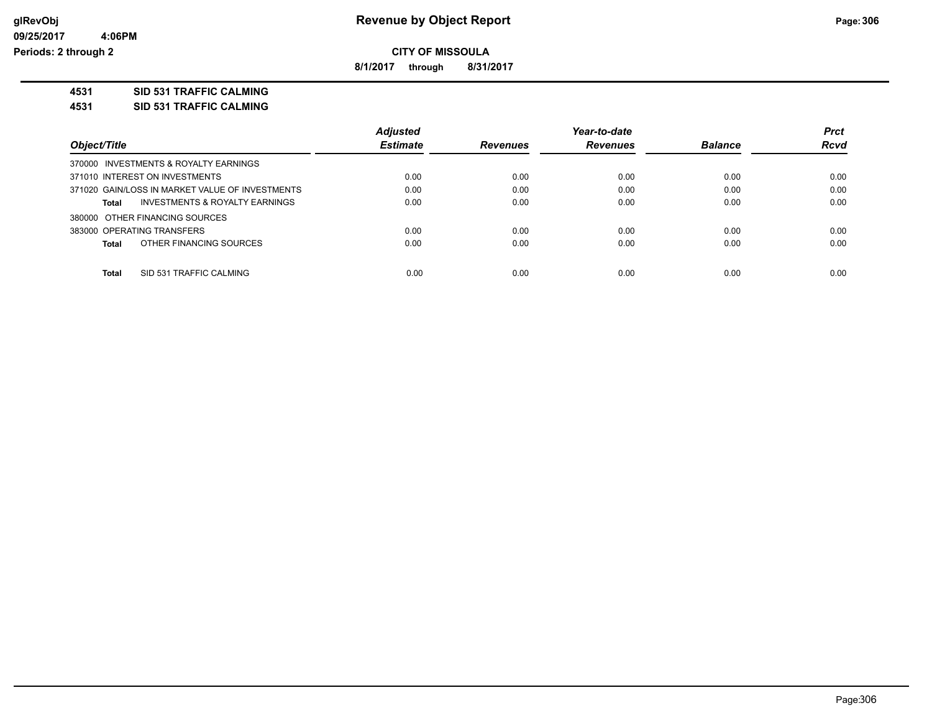**8/1/2017 through 8/31/2017**

#### **4531 SID 531 TRAFFIC CALMING**

**4531 SID 531 TRAFFIC CALMING**

|                                                 | <b>Adjusted</b> |                 | Year-to-date    |                | <b>Prct</b> |
|-------------------------------------------------|-----------------|-----------------|-----------------|----------------|-------------|
| Object/Title                                    | <b>Estimate</b> | <b>Revenues</b> | <b>Revenues</b> | <b>Balance</b> | <b>Rcvd</b> |
| 370000 INVESTMENTS & ROYALTY EARNINGS           |                 |                 |                 |                |             |
| 371010 INTEREST ON INVESTMENTS                  | 0.00            | 0.00            | 0.00            | 0.00           | 0.00        |
| 371020 GAIN/LOSS IN MARKET VALUE OF INVESTMENTS | 0.00            | 0.00            | 0.00            | 0.00           | 0.00        |
| INVESTMENTS & ROYALTY EARNINGS<br>Total         | 0.00            | 0.00            | 0.00            | 0.00           | 0.00        |
| 380000 OTHER FINANCING SOURCES                  |                 |                 |                 |                |             |
| 383000 OPERATING TRANSFERS                      | 0.00            | 0.00            | 0.00            | 0.00           | 0.00        |
| OTHER FINANCING SOURCES<br>Total                | 0.00            | 0.00            | 0.00            | 0.00           | 0.00        |
|                                                 |                 |                 |                 |                |             |
| <b>Total</b><br>SID 531 TRAFFIC CALMING         | 0.00            | 0.00            | 0.00            | 0.00           | 0.00        |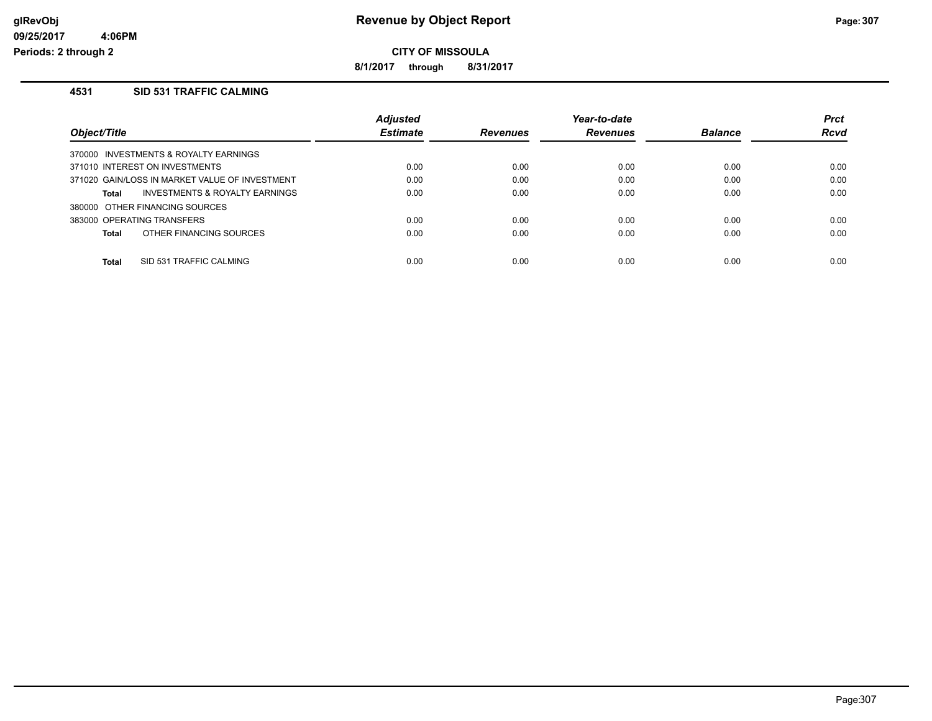**8/1/2017 through 8/31/2017**

#### **4531 SID 531 TRAFFIC CALMING**

|                                                | <b>Adjusted</b> |                 | Year-to-date    |                | <b>Prct</b> |
|------------------------------------------------|-----------------|-----------------|-----------------|----------------|-------------|
| Object/Title                                   | <b>Estimate</b> | <b>Revenues</b> | <b>Revenues</b> | <b>Balance</b> | <b>Rcvd</b> |
| 370000 INVESTMENTS & ROYALTY EARNINGS          |                 |                 |                 |                |             |
| 371010 INTEREST ON INVESTMENTS                 | 0.00            | 0.00            | 0.00            | 0.00           | 0.00        |
| 371020 GAIN/LOSS IN MARKET VALUE OF INVESTMENT | 0.00            | 0.00            | 0.00            | 0.00           | 0.00        |
| INVESTMENTS & ROYALTY EARNINGS<br>Total        | 0.00            | 0.00            | 0.00            | 0.00           | 0.00        |
| 380000 OTHER FINANCING SOURCES                 |                 |                 |                 |                |             |
| 383000 OPERATING TRANSFERS                     | 0.00            | 0.00            | 0.00            | 0.00           | 0.00        |
| OTHER FINANCING SOURCES<br>Total               | 0.00            | 0.00            | 0.00            | 0.00           | 0.00        |
| <b>Total</b><br>SID 531 TRAFFIC CALMING        | 0.00            | 0.00            | 0.00            | 0.00           | 0.00        |
|                                                |                 |                 |                 |                |             |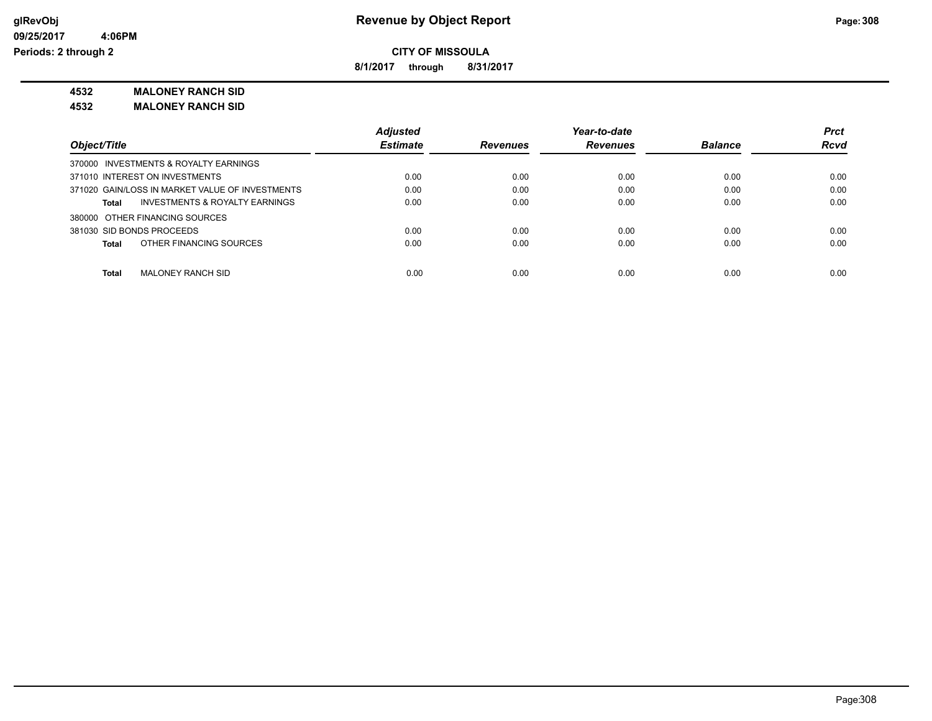**8/1/2017 through 8/31/2017**

#### **4532 MALONEY RANCH SID**

**4532 MALONEY RANCH SID**

|                                                    | <b>Adjusted</b> |                 | Year-to-date    |                | <b>Prct</b> |
|----------------------------------------------------|-----------------|-----------------|-----------------|----------------|-------------|
| Object/Title                                       | <b>Estimate</b> | <b>Revenues</b> | <b>Revenues</b> | <b>Balance</b> | <b>Rcvd</b> |
| 370000 INVESTMENTS & ROYALTY EARNINGS              |                 |                 |                 |                |             |
| 371010 INTEREST ON INVESTMENTS                     | 0.00            | 0.00            | 0.00            | 0.00           | 0.00        |
| 371020 GAIN/LOSS IN MARKET VALUE OF INVESTMENTS    | 0.00            | 0.00            | 0.00            | 0.00           | 0.00        |
| <b>INVESTMENTS &amp; ROYALTY EARNINGS</b><br>Total | 0.00            | 0.00            | 0.00            | 0.00           | 0.00        |
| 380000 OTHER FINANCING SOURCES                     |                 |                 |                 |                |             |
| 381030 SID BONDS PROCEEDS                          | 0.00            | 0.00            | 0.00            | 0.00           | 0.00        |
| OTHER FINANCING SOURCES<br><b>Total</b>            | 0.00            | 0.00            | 0.00            | 0.00           | 0.00        |
| <b>Total</b><br>MALONEY RANCH SID                  | 0.00            | 0.00            | 0.00            | 0.00           | 0.00        |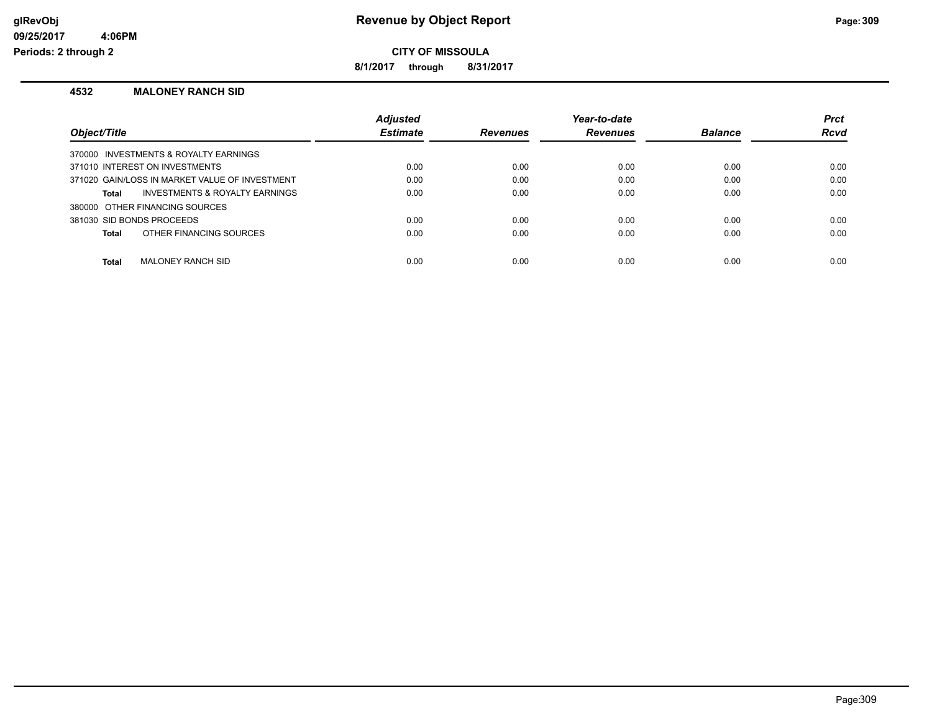**8/1/2017 through 8/31/2017**

#### **4532 MALONEY RANCH SID**

|                                                | <b>Adjusted</b> |                 | Year-to-date    |                | <b>Prct</b> |
|------------------------------------------------|-----------------|-----------------|-----------------|----------------|-------------|
| <b>Object/Title</b>                            | <b>Estimate</b> | <b>Revenues</b> | <b>Revenues</b> | <b>Balance</b> | <b>Rcvd</b> |
| 370000 INVESTMENTS & ROYALTY EARNINGS          |                 |                 |                 |                |             |
| 371010 INTEREST ON INVESTMENTS                 | 0.00            | 0.00            | 0.00            | 0.00           | 0.00        |
| 371020 GAIN/LOSS IN MARKET VALUE OF INVESTMENT | 0.00            | 0.00            | 0.00            | 0.00           | 0.00        |
| INVESTMENTS & ROYALTY EARNINGS<br>Total        | 0.00            | 0.00            | 0.00            | 0.00           | 0.00        |
| 380000 OTHER FINANCING SOURCES                 |                 |                 |                 |                |             |
| 381030 SID BONDS PROCEEDS                      | 0.00            | 0.00            | 0.00            | 0.00           | 0.00        |
| OTHER FINANCING SOURCES<br>Total               | 0.00            | 0.00            | 0.00            | 0.00           | 0.00        |
|                                                |                 |                 |                 |                |             |
| Total<br>MALONEY RANCH SID                     | 0.00            | 0.00            | 0.00            | 0.00           | 0.00        |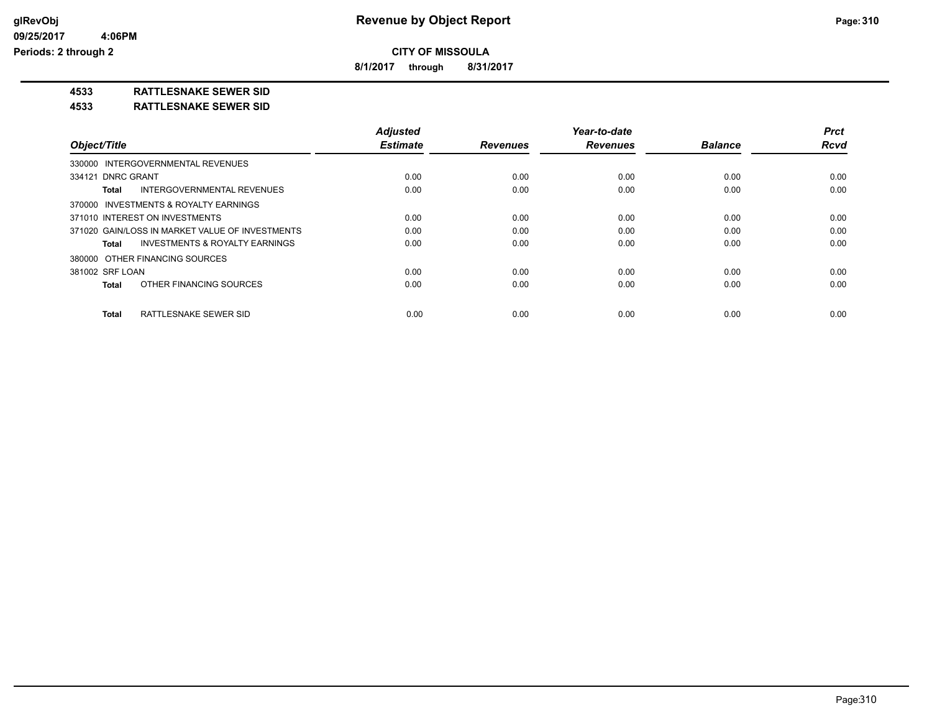**8/1/2017 through 8/31/2017**

#### **4533 RATTLESNAKE SEWER SID**

**4533 RATTLESNAKE SEWER SID**

|                                                    | <b>Adjusted</b> |                 | Year-to-date    |                | <b>Prct</b> |
|----------------------------------------------------|-----------------|-----------------|-----------------|----------------|-------------|
| Object/Title                                       | <b>Estimate</b> | <b>Revenues</b> | <b>Revenues</b> | <b>Balance</b> | <b>Rcvd</b> |
| 330000 INTERGOVERNMENTAL REVENUES                  |                 |                 |                 |                |             |
| 334121 DNRC GRANT                                  | 0.00            | 0.00            | 0.00            | 0.00           | 0.00        |
| INTERGOVERNMENTAL REVENUES<br>Total                | 0.00            | 0.00            | 0.00            | 0.00           | 0.00        |
| 370000 INVESTMENTS & ROYALTY EARNINGS              |                 |                 |                 |                |             |
| 371010 INTEREST ON INVESTMENTS                     | 0.00            | 0.00            | 0.00            | 0.00           | 0.00        |
| 371020 GAIN/LOSS IN MARKET VALUE OF INVESTMENTS    | 0.00            | 0.00            | 0.00            | 0.00           | 0.00        |
| <b>INVESTMENTS &amp; ROYALTY EARNINGS</b><br>Total | 0.00            | 0.00            | 0.00            | 0.00           | 0.00        |
| 380000 OTHER FINANCING SOURCES                     |                 |                 |                 |                |             |
| 381002 SRF LOAN                                    | 0.00            | 0.00            | 0.00            | 0.00           | 0.00        |
| OTHER FINANCING SOURCES<br>Total                   | 0.00            | 0.00            | 0.00            | 0.00           | 0.00        |
| RATTLESNAKE SEWER SID<br>Total                     | 0.00            | 0.00            | 0.00            | 0.00           | 0.00        |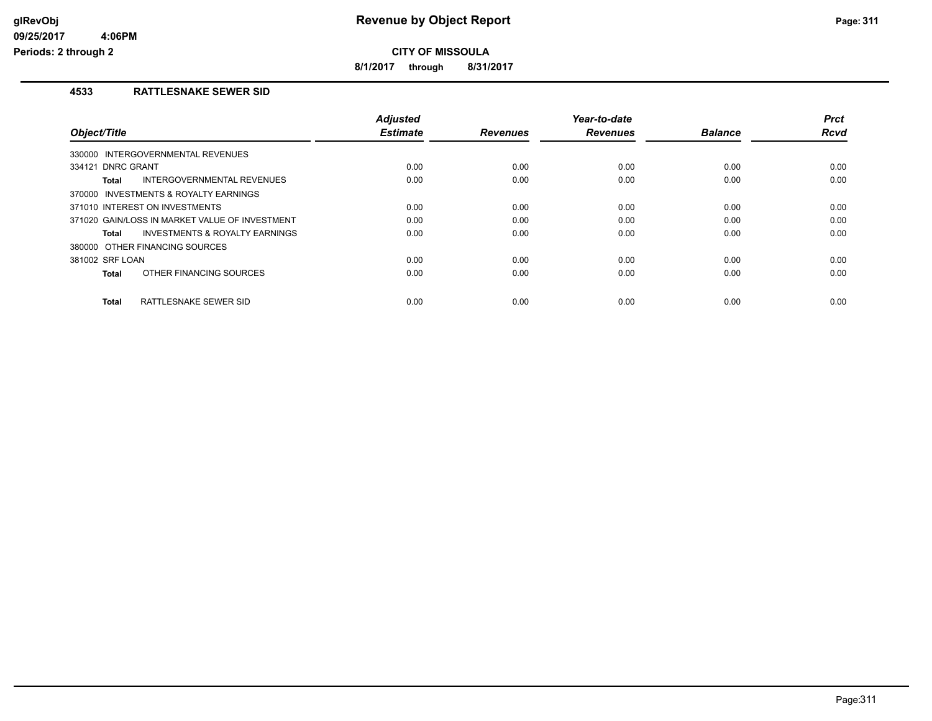**8/1/2017 through 8/31/2017**

#### **4533 RATTLESNAKE SEWER SID**

| Object/Title                                       | <b>Adjusted</b><br><b>Estimate</b> | <b>Revenues</b> | Year-to-date<br><b>Revenues</b> | <b>Balance</b> | <b>Prct</b><br><b>Rcvd</b> |
|----------------------------------------------------|------------------------------------|-----------------|---------------------------------|----------------|----------------------------|
| INTERGOVERNMENTAL REVENUES<br>330000               |                                    |                 |                                 |                |                            |
| 334121 DNRC GRANT                                  | 0.00                               | 0.00            | 0.00                            | 0.00           | 0.00                       |
| INTERGOVERNMENTAL REVENUES<br>Total                | 0.00                               | 0.00            | 0.00                            | 0.00           | 0.00                       |
| 370000 INVESTMENTS & ROYALTY EARNINGS              |                                    |                 |                                 |                |                            |
| 371010 INTEREST ON INVESTMENTS                     | 0.00                               | 0.00            | 0.00                            | 0.00           | 0.00                       |
| 371020 GAIN/LOSS IN MARKET VALUE OF INVESTMENT     | 0.00                               | 0.00            | 0.00                            | 0.00           | 0.00                       |
| <b>INVESTMENTS &amp; ROYALTY EARNINGS</b><br>Total | 0.00                               | 0.00            | 0.00                            | 0.00           | 0.00                       |
| 380000 OTHER FINANCING SOURCES                     |                                    |                 |                                 |                |                            |
| 381002 SRF LOAN                                    | 0.00                               | 0.00            | 0.00                            | 0.00           | 0.00                       |
| OTHER FINANCING SOURCES<br>Total                   | 0.00                               | 0.00            | 0.00                            | 0.00           | 0.00                       |
| RATTLESNAKE SEWER SID<br><b>Total</b>              | 0.00                               | 0.00            | 0.00                            | 0.00           | 0.00                       |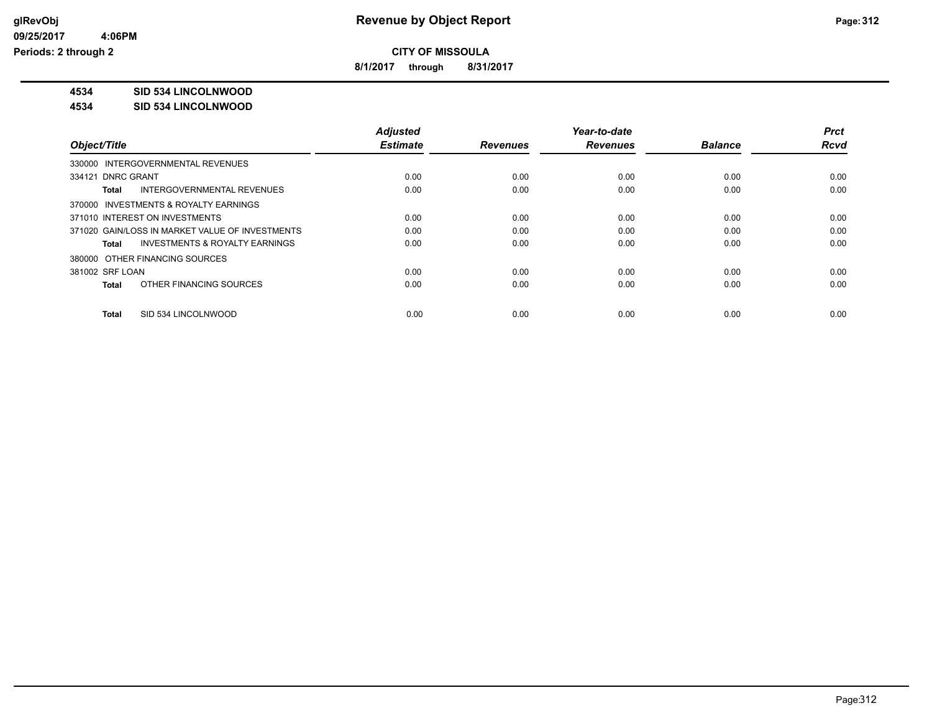**8/1/2017 through 8/31/2017**

#### **4534 SID 534 LINCOLNWOOD**

#### **4534 SID 534 LINCOLNWOOD**

|                                                    | <b>Adjusted</b> |                 | Year-to-date    |                | <b>Prct</b> |
|----------------------------------------------------|-----------------|-----------------|-----------------|----------------|-------------|
| Object/Title                                       | <b>Estimate</b> | <b>Revenues</b> | <b>Revenues</b> | <b>Balance</b> | <b>Rcvd</b> |
| 330000 INTERGOVERNMENTAL REVENUES                  |                 |                 |                 |                |             |
| 334121 DNRC GRANT                                  | 0.00            | 0.00            | 0.00            | 0.00           | 0.00        |
| INTERGOVERNMENTAL REVENUES<br>Total                | 0.00            | 0.00            | 0.00            | 0.00           | 0.00        |
| 370000 INVESTMENTS & ROYALTY EARNINGS              |                 |                 |                 |                |             |
| 371010 INTEREST ON INVESTMENTS                     | 0.00            | 0.00            | 0.00            | 0.00           | 0.00        |
| 371020 GAIN/LOSS IN MARKET VALUE OF INVESTMENTS    | 0.00            | 0.00            | 0.00            | 0.00           | 0.00        |
| <b>INVESTMENTS &amp; ROYALTY EARNINGS</b><br>Total | 0.00            | 0.00            | 0.00            | 0.00           | 0.00        |
| 380000 OTHER FINANCING SOURCES                     |                 |                 |                 |                |             |
| 381002 SRF LOAN                                    | 0.00            | 0.00            | 0.00            | 0.00           | 0.00        |
| OTHER FINANCING SOURCES<br>Total                   | 0.00            | 0.00            | 0.00            | 0.00           | 0.00        |
| SID 534 LINCOLNWOOD<br><b>Total</b>                | 0.00            | 0.00            | 0.00            | 0.00           | 0.00        |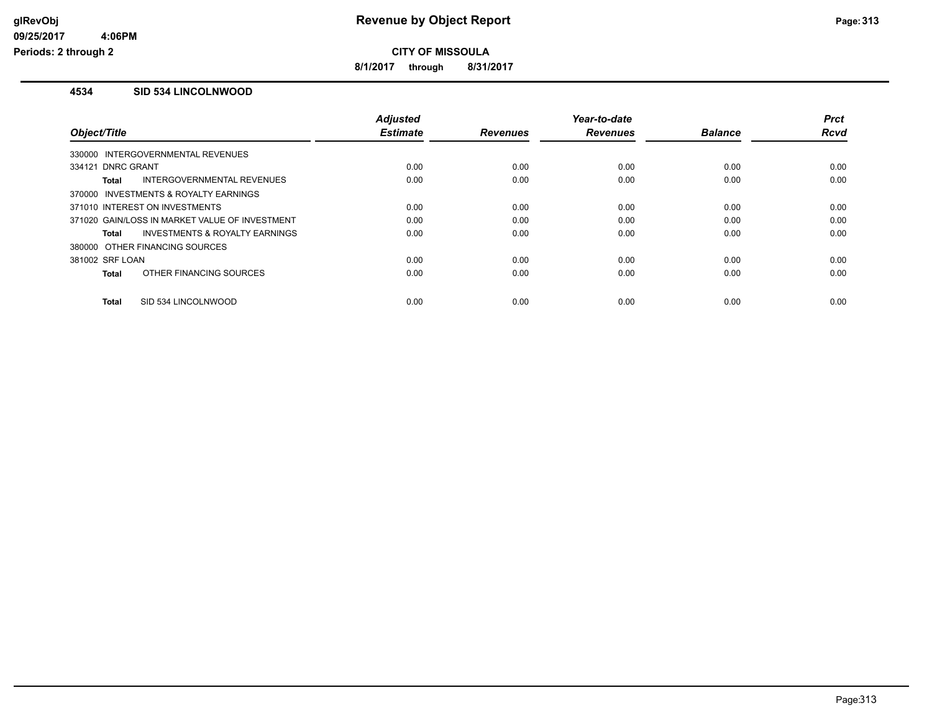**8/1/2017 through 8/31/2017**

#### **4534 SID 534 LINCOLNWOOD**

|                                                    | <b>Adjusted</b> |                 | Year-to-date    |                | <b>Prct</b> |
|----------------------------------------------------|-----------------|-----------------|-----------------|----------------|-------------|
| Object/Title                                       | <b>Estimate</b> | <b>Revenues</b> | <b>Revenues</b> | <b>Balance</b> | <b>Rcvd</b> |
| 330000 INTERGOVERNMENTAL REVENUES                  |                 |                 |                 |                |             |
| 334121 DNRC GRANT                                  | 0.00            | 0.00            | 0.00            | 0.00           | 0.00        |
| <b>INTERGOVERNMENTAL REVENUES</b><br>Total         | 0.00            | 0.00            | 0.00            | 0.00           | 0.00        |
| 370000 INVESTMENTS & ROYALTY EARNINGS              |                 |                 |                 |                |             |
| 371010 INTEREST ON INVESTMENTS                     | 0.00            | 0.00            | 0.00            | 0.00           | 0.00        |
| 371020 GAIN/LOSS IN MARKET VALUE OF INVESTMENT     | 0.00            | 0.00            | 0.00            | 0.00           | 0.00        |
| <b>INVESTMENTS &amp; ROYALTY EARNINGS</b><br>Total | 0.00            | 0.00            | 0.00            | 0.00           | 0.00        |
| 380000 OTHER FINANCING SOURCES                     |                 |                 |                 |                |             |
| 381002 SRF LOAN                                    | 0.00            | 0.00            | 0.00            | 0.00           | 0.00        |
| OTHER FINANCING SOURCES<br><b>Total</b>            | 0.00            | 0.00            | 0.00            | 0.00           | 0.00        |
| SID 534 LINCOLNWOOD<br><b>Total</b>                | 0.00            | 0.00            | 0.00            | 0.00           | 0.00        |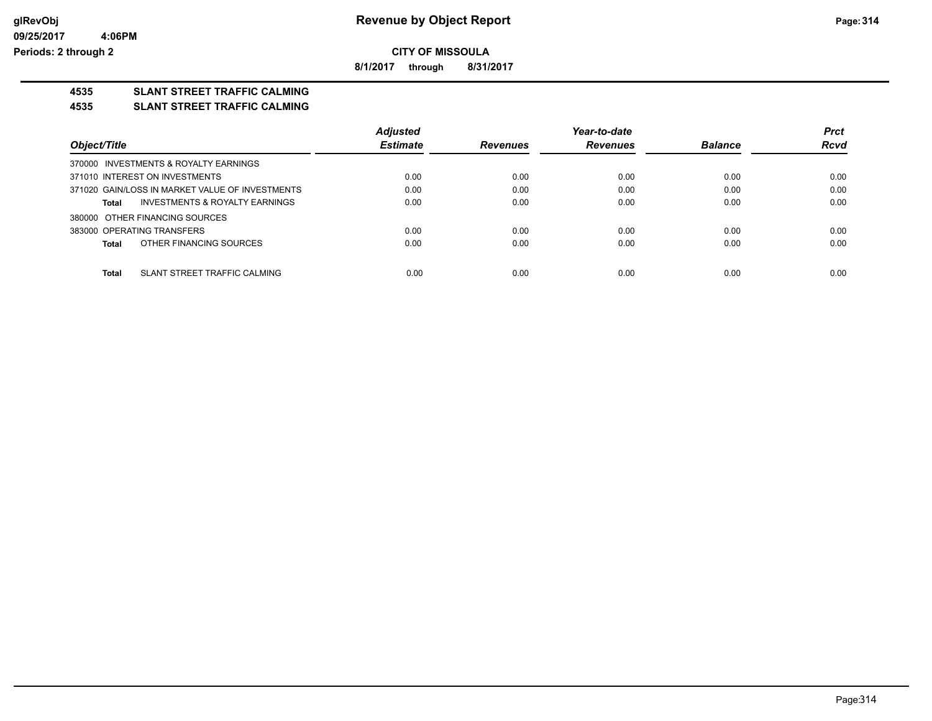**8/1/2017 through 8/31/2017**

# **4535 SLANT STREET TRAFFIC CALMING**

#### **4535 SLANT STREET TRAFFIC CALMING**

|                                                 | <b>Adjusted</b> |                 | Year-to-date    |                | <b>Prct</b> |
|-------------------------------------------------|-----------------|-----------------|-----------------|----------------|-------------|
| Object/Title                                    | <b>Estimate</b> | <b>Revenues</b> | <b>Revenues</b> | <b>Balance</b> | <b>Rcvd</b> |
| 370000 INVESTMENTS & ROYALTY EARNINGS           |                 |                 |                 |                |             |
| 371010 INTEREST ON INVESTMENTS                  | 0.00            | 0.00            | 0.00            | 0.00           | 0.00        |
| 371020 GAIN/LOSS IN MARKET VALUE OF INVESTMENTS | 0.00            | 0.00            | 0.00            | 0.00           | 0.00        |
| INVESTMENTS & ROYALTY EARNINGS<br>Total         | 0.00            | 0.00            | 0.00            | 0.00           | 0.00        |
| 380000 OTHER FINANCING SOURCES                  |                 |                 |                 |                |             |
| 383000 OPERATING TRANSFERS                      | 0.00            | 0.00            | 0.00            | 0.00           | 0.00        |
| OTHER FINANCING SOURCES<br>Total                | 0.00            | 0.00            | 0.00            | 0.00           | 0.00        |
|                                                 |                 |                 |                 |                |             |
| Total<br>SLANT STREET TRAFFIC CALMING           | 0.00            | 0.00            | 0.00            | 0.00           | 0.00        |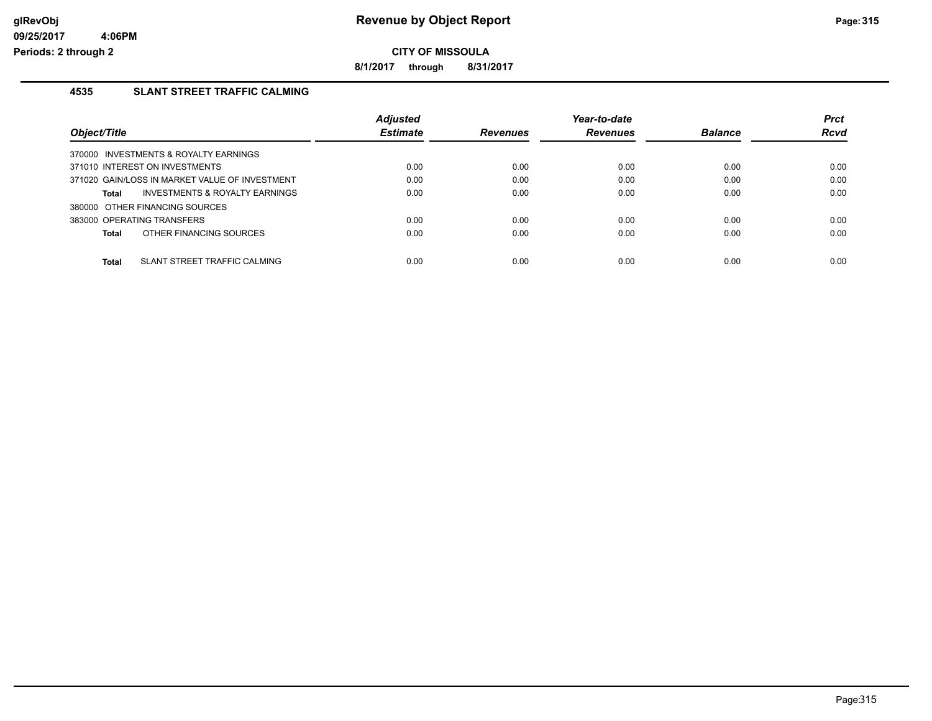**8/1/2017 through 8/31/2017**

#### **4535 SLANT STREET TRAFFIC CALMING**

| <b>Balance</b> | <b>Rcvd</b> |
|----------------|-------------|
|                |             |
| 0.00           | 0.00        |
| 0.00           | 0.00        |
| 0.00           | 0.00        |
|                |             |
| 0.00           | 0.00        |
| 0.00           | 0.00        |
|                | 0.00        |
|                | 0.00        |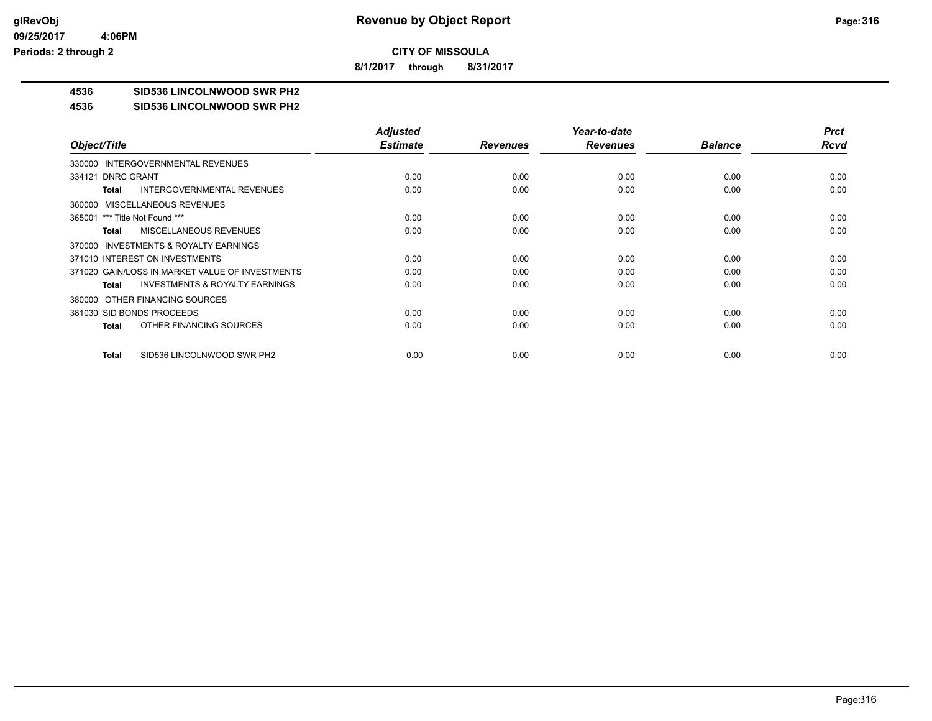**8/1/2017 through 8/31/2017**

### **4536 SID536 LINCOLNWOOD SWR PH2**

#### **4536 SID536 LINCOLNWOOD SWR PH2**

|                                                    | <b>Adjusted</b> |                 | Year-to-date    |                | <b>Prct</b> |
|----------------------------------------------------|-----------------|-----------------|-----------------|----------------|-------------|
| Object/Title                                       | <b>Estimate</b> | <b>Revenues</b> | <b>Revenues</b> | <b>Balance</b> | Rcvd        |
| 330000 INTERGOVERNMENTAL REVENUES                  |                 |                 |                 |                |             |
| 334121 DNRC GRANT                                  | 0.00            | 0.00            | 0.00            | 0.00           | 0.00        |
| <b>INTERGOVERNMENTAL REVENUES</b><br>Total         | 0.00            | 0.00            | 0.00            | 0.00           | 0.00        |
| 360000 MISCELLANEOUS REVENUES                      |                 |                 |                 |                |             |
| 365001 *** Title Not Found ***                     | 0.00            | 0.00            | 0.00            | 0.00           | 0.00        |
| <b>MISCELLANEOUS REVENUES</b><br>Total             | 0.00            | 0.00            | 0.00            | 0.00           | 0.00        |
| 370000 INVESTMENTS & ROYALTY EARNINGS              |                 |                 |                 |                |             |
| 371010 INTEREST ON INVESTMENTS                     | 0.00            | 0.00            | 0.00            | 0.00           | 0.00        |
| 371020 GAIN/LOSS IN MARKET VALUE OF INVESTMENTS    | 0.00            | 0.00            | 0.00            | 0.00           | 0.00        |
| <b>INVESTMENTS &amp; ROYALTY EARNINGS</b><br>Total | 0.00            | 0.00            | 0.00            | 0.00           | 0.00        |
| 380000 OTHER FINANCING SOURCES                     |                 |                 |                 |                |             |
| 381030 SID BONDS PROCEEDS                          | 0.00            | 0.00            | 0.00            | 0.00           | 0.00        |
| OTHER FINANCING SOURCES<br>Total                   | 0.00            | 0.00            | 0.00            | 0.00           | 0.00        |
|                                                    |                 |                 |                 |                |             |
| SID536 LINCOLNWOOD SWR PH2<br>Total                | 0.00            | 0.00            | 0.00            | 0.00           | 0.00        |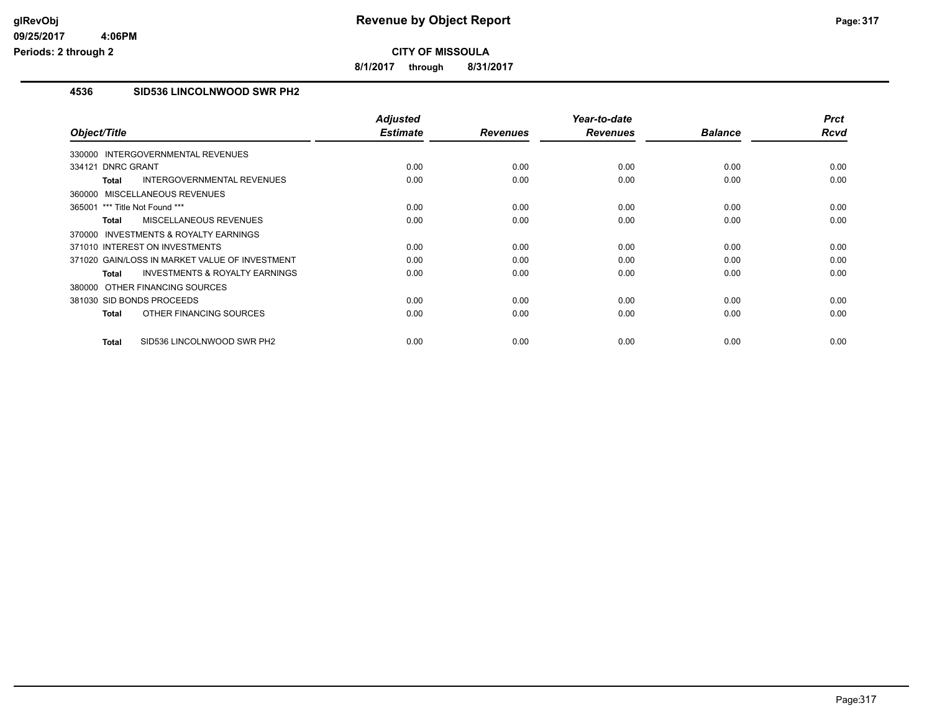**8/1/2017 through 8/31/2017**

#### **4536 SID536 LINCOLNWOOD SWR PH2**

|                                                           | <b>Adjusted</b><br><b>Estimate</b> |                 | Year-to-date    |                | <b>Prct</b><br><b>Rcvd</b> |
|-----------------------------------------------------------|------------------------------------|-----------------|-----------------|----------------|----------------------------|
| Object/Title                                              |                                    | <b>Revenues</b> | <b>Revenues</b> | <b>Balance</b> |                            |
| 330000 INTERGOVERNMENTAL REVENUES                         |                                    |                 |                 |                |                            |
| 334121 DNRC GRANT                                         | 0.00                               | 0.00            | 0.00            | 0.00           | 0.00                       |
| <b>INTERGOVERNMENTAL REVENUES</b><br><b>Total</b>         | 0.00                               | 0.00            | 0.00            | 0.00           | 0.00                       |
| 360000 MISCELLANEOUS REVENUES                             |                                    |                 |                 |                |                            |
| 365001 *** Title Not Found ***                            | 0.00                               | 0.00            | 0.00            | 0.00           | 0.00                       |
| MISCELLANEOUS REVENUES<br><b>Total</b>                    | 0.00                               | 0.00            | 0.00            | 0.00           | 0.00                       |
| 370000 INVESTMENTS & ROYALTY EARNINGS                     |                                    |                 |                 |                |                            |
| 371010 INTEREST ON INVESTMENTS                            | 0.00                               | 0.00            | 0.00            | 0.00           | 0.00                       |
| 371020 GAIN/LOSS IN MARKET VALUE OF INVESTMENT            | 0.00                               | 0.00            | 0.00            | 0.00           | 0.00                       |
| <b>INVESTMENTS &amp; ROYALTY EARNINGS</b><br><b>Total</b> | 0.00                               | 0.00            | 0.00            | 0.00           | 0.00                       |
| 380000 OTHER FINANCING SOURCES                            |                                    |                 |                 |                |                            |
| 381030 SID BONDS PROCEEDS                                 | 0.00                               | 0.00            | 0.00            | 0.00           | 0.00                       |
| OTHER FINANCING SOURCES<br><b>Total</b>                   | 0.00                               | 0.00            | 0.00            | 0.00           | 0.00                       |
| SID536 LINCOLNWOOD SWR PH2<br><b>Total</b>                | 0.00                               | 0.00            | 0.00            | 0.00           | 0.00                       |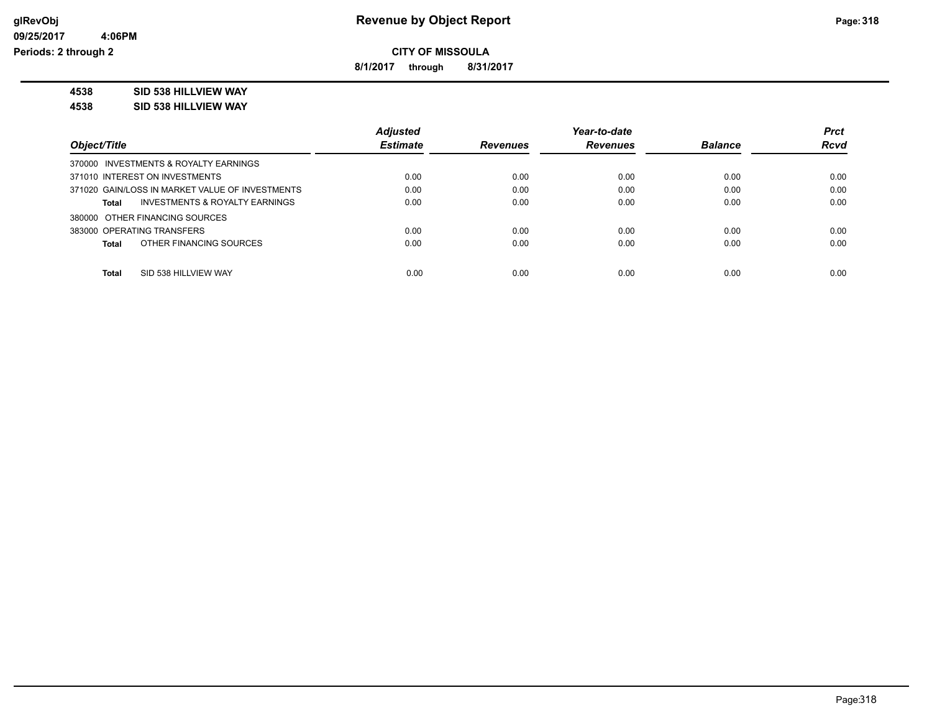**8/1/2017 through 8/31/2017**

#### **4538 SID 538 HILLVIEW WAY**

**4538 SID 538 HILLVIEW WAY**

|                                                    | <b>Adjusted</b> |                 | Year-to-date    |                | <b>Prct</b> |
|----------------------------------------------------|-----------------|-----------------|-----------------|----------------|-------------|
| Object/Title                                       | <b>Estimate</b> | <b>Revenues</b> | <b>Revenues</b> | <b>Balance</b> | <b>Rcvd</b> |
| 370000 INVESTMENTS & ROYALTY EARNINGS              |                 |                 |                 |                |             |
| 371010 INTEREST ON INVESTMENTS                     | 0.00            | 0.00            | 0.00            | 0.00           | 0.00        |
| 371020 GAIN/LOSS IN MARKET VALUE OF INVESTMENTS    | 0.00            | 0.00            | 0.00            | 0.00           | 0.00        |
| <b>INVESTMENTS &amp; ROYALTY EARNINGS</b><br>Total | 0.00            | 0.00            | 0.00            | 0.00           | 0.00        |
| 380000 OTHER FINANCING SOURCES                     |                 |                 |                 |                |             |
| 383000 OPERATING TRANSFERS                         | 0.00            | 0.00            | 0.00            | 0.00           | 0.00        |
| OTHER FINANCING SOURCES<br>Total                   | 0.00            | 0.00            | 0.00            | 0.00           | 0.00        |
|                                                    |                 |                 |                 |                |             |
| Total<br>SID 538 HILLVIEW WAY                      | 0.00            | 0.00            | 0.00            | 0.00           | 0.00        |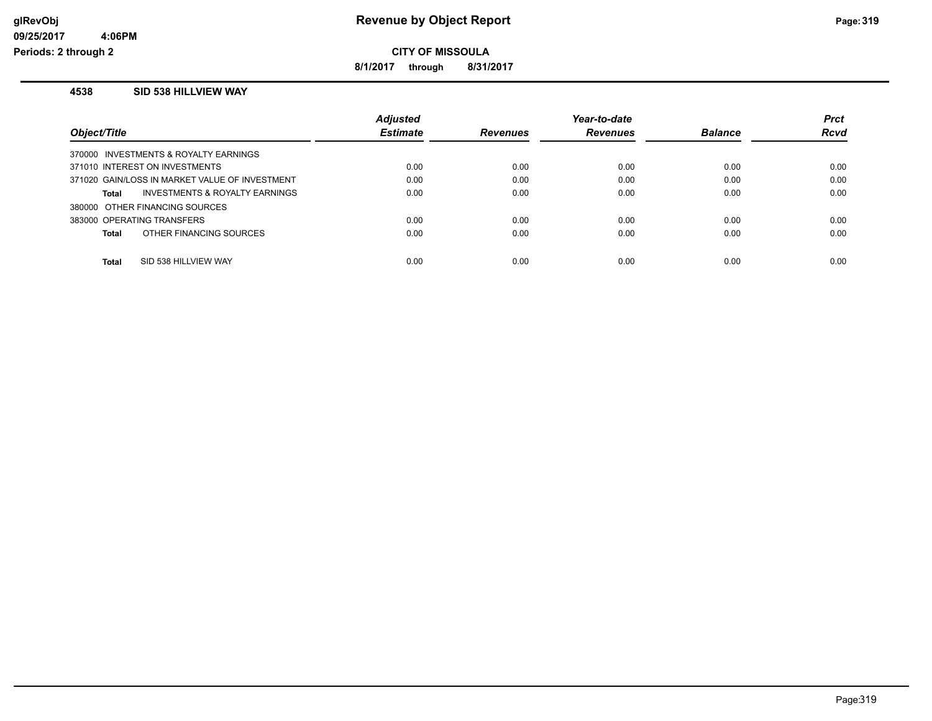**8/1/2017 through 8/31/2017**

#### **4538 SID 538 HILLVIEW WAY**

|                                                | <b>Adjusted</b> |                 | Year-to-date    |                | <b>Prct</b> |
|------------------------------------------------|-----------------|-----------------|-----------------|----------------|-------------|
| Object/Title                                   | <b>Estimate</b> | <b>Revenues</b> | <b>Revenues</b> | <b>Balance</b> | <b>Rcvd</b> |
| 370000 INVESTMENTS & ROYALTY EARNINGS          |                 |                 |                 |                |             |
| 371010 INTEREST ON INVESTMENTS                 | 0.00            | 0.00            | 0.00            | 0.00           | 0.00        |
| 371020 GAIN/LOSS IN MARKET VALUE OF INVESTMENT | 0.00            | 0.00            | 0.00            | 0.00           | 0.00        |
| INVESTMENTS & ROYALTY EARNINGS<br>Total        | 0.00            | 0.00            | 0.00            | 0.00           | 0.00        |
| 380000 OTHER FINANCING SOURCES                 |                 |                 |                 |                |             |
| 383000 OPERATING TRANSFERS                     | 0.00            | 0.00            | 0.00            | 0.00           | 0.00        |
| OTHER FINANCING SOURCES<br>Total               | 0.00            | 0.00            | 0.00            | 0.00           | 0.00        |
| Total<br>SID 538 HILLVIEW WAY                  | 0.00            | 0.00            | 0.00            | 0.00           | 0.00        |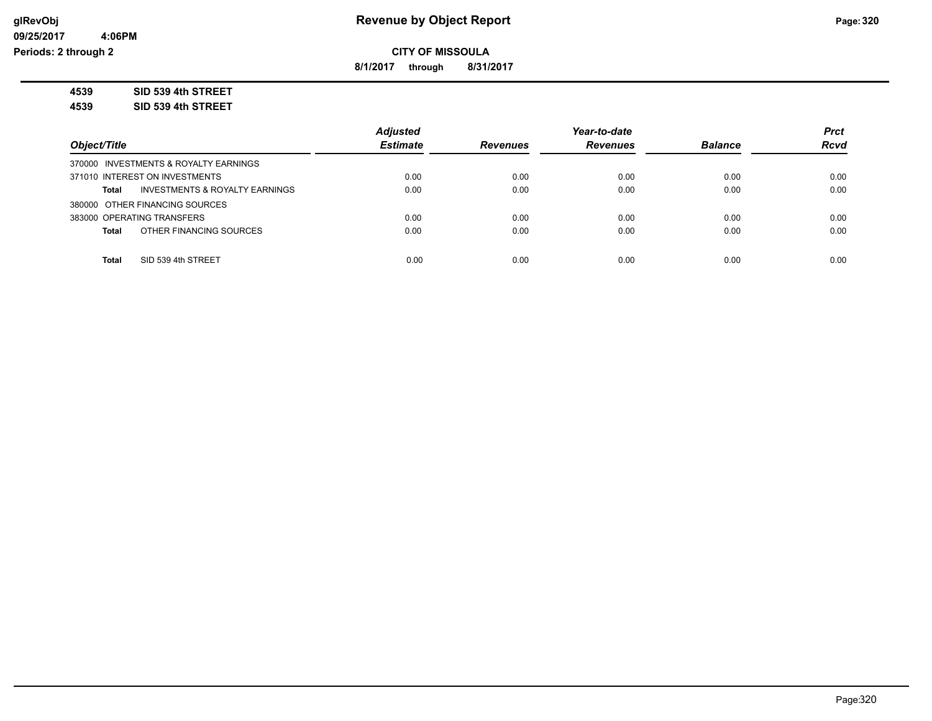**8/1/2017 through 8/31/2017**

**4539 SID 539 4th STREET**

**4539 SID 539 4th STREET**

|                                                           | <b>Adjusted</b> |                 | Year-to-date    |                | <b>Prct</b> |
|-----------------------------------------------------------|-----------------|-----------------|-----------------|----------------|-------------|
| Object/Title                                              | <b>Estimate</b> | <b>Revenues</b> | <b>Revenues</b> | <b>Balance</b> | <b>Rcvd</b> |
| 370000 INVESTMENTS & ROYALTY EARNINGS                     |                 |                 |                 |                |             |
| 371010 INTEREST ON INVESTMENTS                            | 0.00            | 0.00            | 0.00            | 0.00           | 0.00        |
| <b>INVESTMENTS &amp; ROYALTY EARNINGS</b><br><b>Total</b> | 0.00            | 0.00            | 0.00            | 0.00           | 0.00        |
| 380000 OTHER FINANCING SOURCES                            |                 |                 |                 |                |             |
| 383000 OPERATING TRANSFERS                                | 0.00            | 0.00            | 0.00            | 0.00           | 0.00        |
| OTHER FINANCING SOURCES<br><b>Total</b>                   | 0.00            | 0.00            | 0.00            | 0.00           | 0.00        |
|                                                           |                 |                 |                 |                |             |
| SID 539 4th STREET<br><b>Total</b>                        | 0.00            | 0.00            | 0.00            | 0.00           | 0.00        |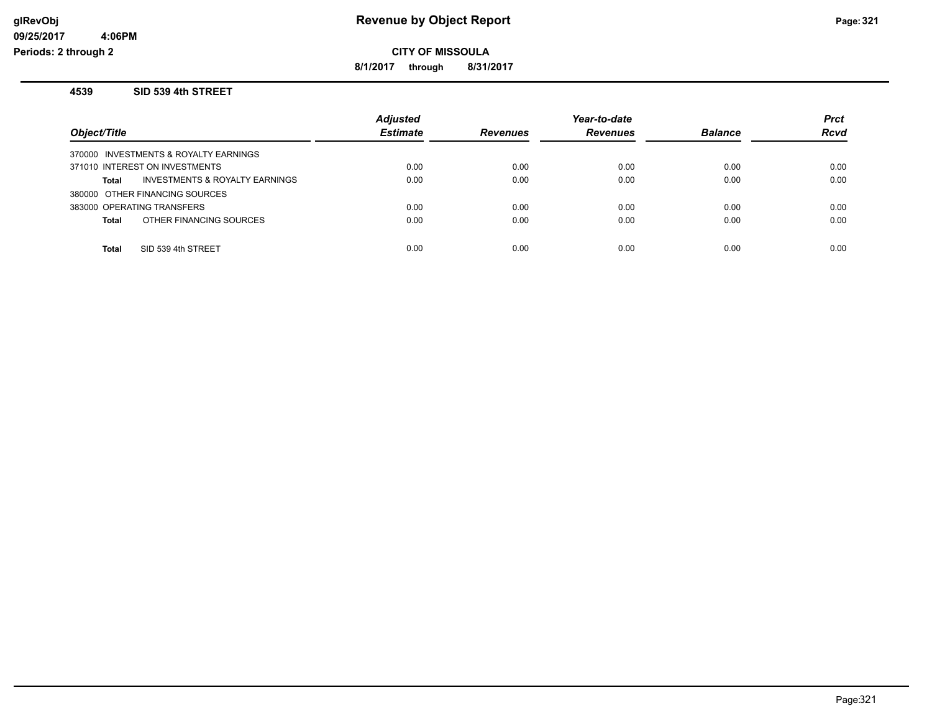**glRevObj Revenue by Object Report Page:321** 

**CITY OF MISSOULA**

**8/1/2017 through 8/31/2017**

#### **4539 SID 539 4th STREET**

 **4:06PM**

| Object/Title                                   | <b>Adjusted</b><br><b>Estimate</b> | <b>Revenues</b> | Year-to-date<br><b>Revenues</b> | <b>Balance</b> | <b>Prct</b><br><b>Rcvd</b> |
|------------------------------------------------|------------------------------------|-----------------|---------------------------------|----------------|----------------------------|
| 370000 INVESTMENTS & ROYALTY EARNINGS          |                                    |                 |                                 |                |                            |
| 371010 INTEREST ON INVESTMENTS                 | 0.00                               | 0.00            | 0.00                            | 0.00           | 0.00                       |
| INVESTMENTS & ROYALTY EARNINGS<br><b>Total</b> | 0.00                               | 0.00            | 0.00                            | 0.00           | 0.00                       |
| 380000 OTHER FINANCING SOURCES                 |                                    |                 |                                 |                |                            |
| 383000 OPERATING TRANSFERS                     | 0.00                               | 0.00            | 0.00                            | 0.00           | 0.00                       |
| OTHER FINANCING SOURCES<br><b>Total</b>        | 0.00                               | 0.00            | 0.00                            | 0.00           | 0.00                       |
|                                                |                                    |                 |                                 |                |                            |
| SID 539 4th STREET<br><b>Total</b>             | 0.00                               | 0.00            | 0.00                            | 0.00           | 0.00                       |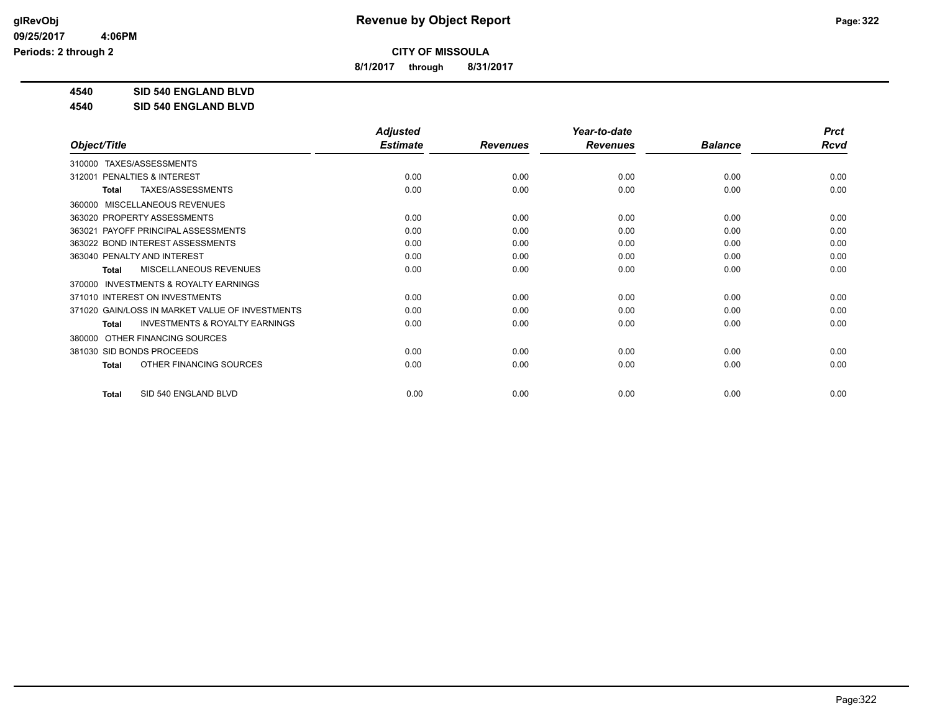**8/1/2017 through 8/31/2017**

**4540 SID 540 ENGLAND BLVD**

**4540 SID 540 ENGLAND BLVD**

|                                                           | <b>Adjusted</b> |                 | Year-to-date    |                | <b>Prct</b> |
|-----------------------------------------------------------|-----------------|-----------------|-----------------|----------------|-------------|
| Object/Title                                              | <b>Estimate</b> | <b>Revenues</b> | <b>Revenues</b> | <b>Balance</b> | <b>Rcvd</b> |
| TAXES/ASSESSMENTS<br>310000                               |                 |                 |                 |                |             |
| PENALTIES & INTEREST<br>312001                            | 0.00            | 0.00            | 0.00            | 0.00           | 0.00        |
| TAXES/ASSESSMENTS<br><b>Total</b>                         | 0.00            | 0.00            | 0.00            | 0.00           | 0.00        |
| MISCELLANEOUS REVENUES<br>360000                          |                 |                 |                 |                |             |
| 363020 PROPERTY ASSESSMENTS                               | 0.00            | 0.00            | 0.00            | 0.00           | 0.00        |
| 363021 PAYOFF PRINCIPAL ASSESSMENTS                       | 0.00            | 0.00            | 0.00            | 0.00           | 0.00        |
| 363022 BOND INTEREST ASSESSMENTS                          | 0.00            | 0.00            | 0.00            | 0.00           | 0.00        |
| 363040 PENALTY AND INTEREST                               | 0.00            | 0.00            | 0.00            | 0.00           | 0.00        |
| <b>MISCELLANEOUS REVENUES</b><br><b>Total</b>             | 0.00            | 0.00            | 0.00            | 0.00           | 0.00        |
| <b>INVESTMENTS &amp; ROYALTY EARNINGS</b><br>370000       |                 |                 |                 |                |             |
| 371010 INTEREST ON INVESTMENTS                            | 0.00            | 0.00            | 0.00            | 0.00           | 0.00        |
| 371020 GAIN/LOSS IN MARKET VALUE OF INVESTMENTS           | 0.00            | 0.00            | 0.00            | 0.00           | 0.00        |
| <b>INVESTMENTS &amp; ROYALTY EARNINGS</b><br><b>Total</b> | 0.00            | 0.00            | 0.00            | 0.00           | 0.00        |
| OTHER FINANCING SOURCES<br>380000                         |                 |                 |                 |                |             |
| 381030 SID BONDS PROCEEDS                                 | 0.00            | 0.00            | 0.00            | 0.00           | 0.00        |
| OTHER FINANCING SOURCES<br><b>Total</b>                   | 0.00            | 0.00            | 0.00            | 0.00           | 0.00        |
|                                                           |                 |                 |                 |                |             |
| SID 540 ENGLAND BLVD<br><b>Total</b>                      | 0.00            | 0.00            | 0.00            | 0.00           | 0.00        |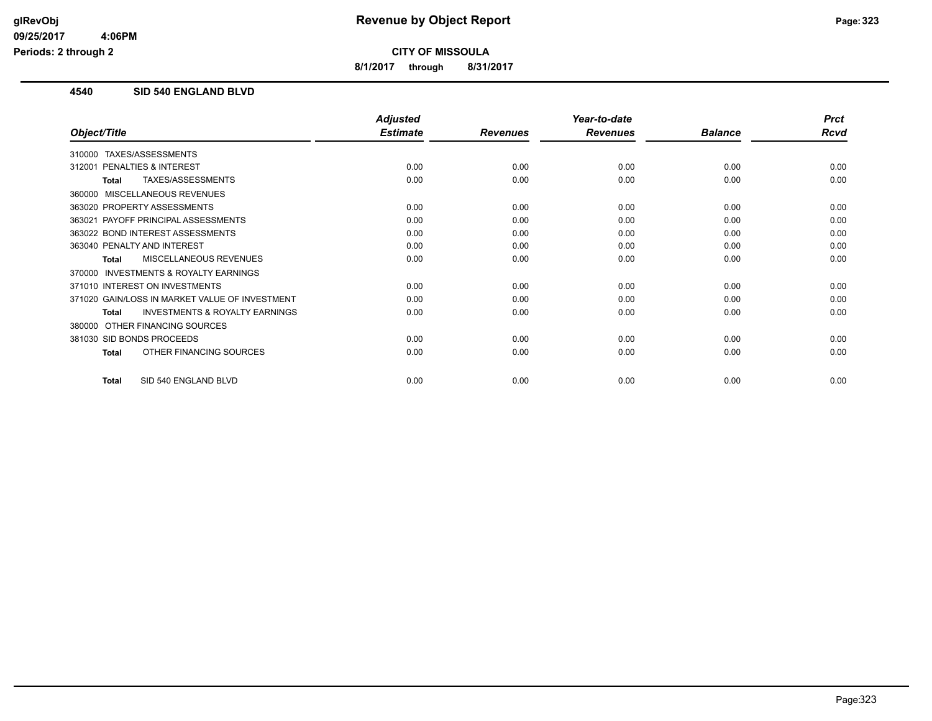**8/1/2017 through 8/31/2017**

#### **4540 SID 540 ENGLAND BLVD**

|                                                           | <b>Adjusted</b> |                 | Year-to-date    |                | <b>Prct</b> |
|-----------------------------------------------------------|-----------------|-----------------|-----------------|----------------|-------------|
| Object/Title                                              | <b>Estimate</b> | <b>Revenues</b> | <b>Revenues</b> | <b>Balance</b> | <b>Rcvd</b> |
| TAXES/ASSESSMENTS<br>310000                               |                 |                 |                 |                |             |
| PENALTIES & INTEREST<br>312001                            | 0.00            | 0.00            | 0.00            | 0.00           | 0.00        |
| TAXES/ASSESSMENTS<br><b>Total</b>                         | 0.00            | 0.00            | 0.00            | 0.00           | 0.00        |
| MISCELLANEOUS REVENUES<br>360000                          |                 |                 |                 |                |             |
| 363020 PROPERTY ASSESSMENTS                               | 0.00            | 0.00            | 0.00            | 0.00           | 0.00        |
| PAYOFF PRINCIPAL ASSESSMENTS<br>363021                    | 0.00            | 0.00            | 0.00            | 0.00           | 0.00        |
| 363022 BOND INTEREST ASSESSMENTS                          | 0.00            | 0.00            | 0.00            | 0.00           | 0.00        |
| 363040 PENALTY AND INTEREST                               | 0.00            | 0.00            | 0.00            | 0.00           | 0.00        |
| <b>MISCELLANEOUS REVENUES</b><br>Total                    | 0.00            | 0.00            | 0.00            | 0.00           | 0.00        |
| 370000 INVESTMENTS & ROYALTY EARNINGS                     |                 |                 |                 |                |             |
| 371010 INTEREST ON INVESTMENTS                            | 0.00            | 0.00            | 0.00            | 0.00           | 0.00        |
| 371020 GAIN/LOSS IN MARKET VALUE OF INVESTMENT            | 0.00            | 0.00            | 0.00            | 0.00           | 0.00        |
| <b>INVESTMENTS &amp; ROYALTY EARNINGS</b><br><b>Total</b> | 0.00            | 0.00            | 0.00            | 0.00           | 0.00        |
| OTHER FINANCING SOURCES<br>380000                         |                 |                 |                 |                |             |
| 381030 SID BONDS PROCEEDS                                 | 0.00            | 0.00            | 0.00            | 0.00           | 0.00        |
| OTHER FINANCING SOURCES<br><b>Total</b>                   | 0.00            | 0.00            | 0.00            | 0.00           | 0.00        |
| SID 540 ENGLAND BLVD<br><b>Total</b>                      | 0.00            | 0.00            | 0.00            | 0.00           | 0.00        |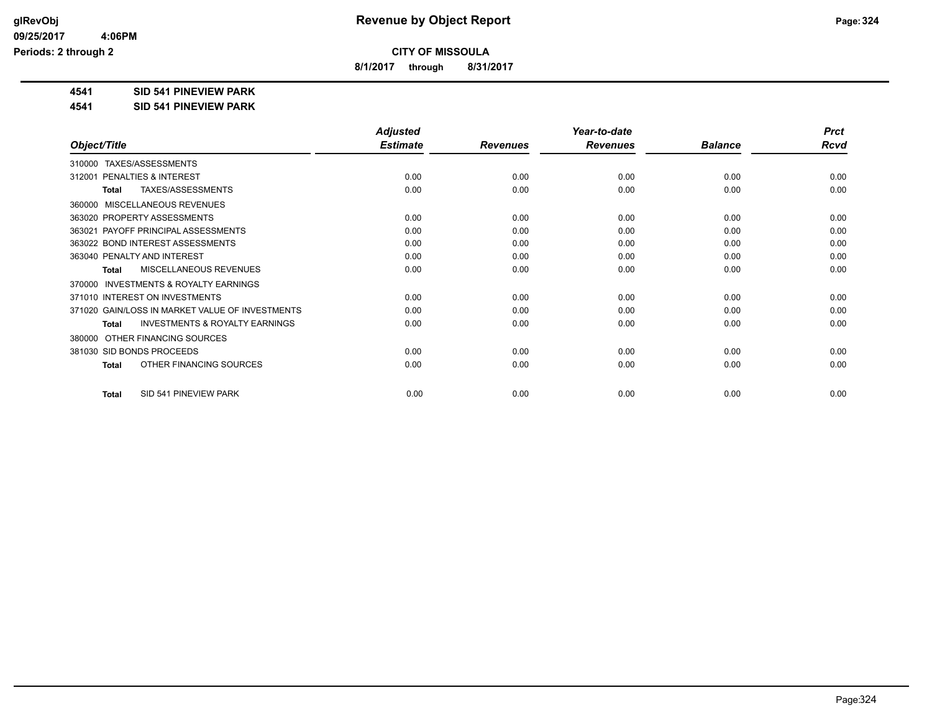**8/1/2017 through 8/31/2017**

#### **4541 SID 541 PINEVIEW PARK**

**4541 SID 541 PINEVIEW PARK**

|                                                           | <b>Adjusted</b> |                 | Year-to-date    |                | <b>Prct</b> |
|-----------------------------------------------------------|-----------------|-----------------|-----------------|----------------|-------------|
| Object/Title                                              | <b>Estimate</b> | <b>Revenues</b> | <b>Revenues</b> | <b>Balance</b> | <b>Rcvd</b> |
| TAXES/ASSESSMENTS<br>310000                               |                 |                 |                 |                |             |
| PENALTIES & INTEREST<br>312001                            | 0.00            | 0.00            | 0.00            | 0.00           | 0.00        |
| TAXES/ASSESSMENTS<br><b>Total</b>                         | 0.00            | 0.00            | 0.00            | 0.00           | 0.00        |
| MISCELLANEOUS REVENUES<br>360000                          |                 |                 |                 |                |             |
| 363020 PROPERTY ASSESSMENTS                               | 0.00            | 0.00            | 0.00            | 0.00           | 0.00        |
| 363021 PAYOFF PRINCIPAL ASSESSMENTS                       | 0.00            | 0.00            | 0.00            | 0.00           | 0.00        |
| 363022 BOND INTEREST ASSESSMENTS                          | 0.00            | 0.00            | 0.00            | 0.00           | 0.00        |
| 363040 PENALTY AND INTEREST                               | 0.00            | 0.00            | 0.00            | 0.00           | 0.00        |
| <b>MISCELLANEOUS REVENUES</b><br><b>Total</b>             | 0.00            | 0.00            | 0.00            | 0.00           | 0.00        |
| <b>INVESTMENTS &amp; ROYALTY EARNINGS</b><br>370000       |                 |                 |                 |                |             |
| 371010 INTEREST ON INVESTMENTS                            | 0.00            | 0.00            | 0.00            | 0.00           | 0.00        |
| 371020 GAIN/LOSS IN MARKET VALUE OF INVESTMENTS           | 0.00            | 0.00            | 0.00            | 0.00           | 0.00        |
| <b>INVESTMENTS &amp; ROYALTY EARNINGS</b><br><b>Total</b> | 0.00            | 0.00            | 0.00            | 0.00           | 0.00        |
| OTHER FINANCING SOURCES<br>380000                         |                 |                 |                 |                |             |
| 381030 SID BONDS PROCEEDS                                 | 0.00            | 0.00            | 0.00            | 0.00           | 0.00        |
| OTHER FINANCING SOURCES<br><b>Total</b>                   | 0.00            | 0.00            | 0.00            | 0.00           | 0.00        |
|                                                           |                 |                 |                 |                |             |
| SID 541 PINEVIEW PARK<br><b>Total</b>                     | 0.00            | 0.00            | 0.00            | 0.00           | 0.00        |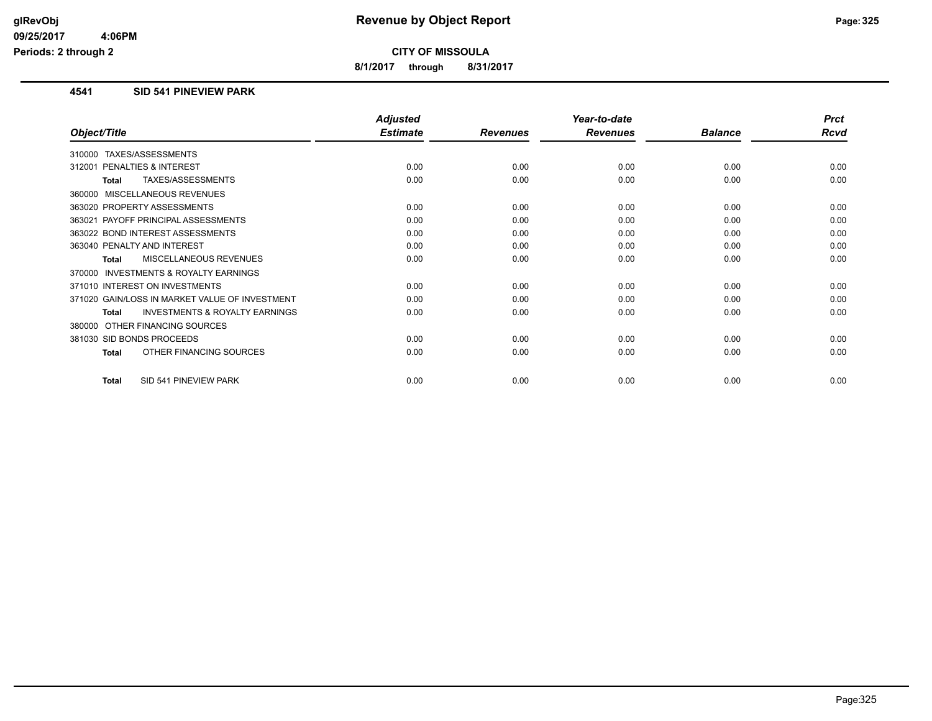**8/1/2017 through 8/31/2017**

#### **4541 SID 541 PINEVIEW PARK**

|                                                    | <b>Adjusted</b> |                 | Year-to-date    |                | <b>Prct</b> |
|----------------------------------------------------|-----------------|-----------------|-----------------|----------------|-------------|
| Object/Title                                       | <b>Estimate</b> | <b>Revenues</b> | <b>Revenues</b> | <b>Balance</b> | <b>Rcvd</b> |
| TAXES/ASSESSMENTS<br>310000                        |                 |                 |                 |                |             |
| 312001 PENALTIES & INTEREST                        | 0.00            | 0.00            | 0.00            | 0.00           | 0.00        |
| TAXES/ASSESSMENTS<br><b>Total</b>                  | 0.00            | 0.00            | 0.00            | 0.00           | 0.00        |
| 360000 MISCELLANEOUS REVENUES                      |                 |                 |                 |                |             |
| 363020 PROPERTY ASSESSMENTS                        | 0.00            | 0.00            | 0.00            | 0.00           | 0.00        |
| 363021 PAYOFF PRINCIPAL ASSESSMENTS                | 0.00            | 0.00            | 0.00            | 0.00           | 0.00        |
| 363022 BOND INTEREST ASSESSMENTS                   | 0.00            | 0.00            | 0.00            | 0.00           | 0.00        |
| 363040 PENALTY AND INTEREST                        | 0.00            | 0.00            | 0.00            | 0.00           | 0.00        |
| MISCELLANEOUS REVENUES<br>Total                    | 0.00            | 0.00            | 0.00            | 0.00           | 0.00        |
| 370000 INVESTMENTS & ROYALTY EARNINGS              |                 |                 |                 |                |             |
| 371010 INTEREST ON INVESTMENTS                     | 0.00            | 0.00            | 0.00            | 0.00           | 0.00        |
| 371020 GAIN/LOSS IN MARKET VALUE OF INVESTMENT     | 0.00            | 0.00            | 0.00            | 0.00           | 0.00        |
| <b>INVESTMENTS &amp; ROYALTY EARNINGS</b><br>Total | 0.00            | 0.00            | 0.00            | 0.00           | 0.00        |
| 380000 OTHER FINANCING SOURCES                     |                 |                 |                 |                |             |
| 381030 SID BONDS PROCEEDS                          | 0.00            | 0.00            | 0.00            | 0.00           | 0.00        |
| OTHER FINANCING SOURCES<br><b>Total</b>            | 0.00            | 0.00            | 0.00            | 0.00           | 0.00        |
| SID 541 PINEVIEW PARK<br><b>Total</b>              | 0.00            | 0.00            | 0.00            | 0.00           | 0.00        |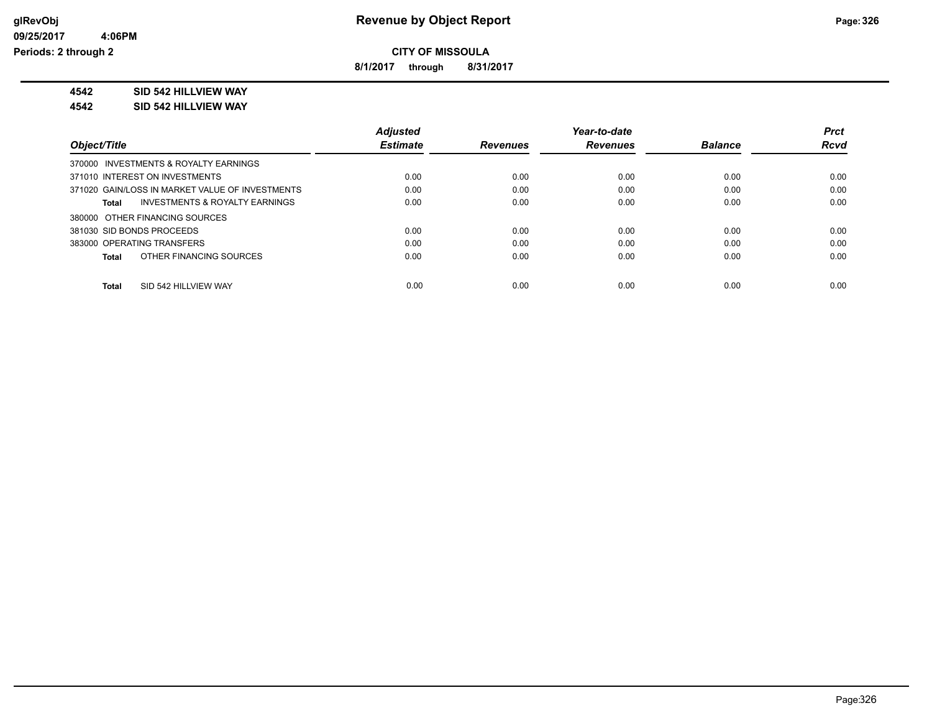**8/1/2017 through 8/31/2017**

#### **4542 SID 542 HILLVIEW WAY**

**4542 SID 542 HILLVIEW WAY**

|                                                    | <b>Adjusted</b> |                 | Year-to-date    |                | <b>Prct</b> |
|----------------------------------------------------|-----------------|-----------------|-----------------|----------------|-------------|
| Object/Title                                       | <b>Estimate</b> | <b>Revenues</b> | <b>Revenues</b> | <b>Balance</b> | <b>Rcvd</b> |
| 370000 INVESTMENTS & ROYALTY EARNINGS              |                 |                 |                 |                |             |
| 371010 INTEREST ON INVESTMENTS                     | 0.00            | 0.00            | 0.00            | 0.00           | 0.00        |
| 371020 GAIN/LOSS IN MARKET VALUE OF INVESTMENTS    | 0.00            | 0.00            | 0.00            | 0.00           | 0.00        |
| <b>INVESTMENTS &amp; ROYALTY EARNINGS</b><br>Total | 0.00            | 0.00            | 0.00            | 0.00           | 0.00        |
| 380000 OTHER FINANCING SOURCES                     |                 |                 |                 |                |             |
| 381030 SID BONDS PROCEEDS                          | 0.00            | 0.00            | 0.00            | 0.00           | 0.00        |
| 383000 OPERATING TRANSFERS                         | 0.00            | 0.00            | 0.00            | 0.00           | 0.00        |
| OTHER FINANCING SOURCES<br><b>Total</b>            | 0.00            | 0.00            | 0.00            | 0.00           | 0.00        |
|                                                    |                 |                 |                 |                |             |
| SID 542 HILLVIEW WAY<br><b>Total</b>               | 0.00            | 0.00            | 0.00            | 0.00           | 0.00        |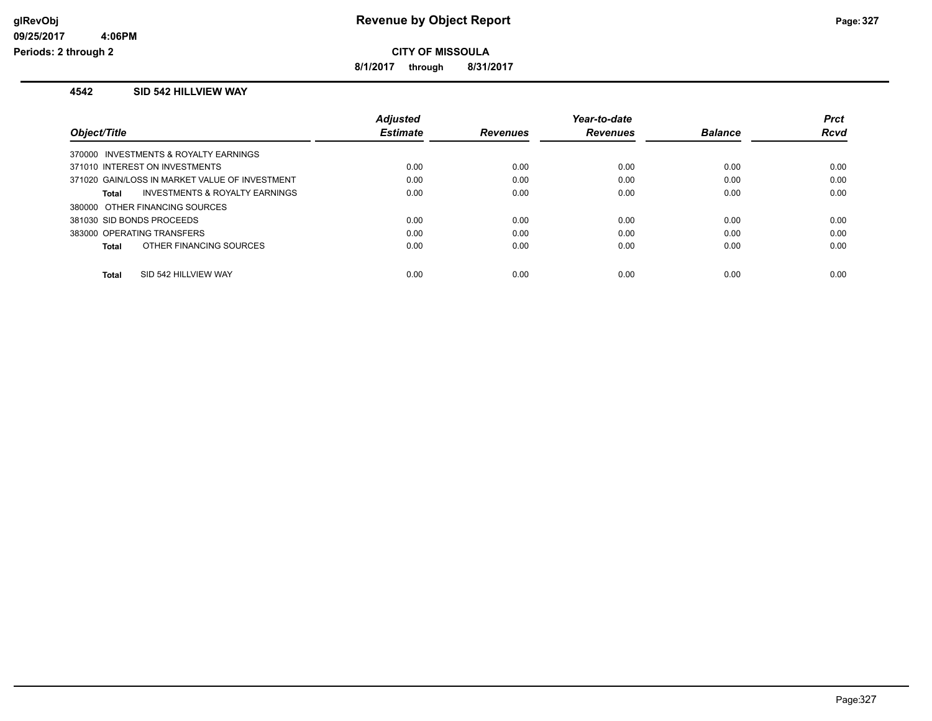**8/1/2017 through 8/31/2017**

#### **4542 SID 542 HILLVIEW WAY**

|                                                | <b>Adjusted</b> |                 | Year-to-date    |                | <b>Prct</b> |
|------------------------------------------------|-----------------|-----------------|-----------------|----------------|-------------|
| Object/Title                                   | <b>Estimate</b> | <b>Revenues</b> | <b>Revenues</b> | <b>Balance</b> | Rcvd        |
| 370000 INVESTMENTS & ROYALTY EARNINGS          |                 |                 |                 |                |             |
| 371010 INTEREST ON INVESTMENTS                 | 0.00            | 0.00            | 0.00            | 0.00           | 0.00        |
| 371020 GAIN/LOSS IN MARKET VALUE OF INVESTMENT | 0.00            | 0.00            | 0.00            | 0.00           | 0.00        |
| INVESTMENTS & ROYALTY EARNINGS<br>Total        | 0.00            | 0.00            | 0.00            | 0.00           | 0.00        |
| 380000 OTHER FINANCING SOURCES                 |                 |                 |                 |                |             |
| 381030 SID BONDS PROCEEDS                      | 0.00            | 0.00            | 0.00            | 0.00           | 0.00        |
| 383000 OPERATING TRANSFERS                     | 0.00            | 0.00            | 0.00            | 0.00           | 0.00        |
| OTHER FINANCING SOURCES<br>Total               | 0.00            | 0.00            | 0.00            | 0.00           | 0.00        |
| SID 542 HILLVIEW WAY<br>Total                  | 0.00            | 0.00            | 0.00            | 0.00           | 0.00        |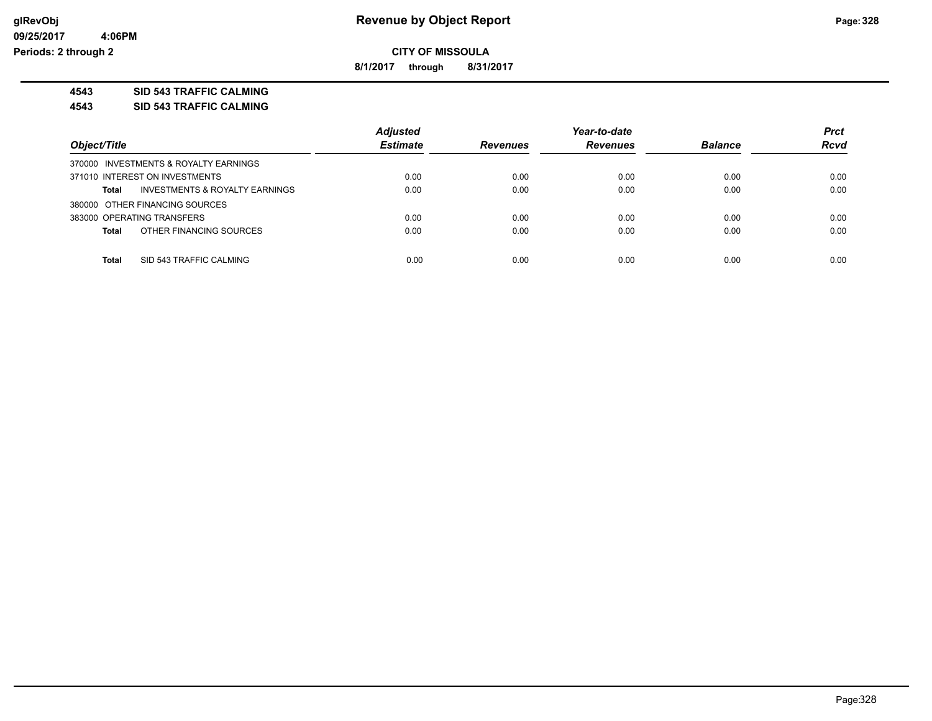**8/1/2017 through 8/31/2017**

#### **4543 SID 543 TRAFFIC CALMING**

#### **4543 SID 543 TRAFFIC CALMING**

|                                                           | <b>Adjusted</b> |                 | Year-to-date |                | <b>Prct</b> |
|-----------------------------------------------------------|-----------------|-----------------|--------------|----------------|-------------|
| Object/Title                                              | <b>Estimate</b> | <b>Revenues</b> | Revenues     | <b>Balance</b> | <b>Rcvd</b> |
| 370000 INVESTMENTS & ROYALTY EARNINGS                     |                 |                 |              |                |             |
| 371010 INTEREST ON INVESTMENTS                            | 0.00            | 0.00            | 0.00         | 0.00           | 0.00        |
| <b>INVESTMENTS &amp; ROYALTY EARNINGS</b><br><b>Total</b> | 0.00            | 0.00            | 0.00         | 0.00           | 0.00        |
| 380000 OTHER FINANCING SOURCES                            |                 |                 |              |                |             |
| 383000 OPERATING TRANSFERS                                | 0.00            | 0.00            | 0.00         | 0.00           | 0.00        |
| OTHER FINANCING SOURCES<br>Total                          | 0.00            | 0.00            | 0.00         | 0.00           | 0.00        |
|                                                           |                 |                 |              |                |             |
| SID 543 TRAFFIC CALMING<br><b>Total</b>                   | 0.00            | 0.00            | 0.00         | 0.00           | 0.00        |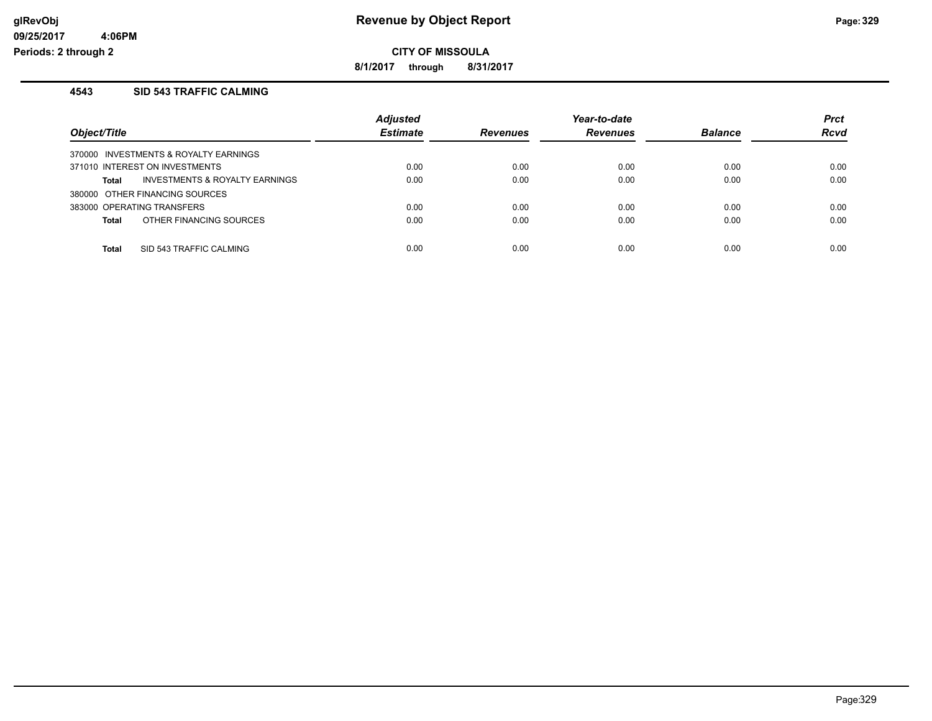**8/1/2017 through 8/31/2017**

#### **4543 SID 543 TRAFFIC CALMING**

| Object/Title                            | <b>Adjusted</b><br><b>Estimate</b> | <b>Revenues</b> | Year-to-date<br><b>Revenues</b> | <b>Balance</b> | <b>Prct</b><br><b>Rcvd</b> |
|-----------------------------------------|------------------------------------|-----------------|---------------------------------|----------------|----------------------------|
| 370000 INVESTMENTS & ROYALTY EARNINGS   |                                    |                 |                                 |                |                            |
| 371010 INTEREST ON INVESTMENTS          | 0.00                               | 0.00            | 0.00                            | 0.00           | 0.00                       |
| INVESTMENTS & ROYALTY EARNINGS<br>Total | 0.00                               | 0.00            | 0.00                            | 0.00           | 0.00                       |
| 380000 OTHER FINANCING SOURCES          |                                    |                 |                                 |                |                            |
| 383000 OPERATING TRANSFERS              | 0.00                               | 0.00            | 0.00                            | 0.00           | 0.00                       |
| OTHER FINANCING SOURCES<br>Total        | 0.00                               | 0.00            | 0.00                            | 0.00           | 0.00                       |
|                                         |                                    |                 |                                 |                |                            |
| SID 543 TRAFFIC CALMING<br><b>Total</b> | 0.00                               | 0.00            | 0.00                            | 0.00           | 0.00                       |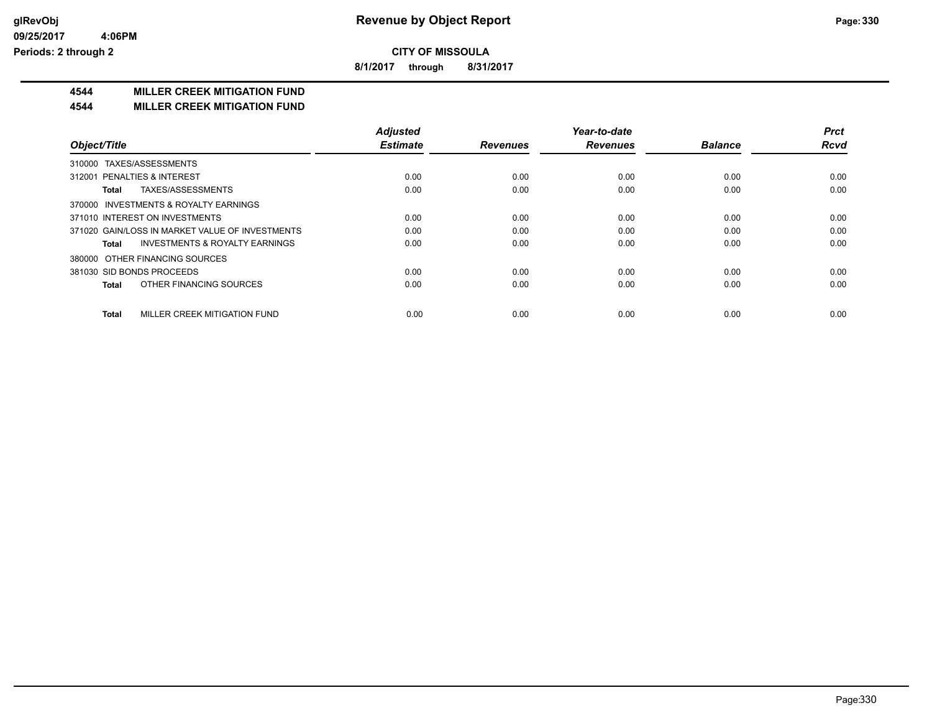**8/1/2017 through 8/31/2017**

#### **4544 MILLER CREEK MITIGATION FUND**

#### **4544 MILLER CREEK MITIGATION FUND**

|                                                    | <b>Adjusted</b> |                 | Year-to-date    |                | <b>Prct</b> |
|----------------------------------------------------|-----------------|-----------------|-----------------|----------------|-------------|
| Object/Title                                       | <b>Estimate</b> | <b>Revenues</b> | <b>Revenues</b> | <b>Balance</b> | <b>Rcvd</b> |
| TAXES/ASSESSMENTS<br>310000                        |                 |                 |                 |                |             |
| PENALTIES & INTEREST<br>312001                     | 0.00            | 0.00            | 0.00            | 0.00           | 0.00        |
| TAXES/ASSESSMENTS<br>Total                         | 0.00            | 0.00            | 0.00            | 0.00           | 0.00        |
| 370000 INVESTMENTS & ROYALTY EARNINGS              |                 |                 |                 |                |             |
| 371010 INTEREST ON INVESTMENTS                     | 0.00            | 0.00            | 0.00            | 0.00           | 0.00        |
| 371020 GAIN/LOSS IN MARKET VALUE OF INVESTMENTS    | 0.00            | 0.00            | 0.00            | 0.00           | 0.00        |
| <b>INVESTMENTS &amp; ROYALTY EARNINGS</b><br>Total | 0.00            | 0.00            | 0.00            | 0.00           | 0.00        |
| 380000 OTHER FINANCING SOURCES                     |                 |                 |                 |                |             |
| 381030 SID BONDS PROCEEDS                          | 0.00            | 0.00            | 0.00            | 0.00           | 0.00        |
| OTHER FINANCING SOURCES<br>Total                   | 0.00            | 0.00            | 0.00            | 0.00           | 0.00        |
| MILLER CREEK MITIGATION FUND<br><b>Total</b>       | 0.00            | 0.00            | 0.00            | 0.00           | 0.00        |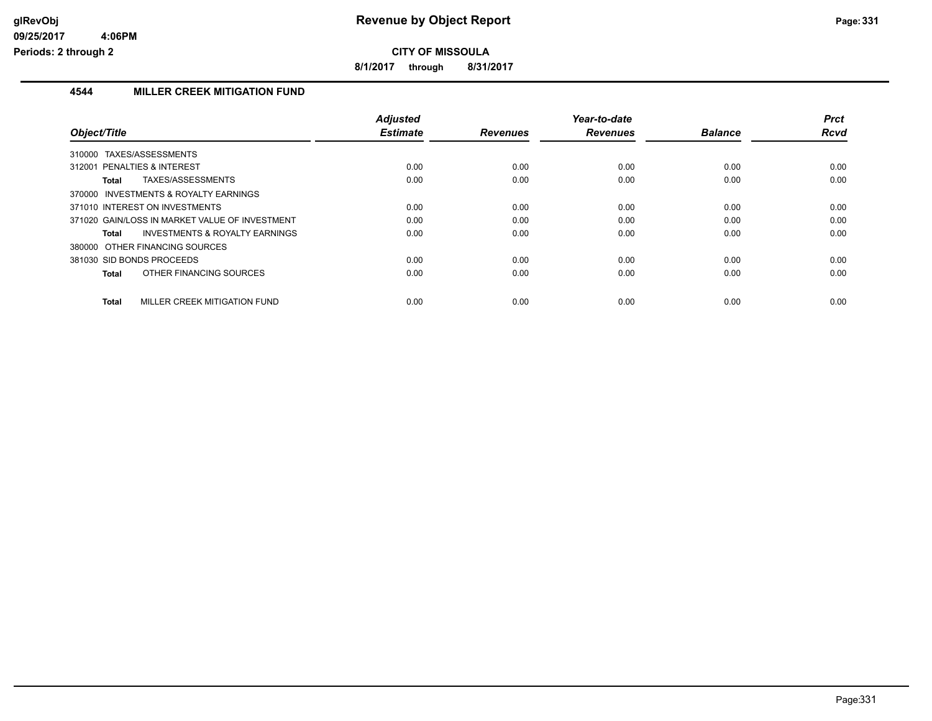**8/1/2017 through 8/31/2017**

#### **4544 MILLER CREEK MITIGATION FUND**

|                                                    | <b>Adjusted</b> |                 | Year-to-date    |                | <b>Prct</b> |
|----------------------------------------------------|-----------------|-----------------|-----------------|----------------|-------------|
| Object/Title                                       | <b>Estimate</b> | <b>Revenues</b> | <b>Revenues</b> | <b>Balance</b> | <b>Rcvd</b> |
| TAXES/ASSESSMENTS<br>310000                        |                 |                 |                 |                |             |
| PENALTIES & INTEREST<br>312001                     | 0.00            | 0.00            | 0.00            | 0.00           | 0.00        |
| TAXES/ASSESSMENTS<br>Total                         | 0.00            | 0.00            | 0.00            | 0.00           | 0.00        |
| 370000 INVESTMENTS & ROYALTY EARNINGS              |                 |                 |                 |                |             |
| 371010 INTEREST ON INVESTMENTS                     | 0.00            | 0.00            | 0.00            | 0.00           | 0.00        |
| 371020 GAIN/LOSS IN MARKET VALUE OF INVESTMENT     | 0.00            | 0.00            | 0.00            | 0.00           | 0.00        |
| <b>INVESTMENTS &amp; ROYALTY EARNINGS</b><br>Total | 0.00            | 0.00            | 0.00            | 0.00           | 0.00        |
| 380000 OTHER FINANCING SOURCES                     |                 |                 |                 |                |             |
| 381030 SID BONDS PROCEEDS                          | 0.00            | 0.00            | 0.00            | 0.00           | 0.00        |
| OTHER FINANCING SOURCES<br><b>Total</b>            | 0.00            | 0.00            | 0.00            | 0.00           | 0.00        |
| <b>Total</b><br>MILLER CREEK MITIGATION FUND       | 0.00            | 0.00            | 0.00            | 0.00           | 0.00        |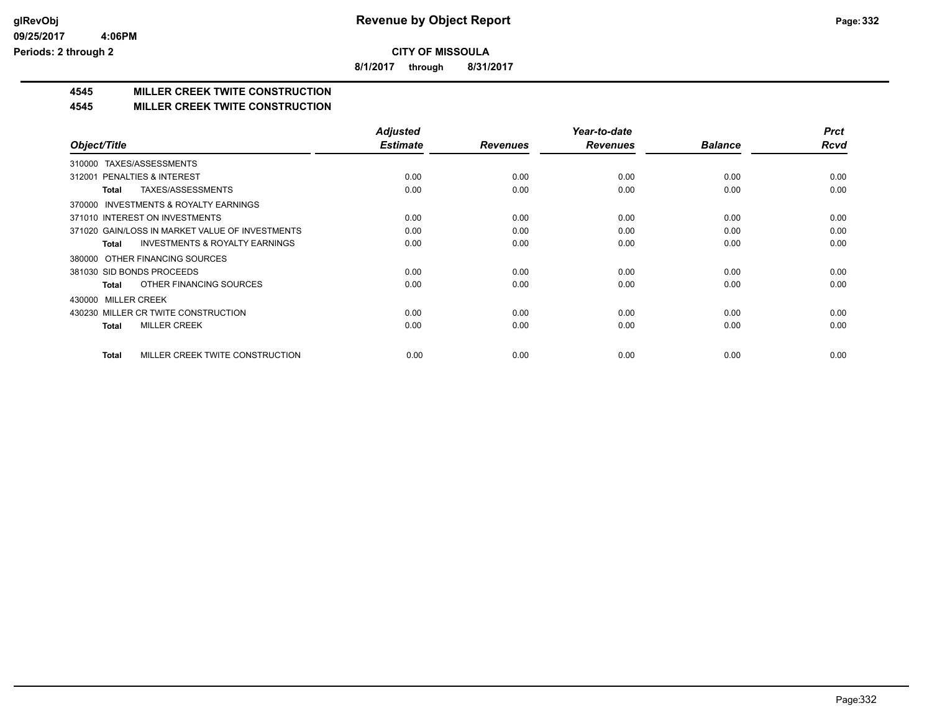**8/1/2017 through 8/31/2017**

# **4545 MILLER CREEK TWITE CONSTRUCTION**

#### **4545 MILLER CREEK TWITE CONSTRUCTION**

|                                                     | <b>Adjusted</b> |                 | Year-to-date    |                | <b>Prct</b> |
|-----------------------------------------------------|-----------------|-----------------|-----------------|----------------|-------------|
| Object/Title                                        | <b>Estimate</b> | <b>Revenues</b> | <b>Revenues</b> | <b>Balance</b> | <b>Rcvd</b> |
| TAXES/ASSESSMENTS<br>310000                         |                 |                 |                 |                |             |
| 312001 PENALTIES & INTEREST                         | 0.00            | 0.00            | 0.00            | 0.00           | 0.00        |
| <b>TAXES/ASSESSMENTS</b><br><b>Total</b>            | 0.00            | 0.00            | 0.00            | 0.00           | 0.00        |
| <b>INVESTMENTS &amp; ROYALTY EARNINGS</b><br>370000 |                 |                 |                 |                |             |
| 371010 INTEREST ON INVESTMENTS                      | 0.00            | 0.00            | 0.00            | 0.00           | 0.00        |
| 371020 GAIN/LOSS IN MARKET VALUE OF INVESTMENTS     | 0.00            | 0.00            | 0.00            | 0.00           | 0.00        |
| <b>INVESTMENTS &amp; ROYALTY EARNINGS</b><br>Total  | 0.00            | 0.00            | 0.00            | 0.00           | 0.00        |
| OTHER FINANCING SOURCES<br>380000                   |                 |                 |                 |                |             |
| 381030 SID BONDS PROCEEDS                           | 0.00            | 0.00            | 0.00            | 0.00           | 0.00        |
| OTHER FINANCING SOURCES<br>Total                    | 0.00            | 0.00            | 0.00            | 0.00           | 0.00        |
| <b>MILLER CREEK</b><br>430000                       |                 |                 |                 |                |             |
| 430230 MILLER CR TWITE CONSTRUCTION                 | 0.00            | 0.00            | 0.00            | 0.00           | 0.00        |
| <b>MILLER CREEK</b><br>Total                        | 0.00            | 0.00            | 0.00            | 0.00           | 0.00        |
|                                                     |                 |                 |                 |                |             |
| MILLER CREEK TWITE CONSTRUCTION<br><b>Total</b>     | 0.00            | 0.00            | 0.00            | 0.00           | 0.00        |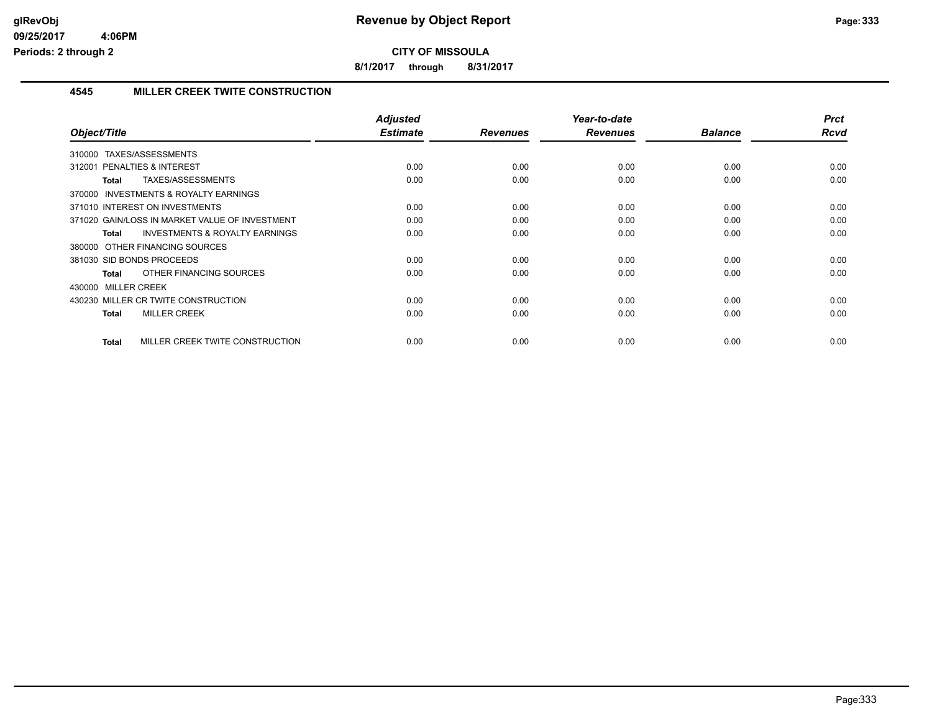**8/1/2017 through 8/31/2017**

#### **4545 MILLER CREEK TWITE CONSTRUCTION**

| Object/Title                                              | <b>Adjusted</b><br><b>Estimate</b> | <b>Revenues</b> | Year-to-date<br><b>Revenues</b> | <b>Balance</b> | <b>Prct</b><br><b>Rcvd</b> |
|-----------------------------------------------------------|------------------------------------|-----------------|---------------------------------|----------------|----------------------------|
| TAXES/ASSESSMENTS<br>310000                               |                                    |                 |                                 |                |                            |
| 312001 PENALTIES & INTEREST                               | 0.00                               | 0.00            | 0.00                            | 0.00           | 0.00                       |
| TAXES/ASSESSMENTS<br><b>Total</b>                         | 0.00                               | 0.00            | 0.00                            | 0.00           | 0.00                       |
| <b>INVESTMENTS &amp; ROYALTY EARNINGS</b><br>370000       |                                    |                 |                                 |                |                            |
| 371010 INTEREST ON INVESTMENTS                            | 0.00                               | 0.00            | 0.00                            | 0.00           | 0.00                       |
| 371020 GAIN/LOSS IN MARKET VALUE OF INVESTMENT            | 0.00                               | 0.00            | 0.00                            | 0.00           | 0.00                       |
| <b>INVESTMENTS &amp; ROYALTY EARNINGS</b><br><b>Total</b> | 0.00                               | 0.00            | 0.00                            | 0.00           | 0.00                       |
| 380000 OTHER FINANCING SOURCES                            |                                    |                 |                                 |                |                            |
| 381030 SID BONDS PROCEEDS                                 | 0.00                               | 0.00            | 0.00                            | 0.00           | 0.00                       |
| OTHER FINANCING SOURCES<br>Total                          | 0.00                               | 0.00            | 0.00                            | 0.00           | 0.00                       |
| 430000 MILLER CREEK                                       |                                    |                 |                                 |                |                            |
| 430230 MILLER CR TWITE CONSTRUCTION                       | 0.00                               | 0.00            | 0.00                            | 0.00           | 0.00                       |
| <b>MILLER CREEK</b><br><b>Total</b>                       | 0.00                               | 0.00            | 0.00                            | 0.00           | 0.00                       |
| MILLER CREEK TWITE CONSTRUCTION<br><b>Total</b>           | 0.00                               | 0.00            | 0.00                            | 0.00           | 0.00                       |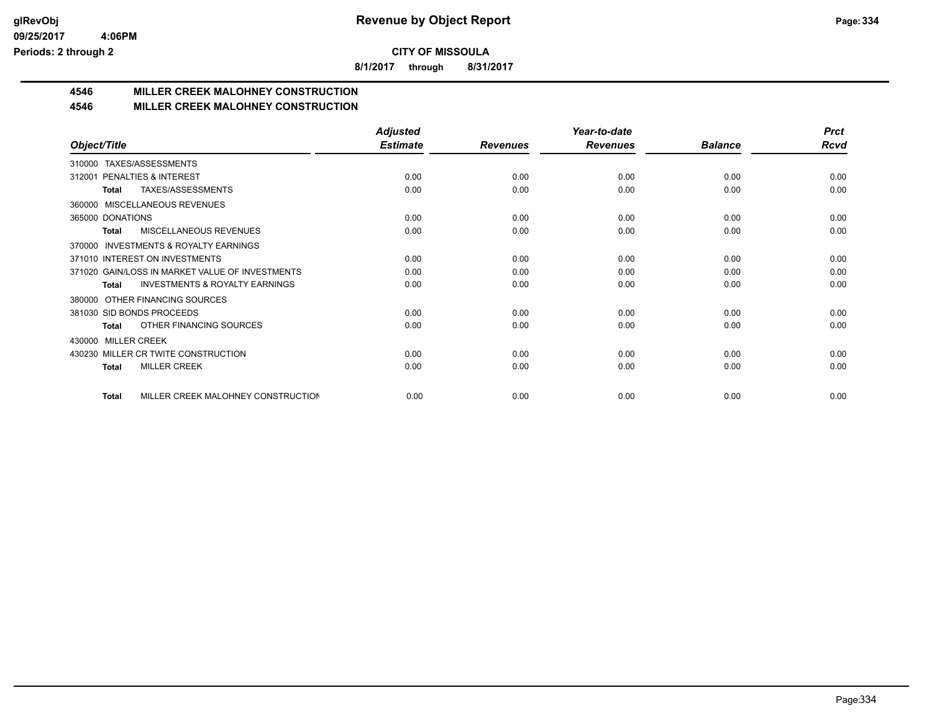**8/1/2017 through 8/31/2017**

# **4546 MILLER CREEK MALOHNEY CONSTRUCTION**

#### **4546 MILLER CREEK MALOHNEY CONSTRUCTION**

|                                                           | <b>Adjusted</b> |                 | Year-to-date    |                | <b>Prct</b> |
|-----------------------------------------------------------|-----------------|-----------------|-----------------|----------------|-------------|
| Object/Title                                              | <b>Estimate</b> | <b>Revenues</b> | <b>Revenues</b> | <b>Balance</b> | Rcvd        |
| TAXES/ASSESSMENTS<br>310000                               |                 |                 |                 |                |             |
| PENALTIES & INTEREST<br>312001                            | 0.00            | 0.00            | 0.00            | 0.00           | 0.00        |
| TAXES/ASSESSMENTS<br>Total                                | 0.00            | 0.00            | 0.00            | 0.00           | 0.00        |
| MISCELLANEOUS REVENUES<br>360000                          |                 |                 |                 |                |             |
| 365000 DONATIONS                                          | 0.00            | 0.00            | 0.00            | 0.00           | 0.00        |
| MISCELLANEOUS REVENUES<br>Total                           | 0.00            | 0.00            | 0.00            | 0.00           | 0.00        |
| <b>INVESTMENTS &amp; ROYALTY EARNINGS</b><br>370000       |                 |                 |                 |                |             |
| 371010 INTEREST ON INVESTMENTS                            | 0.00            | 0.00            | 0.00            | 0.00           | 0.00        |
| 371020 GAIN/LOSS IN MARKET VALUE OF INVESTMENTS           | 0.00            | 0.00            | 0.00            | 0.00           | 0.00        |
| <b>INVESTMENTS &amp; ROYALTY EARNINGS</b><br><b>Total</b> | 0.00            | 0.00            | 0.00            | 0.00           | 0.00        |
| OTHER FINANCING SOURCES<br>380000                         |                 |                 |                 |                |             |
| 381030 SID BONDS PROCEEDS                                 | 0.00            | 0.00            | 0.00            | 0.00           | 0.00        |
| OTHER FINANCING SOURCES<br><b>Total</b>                   | 0.00            | 0.00            | 0.00            | 0.00           | 0.00        |
| <b>MILLER CREEK</b><br>430000                             |                 |                 |                 |                |             |
| 430230 MILLER CR TWITE CONSTRUCTION                       | 0.00            | 0.00            | 0.00            | 0.00           | 0.00        |
| <b>MILLER CREEK</b><br><b>Total</b>                       | 0.00            | 0.00            | 0.00            | 0.00           | 0.00        |
| MILLER CREEK MALOHNEY CONSTRUCTION<br><b>Total</b>        | 0.00            | 0.00            | 0.00            | 0.00           | 0.00        |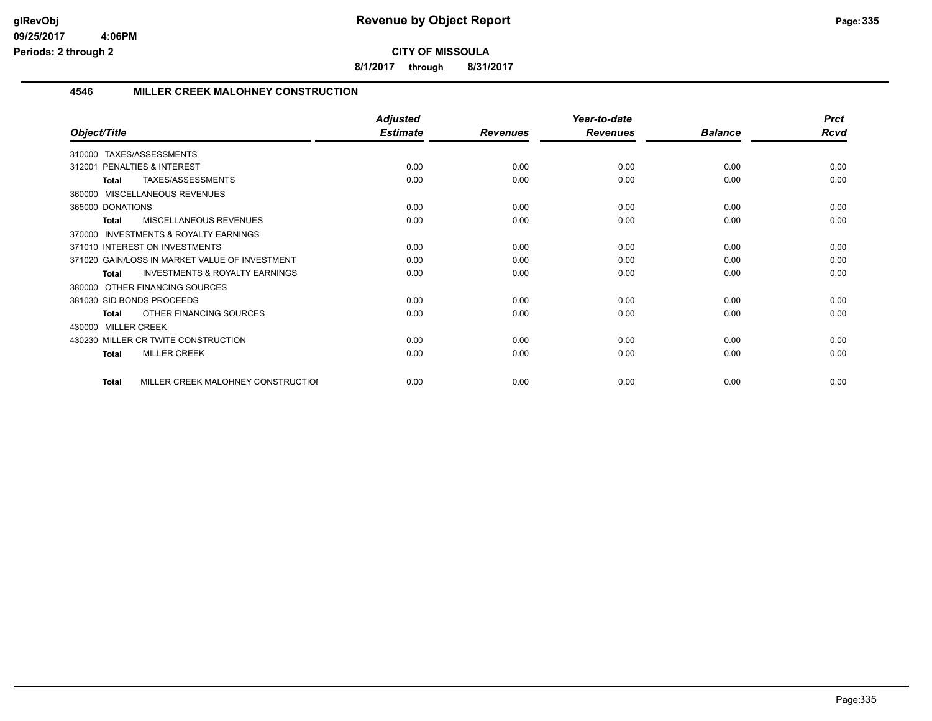**8/1/2017 through 8/31/2017**

#### **4546 MILLER CREEK MALOHNEY CONSTRUCTION**

|                                                    | <b>Adjusted</b> |                 | Year-to-date    |                | <b>Prct</b> |
|----------------------------------------------------|-----------------|-----------------|-----------------|----------------|-------------|
| Object/Title                                       | <b>Estimate</b> | <b>Revenues</b> | <b>Revenues</b> | <b>Balance</b> | <b>Rcvd</b> |
| TAXES/ASSESSMENTS<br>310000                        |                 |                 |                 |                |             |
| <b>PENALTIES &amp; INTEREST</b><br>312001          | 0.00            | 0.00            | 0.00            | 0.00           | 0.00        |
| TAXES/ASSESSMENTS<br><b>Total</b>                  | 0.00            | 0.00            | 0.00            | 0.00           | 0.00        |
| 360000 MISCELLANEOUS REVENUES                      |                 |                 |                 |                |             |
| 365000 DONATIONS                                   | 0.00            | 0.00            | 0.00            | 0.00           | 0.00        |
| <b>MISCELLANEOUS REVENUES</b><br>Total             | 0.00            | 0.00            | 0.00            | 0.00           | 0.00        |
| INVESTMENTS & ROYALTY EARNINGS<br>370000           |                 |                 |                 |                |             |
| 371010 INTEREST ON INVESTMENTS                     | 0.00            | 0.00            | 0.00            | 0.00           | 0.00        |
| 371020 GAIN/LOSS IN MARKET VALUE OF INVESTMENT     | 0.00            | 0.00            | 0.00            | 0.00           | 0.00        |
| <b>INVESTMENTS &amp; ROYALTY EARNINGS</b><br>Total | 0.00            | 0.00            | 0.00            | 0.00           | 0.00        |
| OTHER FINANCING SOURCES<br>380000                  |                 |                 |                 |                |             |
| 381030 SID BONDS PROCEEDS                          | 0.00            | 0.00            | 0.00            | 0.00           | 0.00        |
| OTHER FINANCING SOURCES<br>Total                   | 0.00            | 0.00            | 0.00            | 0.00           | 0.00        |
| <b>MILLER CREEK</b><br>430000                      |                 |                 |                 |                |             |
| 430230 MILLER CR TWITE CONSTRUCTION                | 0.00            | 0.00            | 0.00            | 0.00           | 0.00        |
| <b>MILLER CREEK</b><br><b>Total</b>                | 0.00            | 0.00            | 0.00            | 0.00           | 0.00        |
| MILLER CREEK MALOHNEY CONSTRUCTIOI<br><b>Total</b> | 0.00            | 0.00            | 0.00            | 0.00           | 0.00        |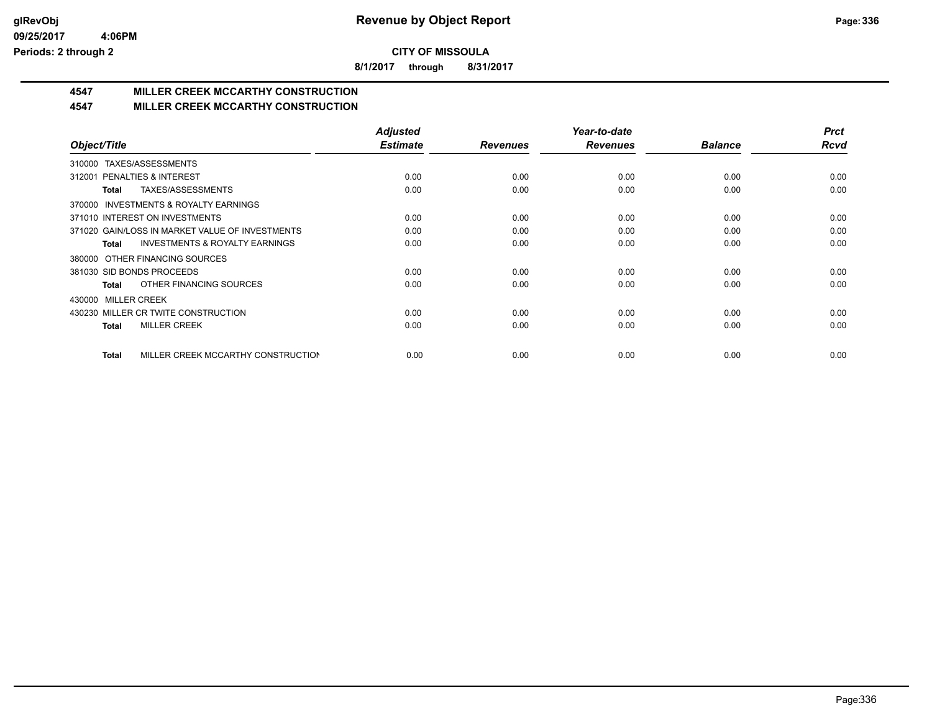**8/1/2017 through 8/31/2017**

# **4547 MILLER CREEK MCCARTHY CONSTRUCTION**

#### **4547 MILLER CREEK MCCARTHY CONSTRUCTION**

|                                                     | <b>Adjusted</b> |                 | Year-to-date    |                | <b>Prct</b> |
|-----------------------------------------------------|-----------------|-----------------|-----------------|----------------|-------------|
| Object/Title                                        | <b>Estimate</b> | <b>Revenues</b> | <b>Revenues</b> | <b>Balance</b> | Rcvd        |
| TAXES/ASSESSMENTS<br>310000                         |                 |                 |                 |                |             |
| PENALTIES & INTEREST<br>312001                      | 0.00            | 0.00            | 0.00            | 0.00           | 0.00        |
| TAXES/ASSESSMENTS<br><b>Total</b>                   | 0.00            | 0.00            | 0.00            | 0.00           | 0.00        |
| <b>INVESTMENTS &amp; ROYALTY EARNINGS</b><br>370000 |                 |                 |                 |                |             |
| 371010 INTEREST ON INVESTMENTS                      | 0.00            | 0.00            | 0.00            | 0.00           | 0.00        |
| 371020 GAIN/LOSS IN MARKET VALUE OF INVESTMENTS     | 0.00            | 0.00            | 0.00            | 0.00           | 0.00        |
| <b>INVESTMENTS &amp; ROYALTY EARNINGS</b><br>Total  | 0.00            | 0.00            | 0.00            | 0.00           | 0.00        |
| 380000 OTHER FINANCING SOURCES                      |                 |                 |                 |                |             |
| 381030 SID BONDS PROCEEDS                           | 0.00            | 0.00            | 0.00            | 0.00           | 0.00        |
| OTHER FINANCING SOURCES<br>Total                    | 0.00            | 0.00            | 0.00            | 0.00           | 0.00        |
| 430000 MILLER CREEK                                 |                 |                 |                 |                |             |
| 430230 MILLER CR TWITE CONSTRUCTION                 | 0.00            | 0.00            | 0.00            | 0.00           | 0.00        |
| <b>MILLER CREEK</b><br>Total                        | 0.00            | 0.00            | 0.00            | 0.00           | 0.00        |
|                                                     |                 |                 |                 |                |             |
| MILLER CREEK MCCARTHY CONSTRUCTION<br>Total         | 0.00            | 0.00            | 0.00            | 0.00           | 0.00        |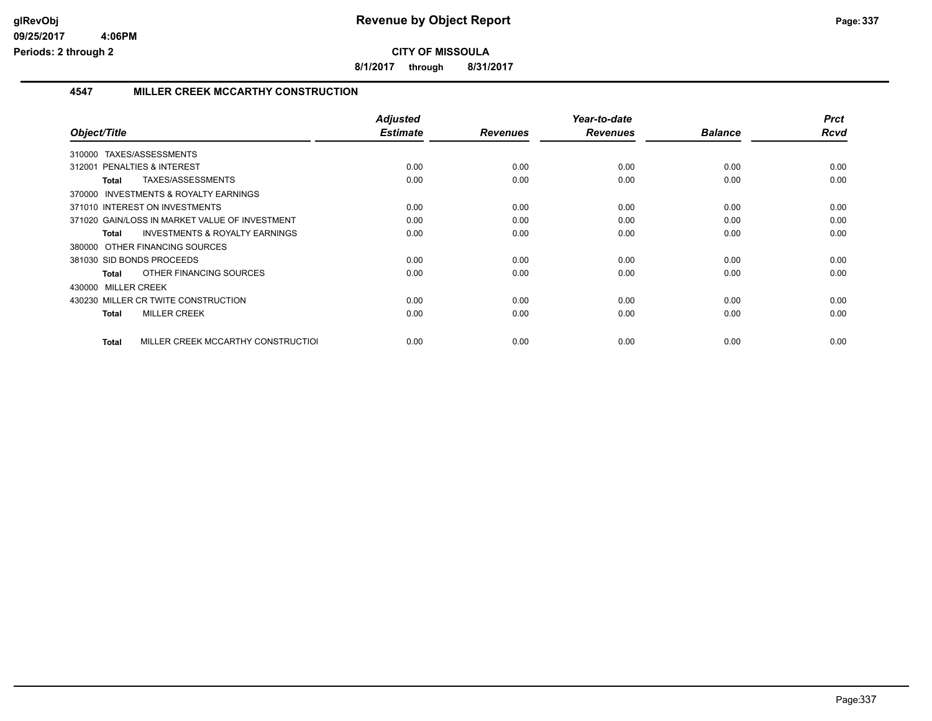**8/1/2017 through 8/31/2017**

#### **4547 MILLER CREEK MCCARTHY CONSTRUCTION**

| Object/Title                                              | <b>Adjusted</b><br><b>Estimate</b> | <b>Revenues</b> | Year-to-date<br><b>Revenues</b> | <b>Balance</b> | <b>Prct</b><br><b>Rcvd</b> |
|-----------------------------------------------------------|------------------------------------|-----------------|---------------------------------|----------------|----------------------------|
| 310000 TAXES/ASSESSMENTS                                  |                                    |                 |                                 |                |                            |
| 312001 PENALTIES & INTEREST                               | 0.00                               | 0.00            | 0.00                            | 0.00           | 0.00                       |
| TAXES/ASSESSMENTS<br>Total                                | 0.00                               | 0.00            | 0.00                            | 0.00           | 0.00                       |
| <b>INVESTMENTS &amp; ROYALTY EARNINGS</b><br>370000       |                                    |                 |                                 |                |                            |
| 371010 INTEREST ON INVESTMENTS                            | 0.00                               | 0.00            | 0.00                            | 0.00           | 0.00                       |
| 371020 GAIN/LOSS IN MARKET VALUE OF INVESTMENT            | 0.00                               | 0.00            | 0.00                            | 0.00           | 0.00                       |
| <b>INVESTMENTS &amp; ROYALTY EARNINGS</b><br><b>Total</b> | 0.00                               | 0.00            | 0.00                            | 0.00           | 0.00                       |
| 380000 OTHER FINANCING SOURCES                            |                                    |                 |                                 |                |                            |
| 381030 SID BONDS PROCEEDS                                 | 0.00                               | 0.00            | 0.00                            | 0.00           | 0.00                       |
| OTHER FINANCING SOURCES<br>Total                          | 0.00                               | 0.00            | 0.00                            | 0.00           | 0.00                       |
| 430000 MILLER CREEK                                       |                                    |                 |                                 |                |                            |
| 430230 MILLER CR TWITE CONSTRUCTION                       | 0.00                               | 0.00            | 0.00                            | 0.00           | 0.00                       |
| <b>MILLER CREEK</b><br><b>Total</b>                       | 0.00                               | 0.00            | 0.00                            | 0.00           | 0.00                       |
|                                                           |                                    |                 |                                 |                |                            |
| MILLER CREEK MCCARTHY CONSTRUCTIOL<br><b>Total</b>        | 0.00                               | 0.00            | 0.00                            | 0.00           | 0.00                       |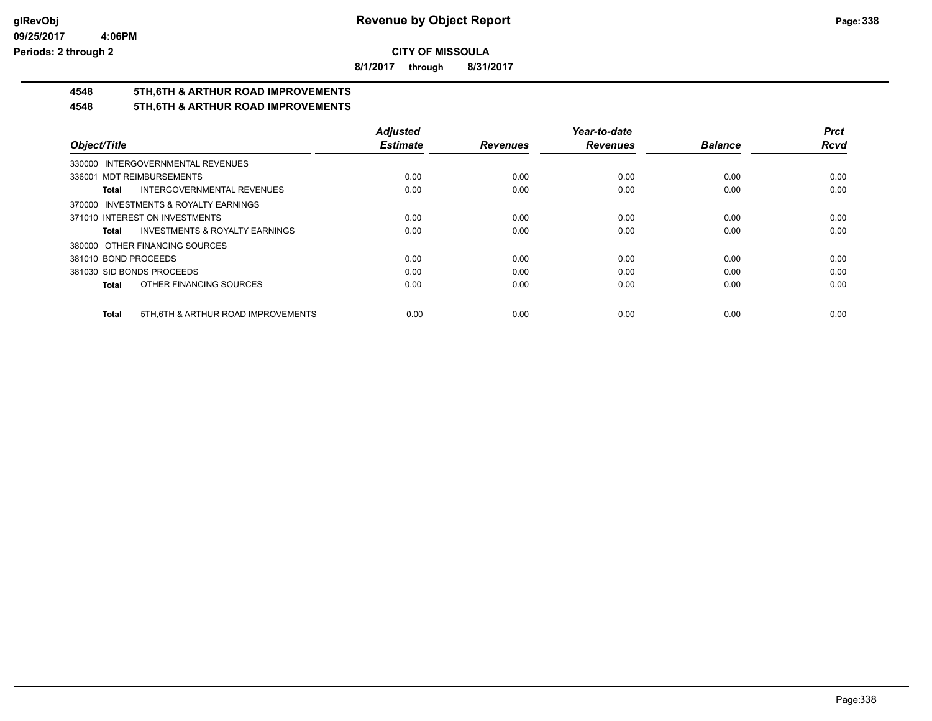**8/1/2017 through 8/31/2017**

# **4548 5TH,6TH & ARTHUR ROAD IMPROVEMENTS**

# **4548 5TH,6TH & ARTHUR ROAD IMPROVEMENTS**

| Object/Title                                       | <b>Adjusted</b><br><b>Estimate</b> | <b>Revenues</b> | Year-to-date<br><b>Revenues</b> | <b>Balance</b> | <b>Prct</b><br><b>Rcvd</b> |
|----------------------------------------------------|------------------------------------|-----------------|---------------------------------|----------------|----------------------------|
|                                                    |                                    |                 |                                 |                |                            |
| 330000 INTERGOVERNMENTAL REVENUES                  |                                    |                 |                                 |                |                            |
| <b>MDT REIMBURSEMENTS</b><br>336001                | 0.00                               | 0.00            | 0.00                            | 0.00           | 0.00                       |
| INTERGOVERNMENTAL REVENUES<br>Total                | 0.00                               | 0.00            | 0.00                            | 0.00           | 0.00                       |
| 370000 INVESTMENTS & ROYALTY EARNINGS              |                                    |                 |                                 |                |                            |
| 371010 INTEREST ON INVESTMENTS                     | 0.00                               | 0.00            | 0.00                            | 0.00           | 0.00                       |
| <b>INVESTMENTS &amp; ROYALTY EARNINGS</b><br>Total | 0.00                               | 0.00            | 0.00                            | 0.00           | 0.00                       |
| 380000 OTHER FINANCING SOURCES                     |                                    |                 |                                 |                |                            |
| 381010 BOND PROCEEDS                               | 0.00                               | 0.00            | 0.00                            | 0.00           | 0.00                       |
| 381030 SID BONDS PROCEEDS                          | 0.00                               | 0.00            | 0.00                            | 0.00           | 0.00                       |
| OTHER FINANCING SOURCES<br>Total                   | 0.00                               | 0.00            | 0.00                            | 0.00           | 0.00                       |
| 5TH.6TH & ARTHUR ROAD IMPROVEMENTS<br>Total        | 0.00                               | 0.00            | 0.00                            | 0.00           | 0.00                       |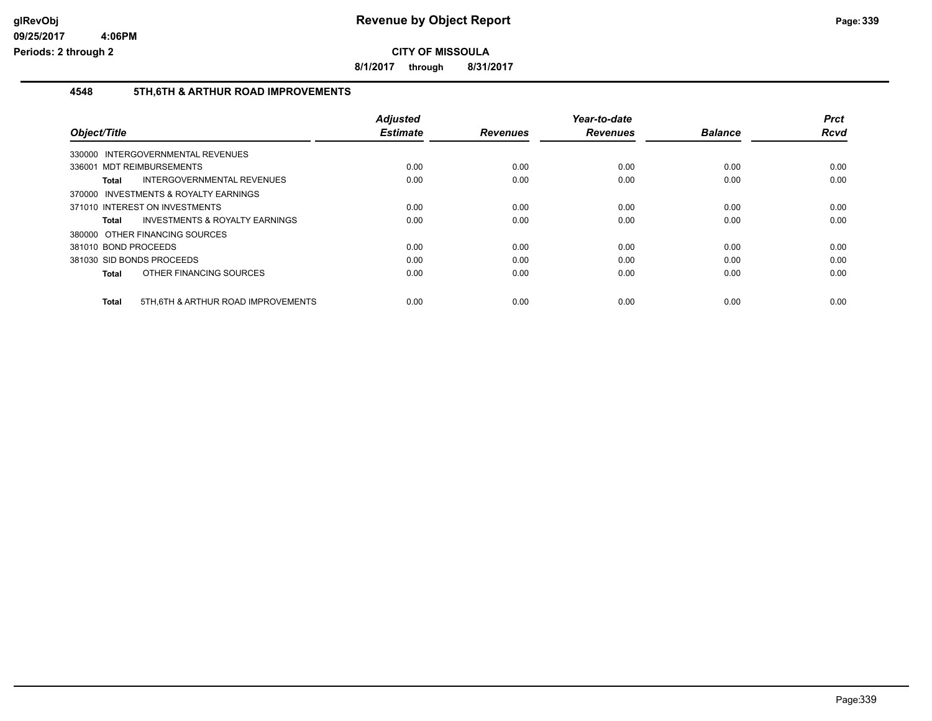**8/1/2017 through 8/31/2017**

#### **4548 5TH,6TH & ARTHUR ROAD IMPROVEMENTS**

|                                              | <b>Adjusted</b> |                 | Year-to-date    |                | <b>Prct</b> |
|----------------------------------------------|-----------------|-----------------|-----------------|----------------|-------------|
| Object/Title                                 | <b>Estimate</b> | <b>Revenues</b> | <b>Revenues</b> | <b>Balance</b> | Rcvd        |
| 330000 INTERGOVERNMENTAL REVENUES            |                 |                 |                 |                |             |
| 336001 MDT REIMBURSEMENTS                    | 0.00            | 0.00            | 0.00            | 0.00           | 0.00        |
| <b>INTERGOVERNMENTAL REVENUES</b><br>Total   | 0.00            | 0.00            | 0.00            | 0.00           | 0.00        |
| 370000 INVESTMENTS & ROYALTY EARNINGS        |                 |                 |                 |                |             |
| 371010 INTEREST ON INVESTMENTS               | 0.00            | 0.00            | 0.00            | 0.00           | 0.00        |
| INVESTMENTS & ROYALTY EARNINGS<br>Total      | 0.00            | 0.00            | 0.00            | 0.00           | 0.00        |
| 380000 OTHER FINANCING SOURCES               |                 |                 |                 |                |             |
| 381010 BOND PROCEEDS                         | 0.00            | 0.00            | 0.00            | 0.00           | 0.00        |
| 381030 SID BONDS PROCEEDS                    | 0.00            | 0.00            | 0.00            | 0.00           | 0.00        |
| OTHER FINANCING SOURCES<br>Total             | 0.00            | 0.00            | 0.00            | 0.00           | 0.00        |
|                                              |                 |                 |                 |                |             |
| Total<br>5TH, 6TH & ARTHUR ROAD IMPROVEMENTS | 0.00            | 0.00            | 0.00            | 0.00           | 0.00        |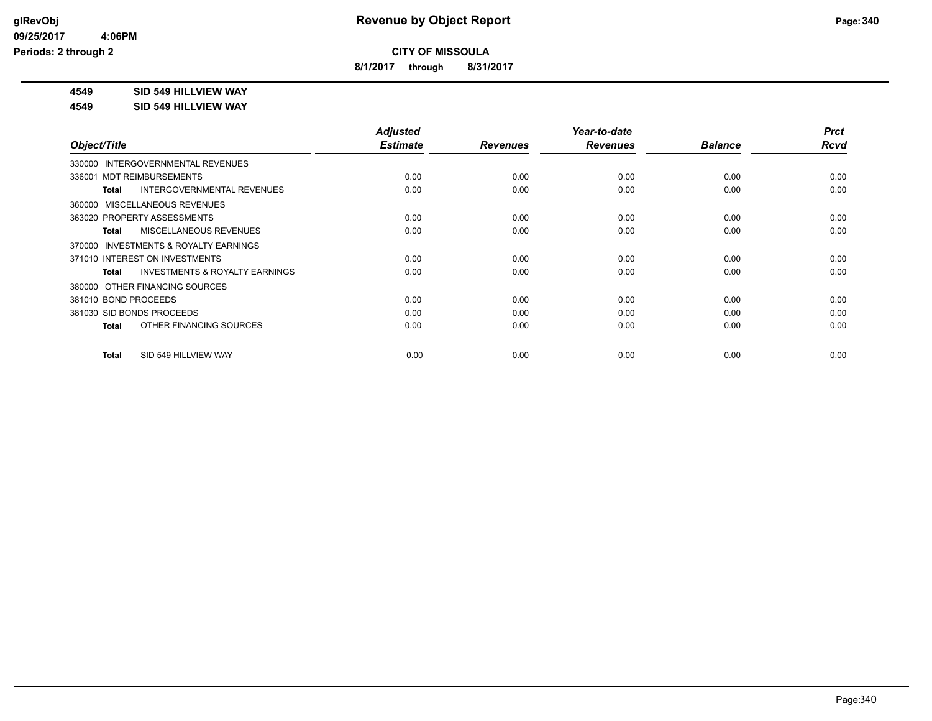**8/1/2017 through 8/31/2017**

**4549 SID 549 HILLVIEW WAY**

**4549 SID 549 HILLVIEW WAY**

|                                                    | <b>Adjusted</b> |                 | Year-to-date    |                | <b>Prct</b> |
|----------------------------------------------------|-----------------|-----------------|-----------------|----------------|-------------|
| Object/Title                                       | <b>Estimate</b> | <b>Revenues</b> | <b>Revenues</b> | <b>Balance</b> | <b>Rcvd</b> |
| 330000 INTERGOVERNMENTAL REVENUES                  |                 |                 |                 |                |             |
| 336001 MDT REIMBURSEMENTS                          | 0.00            | 0.00            | 0.00            | 0.00           | 0.00        |
| <b>INTERGOVERNMENTAL REVENUES</b><br>Total         | 0.00            | 0.00            | 0.00            | 0.00           | 0.00        |
| 360000 MISCELLANEOUS REVENUES                      |                 |                 |                 |                |             |
| 363020 PROPERTY ASSESSMENTS                        | 0.00            | 0.00            | 0.00            | 0.00           | 0.00        |
| MISCELLANEOUS REVENUES<br>Total                    | 0.00            | 0.00            | 0.00            | 0.00           | 0.00        |
| 370000 INVESTMENTS & ROYALTY EARNINGS              |                 |                 |                 |                |             |
| 371010 INTEREST ON INVESTMENTS                     | 0.00            | 0.00            | 0.00            | 0.00           | 0.00        |
| <b>INVESTMENTS &amp; ROYALTY EARNINGS</b><br>Total | 0.00            | 0.00            | 0.00            | 0.00           | 0.00        |
| 380000 OTHER FINANCING SOURCES                     |                 |                 |                 |                |             |
| 381010 BOND PROCEEDS                               | 0.00            | 0.00            | 0.00            | 0.00           | 0.00        |
| 381030 SID BONDS PROCEEDS                          | 0.00            | 0.00            | 0.00            | 0.00           | 0.00        |
| OTHER FINANCING SOURCES<br>Total                   | 0.00            | 0.00            | 0.00            | 0.00           | 0.00        |
|                                                    |                 |                 |                 |                |             |
| SID 549 HILLVIEW WAY<br>Total                      | 0.00            | 0.00            | 0.00            | 0.00           | 0.00        |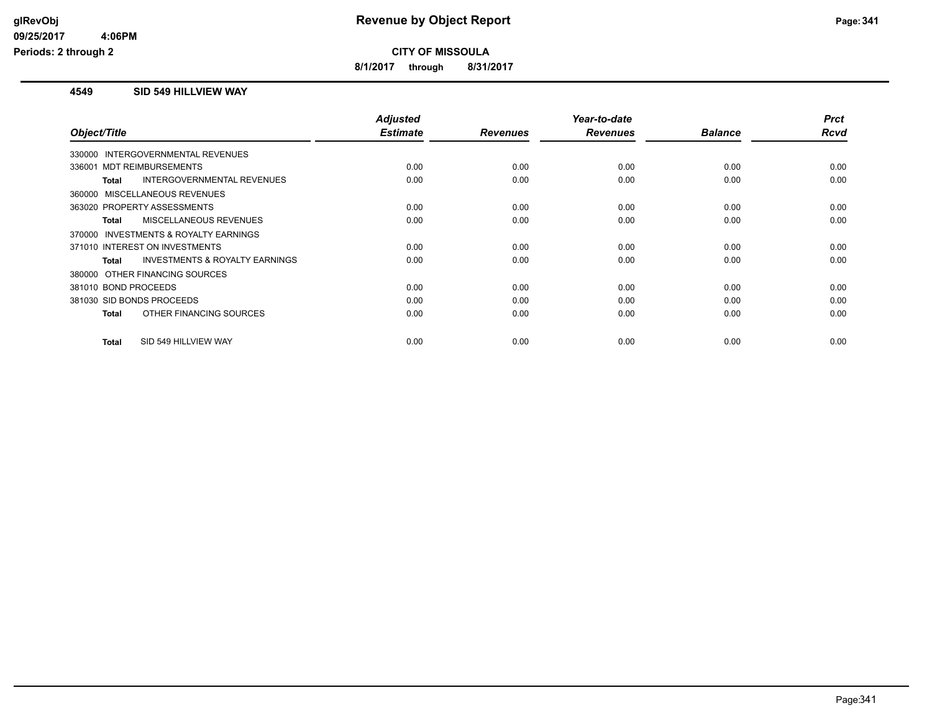**8/1/2017 through 8/31/2017**

#### **4549 SID 549 HILLVIEW WAY**

| Object/Title                                              | <b>Adjusted</b><br><b>Estimate</b> | <b>Revenues</b> | Year-to-date<br><b>Revenues</b> | <b>Balance</b> | <b>Prct</b><br><b>Rcvd</b> |
|-----------------------------------------------------------|------------------------------------|-----------------|---------------------------------|----------------|----------------------------|
| 330000 INTERGOVERNMENTAL REVENUES                         |                                    |                 |                                 |                |                            |
| 336001 MDT REIMBURSEMENTS                                 | 0.00                               | 0.00            | 0.00                            | 0.00           | 0.00                       |
| INTERGOVERNMENTAL REVENUES<br><b>Total</b>                | 0.00                               | 0.00            | 0.00                            | 0.00           | 0.00                       |
| MISCELLANEOUS REVENUES<br>360000                          |                                    |                 |                                 |                |                            |
| 363020 PROPERTY ASSESSMENTS                               | 0.00                               | 0.00            | 0.00                            | 0.00           | 0.00                       |
| MISCELLANEOUS REVENUES<br><b>Total</b>                    | 0.00                               | 0.00            | 0.00                            | 0.00           | 0.00                       |
| 370000 INVESTMENTS & ROYALTY EARNINGS                     |                                    |                 |                                 |                |                            |
| 371010 INTEREST ON INVESTMENTS                            | 0.00                               | 0.00            | 0.00                            | 0.00           | 0.00                       |
| <b>INVESTMENTS &amp; ROYALTY EARNINGS</b><br><b>Total</b> | 0.00                               | 0.00            | 0.00                            | 0.00           | 0.00                       |
| 380000 OTHER FINANCING SOURCES                            |                                    |                 |                                 |                |                            |
| 381010 BOND PROCEEDS                                      | 0.00                               | 0.00            | 0.00                            | 0.00           | 0.00                       |
| 381030 SID BONDS PROCEEDS                                 | 0.00                               | 0.00            | 0.00                            | 0.00           | 0.00                       |
| OTHER FINANCING SOURCES<br><b>Total</b>                   | 0.00                               | 0.00            | 0.00                            | 0.00           | 0.00                       |
| SID 549 HILLVIEW WAY<br><b>Total</b>                      | 0.00                               | 0.00            | 0.00                            | 0.00           | 0.00                       |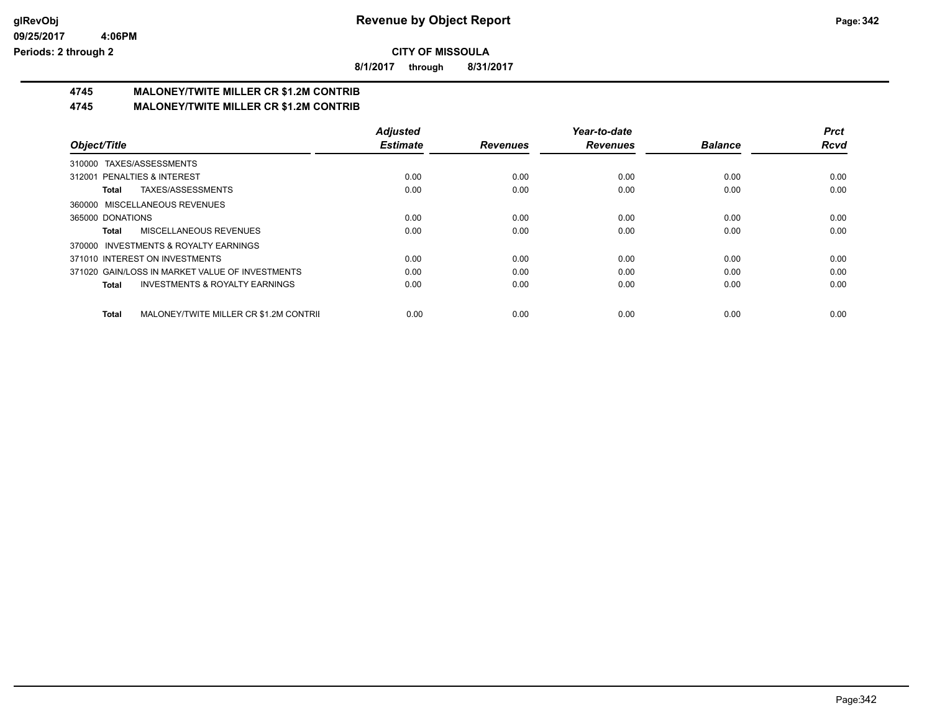**8/1/2017 through 8/31/2017**

# **4745 MALONEY/TWITE MILLER CR \$1.2M CONTRIB**

## **4745 MALONEY/TWITE MILLER CR \$1.2M CONTRIB**

|                                                 | <b>Adjusted</b> |                 | Year-to-date    |                | <b>Prct</b> |
|-------------------------------------------------|-----------------|-----------------|-----------------|----------------|-------------|
| Object/Title                                    | <b>Estimate</b> | <b>Revenues</b> | <b>Revenues</b> | <b>Balance</b> | <b>Rcvd</b> |
| TAXES/ASSESSMENTS<br>310000                     |                 |                 |                 |                |             |
| 312001 PENALTIES & INTEREST                     | 0.00            | 0.00            | 0.00            | 0.00           | 0.00        |
| TAXES/ASSESSMENTS<br>Total                      | 0.00            | 0.00            | 0.00            | 0.00           | 0.00        |
| 360000 MISCELLANEOUS REVENUES                   |                 |                 |                 |                |             |
| 365000 DONATIONS                                | 0.00            | 0.00            | 0.00            | 0.00           | 0.00        |
| MISCELLANEOUS REVENUES<br>Total                 | 0.00            | 0.00            | 0.00            | 0.00           | 0.00        |
| INVESTMENTS & ROYALTY EARNINGS<br>370000        |                 |                 |                 |                |             |
| 371010 INTEREST ON INVESTMENTS                  | 0.00            | 0.00            | 0.00            | 0.00           | 0.00        |
| 371020 GAIN/LOSS IN MARKET VALUE OF INVESTMENTS | 0.00            | 0.00            | 0.00            | 0.00           | 0.00        |
| INVESTMENTS & ROYALTY EARNINGS<br>Total         | 0.00            | 0.00            | 0.00            | 0.00           | 0.00        |
| MALONEY/TWITE MILLER CR \$1.2M CONTRII<br>Total | 0.00            | 0.00            | 0.00            | 0.00           | 0.00        |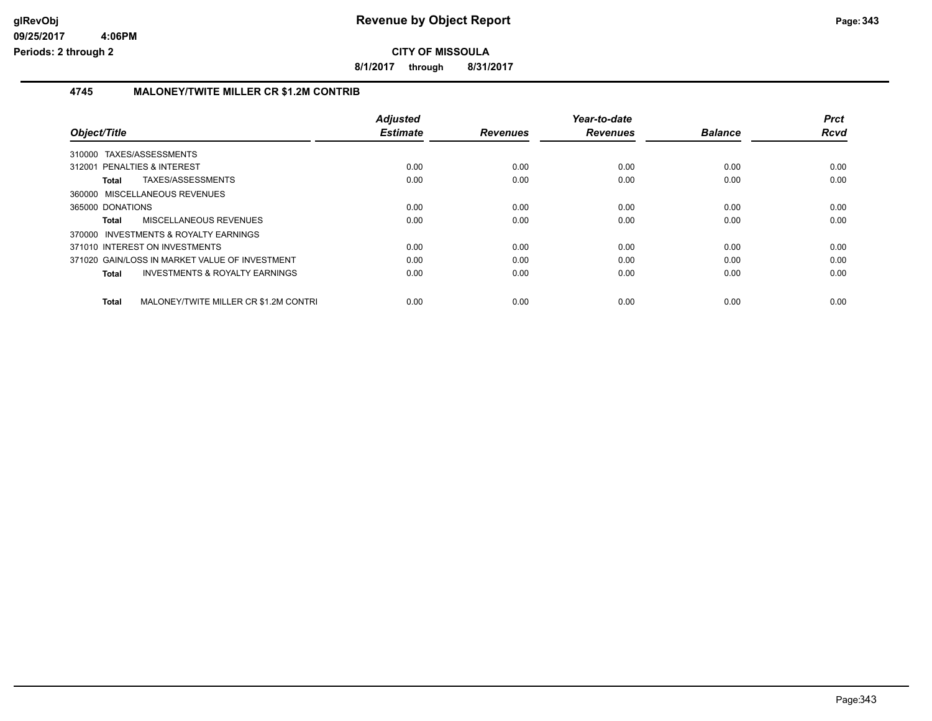**8/1/2017 through 8/31/2017**

#### **4745 MALONEY/TWITE MILLER CR \$1.2M CONTRIB**

| Object/Title                                          | <b>Adjusted</b><br><b>Estimate</b> | <b>Revenues</b> | Year-to-date<br><b>Revenues</b> | <b>Balance</b> | <b>Prct</b><br><b>Rcvd</b> |
|-------------------------------------------------------|------------------------------------|-----------------|---------------------------------|----------------|----------------------------|
|                                                       |                                    |                 |                                 |                |                            |
| 310000 TAXES/ASSESSMENTS                              |                                    |                 |                                 |                |                            |
| 312001 PENALTIES & INTEREST                           | 0.00                               | 0.00            | 0.00                            | 0.00           | 0.00                       |
| TAXES/ASSESSMENTS<br>Total                            | 0.00                               | 0.00            | 0.00                            | 0.00           | 0.00                       |
| 360000 MISCELLANEOUS REVENUES                         |                                    |                 |                                 |                |                            |
| 365000 DONATIONS                                      | 0.00                               | 0.00            | 0.00                            | 0.00           | 0.00                       |
| MISCELLANEOUS REVENUES<br>Total                       | 0.00                               | 0.00            | 0.00                            | 0.00           | 0.00                       |
| 370000 INVESTMENTS & ROYALTY EARNINGS                 |                                    |                 |                                 |                |                            |
| 371010 INTEREST ON INVESTMENTS                        | 0.00                               | 0.00            | 0.00                            | 0.00           | 0.00                       |
| 371020 GAIN/LOSS IN MARKET VALUE OF INVESTMENT        | 0.00                               | 0.00            | 0.00                            | 0.00           | 0.00                       |
| <b>INVESTMENTS &amp; ROYALTY EARNINGS</b><br>Total    | 0.00                               | 0.00            | 0.00                            | 0.00           | 0.00                       |
|                                                       |                                    |                 |                                 |                |                            |
| MALONEY/TWITE MILLER CR \$1.2M CONTRI<br><b>Total</b> | 0.00                               | 0.00            | 0.00                            | 0.00           | 0.00                       |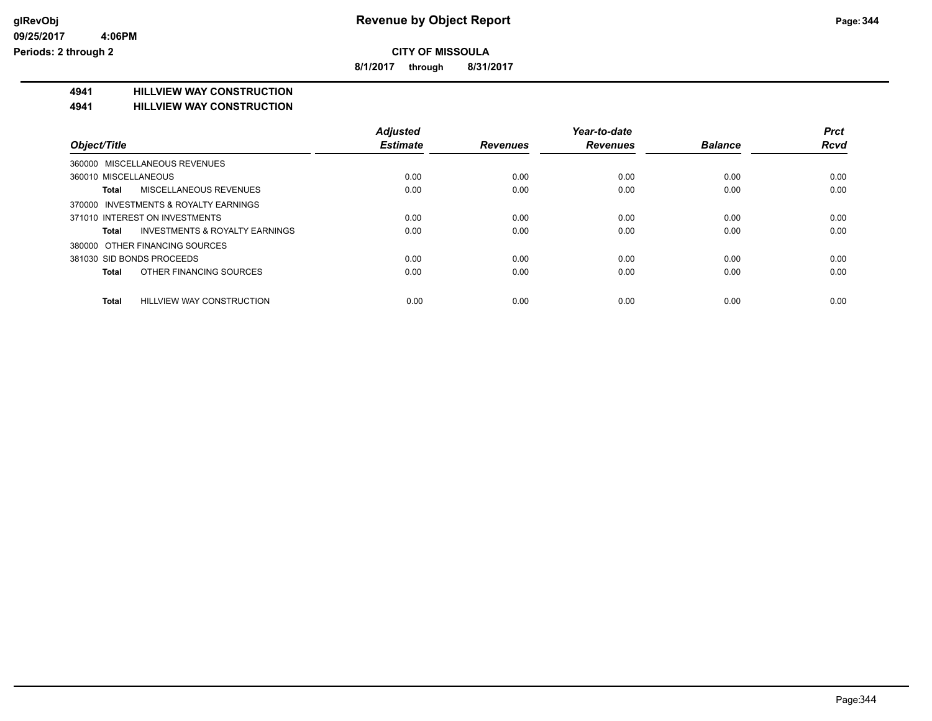**8/1/2017 through 8/31/2017**

#### **4941 HILLVIEW WAY CONSTRUCTION**

#### **4941 HILLVIEW WAY CONSTRUCTION**

|                                                    | <b>Adjusted</b> |                 | Year-to-date    |                | <b>Prct</b> |
|----------------------------------------------------|-----------------|-----------------|-----------------|----------------|-------------|
| Object/Title                                       | <b>Estimate</b> | <b>Revenues</b> | <b>Revenues</b> | <b>Balance</b> | <b>Rcvd</b> |
| 360000 MISCELLANEOUS REVENUES                      |                 |                 |                 |                |             |
| 360010 MISCELLANEOUS                               | 0.00            | 0.00            | 0.00            | 0.00           | 0.00        |
| MISCELLANEOUS REVENUES<br>Total                    | 0.00            | 0.00            | 0.00            | 0.00           | 0.00        |
| 370000 INVESTMENTS & ROYALTY EARNINGS              |                 |                 |                 |                |             |
| 371010 INTEREST ON INVESTMENTS                     | 0.00            | 0.00            | 0.00            | 0.00           | 0.00        |
| <b>INVESTMENTS &amp; ROYALTY EARNINGS</b><br>Total | 0.00            | 0.00            | 0.00            | 0.00           | 0.00        |
| 380000 OTHER FINANCING SOURCES                     |                 |                 |                 |                |             |
| 381030 SID BONDS PROCEEDS                          | 0.00            | 0.00            | 0.00            | 0.00           | 0.00        |
| OTHER FINANCING SOURCES<br><b>Total</b>            | 0.00            | 0.00            | 0.00            | 0.00           | 0.00        |
| HILLVIEW WAY CONSTRUCTION<br><b>Total</b>          | 0.00            | 0.00            | 0.00            | 0.00           | 0.00        |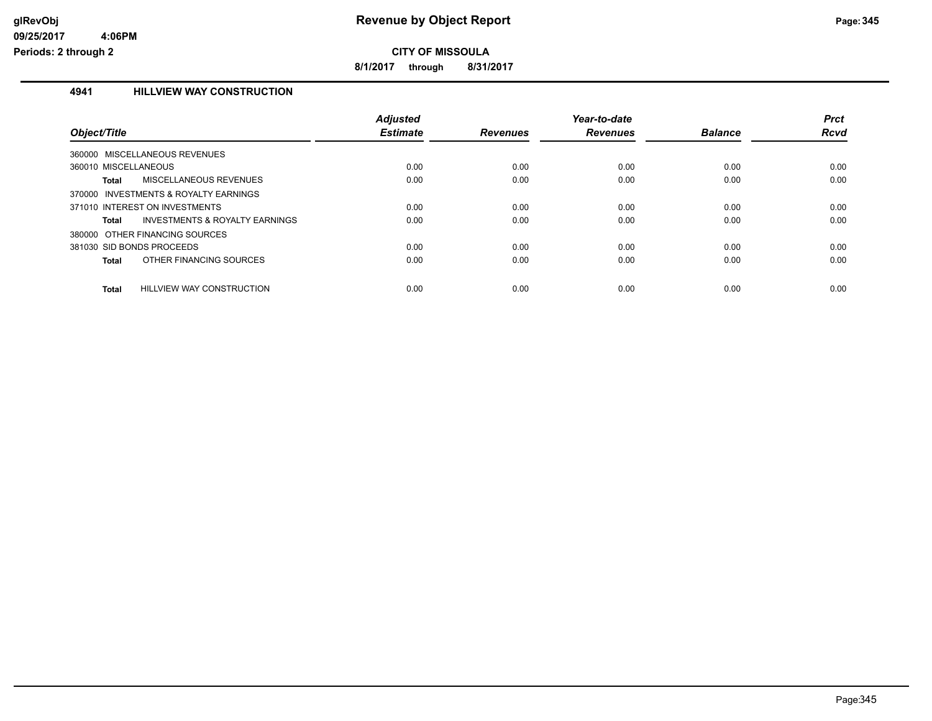**Periods: 2 through 2**

**CITY OF MISSOULA**

**8/1/2017 through 8/31/2017**

#### **4941 HILLVIEW WAY CONSTRUCTION**

| Object/Title                              | <b>Adjusted</b><br><b>Estimate</b> | <b>Revenues</b> | Year-to-date<br><b>Revenues</b> | <b>Balance</b> | <b>Prct</b><br><b>Rcvd</b> |
|-------------------------------------------|------------------------------------|-----------------|---------------------------------|----------------|----------------------------|
| 360000 MISCELLANEOUS REVENUES             |                                    |                 |                                 |                |                            |
| 360010 MISCELLANEOUS                      | 0.00                               | 0.00            | 0.00                            | 0.00           | 0.00                       |
| MISCELLANEOUS REVENUES<br>Total           | 0.00                               | 0.00            | 0.00                            | 0.00           | 0.00                       |
| 370000 INVESTMENTS & ROYALTY EARNINGS     |                                    |                 |                                 |                |                            |
| 371010 INTEREST ON INVESTMENTS            | 0.00                               | 0.00            | 0.00                            | 0.00           | 0.00                       |
| INVESTMENTS & ROYALTY EARNINGS<br>Total   | 0.00                               | 0.00            | 0.00                            | 0.00           | 0.00                       |
| 380000 OTHER FINANCING SOURCES            |                                    |                 |                                 |                |                            |
| 381030 SID BONDS PROCEEDS                 | 0.00                               | 0.00            | 0.00                            | 0.00           | 0.00                       |
| OTHER FINANCING SOURCES<br>Total          | 0.00                               | 0.00            | 0.00                            | 0.00           | 0.00                       |
| HILLVIEW WAY CONSTRUCTION<br><b>Total</b> | 0.00                               | 0.00            | 0.00                            | 0.00           | 0.00                       |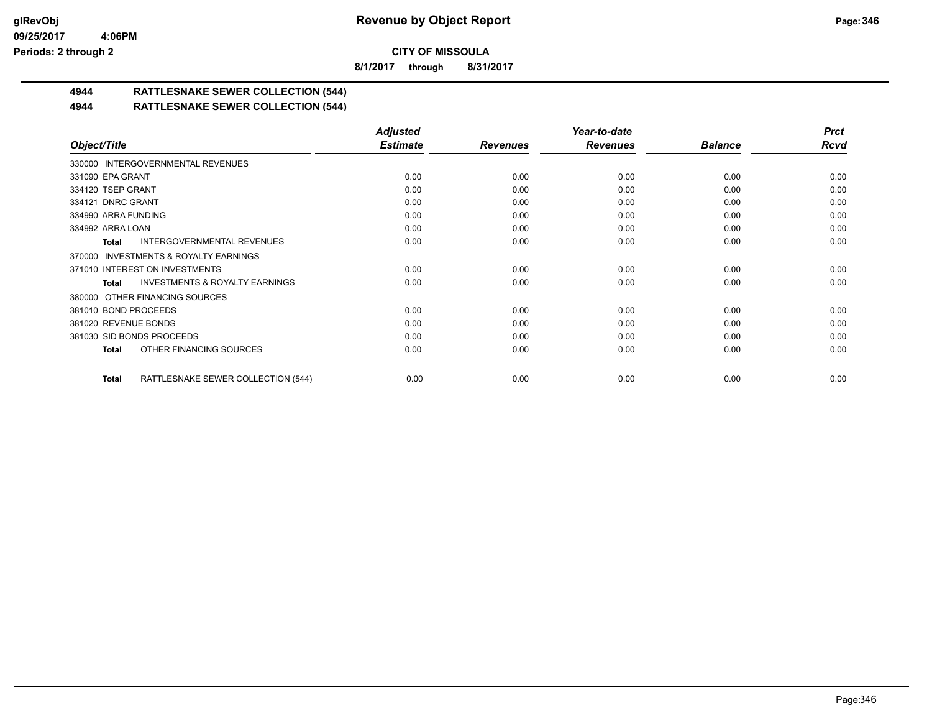**8/1/2017 through 8/31/2017**

# **4944 RATTLESNAKE SEWER COLLECTION (544)**

### **4944 RATTLESNAKE SEWER COLLECTION (544)**

|                                                    | <b>Adjusted</b> |                 | Year-to-date    |                | <b>Prct</b> |
|----------------------------------------------------|-----------------|-----------------|-----------------|----------------|-------------|
| Object/Title                                       | <b>Estimate</b> | <b>Revenues</b> | <b>Revenues</b> | <b>Balance</b> | <b>Rcvd</b> |
| 330000 INTERGOVERNMENTAL REVENUES                  |                 |                 |                 |                |             |
| 331090 EPA GRANT                                   | 0.00            | 0.00            | 0.00            | 0.00           | 0.00        |
| 334120 TSEP GRANT                                  | 0.00            | 0.00            | 0.00            | 0.00           | 0.00        |
| 334121 DNRC GRANT                                  | 0.00            | 0.00            | 0.00            | 0.00           | 0.00        |
| 334990 ARRA FUNDING                                | 0.00            | 0.00            | 0.00            | 0.00           | 0.00        |
| 334992 ARRA LOAN                                   | 0.00            | 0.00            | 0.00            | 0.00           | 0.00        |
| <b>INTERGOVERNMENTAL REVENUES</b><br>Total         | 0.00            | 0.00            | 0.00            | 0.00           | 0.00        |
| 370000 INVESTMENTS & ROYALTY EARNINGS              |                 |                 |                 |                |             |
| 371010 INTEREST ON INVESTMENTS                     | 0.00            | 0.00            | 0.00            | 0.00           | 0.00        |
| <b>INVESTMENTS &amp; ROYALTY EARNINGS</b><br>Total | 0.00            | 0.00            | 0.00            | 0.00           | 0.00        |
| 380000 OTHER FINANCING SOURCES                     |                 |                 |                 |                |             |
| 381010 BOND PROCEEDS                               | 0.00            | 0.00            | 0.00            | 0.00           | 0.00        |
| 381020 REVENUE BONDS                               | 0.00            | 0.00            | 0.00            | 0.00           | 0.00        |
| 381030 SID BONDS PROCEEDS                          | 0.00            | 0.00            | 0.00            | 0.00           | 0.00        |
| OTHER FINANCING SOURCES<br>Total                   | 0.00            | 0.00            | 0.00            | 0.00           | 0.00        |
| RATTLESNAKE SEWER COLLECTION (544)<br>Total        | 0.00            | 0.00            | 0.00            | 0.00           | 0.00        |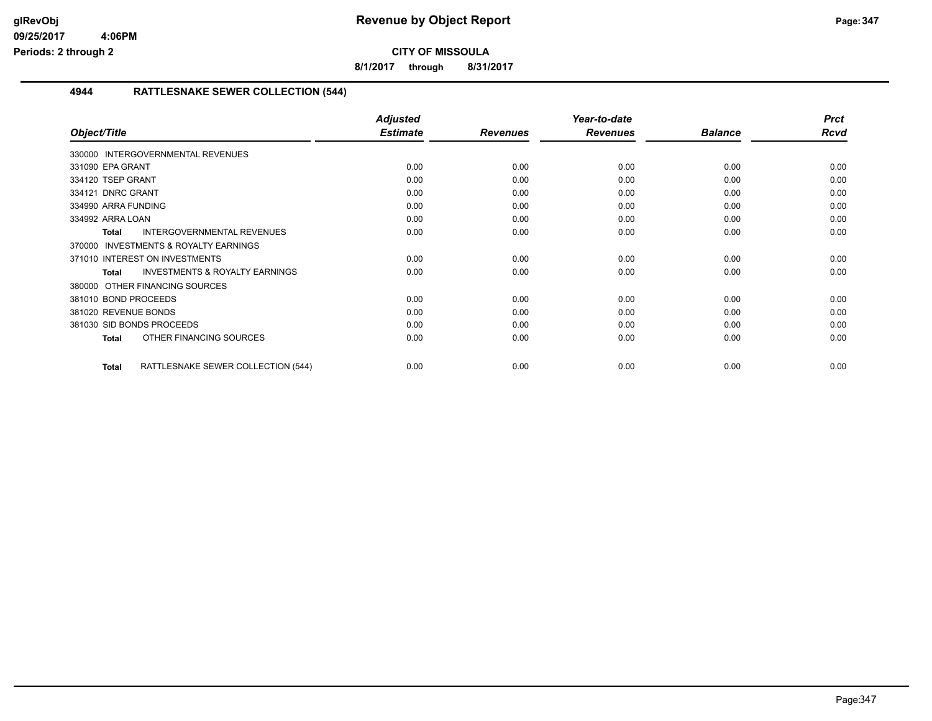**8/1/2017 through 8/31/2017**

#### **4944 RATTLESNAKE SEWER COLLECTION (544)**

|                                                           | <b>Adjusted</b> |                 | Year-to-date    |                | <b>Prct</b> |
|-----------------------------------------------------------|-----------------|-----------------|-----------------|----------------|-------------|
| Object/Title                                              | <b>Estimate</b> | <b>Revenues</b> | <b>Revenues</b> | <b>Balance</b> | <b>Rcvd</b> |
| 330000 INTERGOVERNMENTAL REVENUES                         |                 |                 |                 |                |             |
| 331090 EPA GRANT                                          | 0.00            | 0.00            | 0.00            | 0.00           | 0.00        |
| 334120 TSEP GRANT                                         | 0.00            | 0.00            | 0.00            | 0.00           | 0.00        |
| 334121 DNRC GRANT                                         | 0.00            | 0.00            | 0.00            | 0.00           | 0.00        |
| 334990 ARRA FUNDING                                       | 0.00            | 0.00            | 0.00            | 0.00           | 0.00        |
| 334992 ARRA LOAN                                          | 0.00            | 0.00            | 0.00            | 0.00           | 0.00        |
| <b>INTERGOVERNMENTAL REVENUES</b><br><b>Total</b>         | 0.00            | 0.00            | 0.00            | 0.00           | 0.00        |
| INVESTMENTS & ROYALTY EARNINGS<br>370000                  |                 |                 |                 |                |             |
| 371010 INTEREST ON INVESTMENTS                            | 0.00            | 0.00            | 0.00            | 0.00           | 0.00        |
| <b>INVESTMENTS &amp; ROYALTY EARNINGS</b><br><b>Total</b> | 0.00            | 0.00            | 0.00            | 0.00           | 0.00        |
| 380000 OTHER FINANCING SOURCES                            |                 |                 |                 |                |             |
| 381010 BOND PROCEEDS                                      | 0.00            | 0.00            | 0.00            | 0.00           | 0.00        |
| 381020 REVENUE BONDS                                      | 0.00            | 0.00            | 0.00            | 0.00           | 0.00        |
| 381030 SID BONDS PROCEEDS                                 | 0.00            | 0.00            | 0.00            | 0.00           | 0.00        |
| OTHER FINANCING SOURCES<br><b>Total</b>                   | 0.00            | 0.00            | 0.00            | 0.00           | 0.00        |
| RATTLESNAKE SEWER COLLECTION (544)<br><b>Total</b>        | 0.00            | 0.00            | 0.00            | 0.00           | 0.00        |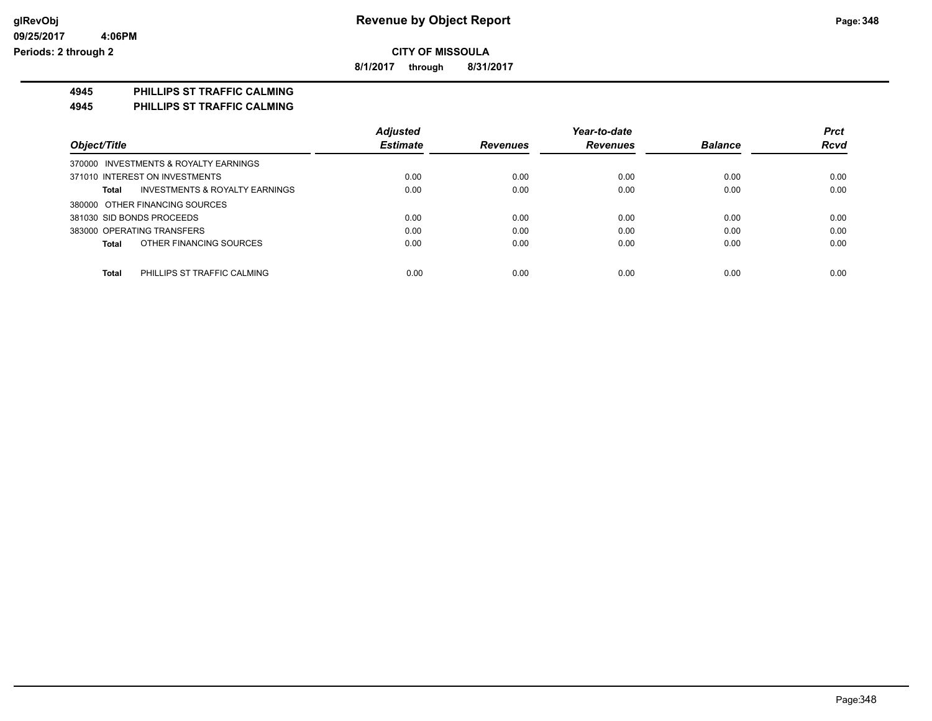**8/1/2017 through 8/31/2017**

#### **4945 PHILLIPS ST TRAFFIC CALMING**

**4945 PHILLIPS ST TRAFFIC CALMING**

|                                             |                                           | <b>Adjusted</b> |                 | Year-to-date    |                | <b>Prct</b> |
|---------------------------------------------|-------------------------------------------|-----------------|-----------------|-----------------|----------------|-------------|
| Object/Title                                |                                           | <b>Estimate</b> | <b>Revenues</b> | <b>Revenues</b> | <b>Balance</b> | <b>Rcvd</b> |
| 370000 INVESTMENTS & ROYALTY EARNINGS       |                                           |                 |                 |                 |                |             |
| 371010 INTEREST ON INVESTMENTS              |                                           | 0.00            | 0.00            | 0.00            | 0.00           | 0.00        |
| Total                                       | <b>INVESTMENTS &amp; ROYALTY EARNINGS</b> | 0.00            | 0.00            | 0.00            | 0.00           | 0.00        |
| 380000 OTHER FINANCING SOURCES              |                                           |                 |                 |                 |                |             |
| 381030 SID BONDS PROCEEDS                   |                                           | 0.00            | 0.00            | 0.00            | 0.00           | 0.00        |
| 383000 OPERATING TRANSFERS                  |                                           | 0.00            | 0.00            | 0.00            | 0.00           | 0.00        |
| OTHER FINANCING SOURCES<br>Total            |                                           | 0.00            | 0.00            | 0.00            | 0.00           | 0.00        |
| <b>Total</b><br>PHILLIPS ST TRAFFIC CALMING |                                           | 0.00            | 0.00            | 0.00            | 0.00           | 0.00        |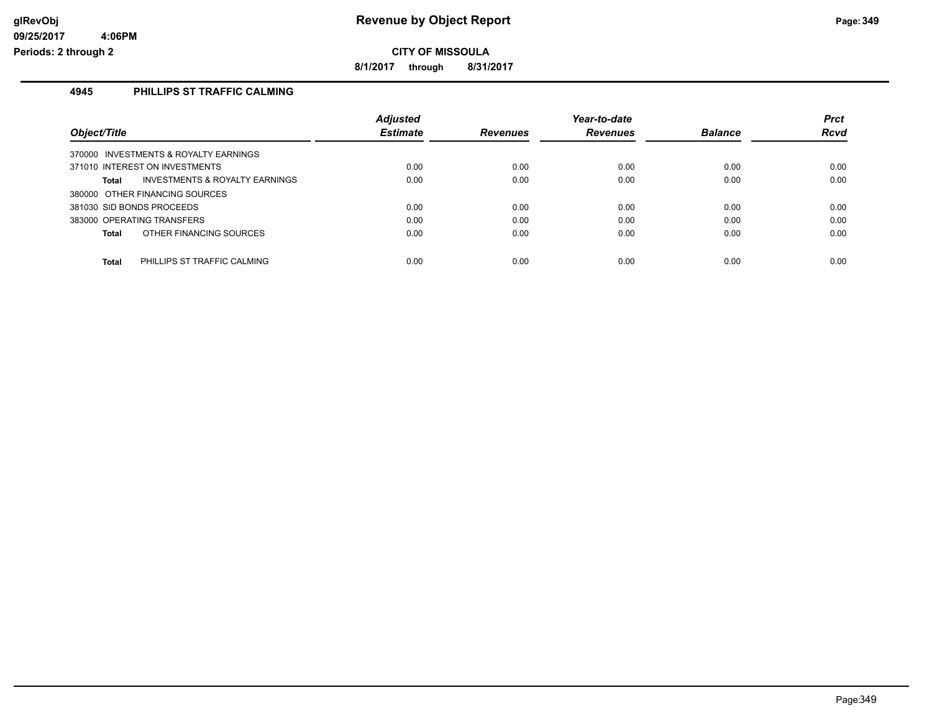**Periods: 2 through 2**

**CITY OF MISSOULA**

**8/1/2017 through 8/31/2017**

#### **4945 PHILLIPS ST TRAFFIC CALMING**

|                                         | <b>Adjusted</b> |                 | Year-to-date    |                | <b>Prct</b> |
|-----------------------------------------|-----------------|-----------------|-----------------|----------------|-------------|
| Object/Title                            | <b>Estimate</b> | <b>Revenues</b> | <b>Revenues</b> | <b>Balance</b> | <b>Rcvd</b> |
| 370000 INVESTMENTS & ROYALTY EARNINGS   |                 |                 |                 |                |             |
| 371010 INTEREST ON INVESTMENTS          | 0.00            | 0.00            | 0.00            | 0.00           | 0.00        |
| INVESTMENTS & ROYALTY EARNINGS<br>Total | 0.00            | 0.00            | 0.00            | 0.00           | 0.00        |
| 380000 OTHER FINANCING SOURCES          |                 |                 |                 |                |             |
| 381030 SID BONDS PROCEEDS               | 0.00            | 0.00            | 0.00            | 0.00           | 0.00        |
| 383000 OPERATING TRANSFERS              | 0.00            | 0.00            | 0.00            | 0.00           | 0.00        |
| OTHER FINANCING SOURCES<br>Total        | 0.00            | 0.00            | 0.00            | 0.00           | 0.00        |
|                                         |                 |                 |                 |                |             |
| Total<br>PHILLIPS ST TRAFFIC CALMING    | 0.00            | 0.00            | 0.00            | 0.00           | 0.00        |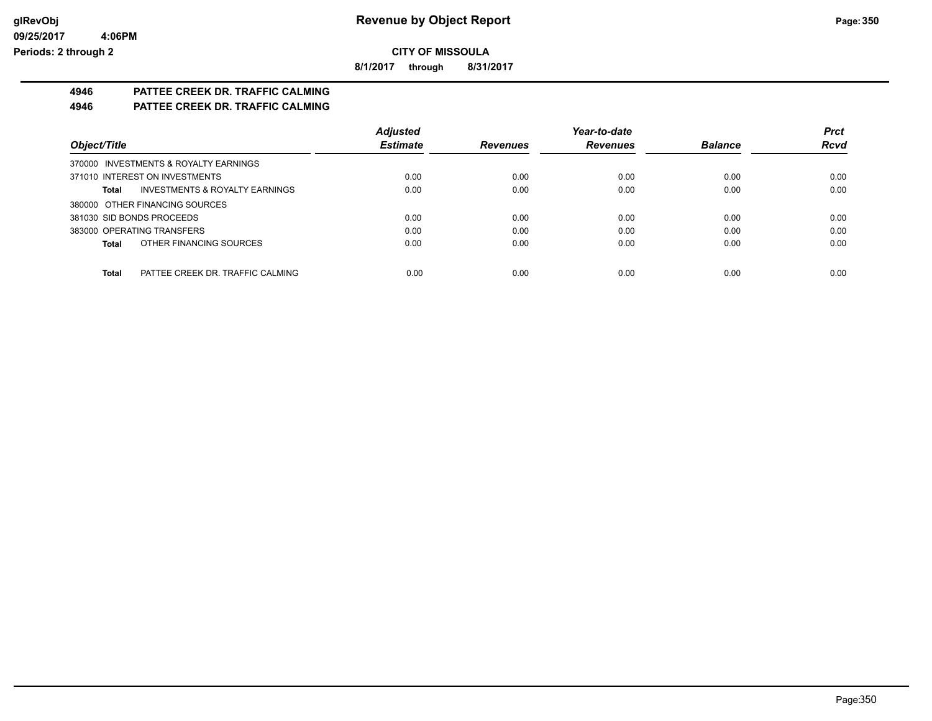**8/1/2017 through 8/31/2017**

# **4946 PATTEE CREEK DR. TRAFFIC CALMING**

# **4946 PATTEE CREEK DR. TRAFFIC CALMING**

|                                           | <b>Adjusted</b> |                 | Year-to-date    |                | <b>Prct</b> |
|-------------------------------------------|-----------------|-----------------|-----------------|----------------|-------------|
| Object/Title                              | <b>Estimate</b> | <b>Revenues</b> | <b>Revenues</b> | <b>Balance</b> | <b>Rcvd</b> |
| 370000 INVESTMENTS & ROYALTY EARNINGS     |                 |                 |                 |                |             |
| 371010 INTEREST ON INVESTMENTS            | 0.00            | 0.00            | 0.00            | 0.00           | 0.00        |
| INVESTMENTS & ROYALTY EARNINGS<br>Total   | 0.00            | 0.00            | 0.00            | 0.00           | 0.00        |
| 380000 OTHER FINANCING SOURCES            |                 |                 |                 |                |             |
| 381030 SID BONDS PROCEEDS                 | 0.00            | 0.00            | 0.00            | 0.00           | 0.00        |
| 383000 OPERATING TRANSFERS                | 0.00            | 0.00            | 0.00            | 0.00           | 0.00        |
| OTHER FINANCING SOURCES<br>Total          | 0.00            | 0.00            | 0.00            | 0.00           | 0.00        |
|                                           |                 |                 |                 |                |             |
| Total<br>PATTEE CREEK DR. TRAFFIC CALMING | 0.00            | 0.00            | 0.00            | 0.00           | 0.00        |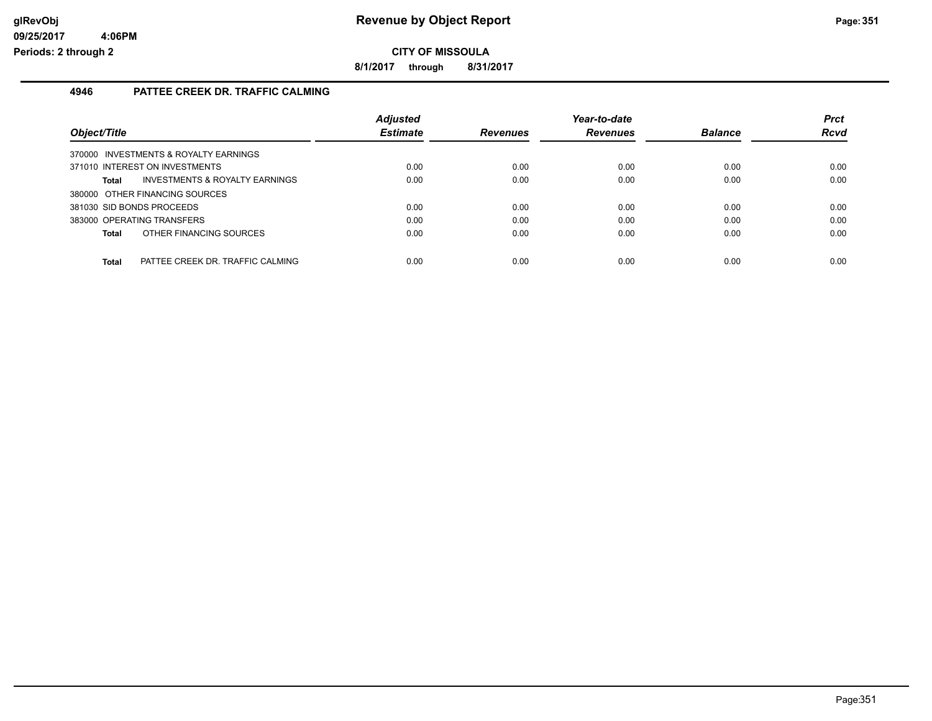**8/1/2017 through 8/31/2017**

#### **4946 PATTEE CREEK DR. TRAFFIC CALMING**

|                                                  | <b>Adiusted</b> |                 | Year-to-date    |                | <b>Prct</b> |
|--------------------------------------------------|-----------------|-----------------|-----------------|----------------|-------------|
| Object/Title                                     | <b>Estimate</b> | <b>Revenues</b> | <b>Revenues</b> | <b>Balance</b> | <b>Rcvd</b> |
| 370000 INVESTMENTS & ROYALTY EARNINGS            |                 |                 |                 |                |             |
| 371010 INTEREST ON INVESTMENTS                   | 0.00            | 0.00            | 0.00            | 0.00           | 0.00        |
| INVESTMENTS & ROYALTY EARNINGS<br>Total          | 0.00            | 0.00            | 0.00            | 0.00           | 0.00        |
| 380000 OTHER FINANCING SOURCES                   |                 |                 |                 |                |             |
| 381030 SID BONDS PROCEEDS                        | 0.00            | 0.00            | 0.00            | 0.00           | 0.00        |
| 383000 OPERATING TRANSFERS                       | 0.00            | 0.00            | 0.00            | 0.00           | 0.00        |
| OTHER FINANCING SOURCES<br><b>Total</b>          | 0.00            | 0.00            | 0.00            | 0.00           | 0.00        |
|                                                  |                 |                 |                 |                |             |
| <b>Total</b><br>PATTEE CREEK DR. TRAFFIC CALMING | 0.00            | 0.00            | 0.00            | 0.00           | 0.00        |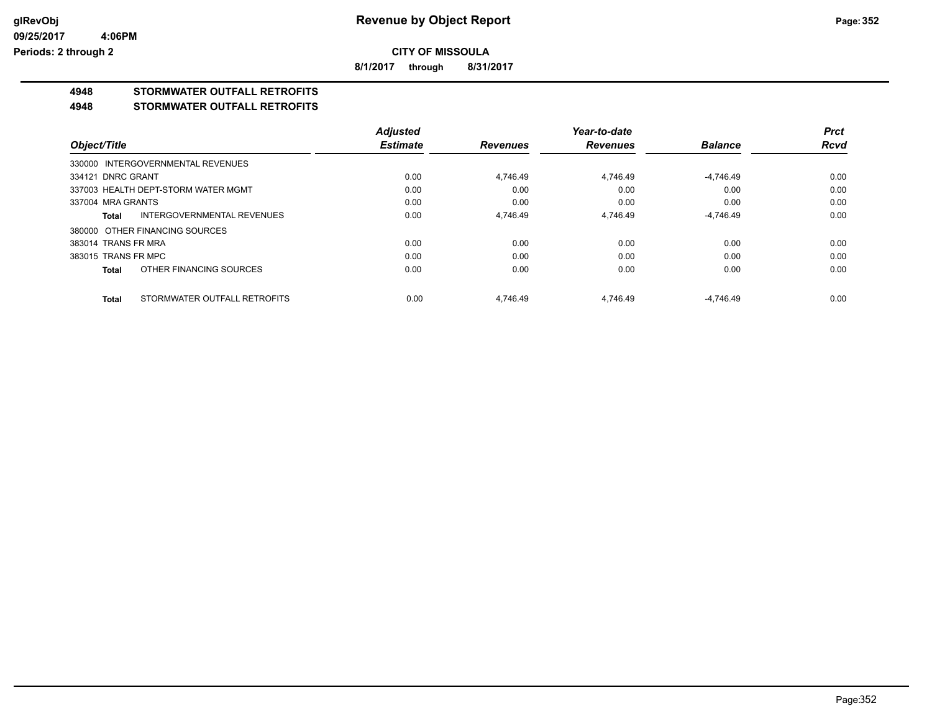**8/1/2017 through 8/31/2017**

## **4948 STORMWATER OUTFALL RETROFITS**

#### **4948 STORMWATER OUTFALL RETROFITS**

|                     |                                     | <b>Adjusted</b> |                 | Year-to-date    |                | <b>Prct</b> |
|---------------------|-------------------------------------|-----------------|-----------------|-----------------|----------------|-------------|
| Object/Title        |                                     | <b>Estimate</b> | <b>Revenues</b> | <b>Revenues</b> | <b>Balance</b> | <b>Rcvd</b> |
|                     | 330000 INTERGOVERNMENTAL REVENUES   |                 |                 |                 |                |             |
| 334121 DNRC GRANT   |                                     | 0.00            | 4,746.49        | 4,746.49        | $-4.746.49$    | 0.00        |
|                     | 337003 HEALTH DEPT-STORM WATER MGMT | 0.00            | 0.00            | 0.00            | 0.00           | 0.00        |
| 337004 MRA GRANTS   |                                     | 0.00            | 0.00            | 0.00            | 0.00           | 0.00        |
| Total               | <b>INTERGOVERNMENTAL REVENUES</b>   | 0.00            | 4,746.49        | 4,746.49        | $-4,746.49$    | 0.00        |
|                     | 380000 OTHER FINANCING SOURCES      |                 |                 |                 |                |             |
| 383014 TRANS FR MRA |                                     | 0.00            | 0.00            | 0.00            | 0.00           | 0.00        |
| 383015 TRANS FR MPC |                                     | 0.00            | 0.00            | 0.00            | 0.00           | 0.00        |
| <b>Total</b>        | OTHER FINANCING SOURCES             | 0.00            | 0.00            | 0.00            | 0.00           | 0.00        |
| <b>Total</b>        | STORMWATER OUTFALL RETROFITS        | 0.00            | 4.746.49        | 4.746.49        | $-4.746.49$    | 0.00        |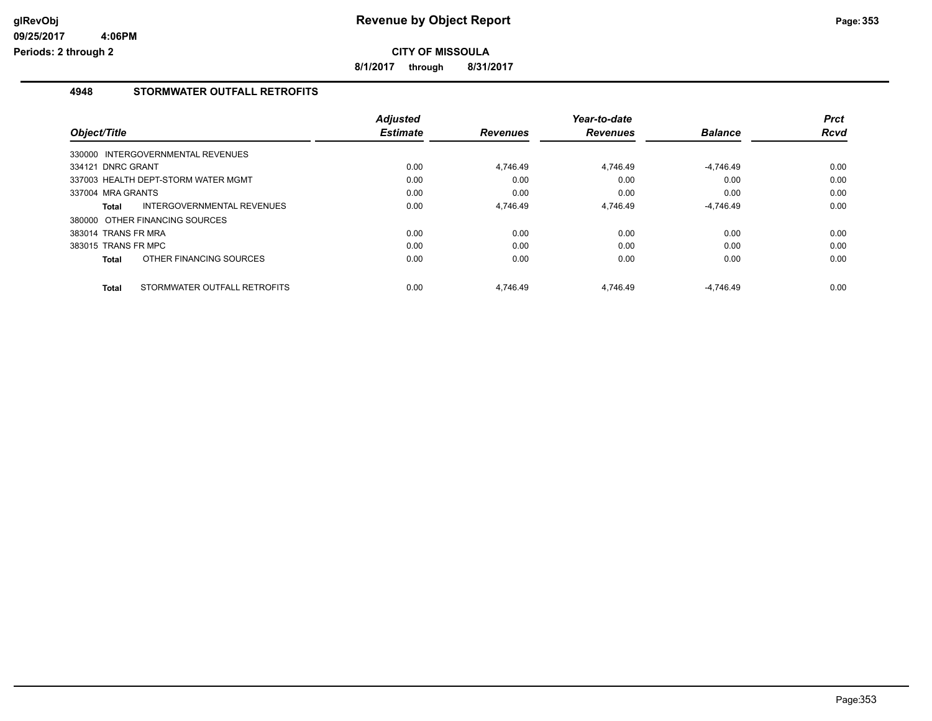**8/1/2017 through 8/31/2017**

#### **4948 STORMWATER OUTFALL RETROFITS**

| Object/Title        |                                     | <b>Adjusted</b><br><b>Estimate</b> | <b>Revenues</b> | Year-to-date<br><b>Revenues</b> | <b>Balance</b> | <b>Prct</b><br><b>Rcvd</b> |
|---------------------|-------------------------------------|------------------------------------|-----------------|---------------------------------|----------------|----------------------------|
|                     | 330000 INTERGOVERNMENTAL REVENUES   |                                    |                 |                                 |                |                            |
| 334121 DNRC GRANT   |                                     | 0.00                               | 4,746.49        | 4,746.49                        | $-4,746.49$    | 0.00                       |
|                     | 337003 HEALTH DEPT-STORM WATER MGMT | 0.00                               | 0.00            | 0.00                            | 0.00           | 0.00                       |
| 337004 MRA GRANTS   |                                     | 0.00                               | 0.00            | 0.00                            | 0.00           | 0.00                       |
| <b>Total</b>        | <b>INTERGOVERNMENTAL REVENUES</b>   | 0.00                               | 4,746.49        | 4,746.49                        | $-4,746.49$    | 0.00                       |
|                     | 380000 OTHER FINANCING SOURCES      |                                    |                 |                                 |                |                            |
| 383014 TRANS FR MRA |                                     | 0.00                               | 0.00            | 0.00                            | 0.00           | 0.00                       |
| 383015 TRANS FR MPC |                                     | 0.00                               | 0.00            | 0.00                            | 0.00           | 0.00                       |
| <b>Total</b>        | OTHER FINANCING SOURCES             | 0.00                               | 0.00            | 0.00                            | 0.00           | 0.00                       |
| <b>Total</b>        | STORMWATER OUTFALL RETROFITS        | 0.00                               | 4.746.49        | 4.746.49                        | $-4.746.49$    | 0.00                       |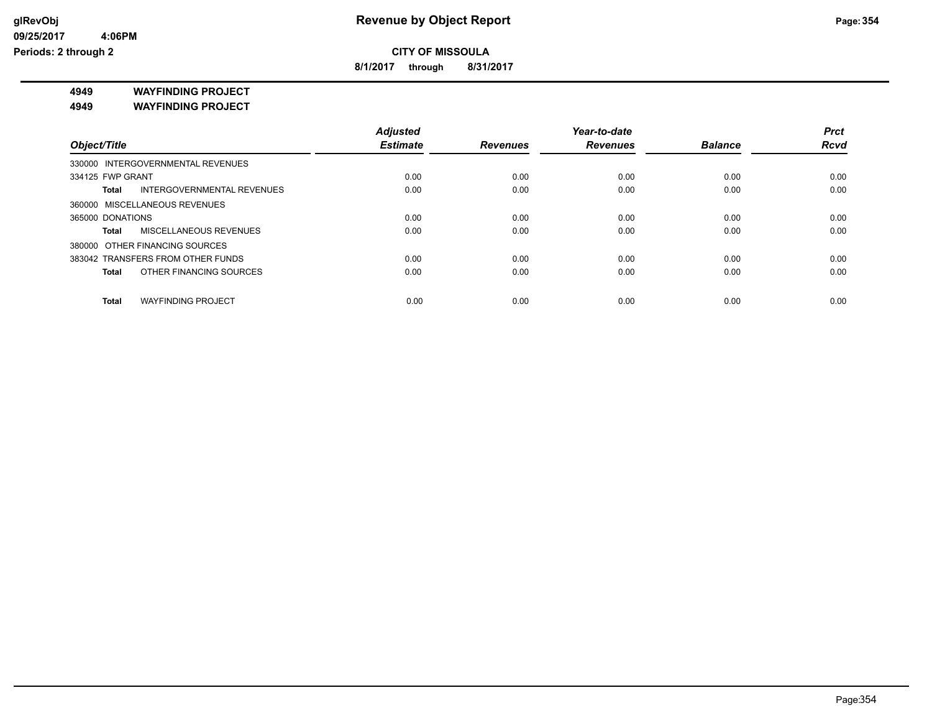**8/1/2017 through 8/31/2017**

**4949 WAYFINDING PROJECT**

**4949 WAYFINDING PROJECT**

|                                            | <b>Adjusted</b> |                 | Year-to-date    |                | <b>Prct</b> |
|--------------------------------------------|-----------------|-----------------|-----------------|----------------|-------------|
| Object/Title                               | <b>Estimate</b> | <b>Revenues</b> | <b>Revenues</b> | <b>Balance</b> | <b>Rcvd</b> |
| 330000 INTERGOVERNMENTAL REVENUES          |                 |                 |                 |                |             |
| 334125 FWP GRANT                           | 0.00            | 0.00            | 0.00            | 0.00           | 0.00        |
| <b>INTERGOVERNMENTAL REVENUES</b><br>Total | 0.00            | 0.00            | 0.00            | 0.00           | 0.00        |
| 360000 MISCELLANEOUS REVENUES              |                 |                 |                 |                |             |
| 365000 DONATIONS                           | 0.00            | 0.00            | 0.00            | 0.00           | 0.00        |
| MISCELLANEOUS REVENUES<br>Total            | 0.00            | 0.00            | 0.00            | 0.00           | 0.00        |
| 380000 OTHER FINANCING SOURCES             |                 |                 |                 |                |             |
| 383042 TRANSFERS FROM OTHER FUNDS          | 0.00            | 0.00            | 0.00            | 0.00           | 0.00        |
| OTHER FINANCING SOURCES<br>Total           | 0.00            | 0.00            | 0.00            | 0.00           | 0.00        |
|                                            |                 |                 |                 |                |             |
| <b>WAYFINDING PROJECT</b><br>Total         | 0.00            | 0.00            | 0.00            | 0.00           | 0.00        |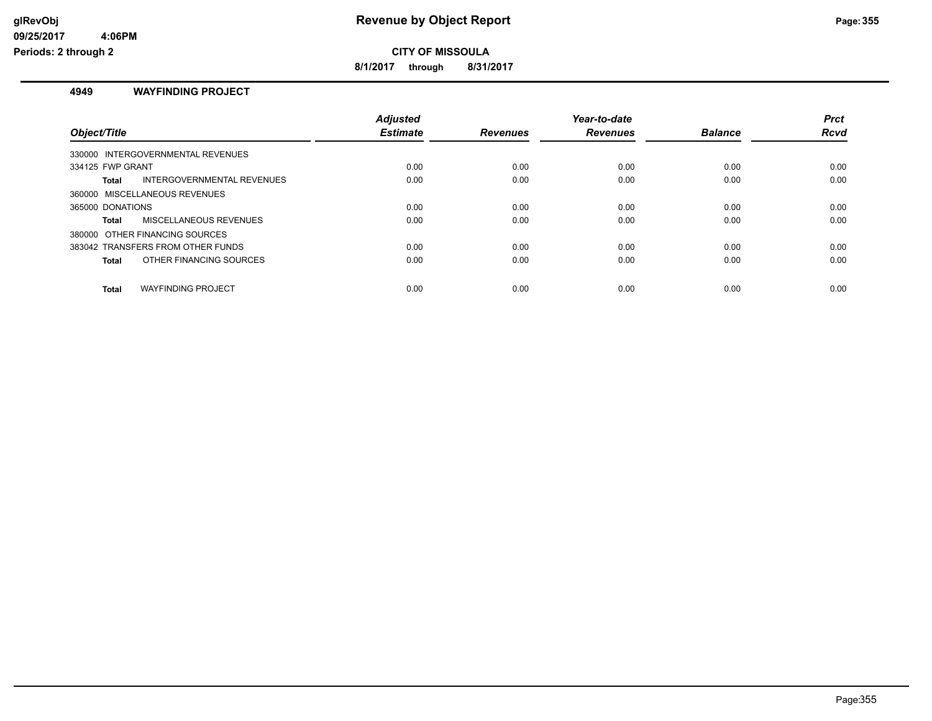**Periods: 2 through 2**

**CITY OF MISSOULA**

**8/1/2017 through 8/31/2017**

#### **4949 WAYFINDING PROJECT**

| Object/Title                              | <b>Adjusted</b><br><b>Estimate</b> | <b>Revenues</b> | Year-to-date<br><b>Revenues</b> | <b>Balance</b> | <b>Prct</b><br><b>Rcvd</b> |
|-------------------------------------------|------------------------------------|-----------------|---------------------------------|----------------|----------------------------|
| 330000 INTERGOVERNMENTAL REVENUES         |                                    |                 |                                 |                |                            |
| 334125 FWP GRANT                          | 0.00                               | 0.00            | 0.00                            | 0.00           | 0.00                       |
| INTERGOVERNMENTAL REVENUES<br>Total       | 0.00                               | 0.00            | 0.00                            | 0.00           | 0.00                       |
| 360000 MISCELLANEOUS REVENUES             |                                    |                 |                                 |                |                            |
| 365000 DONATIONS                          | 0.00                               | 0.00            | 0.00                            | 0.00           | 0.00                       |
| MISCELLANEOUS REVENUES<br>Total           | 0.00                               | 0.00            | 0.00                            | 0.00           | 0.00                       |
| 380000 OTHER FINANCING SOURCES            |                                    |                 |                                 |                |                            |
| 383042 TRANSFERS FROM OTHER FUNDS         | 0.00                               | 0.00            | 0.00                            | 0.00           | 0.00                       |
| OTHER FINANCING SOURCES<br><b>Total</b>   | 0.00                               | 0.00            | 0.00                            | 0.00           | 0.00                       |
| <b>WAYFINDING PROJECT</b><br><b>Total</b> | 0.00                               | 0.00            | 0.00                            | 0.00           | 0.00                       |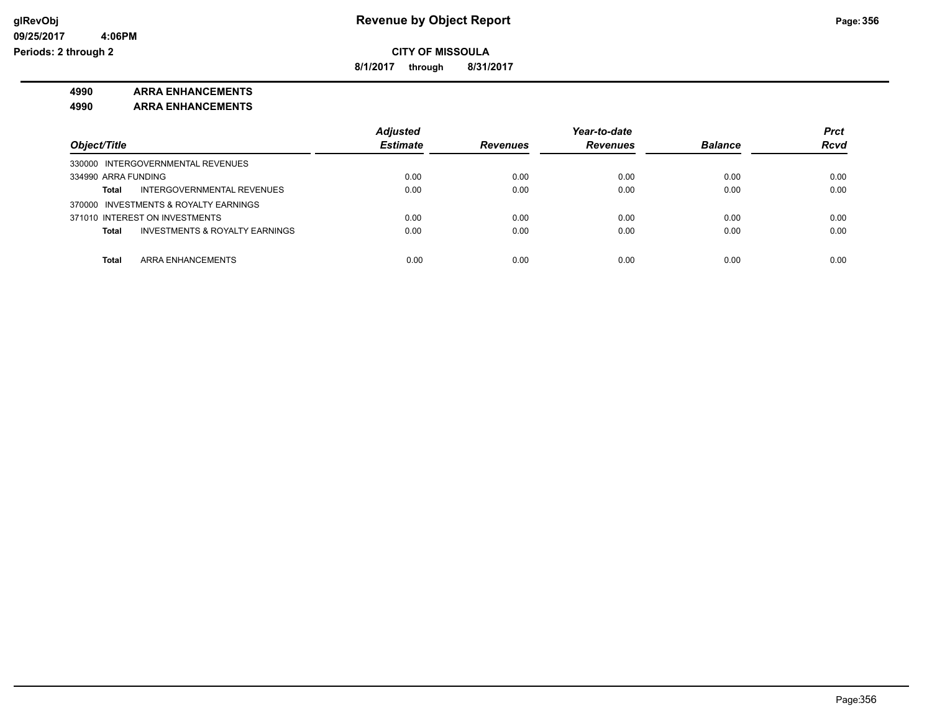**8/1/2017 through 8/31/2017**

#### **4990 ARRA ENHANCEMENTS**

**4990 ARRA ENHANCEMENTS**

|                                                           | <b>Adjusted</b> |                 | Year-to-date    |                | <b>Prct</b> |
|-----------------------------------------------------------|-----------------|-----------------|-----------------|----------------|-------------|
| Object/Title                                              | <b>Estimate</b> | <b>Revenues</b> | <b>Revenues</b> | <b>Balance</b> | <b>Rcvd</b> |
| 330000 INTERGOVERNMENTAL REVENUES                         |                 |                 |                 |                |             |
| 334990 ARRA FUNDING                                       | 0.00            | 0.00            | 0.00            | 0.00           | 0.00        |
| INTERGOVERNMENTAL REVENUES<br>Total                       | 0.00            | 0.00            | 0.00            | 0.00           | 0.00        |
| 370000 INVESTMENTS & ROYALTY EARNINGS                     |                 |                 |                 |                |             |
| 371010 INTEREST ON INVESTMENTS                            | 0.00            | 0.00            | 0.00            | 0.00           | 0.00        |
| <b>INVESTMENTS &amp; ROYALTY EARNINGS</b><br><b>Total</b> | 0.00            | 0.00            | 0.00            | 0.00           | 0.00        |
|                                                           |                 |                 |                 |                |             |
| ARRA ENHANCEMENTS<br><b>Total</b>                         | 0.00            | 0.00            | 0.00            | 0.00           | 0.00        |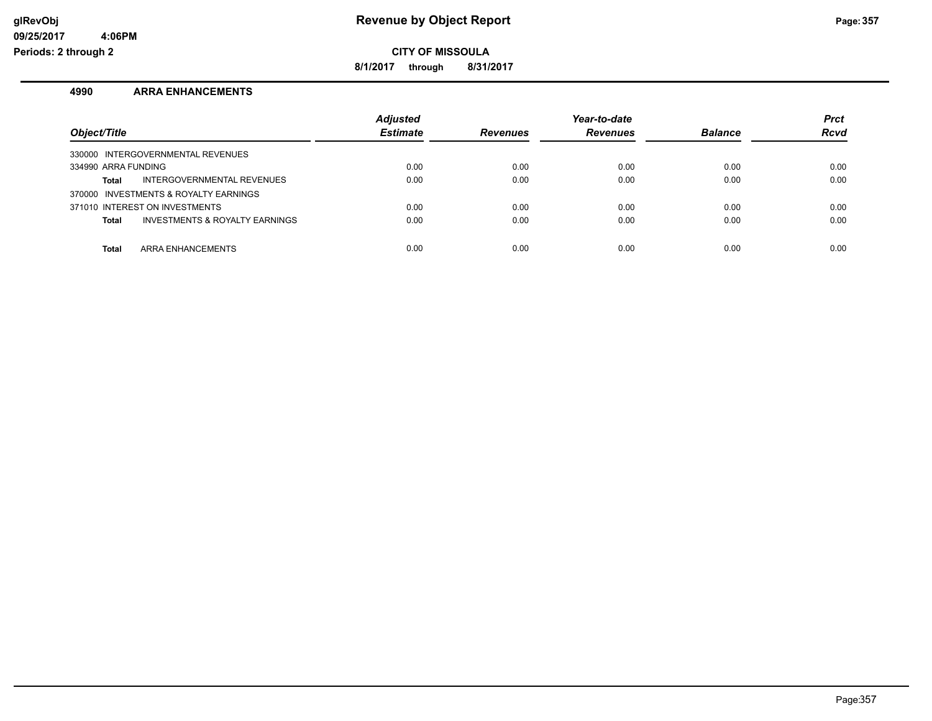**Periods: 2 through 2**

**CITY OF MISSOULA**

**8/1/2017 through 8/31/2017**

#### **4990 ARRA ENHANCEMENTS**

| Object/Title                                              | <b>Adjusted</b><br><b>Estimate</b> | <b>Revenues</b> | Year-to-date<br><b>Revenues</b> | <b>Balance</b> | <b>Prct</b><br><b>Rcvd</b> |
|-----------------------------------------------------------|------------------------------------|-----------------|---------------------------------|----------------|----------------------------|
| 330000 INTERGOVERNMENTAL REVENUES                         |                                    |                 |                                 |                |                            |
| 334990 ARRA FUNDING                                       | 0.00                               | 0.00            | 0.00                            | 0.00           | 0.00                       |
| INTERGOVERNMENTAL REVENUES<br>Total                       | 0.00                               | 0.00            | 0.00                            | 0.00           | 0.00                       |
| 370000 INVESTMENTS & ROYALTY EARNINGS                     |                                    |                 |                                 |                |                            |
| 371010 INTEREST ON INVESTMENTS                            | 0.00                               | 0.00            | 0.00                            | 0.00           | 0.00                       |
| <b>INVESTMENTS &amp; ROYALTY EARNINGS</b><br><b>Total</b> | 0.00                               | 0.00            | 0.00                            | 0.00           | 0.00                       |
|                                                           |                                    |                 |                                 |                |                            |
| ARRA ENHANCEMENTS<br><b>Total</b>                         | 0.00                               | 0.00            | 0.00                            | 0.00           | 0.00                       |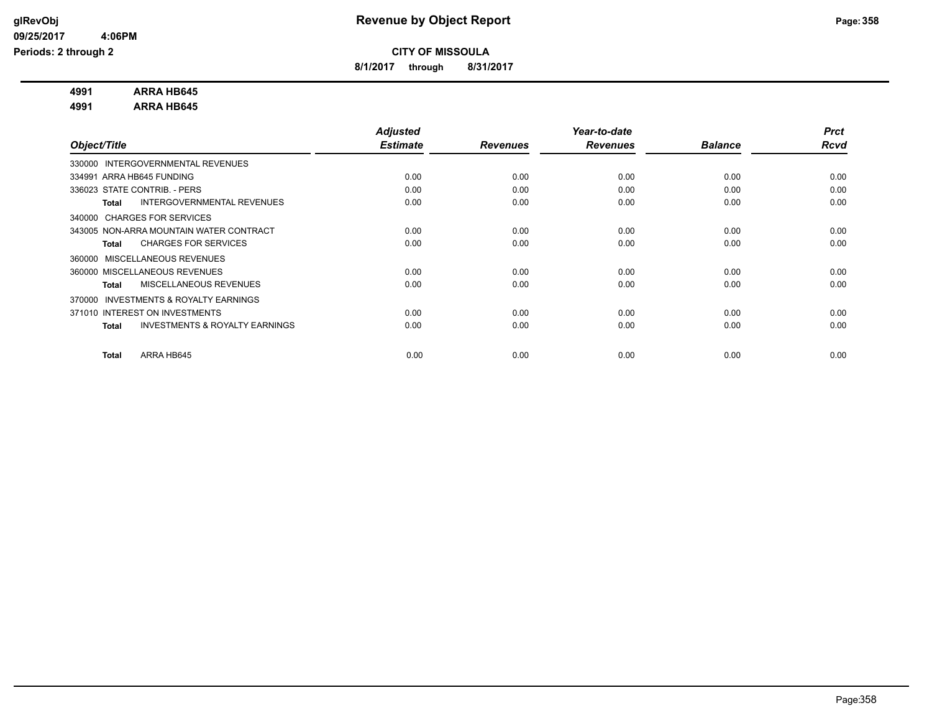**8/1/2017 through 8/31/2017**

#### **4991 ARRA HB645**

**4991 ARRA HB645**

|                                                    | <b>Adjusted</b> |                 | Year-to-date    |                | <b>Prct</b> |
|----------------------------------------------------|-----------------|-----------------|-----------------|----------------|-------------|
| Object/Title                                       | <b>Estimate</b> | <b>Revenues</b> | <b>Revenues</b> | <b>Balance</b> | <b>Rcvd</b> |
| 330000 INTERGOVERNMENTAL REVENUES                  |                 |                 |                 |                |             |
| 334991 ARRA HB645 FUNDING                          | 0.00            | 0.00            | 0.00            | 0.00           | 0.00        |
| 336023 STATE CONTRIB. - PERS                       | 0.00            | 0.00            | 0.00            | 0.00           | 0.00        |
| <b>INTERGOVERNMENTAL REVENUES</b><br>Total         | 0.00            | 0.00            | 0.00            | 0.00           | 0.00        |
| 340000 CHARGES FOR SERVICES                        |                 |                 |                 |                |             |
| 343005 NON-ARRA MOUNTAIN WATER CONTRACT            | 0.00            | 0.00            | 0.00            | 0.00           | 0.00        |
| <b>CHARGES FOR SERVICES</b><br>Total               | 0.00            | 0.00            | 0.00            | 0.00           | 0.00        |
| 360000 MISCELLANEOUS REVENUES                      |                 |                 |                 |                |             |
| 360000 MISCELLANEOUS REVENUES                      | 0.00            | 0.00            | 0.00            | 0.00           | 0.00        |
| MISCELLANEOUS REVENUES<br>Total                    | 0.00            | 0.00            | 0.00            | 0.00           | 0.00        |
| 370000 INVESTMENTS & ROYALTY EARNINGS              |                 |                 |                 |                |             |
| 371010 INTEREST ON INVESTMENTS                     | 0.00            | 0.00            | 0.00            | 0.00           | 0.00        |
| <b>INVESTMENTS &amp; ROYALTY EARNINGS</b><br>Total | 0.00            | 0.00            | 0.00            | 0.00           | 0.00        |
|                                                    |                 |                 |                 |                |             |
| ARRA HB645<br><b>Total</b>                         | 0.00            | 0.00            | 0.00            | 0.00           | 0.00        |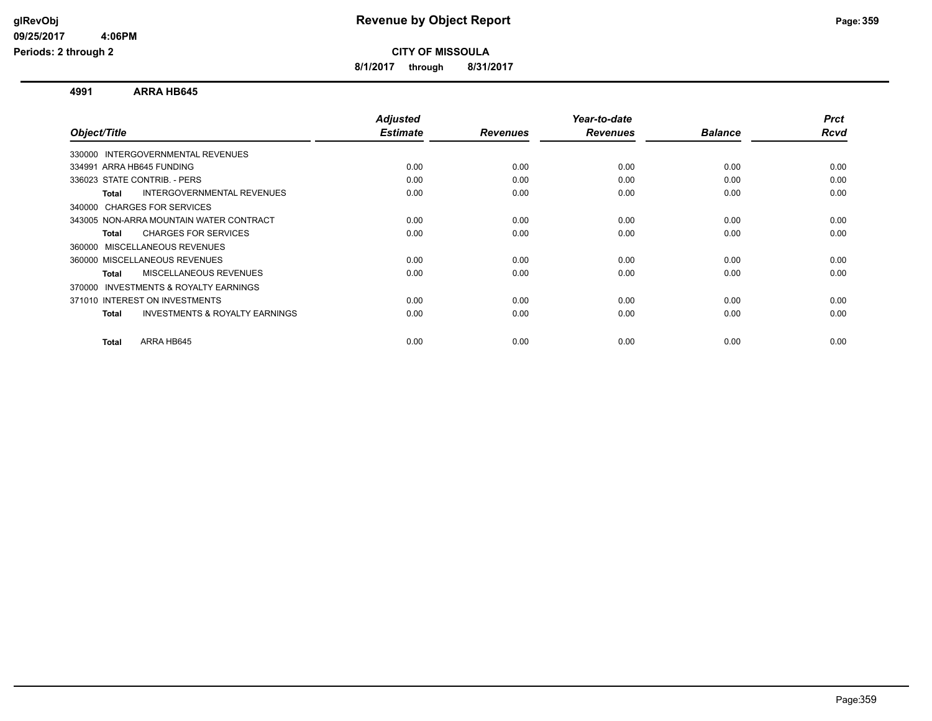**Periods: 2 through 2**

**CITY OF MISSOULA**

**8/1/2017 through 8/31/2017**

**4991 ARRA HB645**

| Object/Title                                       | <b>Adjusted</b><br><b>Estimate</b> | <b>Revenues</b> | Year-to-date<br><b>Revenues</b> | <b>Balance</b> | <b>Prct</b><br><b>Rcvd</b> |
|----------------------------------------------------|------------------------------------|-----------------|---------------------------------|----------------|----------------------------|
|                                                    |                                    |                 |                                 |                |                            |
| 330000 INTERGOVERNMENTAL REVENUES                  |                                    |                 |                                 |                |                            |
| 334991 ARRA HB645 FUNDING                          | 0.00                               | 0.00            | 0.00                            | 0.00           | 0.00                       |
| 336023 STATE CONTRIB. - PERS                       | 0.00                               | 0.00            | 0.00                            | 0.00           | 0.00                       |
| INTERGOVERNMENTAL REVENUES<br>Total                | 0.00                               | 0.00            | 0.00                            | 0.00           | 0.00                       |
| 340000 CHARGES FOR SERVICES                        |                                    |                 |                                 |                |                            |
| 343005 NON-ARRA MOUNTAIN WATER CONTRACT            | 0.00                               | 0.00            | 0.00                            | 0.00           | 0.00                       |
| <b>CHARGES FOR SERVICES</b><br>Total               | 0.00                               | 0.00            | 0.00                            | 0.00           | 0.00                       |
| 360000 MISCELLANEOUS REVENUES                      |                                    |                 |                                 |                |                            |
| 360000 MISCELLANEOUS REVENUES                      | 0.00                               | 0.00            | 0.00                            | 0.00           | 0.00                       |
| MISCELLANEOUS REVENUES<br>Total                    | 0.00                               | 0.00            | 0.00                            | 0.00           | 0.00                       |
| 370000 INVESTMENTS & ROYALTY EARNINGS              |                                    |                 |                                 |                |                            |
| 371010 INTEREST ON INVESTMENTS                     | 0.00                               | 0.00            | 0.00                            | 0.00           | 0.00                       |
| <b>INVESTMENTS &amp; ROYALTY EARNINGS</b><br>Total | 0.00                               | 0.00            | 0.00                            | 0.00           | 0.00                       |
|                                                    |                                    |                 |                                 |                |                            |
| ARRA HB645<br>Total                                | 0.00                               | 0.00            | 0.00                            | 0.00           | 0.00                       |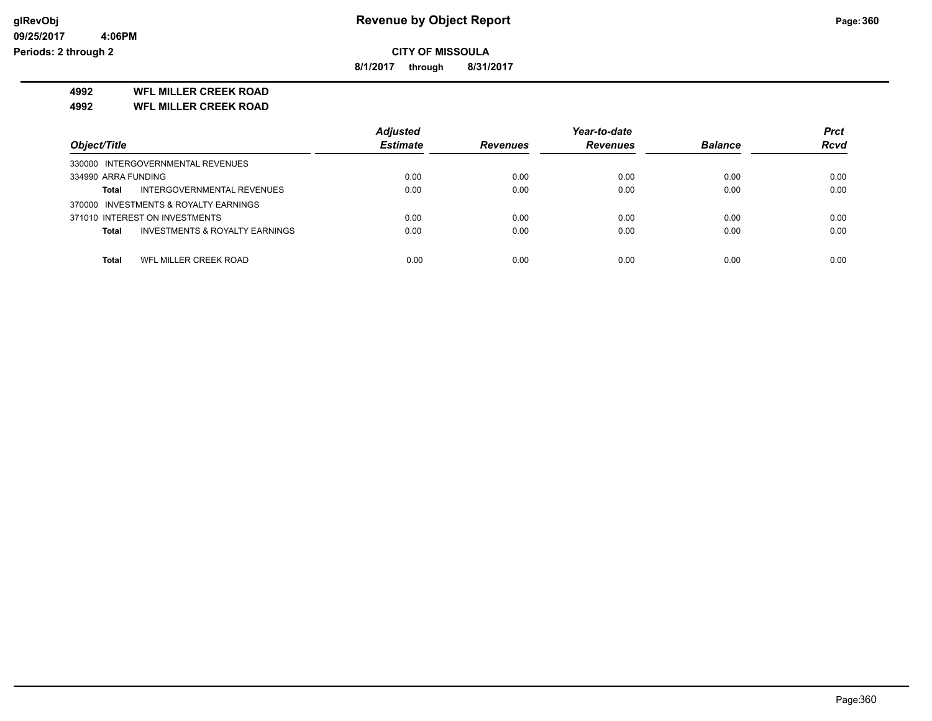**8/1/2017 through 8/31/2017**

#### **4992 WFL MILLER CREEK ROAD**

**4992 WFL MILLER CREEK ROAD**

|                                                           | <b>Adjusted</b> |                 | Year-to-date    |                | <b>Prct</b> |
|-----------------------------------------------------------|-----------------|-----------------|-----------------|----------------|-------------|
| Object/Title                                              | <b>Estimate</b> | <b>Revenues</b> | <b>Revenues</b> | <b>Balance</b> | <b>Rcvd</b> |
| 330000 INTERGOVERNMENTAL REVENUES                         |                 |                 |                 |                |             |
| 334990 ARRA FUNDING                                       | 0.00            | 0.00            | 0.00            | 0.00           | 0.00        |
| INTERGOVERNMENTAL REVENUES<br>Total                       | 0.00            | 0.00            | 0.00            | 0.00           | 0.00        |
| 370000 INVESTMENTS & ROYALTY EARNINGS                     |                 |                 |                 |                |             |
| 371010 INTEREST ON INVESTMENTS                            | 0.00            | 0.00            | 0.00            | 0.00           | 0.00        |
| <b>INVESTMENTS &amp; ROYALTY EARNINGS</b><br><b>Total</b> | 0.00            | 0.00            | 0.00            | 0.00           | 0.00        |
|                                                           |                 |                 |                 |                |             |
| WFL MILLER CREEK ROAD<br><b>Total</b>                     | 0.00            | 0.00            | 0.00            | 0.00           | 0.00        |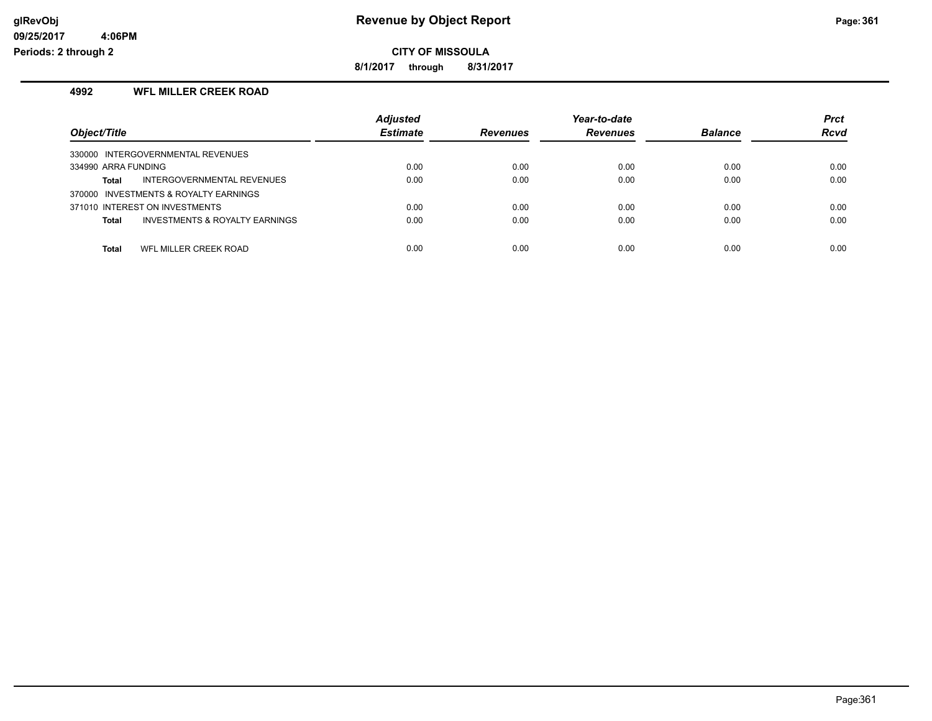**8/1/2017 through 8/31/2017**

### **4992 WFL MILLER CREEK ROAD**

| Object/Title                                              | <b>Adjusted</b><br><b>Estimate</b> | <b>Revenues</b> | Year-to-date<br><b>Revenues</b> | <b>Balance</b> | <b>Prct</b><br><b>Rcvd</b> |
|-----------------------------------------------------------|------------------------------------|-----------------|---------------------------------|----------------|----------------------------|
| 330000 INTERGOVERNMENTAL REVENUES                         |                                    |                 |                                 |                |                            |
| 334990 ARRA FUNDING                                       | 0.00                               | 0.00            | 0.00                            | 0.00           | 0.00                       |
| INTERGOVERNMENTAL REVENUES<br>Total                       | 0.00                               | 0.00            | 0.00                            | 0.00           | 0.00                       |
| 370000 INVESTMENTS & ROYALTY EARNINGS                     |                                    |                 |                                 |                |                            |
| 371010 INTEREST ON INVESTMENTS                            | 0.00                               | 0.00            | 0.00                            | 0.00           | 0.00                       |
| <b>INVESTMENTS &amp; ROYALTY EARNINGS</b><br><b>Total</b> | 0.00                               | 0.00            | 0.00                            | 0.00           | 0.00                       |
| WFL MILLER CREEK ROAD<br>Total                            | 0.00                               | 0.00            | 0.00                            | 0.00           | 0.00                       |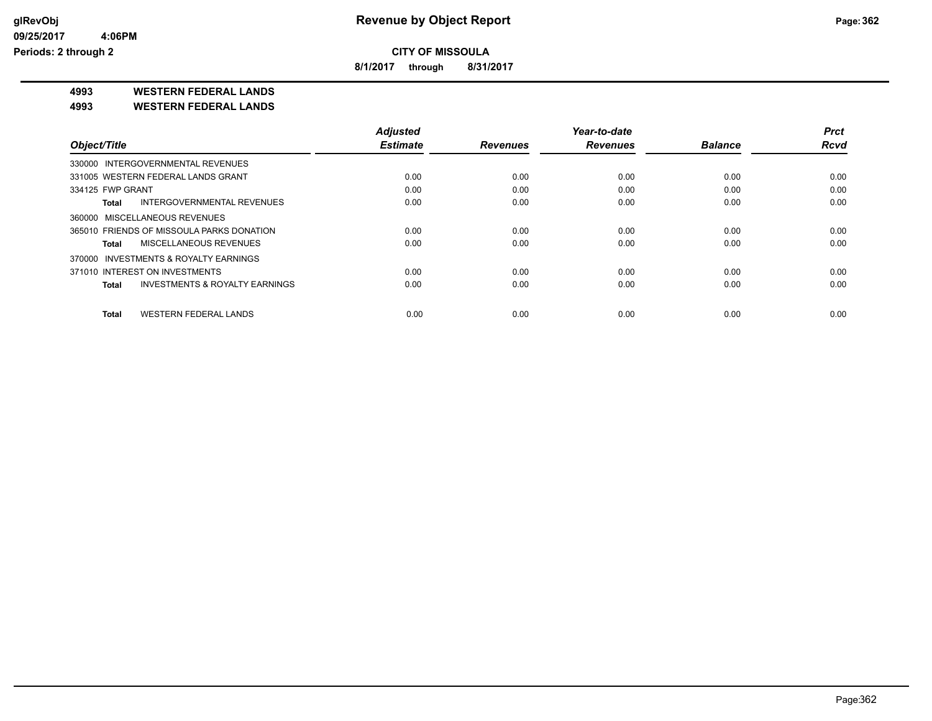**8/1/2017 through 8/31/2017**

**4993 WESTERN FEDERAL LANDS**

**4993 WESTERN FEDERAL LANDS**

|                                              | <b>Adjusted</b> |                 | Year-to-date    |                | <b>Prct</b> |
|----------------------------------------------|-----------------|-----------------|-----------------|----------------|-------------|
| Object/Title                                 | <b>Estimate</b> | <b>Revenues</b> | <b>Revenues</b> | <b>Balance</b> | Rcvd        |
| 330000 INTERGOVERNMENTAL REVENUES            |                 |                 |                 |                |             |
| 331005 WESTERN FEDERAL LANDS GRANT           | 0.00            | 0.00            | 0.00            | 0.00           | 0.00        |
| 334125 FWP GRANT                             | 0.00            | 0.00            | 0.00            | 0.00           | 0.00        |
| INTERGOVERNMENTAL REVENUES<br>Total          | 0.00            | 0.00            | 0.00            | 0.00           | 0.00        |
| 360000 MISCELLANEOUS REVENUES                |                 |                 |                 |                |             |
| 365010 FRIENDS OF MISSOULA PARKS DONATION    | 0.00            | 0.00            | 0.00            | 0.00           | 0.00        |
| MISCELLANEOUS REVENUES<br>Total              | 0.00            | 0.00            | 0.00            | 0.00           | 0.00        |
| 370000 INVESTMENTS & ROYALTY EARNINGS        |                 |                 |                 |                |             |
| 371010 INTEREST ON INVESTMENTS               | 0.00            | 0.00            | 0.00            | 0.00           | 0.00        |
| INVESTMENTS & ROYALTY EARNINGS<br>Total      | 0.00            | 0.00            | 0.00            | 0.00           | 0.00        |
| <b>WESTERN FEDERAL LANDS</b><br><b>Total</b> | 0.00            | 0.00            | 0.00            | 0.00           | 0.00        |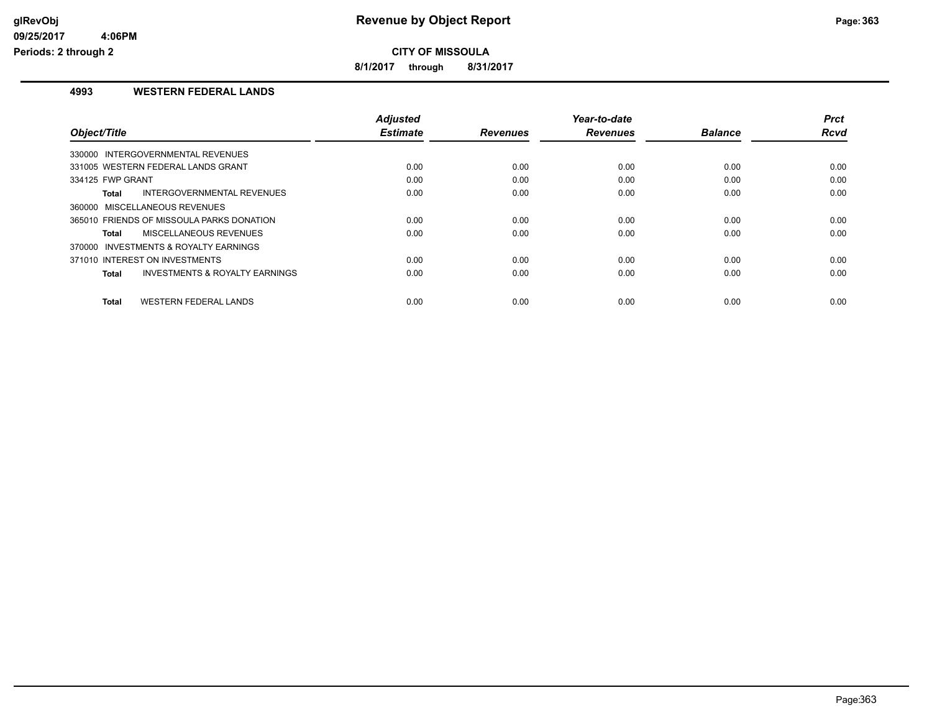**8/1/2017 through 8/31/2017**

### **4993 WESTERN FEDERAL LANDS**

|                                                | <b>Adjusted</b> |                 | Year-to-date    |                | <b>Prct</b> |
|------------------------------------------------|-----------------|-----------------|-----------------|----------------|-------------|
| Object/Title                                   | <b>Estimate</b> | <b>Revenues</b> | <b>Revenues</b> | <b>Balance</b> | <b>Rcvd</b> |
| 330000 INTERGOVERNMENTAL REVENUES              |                 |                 |                 |                |             |
| 331005 WESTERN FEDERAL LANDS GRANT             | 0.00            | 0.00            | 0.00            | 0.00           | 0.00        |
| 334125 FWP GRANT                               | 0.00            | 0.00            | 0.00            | 0.00           | 0.00        |
| INTERGOVERNMENTAL REVENUES<br><b>Total</b>     | 0.00            | 0.00            | 0.00            | 0.00           | 0.00        |
| 360000 MISCELLANEOUS REVENUES                  |                 |                 |                 |                |             |
| 365010 FRIENDS OF MISSOULA PARKS DONATION      | 0.00            | 0.00            | 0.00            | 0.00           | 0.00        |
| <b>MISCELLANEOUS REVENUES</b><br><b>Total</b>  | 0.00            | 0.00            | 0.00            | 0.00           | 0.00        |
| 370000 INVESTMENTS & ROYALTY EARNINGS          |                 |                 |                 |                |             |
| 371010 INTEREST ON INVESTMENTS                 | 0.00            | 0.00            | 0.00            | 0.00           | 0.00        |
| INVESTMENTS & ROYALTY EARNINGS<br><b>Total</b> | 0.00            | 0.00            | 0.00            | 0.00           | 0.00        |
|                                                |                 |                 |                 |                |             |
| <b>WESTERN FEDERAL LANDS</b><br><b>Total</b>   | 0.00            | 0.00            | 0.00            | 0.00           | 0.00        |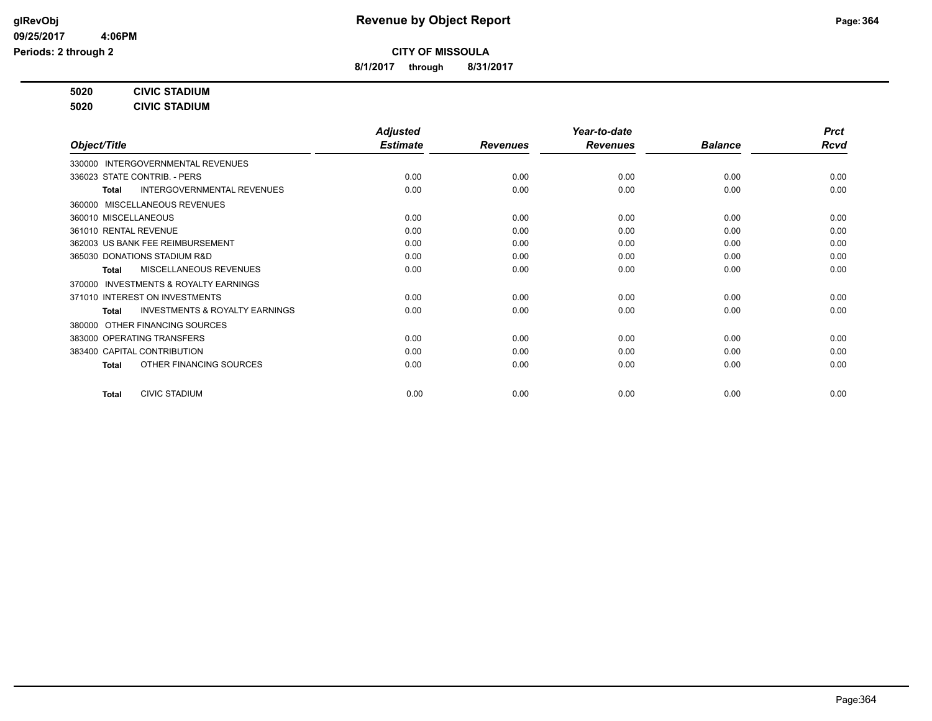**8/1/2017 through 8/31/2017**

**5020 CIVIC STADIUM**

**5020 CIVIC STADIUM**

|                                                           | <b>Adjusted</b> |                 | Year-to-date    |                | <b>Prct</b> |
|-----------------------------------------------------------|-----------------|-----------------|-----------------|----------------|-------------|
| Object/Title                                              | <b>Estimate</b> | <b>Revenues</b> | <b>Revenues</b> | <b>Balance</b> | Rcvd        |
| 330000 INTERGOVERNMENTAL REVENUES                         |                 |                 |                 |                |             |
| 336023 STATE CONTRIB. - PERS                              | 0.00            | 0.00            | 0.00            | 0.00           | 0.00        |
| <b>INTERGOVERNMENTAL REVENUES</b><br><b>Total</b>         | 0.00            | 0.00            | 0.00            | 0.00           | 0.00        |
| 360000 MISCELLANEOUS REVENUES                             |                 |                 |                 |                |             |
| 360010 MISCELLANEOUS                                      | 0.00            | 0.00            | 0.00            | 0.00           | 0.00        |
| 361010 RENTAL REVENUE                                     | 0.00            | 0.00            | 0.00            | 0.00           | 0.00        |
| 362003 US BANK FEE REIMBURSEMENT                          | 0.00            | 0.00            | 0.00            | 0.00           | 0.00        |
| 365030 DONATIONS STADIUM R&D                              | 0.00            | 0.00            | 0.00            | 0.00           | 0.00        |
| MISCELLANEOUS REVENUES<br><b>Total</b>                    | 0.00            | 0.00            | 0.00            | 0.00           | 0.00        |
| 370000 INVESTMENTS & ROYALTY EARNINGS                     |                 |                 |                 |                |             |
| 371010 INTEREST ON INVESTMENTS                            | 0.00            | 0.00            | 0.00            | 0.00           | 0.00        |
| <b>INVESTMENTS &amp; ROYALTY EARNINGS</b><br><b>Total</b> | 0.00            | 0.00            | 0.00            | 0.00           | 0.00        |
| OTHER FINANCING SOURCES<br>380000                         |                 |                 |                 |                |             |
| 383000 OPERATING TRANSFERS                                | 0.00            | 0.00            | 0.00            | 0.00           | 0.00        |
| 383400 CAPITAL CONTRIBUTION                               | 0.00            | 0.00            | 0.00            | 0.00           | 0.00        |
| OTHER FINANCING SOURCES<br><b>Total</b>                   | 0.00            | 0.00            | 0.00            | 0.00           | 0.00        |
|                                                           |                 |                 |                 |                |             |
| <b>CIVIC STADIUM</b><br><b>Total</b>                      | 0.00            | 0.00            | 0.00            | 0.00           | 0.00        |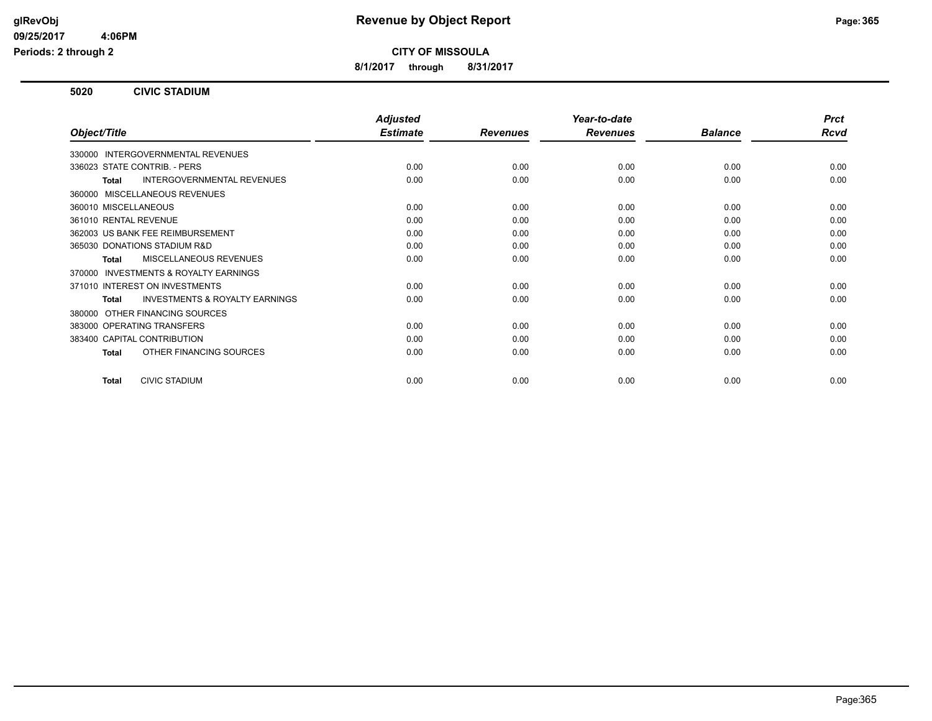**Periods: 2 through 2**

**CITY OF MISSOULA**

**8/1/2017 through 8/31/2017**

### **5020 CIVIC STADIUM**

 **4:06PM**

|                                                           | <b>Adjusted</b> |                 | Year-to-date    |                | <b>Prct</b> |
|-----------------------------------------------------------|-----------------|-----------------|-----------------|----------------|-------------|
| Object/Title                                              | <b>Estimate</b> | <b>Revenues</b> | <b>Revenues</b> | <b>Balance</b> | <b>Rcvd</b> |
| 330000 INTERGOVERNMENTAL REVENUES                         |                 |                 |                 |                |             |
| 336023 STATE CONTRIB. - PERS                              | 0.00            | 0.00            | 0.00            | 0.00           | 0.00        |
| INTERGOVERNMENTAL REVENUES<br><b>Total</b>                | 0.00            | 0.00            | 0.00            | 0.00           | 0.00        |
| 360000 MISCELLANEOUS REVENUES                             |                 |                 |                 |                |             |
| 360010 MISCELLANEOUS                                      | 0.00            | 0.00            | 0.00            | 0.00           | 0.00        |
| 361010 RENTAL REVENUE                                     | 0.00            | 0.00            | 0.00            | 0.00           | 0.00        |
| 362003 US BANK FEE REIMBURSEMENT                          | 0.00            | 0.00            | 0.00            | 0.00           | 0.00        |
| 365030 DONATIONS STADIUM R&D                              | 0.00            | 0.00            | 0.00            | 0.00           | 0.00        |
| MISCELLANEOUS REVENUES<br><b>Total</b>                    | 0.00            | 0.00            | 0.00            | 0.00           | 0.00        |
| <b>INVESTMENTS &amp; ROYALTY EARNINGS</b><br>370000       |                 |                 |                 |                |             |
| 371010 INTEREST ON INVESTMENTS                            | 0.00            | 0.00            | 0.00            | 0.00           | 0.00        |
| <b>INVESTMENTS &amp; ROYALTY EARNINGS</b><br><b>Total</b> | 0.00            | 0.00            | 0.00            | 0.00           | 0.00        |
| OTHER FINANCING SOURCES<br>380000                         |                 |                 |                 |                |             |
| 383000 OPERATING TRANSFERS                                | 0.00            | 0.00            | 0.00            | 0.00           | 0.00        |
| 383400 CAPITAL CONTRIBUTION                               | 0.00            | 0.00            | 0.00            | 0.00           | 0.00        |
| OTHER FINANCING SOURCES<br><b>Total</b>                   | 0.00            | 0.00            | 0.00            | 0.00           | 0.00        |
| <b>CIVIC STADIUM</b><br><b>Total</b>                      | 0.00            | 0.00            | 0.00            | 0.00           | 0.00        |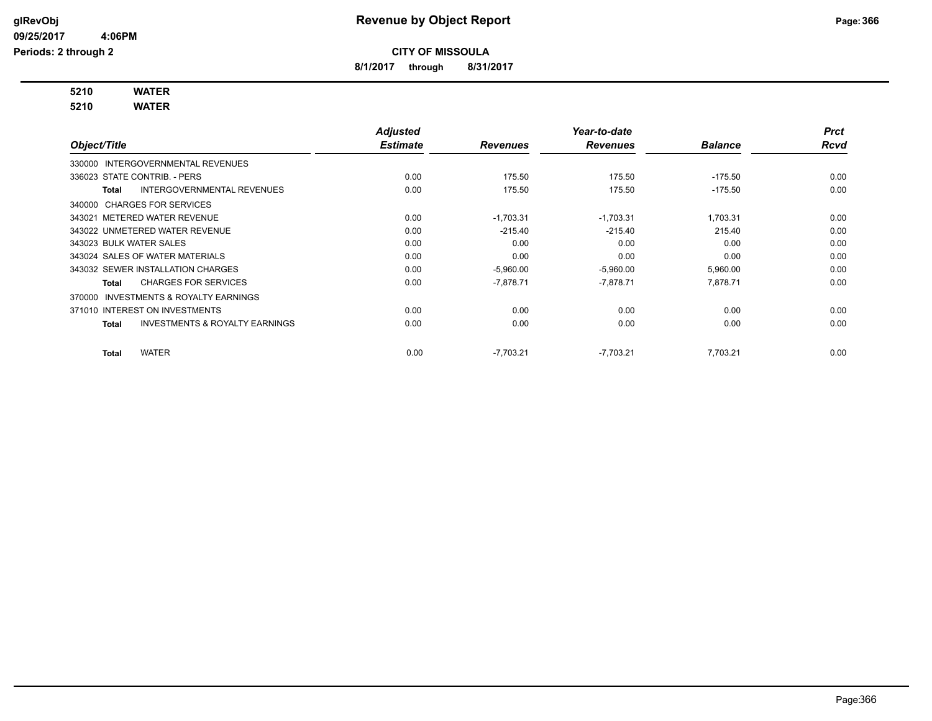**8/1/2017 through 8/31/2017**

## **5210 WATER**

**5210 WATER**

|                                                           | <b>Adjusted</b> |                 | Year-to-date    |                | <b>Prct</b> |
|-----------------------------------------------------------|-----------------|-----------------|-----------------|----------------|-------------|
| Object/Title                                              | <b>Estimate</b> | <b>Revenues</b> | <b>Revenues</b> | <b>Balance</b> | <b>Rcvd</b> |
| INTERGOVERNMENTAL REVENUES<br>330000                      |                 |                 |                 |                |             |
| 336023 STATE CONTRIB. - PERS                              | 0.00            | 175.50          | 175.50          | $-175.50$      | 0.00        |
| <b>INTERGOVERNMENTAL REVENUES</b><br><b>Total</b>         | 0.00            | 175.50          | 175.50          | $-175.50$      | 0.00        |
| 340000 CHARGES FOR SERVICES                               |                 |                 |                 |                |             |
| 343021 METERED WATER REVENUE                              | 0.00            | $-1,703.31$     | $-1,703.31$     | 1,703.31       | 0.00        |
| 343022 UNMETERED WATER REVENUE                            | 0.00            | $-215.40$       | $-215.40$       | 215.40         | 0.00        |
| 343023 BULK WATER SALES                                   | 0.00            | 0.00            | 0.00            | 0.00           | 0.00        |
| 343024 SALES OF WATER MATERIALS                           | 0.00            | 0.00            | 0.00            | 0.00           | 0.00        |
| 343032 SEWER INSTALLATION CHARGES                         | 0.00            | $-5,960.00$     | $-5,960.00$     | 5,960.00       | 0.00        |
| <b>CHARGES FOR SERVICES</b><br>Total                      | 0.00            | $-7,878.71$     | $-7,878.71$     | 7,878.71       | 0.00        |
| <b>INVESTMENTS &amp; ROYALTY EARNINGS</b><br>370000       |                 |                 |                 |                |             |
| 371010 INTEREST ON INVESTMENTS                            | 0.00            | 0.00            | 0.00            | 0.00           | 0.00        |
| <b>INVESTMENTS &amp; ROYALTY EARNINGS</b><br><b>Total</b> | 0.00            | 0.00            | 0.00            | 0.00           | 0.00        |
| <b>WATER</b><br><b>Total</b>                              | 0.00            | $-7.703.21$     | $-7,703.21$     | 7.703.21       | 0.00        |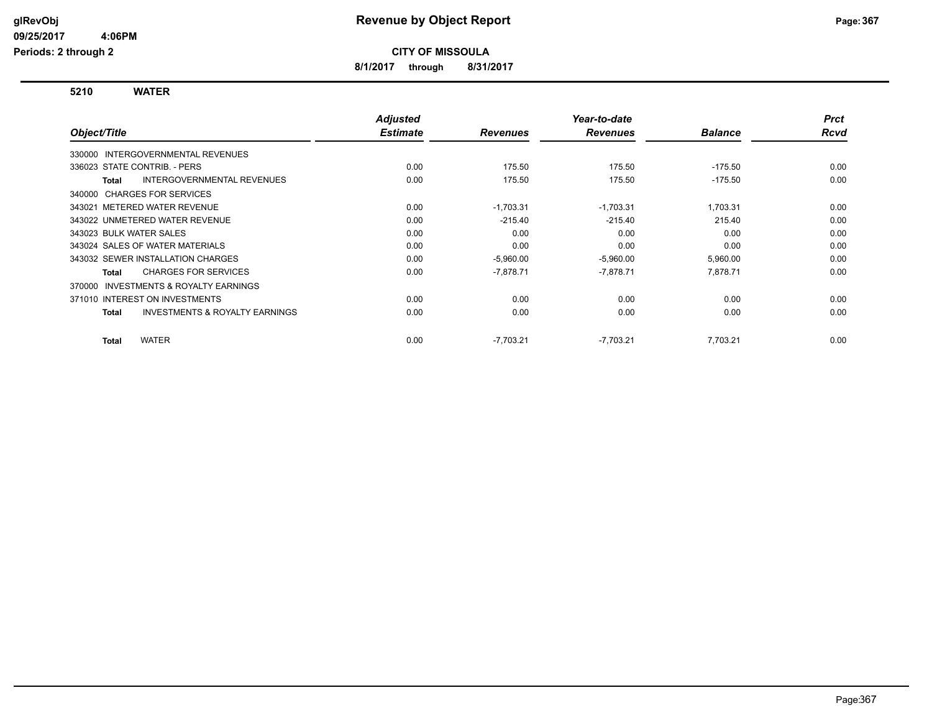**Periods: 2 through 2**

**CITY OF MISSOULA**

**8/1/2017 through 8/31/2017**

**5210 WATER**

|                                                           | <b>Adjusted</b> |                 | Year-to-date    |                | <b>Prct</b> |
|-----------------------------------------------------------|-----------------|-----------------|-----------------|----------------|-------------|
| Object/Title                                              | <b>Estimate</b> | <b>Revenues</b> | <b>Revenues</b> | <b>Balance</b> | <b>Rcvd</b> |
| INTERGOVERNMENTAL REVENUES<br>330000                      |                 |                 |                 |                |             |
| 336023 STATE CONTRIB. - PERS                              | 0.00            | 175.50          | 175.50          | $-175.50$      | 0.00        |
| INTERGOVERNMENTAL REVENUES<br><b>Total</b>                | 0.00            | 175.50          | 175.50          | $-175.50$      | 0.00        |
| 340000 CHARGES FOR SERVICES                               |                 |                 |                 |                |             |
| 343021 METERED WATER REVENUE                              | 0.00            | $-1,703.31$     | $-1,703.31$     | 1,703.31       | 0.00        |
| 343022 UNMETERED WATER REVENUE                            | 0.00            | $-215.40$       | $-215.40$       | 215.40         | 0.00        |
| 343023 BULK WATER SALES                                   | 0.00            | 0.00            | 0.00            | 0.00           | 0.00        |
| 343024 SALES OF WATER MATERIALS                           | 0.00            | 0.00            | 0.00            | 0.00           | 0.00        |
| 343032 SEWER INSTALLATION CHARGES                         | 0.00            | $-5,960.00$     | $-5,960.00$     | 5,960.00       | 0.00        |
| <b>CHARGES FOR SERVICES</b><br><b>Total</b>               | 0.00            | $-7,878.71$     | $-7,878.71$     | 7,878.71       | 0.00        |
| <b>INVESTMENTS &amp; ROYALTY EARNINGS</b><br>370000       |                 |                 |                 |                |             |
| 371010 INTEREST ON INVESTMENTS                            | 0.00            | 0.00            | 0.00            | 0.00           | 0.00        |
| <b>INVESTMENTS &amp; ROYALTY EARNINGS</b><br><b>Total</b> | 0.00            | 0.00            | 0.00            | 0.00           | 0.00        |
| <b>WATER</b><br>Total                                     | 0.00            | $-7,703.21$     | $-7.703.21$     | 7.703.21       | 0.00        |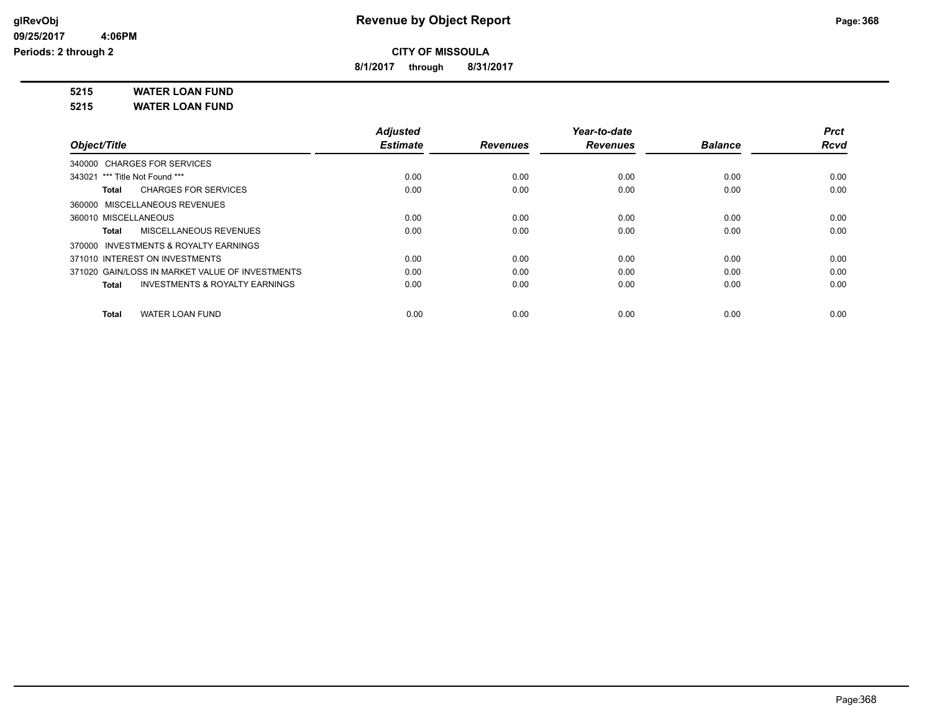**8/1/2017 through 8/31/2017**

**5215 WATER LOAN FUND**

**5215 WATER LOAN FUND**

|                                                    | <b>Adjusted</b> |                 | Year-to-date    |                | <b>Prct</b> |
|----------------------------------------------------|-----------------|-----------------|-----------------|----------------|-------------|
| Object/Title                                       | <b>Estimate</b> | <b>Revenues</b> | <b>Revenues</b> | <b>Balance</b> | <b>Rcvd</b> |
| 340000 CHARGES FOR SERVICES                        |                 |                 |                 |                |             |
| 343021 *** Title Not Found ***                     | 0.00            | 0.00            | 0.00            | 0.00           | 0.00        |
| <b>CHARGES FOR SERVICES</b><br>Total               | 0.00            | 0.00            | 0.00            | 0.00           | 0.00        |
| 360000 MISCELLANEOUS REVENUES                      |                 |                 |                 |                |             |
| 360010 MISCELLANEOUS                               | 0.00            | 0.00            | 0.00            | 0.00           | 0.00        |
| MISCELLANEOUS REVENUES<br>Total                    | 0.00            | 0.00            | 0.00            | 0.00           | 0.00        |
| 370000 INVESTMENTS & ROYALTY EARNINGS              |                 |                 |                 |                |             |
| 371010 INTEREST ON INVESTMENTS                     | 0.00            | 0.00            | 0.00            | 0.00           | 0.00        |
| 371020 GAIN/LOSS IN MARKET VALUE OF INVESTMENTS    | 0.00            | 0.00            | 0.00            | 0.00           | 0.00        |
| <b>INVESTMENTS &amp; ROYALTY EARNINGS</b><br>Total | 0.00            | 0.00            | 0.00            | 0.00           | 0.00        |
| <b>WATER LOAN FUND</b><br><b>Total</b>             | 0.00            | 0.00            | 0.00            | 0.00           | 0.00        |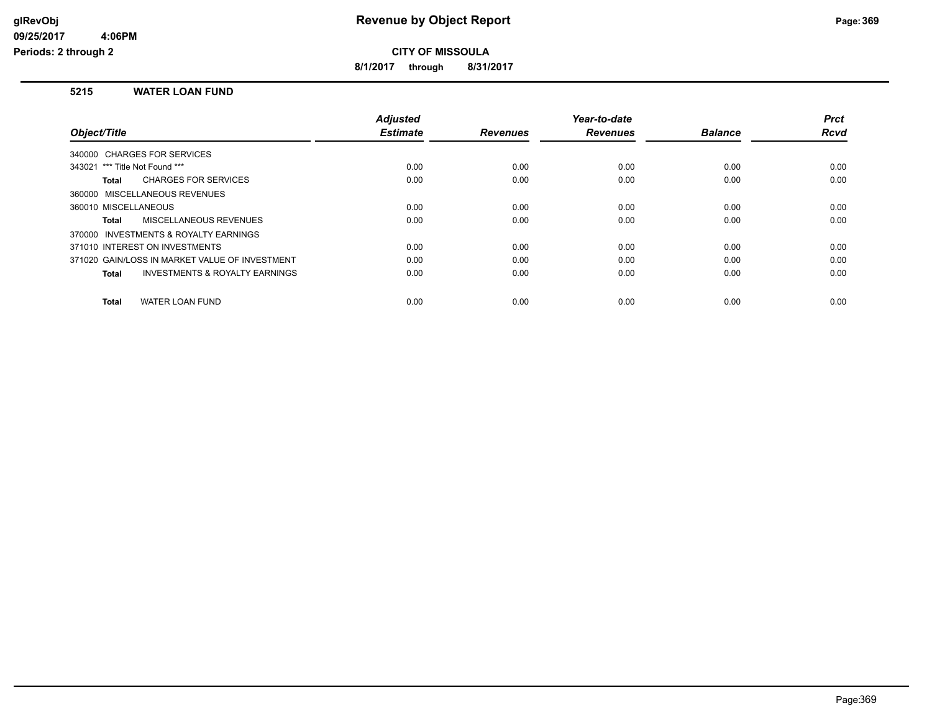**8/1/2017 through 8/31/2017**

#### **5215 WATER LOAN FUND**

|                                                           | <b>Adjusted</b> |                 | Year-to-date    |                | <b>Prct</b> |
|-----------------------------------------------------------|-----------------|-----------------|-----------------|----------------|-------------|
| Object/Title                                              | <b>Estimate</b> | <b>Revenues</b> | <b>Revenues</b> | <b>Balance</b> | <b>Rcvd</b> |
| 340000 CHARGES FOR SERVICES                               |                 |                 |                 |                |             |
| 343021 *** Title Not Found ***                            | 0.00            | 0.00            | 0.00            | 0.00           | 0.00        |
| <b>CHARGES FOR SERVICES</b><br>Total                      | 0.00            | 0.00            | 0.00            | 0.00           | 0.00        |
| 360000 MISCELLANEOUS REVENUES                             |                 |                 |                 |                |             |
| 360010 MISCELLANEOUS                                      | 0.00            | 0.00            | 0.00            | 0.00           | 0.00        |
| MISCELLANEOUS REVENUES<br>Total                           | 0.00            | 0.00            | 0.00            | 0.00           | 0.00        |
| 370000 INVESTMENTS & ROYALTY EARNINGS                     |                 |                 |                 |                |             |
| 371010 INTEREST ON INVESTMENTS                            | 0.00            | 0.00            | 0.00            | 0.00           | 0.00        |
| 371020 GAIN/LOSS IN MARKET VALUE OF INVESTMENT            | 0.00            | 0.00            | 0.00            | 0.00           | 0.00        |
| <b>INVESTMENTS &amp; ROYALTY EARNINGS</b><br><b>Total</b> | 0.00            | 0.00            | 0.00            | 0.00           | 0.00        |
| <b>WATER LOAN FUND</b><br><b>Total</b>                    | 0.00            | 0.00            | 0.00            | 0.00           | 0.00        |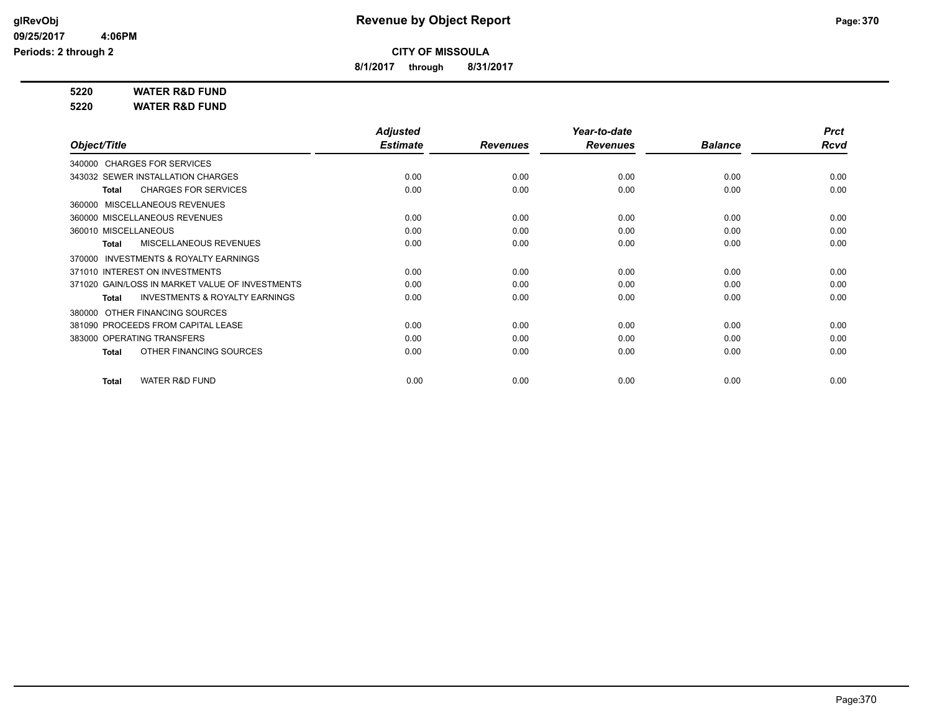**8/1/2017 through 8/31/2017**

**5220 WATER R&D FUND**

**5220 WATER R&D FUND**

|                                                    | <b>Adjusted</b> |                 | Year-to-date    |                | <b>Prct</b> |
|----------------------------------------------------|-----------------|-----------------|-----------------|----------------|-------------|
| Object/Title                                       | <b>Estimate</b> | <b>Revenues</b> | <b>Revenues</b> | <b>Balance</b> | <b>Rcvd</b> |
| 340000 CHARGES FOR SERVICES                        |                 |                 |                 |                |             |
| 343032 SEWER INSTALLATION CHARGES                  | 0.00            | 0.00            | 0.00            | 0.00           | 0.00        |
| <b>CHARGES FOR SERVICES</b><br><b>Total</b>        | 0.00            | 0.00            | 0.00            | 0.00           | 0.00        |
| 360000 MISCELLANEOUS REVENUES                      |                 |                 |                 |                |             |
| 360000 MISCELLANEOUS REVENUES                      | 0.00            | 0.00            | 0.00            | 0.00           | 0.00        |
| 360010 MISCELLANEOUS                               | 0.00            | 0.00            | 0.00            | 0.00           | 0.00        |
| MISCELLANEOUS REVENUES<br><b>Total</b>             | 0.00            | 0.00            | 0.00            | 0.00           | 0.00        |
| 370000 INVESTMENTS & ROYALTY EARNINGS              |                 |                 |                 |                |             |
| 371010 INTEREST ON INVESTMENTS                     | 0.00            | 0.00            | 0.00            | 0.00           | 0.00        |
| 371020 GAIN/LOSS IN MARKET VALUE OF INVESTMENTS    | 0.00            | 0.00            | 0.00            | 0.00           | 0.00        |
| <b>INVESTMENTS &amp; ROYALTY EARNINGS</b><br>Total | 0.00            | 0.00            | 0.00            | 0.00           | 0.00        |
| OTHER FINANCING SOURCES<br>380000                  |                 |                 |                 |                |             |
| 381090 PROCEEDS FROM CAPITAL LEASE                 | 0.00            | 0.00            | 0.00            | 0.00           | 0.00        |
| 383000 OPERATING TRANSFERS                         | 0.00            | 0.00            | 0.00            | 0.00           | 0.00        |
| OTHER FINANCING SOURCES<br><b>Total</b>            | 0.00            | 0.00            | 0.00            | 0.00           | 0.00        |
| WATER R&D FUND<br><b>Total</b>                     | 0.00            | 0.00            | 0.00            | 0.00           | 0.00        |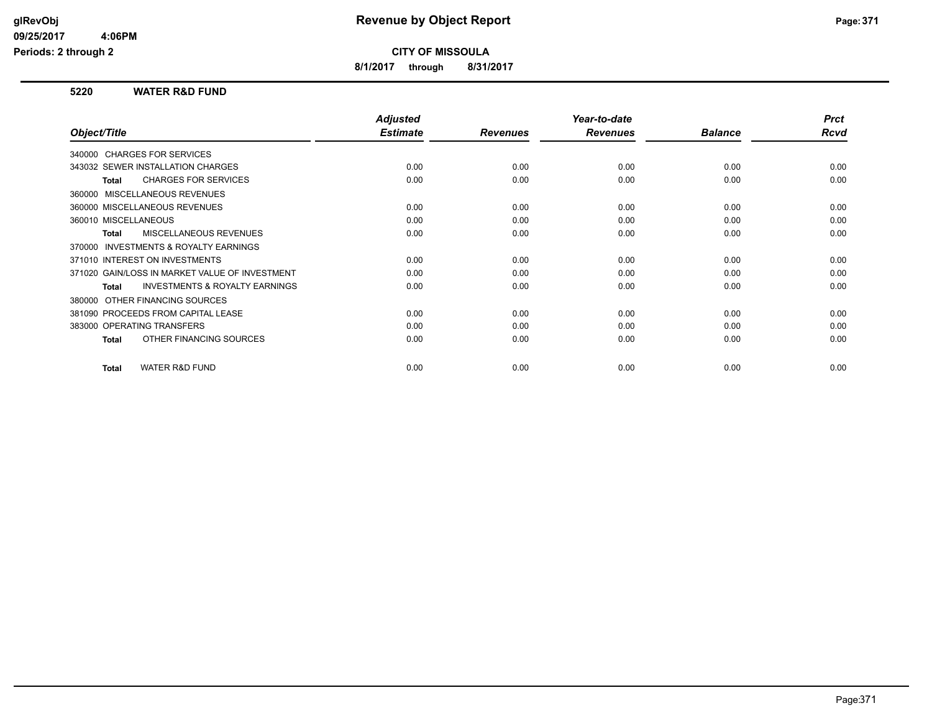**Periods: 2 through 2**

**CITY OF MISSOULA**

**8/1/2017 through 8/31/2017**

### **5220 WATER R&D FUND**

|                                                           | <b>Adjusted</b> |                 | Year-to-date    |                | <b>Prct</b> |
|-----------------------------------------------------------|-----------------|-----------------|-----------------|----------------|-------------|
| Object/Title                                              | <b>Estimate</b> | <b>Revenues</b> | <b>Revenues</b> | <b>Balance</b> | <b>Rcvd</b> |
| 340000 CHARGES FOR SERVICES                               |                 |                 |                 |                |             |
| 343032 SEWER INSTALLATION CHARGES                         | 0.00            | 0.00            | 0.00            | 0.00           | 0.00        |
| <b>CHARGES FOR SERVICES</b><br><b>Total</b>               | 0.00            | 0.00            | 0.00            | 0.00           | 0.00        |
| 360000 MISCELLANEOUS REVENUES                             |                 |                 |                 |                |             |
| 360000 MISCELLANEOUS REVENUES                             | 0.00            | 0.00            | 0.00            | 0.00           | 0.00        |
| 360010 MISCELLANEOUS                                      | 0.00            | 0.00            | 0.00            | 0.00           | 0.00        |
| <b>MISCELLANEOUS REVENUES</b><br><b>Total</b>             | 0.00            | 0.00            | 0.00            | 0.00           | 0.00        |
| <b>INVESTMENTS &amp; ROYALTY EARNINGS</b><br>370000       |                 |                 |                 |                |             |
| 371010 INTEREST ON INVESTMENTS                            | 0.00            | 0.00            | 0.00            | 0.00           | 0.00        |
| 371020 GAIN/LOSS IN MARKET VALUE OF INVESTMENT            | 0.00            | 0.00            | 0.00            | 0.00           | 0.00        |
| <b>INVESTMENTS &amp; ROYALTY EARNINGS</b><br><b>Total</b> | 0.00            | 0.00            | 0.00            | 0.00           | 0.00        |
| 380000 OTHER FINANCING SOURCES                            |                 |                 |                 |                |             |
| 381090 PROCEEDS FROM CAPITAL LEASE                        | 0.00            | 0.00            | 0.00            | 0.00           | 0.00        |
| 383000 OPERATING TRANSFERS                                | 0.00            | 0.00            | 0.00            | 0.00           | 0.00        |
| OTHER FINANCING SOURCES<br><b>Total</b>                   | 0.00            | 0.00            | 0.00            | 0.00           | 0.00        |
|                                                           |                 |                 |                 |                |             |
| <b>WATER R&amp;D FUND</b><br><b>Total</b>                 | 0.00            | 0.00            | 0.00            | 0.00           | 0.00        |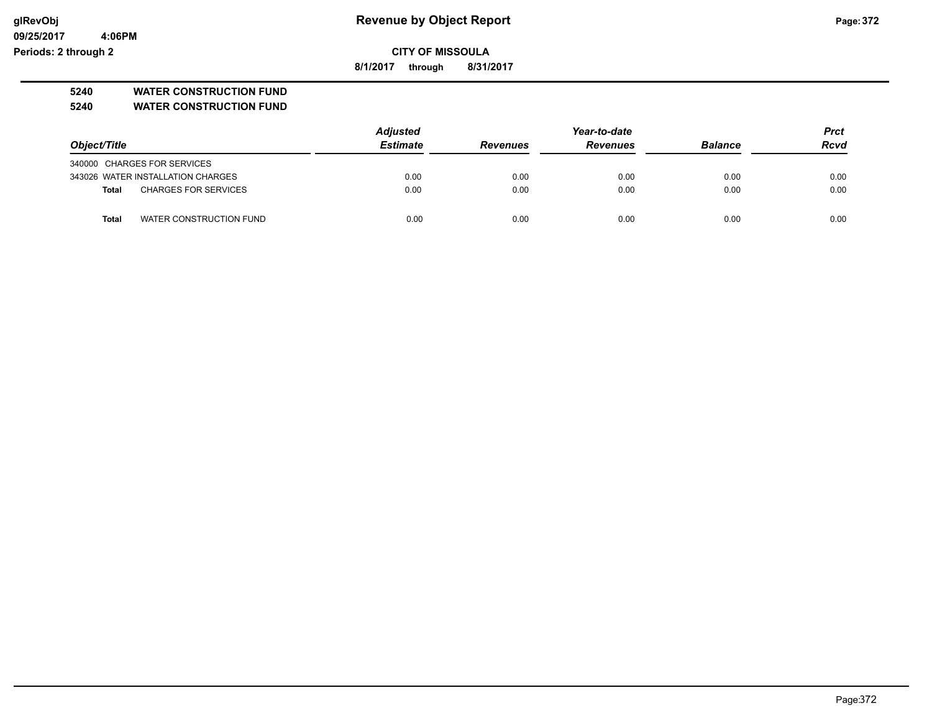**09/25/2017 4:06PM Periods: 2 through 2**

## **CITY OF MISSOULA**

**8/1/2017 through 8/31/2017**

### **5240 WATER CONSTRUCTION FUND**

**5240 WATER CONSTRUCTION FUND**

|                                         | <b>Adjusted</b> |                 |                 | <b>Prct</b>    |             |
|-----------------------------------------|-----------------|-----------------|-----------------|----------------|-------------|
| Object/Title                            | <b>Estimate</b> | <b>Revenues</b> | <b>Revenues</b> | <b>Balance</b> | <b>Rcvd</b> |
| 340000 CHARGES FOR SERVICES             |                 |                 |                 |                |             |
| 343026 WATER INSTALLATION CHARGES       | 0.00            | 0.00            | 0.00            | 0.00           | 0.00        |
| <b>CHARGES FOR SERVICES</b><br>Total    | 0.00            | 0.00            | 0.00            | 0.00           | 0.00        |
| WATER CONSTRUCTION FUND<br><b>Total</b> | 0.00            | 0.00            | 0.00            | 0.00           | 0.00        |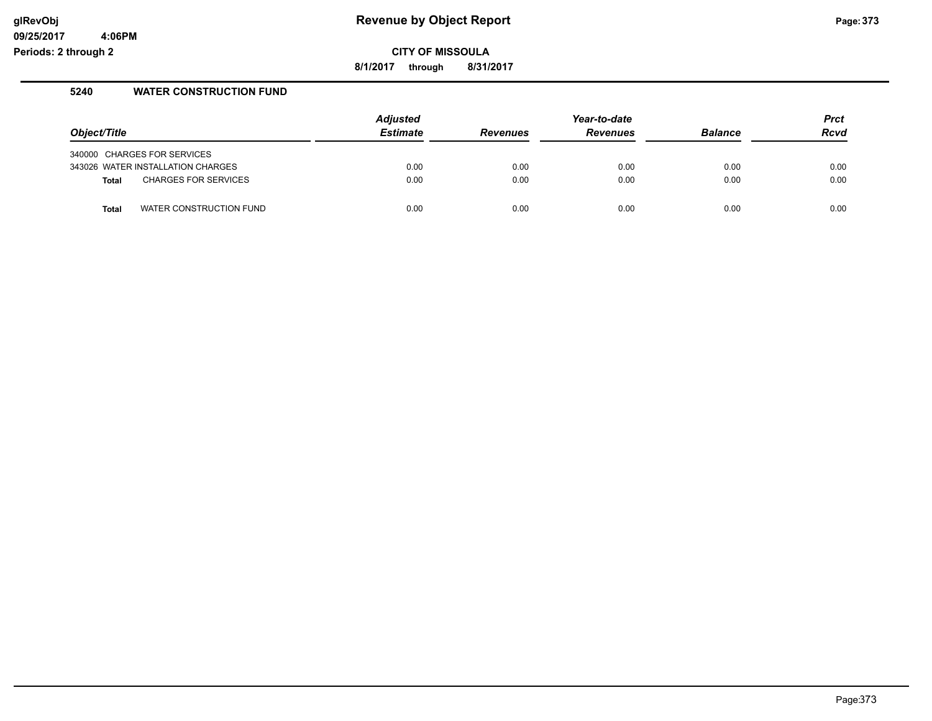**Periods: 2 through 2**

**CITY OF MISSOULA**

**8/1/2017 through 8/31/2017**

### **5240 WATER CONSTRUCTION FUND**

| Object/Title                      |                             | <b>Adjusted</b> |                 | Year-to-date    |      | Prct        |
|-----------------------------------|-----------------------------|-----------------|-----------------|-----------------|------|-------------|
|                                   |                             | <b>Estimate</b> | <b>Revenues</b> | <b>Revenues</b> |      | <b>Rcvd</b> |
| 340000 CHARGES FOR SERVICES       |                             |                 |                 |                 |      |             |
| 343026 WATER INSTALLATION CHARGES |                             | 0.00            | 0.00            | 0.00            | 0.00 | 0.00        |
| <b>Total</b>                      | <b>CHARGES FOR SERVICES</b> | 0.00            | 0.00            | 0.00            | 0.00 | 0.00        |
| Total                             | WATER CONSTRUCTION FUND     | 0.00            | 0.00            | 0.00            | 0.00 | 0.00        |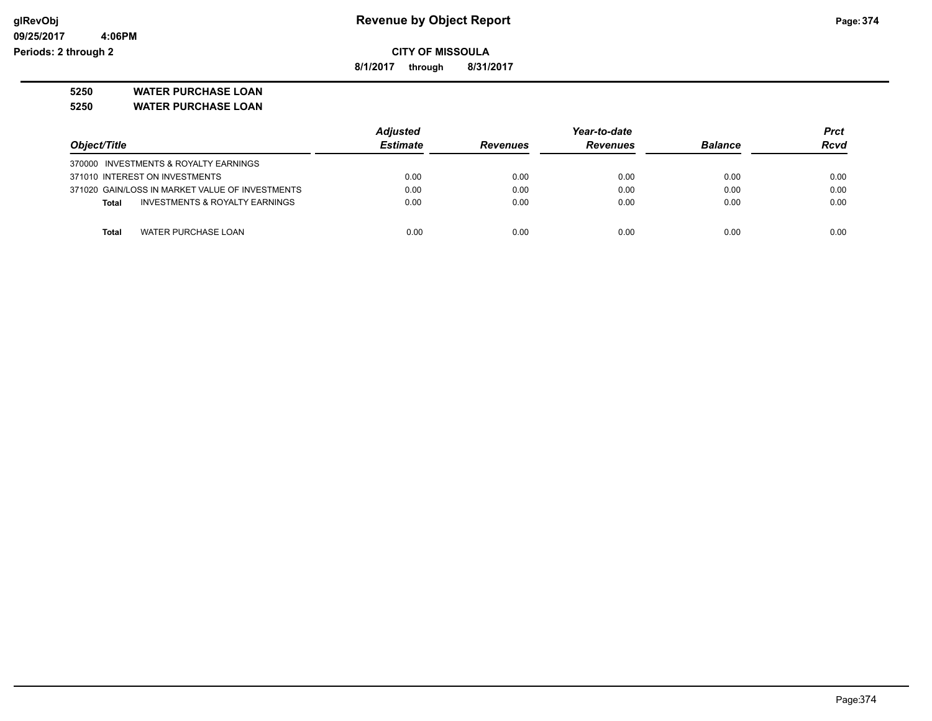**8/1/2017 through 8/31/2017**

### **5250 WATER PURCHASE LOAN**

**5250 WATER PURCHASE LOAN**

|                                                           | <b>Adjusted</b> |                 | Year-to-date    |                | Prct |
|-----------------------------------------------------------|-----------------|-----------------|-----------------|----------------|------|
| Object/Title                                              | <b>Estimate</b> | <b>Revenues</b> | <b>Revenues</b> | <b>Balance</b> | Rcvd |
| 370000 INVESTMENTS & ROYALTY EARNINGS                     |                 |                 |                 |                |      |
| 371010 INTEREST ON INVESTMENTS                            | 0.00            | 0.00            | 0.00            | 0.00           | 0.00 |
| 371020 GAIN/LOSS IN MARKET VALUE OF INVESTMENTS           | 0.00            | 0.00            | 0.00            | 0.00           | 0.00 |
| <b>INVESTMENTS &amp; ROYALTY EARNINGS</b><br><b>Total</b> | 0.00            | 0.00            | 0.00            | 0.00           | 0.00 |
|                                                           |                 |                 |                 |                |      |
| WATER PURCHASE LOAN<br><b>Total</b>                       | 0.00            | 0.00            | 0.00            | 0.00           | 0.00 |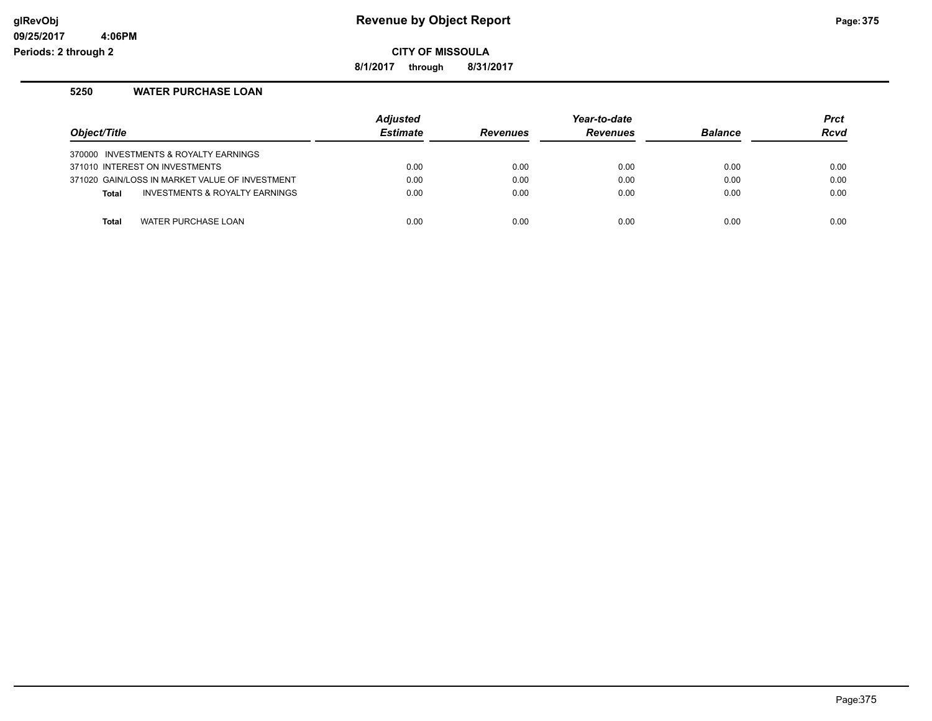**8/1/2017 through 8/31/2017**

### **5250 WATER PURCHASE LOAN**

| Object/Title |                                                | <b>Adjusted</b><br><b>Estimate</b> | <b>Revenues</b> | Year-to-date<br><b>Revenues</b> | <b>Balance</b> | <b>Prct</b><br><b>Rcvd</b> |
|--------------|------------------------------------------------|------------------------------------|-----------------|---------------------------------|----------------|----------------------------|
|              | 370000 INVESTMENTS & ROYALTY EARNINGS          |                                    |                 |                                 |                |                            |
|              | 371010 INTEREST ON INVESTMENTS                 | 0.00                               | 0.00            | 0.00                            | 0.00           | 0.00                       |
|              | 371020 GAIN/LOSS IN MARKET VALUE OF INVESTMENT | 0.00                               | 0.00            | 0.00                            | 0.00           | 0.00                       |
| <b>Total</b> | INVESTMENTS & ROYALTY EARNINGS                 | 0.00                               | 0.00            | 0.00                            | 0.00           | 0.00                       |
|              |                                                |                                    |                 |                                 |                |                            |
| <b>Total</b> | WATER PURCHASE LOAN                            | 0.00                               | 0.00            | 0.00                            | 0.00           | 0.00                       |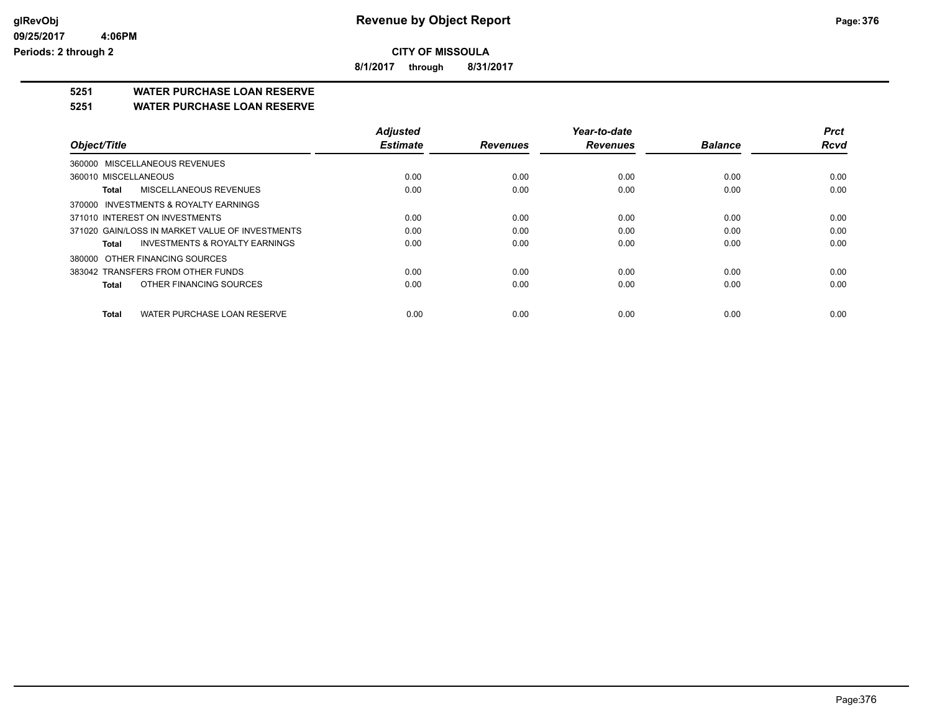**8/1/2017 through 8/31/2017**

### **5251 WATER PURCHASE LOAN RESERVE**

### **5251 WATER PURCHASE LOAN RESERVE**

|                                                    | <b>Adjusted</b> |                 | Year-to-date    |                | <b>Prct</b> |
|----------------------------------------------------|-----------------|-----------------|-----------------|----------------|-------------|
| Object/Title                                       | <b>Estimate</b> | <b>Revenues</b> | <b>Revenues</b> | <b>Balance</b> | <b>Rcvd</b> |
| 360000 MISCELLANEOUS REVENUES                      |                 |                 |                 |                |             |
| 360010 MISCELLANEOUS                               | 0.00            | 0.00            | 0.00            | 0.00           | 0.00        |
| MISCELLANEOUS REVENUES<br>Total                    | 0.00            | 0.00            | 0.00            | 0.00           | 0.00        |
| 370000 INVESTMENTS & ROYALTY EARNINGS              |                 |                 |                 |                |             |
| 371010 INTEREST ON INVESTMENTS                     | 0.00            | 0.00            | 0.00            | 0.00           | 0.00        |
| 371020 GAIN/LOSS IN MARKET VALUE OF INVESTMENTS    | 0.00            | 0.00            | 0.00            | 0.00           | 0.00        |
| <b>INVESTMENTS &amp; ROYALTY EARNINGS</b><br>Total | 0.00            | 0.00            | 0.00            | 0.00           | 0.00        |
| 380000 OTHER FINANCING SOURCES                     |                 |                 |                 |                |             |
| 383042 TRANSFERS FROM OTHER FUNDS                  | 0.00            | 0.00            | 0.00            | 0.00           | 0.00        |
| OTHER FINANCING SOURCES<br>Total                   | 0.00            | 0.00            | 0.00            | 0.00           | 0.00        |
| WATER PURCHASE LOAN RESERVE<br>Total               | 0.00            | 0.00            | 0.00            | 0.00           | 0.00        |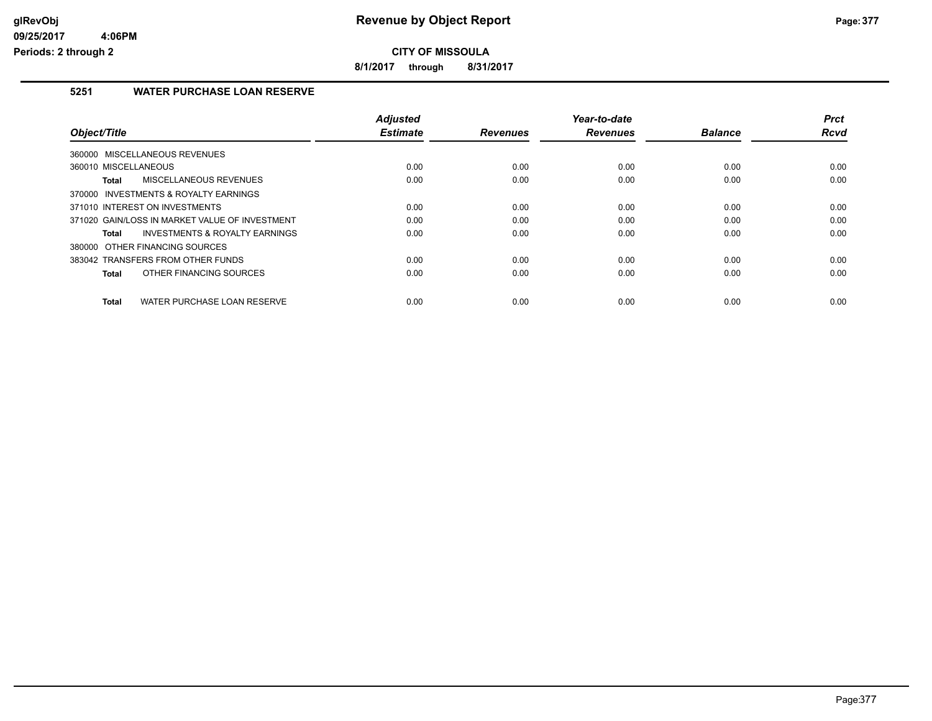**8/1/2017 through 8/31/2017**

### **5251 WATER PURCHASE LOAN RESERVE**

|                                                    | <b>Adjusted</b> |                 | Year-to-date    |                | <b>Prct</b> |
|----------------------------------------------------|-----------------|-----------------|-----------------|----------------|-------------|
| Object/Title                                       | <b>Estimate</b> | <b>Revenues</b> | <b>Revenues</b> | <b>Balance</b> | <b>Rcvd</b> |
| 360000 MISCELLANEOUS REVENUES                      |                 |                 |                 |                |             |
| 360010 MISCELLANEOUS                               | 0.00            | 0.00            | 0.00            | 0.00           | 0.00        |
| MISCELLANEOUS REVENUES<br>Total                    | 0.00            | 0.00            | 0.00            | 0.00           | 0.00        |
| 370000 INVESTMENTS & ROYALTY EARNINGS              |                 |                 |                 |                |             |
| 371010 INTEREST ON INVESTMENTS                     | 0.00            | 0.00            | 0.00            | 0.00           | 0.00        |
| 371020 GAIN/LOSS IN MARKET VALUE OF INVESTMENT     | 0.00            | 0.00            | 0.00            | 0.00           | 0.00        |
| <b>INVESTMENTS &amp; ROYALTY EARNINGS</b><br>Total | 0.00            | 0.00            | 0.00            | 0.00           | 0.00        |
| 380000 OTHER FINANCING SOURCES                     |                 |                 |                 |                |             |
| 383042 TRANSFERS FROM OTHER FUNDS                  | 0.00            | 0.00            | 0.00            | 0.00           | 0.00        |
| OTHER FINANCING SOURCES<br>Total                   | 0.00            | 0.00            | 0.00            | 0.00           | 0.00        |
| <b>Total</b><br>WATER PURCHASE LOAN RESERVE        | 0.00            | 0.00            | 0.00            | 0.00           | 0.00        |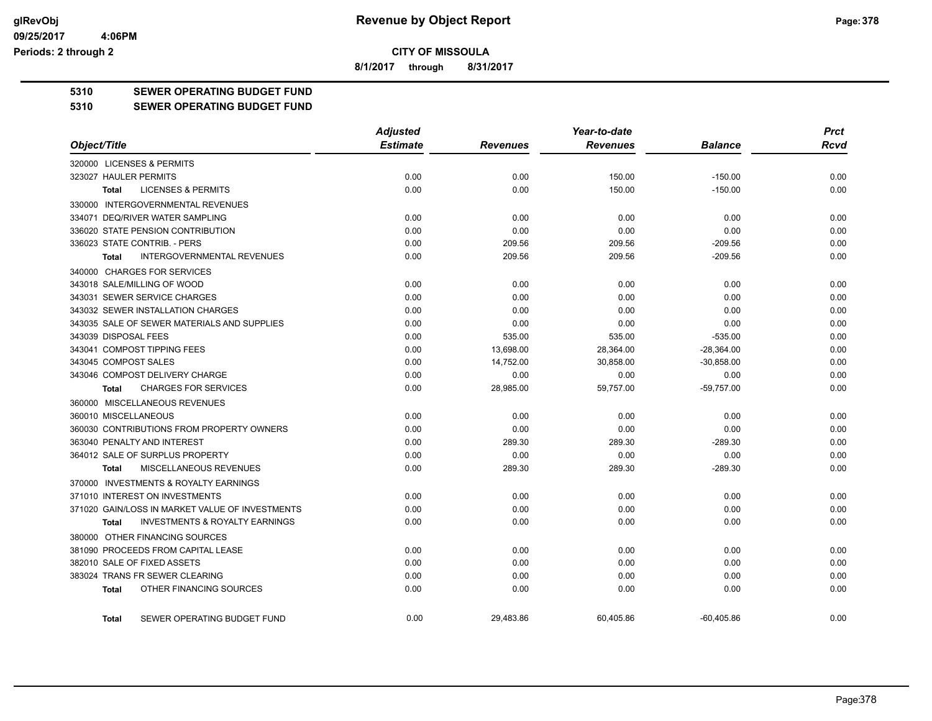**8/1/2017 through 8/31/2017**

### **5310 SEWER OPERATING BUDGET FUND**

### **5310 SEWER OPERATING BUDGET FUND**

|                                                           | <b>Adjusted</b> |                 | Year-to-date    |                | <b>Prct</b> |
|-----------------------------------------------------------|-----------------|-----------------|-----------------|----------------|-------------|
| Object/Title                                              | <b>Estimate</b> | <b>Revenues</b> | <b>Revenues</b> | <b>Balance</b> | <b>Rcvd</b> |
| 320000 LICENSES & PERMITS                                 |                 |                 |                 |                |             |
| 323027 HAULER PERMITS                                     | 0.00            | 0.00            | 150.00          | $-150.00$      | 0.00        |
| <b>LICENSES &amp; PERMITS</b><br><b>Total</b>             | 0.00            | 0.00            | 150.00          | $-150.00$      | 0.00        |
| 330000 INTERGOVERNMENTAL REVENUES                         |                 |                 |                 |                |             |
| 334071 DEQ/RIVER WATER SAMPLING                           | 0.00            | 0.00            | 0.00            | 0.00           | 0.00        |
| 336020 STATE PENSION CONTRIBUTION                         | 0.00            | 0.00            | 0.00            | 0.00           | 0.00        |
| 336023 STATE CONTRIB. - PERS                              | 0.00            | 209.56          | 209.56          | $-209.56$      | 0.00        |
| <b>INTERGOVERNMENTAL REVENUES</b><br><b>Total</b>         | 0.00            | 209.56          | 209.56          | $-209.56$      | 0.00        |
| 340000 CHARGES FOR SERVICES                               |                 |                 |                 |                |             |
| 343018 SALE/MILLING OF WOOD                               | 0.00            | 0.00            | 0.00            | 0.00           | 0.00        |
| 343031 SEWER SERVICE CHARGES                              | 0.00            | 0.00            | 0.00            | 0.00           | 0.00        |
| 343032 SEWER INSTALLATION CHARGES                         | 0.00            | 0.00            | 0.00            | 0.00           | 0.00        |
| 343035 SALE OF SEWER MATERIALS AND SUPPLIES               | 0.00            | 0.00            | 0.00            | 0.00           | 0.00        |
| 343039 DISPOSAL FEES                                      | 0.00            | 535.00          | 535.00          | $-535.00$      | 0.00        |
| 343041 COMPOST TIPPING FEES                               | 0.00            | 13,698.00       | 28,364.00       | $-28,364.00$   | 0.00        |
| 343045 COMPOST SALES                                      | 0.00            | 14,752.00       | 30,858.00       | $-30,858.00$   | 0.00        |
| 343046 COMPOST DELIVERY CHARGE                            | 0.00            | 0.00            | 0.00            | 0.00           | 0.00        |
| <b>CHARGES FOR SERVICES</b><br><b>Total</b>               | 0.00            | 28,985.00       | 59,757.00       | $-59,757.00$   | 0.00        |
| 360000 MISCELLANEOUS REVENUES                             |                 |                 |                 |                |             |
| 360010 MISCELLANEOUS                                      | 0.00            | 0.00            | 0.00            | 0.00           | 0.00        |
| 360030 CONTRIBUTIONS FROM PROPERTY OWNERS                 | 0.00            | 0.00            | 0.00            | 0.00           | 0.00        |
| 363040 PENALTY AND INTEREST                               | 0.00            | 289.30          | 289.30          | $-289.30$      | 0.00        |
| 364012 SALE OF SURPLUS PROPERTY                           | 0.00            | 0.00            | 0.00            | 0.00           | 0.00        |
| <b>MISCELLANEOUS REVENUES</b><br><b>Total</b>             | 0.00            | 289.30          | 289.30          | $-289.30$      | 0.00        |
| 370000 INVESTMENTS & ROYALTY EARNINGS                     |                 |                 |                 |                |             |
| 371010 INTEREST ON INVESTMENTS                            | 0.00            | 0.00            | 0.00            | 0.00           | 0.00        |
| 371020 GAIN/LOSS IN MARKET VALUE OF INVESTMENTS           | 0.00            | 0.00            | 0.00            | 0.00           | 0.00        |
| <b>INVESTMENTS &amp; ROYALTY EARNINGS</b><br><b>Total</b> | 0.00            | 0.00            | 0.00            | 0.00           | 0.00        |
| 380000 OTHER FINANCING SOURCES                            |                 |                 |                 |                |             |
| 381090 PROCEEDS FROM CAPITAL LEASE                        | 0.00            | 0.00            | 0.00            | 0.00           | 0.00        |
| 382010 SALE OF FIXED ASSETS                               | 0.00            | 0.00            | 0.00            | 0.00           | 0.00        |
| 383024 TRANS FR SEWER CLEARING                            | 0.00            | 0.00            | 0.00            | 0.00           | 0.00        |
| OTHER FINANCING SOURCES<br><b>Total</b>                   | 0.00            | 0.00            | 0.00            | 0.00           | 0.00        |
| SEWER OPERATING BUDGET FUND<br><b>Total</b>               | 0.00            | 29,483.86       | 60,405.86       | $-60,405.86$   | 0.00        |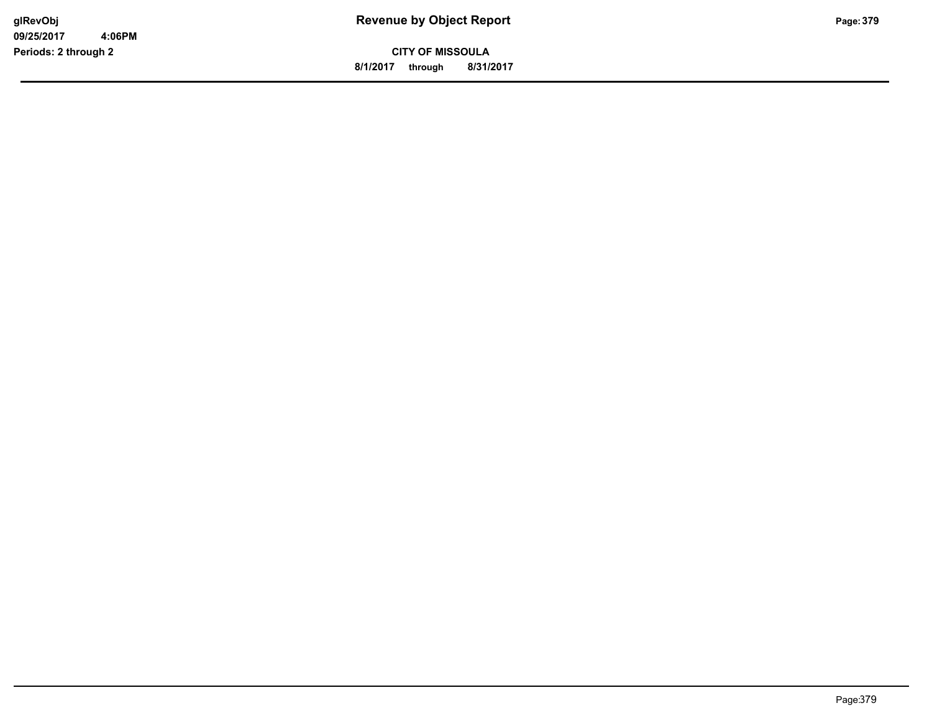**CITY OF MISSOULA 8/1/2017 through 8/31/2017**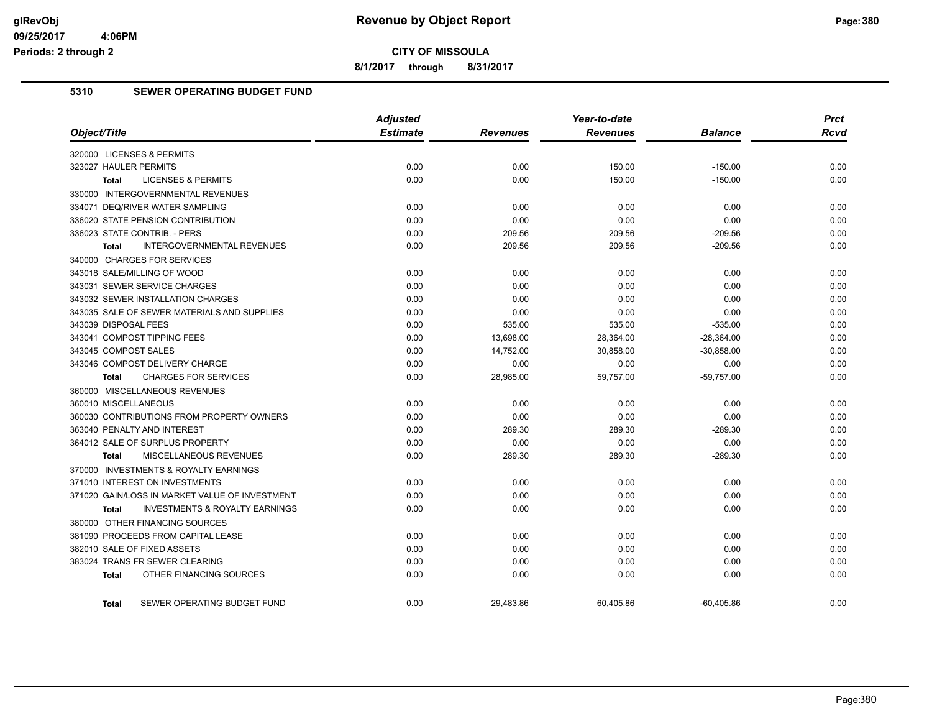**8/1/2017 through 8/31/2017**

### **5310 SEWER OPERATING BUDGET FUND**

|                                                    | <b>Adjusted</b> |                 | Year-to-date    |                |             |  |
|----------------------------------------------------|-----------------|-----------------|-----------------|----------------|-------------|--|
| Object/Title                                       | <b>Estimate</b> | <b>Revenues</b> | <b>Revenues</b> | <b>Balance</b> | <b>Rcvd</b> |  |
| 320000 LICENSES & PERMITS                          |                 |                 |                 |                |             |  |
| 323027 HAULER PERMITS                              | 0.00            | 0.00            | 150.00          | $-150.00$      | 0.00        |  |
| <b>LICENSES &amp; PERMITS</b><br><b>Total</b>      | 0.00            | 0.00            | 150.00          | $-150.00$      | 0.00        |  |
| 330000 INTERGOVERNMENTAL REVENUES                  |                 |                 |                 |                |             |  |
| 334071 DEQ/RIVER WATER SAMPLING                    | 0.00            | 0.00            | 0.00            | 0.00           | 0.00        |  |
| 336020 STATE PENSION CONTRIBUTION                  | 0.00            | 0.00            | 0.00            | 0.00           | 0.00        |  |
| 336023 STATE CONTRIB. - PERS                       | 0.00            | 209.56          | 209.56          | $-209.56$      | 0.00        |  |
| <b>INTERGOVERNMENTAL REVENUES</b><br>Total         | 0.00            | 209.56          | 209.56          | $-209.56$      | 0.00        |  |
| 340000 CHARGES FOR SERVICES                        |                 |                 |                 |                |             |  |
| 343018 SALE/MILLING OF WOOD                        | 0.00            | 0.00            | 0.00            | 0.00           | 0.00        |  |
| 343031 SEWER SERVICE CHARGES                       | 0.00            | 0.00            | 0.00            | 0.00           | 0.00        |  |
| 343032 SEWER INSTALLATION CHARGES                  | 0.00            | 0.00            | 0.00            | 0.00           | 0.00        |  |
| 343035 SALE OF SEWER MATERIALS AND SUPPLIES        | 0.00            | 0.00            | 0.00            | 0.00           | 0.00        |  |
| 343039 DISPOSAL FEES                               | 0.00            | 535.00          | 535.00          | $-535.00$      | 0.00        |  |
| 343041 COMPOST TIPPING FEES                        | 0.00            | 13,698.00       | 28,364.00       | $-28,364.00$   | 0.00        |  |
| 343045 COMPOST SALES                               | 0.00            | 14,752.00       | 30,858.00       | $-30,858.00$   | 0.00        |  |
| 343046 COMPOST DELIVERY CHARGE                     | 0.00            | 0.00            | 0.00            | 0.00           | 0.00        |  |
| <b>CHARGES FOR SERVICES</b><br><b>Total</b>        | 0.00            | 28,985.00       | 59,757.00       | $-59,757.00$   | 0.00        |  |
| 360000 MISCELLANEOUS REVENUES                      |                 |                 |                 |                |             |  |
| 360010 MISCELLANEOUS                               | 0.00            | 0.00            | 0.00            | 0.00           | 0.00        |  |
| 360030 CONTRIBUTIONS FROM PROPERTY OWNERS          | 0.00            | 0.00            | 0.00            | 0.00           | 0.00        |  |
| 363040 PENALTY AND INTEREST                        | 0.00            | 289.30          | 289.30          | $-289.30$      | 0.00        |  |
| 364012 SALE OF SURPLUS PROPERTY                    | 0.00            | 0.00            | 0.00            | 0.00           | 0.00        |  |
| MISCELLANEOUS REVENUES<br><b>Total</b>             | 0.00            | 289.30          | 289.30          | $-289.30$      | 0.00        |  |
| 370000 INVESTMENTS & ROYALTY EARNINGS              |                 |                 |                 |                |             |  |
| 371010 INTEREST ON INVESTMENTS                     | 0.00            | 0.00            | 0.00            | 0.00           | 0.00        |  |
| 371020 GAIN/LOSS IN MARKET VALUE OF INVESTMENT     | 0.00            | 0.00            | 0.00            | 0.00           | 0.00        |  |
| <b>INVESTMENTS &amp; ROYALTY EARNINGS</b><br>Total | 0.00            | 0.00            | 0.00            | 0.00           | 0.00        |  |
| 380000 OTHER FINANCING SOURCES                     |                 |                 |                 |                |             |  |
| 381090 PROCEEDS FROM CAPITAL LEASE                 | 0.00            | 0.00            | 0.00            | 0.00           | 0.00        |  |
| 382010 SALE OF FIXED ASSETS                        | 0.00            | 0.00            | 0.00            | 0.00           | 0.00        |  |
| 383024 TRANS FR SEWER CLEARING                     | 0.00            | 0.00            | 0.00            | 0.00           | 0.00        |  |
| OTHER FINANCING SOURCES<br><b>Total</b>            | 0.00            | 0.00            | 0.00            | 0.00           | 0.00        |  |
| SEWER OPERATING BUDGET FUND<br><b>Total</b>        | 0.00            | 29,483.86       | 60,405.86       | $-60,405.86$   | 0.00        |  |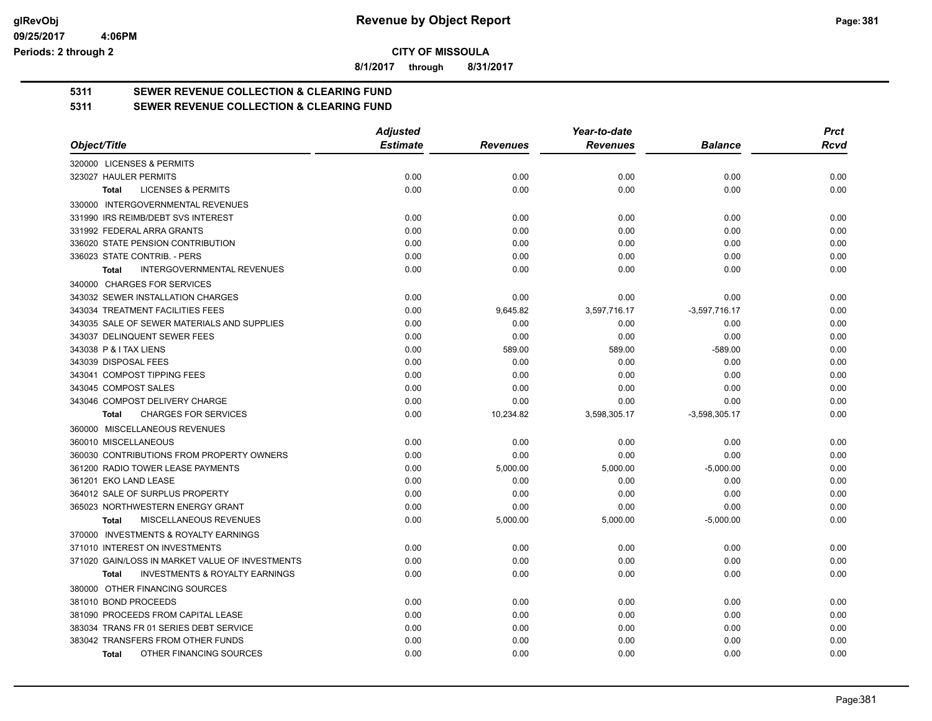**8/1/2017 through 8/31/2017**

# **5311 SEWER REVENUE COLLECTION & CLEARING FUND**

## **5311 SEWER REVENUE COLLECTION & CLEARING FUND**

|                                                           | <b>Adjusted</b> |                 | Year-to-date    |                 | <b>Prct</b><br><b>Rcvd</b> |
|-----------------------------------------------------------|-----------------|-----------------|-----------------|-----------------|----------------------------|
| Object/Title                                              | <b>Estimate</b> | <b>Revenues</b> | <b>Revenues</b> | <b>Balance</b>  |                            |
| 320000 LICENSES & PERMITS                                 |                 |                 |                 |                 |                            |
| 323027 HAULER PERMITS                                     | 0.00            | 0.00            | 0.00            | 0.00            | 0.00                       |
| <b>LICENSES &amp; PERMITS</b><br>Total                    | 0.00            | 0.00            | 0.00            | 0.00            | 0.00                       |
| 330000 INTERGOVERNMENTAL REVENUES                         |                 |                 |                 |                 |                            |
| 331990 IRS REIMB/DEBT SVS INTEREST                        | 0.00            | 0.00            | 0.00            | 0.00            | 0.00                       |
| 331992 FEDERAL ARRA GRANTS                                | 0.00            | 0.00            | 0.00            | 0.00            | 0.00                       |
| 336020 STATE PENSION CONTRIBUTION                         | 0.00            | 0.00            | 0.00            | 0.00            | 0.00                       |
| 336023 STATE CONTRIB. - PERS                              | 0.00            | 0.00            | 0.00            | 0.00            | 0.00                       |
| <b>INTERGOVERNMENTAL REVENUES</b><br><b>Total</b>         | 0.00            | 0.00            | 0.00            | 0.00            | 0.00                       |
| 340000 CHARGES FOR SERVICES                               |                 |                 |                 |                 |                            |
| 343032 SEWER INSTALLATION CHARGES                         | 0.00            | 0.00            | 0.00            | 0.00            | 0.00                       |
| 343034 TREATMENT FACILITIES FEES                          | 0.00            | 9,645.82        | 3,597,716.17    | $-3,597,716.17$ | 0.00                       |
| 343035 SALE OF SEWER MATERIALS AND SUPPLIES               | 0.00            | 0.00            | 0.00            | 0.00            | 0.00                       |
| 343037 DELINQUENT SEWER FEES                              | 0.00            | 0.00            | 0.00            | 0.00            | 0.00                       |
| 343038 P & I TAX LIENS                                    | 0.00            | 589.00          | 589.00          | $-589.00$       | 0.00                       |
| 343039 DISPOSAL FEES                                      | 0.00            | 0.00            | 0.00            | 0.00            | 0.00                       |
| 343041 COMPOST TIPPING FEES                               | 0.00            | 0.00            | 0.00            | 0.00            | 0.00                       |
| 343045 COMPOST SALES                                      | 0.00            | 0.00            | 0.00            | 0.00            | 0.00                       |
| 343046 COMPOST DELIVERY CHARGE                            | 0.00            | 0.00            | 0.00            | 0.00            | 0.00                       |
| <b>CHARGES FOR SERVICES</b><br>Total                      | 0.00            | 10,234.82       | 3,598,305.17    | $-3,598,305.17$ | 0.00                       |
| 360000 MISCELLANEOUS REVENUES                             |                 |                 |                 |                 |                            |
| 360010 MISCELLANEOUS                                      | 0.00            | 0.00            | 0.00            | 0.00            | 0.00                       |
| 360030 CONTRIBUTIONS FROM PROPERTY OWNERS                 | 0.00            | 0.00            | 0.00            | 0.00            | 0.00                       |
| 361200 RADIO TOWER LEASE PAYMENTS                         | 0.00            | 5,000.00        | 5,000.00        | $-5,000.00$     | 0.00                       |
| 361201 EKO LAND LEASE                                     | 0.00            | 0.00            | 0.00            | 0.00            | 0.00                       |
| 364012 SALE OF SURPLUS PROPERTY                           | 0.00            | 0.00            | 0.00            | 0.00            | 0.00                       |
| 365023 NORTHWESTERN ENERGY GRANT                          | 0.00            | 0.00            | 0.00            | 0.00            | 0.00                       |
| MISCELLANEOUS REVENUES<br>Total                           | 0.00            | 5,000.00        | 5,000.00        | $-5,000.00$     | 0.00                       |
| 370000 INVESTMENTS & ROYALTY EARNINGS                     |                 |                 |                 |                 |                            |
| 371010 INTEREST ON INVESTMENTS                            | 0.00            | 0.00            | 0.00            | 0.00            | 0.00                       |
| 371020 GAIN/LOSS IN MARKET VALUE OF INVESTMENTS           | 0.00            | 0.00            | 0.00            | 0.00            | 0.00                       |
| <b>INVESTMENTS &amp; ROYALTY EARNINGS</b><br><b>Total</b> | 0.00            | 0.00            | 0.00            | 0.00            | 0.00                       |
| 380000 OTHER FINANCING SOURCES                            |                 |                 |                 |                 |                            |
| 381010 BOND PROCEEDS                                      | 0.00            | 0.00            | 0.00            | 0.00            | 0.00                       |
| 381090 PROCEEDS FROM CAPITAL LEASE                        | 0.00            | 0.00            | 0.00            | 0.00            | 0.00                       |
| 383034 TRANS FR 01 SERIES DEBT SERVICE                    | 0.00            | 0.00            | 0.00            | 0.00            | 0.00                       |
| 383042 TRANSFERS FROM OTHER FUNDS                         | 0.00            | 0.00            | 0.00            | 0.00            | 0.00                       |
| OTHER FINANCING SOURCES<br>Total                          | 0.00            | 0.00            | 0.00            | 0.00            | 0.00                       |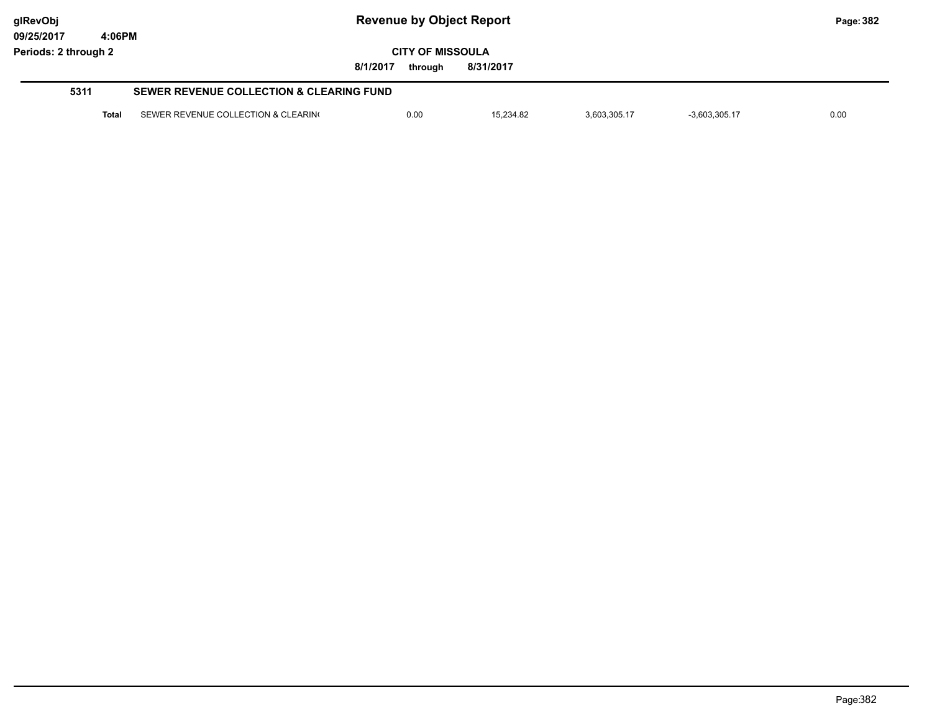| glRevObj             |        |
|----------------------|--------|
| 09/25/2017           | 4:06PM |
| Periods: 2 through 2 |        |

**Revenue by Object Report Page:** 382

**CITY OF MISSOULA**

**8/1/2017 through 8/31/2017**

| 5311  | <b>SEWER REVENUE COLLECTION &amp; \</b><br>$\sim$                   | <b>EARING FUND</b> |         |              |           |      |
|-------|---------------------------------------------------------------------|--------------------|---------|--------------|-----------|------|
| Total | SEWER REVENUE COL<br>$\cdot$ I FCTION & $\cdot$<br>™ARIN\<br>$\sim$ | 0.00               | .234.82 | $\cdot$ 2015 | אחד דחם ג | 0.00 |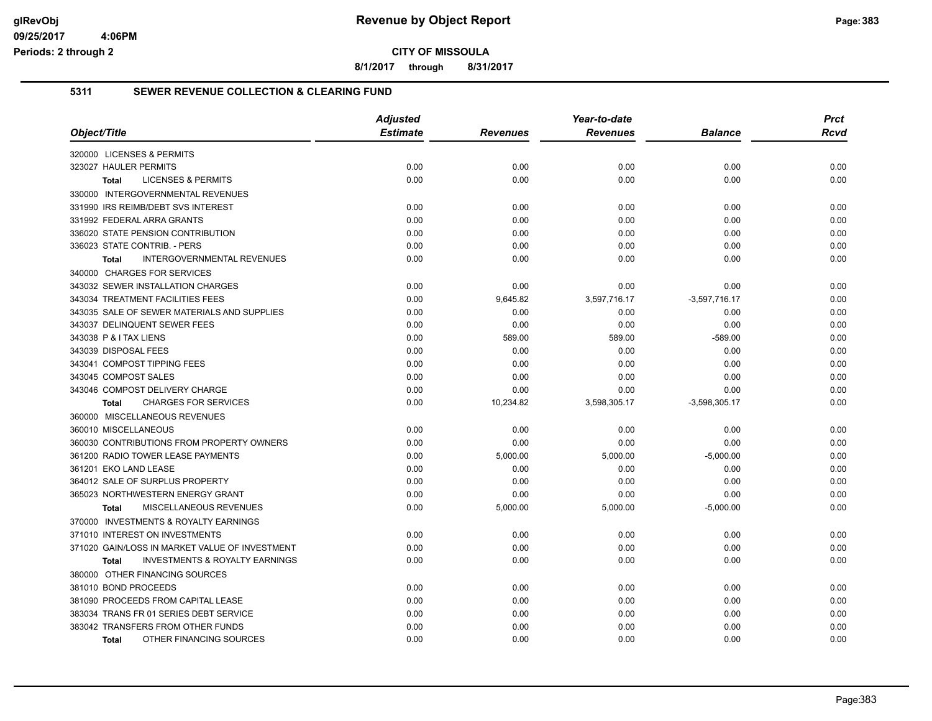**8/1/2017 through 8/31/2017**

### **5311 SEWER REVENUE COLLECTION & CLEARING FUND**

|                                                    | <b>Adjusted</b> |                 | Year-to-date    |                 | <b>Prct</b> |
|----------------------------------------------------|-----------------|-----------------|-----------------|-----------------|-------------|
| Object/Title                                       | <b>Estimate</b> | <b>Revenues</b> | <b>Revenues</b> | <b>Balance</b>  | <b>Rcvd</b> |
| 320000 LICENSES & PERMITS                          |                 |                 |                 |                 |             |
| 323027 HAULER PERMITS                              | 0.00            | 0.00            | 0.00            | 0.00            | 0.00        |
| <b>LICENSES &amp; PERMITS</b><br><b>Total</b>      | 0.00            | 0.00            | 0.00            | 0.00            | 0.00        |
| 330000 INTERGOVERNMENTAL REVENUES                  |                 |                 |                 |                 |             |
| 331990 IRS REIMB/DEBT SVS INTEREST                 | 0.00            | 0.00            | 0.00            | 0.00            | 0.00        |
| 331992 FEDERAL ARRA GRANTS                         | 0.00            | 0.00            | 0.00            | 0.00            | 0.00        |
| 336020 STATE PENSION CONTRIBUTION                  | 0.00            | 0.00            | 0.00            | 0.00            | 0.00        |
| 336023 STATE CONTRIB. - PERS                       | 0.00            | 0.00            | 0.00            | 0.00            | 0.00        |
| <b>INTERGOVERNMENTAL REVENUES</b><br><b>Total</b>  | 0.00            | 0.00            | 0.00            | 0.00            | 0.00        |
| 340000 CHARGES FOR SERVICES                        |                 |                 |                 |                 |             |
| 343032 SEWER INSTALLATION CHARGES                  | 0.00            | 0.00            | 0.00            | 0.00            | 0.00        |
| 343034 TREATMENT FACILITIES FEES                   | 0.00            | 9,645.82        | 3,597,716.17    | $-3,597,716.17$ | 0.00        |
| 343035 SALE OF SEWER MATERIALS AND SUPPLIES        | 0.00            | 0.00            | 0.00            | 0.00            | 0.00        |
| 343037 DELINQUENT SEWER FEES                       | 0.00            | 0.00            | 0.00            | 0.00            | 0.00        |
| 343038 P & I TAX LIENS                             | 0.00            | 589.00          | 589.00          | $-589.00$       | 0.00        |
| 343039 DISPOSAL FEES                               | 0.00            | 0.00            | 0.00            | 0.00            | 0.00        |
| 343041 COMPOST TIPPING FEES                        | 0.00            | 0.00            | 0.00            | 0.00            | 0.00        |
| 343045 COMPOST SALES                               | 0.00            | 0.00            | 0.00            | 0.00            | 0.00        |
| 343046 COMPOST DELIVERY CHARGE                     | 0.00            | 0.00            | 0.00            | 0.00            | 0.00        |
| <b>CHARGES FOR SERVICES</b><br><b>Total</b>        | 0.00            | 10,234.82       | 3,598,305.17    | $-3,598,305.17$ | 0.00        |
| 360000 MISCELLANEOUS REVENUES                      |                 |                 |                 |                 |             |
| 360010 MISCELLANEOUS                               | 0.00            | 0.00            | 0.00            | 0.00            | 0.00        |
| 360030 CONTRIBUTIONS FROM PROPERTY OWNERS          | 0.00            | 0.00            | 0.00            | 0.00            | 0.00        |
| 361200 RADIO TOWER LEASE PAYMENTS                  | 0.00            | 5,000.00        | 5,000.00        | $-5,000.00$     | 0.00        |
| 361201 EKO LAND LEASE                              | 0.00            | 0.00            | 0.00            | 0.00            | 0.00        |
| 364012 SALE OF SURPLUS PROPERTY                    | 0.00            | 0.00            | 0.00            | 0.00            | 0.00        |
| 365023 NORTHWESTERN ENERGY GRANT                   | 0.00            | 0.00            | 0.00            | 0.00            | 0.00        |
| MISCELLANEOUS REVENUES<br><b>Total</b>             | 0.00            | 5,000.00        | 5,000.00        | $-5,000.00$     | 0.00        |
| 370000 INVESTMENTS & ROYALTY EARNINGS              |                 |                 |                 |                 |             |
| 371010 INTEREST ON INVESTMENTS                     | 0.00            | 0.00            | 0.00            | 0.00            | 0.00        |
| 371020 GAIN/LOSS IN MARKET VALUE OF INVESTMENT     | 0.00            | 0.00            | 0.00            | 0.00            | 0.00        |
| <b>INVESTMENTS &amp; ROYALTY EARNINGS</b><br>Total | 0.00            | 0.00            | 0.00            | 0.00            | 0.00        |
| 380000 OTHER FINANCING SOURCES                     |                 |                 |                 |                 |             |
| 381010 BOND PROCEEDS                               | 0.00            | 0.00            | 0.00            | 0.00            | 0.00        |
| 381090 PROCEEDS FROM CAPITAL LEASE                 | 0.00            | 0.00            | 0.00            | 0.00            | 0.00        |
| 383034 TRANS FR 01 SERIES DEBT SERVICE             | 0.00            | 0.00            | 0.00            | 0.00            | 0.00        |
| 383042 TRANSFERS FROM OTHER FUNDS                  | 0.00            | 0.00            | 0.00            | 0.00            | 0.00        |
| OTHER FINANCING SOURCES<br>Total                   | 0.00            | 0.00            | 0.00            | 0.00            | 0.00        |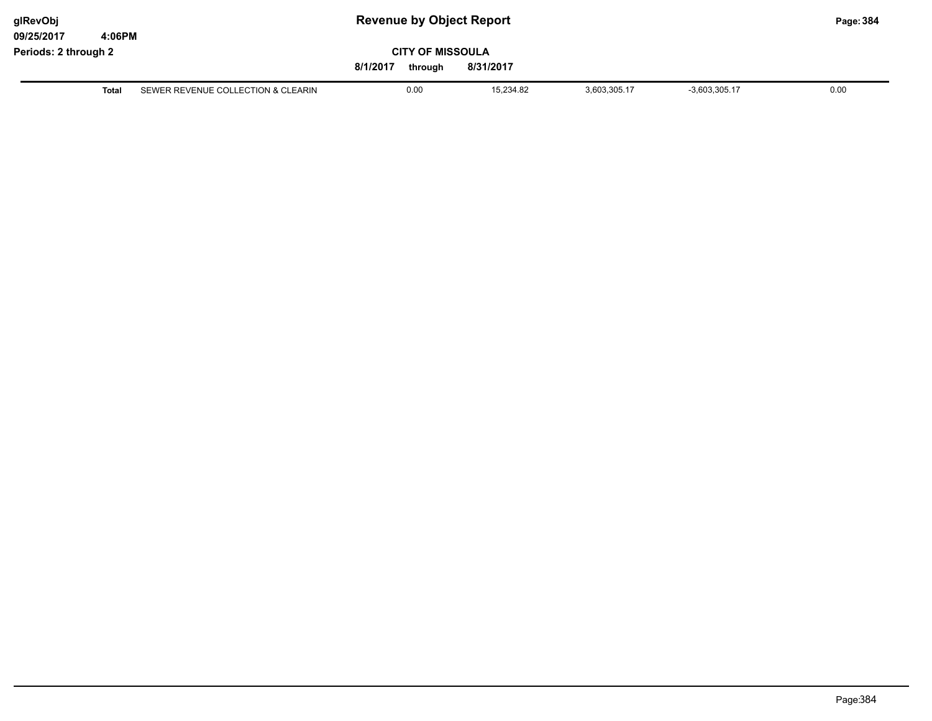| glRevObj<br>09/25/2017<br>4:06PM |              |                                    |                         | <b>Revenue by Object Report</b> |           |              |                 | Page: 384 |
|----------------------------------|--------------|------------------------------------|-------------------------|---------------------------------|-----------|--------------|-----------------|-----------|
| Periods: 2 through 2             |              |                                    | <b>CITY OF MISSOULA</b> |                                 |           |              |                 |           |
|                                  |              |                                    | 8/1/2017                | through                         | 8/31/2017 |              |                 |           |
|                                  | <b>Total</b> | SEWER REVENUE COLLECTION & CLEARIN |                         | 0.00                            | 15,234.82 | 3,603,305.17 | $-3,603,305.17$ | 0.00      |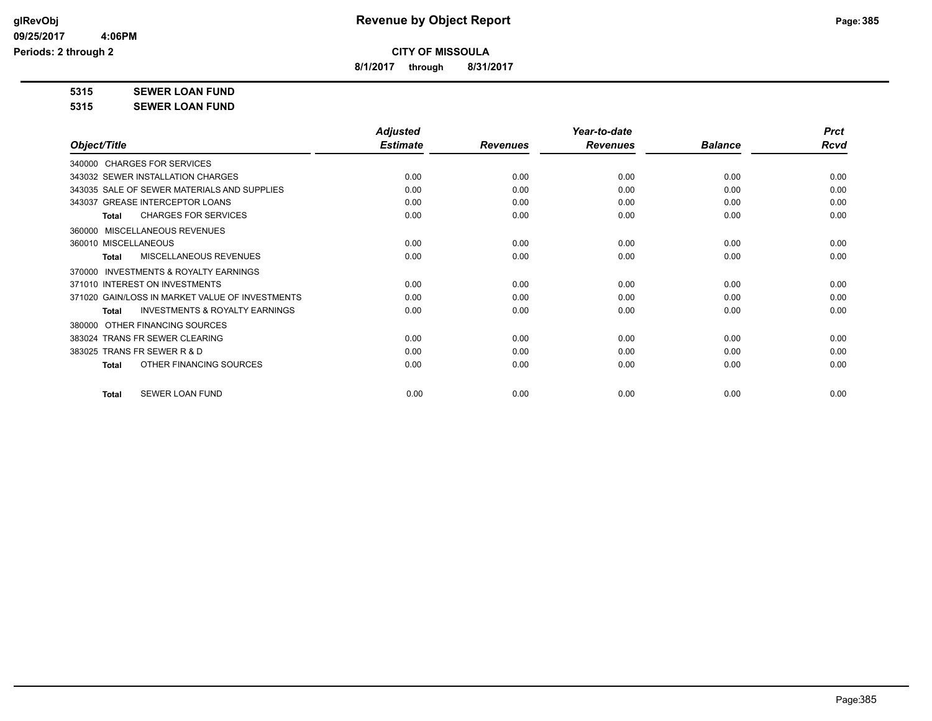**8/1/2017 through 8/31/2017**

### **5315 SEWER LOAN FUND**

**5315 SEWER LOAN FUND**

|                                                           | <b>Adjusted</b> |                 | Year-to-date    |                | <b>Prct</b> |
|-----------------------------------------------------------|-----------------|-----------------|-----------------|----------------|-------------|
| Object/Title                                              | <b>Estimate</b> | <b>Revenues</b> | <b>Revenues</b> | <b>Balance</b> | Rcvd        |
| 340000 CHARGES FOR SERVICES                               |                 |                 |                 |                |             |
| 343032 SEWER INSTALLATION CHARGES                         | 0.00            | 0.00            | 0.00            | 0.00           | 0.00        |
| 343035 SALE OF SEWER MATERIALS AND SUPPLIES               | 0.00            | 0.00            | 0.00            | 0.00           | 0.00        |
| 343037 GREASE INTERCEPTOR LOANS                           | 0.00            | 0.00            | 0.00            | 0.00           | 0.00        |
| <b>CHARGES FOR SERVICES</b><br><b>Total</b>               | 0.00            | 0.00            | 0.00            | 0.00           | 0.00        |
| 360000 MISCELLANEOUS REVENUES                             |                 |                 |                 |                |             |
| 360010 MISCELLANEOUS                                      | 0.00            | 0.00            | 0.00            | 0.00           | 0.00        |
| <b>MISCELLANEOUS REVENUES</b><br><b>Total</b>             | 0.00            | 0.00            | 0.00            | 0.00           | 0.00        |
| <b>INVESTMENTS &amp; ROYALTY EARNINGS</b><br>370000       |                 |                 |                 |                |             |
| 371010 INTEREST ON INVESTMENTS                            | 0.00            | 0.00            | 0.00            | 0.00           | 0.00        |
| 371020 GAIN/LOSS IN MARKET VALUE OF INVESTMENTS           | 0.00            | 0.00            | 0.00            | 0.00           | 0.00        |
| <b>INVESTMENTS &amp; ROYALTY EARNINGS</b><br><b>Total</b> | 0.00            | 0.00            | 0.00            | 0.00           | 0.00        |
| OTHER FINANCING SOURCES<br>380000                         |                 |                 |                 |                |             |
| 383024 TRANS FR SEWER CLEARING                            | 0.00            | 0.00            | 0.00            | 0.00           | 0.00        |
| 383025 TRANS FR SEWER R & D                               | 0.00            | 0.00            | 0.00            | 0.00           | 0.00        |
| OTHER FINANCING SOURCES<br><b>Total</b>                   | 0.00            | 0.00            | 0.00            | 0.00           | 0.00        |
|                                                           |                 |                 |                 |                |             |
| <b>SEWER LOAN FUND</b><br><b>Total</b>                    | 0.00            | 0.00            | 0.00            | 0.00           | 0.00        |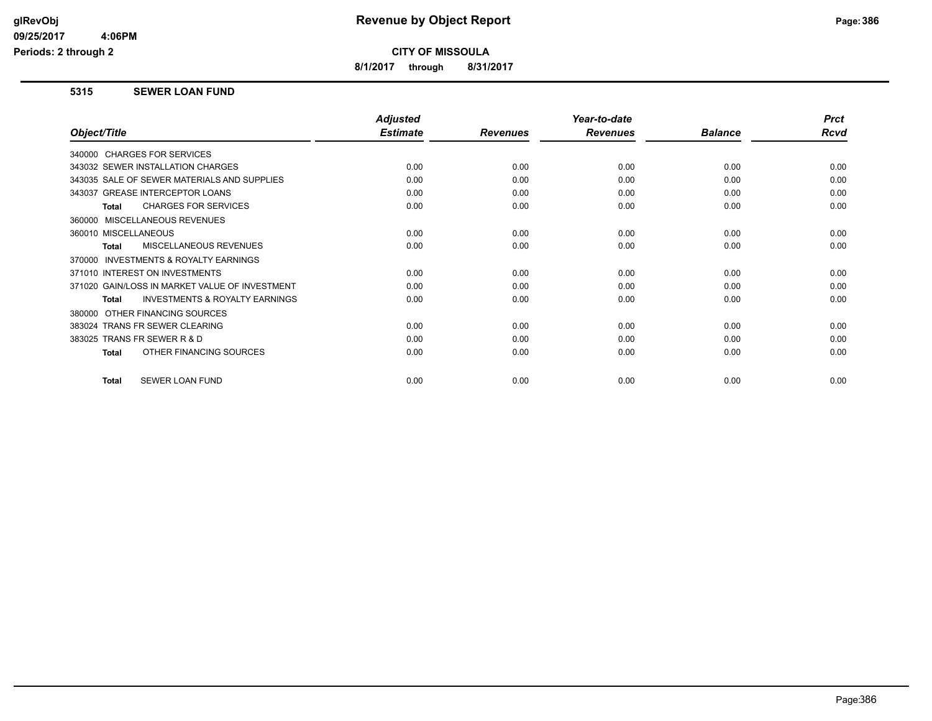**8/1/2017 through 8/31/2017**

### **5315 SEWER LOAN FUND**

|                                                           | <b>Adjusted</b> |                 | Year-to-date    |                | <b>Prct</b> |
|-----------------------------------------------------------|-----------------|-----------------|-----------------|----------------|-------------|
| Object/Title                                              | <b>Estimate</b> | <b>Revenues</b> | <b>Revenues</b> | <b>Balance</b> | <b>Rcvd</b> |
| 340000 CHARGES FOR SERVICES                               |                 |                 |                 |                |             |
| 343032 SEWER INSTALLATION CHARGES                         | 0.00            | 0.00            | 0.00            | 0.00           | 0.00        |
| 343035 SALE OF SEWER MATERIALS AND SUPPLIES               | 0.00            | 0.00            | 0.00            | 0.00           | 0.00        |
| 343037 GREASE INTERCEPTOR LOANS                           | 0.00            | 0.00            | 0.00            | 0.00           | 0.00        |
| <b>CHARGES FOR SERVICES</b><br><b>Total</b>               | 0.00            | 0.00            | 0.00            | 0.00           | 0.00        |
| 360000 MISCELLANEOUS REVENUES                             |                 |                 |                 |                |             |
| 360010 MISCELLANEOUS                                      | 0.00            | 0.00            | 0.00            | 0.00           | 0.00        |
| <b>MISCELLANEOUS REVENUES</b><br><b>Total</b>             | 0.00            | 0.00            | 0.00            | 0.00           | 0.00        |
| INVESTMENTS & ROYALTY EARNINGS<br>370000                  |                 |                 |                 |                |             |
| 371010 INTEREST ON INVESTMENTS                            | 0.00            | 0.00            | 0.00            | 0.00           | 0.00        |
| 371020 GAIN/LOSS IN MARKET VALUE OF INVESTMENT            | 0.00            | 0.00            | 0.00            | 0.00           | 0.00        |
| <b>INVESTMENTS &amp; ROYALTY EARNINGS</b><br><b>Total</b> | 0.00            | 0.00            | 0.00            | 0.00           | 0.00        |
| OTHER FINANCING SOURCES<br>380000                         |                 |                 |                 |                |             |
| 383024 TRANS FR SEWER CLEARING                            | 0.00            | 0.00            | 0.00            | 0.00           | 0.00        |
| 383025 TRANS FR SEWER R & D                               | 0.00            | 0.00            | 0.00            | 0.00           | 0.00        |
| OTHER FINANCING SOURCES<br><b>Total</b>                   | 0.00            | 0.00            | 0.00            | 0.00           | 0.00        |
| SEWER LOAN FUND<br><b>Total</b>                           | 0.00            | 0.00            | 0.00            | 0.00           | 0.00        |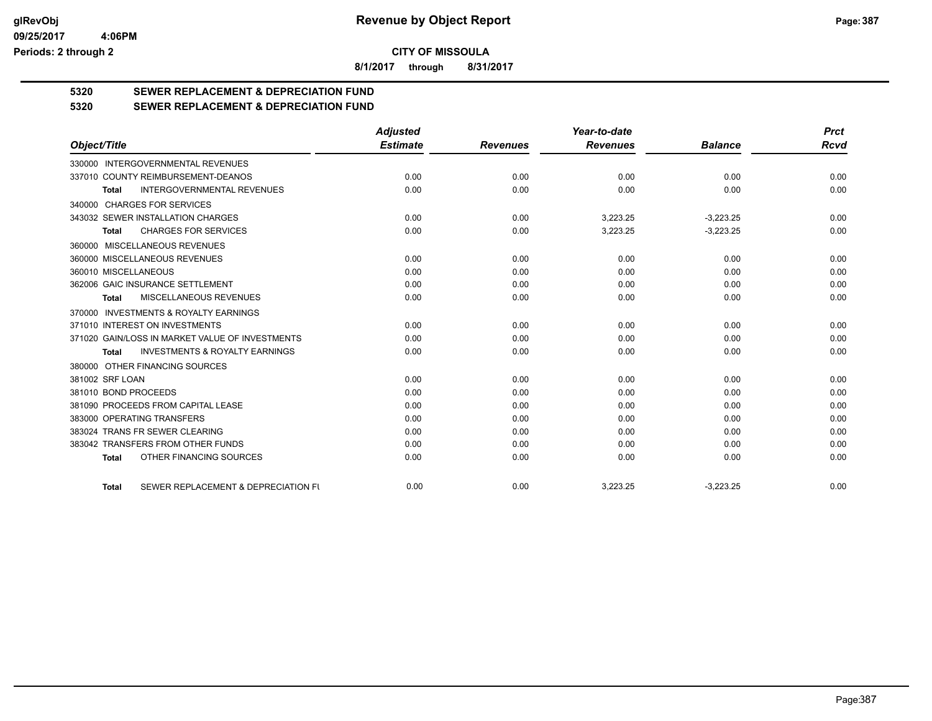**8/1/2017 through 8/31/2017**

# **5320 SEWER REPLACEMENT & DEPRECIATION FUND**

## **5320 SEWER REPLACEMENT & DEPRECIATION FUND**

|                                                           | <b>Adjusted</b> |                 | Year-to-date    |                | <b>Prct</b> |
|-----------------------------------------------------------|-----------------|-----------------|-----------------|----------------|-------------|
| Object/Title                                              | <b>Estimate</b> | <b>Revenues</b> | <b>Revenues</b> | <b>Balance</b> | <b>Rcvd</b> |
| 330000 INTERGOVERNMENTAL REVENUES                         |                 |                 |                 |                |             |
| 337010 COUNTY REIMBURSEMENT-DEANOS                        | 0.00            | 0.00            | 0.00            | 0.00           | 0.00        |
| <b>INTERGOVERNMENTAL REVENUES</b><br><b>Total</b>         | 0.00            | 0.00            | 0.00            | 0.00           | 0.00        |
| 340000 CHARGES FOR SERVICES                               |                 |                 |                 |                |             |
| 343032 SEWER INSTALLATION CHARGES                         | 0.00            | 0.00            | 3,223.25        | $-3,223.25$    | 0.00        |
| <b>CHARGES FOR SERVICES</b><br><b>Total</b>               | 0.00            | 0.00            | 3,223.25        | $-3,223.25$    | 0.00        |
| 360000 MISCELLANEOUS REVENUES                             |                 |                 |                 |                |             |
| 360000 MISCELLANEOUS REVENUES                             | 0.00            | 0.00            | 0.00            | 0.00           | 0.00        |
| 360010 MISCELLANEOUS                                      | 0.00            | 0.00            | 0.00            | 0.00           | 0.00        |
| 362006 GAIC INSURANCE SETTLEMENT                          | 0.00            | 0.00            | 0.00            | 0.00           | 0.00        |
| MISCELLANEOUS REVENUES<br><b>Total</b>                    | 0.00            | 0.00            | 0.00            | 0.00           | 0.00        |
| 370000 INVESTMENTS & ROYALTY EARNINGS                     |                 |                 |                 |                |             |
| 371010 INTEREST ON INVESTMENTS                            | 0.00            | 0.00            | 0.00            | 0.00           | 0.00        |
| 371020 GAIN/LOSS IN MARKET VALUE OF INVESTMENTS           | 0.00            | 0.00            | 0.00            | 0.00           | 0.00        |
| <b>INVESTMENTS &amp; ROYALTY EARNINGS</b><br><b>Total</b> | 0.00            | 0.00            | 0.00            | 0.00           | 0.00        |
| 380000 OTHER FINANCING SOURCES                            |                 |                 |                 |                |             |
| 381002 SRF LOAN                                           | 0.00            | 0.00            | 0.00            | 0.00           | 0.00        |
| 381010 BOND PROCEEDS                                      | 0.00            | 0.00            | 0.00            | 0.00           | 0.00        |
| 381090 PROCEEDS FROM CAPITAL LEASE                        | 0.00            | 0.00            | 0.00            | 0.00           | 0.00        |
| 383000 OPERATING TRANSFERS                                | 0.00            | 0.00            | 0.00            | 0.00           | 0.00        |
| 383024 TRANS FR SEWER CLEARING                            | 0.00            | 0.00            | 0.00            | 0.00           | 0.00        |
| 383042 TRANSFERS FROM OTHER FUNDS                         | 0.00            | 0.00            | 0.00            | 0.00           | 0.00        |
| OTHER FINANCING SOURCES<br><b>Total</b>                   | 0.00            | 0.00            | 0.00            | 0.00           | 0.00        |
| SEWER REPLACEMENT & DEPRECIATION FU<br><b>Total</b>       | 0.00            | 0.00            | 3,223.25        | $-3,223.25$    | 0.00        |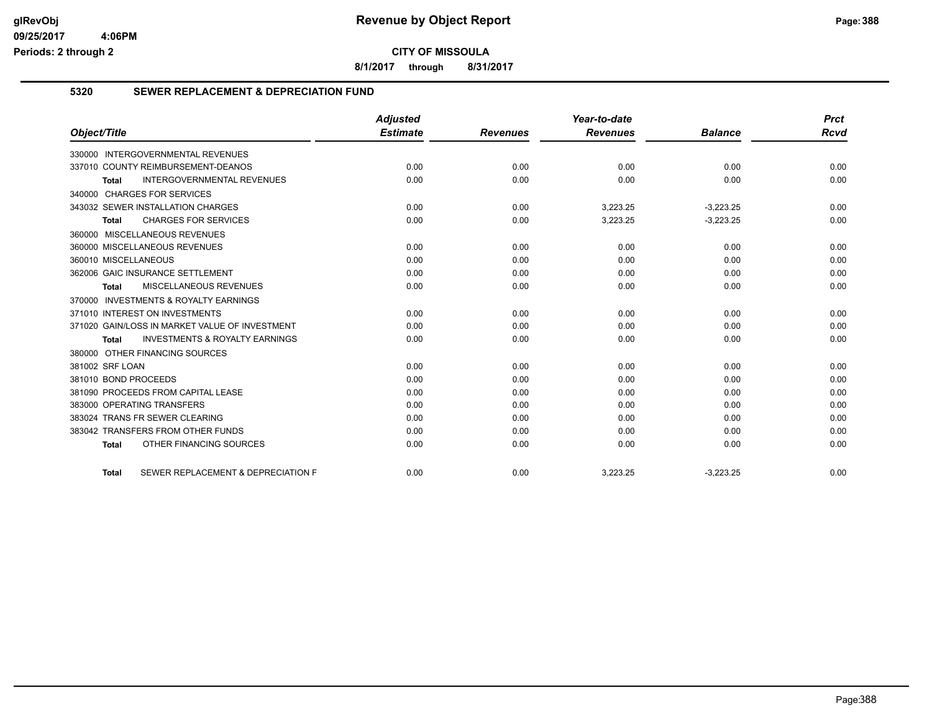**8/1/2017 through 8/31/2017**

### **5320 SEWER REPLACEMENT & DEPRECIATION FUND**

|                                                           | <b>Adjusted</b> |                 | Year-to-date    |                | <b>Prct</b> |
|-----------------------------------------------------------|-----------------|-----------------|-----------------|----------------|-------------|
| Object/Title                                              | <b>Estimate</b> | <b>Revenues</b> | <b>Revenues</b> | <b>Balance</b> | Rcvd        |
| 330000 INTERGOVERNMENTAL REVENUES                         |                 |                 |                 |                |             |
| 337010 COUNTY REIMBURSEMENT-DEANOS                        | 0.00            | 0.00            | 0.00            | 0.00           | 0.00        |
| <b>INTERGOVERNMENTAL REVENUES</b><br><b>Total</b>         | 0.00            | 0.00            | 0.00            | 0.00           | 0.00        |
| 340000 CHARGES FOR SERVICES                               |                 |                 |                 |                |             |
| 343032 SEWER INSTALLATION CHARGES                         | 0.00            | 0.00            | 3.223.25        | $-3.223.25$    | 0.00        |
| <b>CHARGES FOR SERVICES</b><br><b>Total</b>               | 0.00            | 0.00            | 3,223.25        | $-3,223.25$    | 0.00        |
| 360000 MISCELLANEOUS REVENUES                             |                 |                 |                 |                |             |
| 360000 MISCELLANEOUS REVENUES                             | 0.00            | 0.00            | 0.00            | 0.00           | 0.00        |
| 360010 MISCELLANEOUS                                      | 0.00            | 0.00            | 0.00            | 0.00           | 0.00        |
| 362006 GAIC INSURANCE SETTLEMENT                          | 0.00            | 0.00            | 0.00            | 0.00           | 0.00        |
| MISCELLANEOUS REVENUES<br><b>Total</b>                    | 0.00            | 0.00            | 0.00            | 0.00           | 0.00        |
| 370000 INVESTMENTS & ROYALTY EARNINGS                     |                 |                 |                 |                |             |
| 371010 INTEREST ON INVESTMENTS                            | 0.00            | 0.00            | 0.00            | 0.00           | 0.00        |
| 371020 GAIN/LOSS IN MARKET VALUE OF INVESTMENT            | 0.00            | 0.00            | 0.00            | 0.00           | 0.00        |
| <b>INVESTMENTS &amp; ROYALTY EARNINGS</b><br><b>Total</b> | 0.00            | 0.00            | 0.00            | 0.00           | 0.00        |
| 380000 OTHER FINANCING SOURCES                            |                 |                 |                 |                |             |
| 381002 SRF LOAN                                           | 0.00            | 0.00            | 0.00            | 0.00           | 0.00        |
| 381010 BOND PROCEEDS                                      | 0.00            | 0.00            | 0.00            | 0.00           | 0.00        |
| 381090 PROCEEDS FROM CAPITAL LEASE                        | 0.00            | 0.00            | 0.00            | 0.00           | 0.00        |
| 383000 OPERATING TRANSFERS                                | 0.00            | 0.00            | 0.00            | 0.00           | 0.00        |
| 383024 TRANS FR SEWER CLEARING                            | 0.00            | 0.00            | 0.00            | 0.00           | 0.00        |
| 383042 TRANSFERS FROM OTHER FUNDS                         | 0.00            | 0.00            | 0.00            | 0.00           | 0.00        |
| OTHER FINANCING SOURCES<br><b>Total</b>                   | 0.00            | 0.00            | 0.00            | 0.00           | 0.00        |
| SEWER REPLACEMENT & DEPRECIATION F<br><b>Total</b>        | 0.00            | 0.00            | 3,223.25        | $-3,223.25$    | 0.00        |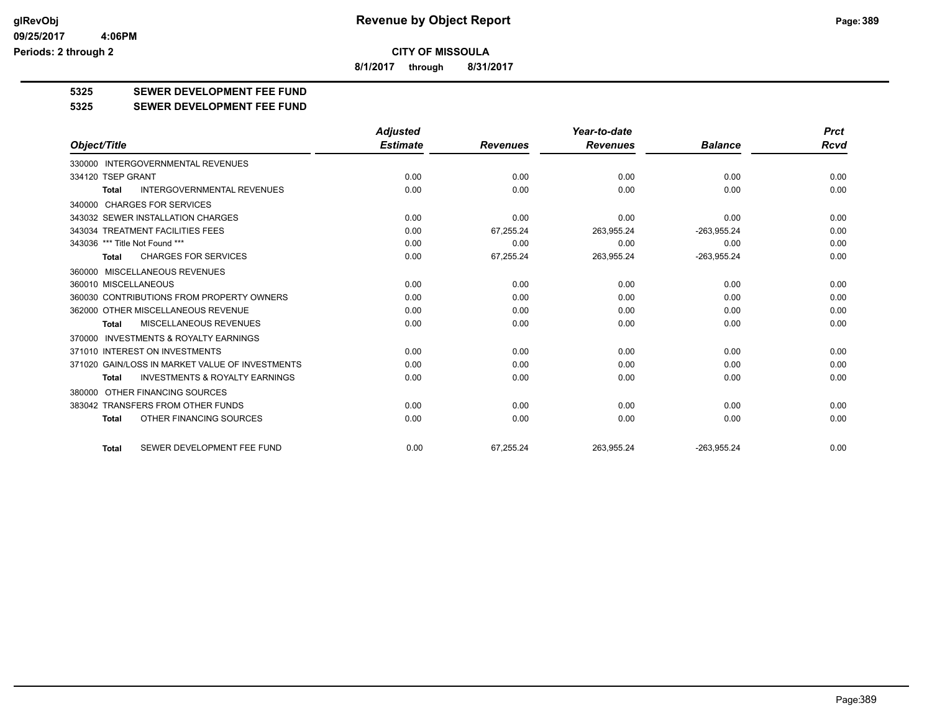**8/1/2017 through 8/31/2017**

**5325 SEWER DEVELOPMENT FEE FUND**

**5325 SEWER DEVELOPMENT FEE FUND**

|                                                    | <b>Adjusted</b> |                 | Year-to-date    |                | <b>Prct</b> |
|----------------------------------------------------|-----------------|-----------------|-----------------|----------------|-------------|
| Object/Title                                       | <b>Estimate</b> | <b>Revenues</b> | <b>Revenues</b> | <b>Balance</b> | <b>Rcvd</b> |
| 330000 INTERGOVERNMENTAL REVENUES                  |                 |                 |                 |                |             |
| 334120 TSEP GRANT                                  | 0.00            | 0.00            | 0.00            | 0.00           | 0.00        |
| <b>INTERGOVERNMENTAL REVENUES</b><br>Total         | 0.00            | 0.00            | 0.00            | 0.00           | 0.00        |
| 340000 CHARGES FOR SERVICES                        |                 |                 |                 |                |             |
| 343032 SEWER INSTALLATION CHARGES                  | 0.00            | 0.00            | 0.00            | 0.00           | 0.00        |
| 343034 TREATMENT FACILITIES FEES                   | 0.00            | 67,255.24       | 263,955.24      | $-263,955.24$  | 0.00        |
| 343036 *** Title Not Found ***                     | 0.00            | 0.00            | 0.00            | 0.00           | 0.00        |
| <b>CHARGES FOR SERVICES</b><br>Total               | 0.00            | 67,255.24       | 263,955.24      | $-263,955.24$  | 0.00        |
| 360000 MISCELLANEOUS REVENUES                      |                 |                 |                 |                |             |
| 360010 MISCELLANEOUS                               | 0.00            | 0.00            | 0.00            | 0.00           | 0.00        |
| 360030 CONTRIBUTIONS FROM PROPERTY OWNERS          | 0.00            | 0.00            | 0.00            | 0.00           | 0.00        |
| 362000 OTHER MISCELLANEOUS REVENUE                 | 0.00            | 0.00            | 0.00            | 0.00           | 0.00        |
| <b>MISCELLANEOUS REVENUES</b><br><b>Total</b>      | 0.00            | 0.00            | 0.00            | 0.00           | 0.00        |
| INVESTMENTS & ROYALTY EARNINGS<br>370000           |                 |                 |                 |                |             |
| 371010 INTEREST ON INVESTMENTS                     | 0.00            | 0.00            | 0.00            | 0.00           | 0.00        |
| 371020 GAIN/LOSS IN MARKET VALUE OF INVESTMENTS    | 0.00            | 0.00            | 0.00            | 0.00           | 0.00        |
| <b>INVESTMENTS &amp; ROYALTY EARNINGS</b><br>Total | 0.00            | 0.00            | 0.00            | 0.00           | 0.00        |
| 380000 OTHER FINANCING SOURCES                     |                 |                 |                 |                |             |
| 383042 TRANSFERS FROM OTHER FUNDS                  | 0.00            | 0.00            | 0.00            | 0.00           | 0.00        |
| OTHER FINANCING SOURCES<br>Total                   | 0.00            | 0.00            | 0.00            | 0.00           | 0.00        |
| SEWER DEVELOPMENT FEE FUND<br><b>Total</b>         | 0.00            | 67,255.24       | 263,955.24      | -263.955.24    | 0.00        |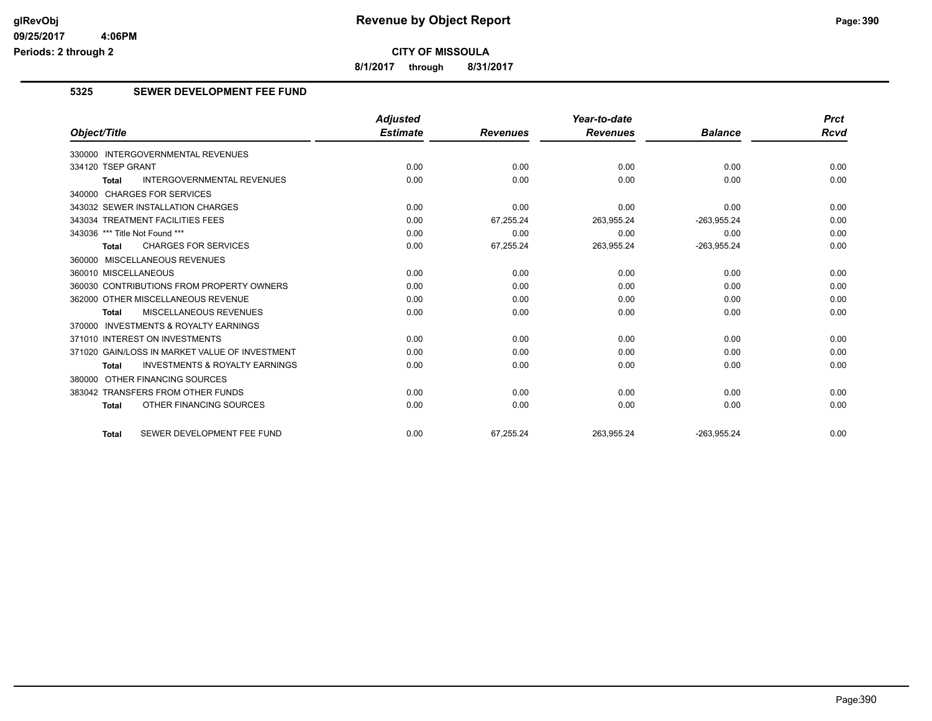**8/1/2017 through 8/31/2017**

### **5325 SEWER DEVELOPMENT FEE FUND**

|                                                           | <b>Adjusted</b> |                 | Year-to-date    |                |      |  |
|-----------------------------------------------------------|-----------------|-----------------|-----------------|----------------|------|--|
| Object/Title                                              | <b>Estimate</b> | <b>Revenues</b> | <b>Revenues</b> | <b>Balance</b> | Rcvd |  |
| 330000 INTERGOVERNMENTAL REVENUES                         |                 |                 |                 |                |      |  |
| 334120 TSEP GRANT                                         | 0.00            | 0.00            | 0.00            | 0.00           | 0.00 |  |
| <b>INTERGOVERNMENTAL REVENUES</b><br><b>Total</b>         | 0.00            | 0.00            | 0.00            | 0.00           | 0.00 |  |
| 340000 CHARGES FOR SERVICES                               |                 |                 |                 |                |      |  |
| 343032 SEWER INSTALLATION CHARGES                         | 0.00            | 0.00            | 0.00            | 0.00           | 0.00 |  |
| 343034 TREATMENT FACILITIES FEES                          | 0.00            | 67,255.24       | 263,955.24      | $-263,955.24$  | 0.00 |  |
| 343036 *** Title Not Found ***                            | 0.00            | 0.00            | 0.00            | 0.00           | 0.00 |  |
| <b>CHARGES FOR SERVICES</b><br><b>Total</b>               | 0.00            | 67,255.24       | 263,955.24      | $-263,955.24$  | 0.00 |  |
| 360000 MISCELLANEOUS REVENUES                             |                 |                 |                 |                |      |  |
| 360010 MISCELLANEOUS                                      | 0.00            | 0.00            | 0.00            | 0.00           | 0.00 |  |
| 360030 CONTRIBUTIONS FROM PROPERTY OWNERS                 | 0.00            | 0.00            | 0.00            | 0.00           | 0.00 |  |
| 362000 OTHER MISCELLANEOUS REVENUE                        | 0.00            | 0.00            | 0.00            | 0.00           | 0.00 |  |
| <b>MISCELLANEOUS REVENUES</b><br><b>Total</b>             | 0.00            | 0.00            | 0.00            | 0.00           | 0.00 |  |
| 370000 INVESTMENTS & ROYALTY EARNINGS                     |                 |                 |                 |                |      |  |
| 371010 INTEREST ON INVESTMENTS                            | 0.00            | 0.00            | 0.00            | 0.00           | 0.00 |  |
| 371020 GAIN/LOSS IN MARKET VALUE OF INVESTMENT            | 0.00            | 0.00            | 0.00            | 0.00           | 0.00 |  |
| <b>INVESTMENTS &amp; ROYALTY EARNINGS</b><br><b>Total</b> | 0.00            | 0.00            | 0.00            | 0.00           | 0.00 |  |
| 380000 OTHER FINANCING SOURCES                            |                 |                 |                 |                |      |  |
| 383042 TRANSFERS FROM OTHER FUNDS                         | 0.00            | 0.00            | 0.00            | 0.00           | 0.00 |  |
| OTHER FINANCING SOURCES<br><b>Total</b>                   | 0.00            | 0.00            | 0.00            | 0.00           | 0.00 |  |
| SEWER DEVELOPMENT FEE FUND<br><b>Total</b>                | 0.00            | 67,255.24       | 263,955.24      | $-263.955.24$  | 0.00 |  |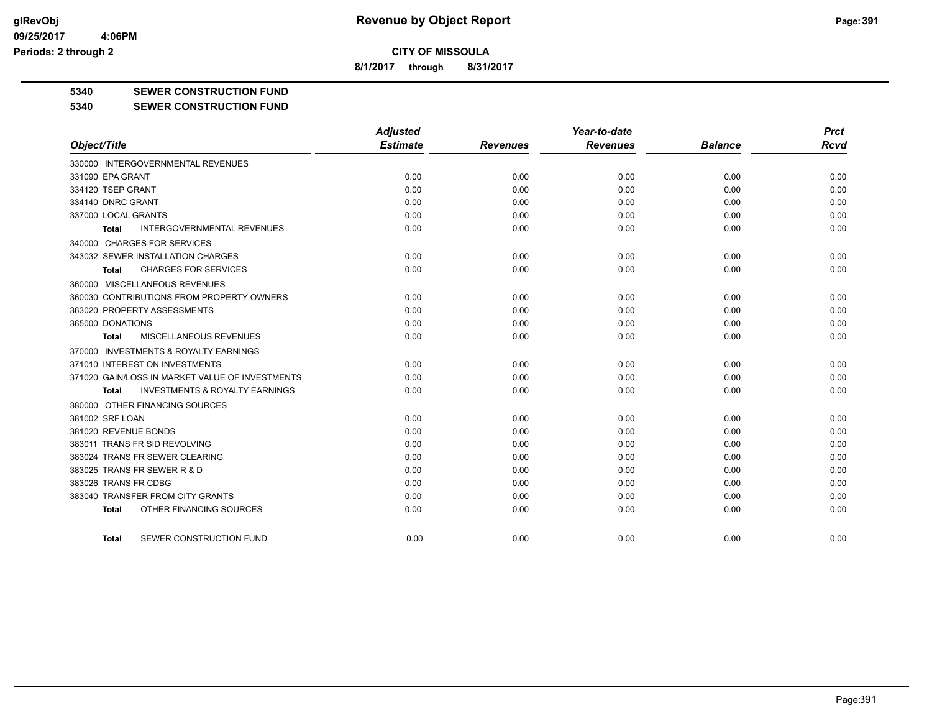**8/1/2017 through 8/31/2017**

**5340 SEWER CONSTRUCTION FUND**

**5340 SEWER CONSTRUCTION FUND**

|                                                           | <b>Adjusted</b> |                 | Year-to-date    |                | <b>Prct</b> |
|-----------------------------------------------------------|-----------------|-----------------|-----------------|----------------|-------------|
| Object/Title                                              | <b>Estimate</b> | <b>Revenues</b> | <b>Revenues</b> | <b>Balance</b> | <b>Rcvd</b> |
| 330000 INTERGOVERNMENTAL REVENUES                         |                 |                 |                 |                |             |
| 331090 EPA GRANT                                          | 0.00            | 0.00            | 0.00            | 0.00           | 0.00        |
| 334120 TSEP GRANT                                         | 0.00            | 0.00            | 0.00            | 0.00           | 0.00        |
| 334140 DNRC GRANT                                         | 0.00            | 0.00            | 0.00            | 0.00           | 0.00        |
| 337000 LOCAL GRANTS                                       | 0.00            | 0.00            | 0.00            | 0.00           | 0.00        |
| <b>INTERGOVERNMENTAL REVENUES</b><br><b>Total</b>         | 0.00            | 0.00            | 0.00            | 0.00           | 0.00        |
| 340000 CHARGES FOR SERVICES                               |                 |                 |                 |                |             |
| 343032 SEWER INSTALLATION CHARGES                         | 0.00            | 0.00            | 0.00            | 0.00           | 0.00        |
| <b>CHARGES FOR SERVICES</b><br>Total                      | 0.00            | 0.00            | 0.00            | 0.00           | 0.00        |
| 360000 MISCELLANEOUS REVENUES                             |                 |                 |                 |                |             |
| 360030 CONTRIBUTIONS FROM PROPERTY OWNERS                 | 0.00            | 0.00            | 0.00            | 0.00           | 0.00        |
| 363020 PROPERTY ASSESSMENTS                               | 0.00            | 0.00            | 0.00            | 0.00           | 0.00        |
| 365000 DONATIONS                                          | 0.00            | 0.00            | 0.00            | 0.00           | 0.00        |
| MISCELLANEOUS REVENUES<br><b>Total</b>                    | 0.00            | 0.00            | 0.00            | 0.00           | 0.00        |
| 370000 INVESTMENTS & ROYALTY EARNINGS                     |                 |                 |                 |                |             |
| 371010 INTEREST ON INVESTMENTS                            | 0.00            | 0.00            | 0.00            | 0.00           | 0.00        |
| 371020 GAIN/LOSS IN MARKET VALUE OF INVESTMENTS           | 0.00            | 0.00            | 0.00            | 0.00           | 0.00        |
| <b>INVESTMENTS &amp; ROYALTY EARNINGS</b><br><b>Total</b> | 0.00            | 0.00            | 0.00            | 0.00           | 0.00        |
| OTHER FINANCING SOURCES<br>380000                         |                 |                 |                 |                |             |
| 381002 SRF LOAN                                           | 0.00            | 0.00            | 0.00            | 0.00           | 0.00        |
| 381020 REVENUE BONDS                                      | 0.00            | 0.00            | 0.00            | 0.00           | 0.00        |
| 383011 TRANS FR SID REVOLVING                             | 0.00            | 0.00            | 0.00            | 0.00           | 0.00        |
| 383024 TRANS FR SEWER CLEARING                            | 0.00            | 0.00            | 0.00            | 0.00           | 0.00        |
| 383025 TRANS FR SEWER R & D                               | 0.00            | 0.00            | 0.00            | 0.00           | 0.00        |
| 383026 TRANS FR CDBG                                      | 0.00            | 0.00            | 0.00            | 0.00           | 0.00        |
| 383040 TRANSFER FROM CITY GRANTS                          | 0.00            | 0.00            | 0.00            | 0.00           | 0.00        |
| OTHER FINANCING SOURCES<br><b>Total</b>                   | 0.00            | 0.00            | 0.00            | 0.00           | 0.00        |
| SEWER CONSTRUCTION FUND<br>Total                          | 0.00            | 0.00            | 0.00            | 0.00           | 0.00        |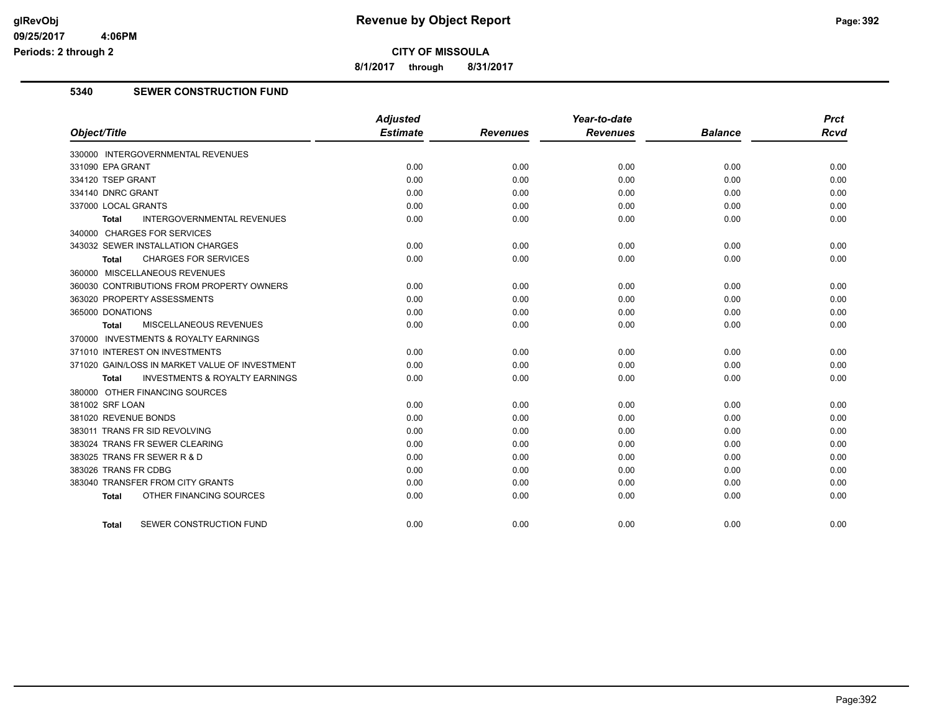**8/1/2017 through 8/31/2017**

### **5340 SEWER CONSTRUCTION FUND**

|                                                    | <b>Adjusted</b> |                 | Year-to-date    |                | Prct        |
|----------------------------------------------------|-----------------|-----------------|-----------------|----------------|-------------|
| Object/Title                                       | <b>Estimate</b> | <b>Revenues</b> | <b>Revenues</b> | <b>Balance</b> | <b>Rcvd</b> |
| 330000 INTERGOVERNMENTAL REVENUES                  |                 |                 |                 |                |             |
| 331090 EPA GRANT                                   | 0.00            | 0.00            | 0.00            | 0.00           | 0.00        |
| 334120 TSEP GRANT                                  | 0.00            | 0.00            | 0.00            | 0.00           | 0.00        |
| 334140 DNRC GRANT                                  | 0.00            | 0.00            | 0.00            | 0.00           | 0.00        |
| 337000 LOCAL GRANTS                                | 0.00            | 0.00            | 0.00            | 0.00           | 0.00        |
| <b>INTERGOVERNMENTAL REVENUES</b><br>Total         | 0.00            | 0.00            | 0.00            | 0.00           | 0.00        |
| 340000 CHARGES FOR SERVICES                        |                 |                 |                 |                |             |
| 343032 SEWER INSTALLATION CHARGES                  | 0.00            | 0.00            | 0.00            | 0.00           | 0.00        |
| <b>CHARGES FOR SERVICES</b><br>Total               | 0.00            | 0.00            | 0.00            | 0.00           | 0.00        |
| 360000 MISCELLANEOUS REVENUES                      |                 |                 |                 |                |             |
| 360030 CONTRIBUTIONS FROM PROPERTY OWNERS          | 0.00            | 0.00            | 0.00            | 0.00           | 0.00        |
| 363020 PROPERTY ASSESSMENTS                        | 0.00            | 0.00            | 0.00            | 0.00           | 0.00        |
| 365000 DONATIONS                                   | 0.00            | 0.00            | 0.00            | 0.00           | 0.00        |
| <b>MISCELLANEOUS REVENUES</b><br>Total             | 0.00            | 0.00            | 0.00            | 0.00           | 0.00        |
| 370000 INVESTMENTS & ROYALTY EARNINGS              |                 |                 |                 |                |             |
| 371010 INTEREST ON INVESTMENTS                     | 0.00            | 0.00            | 0.00            | 0.00           | 0.00        |
| 371020 GAIN/LOSS IN MARKET VALUE OF INVESTMENT     | 0.00            | 0.00            | 0.00            | 0.00           | 0.00        |
| <b>INVESTMENTS &amp; ROYALTY EARNINGS</b><br>Total | 0.00            | 0.00            | 0.00            | 0.00           | 0.00        |
| 380000 OTHER FINANCING SOURCES                     |                 |                 |                 |                |             |
| 381002 SRF LOAN                                    | 0.00            | 0.00            | 0.00            | 0.00           | 0.00        |
| 381020 REVENUE BONDS                               | 0.00            | 0.00            | 0.00            | 0.00           | 0.00        |
| 383011 TRANS FR SID REVOLVING                      | 0.00            | 0.00            | 0.00            | 0.00           | 0.00        |
| 383024 TRANS FR SEWER CLEARING                     | 0.00            | 0.00            | 0.00            | 0.00           | 0.00        |
| 383025 TRANS FR SEWER R & D                        | 0.00            | 0.00            | 0.00            | 0.00           | 0.00        |
| 383026 TRANS FR CDBG                               | 0.00            | 0.00            | 0.00            | 0.00           | 0.00        |
| 383040 TRANSFER FROM CITY GRANTS                   | 0.00            | 0.00            | 0.00            | 0.00           | 0.00        |
| OTHER FINANCING SOURCES<br><b>Total</b>            | 0.00            | 0.00            | 0.00            | 0.00           | 0.00        |
| SEWER CONSTRUCTION FUND<br>Total                   | 0.00            | 0.00            | 0.00            | 0.00           | 0.00        |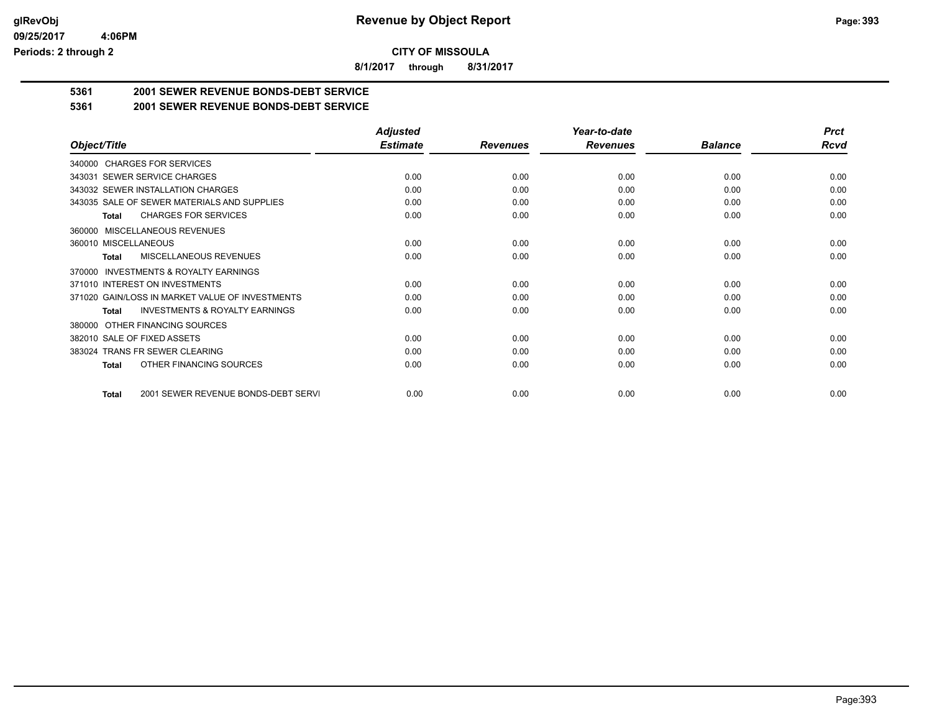**8/1/2017 through 8/31/2017**

## **5361 2001 SEWER REVENUE BONDS-DEBT SERVICE**

## **5361 2001 SEWER REVENUE BONDS-DEBT SERVICE**

|                                                           | <b>Adjusted</b> |                 | Year-to-date    |                | <b>Prct</b> |
|-----------------------------------------------------------|-----------------|-----------------|-----------------|----------------|-------------|
| Object/Title                                              | <b>Estimate</b> | <b>Revenues</b> | <b>Revenues</b> | <b>Balance</b> | <b>Rcvd</b> |
| <b>CHARGES FOR SERVICES</b><br>340000                     |                 |                 |                 |                |             |
| SEWER SERVICE CHARGES<br>343031                           | 0.00            | 0.00            | 0.00            | 0.00           | 0.00        |
| 343032 SEWER INSTALLATION CHARGES                         | 0.00            | 0.00            | 0.00            | 0.00           | 0.00        |
| 343035 SALE OF SEWER MATERIALS AND SUPPLIES               | 0.00            | 0.00            | 0.00            | 0.00           | 0.00        |
| <b>CHARGES FOR SERVICES</b><br><b>Total</b>               | 0.00            | 0.00            | 0.00            | 0.00           | 0.00        |
| MISCELLANEOUS REVENUES<br>360000                          |                 |                 |                 |                |             |
| 360010 MISCELLANEOUS                                      | 0.00            | 0.00            | 0.00            | 0.00           | 0.00        |
| <b>MISCELLANEOUS REVENUES</b><br><b>Total</b>             | 0.00            | 0.00            | 0.00            | 0.00           | 0.00        |
| <b>INVESTMENTS &amp; ROYALTY EARNINGS</b><br>370000       |                 |                 |                 |                |             |
| 371010 INTEREST ON INVESTMENTS                            | 0.00            | 0.00            | 0.00            | 0.00           | 0.00        |
| 371020 GAIN/LOSS IN MARKET VALUE OF INVESTMENTS           | 0.00            | 0.00            | 0.00            | 0.00           | 0.00        |
| <b>INVESTMENTS &amp; ROYALTY EARNINGS</b><br><b>Total</b> | 0.00            | 0.00            | 0.00            | 0.00           | 0.00        |
| OTHER FINANCING SOURCES<br>380000                         |                 |                 |                 |                |             |
| 382010 SALE OF FIXED ASSETS                               | 0.00            | 0.00            | 0.00            | 0.00           | 0.00        |
| 383024 TRANS FR SEWER CLEARING                            | 0.00            | 0.00            | 0.00            | 0.00           | 0.00        |
| OTHER FINANCING SOURCES<br>Total                          | 0.00            | 0.00            | 0.00            | 0.00           | 0.00        |
| 2001 SEWER REVENUE BONDS-DEBT SERVI<br>Total              | 0.00            | 0.00            | 0.00            | 0.00           | 0.00        |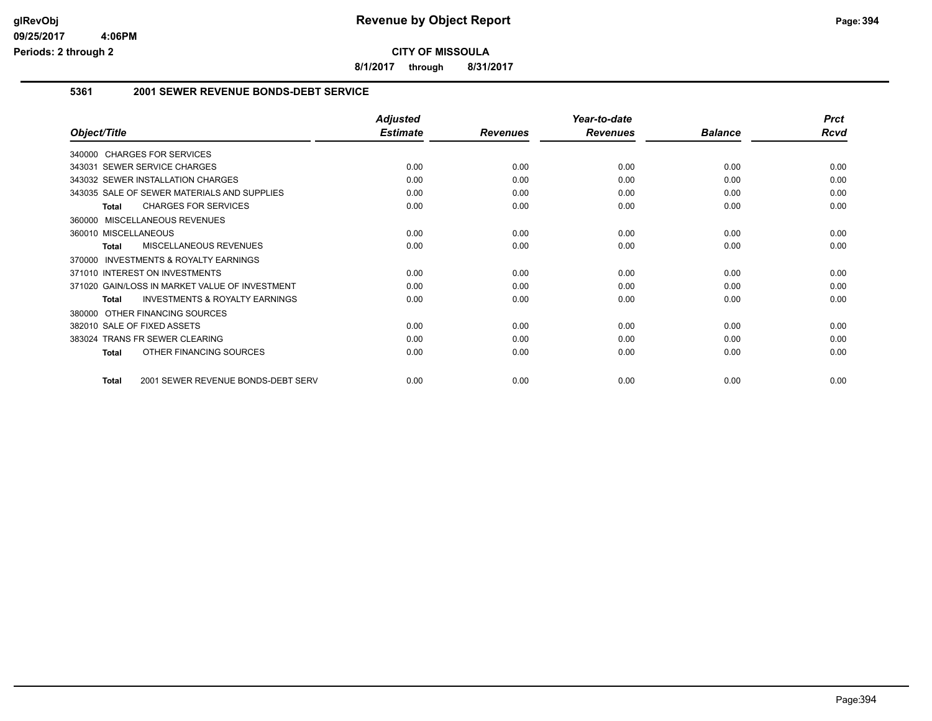**8/1/2017 through 8/31/2017**

### **5361 2001 SEWER REVENUE BONDS-DEBT SERVICE**

|                                                     | <b>Adjusted</b> |                 | Year-to-date    |                | <b>Prct</b> |
|-----------------------------------------------------|-----------------|-----------------|-----------------|----------------|-------------|
| Object/Title                                        | <b>Estimate</b> | <b>Revenues</b> | <b>Revenues</b> | <b>Balance</b> | <b>Rcvd</b> |
| 340000 CHARGES FOR SERVICES                         |                 |                 |                 |                |             |
| 343031 SEWER SERVICE CHARGES                        | 0.00            | 0.00            | 0.00            | 0.00           | 0.00        |
| 343032 SEWER INSTALLATION CHARGES                   | 0.00            | 0.00            | 0.00            | 0.00           | 0.00        |
| 343035 SALE OF SEWER MATERIALS AND SUPPLIES         | 0.00            | 0.00            | 0.00            | 0.00           | 0.00        |
| <b>CHARGES FOR SERVICES</b><br><b>Total</b>         | 0.00            | 0.00            | 0.00            | 0.00           | 0.00        |
| 360000 MISCELLANEOUS REVENUES                       |                 |                 |                 |                |             |
| 360010 MISCELLANEOUS                                | 0.00            | 0.00            | 0.00            | 0.00           | 0.00        |
| <b>MISCELLANEOUS REVENUES</b><br><b>Total</b>       | 0.00            | 0.00            | 0.00            | 0.00           | 0.00        |
| <b>INVESTMENTS &amp; ROYALTY EARNINGS</b><br>370000 |                 |                 |                 |                |             |
| 371010 INTEREST ON INVESTMENTS                      | 0.00            | 0.00            | 0.00            | 0.00           | 0.00        |
| 371020 GAIN/LOSS IN MARKET VALUE OF INVESTMENT      | 0.00            | 0.00            | 0.00            | 0.00           | 0.00        |
| <b>INVESTMENTS &amp; ROYALTY EARNINGS</b><br>Total  | 0.00            | 0.00            | 0.00            | 0.00           | 0.00        |
| OTHER FINANCING SOURCES<br>380000                   |                 |                 |                 |                |             |
| 382010 SALE OF FIXED ASSETS                         | 0.00            | 0.00            | 0.00            | 0.00           | 0.00        |
| 383024 TRANS FR SEWER CLEARING                      | 0.00            | 0.00            | 0.00            | 0.00           | 0.00        |
| OTHER FINANCING SOURCES<br><b>Total</b>             | 0.00            | 0.00            | 0.00            | 0.00           | 0.00        |
| 2001 SEWER REVENUE BONDS-DEBT SERV<br><b>Total</b>  | 0.00            | 0.00            | 0.00            | 0.00           | 0.00        |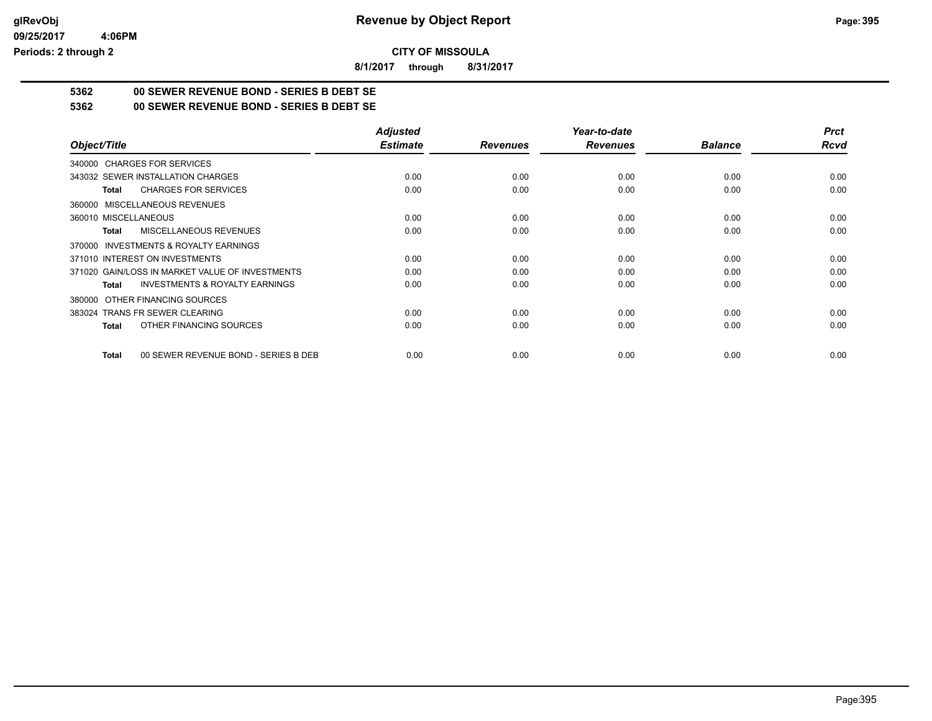**Periods: 2 through 2**

 **4:06PM**

**CITY OF MISSOULA**

**8/1/2017 through 8/31/2017**

## **5362 00 SEWER REVENUE BOND - SERIES B DEBT SE**

**5362 00 SEWER REVENUE BOND - SERIES B DEBT SE**

|                                                      | <b>Adjusted</b> |                 | Year-to-date    |                | <b>Prct</b> |
|------------------------------------------------------|-----------------|-----------------|-----------------|----------------|-------------|
| Object/Title                                         | <b>Estimate</b> | <b>Revenues</b> | <b>Revenues</b> | <b>Balance</b> | Rcvd        |
| 340000 CHARGES FOR SERVICES                          |                 |                 |                 |                |             |
| 343032 SEWER INSTALLATION CHARGES                    | 0.00            | 0.00            | 0.00            | 0.00           | 0.00        |
| <b>CHARGES FOR SERVICES</b><br>Total                 | 0.00            | 0.00            | 0.00            | 0.00           | 0.00        |
| 360000 MISCELLANEOUS REVENUES                        |                 |                 |                 |                |             |
| 360010 MISCELLANEOUS                                 | 0.00            | 0.00            | 0.00            | 0.00           | 0.00        |
| MISCELLANEOUS REVENUES<br>Total                      | 0.00            | 0.00            | 0.00            | 0.00           | 0.00        |
| 370000 INVESTMENTS & ROYALTY EARNINGS                |                 |                 |                 |                |             |
| 371010 INTEREST ON INVESTMENTS                       | 0.00            | 0.00            | 0.00            | 0.00           | 0.00        |
| 371020 GAIN/LOSS IN MARKET VALUE OF INVESTMENTS      | 0.00            | 0.00            | 0.00            | 0.00           | 0.00        |
| <b>INVESTMENTS &amp; ROYALTY EARNINGS</b><br>Total   | 0.00            | 0.00            | 0.00            | 0.00           | 0.00        |
| 380000 OTHER FINANCING SOURCES                       |                 |                 |                 |                |             |
| 383024 TRANS FR SEWER CLEARING                       | 0.00            | 0.00            | 0.00            | 0.00           | 0.00        |
| OTHER FINANCING SOURCES<br>Total                     | 0.00            | 0.00            | 0.00            | 0.00           | 0.00        |
|                                                      |                 |                 |                 |                |             |
| 00 SEWER REVENUE BOND - SERIES B DEB<br><b>Total</b> | 0.00            | 0.00            | 0.00            | 0.00           | 0.00        |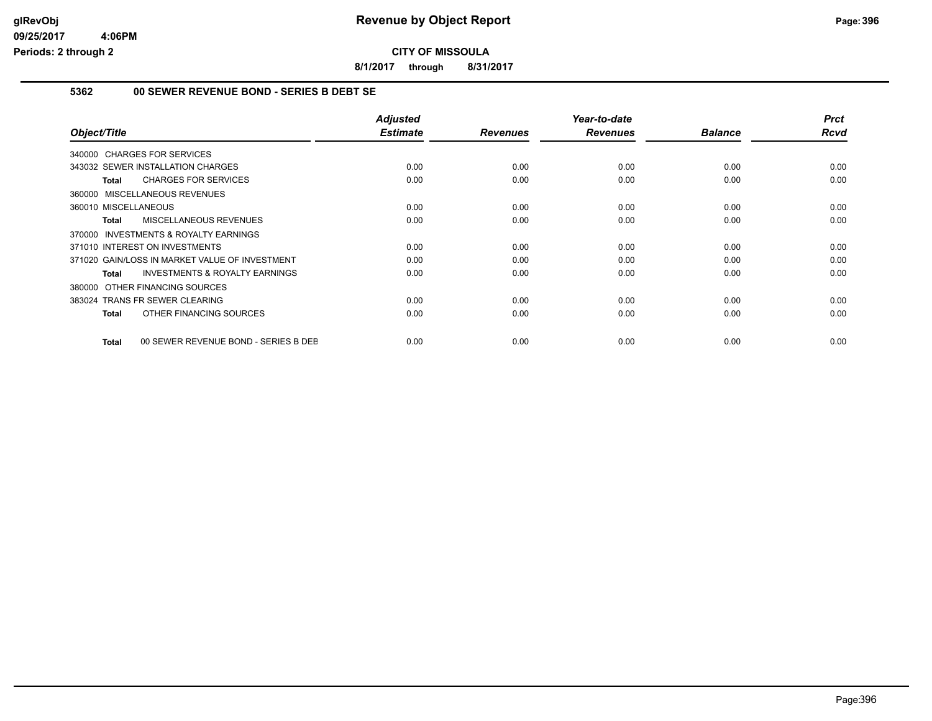**8/1/2017 through 8/31/2017**

### **5362 00 SEWER REVENUE BOND - SERIES B DEBT SE**

| Object/Title                                         | <b>Adjusted</b><br><b>Estimate</b> | <b>Revenues</b> | Year-to-date<br><b>Revenues</b> | <b>Balance</b> | <b>Prct</b><br><b>Rcvd</b> |
|------------------------------------------------------|------------------------------------|-----------------|---------------------------------|----------------|----------------------------|
|                                                      |                                    |                 |                                 |                |                            |
| 340000 CHARGES FOR SERVICES                          |                                    |                 |                                 |                |                            |
| 343032 SEWER INSTALLATION CHARGES                    | 0.00                               | 0.00            | 0.00                            | 0.00           | 0.00                       |
| <b>CHARGES FOR SERVICES</b><br>Total                 | 0.00                               | 0.00            | 0.00                            | 0.00           | 0.00                       |
| 360000 MISCELLANEOUS REVENUES                        |                                    |                 |                                 |                |                            |
| 360010 MISCELLANEOUS                                 | 0.00                               | 0.00            | 0.00                            | 0.00           | 0.00                       |
| MISCELLANEOUS REVENUES<br><b>Total</b>               | 0.00                               | 0.00            | 0.00                            | 0.00           | 0.00                       |
| 370000 INVESTMENTS & ROYALTY EARNINGS                |                                    |                 |                                 |                |                            |
| 371010 INTEREST ON INVESTMENTS                       | 0.00                               | 0.00            | 0.00                            | 0.00           | 0.00                       |
| 371020 GAIN/LOSS IN MARKET VALUE OF INVESTMENT       | 0.00                               | 0.00            | 0.00                            | 0.00           | 0.00                       |
| <b>INVESTMENTS &amp; ROYALTY EARNINGS</b><br>Total   | 0.00                               | 0.00            | 0.00                            | 0.00           | 0.00                       |
| 380000 OTHER FINANCING SOURCES                       |                                    |                 |                                 |                |                            |
| 383024 TRANS FR SEWER CLEARING                       | 0.00                               | 0.00            | 0.00                            | 0.00           | 0.00                       |
| OTHER FINANCING SOURCES<br><b>Total</b>              | 0.00                               | 0.00            | 0.00                            | 0.00           | 0.00                       |
|                                                      |                                    |                 |                                 |                |                            |
| 00 SEWER REVENUE BOND - SERIES B DEE<br><b>Total</b> | 0.00                               | 0.00            | 0.00                            | 0.00           | 0.00                       |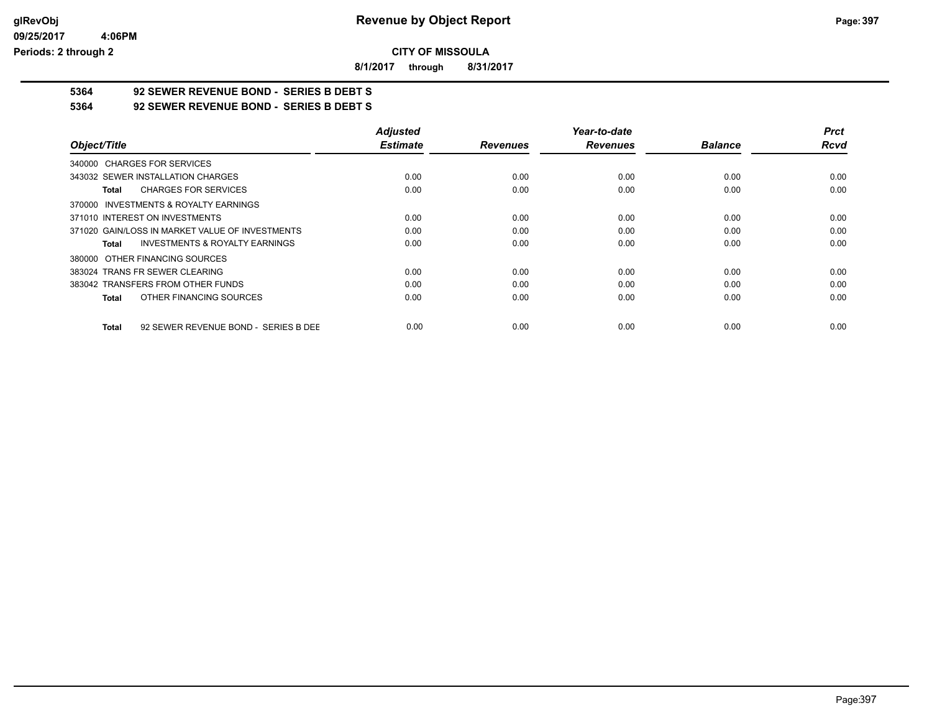**8/1/2017 through 8/31/2017**

# **5364 92 SEWER REVENUE BOND - SERIES B DEBT S**

**5364 92 SEWER REVENUE BOND - SERIES B DEBT S**

|                                                    | <b>Adjusted</b> |                 | Year-to-date    |                | <b>Prct</b> |
|----------------------------------------------------|-----------------|-----------------|-----------------|----------------|-------------|
| Object/Title                                       | <b>Estimate</b> | <b>Revenues</b> | <b>Revenues</b> | <b>Balance</b> | <b>Rcvd</b> |
| 340000 CHARGES FOR SERVICES                        |                 |                 |                 |                |             |
| 343032 SEWER INSTALLATION CHARGES                  | 0.00            | 0.00            | 0.00            | 0.00           | 0.00        |
| <b>CHARGES FOR SERVICES</b><br>Total               | 0.00            | 0.00            | 0.00            | 0.00           | 0.00        |
| 370000 INVESTMENTS & ROYALTY EARNINGS              |                 |                 |                 |                |             |
| 371010 INTEREST ON INVESTMENTS                     | 0.00            | 0.00            | 0.00            | 0.00           | 0.00        |
| 371020 GAIN/LOSS IN MARKET VALUE OF INVESTMENTS    | 0.00            | 0.00            | 0.00            | 0.00           | 0.00        |
| <b>INVESTMENTS &amp; ROYALTY EARNINGS</b><br>Total | 0.00            | 0.00            | 0.00            | 0.00           | 0.00        |
| 380000 OTHER FINANCING SOURCES                     |                 |                 |                 |                |             |
| 383024 TRANS FR SEWER CLEARING                     | 0.00            | 0.00            | 0.00            | 0.00           | 0.00        |
| 383042 TRANSFERS FROM OTHER FUNDS                  | 0.00            | 0.00            | 0.00            | 0.00           | 0.00        |
| OTHER FINANCING SOURCES<br>Total                   | 0.00            | 0.00            | 0.00            | 0.00           | 0.00        |
| 92 SEWER REVENUE BOND - SERIES B DEE<br>Total      | 0.00            | 0.00            | 0.00            | 0.00           | 0.00        |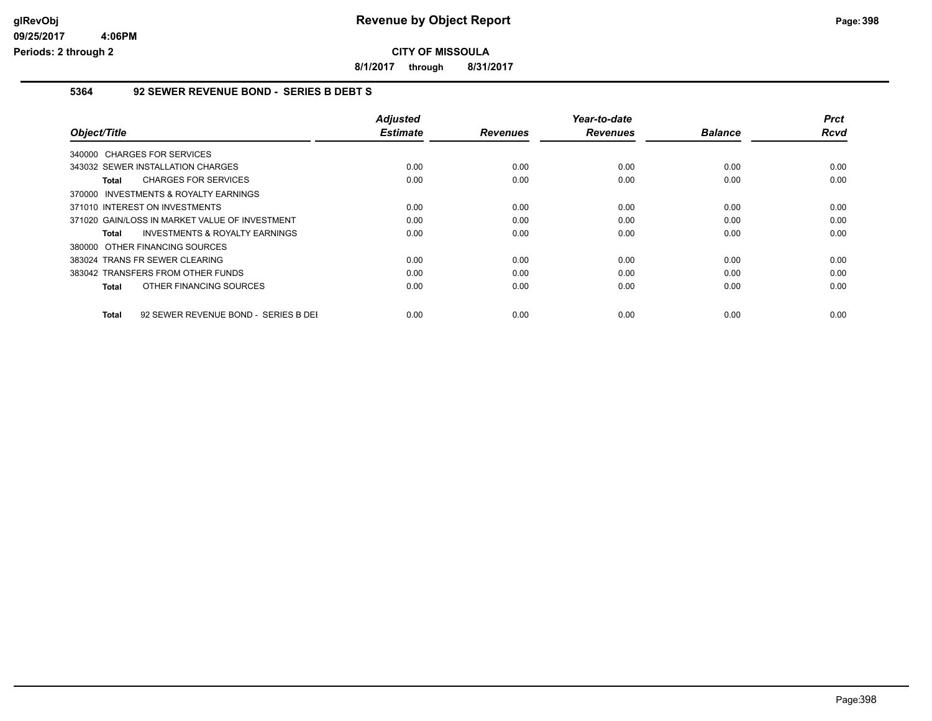**8/1/2017 through 8/31/2017**

#### **5364 92 SEWER REVENUE BOND - SERIES B DEBT S**

| Object/Title                                         | <b>Adjusted</b><br><b>Estimate</b> | <b>Revenues</b> | Year-to-date<br><b>Revenues</b> | <b>Balance</b> | <b>Prct</b><br>Rcvd |
|------------------------------------------------------|------------------------------------|-----------------|---------------------------------|----------------|---------------------|
| 340000 CHARGES FOR SERVICES                          |                                    |                 |                                 |                |                     |
| 343032 SEWER INSTALLATION CHARGES                    | 0.00                               | 0.00            | 0.00                            | 0.00           | 0.00                |
| <b>CHARGES FOR SERVICES</b><br>Total                 | 0.00                               | 0.00            | 0.00                            | 0.00           | 0.00                |
| 370000 INVESTMENTS & ROYALTY EARNINGS                |                                    |                 |                                 |                |                     |
| 371010 INTEREST ON INVESTMENTS                       | 0.00                               | 0.00            | 0.00                            | 0.00           | 0.00                |
| 371020 GAIN/LOSS IN MARKET VALUE OF INVESTMENT       | 0.00                               | 0.00            | 0.00                            | 0.00           | 0.00                |
| <b>INVESTMENTS &amp; ROYALTY EARNINGS</b><br>Total   | 0.00                               | 0.00            | 0.00                            | 0.00           | 0.00                |
| 380000 OTHER FINANCING SOURCES                       |                                    |                 |                                 |                |                     |
| 383024 TRANS FR SEWER CLEARING                       | 0.00                               | 0.00            | 0.00                            | 0.00           | 0.00                |
| 383042 TRANSFERS FROM OTHER FUNDS                    | 0.00                               | 0.00            | 0.00                            | 0.00           | 0.00                |
| OTHER FINANCING SOURCES<br><b>Total</b>              | 0.00                               | 0.00            | 0.00                            | 0.00           | 0.00                |
| 92 SEWER REVENUE BOND - SERIES B DEI<br><b>Total</b> | 0.00                               | 0.00            | 0.00                            | 0.00           | 0.00                |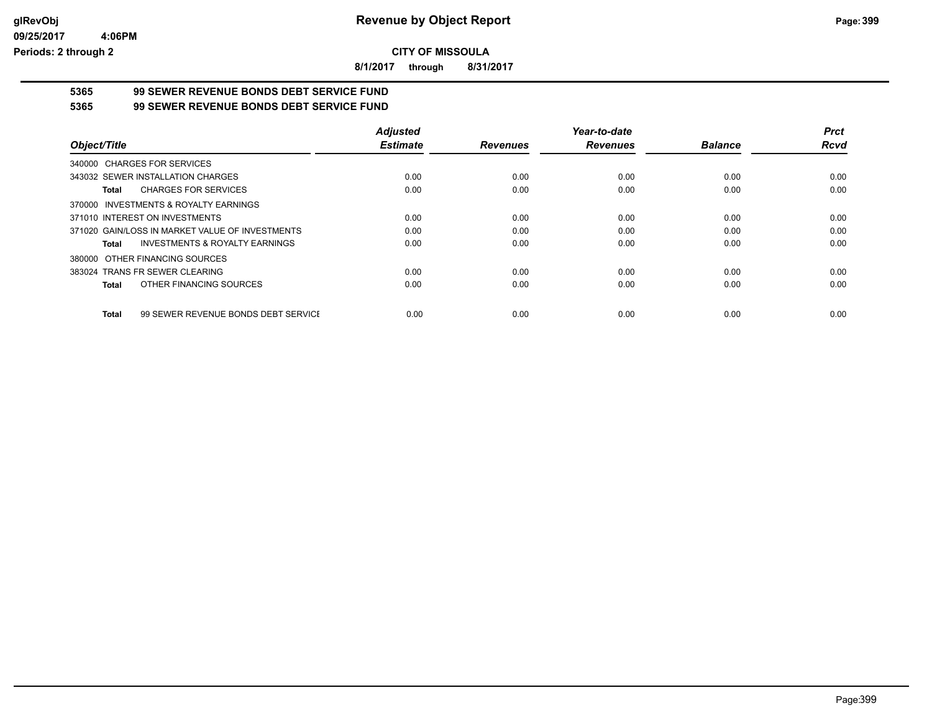**8/1/2017 through 8/31/2017**

# **5365 99 SEWER REVENUE BONDS DEBT SERVICE FUND**

# **5365 99 SEWER REVENUE BONDS DEBT SERVICE FUND**

|                                                     | <b>Adjusted</b> |                 | Year-to-date    |                | <b>Prct</b> |
|-----------------------------------------------------|-----------------|-----------------|-----------------|----------------|-------------|
| Object/Title                                        | <b>Estimate</b> | <b>Revenues</b> | <b>Revenues</b> | <b>Balance</b> | <b>Rcvd</b> |
| 340000 CHARGES FOR SERVICES                         |                 |                 |                 |                |             |
| 343032 SEWER INSTALLATION CHARGES                   | 0.00            | 0.00            | 0.00            | 0.00           | 0.00        |
| <b>CHARGES FOR SERVICES</b><br>Total                | 0.00            | 0.00            | 0.00            | 0.00           | 0.00        |
| 370000 INVESTMENTS & ROYALTY EARNINGS               |                 |                 |                 |                |             |
| 371010 INTEREST ON INVESTMENTS                      | 0.00            | 0.00            | 0.00            | 0.00           | 0.00        |
| 371020 GAIN/LOSS IN MARKET VALUE OF INVESTMENTS     | 0.00            | 0.00            | 0.00            | 0.00           | 0.00        |
| <b>INVESTMENTS &amp; ROYALTY EARNINGS</b><br>Total  | 0.00            | 0.00            | 0.00            | 0.00           | 0.00        |
| 380000 OTHER FINANCING SOURCES                      |                 |                 |                 |                |             |
| 383024 TRANS FR SEWER CLEARING                      | 0.00            | 0.00            | 0.00            | 0.00           | 0.00        |
| OTHER FINANCING SOURCES<br>Total                    | 0.00            | 0.00            | 0.00            | 0.00           | 0.00        |
| 99 SEWER REVENUE BONDS DEBT SERVICE<br><b>Total</b> | 0.00            | 0.00            | 0.00            | 0.00           | 0.00        |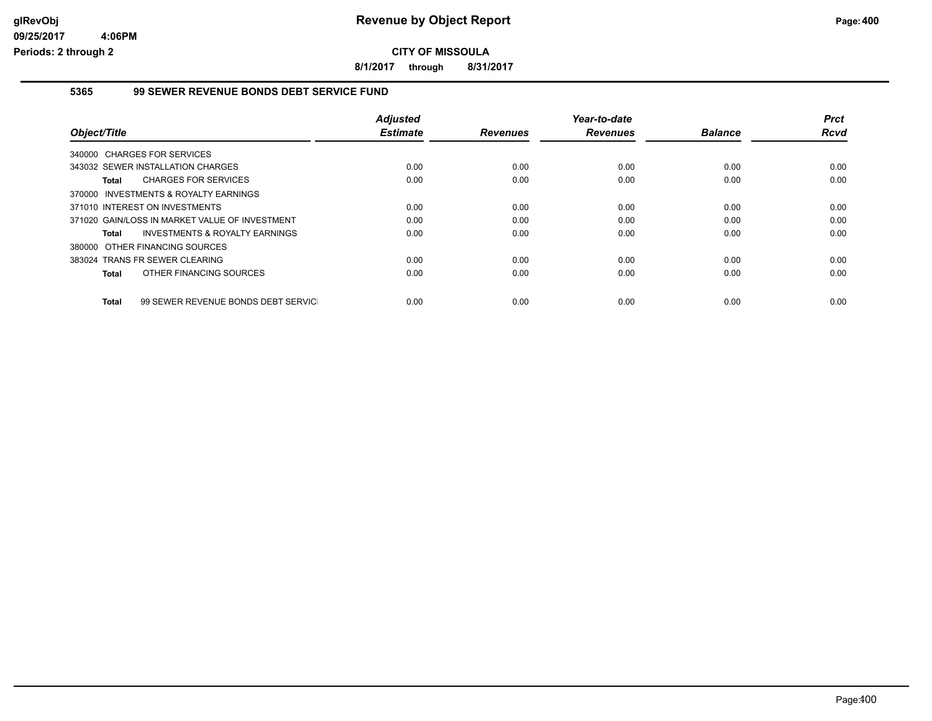**8/1/2017 through 8/31/2017**

#### **5365 99 SEWER REVENUE BONDS DEBT SERVICE FUND**

|                                                    | <b>Adjusted</b> |                 | Year-to-date    |                | <b>Prct</b> |
|----------------------------------------------------|-----------------|-----------------|-----------------|----------------|-------------|
| Object/Title                                       | <b>Estimate</b> | <b>Revenues</b> | <b>Revenues</b> | <b>Balance</b> | <b>Rcvd</b> |
| 340000 CHARGES FOR SERVICES                        |                 |                 |                 |                |             |
| 343032 SEWER INSTALLATION CHARGES                  | 0.00            | 0.00            | 0.00            | 0.00           | 0.00        |
| <b>CHARGES FOR SERVICES</b><br>Total               | 0.00            | 0.00            | 0.00            | 0.00           | 0.00        |
| 370000 INVESTMENTS & ROYALTY EARNINGS              |                 |                 |                 |                |             |
| 371010 INTEREST ON INVESTMENTS                     | 0.00            | 0.00            | 0.00            | 0.00           | 0.00        |
| 371020 GAIN/LOSS IN MARKET VALUE OF INVESTMENT     | 0.00            | 0.00            | 0.00            | 0.00           | 0.00        |
| <b>INVESTMENTS &amp; ROYALTY EARNINGS</b><br>Total | 0.00            | 0.00            | 0.00            | 0.00           | 0.00        |
| 380000 OTHER FINANCING SOURCES                     |                 |                 |                 |                |             |
| 383024 TRANS FR SEWER CLEARING                     | 0.00            | 0.00            | 0.00            | 0.00           | 0.00        |
| OTHER FINANCING SOURCES<br>Total                   | 0.00            | 0.00            | 0.00            | 0.00           | 0.00        |
| <b>Total</b><br>99 SEWER REVENUE BONDS DEBT SERVIC | 0.00            | 0.00            | 0.00            | 0.00           | 0.00        |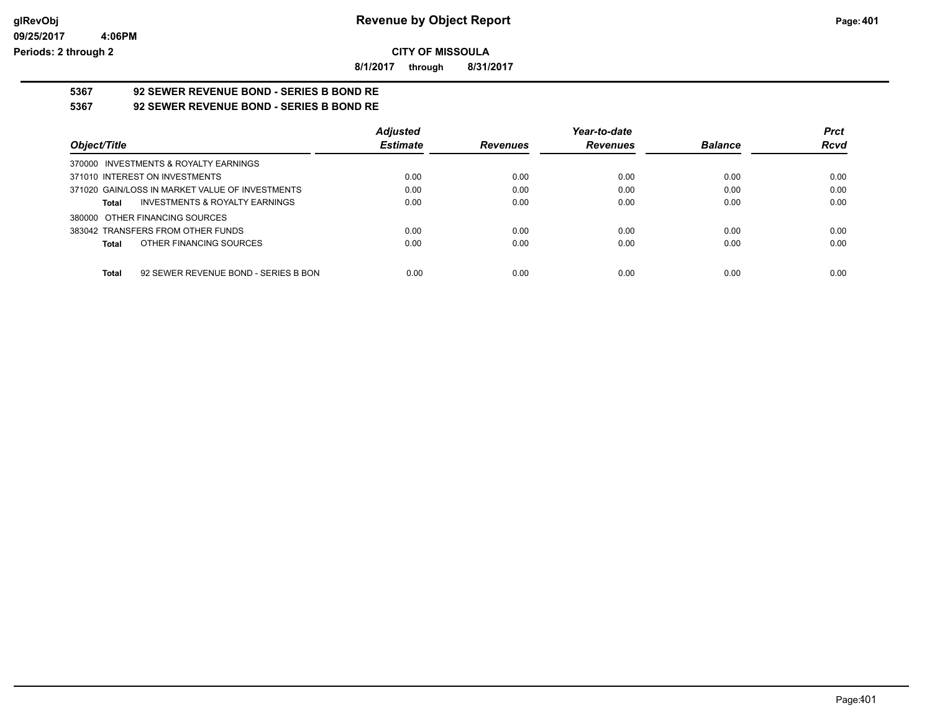#### **8/1/2017 through 8/31/2017**

# **5367 92 SEWER REVENUE BOND - SERIES B BOND RE**

**5367 92 SEWER REVENUE BOND - SERIES B BOND RE**

|                                                 | <b>Adjusted</b> |                 | Year-to-date    |                | <b>Prct</b> |
|-------------------------------------------------|-----------------|-----------------|-----------------|----------------|-------------|
| Object/Title                                    | <b>Estimate</b> | <b>Revenues</b> | <b>Revenues</b> | <b>Balance</b> | <b>Rcvd</b> |
| 370000 INVESTMENTS & ROYALTY EARNINGS           |                 |                 |                 |                |             |
| 371010 INTEREST ON INVESTMENTS                  | 0.00            | 0.00            | 0.00            | 0.00           | 0.00        |
| 371020 GAIN/LOSS IN MARKET VALUE OF INVESTMENTS | 0.00            | 0.00            | 0.00            | 0.00           | 0.00        |
| INVESTMENTS & ROYALTY EARNINGS<br>Total         | 0.00            | 0.00            | 0.00            | 0.00           | 0.00        |
| 380000 OTHER FINANCING SOURCES                  |                 |                 |                 |                |             |
| 383042 TRANSFERS FROM OTHER FUNDS               | 0.00            | 0.00            | 0.00            | 0.00           | 0.00        |
| OTHER FINANCING SOURCES<br>Total                | 0.00            | 0.00            | 0.00            | 0.00           | 0.00        |
|                                                 |                 |                 |                 |                |             |
| Total<br>92 SEWER REVENUE BOND - SERIES B BON   | 0.00            | 0.00            | 0.00            | 0.00           | 0.00        |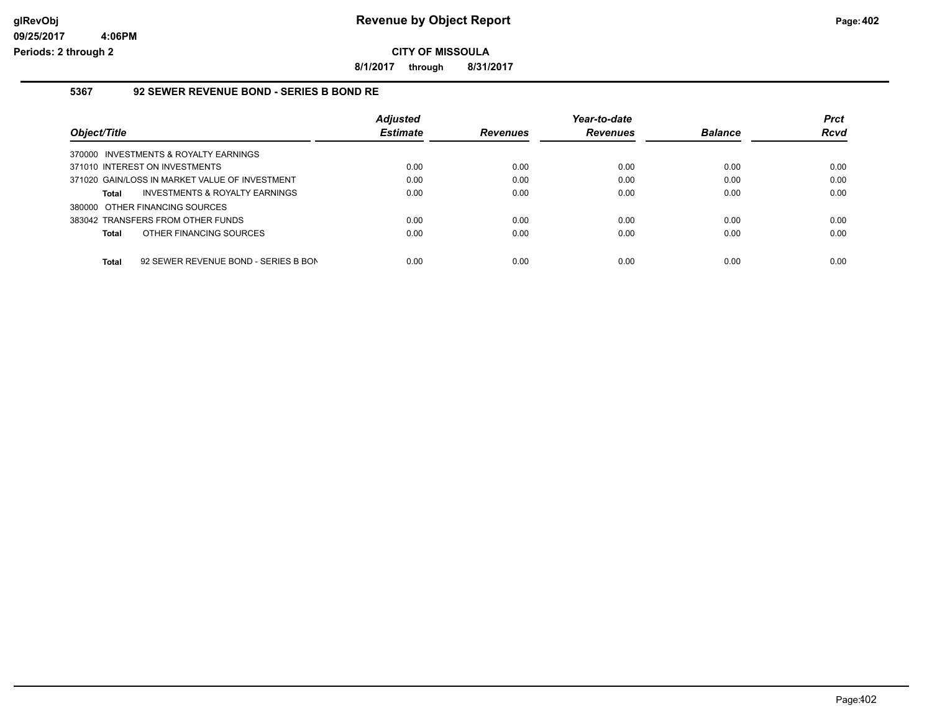**8/1/2017 through 8/31/2017**

#### **5367 92 SEWER REVENUE BOND - SERIES B BOND RE**

|                                                      | <b>Adjusted</b> |                 | Year-to-date    |                | <b>Prct</b> |
|------------------------------------------------------|-----------------|-----------------|-----------------|----------------|-------------|
| Object/Title                                         | <b>Estimate</b> | <b>Revenues</b> | <b>Revenues</b> | <b>Balance</b> | <b>Rcvd</b> |
| 370000 INVESTMENTS & ROYALTY EARNINGS                |                 |                 |                 |                |             |
| 371010 INTEREST ON INVESTMENTS                       | 0.00            | 0.00            | 0.00            | 0.00           | 0.00        |
| 371020 GAIN/LOSS IN MARKET VALUE OF INVESTMENT       | 0.00            | 0.00            | 0.00            | 0.00           | 0.00        |
| INVESTMENTS & ROYALTY EARNINGS<br>Total              | 0.00            | 0.00            | 0.00            | 0.00           | 0.00        |
| 380000 OTHER FINANCING SOURCES                       |                 |                 |                 |                |             |
| 383042 TRANSFERS FROM OTHER FUNDS                    | 0.00            | 0.00            | 0.00            | 0.00           | 0.00        |
| OTHER FINANCING SOURCES<br>Total                     | 0.00            | 0.00            | 0.00            | 0.00           | 0.00        |
|                                                      |                 |                 |                 |                |             |
| <b>Total</b><br>92 SEWER REVENUE BOND - SERIES B BON | 0.00            | 0.00            | 0.00            | 0.00           | 0.00        |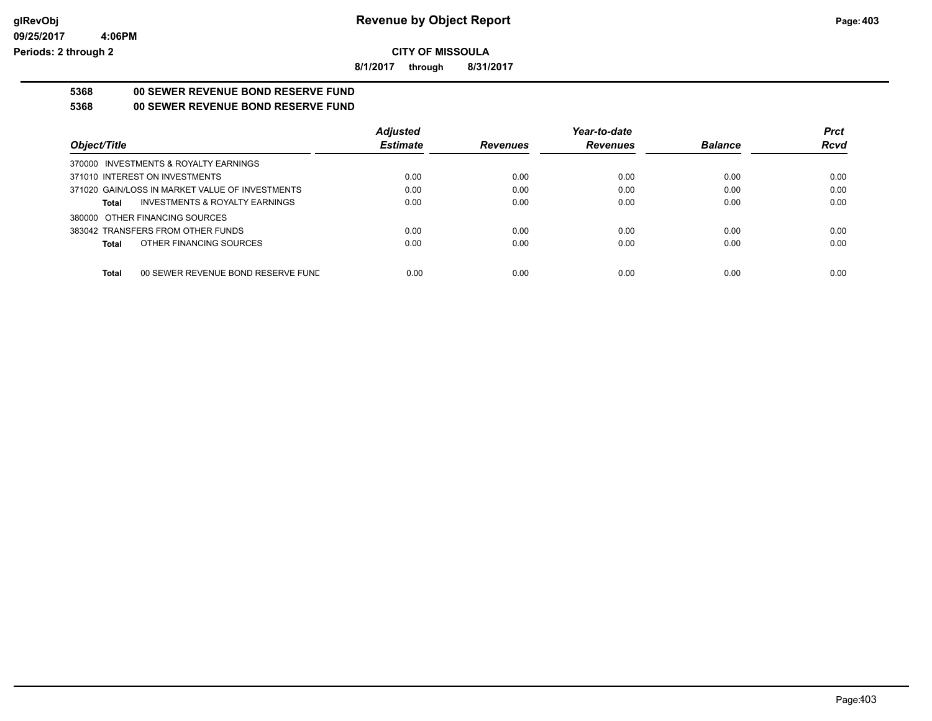**8/1/2017 through 8/31/2017**

# **5368 00 SEWER REVENUE BOND RESERVE FUND**

# **5368 00 SEWER REVENUE BOND RESERVE FUND**

|                                                 | <b>Adjusted</b> |                 | Year-to-date    |                | <b>Prct</b> |
|-------------------------------------------------|-----------------|-----------------|-----------------|----------------|-------------|
| Object/Title                                    | <b>Estimate</b> | <b>Revenues</b> | <b>Revenues</b> | <b>Balance</b> | <b>Rcvd</b> |
| 370000 INVESTMENTS & ROYALTY EARNINGS           |                 |                 |                 |                |             |
| 371010 INTEREST ON INVESTMENTS                  | 0.00            | 0.00            | 0.00            | 0.00           | 0.00        |
| 371020 GAIN/LOSS IN MARKET VALUE OF INVESTMENTS | 0.00            | 0.00            | 0.00            | 0.00           | 0.00        |
| INVESTMENTS & ROYALTY EARNINGS<br>Total         | 0.00            | 0.00            | 0.00            | 0.00           | 0.00        |
| 380000 OTHER FINANCING SOURCES                  |                 |                 |                 |                |             |
| 383042 TRANSFERS FROM OTHER FUNDS               | 0.00            | 0.00            | 0.00            | 0.00           | 0.00        |
| OTHER FINANCING SOURCES<br>Total                | 0.00            | 0.00            | 0.00            | 0.00           | 0.00        |
|                                                 |                 |                 |                 |                |             |
| Total<br>00 SEWER REVENUE BOND RESERVE FUND     | 0.00            | 0.00            | 0.00            | 0.00           | 0.00        |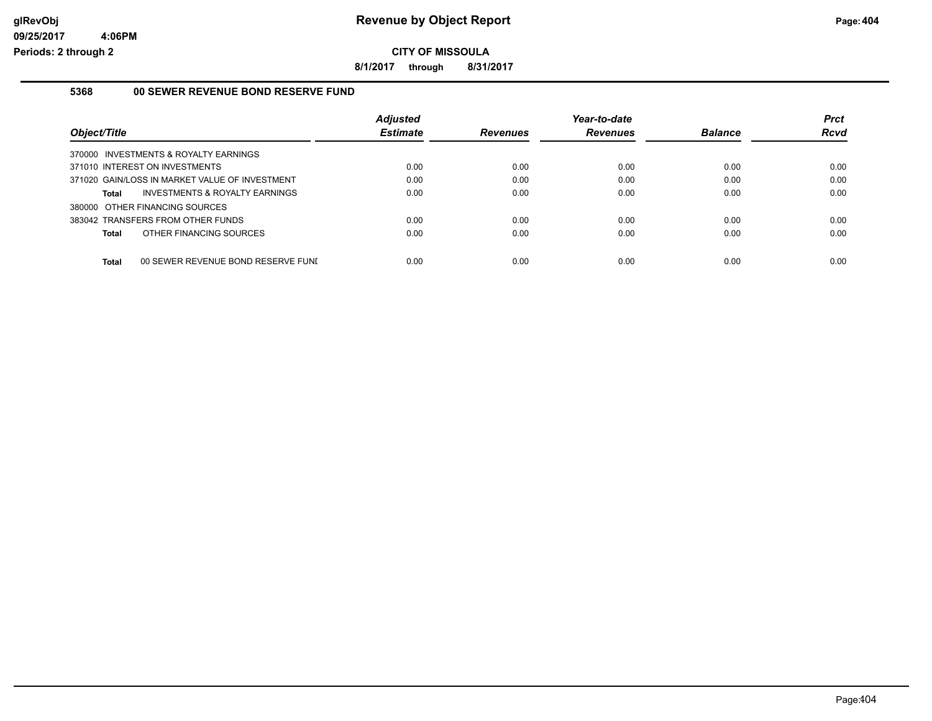**8/1/2017 through 8/31/2017**

#### **5368 00 SEWER REVENUE BOND RESERVE FUND**

|                                                    | <b>Adjusted</b> |                 | Year-to-date    |                | <b>Prct</b> |
|----------------------------------------------------|-----------------|-----------------|-----------------|----------------|-------------|
| Object/Title                                       | <b>Estimate</b> | <b>Revenues</b> | <b>Revenues</b> | <b>Balance</b> | <b>Rcvd</b> |
| 370000 INVESTMENTS & ROYALTY EARNINGS              |                 |                 |                 |                |             |
| 371010 INTEREST ON INVESTMENTS                     | 0.00            | 0.00            | 0.00            | 0.00           | 0.00        |
| 371020 GAIN/LOSS IN MARKET VALUE OF INVESTMENT     | 0.00            | 0.00            | 0.00            | 0.00           | 0.00        |
| INVESTMENTS & ROYALTY EARNINGS<br><b>Total</b>     | 0.00            | 0.00            | 0.00            | 0.00           | 0.00        |
| 380000 OTHER FINANCING SOURCES                     |                 |                 |                 |                |             |
| 383042 TRANSFERS FROM OTHER FUNDS                  | 0.00            | 0.00            | 0.00            | 0.00           | 0.00        |
| OTHER FINANCING SOURCES<br>Total                   | 0.00            | 0.00            | 0.00            | 0.00           | 0.00        |
|                                                    |                 |                 |                 |                |             |
| <b>Total</b><br>00 SEWER REVENUE BOND RESERVE FUNI | 0.00            | 0.00            | 0.00            | 0.00           | 0.00        |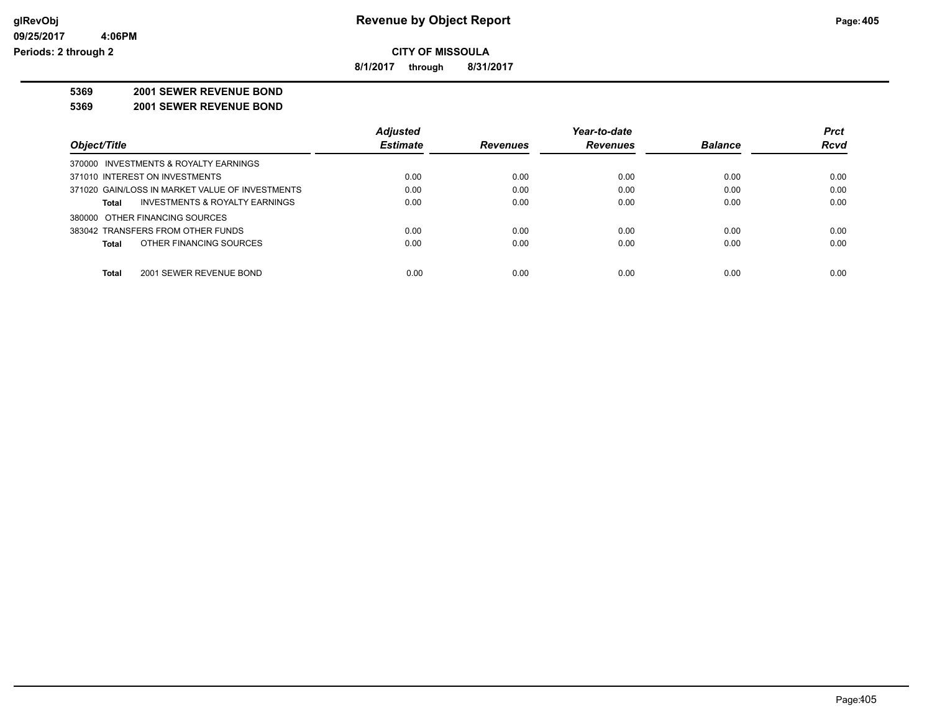**8/1/2017 through 8/31/2017**

#### **5369 2001 SEWER REVENUE BOND**

#### **5369 2001 SEWER REVENUE BOND**

|                                                    | <b>Adjusted</b> |                 | Year-to-date    |                | <b>Prct</b> |
|----------------------------------------------------|-----------------|-----------------|-----------------|----------------|-------------|
| Object/Title                                       | <b>Estimate</b> | <b>Revenues</b> | <b>Revenues</b> | <b>Balance</b> | <b>Rcvd</b> |
| 370000 INVESTMENTS & ROYALTY EARNINGS              |                 |                 |                 |                |             |
| 371010 INTEREST ON INVESTMENTS                     | 0.00            | 0.00            | 0.00            | 0.00           | 0.00        |
| 371020 GAIN/LOSS IN MARKET VALUE OF INVESTMENTS    | 0.00            | 0.00            | 0.00            | 0.00           | 0.00        |
| <b>INVESTMENTS &amp; ROYALTY EARNINGS</b><br>Total | 0.00            | 0.00            | 0.00            | 0.00           | 0.00        |
| 380000 OTHER FINANCING SOURCES                     |                 |                 |                 |                |             |
| 383042 TRANSFERS FROM OTHER FUNDS                  | 0.00            | 0.00            | 0.00            | 0.00           | 0.00        |
| OTHER FINANCING SOURCES<br>Total                   | 0.00            | 0.00            | 0.00            | 0.00           | 0.00        |
|                                                    |                 |                 |                 |                |             |
| <b>Total</b><br>2001 SEWER REVENUE BOND            | 0.00            | 0.00            | 0.00            | 0.00           | 0.00        |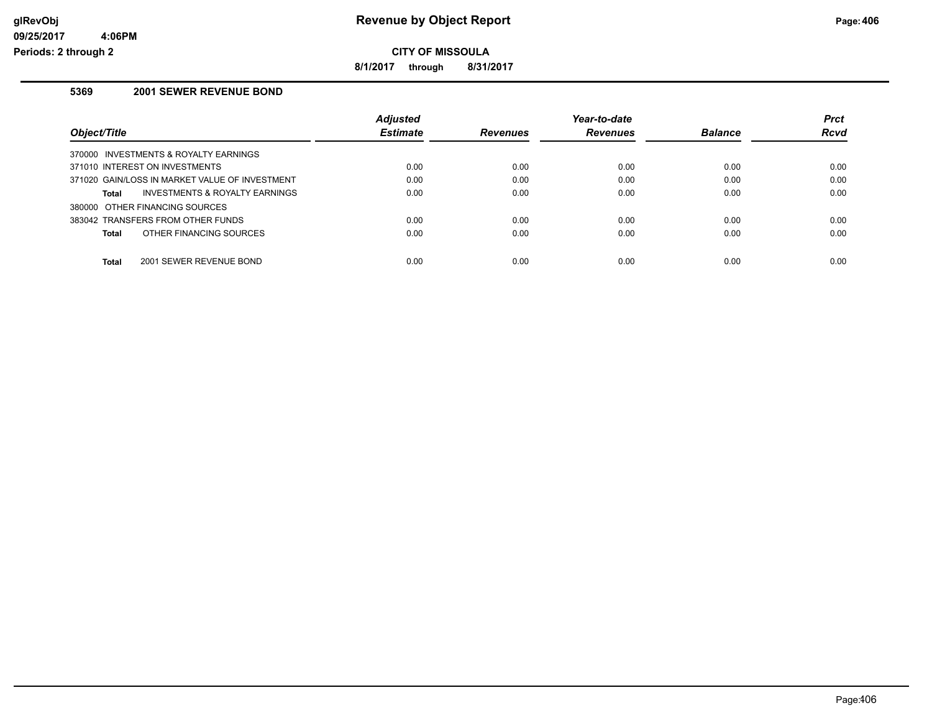**Periods: 2 through 2**

**CITY OF MISSOULA**

**8/1/2017 through 8/31/2017**

#### **5369 2001 SEWER REVENUE BOND**

 **4:06PM**

|                                                | <b>Adjusted</b> |                 | Year-to-date    |                | <b>Prct</b> |
|------------------------------------------------|-----------------|-----------------|-----------------|----------------|-------------|
| Object/Title                                   | <b>Estimate</b> | <b>Revenues</b> | <b>Revenues</b> | <b>Balance</b> | <b>Rcvd</b> |
| 370000 INVESTMENTS & ROYALTY EARNINGS          |                 |                 |                 |                |             |
| 371010 INTEREST ON INVESTMENTS                 | 0.00            | 0.00            | 0.00            | 0.00           | 0.00        |
| 371020 GAIN/LOSS IN MARKET VALUE OF INVESTMENT | 0.00            | 0.00            | 0.00            | 0.00           | 0.00        |
| INVESTMENTS & ROYALTY EARNINGS<br>Total        | 0.00            | 0.00            | 0.00            | 0.00           | 0.00        |
| 380000 OTHER FINANCING SOURCES                 |                 |                 |                 |                |             |
| 383042 TRANSFERS FROM OTHER FUNDS              | 0.00            | 0.00            | 0.00            | 0.00           | 0.00        |
| OTHER FINANCING SOURCES<br>Total               | 0.00            | 0.00            | 0.00            | 0.00           | 0.00        |
| Total<br>2001 SEWER REVENUE BOND               | 0.00            | 0.00            | 0.00            | 0.00           | 0.00        |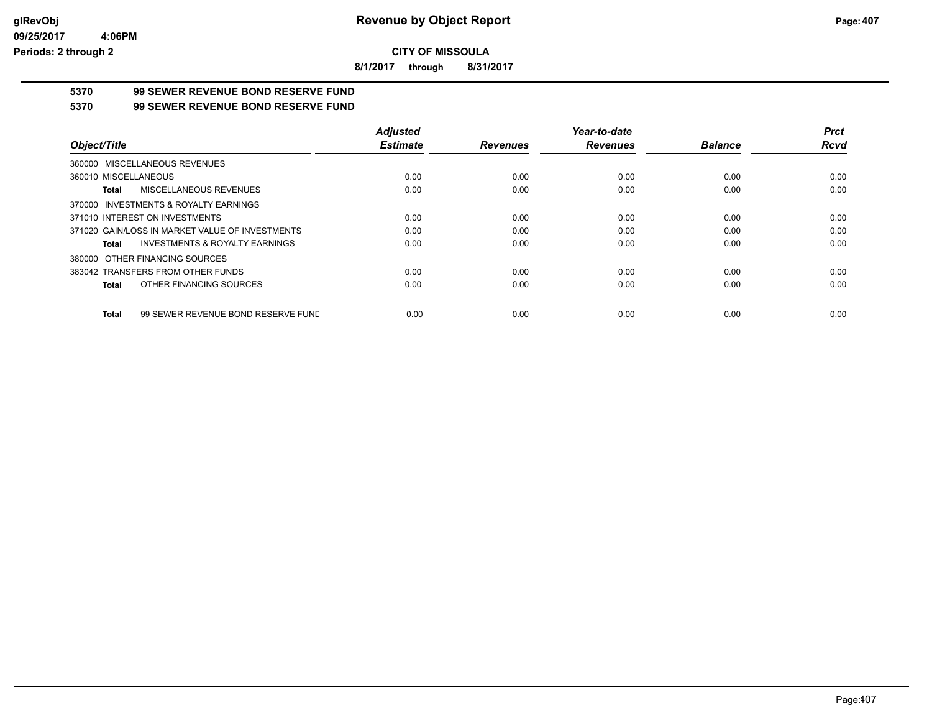**8/1/2017 through 8/31/2017**

# **5370 99 SEWER REVENUE BOND RESERVE FUND**

## **5370 99 SEWER REVENUE BOND RESERVE FUND**

|                                                    | <b>Adjusted</b> |                 | Year-to-date    |                | <b>Prct</b> |
|----------------------------------------------------|-----------------|-----------------|-----------------|----------------|-------------|
| Object/Title                                       | <b>Estimate</b> | <b>Revenues</b> | <b>Revenues</b> | <b>Balance</b> | <b>Rcvd</b> |
| 360000 MISCELLANEOUS REVENUES                      |                 |                 |                 |                |             |
| 360010 MISCELLANEOUS                               | 0.00            | 0.00            | 0.00            | 0.00           | 0.00        |
| MISCELLANEOUS REVENUES<br>Total                    | 0.00            | 0.00            | 0.00            | 0.00           | 0.00        |
| 370000 INVESTMENTS & ROYALTY EARNINGS              |                 |                 |                 |                |             |
| 371010 INTEREST ON INVESTMENTS                     | 0.00            | 0.00            | 0.00            | 0.00           | 0.00        |
| 371020 GAIN/LOSS IN MARKET VALUE OF INVESTMENTS    | 0.00            | 0.00            | 0.00            | 0.00           | 0.00        |
| <b>INVESTMENTS &amp; ROYALTY EARNINGS</b><br>Total | 0.00            | 0.00            | 0.00            | 0.00           | 0.00        |
| 380000 OTHER FINANCING SOURCES                     |                 |                 |                 |                |             |
| 383042 TRANSFERS FROM OTHER FUNDS                  | 0.00            | 0.00            | 0.00            | 0.00           | 0.00        |
| OTHER FINANCING SOURCES<br>Total                   | 0.00            | 0.00            | 0.00            | 0.00           | 0.00        |
| 99 SEWER REVENUE BOND RESERVE FUND<br><b>Total</b> | 0.00            | 0.00            | 0.00            | 0.00           | 0.00        |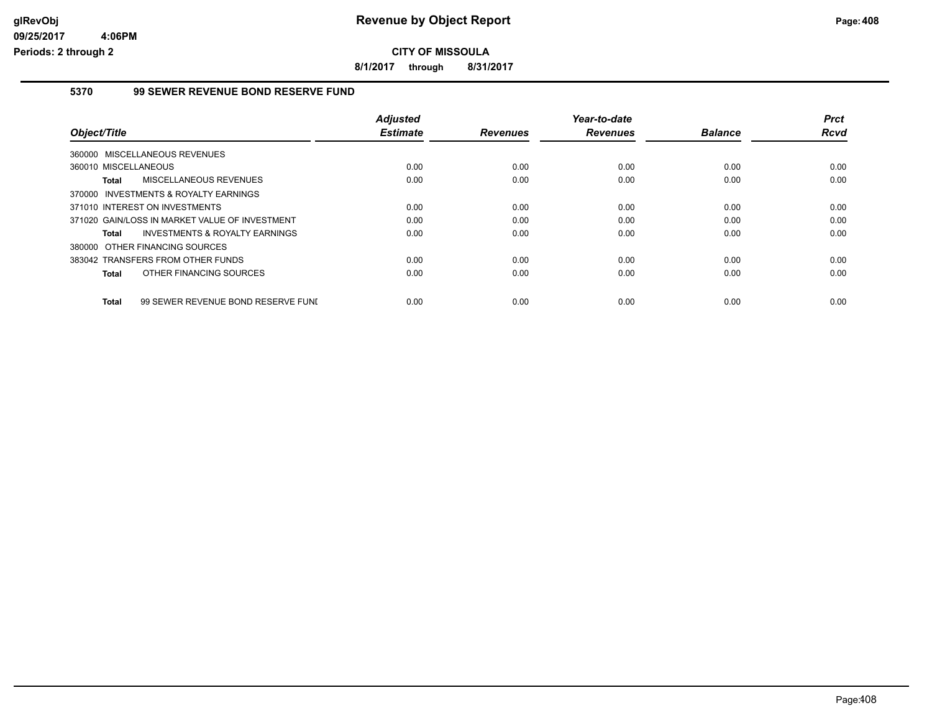**8/1/2017 through 8/31/2017**

#### **5370 99 SEWER REVENUE BOND RESERVE FUND**

|                                                    | <b>Adiusted</b> |                 | Year-to-date    |                | <b>Prct</b> |
|----------------------------------------------------|-----------------|-----------------|-----------------|----------------|-------------|
| Object/Title                                       | <b>Estimate</b> | <b>Revenues</b> | <b>Revenues</b> | <b>Balance</b> | <b>Rcvd</b> |
| 360000 MISCELLANEOUS REVENUES                      |                 |                 |                 |                |             |
| 360010 MISCELLANEOUS                               | 0.00            | 0.00            | 0.00            | 0.00           | 0.00        |
| MISCELLANEOUS REVENUES<br><b>Total</b>             | 0.00            | 0.00            | 0.00            | 0.00           | 0.00        |
| 370000 INVESTMENTS & ROYALTY EARNINGS              |                 |                 |                 |                |             |
| 371010 INTEREST ON INVESTMENTS                     | 0.00            | 0.00            | 0.00            | 0.00           | 0.00        |
| 371020 GAIN/LOSS IN MARKET VALUE OF INVESTMENT     | 0.00            | 0.00            | 0.00            | 0.00           | 0.00        |
| <b>INVESTMENTS &amp; ROYALTY EARNINGS</b><br>Total | 0.00            | 0.00            | 0.00            | 0.00           | 0.00        |
| 380000 OTHER FINANCING SOURCES                     |                 |                 |                 |                |             |
| 383042 TRANSFERS FROM OTHER FUNDS                  | 0.00            | 0.00            | 0.00            | 0.00           | 0.00        |
| OTHER FINANCING SOURCES<br><b>Total</b>            | 0.00            | 0.00            | 0.00            | 0.00           | 0.00        |
|                                                    |                 |                 |                 |                |             |
| 99 SEWER REVENUE BOND RESERVE FUNI<br><b>Total</b> | 0.00            | 0.00            | 0.00            | 0.00           | 0.00        |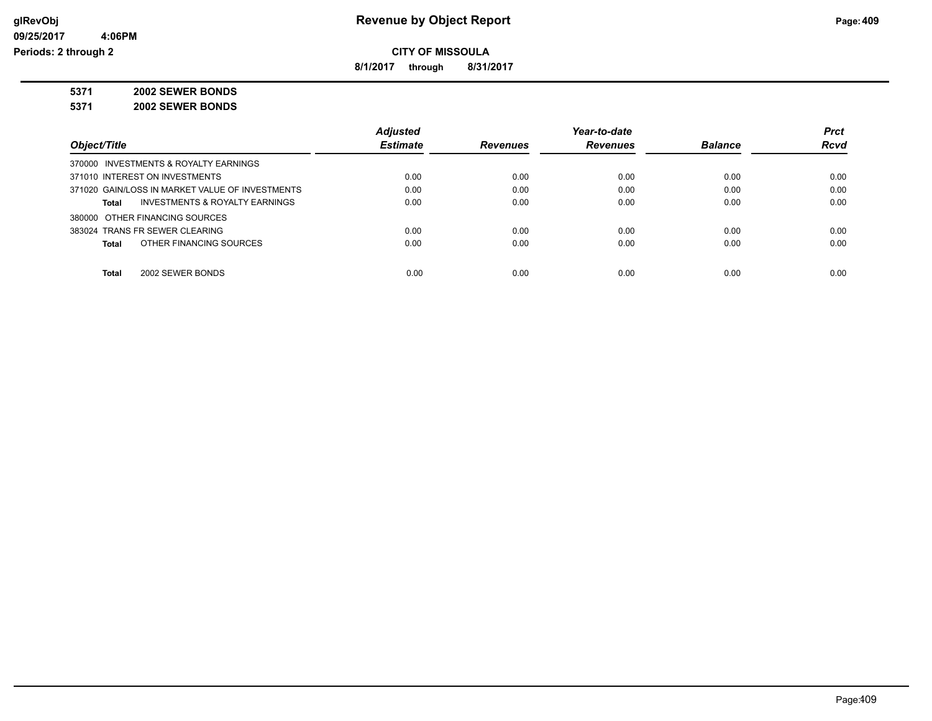**8/1/2017 through 8/31/2017**

**5371 2002 SEWER BONDS**

**5371 2002 SEWER BONDS**

|                                                 | <b>Adjusted</b> |                 | Year-to-date    |                | <b>Prct</b> |
|-------------------------------------------------|-----------------|-----------------|-----------------|----------------|-------------|
| Object/Title                                    | <b>Estimate</b> | <b>Revenues</b> | <b>Revenues</b> | <b>Balance</b> | <b>Rcvd</b> |
| 370000 INVESTMENTS & ROYALTY EARNINGS           |                 |                 |                 |                |             |
| 371010 INTEREST ON INVESTMENTS                  | 0.00            | 0.00            | 0.00            | 0.00           | 0.00        |
| 371020 GAIN/LOSS IN MARKET VALUE OF INVESTMENTS | 0.00            | 0.00            | 0.00            | 0.00           | 0.00        |
| INVESTMENTS & ROYALTY EARNINGS<br>Total         | 0.00            | 0.00            | 0.00            | 0.00           | 0.00        |
| 380000 OTHER FINANCING SOURCES                  |                 |                 |                 |                |             |
| 383024 TRANS FR SEWER CLEARING                  | 0.00            | 0.00            | 0.00            | 0.00           | 0.00        |
| OTHER FINANCING SOURCES<br>Total                | 0.00            | 0.00            | 0.00            | 0.00           | 0.00        |
|                                                 |                 |                 |                 |                |             |
| <b>Total</b><br>2002 SEWER BONDS                | 0.00            | 0.00            | 0.00            | 0.00           | 0.00        |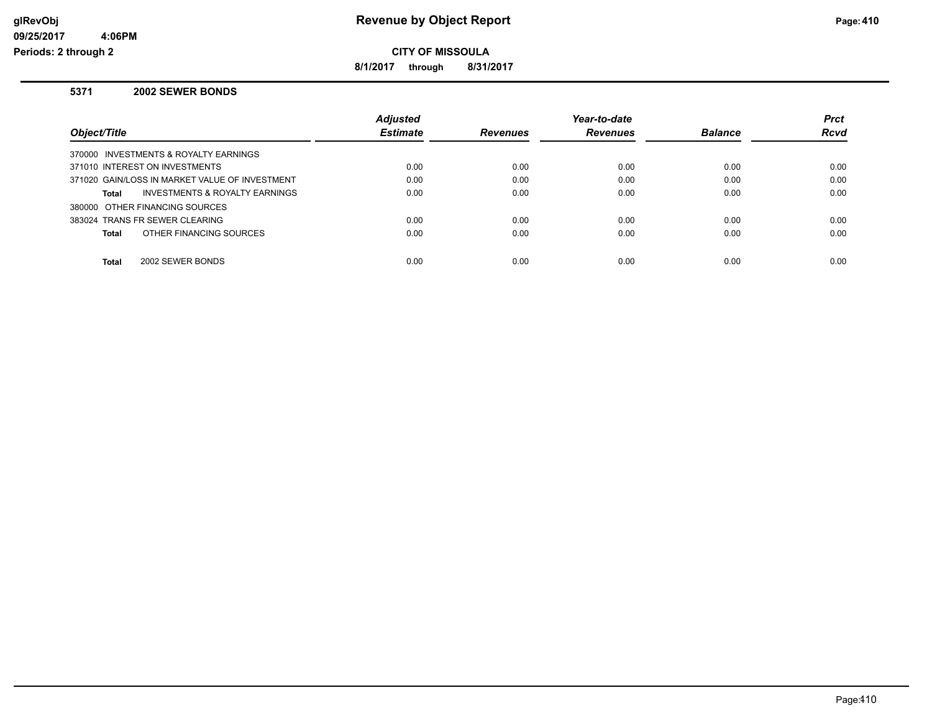**8/1/2017 through 8/31/2017**

#### **5371 2002 SEWER BONDS**

|                                                | <b>Adjusted</b> |                 | Year-to-date    |                | <b>Prct</b> |
|------------------------------------------------|-----------------|-----------------|-----------------|----------------|-------------|
| Object/Title                                   | <b>Estimate</b> | <b>Revenues</b> | <b>Revenues</b> | <b>Balance</b> | <b>Rcvd</b> |
| 370000 INVESTMENTS & ROYALTY EARNINGS          |                 |                 |                 |                |             |
| 371010 INTEREST ON INVESTMENTS                 | 0.00            | 0.00            | 0.00            | 0.00           | 0.00        |
| 371020 GAIN/LOSS IN MARKET VALUE OF INVESTMENT | 0.00            | 0.00            | 0.00            | 0.00           | 0.00        |
| INVESTMENTS & ROYALTY EARNINGS<br>Total        | 0.00            | 0.00            | 0.00            | 0.00           | 0.00        |
| 380000 OTHER FINANCING SOURCES                 |                 |                 |                 |                |             |
| 383024 TRANS FR SEWER CLEARING                 | 0.00            | 0.00            | 0.00            | 0.00           | 0.00        |
| OTHER FINANCING SOURCES<br>Total               | 0.00            | 0.00            | 0.00            | 0.00           | 0.00        |
|                                                |                 |                 |                 |                |             |
| <b>Total</b><br>2002 SEWER BONDS               | 0.00            | 0.00            | 0.00            | 0.00           | 0.00        |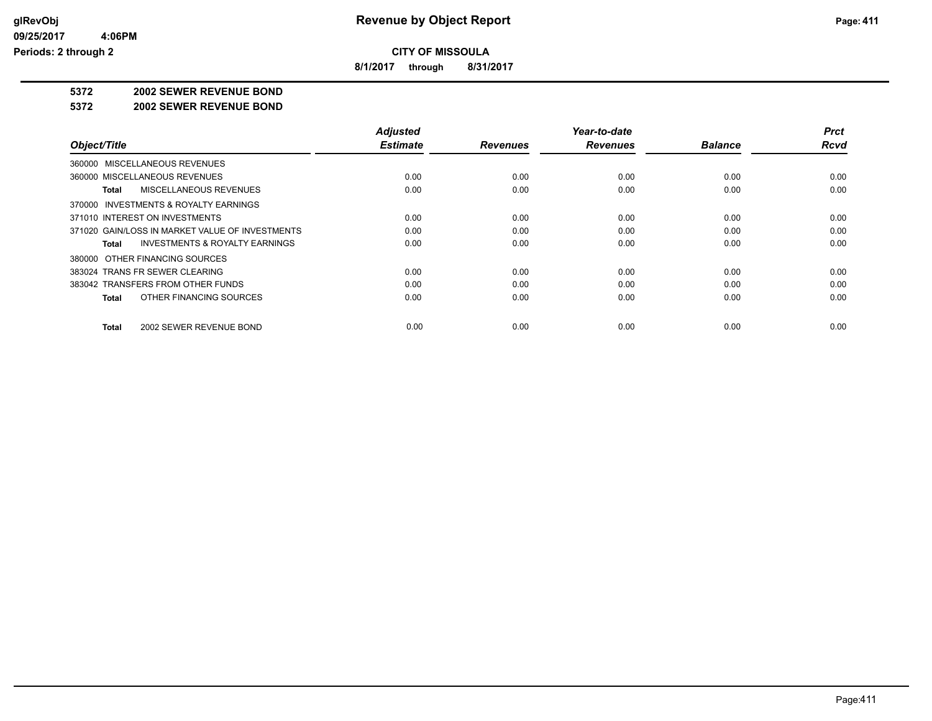**8/1/2017 through 8/31/2017**

#### **5372 2002 SEWER REVENUE BOND**

#### **5372 2002 SEWER REVENUE BOND**

|                                                 | <b>Adjusted</b> |                 | Year-to-date    |                | <b>Prct</b> |
|-------------------------------------------------|-----------------|-----------------|-----------------|----------------|-------------|
| Object/Title                                    | <b>Estimate</b> | <b>Revenues</b> | <b>Revenues</b> | <b>Balance</b> | <b>Rcvd</b> |
| 360000 MISCELLANEOUS REVENUES                   |                 |                 |                 |                |             |
| 360000 MISCELLANEOUS REVENUES                   | 0.00            | 0.00            | 0.00            | 0.00           | 0.00        |
| MISCELLANEOUS REVENUES<br>Total                 | 0.00            | 0.00            | 0.00            | 0.00           | 0.00        |
| 370000 INVESTMENTS & ROYALTY EARNINGS           |                 |                 |                 |                |             |
| 371010 INTEREST ON INVESTMENTS                  | 0.00            | 0.00            | 0.00            | 0.00           | 0.00        |
| 371020 GAIN/LOSS IN MARKET VALUE OF INVESTMENTS | 0.00            | 0.00            | 0.00            | 0.00           | 0.00        |
| INVESTMENTS & ROYALTY EARNINGS<br>Total         | 0.00            | 0.00            | 0.00            | 0.00           | 0.00        |
| 380000 OTHER FINANCING SOURCES                  |                 |                 |                 |                |             |
| 383024 TRANS FR SEWER CLEARING                  | 0.00            | 0.00            | 0.00            | 0.00           | 0.00        |
| 383042 TRANSFERS FROM OTHER FUNDS               | 0.00            | 0.00            | 0.00            | 0.00           | 0.00        |
| OTHER FINANCING SOURCES<br>Total                | 0.00            | 0.00            | 0.00            | 0.00           | 0.00        |
| 2002 SEWER REVENUE BOND<br>Total                | 0.00            | 0.00            | 0.00            | 0.00           | 0.00        |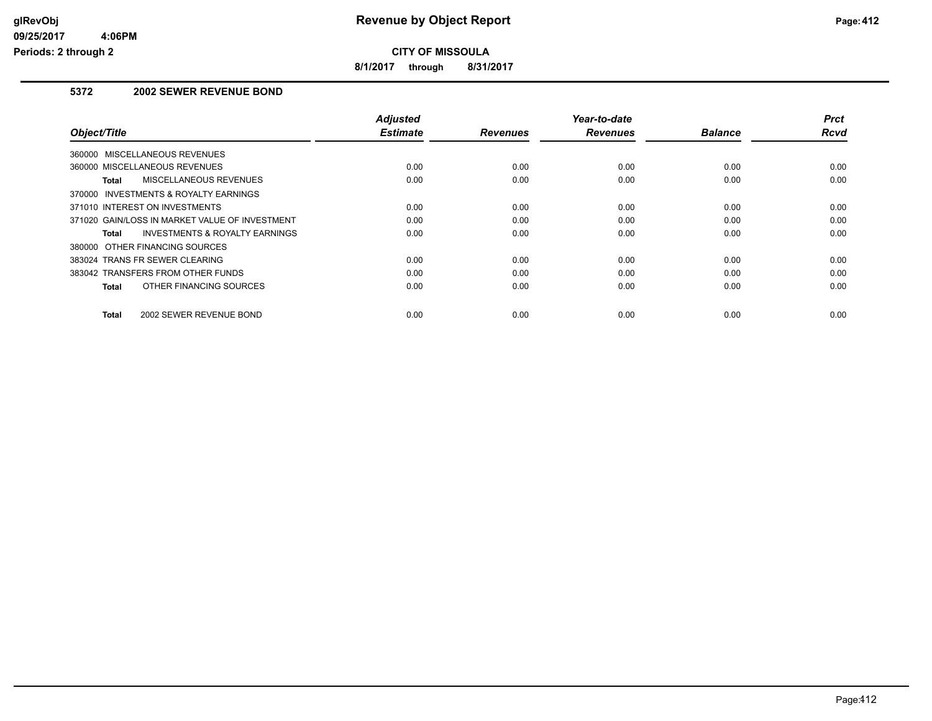**8/1/2017 through 8/31/2017**

## **5372 2002 SEWER REVENUE BOND**

| Object/Title                                       | <b>Adjusted</b><br><b>Estimate</b> | <b>Revenues</b> | Year-to-date<br><b>Revenues</b> | <b>Balance</b> | <b>Prct</b><br><b>Rcvd</b> |
|----------------------------------------------------|------------------------------------|-----------------|---------------------------------|----------------|----------------------------|
| 360000 MISCELLANEOUS REVENUES                      |                                    |                 |                                 |                |                            |
| 360000 MISCELLANEOUS REVENUES                      | 0.00                               | 0.00            | 0.00                            | 0.00           | 0.00                       |
| MISCELLANEOUS REVENUES<br><b>Total</b>             | 0.00                               | 0.00            | 0.00                            | 0.00           | 0.00                       |
| 370000 INVESTMENTS & ROYALTY EARNINGS              |                                    |                 |                                 |                |                            |
| 371010 INTEREST ON INVESTMENTS                     | 0.00                               | 0.00            | 0.00                            | 0.00           | 0.00                       |
| 371020 GAIN/LOSS IN MARKET VALUE OF INVESTMENT     | 0.00                               | 0.00            | 0.00                            | 0.00           | 0.00                       |
| <b>INVESTMENTS &amp; ROYALTY EARNINGS</b><br>Total | 0.00                               | 0.00            | 0.00                            | 0.00           | 0.00                       |
| 380000 OTHER FINANCING SOURCES                     |                                    |                 |                                 |                |                            |
| 383024 TRANS FR SEWER CLEARING                     | 0.00                               | 0.00            | 0.00                            | 0.00           | 0.00                       |
| 383042 TRANSFERS FROM OTHER FUNDS                  | 0.00                               | 0.00            | 0.00                            | 0.00           | 0.00                       |
| OTHER FINANCING SOURCES<br>Total                   | 0.00                               | 0.00            | 0.00                            | 0.00           | 0.00                       |
| 2002 SEWER REVENUE BOND<br>Total                   | 0.00                               | 0.00            | 0.00                            | 0.00           | 0.00                       |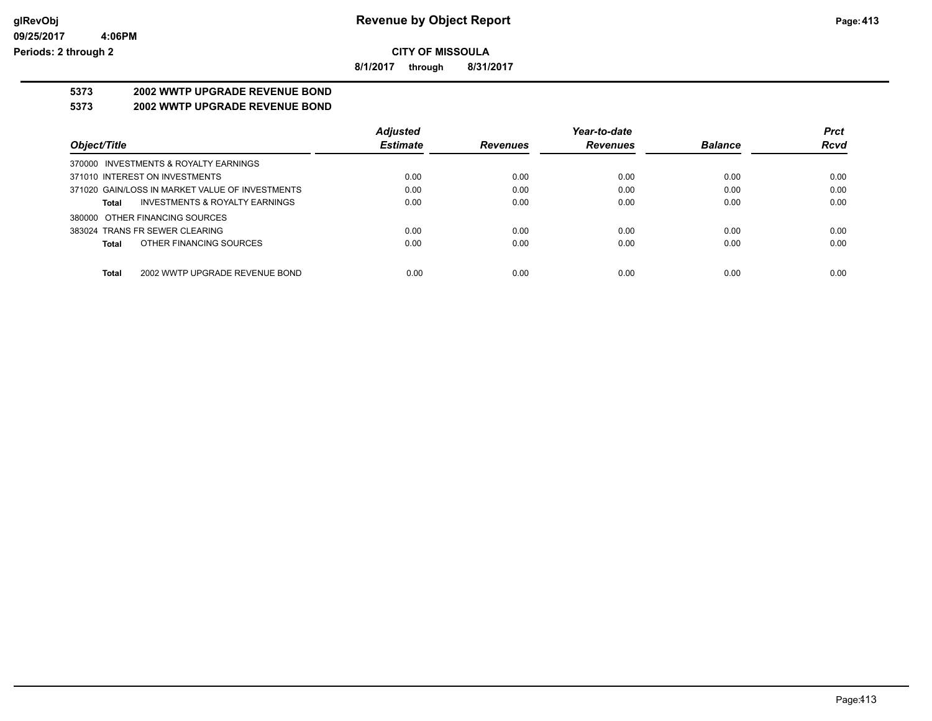**8/1/2017 through 8/31/2017**

# **5373 2002 WWTP UPGRADE REVENUE BOND**

# **5373 2002 WWTP UPGRADE REVENUE BOND**

|                                                 | <b>Adjusted</b> |                 | Year-to-date    |                | <b>Prct</b> |
|-------------------------------------------------|-----------------|-----------------|-----------------|----------------|-------------|
| Object/Title                                    | <b>Estimate</b> | <b>Revenues</b> | <b>Revenues</b> | <b>Balance</b> | <b>Rcvd</b> |
| 370000 INVESTMENTS & ROYALTY EARNINGS           |                 |                 |                 |                |             |
| 371010 INTEREST ON INVESTMENTS                  | 0.00            | 0.00            | 0.00            | 0.00           | 0.00        |
| 371020 GAIN/LOSS IN MARKET VALUE OF INVESTMENTS | 0.00            | 0.00            | 0.00            | 0.00           | 0.00        |
| INVESTMENTS & ROYALTY EARNINGS<br>Total         | 0.00            | 0.00            | 0.00            | 0.00           | 0.00        |
| 380000 OTHER FINANCING SOURCES                  |                 |                 |                 |                |             |
| 383024 TRANS FR SEWER CLEARING                  | 0.00            | 0.00            | 0.00            | 0.00           | 0.00        |
| OTHER FINANCING SOURCES<br>Total                | 0.00            | 0.00            | 0.00            | 0.00           | 0.00        |
|                                                 |                 |                 |                 |                |             |
| Total<br>2002 WWTP UPGRADE REVENUE BOND         | 0.00            | 0.00            | 0.00            | 0.00           | 0.00        |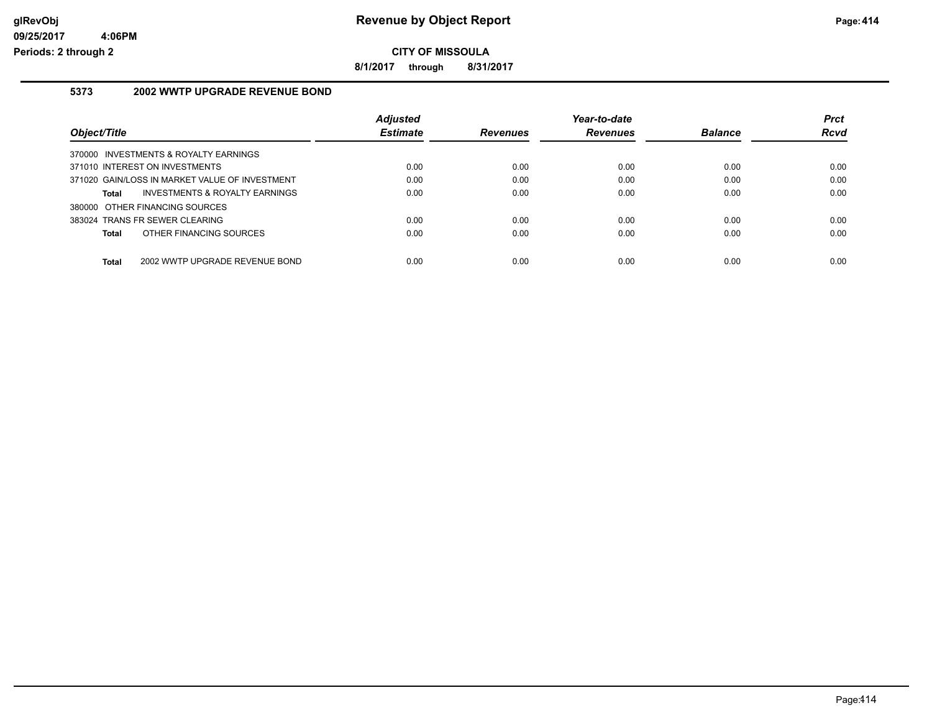**8/1/2017 through 8/31/2017**

#### **5373 2002 WWTP UPGRADE REVENUE BOND**

|                                                | <b>Adjusted</b> |                 | Year-to-date    |                | <b>Prct</b> |
|------------------------------------------------|-----------------|-----------------|-----------------|----------------|-------------|
| Object/Title                                   | <b>Estimate</b> | <b>Revenues</b> | <b>Revenues</b> | <b>Balance</b> | <b>Rcvd</b> |
| 370000 INVESTMENTS & ROYALTY EARNINGS          |                 |                 |                 |                |             |
| 371010 INTEREST ON INVESTMENTS                 | 0.00            | 0.00            | 0.00            | 0.00           | 0.00        |
| 371020 GAIN/LOSS IN MARKET VALUE OF INVESTMENT | 0.00            | 0.00            | 0.00            | 0.00           | 0.00        |
| INVESTMENTS & ROYALTY EARNINGS<br>Total        | 0.00            | 0.00            | 0.00            | 0.00           | 0.00        |
| 380000 OTHER FINANCING SOURCES                 |                 |                 |                 |                |             |
| 383024 TRANS FR SEWER CLEARING                 | 0.00            | 0.00            | 0.00            | 0.00           | 0.00        |
| OTHER FINANCING SOURCES<br>Total               | 0.00            | 0.00            | 0.00            | 0.00           | 0.00        |
|                                                |                 |                 |                 |                |             |
| Total<br>2002 WWTP UPGRADE REVENUE BOND        | 0.00            | 0.00            | 0.00            | 0.00           | 0.00        |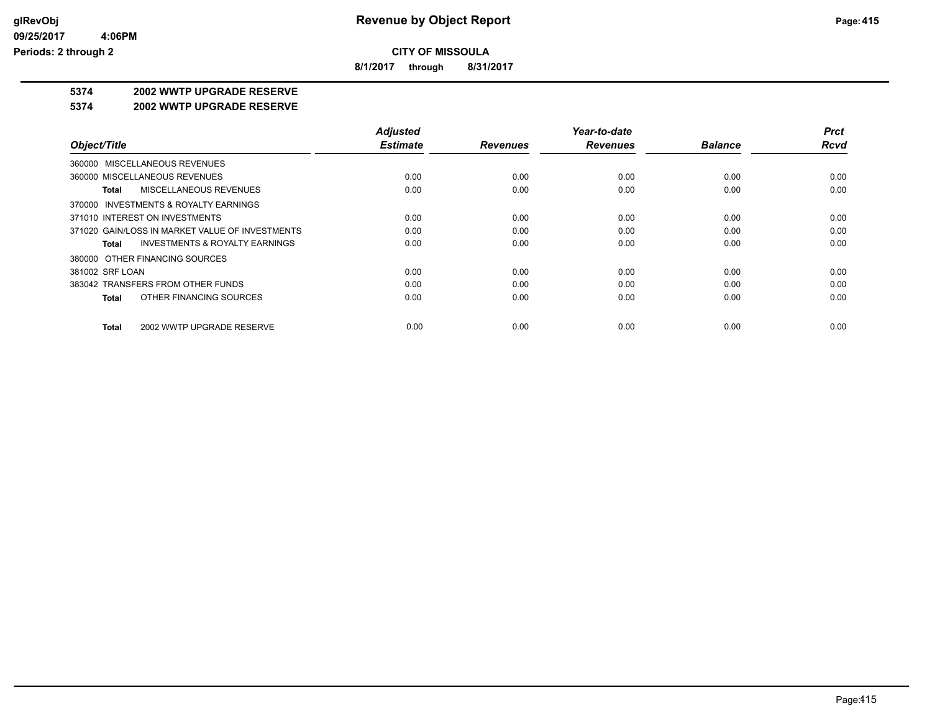**8/1/2017 through 8/31/2017**

#### **5374 2002 WWTP UPGRADE RESERVE**

#### **5374 2002 WWTP UPGRADE RESERVE**

|                                                    | <b>Adjusted</b> |                 | Year-to-date    |                | <b>Prct</b> |
|----------------------------------------------------|-----------------|-----------------|-----------------|----------------|-------------|
| Object/Title                                       | <b>Estimate</b> | <b>Revenues</b> | <b>Revenues</b> | <b>Balance</b> | <b>Rcvd</b> |
| 360000 MISCELLANEOUS REVENUES                      |                 |                 |                 |                |             |
| 360000 MISCELLANEOUS REVENUES                      | 0.00            | 0.00            | 0.00            | 0.00           | 0.00        |
| <b>MISCELLANEOUS REVENUES</b><br>Total             | 0.00            | 0.00            | 0.00            | 0.00           | 0.00        |
| 370000 INVESTMENTS & ROYALTY EARNINGS              |                 |                 |                 |                |             |
| 371010 INTEREST ON INVESTMENTS                     | 0.00            | 0.00            | 0.00            | 0.00           | 0.00        |
| 371020 GAIN/LOSS IN MARKET VALUE OF INVESTMENTS    | 0.00            | 0.00            | 0.00            | 0.00           | 0.00        |
| <b>INVESTMENTS &amp; ROYALTY EARNINGS</b><br>Total | 0.00            | 0.00            | 0.00            | 0.00           | 0.00        |
| 380000 OTHER FINANCING SOURCES                     |                 |                 |                 |                |             |
| 381002 SRF LOAN                                    | 0.00            | 0.00            | 0.00            | 0.00           | 0.00        |
| 383042 TRANSFERS FROM OTHER FUNDS                  | 0.00            | 0.00            | 0.00            | 0.00           | 0.00        |
| OTHER FINANCING SOURCES<br>Total                   | 0.00            | 0.00            | 0.00            | 0.00           | 0.00        |
| 2002 WWTP UPGRADE RESERVE<br>Total                 | 0.00            | 0.00            | 0.00            | 0.00           | 0.00        |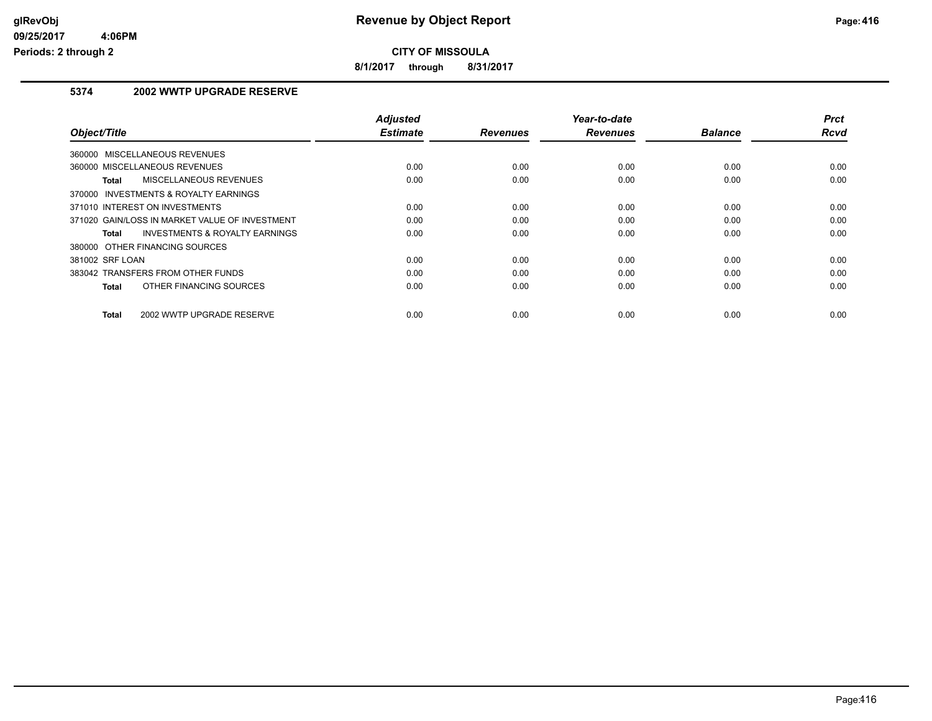**8/1/2017 through 8/31/2017**

## **5374 2002 WWTP UPGRADE RESERVE**

| Object/Title                                              | <b>Adjusted</b><br><b>Estimate</b> | <b>Revenues</b> | Year-to-date<br><b>Revenues</b> | <b>Balance</b> | <b>Prct</b><br><b>Rcvd</b> |
|-----------------------------------------------------------|------------------------------------|-----------------|---------------------------------|----------------|----------------------------|
| 360000 MISCELLANEOUS REVENUES                             |                                    |                 |                                 |                |                            |
| 360000 MISCELLANEOUS REVENUES                             | 0.00                               | 0.00            | 0.00                            | 0.00           | 0.00                       |
| MISCELLANEOUS REVENUES<br><b>Total</b>                    | 0.00                               | 0.00            | 0.00                            | 0.00           | 0.00                       |
| 370000 INVESTMENTS & ROYALTY EARNINGS                     |                                    |                 |                                 |                |                            |
| 371010 INTEREST ON INVESTMENTS                            | 0.00                               | 0.00            | 0.00                            | 0.00           | 0.00                       |
| 371020 GAIN/LOSS IN MARKET VALUE OF INVESTMENT            | 0.00                               | 0.00            | 0.00                            | 0.00           | 0.00                       |
| <b>INVESTMENTS &amp; ROYALTY EARNINGS</b><br><b>Total</b> | 0.00                               | 0.00            | 0.00                            | 0.00           | 0.00                       |
| 380000 OTHER FINANCING SOURCES                            |                                    |                 |                                 |                |                            |
| 381002 SRF LOAN                                           | 0.00                               | 0.00            | 0.00                            | 0.00           | 0.00                       |
| 383042 TRANSFERS FROM OTHER FUNDS                         | 0.00                               | 0.00            | 0.00                            | 0.00           | 0.00                       |
| OTHER FINANCING SOURCES<br><b>Total</b>                   | 0.00                               | 0.00            | 0.00                            | 0.00           | 0.00                       |
| 2002 WWTP UPGRADE RESERVE<br><b>Total</b>                 | 0.00                               | 0.00            | 0.00                            | 0.00           | 0.00                       |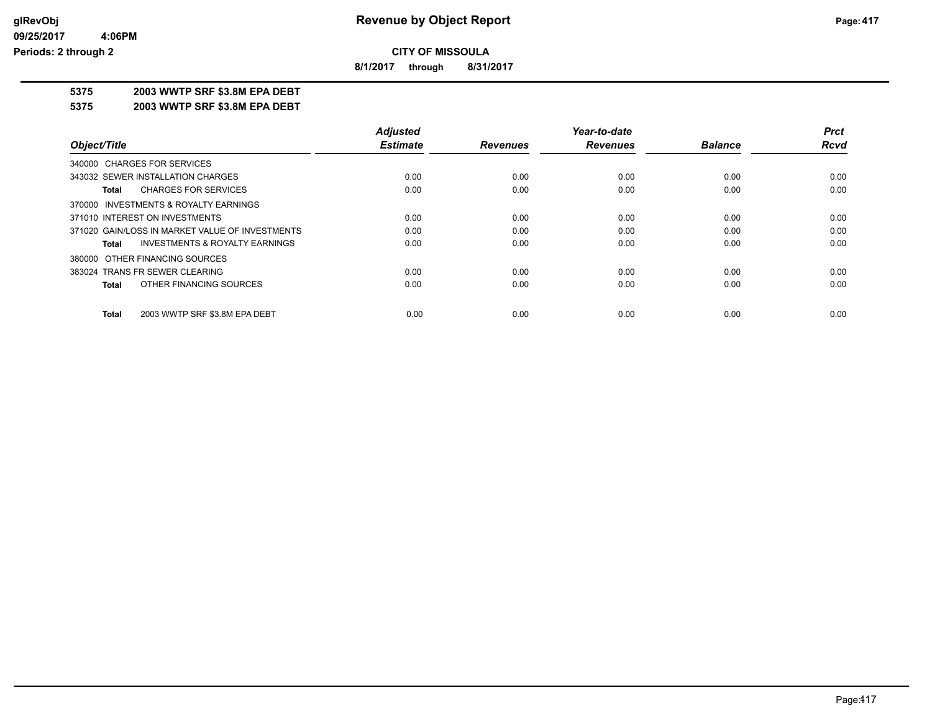**8/1/2017 through 8/31/2017**

**5375 2003 WWTP SRF \$3.8M EPA DEBT**

**5375 2003 WWTP SRF \$3.8M EPA DEBT**

|                                                    | <b>Adjusted</b> |                 | Year-to-date    |                | <b>Prct</b> |
|----------------------------------------------------|-----------------|-----------------|-----------------|----------------|-------------|
| Object/Title                                       | <b>Estimate</b> | <b>Revenues</b> | <b>Revenues</b> | <b>Balance</b> | <b>Rcvd</b> |
| 340000 CHARGES FOR SERVICES                        |                 |                 |                 |                |             |
| 343032 SEWER INSTALLATION CHARGES                  | 0.00            | 0.00            | 0.00            | 0.00           | 0.00        |
| <b>CHARGES FOR SERVICES</b><br>Total               | 0.00            | 0.00            | 0.00            | 0.00           | 0.00        |
| 370000 INVESTMENTS & ROYALTY EARNINGS              |                 |                 |                 |                |             |
| 371010 INTEREST ON INVESTMENTS                     | 0.00            | 0.00            | 0.00            | 0.00           | 0.00        |
| 371020 GAIN/LOSS IN MARKET VALUE OF INVESTMENTS    | 0.00            | 0.00            | 0.00            | 0.00           | 0.00        |
| <b>INVESTMENTS &amp; ROYALTY EARNINGS</b><br>Total | 0.00            | 0.00            | 0.00            | 0.00           | 0.00        |
| 380000 OTHER FINANCING SOURCES                     |                 |                 |                 |                |             |
| 383024 TRANS FR SEWER CLEARING                     | 0.00            | 0.00            | 0.00            | 0.00           | 0.00        |
| OTHER FINANCING SOURCES<br>Total                   | 0.00            | 0.00            | 0.00            | 0.00           | 0.00        |
| 2003 WWTP SRF \$3.8M EPA DEBT<br>Total             | 0.00            | 0.00            | 0.00            | 0.00           | 0.00        |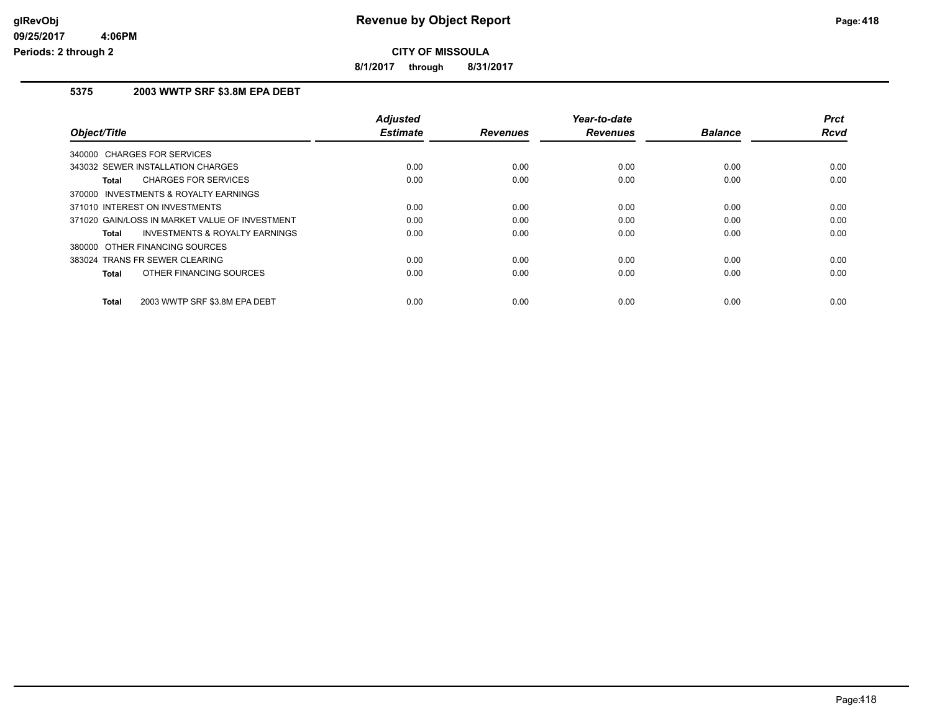**8/1/2017 through 8/31/2017**

## **5375 2003 WWTP SRF \$3.8M EPA DEBT**

| Object/Title                                       | <b>Adjusted</b><br><b>Estimate</b> | <b>Revenues</b> | Year-to-date<br><b>Revenues</b> | <b>Balance</b> | <b>Prct</b><br>Rcvd |
|----------------------------------------------------|------------------------------------|-----------------|---------------------------------|----------------|---------------------|
| 340000 CHARGES FOR SERVICES                        |                                    |                 |                                 |                |                     |
| 343032 SEWER INSTALLATION CHARGES                  | 0.00                               | 0.00            | 0.00                            | 0.00           | 0.00                |
| <b>CHARGES FOR SERVICES</b><br>Total               | 0.00                               | 0.00            | 0.00                            | 0.00           | 0.00                |
| 370000 INVESTMENTS & ROYALTY EARNINGS              |                                    |                 |                                 |                |                     |
| 371010 INTEREST ON INVESTMENTS                     | 0.00                               | 0.00            | 0.00                            | 0.00           | 0.00                |
| 371020 GAIN/LOSS IN MARKET VALUE OF INVESTMENT     | 0.00                               | 0.00            | 0.00                            | 0.00           | 0.00                |
| <b>INVESTMENTS &amp; ROYALTY EARNINGS</b><br>Total | 0.00                               | 0.00            | 0.00                            | 0.00           | 0.00                |
| 380000 OTHER FINANCING SOURCES                     |                                    |                 |                                 |                |                     |
| 383024 TRANS FR SEWER CLEARING                     | 0.00                               | 0.00            | 0.00                            | 0.00           | 0.00                |
| OTHER FINANCING SOURCES<br>Total                   | 0.00                               | 0.00            | 0.00                            | 0.00           | 0.00                |
| 2003 WWTP SRF \$3.8M EPA DEBT<br>Total             | 0.00                               | 0.00            | 0.00                            | 0.00           | 0.00                |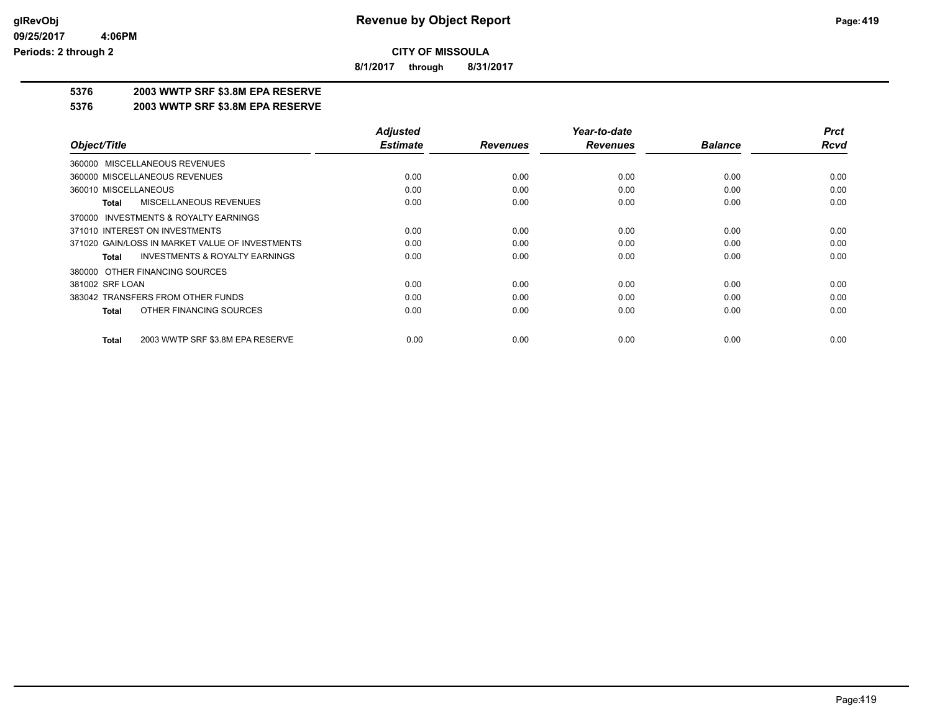**8/1/2017 through 8/31/2017**

## **5376 2003 WWTP SRF \$3.8M EPA RESERVE**

### **5376 2003 WWTP SRF \$3.8M EPA RESERVE**

|                                                    | <b>Adjusted</b> |                 | Year-to-date    |                | <b>Prct</b> |
|----------------------------------------------------|-----------------|-----------------|-----------------|----------------|-------------|
| Object/Title                                       | <b>Estimate</b> | <b>Revenues</b> | <b>Revenues</b> | <b>Balance</b> | <b>Rcvd</b> |
| 360000 MISCELLANEOUS REVENUES                      |                 |                 |                 |                |             |
| 360000 MISCELLANEOUS REVENUES                      | 0.00            | 0.00            | 0.00            | 0.00           | 0.00        |
| 360010 MISCELLANEOUS                               | 0.00            | 0.00            | 0.00            | 0.00           | 0.00        |
| MISCELLANEOUS REVENUES<br>Total                    | 0.00            | 0.00            | 0.00            | 0.00           | 0.00        |
| 370000 INVESTMENTS & ROYALTY EARNINGS              |                 |                 |                 |                |             |
| 371010 INTEREST ON INVESTMENTS                     | 0.00            | 0.00            | 0.00            | 0.00           | 0.00        |
| 371020 GAIN/LOSS IN MARKET VALUE OF INVESTMENTS    | 0.00            | 0.00            | 0.00            | 0.00           | 0.00        |
| <b>INVESTMENTS &amp; ROYALTY EARNINGS</b><br>Total | 0.00            | 0.00            | 0.00            | 0.00           | 0.00        |
| 380000 OTHER FINANCING SOURCES                     |                 |                 |                 |                |             |
| 381002 SRF LOAN                                    | 0.00            | 0.00            | 0.00            | 0.00           | 0.00        |
| 383042 TRANSFERS FROM OTHER FUNDS                  | 0.00            | 0.00            | 0.00            | 0.00           | 0.00        |
| OTHER FINANCING SOURCES<br>Total                   | 0.00            | 0.00            | 0.00            | 0.00           | 0.00        |
| 2003 WWTP SRF \$3.8M EPA RESERVE<br><b>Total</b>   | 0.00            | 0.00            | 0.00            | 0.00           | 0.00        |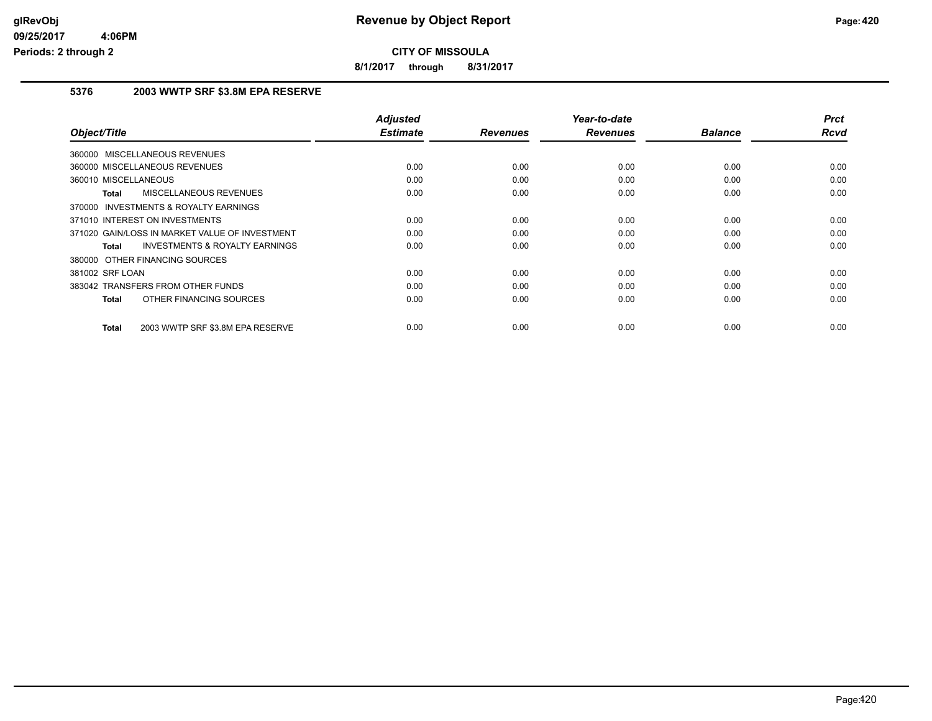**8/1/2017 through 8/31/2017**

### **5376 2003 WWTP SRF \$3.8M EPA RESERVE**

| Object/Title                                              | <b>Adjusted</b><br><b>Estimate</b> | <b>Revenues</b> | Year-to-date<br><b>Revenues</b> | <b>Balance</b> | <b>Prct</b><br>Rcvd |
|-----------------------------------------------------------|------------------------------------|-----------------|---------------------------------|----------------|---------------------|
|                                                           |                                    |                 |                                 |                |                     |
| 360000 MISCELLANEOUS REVENUES                             |                                    |                 |                                 |                |                     |
| 360000 MISCELLANEOUS REVENUES                             | 0.00                               | 0.00            | 0.00                            | 0.00           | 0.00                |
| 360010 MISCELLANEOUS                                      | 0.00                               | 0.00            | 0.00                            | 0.00           | 0.00                |
| MISCELLANEOUS REVENUES<br><b>Total</b>                    | 0.00                               | 0.00            | 0.00                            | 0.00           | 0.00                |
| <b>INVESTMENTS &amp; ROYALTY EARNINGS</b><br>370000       |                                    |                 |                                 |                |                     |
| 371010 INTEREST ON INVESTMENTS                            | 0.00                               | 0.00            | 0.00                            | 0.00           | 0.00                |
| 371020 GAIN/LOSS IN MARKET VALUE OF INVESTMENT            | 0.00                               | 0.00            | 0.00                            | 0.00           | 0.00                |
| <b>INVESTMENTS &amp; ROYALTY EARNINGS</b><br><b>Total</b> | 0.00                               | 0.00            | 0.00                            | 0.00           | 0.00                |
| 380000 OTHER FINANCING SOURCES                            |                                    |                 |                                 |                |                     |
| 381002 SRF LOAN                                           | 0.00                               | 0.00            | 0.00                            | 0.00           | 0.00                |
| 383042 TRANSFERS FROM OTHER FUNDS                         | 0.00                               | 0.00            | 0.00                            | 0.00           | 0.00                |
| OTHER FINANCING SOURCES<br><b>Total</b>                   | 0.00                               | 0.00            | 0.00                            | 0.00           | 0.00                |
|                                                           |                                    |                 |                                 |                |                     |
| 2003 WWTP SRF \$3.8M EPA RESERVE<br><b>Total</b>          | 0.00                               | 0.00            | 0.00                            | 0.00           | 0.00                |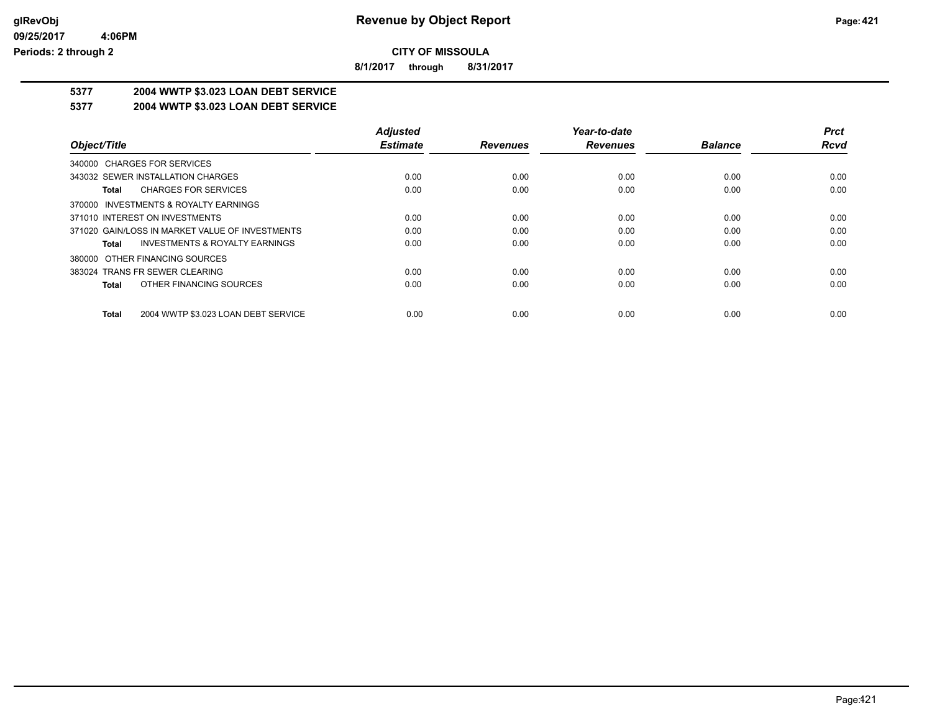**8/1/2017 through 8/31/2017**

# **5377 2004 WWTP \$3.023 LOAN DEBT SERVICE**

# **5377 2004 WWTP \$3.023 LOAN DEBT SERVICE**

|                                                     | <b>Adjusted</b> |                 | Year-to-date    |                | <b>Prct</b> |
|-----------------------------------------------------|-----------------|-----------------|-----------------|----------------|-------------|
| Object/Title                                        | <b>Estimate</b> | <b>Revenues</b> | <b>Revenues</b> | <b>Balance</b> | <b>Rcvd</b> |
| 340000 CHARGES FOR SERVICES                         |                 |                 |                 |                |             |
| 343032 SEWER INSTALLATION CHARGES                   | 0.00            | 0.00            | 0.00            | 0.00           | 0.00        |
| <b>CHARGES FOR SERVICES</b><br>Total                | 0.00            | 0.00            | 0.00            | 0.00           | 0.00        |
| 370000 INVESTMENTS & ROYALTY EARNINGS               |                 |                 |                 |                |             |
| 371010 INTEREST ON INVESTMENTS                      | 0.00            | 0.00            | 0.00            | 0.00           | 0.00        |
| 371020 GAIN/LOSS IN MARKET VALUE OF INVESTMENTS     | 0.00            | 0.00            | 0.00            | 0.00           | 0.00        |
| <b>INVESTMENTS &amp; ROYALTY EARNINGS</b><br>Total  | 0.00            | 0.00            | 0.00            | 0.00           | 0.00        |
| 380000 OTHER FINANCING SOURCES                      |                 |                 |                 |                |             |
| 383024 TRANS FR SEWER CLEARING                      | 0.00            | 0.00            | 0.00            | 0.00           | 0.00        |
| OTHER FINANCING SOURCES<br>Total                    | 0.00            | 0.00            | 0.00            | 0.00           | 0.00        |
| 2004 WWTP \$3.023 LOAN DEBT SERVICE<br><b>Total</b> | 0.00            | 0.00            | 0.00            | 0.00           | 0.00        |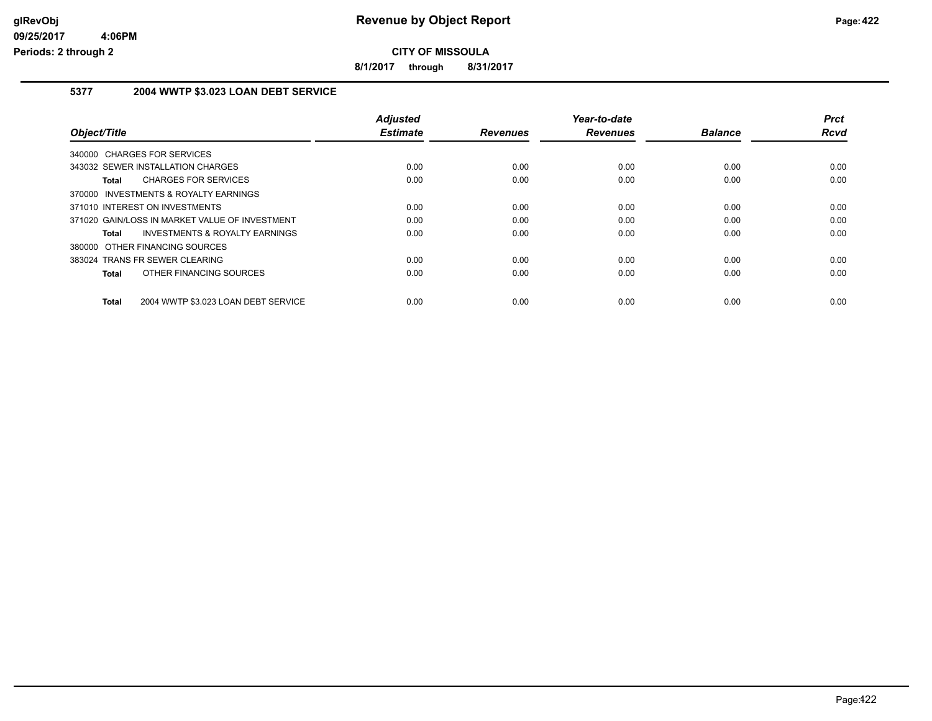**8/1/2017 through 8/31/2017**

#### **5377 2004 WWTP \$3.023 LOAN DEBT SERVICE**

| Object/Title                                              | <b>Adjusted</b><br><b>Estimate</b> | <b>Revenues</b> | Year-to-date<br><b>Revenues</b> | <b>Balance</b> | <b>Prct</b><br><b>Rcvd</b> |
|-----------------------------------------------------------|------------------------------------|-----------------|---------------------------------|----------------|----------------------------|
| 340000 CHARGES FOR SERVICES                               |                                    |                 |                                 |                |                            |
| 343032 SEWER INSTALLATION CHARGES                         | 0.00                               | 0.00            | 0.00                            | 0.00           | 0.00                       |
| <b>CHARGES FOR SERVICES</b><br><b>Total</b>               | 0.00                               | 0.00            | 0.00                            | 0.00           | 0.00                       |
| 370000 INVESTMENTS & ROYALTY EARNINGS                     |                                    |                 |                                 |                |                            |
| 371010 INTEREST ON INVESTMENTS                            | 0.00                               | 0.00            | 0.00                            | 0.00           | 0.00                       |
| 371020 GAIN/LOSS IN MARKET VALUE OF INVESTMENT            | 0.00                               | 0.00            | 0.00                            | 0.00           | 0.00                       |
| <b>INVESTMENTS &amp; ROYALTY EARNINGS</b><br><b>Total</b> | 0.00                               | 0.00            | 0.00                            | 0.00           | 0.00                       |
| 380000 OTHER FINANCING SOURCES                            |                                    |                 |                                 |                |                            |
| 383024 TRANS FR SEWER CLEARING                            | 0.00                               | 0.00            | 0.00                            | 0.00           | 0.00                       |
| OTHER FINANCING SOURCES<br><b>Total</b>                   | 0.00                               | 0.00            | 0.00                            | 0.00           | 0.00                       |
| <b>Total</b><br>2004 WWTP \$3.023 LOAN DEBT SERVICE       | 0.00                               | 0.00            | 0.00                            | 0.00           | 0.00                       |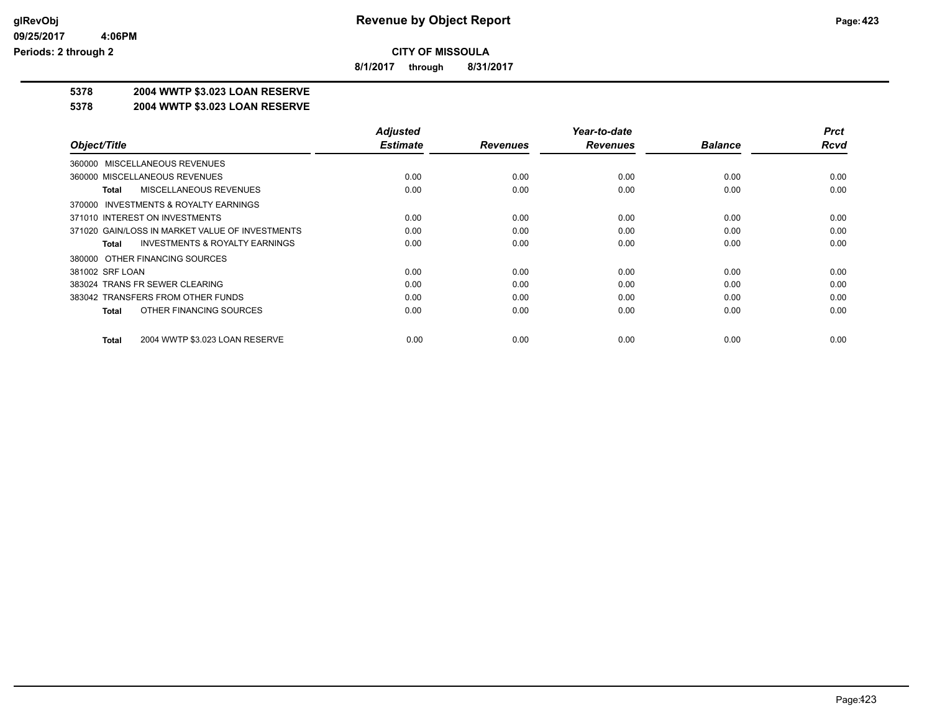**8/1/2017 through 8/31/2017**

# **5378 2004 WWTP \$3.023 LOAN RESERVE**

#### **5378 2004 WWTP \$3.023 LOAN RESERVE**

|                                                    | <b>Adjusted</b> |                 | Year-to-date    |                | <b>Prct</b> |
|----------------------------------------------------|-----------------|-----------------|-----------------|----------------|-------------|
| Object/Title                                       | <b>Estimate</b> | <b>Revenues</b> | <b>Revenues</b> | <b>Balance</b> | <b>Rcvd</b> |
| 360000 MISCELLANEOUS REVENUES                      |                 |                 |                 |                |             |
| 360000 MISCELLANEOUS REVENUES                      | 0.00            | 0.00            | 0.00            | 0.00           | 0.00        |
| MISCELLANEOUS REVENUES<br>Total                    | 0.00            | 0.00            | 0.00            | 0.00           | 0.00        |
| 370000 INVESTMENTS & ROYALTY EARNINGS              |                 |                 |                 |                |             |
| 371010 INTEREST ON INVESTMENTS                     | 0.00            | 0.00            | 0.00            | 0.00           | 0.00        |
| 371020 GAIN/LOSS IN MARKET VALUE OF INVESTMENTS    | 0.00            | 0.00            | 0.00            | 0.00           | 0.00        |
| <b>INVESTMENTS &amp; ROYALTY EARNINGS</b><br>Total | 0.00            | 0.00            | 0.00            | 0.00           | 0.00        |
| 380000 OTHER FINANCING SOURCES                     |                 |                 |                 |                |             |
| 381002 SRF LOAN                                    | 0.00            | 0.00            | 0.00            | 0.00           | 0.00        |
| 383024 TRANS FR SEWER CLEARING                     | 0.00            | 0.00            | 0.00            | 0.00           | 0.00        |
| 383042 TRANSFERS FROM OTHER FUNDS                  | 0.00            | 0.00            | 0.00            | 0.00           | 0.00        |
| OTHER FINANCING SOURCES<br>Total                   | 0.00            | 0.00            | 0.00            | 0.00           | 0.00        |
| 2004 WWTP \$3.023 LOAN RESERVE<br>Total            | 0.00            | 0.00            | 0.00            | 0.00           | 0.00        |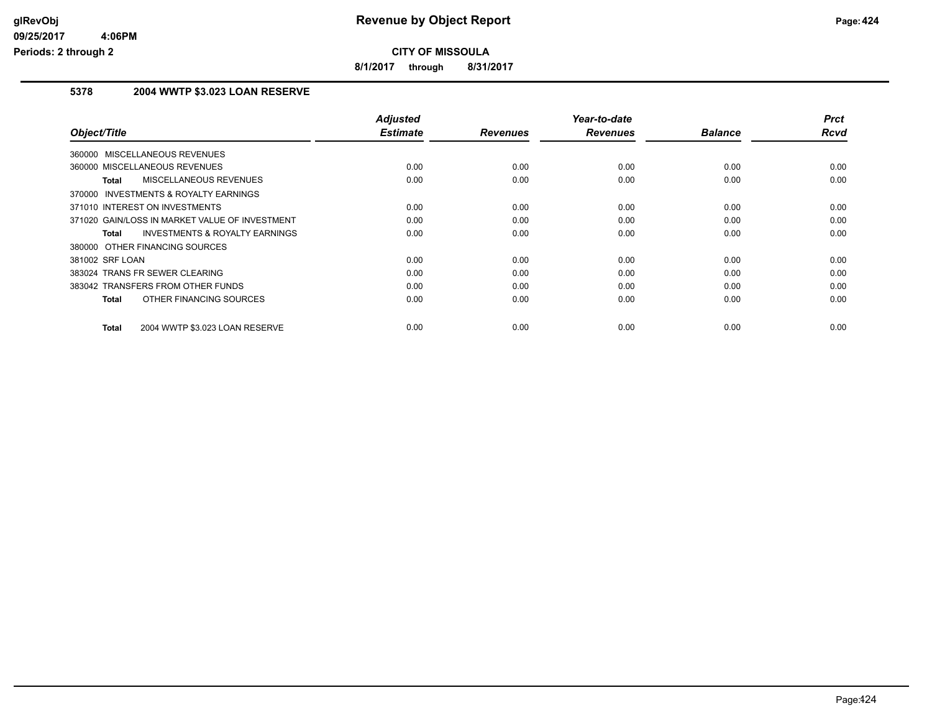**8/1/2017 through 8/31/2017**

## **5378 2004 WWTP \$3.023 LOAN RESERVE**

|                                                    | <b>Adjusted</b> |                 | Year-to-date    |                | <b>Prct</b> |
|----------------------------------------------------|-----------------|-----------------|-----------------|----------------|-------------|
| Object/Title                                       | <b>Estimate</b> | <b>Revenues</b> | <b>Revenues</b> | <b>Balance</b> | <b>Rcvd</b> |
| <b>MISCELLANEOUS REVENUES</b><br>360000            |                 |                 |                 |                |             |
| 360000 MISCELLANEOUS REVENUES                      | 0.00            | 0.00            | 0.00            | 0.00           | 0.00        |
| MISCELLANEOUS REVENUES<br><b>Total</b>             | 0.00            | 0.00            | 0.00            | 0.00           | 0.00        |
| INVESTMENTS & ROYALTY EARNINGS<br>370000           |                 |                 |                 |                |             |
| 371010 INTEREST ON INVESTMENTS                     | 0.00            | 0.00            | 0.00            | 0.00           | 0.00        |
| 371020 GAIN/LOSS IN MARKET VALUE OF INVESTMENT     | 0.00            | 0.00            | 0.00            | 0.00           | 0.00        |
| <b>INVESTMENTS &amp; ROYALTY EARNINGS</b><br>Total | 0.00            | 0.00            | 0.00            | 0.00           | 0.00        |
| 380000 OTHER FINANCING SOURCES                     |                 |                 |                 |                |             |
| 381002 SRF LOAN                                    | 0.00            | 0.00            | 0.00            | 0.00           | 0.00        |
| 383024 TRANS FR SEWER CLEARING                     | 0.00            | 0.00            | 0.00            | 0.00           | 0.00        |
| 383042 TRANSFERS FROM OTHER FUNDS                  | 0.00            | 0.00            | 0.00            | 0.00           | 0.00        |
| OTHER FINANCING SOURCES<br><b>Total</b>            | 0.00            | 0.00            | 0.00            | 0.00           | 0.00        |
| 2004 WWTP \$3.023 LOAN RESERVE<br><b>Total</b>     | 0.00            | 0.00            | 0.00            | 0.00           | 0.00        |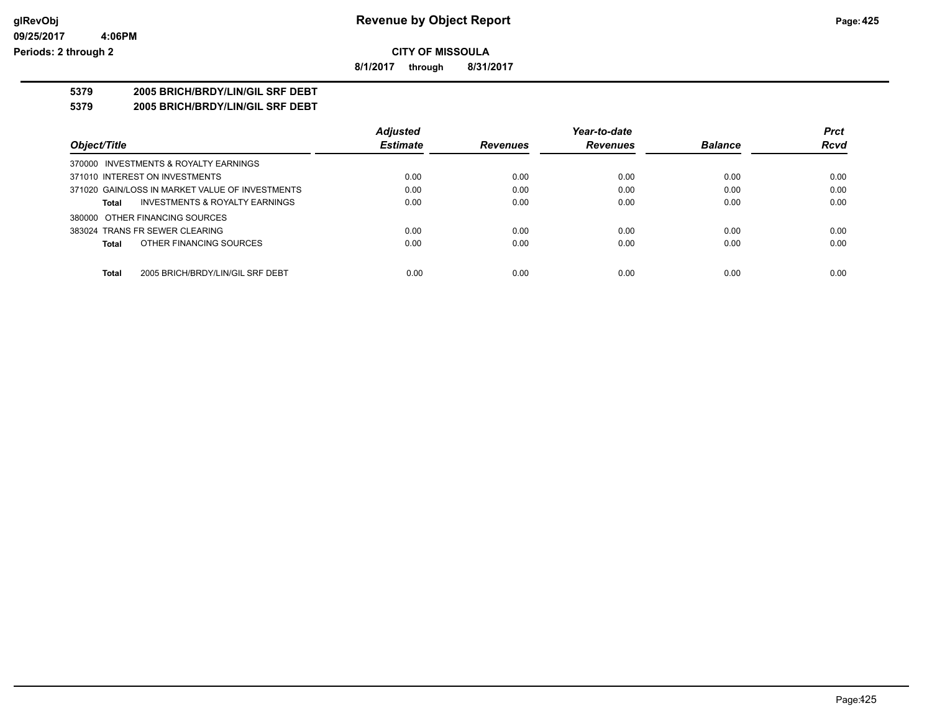**8/1/2017 through 8/31/2017**

# **5379 2005 BRICH/BRDY/LIN/GIL SRF DEBT**

#### **5379 2005 BRICH/BRDY/LIN/GIL SRF DEBT**

|                                                 | <b>Adjusted</b> |                 | Year-to-date    |                | <b>Prct</b> |
|-------------------------------------------------|-----------------|-----------------|-----------------|----------------|-------------|
| Object/Title                                    | <b>Estimate</b> | <b>Revenues</b> | <b>Revenues</b> | <b>Balance</b> | <b>Rcvd</b> |
| 370000 INVESTMENTS & ROYALTY EARNINGS           |                 |                 |                 |                |             |
| 371010 INTEREST ON INVESTMENTS                  | 0.00            | 0.00            | 0.00            | 0.00           | 0.00        |
| 371020 GAIN/LOSS IN MARKET VALUE OF INVESTMENTS | 0.00            | 0.00            | 0.00            | 0.00           | 0.00        |
| INVESTMENTS & ROYALTY EARNINGS<br><b>Total</b>  | 0.00            | 0.00            | 0.00            | 0.00           | 0.00        |
| 380000 OTHER FINANCING SOURCES                  |                 |                 |                 |                |             |
| 383024 TRANS FR SEWER CLEARING                  | 0.00            | 0.00            | 0.00            | 0.00           | 0.00        |
| OTHER FINANCING SOURCES<br><b>Total</b>         | 0.00            | 0.00            | 0.00            | 0.00           | 0.00        |
| 2005 BRICH/BRDY/LIN/GIL SRF DEBT                | 0.00            | 0.00            | 0.00            | 0.00           | 0.00        |
| <b>Total</b>                                    |                 |                 |                 |                |             |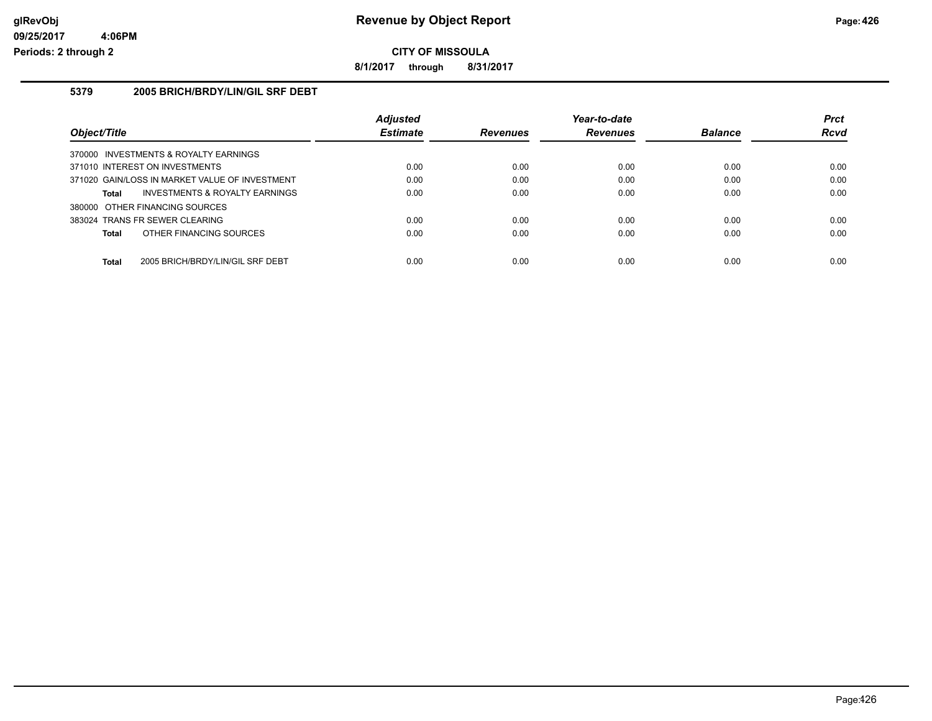**8/1/2017 through 8/31/2017**

#### **5379 2005 BRICH/BRDY/LIN/GIL SRF DEBT**

|                                                | <b>Adjusted</b> |                 | Year-to-date    |                | <b>Prct</b> |
|------------------------------------------------|-----------------|-----------------|-----------------|----------------|-------------|
| Object/Title                                   | <b>Estimate</b> | <b>Revenues</b> | <b>Revenues</b> | <b>Balance</b> | Rcvd        |
| 370000 INVESTMENTS & ROYALTY EARNINGS          |                 |                 |                 |                |             |
| 371010 INTEREST ON INVESTMENTS                 | 0.00            | 0.00            | 0.00            | 0.00           | 0.00        |
| 371020 GAIN/LOSS IN MARKET VALUE OF INVESTMENT | 0.00            | 0.00            | 0.00            | 0.00           | 0.00        |
| INVESTMENTS & ROYALTY EARNINGS<br>Total        | 0.00            | 0.00            | 0.00            | 0.00           | 0.00        |
| 380000 OTHER FINANCING SOURCES                 |                 |                 |                 |                |             |
| 383024 TRANS FR SEWER CLEARING                 | 0.00            | 0.00            | 0.00            | 0.00           | 0.00        |
| OTHER FINANCING SOURCES<br>Total               | 0.00            | 0.00            | 0.00            | 0.00           | 0.00        |
|                                                |                 |                 |                 |                |             |
| Total<br>2005 BRICH/BRDY/LIN/GIL SRF DEBT      | 0.00            | 0.00            | 0.00            | 0.00           | 0.00        |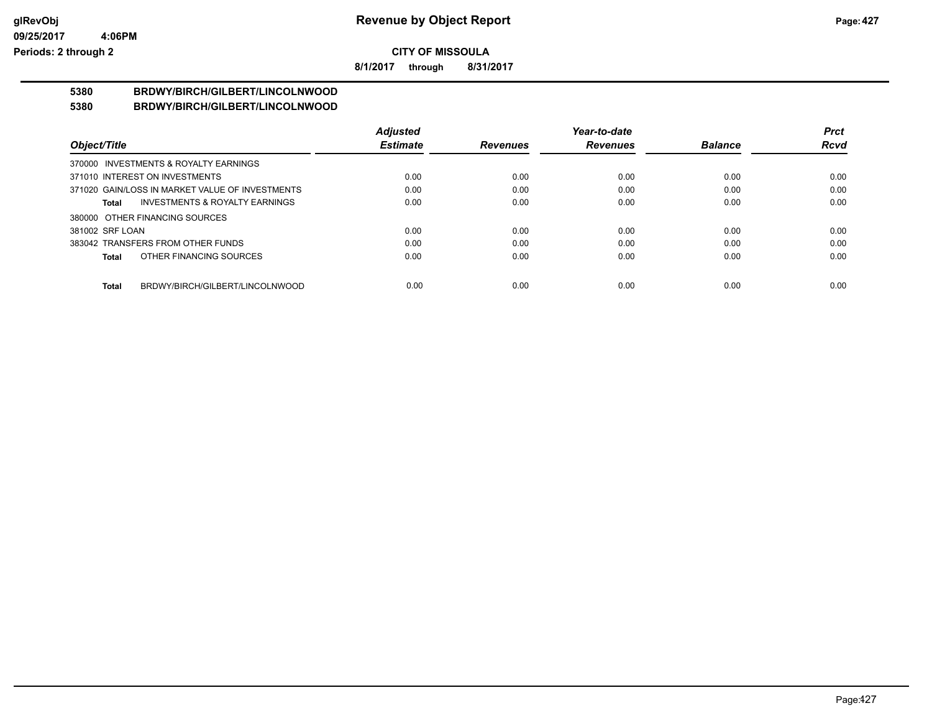**8/1/2017 through 8/31/2017**

#### **5380 BRDWY/BIRCH/GILBERT/LINCOLNWOOD 5380 BRDWY/BIRCH/GILBERT/LINCOLNWOOD**

|                                                    | <b>Adjusted</b> |                 | Year-to-date    |                | Prct        |
|----------------------------------------------------|-----------------|-----------------|-----------------|----------------|-------------|
| Object/Title                                       | <b>Estimate</b> | <b>Revenues</b> | <b>Revenues</b> | <b>Balance</b> | <b>Rcvd</b> |
| 370000 INVESTMENTS & ROYALTY EARNINGS              |                 |                 |                 |                |             |
| 371010 INTEREST ON INVESTMENTS                     | 0.00            | 0.00            | 0.00            | 0.00           | 0.00        |
| 371020 GAIN/LOSS IN MARKET VALUE OF INVESTMENTS    | 0.00            | 0.00            | 0.00            | 0.00           | 0.00        |
| <b>INVESTMENTS &amp; ROYALTY EARNINGS</b><br>Total | 0.00            | 0.00            | 0.00            | 0.00           | 0.00        |
| 380000 OTHER FINANCING SOURCES                     |                 |                 |                 |                |             |
| 381002 SRF LOAN                                    | 0.00            | 0.00            | 0.00            | 0.00           | 0.00        |
| 383042 TRANSFERS FROM OTHER FUNDS                  | 0.00            | 0.00            | 0.00            | 0.00           | 0.00        |
| OTHER FINANCING SOURCES<br><b>Total</b>            | 0.00            | 0.00            | 0.00            | 0.00           | 0.00        |
|                                                    |                 |                 |                 |                |             |
| BRDWY/BIRCH/GILBERT/LINCOLNWOOD<br>Total           | 0.00            | 0.00            | 0.00            | 0.00           | 0.00        |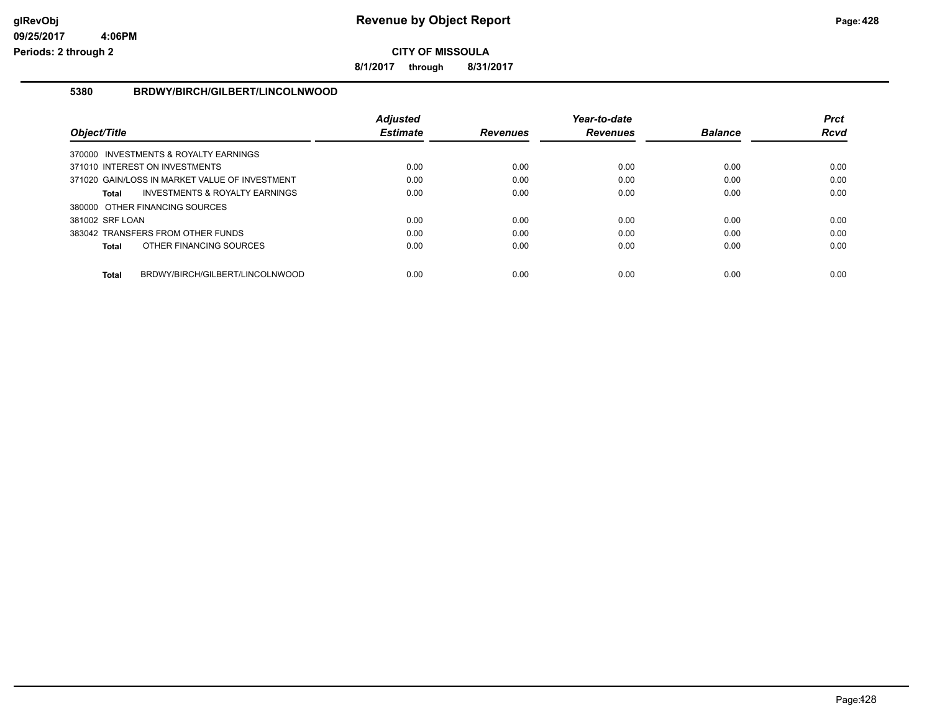**8/1/2017 through 8/31/2017**

## **5380 BRDWY/BIRCH/GILBERT/LINCOLNWOOD**

|                                                 | <b>Adjusted</b> |                 | Year-to-date    |                | <b>Prct</b> |
|-------------------------------------------------|-----------------|-----------------|-----------------|----------------|-------------|
| Object/Title                                    | <b>Estimate</b> | <b>Revenues</b> | <b>Revenues</b> | <b>Balance</b> | Rcvd        |
| 370000 INVESTMENTS & ROYALTY EARNINGS           |                 |                 |                 |                |             |
| 371010 INTEREST ON INVESTMENTS                  | 0.00            | 0.00            | 0.00            | 0.00           | 0.00        |
| 371020 GAIN/LOSS IN MARKET VALUE OF INVESTMENT  | 0.00            | 0.00            | 0.00            | 0.00           | 0.00        |
| INVESTMENTS & ROYALTY EARNINGS<br><b>Total</b>  | 0.00            | 0.00            | 0.00            | 0.00           | 0.00        |
| 380000 OTHER FINANCING SOURCES                  |                 |                 |                 |                |             |
| 381002 SRF LOAN                                 | 0.00            | 0.00            | 0.00            | 0.00           | 0.00        |
| 383042 TRANSFERS FROM OTHER FUNDS               | 0.00            | 0.00            | 0.00            | 0.00           | 0.00        |
| OTHER FINANCING SOURCES<br><b>Total</b>         | 0.00            | 0.00            | 0.00            | 0.00           | 0.00        |
|                                                 |                 |                 |                 |                |             |
| BRDWY/BIRCH/GILBERT/LINCOLNWOOD<br><b>Total</b> | 0.00            | 0.00            | 0.00            | 0.00           | 0.00        |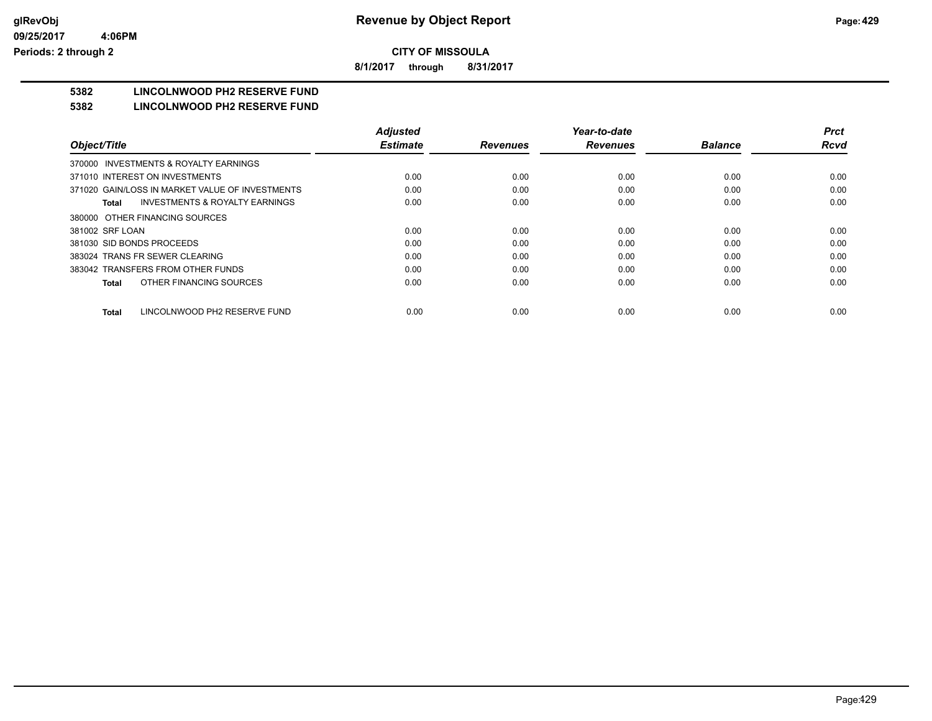**8/1/2017 through 8/31/2017**

# **5382 LINCOLNWOOD PH2 RESERVE FUND**

#### **5382 LINCOLNWOOD PH2 RESERVE FUND**

|                                                    | <b>Adjusted</b> |                 | Year-to-date    |                | <b>Prct</b> |
|----------------------------------------------------|-----------------|-----------------|-----------------|----------------|-------------|
| Object/Title                                       | <b>Estimate</b> | <b>Revenues</b> | <b>Revenues</b> | <b>Balance</b> | <b>Rcvd</b> |
| INVESTMENTS & ROYALTY EARNINGS<br>370000           |                 |                 |                 |                |             |
| 371010 INTEREST ON INVESTMENTS                     | 0.00            | 0.00            | 0.00            | 0.00           | 0.00        |
| 371020 GAIN/LOSS IN MARKET VALUE OF INVESTMENTS    | 0.00            | 0.00            | 0.00            | 0.00           | 0.00        |
| <b>INVESTMENTS &amp; ROYALTY EARNINGS</b><br>Total | 0.00            | 0.00            | 0.00            | 0.00           | 0.00        |
| 380000 OTHER FINANCING SOURCES                     |                 |                 |                 |                |             |
| 381002 SRF LOAN                                    | 0.00            | 0.00            | 0.00            | 0.00           | 0.00        |
| 381030 SID BONDS PROCEEDS                          | 0.00            | 0.00            | 0.00            | 0.00           | 0.00        |
| 383024 TRANS FR SEWER CLEARING                     | 0.00            | 0.00            | 0.00            | 0.00           | 0.00        |
| 383042 TRANSFERS FROM OTHER FUNDS                  | 0.00            | 0.00            | 0.00            | 0.00           | 0.00        |
| OTHER FINANCING SOURCES<br><b>Total</b>            | 0.00            | 0.00            | 0.00            | 0.00           | 0.00        |
| LINCOLNWOOD PH2 RESERVE FUND<br><b>Total</b>       | 0.00            | 0.00            | 0.00            | 0.00           | 0.00        |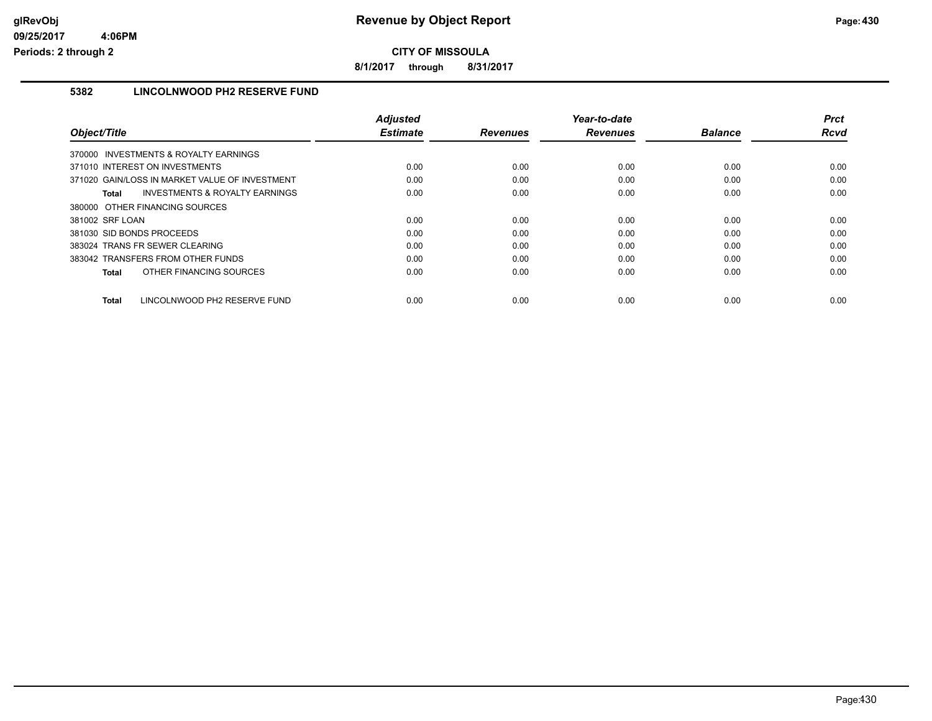**8/1/2017 through 8/31/2017**

## **5382 LINCOLNWOOD PH2 RESERVE FUND**

|                                                    | <b>Adjusted</b> |                 | Year-to-date    |                | <b>Prct</b> |
|----------------------------------------------------|-----------------|-----------------|-----------------|----------------|-------------|
| Object/Title                                       | <b>Estimate</b> | <b>Revenues</b> | <b>Revenues</b> | <b>Balance</b> | <b>Rcvd</b> |
| 370000 INVESTMENTS & ROYALTY EARNINGS              |                 |                 |                 |                |             |
| 371010 INTEREST ON INVESTMENTS                     | 0.00            | 0.00            | 0.00            | 0.00           | 0.00        |
| 371020 GAIN/LOSS IN MARKET VALUE OF INVESTMENT     | 0.00            | 0.00            | 0.00            | 0.00           | 0.00        |
| <b>INVESTMENTS &amp; ROYALTY EARNINGS</b><br>Total | 0.00            | 0.00            | 0.00            | 0.00           | 0.00        |
| 380000 OTHER FINANCING SOURCES                     |                 |                 |                 |                |             |
| 381002 SRF LOAN                                    | 0.00            | 0.00            | 0.00            | 0.00           | 0.00        |
| 381030 SID BONDS PROCEEDS                          | 0.00            | 0.00            | 0.00            | 0.00           | 0.00        |
| 383024 TRANS FR SEWER CLEARING                     | 0.00            | 0.00            | 0.00            | 0.00           | 0.00        |
| 383042 TRANSFERS FROM OTHER FUNDS                  | 0.00            | 0.00            | 0.00            | 0.00           | 0.00        |
| OTHER FINANCING SOURCES<br>Total                   | 0.00            | 0.00            | 0.00            | 0.00           | 0.00        |
| <b>Total</b><br>LINCOLNWOOD PH2 RESERVE FUND       | 0.00            | 0.00            | 0.00            | 0.00           | 0.00        |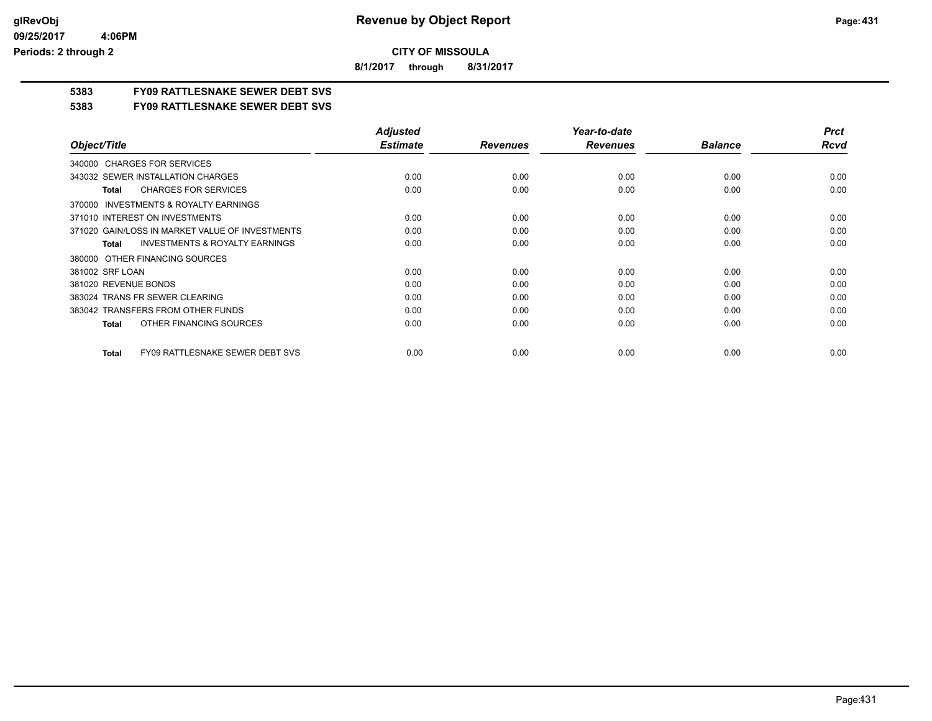**8/1/2017 through 8/31/2017**

# **5383 FY09 RATTLESNAKE SEWER DEBT SVS**

## **5383 FY09 RATTLESNAKE SEWER DEBT SVS**

|                                                        | <b>Adjusted</b> |                 | Year-to-date    |                | <b>Prct</b> |
|--------------------------------------------------------|-----------------|-----------------|-----------------|----------------|-------------|
| Object/Title                                           | <b>Estimate</b> | <b>Revenues</b> | <b>Revenues</b> | <b>Balance</b> | <b>Rcvd</b> |
| 340000 CHARGES FOR SERVICES                            |                 |                 |                 |                |             |
| 343032 SEWER INSTALLATION CHARGES                      | 0.00            | 0.00            | 0.00            | 0.00           | 0.00        |
| <b>CHARGES FOR SERVICES</b><br>Total                   | 0.00            | 0.00            | 0.00            | 0.00           | 0.00        |
| <b>INVESTMENTS &amp; ROYALTY EARNINGS</b><br>370000    |                 |                 |                 |                |             |
| 371010 INTEREST ON INVESTMENTS                         | 0.00            | 0.00            | 0.00            | 0.00           | 0.00        |
| 371020 GAIN/LOSS IN MARKET VALUE OF INVESTMENTS        | 0.00            | 0.00            | 0.00            | 0.00           | 0.00        |
| <b>INVESTMENTS &amp; ROYALTY EARNINGS</b><br>Total     | 0.00            | 0.00            | 0.00            | 0.00           | 0.00        |
| 380000 OTHER FINANCING SOURCES                         |                 |                 |                 |                |             |
| 381002 SRF LOAN                                        | 0.00            | 0.00            | 0.00            | 0.00           | 0.00        |
| 381020 REVENUE BONDS                                   | 0.00            | 0.00            | 0.00            | 0.00           | 0.00        |
| 383024 TRANS FR SEWER CLEARING                         | 0.00            | 0.00            | 0.00            | 0.00           | 0.00        |
| 383042 TRANSFERS FROM OTHER FUNDS                      | 0.00            | 0.00            | 0.00            | 0.00           | 0.00        |
| OTHER FINANCING SOURCES<br>Total                       | 0.00            | 0.00            | 0.00            | 0.00           | 0.00        |
| <b>FY09 RATTLESNAKE SEWER DEBT SVS</b><br><b>Total</b> | 0.00            | 0.00            | 0.00            | 0.00           | 0.00        |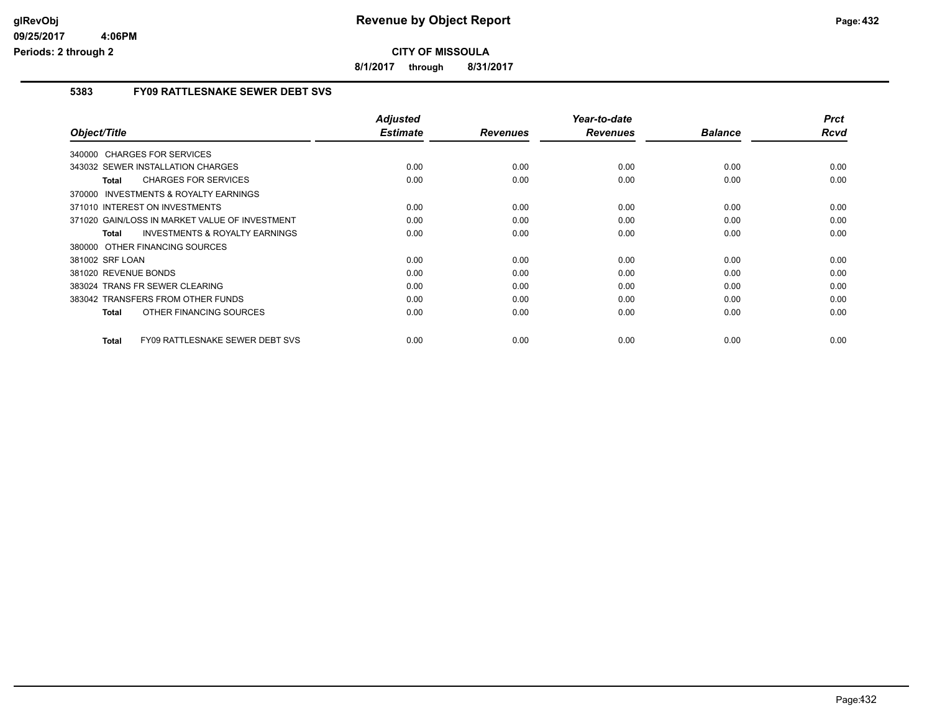**8/1/2017 through 8/31/2017**

## **5383 FY09 RATTLESNAKE SEWER DEBT SVS**

| Object/Title                                              | <b>Adjusted</b><br><b>Estimate</b> | <b>Revenues</b> | Year-to-date<br><b>Revenues</b> | <b>Balance</b> | <b>Prct</b><br><b>Rcvd</b> |
|-----------------------------------------------------------|------------------------------------|-----------------|---------------------------------|----------------|----------------------------|
|                                                           |                                    |                 |                                 |                |                            |
| 340000 CHARGES FOR SERVICES                               |                                    |                 |                                 |                |                            |
| 343032 SEWER INSTALLATION CHARGES                         | 0.00                               | 0.00            | 0.00                            | 0.00           | 0.00                       |
| <b>CHARGES FOR SERVICES</b><br>Total                      | 0.00                               | 0.00            | 0.00                            | 0.00           | 0.00                       |
| INVESTMENTS & ROYALTY EARNINGS<br>370000                  |                                    |                 |                                 |                |                            |
| 371010 INTEREST ON INVESTMENTS                            | 0.00                               | 0.00            | 0.00                            | 0.00           | 0.00                       |
| 371020 GAIN/LOSS IN MARKET VALUE OF INVESTMENT            | 0.00                               | 0.00            | 0.00                            | 0.00           | 0.00                       |
| <b>INVESTMENTS &amp; ROYALTY EARNINGS</b><br><b>Total</b> | 0.00                               | 0.00            | 0.00                            | 0.00           | 0.00                       |
| 380000 OTHER FINANCING SOURCES                            |                                    |                 |                                 |                |                            |
| 381002 SRF LOAN                                           | 0.00                               | 0.00            | 0.00                            | 0.00           | 0.00                       |
| 381020 REVENUE BONDS                                      | 0.00                               | 0.00            | 0.00                            | 0.00           | 0.00                       |
| 383024 TRANS FR SEWER CLEARING                            | 0.00                               | 0.00            | 0.00                            | 0.00           | 0.00                       |
| 383042 TRANSFERS FROM OTHER FUNDS                         | 0.00                               | 0.00            | 0.00                            | 0.00           | 0.00                       |
| OTHER FINANCING SOURCES<br><b>Total</b>                   | 0.00                               | 0.00            | 0.00                            | 0.00           | 0.00                       |
|                                                           |                                    |                 |                                 |                |                            |
| FY09 RATTLESNAKE SEWER DEBT SVS<br><b>Total</b>           | 0.00                               | 0.00            | 0.00                            | 0.00           | 0.00                       |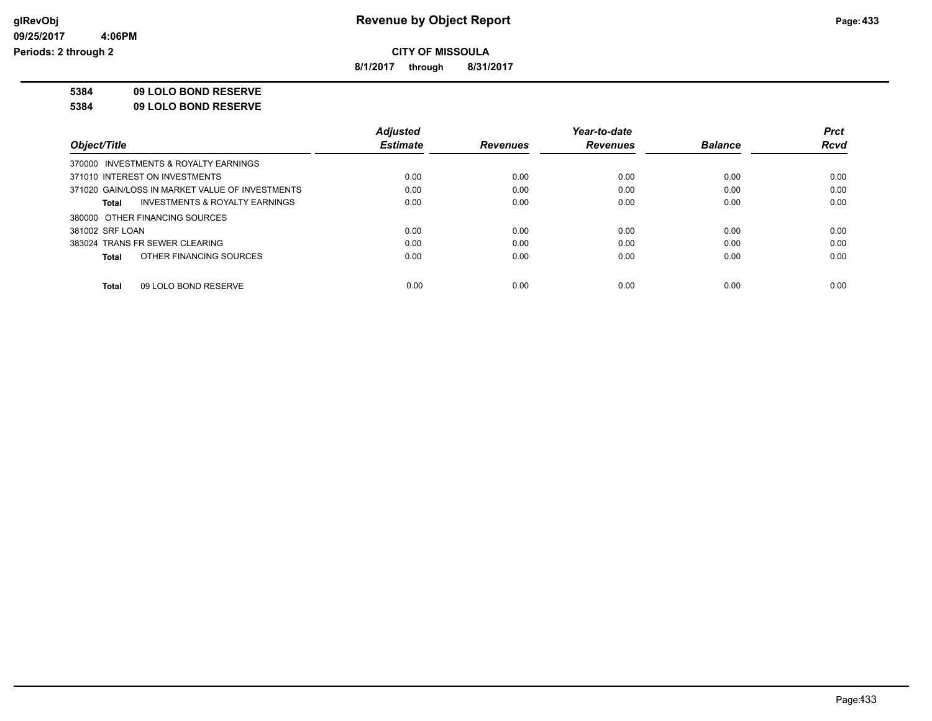**8/1/2017 through 8/31/2017**

#### **5384 09 LOLO BOND RESERVE**

**5384 09 LOLO BOND RESERVE**

|                                                    |  | <b>Adjusted</b> |                 | Year-to-date    |                | <b>Prct</b> |
|----------------------------------------------------|--|-----------------|-----------------|-----------------|----------------|-------------|
| Object/Title                                       |  | <b>Estimate</b> | <b>Revenues</b> | <b>Revenues</b> | <b>Balance</b> | <b>Rcvd</b> |
| 370000 INVESTMENTS & ROYALTY EARNINGS              |  |                 |                 |                 |                |             |
| 371010 INTEREST ON INVESTMENTS                     |  | 0.00            | 0.00            | 0.00            | 0.00           | 0.00        |
| 371020 GAIN/LOSS IN MARKET VALUE OF INVESTMENTS    |  | 0.00            | 0.00            | 0.00            | 0.00           | 0.00        |
| <b>INVESTMENTS &amp; ROYALTY EARNINGS</b><br>Total |  | 0.00            | 0.00            | 0.00            | 0.00           | 0.00        |
| 380000 OTHER FINANCING SOURCES                     |  |                 |                 |                 |                |             |
| 381002 SRF LOAN                                    |  | 0.00            | 0.00            | 0.00            | 0.00           | 0.00        |
| 383024 TRANS FR SEWER CLEARING                     |  | 0.00            | 0.00            | 0.00            | 0.00           | 0.00        |
| OTHER FINANCING SOURCES<br>Total                   |  | 0.00            | 0.00            | 0.00            | 0.00           | 0.00        |
| 09 LOLO BOND RESERVE<br>Total                      |  | 0.00            | 0.00            | 0.00            | 0.00           | 0.00        |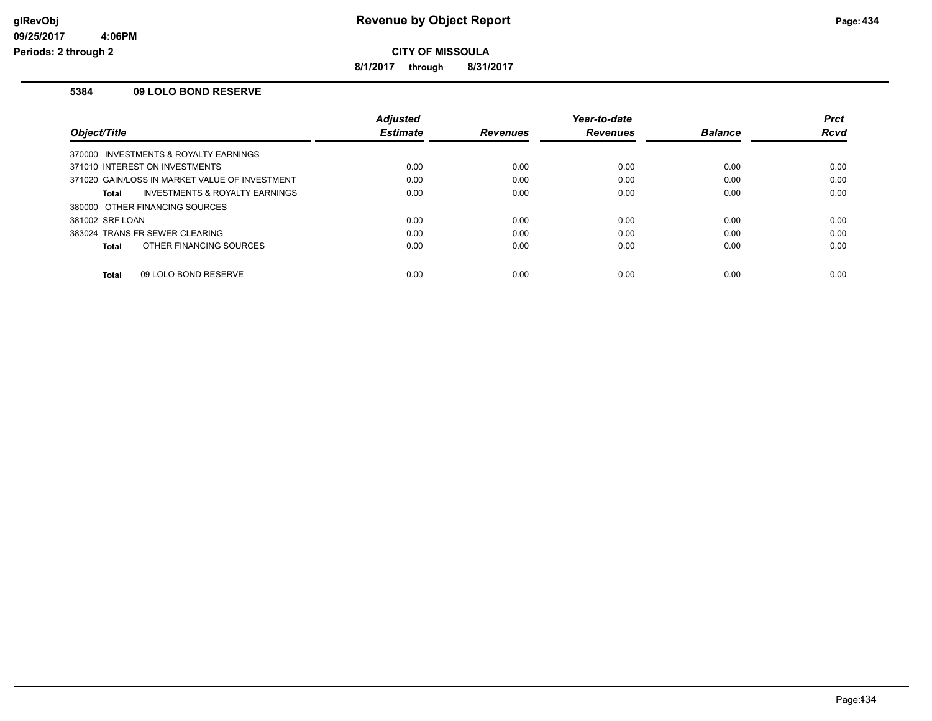**Periods: 2 through 2**

**CITY OF MISSOULA**

**8/1/2017 through 8/31/2017**

#### **5384 09 LOLO BOND RESERVE**

|                                                | <b>Adjusted</b> |                 | Year-to-date    |                | <b>Prct</b> |
|------------------------------------------------|-----------------|-----------------|-----------------|----------------|-------------|
| Object/Title                                   | <b>Estimate</b> | <b>Revenues</b> | <b>Revenues</b> | <b>Balance</b> | <b>Rcvd</b> |
| 370000 INVESTMENTS & ROYALTY EARNINGS          |                 |                 |                 |                |             |
| 371010 INTEREST ON INVESTMENTS                 | 0.00            | 0.00            | 0.00            | 0.00           | 0.00        |
| 371020 GAIN/LOSS IN MARKET VALUE OF INVESTMENT | 0.00            | 0.00            | 0.00            | 0.00           | 0.00        |
| INVESTMENTS & ROYALTY EARNINGS<br>Total        | 0.00            | 0.00            | 0.00            | 0.00           | 0.00        |
| 380000 OTHER FINANCING SOURCES                 |                 |                 |                 |                |             |
| 381002 SRF LOAN                                | 0.00            | 0.00            | 0.00            | 0.00           | 0.00        |
| 383024 TRANS FR SEWER CLEARING                 | 0.00            | 0.00            | 0.00            | 0.00           | 0.00        |
| OTHER FINANCING SOURCES<br>Total               | 0.00            | 0.00            | 0.00            | 0.00           | 0.00        |
| 09 LOLO BOND RESERVE<br>Total                  | 0.00            | 0.00            | 0.00            | 0.00           | 0.00        |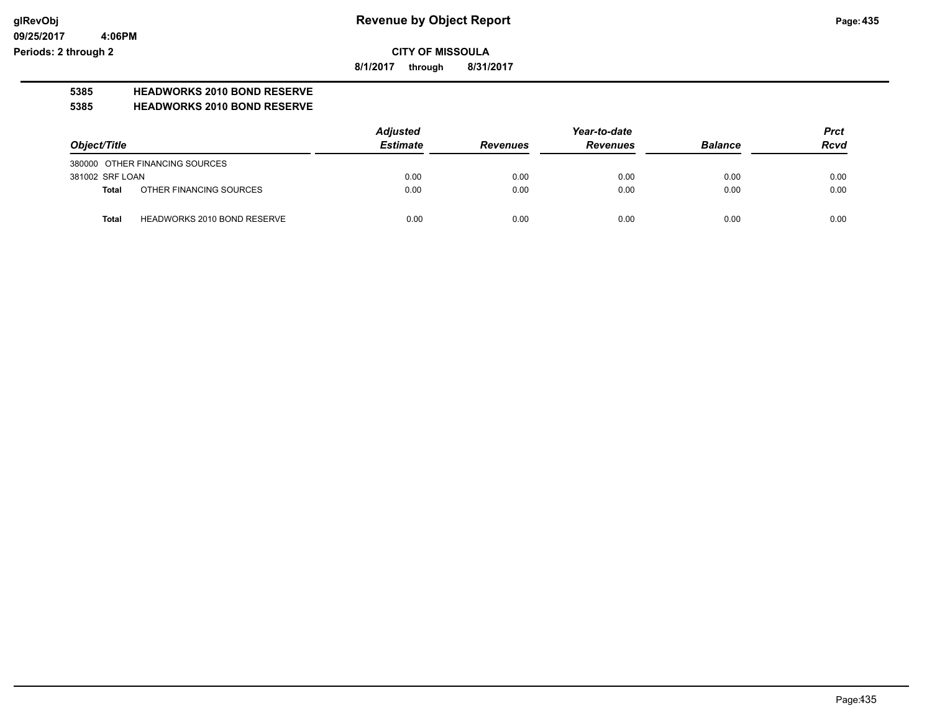**8/1/2017 through 8/31/2017**

# **5385 HEADWORKS 2010 BOND RESERVE**

#### **5385 HEADWORKS 2010 BOND RESERVE**

|                 |                                    | <b>Adjusted</b> |                 | Year-to-date    |                | <b>Prct</b> |
|-----------------|------------------------------------|-----------------|-----------------|-----------------|----------------|-------------|
| Object/Title    |                                    | <b>Estimate</b> | <b>Revenues</b> | <b>Revenues</b> | <b>Balance</b> | <b>Rcvd</b> |
|                 | 380000 OTHER FINANCING SOURCES     |                 |                 |                 |                |             |
| 381002 SRF LOAN |                                    | 0.00            | 0.00            | 0.00            | 0.00           | 0.00        |
| <b>Total</b>    | OTHER FINANCING SOURCES            | 0.00            | 0.00            | 0.00            | 0.00           | 0.00        |
| <b>Total</b>    | <b>HEADWORKS 2010 BOND RESERVE</b> | 0.00            | 0.00            | 0.00            | 0.00           | 0.00        |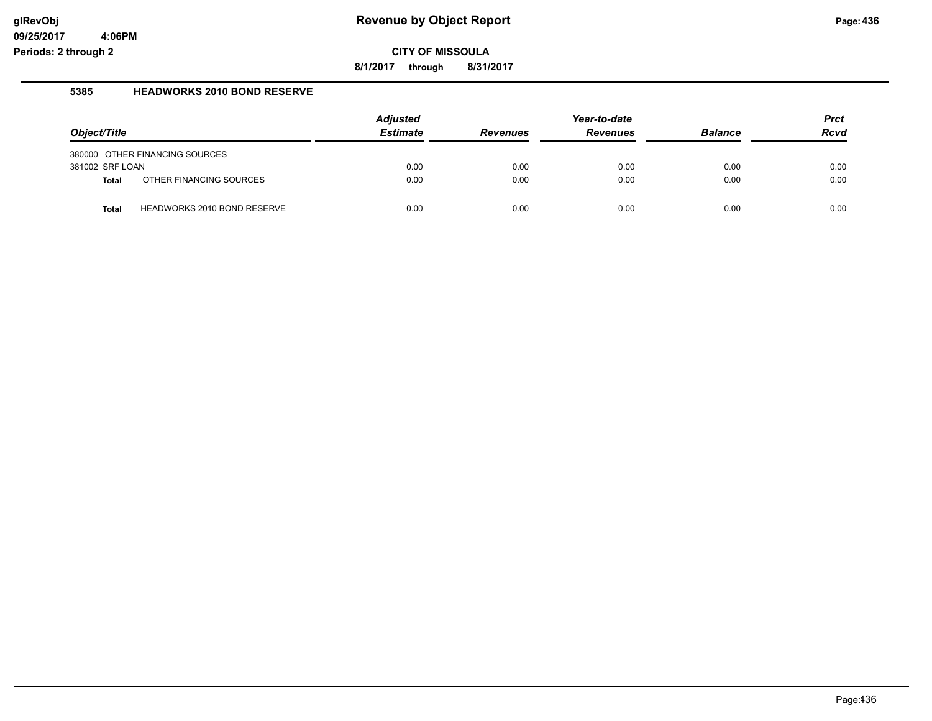**8/1/2017 through 8/31/2017**

#### **5385 HEADWORKS 2010 BOND RESERVE**

| Object/Title    |                                | <b>Adjusted</b><br><b>Estimate</b> | <b>Revenues</b> | Year-to-date<br><b>Revenues</b> | <b>Balance</b> | Prct<br>Rcvd |
|-----------------|--------------------------------|------------------------------------|-----------------|---------------------------------|----------------|--------------|
|                 | 380000 OTHER FINANCING SOURCES |                                    |                 |                                 |                |              |
| 381002 SRF LOAN |                                | 0.00                               | 0.00            | 0.00                            | 0.00           | 0.00         |
| Total           | OTHER FINANCING SOURCES        | 0.00                               | 0.00            | 0.00                            | 0.00           | 0.00         |
| <b>Total</b>    | HEADWORKS 2010 BOND RESERVE    | 0.00                               | 0.00            | 0.00                            | 0.00           | 0.00         |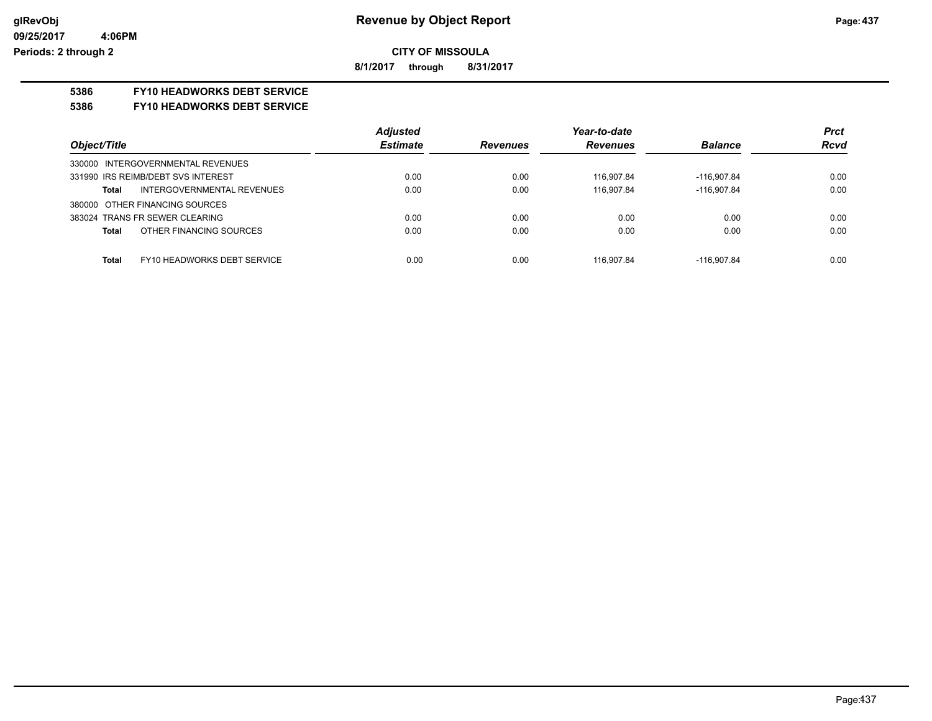**8/1/2017 through 8/31/2017**

#### **5386 FY10 HEADWORKS DEBT SERVICE**

#### **5386 FY10 HEADWORKS DEBT SERVICE**

|                                             | <b>Adjusted</b> |                 | Year-to-date    |                | <b>Prct</b> |
|---------------------------------------------|-----------------|-----------------|-----------------|----------------|-------------|
| Object/Title                                | <b>Estimate</b> | <b>Revenues</b> | <b>Revenues</b> | <b>Balance</b> | <b>Rcvd</b> |
| 330000 INTERGOVERNMENTAL REVENUES           |                 |                 |                 |                |             |
| 331990 IRS REIMB/DEBT SVS INTEREST          | 0.00            | 0.00            | 116.907.84      | -116.907.84    | 0.00        |
| INTERGOVERNMENTAL REVENUES<br><b>Total</b>  | 0.00            | 0.00            | 116.907.84      | $-116.907.84$  | 0.00        |
| 380000 OTHER FINANCING SOURCES              |                 |                 |                 |                |             |
| 383024 TRANS FR SEWER CLEARING              | 0.00            | 0.00            | 0.00            | 0.00           | 0.00        |
| OTHER FINANCING SOURCES<br><b>Total</b>     | 0.00            | 0.00            | 0.00            | 0.00           | 0.00        |
|                                             |                 |                 |                 |                |             |
| FY10 HEADWORKS DEBT SERVICE<br><b>Total</b> | 0.00            | 0.00            | 116.907.84      | $-116.907.84$  | 0.00        |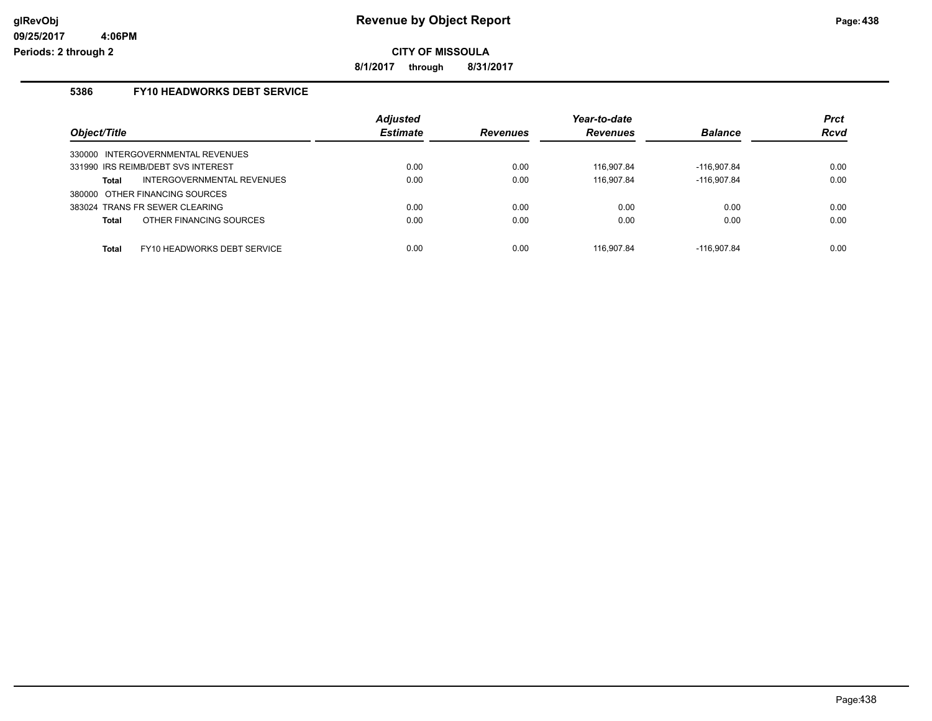**8/1/2017 through 8/31/2017**

#### **5386 FY10 HEADWORKS DEBT SERVICE**

|                                      | <b>Adjusted</b> |                 | Year-to-date    |                | <b>Prct</b> |
|--------------------------------------|-----------------|-----------------|-----------------|----------------|-------------|
| Object/Title                         | <b>Estimate</b> | <b>Revenues</b> | <b>Revenues</b> | <b>Balance</b> | <b>Rcvd</b> |
| INTERGOVERNMENTAL REVENUES<br>330000 |                 |                 |                 |                |             |
| 331990 IRS REIMB/DEBT SVS INTEREST   | 0.00            | 0.00            | 116.907.84      | $-116.907.84$  | 0.00        |
| INTERGOVERNMENTAL REVENUES<br>Total  | 0.00            | 0.00            | 116,907.84      | $-116.907.84$  | 0.00        |
| 380000 OTHER FINANCING SOURCES       |                 |                 |                 |                |             |
| 383024 TRANS FR SEWER CLEARING       | 0.00            | 0.00            | 0.00            | 0.00           | 0.00        |
| OTHER FINANCING SOURCES<br>Total     | 0.00            | 0.00            | 0.00            | 0.00           | 0.00        |
| FY10 HEADWORKS DEBT SERVICE<br>Total | 0.00            | 0.00            | 116.907.84      | $-116.907.84$  | 0.00        |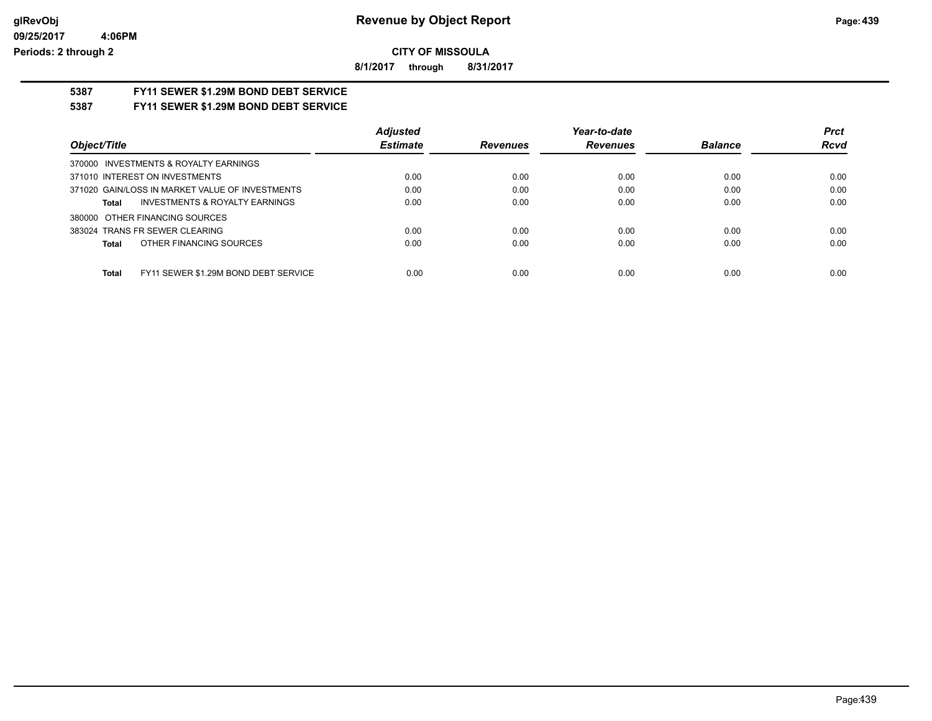**8/1/2017 through 8/31/2017**

# **5387 FY11 SEWER \$1.29M BOND DEBT SERVICE**

# **5387 FY11 SEWER \$1.29M BOND DEBT SERVICE**

|                                                      | <b>Adjusted</b> |                 | Year-to-date    |                | <b>Prct</b> |
|------------------------------------------------------|-----------------|-----------------|-----------------|----------------|-------------|
| Object/Title                                         | <b>Estimate</b> | <b>Revenues</b> | <b>Revenues</b> | <b>Balance</b> | <b>Rcvd</b> |
| 370000 INVESTMENTS & ROYALTY EARNINGS                |                 |                 |                 |                |             |
| 371010 INTEREST ON INVESTMENTS                       | 0.00            | 0.00            | 0.00            | 0.00           | 0.00        |
| 371020 GAIN/LOSS IN MARKET VALUE OF INVESTMENTS      | 0.00            | 0.00            | 0.00            | 0.00           | 0.00        |
| <b>INVESTMENTS &amp; ROYALTY EARNINGS</b><br>Total   | 0.00            | 0.00            | 0.00            | 0.00           | 0.00        |
| 380000 OTHER FINANCING SOURCES                       |                 |                 |                 |                |             |
| 383024 TRANS FR SEWER CLEARING                       | 0.00            | 0.00            | 0.00            | 0.00           | 0.00        |
| OTHER FINANCING SOURCES<br>Total                     | 0.00            | 0.00            | 0.00            | 0.00           | 0.00        |
|                                                      |                 |                 |                 |                |             |
| <b>Total</b><br>FY11 SEWER \$1.29M BOND DEBT SERVICE | 0.00            | 0.00            | 0.00            | 0.00           | 0.00        |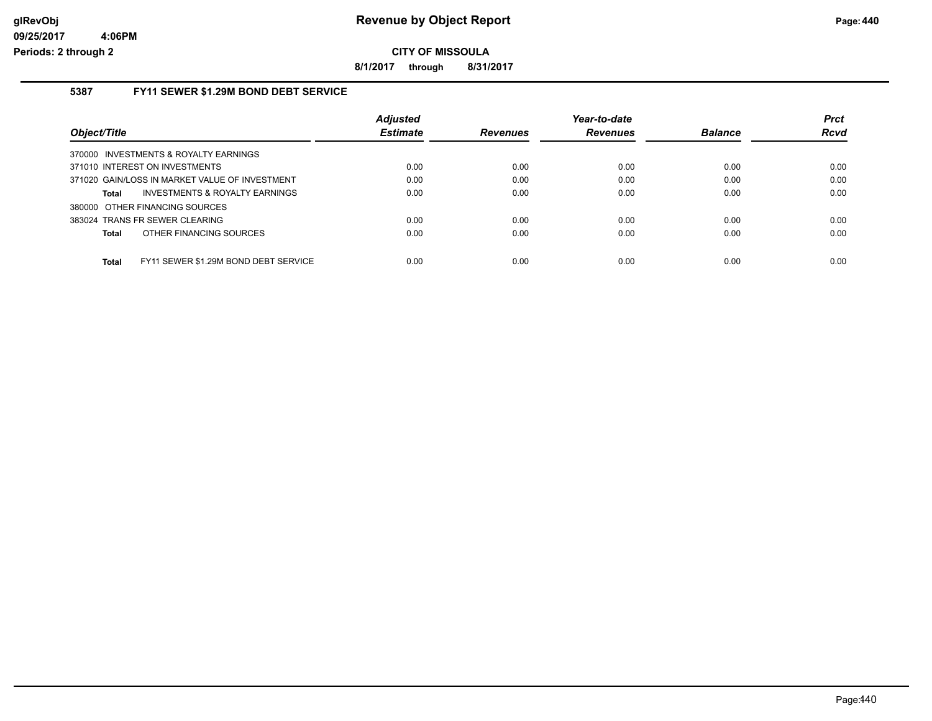**8/1/2017 through 8/31/2017**

#### **5387 FY11 SEWER \$1.29M BOND DEBT SERVICE**

|                                                      | <b>Adjusted</b> |                 | Year-to-date    |                | <b>Prct</b> |
|------------------------------------------------------|-----------------|-----------------|-----------------|----------------|-------------|
| Object/Title                                         | <b>Estimate</b> | <b>Revenues</b> | <b>Revenues</b> | <b>Balance</b> | <b>Rcvd</b> |
| 370000 INVESTMENTS & ROYALTY EARNINGS                |                 |                 |                 |                |             |
| 371010 INTEREST ON INVESTMENTS                       | 0.00            | 0.00            | 0.00            | 0.00           | 0.00        |
| 371020 GAIN/LOSS IN MARKET VALUE OF INVESTMENT       | 0.00            | 0.00            | 0.00            | 0.00           | 0.00        |
| INVESTMENTS & ROYALTY EARNINGS<br>Total              | 0.00            | 0.00            | 0.00            | 0.00           | 0.00        |
| 380000 OTHER FINANCING SOURCES                       |                 |                 |                 |                |             |
| 383024 TRANS FR SEWER CLEARING                       | 0.00            | 0.00            | 0.00            | 0.00           | 0.00        |
| OTHER FINANCING SOURCES<br>Total                     | 0.00            | 0.00            | 0.00            | 0.00           | 0.00        |
|                                                      |                 |                 |                 |                |             |
| <b>Total</b><br>FY11 SEWER \$1.29M BOND DEBT SERVICE | 0.00            | 0.00            | 0.00            | 0.00           | 0.00        |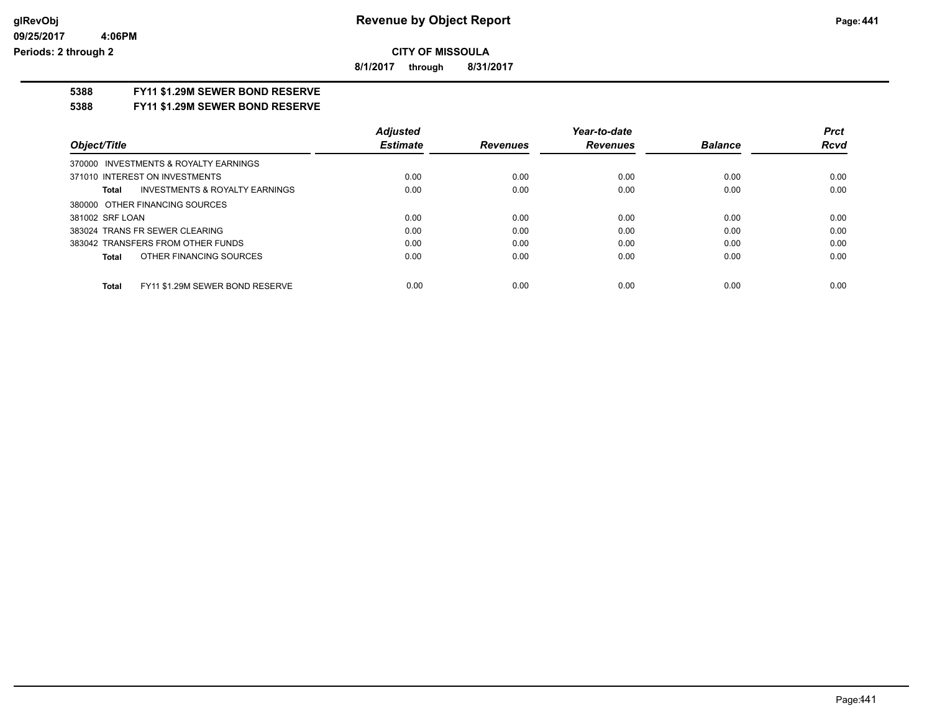**8/1/2017 through 8/31/2017**

#### **5388 FY11 \$1.29M SEWER BOND RESERVE**

**5388 FY11 \$1.29M SEWER BOND RESERVE**

|                                          | <b>Adjusted</b> |                 | Year-to-date    |                | <b>Prct</b> |
|------------------------------------------|-----------------|-----------------|-----------------|----------------|-------------|
| Object/Title                             | <b>Estimate</b> | <b>Revenues</b> | <b>Revenues</b> | <b>Balance</b> | <b>Rcvd</b> |
| 370000 INVESTMENTS & ROYALTY EARNINGS    |                 |                 |                 |                |             |
| 371010 INTEREST ON INVESTMENTS           | 0.00            | 0.00            | 0.00            | 0.00           | 0.00        |
| INVESTMENTS & ROYALTY EARNINGS<br>Total  | 0.00            | 0.00            | 0.00            | 0.00           | 0.00        |
| 380000 OTHER FINANCING SOURCES           |                 |                 |                 |                |             |
| 381002 SRF LOAN                          | 0.00            | 0.00            | 0.00            | 0.00           | 0.00        |
| 383024 TRANS FR SEWER CLEARING           | 0.00            | 0.00            | 0.00            | 0.00           | 0.00        |
| 383042 TRANSFERS FROM OTHER FUNDS        | 0.00            | 0.00            | 0.00            | 0.00           | 0.00        |
| OTHER FINANCING SOURCES<br>Total         | 0.00            | 0.00            | 0.00            | 0.00           | 0.00        |
| FY11 \$1.29M SEWER BOND RESERVE<br>Total | 0.00            | 0.00            | 0.00            | 0.00           | 0.00        |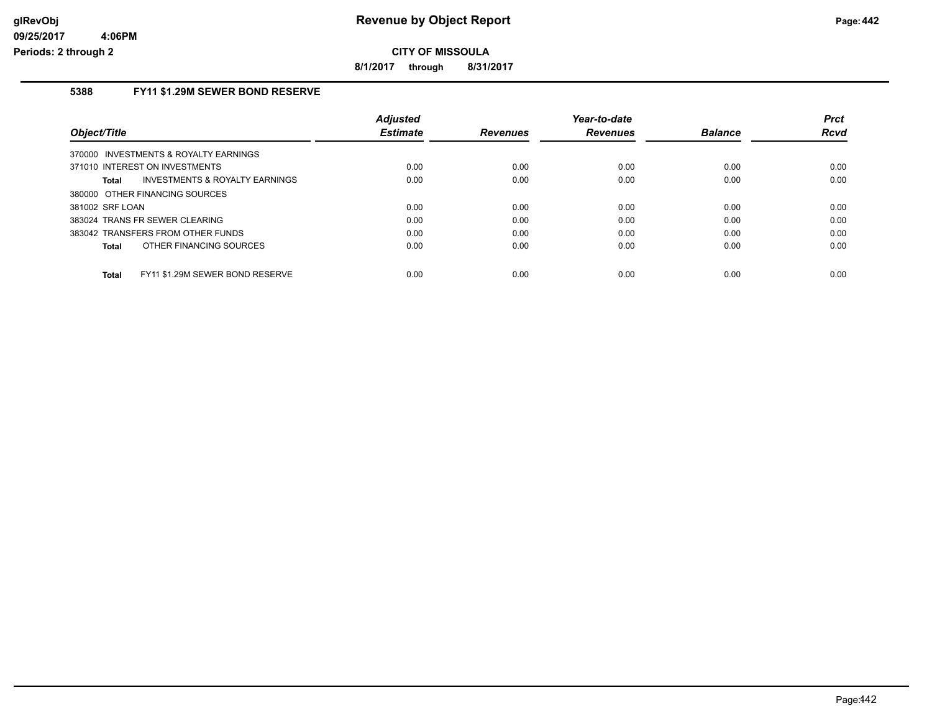**8/1/2017 through 8/31/2017**

#### **5388 FY11 \$1.29M SEWER BOND RESERVE**

|                                                 | <b>Adjusted</b> |                 | Year-to-date    |                | <b>Prct</b> |
|-------------------------------------------------|-----------------|-----------------|-----------------|----------------|-------------|
| Object/Title                                    | <b>Estimate</b> | <b>Revenues</b> | <b>Revenues</b> | <b>Balance</b> | <b>Rcvd</b> |
| 370000 INVESTMENTS & ROYALTY EARNINGS           |                 |                 |                 |                |             |
| 371010 INTEREST ON INVESTMENTS                  | 0.00            | 0.00            | 0.00            | 0.00           | 0.00        |
| INVESTMENTS & ROYALTY EARNINGS<br>Total         | 0.00            | 0.00            | 0.00            | 0.00           | 0.00        |
| 380000 OTHER FINANCING SOURCES                  |                 |                 |                 |                |             |
| 381002 SRF LOAN                                 | 0.00            | 0.00            | 0.00            | 0.00           | 0.00        |
| 383024 TRANS FR SEWER CLEARING                  | 0.00            | 0.00            | 0.00            | 0.00           | 0.00        |
| 383042 TRANSFERS FROM OTHER FUNDS               | 0.00            | 0.00            | 0.00            | 0.00           | 0.00        |
| OTHER FINANCING SOURCES<br>Total                | 0.00            | 0.00            | 0.00            | 0.00           | 0.00        |
| FY11 \$1.29M SEWER BOND RESERVE<br><b>Total</b> | 0.00            | 0.00            | 0.00            | 0.00           | 0.00        |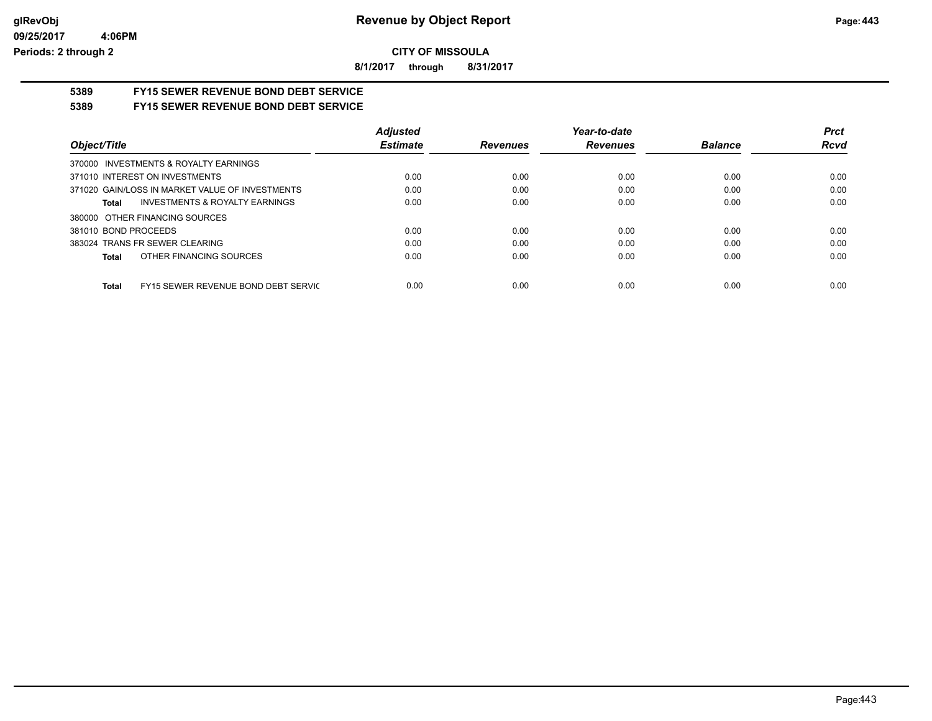**8/1/2017 through 8/31/2017**

#### **5389 FY15 SEWER REVENUE BOND DEBT SERVICE 5389 FY15 SEWER REVENUE BOND DEBT SERVICE**

|                                                     | <b>Adjusted</b> |                 | Year-to-date    |                | <b>Prct</b> |
|-----------------------------------------------------|-----------------|-----------------|-----------------|----------------|-------------|
| Object/Title                                        | <b>Estimate</b> | <b>Revenues</b> | <b>Revenues</b> | <b>Balance</b> | <b>Rcvd</b> |
| 370000 INVESTMENTS & ROYALTY EARNINGS               |                 |                 |                 |                |             |
| 371010 INTEREST ON INVESTMENTS                      | 0.00            | 0.00            | 0.00            | 0.00           | 0.00        |
| 371020 GAIN/LOSS IN MARKET VALUE OF INVESTMENTS     | 0.00            | 0.00            | 0.00            | 0.00           | 0.00        |
| <b>INVESTMENTS &amp; ROYALTY EARNINGS</b><br>Total  | 0.00            | 0.00            | 0.00            | 0.00           | 0.00        |
| 380000 OTHER FINANCING SOURCES                      |                 |                 |                 |                |             |
| 381010 BOND PROCEEDS                                | 0.00            | 0.00            | 0.00            | 0.00           | 0.00        |
| 383024 TRANS FR SEWER CLEARING                      | 0.00            | 0.00            | 0.00            | 0.00           | 0.00        |
| OTHER FINANCING SOURCES<br>Total                    | 0.00            | 0.00            | 0.00            | 0.00           | 0.00        |
| FY15 SEWER REVENUE BOND DEBT SERVIC<br><b>Total</b> | 0.00            | 0.00            | 0.00            | 0.00           | 0.00        |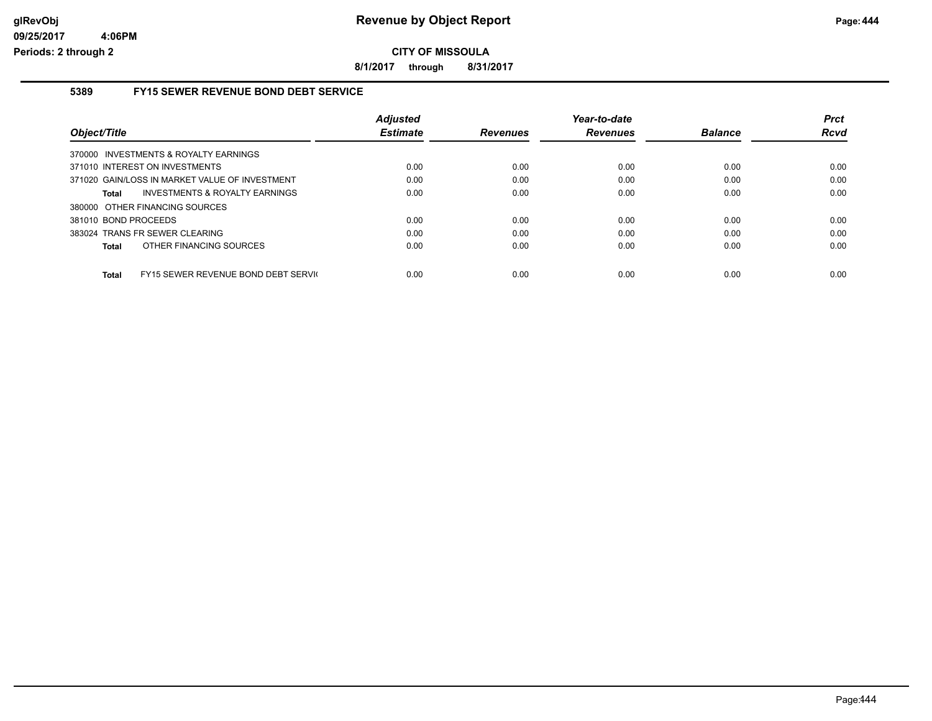**8/1/2017 through 8/31/2017**

#### **5389 FY15 SEWER REVENUE BOND DEBT SERVICE**

|                                                     | <b>Adjusted</b> |                 | Year-to-date    |                | <b>Prct</b> |
|-----------------------------------------------------|-----------------|-----------------|-----------------|----------------|-------------|
| Object/Title                                        | <b>Estimate</b> | <b>Revenues</b> | <b>Revenues</b> | <b>Balance</b> | Rcvd        |
| 370000 INVESTMENTS & ROYALTY EARNINGS               |                 |                 |                 |                |             |
| 371010 INTEREST ON INVESTMENTS                      | 0.00            | 0.00            | 0.00            | 0.00           | 0.00        |
| 371020 GAIN/LOSS IN MARKET VALUE OF INVESTMENT      | 0.00            | 0.00            | 0.00            | 0.00           | 0.00        |
| INVESTMENTS & ROYALTY EARNINGS<br><b>Total</b>      | 0.00            | 0.00            | 0.00            | 0.00           | 0.00        |
| 380000 OTHER FINANCING SOURCES                      |                 |                 |                 |                |             |
| 381010 BOND PROCEEDS                                | 0.00            | 0.00            | 0.00            | 0.00           | 0.00        |
| 383024 TRANS FR SEWER CLEARING                      | 0.00            | 0.00            | 0.00            | 0.00           | 0.00        |
| OTHER FINANCING SOURCES<br><b>Total</b>             | 0.00            | 0.00            | 0.00            | 0.00           | 0.00        |
| FY15 SEWER REVENUE BOND DEBT SERVIC<br><b>Total</b> | 0.00            | 0.00            | 0.00            | 0.00           | 0.00        |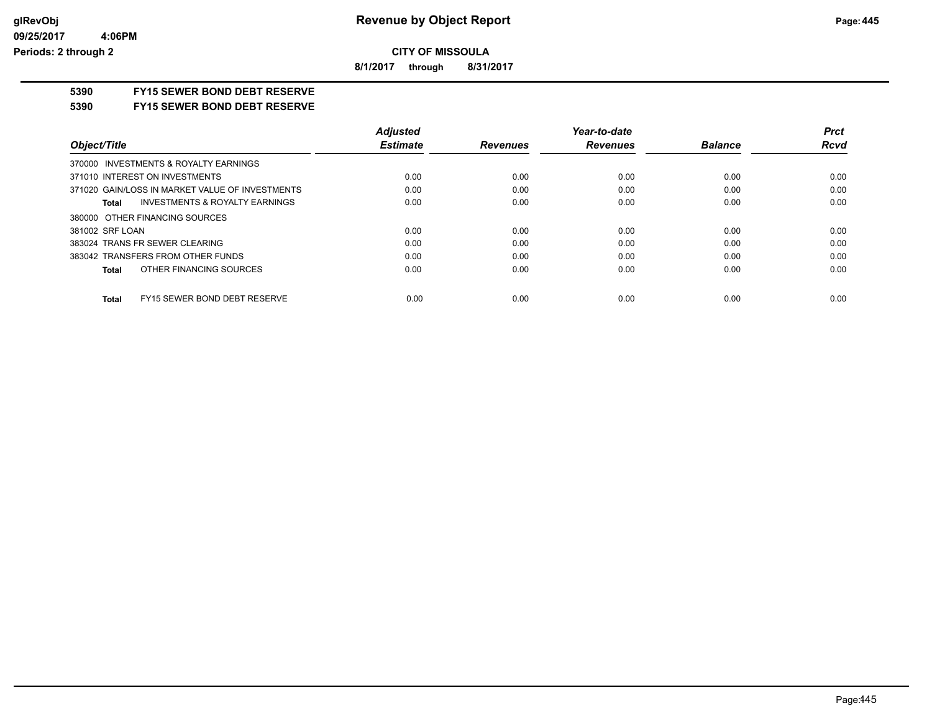**8/1/2017 through 8/31/2017**

### **5390 FY15 SEWER BOND DEBT RESERVE**

#### **5390 FY15 SEWER BOND DEBT RESERVE**

|                                                 | <b>Adjusted</b> |                 | Year-to-date    |                | <b>Prct</b> |
|-------------------------------------------------|-----------------|-----------------|-----------------|----------------|-------------|
| Object/Title                                    | <b>Estimate</b> | <b>Revenues</b> | <b>Revenues</b> | <b>Balance</b> | <b>Rcvd</b> |
| 370000 INVESTMENTS & ROYALTY EARNINGS           |                 |                 |                 |                |             |
| 371010 INTEREST ON INVESTMENTS                  | 0.00            | 0.00            | 0.00            | 0.00           | 0.00        |
| 371020 GAIN/LOSS IN MARKET VALUE OF INVESTMENTS | 0.00            | 0.00            | 0.00            | 0.00           | 0.00        |
| INVESTMENTS & ROYALTY EARNINGS<br>Total         | 0.00            | 0.00            | 0.00            | 0.00           | 0.00        |
| 380000 OTHER FINANCING SOURCES                  |                 |                 |                 |                |             |
| 381002 SRF LOAN                                 | 0.00            | 0.00            | 0.00            | 0.00           | 0.00        |
| 383024 TRANS FR SEWER CLEARING                  | 0.00            | 0.00            | 0.00            | 0.00           | 0.00        |
| 383042 TRANSFERS FROM OTHER FUNDS               | 0.00            | 0.00            | 0.00            | 0.00           | 0.00        |
| OTHER FINANCING SOURCES<br>Total                | 0.00            | 0.00            | 0.00            | 0.00           | 0.00        |
| FY15 SEWER BOND DEBT RESERVE<br><b>Total</b>    | 0.00            | 0.00            | 0.00            | 0.00           | 0.00        |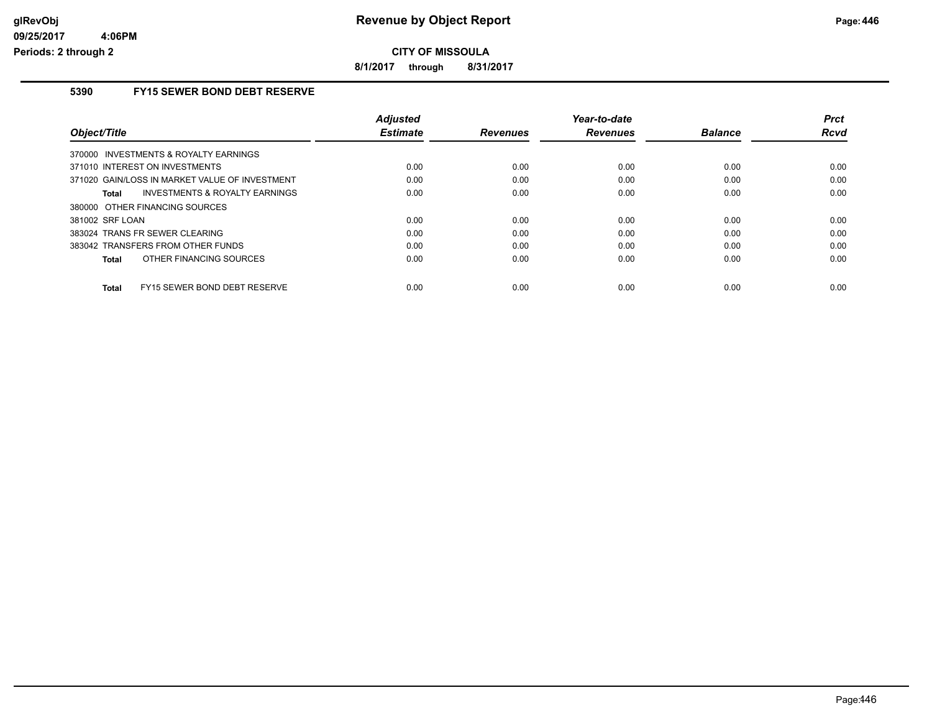**8/1/2017 through 8/31/2017**

#### **5390 FY15 SEWER BOND DEBT RESERVE**

| Object/Title                                       | <b>Adjusted</b><br><b>Estimate</b> | <b>Revenues</b> | Year-to-date<br><b>Revenues</b> | <b>Balance</b> | <b>Prct</b><br><b>Rcvd</b> |
|----------------------------------------------------|------------------------------------|-----------------|---------------------------------|----------------|----------------------------|
| 370000 INVESTMENTS & ROYALTY EARNINGS              |                                    |                 |                                 |                |                            |
| 371010 INTEREST ON INVESTMENTS                     | 0.00                               | 0.00            | 0.00                            | 0.00           | 0.00                       |
| 371020 GAIN/LOSS IN MARKET VALUE OF INVESTMENT     | 0.00                               | 0.00            | 0.00                            | 0.00           | 0.00                       |
| <b>INVESTMENTS &amp; ROYALTY EARNINGS</b><br>Total | 0.00                               | 0.00            | 0.00                            | 0.00           | 0.00                       |
| 380000 OTHER FINANCING SOURCES                     |                                    |                 |                                 |                |                            |
| 381002 SRF LOAN                                    | 0.00                               | 0.00            | 0.00                            | 0.00           | 0.00                       |
| 383024 TRANS FR SEWER CLEARING                     | 0.00                               | 0.00            | 0.00                            | 0.00           | 0.00                       |
| 383042 TRANSFERS FROM OTHER FUNDS                  | 0.00                               | 0.00            | 0.00                            | 0.00           | 0.00                       |
| OTHER FINANCING SOURCES<br><b>Total</b>            | 0.00                               | 0.00            | 0.00                            | 0.00           | 0.00                       |
| FY15 SEWER BOND DEBT RESERVE<br>Total              | 0.00                               | 0.00            | 0.00                            | 0.00           | 0.00                       |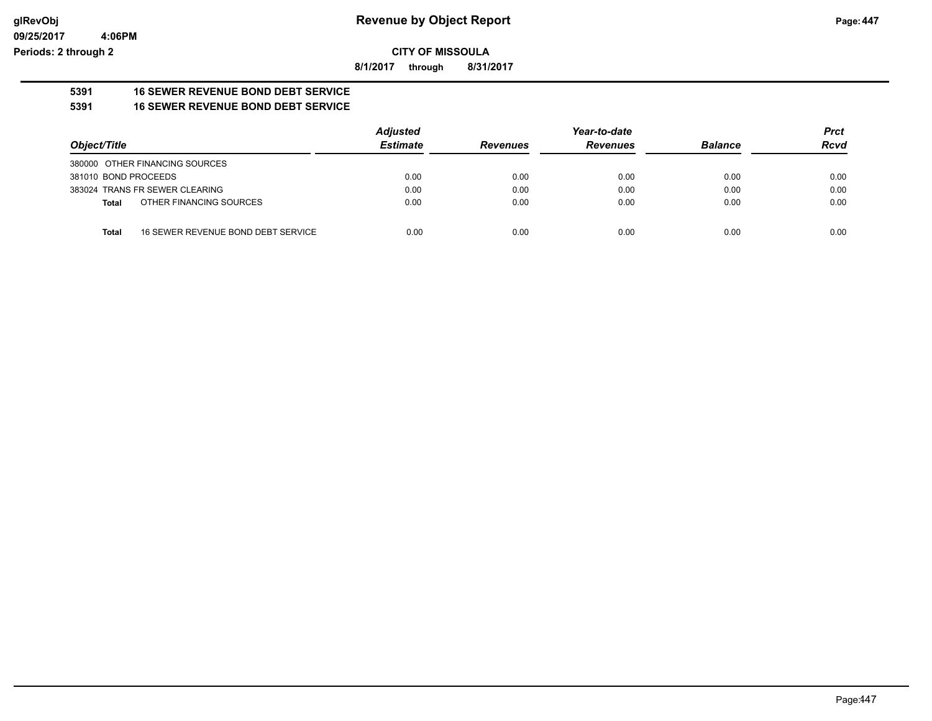#### **09/25/2017 4:06PM Periods: 2 through 2**

**CITY OF MISSOULA**

**8/1/2017 through 8/31/2017**

#### **5391 16 SEWER REVENUE BOND DEBT SERVICE 5391 16 SEWER REVENUE BOND DEBT SERVICE**

|                                                    | <b>Adjusted</b> |                 | Year-to-date    |                |             |
|----------------------------------------------------|-----------------|-----------------|-----------------|----------------|-------------|
| Object/Title                                       | <b>Estimate</b> | <b>Revenues</b> | <b>Revenues</b> | <b>Balance</b> | <b>Rcvd</b> |
| 380000 OTHER FINANCING SOURCES                     |                 |                 |                 |                |             |
| 381010 BOND PROCEEDS                               | 0.00            | 0.00            | 0.00            | 0.00           | 0.00        |
| 383024 TRANS FR SEWER CLEARING                     | 0.00            | 0.00            | 0.00            | 0.00           | 0.00        |
| OTHER FINANCING SOURCES<br>Total                   | 0.00            | 0.00            | 0.00            | 0.00           | 0.00        |
|                                                    |                 |                 |                 |                |             |
| 16 SEWER REVENUE BOND DEBT SERVICE<br><b>Total</b> | 0.00            | 0.00            | 0.00            | 0.00           | 0.00        |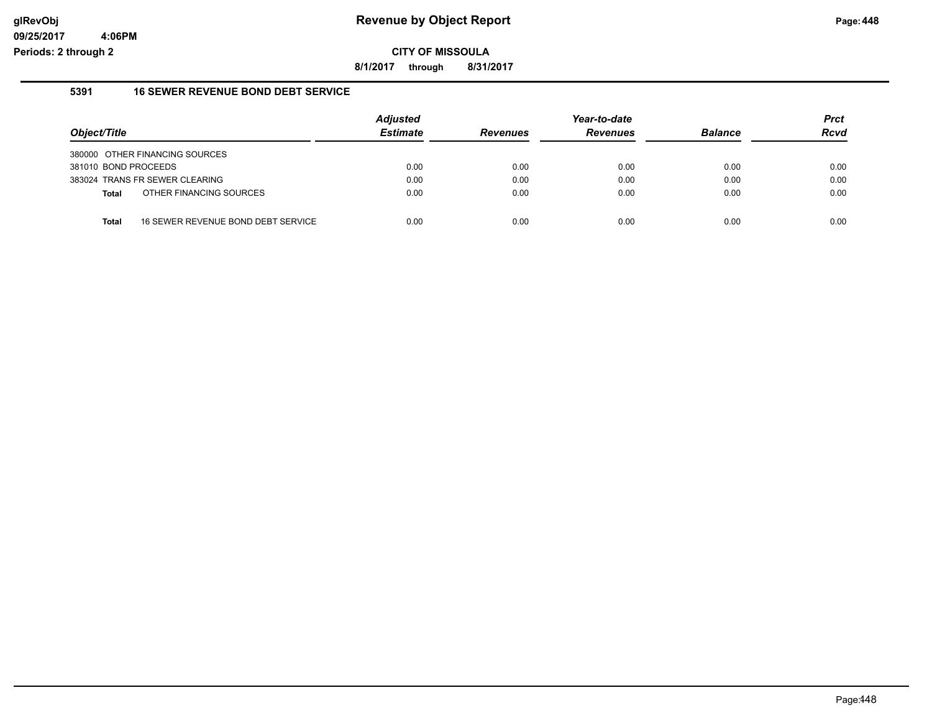**8/1/2017 through 8/31/2017**

#### **5391 16 SEWER REVENUE BOND DEBT SERVICE**

|                      |                                    | <b>Adjusted</b> |                 | Year-to-date    |                | <b>Prct</b> |
|----------------------|------------------------------------|-----------------|-----------------|-----------------|----------------|-------------|
| Object/Title         |                                    | <b>Estimate</b> | <b>Revenues</b> | <b>Revenues</b> | <b>Balance</b> | <b>Rcvd</b> |
|                      | 380000 OTHER FINANCING SOURCES     |                 |                 |                 |                |             |
| 381010 BOND PROCEEDS |                                    | 0.00            | 0.00            | 0.00            | 0.00           | 0.00        |
|                      | 383024 TRANS FR SEWER CLEARING     | 0.00            | 0.00            | 0.00            | 0.00           | 0.00        |
| Total                | OTHER FINANCING SOURCES            | 0.00            | 0.00            | 0.00            | 0.00           | 0.00        |
|                      |                                    |                 |                 |                 |                |             |
| <b>Total</b>         | 16 SEWER REVENUE BOND DEBT SERVICE | 0.00            | 0.00            | 0.00            | 0.00           | 0.00        |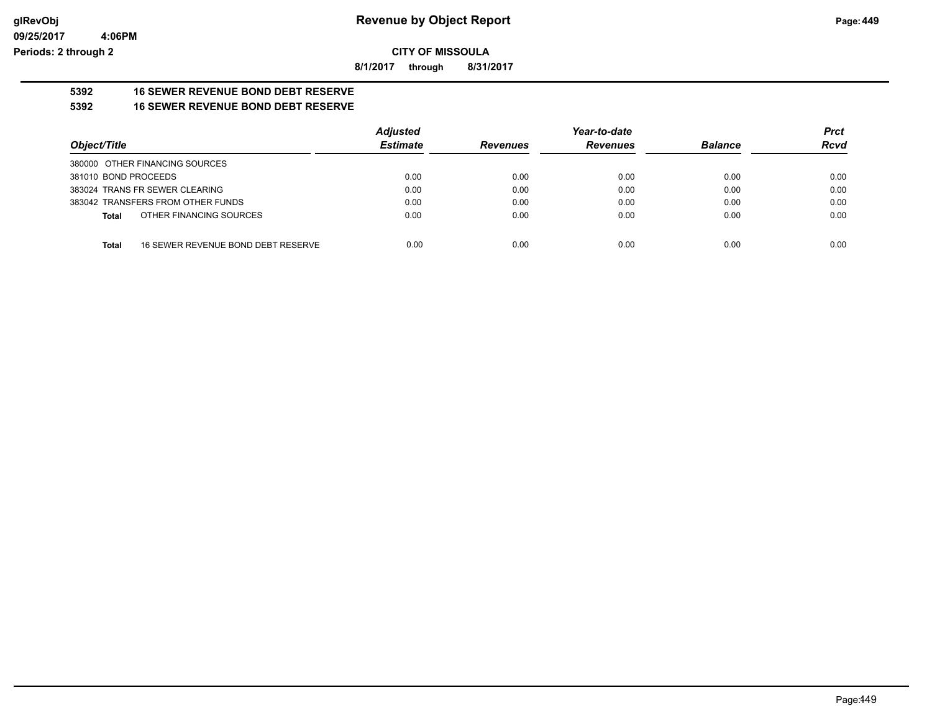#### **09/25/2017 4:06PM Periods: 2 through 2**

**CITY OF MISSOULA**

**8/1/2017 through 8/31/2017**

# **5392 16 SEWER REVENUE BOND DEBT RESERVE**

## **5392 16 SEWER REVENUE BOND DEBT RESERVE**

| <b>Adjusted</b> |                 | Year-to-date    |                | Prct |
|-----------------|-----------------|-----------------|----------------|------|
| <b>Estimate</b> | <b>Revenues</b> | <b>Revenues</b> | <b>Balance</b> | Rcvd |
|                 |                 |                 |                |      |
| 0.00            | 0.00            | 0.00            | 0.00           | 0.00 |
| 0.00            | 0.00            | 0.00            | 0.00           | 0.00 |
| 0.00            | 0.00            | 0.00            | 0.00           | 0.00 |
| 0.00            | 0.00            | 0.00            | 0.00           | 0.00 |
|                 |                 |                 |                | 0.00 |
|                 | 0.00            | 0.00            | 0.00           | 0.00 |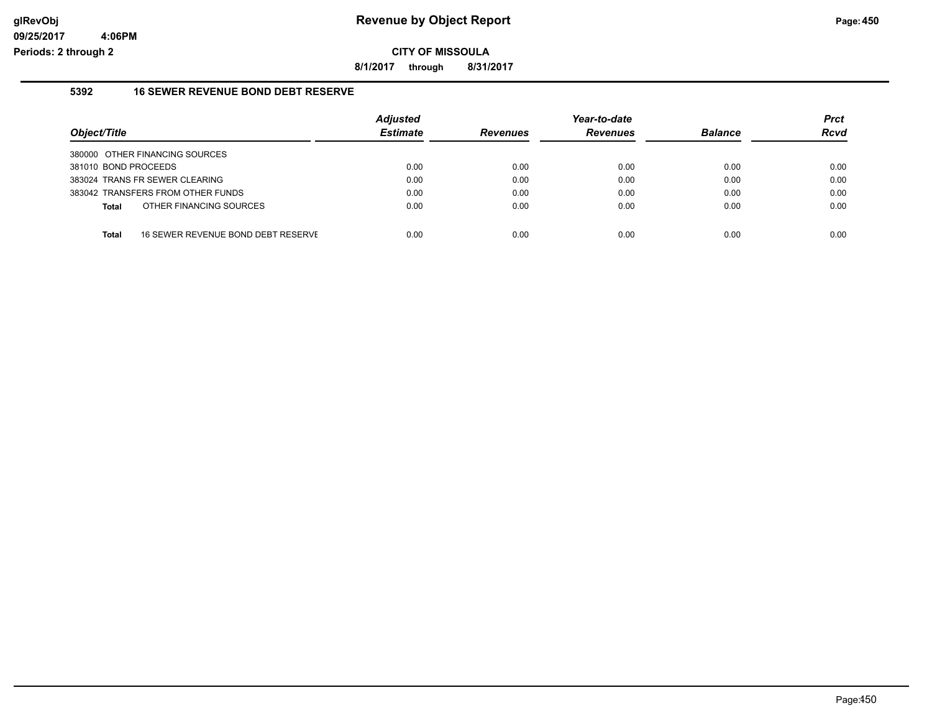**8/1/2017 through 8/31/2017**

#### **5392 16 SEWER REVENUE BOND DEBT RESERVE**

| Object/Title         |                                    | <b>Adjusted</b><br><b>Estimate</b> | <b>Revenues</b> | Year-to-date<br><b>Revenues</b> | <b>Balance</b> | <b>Prct</b><br><b>Rcvd</b> |
|----------------------|------------------------------------|------------------------------------|-----------------|---------------------------------|----------------|----------------------------|
|                      | 380000 OTHER FINANCING SOURCES     |                                    |                 |                                 |                |                            |
| 381010 BOND PROCEEDS |                                    | 0.00                               | 0.00            | 0.00                            | 0.00           | 0.00                       |
|                      | 383024 TRANS FR SEWER CLEARING     | 0.00                               | 0.00            | 0.00                            | 0.00           | 0.00                       |
|                      | 383042 TRANSFERS FROM OTHER FUNDS  | 0.00                               | 0.00            | 0.00                            | 0.00           | 0.00                       |
| Total                | OTHER FINANCING SOURCES            | 0.00                               | 0.00            | 0.00                            | 0.00           | 0.00                       |
| <b>Total</b>         | 16 SEWER REVENUE BOND DEBT RESERVE | 0.00                               | 0.00            | 0.00                            | 0.00           | 0.00                       |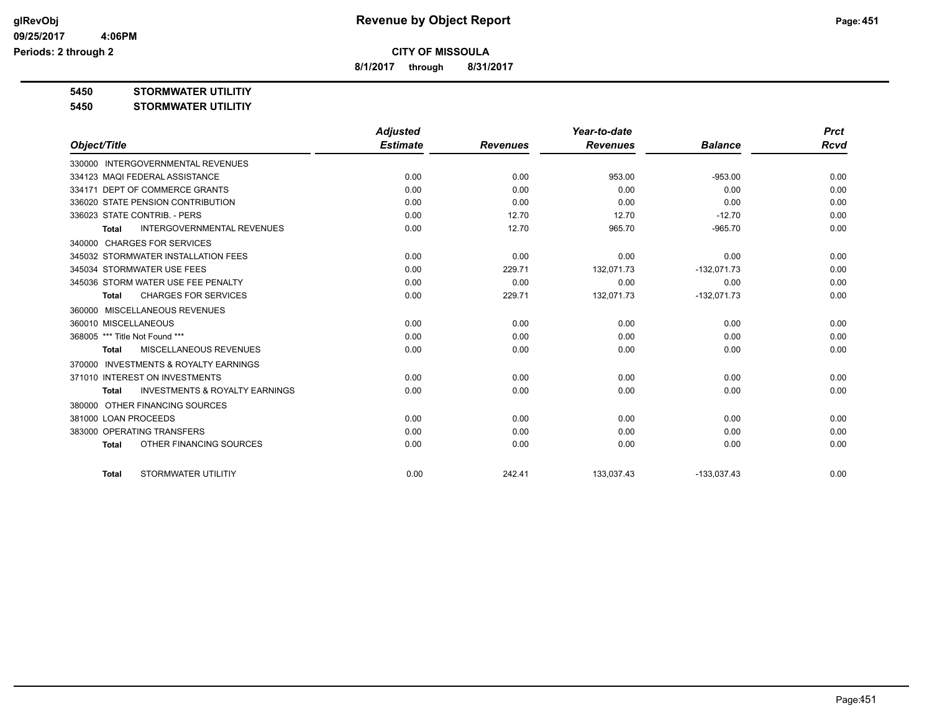**8/1/2017 through 8/31/2017**

#### **5450 STORMWATER UTILITIY**

**5450 STORMWATER UTILITIY**

|                                                           | <b>Adjusted</b> |                 | Year-to-date    |                | <b>Prct</b> |
|-----------------------------------------------------------|-----------------|-----------------|-----------------|----------------|-------------|
| Object/Title                                              | <b>Estimate</b> | <b>Revenues</b> | <b>Revenues</b> | <b>Balance</b> | <b>Rcvd</b> |
| 330000 INTERGOVERNMENTAL REVENUES                         |                 |                 |                 |                |             |
| 334123 MAQI FEDERAL ASSISTANCE                            | 0.00            | 0.00            | 953.00          | $-953.00$      | 0.00        |
| 334171 DEPT OF COMMERCE GRANTS                            | 0.00            | 0.00            | 0.00            | 0.00           | 0.00        |
| 336020 STATE PENSION CONTRIBUTION                         | 0.00            | 0.00            | 0.00            | 0.00           | 0.00        |
| 336023 STATE CONTRIB. - PERS                              | 0.00            | 12.70           | 12.70           | $-12.70$       | 0.00        |
| <b>INTERGOVERNMENTAL REVENUES</b><br><b>Total</b>         | 0.00            | 12.70           | 965.70          | $-965.70$      | 0.00        |
| 340000 CHARGES FOR SERVICES                               |                 |                 |                 |                |             |
| 345032 STORMWATER INSTALLATION FEES                       | 0.00            | 0.00            | 0.00            | 0.00           | 0.00        |
| 345034 STORMWATER USE FEES                                | 0.00            | 229.71          | 132,071.73      | $-132,071.73$  | 0.00        |
| 345036 STORM WATER USE FEE PENALTY                        | 0.00            | 0.00            | 0.00            | 0.00           | 0.00        |
| <b>CHARGES FOR SERVICES</b><br><b>Total</b>               | 0.00            | 229.71          | 132,071.73      | $-132,071.73$  | 0.00        |
| 360000 MISCELLANEOUS REVENUES                             |                 |                 |                 |                |             |
| 360010 MISCELLANEOUS                                      | 0.00            | 0.00            | 0.00            | 0.00           | 0.00        |
| 368005 *** Title Not Found ***                            | 0.00            | 0.00            | 0.00            | 0.00           | 0.00        |
| <b>MISCELLANEOUS REVENUES</b><br><b>Total</b>             | 0.00            | 0.00            | 0.00            | 0.00           | 0.00        |
| <b>INVESTMENTS &amp; ROYALTY EARNINGS</b><br>370000       |                 |                 |                 |                |             |
| 371010 INTEREST ON INVESTMENTS                            | 0.00            | 0.00            | 0.00            | 0.00           | 0.00        |
| <b>INVESTMENTS &amp; ROYALTY EARNINGS</b><br><b>Total</b> | 0.00            | 0.00            | 0.00            | 0.00           | 0.00        |
| 380000 OTHER FINANCING SOURCES                            |                 |                 |                 |                |             |
| 381000 LOAN PROCEEDS                                      | 0.00            | 0.00            | 0.00            | 0.00           | 0.00        |
| 383000 OPERATING TRANSFERS                                | 0.00            | 0.00            | 0.00            | 0.00           | 0.00        |
| OTHER FINANCING SOURCES<br><b>Total</b>                   | 0.00            | 0.00            | 0.00            | 0.00           | 0.00        |
| STORMWATER UTILITIY<br><b>Total</b>                       | 0.00            | 242.41          | 133,037.43      | $-133,037.43$  | 0.00        |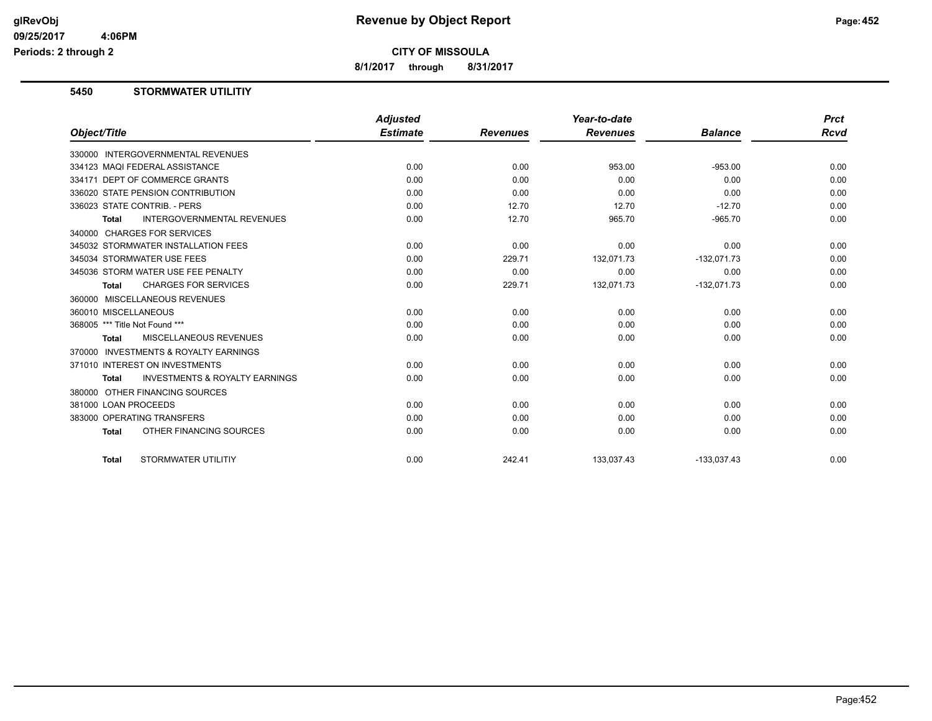**8/1/2017 through 8/31/2017**

#### **5450 STORMWATER UTILITIY**

|                                                           | <b>Adjusted</b> |                 | Year-to-date    |                | <b>Prct</b> |
|-----------------------------------------------------------|-----------------|-----------------|-----------------|----------------|-------------|
| Object/Title                                              | <b>Estimate</b> | <b>Revenues</b> | <b>Revenues</b> | <b>Balance</b> | Rcvd        |
| 330000 INTERGOVERNMENTAL REVENUES                         |                 |                 |                 |                |             |
| 334123 MAQI FEDERAL ASSISTANCE                            | 0.00            | 0.00            | 953.00          | $-953.00$      | 0.00        |
| 334171 DEPT OF COMMERCE GRANTS                            | 0.00            | 0.00            | 0.00            | 0.00           | 0.00        |
| 336020 STATE PENSION CONTRIBUTION                         | 0.00            | 0.00            | 0.00            | 0.00           | 0.00        |
| 336023 STATE CONTRIB. - PERS                              | 0.00            | 12.70           | 12.70           | $-12.70$       | 0.00        |
| <b>INTERGOVERNMENTAL REVENUES</b><br><b>Total</b>         | 0.00            | 12.70           | 965.70          | $-965.70$      | 0.00        |
| 340000 CHARGES FOR SERVICES                               |                 |                 |                 |                |             |
| 345032 STORMWATER INSTALLATION FEES                       | 0.00            | 0.00            | 0.00            | 0.00           | 0.00        |
| 345034 STORMWATER USE FEES                                | 0.00            | 229.71          | 132,071.73      | $-132,071.73$  | 0.00        |
| 345036 STORM WATER USE FEE PENALTY                        | 0.00            | 0.00            | 0.00            | 0.00           | 0.00        |
| <b>CHARGES FOR SERVICES</b><br><b>Total</b>               | 0.00            | 229.71          | 132,071.73      | $-132,071.73$  | 0.00        |
| 360000 MISCELLANEOUS REVENUES                             |                 |                 |                 |                |             |
| 360010 MISCELLANEOUS                                      | 0.00            | 0.00            | 0.00            | 0.00           | 0.00        |
| 368005 *** Title Not Found ***                            | 0.00            | 0.00            | 0.00            | 0.00           | 0.00        |
| MISCELLANEOUS REVENUES<br><b>Total</b>                    | 0.00            | 0.00            | 0.00            | 0.00           | 0.00        |
| 370000 INVESTMENTS & ROYALTY EARNINGS                     |                 |                 |                 |                |             |
| 371010 INTEREST ON INVESTMENTS                            | 0.00            | 0.00            | 0.00            | 0.00           | 0.00        |
| <b>INVESTMENTS &amp; ROYALTY EARNINGS</b><br><b>Total</b> | 0.00            | 0.00            | 0.00            | 0.00           | 0.00        |
| 380000 OTHER FINANCING SOURCES                            |                 |                 |                 |                |             |
| 381000 LOAN PROCEEDS                                      | 0.00            | 0.00            | 0.00            | 0.00           | 0.00        |
| 383000 OPERATING TRANSFERS                                | 0.00            | 0.00            | 0.00            | 0.00           | 0.00        |
| OTHER FINANCING SOURCES<br><b>Total</b>                   | 0.00            | 0.00            | 0.00            | 0.00           | 0.00        |
| STORMWATER UTILITIY<br><b>Total</b>                       | 0.00            | 242.41          | 133.037.43      | $-133.037.43$  | 0.00        |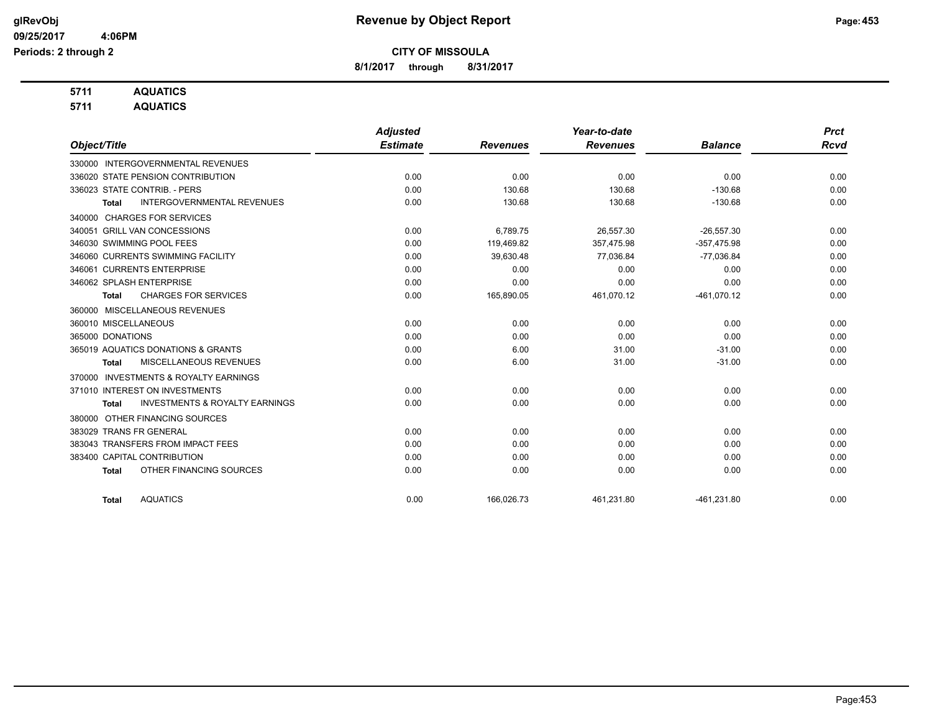**8/1/2017 through 8/31/2017**

# **5711 AQUATICS**

**5711 AQUATICS**

|                                                           | <b>Adjusted</b> |                 | Year-to-date    |                | <b>Prct</b> |
|-----------------------------------------------------------|-----------------|-----------------|-----------------|----------------|-------------|
| Object/Title                                              | <b>Estimate</b> | <b>Revenues</b> | <b>Revenues</b> | <b>Balance</b> | <b>Rcvd</b> |
| 330000 INTERGOVERNMENTAL REVENUES                         |                 |                 |                 |                |             |
| 336020 STATE PENSION CONTRIBUTION                         | 0.00            | 0.00            | 0.00            | 0.00           | 0.00        |
| 336023 STATE CONTRIB. - PERS                              | 0.00            | 130.68          | 130.68          | $-130.68$      | 0.00        |
| <b>INTERGOVERNMENTAL REVENUES</b><br><b>Total</b>         | 0.00            | 130.68          | 130.68          | $-130.68$      | 0.00        |
| <b>CHARGES FOR SERVICES</b><br>340000                     |                 |                 |                 |                |             |
| 340051 GRILL VAN CONCESSIONS                              | 0.00            | 6.789.75        | 26,557.30       | $-26,557.30$   | 0.00        |
| 346030 SWIMMING POOL FEES                                 | 0.00            | 119,469.82      | 357,475.98      | $-357,475.98$  | 0.00        |
| 346060 CURRENTS SWIMMING FACILITY                         | 0.00            | 39,630.48       | 77,036.84       | $-77,036.84$   | 0.00        |
| 346061 CURRENTS ENTERPRISE                                | 0.00            | 0.00            | 0.00            | 0.00           | 0.00        |
| 346062 SPLASH ENTERPRISE                                  | 0.00            | 0.00            | 0.00            | 0.00           | 0.00        |
| <b>CHARGES FOR SERVICES</b><br><b>Total</b>               | 0.00            | 165,890.05      | 461,070.12      | $-461,070.12$  | 0.00        |
| 360000 MISCELLANEOUS REVENUES                             |                 |                 |                 |                |             |
| 360010 MISCELLANEOUS                                      | 0.00            | 0.00            | 0.00            | 0.00           | 0.00        |
| 365000 DONATIONS                                          | 0.00            | 0.00            | 0.00            | 0.00           | 0.00        |
| 365019 AQUATICS DONATIONS & GRANTS                        | 0.00            | 6.00            | 31.00           | $-31.00$       | 0.00        |
| MISCELLANEOUS REVENUES<br><b>Total</b>                    | 0.00            | 6.00            | 31.00           | $-31.00$       | 0.00        |
| 370000 INVESTMENTS & ROYALTY EARNINGS                     |                 |                 |                 |                |             |
| 371010 INTEREST ON INVESTMENTS                            | 0.00            | 0.00            | 0.00            | 0.00           | 0.00        |
| <b>INVESTMENTS &amp; ROYALTY EARNINGS</b><br><b>Total</b> | 0.00            | 0.00            | 0.00            | 0.00           | 0.00        |
| OTHER FINANCING SOURCES<br>380000                         |                 |                 |                 |                |             |
| 383029 TRANS FR GENERAL                                   | 0.00            | 0.00            | 0.00            | 0.00           | 0.00        |
| 383043 TRANSFERS FROM IMPACT FEES                         | 0.00            | 0.00            | 0.00            | 0.00           | 0.00        |
| 383400 CAPITAL CONTRIBUTION                               | 0.00            | 0.00            | 0.00            | 0.00           | 0.00        |
| OTHER FINANCING SOURCES<br><b>Total</b>                   | 0.00            | 0.00            | 0.00            | 0.00           | 0.00        |
|                                                           |                 |                 |                 |                |             |
| <b>AQUATICS</b><br><b>Total</b>                           | 0.00            | 166,026.73      | 461,231.80      | $-461,231.80$  | 0.00        |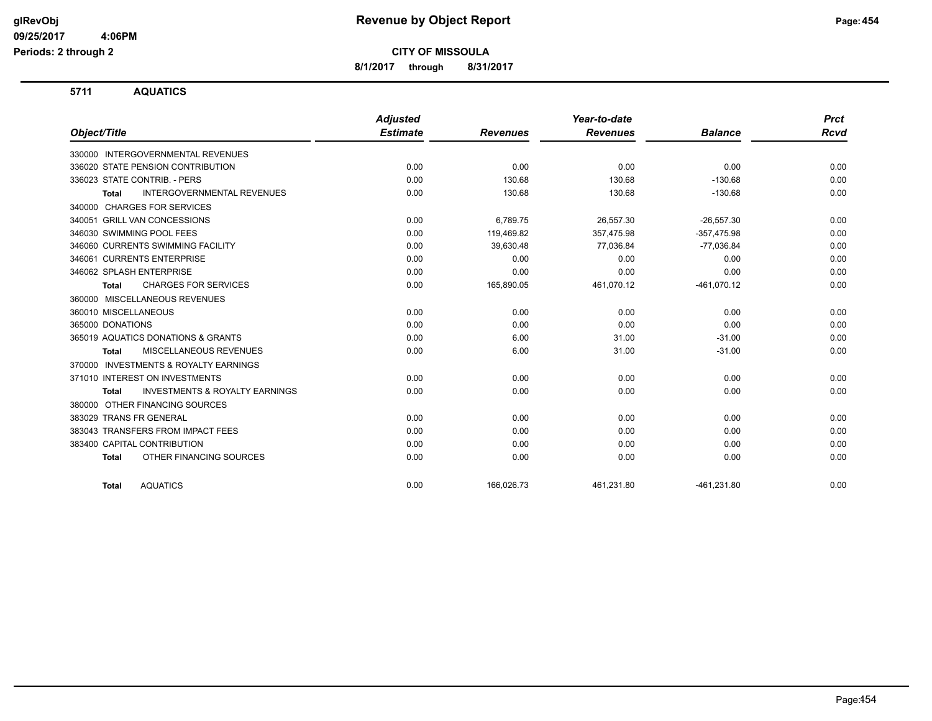**8/1/2017 through 8/31/2017**

**5711 AQUATICS**

|                                                           | <b>Adjusted</b> |                 | Year-to-date    |                | <b>Prct</b> |
|-----------------------------------------------------------|-----------------|-----------------|-----------------|----------------|-------------|
| Object/Title                                              | <b>Estimate</b> | <b>Revenues</b> | <b>Revenues</b> | <b>Balance</b> | <b>Rcvd</b> |
| 330000 INTERGOVERNMENTAL REVENUES                         |                 |                 |                 |                |             |
| 336020 STATE PENSION CONTRIBUTION                         | 0.00            | 0.00            | 0.00            | 0.00           | 0.00        |
| 336023 STATE CONTRIB. - PERS                              | 0.00            | 130.68          | 130.68          | $-130.68$      | 0.00        |
| <b>INTERGOVERNMENTAL REVENUES</b><br><b>Total</b>         | 0.00            | 130.68          | 130.68          | $-130.68$      | 0.00        |
| 340000 CHARGES FOR SERVICES                               |                 |                 |                 |                |             |
| 340051 GRILL VAN CONCESSIONS                              | 0.00            | 6,789.75        | 26,557.30       | $-26,557.30$   | 0.00        |
| 346030 SWIMMING POOL FEES                                 | 0.00            | 119,469.82      | 357,475.98      | $-357,475.98$  | 0.00        |
| 346060 CURRENTS SWIMMING FACILITY                         | 0.00            | 39,630.48       | 77.036.84       | $-77,036.84$   | 0.00        |
| 346061 CURRENTS ENTERPRISE                                | 0.00            | 0.00            | 0.00            | 0.00           | 0.00        |
| 346062 SPLASH ENTERPRISE                                  | 0.00            | 0.00            | 0.00            | 0.00           | 0.00        |
| <b>CHARGES FOR SERVICES</b><br><b>Total</b>               | 0.00            | 165,890.05      | 461,070.12      | $-461,070.12$  | 0.00        |
| 360000 MISCELLANEOUS REVENUES                             |                 |                 |                 |                |             |
| 360010 MISCELLANEOUS                                      | 0.00            | 0.00            | 0.00            | 0.00           | 0.00        |
| 365000 DONATIONS                                          | 0.00            | 0.00            | 0.00            | 0.00           | 0.00        |
| 365019 AQUATICS DONATIONS & GRANTS                        | 0.00            | 6.00            | 31.00           | $-31.00$       | 0.00        |
| MISCELLANEOUS REVENUES<br><b>Total</b>                    | 0.00            | 6.00            | 31.00           | $-31.00$       | 0.00        |
| <b>INVESTMENTS &amp; ROYALTY EARNINGS</b><br>370000       |                 |                 |                 |                |             |
| 371010 INTEREST ON INVESTMENTS                            | 0.00            | 0.00            | 0.00            | 0.00           | 0.00        |
| <b>INVESTMENTS &amp; ROYALTY EARNINGS</b><br><b>Total</b> | 0.00            | 0.00            | 0.00            | 0.00           | 0.00        |
| OTHER FINANCING SOURCES<br>380000                         |                 |                 |                 |                |             |
| 383029 TRANS FR GENERAL                                   | 0.00            | 0.00            | 0.00            | 0.00           | 0.00        |
| 383043 TRANSFERS FROM IMPACT FEES                         | 0.00            | 0.00            | 0.00            | 0.00           | 0.00        |
| 383400 CAPITAL CONTRIBUTION                               | 0.00            | 0.00            | 0.00            | 0.00           | 0.00        |
| OTHER FINANCING SOURCES<br><b>Total</b>                   | 0.00            | 0.00            | 0.00            | 0.00           | 0.00        |
| <b>AQUATICS</b><br><b>Total</b>                           | 0.00            | 166,026.73      | 461,231.80      | -461,231.80    | 0.00        |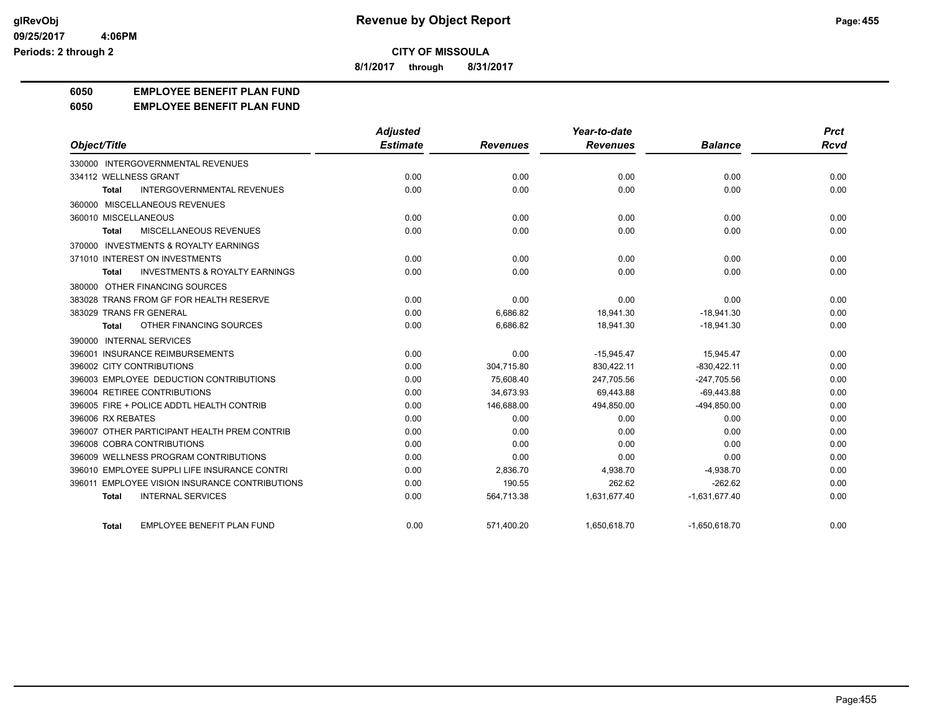**8/1/2017 through 8/31/2017**

#### **6050 EMPLOYEE BENEFIT PLAN FUND**

#### **6050 EMPLOYEE BENEFIT PLAN FUND**

|                                                           | <b>Adjusted</b> |                 | Year-to-date    |                 | <b>Prct</b> |
|-----------------------------------------------------------|-----------------|-----------------|-----------------|-----------------|-------------|
| Object/Title                                              | <b>Estimate</b> | <b>Revenues</b> | <b>Revenues</b> | <b>Balance</b>  | <b>Rcvd</b> |
| 330000 INTERGOVERNMENTAL REVENUES                         |                 |                 |                 |                 |             |
| 334112 WELLNESS GRANT                                     | 0.00            | 0.00            | 0.00            | 0.00            | 0.00        |
| <b>INTERGOVERNMENTAL REVENUES</b><br><b>Total</b>         | 0.00            | 0.00            | 0.00            | 0.00            | 0.00        |
| 360000 MISCELLANEOUS REVENUES                             |                 |                 |                 |                 |             |
| 360010 MISCELLANEOUS                                      | 0.00            | 0.00            | 0.00            | 0.00            | 0.00        |
| <b>MISCELLANEOUS REVENUES</b><br><b>Total</b>             | 0.00            | 0.00            | 0.00            | 0.00            | 0.00        |
| 370000 INVESTMENTS & ROYALTY EARNINGS                     |                 |                 |                 |                 |             |
| 371010 INTEREST ON INVESTMENTS                            | 0.00            | 0.00            | 0.00            | 0.00            | 0.00        |
| <b>INVESTMENTS &amp; ROYALTY EARNINGS</b><br><b>Total</b> | 0.00            | 0.00            | 0.00            | 0.00            | 0.00        |
| 380000 OTHER FINANCING SOURCES                            |                 |                 |                 |                 |             |
| 383028 TRANS FROM GF FOR HEALTH RESERVE                   | 0.00            | 0.00            | 0.00            | 0.00            | 0.00        |
| 383029 TRANS FR GENERAL                                   | 0.00            | 6,686.82        | 18,941.30       | $-18,941.30$    | 0.00        |
| OTHER FINANCING SOURCES<br>Total                          | 0.00            | 6,686.82        | 18,941.30       | $-18,941.30$    | 0.00        |
| 390000 INTERNAL SERVICES                                  |                 |                 |                 |                 |             |
| 396001 INSURANCE REIMBURSEMENTS                           | 0.00            | 0.00            | $-15,945.47$    | 15,945.47       | 0.00        |
| 396002 CITY CONTRIBUTIONS                                 | 0.00            | 304,715.80      | 830,422.11      | $-830,422.11$   | 0.00        |
| 396003 EMPLOYEE DEDUCTION CONTRIBUTIONS                   | 0.00            | 75,608.40       | 247,705.56      | $-247,705.56$   | 0.00        |
| 396004 RETIREE CONTRIBUTIONS                              | 0.00            | 34,673.93       | 69,443.88       | $-69,443.88$    | 0.00        |
| 396005 FIRE + POLICE ADDTL HEALTH CONTRIB                 | 0.00            | 146,688.00      | 494.850.00      | -494,850.00     | 0.00        |
| 396006 RX REBATES                                         | 0.00            | 0.00            | 0.00            | 0.00            | 0.00        |
| 396007 OTHER PARTICIPANT HEALTH PREM CONTRIB              | 0.00            | 0.00            | 0.00            | 0.00            | 0.00        |
| 396008 COBRA CONTRIBUTIONS                                | 0.00            | 0.00            | 0.00            | 0.00            | 0.00        |
| 396009 WELLNESS PROGRAM CONTRIBUTIONS                     | 0.00            | 0.00            | 0.00            | 0.00            | 0.00        |
| 396010 EMPLOYEE SUPPLI LIFE INSURANCE CONTRI              | 0.00            | 2,836.70        | 4,938.70        | $-4,938.70$     | 0.00        |
| 396011 EMPLOYEE VISION INSURANCE CONTRIBUTIONS            | 0.00            | 190.55          | 262.62          | $-262.62$       | 0.00        |
| <b>INTERNAL SERVICES</b><br><b>Total</b>                  | 0.00            | 564,713.38      | 1,631,677.40    | $-1,631,677.40$ | 0.00        |
| EMPLOYEE BENEFIT PLAN FUND<br><b>Total</b>                | 0.00            | 571,400.20      | 1,650,618.70    | $-1,650,618.70$ | 0.00        |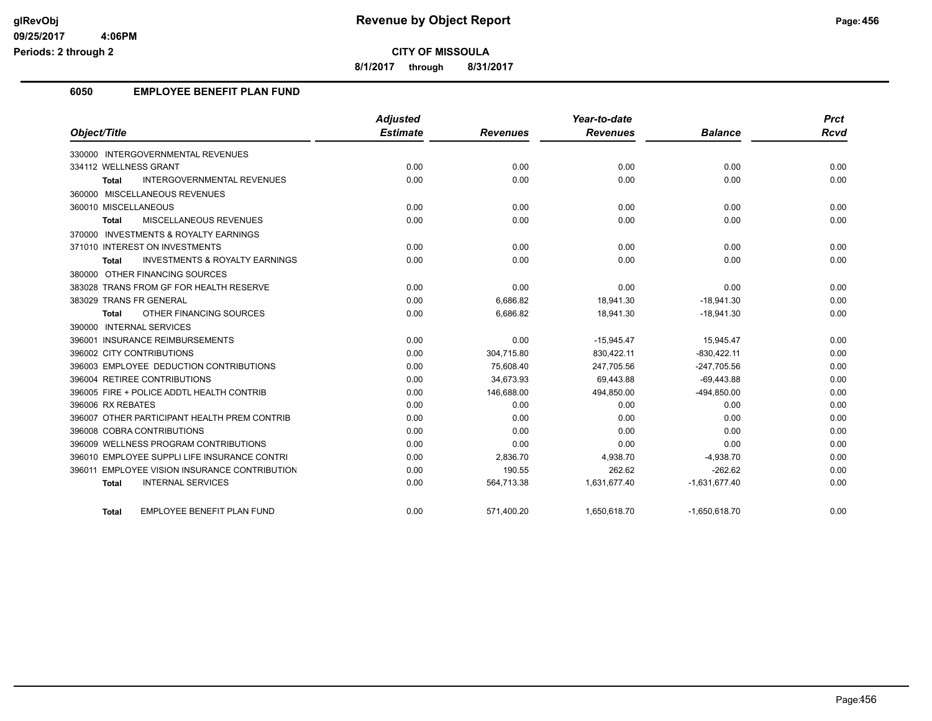**Periods: 2 through 2**

**CITY OF MISSOULA**

**8/1/2017 through 8/31/2017**

#### **6050 EMPLOYEE BENEFIT PLAN FUND**

|                                                    | <b>Adjusted</b> |                 | Year-to-date    |                 | <b>Prct</b> |
|----------------------------------------------------|-----------------|-----------------|-----------------|-----------------|-------------|
| Object/Title                                       | <b>Estimate</b> | <b>Revenues</b> | <b>Revenues</b> | <b>Balance</b>  | <b>Rcvd</b> |
| 330000 INTERGOVERNMENTAL REVENUES                  |                 |                 |                 |                 |             |
| 334112 WELLNESS GRANT                              | 0.00            | 0.00            | 0.00            | 0.00            | 0.00        |
| <b>INTERGOVERNMENTAL REVENUES</b><br><b>Total</b>  | 0.00            | 0.00            | 0.00            | 0.00            | 0.00        |
| 360000 MISCELLANEOUS REVENUES                      |                 |                 |                 |                 |             |
| 360010 MISCELLANEOUS                               | 0.00            | 0.00            | 0.00            | 0.00            | 0.00        |
| MISCELLANEOUS REVENUES<br><b>Total</b>             | 0.00            | 0.00            | 0.00            | 0.00            | 0.00        |
| 370000 INVESTMENTS & ROYALTY EARNINGS              |                 |                 |                 |                 |             |
| 371010 INTEREST ON INVESTMENTS                     | 0.00            | 0.00            | 0.00            | 0.00            | 0.00        |
| <b>INVESTMENTS &amp; ROYALTY EARNINGS</b><br>Total | 0.00            | 0.00            | 0.00            | 0.00            | 0.00        |
| 380000 OTHER FINANCING SOURCES                     |                 |                 |                 |                 |             |
| 383028 TRANS FROM GF FOR HEALTH RESERVE            | 0.00            | 0.00            | 0.00            | 0.00            | 0.00        |
| 383029 TRANS FR GENERAL                            | 0.00            | 6,686.82        | 18,941.30       | $-18,941.30$    | 0.00        |
| OTHER FINANCING SOURCES<br><b>Total</b>            | 0.00            | 6,686.82        | 18,941.30       | $-18,941.30$    | 0.00        |
| 390000 INTERNAL SERVICES                           |                 |                 |                 |                 |             |
| 396001 INSURANCE REIMBURSEMENTS                    | 0.00            | 0.00            | $-15,945.47$    | 15,945.47       | 0.00        |
| 396002 CITY CONTRIBUTIONS                          | 0.00            | 304,715.80      | 830,422.11      | $-830.422.11$   | 0.00        |
| 396003 EMPLOYEE DEDUCTION CONTRIBUTIONS            | 0.00            | 75,608.40       | 247,705.56      | $-247,705.56$   | 0.00        |
| 396004 RETIREE CONTRIBUTIONS                       | 0.00            | 34,673.93       | 69,443.88       | $-69,443.88$    | 0.00        |
| 396005 FIRE + POLICE ADDTL HEALTH CONTRIB          | 0.00            | 146,688.00      | 494,850.00      | -494,850.00     | 0.00        |
| 396006 RX REBATES                                  | 0.00            | 0.00            | 0.00            | 0.00            | 0.00        |
| 396007 OTHER PARTICIPANT HEALTH PREM CONTRIB       | 0.00            | 0.00            | 0.00            | 0.00            | 0.00        |
| 396008 COBRA CONTRIBUTIONS                         | 0.00            | 0.00            | 0.00            | 0.00            | 0.00        |
| 396009 WELLNESS PROGRAM CONTRIBUTIONS              | 0.00            | 0.00            | 0.00            | 0.00            | 0.00        |
| 396010 EMPLOYEE SUPPLI LIFE INSURANCE CONTRI       | 0.00            | 2,836.70        | 4,938.70        | $-4,938.70$     | 0.00        |
| 396011 EMPLOYEE VISION INSURANCE CONTRIBUTION      | 0.00            | 190.55          | 262.62          | $-262.62$       | 0.00        |
| <b>INTERNAL SERVICES</b><br><b>Total</b>           | 0.00            | 564,713.38      | 1,631,677.40    | $-1,631,677.40$ | 0.00        |
| <b>EMPLOYEE BENEFIT PLAN FUND</b><br><b>Total</b>  | 0.00            | 571,400.20      | 1,650,618.70    | $-1,650,618.70$ | 0.00        |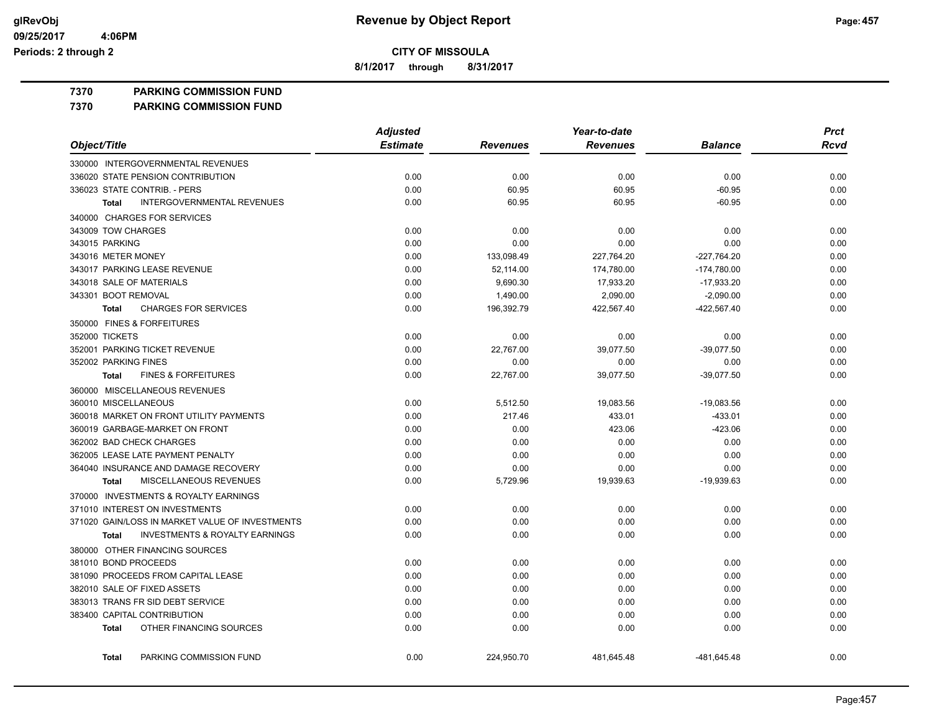**8/1/2017 through 8/31/2017**

**7370 PARKING COMMISSION FUND**

**7370 PARKING COMMISSION FUND**

|                                                    | <b>Adjusted</b> |                 | Year-to-date    |                | <b>Prct</b> |
|----------------------------------------------------|-----------------|-----------------|-----------------|----------------|-------------|
| Object/Title                                       | <b>Estimate</b> | <b>Revenues</b> | <b>Revenues</b> | <b>Balance</b> | <b>Rcvd</b> |
| 330000 INTERGOVERNMENTAL REVENUES                  |                 |                 |                 |                |             |
| 336020 STATE PENSION CONTRIBUTION                  | 0.00            | 0.00            | 0.00            | 0.00           | 0.00        |
| 336023 STATE CONTRIB. - PERS                       | 0.00            | 60.95           | 60.95           | $-60.95$       | 0.00        |
| <b>INTERGOVERNMENTAL REVENUES</b><br><b>Total</b>  | 0.00            | 60.95           | 60.95           | $-60.95$       | 0.00        |
| 340000 CHARGES FOR SERVICES                        |                 |                 |                 |                |             |
| 343009 TOW CHARGES                                 | 0.00            | 0.00            | 0.00            | 0.00           | 0.00        |
| 343015 PARKING                                     | 0.00            | 0.00            | 0.00            | 0.00           | 0.00        |
| 343016 METER MONEY                                 | 0.00            | 133,098.49      | 227,764.20      | -227,764.20    | 0.00        |
| 343017 PARKING LEASE REVENUE                       | 0.00            | 52,114.00       | 174,780.00      | $-174,780.00$  | 0.00        |
| 343018 SALE OF MATERIALS                           | 0.00            | 9,690.30        | 17,933.20       | $-17,933.20$   | 0.00        |
| 343301 BOOT REMOVAL                                | 0.00            | 1,490.00        | 2,090.00        | $-2,090.00$    | 0.00        |
| <b>CHARGES FOR SERVICES</b><br><b>Total</b>        | 0.00            | 196,392.79      | 422,567.40      | -422,567.40    | 0.00        |
| 350000 FINES & FORFEITURES                         |                 |                 |                 |                |             |
| 352000 TICKETS                                     | 0.00            | 0.00            | 0.00            | 0.00           | 0.00        |
| 352001 PARKING TICKET REVENUE                      | 0.00            | 22,767.00       | 39,077.50       | $-39,077.50$   | 0.00        |
| 352002 PARKING FINES                               | 0.00            | 0.00            | 0.00            | 0.00           | 0.00        |
| <b>FINES &amp; FORFEITURES</b><br><b>Total</b>     | 0.00            | 22,767.00       | 39,077.50       | $-39,077.50$   | 0.00        |
| 360000 MISCELLANEOUS REVENUES                      |                 |                 |                 |                |             |
| 360010 MISCELLANEOUS                               | 0.00            | 5,512.50        | 19,083.56       | $-19,083.56$   | 0.00        |
| 360018 MARKET ON FRONT UTILITY PAYMENTS            | 0.00            | 217.46          | 433.01          | $-433.01$      | 0.00        |
| 360019 GARBAGE-MARKET ON FRONT                     | 0.00            | 0.00            | 423.06          | $-423.06$      | 0.00        |
| 362002 BAD CHECK CHARGES                           | 0.00            | 0.00            | 0.00            | 0.00           | 0.00        |
| 362005 LEASE LATE PAYMENT PENALTY                  | 0.00            | 0.00            | 0.00            | 0.00           | 0.00        |
| 364040 INSURANCE AND DAMAGE RECOVERY               | 0.00            | 0.00            | 0.00            | 0.00           | 0.00        |
| MISCELLANEOUS REVENUES<br>Total                    | 0.00            | 5,729.96        | 19,939.63       | $-19,939.63$   | 0.00        |
| 370000 INVESTMENTS & ROYALTY EARNINGS              |                 |                 |                 |                |             |
| 371010 INTEREST ON INVESTMENTS                     | 0.00            | 0.00            | 0.00            | 0.00           | 0.00        |
| 371020 GAIN/LOSS IN MARKET VALUE OF INVESTMENTS    | 0.00            | 0.00            | 0.00            | 0.00           | 0.00        |
| <b>INVESTMENTS &amp; ROYALTY EARNINGS</b><br>Total | 0.00            | 0.00            | 0.00            | 0.00           | 0.00        |
| 380000 OTHER FINANCING SOURCES                     |                 |                 |                 |                |             |
| 381010 BOND PROCEEDS                               | 0.00            | 0.00            | 0.00            | 0.00           | 0.00        |
| 381090 PROCEEDS FROM CAPITAL LEASE                 | 0.00            | 0.00            | 0.00            | 0.00           | 0.00        |
| 382010 SALE OF FIXED ASSETS                        | 0.00            | 0.00            | 0.00            | 0.00           | 0.00        |
| 383013 TRANS FR SID DEBT SERVICE                   | 0.00            | 0.00            | 0.00            | 0.00           | 0.00        |
| 383400 CAPITAL CONTRIBUTION                        | 0.00            | 0.00            | 0.00            | 0.00           | 0.00        |
| OTHER FINANCING SOURCES<br>Total                   | 0.00            | 0.00            | 0.00            | 0.00           | 0.00        |
| PARKING COMMISSION FUND<br><b>Total</b>            | 0.00            | 224,950.70      | 481,645.48      | -481,645.48    | 0.00        |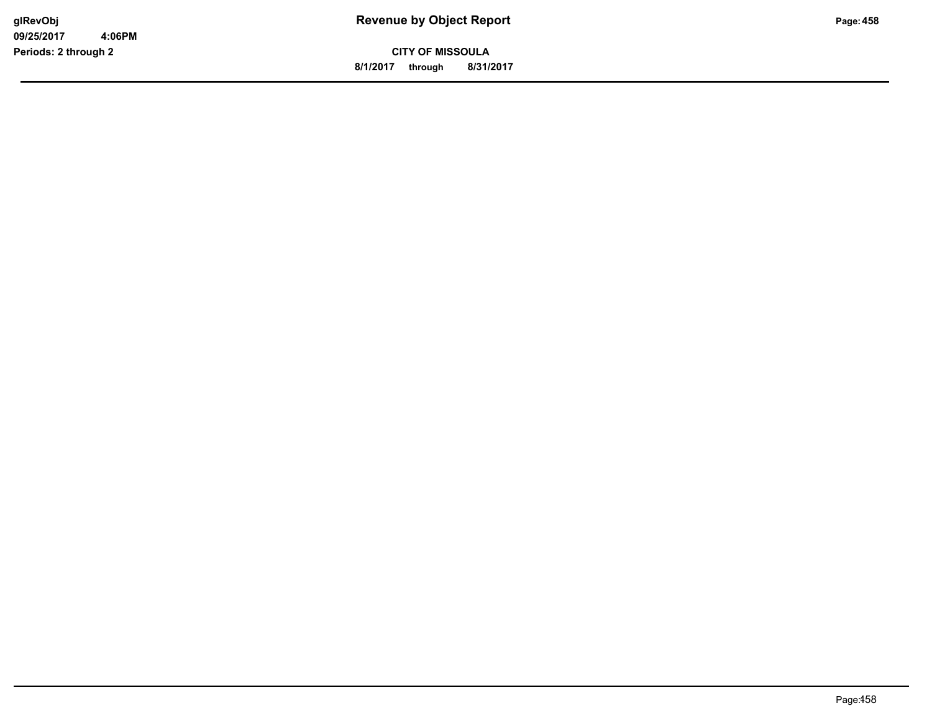**CITY OF MISSOULA 8/1/2017 through 8/31/2017**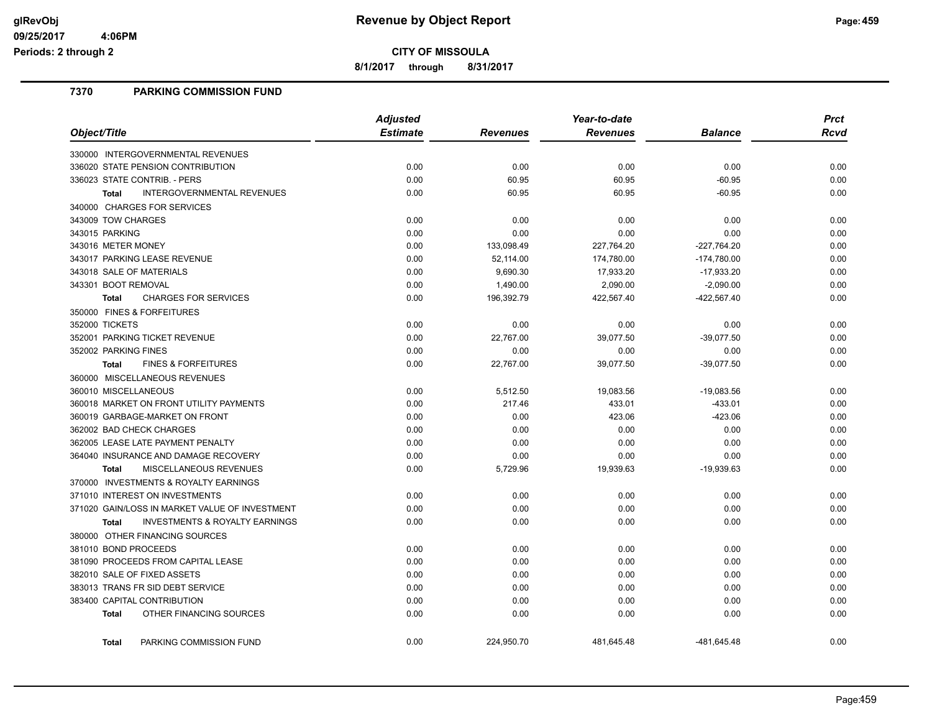**8/1/2017 through 8/31/2017**

#### **7370 PARKING COMMISSION FUND**

|                                                           | <b>Adjusted</b> | Year-to-date    |                 |                | <b>Prct</b> |
|-----------------------------------------------------------|-----------------|-----------------|-----------------|----------------|-------------|
| Object/Title                                              | <b>Estimate</b> | <b>Revenues</b> | <b>Revenues</b> | <b>Balance</b> | <b>Rcvd</b> |
| 330000 INTERGOVERNMENTAL REVENUES                         |                 |                 |                 |                |             |
| 336020 STATE PENSION CONTRIBUTION                         | 0.00            | 0.00            | 0.00            | 0.00           | 0.00        |
| 336023 STATE CONTRIB. - PERS                              | 0.00            | 60.95           | 60.95           | $-60.95$       | 0.00        |
| <b>INTERGOVERNMENTAL REVENUES</b><br><b>Total</b>         | 0.00            | 60.95           | 60.95           | $-60.95$       | 0.00        |
| 340000 CHARGES FOR SERVICES                               |                 |                 |                 |                |             |
| 343009 TOW CHARGES                                        | 0.00            | 0.00            | 0.00            | 0.00           | 0.00        |
| 343015 PARKING                                            | 0.00            | 0.00            | 0.00            | 0.00           | 0.00        |
| 343016 METER MONEY                                        | 0.00            | 133,098.49      | 227,764.20      | -227,764.20    | 0.00        |
| 343017 PARKING LEASE REVENUE                              | 0.00            | 52,114.00       | 174,780.00      | $-174,780.00$  | 0.00        |
| 343018 SALE OF MATERIALS                                  | 0.00            | 9,690.30        | 17,933.20       | $-17,933.20$   | 0.00        |
| 343301 BOOT REMOVAL                                       | 0.00            | 1,490.00        | 2,090.00        | $-2,090.00$    | 0.00        |
| <b>CHARGES FOR SERVICES</b><br><b>Total</b>               | 0.00            | 196,392.79      | 422,567.40      | -422,567.40    | 0.00        |
| 350000 FINES & FORFEITURES                                |                 |                 |                 |                |             |
| 352000 TICKETS                                            | 0.00            | 0.00            | 0.00            | 0.00           | 0.00        |
| 352001 PARKING TICKET REVENUE                             | 0.00            | 22,767.00       | 39,077.50       | $-39,077.50$   | 0.00        |
| 352002 PARKING FINES                                      | 0.00            | 0.00            | 0.00            | 0.00           | 0.00        |
| <b>FINES &amp; FORFEITURES</b><br><b>Total</b>            | 0.00            | 22,767.00       | 39,077.50       | $-39,077.50$   | 0.00        |
| 360000 MISCELLANEOUS REVENUES                             |                 |                 |                 |                |             |
| 360010 MISCELLANEOUS                                      | 0.00            | 5,512.50        | 19,083.56       | $-19,083.56$   | 0.00        |
| 360018 MARKET ON FRONT UTILITY PAYMENTS                   | 0.00            | 217.46          | 433.01          | $-433.01$      | 0.00        |
| 360019 GARBAGE-MARKET ON FRONT                            | 0.00            | 0.00            | 423.06          | $-423.06$      | 0.00        |
| 362002 BAD CHECK CHARGES                                  | 0.00            | 0.00            | 0.00            | 0.00           | 0.00        |
| 362005 LEASE LATE PAYMENT PENALTY                         | 0.00            | 0.00            | 0.00            | 0.00           | 0.00        |
| 364040 INSURANCE AND DAMAGE RECOVERY                      | 0.00            | 0.00            | 0.00            | 0.00           | 0.00        |
| <b>MISCELLANEOUS REVENUES</b><br><b>Total</b>             | 0.00            | 5,729.96        | 19,939.63       | $-19,939.63$   | 0.00        |
| 370000 INVESTMENTS & ROYALTY EARNINGS                     |                 |                 |                 |                |             |
| 371010 INTEREST ON INVESTMENTS                            | 0.00            | 0.00            | 0.00            | 0.00           | 0.00        |
| 371020 GAIN/LOSS IN MARKET VALUE OF INVESTMENT            | 0.00            | 0.00            | 0.00            | 0.00           | 0.00        |
| <b>INVESTMENTS &amp; ROYALTY EARNINGS</b><br><b>Total</b> | 0.00            | 0.00            | 0.00            | 0.00           | 0.00        |
| 380000 OTHER FINANCING SOURCES                            |                 |                 |                 |                |             |
| 381010 BOND PROCEEDS                                      | 0.00            | 0.00            | 0.00            | 0.00           | 0.00        |
| 381090 PROCEEDS FROM CAPITAL LEASE                        | 0.00            | 0.00            | 0.00            | 0.00           | 0.00        |
| 382010 SALE OF FIXED ASSETS                               | 0.00            | 0.00            | 0.00            | 0.00           | 0.00        |
| 383013 TRANS FR SID DEBT SERVICE                          | 0.00            | 0.00            | 0.00            | 0.00           | 0.00        |
| 383400 CAPITAL CONTRIBUTION                               | 0.00            | 0.00            | 0.00            | 0.00           | 0.00        |
| OTHER FINANCING SOURCES<br><b>Total</b>                   | 0.00            | 0.00            | 0.00            | 0.00           | 0.00        |
| PARKING COMMISSION FUND<br><b>Total</b>                   | 0.00            | 224,950.70      | 481,645.48      | -481,645.48    | 0.00        |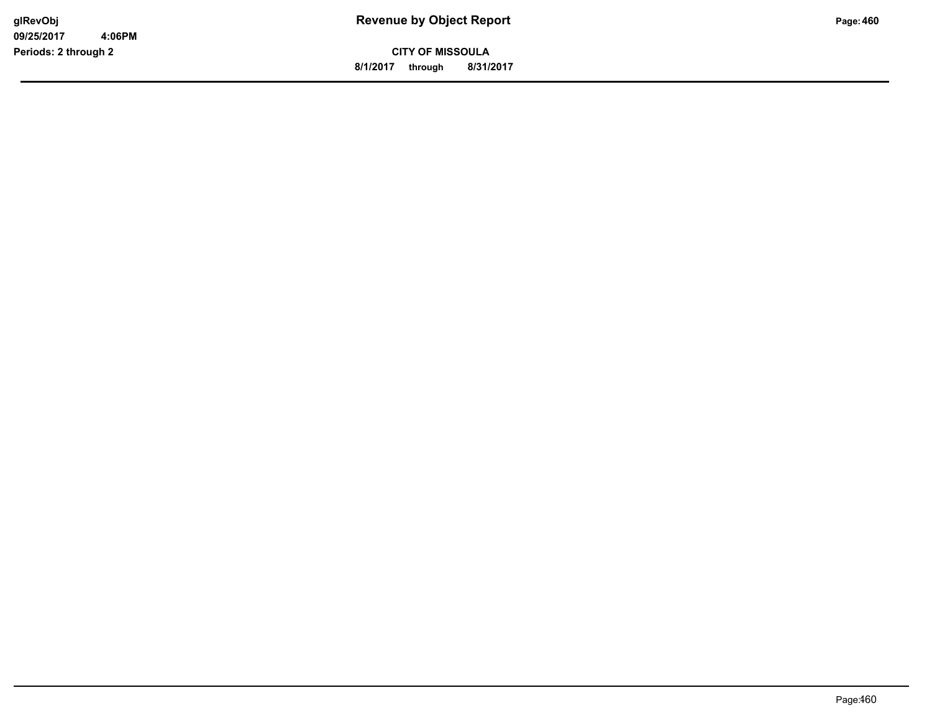**CITY OF MISSOULA 8/1/2017 through 8/31/2017**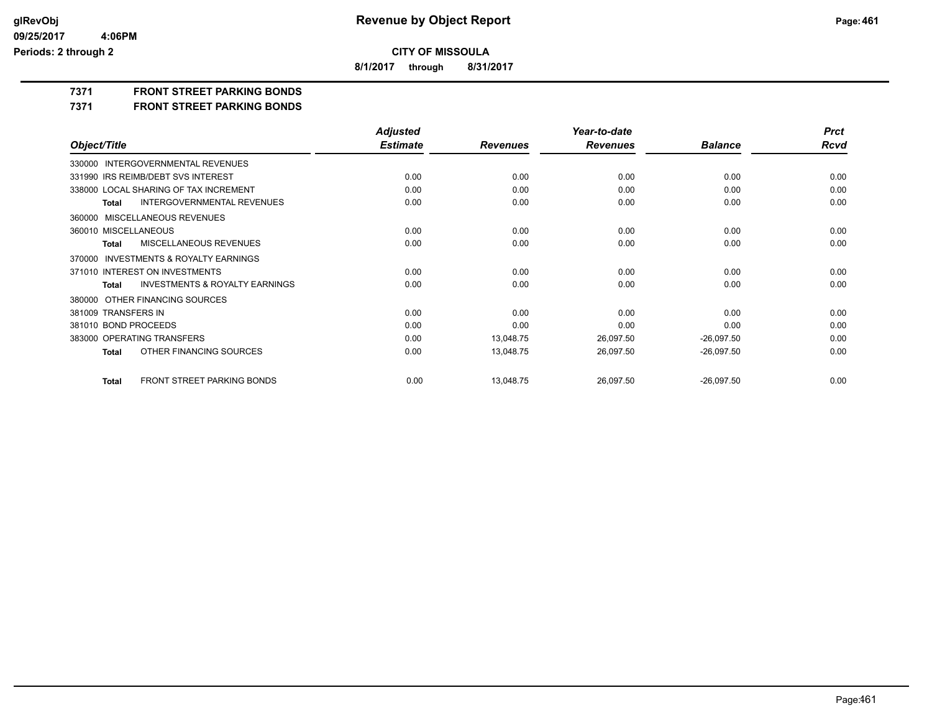**8/1/2017 through 8/31/2017**

**7371 FRONT STREET PARKING BONDS**

**7371 FRONT STREET PARKING BONDS**

|                                                           | <b>Adjusted</b> |                 | Year-to-date    |                | <b>Prct</b> |
|-----------------------------------------------------------|-----------------|-----------------|-----------------|----------------|-------------|
| Object/Title                                              | <b>Estimate</b> | <b>Revenues</b> | <b>Revenues</b> | <b>Balance</b> | <b>Rcvd</b> |
| 330000 INTERGOVERNMENTAL REVENUES                         |                 |                 |                 |                |             |
| 331990 IRS REIMB/DEBT SVS INTEREST                        | 0.00            | 0.00            | 0.00            | 0.00           | 0.00        |
| 338000 LOCAL SHARING OF TAX INCREMENT                     | 0.00            | 0.00            | 0.00            | 0.00           | 0.00        |
| <b>INTERGOVERNMENTAL REVENUES</b><br>Total                | 0.00            | 0.00            | 0.00            | 0.00           | 0.00        |
| 360000 MISCELLANEOUS REVENUES                             |                 |                 |                 |                |             |
| 360010 MISCELLANEOUS                                      | 0.00            | 0.00            | 0.00            | 0.00           | 0.00        |
| MISCELLANEOUS REVENUES<br>Total                           | 0.00            | 0.00            | 0.00            | 0.00           | 0.00        |
| 370000 INVESTMENTS & ROYALTY EARNINGS                     |                 |                 |                 |                |             |
| 371010 INTEREST ON INVESTMENTS                            | 0.00            | 0.00            | 0.00            | 0.00           | 0.00        |
| <b>INVESTMENTS &amp; ROYALTY EARNINGS</b><br><b>Total</b> | 0.00            | 0.00            | 0.00            | 0.00           | 0.00        |
| 380000 OTHER FINANCING SOURCES                            |                 |                 |                 |                |             |
| 381009 TRANSFERS IN                                       | 0.00            | 0.00            | 0.00            | 0.00           | 0.00        |
| 381010 BOND PROCEEDS                                      | 0.00            | 0.00            | 0.00            | 0.00           | 0.00        |
| 383000 OPERATING TRANSFERS                                | 0.00            | 13,048.75       | 26,097.50       | $-26,097.50$   | 0.00        |
| OTHER FINANCING SOURCES<br>Total                          | 0.00            | 13,048.75       | 26,097.50       | $-26,097.50$   | 0.00        |
| <b>FRONT STREET PARKING BONDS</b><br><b>Total</b>         | 0.00            | 13,048.75       | 26,097.50       | $-26,097.50$   | 0.00        |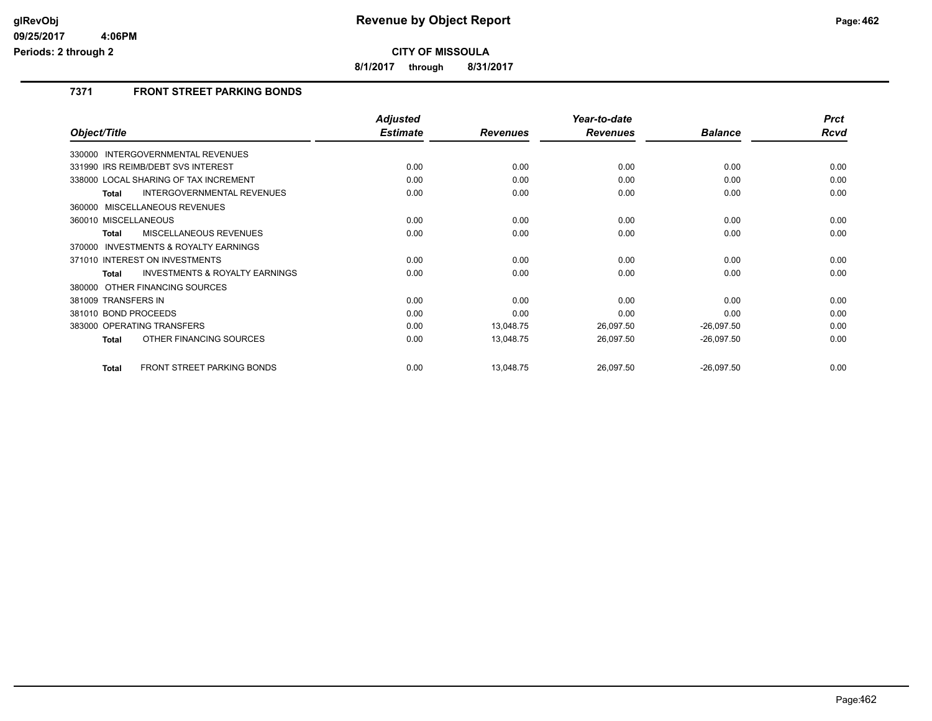**8/1/2017 through 8/31/2017**

#### **7371 FRONT STREET PARKING BONDS**

|                                                     | <b>Adjusted</b> |                 | Year-to-date    |                | <b>Prct</b> |
|-----------------------------------------------------|-----------------|-----------------|-----------------|----------------|-------------|
| Object/Title                                        | <b>Estimate</b> | <b>Revenues</b> | <b>Revenues</b> | <b>Balance</b> | Rcvd        |
| INTERGOVERNMENTAL REVENUES<br>330000                |                 |                 |                 |                |             |
| 331990 IRS REIMB/DEBT SVS INTEREST                  | 0.00            | 0.00            | 0.00            | 0.00           | 0.00        |
| 338000 LOCAL SHARING OF TAX INCREMENT               | 0.00            | 0.00            | 0.00            | 0.00           | 0.00        |
| <b>INTERGOVERNMENTAL REVENUES</b><br><b>Total</b>   | 0.00            | 0.00            | 0.00            | 0.00           | 0.00        |
| 360000 MISCELLANEOUS REVENUES                       |                 |                 |                 |                |             |
| 360010 MISCELLANEOUS                                | 0.00            | 0.00            | 0.00            | 0.00           | 0.00        |
| MISCELLANEOUS REVENUES<br>Total                     | 0.00            | 0.00            | 0.00            | 0.00           | 0.00        |
| <b>INVESTMENTS &amp; ROYALTY EARNINGS</b><br>370000 |                 |                 |                 |                |             |
| 371010 INTEREST ON INVESTMENTS                      | 0.00            | 0.00            | 0.00            | 0.00           | 0.00        |
| INVESTMENTS & ROYALTY EARNINGS<br>Total             | 0.00            | 0.00            | 0.00            | 0.00           | 0.00        |
| 380000 OTHER FINANCING SOURCES                      |                 |                 |                 |                |             |
| 381009 TRANSFERS IN                                 | 0.00            | 0.00            | 0.00            | 0.00           | 0.00        |
| 381010 BOND PROCEEDS                                | 0.00            | 0.00            | 0.00            | 0.00           | 0.00        |
| 383000 OPERATING TRANSFERS                          | 0.00            | 13,048.75       | 26,097.50       | $-26,097.50$   | 0.00        |
| OTHER FINANCING SOURCES<br><b>Total</b>             | 0.00            | 13,048.75       | 26,097.50       | $-26,097.50$   | 0.00        |
| FRONT STREET PARKING BONDS<br><b>Total</b>          | 0.00            | 13,048.75       | 26,097.50       | $-26,097.50$   | 0.00        |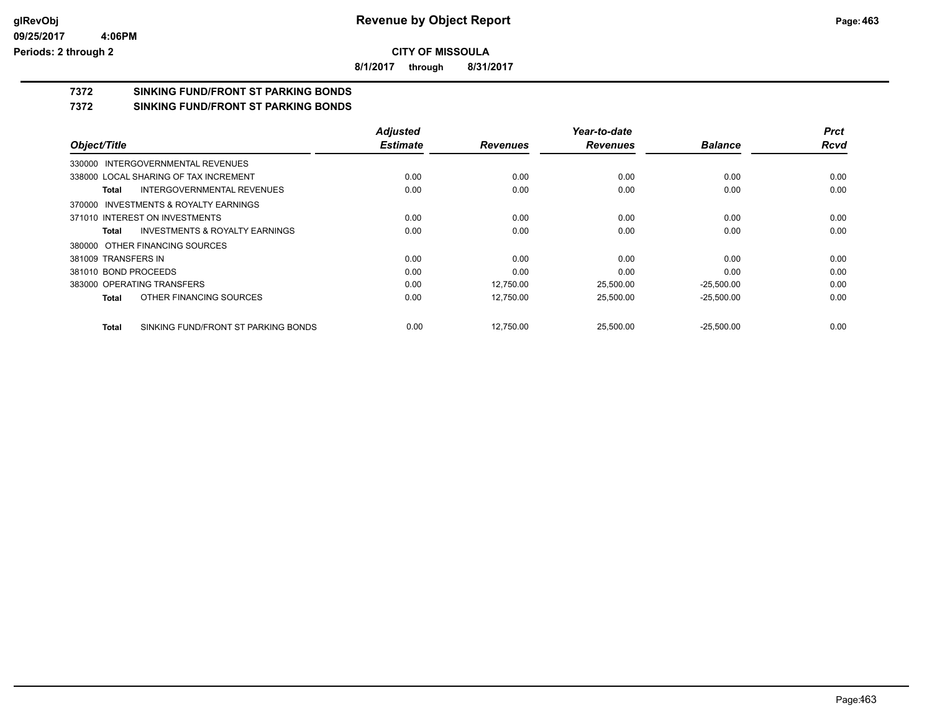**8/1/2017 through 8/31/2017**

# **7372 SINKING FUND/FRONT ST PARKING BONDS**

### **7372 SINKING FUND/FRONT ST PARKING BONDS**

|                                                    | <b>Adjusted</b> |                 | Year-to-date    |                | <b>Prct</b> |
|----------------------------------------------------|-----------------|-----------------|-----------------|----------------|-------------|
| Object/Title                                       | <b>Estimate</b> | <b>Revenues</b> | <b>Revenues</b> | <b>Balance</b> | <b>Rcvd</b> |
| 330000 INTERGOVERNMENTAL REVENUES                  |                 |                 |                 |                |             |
| 338000 LOCAL SHARING OF TAX INCREMENT              | 0.00            | 0.00            | 0.00            | 0.00           | 0.00        |
| INTERGOVERNMENTAL REVENUES<br>Total                | 0.00            | 0.00            | 0.00            | 0.00           | 0.00        |
| 370000 INVESTMENTS & ROYALTY EARNINGS              |                 |                 |                 |                |             |
| 371010 INTEREST ON INVESTMENTS                     | 0.00            | 0.00            | 0.00            | 0.00           | 0.00        |
| <b>INVESTMENTS &amp; ROYALTY EARNINGS</b><br>Total | 0.00            | 0.00            | 0.00            | 0.00           | 0.00        |
| 380000 OTHER FINANCING SOURCES                     |                 |                 |                 |                |             |
| 381009 TRANSFERS IN                                | 0.00            | 0.00            | 0.00            | 0.00           | 0.00        |
| 381010 BOND PROCEEDS                               | 0.00            | 0.00            | 0.00            | 0.00           | 0.00        |
| 383000 OPERATING TRANSFERS                         | 0.00            | 12.750.00       | 25,500.00       | $-25,500.00$   | 0.00        |
| OTHER FINANCING SOURCES<br><b>Total</b>            | 0.00            | 12,750.00       | 25,500.00       | $-25,500.00$   | 0.00        |
| SINKING FUND/FRONT ST PARKING BONDS<br>Total       | 0.00            | 12.750.00       | 25.500.00       | $-25.500.00$   | 0.00        |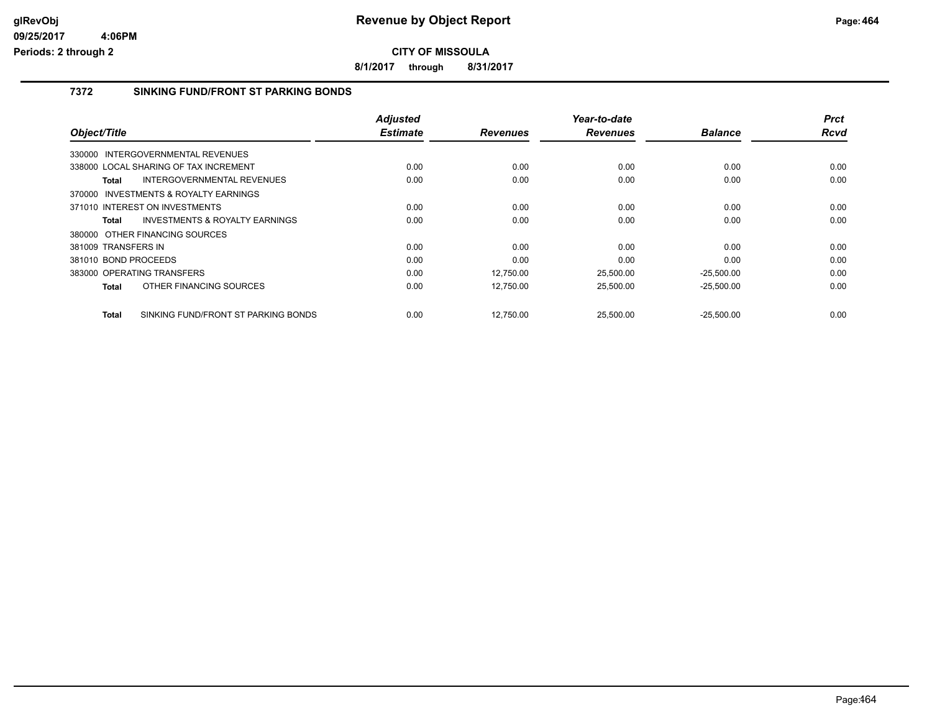**8/1/2017 through 8/31/2017**

#### **7372 SINKING FUND/FRONT ST PARKING BONDS**

| Object/Title                                        | <b>Adjusted</b><br><b>Estimate</b> | <b>Revenues</b> | Year-to-date<br><b>Revenues</b> | <b>Balance</b> | <b>Prct</b><br>Rcvd |
|-----------------------------------------------------|------------------------------------|-----------------|---------------------------------|----------------|---------------------|
|                                                     |                                    |                 |                                 |                |                     |
| 330000 INTERGOVERNMENTAL REVENUES                   |                                    |                 |                                 |                |                     |
| 338000 LOCAL SHARING OF TAX INCREMENT               | 0.00                               | 0.00            | 0.00                            | 0.00           | 0.00                |
| <b>INTERGOVERNMENTAL REVENUES</b><br>Total          | 0.00                               | 0.00            | 0.00                            | 0.00           | 0.00                |
| 370000 INVESTMENTS & ROYALTY EARNINGS               |                                    |                 |                                 |                |                     |
| 371010 INTEREST ON INVESTMENTS                      | 0.00                               | 0.00            | 0.00                            | 0.00           | 0.00                |
| <b>INVESTMENTS &amp; ROYALTY EARNINGS</b><br>Total  | 0.00                               | 0.00            | 0.00                            | 0.00           | 0.00                |
| 380000 OTHER FINANCING SOURCES                      |                                    |                 |                                 |                |                     |
| 381009 TRANSFERS IN                                 | 0.00                               | 0.00            | 0.00                            | 0.00           | 0.00                |
| 381010 BOND PROCEEDS                                | 0.00                               | 0.00            | 0.00                            | 0.00           | 0.00                |
| 383000 OPERATING TRANSFERS                          | 0.00                               | 12.750.00       | 25,500.00                       | $-25,500.00$   | 0.00                |
| OTHER FINANCING SOURCES<br>Total                    | 0.00                               | 12,750.00       | 25,500.00                       | $-25,500.00$   | 0.00                |
| SINKING FUND/FRONT ST PARKING BONDS<br><b>Total</b> | 0.00                               | 12,750.00       | 25,500.00                       | $-25,500.00$   | 0.00                |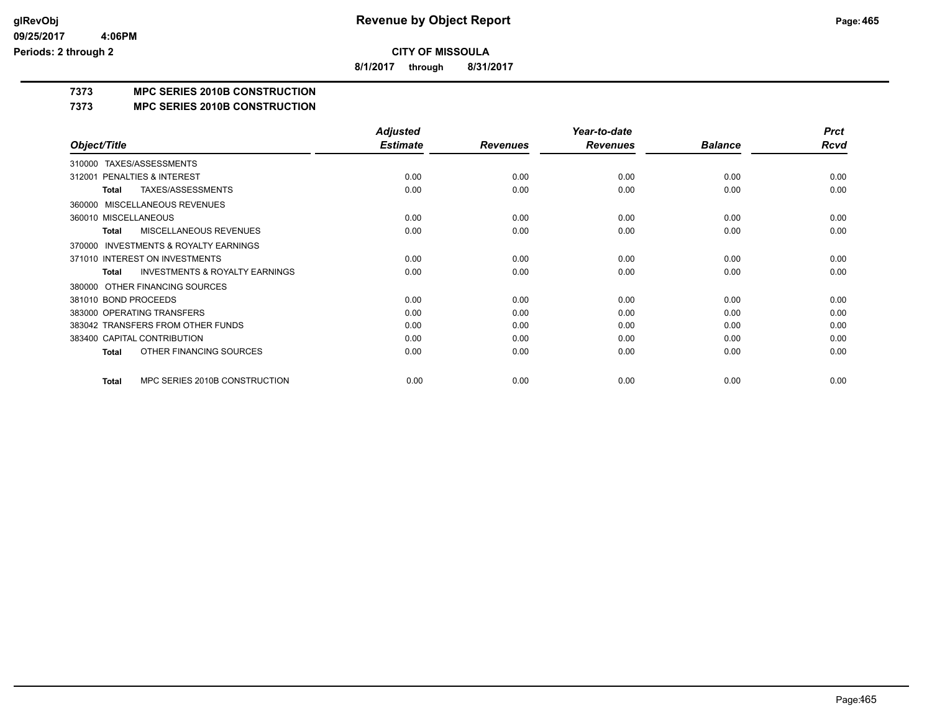**8/1/2017 through 8/31/2017**

### **7373 MPC SERIES 2010B CONSTRUCTION**

#### **7373 MPC SERIES 2010B CONSTRUCTION**

|                                                     | <b>Adjusted</b> |                 | Year-to-date    |                | <b>Prct</b> |
|-----------------------------------------------------|-----------------|-----------------|-----------------|----------------|-------------|
| Object/Title                                        | <b>Estimate</b> | <b>Revenues</b> | <b>Revenues</b> | <b>Balance</b> | <b>Rcvd</b> |
| 310000 TAXES/ASSESSMENTS                            |                 |                 |                 |                |             |
| 312001 PENALTIES & INTEREST                         | 0.00            | 0.00            | 0.00            | 0.00           | 0.00        |
| TAXES/ASSESSMENTS<br>Total                          | 0.00            | 0.00            | 0.00            | 0.00           | 0.00        |
| MISCELLANEOUS REVENUES<br>360000                    |                 |                 |                 |                |             |
| 360010 MISCELLANEOUS                                | 0.00            | 0.00            | 0.00            | 0.00           | 0.00        |
| MISCELLANEOUS REVENUES<br>Total                     | 0.00            | 0.00            | 0.00            | 0.00           | 0.00        |
| <b>INVESTMENTS &amp; ROYALTY EARNINGS</b><br>370000 |                 |                 |                 |                |             |
| 371010 INTEREST ON INVESTMENTS                      | 0.00            | 0.00            | 0.00            | 0.00           | 0.00        |
| <b>INVESTMENTS &amp; ROYALTY EARNINGS</b><br>Total  | 0.00            | 0.00            | 0.00            | 0.00           | 0.00        |
| OTHER FINANCING SOURCES<br>380000                   |                 |                 |                 |                |             |
| 381010 BOND PROCEEDS                                | 0.00            | 0.00            | 0.00            | 0.00           | 0.00        |
| 383000 OPERATING TRANSFERS                          | 0.00            | 0.00            | 0.00            | 0.00           | 0.00        |
| 383042 TRANSFERS FROM OTHER FUNDS                   | 0.00            | 0.00            | 0.00            | 0.00           | 0.00        |
| 383400 CAPITAL CONTRIBUTION                         | 0.00            | 0.00            | 0.00            | 0.00           | 0.00        |
| OTHER FINANCING SOURCES<br><b>Total</b>             | 0.00            | 0.00            | 0.00            | 0.00           | 0.00        |
| MPC SERIES 2010B CONSTRUCTION<br><b>Total</b>       | 0.00            | 0.00            | 0.00            | 0.00           | 0.00        |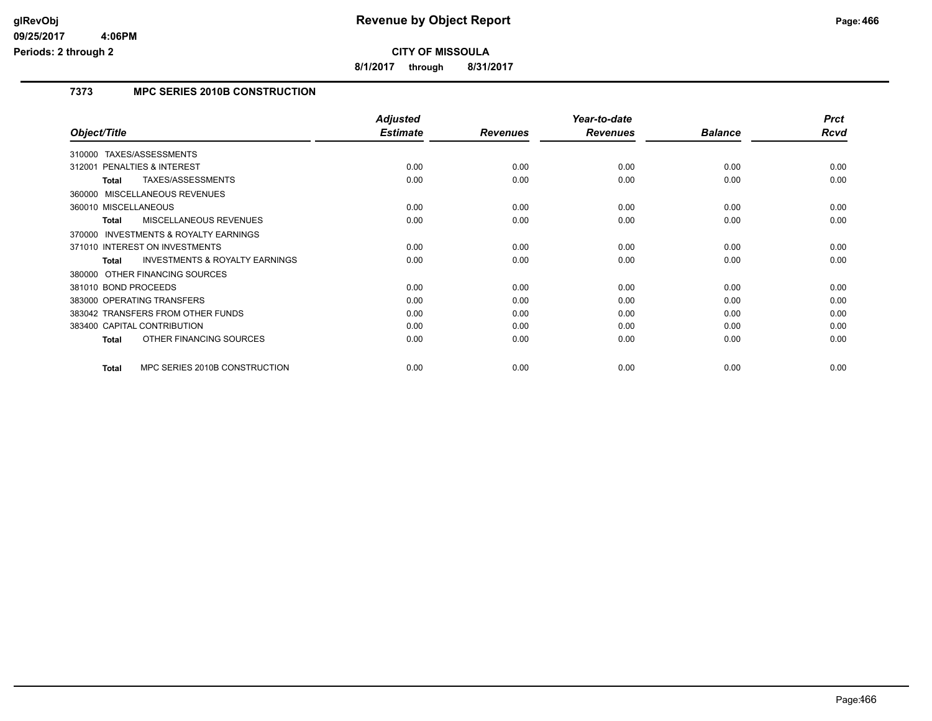**8/1/2017 through 8/31/2017**

#### **7373 MPC SERIES 2010B CONSTRUCTION**

|                                                           | <b>Adjusted</b> |                 | Year-to-date    |                | <b>Prct</b> |
|-----------------------------------------------------------|-----------------|-----------------|-----------------|----------------|-------------|
| Object/Title                                              | <b>Estimate</b> | <b>Revenues</b> | <b>Revenues</b> | <b>Balance</b> | <b>Rcvd</b> |
| 310000 TAXES/ASSESSMENTS                                  |                 |                 |                 |                |             |
| 312001 PENALTIES & INTEREST                               | 0.00            | 0.00            | 0.00            | 0.00           | 0.00        |
| TAXES/ASSESSMENTS<br>Total                                | 0.00            | 0.00            | 0.00            | 0.00           | 0.00        |
| 360000 MISCELLANEOUS REVENUES                             |                 |                 |                 |                |             |
| 360010 MISCELLANEOUS                                      | 0.00            | 0.00            | 0.00            | 0.00           | 0.00        |
| <b>MISCELLANEOUS REVENUES</b><br><b>Total</b>             | 0.00            | 0.00            | 0.00            | 0.00           | 0.00        |
| <b>INVESTMENTS &amp; ROYALTY EARNINGS</b><br>370000       |                 |                 |                 |                |             |
| 371010 INTEREST ON INVESTMENTS                            | 0.00            | 0.00            | 0.00            | 0.00           | 0.00        |
| <b>INVESTMENTS &amp; ROYALTY EARNINGS</b><br><b>Total</b> | 0.00            | 0.00            | 0.00            | 0.00           | 0.00        |
| 380000 OTHER FINANCING SOURCES                            |                 |                 |                 |                |             |
| 381010 BOND PROCEEDS                                      | 0.00            | 0.00            | 0.00            | 0.00           | 0.00        |
| 383000 OPERATING TRANSFERS                                | 0.00            | 0.00            | 0.00            | 0.00           | 0.00        |
| 383042 TRANSFERS FROM OTHER FUNDS                         | 0.00            | 0.00            | 0.00            | 0.00           | 0.00        |
| 383400 CAPITAL CONTRIBUTION                               | 0.00            | 0.00            | 0.00            | 0.00           | 0.00        |
| OTHER FINANCING SOURCES<br><b>Total</b>                   | 0.00            | 0.00            | 0.00            | 0.00           | 0.00        |
| MPC SERIES 2010B CONSTRUCTION<br><b>Total</b>             | 0.00            | 0.00            | 0.00            | 0.00           | 0.00        |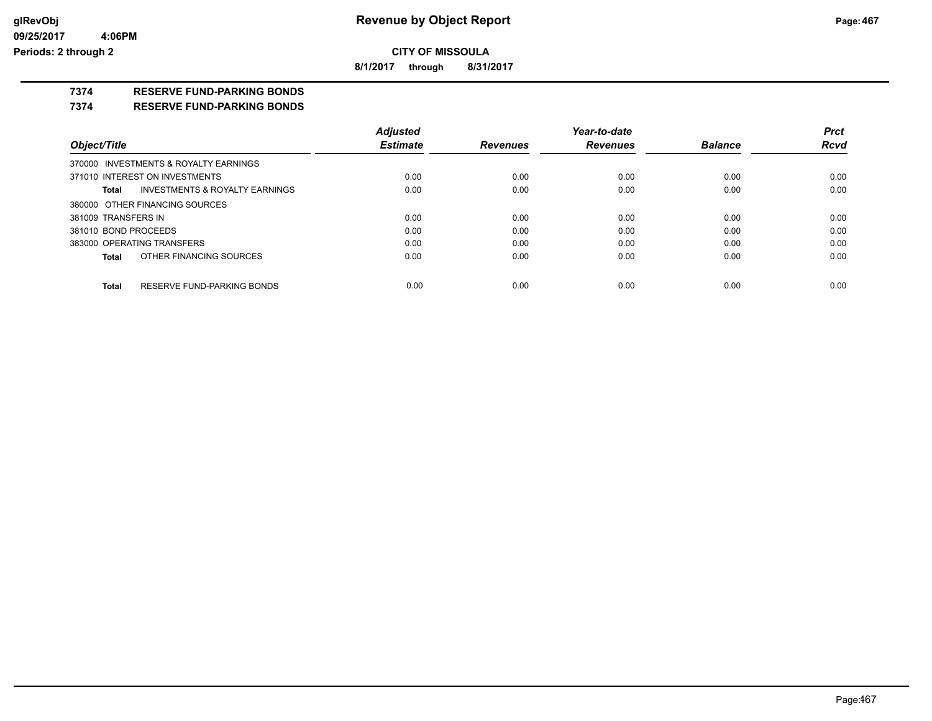**8/1/2017 through 8/31/2017**

#### **7374 RESERVE FUND-PARKING BONDS**

#### **7374 RESERVE FUND-PARKING BONDS**

|                                       |                                           | <b>Adjusted</b> |                 | Year-to-date    |                | <b>Prct</b> |
|---------------------------------------|-------------------------------------------|-----------------|-----------------|-----------------|----------------|-------------|
| Object/Title                          |                                           | <b>Estimate</b> | <b>Revenues</b> | <b>Revenues</b> | <b>Balance</b> | <b>Rcvd</b> |
| 370000 INVESTMENTS & ROYALTY EARNINGS |                                           |                 |                 |                 |                |             |
| 371010 INTEREST ON INVESTMENTS        |                                           | 0.00            | 0.00            | 0.00            | 0.00           | 0.00        |
| Total                                 | <b>INVESTMENTS &amp; ROYALTY EARNINGS</b> | 0.00            | 0.00            | 0.00            | 0.00           | 0.00        |
| 380000 OTHER FINANCING SOURCES        |                                           |                 |                 |                 |                |             |
| 381009 TRANSFERS IN                   |                                           | 0.00            | 0.00            | 0.00            | 0.00           | 0.00        |
| 381010 BOND PROCEEDS                  |                                           | 0.00            | 0.00            | 0.00            | 0.00           | 0.00        |
| 383000 OPERATING TRANSFERS            |                                           | 0.00            | 0.00            | 0.00            | 0.00           | 0.00        |
| Total                                 | OTHER FINANCING SOURCES                   | 0.00            | 0.00            | 0.00            | 0.00           | 0.00        |
|                                       |                                           |                 |                 |                 |                |             |
| Total                                 | RESERVE FUND-PARKING BONDS                | 0.00            | 0.00            | 0.00            | 0.00           | 0.00        |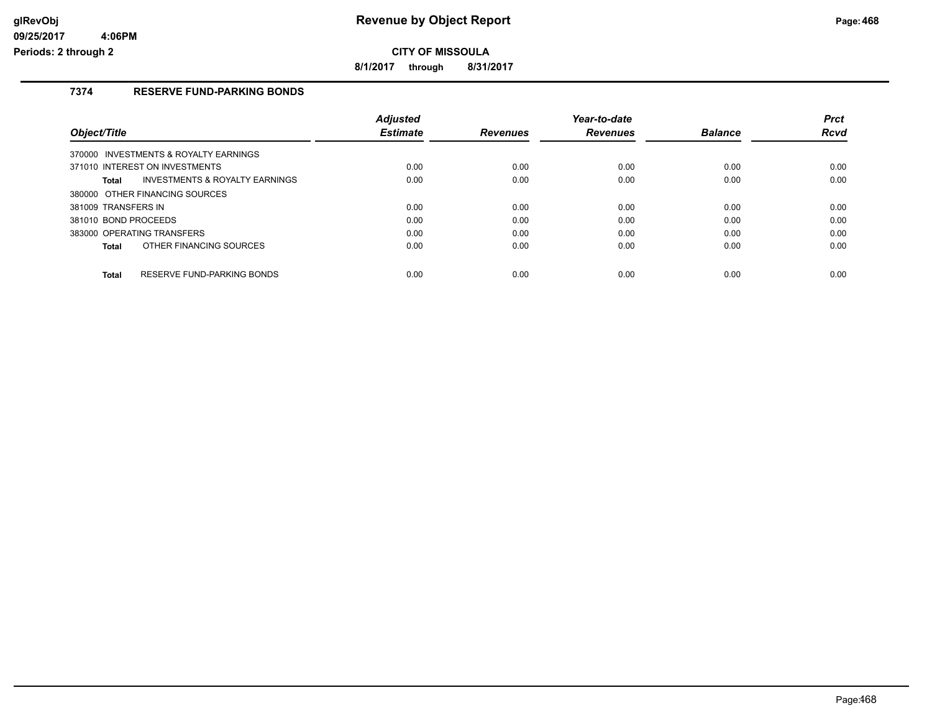**8/1/2017 through 8/31/2017**

#### **7374 RESERVE FUND-PARKING BONDS**

|                                                    | <b>Adiusted</b> |                 | Year-to-date    |                | <b>Prct</b> |
|----------------------------------------------------|-----------------|-----------------|-----------------|----------------|-------------|
| Object/Title                                       | <b>Estimate</b> | <b>Revenues</b> | <b>Revenues</b> | <b>Balance</b> | <b>Rcvd</b> |
| 370000 INVESTMENTS & ROYALTY EARNINGS              |                 |                 |                 |                |             |
| 371010 INTEREST ON INVESTMENTS                     | 0.00            | 0.00            | 0.00            | 0.00           | 0.00        |
| <b>INVESTMENTS &amp; ROYALTY EARNINGS</b><br>Total | 0.00            | 0.00            | 0.00            | 0.00           | 0.00        |
| 380000 OTHER FINANCING SOURCES                     |                 |                 |                 |                |             |
| 381009 TRANSFERS IN                                | 0.00            | 0.00            | 0.00            | 0.00           | 0.00        |
| 381010 BOND PROCEEDS                               | 0.00            | 0.00            | 0.00            | 0.00           | 0.00        |
| 383000 OPERATING TRANSFERS                         | 0.00            | 0.00            | 0.00            | 0.00           | 0.00        |
| Total<br>OTHER FINANCING SOURCES                   | 0.00            | 0.00            | 0.00            | 0.00           | 0.00        |
| RESERVE FUND-PARKING BONDS<br>Total                | 0.00            | 0.00            | 0.00            | 0.00           | 0.00        |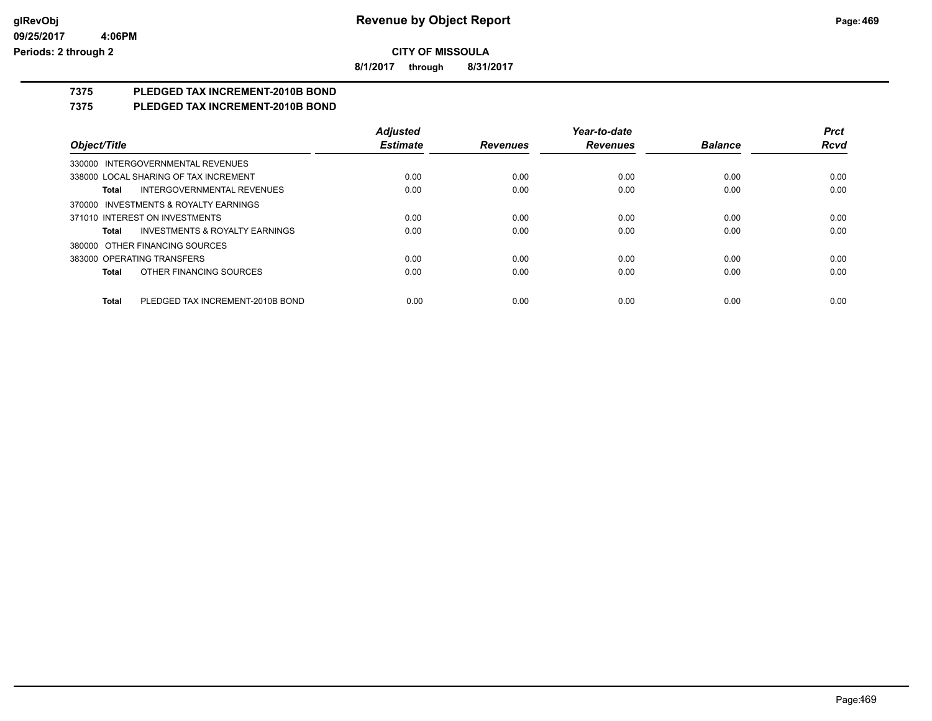**8/1/2017 through 8/31/2017**

# **7375 PLEDGED TAX INCREMENT-2010B BOND**

# **7375 PLEDGED TAX INCREMENT-2010B BOND**

|                                                    | <b>Adjusted</b> |                 | Year-to-date    |                | <b>Prct</b> |
|----------------------------------------------------|-----------------|-----------------|-----------------|----------------|-------------|
| Object/Title                                       | <b>Estimate</b> | <b>Revenues</b> | <b>Revenues</b> | <b>Balance</b> | <b>Rcvd</b> |
| 330000 INTERGOVERNMENTAL REVENUES                  |                 |                 |                 |                |             |
| 338000 LOCAL SHARING OF TAX INCREMENT              | 0.00            | 0.00            | 0.00            | 0.00           | 0.00        |
| <b>INTERGOVERNMENTAL REVENUES</b><br>Total         | 0.00            | 0.00            | 0.00            | 0.00           | 0.00        |
| 370000 INVESTMENTS & ROYALTY EARNINGS              |                 |                 |                 |                |             |
| 371010 INTEREST ON INVESTMENTS                     | 0.00            | 0.00            | 0.00            | 0.00           | 0.00        |
| <b>INVESTMENTS &amp; ROYALTY EARNINGS</b><br>Total | 0.00            | 0.00            | 0.00            | 0.00           | 0.00        |
| 380000 OTHER FINANCING SOURCES                     |                 |                 |                 |                |             |
| 383000 OPERATING TRANSFERS                         | 0.00            | 0.00            | 0.00            | 0.00           | 0.00        |
| OTHER FINANCING SOURCES<br>Total                   | 0.00            | 0.00            | 0.00            | 0.00           | 0.00        |
| PLEDGED TAX INCREMENT-2010B BOND<br>Total          | 0.00            | 0.00            | 0.00            | 0.00           | 0.00        |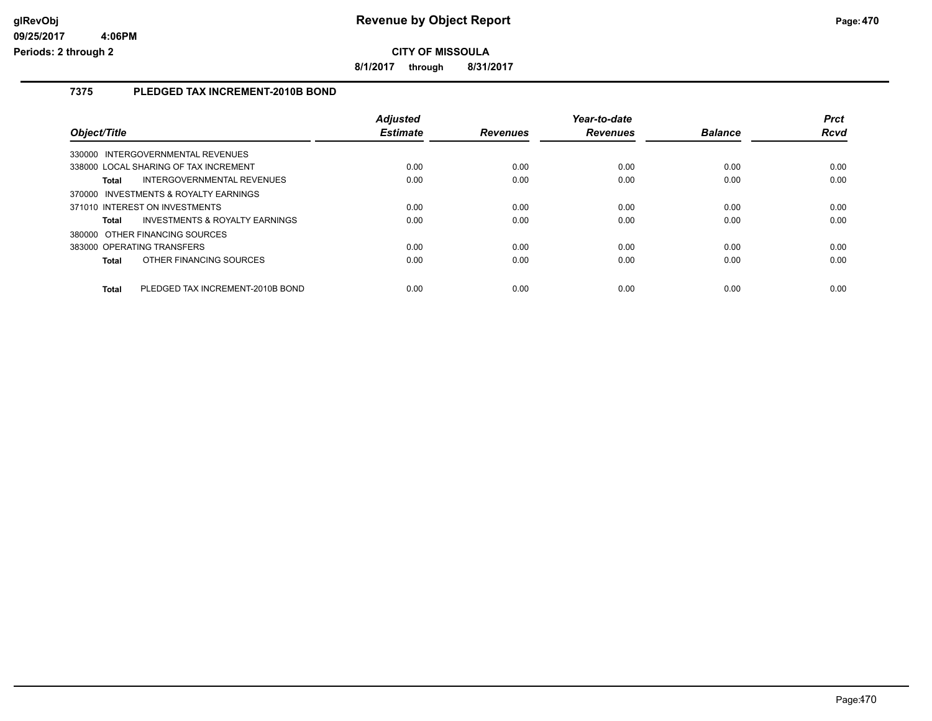**8/1/2017 through 8/31/2017**

#### **7375 PLEDGED TAX INCREMENT-2010B BOND**

| Object/Title                                     | <b>Adjusted</b><br><b>Estimate</b> | <b>Revenues</b> | Year-to-date<br><b>Revenues</b> | <b>Balance</b> | <b>Prct</b><br>Rcvd |
|--------------------------------------------------|------------------------------------|-----------------|---------------------------------|----------------|---------------------|
| 330000 INTERGOVERNMENTAL REVENUES                |                                    |                 |                                 |                |                     |
| 338000 LOCAL SHARING OF TAX INCREMENT            | 0.00                               | 0.00            | 0.00                            | 0.00           | 0.00                |
| INTERGOVERNMENTAL REVENUES<br>Total              | 0.00                               | 0.00            | 0.00                            | 0.00           | 0.00                |
| 370000 INVESTMENTS & ROYALTY EARNINGS            |                                    |                 |                                 |                |                     |
| 371010 INTEREST ON INVESTMENTS                   | 0.00                               | 0.00            | 0.00                            | 0.00           | 0.00                |
| INVESTMENTS & ROYALTY EARNINGS<br>Total          | 0.00                               | 0.00            | 0.00                            | 0.00           | 0.00                |
| 380000 OTHER FINANCING SOURCES                   |                                    |                 |                                 |                |                     |
| 383000 OPERATING TRANSFERS                       | 0.00                               | 0.00            | 0.00                            | 0.00           | 0.00                |
| OTHER FINANCING SOURCES<br>Total                 | 0.00                               | 0.00            | 0.00                            | 0.00           | 0.00                |
| PLEDGED TAX INCREMENT-2010B BOND<br><b>Total</b> | 0.00                               | 0.00            | 0.00                            | 0.00           | 0.00                |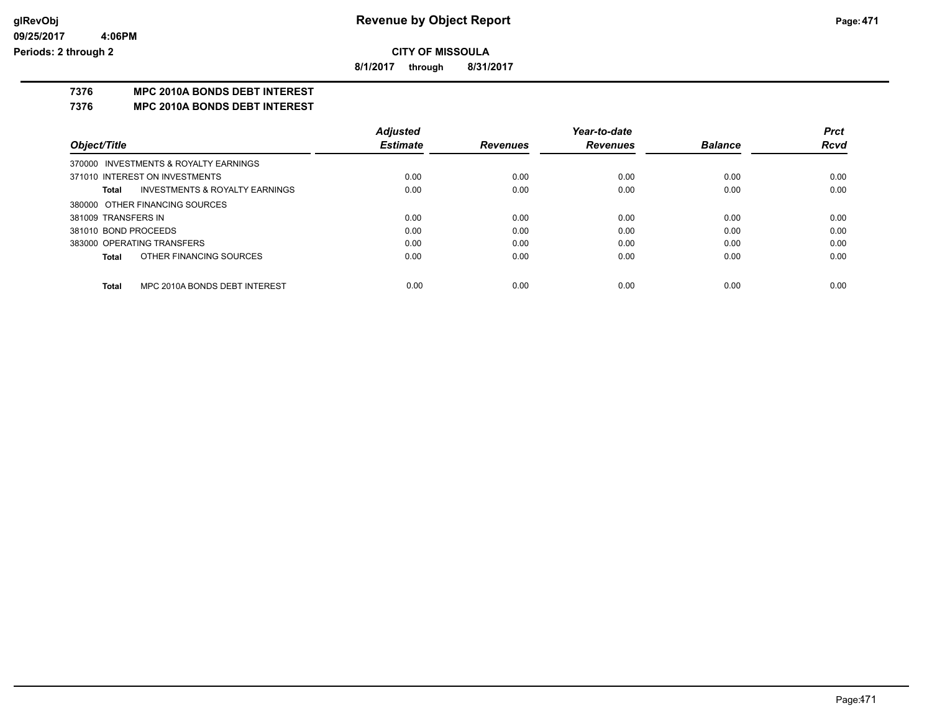**8/1/2017 through 8/31/2017**

# **7376 MPC 2010A BONDS DEBT INTEREST**

#### **7376 MPC 2010A BONDS DEBT INTEREST**

|                      |                                       | <b>Adjusted</b> |                 | Year-to-date    |                | <b>Prct</b> |
|----------------------|---------------------------------------|-----------------|-----------------|-----------------|----------------|-------------|
| Object/Title         |                                       | <b>Estimate</b> | <b>Revenues</b> | <b>Revenues</b> | <b>Balance</b> | <b>Rcvd</b> |
|                      | 370000 INVESTMENTS & ROYALTY EARNINGS |                 |                 |                 |                |             |
|                      | 371010 INTEREST ON INVESTMENTS        | 0.00            | 0.00            | 0.00            | 0.00           | 0.00        |
| Total                | INVESTMENTS & ROYALTY EARNINGS        | 0.00            | 0.00            | 0.00            | 0.00           | 0.00        |
|                      | 380000 OTHER FINANCING SOURCES        |                 |                 |                 |                |             |
| 381009 TRANSFERS IN  |                                       | 0.00            | 0.00            | 0.00            | 0.00           | 0.00        |
| 381010 BOND PROCEEDS |                                       | 0.00            | 0.00            | 0.00            | 0.00           | 0.00        |
|                      | 383000 OPERATING TRANSFERS            | 0.00            | 0.00            | 0.00            | 0.00           | 0.00        |
| Total                | OTHER FINANCING SOURCES               | 0.00            | 0.00            | 0.00            | 0.00           | 0.00        |
| Total                | MPC 2010A BONDS DEBT INTEREST         | 0.00            | 0.00            | 0.00            | 0.00           | 0.00        |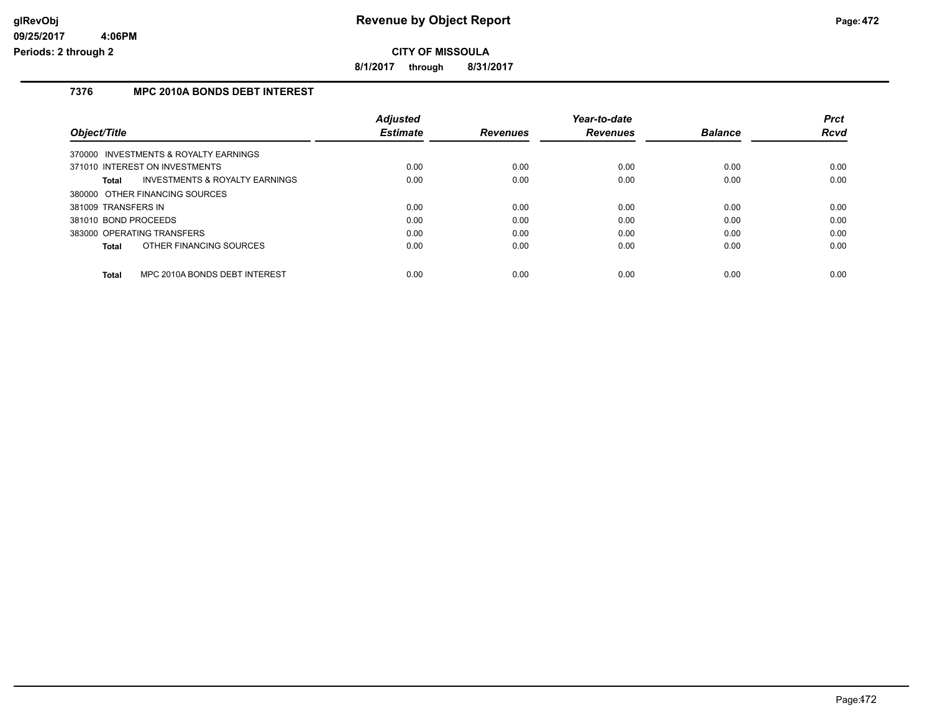**8/1/2017 through 8/31/2017**

## **7376 MPC 2010A BONDS DEBT INTEREST**

|                                                | <b>Adjusted</b> |                 | Year-to-date    |                | <b>Prct</b> |
|------------------------------------------------|-----------------|-----------------|-----------------|----------------|-------------|
| Object/Title                                   | <b>Estimate</b> | <b>Revenues</b> | <b>Revenues</b> | <b>Balance</b> | <b>Rcvd</b> |
| 370000 INVESTMENTS & ROYALTY EARNINGS          |                 |                 |                 |                |             |
| 371010 INTEREST ON INVESTMENTS                 | 0.00            | 0.00            | 0.00            | 0.00           | 0.00        |
| INVESTMENTS & ROYALTY EARNINGS<br><b>Total</b> | 0.00            | 0.00            | 0.00            | 0.00           | 0.00        |
| 380000 OTHER FINANCING SOURCES                 |                 |                 |                 |                |             |
| 381009 TRANSFERS IN                            | 0.00            | 0.00            | 0.00            | 0.00           | 0.00        |
| 381010 BOND PROCEEDS                           | 0.00            | 0.00            | 0.00            | 0.00           | 0.00        |
| 383000 OPERATING TRANSFERS                     | 0.00            | 0.00            | 0.00            | 0.00           | 0.00        |
| OTHER FINANCING SOURCES<br><b>Total</b>        | 0.00            | 0.00            | 0.00            | 0.00           | 0.00        |
| MPC 2010A BONDS DEBT INTEREST<br><b>Total</b>  | 0.00            | 0.00            | 0.00            | 0.00           | 0.00        |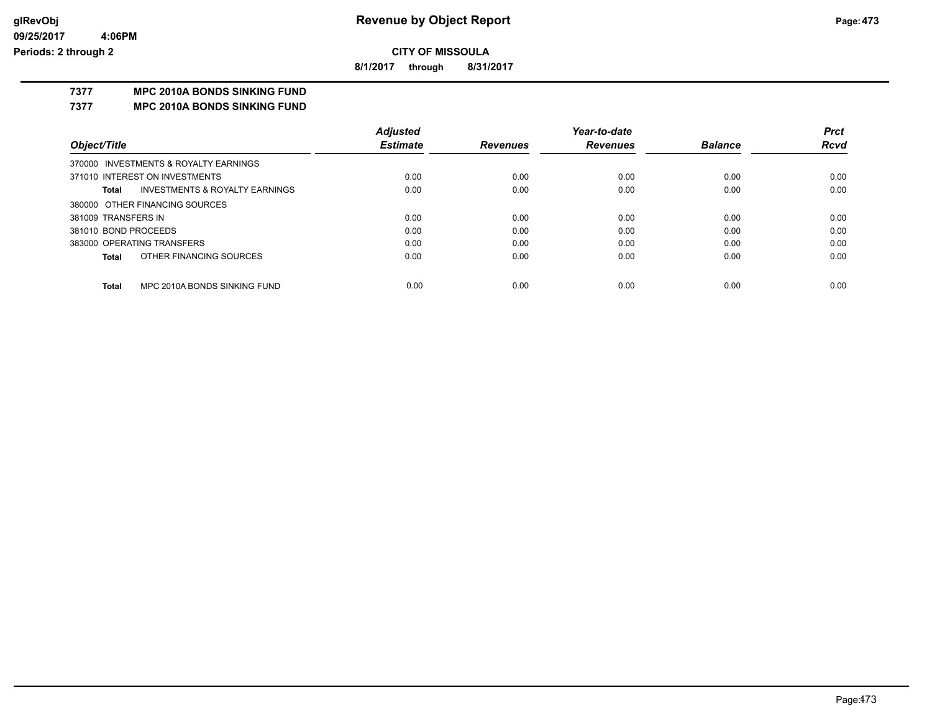**8/1/2017 through 8/31/2017**

# **7377 MPC 2010A BONDS SINKING FUND**

**7377 MPC 2010A BONDS SINKING FUND**

|                                                           | <b>Adjusted</b> |                 | Year-to-date    |                | <b>Prct</b> |
|-----------------------------------------------------------|-----------------|-----------------|-----------------|----------------|-------------|
| Object/Title                                              | <b>Estimate</b> | <b>Revenues</b> | <b>Revenues</b> | <b>Balance</b> | <b>Rcvd</b> |
| 370000 INVESTMENTS & ROYALTY EARNINGS                     |                 |                 |                 |                |             |
| 371010 INTEREST ON INVESTMENTS                            | 0.00            | 0.00            | 0.00            | 0.00           | 0.00        |
| <b>INVESTMENTS &amp; ROYALTY EARNINGS</b><br><b>Total</b> | 0.00            | 0.00            | 0.00            | 0.00           | 0.00        |
| 380000 OTHER FINANCING SOURCES                            |                 |                 |                 |                |             |
| 381009 TRANSFERS IN                                       | 0.00            | 0.00            | 0.00            | 0.00           | 0.00        |
| 381010 BOND PROCEEDS                                      | 0.00            | 0.00            | 0.00            | 0.00           | 0.00        |
| 383000 OPERATING TRANSFERS                                | 0.00            | 0.00            | 0.00            | 0.00           | 0.00        |
| OTHER FINANCING SOURCES<br><b>Total</b>                   | 0.00            | 0.00            | 0.00            | 0.00           | 0.00        |
| MPC 2010A BONDS SINKING FUND<br><b>Total</b>              | 0.00            | 0.00            | 0.00            | 0.00           | 0.00        |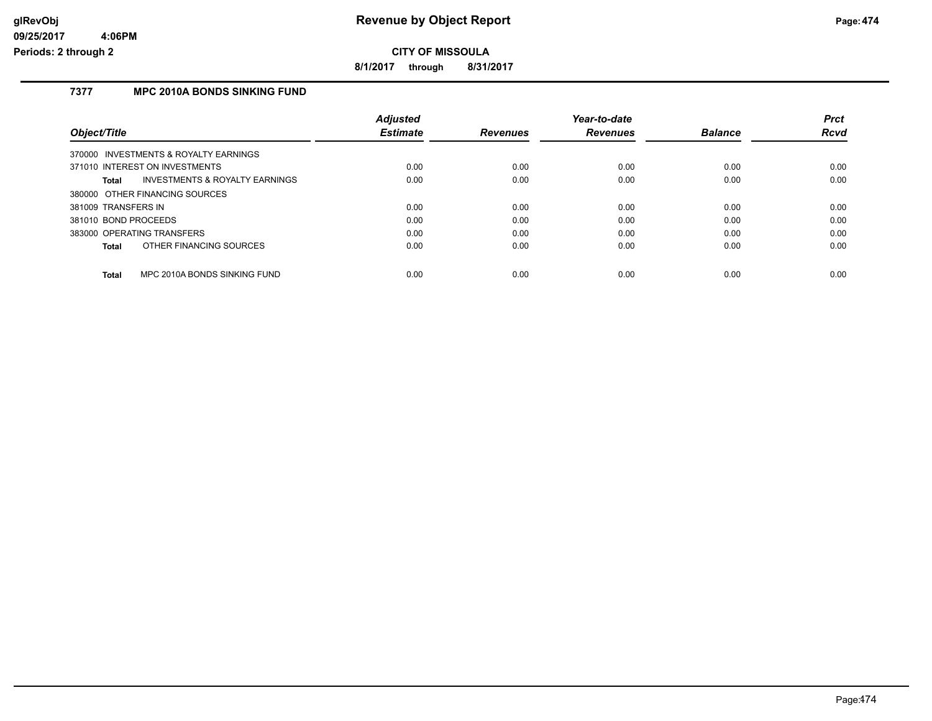**8/1/2017 through 8/31/2017**

## **7377 MPC 2010A BONDS SINKING FUND**

|                                                    | <b>Adjusted</b> |                 | Year-to-date    |                | <b>Prct</b> |
|----------------------------------------------------|-----------------|-----------------|-----------------|----------------|-------------|
| Object/Title                                       | <b>Estimate</b> | <b>Revenues</b> | <b>Revenues</b> | <b>Balance</b> | <b>Rcvd</b> |
| 370000 INVESTMENTS & ROYALTY EARNINGS              |                 |                 |                 |                |             |
| 371010 INTEREST ON INVESTMENTS                     | 0.00            | 0.00            | 0.00            | 0.00           | 0.00        |
| <b>INVESTMENTS &amp; ROYALTY EARNINGS</b><br>Total | 0.00            | 0.00            | 0.00            | 0.00           | 0.00        |
| 380000 OTHER FINANCING SOURCES                     |                 |                 |                 |                |             |
| 381009 TRANSFERS IN                                | 0.00            | 0.00            | 0.00            | 0.00           | 0.00        |
| 381010 BOND PROCEEDS                               | 0.00            | 0.00            | 0.00            | 0.00           | 0.00        |
| 383000 OPERATING TRANSFERS                         | 0.00            | 0.00            | 0.00            | 0.00           | 0.00        |
| OTHER FINANCING SOURCES<br><b>Total</b>            | 0.00            | 0.00            | 0.00            | 0.00           | 0.00        |
| MPC 2010A BONDS SINKING FUND<br><b>Total</b>       | 0.00            | 0.00            | 0.00            | 0.00           | 0.00        |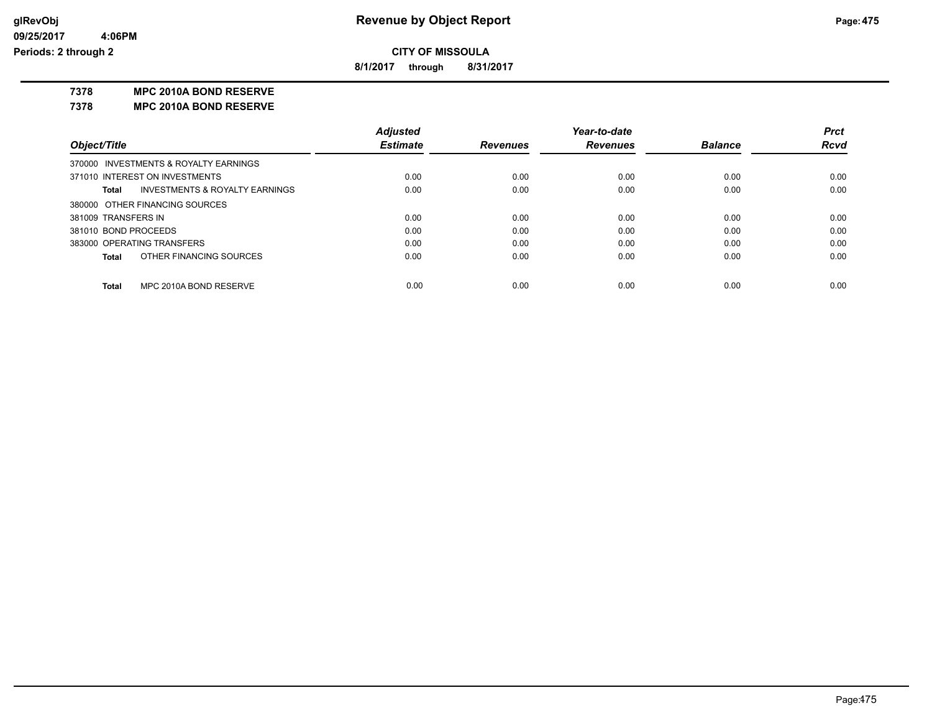**8/1/2017 through 8/31/2017**

**7378 MPC 2010A BOND RESERVE**

**7378 MPC 2010A BOND RESERVE**

|                      |                                           | <b>Adjusted</b> |                 | Year-to-date    |                | <b>Prct</b> |
|----------------------|-------------------------------------------|-----------------|-----------------|-----------------|----------------|-------------|
| Object/Title         |                                           | <b>Estimate</b> | <b>Revenues</b> | <b>Revenues</b> | <b>Balance</b> | Rcvd        |
|                      | 370000 INVESTMENTS & ROYALTY EARNINGS     |                 |                 |                 |                |             |
|                      | 371010 INTEREST ON INVESTMENTS            | 0.00            | 0.00            | 0.00            | 0.00           | 0.00        |
| Total                | <b>INVESTMENTS &amp; ROYALTY EARNINGS</b> | 0.00            | 0.00            | 0.00            | 0.00           | 0.00        |
|                      | 380000 OTHER FINANCING SOURCES            |                 |                 |                 |                |             |
| 381009 TRANSFERS IN  |                                           | 0.00            | 0.00            | 0.00            | 0.00           | 0.00        |
| 381010 BOND PROCEEDS |                                           | 0.00            | 0.00            | 0.00            | 0.00           | 0.00        |
|                      | 383000 OPERATING TRANSFERS                | 0.00            | 0.00            | 0.00            | 0.00           | 0.00        |
| Total                | OTHER FINANCING SOURCES                   | 0.00            | 0.00            | 0.00            | 0.00           | 0.00        |
| <b>Total</b>         | MPC 2010A BOND RESERVE                    | 0.00            | 0.00            | 0.00            | 0.00           | 0.00        |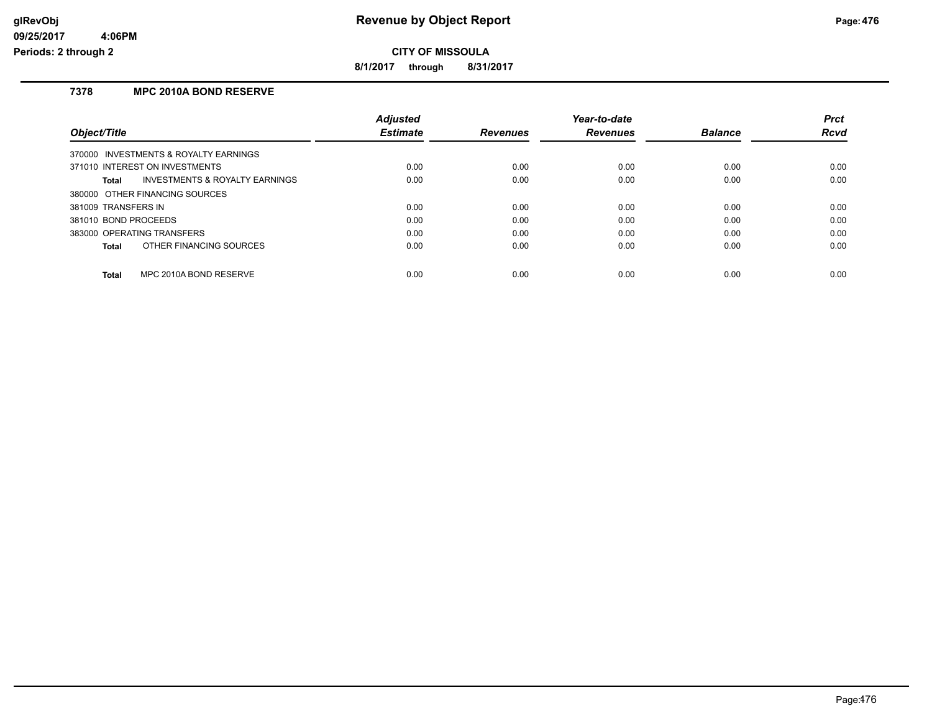**8/1/2017 through 8/31/2017**

#### **7378 MPC 2010A BOND RESERVE**

|                                        |                                | <b>Adjusted</b> |                 | Year-to-date    |                | <b>Prct</b> |
|----------------------------------------|--------------------------------|-----------------|-----------------|-----------------|----------------|-------------|
| Object/Title                           |                                | <b>Estimate</b> | <b>Revenues</b> | <b>Revenues</b> | <b>Balance</b> | <b>Rcvd</b> |
| 370000 INVESTMENTS & ROYALTY EARNINGS  |                                |                 |                 |                 |                |             |
| 371010 INTEREST ON INVESTMENTS         |                                | 0.00            | 0.00            | 0.00            | 0.00           | 0.00        |
| Total                                  | INVESTMENTS & ROYALTY EARNINGS | 0.00            | 0.00            | 0.00            | 0.00           | 0.00        |
| 380000 OTHER FINANCING SOURCES         |                                |                 |                 |                 |                |             |
| 381009 TRANSFERS IN                    |                                | 0.00            | 0.00            | 0.00            | 0.00           | 0.00        |
| 381010 BOND PROCEEDS                   |                                | 0.00            | 0.00            | 0.00            | 0.00           | 0.00        |
| 383000 OPERATING TRANSFERS             |                                | 0.00            | 0.00            | 0.00            | 0.00           | 0.00        |
| OTHER FINANCING SOURCES<br>Total       |                                | 0.00            | 0.00            | 0.00            | 0.00           | 0.00        |
| MPC 2010A BOND RESERVE<br><b>Total</b> |                                | 0.00            | 0.00            | 0.00            | 0.00           | 0.00        |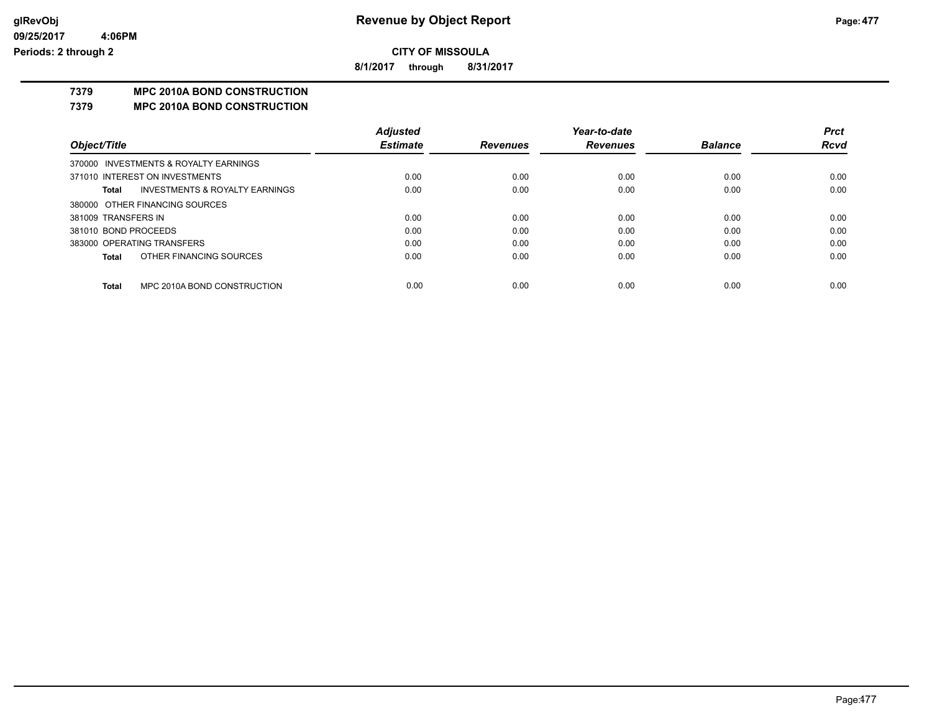**8/1/2017 through 8/31/2017**

# **7379 MPC 2010A BOND CONSTRUCTION**

#### **7379 MPC 2010A BOND CONSTRUCTION**

|                      |                                           | <b>Adjusted</b> |                 | Year-to-date    |                | <b>Prct</b> |
|----------------------|-------------------------------------------|-----------------|-----------------|-----------------|----------------|-------------|
| Object/Title         |                                           | <b>Estimate</b> | <b>Revenues</b> | <b>Revenues</b> | <b>Balance</b> | <b>Rcvd</b> |
|                      | 370000 INVESTMENTS & ROYALTY EARNINGS     |                 |                 |                 |                |             |
|                      | 371010 INTEREST ON INVESTMENTS            | 0.00            | 0.00            | 0.00            | 0.00           | 0.00        |
| Total                | <b>INVESTMENTS &amp; ROYALTY EARNINGS</b> | 0.00            | 0.00            | 0.00            | 0.00           | 0.00        |
|                      | 380000 OTHER FINANCING SOURCES            |                 |                 |                 |                |             |
| 381009 TRANSFERS IN  |                                           | 0.00            | 0.00            | 0.00            | 0.00           | 0.00        |
| 381010 BOND PROCEEDS |                                           | 0.00            | 0.00            | 0.00            | 0.00           | 0.00        |
|                      | 383000 OPERATING TRANSFERS                | 0.00            | 0.00            | 0.00            | 0.00           | 0.00        |
| Total                | OTHER FINANCING SOURCES                   | 0.00            | 0.00            | 0.00            | 0.00           | 0.00        |
|                      |                                           |                 |                 |                 |                |             |
| Total                | MPC 2010A BOND CONSTRUCTION               | 0.00            | 0.00            | 0.00            | 0.00           | 0.00        |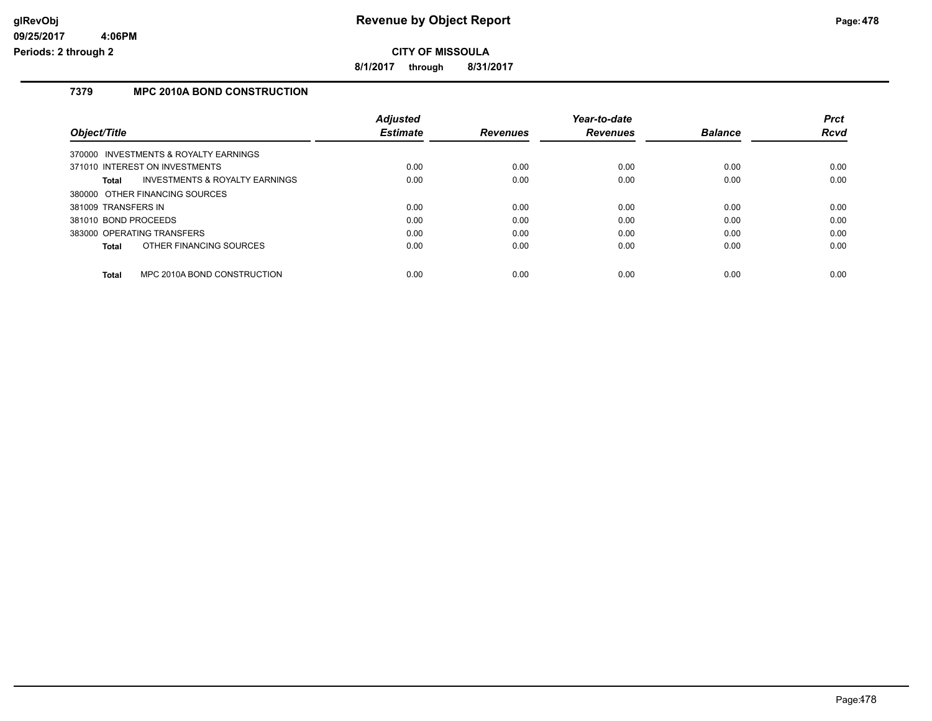**8/1/2017 through 8/31/2017**

## **7379 MPC 2010A BOND CONSTRUCTION**

|                      |                                           | <b>Adjusted</b> |                 | Year-to-date    |                | <b>Prct</b> |
|----------------------|-------------------------------------------|-----------------|-----------------|-----------------|----------------|-------------|
| Object/Title         |                                           | <b>Estimate</b> | <b>Revenues</b> | <b>Revenues</b> | <b>Balance</b> | <b>Rcvd</b> |
|                      | 370000 INVESTMENTS & ROYALTY EARNINGS     |                 |                 |                 |                |             |
|                      | 371010 INTEREST ON INVESTMENTS            | 0.00            | 0.00            | 0.00            | 0.00           | 0.00        |
| Total                | <b>INVESTMENTS &amp; ROYALTY EARNINGS</b> | 0.00            | 0.00            | 0.00            | 0.00           | 0.00        |
|                      | 380000 OTHER FINANCING SOURCES            |                 |                 |                 |                |             |
| 381009 TRANSFERS IN  |                                           | 0.00            | 0.00            | 0.00            | 0.00           | 0.00        |
| 381010 BOND PROCEEDS |                                           | 0.00            | 0.00            | 0.00            | 0.00           | 0.00        |
|                      | 383000 OPERATING TRANSFERS                | 0.00            | 0.00            | 0.00            | 0.00           | 0.00        |
| <b>Total</b>         | OTHER FINANCING SOURCES                   | 0.00            | 0.00            | 0.00            | 0.00           | 0.00        |
| <b>Total</b>         | MPC 2010A BOND CONSTRUCTION               | 0.00            | 0.00            | 0.00            | 0.00           | 0.00        |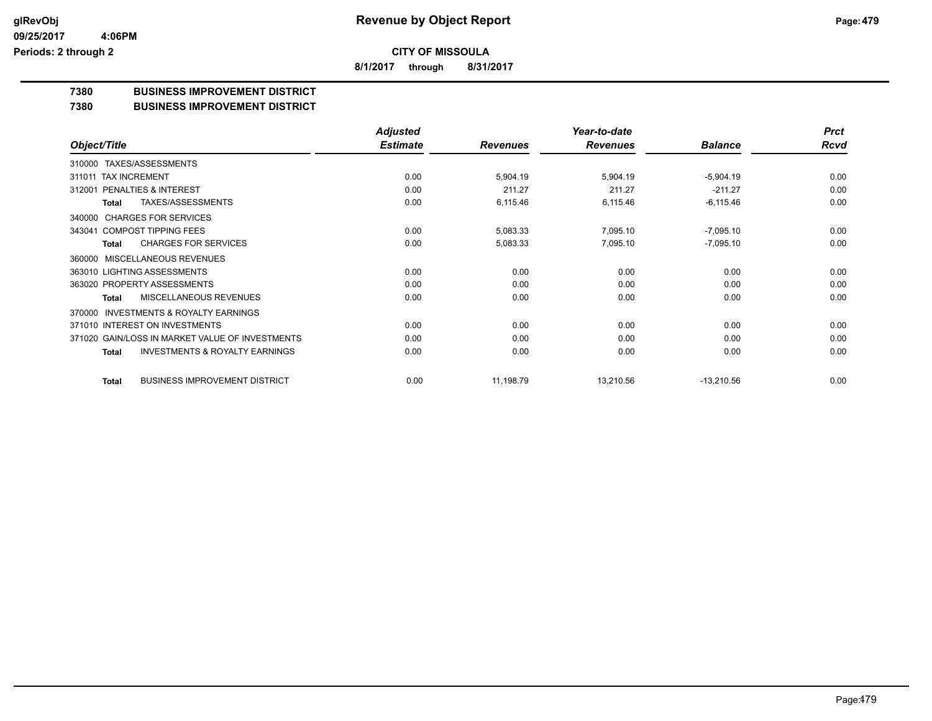**8/1/2017 through 8/31/2017**

# **7380 BUSINESS IMPROVEMENT DISTRICT**

#### **7380 BUSINESS IMPROVEMENT DISTRICT**

|                                                           | <b>Adjusted</b> |                 | Year-to-date    |                | <b>Prct</b> |
|-----------------------------------------------------------|-----------------|-----------------|-----------------|----------------|-------------|
| Object/Title                                              | <b>Estimate</b> | <b>Revenues</b> | <b>Revenues</b> | <b>Balance</b> | Rcvd        |
| 310000 TAXES/ASSESSMENTS                                  |                 |                 |                 |                |             |
| <b>TAX INCREMENT</b><br>311011                            | 0.00            | 5,904.19        | 5,904.19        | $-5,904.19$    | 0.00        |
| <b>PENALTIES &amp; INTEREST</b><br>312001                 | 0.00            | 211.27          | 211.27          | $-211.27$      | 0.00        |
| TAXES/ASSESSMENTS<br><b>Total</b>                         | 0.00            | 6,115.46        | 6,115.46        | $-6,115.46$    | 0.00        |
| <b>CHARGES FOR SERVICES</b><br>340000                     |                 |                 |                 |                |             |
| 343041 COMPOST TIPPING FEES                               | 0.00            | 5,083.33        | 7,095.10        | $-7,095.10$    | 0.00        |
| <b>CHARGES FOR SERVICES</b><br><b>Total</b>               | 0.00            | 5,083.33        | 7,095.10        | $-7,095.10$    | 0.00        |
| MISCELLANEOUS REVENUES<br>360000                          |                 |                 |                 |                |             |
| 363010 LIGHTING ASSESSMENTS                               | 0.00            | 0.00            | 0.00            | 0.00           | 0.00        |
| 363020 PROPERTY ASSESSMENTS                               | 0.00            | 0.00            | 0.00            | 0.00           | 0.00        |
| <b>MISCELLANEOUS REVENUES</b><br><b>Total</b>             | 0.00            | 0.00            | 0.00            | 0.00           | 0.00        |
| <b>INVESTMENTS &amp; ROYALTY EARNINGS</b><br>370000       |                 |                 |                 |                |             |
| 371010 INTEREST ON INVESTMENTS                            | 0.00            | 0.00            | 0.00            | 0.00           | 0.00        |
| 371020 GAIN/LOSS IN MARKET VALUE OF INVESTMENTS           | 0.00            | 0.00            | 0.00            | 0.00           | 0.00        |
| <b>INVESTMENTS &amp; ROYALTY EARNINGS</b><br><b>Total</b> | 0.00            | 0.00            | 0.00            | 0.00           | 0.00        |
| <b>BUSINESS IMPROVEMENT DISTRICT</b><br><b>Total</b>      | 0.00            | 11,198.79       | 13,210.56       | $-13,210.56$   | 0.00        |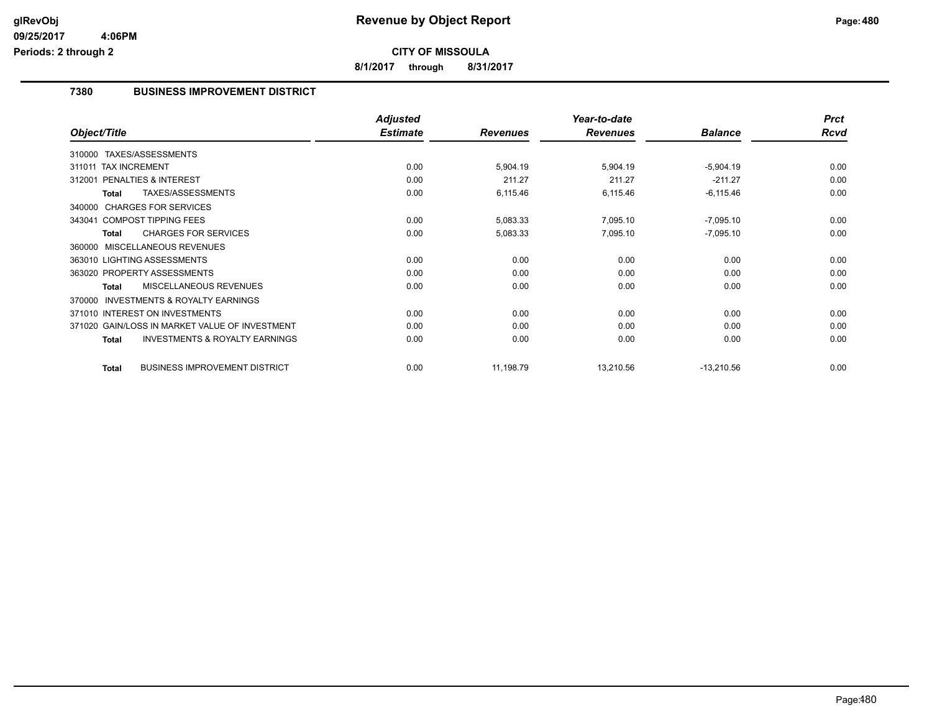**8/1/2017 through 8/31/2017**

#### **7380 BUSINESS IMPROVEMENT DISTRICT**

|                                                           | <b>Adjusted</b> |                 | Year-to-date    |                | <b>Prct</b> |
|-----------------------------------------------------------|-----------------|-----------------|-----------------|----------------|-------------|
| Object/Title                                              | <b>Estimate</b> | <b>Revenues</b> | <b>Revenues</b> | <b>Balance</b> | <b>Rcvd</b> |
| 310000 TAXES/ASSESSMENTS                                  |                 |                 |                 |                |             |
| 311011 TAX INCREMENT                                      | 0.00            | 5,904.19        | 5,904.19        | $-5,904.19$    | 0.00        |
| 312001 PENALTIES & INTEREST                               | 0.00            | 211.27          | 211.27          | $-211.27$      | 0.00        |
| TAXES/ASSESSMENTS<br>Total                                | 0.00            | 6,115.46        | 6,115.46        | $-6,115.46$    | 0.00        |
| 340000 CHARGES FOR SERVICES                               |                 |                 |                 |                |             |
| 343041 COMPOST TIPPING FEES                               | 0.00            | 5,083.33        | 7,095.10        | $-7,095.10$    | 0.00        |
| <b>CHARGES FOR SERVICES</b><br><b>Total</b>               | 0.00            | 5,083.33        | 7,095.10        | $-7,095.10$    | 0.00        |
| MISCELLANEOUS REVENUES<br>360000                          |                 |                 |                 |                |             |
| 363010 LIGHTING ASSESSMENTS                               | 0.00            | 0.00            | 0.00            | 0.00           | 0.00        |
| 363020 PROPERTY ASSESSMENTS                               | 0.00            | 0.00            | 0.00            | 0.00           | 0.00        |
| <b>MISCELLANEOUS REVENUES</b><br>Total                    | 0.00            | 0.00            | 0.00            | 0.00           | 0.00        |
| <b>INVESTMENTS &amp; ROYALTY EARNINGS</b><br>370000       |                 |                 |                 |                |             |
| 371010 INTEREST ON INVESTMENTS                            | 0.00            | 0.00            | 0.00            | 0.00           | 0.00        |
| 371020 GAIN/LOSS IN MARKET VALUE OF INVESTMENT            | 0.00            | 0.00            | 0.00            | 0.00           | 0.00        |
| <b>INVESTMENTS &amp; ROYALTY EARNINGS</b><br><b>Total</b> | 0.00            | 0.00            | 0.00            | 0.00           | 0.00        |
| <b>BUSINESS IMPROVEMENT DISTRICT</b><br><b>Total</b>      | 0.00            | 11,198.79       | 13,210.56       | $-13,210.56$   | 0.00        |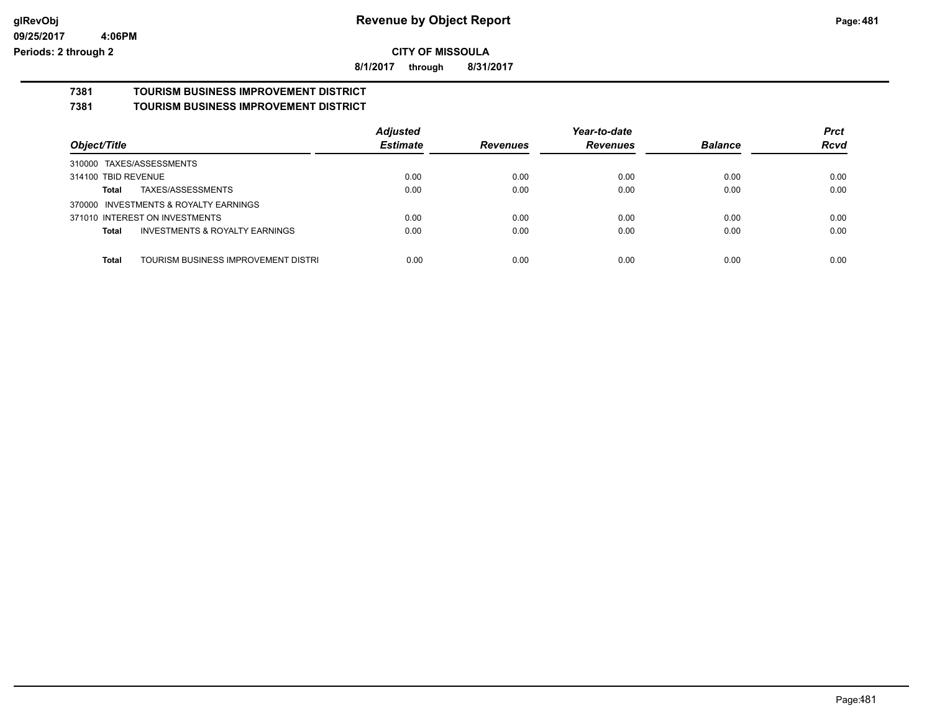**Periods: 2 through 2**

**CITY OF MISSOULA**

**8/1/2017 through 8/31/2017**

# **7381 TOURISM BUSINESS IMPROVEMENT DISTRICT**

# **7381 TOURISM BUSINESS IMPROVEMENT DISTRICT**

|                                                     | <b>Adjusted</b> |                 | Year-to-date    |                | <b>Prct</b> |
|-----------------------------------------------------|-----------------|-----------------|-----------------|----------------|-------------|
| Object/Title                                        | <b>Estimate</b> | <b>Revenues</b> | <b>Revenues</b> | <b>Balance</b> | <b>Rcvd</b> |
| 310000 TAXES/ASSESSMENTS                            |                 |                 |                 |                |             |
| 314100 TBID REVENUE                                 | 0.00            | 0.00            | 0.00            | 0.00           | 0.00        |
| TAXES/ASSESSMENTS<br>Total                          | 0.00            | 0.00            | 0.00            | 0.00           | 0.00        |
| 370000 INVESTMENTS & ROYALTY EARNINGS               |                 |                 |                 |                |             |
| 371010 INTEREST ON INVESTMENTS                      | 0.00            | 0.00            | 0.00            | 0.00           | 0.00        |
| <b>INVESTMENTS &amp; ROYALTY EARNINGS</b><br>Total  | 0.00            | 0.00            | 0.00            | 0.00           | 0.00        |
|                                                     |                 |                 |                 |                |             |
| TOURISM BUSINESS IMPROVEMENT DISTRI<br><b>Total</b> | 0.00            | 0.00            | 0.00            | 0.00           | 0.00        |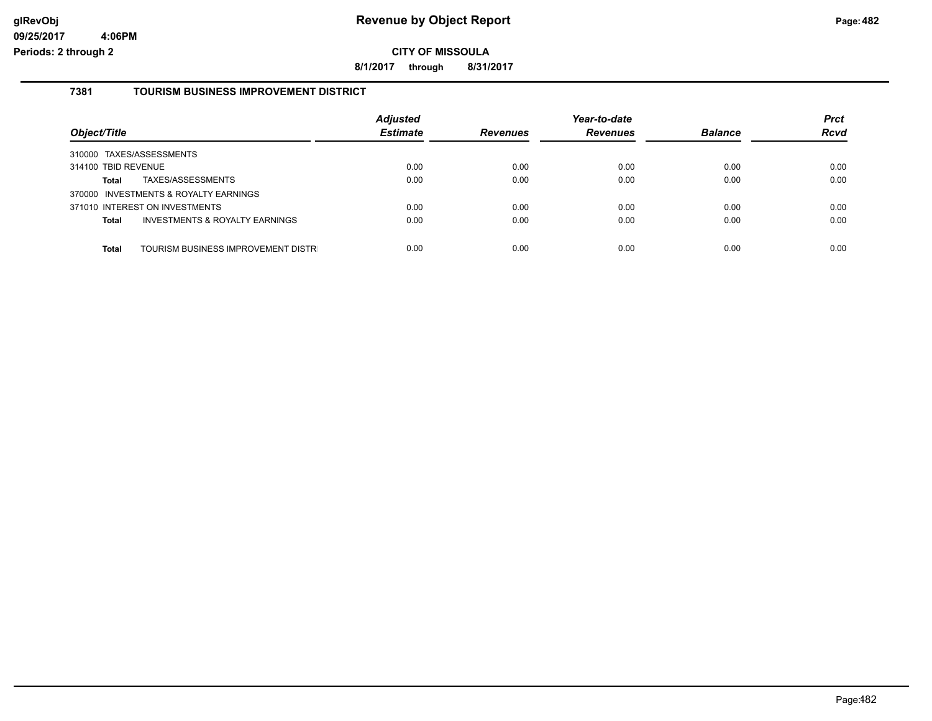**8/1/2017 through 8/31/2017**

#### **7381 TOURISM BUSINESS IMPROVEMENT DISTRICT**

| Object/Title                                       | <b>Adjusted</b><br><b>Estimate</b> | <b>Revenues</b> | Year-to-date<br><b>Revenues</b> | <b>Balance</b> | <b>Prct</b><br><b>Rcvd</b> |
|----------------------------------------------------|------------------------------------|-----------------|---------------------------------|----------------|----------------------------|
| 310000 TAXES/ASSESSMENTS                           |                                    |                 |                                 |                |                            |
| 314100 TBID REVENUE                                | 0.00                               | 0.00            | 0.00                            | 0.00           | 0.00                       |
| TAXES/ASSESSMENTS<br><b>Total</b>                  | 0.00                               | 0.00            | 0.00                            | 0.00           | 0.00                       |
| 370000 INVESTMENTS & ROYALTY EARNINGS              |                                    |                 |                                 |                |                            |
| 371010 INTEREST ON INVESTMENTS                     | 0.00                               | 0.00            | 0.00                            | 0.00           | 0.00                       |
| INVESTMENTS & ROYALTY EARNINGS<br><b>Total</b>     | 0.00                               | 0.00            | 0.00                            | 0.00           | 0.00                       |
|                                                    |                                    |                 |                                 |                |                            |
| TOURISM BUSINESS IMPROVEMENT DISTR<br><b>Total</b> | 0.00                               | 0.00            | 0.00                            | 0.00           | 0.00                       |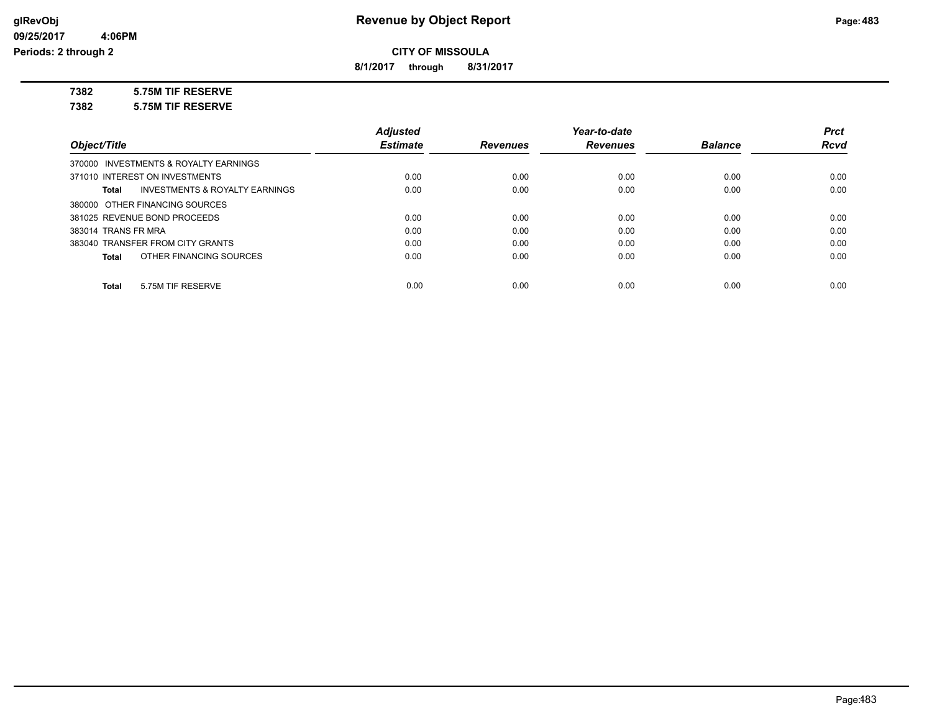**8/1/2017 through 8/31/2017**

**7382 5.75M TIF RESERVE**

**7382 5.75M TIF RESERVE**

|                                                    | <b>Adjusted</b> |                 | Year-to-date    |                | <b>Prct</b> |
|----------------------------------------------------|-----------------|-----------------|-----------------|----------------|-------------|
| Object/Title                                       | <b>Estimate</b> | <b>Revenues</b> | <b>Revenues</b> | <b>Balance</b> | <b>Rcvd</b> |
| 370000 INVESTMENTS & ROYALTY EARNINGS              |                 |                 |                 |                |             |
| 371010 INTEREST ON INVESTMENTS                     | 0.00            | 0.00            | 0.00            | 0.00           | 0.00        |
| <b>INVESTMENTS &amp; ROYALTY EARNINGS</b><br>Total | 0.00            | 0.00            | 0.00            | 0.00           | 0.00        |
| 380000 OTHER FINANCING SOURCES                     |                 |                 |                 |                |             |
| 381025 REVENUE BOND PROCEEDS                       | 0.00            | 0.00            | 0.00            | 0.00           | 0.00        |
| 383014 TRANS FR MRA                                | 0.00            | 0.00            | 0.00            | 0.00           | 0.00        |
| 383040 TRANSFER FROM CITY GRANTS                   | 0.00            | 0.00            | 0.00            | 0.00           | 0.00        |
| OTHER FINANCING SOURCES<br>Total                   | 0.00            | 0.00            | 0.00            | 0.00           | 0.00        |
|                                                    |                 |                 |                 |                |             |
| 5.75M TIF RESERVE<br><b>Total</b>                  | 0.00            | 0.00            | 0.00            | 0.00           | 0.00        |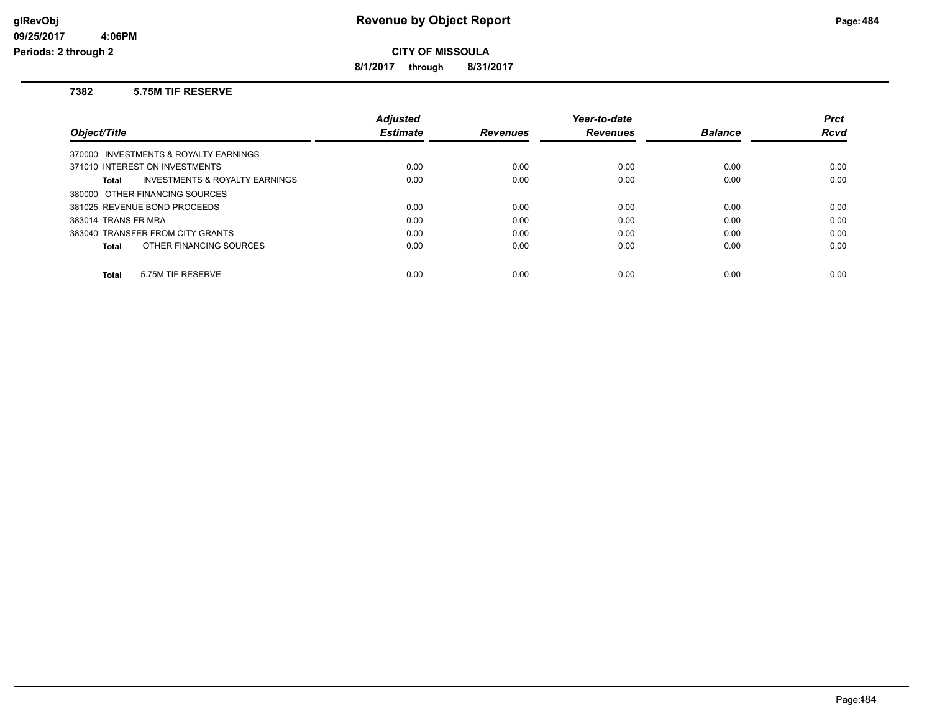**8/1/2017 through 8/31/2017**

#### **7382 5.75M TIF RESERVE**

|                                                    | <b>Adiusted</b> |                 | Year-to-date    |                | <b>Prct</b> |
|----------------------------------------------------|-----------------|-----------------|-----------------|----------------|-------------|
| Object/Title                                       | <b>Estimate</b> | <b>Revenues</b> | <b>Revenues</b> | <b>Balance</b> | Rcvd        |
| 370000 INVESTMENTS & ROYALTY EARNINGS              |                 |                 |                 |                |             |
| 371010 INTEREST ON INVESTMENTS                     | 0.00            | 0.00            | 0.00            | 0.00           | 0.00        |
| <b>INVESTMENTS &amp; ROYALTY EARNINGS</b><br>Total | 0.00            | 0.00            | 0.00            | 0.00           | 0.00        |
| 380000 OTHER FINANCING SOURCES                     |                 |                 |                 |                |             |
| 381025 REVENUE BOND PROCEEDS                       | 0.00            | 0.00            | 0.00            | 0.00           | 0.00        |
| 383014 TRANS FR MRA                                | 0.00            | 0.00            | 0.00            | 0.00           | 0.00        |
| 383040 TRANSFER FROM CITY GRANTS                   | 0.00            | 0.00            | 0.00            | 0.00           | 0.00        |
| OTHER FINANCING SOURCES<br>Total                   | 0.00            | 0.00            | 0.00            | 0.00           | 0.00        |
|                                                    |                 |                 |                 |                |             |
| 5.75M TIF RESERVE<br><b>Total</b>                  | 0.00            | 0.00            | 0.00            | 0.00           | 0.00        |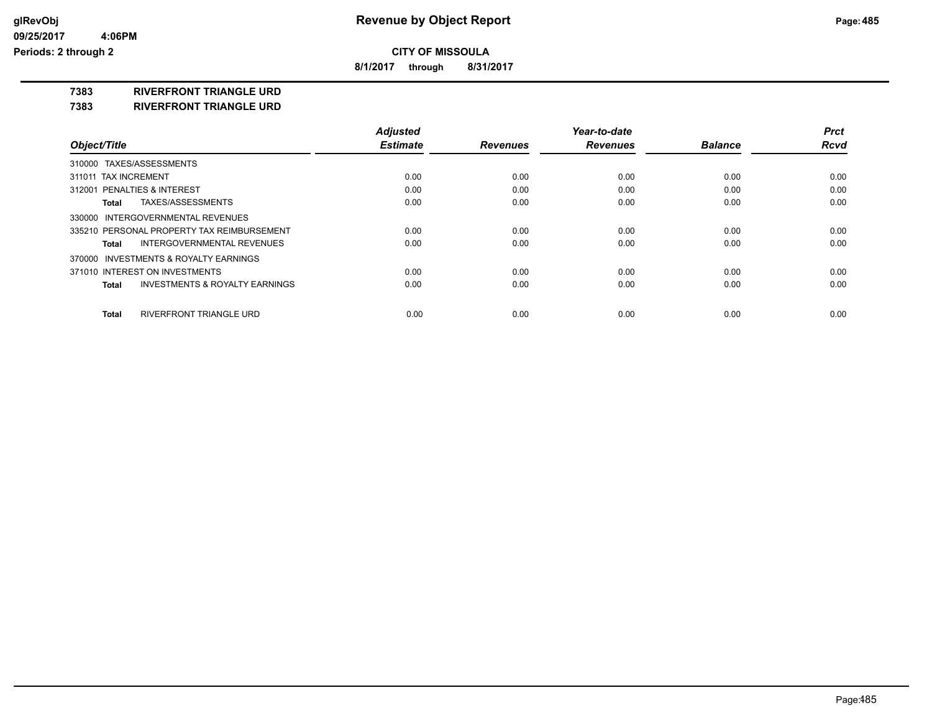**8/1/2017 through 8/31/2017**

#### **7383 RIVERFRONT TRIANGLE URD**

**7383 RIVERFRONT TRIANGLE URD**

|                                                    | <b>Adjusted</b> |                 | Year-to-date    |                | <b>Prct</b> |
|----------------------------------------------------|-----------------|-----------------|-----------------|----------------|-------------|
| Object/Title                                       | <b>Estimate</b> | <b>Revenues</b> | <b>Revenues</b> | <b>Balance</b> | <b>Rcvd</b> |
| 310000 TAXES/ASSESSMENTS                           |                 |                 |                 |                |             |
| 311011 TAX INCREMENT                               | 0.00            | 0.00            | 0.00            | 0.00           | 0.00        |
| 312001 PENALTIES & INTEREST                        | 0.00            | 0.00            | 0.00            | 0.00           | 0.00        |
| TAXES/ASSESSMENTS<br>Total                         | 0.00            | 0.00            | 0.00            | 0.00           | 0.00        |
| 330000 INTERGOVERNMENTAL REVENUES                  |                 |                 |                 |                |             |
| 335210 PERSONAL PROPERTY TAX REIMBURSEMENT         | 0.00            | 0.00            | 0.00            | 0.00           | 0.00        |
| <b>INTERGOVERNMENTAL REVENUES</b><br>Total         | 0.00            | 0.00            | 0.00            | 0.00           | 0.00        |
| 370000 INVESTMENTS & ROYALTY EARNINGS              |                 |                 |                 |                |             |
| 371010 INTEREST ON INVESTMENTS                     | 0.00            | 0.00            | 0.00            | 0.00           | 0.00        |
| <b>INVESTMENTS &amp; ROYALTY EARNINGS</b><br>Total | 0.00            | 0.00            | 0.00            | 0.00           | 0.00        |
| <b>RIVERFRONT TRIANGLE URD</b><br>Total            | 0.00            | 0.00            | 0.00            | 0.00           | 0.00        |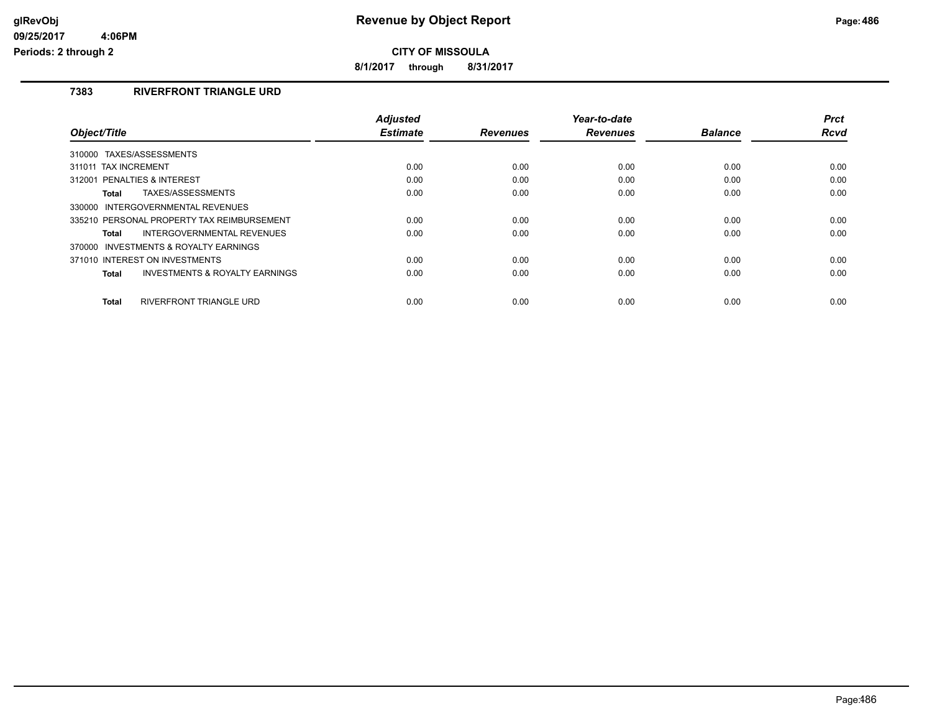**8/1/2017 through 8/31/2017**

## **7383 RIVERFRONT TRIANGLE URD**

|                                                           | <b>Adjusted</b> |                 | Year-to-date    |                | <b>Prct</b> |
|-----------------------------------------------------------|-----------------|-----------------|-----------------|----------------|-------------|
| Object/Title                                              | <b>Estimate</b> | <b>Revenues</b> | <b>Revenues</b> | <b>Balance</b> | <b>Rcvd</b> |
| 310000 TAXES/ASSESSMENTS                                  |                 |                 |                 |                |             |
| 311011 TAX INCREMENT                                      | 0.00            | 0.00            | 0.00            | 0.00           | 0.00        |
| 312001 PENALTIES & INTEREST                               | 0.00            | 0.00            | 0.00            | 0.00           | 0.00        |
| TAXES/ASSESSMENTS<br>Total                                | 0.00            | 0.00            | 0.00            | 0.00           | 0.00        |
| INTERGOVERNMENTAL REVENUES<br>330000                      |                 |                 |                 |                |             |
| 335210 PERSONAL PROPERTY TAX REIMBURSEMENT                | 0.00            | 0.00            | 0.00            | 0.00           | 0.00        |
| <b>INTERGOVERNMENTAL REVENUES</b><br>Total                | 0.00            | 0.00            | 0.00            | 0.00           | 0.00        |
| 370000 INVESTMENTS & ROYALTY EARNINGS                     |                 |                 |                 |                |             |
| 371010 INTEREST ON INVESTMENTS                            | 0.00            | 0.00            | 0.00            | 0.00           | 0.00        |
| <b>INVESTMENTS &amp; ROYALTY EARNINGS</b><br><b>Total</b> | 0.00            | 0.00            | 0.00            | 0.00           | 0.00        |
|                                                           |                 |                 |                 |                |             |
| RIVERFRONT TRIANGLE URD<br><b>Total</b>                   | 0.00            | 0.00            | 0.00            | 0.00           | 0.00        |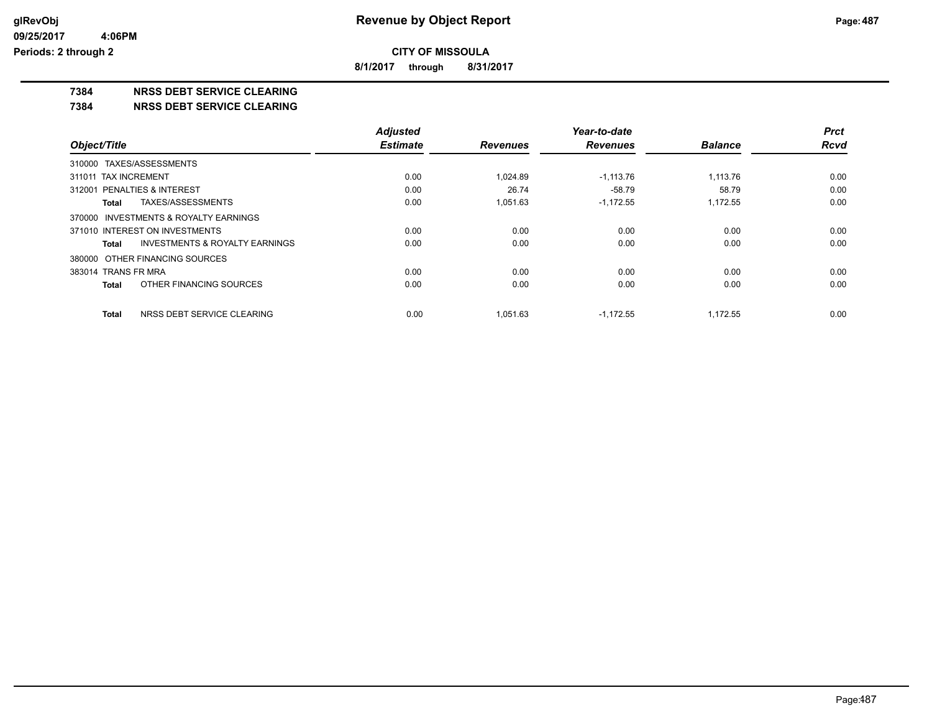**8/1/2017 through 8/31/2017**

## **7384 NRSS DEBT SERVICE CLEARING**

#### **7384 NRSS DEBT SERVICE CLEARING**

|                                                    | <b>Adjusted</b> |                 | Year-to-date    |                | <b>Prct</b> |
|----------------------------------------------------|-----------------|-----------------|-----------------|----------------|-------------|
| Object/Title                                       | <b>Estimate</b> | <b>Revenues</b> | <b>Revenues</b> | <b>Balance</b> | Rcvd        |
| TAXES/ASSESSMENTS<br>310000                        |                 |                 |                 |                |             |
| 311011 TAX INCREMENT                               | 0.00            | 1,024.89        | $-1,113.76$     | 1.113.76       | 0.00        |
| 312001 PENALTIES & INTEREST                        | 0.00            | 26.74           | $-58.79$        | 58.79          | 0.00        |
| TAXES/ASSESSMENTS<br>Total                         | 0.00            | 1.051.63        | $-1,172.55$     | 1,172.55       | 0.00        |
| 370000 INVESTMENTS & ROYALTY EARNINGS              |                 |                 |                 |                |             |
| 371010 INTEREST ON INVESTMENTS                     | 0.00            | 0.00            | 0.00            | 0.00           | 0.00        |
| <b>INVESTMENTS &amp; ROYALTY EARNINGS</b><br>Total | 0.00            | 0.00            | 0.00            | 0.00           | 0.00        |
| 380000 OTHER FINANCING SOURCES                     |                 |                 |                 |                |             |
| 383014 TRANS FR MRA                                | 0.00            | 0.00            | 0.00            | 0.00           | 0.00        |
| OTHER FINANCING SOURCES<br><b>Total</b>            | 0.00            | 0.00            | 0.00            | 0.00           | 0.00        |
| NRSS DEBT SERVICE CLEARING<br>Total                | 0.00            | 1.051.63        | $-1.172.55$     | 1.172.55       | 0.00        |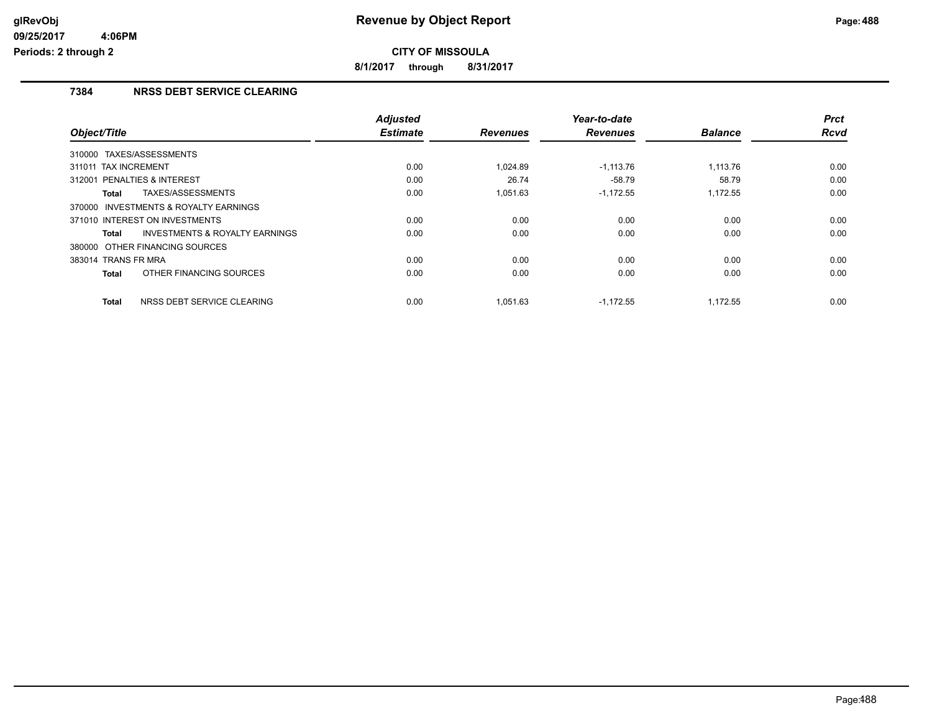**8/1/2017 through 8/31/2017**

#### **7384 NRSS DEBT SERVICE CLEARING**

|                                                     | <b>Adjusted</b> |                 | Year-to-date    |                | <b>Prct</b> |
|-----------------------------------------------------|-----------------|-----------------|-----------------|----------------|-------------|
| Object/Title                                        | <b>Estimate</b> | <b>Revenues</b> | <b>Revenues</b> | <b>Balance</b> | <b>Rcvd</b> |
| 310000 TAXES/ASSESSMENTS                            |                 |                 |                 |                |             |
| 311011 TAX INCREMENT                                | 0.00            | 1.024.89        | $-1.113.76$     | 1.113.76       | 0.00        |
| 312001 PENALTIES & INTEREST                         | 0.00            | 26.74           | $-58.79$        | 58.79          | 0.00        |
| <b>TAXES/ASSESSMENTS</b><br>Total                   | 0.00            | 1,051.63        | $-1.172.55$     | 1.172.55       | 0.00        |
| <b>INVESTMENTS &amp; ROYALTY EARNINGS</b><br>370000 |                 |                 |                 |                |             |
| 371010 INTEREST ON INVESTMENTS                      | 0.00            | 0.00            | 0.00            | 0.00           | 0.00        |
| <b>INVESTMENTS &amp; ROYALTY EARNINGS</b><br>Total  | 0.00            | 0.00            | 0.00            | 0.00           | 0.00        |
| 380000 OTHER FINANCING SOURCES                      |                 |                 |                 |                |             |
| 383014 TRANS FR MRA                                 | 0.00            | 0.00            | 0.00            | 0.00           | 0.00        |
| OTHER FINANCING SOURCES<br>Total                    | 0.00            | 0.00            | 0.00            | 0.00           | 0.00        |
| NRSS DEBT SERVICE CLEARING<br><b>Total</b>          | 0.00            | 1.051.63        | $-1.172.55$     | 1.172.55       | 0.00        |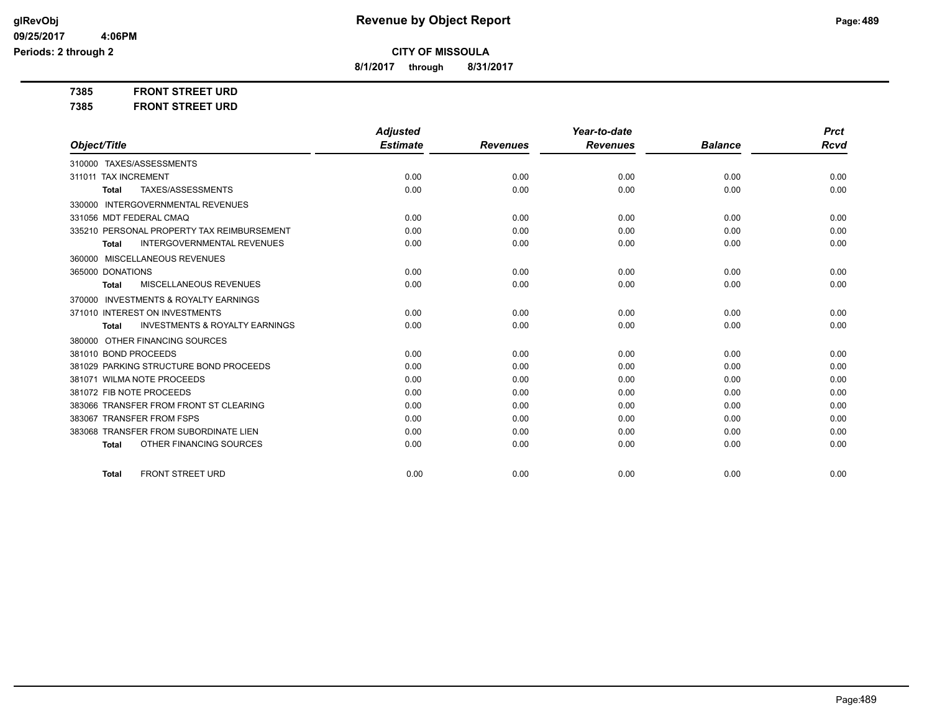**8/1/2017 through 8/31/2017**

**7385 FRONT STREET URD**

**7385 FRONT STREET URD**

|                                                           | <b>Adjusted</b> |                 | Year-to-date    |                | <b>Prct</b> |
|-----------------------------------------------------------|-----------------|-----------------|-----------------|----------------|-------------|
| Object/Title                                              | <b>Estimate</b> | <b>Revenues</b> | <b>Revenues</b> | <b>Balance</b> | <b>Rcvd</b> |
| 310000 TAXES/ASSESSMENTS                                  |                 |                 |                 |                |             |
| 311011 TAX INCREMENT                                      | 0.00            | 0.00            | 0.00            | 0.00           | 0.00        |
| TAXES/ASSESSMENTS<br><b>Total</b>                         | 0.00            | 0.00            | 0.00            | 0.00           | 0.00        |
| INTERGOVERNMENTAL REVENUES<br>330000                      |                 |                 |                 |                |             |
| 331056 MDT FEDERAL CMAQ                                   | 0.00            | 0.00            | 0.00            | 0.00           | 0.00        |
| 335210 PERSONAL PROPERTY TAX REIMBURSEMENT                | 0.00            | 0.00            | 0.00            | 0.00           | 0.00        |
| <b>INTERGOVERNMENTAL REVENUES</b><br>Total                | 0.00            | 0.00            | 0.00            | 0.00           | 0.00        |
| 360000 MISCELLANEOUS REVENUES                             |                 |                 |                 |                |             |
| 365000 DONATIONS                                          | 0.00            | 0.00            | 0.00            | 0.00           | 0.00        |
| MISCELLANEOUS REVENUES<br><b>Total</b>                    | 0.00            | 0.00            | 0.00            | 0.00           | 0.00        |
| 370000 INVESTMENTS & ROYALTY EARNINGS                     |                 |                 |                 |                |             |
| 371010 INTEREST ON INVESTMENTS                            | 0.00            | 0.00            | 0.00            | 0.00           | 0.00        |
| <b>INVESTMENTS &amp; ROYALTY EARNINGS</b><br><b>Total</b> | 0.00            | 0.00            | 0.00            | 0.00           | 0.00        |
| OTHER FINANCING SOURCES<br>380000                         |                 |                 |                 |                |             |
| 381010 BOND PROCEEDS                                      | 0.00            | 0.00            | 0.00            | 0.00           | 0.00        |
| 381029 PARKING STRUCTURE BOND PROCEEDS                    | 0.00            | 0.00            | 0.00            | 0.00           | 0.00        |
| 381071 WILMA NOTE PROCEEDS                                | 0.00            | 0.00            | 0.00            | 0.00           | 0.00        |
| 381072 FIB NOTE PROCEEDS                                  | 0.00            | 0.00            | 0.00            | 0.00           | 0.00        |
| 383066 TRANSFER FROM FRONT ST CLEARING                    | 0.00            | 0.00            | 0.00            | 0.00           | 0.00        |
| 383067 TRANSFER FROM FSPS                                 | 0.00            | 0.00            | 0.00            | 0.00           | 0.00        |
| 383068 TRANSFER FROM SUBORDINATE LIEN                     | 0.00            | 0.00            | 0.00            | 0.00           | 0.00        |
| OTHER FINANCING SOURCES<br><b>Total</b>                   | 0.00            | 0.00            | 0.00            | 0.00           | 0.00        |
| FRONT STREET URD                                          | 0.00            | 0.00            | 0.00            | 0.00           | 0.00        |
| <b>Total</b>                                              |                 |                 |                 |                |             |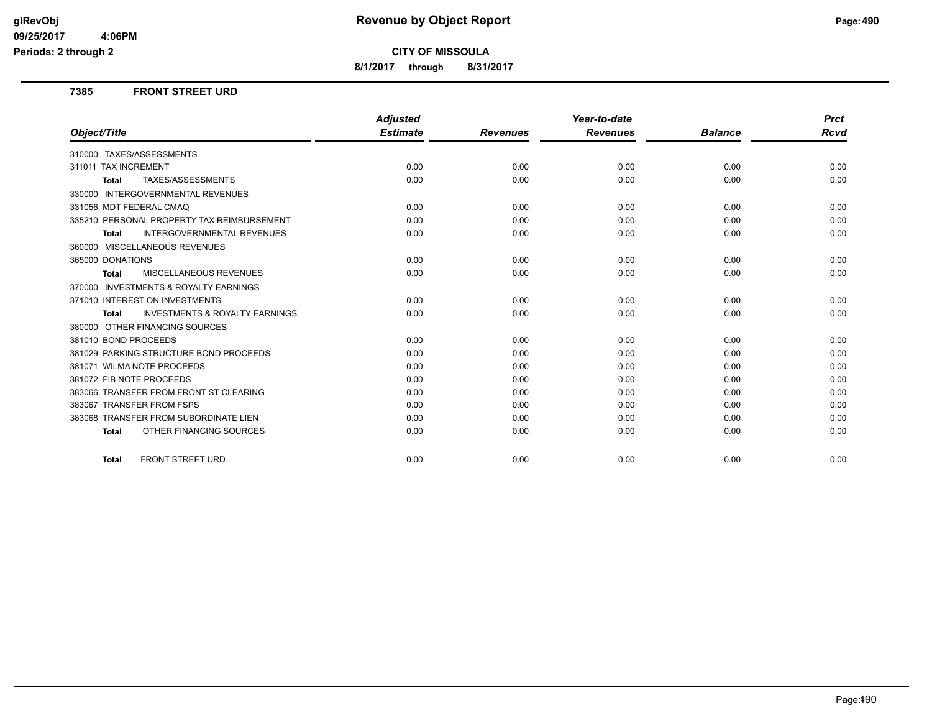**Periods: 2 through 2**

**CITY OF MISSOULA**

**8/1/2017 through 8/31/2017**

#### **7385 FRONT STREET URD**

|                                                           | <b>Adjusted</b> |                 | Year-to-date    |                | <b>Prct</b> |
|-----------------------------------------------------------|-----------------|-----------------|-----------------|----------------|-------------|
| Object/Title                                              | <b>Estimate</b> | <b>Revenues</b> | <b>Revenues</b> | <b>Balance</b> | <b>Rcvd</b> |
| 310000 TAXES/ASSESSMENTS                                  |                 |                 |                 |                |             |
| 311011 TAX INCREMENT                                      | 0.00            | 0.00            | 0.00            | 0.00           | 0.00        |
| TAXES/ASSESSMENTS<br><b>Total</b>                         | 0.00            | 0.00            | 0.00            | 0.00           | 0.00        |
| 330000 INTERGOVERNMENTAL REVENUES                         |                 |                 |                 |                |             |
| 331056 MDT FEDERAL CMAQ                                   | 0.00            | 0.00            | 0.00            | 0.00           | 0.00        |
| 335210 PERSONAL PROPERTY TAX REIMBURSEMENT                | 0.00            | 0.00            | 0.00            | 0.00           | 0.00        |
| <b>INTERGOVERNMENTAL REVENUES</b><br><b>Total</b>         | 0.00            | 0.00            | 0.00            | 0.00           | 0.00        |
| 360000 MISCELLANEOUS REVENUES                             |                 |                 |                 |                |             |
| 365000 DONATIONS                                          | 0.00            | 0.00            | 0.00            | 0.00           | 0.00        |
| <b>MISCELLANEOUS REVENUES</b><br>Total                    | 0.00            | 0.00            | 0.00            | 0.00           | 0.00        |
| 370000 INVESTMENTS & ROYALTY EARNINGS                     |                 |                 |                 |                |             |
| 371010 INTEREST ON INVESTMENTS                            | 0.00            | 0.00            | 0.00            | 0.00           | 0.00        |
| <b>INVESTMENTS &amp; ROYALTY EARNINGS</b><br><b>Total</b> | 0.00            | 0.00            | 0.00            | 0.00           | 0.00        |
| 380000 OTHER FINANCING SOURCES                            |                 |                 |                 |                |             |
| 381010 BOND PROCEEDS                                      | 0.00            | 0.00            | 0.00            | 0.00           | 0.00        |
| 381029 PARKING STRUCTURE BOND PROCEEDS                    | 0.00            | 0.00            | 0.00            | 0.00           | 0.00        |
| 381071 WILMA NOTE PROCEEDS                                | 0.00            | 0.00            | 0.00            | 0.00           | 0.00        |
| 381072 FIB NOTE PROCEEDS                                  | 0.00            | 0.00            | 0.00            | 0.00           | 0.00        |
| 383066 TRANSFER FROM FRONT ST CLEARING                    | 0.00            | 0.00            | 0.00            | 0.00           | 0.00        |
| 383067 TRANSFER FROM FSPS                                 | 0.00            | 0.00            | 0.00            | 0.00           | 0.00        |
| 383068 TRANSFER FROM SUBORDINATE LIEN                     | 0.00            | 0.00            | 0.00            | 0.00           | 0.00        |
| OTHER FINANCING SOURCES<br><b>Total</b>                   | 0.00            | 0.00            | 0.00            | 0.00           | 0.00        |
| <b>FRONT STREET URD</b><br><b>Total</b>                   | 0.00            | 0.00            | 0.00            | 0.00           | 0.00        |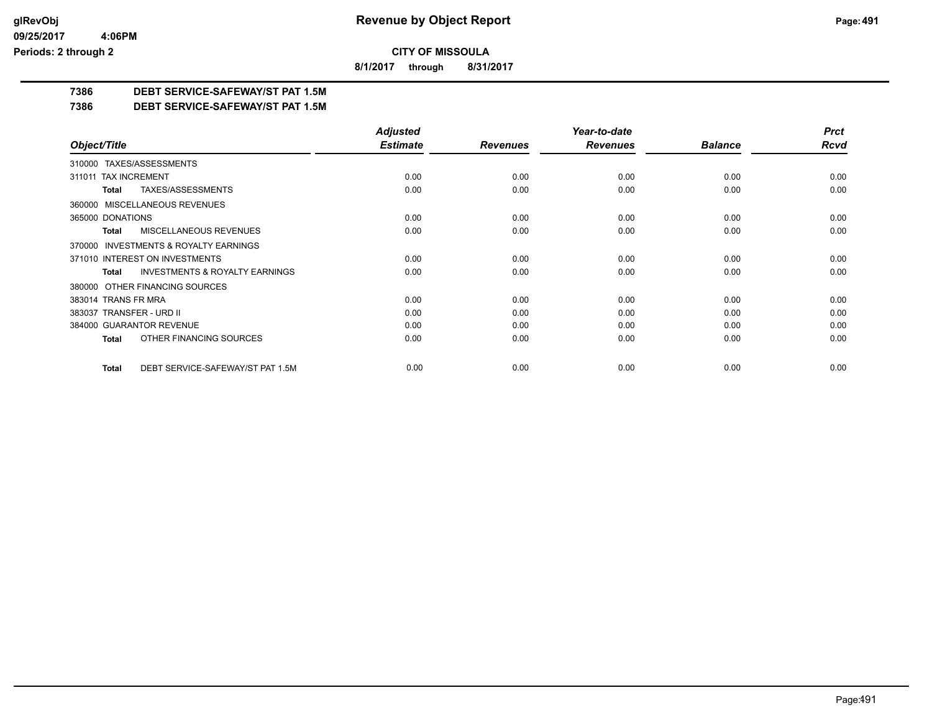**8/1/2017 through 8/31/2017**

# **7386 DEBT SERVICE-SAFEWAY/ST PAT 1.5M**

#### **7386 DEBT SERVICE-SAFEWAY/ST PAT 1.5M**

|                                           | <b>Adjusted</b> |                 | Year-to-date    |                | <b>Prct</b> |
|-------------------------------------------|-----------------|-----------------|-----------------|----------------|-------------|
|                                           | <b>Estimate</b> | <b>Revenues</b> | <b>Revenues</b> | <b>Balance</b> | <b>Rcvd</b> |
| 310000 TAXES/ASSESSMENTS                  |                 |                 |                 |                |             |
| 311011 TAX INCREMENT                      | 0.00            | 0.00            | 0.00            | 0.00           | 0.00        |
| TAXES/ASSESSMENTS                         | 0.00            | 0.00            | 0.00            | 0.00           | 0.00        |
| 360000 MISCELLANEOUS REVENUES             |                 |                 |                 |                |             |
| 365000 DONATIONS                          | 0.00            | 0.00            | 0.00            | 0.00           | 0.00        |
| <b>MISCELLANEOUS REVENUES</b>             | 0.00            | 0.00            | 0.00            | 0.00           | 0.00        |
| <b>INVESTMENTS &amp; ROYALTY EARNINGS</b> |                 |                 |                 |                |             |
| 371010 INTEREST ON INVESTMENTS            | 0.00            | 0.00            | 0.00            | 0.00           | 0.00        |
| <b>INVESTMENTS &amp; ROYALTY EARNINGS</b> | 0.00            | 0.00            | 0.00            | 0.00           | 0.00        |
| 380000 OTHER FINANCING SOURCES            |                 |                 |                 |                |             |
| 383014 TRANS FR MRA                       | 0.00            | 0.00            | 0.00            | 0.00           | 0.00        |
| 383037 TRANSFER - URD II                  | 0.00            | 0.00            | 0.00            | 0.00           | 0.00        |
| 384000 GUARANTOR REVENUE                  | 0.00            | 0.00            | 0.00            | 0.00           | 0.00        |
| OTHER FINANCING SOURCES                   | 0.00            | 0.00            | 0.00            | 0.00           | 0.00        |
| DEBT SERVICE-SAFEWAY/ST PAT 1.5M          |                 |                 |                 |                | 0.00        |
|                                           |                 | 0.00            | 0.00            | 0.00           | 0.00        |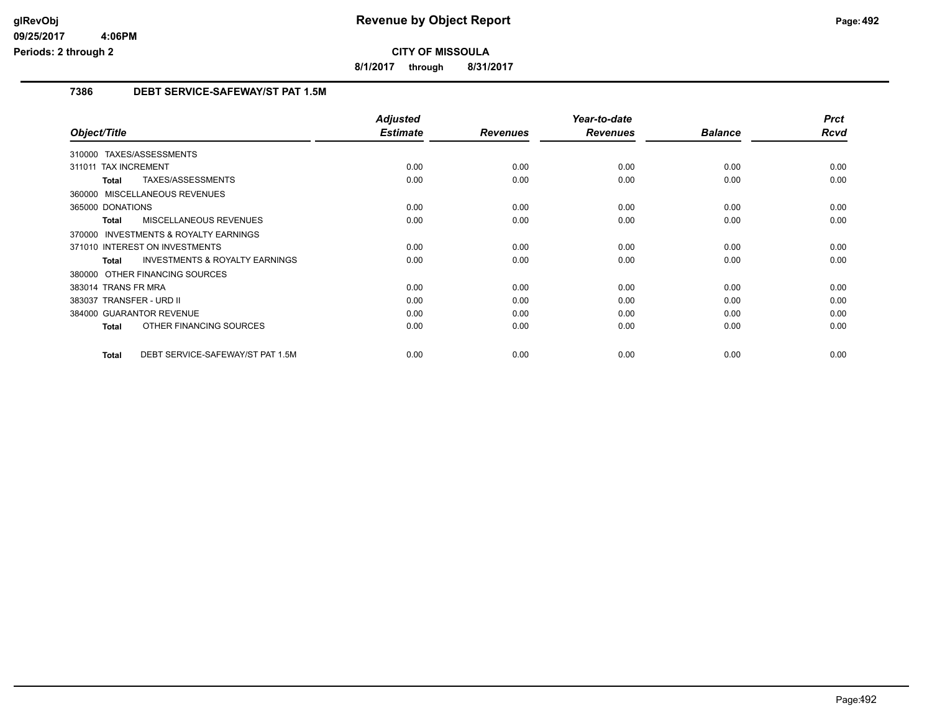**8/1/2017 through 8/31/2017**

#### **7386 DEBT SERVICE-SAFEWAY/ST PAT 1.5M**

|                                                    | <b>Adjusted</b> |                 | Year-to-date    |                | <b>Prct</b> |
|----------------------------------------------------|-----------------|-----------------|-----------------|----------------|-------------|
| Object/Title                                       | <b>Estimate</b> | <b>Revenues</b> | <b>Revenues</b> | <b>Balance</b> | <b>Rcvd</b> |
| 310000 TAXES/ASSESSMENTS                           |                 |                 |                 |                |             |
| 311011 TAX INCREMENT                               | 0.00            | 0.00            | 0.00            | 0.00           | 0.00        |
| TAXES/ASSESSMENTS<br>Total                         | 0.00            | 0.00            | 0.00            | 0.00           | 0.00        |
| 360000 MISCELLANEOUS REVENUES                      |                 |                 |                 |                |             |
| 365000 DONATIONS                                   | 0.00            | 0.00            | 0.00            | 0.00           | 0.00        |
| MISCELLANEOUS REVENUES<br>Total                    | 0.00            | 0.00            | 0.00            | 0.00           | 0.00        |
| 370000 INVESTMENTS & ROYALTY EARNINGS              |                 |                 |                 |                |             |
| 371010 INTEREST ON INVESTMENTS                     | 0.00            | 0.00            | 0.00            | 0.00           | 0.00        |
| <b>INVESTMENTS &amp; ROYALTY EARNINGS</b><br>Total | 0.00            | 0.00            | 0.00            | 0.00           | 0.00        |
| 380000 OTHER FINANCING SOURCES                     |                 |                 |                 |                |             |
| 383014 TRANS FR MRA                                | 0.00            | 0.00            | 0.00            | 0.00           | 0.00        |
| 383037 TRANSFER - URD II                           | 0.00            | 0.00            | 0.00            | 0.00           | 0.00        |
| 384000 GUARANTOR REVENUE                           | 0.00            | 0.00            | 0.00            | 0.00           | 0.00        |
| OTHER FINANCING SOURCES<br>Total                   | 0.00            | 0.00            | 0.00            | 0.00           | 0.00        |
| DEBT SERVICE-SAFEWAY/ST PAT 1.5M<br><b>Total</b>   | 0.00            | 0.00            | 0.00            | 0.00           | 0.00        |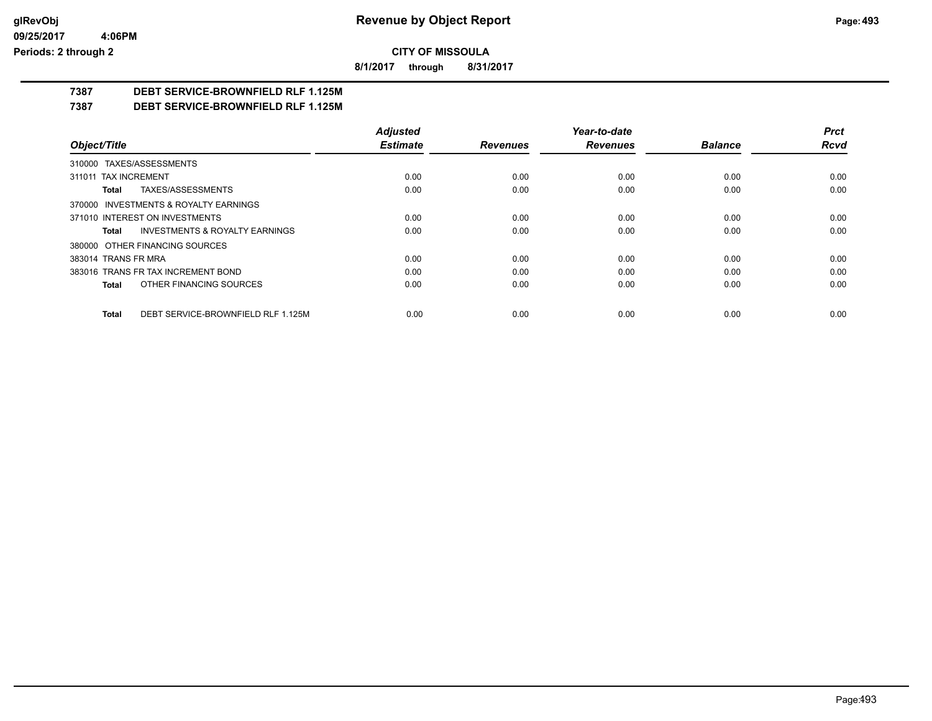**8/1/2017 through 8/31/2017**

# **7387 DEBT SERVICE-BROWNFIELD RLF 1.125M**

**7387 DEBT SERVICE-BROWNFIELD RLF 1.125M**

|                                                    | <b>Adjusted</b> |                 | Year-to-date    |                | <b>Prct</b> |
|----------------------------------------------------|-----------------|-----------------|-----------------|----------------|-------------|
| Object/Title                                       | <b>Estimate</b> | <b>Revenues</b> | <b>Revenues</b> | <b>Balance</b> | <b>Rcvd</b> |
| TAXES/ASSESSMENTS<br>310000                        |                 |                 |                 |                |             |
| 311011 TAX INCREMENT                               | 0.00            | 0.00            | 0.00            | 0.00           | 0.00        |
| TAXES/ASSESSMENTS<br>Total                         | 0.00            | 0.00            | 0.00            | 0.00           | 0.00        |
| 370000 INVESTMENTS & ROYALTY EARNINGS              |                 |                 |                 |                |             |
| 371010 INTEREST ON INVESTMENTS                     | 0.00            | 0.00            | 0.00            | 0.00           | 0.00        |
| <b>INVESTMENTS &amp; ROYALTY EARNINGS</b><br>Total | 0.00            | 0.00            | 0.00            | 0.00           | 0.00        |
| 380000 OTHER FINANCING SOURCES                     |                 |                 |                 |                |             |
| 383014 TRANS FR MRA                                | 0.00            | 0.00            | 0.00            | 0.00           | 0.00        |
| 383016 TRANS FR TAX INCREMENT BOND                 | 0.00            | 0.00            | 0.00            | 0.00           | 0.00        |
| OTHER FINANCING SOURCES<br>Total                   | 0.00            | 0.00            | 0.00            | 0.00           | 0.00        |
| DEBT SERVICE-BROWNFIELD RLF 1.125M<br><b>Total</b> | 0.00            | 0.00            | 0.00            | 0.00           | 0.00        |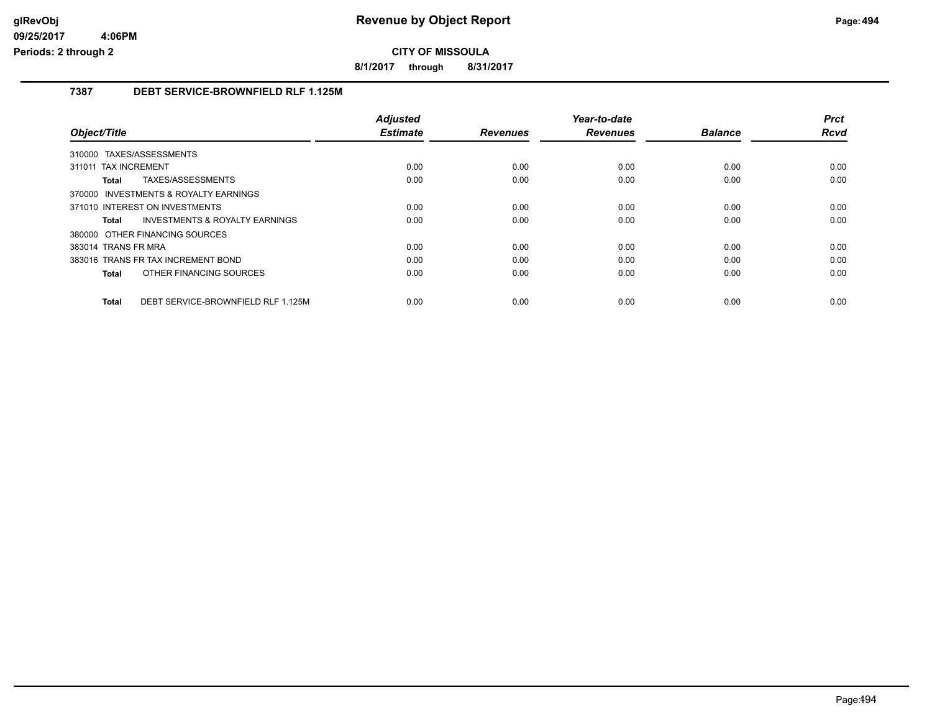**8/1/2017 through 8/31/2017**

#### **7387 DEBT SERVICE-BROWNFIELD RLF 1.125M**

|                                                    | <b>Adjusted</b> |                 | Year-to-date    |                | <b>Prct</b> |
|----------------------------------------------------|-----------------|-----------------|-----------------|----------------|-------------|
| Object/Title                                       | <b>Estimate</b> | <b>Revenues</b> | <b>Revenues</b> | <b>Balance</b> | <b>Rcvd</b> |
| 310000 TAXES/ASSESSMENTS                           |                 |                 |                 |                |             |
| 311011 TAX INCREMENT                               | 0.00            | 0.00            | 0.00            | 0.00           | 0.00        |
| TAXES/ASSESSMENTS<br>Total                         | 0.00            | 0.00            | 0.00            | 0.00           | 0.00        |
| 370000 INVESTMENTS & ROYALTY EARNINGS              |                 |                 |                 |                |             |
| 371010 INTEREST ON INVESTMENTS                     | 0.00            | 0.00            | 0.00            | 0.00           | 0.00        |
| INVESTMENTS & ROYALTY EARNINGS<br>Total            | 0.00            | 0.00            | 0.00            | 0.00           | 0.00        |
| 380000 OTHER FINANCING SOURCES                     |                 |                 |                 |                |             |
| 383014 TRANS FR MRA                                | 0.00            | 0.00            | 0.00            | 0.00           | 0.00        |
| 383016 TRANS FR TAX INCREMENT BOND                 | 0.00            | 0.00            | 0.00            | 0.00           | 0.00        |
| OTHER FINANCING SOURCES<br>Total                   | 0.00            | 0.00            | 0.00            | 0.00           | 0.00        |
| DEBT SERVICE-BROWNFIELD RLF 1.125M<br><b>Total</b> | 0.00            | 0.00            | 0.00            | 0.00           | 0.00        |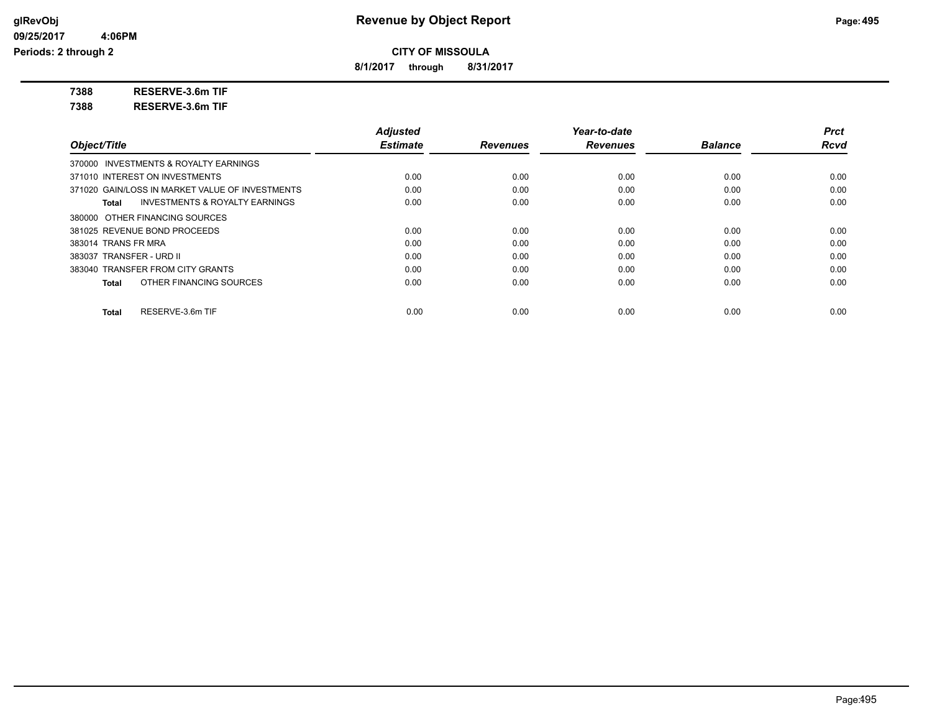**8/1/2017 through 8/31/2017**

**7388 RESERVE-3.6m TIF**

**7388 RESERVE-3.6m TIF**

|                                                    | <b>Adjusted</b> |                 | Year-to-date    |                | <b>Prct</b> |
|----------------------------------------------------|-----------------|-----------------|-----------------|----------------|-------------|
| Object/Title                                       | <b>Estimate</b> | <b>Revenues</b> | <b>Revenues</b> | <b>Balance</b> | <b>Rcvd</b> |
| 370000 INVESTMENTS & ROYALTY EARNINGS              |                 |                 |                 |                |             |
| 371010 INTEREST ON INVESTMENTS                     | 0.00            | 0.00            | 0.00            | 0.00           | 0.00        |
| 371020 GAIN/LOSS IN MARKET VALUE OF INVESTMENTS    | 0.00            | 0.00            | 0.00            | 0.00           | 0.00        |
| <b>INVESTMENTS &amp; ROYALTY EARNINGS</b><br>Total | 0.00            | 0.00            | 0.00            | 0.00           | 0.00        |
| 380000 OTHER FINANCING SOURCES                     |                 |                 |                 |                |             |
| 381025 REVENUE BOND PROCEEDS                       | 0.00            | 0.00            | 0.00            | 0.00           | 0.00        |
| 383014 TRANS FR MRA                                | 0.00            | 0.00            | 0.00            | 0.00           | 0.00        |
| 383037 TRANSFER - URD II                           | 0.00            | 0.00            | 0.00            | 0.00           | 0.00        |
| 383040 TRANSFER FROM CITY GRANTS                   | 0.00            | 0.00            | 0.00            | 0.00           | 0.00        |
| OTHER FINANCING SOURCES<br>Total                   | 0.00            | 0.00            | 0.00            | 0.00           | 0.00        |
|                                                    |                 |                 |                 |                |             |
| RESERVE-3.6m TIF<br>Total                          | 0.00            | 0.00            | 0.00            | 0.00           | 0.00        |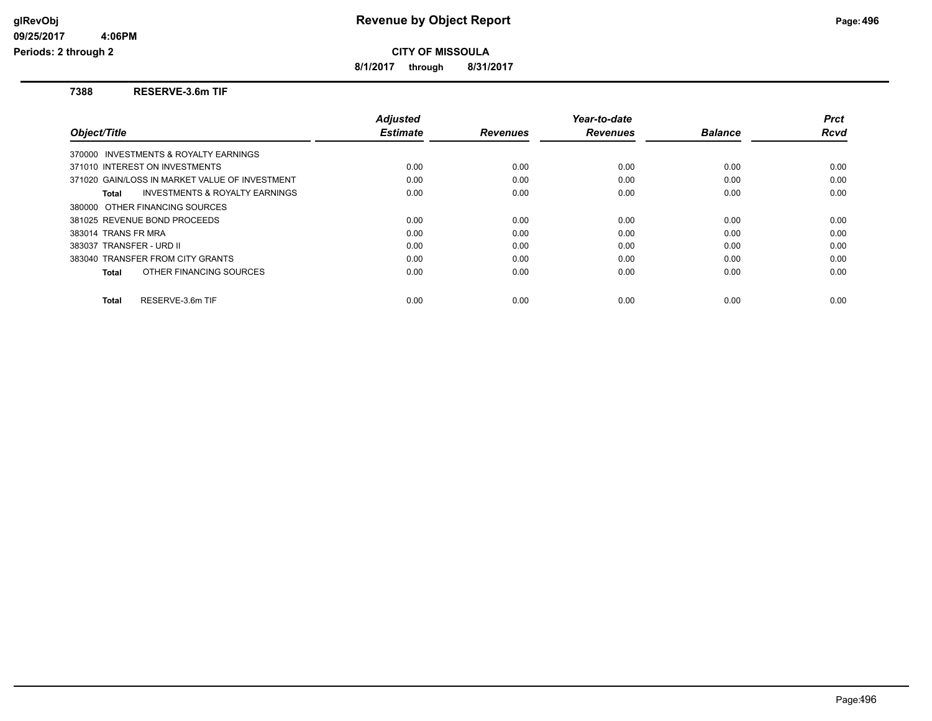**Periods: 2 through 2**

**CITY OF MISSOULA**

**8/1/2017 through 8/31/2017**

#### **7388 RESERVE-3.6m TIF**

|                                                    | <b>Adjusted</b> |                 | Year-to-date    |                | <b>Prct</b> |
|----------------------------------------------------|-----------------|-----------------|-----------------|----------------|-------------|
| Object/Title                                       | <b>Estimate</b> | <b>Revenues</b> | <b>Revenues</b> | <b>Balance</b> | Rcvd        |
| 370000 INVESTMENTS & ROYALTY EARNINGS              |                 |                 |                 |                |             |
| 371010 INTEREST ON INVESTMENTS                     | 0.00            | 0.00            | 0.00            | 0.00           | 0.00        |
| 371020 GAIN/LOSS IN MARKET VALUE OF INVESTMENT     | 0.00            | 0.00            | 0.00            | 0.00           | 0.00        |
| <b>INVESTMENTS &amp; ROYALTY EARNINGS</b><br>Total | 0.00            | 0.00            | 0.00            | 0.00           | 0.00        |
| 380000 OTHER FINANCING SOURCES                     |                 |                 |                 |                |             |
| 381025 REVENUE BOND PROCEEDS                       | 0.00            | 0.00            | 0.00            | 0.00           | 0.00        |
| 383014 TRANS FR MRA                                | 0.00            | 0.00            | 0.00            | 0.00           | 0.00        |
| 383037 TRANSFER - URD II                           | 0.00            | 0.00            | 0.00            | 0.00           | 0.00        |
| 383040 TRANSFER FROM CITY GRANTS                   | 0.00            | 0.00            | 0.00            | 0.00           | 0.00        |
| OTHER FINANCING SOURCES<br>Total                   | 0.00            | 0.00            | 0.00            | 0.00           | 0.00        |
|                                                    |                 |                 |                 |                |             |
| RESERVE-3.6m TIF<br>Total                          | 0.00            | 0.00            | 0.00            | 0.00           | 0.00        |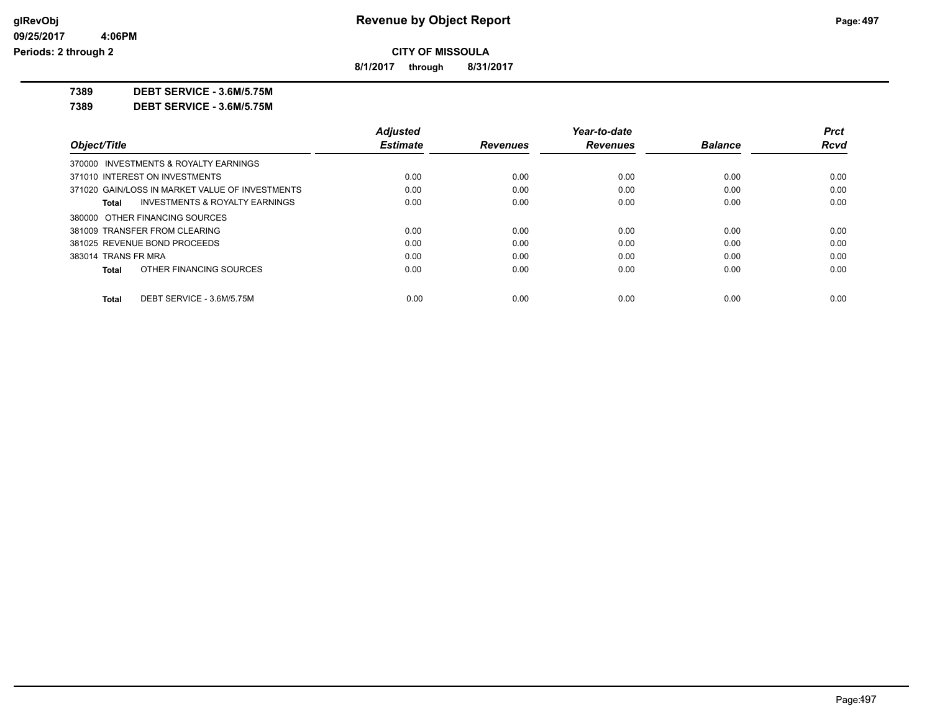**8/1/2017 through 8/31/2017**

**7389 DEBT SERVICE - 3.6M/5.75M**

**7389 DEBT SERVICE - 3.6M/5.75M**

|                                |                                                 | <b>Adiusted</b> |                 | Year-to-date    |                | <b>Prct</b> |
|--------------------------------|-------------------------------------------------|-----------------|-----------------|-----------------|----------------|-------------|
| Object/Title                   |                                                 | <b>Estimate</b> | <b>Revenues</b> | <b>Revenues</b> | <b>Balance</b> | <b>Rcvd</b> |
|                                | 370000 INVESTMENTS & ROYALTY EARNINGS           |                 |                 |                 |                |             |
| 371010 INTEREST ON INVESTMENTS |                                                 | 0.00            | 0.00            | 0.00            | 0.00           | 0.00        |
|                                | 371020 GAIN/LOSS IN MARKET VALUE OF INVESTMENTS | 0.00            | 0.00            | 0.00            | 0.00           | 0.00        |
| Total                          | <b>INVESTMENTS &amp; ROYALTY EARNINGS</b>       | 0.00            | 0.00            | 0.00            | 0.00           | 0.00        |
| 380000 OTHER FINANCING SOURCES |                                                 |                 |                 |                 |                |             |
| 381009 TRANSFER FROM CLEARING  |                                                 | 0.00            | 0.00            | 0.00            | 0.00           | 0.00        |
| 381025 REVENUE BOND PROCEEDS   |                                                 | 0.00            | 0.00            | 0.00            | 0.00           | 0.00        |
| 383014 TRANS FR MRA            |                                                 | 0.00            | 0.00            | 0.00            | 0.00           | 0.00        |
| <b>Total</b>                   | OTHER FINANCING SOURCES                         | 0.00            | 0.00            | 0.00            | 0.00           | 0.00        |
| <b>Total</b>                   | DEBT SERVICE - 3.6M/5.75M                       | 0.00            | 0.00            | 0.00            | 0.00           | 0.00        |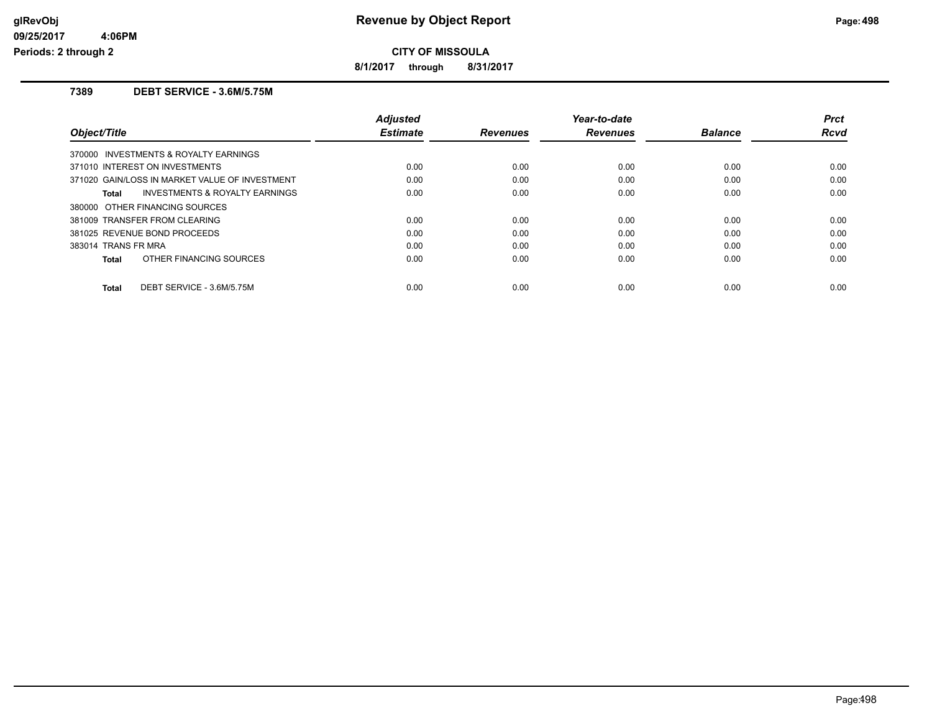**Periods: 2 through 2**

**CITY OF MISSOULA**

**8/1/2017 through 8/31/2017**

#### **7389 DEBT SERVICE - 3.6M/5.75M**

 **4:06PM**

| Object/Title                                   | <b>Adjusted</b><br><b>Estimate</b> | <b>Revenues</b> | Year-to-date<br><b>Revenues</b> | <b>Balance</b> | <b>Prct</b><br>Rcvd |
|------------------------------------------------|------------------------------------|-----------------|---------------------------------|----------------|---------------------|
| 370000 INVESTMENTS & ROYALTY EARNINGS          |                                    |                 |                                 |                |                     |
| 371010 INTEREST ON INVESTMENTS                 | 0.00                               | 0.00            | 0.00                            | 0.00           | 0.00                |
| 371020 GAIN/LOSS IN MARKET VALUE OF INVESTMENT | 0.00                               | 0.00            | 0.00                            | 0.00           | 0.00                |
| INVESTMENTS & ROYALTY EARNINGS<br>Total        | 0.00                               | 0.00            | 0.00                            | 0.00           | 0.00                |
| 380000 OTHER FINANCING SOURCES                 |                                    |                 |                                 |                |                     |
| 381009 TRANSFER FROM CLEARING                  | 0.00                               | 0.00            | 0.00                            | 0.00           | 0.00                |
| 381025 REVENUE BOND PROCEEDS                   | 0.00                               | 0.00            | 0.00                            | 0.00           | 0.00                |
| 383014 TRANS FR MRA                            | 0.00                               | 0.00            | 0.00                            | 0.00           | 0.00                |
| OTHER FINANCING SOURCES<br><b>Total</b>        | 0.00                               | 0.00            | 0.00                            | 0.00           | 0.00                |
| DEBT SERVICE - 3.6M/5.75M<br><b>Total</b>      | 0.00                               | 0.00            | 0.00                            | 0.00           | 0.00                |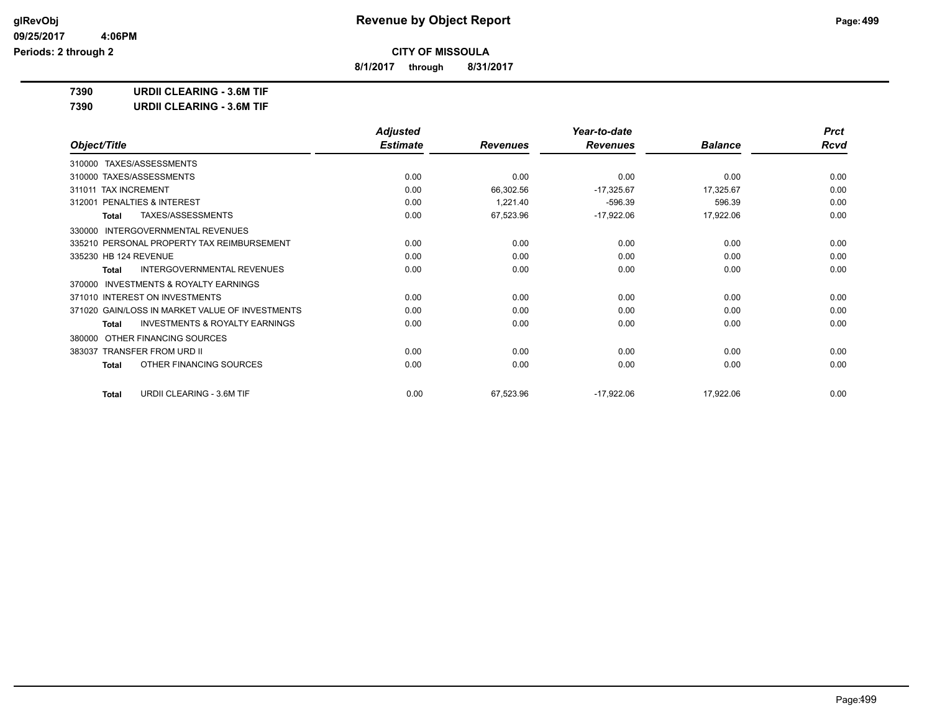**8/1/2017 through 8/31/2017**

**7390 URDII CLEARING - 3.6M TIF**

**7390 URDII CLEARING - 3.6M TIF**

|                                                           | <b>Adjusted</b> |                 | Year-to-date    |                | <b>Prct</b> |
|-----------------------------------------------------------|-----------------|-----------------|-----------------|----------------|-------------|
| Object/Title                                              | <b>Estimate</b> | <b>Revenues</b> | <b>Revenues</b> | <b>Balance</b> | Rcvd        |
| TAXES/ASSESSMENTS<br>310000                               |                 |                 |                 |                |             |
| 310000 TAXES/ASSESSMENTS                                  | 0.00            | 0.00            | 0.00            | 0.00           | 0.00        |
| 311011 TAX INCREMENT                                      | 0.00            | 66,302.56       | $-17,325.67$    | 17,325.67      | 0.00        |
| PENALTIES & INTEREST<br>312001                            | 0.00            | 1,221.40        | $-596.39$       | 596.39         | 0.00        |
| TAXES/ASSESSMENTS<br><b>Total</b>                         | 0.00            | 67,523.96       | $-17,922.06$    | 17,922.06      | 0.00        |
| <b>INTERGOVERNMENTAL REVENUES</b><br>330000               |                 |                 |                 |                |             |
| 335210 PERSONAL PROPERTY TAX REIMBURSEMENT                | 0.00            | 0.00            | 0.00            | 0.00           | 0.00        |
| 335230 HB 124 REVENUE                                     | 0.00            | 0.00            | 0.00            | 0.00           | 0.00        |
| INTERGOVERNMENTAL REVENUES<br>Total                       | 0.00            | 0.00            | 0.00            | 0.00           | 0.00        |
| <b>INVESTMENTS &amp; ROYALTY EARNINGS</b><br>370000       |                 |                 |                 |                |             |
| 371010 INTEREST ON INVESTMENTS                            | 0.00            | 0.00            | 0.00            | 0.00           | 0.00        |
| 371020 GAIN/LOSS IN MARKET VALUE OF INVESTMENTS           | 0.00            | 0.00            | 0.00            | 0.00           | 0.00        |
| <b>INVESTMENTS &amp; ROYALTY EARNINGS</b><br><b>Total</b> | 0.00            | 0.00            | 0.00            | 0.00           | 0.00        |
| OTHER FINANCING SOURCES<br>380000                         |                 |                 |                 |                |             |
| 383037 TRANSFER FROM URD II                               | 0.00            | 0.00            | 0.00            | 0.00           | 0.00        |
| OTHER FINANCING SOURCES<br><b>Total</b>                   | 0.00            | 0.00            | 0.00            | 0.00           | 0.00        |
| URDII CLEARING - 3.6M TIF<br><b>Total</b>                 | 0.00            | 67,523.96       | $-17,922.06$    | 17,922.06      | 0.00        |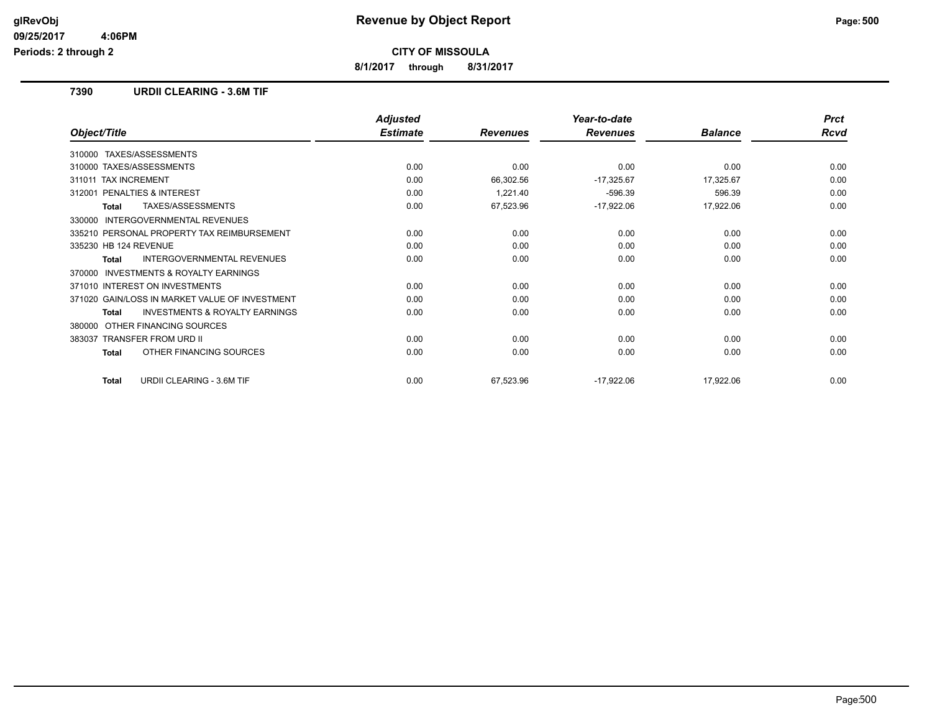**Periods: 2 through 2**

**CITY OF MISSOULA**

**8/1/2017 through 8/31/2017**

#### **7390 URDII CLEARING - 3.6M TIF**

|                                                    | <b>Adjusted</b> |                 | Year-to-date    |                | <b>Prct</b> |
|----------------------------------------------------|-----------------|-----------------|-----------------|----------------|-------------|
| Object/Title                                       | <b>Estimate</b> | <b>Revenues</b> | <b>Revenues</b> | <b>Balance</b> | Rcvd        |
| TAXES/ASSESSMENTS<br>310000                        |                 |                 |                 |                |             |
| 310000 TAXES/ASSESSMENTS                           | 0.00            | 0.00            | 0.00            | 0.00           | 0.00        |
| <b>TAX INCREMENT</b><br>311011                     | 0.00            | 66,302.56       | $-17,325.67$    | 17,325.67      | 0.00        |
| PENALTIES & INTEREST<br>312001                     | 0.00            | 1,221.40        | $-596.39$       | 596.39         | 0.00        |
| TAXES/ASSESSMENTS<br><b>Total</b>                  | 0.00            | 67,523.96       | $-17,922.06$    | 17,922.06      | 0.00        |
| INTERGOVERNMENTAL REVENUES<br>330000               |                 |                 |                 |                |             |
| 335210 PERSONAL PROPERTY TAX REIMBURSEMENT         | 0.00            | 0.00            | 0.00            | 0.00           | 0.00        |
| 335230 HB 124 REVENUE                              | 0.00            | 0.00            | 0.00            | 0.00           | 0.00        |
| <b>INTERGOVERNMENTAL REVENUES</b><br>Total         | 0.00            | 0.00            | 0.00            | 0.00           | 0.00        |
| INVESTMENTS & ROYALTY EARNINGS<br>370000           |                 |                 |                 |                |             |
| 371010 INTEREST ON INVESTMENTS                     | 0.00            | 0.00            | 0.00            | 0.00           | 0.00        |
| 371020 GAIN/LOSS IN MARKET VALUE OF INVESTMENT     | 0.00            | 0.00            | 0.00            | 0.00           | 0.00        |
| <b>INVESTMENTS &amp; ROYALTY EARNINGS</b><br>Total | 0.00            | 0.00            | 0.00            | 0.00           | 0.00        |
| OTHER FINANCING SOURCES<br>380000                  |                 |                 |                 |                |             |
| 383037 TRANSFER FROM URD II                        | 0.00            | 0.00            | 0.00            | 0.00           | 0.00        |
| OTHER FINANCING SOURCES<br><b>Total</b>            | 0.00            | 0.00            | 0.00            | 0.00           | 0.00        |
| <b>URDII CLEARING - 3.6M TIF</b><br><b>Total</b>   | 0.00            | 67,523.96       | $-17,922.06$    | 17,922.06      | 0.00        |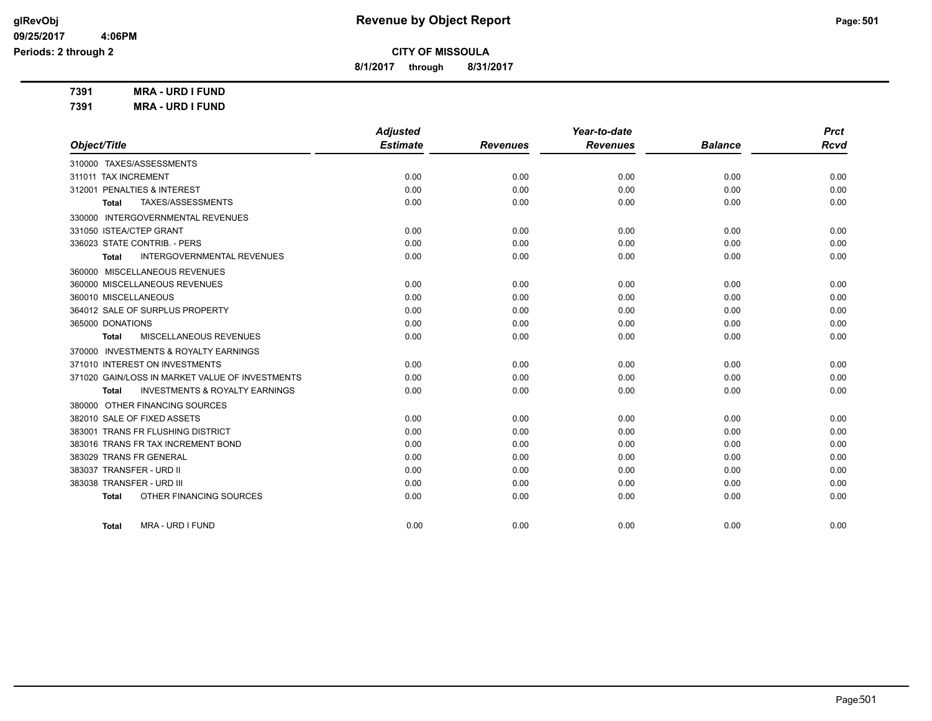**8/1/2017 through 8/31/2017**

**7391 MRA - URD I FUND**

**7391 MRA - URD I FUND**

|                                                           | <b>Adjusted</b> |                 | Year-to-date    |                | <b>Prct</b> |
|-----------------------------------------------------------|-----------------|-----------------|-----------------|----------------|-------------|
| Object/Title                                              | <b>Estimate</b> | <b>Revenues</b> | <b>Revenues</b> | <b>Balance</b> | <b>Rcvd</b> |
| 310000 TAXES/ASSESSMENTS                                  |                 |                 |                 |                |             |
| 311011 TAX INCREMENT                                      | 0.00            | 0.00            | 0.00            | 0.00           | 0.00        |
| 312001 PENALTIES & INTEREST                               | 0.00            | 0.00            | 0.00            | 0.00           | 0.00        |
| TAXES/ASSESSMENTS<br><b>Total</b>                         | 0.00            | 0.00            | 0.00            | 0.00           | 0.00        |
| 330000 INTERGOVERNMENTAL REVENUES                         |                 |                 |                 |                |             |
| 331050 ISTEA/CTEP GRANT                                   | 0.00            | 0.00            | 0.00            | 0.00           | 0.00        |
| 336023 STATE CONTRIB. - PERS                              | 0.00            | 0.00            | 0.00            | 0.00           | 0.00        |
| <b>INTERGOVERNMENTAL REVENUES</b><br><b>Total</b>         | 0.00            | 0.00            | 0.00            | 0.00           | 0.00        |
| 360000 MISCELLANEOUS REVENUES                             |                 |                 |                 |                |             |
| 360000 MISCELLANEOUS REVENUES                             | 0.00            | 0.00            | 0.00            | 0.00           | 0.00        |
| 360010 MISCELLANEOUS                                      | 0.00            | 0.00            | 0.00            | 0.00           | 0.00        |
| 364012 SALE OF SURPLUS PROPERTY                           | 0.00            | 0.00            | 0.00            | 0.00           | 0.00        |
| 365000 DONATIONS                                          | 0.00            | 0.00            | 0.00            | 0.00           | 0.00        |
| MISCELLANEOUS REVENUES<br>Total                           | 0.00            | 0.00            | 0.00            | 0.00           | 0.00        |
| 370000 INVESTMENTS & ROYALTY EARNINGS                     |                 |                 |                 |                |             |
| 371010 INTEREST ON INVESTMENTS                            | 0.00            | 0.00            | 0.00            | 0.00           | 0.00        |
| 371020 GAIN/LOSS IN MARKET VALUE OF INVESTMENTS           | 0.00            | 0.00            | 0.00            | 0.00           | 0.00        |
| <b>INVESTMENTS &amp; ROYALTY EARNINGS</b><br><b>Total</b> | 0.00            | 0.00            | 0.00            | 0.00           | 0.00        |
| 380000 OTHER FINANCING SOURCES                            |                 |                 |                 |                |             |
| 382010 SALE OF FIXED ASSETS                               | 0.00            | 0.00            | 0.00            | 0.00           | 0.00        |
| 383001 TRANS FR FLUSHING DISTRICT                         | 0.00            | 0.00            | 0.00            | 0.00           | 0.00        |
| 383016 TRANS FR TAX INCREMENT BOND                        | 0.00            | 0.00            | 0.00            | 0.00           | 0.00        |
| 383029 TRANS FR GENERAL                                   | 0.00            | 0.00            | 0.00            | 0.00           | 0.00        |
| 383037 TRANSFER - URD II                                  | 0.00            | 0.00            | 0.00            | 0.00           | 0.00        |
| 383038 TRANSFER - URD III                                 | 0.00            | 0.00            | 0.00            | 0.00           | 0.00        |
| OTHER FINANCING SOURCES<br><b>Total</b>                   | 0.00            | 0.00            | 0.00            | 0.00           | 0.00        |
| MRA - URD I FUND<br>Total                                 | 0.00            | 0.00            | 0.00            | 0.00           | 0.00        |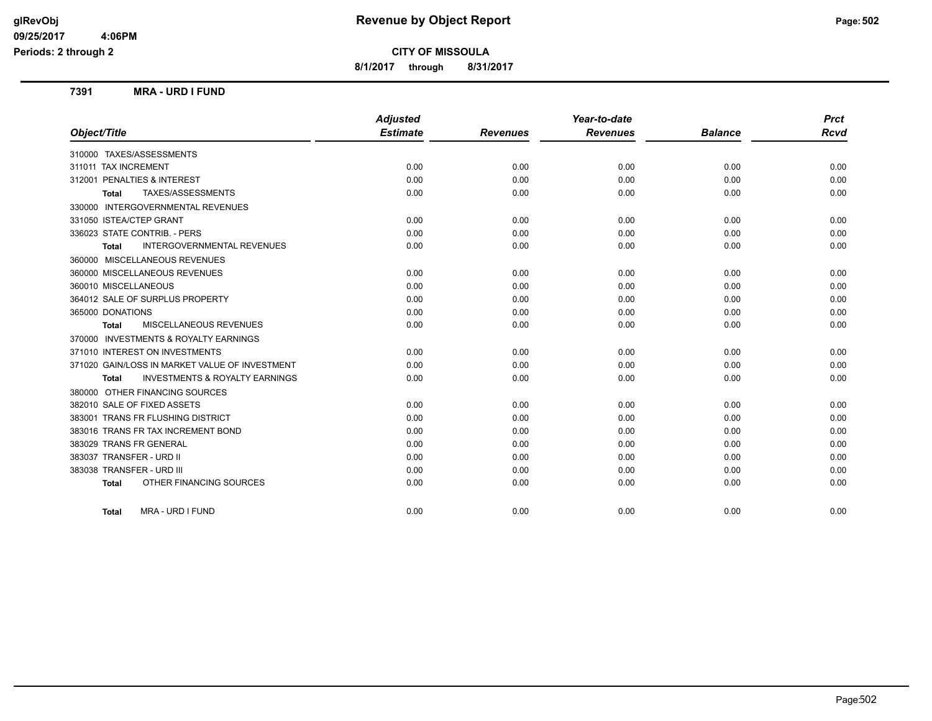**Periods: 2 through 2**

**CITY OF MISSOULA**

**8/1/2017 through 8/31/2017**

# **7391 MRA - URD I FUND**

 **4:06PM**

|                                                    | <b>Adjusted</b> |                 | Year-to-date    |                | <b>Prct</b> |
|----------------------------------------------------|-----------------|-----------------|-----------------|----------------|-------------|
| Object/Title                                       | <b>Estimate</b> | <b>Revenues</b> | <b>Revenues</b> | <b>Balance</b> | <b>Rcvd</b> |
| 310000 TAXES/ASSESSMENTS                           |                 |                 |                 |                |             |
| 311011 TAX INCREMENT                               | 0.00            | 0.00            | 0.00            | 0.00           | 0.00        |
| 312001 PENALTIES & INTEREST                        | 0.00            | 0.00            | 0.00            | 0.00           | 0.00        |
| TAXES/ASSESSMENTS<br><b>Total</b>                  | 0.00            | 0.00            | 0.00            | 0.00           | 0.00        |
| 330000 INTERGOVERNMENTAL REVENUES                  |                 |                 |                 |                |             |
| 331050 ISTEA/CTEP GRANT                            | 0.00            | 0.00            | 0.00            | 0.00           | 0.00        |
| 336023 STATE CONTRIB. - PERS                       | 0.00            | 0.00            | 0.00            | 0.00           | 0.00        |
| <b>INTERGOVERNMENTAL REVENUES</b><br><b>Total</b>  | 0.00            | 0.00            | 0.00            | 0.00           | 0.00        |
| 360000 MISCELLANEOUS REVENUES                      |                 |                 |                 |                |             |
| 360000 MISCELLANEOUS REVENUES                      | 0.00            | 0.00            | 0.00            | 0.00           | 0.00        |
| 360010 MISCELLANEOUS                               | 0.00            | 0.00            | 0.00            | 0.00           | 0.00        |
| 364012 SALE OF SURPLUS PROPERTY                    | 0.00            | 0.00            | 0.00            | 0.00           | 0.00        |
| 365000 DONATIONS                                   | 0.00            | 0.00            | 0.00            | 0.00           | 0.00        |
| <b>MISCELLANEOUS REVENUES</b><br>Total             | 0.00            | 0.00            | 0.00            | 0.00           | 0.00        |
| 370000 INVESTMENTS & ROYALTY EARNINGS              |                 |                 |                 |                |             |
| 371010 INTEREST ON INVESTMENTS                     | 0.00            | 0.00            | 0.00            | 0.00           | 0.00        |
| 371020 GAIN/LOSS IN MARKET VALUE OF INVESTMENT     | 0.00            | 0.00            | 0.00            | 0.00           | 0.00        |
| <b>INVESTMENTS &amp; ROYALTY EARNINGS</b><br>Total | 0.00            | 0.00            | 0.00            | 0.00           | 0.00        |
| 380000 OTHER FINANCING SOURCES                     |                 |                 |                 |                |             |
| 382010 SALE OF FIXED ASSETS                        | 0.00            | 0.00            | 0.00            | 0.00           | 0.00        |
| 383001 TRANS FR FLUSHING DISTRICT                  | 0.00            | 0.00            | 0.00            | 0.00           | 0.00        |
| 383016 TRANS FR TAX INCREMENT BOND                 | 0.00            | 0.00            | 0.00            | 0.00           | 0.00        |
| 383029 TRANS FR GENERAL                            | 0.00            | 0.00            | 0.00            | 0.00           | 0.00        |
| 383037 TRANSFER - URD II                           | 0.00            | 0.00            | 0.00            | 0.00           | 0.00        |
| 383038 TRANSFER - URD III                          | 0.00            | 0.00            | 0.00            | 0.00           | 0.00        |
| OTHER FINANCING SOURCES<br><b>Total</b>            | 0.00            | 0.00            | 0.00            | 0.00           | 0.00        |
| MRA - URD I FUND<br>Total                          | 0.00            | 0.00            | 0.00            | 0.00           | 0.00        |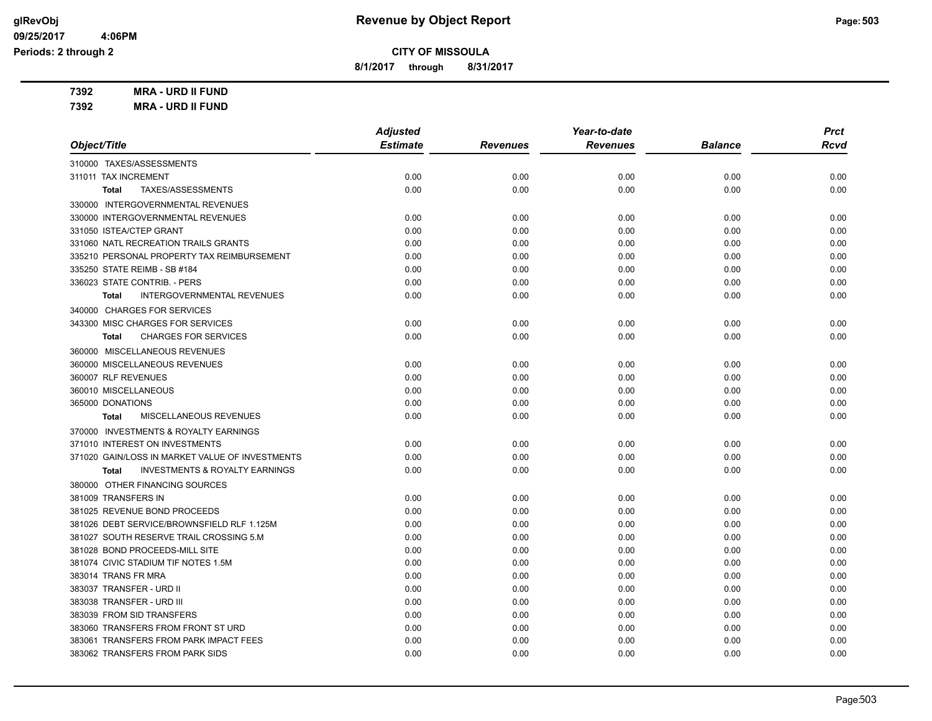**8/1/2017 through 8/31/2017**

**7392 MRA - URD II FUND**

**7392 MRA - URD II FUND**

|                                                           | <b>Adjusted</b> |                 | Year-to-date    |                | <b>Prct</b> |
|-----------------------------------------------------------|-----------------|-----------------|-----------------|----------------|-------------|
| Object/Title                                              | <b>Estimate</b> | <b>Revenues</b> | <b>Revenues</b> | <b>Balance</b> | Rcvd        |
| 310000 TAXES/ASSESSMENTS                                  |                 |                 |                 |                |             |
| 311011 TAX INCREMENT                                      | 0.00            | 0.00            | 0.00            | 0.00           | 0.00        |
| TAXES/ASSESSMENTS<br><b>Total</b>                         | 0.00            | 0.00            | 0.00            | 0.00           | 0.00        |
| 330000 INTERGOVERNMENTAL REVENUES                         |                 |                 |                 |                |             |
| 330000 INTERGOVERNMENTAL REVENUES                         | 0.00            | 0.00            | 0.00            | 0.00           | 0.00        |
| 331050 ISTEA/CTEP GRANT                                   | 0.00            | 0.00            | 0.00            | 0.00           | 0.00        |
| 331060 NATL RECREATION TRAILS GRANTS                      | 0.00            | 0.00            | 0.00            | 0.00           | 0.00        |
| 335210 PERSONAL PROPERTY TAX REIMBURSEMENT                | 0.00            | 0.00            | 0.00            | 0.00           | 0.00        |
| 335250 STATE REIMB - SB #184                              | 0.00            | 0.00            | 0.00            | 0.00           | 0.00        |
| 336023 STATE CONTRIB. - PERS                              | 0.00            | 0.00            | 0.00            | 0.00           | 0.00        |
| <b>INTERGOVERNMENTAL REVENUES</b><br><b>Total</b>         | 0.00            | 0.00            | 0.00            | 0.00           | 0.00        |
| 340000 CHARGES FOR SERVICES                               |                 |                 |                 |                |             |
| 343300 MISC CHARGES FOR SERVICES                          | 0.00            | 0.00            | 0.00            | 0.00           | 0.00        |
| <b>CHARGES FOR SERVICES</b><br>Total                      | 0.00            | 0.00            | 0.00            | 0.00           | 0.00        |
| 360000 MISCELLANEOUS REVENUES                             |                 |                 |                 |                |             |
| 360000 MISCELLANEOUS REVENUES                             | 0.00            | 0.00            | 0.00            | 0.00           | 0.00        |
| 360007 RLF REVENUES                                       | 0.00            | 0.00            | 0.00            | 0.00           | 0.00        |
| 360010 MISCELLANEOUS                                      | 0.00            | 0.00            | 0.00            | 0.00           | 0.00        |
| 365000 DONATIONS                                          | 0.00            | 0.00            | 0.00            | 0.00           | 0.00        |
| MISCELLANEOUS REVENUES<br><b>Total</b>                    | 0.00            | 0.00            | 0.00            | 0.00           | 0.00        |
| 370000 INVESTMENTS & ROYALTY EARNINGS                     |                 |                 |                 |                |             |
| 371010 INTEREST ON INVESTMENTS                            | 0.00            | 0.00            | 0.00            | 0.00           | 0.00        |
| 371020 GAIN/LOSS IN MARKET VALUE OF INVESTMENTS           | 0.00            | 0.00            | 0.00            | 0.00           | 0.00        |
| <b>INVESTMENTS &amp; ROYALTY EARNINGS</b><br><b>Total</b> | 0.00            | 0.00            | 0.00            | 0.00           | 0.00        |
| 380000 OTHER FINANCING SOURCES                            |                 |                 |                 |                |             |
| 381009 TRANSFERS IN                                       | 0.00            | 0.00            | 0.00            | 0.00           | 0.00        |
| 381025 REVENUE BOND PROCEEDS                              | 0.00            | 0.00            | 0.00            | 0.00           | 0.00        |
| 381026 DEBT SERVICE/BROWNSFIELD RLF 1.125M                | 0.00            | 0.00            | 0.00            | 0.00           | 0.00        |
| 381027 SOUTH RESERVE TRAIL CROSSING 5.M                   | 0.00            | 0.00            | 0.00            | 0.00           | 0.00        |
| 381028 BOND PROCEEDS-MILL SITE                            | 0.00            | 0.00            | 0.00            | 0.00           | 0.00        |
| 381074 CIVIC STADIUM TIF NOTES 1.5M                       | 0.00            | 0.00            | 0.00            | 0.00           | 0.00        |
| 383014 TRANS FR MRA                                       | 0.00            | 0.00            | 0.00            | 0.00           | 0.00        |
| 383037 TRANSFER - URD II                                  | 0.00            | 0.00            | 0.00            | 0.00           | 0.00        |
| 383038 TRANSFER - URD III                                 | 0.00            | 0.00            | 0.00            | 0.00           | 0.00        |
| 383039 FROM SID TRANSFERS                                 | 0.00            | 0.00            | 0.00            | 0.00           | 0.00        |
| 383060 TRANSFERS FROM FRONT ST URD                        | 0.00            | 0.00            | 0.00            | 0.00           | 0.00        |
| 383061 TRANSFERS FROM PARK IMPACT FEES                    | 0.00            | 0.00            | 0.00            | 0.00           | 0.00        |
| 383062 TRANSFERS FROM PARK SIDS                           | 0.00            | 0.00            | 0.00            | 0.00           | 0.00        |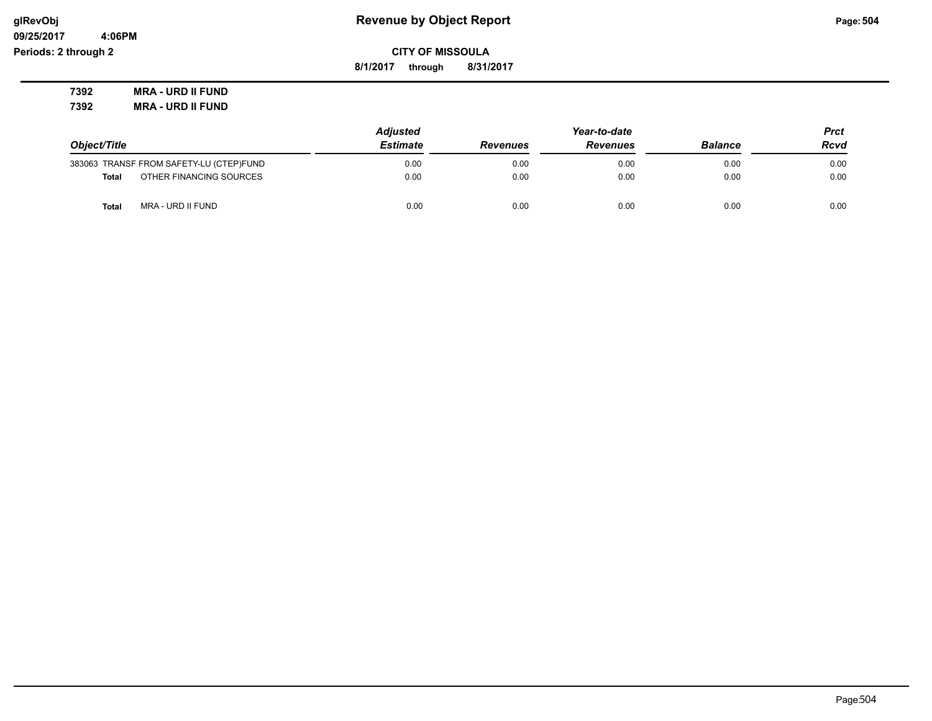**09/25/2017 4:06PM Periods: 2 through 2**

**CITY OF MISSOULA**

**8/1/2017 through 8/31/2017**

**7392 MRA - URD II FUND 7392 MRA - URD II FUND**

|                                         | <b>Adjusted</b> |                 | Year-to-date    |                |             |
|-----------------------------------------|-----------------|-----------------|-----------------|----------------|-------------|
| Object/Title                            | <b>Estimate</b> | <b>Revenues</b> | <b>Revenues</b> | <b>Balance</b> | <b>Rcvd</b> |
| 383063 TRANSF FROM SAFETY-LU (CTEP)FUND | 0.00            | 0.00            | 0.00            | 0.00           | 0.00        |
| OTHER FINANCING SOURCES<br><b>Total</b> | 0.00            | 0.00            | 0.00            | 0.00           | 0.00        |
| MRA - URD II FUND<br>Total              | 0.00            | 0.00            | 0.00            | 0.00           | 0.00        |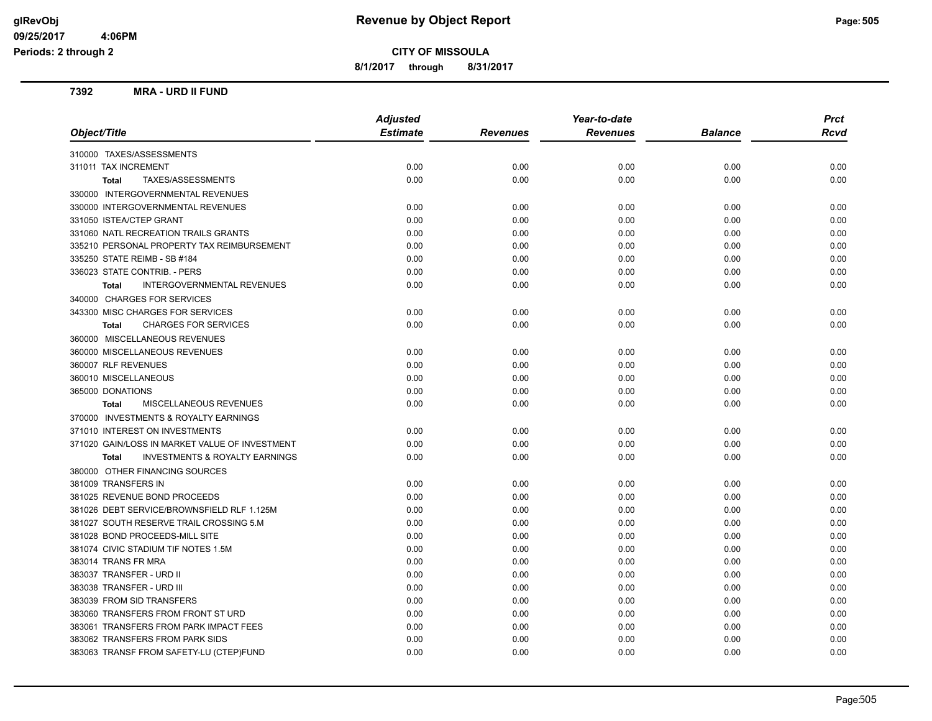**8/1/2017 through 8/31/2017**

### **7392 MRA - URD II FUND**

| Object/Title                                              | <b>Adjusted</b> |                 | Year-to-date    |                | <b>Prct</b> |
|-----------------------------------------------------------|-----------------|-----------------|-----------------|----------------|-------------|
|                                                           | <b>Estimate</b> | <b>Revenues</b> | <b>Revenues</b> | <b>Balance</b> | <b>Rcvd</b> |
| 310000 TAXES/ASSESSMENTS                                  |                 |                 |                 |                |             |
| 311011 TAX INCREMENT                                      | 0.00            | 0.00            | 0.00            | 0.00           | 0.00        |
| TAXES/ASSESSMENTS<br><b>Total</b>                         | 0.00            | 0.00            | 0.00            | 0.00           | 0.00        |
| 330000 INTERGOVERNMENTAL REVENUES                         |                 |                 |                 |                |             |
| 330000 INTERGOVERNMENTAL REVENUES                         | 0.00            | 0.00            | 0.00            | 0.00           | 0.00        |
| 331050 ISTEA/CTEP GRANT                                   | 0.00            | 0.00            | 0.00            | 0.00           | 0.00        |
| 331060 NATL RECREATION TRAILS GRANTS                      | 0.00            | 0.00            | 0.00            | 0.00           | 0.00        |
| 335210 PERSONAL PROPERTY TAX REIMBURSEMENT                | 0.00            | 0.00            | 0.00            | 0.00           | 0.00        |
| 335250 STATE REIMB - SB #184                              | 0.00            | 0.00            | 0.00            | 0.00           | 0.00        |
| 336023 STATE CONTRIB. - PERS                              | 0.00            | 0.00            | 0.00            | 0.00           | 0.00        |
| <b>INTERGOVERNMENTAL REVENUES</b><br>Total                | 0.00            | 0.00            | 0.00            | 0.00           | 0.00        |
| 340000 CHARGES FOR SERVICES                               |                 |                 |                 |                |             |
| 343300 MISC CHARGES FOR SERVICES                          | 0.00            | 0.00            | 0.00            | 0.00           | 0.00        |
| <b>CHARGES FOR SERVICES</b><br><b>Total</b>               | 0.00            | 0.00            | 0.00            | 0.00           | 0.00        |
| 360000 MISCELLANEOUS REVENUES                             |                 |                 |                 |                |             |
| 360000 MISCELLANEOUS REVENUES                             | 0.00            | 0.00            | 0.00            | 0.00           | 0.00        |
| 360007 RLF REVENUES                                       | 0.00            | 0.00            | 0.00            | 0.00           | 0.00        |
| 360010 MISCELLANEOUS                                      | 0.00            | 0.00            | 0.00            | 0.00           | 0.00        |
| 365000 DONATIONS                                          | 0.00            | 0.00            | 0.00            | 0.00           | 0.00        |
| MISCELLANEOUS REVENUES<br><b>Total</b>                    | 0.00            | 0.00            | 0.00            | 0.00           | 0.00        |
| 370000 INVESTMENTS & ROYALTY EARNINGS                     |                 |                 |                 |                |             |
| 371010 INTEREST ON INVESTMENTS                            | 0.00            | 0.00            | 0.00            | 0.00           | 0.00        |
| 371020 GAIN/LOSS IN MARKET VALUE OF INVESTMENT            | 0.00            | 0.00            | 0.00            | 0.00           | 0.00        |
| <b>INVESTMENTS &amp; ROYALTY EARNINGS</b><br><b>Total</b> | 0.00            | 0.00            | 0.00            | 0.00           | 0.00        |
| 380000 OTHER FINANCING SOURCES                            |                 |                 |                 |                |             |
| 381009 TRANSFERS IN                                       | 0.00            | 0.00            | 0.00            | 0.00           | 0.00        |
| 381025 REVENUE BOND PROCEEDS                              | 0.00            | 0.00            | 0.00            | 0.00           | 0.00        |
| 381026 DEBT SERVICE/BROWNSFIELD RLF 1.125M                | 0.00            | 0.00            | 0.00            | 0.00           | 0.00        |
| 381027 SOUTH RESERVE TRAIL CROSSING 5.M                   | 0.00            | 0.00            | 0.00            | 0.00           | 0.00        |
| 381028 BOND PROCEEDS-MILL SITE                            | 0.00            | 0.00            | 0.00            | 0.00           | 0.00        |
| 381074 CIVIC STADIUM TIF NOTES 1.5M                       | 0.00            | 0.00            | 0.00            | 0.00           | 0.00        |
| 383014 TRANS FR MRA                                       | 0.00            | 0.00            | 0.00            | 0.00           | 0.00        |
| 383037 TRANSFER - URD II                                  | 0.00            | 0.00            | 0.00            | 0.00           | 0.00        |
| 383038 TRANSFER - URD III                                 | 0.00            | 0.00            | 0.00            | 0.00           | 0.00        |
| 383039 FROM SID TRANSFERS                                 | 0.00            | 0.00            | 0.00            | 0.00           | 0.00        |
| 383060 TRANSFERS FROM FRONT ST URD                        | 0.00            | 0.00            | 0.00            | 0.00           | 0.00        |
| 383061 TRANSFERS FROM PARK IMPACT FEES                    | 0.00            | 0.00            | 0.00            | 0.00           | 0.00        |
| 383062 TRANSFERS FROM PARK SIDS                           | 0.00            | 0.00            | 0.00            | 0.00           | 0.00        |
| 383063 TRANSF FROM SAFETY-LU (CTEP)FUND                   | 0.00            | 0.00            | 0.00            | 0.00           | 0.00        |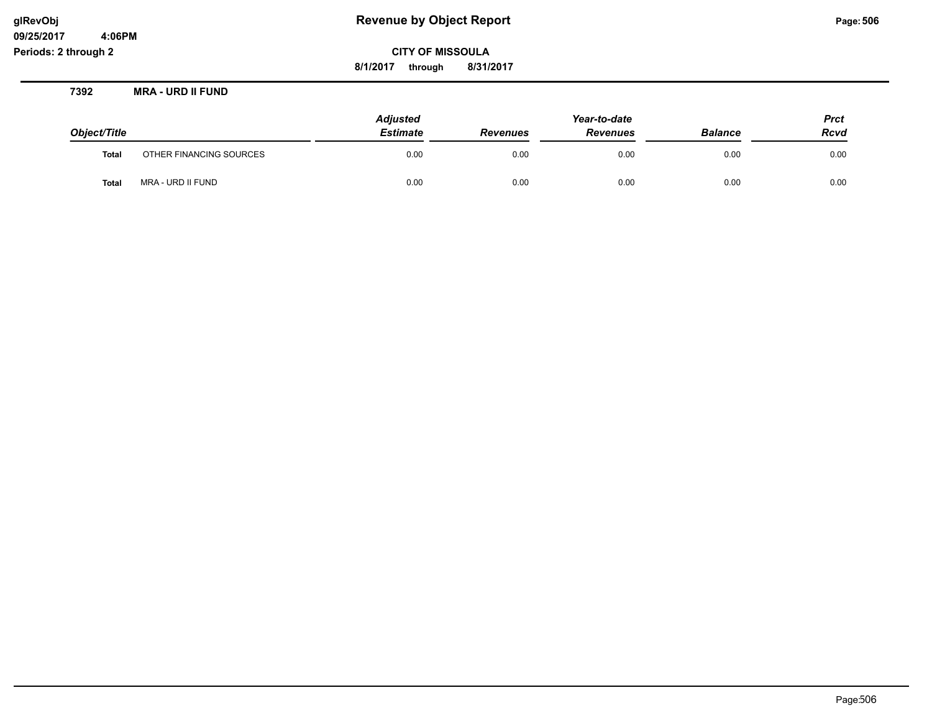**8/1/2017 through 8/31/2017**

**7392 MRA - URD II FUND**

|              |                         | <b>Adjusted</b> |                 | Year-to-date    |                | <b>Prct</b> |
|--------------|-------------------------|-----------------|-----------------|-----------------|----------------|-------------|
| Object/Title |                         | <b>Estimate</b> | <b>Revenues</b> | <b>Revenues</b> | <b>Balance</b> | <b>Rcvd</b> |
| Total        | OTHER FINANCING SOURCES | 0.00            | 0.00            | 0.00            | 0.00           | 0.00        |
| <b>Total</b> | MRA - URD II FUND       | 0.00            | 0.00            | 0.00            | 0.00           | 0.00        |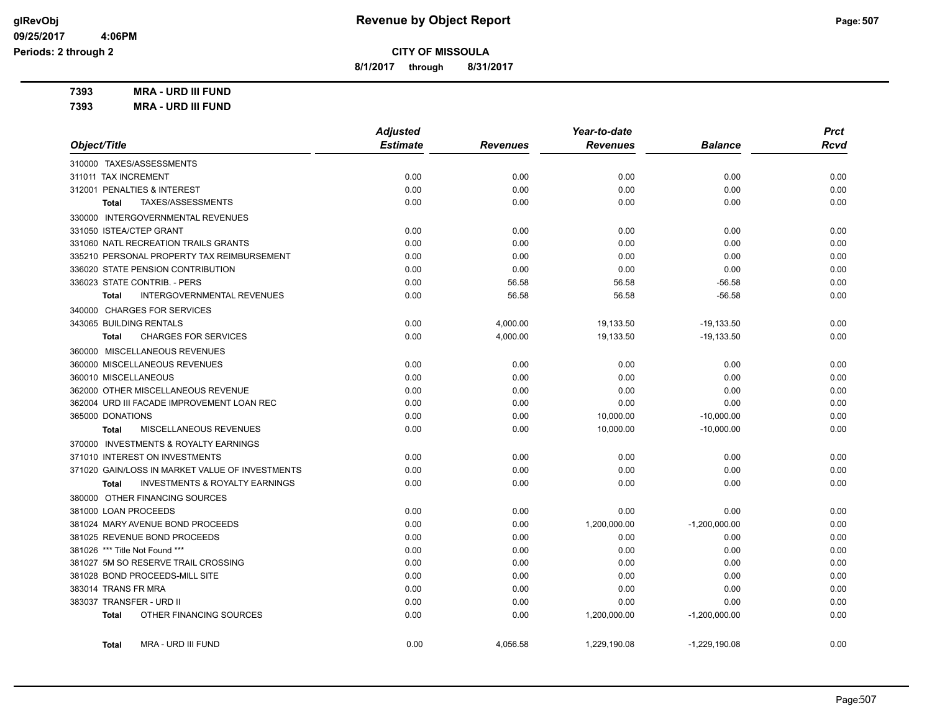**8/1/2017 through 8/31/2017**

**7393 MRA - URD III FUND**

**7393 MRA - URD III FUND**

|                                                           | <b>Adjusted</b> |                 | Year-to-date    |                 |             |
|-----------------------------------------------------------|-----------------|-----------------|-----------------|-----------------|-------------|
| Object/Title                                              | <b>Estimate</b> | <b>Revenues</b> | <b>Revenues</b> | <b>Balance</b>  | <b>Rcvd</b> |
| 310000 TAXES/ASSESSMENTS                                  |                 |                 |                 |                 |             |
| 311011 TAX INCREMENT                                      | 0.00            | 0.00            | 0.00            | 0.00            | 0.00        |
| 312001 PENALTIES & INTEREST                               | 0.00            | 0.00            | 0.00            | 0.00            | 0.00        |
| TAXES/ASSESSMENTS<br><b>Total</b>                         | 0.00            | 0.00            | 0.00            | 0.00            | 0.00        |
| 330000 INTERGOVERNMENTAL REVENUES                         |                 |                 |                 |                 |             |
| 331050 ISTEA/CTEP GRANT                                   | 0.00            | 0.00            | 0.00            | 0.00            | 0.00        |
| 331060 NATL RECREATION TRAILS GRANTS                      | 0.00            | 0.00            | 0.00            | 0.00            | 0.00        |
| 335210 PERSONAL PROPERTY TAX REIMBURSEMENT                | 0.00            | 0.00            | 0.00            | 0.00            | 0.00        |
| 336020 STATE PENSION CONTRIBUTION                         | 0.00            | 0.00            | 0.00            | 0.00            | 0.00        |
| 336023 STATE CONTRIB. - PERS                              | 0.00            | 56.58           | 56.58           | $-56.58$        | 0.00        |
| <b>INTERGOVERNMENTAL REVENUES</b><br><b>Total</b>         | 0.00            | 56.58           | 56.58           | $-56.58$        | 0.00        |
| 340000 CHARGES FOR SERVICES                               |                 |                 |                 |                 |             |
| 343065 BUILDING RENTALS                                   | 0.00            | 4,000.00        | 19,133.50       | $-19,133.50$    | 0.00        |
| <b>CHARGES FOR SERVICES</b><br>Total                      | 0.00            | 4,000.00        | 19,133.50       | $-19,133.50$    | 0.00        |
| 360000 MISCELLANEOUS REVENUES                             |                 |                 |                 |                 |             |
| 360000 MISCELLANEOUS REVENUES                             | 0.00            | 0.00            | 0.00            | 0.00            | 0.00        |
| 360010 MISCELLANEOUS                                      | 0.00            | 0.00            | 0.00            | 0.00            | 0.00        |
| 362000 OTHER MISCELLANEOUS REVENUE                        | 0.00            | 0.00            | 0.00            | 0.00            | 0.00        |
| 362004 URD III FACADE IMPROVEMENT LOAN REC                | 0.00            | 0.00            | 0.00            | 0.00            | 0.00        |
| 365000 DONATIONS                                          | 0.00            | 0.00            | 10,000.00       | $-10,000.00$    | 0.00        |
| MISCELLANEOUS REVENUES<br><b>Total</b>                    | 0.00            | 0.00            | 10,000.00       | $-10,000.00$    | 0.00        |
| 370000 INVESTMENTS & ROYALTY EARNINGS                     |                 |                 |                 |                 |             |
| 371010 INTEREST ON INVESTMENTS                            | 0.00            | 0.00            | 0.00            | 0.00            | 0.00        |
| 371020 GAIN/LOSS IN MARKET VALUE OF INVESTMENTS           | 0.00            | 0.00            | 0.00            | 0.00            | 0.00        |
| <b>INVESTMENTS &amp; ROYALTY EARNINGS</b><br><b>Total</b> | 0.00            | 0.00            | 0.00            | 0.00            | 0.00        |
| 380000 OTHER FINANCING SOURCES                            |                 |                 |                 |                 |             |
| 381000 LOAN PROCEEDS                                      | 0.00            | 0.00            | 0.00            | 0.00            | 0.00        |
| 381024 MARY AVENUE BOND PROCEEDS                          | 0.00            | 0.00            | 1,200,000.00    | $-1,200,000.00$ | 0.00        |
| 381025 REVENUE BOND PROCEEDS                              | 0.00            | 0.00            | 0.00            | 0.00            | 0.00        |
| 381026 *** Title Not Found ***                            | 0.00            | 0.00            | 0.00            | 0.00            | 0.00        |
| 381027 5M SO RESERVE TRAIL CROSSING                       | 0.00            | 0.00            | 0.00            | 0.00            | 0.00        |
| 381028 BOND PROCEEDS-MILL SITE                            | 0.00            | 0.00            | 0.00            | 0.00            | 0.00        |
| 383014 TRANS FR MRA                                       | 0.00            | 0.00            | 0.00            | 0.00            | 0.00        |
| 383037 TRANSFER - URD II                                  | 0.00            | 0.00            | 0.00            | 0.00            | 0.00        |
| OTHER FINANCING SOURCES<br><b>Total</b>                   | 0.00            | 0.00            | 1,200,000.00    | $-1,200,000.00$ | 0.00        |
| MRA - URD III FUND<br><b>Total</b>                        | 0.00            | 4,056.58        | 1,229,190.08    | $-1,229,190.08$ | 0.00        |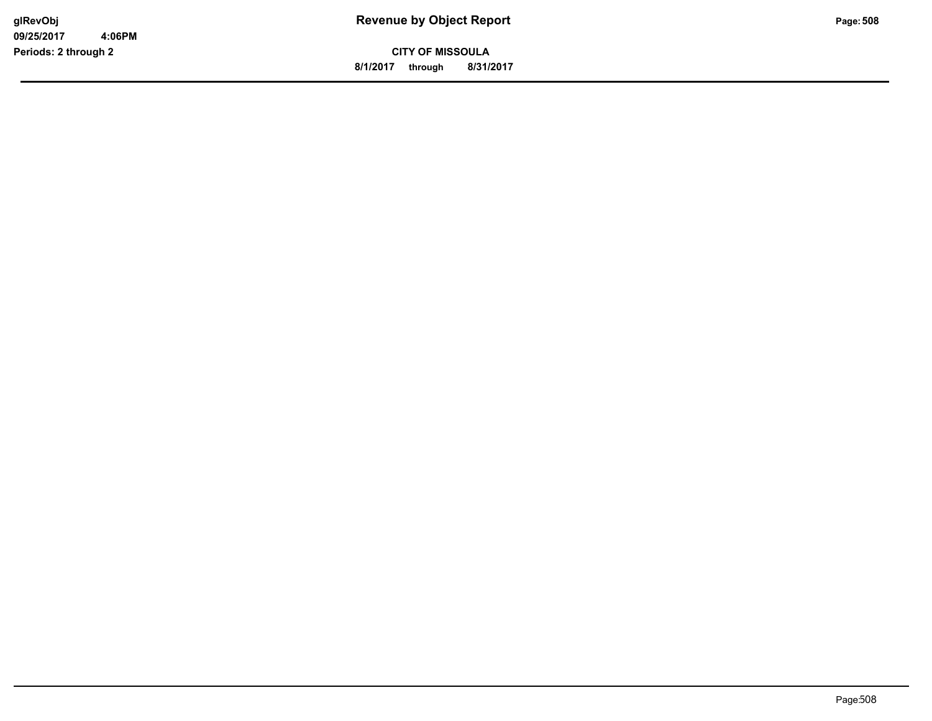**CITY OF MISSOULA 8/1/2017 through 8/31/2017**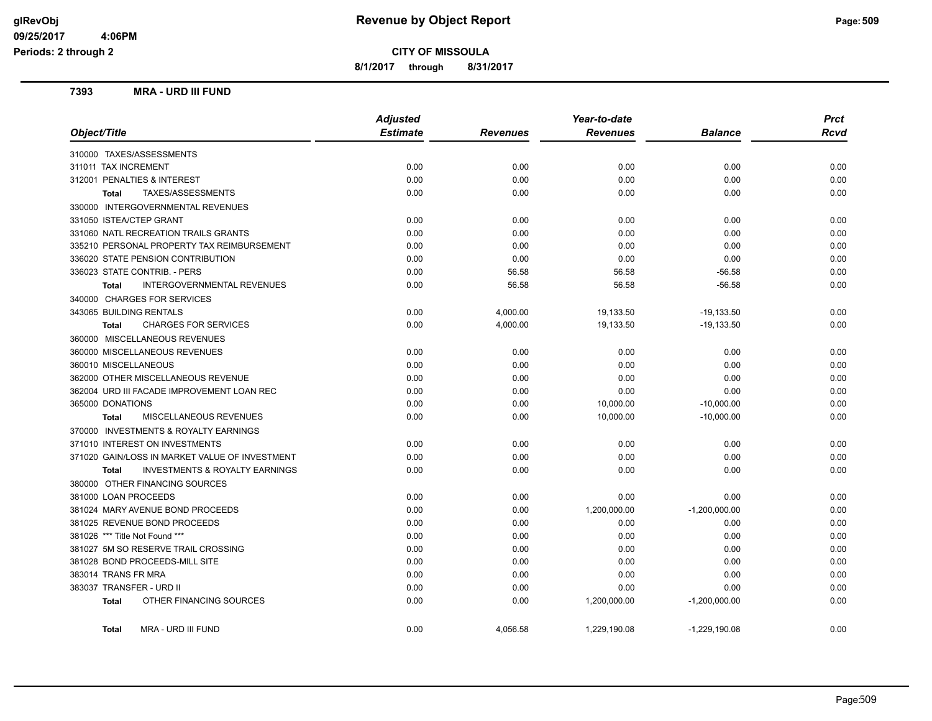**09/25/2017 4:06PM Periods: 2 through 2**

**CITY OF MISSOULA**

**8/1/2017 through 8/31/2017**

### **7393 MRA - URD III FUND**

|                                                    | <b>Adjusted</b> | Year-to-date    |                 |                 | <b>Prct</b> |
|----------------------------------------------------|-----------------|-----------------|-----------------|-----------------|-------------|
| Object/Title                                       | <b>Estimate</b> | <b>Revenues</b> | <b>Revenues</b> | <b>Balance</b>  | <b>Rcvd</b> |
| 310000 TAXES/ASSESSMENTS                           |                 |                 |                 |                 |             |
| 311011 TAX INCREMENT                               | 0.00            | 0.00            | 0.00            | 0.00            | 0.00        |
| 312001 PENALTIES & INTEREST                        | 0.00            | 0.00            | 0.00            | 0.00            | 0.00        |
| TAXES/ASSESSMENTS<br><b>Total</b>                  | 0.00            | 0.00            | 0.00            | 0.00            | 0.00        |
| 330000 INTERGOVERNMENTAL REVENUES                  |                 |                 |                 |                 |             |
| 331050 ISTEA/CTEP GRANT                            | 0.00            | 0.00            | 0.00            | 0.00            | 0.00        |
| 331060 NATL RECREATION TRAILS GRANTS               | 0.00            | 0.00            | 0.00            | 0.00            | 0.00        |
| 335210 PERSONAL PROPERTY TAX REIMBURSEMENT         | 0.00            | 0.00            | 0.00            | 0.00            | 0.00        |
| 336020 STATE PENSION CONTRIBUTION                  | 0.00            | 0.00            | 0.00            | 0.00            | 0.00        |
| 336023 STATE CONTRIB. - PERS                       | 0.00            | 56.58           | 56.58           | $-56.58$        | 0.00        |
| <b>INTERGOVERNMENTAL REVENUES</b><br>Total         | 0.00            | 56.58           | 56.58           | $-56.58$        | 0.00        |
| 340000 CHARGES FOR SERVICES                        |                 |                 |                 |                 |             |
| 343065 BUILDING RENTALS                            | 0.00            | 4,000.00        | 19,133.50       | $-19,133.50$    | 0.00        |
| <b>CHARGES FOR SERVICES</b><br><b>Total</b>        | 0.00            | 4,000.00        | 19,133.50       | $-19,133.50$    | 0.00        |
| 360000 MISCELLANEOUS REVENUES                      |                 |                 |                 |                 |             |
| 360000 MISCELLANEOUS REVENUES                      | 0.00            | 0.00            | 0.00            | 0.00            | 0.00        |
| 360010 MISCELLANEOUS                               | 0.00            | 0.00            | 0.00            | 0.00            | 0.00        |
| 362000 OTHER MISCELLANEOUS REVENUE                 | 0.00            | 0.00            | 0.00            | 0.00            | 0.00        |
| 362004 URD III FACADE IMPROVEMENT LOAN REC         | 0.00            | 0.00            | 0.00            | 0.00            | 0.00        |
| 365000 DONATIONS                                   | 0.00            | 0.00            | 10,000.00       | $-10,000.00$    | 0.00        |
| MISCELLANEOUS REVENUES<br><b>Total</b>             | 0.00            | 0.00            | 10,000.00       | $-10,000.00$    | 0.00        |
| 370000 INVESTMENTS & ROYALTY EARNINGS              |                 |                 |                 |                 |             |
| 371010 INTEREST ON INVESTMENTS                     | 0.00            | 0.00            | 0.00            | 0.00            | 0.00        |
| 371020 GAIN/LOSS IN MARKET VALUE OF INVESTMENT     | 0.00            | 0.00            | 0.00            | 0.00            | 0.00        |
| <b>INVESTMENTS &amp; ROYALTY EARNINGS</b><br>Total | 0.00            | 0.00            | 0.00            | 0.00            | 0.00        |
| 380000 OTHER FINANCING SOURCES                     |                 |                 |                 |                 |             |
| 381000 LOAN PROCEEDS                               | 0.00            | 0.00            | 0.00            | 0.00            | 0.00        |
| 381024 MARY AVENUE BOND PROCEEDS                   | 0.00            | 0.00            | 1,200,000.00    | $-1,200,000.00$ | 0.00        |
| 381025 REVENUE BOND PROCEEDS                       | 0.00            | 0.00            | 0.00            | 0.00            | 0.00        |
| 381026 *** Title Not Found ***                     | 0.00            | 0.00            | 0.00            | 0.00            | 0.00        |
| 381027 5M SO RESERVE TRAIL CROSSING                | 0.00            | 0.00            | 0.00            | 0.00            | 0.00        |
| 381028 BOND PROCEEDS-MILL SITE                     | 0.00            | 0.00            | 0.00            | 0.00            | 0.00        |
| 383014 TRANS FR MRA                                | 0.00            | 0.00            | 0.00            | 0.00            | 0.00        |
| 383037 TRANSFER - URD II                           | 0.00            | 0.00            | 0.00            | 0.00            | 0.00        |
| OTHER FINANCING SOURCES<br>Total                   | 0.00            | 0.00            | 1,200,000.00    | $-1,200,000.00$ | 0.00        |
| MRA - URD III FUND<br><b>Total</b>                 | 0.00            | 4,056.58        | 1,229,190.08    | $-1,229,190.08$ | 0.00        |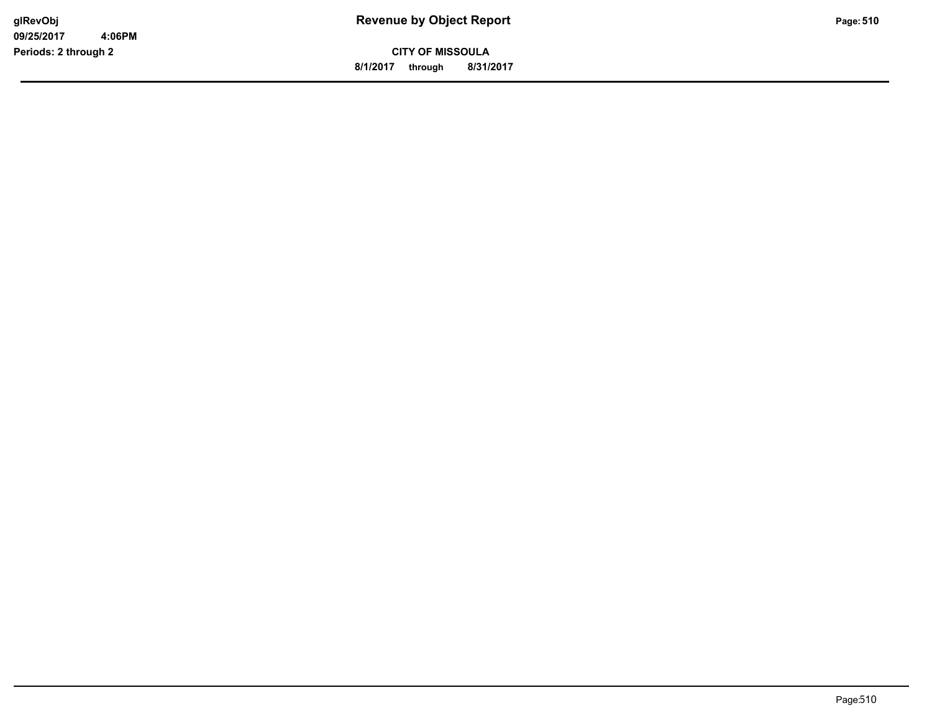**CITY OF MISSOULA 8/1/2017 through 8/31/2017**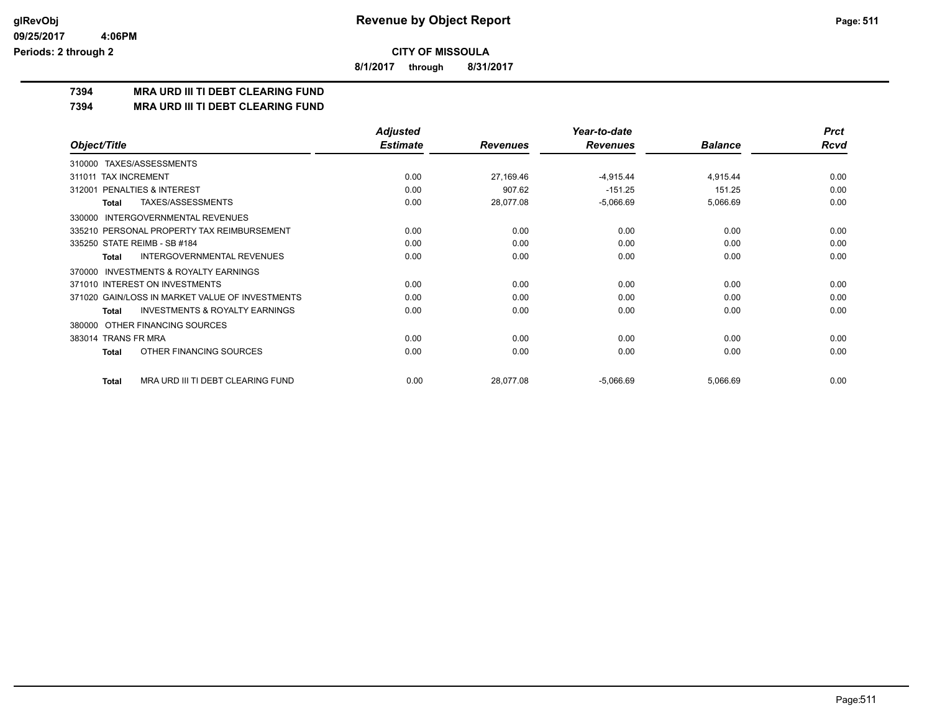**8/1/2017 through 8/31/2017**

## **7394 MRA URD III TI DEBT CLEARING FUND**

**7394 MRA URD III TI DEBT CLEARING FUND**

|                                                           | <b>Adjusted</b> |                 | Year-to-date    |                | <b>Prct</b> |
|-----------------------------------------------------------|-----------------|-----------------|-----------------|----------------|-------------|
| Object/Title                                              | <b>Estimate</b> | <b>Revenues</b> | <b>Revenues</b> | <b>Balance</b> | Rcvd        |
| TAXES/ASSESSMENTS<br>310000                               |                 |                 |                 |                |             |
| <b>TAX INCREMENT</b><br>311011                            | 0.00            | 27,169.46       | $-4,915.44$     | 4,915.44       | 0.00        |
| <b>PENALTIES &amp; INTEREST</b><br>312001                 | 0.00            | 907.62          | $-151.25$       | 151.25         | 0.00        |
| TAXES/ASSESSMENTS<br><b>Total</b>                         | 0.00            | 28,077.08       | $-5,066.69$     | 5,066.69       | 0.00        |
| INTERGOVERNMENTAL REVENUES<br>330000                      |                 |                 |                 |                |             |
| 335210 PERSONAL PROPERTY TAX REIMBURSEMENT                | 0.00            | 0.00            | 0.00            | 0.00           | 0.00        |
| 335250 STATE REIMB - SB #184                              | 0.00            | 0.00            | 0.00            | 0.00           | 0.00        |
| INTERGOVERNMENTAL REVENUES<br><b>Total</b>                | 0.00            | 0.00            | 0.00            | 0.00           | 0.00        |
| <b>INVESTMENTS &amp; ROYALTY EARNINGS</b><br>370000       |                 |                 |                 |                |             |
| 371010 INTEREST ON INVESTMENTS                            | 0.00            | 0.00            | 0.00            | 0.00           | 0.00        |
| 371020 GAIN/LOSS IN MARKET VALUE OF INVESTMENTS           | 0.00            | 0.00            | 0.00            | 0.00           | 0.00        |
| <b>INVESTMENTS &amp; ROYALTY EARNINGS</b><br><b>Total</b> | 0.00            | 0.00            | 0.00            | 0.00           | 0.00        |
| OTHER FINANCING SOURCES<br>380000                         |                 |                 |                 |                |             |
| 383014 TRANS FR MRA                                       | 0.00            | 0.00            | 0.00            | 0.00           | 0.00        |
| OTHER FINANCING SOURCES<br><b>Total</b>                   | 0.00            | 0.00            | 0.00            | 0.00           | 0.00        |
| MRA URD III TI DEBT CLEARING FUND<br><b>Total</b>         | 0.00            | 28,077.08       | $-5,066.69$     | 5,066.69       | 0.00        |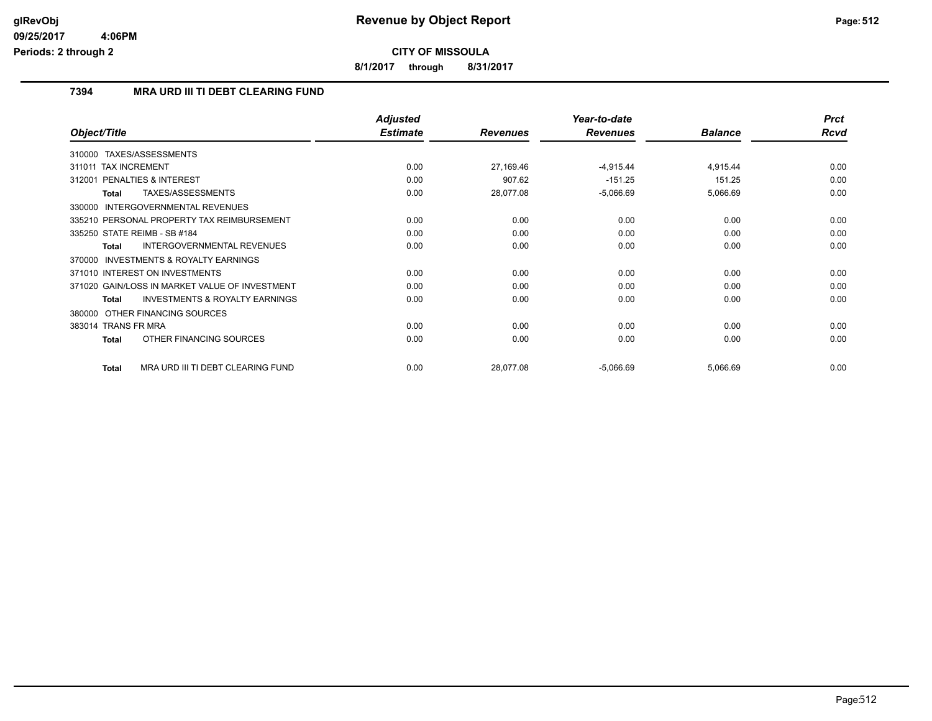**8/1/2017 through 8/31/2017**

### **7394 MRA URD III TI DEBT CLEARING FUND**

|                                                           | <b>Adjusted</b> |                 | Year-to-date    |                | <b>Prct</b> |
|-----------------------------------------------------------|-----------------|-----------------|-----------------|----------------|-------------|
| Object/Title                                              | <b>Estimate</b> | <b>Revenues</b> | <b>Revenues</b> | <b>Balance</b> | <b>Rcvd</b> |
| 310000 TAXES/ASSESSMENTS                                  |                 |                 |                 |                |             |
| 311011 TAX INCREMENT                                      | 0.00            | 27,169.46       | $-4,915.44$     | 4,915.44       | 0.00        |
| 312001 PENALTIES & INTEREST                               | 0.00            | 907.62          | $-151.25$       | 151.25         | 0.00        |
| TAXES/ASSESSMENTS<br><b>Total</b>                         | 0.00            | 28,077.08       | $-5,066.69$     | 5,066.69       | 0.00        |
| INTERGOVERNMENTAL REVENUES<br>330000                      |                 |                 |                 |                |             |
| 335210 PERSONAL PROPERTY TAX REIMBURSEMENT                | 0.00            | 0.00            | 0.00            | 0.00           | 0.00        |
| 335250 STATE REIMB - SB #184                              | 0.00            | 0.00            | 0.00            | 0.00           | 0.00        |
| <b>INTERGOVERNMENTAL REVENUES</b><br><b>Total</b>         | 0.00            | 0.00            | 0.00            | 0.00           | 0.00        |
| <b>INVESTMENTS &amp; ROYALTY EARNINGS</b><br>370000       |                 |                 |                 |                |             |
| 371010 INTEREST ON INVESTMENTS                            | 0.00            | 0.00            | 0.00            | 0.00           | 0.00        |
| 371020 GAIN/LOSS IN MARKET VALUE OF INVESTMENT            | 0.00            | 0.00            | 0.00            | 0.00           | 0.00        |
| <b>INVESTMENTS &amp; ROYALTY EARNINGS</b><br><b>Total</b> | 0.00            | 0.00            | 0.00            | 0.00           | 0.00        |
| OTHER FINANCING SOURCES<br>380000                         |                 |                 |                 |                |             |
| 383014 TRANS FR MRA                                       | 0.00            | 0.00            | 0.00            | 0.00           | 0.00        |
| OTHER FINANCING SOURCES<br><b>Total</b>                   | 0.00            | 0.00            | 0.00            | 0.00           | 0.00        |
| MRA URD III TI DEBT CLEARING FUND<br><b>Total</b>         | 0.00            | 28,077.08       | $-5,066.69$     | 5,066.69       | 0.00        |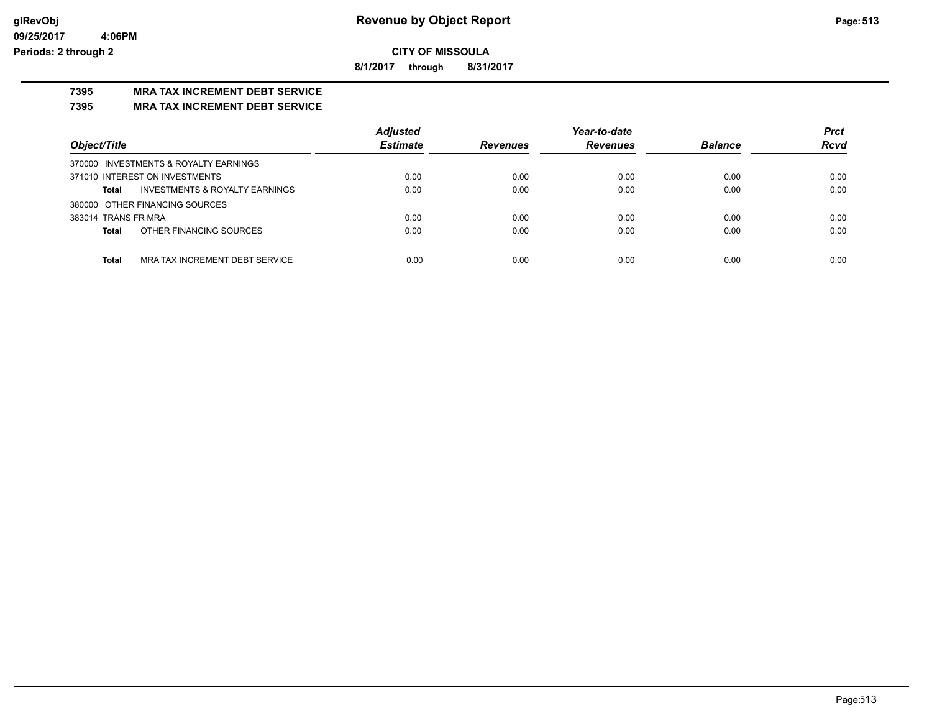**8/1/2017 through 8/31/2017**

# **7395 MRA TAX INCREMENT DEBT SERVICE**

# **7395 MRA TAX INCREMENT DEBT SERVICE**

|                                         | <b>Adjusted</b> |                 | Year-to-date    |                | <b>Prct</b> |
|-----------------------------------------|-----------------|-----------------|-----------------|----------------|-------------|
| Object/Title                            | <b>Estimate</b> | <b>Revenues</b> | <b>Revenues</b> | <b>Balance</b> | <b>Rcvd</b> |
| 370000 INVESTMENTS & ROYALTY EARNINGS   |                 |                 |                 |                |             |
| 371010 INTEREST ON INVESTMENTS          | 0.00            | 0.00            | 0.00            | 0.00           | 0.00        |
| INVESTMENTS & ROYALTY EARNINGS<br>Total | 0.00            | 0.00            | 0.00            | 0.00           | 0.00        |
| 380000 OTHER FINANCING SOURCES          |                 |                 |                 |                |             |
| 383014 TRANS FR MRA                     | 0.00            | 0.00            | 0.00            | 0.00           | 0.00        |
| OTHER FINANCING SOURCES<br>Total        | 0.00            | 0.00            | 0.00            | 0.00           | 0.00        |
|                                         |                 |                 |                 |                |             |
| MRA TAX INCREMENT DEBT SERVICE<br>Total | 0.00            | 0.00            | 0.00            | 0.00           | 0.00        |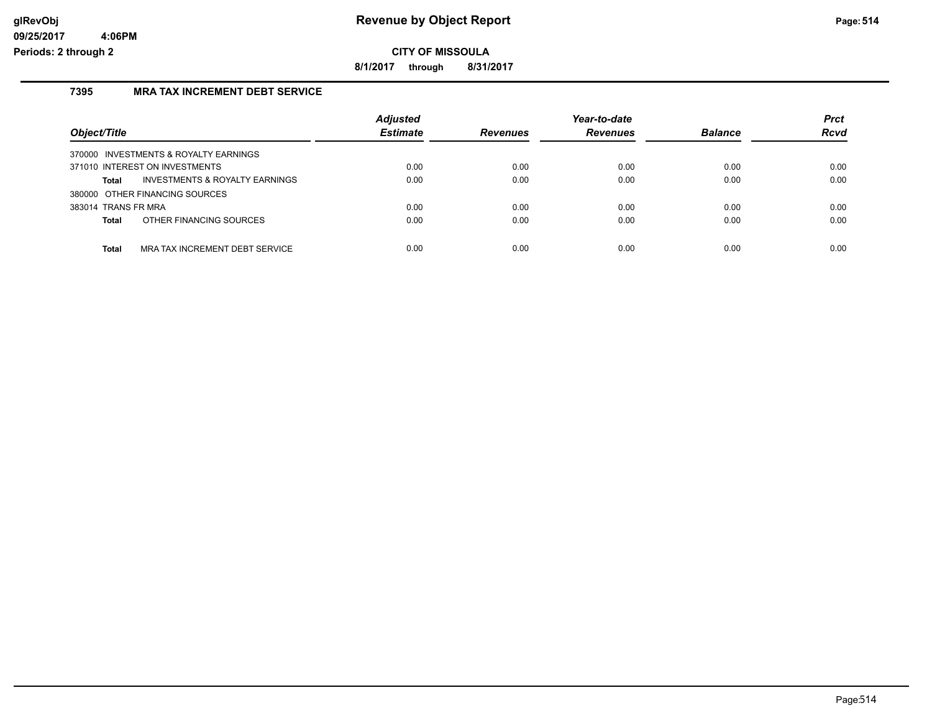**8/1/2017 through 8/31/2017**

### **7395 MRA TAX INCREMENT DEBT SERVICE**

|                                                | <b>Adjusted</b> |                 | Year-to-date    |                | <b>Prct</b> |
|------------------------------------------------|-----------------|-----------------|-----------------|----------------|-------------|
| Object/Title                                   | <b>Estimate</b> | <b>Revenues</b> | <b>Revenues</b> | <b>Balance</b> | <b>Rcvd</b> |
| 370000 INVESTMENTS & ROYALTY EARNINGS          |                 |                 |                 |                |             |
| 371010 INTEREST ON INVESTMENTS                 | 0.00            | 0.00            | 0.00            | 0.00           | 0.00        |
| INVESTMENTS & ROYALTY EARNINGS<br>Total        | 0.00            | 0.00            | 0.00            | 0.00           | 0.00        |
| 380000 OTHER FINANCING SOURCES                 |                 |                 |                 |                |             |
| 383014 TRANS FR MRA                            | 0.00            | 0.00            | 0.00            | 0.00           | 0.00        |
| OTHER FINANCING SOURCES<br>Total               | 0.00            | 0.00            | 0.00            | 0.00           | 0.00        |
|                                                |                 |                 |                 |                |             |
| MRA TAX INCREMENT DEBT SERVICE<br><b>Total</b> | 0.00            | 0.00            | 0.00            | 0.00           | 0.00        |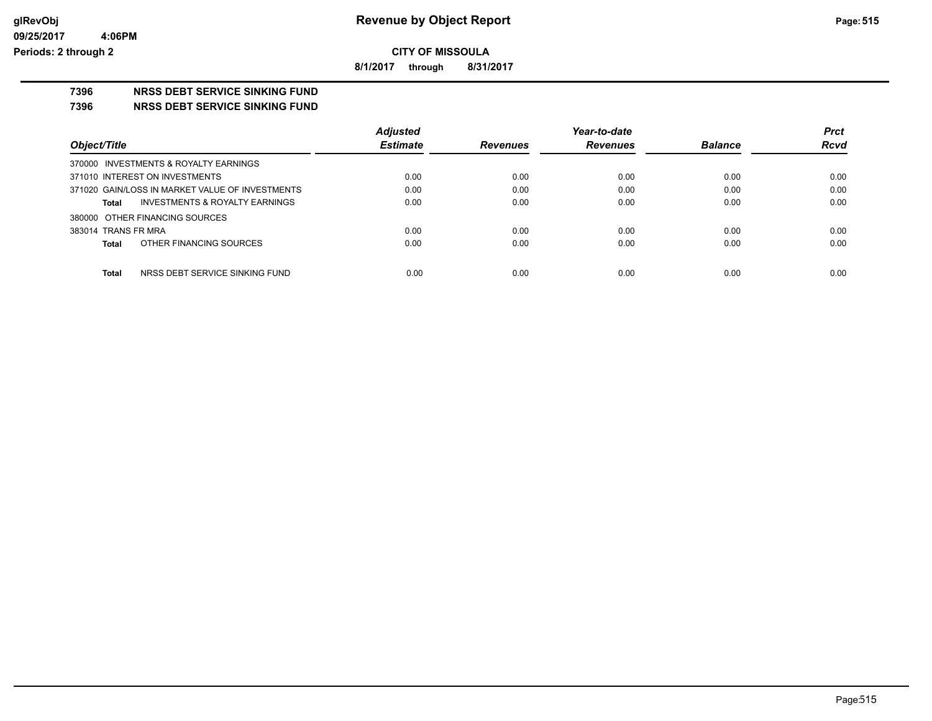**8/1/2017 through 8/31/2017**

# **7396 NRSS DEBT SERVICE SINKING FUND**

**7396 NRSS DEBT SERVICE SINKING FUND**

|                                                           | <b>Adjusted</b> |                 | Year-to-date    |                | <b>Prct</b> |
|-----------------------------------------------------------|-----------------|-----------------|-----------------|----------------|-------------|
| Object/Title                                              | <b>Estimate</b> | <b>Revenues</b> | <b>Revenues</b> | <b>Balance</b> | <b>Rcvd</b> |
| 370000 INVESTMENTS & ROYALTY EARNINGS                     |                 |                 |                 |                |             |
| 371010 INTEREST ON INVESTMENTS                            | 0.00            | 0.00            | 0.00            | 0.00           | 0.00        |
| 371020 GAIN/LOSS IN MARKET VALUE OF INVESTMENTS           | 0.00            | 0.00            | 0.00            | 0.00           | 0.00        |
| <b>INVESTMENTS &amp; ROYALTY EARNINGS</b><br><b>Total</b> | 0.00            | 0.00            | 0.00            | 0.00           | 0.00        |
| 380000 OTHER FINANCING SOURCES                            |                 |                 |                 |                |             |
| 383014 TRANS FR MRA                                       | 0.00            | 0.00            | 0.00            | 0.00           | 0.00        |
| OTHER FINANCING SOURCES<br><b>Total</b>                   | 0.00            | 0.00            | 0.00            | 0.00           | 0.00        |
|                                                           |                 |                 |                 |                |             |
| <b>Total</b><br>NRSS DEBT SERVICE SINKING FUND            | 0.00            | 0.00            | 0.00            | 0.00           | 0.00        |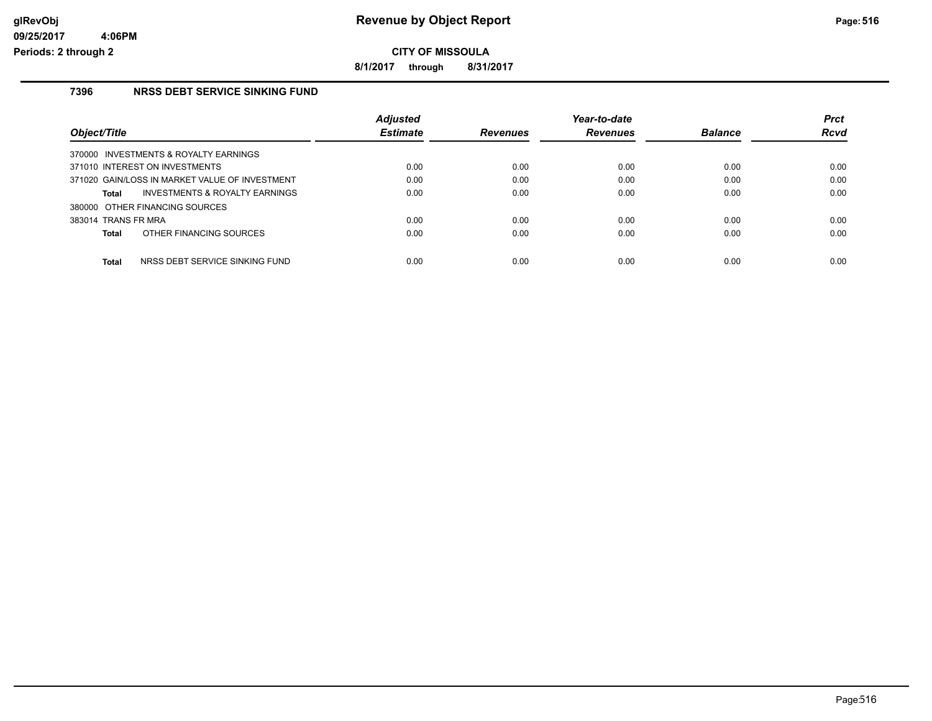**8/1/2017 through 8/31/2017**

### **7396 NRSS DEBT SERVICE SINKING FUND**

|                                                | <b>Adjusted</b> |                 | Year-to-date    |                | <b>Prct</b> |
|------------------------------------------------|-----------------|-----------------|-----------------|----------------|-------------|
| Object/Title                                   | <b>Estimate</b> | <b>Revenues</b> | <b>Revenues</b> | <b>Balance</b> | <b>Rcvd</b> |
| 370000 INVESTMENTS & ROYALTY EARNINGS          |                 |                 |                 |                |             |
| 371010 INTEREST ON INVESTMENTS                 | 0.00            | 0.00            | 0.00            | 0.00           | 0.00        |
| 371020 GAIN/LOSS IN MARKET VALUE OF INVESTMENT | 0.00            | 0.00            | 0.00            | 0.00           | 0.00        |
| INVESTMENTS & ROYALTY EARNINGS<br><b>Total</b> | 0.00            | 0.00            | 0.00            | 0.00           | 0.00        |
| 380000 OTHER FINANCING SOURCES                 |                 |                 |                 |                |             |
| 383014 TRANS FR MRA                            | 0.00            | 0.00            | 0.00            | 0.00           | 0.00        |
| OTHER FINANCING SOURCES<br><b>Total</b>        | 0.00            | 0.00            | 0.00            | 0.00           | 0.00        |
|                                                |                 |                 |                 |                |             |
| <b>Total</b><br>NRSS DEBT SERVICE SINKING FUND | 0.00            | 0.00            | 0.00            | 0.00           | 0.00        |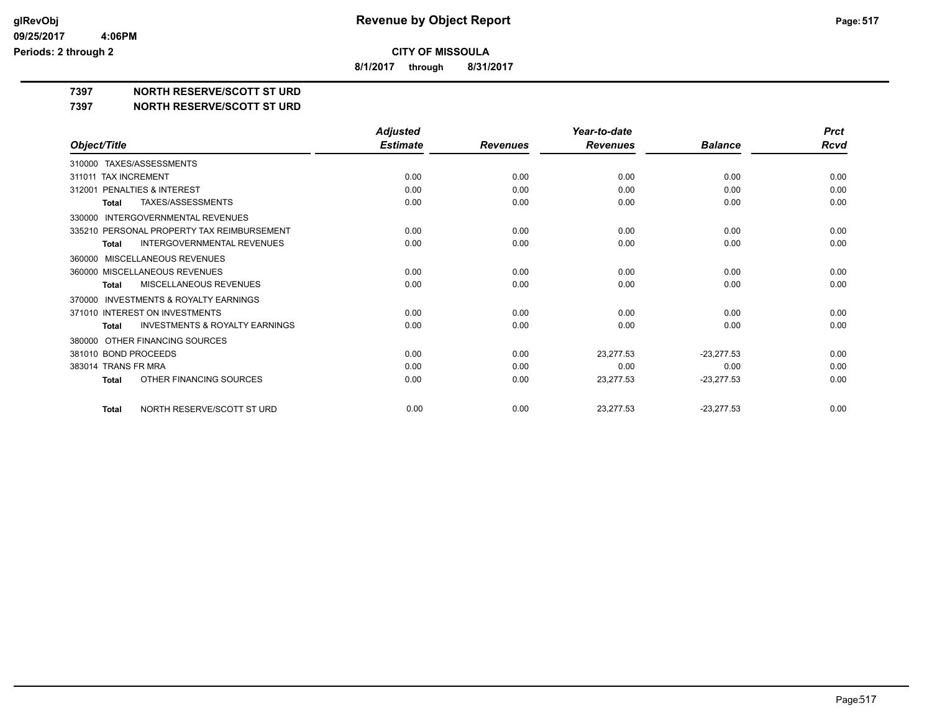**8/1/2017 through 8/31/2017**

**7397 NORTH RESERVE/SCOTT ST URD**

**7397 NORTH RESERVE/SCOTT ST URD**

|                                                           | <b>Adjusted</b> |                 | Year-to-date    |                | <b>Prct</b> |
|-----------------------------------------------------------|-----------------|-----------------|-----------------|----------------|-------------|
| Object/Title                                              | <b>Estimate</b> | <b>Revenues</b> | <b>Revenues</b> | <b>Balance</b> | <b>Rcvd</b> |
| TAXES/ASSESSMENTS<br>310000                               |                 |                 |                 |                |             |
| 311011 TAX INCREMENT                                      | 0.00            | 0.00            | 0.00            | 0.00           | 0.00        |
| PENALTIES & INTEREST<br>312001                            | 0.00            | 0.00            | 0.00            | 0.00           | 0.00        |
| TAXES/ASSESSMENTS<br>Total                                | 0.00            | 0.00            | 0.00            | 0.00           | 0.00        |
| INTERGOVERNMENTAL REVENUES<br>330000                      |                 |                 |                 |                |             |
| 335210 PERSONAL PROPERTY TAX REIMBURSEMENT                | 0.00            | 0.00            | 0.00            | 0.00           | 0.00        |
| <b>INTERGOVERNMENTAL REVENUES</b><br><b>Total</b>         | 0.00            | 0.00            | 0.00            | 0.00           | 0.00        |
| <b>MISCELLANEOUS REVENUES</b><br>360000                   |                 |                 |                 |                |             |
| 360000 MISCELLANEOUS REVENUES                             | 0.00            | 0.00            | 0.00            | 0.00           | 0.00        |
| <b>MISCELLANEOUS REVENUES</b><br><b>Total</b>             | 0.00            | 0.00            | 0.00            | 0.00           | 0.00        |
| <b>INVESTMENTS &amp; ROYALTY EARNINGS</b><br>370000       |                 |                 |                 |                |             |
| 371010 INTEREST ON INVESTMENTS                            | 0.00            | 0.00            | 0.00            | 0.00           | 0.00        |
| <b>INVESTMENTS &amp; ROYALTY EARNINGS</b><br><b>Total</b> | 0.00            | 0.00            | 0.00            | 0.00           | 0.00        |
| OTHER FINANCING SOURCES<br>380000                         |                 |                 |                 |                |             |
| 381010 BOND PROCEEDS                                      | 0.00            | 0.00            | 23,277.53       | $-23,277.53$   | 0.00        |
| 383014 TRANS FR MRA                                       | 0.00            | 0.00            | 0.00            | 0.00           | 0.00        |
| OTHER FINANCING SOURCES<br><b>Total</b>                   | 0.00            | 0.00            | 23,277.53       | $-23,277.53$   | 0.00        |
| NORTH RESERVE/SCOTT ST URD<br><b>Total</b>                | 0.00            | 0.00            | 23,277.53       | $-23,277.53$   | 0.00        |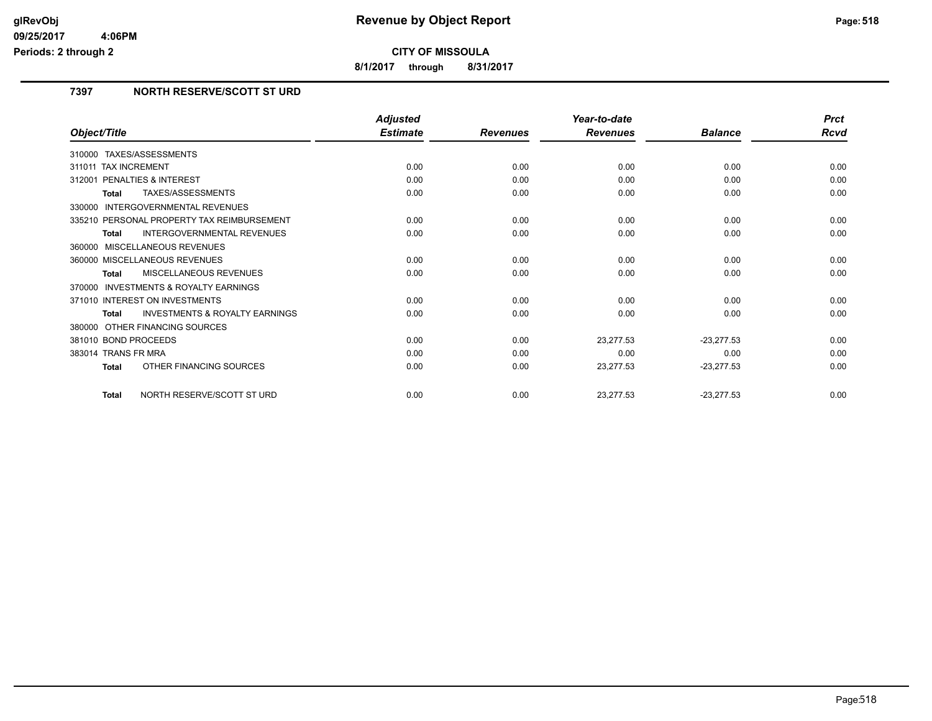**8/1/2017 through 8/31/2017**

# **7397 NORTH RESERVE/SCOTT ST URD**

|                                                           | <b>Adjusted</b> |                 | Year-to-date    |                | <b>Prct</b> |
|-----------------------------------------------------------|-----------------|-----------------|-----------------|----------------|-------------|
| Object/Title                                              | <b>Estimate</b> | <b>Revenues</b> | <b>Revenues</b> | <b>Balance</b> | <b>Rcvd</b> |
| 310000 TAXES/ASSESSMENTS                                  |                 |                 |                 |                |             |
| 311011 TAX INCREMENT                                      | 0.00            | 0.00            | 0.00            | 0.00           | 0.00        |
| PENALTIES & INTEREST<br>312001                            | 0.00            | 0.00            | 0.00            | 0.00           | 0.00        |
| TAXES/ASSESSMENTS<br><b>Total</b>                         | 0.00            | 0.00            | 0.00            | 0.00           | 0.00        |
| <b>INTERGOVERNMENTAL REVENUES</b><br>330000               |                 |                 |                 |                |             |
| 335210 PERSONAL PROPERTY TAX REIMBURSEMENT                | 0.00            | 0.00            | 0.00            | 0.00           | 0.00        |
| INTERGOVERNMENTAL REVENUES<br><b>Total</b>                | 0.00            | 0.00            | 0.00            | 0.00           | 0.00        |
| 360000 MISCELLANEOUS REVENUES                             |                 |                 |                 |                |             |
| 360000 MISCELLANEOUS REVENUES                             | 0.00            | 0.00            | 0.00            | 0.00           | 0.00        |
| <b>MISCELLANEOUS REVENUES</b><br><b>Total</b>             | 0.00            | 0.00            | 0.00            | 0.00           | 0.00        |
| 370000 INVESTMENTS & ROYALTY EARNINGS                     |                 |                 |                 |                |             |
| 371010 INTEREST ON INVESTMENTS                            | 0.00            | 0.00            | 0.00            | 0.00           | 0.00        |
| <b>INVESTMENTS &amp; ROYALTY EARNINGS</b><br><b>Total</b> | 0.00            | 0.00            | 0.00            | 0.00           | 0.00        |
| 380000 OTHER FINANCING SOURCES                            |                 |                 |                 |                |             |
| 381010 BOND PROCEEDS                                      | 0.00            | 0.00            | 23,277.53       | $-23,277.53$   | 0.00        |
| 383014 TRANS FR MRA                                       | 0.00            | 0.00            | 0.00            | 0.00           | 0.00        |
| OTHER FINANCING SOURCES<br><b>Total</b>                   | 0.00            | 0.00            | 23,277.53       | $-23,277.53$   | 0.00        |
| NORTH RESERVE/SCOTT ST URD<br><b>Total</b>                | 0.00            | 0.00            | 23,277.53       | $-23,277.53$   | 0.00        |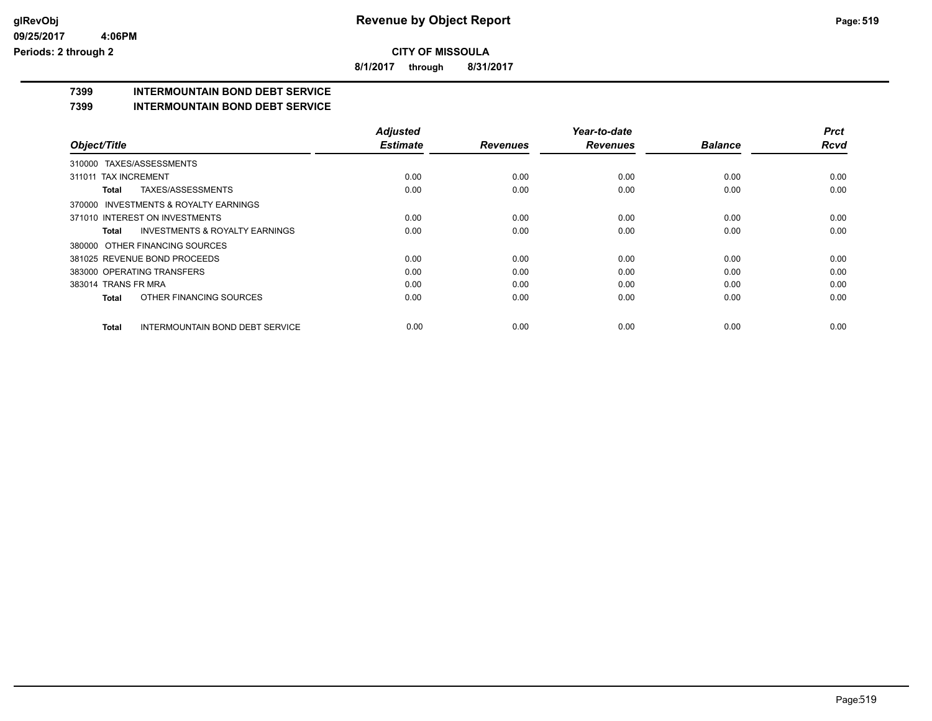**8/1/2017 through 8/31/2017**

# **7399 INTERMOUNTAIN BOND DEBT SERVICE**

# **7399 INTERMOUNTAIN BOND DEBT SERVICE**

|                     |                                           | <b>Adjusted</b> |                 | Year-to-date    |                | <b>Prct</b> |
|---------------------|-------------------------------------------|-----------------|-----------------|-----------------|----------------|-------------|
| Object/Title        |                                           | <b>Estimate</b> | <b>Revenues</b> | <b>Revenues</b> | <b>Balance</b> | <b>Rcvd</b> |
|                     | 310000 TAXES/ASSESSMENTS                  |                 |                 |                 |                |             |
| 311011              | <b>TAX INCREMENT</b>                      | 0.00            | 0.00            | 0.00            | 0.00           | 0.00        |
| Total               | TAXES/ASSESSMENTS                         | 0.00            | 0.00            | 0.00            | 0.00           | 0.00        |
|                     | 370000 INVESTMENTS & ROYALTY EARNINGS     |                 |                 |                 |                |             |
|                     | 371010 INTEREST ON INVESTMENTS            | 0.00            | 0.00            | 0.00            | 0.00           | 0.00        |
| Total               | <b>INVESTMENTS &amp; ROYALTY EARNINGS</b> | 0.00            | 0.00            | 0.00            | 0.00           | 0.00        |
|                     | 380000 OTHER FINANCING SOURCES            |                 |                 |                 |                |             |
|                     | 381025 REVENUE BOND PROCEEDS              | 0.00            | 0.00            | 0.00            | 0.00           | 0.00        |
|                     | 383000 OPERATING TRANSFERS                | 0.00            | 0.00            | 0.00            | 0.00           | 0.00        |
| 383014 TRANS FR MRA |                                           | 0.00            | 0.00            | 0.00            | 0.00           | 0.00        |
| Total               | OTHER FINANCING SOURCES                   | 0.00            | 0.00            | 0.00            | 0.00           | 0.00        |
| <b>Total</b>        | INTERMOUNTAIN BOND DEBT SERVICE           | 0.00            | 0.00            | 0.00            | 0.00           | 0.00        |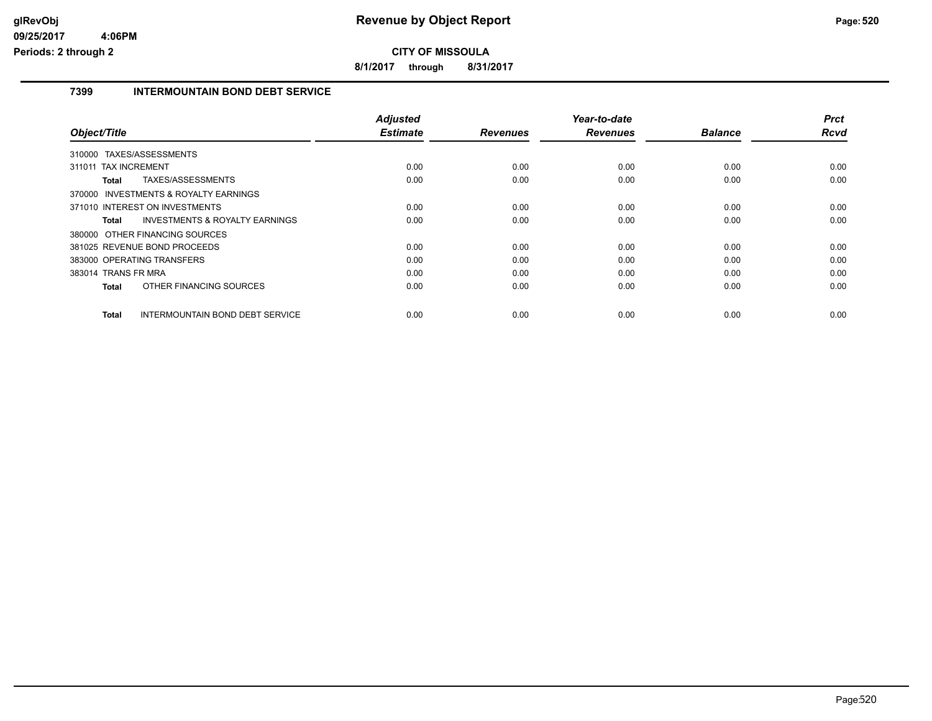**8/1/2017 through 8/31/2017**

### **7399 INTERMOUNTAIN BOND DEBT SERVICE**

| Object/Title                                       | <b>Adjusted</b><br><b>Estimate</b> | <b>Revenues</b> | Year-to-date<br><b>Revenues</b> | <b>Balance</b> | <b>Prct</b><br><b>Rcvd</b> |
|----------------------------------------------------|------------------------------------|-----------------|---------------------------------|----------------|----------------------------|
|                                                    |                                    |                 |                                 |                |                            |
| 310000 TAXES/ASSESSMENTS                           |                                    |                 |                                 |                |                            |
| 311011 TAX INCREMENT                               | 0.00                               | 0.00            | 0.00                            | 0.00           | 0.00                       |
| TAXES/ASSESSMENTS<br><b>Total</b>                  | 0.00                               | 0.00            | 0.00                            | 0.00           | 0.00                       |
| 370000 INVESTMENTS & ROYALTY EARNINGS              |                                    |                 |                                 |                |                            |
| 371010 INTEREST ON INVESTMENTS                     | 0.00                               | 0.00            | 0.00                            | 0.00           | 0.00                       |
| <b>INVESTMENTS &amp; ROYALTY EARNINGS</b><br>Total | 0.00                               | 0.00            | 0.00                            | 0.00           | 0.00                       |
| 380000 OTHER FINANCING SOURCES                     |                                    |                 |                                 |                |                            |
| 381025 REVENUE BOND PROCEEDS                       | 0.00                               | 0.00            | 0.00                            | 0.00           | 0.00                       |
| 383000 OPERATING TRANSFERS                         | 0.00                               | 0.00            | 0.00                            | 0.00           | 0.00                       |
| 383014 TRANS FR MRA                                | 0.00                               | 0.00            | 0.00                            | 0.00           | 0.00                       |
| OTHER FINANCING SOURCES<br><b>Total</b>            | 0.00                               | 0.00            | 0.00                            | 0.00           | 0.00                       |
| INTERMOUNTAIN BOND DEBT SERVICE<br><b>Total</b>    | 0.00                               | 0.00            | 0.00                            | 0.00           | 0.00                       |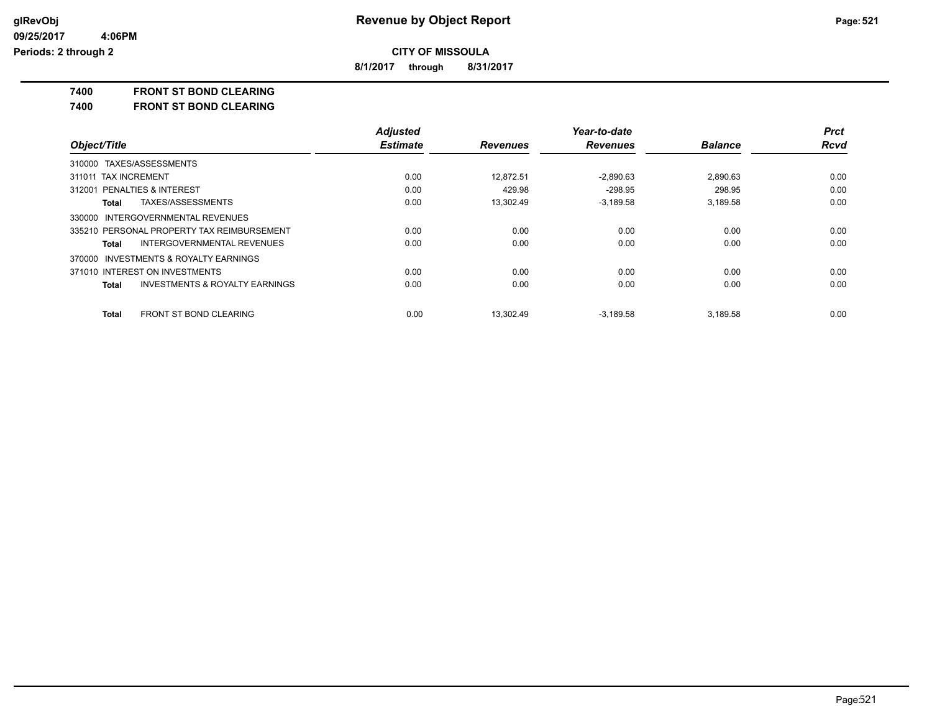**8/1/2017 through 8/31/2017**

**7400 FRONT ST BOND CLEARING**

**7400 FRONT ST BOND CLEARING**

|                                                    | <b>Adjusted</b> |                 | Year-to-date    |                | <b>Prct</b> |
|----------------------------------------------------|-----------------|-----------------|-----------------|----------------|-------------|
| Object/Title                                       | <b>Estimate</b> | <b>Revenues</b> | <b>Revenues</b> | <b>Balance</b> | <b>Rcvd</b> |
| 310000 TAXES/ASSESSMENTS                           |                 |                 |                 |                |             |
| 311011 TAX INCREMENT                               | 0.00            | 12.872.51       | $-2,890.63$     | 2,890.63       | 0.00        |
| 312001 PENALTIES & INTEREST                        | 0.00            | 429.98          | $-298.95$       | 298.95         | 0.00        |
| TAXES/ASSESSMENTS<br>Total                         | 0.00            | 13,302.49       | $-3.189.58$     | 3.189.58       | 0.00        |
| 330000 INTERGOVERNMENTAL REVENUES                  |                 |                 |                 |                |             |
| 335210 PERSONAL PROPERTY TAX REIMBURSEMENT         | 0.00            | 0.00            | 0.00            | 0.00           | 0.00        |
| INTERGOVERNMENTAL REVENUES<br>Total                | 0.00            | 0.00            | 0.00            | 0.00           | 0.00        |
| 370000 INVESTMENTS & ROYALTY EARNINGS              |                 |                 |                 |                |             |
| 371010 INTEREST ON INVESTMENTS                     | 0.00            | 0.00            | 0.00            | 0.00           | 0.00        |
| <b>INVESTMENTS &amp; ROYALTY EARNINGS</b><br>Total | 0.00            | 0.00            | 0.00            | 0.00           | 0.00        |
| FRONT ST BOND CLEARING<br>Total                    | 0.00            | 13.302.49       | $-3.189.58$     | 3.189.58       | 0.00        |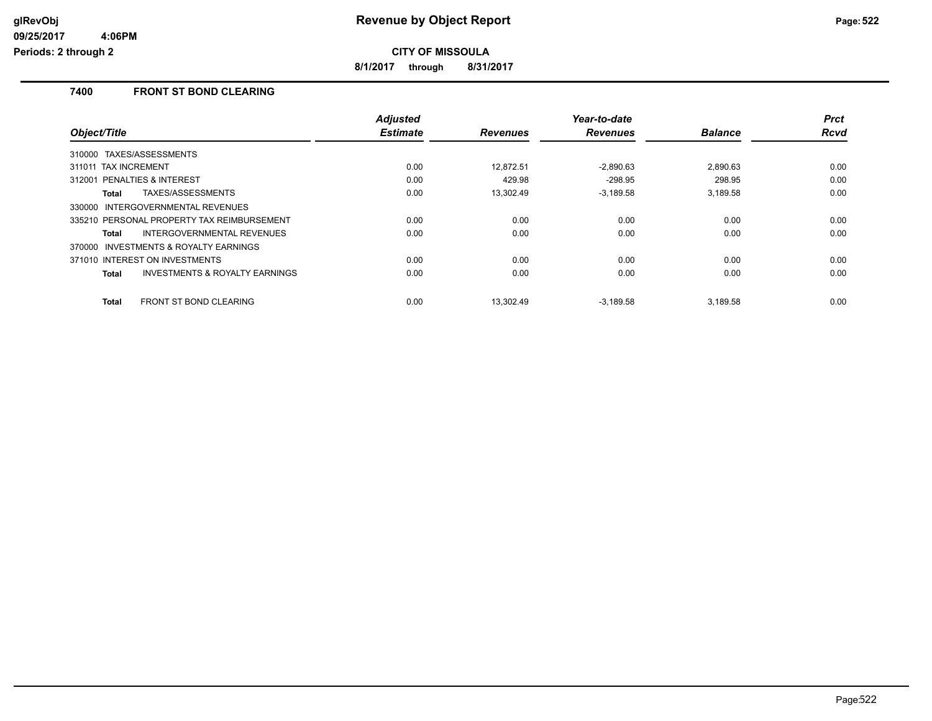**8/1/2017 through 8/31/2017**

### **7400 FRONT ST BOND CLEARING**

| Object/Title                                       | <b>Adjusted</b><br><b>Estimate</b> | <b>Revenues</b> | Year-to-date<br><b>Revenues</b> | <b>Balance</b> | <b>Prct</b><br>Rcvd |
|----------------------------------------------------|------------------------------------|-----------------|---------------------------------|----------------|---------------------|
|                                                    |                                    |                 |                                 |                |                     |
| TAXES/ASSESSMENTS<br>310000                        |                                    |                 |                                 |                |                     |
| <b>TAX INCREMENT</b><br>311011                     | 0.00                               | 12.872.51       | $-2,890.63$                     | 2.890.63       | 0.00                |
| PENALTIES & INTEREST<br>312001                     | 0.00                               | 429.98          | $-298.95$                       | 298.95         | 0.00                |
| TAXES/ASSESSMENTS<br>Total                         | 0.00                               | 13,302.49       | $-3,189.58$                     | 3.189.58       | 0.00                |
| 330000 INTERGOVERNMENTAL REVENUES                  |                                    |                 |                                 |                |                     |
| 335210 PERSONAL PROPERTY TAX REIMBURSEMENT         | 0.00                               | 0.00            | 0.00                            | 0.00           | 0.00                |
| INTERGOVERNMENTAL REVENUES<br>Total                | 0.00                               | 0.00            | 0.00                            | 0.00           | 0.00                |
| 370000 INVESTMENTS & ROYALTY EARNINGS              |                                    |                 |                                 |                |                     |
| 371010 INTEREST ON INVESTMENTS                     | 0.00                               | 0.00            | 0.00                            | 0.00           | 0.00                |
| <b>INVESTMENTS &amp; ROYALTY EARNINGS</b><br>Total | 0.00                               | 0.00            | 0.00                            | 0.00           | 0.00                |
| FRONT ST BOND CLEARING<br><b>Total</b>             | 0.00                               | 13.302.49       | $-3.189.58$                     | 3.189.58       | 0.00                |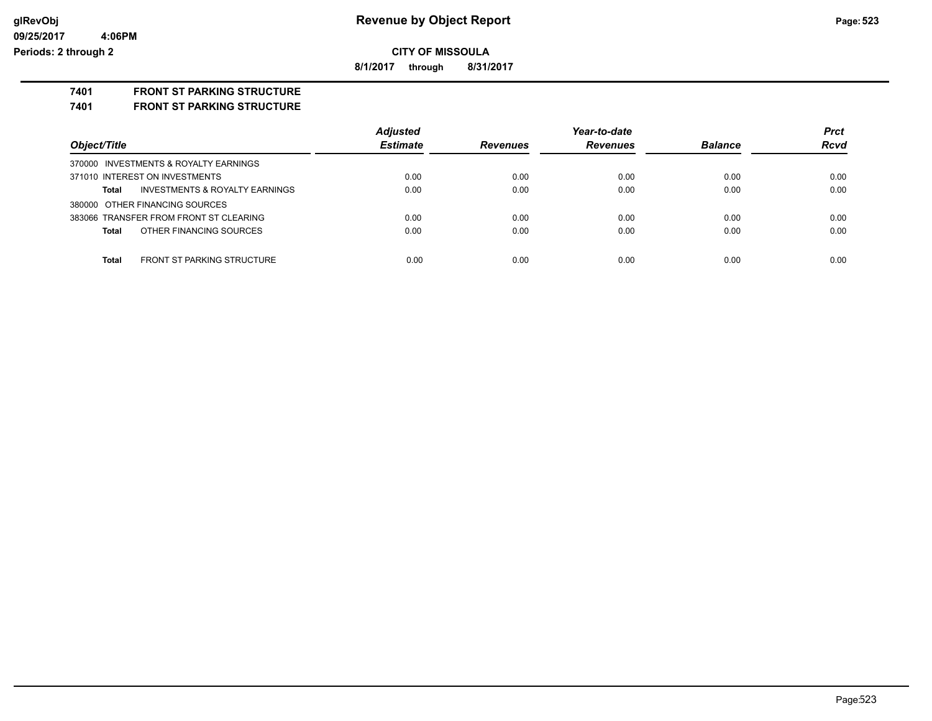**8/1/2017 through 8/31/2017**

# **7401 FRONT ST PARKING STRUCTURE**

**7401 FRONT ST PARKING STRUCTURE**

|                                                | <b>Adjusted</b> |                 | Year-to-date    |                | <b>Prct</b> |
|------------------------------------------------|-----------------|-----------------|-----------------|----------------|-------------|
| Object/Title                                   | <b>Estimate</b> | <b>Revenues</b> | <b>Revenues</b> | <b>Balance</b> | <b>Rcvd</b> |
| 370000 INVESTMENTS & ROYALTY EARNINGS          |                 |                 |                 |                |             |
| 371010 INTEREST ON INVESTMENTS                 | 0.00            | 0.00            | 0.00            | 0.00           | 0.00        |
| INVESTMENTS & ROYALTY EARNINGS<br><b>Total</b> | 0.00            | 0.00            | 0.00            | 0.00           | 0.00        |
| 380000 OTHER FINANCING SOURCES                 |                 |                 |                 |                |             |
| 383066 TRANSFER FROM FRONT ST CLEARING         | 0.00            | 0.00            | 0.00            | 0.00           | 0.00        |
| OTHER FINANCING SOURCES<br><b>Total</b>        | 0.00            | 0.00            | 0.00            | 0.00           | 0.00        |
|                                                |                 |                 |                 |                |             |
| FRONT ST PARKING STRUCTURE<br><b>Total</b>     | 0.00            | 0.00            | 0.00            | 0.00           | 0.00        |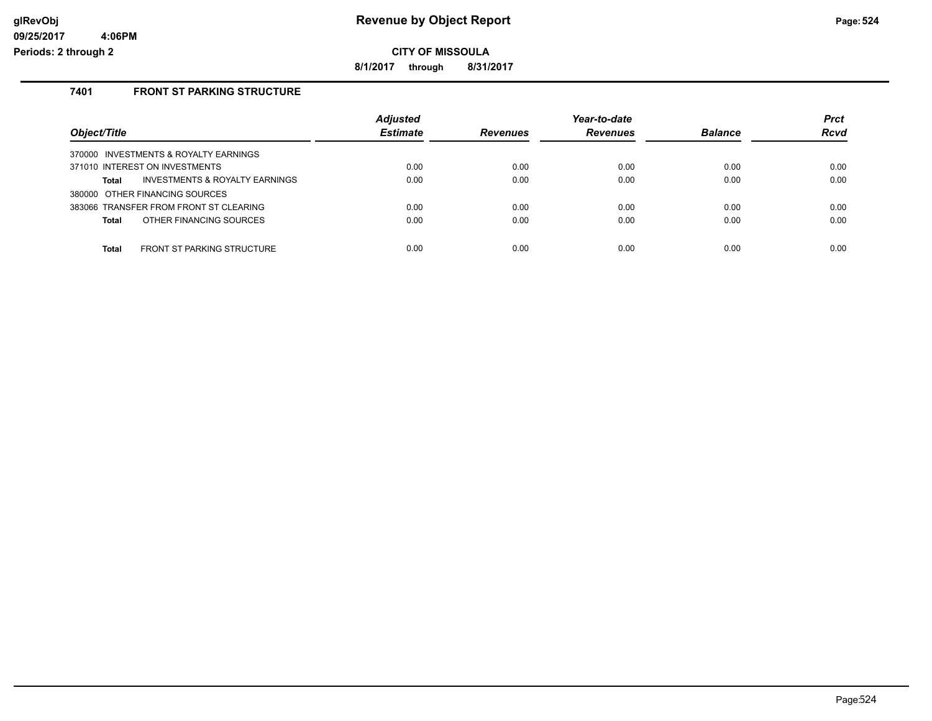**8/1/2017 through 8/31/2017**

### **7401 FRONT ST PARKING STRUCTURE**

| Object/Title                                       | <b>Adjusted</b><br><b>Estimate</b> | <b>Revenues</b> | Year-to-date<br><b>Revenues</b> | <b>Balance</b> | <b>Prct</b><br><b>Rcvd</b> |
|----------------------------------------------------|------------------------------------|-----------------|---------------------------------|----------------|----------------------------|
| 370000 INVESTMENTS & ROYALTY EARNINGS              |                                    |                 |                                 |                |                            |
| 371010 INTEREST ON INVESTMENTS                     | 0.00                               | 0.00            | 0.00                            | 0.00           | 0.00                       |
| <b>INVESTMENTS &amp; ROYALTY EARNINGS</b><br>Total | 0.00                               | 0.00            | 0.00                            | 0.00           | 0.00                       |
| 380000 OTHER FINANCING SOURCES                     |                                    |                 |                                 |                |                            |
| 383066 TRANSFER FROM FRONT ST CLEARING             | 0.00                               | 0.00            | 0.00                            | 0.00           | 0.00                       |
| OTHER FINANCING SOURCES<br>Total                   | 0.00                               | 0.00            | 0.00                            | 0.00           | 0.00                       |
|                                                    |                                    |                 |                                 |                |                            |
| <b>FRONT ST PARKING STRUCTURE</b><br><b>Total</b>  | 0.00                               | 0.00            | 0.00                            | 0.00           | 0.00                       |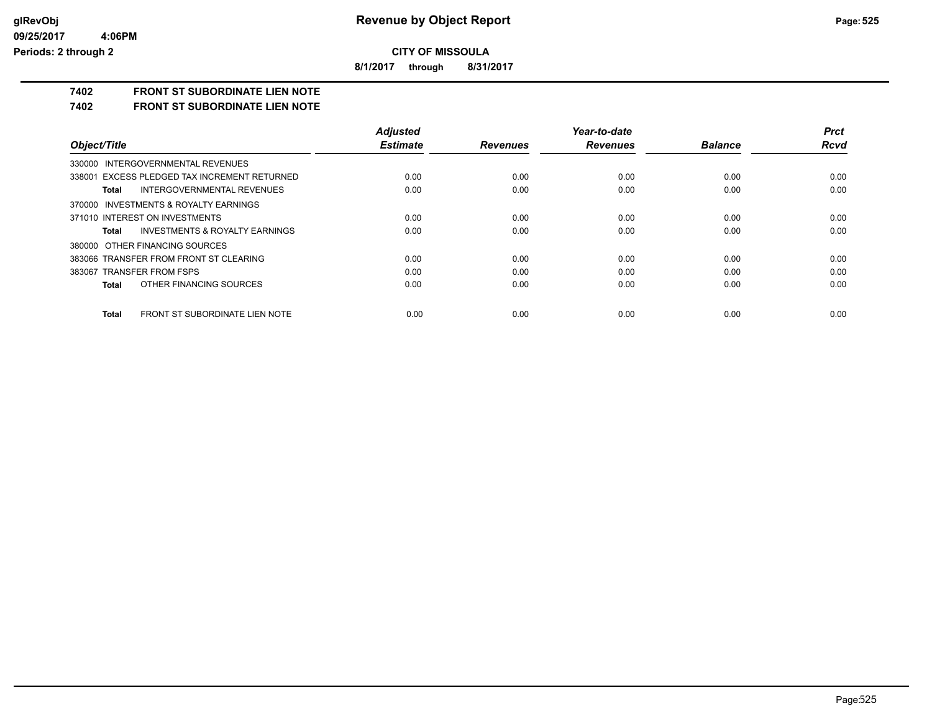**8/1/2017 through 8/31/2017**

# **7402 FRONT ST SUBORDINATE LIEN NOTE**

**7402 FRONT ST SUBORDINATE LIEN NOTE**

|                                                    | <b>Adjusted</b> |                 | Year-to-date    |                | <b>Prct</b> |
|----------------------------------------------------|-----------------|-----------------|-----------------|----------------|-------------|
| Object/Title                                       | <b>Estimate</b> | <b>Revenues</b> | <b>Revenues</b> | <b>Balance</b> | <b>Rcvd</b> |
| 330000 INTERGOVERNMENTAL REVENUES                  |                 |                 |                 |                |             |
| 338001 EXCESS PLEDGED TAX INCREMENT RETURNED       | 0.00            | 0.00            | 0.00            | 0.00           | 0.00        |
| <b>INTERGOVERNMENTAL REVENUES</b><br>Total         | 0.00            | 0.00            | 0.00            | 0.00           | 0.00        |
| 370000 INVESTMENTS & ROYALTY EARNINGS              |                 |                 |                 |                |             |
| 371010 INTEREST ON INVESTMENTS                     | 0.00            | 0.00            | 0.00            | 0.00           | 0.00        |
| <b>INVESTMENTS &amp; ROYALTY EARNINGS</b><br>Total | 0.00            | 0.00            | 0.00            | 0.00           | 0.00        |
| 380000 OTHER FINANCING SOURCES                     |                 |                 |                 |                |             |
| 383066 TRANSFER FROM FRONT ST CLEARING             | 0.00            | 0.00            | 0.00            | 0.00           | 0.00        |
| 383067 TRANSFER FROM FSPS                          | 0.00            | 0.00            | 0.00            | 0.00           | 0.00        |
| OTHER FINANCING SOURCES<br>Total                   | 0.00            | 0.00            | 0.00            | 0.00           | 0.00        |
| FRONT ST SUBORDINATE LIEN NOTE<br>Total            | 0.00            | 0.00            | 0.00            | 0.00           | 0.00        |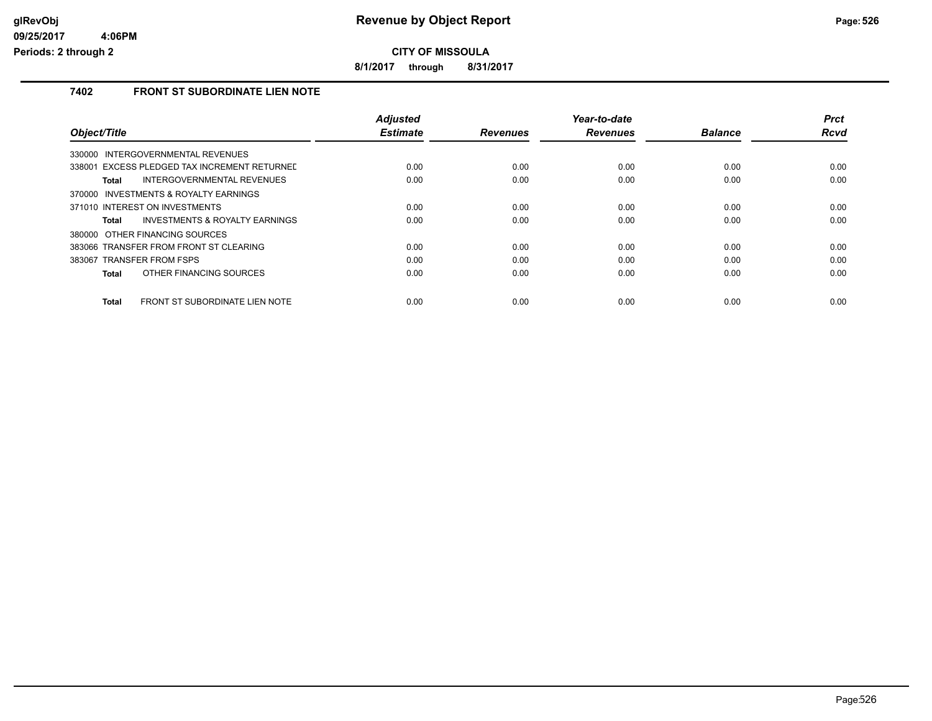**8/1/2017 through 8/31/2017**

### **7402 FRONT ST SUBORDINATE LIEN NOTE**

| Object/Title                                   | <b>Adjusted</b><br><b>Estimate</b> | <b>Revenues</b> | Year-to-date<br><b>Revenues</b> | <b>Balance</b> | <b>Prct</b><br>Rcvd |
|------------------------------------------------|------------------------------------|-----------------|---------------------------------|----------------|---------------------|
|                                                |                                    |                 |                                 |                |                     |
| INTERGOVERNMENTAL REVENUES<br>330000           |                                    |                 |                                 |                |                     |
| 338001 EXCESS PLEDGED TAX INCREMENT RETURNED   | 0.00                               | 0.00            | 0.00                            | 0.00           | 0.00                |
| INTERGOVERNMENTAL REVENUES<br>Total            | 0.00                               | 0.00            | 0.00                            | 0.00           | 0.00                |
| 370000 INVESTMENTS & ROYALTY EARNINGS          |                                    |                 |                                 |                |                     |
| 371010 INTEREST ON INVESTMENTS                 | 0.00                               | 0.00            | 0.00                            | 0.00           | 0.00                |
| INVESTMENTS & ROYALTY EARNINGS<br>Total        | 0.00                               | 0.00            | 0.00                            | 0.00           | 0.00                |
| 380000 OTHER FINANCING SOURCES                 |                                    |                 |                                 |                |                     |
| 383066 TRANSFER FROM FRONT ST CLEARING         | 0.00                               | 0.00            | 0.00                            | 0.00           | 0.00                |
| 383067 TRANSFER FROM FSPS                      | 0.00                               | 0.00            | 0.00                            | 0.00           | 0.00                |
| OTHER FINANCING SOURCES<br>Total               | 0.00                               | 0.00            | 0.00                            | 0.00           | 0.00                |
| FRONT ST SUBORDINATE LIEN NOTE<br><b>Total</b> | 0.00                               | 0.00            | 0.00                            | 0.00           | 0.00                |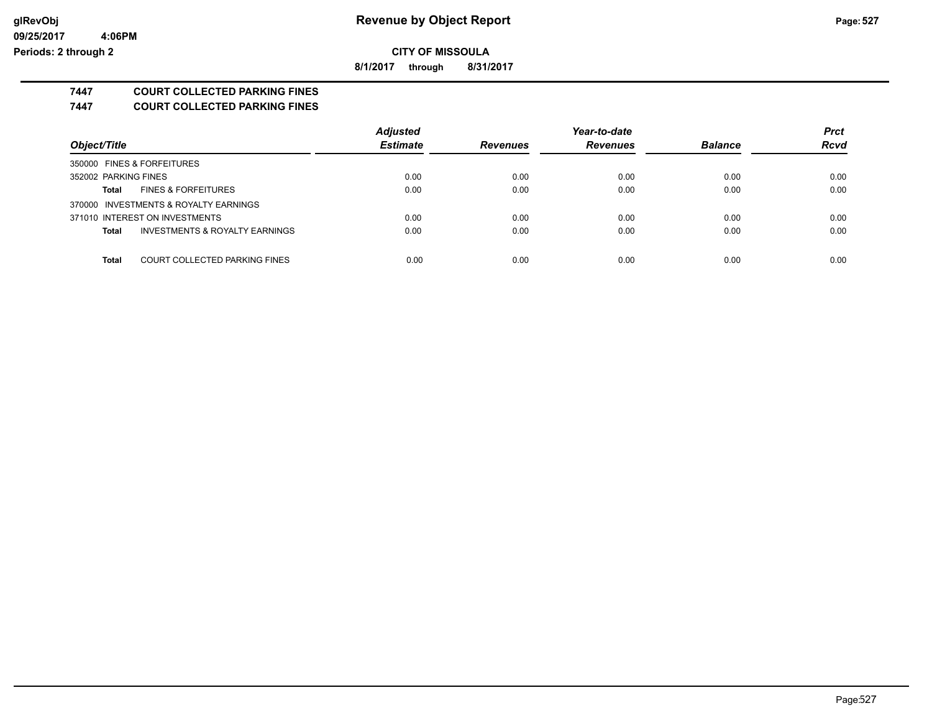**8/1/2017 through 8/31/2017**

# **7447 COURT COLLECTED PARKING FINES**

**7447 COURT COLLECTED PARKING FINES**

|                                         | <b>Adjusted</b> |                 | Year-to-date    |                | <b>Prct</b> |
|-----------------------------------------|-----------------|-----------------|-----------------|----------------|-------------|
| Object/Title                            | <b>Estimate</b> | <b>Revenues</b> | <b>Revenues</b> | <b>Balance</b> | <b>Rcvd</b> |
| 350000 FINES & FORFEITURES              |                 |                 |                 |                |             |
| 352002 PARKING FINES                    | 0.00            | 0.00            | 0.00            | 0.00           | 0.00        |
| <b>FINES &amp; FORFEITURES</b><br>Total | 0.00            | 0.00            | 0.00            | 0.00           | 0.00        |
| 370000 INVESTMENTS & ROYALTY EARNINGS   |                 |                 |                 |                |             |
| 371010 INTEREST ON INVESTMENTS          | 0.00            | 0.00            | 0.00            | 0.00           | 0.00        |
| INVESTMENTS & ROYALTY EARNINGS<br>Total | 0.00            | 0.00            | 0.00            | 0.00           | 0.00        |
|                                         |                 |                 |                 |                |             |
| COURT COLLECTED PARKING FINES<br>Total  | 0.00            | 0.00            | 0.00            | 0.00           | 0.00        |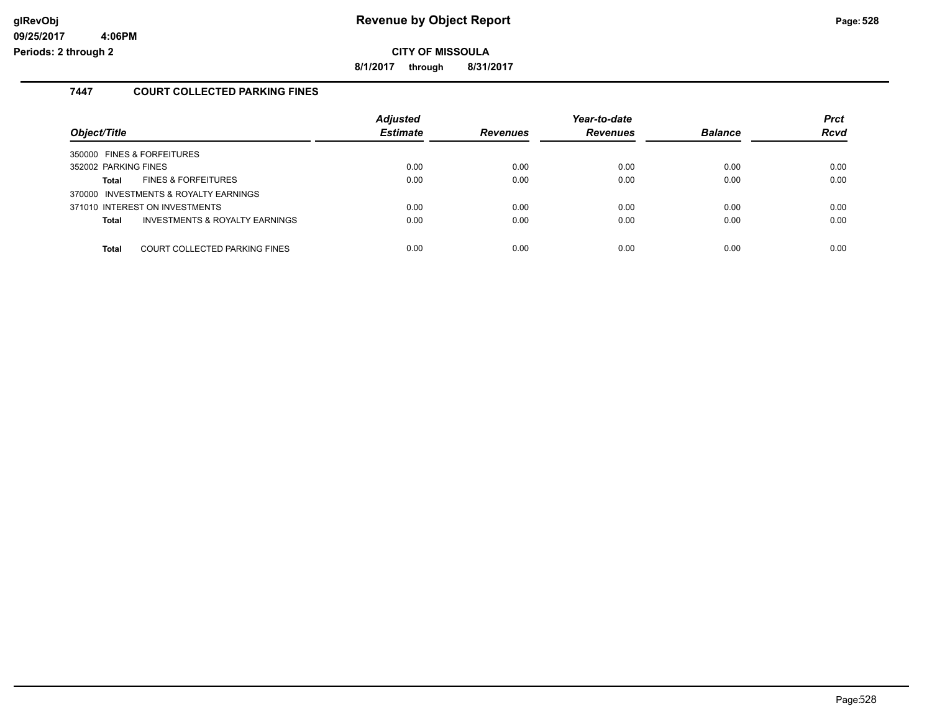**8/1/2017 through 8/31/2017**

### **7447 COURT COLLECTED PARKING FINES**

| Object/Title                                              | <b>Adjusted</b><br><b>Estimate</b> | <b>Revenues</b> | Year-to-date<br><b>Revenues</b> | <b>Balance</b> | <b>Prct</b><br><b>Rcvd</b> |
|-----------------------------------------------------------|------------------------------------|-----------------|---------------------------------|----------------|----------------------------|
| 350000 FINES & FORFEITURES                                |                                    |                 |                                 |                |                            |
| 352002 PARKING FINES                                      | 0.00                               | 0.00            | 0.00                            | 0.00           | 0.00                       |
| <b>FINES &amp; FORFEITURES</b><br>Total                   | 0.00                               | 0.00            | 0.00                            | 0.00           | 0.00                       |
| 370000 INVESTMENTS & ROYALTY EARNINGS                     |                                    |                 |                                 |                |                            |
| 371010 INTEREST ON INVESTMENTS                            | 0.00                               | 0.00            | 0.00                            | 0.00           | 0.00                       |
| <b>INVESTMENTS &amp; ROYALTY EARNINGS</b><br><b>Total</b> | 0.00                               | 0.00            | 0.00                            | 0.00           | 0.00                       |
|                                                           |                                    |                 |                                 |                |                            |
| <b>COURT COLLECTED PARKING FINES</b><br><b>Total</b>      | 0.00                               | 0.00            | 0.00                            | 0.00           | 0.00                       |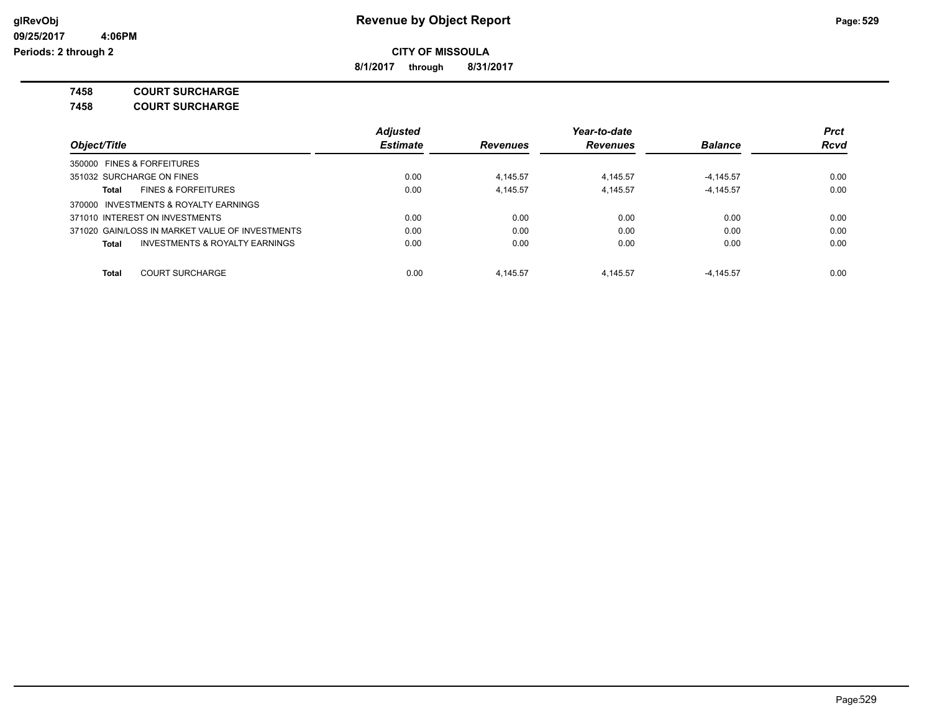**8/1/2017 through 8/31/2017**

**7458 COURT SURCHARGE**

**7458 COURT SURCHARGE**

|                                                    | <b>Adjusted</b> |                 | Year-to-date    |                | <b>Prct</b> |
|----------------------------------------------------|-----------------|-----------------|-----------------|----------------|-------------|
| Object/Title                                       | <b>Estimate</b> | <b>Revenues</b> | <b>Revenues</b> | <b>Balance</b> | <b>Rcvd</b> |
| 350000 FINES & FORFEITURES                         |                 |                 |                 |                |             |
| 351032 SURCHARGE ON FINES                          | 0.00            | 4.145.57        | 4.145.57        | $-4.145.57$    | 0.00        |
| <b>FINES &amp; FORFEITURES</b><br>Total            | 0.00            | 4.145.57        | 4.145.57        | $-4, 145.57$   | 0.00        |
| 370000 INVESTMENTS & ROYALTY EARNINGS              |                 |                 |                 |                |             |
| 371010 INTEREST ON INVESTMENTS                     | 0.00            | 0.00            | 0.00            | 0.00           | 0.00        |
| 371020 GAIN/LOSS IN MARKET VALUE OF INVESTMENTS    | 0.00            | 0.00            | 0.00            | 0.00           | 0.00        |
| <b>INVESTMENTS &amp; ROYALTY EARNINGS</b><br>Total | 0.00            | 0.00            | 0.00            | 0.00           | 0.00        |
| <b>COURT SURCHARGE</b><br><b>Total</b>             | 0.00            | 4.145.57        | 4.145.57        | $-4.145.57$    | 0.00        |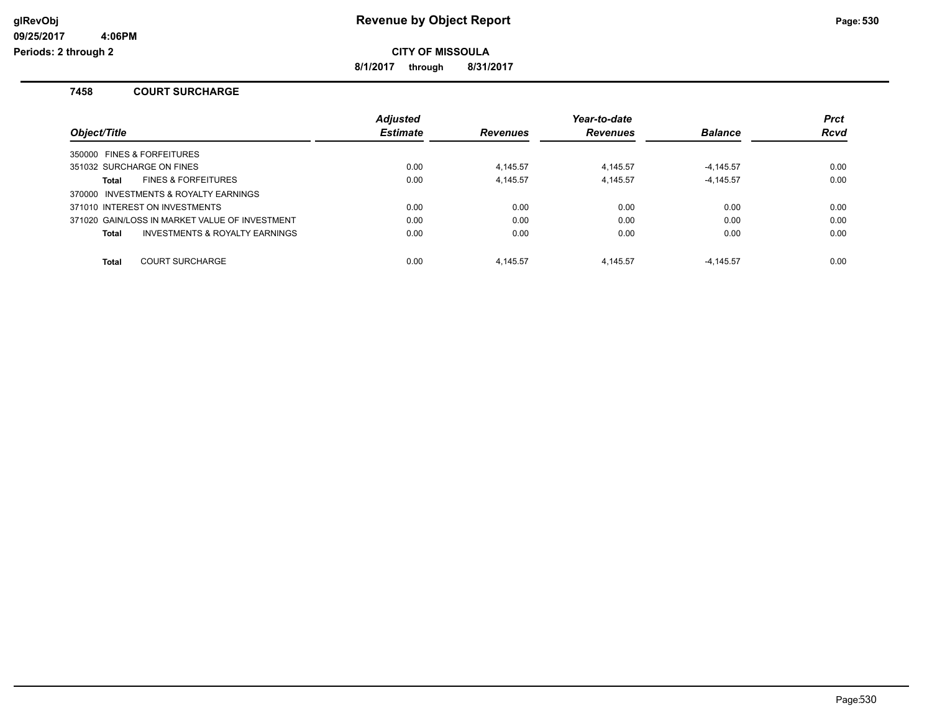**Periods: 2 through 2**

**CITY OF MISSOULA**

**8/1/2017 through 8/31/2017**

### **7458 COURT SURCHARGE**

 **4:06PM**

|                                                    | <b>Adjusted</b> |                 | Year-to-date    |                | <b>Prct</b> |
|----------------------------------------------------|-----------------|-----------------|-----------------|----------------|-------------|
| Object/Title                                       | <b>Estimate</b> | <b>Revenues</b> | <b>Revenues</b> | <b>Balance</b> | <b>Rcvd</b> |
| 350000 FINES & FORFEITURES                         |                 |                 |                 |                |             |
| 351032 SURCHARGE ON FINES                          | 0.00            | 4.145.57        | 4.145.57        | $-4.145.57$    | 0.00        |
| <b>FINES &amp; FORFEITURES</b><br>Total            | 0.00            | 4,145.57        | 4.145.57        | $-4,145.57$    | 0.00        |
| 370000 INVESTMENTS & ROYALTY EARNINGS              |                 |                 |                 |                |             |
| 371010 INTEREST ON INVESTMENTS                     | 0.00            | 0.00            | 0.00            | 0.00           | 0.00        |
| 371020 GAIN/LOSS IN MARKET VALUE OF INVESTMENT     | 0.00            | 0.00            | 0.00            | 0.00           | 0.00        |
| <b>INVESTMENTS &amp; ROYALTY EARNINGS</b><br>Total | 0.00            | 0.00            | 0.00            | 0.00           | 0.00        |
| <b>COURT SURCHARGE</b><br><b>Total</b>             | 0.00            | 4.145.57        | 4.145.57        | $-4.145.57$    | 0.00        |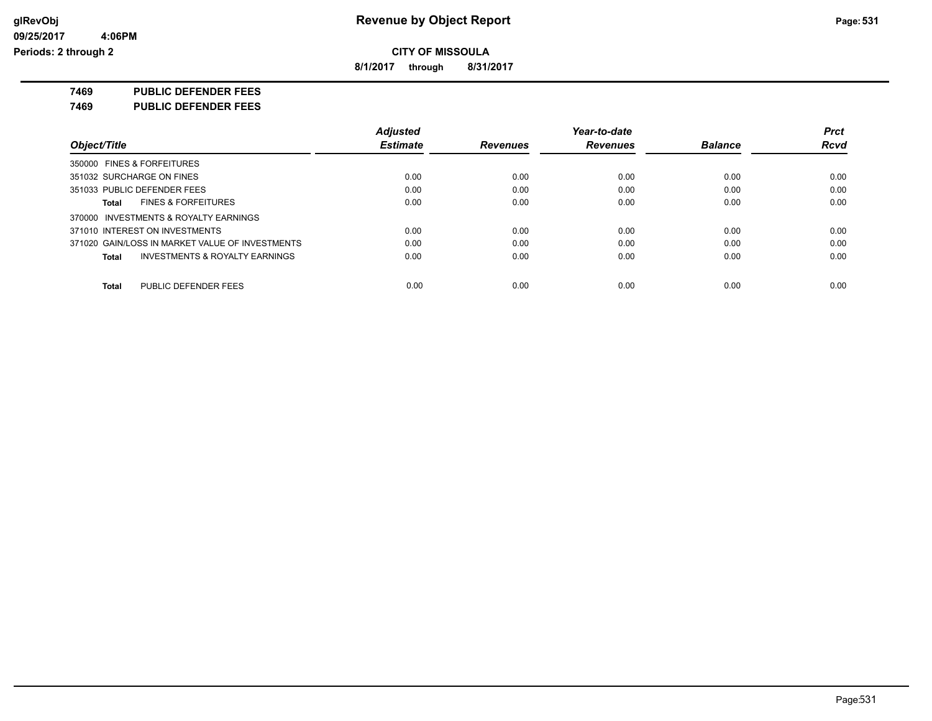**8/1/2017 through 8/31/2017**

**7469 PUBLIC DEFENDER FEES**

**7469 PUBLIC DEFENDER FEES**

|                                                    | <b>Adjusted</b> |                 | Year-to-date    |                | <b>Prct</b> |
|----------------------------------------------------|-----------------|-----------------|-----------------|----------------|-------------|
| Object/Title                                       | <b>Estimate</b> | <b>Revenues</b> | <b>Revenues</b> | <b>Balance</b> | <b>Rcvd</b> |
| 350000 FINES & FORFEITURES                         |                 |                 |                 |                |             |
| 351032 SURCHARGE ON FINES                          | 0.00            | 0.00            | 0.00            | 0.00           | 0.00        |
| 351033 PUBLIC DEFENDER FEES                        | 0.00            | 0.00            | 0.00            | 0.00           | 0.00        |
| <b>FINES &amp; FORFEITURES</b><br>Total            | 0.00            | 0.00            | 0.00            | 0.00           | 0.00        |
| 370000 INVESTMENTS & ROYALTY EARNINGS              |                 |                 |                 |                |             |
| 371010 INTEREST ON INVESTMENTS                     | 0.00            | 0.00            | 0.00            | 0.00           | 0.00        |
| 371020 GAIN/LOSS IN MARKET VALUE OF INVESTMENTS    | 0.00            | 0.00            | 0.00            | 0.00           | 0.00        |
| <b>INVESTMENTS &amp; ROYALTY EARNINGS</b><br>Total | 0.00            | 0.00            | 0.00            | 0.00           | 0.00        |
| PUBLIC DEFENDER FEES<br><b>Total</b>               | 0.00            | 0.00            | 0.00            | 0.00           | 0.00        |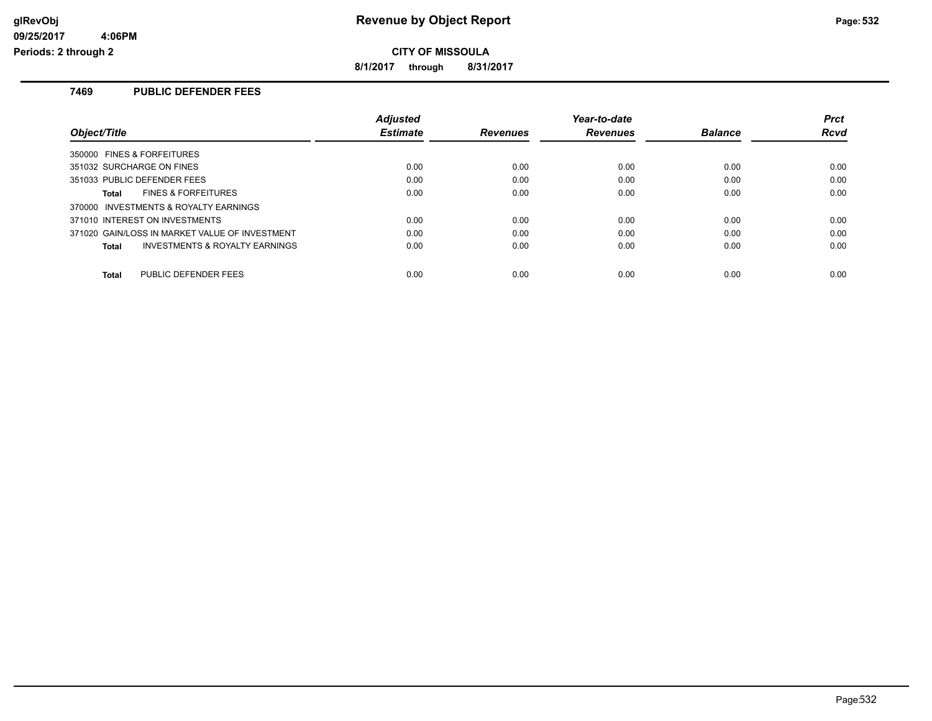**8/1/2017 through 8/31/2017**

### **7469 PUBLIC DEFENDER FEES**

|                                                    | <b>Adjusted</b> |                 | Year-to-date    |                | <b>Prct</b> |
|----------------------------------------------------|-----------------|-----------------|-----------------|----------------|-------------|
| Object/Title                                       | <b>Estimate</b> | <b>Revenues</b> | <b>Revenues</b> | <b>Balance</b> | <b>Rcvd</b> |
| 350000 FINES & FORFEITURES                         |                 |                 |                 |                |             |
| 351032 SURCHARGE ON FINES                          | 0.00            | 0.00            | 0.00            | 0.00           | 0.00        |
| 351033 PUBLIC DEFENDER FEES                        | 0.00            | 0.00            | 0.00            | 0.00           | 0.00        |
| <b>FINES &amp; FORFEITURES</b><br>Total            | 0.00            | 0.00            | 0.00            | 0.00           | 0.00        |
| 370000 INVESTMENTS & ROYALTY EARNINGS              |                 |                 |                 |                |             |
| 371010 INTEREST ON INVESTMENTS                     | 0.00            | 0.00            | 0.00            | 0.00           | 0.00        |
| 371020 GAIN/LOSS IN MARKET VALUE OF INVESTMENT     | 0.00            | 0.00            | 0.00            | 0.00           | 0.00        |
| <b>INVESTMENTS &amp; ROYALTY EARNINGS</b><br>Total | 0.00            | 0.00            | 0.00            | 0.00           | 0.00        |
| PUBLIC DEFENDER FEES<br><b>Total</b>               | 0.00            | 0.00            | 0.00            | 0.00           | 0.00        |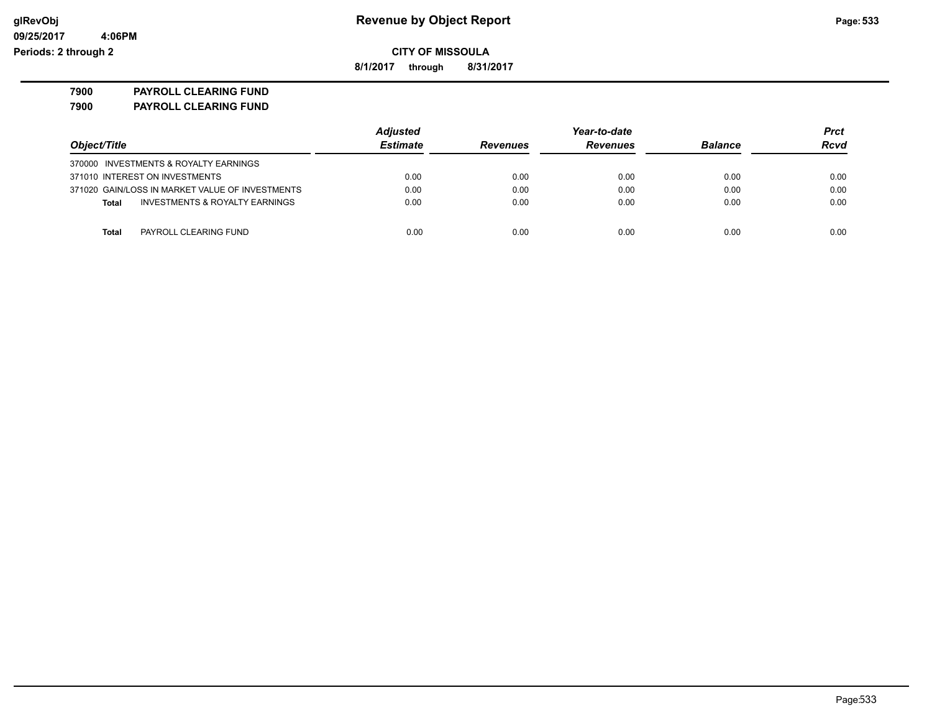**8/1/2017 through 8/31/2017**

# **7900 PAYROLL CLEARING FUND**

**7900 PAYROLL CLEARING FUND**

|                                                           | <b>Adjusted</b> |                 | Year-to-date    |                | Prct |  |
|-----------------------------------------------------------|-----------------|-----------------|-----------------|----------------|------|--|
| Object/Title                                              | <b>Estimate</b> | <b>Revenues</b> | <b>Revenues</b> | <b>Balance</b> | Rcvd |  |
| 370000 INVESTMENTS & ROYALTY EARNINGS                     |                 |                 |                 |                |      |  |
| 371010 INTEREST ON INVESTMENTS                            | 0.00            | 0.00            | 0.00            | 0.00           | 0.00 |  |
| 371020 GAIN/LOSS IN MARKET VALUE OF INVESTMENTS           | 0.00            | 0.00            | 0.00            | 0.00           | 0.00 |  |
| <b>INVESTMENTS &amp; ROYALTY EARNINGS</b><br><b>Total</b> | 0.00            | 0.00            | 0.00            | 0.00           | 0.00 |  |
|                                                           |                 |                 |                 |                |      |  |
| <b>Total</b><br>PAYROLL CLEARING FUND                     | 0.00            | 0.00            | 0.00            | 0.00           | 0.00 |  |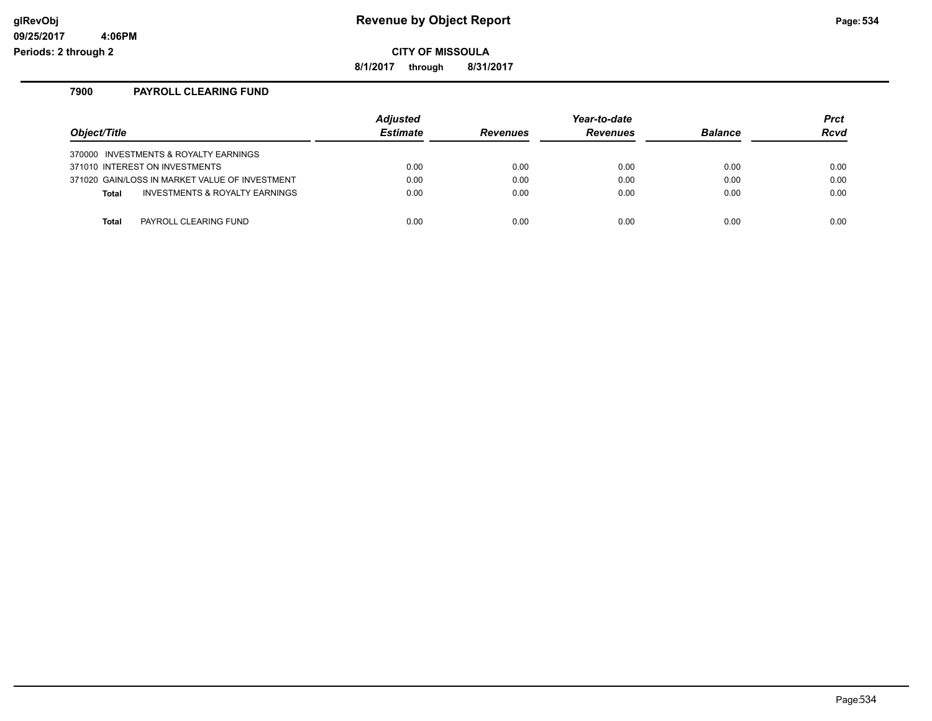**Periods: 2 through 2**

**CITY OF MISSOULA**

**8/1/2017 through 8/31/2017**

### **7900 PAYROLL CLEARING FUND**

 **4:06PM**

| Object/Title                                              | <b>Adjusted</b><br><b>Estimate</b> | <b>Revenues</b> | Year-to-date<br><b>Revenues</b> | <b>Balance</b> | <b>Prct</b><br>Rcvd |
|-----------------------------------------------------------|------------------------------------|-----------------|---------------------------------|----------------|---------------------|
| 370000 INVESTMENTS & ROYALTY EARNINGS                     |                                    |                 |                                 |                |                     |
| 371010 INTEREST ON INVESTMENTS                            | 0.00                               | 0.00            | 0.00                            | 0.00           | 0.00                |
| 371020 GAIN/LOSS IN MARKET VALUE OF INVESTMENT            | 0.00                               | 0.00            | 0.00                            | 0.00           | 0.00                |
| <b>INVESTMENTS &amp; ROYALTY EARNINGS</b><br><b>Total</b> | 0.00                               | 0.00            | 0.00                            | 0.00           | 0.00                |
|                                                           |                                    |                 |                                 |                |                     |
| PAYROLL CLEARING FUND<br>Total                            | 0.00                               | 0.00            | 0.00                            | 0.00           | 0.00                |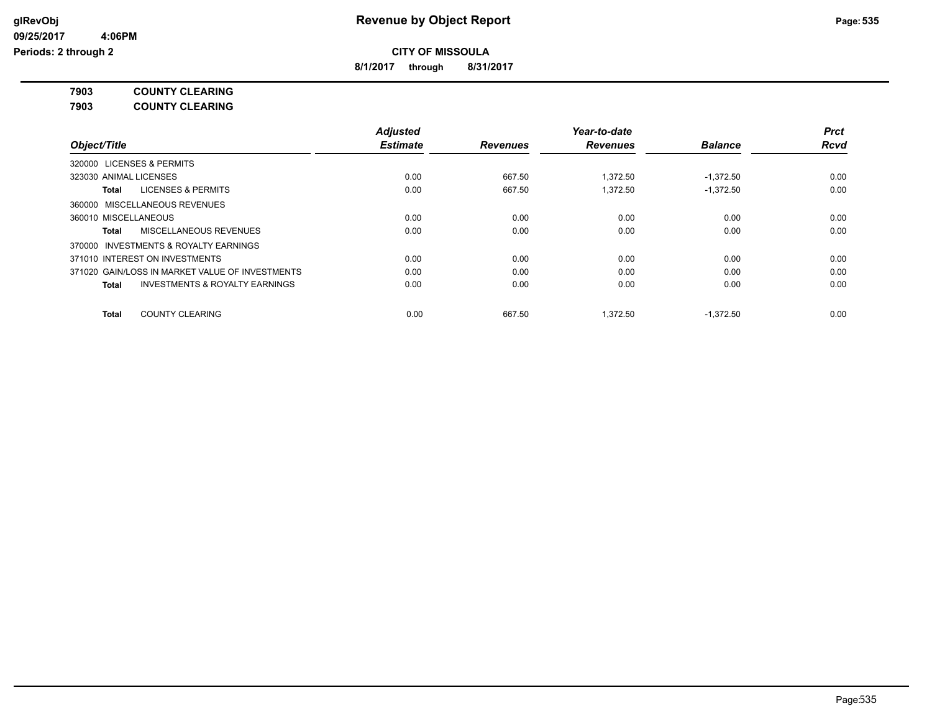**8/1/2017 through 8/31/2017**

**7903 COUNTY CLEARING**

**7903 COUNTY CLEARING**

|                                                    | <b>Adjusted</b> |                 | Year-to-date    |                | <b>Prct</b> |
|----------------------------------------------------|-----------------|-----------------|-----------------|----------------|-------------|
| Object/Title                                       | <b>Estimate</b> | <b>Revenues</b> | <b>Revenues</b> | <b>Balance</b> | <b>Rcvd</b> |
| <b>LICENSES &amp; PERMITS</b><br>320000            |                 |                 |                 |                |             |
| 323030 ANIMAL LICENSES                             | 0.00            | 667.50          | 1.372.50        | $-1.372.50$    | 0.00        |
| LICENSES & PERMITS<br>Total                        | 0.00            | 667.50          | 1,372.50        | $-1,372.50$    | 0.00        |
| 360000 MISCELLANEOUS REVENUES                      |                 |                 |                 |                |             |
| 360010 MISCELLANEOUS                               | 0.00            | 0.00            | 0.00            | 0.00           | 0.00        |
| MISCELLANEOUS REVENUES<br>Total                    | 0.00            | 0.00            | 0.00            | 0.00           | 0.00        |
| 370000 INVESTMENTS & ROYALTY EARNINGS              |                 |                 |                 |                |             |
| 371010 INTEREST ON INVESTMENTS                     | 0.00            | 0.00            | 0.00            | 0.00           | 0.00        |
| 371020 GAIN/LOSS IN MARKET VALUE OF INVESTMENTS    | 0.00            | 0.00            | 0.00            | 0.00           | 0.00        |
| <b>INVESTMENTS &amp; ROYALTY EARNINGS</b><br>Total | 0.00            | 0.00            | 0.00            | 0.00           | 0.00        |
| <b>COUNTY CLEARING</b><br><b>Total</b>             | 0.00            | 667.50          | 1.372.50        | $-1.372.50$    | 0.00        |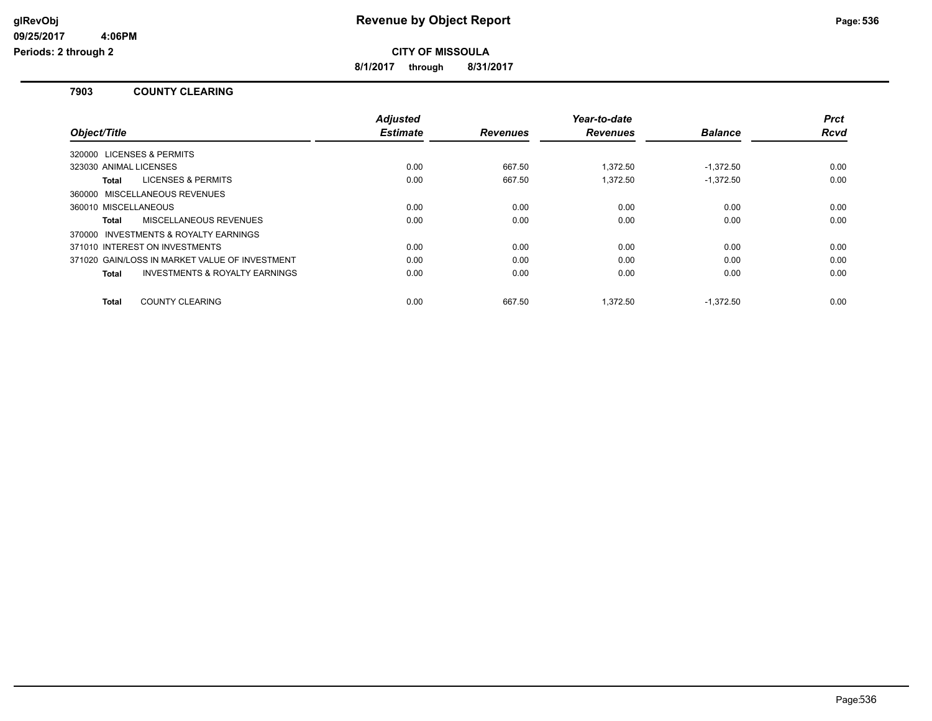**8/1/2017 through 8/31/2017**

### **7903 COUNTY CLEARING**

|                                                           | <b>Adjusted</b> |                 | Year-to-date    |                | <b>Prct</b> |
|-----------------------------------------------------------|-----------------|-----------------|-----------------|----------------|-------------|
| Object/Title                                              | <b>Estimate</b> | <b>Revenues</b> | <b>Revenues</b> | <b>Balance</b> | <b>Rcvd</b> |
| 320000 LICENSES & PERMITS                                 |                 |                 |                 |                |             |
| 323030 ANIMAL LICENSES                                    | 0.00            | 667.50          | 1.372.50        | $-1,372.50$    | 0.00        |
| LICENSES & PERMITS<br><b>Total</b>                        | 0.00            | 667.50          | 1.372.50        | $-1.372.50$    | 0.00        |
| 360000 MISCELLANEOUS REVENUES                             |                 |                 |                 |                |             |
| 360010 MISCELLANEOUS                                      | 0.00            | 0.00            | 0.00            | 0.00           | 0.00        |
| MISCELLANEOUS REVENUES<br>Total                           | 0.00            | 0.00            | 0.00            | 0.00           | 0.00        |
| 370000 INVESTMENTS & ROYALTY EARNINGS                     |                 |                 |                 |                |             |
| 371010 INTEREST ON INVESTMENTS                            | 0.00            | 0.00            | 0.00            | 0.00           | 0.00        |
| 371020 GAIN/LOSS IN MARKET VALUE OF INVESTMENT            | 0.00            | 0.00            | 0.00            | 0.00           | 0.00        |
| <b>INVESTMENTS &amp; ROYALTY EARNINGS</b><br><b>Total</b> | 0.00            | 0.00            | 0.00            | 0.00           | 0.00        |
| <b>COUNTY CLEARING</b><br><b>Total</b>                    | 0.00            | 667.50          | 1.372.50        | $-1.372.50$    | 0.00        |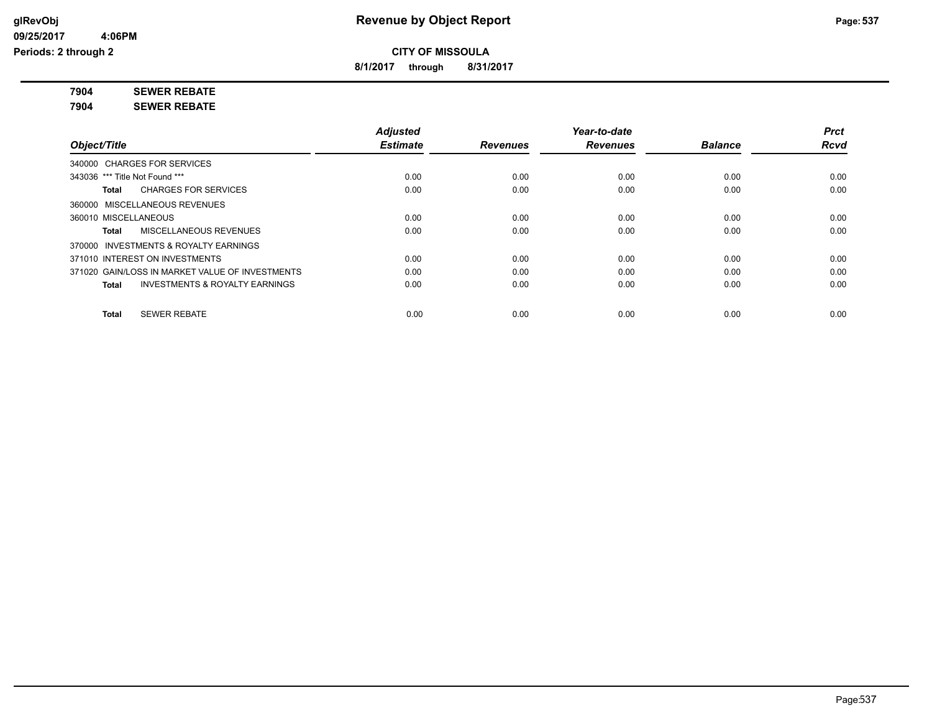**8/1/2017 through 8/31/2017**

**7904 SEWER REBATE**

**7904 SEWER REBATE**

|                                                    | <b>Adjusted</b> |                 | Year-to-date    |                | <b>Prct</b> |
|----------------------------------------------------|-----------------|-----------------|-----------------|----------------|-------------|
| Object/Title                                       | <b>Estimate</b> | <b>Revenues</b> | <b>Revenues</b> | <b>Balance</b> | <b>Rcvd</b> |
| 340000 CHARGES FOR SERVICES                        |                 |                 |                 |                |             |
| 343036 *** Title Not Found ***                     | 0.00            | 0.00            | 0.00            | 0.00           | 0.00        |
| <b>CHARGES FOR SERVICES</b><br>Total               | 0.00            | 0.00            | 0.00            | 0.00           | 0.00        |
| 360000 MISCELLANEOUS REVENUES                      |                 |                 |                 |                |             |
| 360010 MISCELLANEOUS                               | 0.00            | 0.00            | 0.00            | 0.00           | 0.00        |
| <b>MISCELLANEOUS REVENUES</b><br>Total             | 0.00            | 0.00            | 0.00            | 0.00           | 0.00        |
| 370000 INVESTMENTS & ROYALTY EARNINGS              |                 |                 |                 |                |             |
| 371010 INTEREST ON INVESTMENTS                     | 0.00            | 0.00            | 0.00            | 0.00           | 0.00        |
| 371020 GAIN/LOSS IN MARKET VALUE OF INVESTMENTS    | 0.00            | 0.00            | 0.00            | 0.00           | 0.00        |
| <b>INVESTMENTS &amp; ROYALTY EARNINGS</b><br>Total | 0.00            | 0.00            | 0.00            | 0.00           | 0.00        |
| <b>SEWER REBATE</b><br><b>Total</b>                | 0.00            | 0.00            | 0.00            | 0.00           | 0.00        |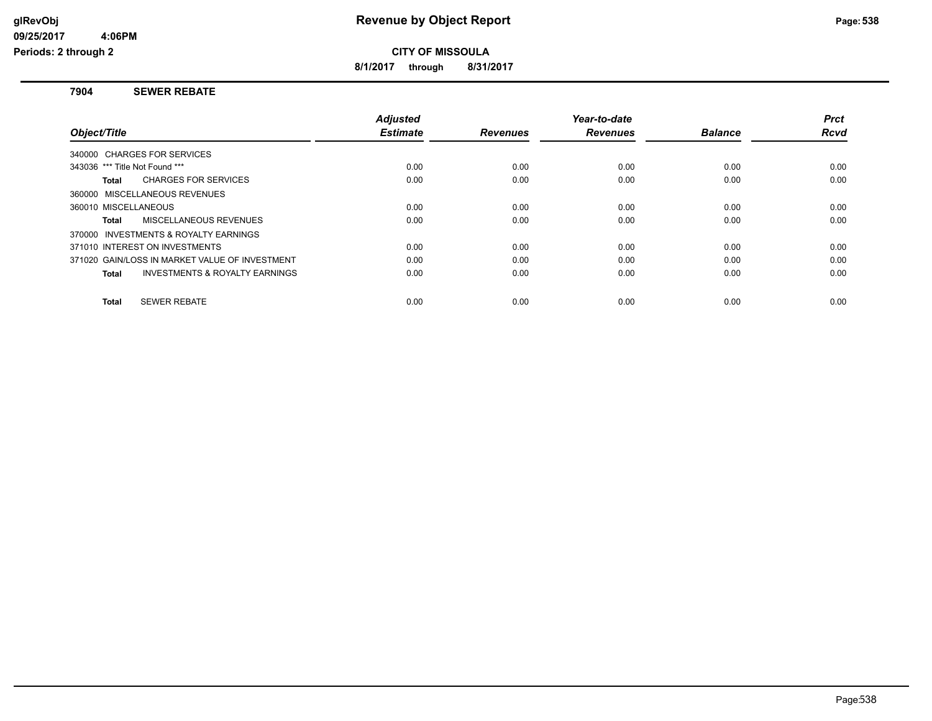**Periods: 2 through 2**

**CITY OF MISSOULA**

**8/1/2017 through 8/31/2017**

### **7904 SEWER REBATE**

 **4:06PM**

|                                                    | <b>Adjusted</b> |                 | Year-to-date    |                | <b>Prct</b> |
|----------------------------------------------------|-----------------|-----------------|-----------------|----------------|-------------|
| Object/Title                                       | <b>Estimate</b> | <b>Revenues</b> | <b>Revenues</b> | <b>Balance</b> | <b>Rcvd</b> |
| 340000 CHARGES FOR SERVICES                        |                 |                 |                 |                |             |
| 343036 *** Title Not Found ***                     | 0.00            | 0.00            | 0.00            | 0.00           | 0.00        |
| <b>CHARGES FOR SERVICES</b><br>Total               | 0.00            | 0.00            | 0.00            | 0.00           | 0.00        |
| 360000 MISCELLANEOUS REVENUES                      |                 |                 |                 |                |             |
| 360010 MISCELLANEOUS                               | 0.00            | 0.00            | 0.00            | 0.00           | 0.00        |
| MISCELLANEOUS REVENUES<br>Total                    | 0.00            | 0.00            | 0.00            | 0.00           | 0.00        |
| 370000 INVESTMENTS & ROYALTY EARNINGS              |                 |                 |                 |                |             |
| 371010 INTEREST ON INVESTMENTS                     | 0.00            | 0.00            | 0.00            | 0.00           | 0.00        |
| 371020 GAIN/LOSS IN MARKET VALUE OF INVESTMENT     | 0.00            | 0.00            | 0.00            | 0.00           | 0.00        |
| <b>INVESTMENTS &amp; ROYALTY EARNINGS</b><br>Total | 0.00            | 0.00            | 0.00            | 0.00           | 0.00        |
|                                                    |                 |                 |                 |                |             |
| <b>SEWER REBATE</b><br><b>Total</b>                | 0.00            | 0.00            | 0.00            | 0.00           | 0.00        |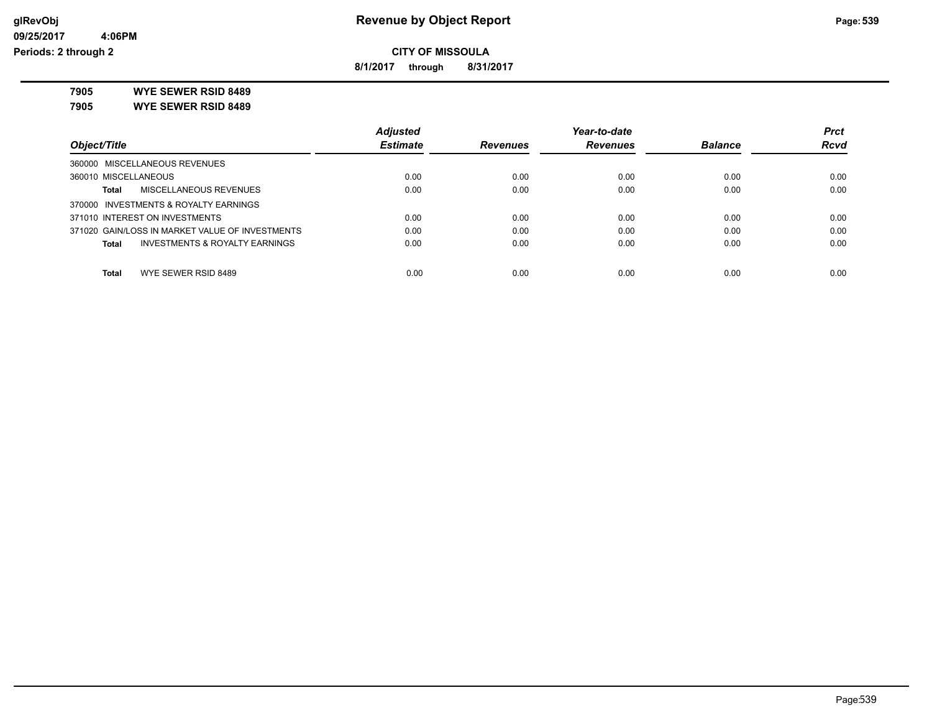**8/1/2017 through 8/31/2017**

**7905 WYE SEWER RSID 8489**

**7905 WYE SEWER RSID 8489**

|                                                 | <b>Adjusted</b> |                 | Year-to-date    | <b>Prct</b>    |             |
|-------------------------------------------------|-----------------|-----------------|-----------------|----------------|-------------|
| Object/Title                                    | <b>Estimate</b> | <b>Revenues</b> | <b>Revenues</b> | <b>Balance</b> | <b>Rcvd</b> |
| 360000 MISCELLANEOUS REVENUES                   |                 |                 |                 |                |             |
| 360010 MISCELLANEOUS                            | 0.00            | 0.00            | 0.00            | 0.00           | 0.00        |
| MISCELLANEOUS REVENUES<br>Total                 | 0.00            | 0.00            | 0.00            | 0.00           | 0.00        |
| 370000 INVESTMENTS & ROYALTY EARNINGS           |                 |                 |                 |                |             |
| 371010 INTEREST ON INVESTMENTS                  | 0.00            | 0.00            | 0.00            | 0.00           | 0.00        |
| 371020 GAIN/LOSS IN MARKET VALUE OF INVESTMENTS | 0.00            | 0.00            | 0.00            | 0.00           | 0.00        |
| INVESTMENTS & ROYALTY EARNINGS<br>Total         | 0.00            | 0.00            | 0.00            | 0.00           | 0.00        |
|                                                 |                 |                 |                 |                |             |
| WYE SEWER RSID 8489<br><b>Total</b>             | 0.00            | 0.00            | 0.00            | 0.00           | 0.00        |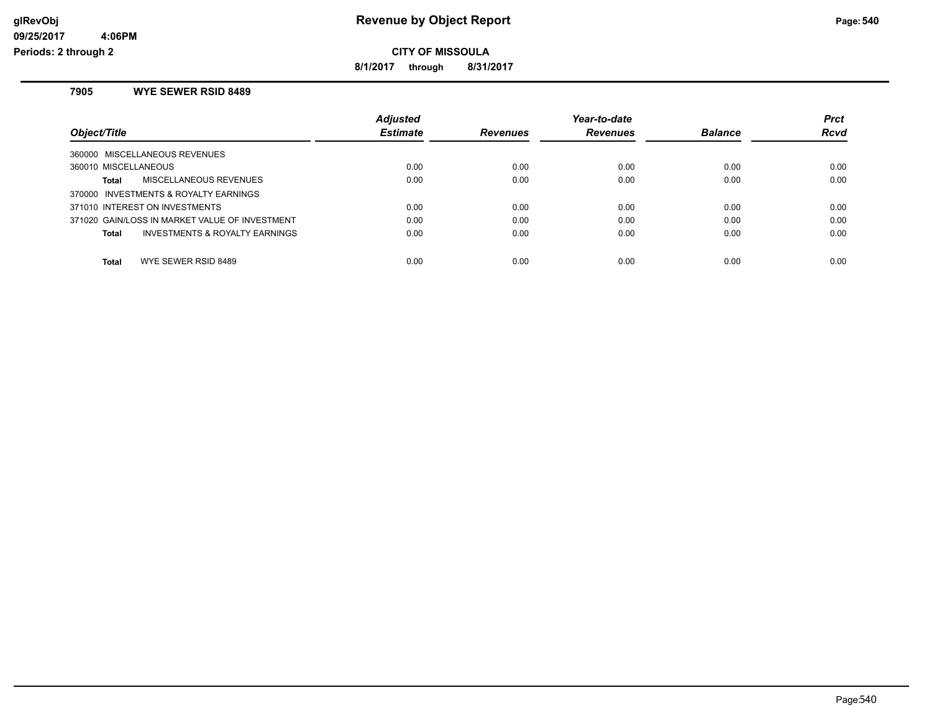**8/1/2017 through 8/31/2017**

### **7905 WYE SEWER RSID 8489**

|                                                    | <b>Adjusted</b> |                 | Year-to-date    |                | <b>Prct</b> |
|----------------------------------------------------|-----------------|-----------------|-----------------|----------------|-------------|
| Object/Title                                       | <b>Estimate</b> | <b>Revenues</b> | <b>Revenues</b> | <b>Balance</b> | <b>Rcvd</b> |
| 360000 MISCELLANEOUS REVENUES                      |                 |                 |                 |                |             |
| 360010 MISCELLANEOUS                               | 0.00            | 0.00            | 0.00            | 0.00           | 0.00        |
| MISCELLANEOUS REVENUES<br>Total                    | 0.00            | 0.00            | 0.00            | 0.00           | 0.00        |
| 370000 INVESTMENTS & ROYALTY EARNINGS              |                 |                 |                 |                |             |
| 371010 INTEREST ON INVESTMENTS                     | 0.00            | 0.00            | 0.00            | 0.00           | 0.00        |
| 371020 GAIN/LOSS IN MARKET VALUE OF INVESTMENT     | 0.00            | 0.00            | 0.00            | 0.00           | 0.00        |
| <b>INVESTMENTS &amp; ROYALTY EARNINGS</b><br>Total | 0.00            | 0.00            | 0.00            | 0.00           | 0.00        |
| Total<br>WYE SEWER RSID 8489                       | 0.00            | 0.00            | 0.00            | 0.00           | 0.00        |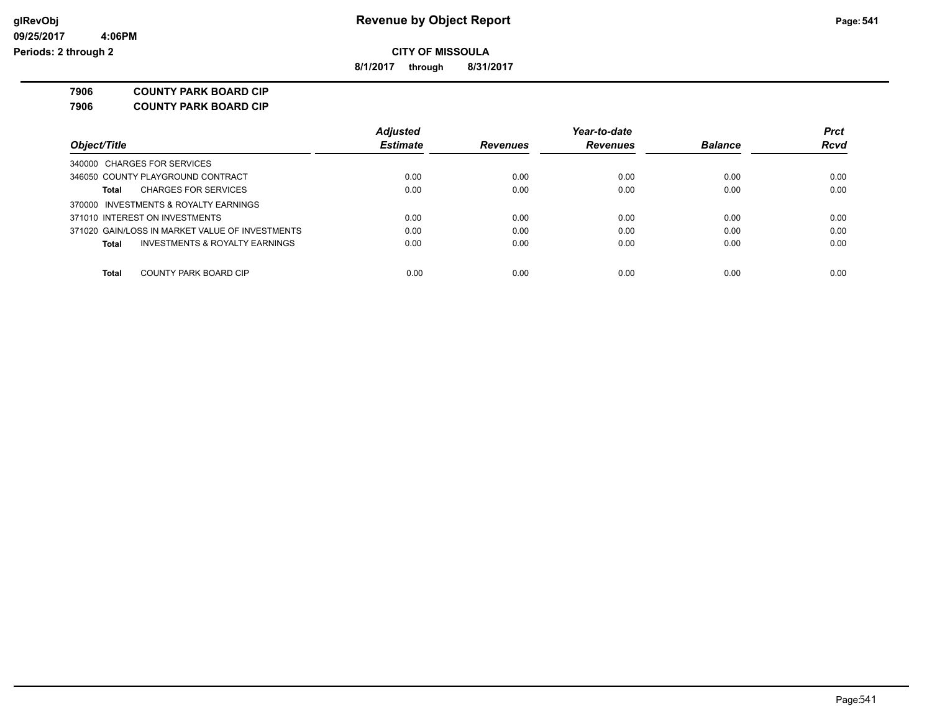**8/1/2017 through 8/31/2017**

**7906 COUNTY PARK BOARD CIP**

**7906 COUNTY PARK BOARD CIP**

|                                                 | <b>Adjusted</b> |                 | Year-to-date    |                | <b>Prct</b> |
|-------------------------------------------------|-----------------|-----------------|-----------------|----------------|-------------|
| Object/Title                                    | <b>Estimate</b> | <b>Revenues</b> | <b>Revenues</b> | <b>Balance</b> | <b>Rcvd</b> |
| 340000 CHARGES FOR SERVICES                     |                 |                 |                 |                |             |
| 346050 COUNTY PLAYGROUND CONTRACT               | 0.00            | 0.00            | 0.00            | 0.00           | 0.00        |
| <b>CHARGES FOR SERVICES</b><br>Total            | 0.00            | 0.00            | 0.00            | 0.00           | 0.00        |
| 370000 INVESTMENTS & ROYALTY EARNINGS           |                 |                 |                 |                |             |
| 371010 INTEREST ON INVESTMENTS                  | 0.00            | 0.00            | 0.00            | 0.00           | 0.00        |
| 371020 GAIN/LOSS IN MARKET VALUE OF INVESTMENTS | 0.00            | 0.00            | 0.00            | 0.00           | 0.00        |
| INVESTMENTS & ROYALTY EARNINGS<br>Total         | 0.00            | 0.00            | 0.00            | 0.00           | 0.00        |
|                                                 |                 |                 |                 |                |             |
| COUNTY PARK BOARD CIP<br>Total                  | 0.00            | 0.00            | 0.00            | 0.00           | 0.00        |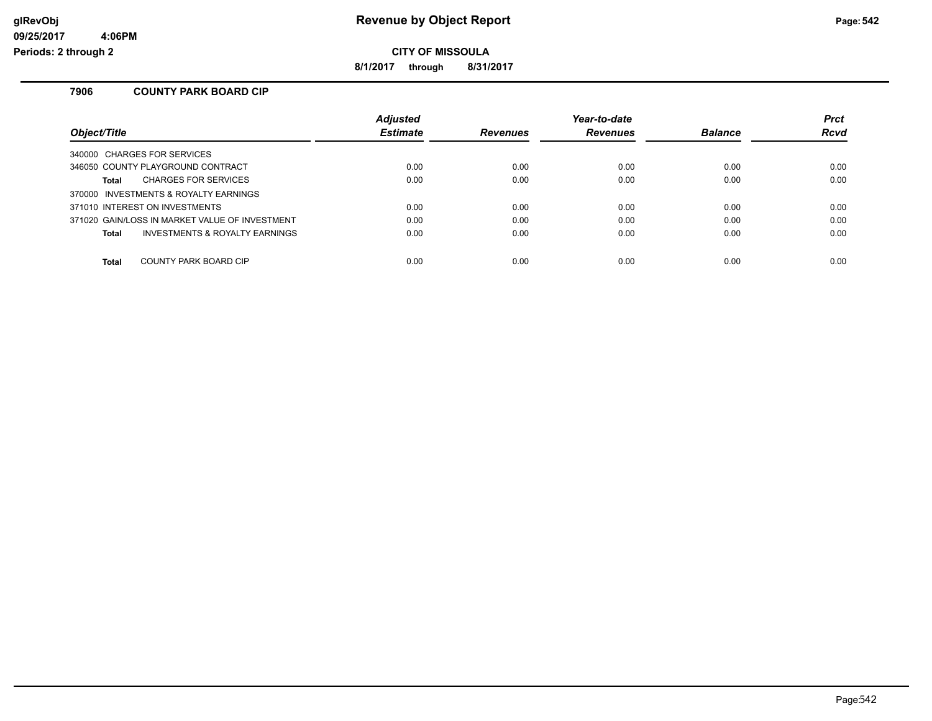**8/1/2017 through 8/31/2017**

#### **7906 COUNTY PARK BOARD CIP**

|                                                | <b>Adjusted</b> |                 | Year-to-date    |                | <b>Prct</b> |
|------------------------------------------------|-----------------|-----------------|-----------------|----------------|-------------|
| Object/Title                                   | <b>Estimate</b> | <b>Revenues</b> | <b>Revenues</b> | <b>Balance</b> | <b>Rcvd</b> |
| 340000 CHARGES FOR SERVICES                    |                 |                 |                 |                |             |
| 346050 COUNTY PLAYGROUND CONTRACT              | 0.00            | 0.00            | 0.00            | 0.00           | 0.00        |
| <b>CHARGES FOR SERVICES</b><br>Total           | 0.00            | 0.00            | 0.00            | 0.00           | 0.00        |
| 370000 INVESTMENTS & ROYALTY EARNINGS          |                 |                 |                 |                |             |
| 371010 INTEREST ON INVESTMENTS                 | 0.00            | 0.00            | 0.00            | 0.00           | 0.00        |
| 371020 GAIN/LOSS IN MARKET VALUE OF INVESTMENT | 0.00            | 0.00            | 0.00            | 0.00           | 0.00        |
| INVESTMENTS & ROYALTY EARNINGS<br>Total        | 0.00            | 0.00            | 0.00            | 0.00           | 0.00        |
| <b>Total</b><br><b>COUNTY PARK BOARD CIP</b>   | 0.00            | 0.00            | 0.00            | 0.00           | 0.00        |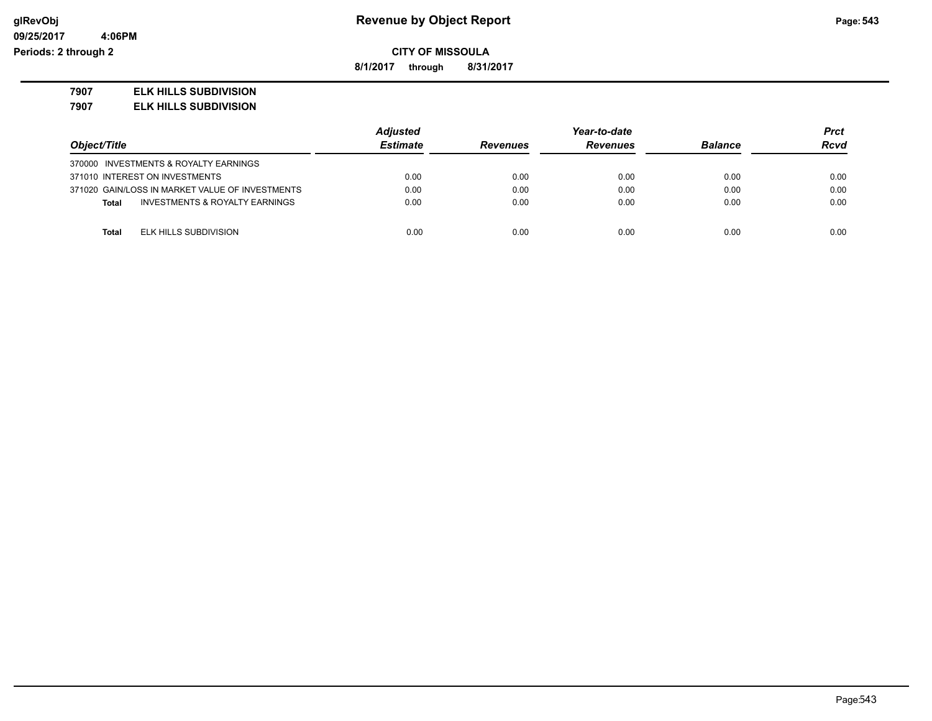**8/1/2017 through 8/31/2017**

#### **7907 ELK HILLS SUBDIVISION**

**7907 ELK HILLS SUBDIVISION**

|                                                           | <b>Adjusted</b> |                 | Year-to-date    |                | Prct |
|-----------------------------------------------------------|-----------------|-----------------|-----------------|----------------|------|
| Object/Title                                              | <b>Estimate</b> | <b>Revenues</b> | <b>Revenues</b> | <b>Balance</b> | Rcvd |
| 370000 INVESTMENTS & ROYALTY EARNINGS                     |                 |                 |                 |                |      |
| 371010 INTEREST ON INVESTMENTS                            | 0.00            | 0.00            | 0.00            | 0.00           | 0.00 |
| 371020 GAIN/LOSS IN MARKET VALUE OF INVESTMENTS           | 0.00            | 0.00            | 0.00            | 0.00           | 0.00 |
| <b>INVESTMENTS &amp; ROYALTY EARNINGS</b><br><b>Total</b> | 0.00            | 0.00            | 0.00            | 0.00           | 0.00 |
|                                                           |                 |                 |                 |                |      |
| <b>Total</b><br>ELK HILLS SUBDIVISION                     | 0.00            | 0.00            | 0.00            | 0.00           | 0.00 |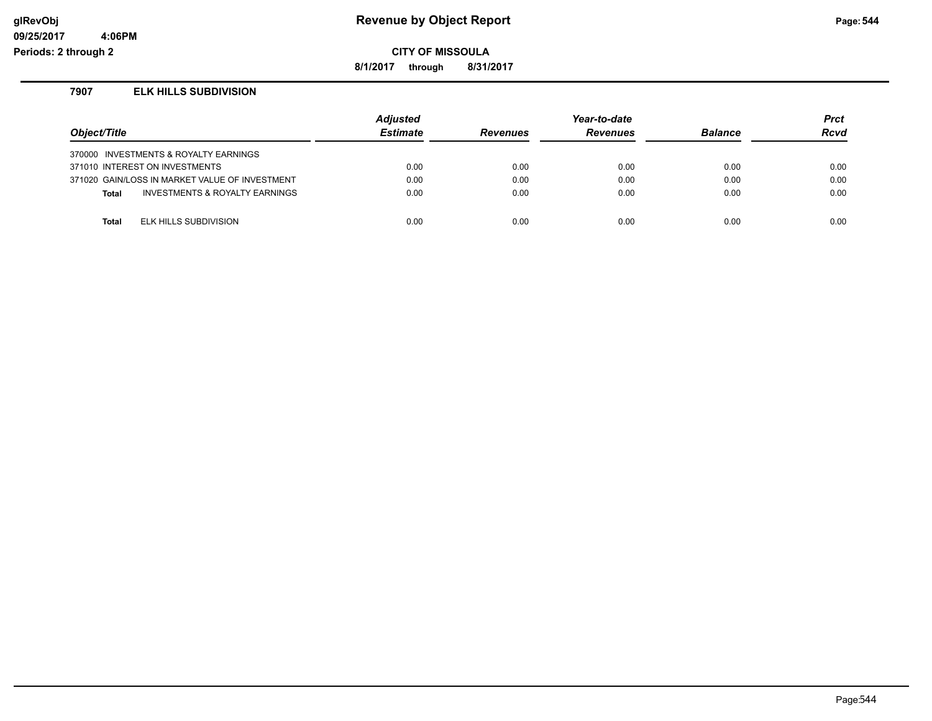**8/1/2017 through 8/31/2017**

#### **7907 ELK HILLS SUBDIVISION**

| Object/Title |                                                | <b>Adjusted</b><br><b>Estimate</b> | <b>Revenues</b> | Year-to-date<br><b>Revenues</b> | <b>Balance</b> | <b>Prct</b><br><b>Rcvd</b> |
|--------------|------------------------------------------------|------------------------------------|-----------------|---------------------------------|----------------|----------------------------|
|              | 370000 INVESTMENTS & ROYALTY EARNINGS          |                                    |                 |                                 |                |                            |
|              | 371010 INTEREST ON INVESTMENTS                 | 0.00                               | 0.00            | 0.00                            | 0.00           | 0.00                       |
|              | 371020 GAIN/LOSS IN MARKET VALUE OF INVESTMENT | 0.00                               | 0.00            | 0.00                            | 0.00           | 0.00                       |
| <b>Total</b> | <b>INVESTMENTS &amp; ROYALTY EARNINGS</b>      | 0.00                               | 0.00            | 0.00                            | 0.00           | 0.00                       |
|              |                                                |                                    |                 |                                 |                |                            |
| <b>Total</b> | ELK HILLS SUBDIVISION                          | 0.00                               | 0.00            | 0.00                            | 0.00           | 0.00                       |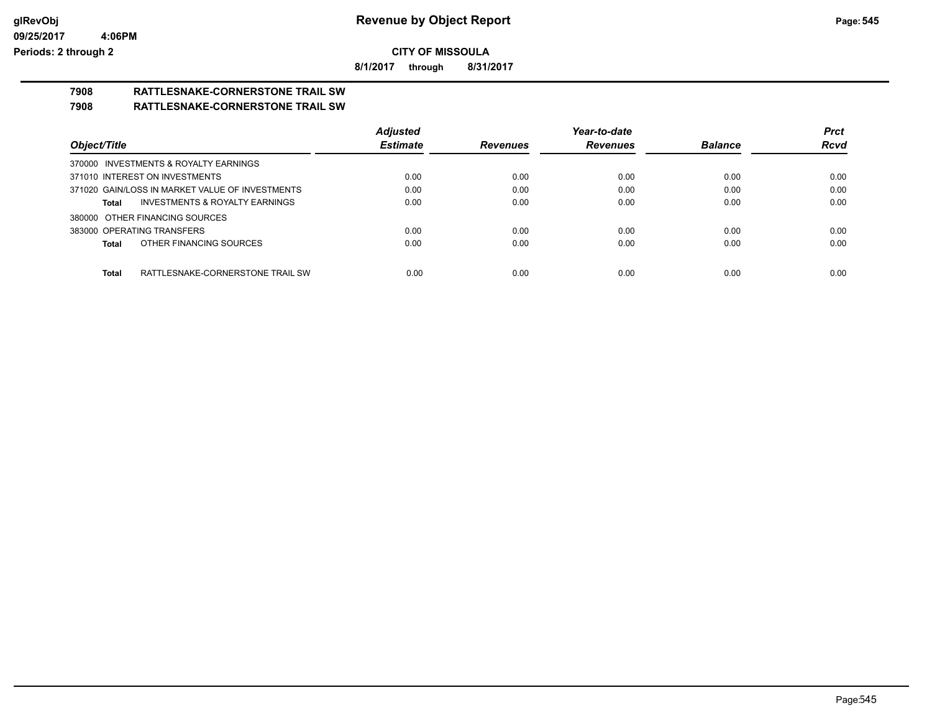**8/1/2017 through 8/31/2017**

# **7908 RATTLESNAKE-CORNERSTONE TRAIL SW**

# **7908 RATTLESNAKE-CORNERSTONE TRAIL SW**

|                                                 | <b>Adjusted</b> |                 | Year-to-date    |                | <b>Prct</b> |
|-------------------------------------------------|-----------------|-----------------|-----------------|----------------|-------------|
| Object/Title                                    | <b>Estimate</b> | <b>Revenues</b> | <b>Revenues</b> | <b>Balance</b> | <b>Rcvd</b> |
| 370000 INVESTMENTS & ROYALTY EARNINGS           |                 |                 |                 |                |             |
| 371010 INTEREST ON INVESTMENTS                  | 0.00            | 0.00            | 0.00            | 0.00           | 0.00        |
| 371020 GAIN/LOSS IN MARKET VALUE OF INVESTMENTS | 0.00            | 0.00            | 0.00            | 0.00           | 0.00        |
| INVESTMENTS & ROYALTY EARNINGS<br>Total         | 0.00            | 0.00            | 0.00            | 0.00           | 0.00        |
| 380000 OTHER FINANCING SOURCES                  |                 |                 |                 |                |             |
| 383000 OPERATING TRANSFERS                      | 0.00            | 0.00            | 0.00            | 0.00           | 0.00        |
| OTHER FINANCING SOURCES<br>Total                | 0.00            | 0.00            | 0.00            | 0.00           | 0.00        |
|                                                 |                 |                 |                 |                |             |
| Total<br>RATTLESNAKE-CORNERSTONE TRAIL SW       | 0.00            | 0.00            | 0.00            | 0.00           | 0.00        |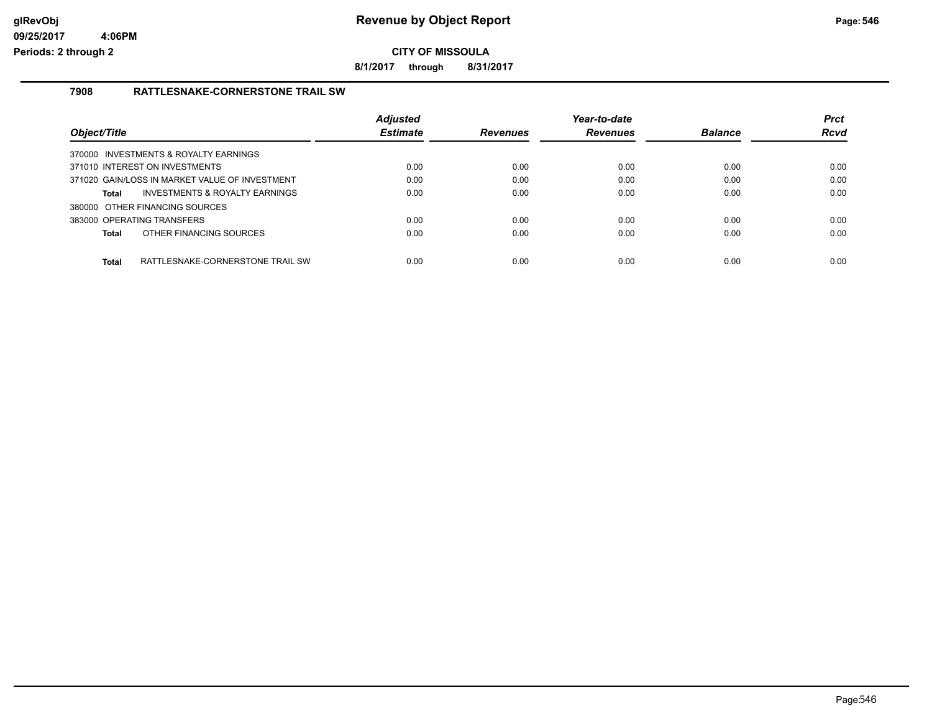**8/1/2017 through 8/31/2017**

#### **7908 RATTLESNAKE-CORNERSTONE TRAIL SW**

|                                                | <b>Adjusted</b> |                 | Year-to-date    |                | <b>Prct</b> |
|------------------------------------------------|-----------------|-----------------|-----------------|----------------|-------------|
| Object/Title                                   | <b>Estimate</b> | <b>Revenues</b> | <b>Revenues</b> | <b>Balance</b> | <b>Rcvd</b> |
| 370000 INVESTMENTS & ROYALTY EARNINGS          |                 |                 |                 |                |             |
| 371010 INTEREST ON INVESTMENTS                 | 0.00            | 0.00            | 0.00            | 0.00           | 0.00        |
| 371020 GAIN/LOSS IN MARKET VALUE OF INVESTMENT | 0.00            | 0.00            | 0.00            | 0.00           | 0.00        |
| INVESTMENTS & ROYALTY EARNINGS<br>Total        | 0.00            | 0.00            | 0.00            | 0.00           | 0.00        |
| 380000 OTHER FINANCING SOURCES                 |                 |                 |                 |                |             |
| 383000 OPERATING TRANSFERS                     | 0.00            | 0.00            | 0.00            | 0.00           | 0.00        |
| OTHER FINANCING SOURCES<br>Total               | 0.00            | 0.00            | 0.00            | 0.00           | 0.00        |
|                                                |                 |                 |                 |                |             |
| Total<br>RATTLESNAKE-CORNERSTONE TRAIL SW      | 0.00            | 0.00            | 0.00            | 0.00           | 0.00        |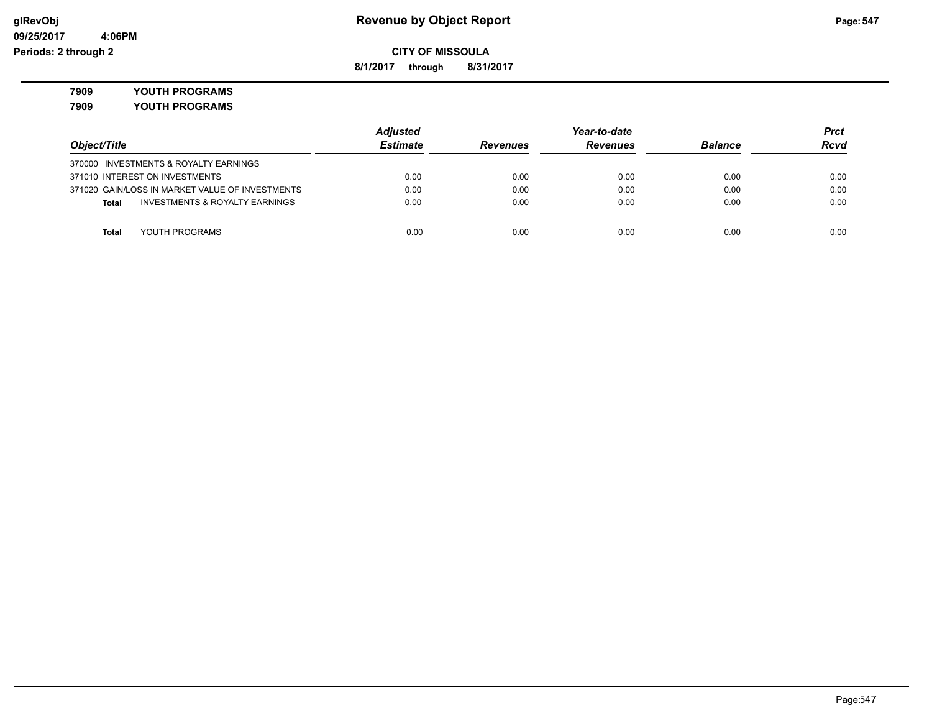**8/1/2017 through 8/31/2017**

# **7909 YOUTH PROGRAMS**

**7909 YOUTH PROGRAMS**

|                                                           | <b>Adjusted</b> |                 | Year-to-date    |                |             |
|-----------------------------------------------------------|-----------------|-----------------|-----------------|----------------|-------------|
| Object/Title                                              | <b>Estimate</b> | <b>Revenues</b> | <b>Revenues</b> | <b>Balance</b> | <b>Rcvd</b> |
| 370000 INVESTMENTS & ROYALTY EARNINGS                     |                 |                 |                 |                |             |
| 371010 INTEREST ON INVESTMENTS                            | 0.00            | 0.00            | 0.00            | 0.00           | 0.00        |
| 371020 GAIN/LOSS IN MARKET VALUE OF INVESTMENTS           | 0.00            | 0.00            | 0.00            | 0.00           | 0.00        |
| <b>INVESTMENTS &amp; ROYALTY EARNINGS</b><br><b>Total</b> | 0.00            | 0.00            | 0.00            | 0.00           | 0.00        |
|                                                           |                 |                 |                 |                |             |
| YOUTH PROGRAMS<br>Total                                   | 0.00            | 0.00            | 0.00            | 0.00           | 0.00        |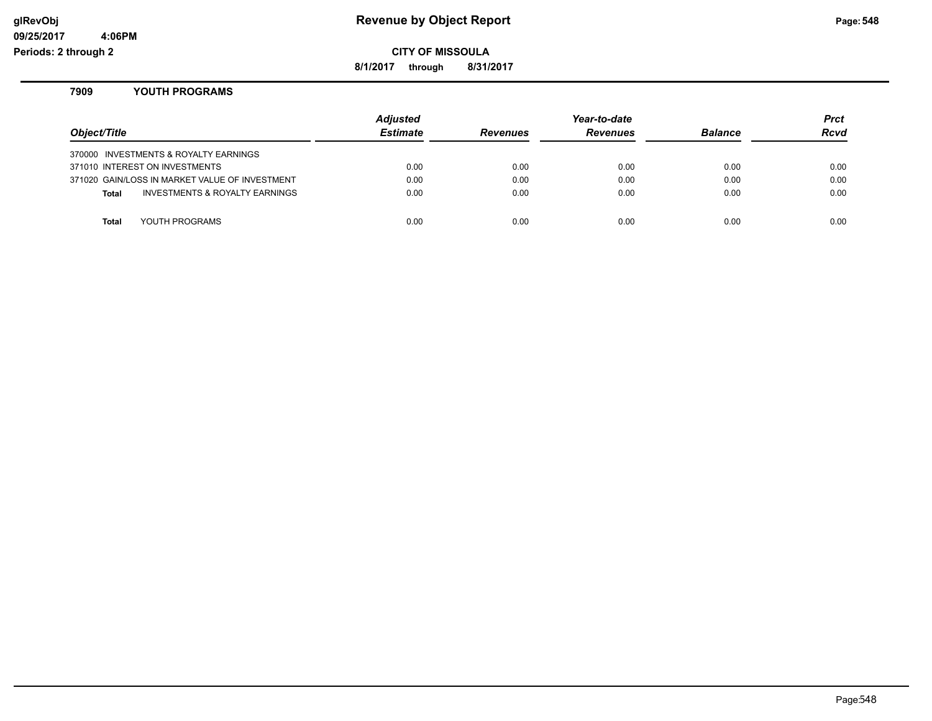**Periods: 2 through 2**

**CITY OF MISSOULA**

**8/1/2017 through 8/31/2017**

#### **7909 YOUTH PROGRAMS**

| Object/Title |                                                | <b>Adjusted</b><br><b>Estimate</b> | <b>Revenues</b> | Year-to-date<br><b>Revenues</b> | <b>Balance</b> | <b>Prct</b><br>Rcvd |
|--------------|------------------------------------------------|------------------------------------|-----------------|---------------------------------|----------------|---------------------|
|              | 370000 INVESTMENTS & ROYALTY EARNINGS          |                                    |                 |                                 |                |                     |
|              | 371010 INTEREST ON INVESTMENTS                 | 0.00                               | 0.00            | 0.00                            | 0.00           | 0.00                |
|              | 371020 GAIN/LOSS IN MARKET VALUE OF INVESTMENT | 0.00                               | 0.00            | 0.00                            | 0.00           | 0.00                |
| Total        | INVESTMENTS & ROYALTY EARNINGS                 | 0.00                               | 0.00            | 0.00                            | 0.00           | 0.00                |
|              |                                                |                                    |                 |                                 |                |                     |
| <b>Total</b> | YOUTH PROGRAMS                                 | 0.00                               | 0.00            | 0.00                            | 0.00           | 0.00                |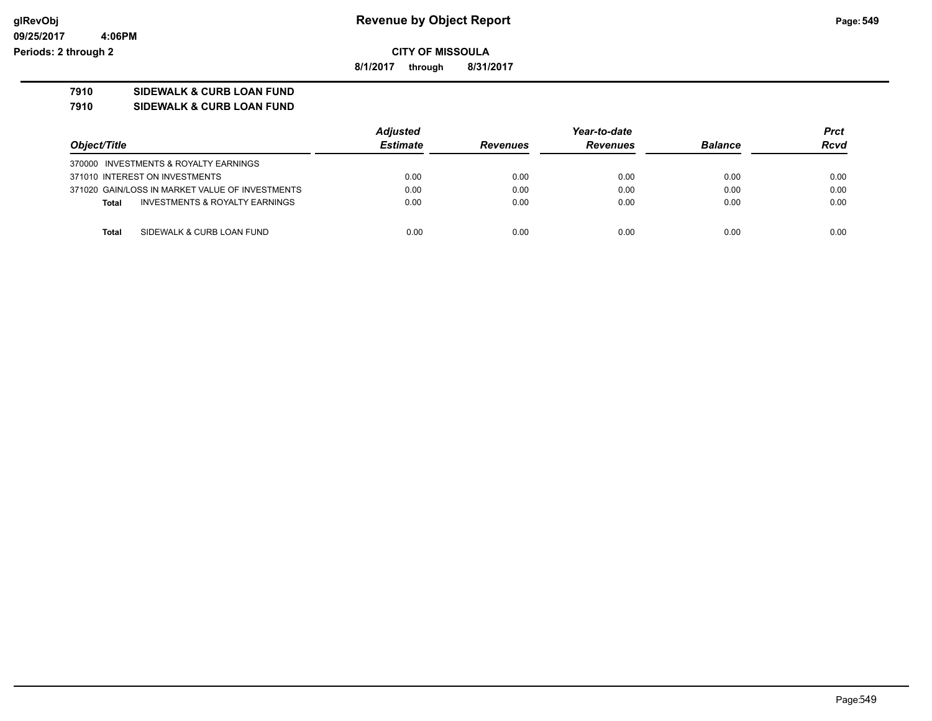**8/1/2017 through 8/31/2017**

# **7910 SIDEWALK & CURB LOAN FUND**

## **7910 SIDEWALK & CURB LOAN FUND**

|                                                           | <b>Adjusted</b> |                 | Year-to-date    |                |             |
|-----------------------------------------------------------|-----------------|-----------------|-----------------|----------------|-------------|
| Object/Title                                              | <b>Estimate</b> | <b>Revenues</b> | <b>Revenues</b> | <b>Balance</b> | <b>Rcvd</b> |
| 370000 INVESTMENTS & ROYALTY EARNINGS                     |                 |                 |                 |                |             |
| 371010 INTEREST ON INVESTMENTS                            | 0.00            | 0.00            | 0.00            | 0.00           | 0.00        |
| 371020 GAIN/LOSS IN MARKET VALUE OF INVESTMENTS           | 0.00            | 0.00            | 0.00            | 0.00           | 0.00        |
| <b>INVESTMENTS &amp; ROYALTY EARNINGS</b><br><b>Total</b> | 0.00            | 0.00            | 0.00            | 0.00           | 0.00        |
|                                                           |                 |                 |                 |                |             |
| Total<br>SIDEWALK & CURB LOAN FUND                        | 0.00            | 0.00            | 0.00            | 0.00           | 0.00        |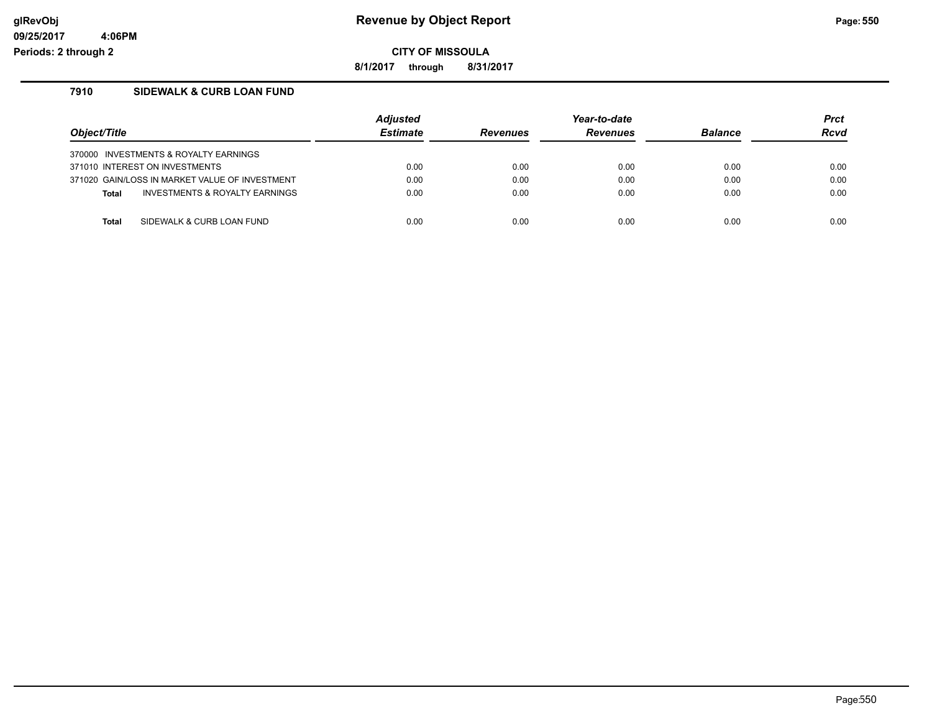**8/1/2017 through 8/31/2017**

## **7910 SIDEWALK & CURB LOAN FUND**

| Object/Title                                   |                                           | <b>Adjusted</b><br><b>Estimate</b> | <b>Revenues</b> | Year-to-date<br><b>Revenues</b> | <b>Balance</b> | <b>Prct</b><br>Rcvd |
|------------------------------------------------|-------------------------------------------|------------------------------------|-----------------|---------------------------------|----------------|---------------------|
| 370000 INVESTMENTS & ROYALTY EARNINGS          |                                           |                                    |                 |                                 |                |                     |
| 371010 INTEREST ON INVESTMENTS                 |                                           | 0.00                               | 0.00            | 0.00                            | 0.00           | 0.00                |
| 371020 GAIN/LOSS IN MARKET VALUE OF INVESTMENT |                                           | 0.00                               | 0.00            | 0.00                            | 0.00           | 0.00                |
| <b>Total</b>                                   | <b>INVESTMENTS &amp; ROYALTY EARNINGS</b> | 0.00                               | 0.00            | 0.00                            | 0.00           | 0.00                |
|                                                |                                           |                                    |                 |                                 |                |                     |
| Total                                          | SIDEWALK & CURB LOAN FUND                 | 0.00                               | 0.00            | 0.00                            | 0.00           | 0.00                |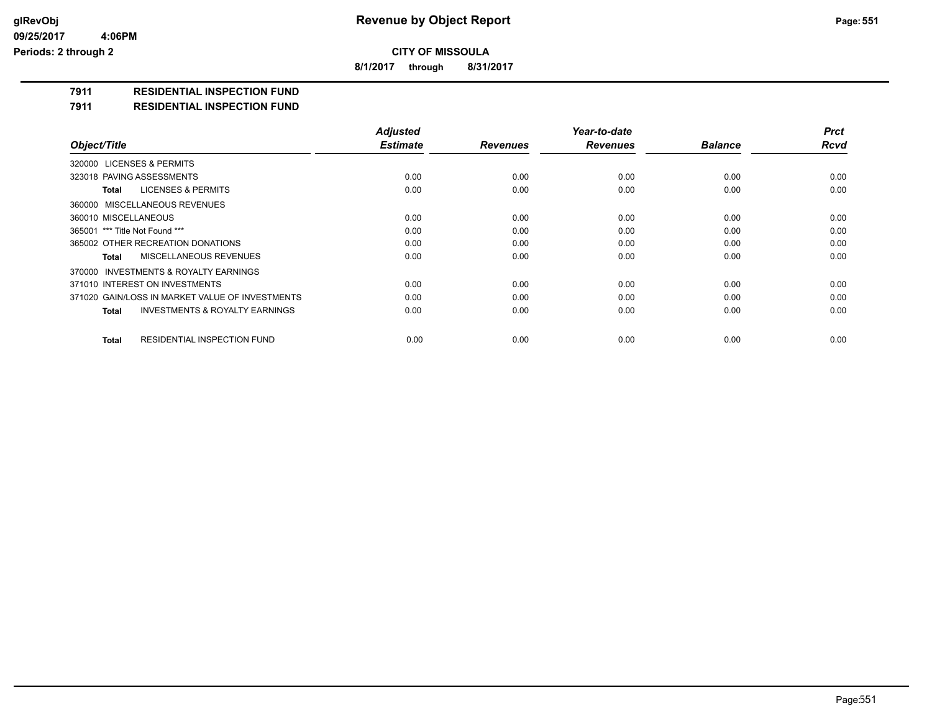**8/1/2017 through 8/31/2017**

**7911 RESIDENTIAL INSPECTION FUND**

**7911 RESIDENTIAL INSPECTION FUND**

|                                                    | <b>Adjusted</b> |                 | Year-to-date    |                | <b>Prct</b> |
|----------------------------------------------------|-----------------|-----------------|-----------------|----------------|-------------|
| Object/Title                                       | <b>Estimate</b> | <b>Revenues</b> | <b>Revenues</b> | <b>Balance</b> | <b>Rcvd</b> |
| 320000 LICENSES & PERMITS                          |                 |                 |                 |                |             |
| 323018 PAVING ASSESSMENTS                          | 0.00            | 0.00            | 0.00            | 0.00           | 0.00        |
| <b>LICENSES &amp; PERMITS</b><br>Total             | 0.00            | 0.00            | 0.00            | 0.00           | 0.00        |
| 360000 MISCELLANEOUS REVENUES                      |                 |                 |                 |                |             |
| 360010 MISCELLANEOUS                               | 0.00            | 0.00            | 0.00            | 0.00           | 0.00        |
| 365001 *** Title Not Found ***                     | 0.00            | 0.00            | 0.00            | 0.00           | 0.00        |
| 365002 OTHER RECREATION DONATIONS                  | 0.00            | 0.00            | 0.00            | 0.00           | 0.00        |
| MISCELLANEOUS REVENUES<br>Total                    | 0.00            | 0.00            | 0.00            | 0.00           | 0.00        |
| 370000 INVESTMENTS & ROYALTY EARNINGS              |                 |                 |                 |                |             |
| 371010 INTEREST ON INVESTMENTS                     | 0.00            | 0.00            | 0.00            | 0.00           | 0.00        |
| 371020 GAIN/LOSS IN MARKET VALUE OF INVESTMENTS    | 0.00            | 0.00            | 0.00            | 0.00           | 0.00        |
| <b>INVESTMENTS &amp; ROYALTY EARNINGS</b><br>Total | 0.00            | 0.00            | 0.00            | 0.00           | 0.00        |
| <b>RESIDENTIAL INSPECTION FUND</b><br>Total        | 0.00            | 0.00            | 0.00            | 0.00           | 0.00        |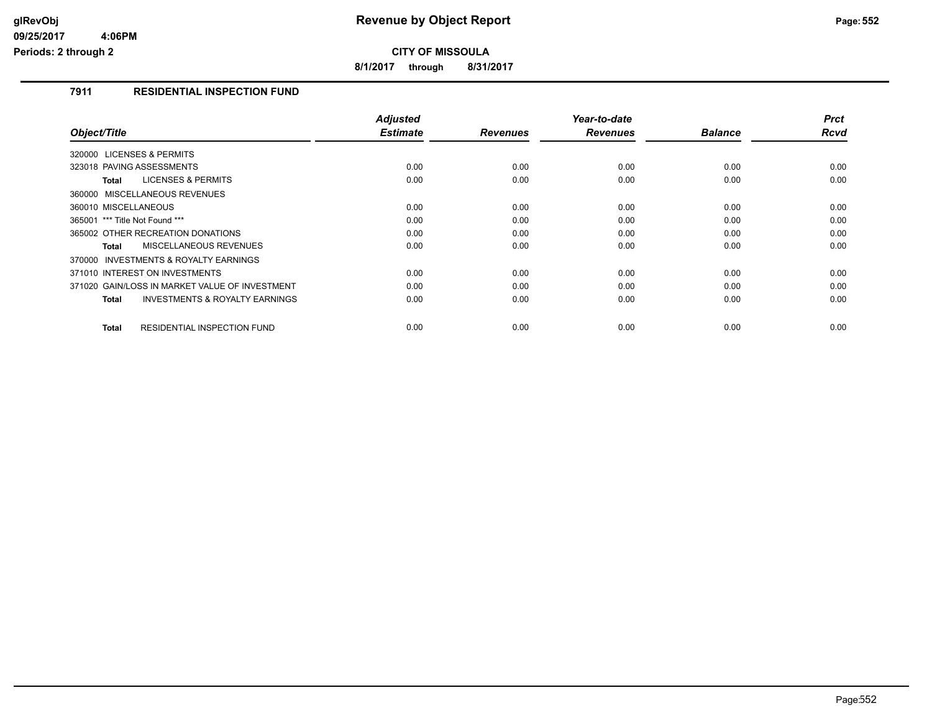**8/1/2017 through 8/31/2017**

## **7911 RESIDENTIAL INSPECTION FUND**

| Object/Title                                              | <b>Adjusted</b><br><b>Estimate</b> | <b>Revenues</b> | Year-to-date<br><b>Revenues</b> | <b>Balance</b> | <b>Prct</b><br><b>Rcvd</b> |
|-----------------------------------------------------------|------------------------------------|-----------------|---------------------------------|----------------|----------------------------|
|                                                           |                                    |                 |                                 |                |                            |
| 320000 LICENSES & PERMITS                                 |                                    |                 |                                 |                |                            |
| 323018 PAVING ASSESSMENTS                                 | 0.00                               | 0.00            | 0.00                            | 0.00           | 0.00                       |
| <b>LICENSES &amp; PERMITS</b><br><b>Total</b>             | 0.00                               | 0.00            | 0.00                            | 0.00           | 0.00                       |
| 360000 MISCELLANEOUS REVENUES                             |                                    |                 |                                 |                |                            |
| 360010 MISCELLANEOUS                                      | 0.00                               | 0.00            | 0.00                            | 0.00           | 0.00                       |
| 365001 *** Title Not Found ***                            | 0.00                               | 0.00            | 0.00                            | 0.00           | 0.00                       |
| 365002 OTHER RECREATION DONATIONS                         | 0.00                               | 0.00            | 0.00                            | 0.00           | 0.00                       |
| <b>MISCELLANEOUS REVENUES</b><br><b>Total</b>             | 0.00                               | 0.00            | 0.00                            | 0.00           | 0.00                       |
| INVESTMENTS & ROYALTY EARNINGS<br>370000                  |                                    |                 |                                 |                |                            |
| 371010 INTEREST ON INVESTMENTS                            | 0.00                               | 0.00            | 0.00                            | 0.00           | 0.00                       |
| 371020 GAIN/LOSS IN MARKET VALUE OF INVESTMENT            | 0.00                               | 0.00            | 0.00                            | 0.00           | 0.00                       |
| <b>INVESTMENTS &amp; ROYALTY EARNINGS</b><br><b>Total</b> | 0.00                               | 0.00            | 0.00                            | 0.00           | 0.00                       |
| RESIDENTIAL INSPECTION FUND<br><b>Total</b>               | 0.00                               | 0.00            | 0.00                            | 0.00           | 0.00                       |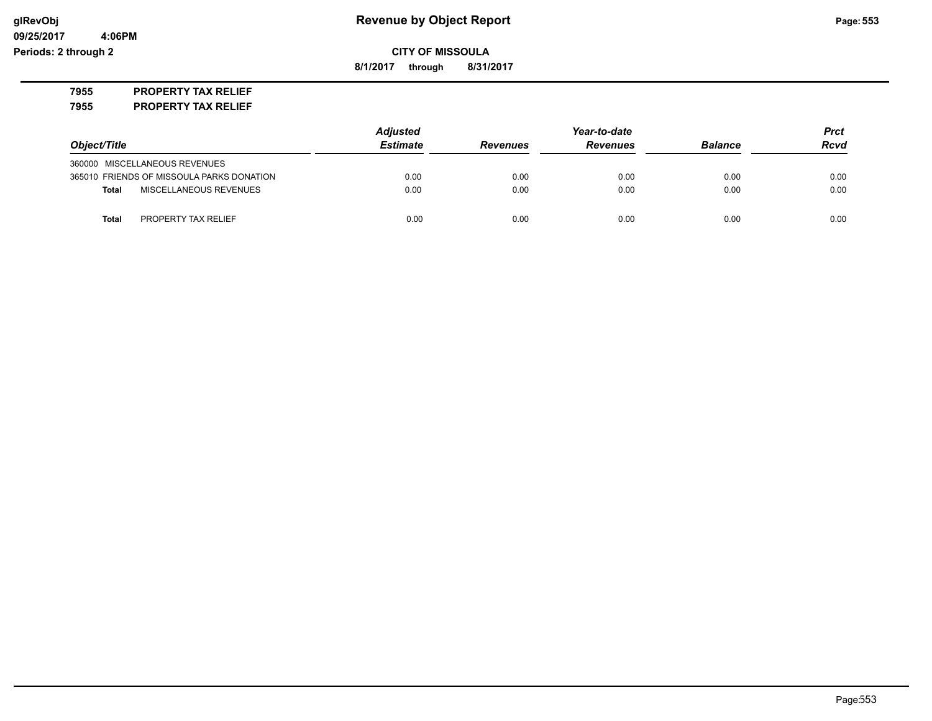**09/25/2017 4:06PM Periods: 2 through 2**

**CITY OF MISSOULA**

**8/1/2017 through 8/31/2017**

**7955 PROPERTY TAX RELIEF**

**7955 PROPERTY TAX RELIEF**

| Object/Title |                                           | <b>Adjusted</b> |                 | Year-to-date    |                | Prct<br><b>Rcvd</b> |
|--------------|-------------------------------------------|-----------------|-----------------|-----------------|----------------|---------------------|
|              |                                           | <b>Estimate</b> | <b>Revenues</b> | <b>Revenues</b> | <b>Balance</b> |                     |
|              | 360000 MISCELLANEOUS REVENUES             |                 |                 |                 |                |                     |
|              | 365010 FRIENDS OF MISSOULA PARKS DONATION | 0.00            | 0.00            | 0.00            | 0.00           | 0.00                |
| <b>Total</b> | MISCELLANEOUS REVENUES                    | 0.00            | 0.00            | 0.00            | 0.00           | 0.00                |
| <b>Total</b> | PROPERTY TAX RELIEF                       | 0.00            | 0.00            | 0.00            | 0.00           | 0.00                |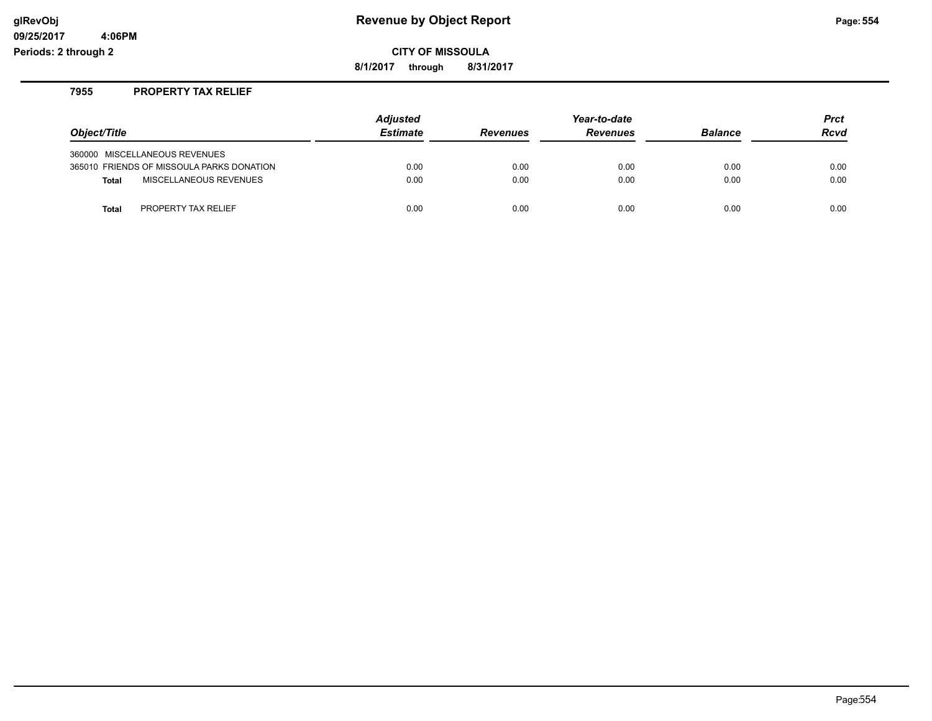**Periods: 2 through 2**

**CITY OF MISSOULA**

**8/1/2017 through 8/31/2017**

#### **7955 PROPERTY TAX RELIEF**

 **4:06PM**

|                                           | <b>Adjusted</b> |                 | Year-to-date    |                | <b>Prct</b> |
|-------------------------------------------|-----------------|-----------------|-----------------|----------------|-------------|
| Object/Title                              | <b>Estimate</b> | <b>Revenues</b> | <b>Revenues</b> | <b>Balance</b> | <b>Rcvd</b> |
| 360000 MISCELLANEOUS REVENUES             |                 |                 |                 |                |             |
| 365010 FRIENDS OF MISSOULA PARKS DONATION | 0.00            | 0.00            | 0.00            | 0.00           | 0.00        |
| MISCELLANEOUS REVENUES<br><b>Total</b>    | 0.00            | 0.00            | 0.00            | 0.00           | 0.00        |
| PROPERTY TAX RELIEF<br>Total              | 0.00            | 0.00            | 0.00            | 0.00           | 0.00        |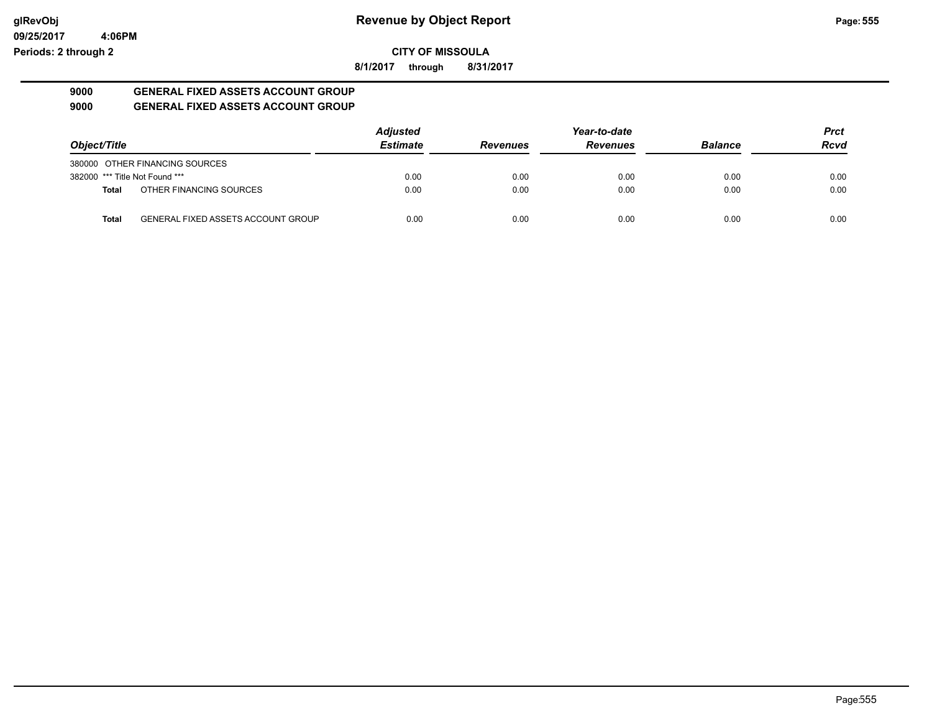#### **09/25/2017 4:06PM**

**Periods: 2 through 2**

**CITY OF MISSOULA**

**8/1/2017 through 8/31/2017**

#### **9000 GENERAL FIXED ASSETS ACCOUNT GROUP 9000 GENERAL FIXED ASSETS ACCOUNT GROUP**

|                                |                                           | <b>Adjusted</b> |                 | Year-to-date    |                | Prct |
|--------------------------------|-------------------------------------------|-----------------|-----------------|-----------------|----------------|------|
| Object/Title                   |                                           | <b>Estimate</b> | <b>Revenues</b> | <b>Revenues</b> | <b>Balance</b> | Rcvd |
|                                | 380000 OTHER FINANCING SOURCES            |                 |                 |                 |                |      |
| 382000 *** Title Not Found *** |                                           | 0.00            | 0.00            | 0.00            | 0.00           | 0.00 |
| <b>Total</b>                   | OTHER FINANCING SOURCES                   | 0.00            | 0.00            | 0.00            | 0.00           | 0.00 |
| <b>Total</b>                   | <b>GENERAL FIXED ASSETS ACCOUNT GROUP</b> | 0.00            | 0.00            | 0.00            | 0.00           | 0.00 |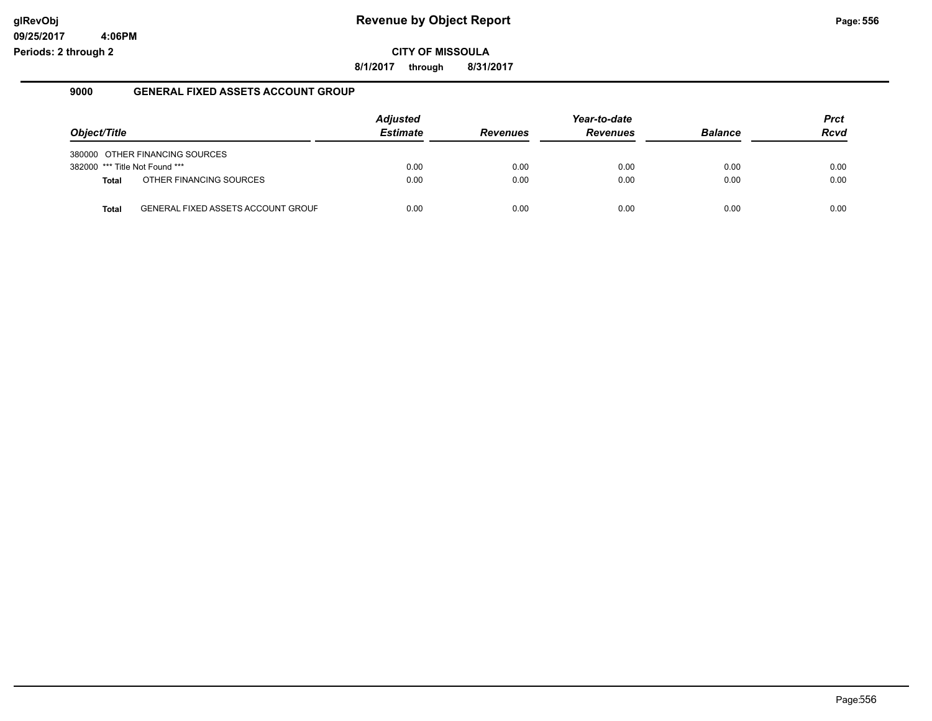**8/1/2017 through 8/31/2017**

#### **9000 GENERAL FIXED ASSETS ACCOUNT GROUP**

| Object/Title                   |                                           | <b>Adjusted</b><br><b>Estimate</b> | <b>Revenues</b> | Year-to-date<br><b>Revenues</b> | <b>Balance</b> | <b>Prct</b><br><b>Rcvd</b> |
|--------------------------------|-------------------------------------------|------------------------------------|-----------------|---------------------------------|----------------|----------------------------|
|                                | 380000 OTHER FINANCING SOURCES            |                                    |                 |                                 |                |                            |
| 382000 *** Title Not Found *** |                                           | 0.00                               | 0.00            | 0.00                            | 0.00           | 0.00                       |
| <b>Total</b>                   | OTHER FINANCING SOURCES                   | 0.00                               | 0.00            | 0.00                            | 0.00           | 0.00                       |
| <b>Total</b>                   | <b>GENERAL FIXED ASSETS ACCOUNT GROUF</b> | 0.00                               | 0.00            | 0.00                            | 0.00           | 0.00                       |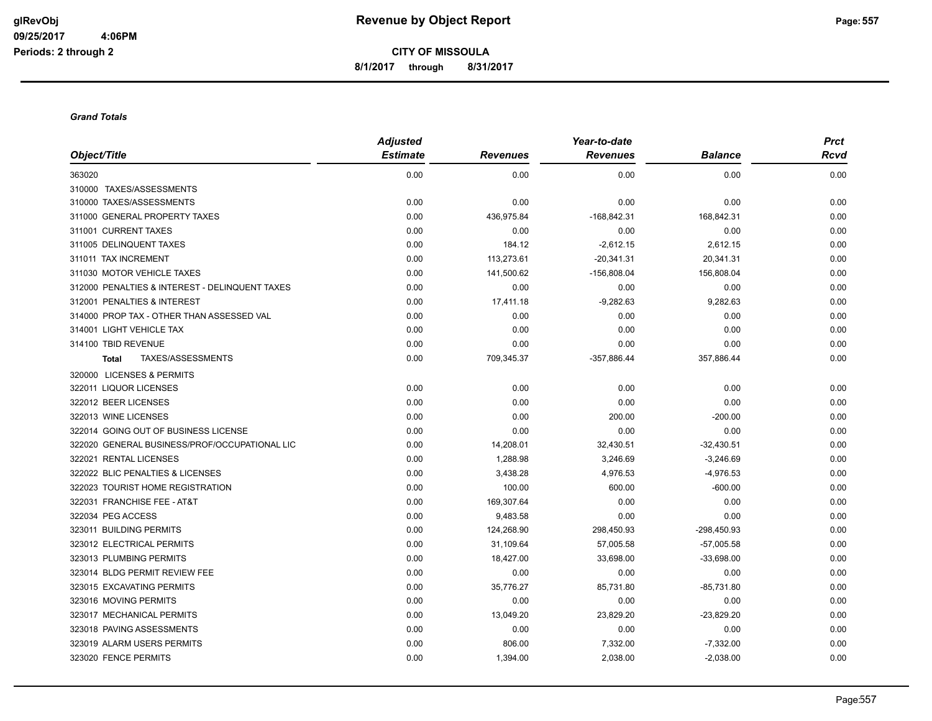**CITY OF MISSOULA 8/1/2017 through 8/31/2017**

#### *Grand Totals*

|                                                | <b>Adjusted</b> |                 | Year-to-date    |                | <b>Prct</b> |
|------------------------------------------------|-----------------|-----------------|-----------------|----------------|-------------|
| Object/Title                                   | <b>Estimate</b> | <b>Revenues</b> | <b>Revenues</b> | <b>Balance</b> | <b>Rcvd</b> |
| 363020                                         | 0.00            | 0.00            | 0.00            | 0.00           | 0.00        |
| 310000 TAXES/ASSESSMENTS                       |                 |                 |                 |                |             |
| 310000 TAXES/ASSESSMENTS                       | 0.00            | 0.00            | 0.00            | 0.00           | 0.00        |
| 311000 GENERAL PROPERTY TAXES                  | 0.00            | 436,975.84      | -168,842.31     | 168,842.31     | 0.00        |
| 311001 CURRENT TAXES                           | 0.00            | 0.00            | 0.00            | 0.00           | 0.00        |
| 311005 DELINQUENT TAXES                        | 0.00            | 184.12          | $-2,612.15$     | 2,612.15       | 0.00        |
| 311011 TAX INCREMENT                           | 0.00            | 113,273.61      | $-20,341.31$    | 20,341.31      | 0.00        |
| 311030 MOTOR VEHICLE TAXES                     | 0.00            | 141,500.62      | $-156,808.04$   | 156,808.04     | 0.00        |
| 312000 PENALTIES & INTEREST - DELINQUENT TAXES | 0.00            | 0.00            | 0.00            | 0.00           | 0.00        |
| 312001 PENALTIES & INTEREST                    | 0.00            | 17,411.18       | $-9,282.63$     | 9,282.63       | 0.00        |
| 314000 PROP TAX - OTHER THAN ASSESSED VAL      | 0.00            | 0.00            | 0.00            | 0.00           | 0.00        |
| 314001 LIGHT VEHICLE TAX                       | 0.00            | 0.00            | 0.00            | 0.00           | 0.00        |
| 314100 TBID REVENUE                            | 0.00            | 0.00            | 0.00            | 0.00           | 0.00        |
| TAXES/ASSESSMENTS<br><b>Total</b>              | 0.00            | 709,345.37      | -357,886.44     | 357,886.44     | 0.00        |
| 320000 LICENSES & PERMITS                      |                 |                 |                 |                |             |
| 322011 LIQUOR LICENSES                         | 0.00            | 0.00            | 0.00            | 0.00           | 0.00        |
| 322012 BEER LICENSES                           | 0.00            | 0.00            | 0.00            | 0.00           | 0.00        |
| 322013 WINE LICENSES                           | 0.00            | 0.00            | 200.00          | $-200.00$      | 0.00        |
| 322014 GOING OUT OF BUSINESS LICENSE           | 0.00            | 0.00            | 0.00            | 0.00           | 0.00        |
| 322020 GENERAL BUSINESS/PROF/OCCUPATIONAL LIC  | 0.00            | 14,208.01       | 32,430.51       | $-32,430.51$   | 0.00        |
| 322021 RENTAL LICENSES                         | 0.00            | 1,288.98        | 3,246.69        | $-3,246.69$    | 0.00        |
| 322022 BLIC PENALTIES & LICENSES               | 0.00            | 3,438.28        | 4,976.53        | $-4,976.53$    | 0.00        |
| 322023 TOURIST HOME REGISTRATION               | 0.00            | 100.00          | 600.00          | $-600.00$      | 0.00        |
| 322031 FRANCHISE FEE - AT&T                    | 0.00            | 169,307.64      | 0.00            | 0.00           | 0.00        |
| 322034 PEG ACCESS                              | 0.00            | 9,483.58        | 0.00            | 0.00           | 0.00        |
| 323011 BUILDING PERMITS                        | 0.00            | 124,268.90      | 298,450.93      | -298,450.93    | 0.00        |
| 323012 ELECTRICAL PERMITS                      | 0.00            | 31,109.64       | 57,005.58       | $-57,005.58$   | 0.00        |
| 323013 PLUMBING PERMITS                        | 0.00            | 18,427.00       | 33,698.00       | $-33,698.00$   | 0.00        |
| 323014 BLDG PERMIT REVIEW FEE                  | 0.00            | 0.00            | 0.00            | 0.00           | 0.00        |
| 323015 EXCAVATING PERMITS                      | 0.00            | 35,776.27       | 85,731.80       | $-85,731.80$   | 0.00        |
| 323016 MOVING PERMITS                          | 0.00            | 0.00            | 0.00            | 0.00           | 0.00        |
| 323017 MECHANICAL PERMITS                      | 0.00            | 13,049.20       | 23,829.20       | $-23,829.20$   | 0.00        |
| 323018 PAVING ASSESSMENTS                      | 0.00            | 0.00            | 0.00            | 0.00           | 0.00        |
| 323019 ALARM USERS PERMITS                     | 0.00            | 806.00          | 7,332.00        | $-7,332.00$    | 0.00        |
| 323020 FENCE PERMITS                           | 0.00            | 1,394.00        | 2,038.00        | $-2,038.00$    | 0.00        |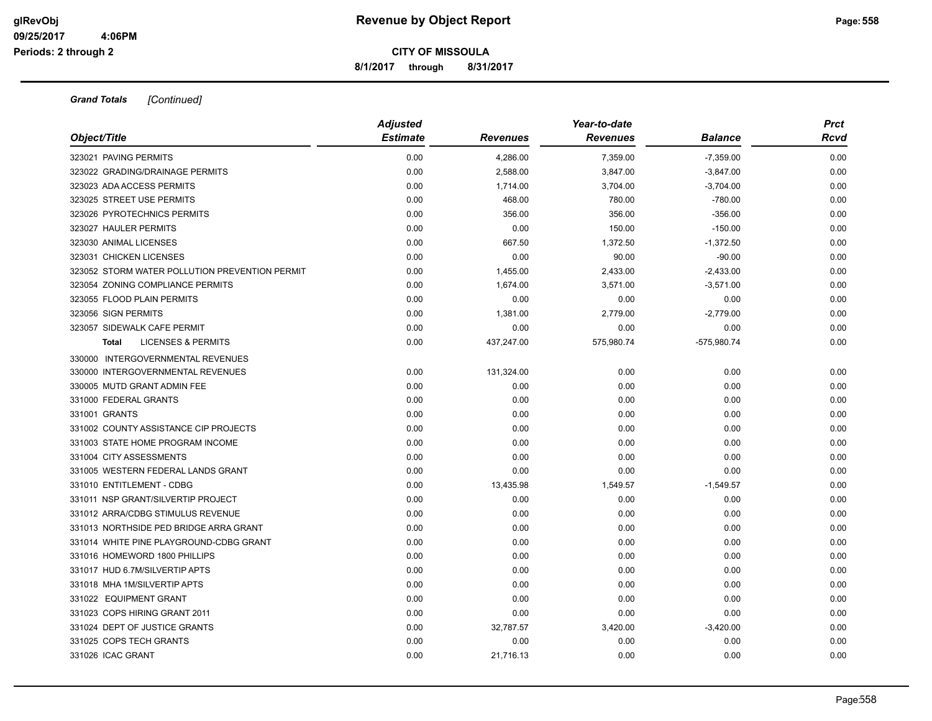**8/1/2017 through 8/31/2017**

| Object/Title                                   | <b>Adjusted</b><br><b>Estimate</b> | <b>Revenues</b> | Year-to-date<br><b>Revenues</b> | <b>Balance</b> | <b>Prct</b><br><b>Rcvd</b> |
|------------------------------------------------|------------------------------------|-----------------|---------------------------------|----------------|----------------------------|
| 323021 PAVING PERMITS                          | 0.00                               | 4,286.00        | 7,359.00                        | $-7,359.00$    | 0.00                       |
| 323022 GRADING/DRAINAGE PERMITS                | 0.00                               | 2,588.00        | 3,847.00                        | $-3,847.00$    | 0.00                       |
| 323023 ADA ACCESS PERMITS                      | 0.00                               | 1,714.00        | 3,704.00                        | $-3,704.00$    | 0.00                       |
| 323025 STREET USE PERMITS                      | 0.00                               | 468.00          | 780.00                          | $-780.00$      | 0.00                       |
| 323026 PYROTECHNICS PERMITS                    | 0.00                               | 356.00          | 356.00                          | $-356.00$      | 0.00                       |
| 323027 HAULER PERMITS                          | 0.00                               | 0.00            | 150.00                          | $-150.00$      | 0.00                       |
| 323030 ANIMAL LICENSES                         | 0.00                               | 667.50          | 1,372.50                        | $-1,372.50$    | 0.00                       |
| 323031 CHICKEN LICENSES                        | 0.00                               | 0.00            | 90.00                           | $-90.00$       | 0.00                       |
| 323052 STORM WATER POLLUTION PREVENTION PERMIT | 0.00                               | 1,455.00        | 2,433.00                        | $-2,433.00$    | 0.00                       |
| 323054 ZONING COMPLIANCE PERMITS               | 0.00                               | 1,674.00        | 3,571.00                        | $-3,571.00$    | 0.00                       |
| 323055 FLOOD PLAIN PERMITS                     | 0.00                               | 0.00            | 0.00                            | 0.00           | 0.00                       |
| 323056 SIGN PERMITS                            | 0.00                               | 1,381.00        | 2,779.00                        | $-2,779.00$    | 0.00                       |
| 323057 SIDEWALK CAFE PERMIT                    | 0.00                               | 0.00            | 0.00                            | 0.00           | 0.00                       |
| <b>LICENSES &amp; PERMITS</b><br><b>Total</b>  | 0.00                               | 437,247.00      | 575,980.74                      | $-575,980.74$  | 0.00                       |
| 330000 INTERGOVERNMENTAL REVENUES              |                                    |                 |                                 |                |                            |
| 330000 INTERGOVERNMENTAL REVENUES              | 0.00                               | 131,324.00      | 0.00                            | 0.00           | 0.00                       |
| 330005 MUTD GRANT ADMIN FEE                    | 0.00                               | 0.00            | 0.00                            | 0.00           | 0.00                       |
| 331000 FEDERAL GRANTS                          | 0.00                               | 0.00            | 0.00                            | 0.00           | 0.00                       |
| 331001 GRANTS                                  | 0.00                               | 0.00            | 0.00                            | 0.00           | 0.00                       |
| 331002 COUNTY ASSISTANCE CIP PROJECTS          | 0.00                               | 0.00            | 0.00                            | 0.00           | 0.00                       |
| 331003 STATE HOME PROGRAM INCOME               | 0.00                               | 0.00            | 0.00                            | 0.00           | 0.00                       |
| 331004 CITY ASSESSMENTS                        | 0.00                               | 0.00            | 0.00                            | 0.00           | 0.00                       |
| 331005 WESTERN FEDERAL LANDS GRANT             | 0.00                               | 0.00            | 0.00                            | 0.00           | 0.00                       |
| 331010 ENTITLEMENT - CDBG                      | 0.00                               | 13,435.98       | 1,549.57                        | $-1,549.57$    | 0.00                       |
| 331011 NSP GRANT/SILVERTIP PROJECT             | 0.00                               | 0.00            | 0.00                            | 0.00           | 0.00                       |
| 331012 ARRA/CDBG STIMULUS REVENUE              | 0.00                               | 0.00            | 0.00                            | 0.00           | 0.00                       |
| 331013 NORTHSIDE PED BRIDGE ARRA GRANT         | 0.00                               | 0.00            | 0.00                            | 0.00           | 0.00                       |
| 331014 WHITE PINE PLAYGROUND-CDBG GRANT        | 0.00                               | 0.00            | 0.00                            | 0.00           | 0.00                       |
| 331016 HOMEWORD 1800 PHILLIPS                  | 0.00                               | 0.00            | 0.00                            | 0.00           | 0.00                       |
| 331017 HUD 6.7M/SILVERTIP APTS                 | 0.00                               | 0.00            | 0.00                            | 0.00           | 0.00                       |
| 331018 MHA 1M/SILVERTIP APTS                   | 0.00                               | 0.00            | 0.00                            | 0.00           | 0.00                       |
| 331022 EQUIPMENT GRANT                         | 0.00                               | 0.00            | 0.00                            | 0.00           | 0.00                       |
| 331023 COPS HIRING GRANT 2011                  | 0.00                               | 0.00            | 0.00                            | 0.00           | 0.00                       |
| 331024 DEPT OF JUSTICE GRANTS                  | 0.00                               | 32,787.57       | 3,420.00                        | $-3,420.00$    | 0.00                       |
| 331025 COPS TECH GRANTS                        | 0.00                               | 0.00            | 0.00                            | 0.00           | 0.00                       |
| 331026 ICAC GRANT                              | 0.00                               | 21,716.13       | 0.00                            | 0.00           | 0.00                       |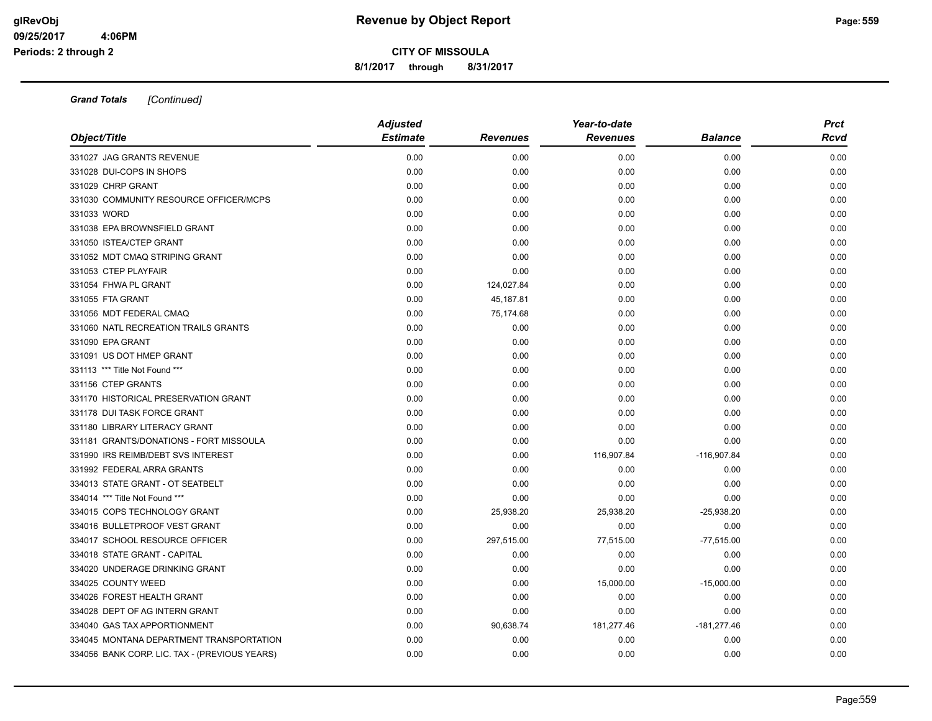**8/1/2017 through 8/31/2017**

|                                               | <b>Adjusted</b> |            | Year-to-date    |                | <b>Prct</b> |
|-----------------------------------------------|-----------------|------------|-----------------|----------------|-------------|
| Object/Title                                  | <b>Estimate</b> | Revenues   | <b>Revenues</b> | <b>Balance</b> | <b>Rcvd</b> |
| 331027 JAG GRANTS REVENUE                     | 0.00            | 0.00       | 0.00            | 0.00           | 0.00        |
| 331028 DUI-COPS IN SHOPS                      | 0.00            | 0.00       | 0.00            | 0.00           | 0.00        |
| 331029 CHRP GRANT                             | 0.00            | 0.00       | 0.00            | 0.00           | 0.00        |
| 331030 COMMUNITY RESOURCE OFFICER/MCPS        | 0.00            | 0.00       | 0.00            | 0.00           | 0.00        |
| 331033 WORD                                   | 0.00            | 0.00       | 0.00            | 0.00           | 0.00        |
| 331038 EPA BROWNSFIELD GRANT                  | 0.00            | 0.00       | 0.00            | 0.00           | 0.00        |
| 331050 ISTEA/CTEP GRANT                       | 0.00            | 0.00       | 0.00            | 0.00           | 0.00        |
| 331052 MDT CMAQ STRIPING GRANT                | 0.00            | 0.00       | 0.00            | 0.00           | 0.00        |
| 331053 CTEP PLAYFAIR                          | 0.00            | 0.00       | 0.00            | 0.00           | 0.00        |
| 331054 FHWA PL GRANT                          | 0.00            | 124,027.84 | 0.00            | 0.00           | 0.00        |
| 331055 FTA GRANT                              | 0.00            | 45,187.81  | 0.00            | 0.00           | 0.00        |
| 331056 MDT FEDERAL CMAQ                       | 0.00            | 75,174.68  | 0.00            | 0.00           | 0.00        |
| 331060 NATL RECREATION TRAILS GRANTS          | 0.00            | 0.00       | 0.00            | 0.00           | 0.00        |
| 331090 EPA GRANT                              | 0.00            | 0.00       | 0.00            | 0.00           | 0.00        |
| 331091 US DOT HMEP GRANT                      | 0.00            | 0.00       | 0.00            | 0.00           | 0.00        |
| 331113 *** Title Not Found ***                | 0.00            | 0.00       | 0.00            | 0.00           | 0.00        |
| 331156 CTEP GRANTS                            | 0.00            | 0.00       | 0.00            | 0.00           | 0.00        |
| 331170 HISTORICAL PRESERVATION GRANT          | 0.00            | 0.00       | 0.00            | 0.00           | 0.00        |
| 331178 DUI TASK FORCE GRANT                   | 0.00            | 0.00       | 0.00            | 0.00           | 0.00        |
| 331180 LIBRARY LITERACY GRANT                 | 0.00            | 0.00       | 0.00            | 0.00           | 0.00        |
| 331181 GRANTS/DONATIONS - FORT MISSOULA       | 0.00            | 0.00       | 0.00            | 0.00           | 0.00        |
| 331990 IRS REIMB/DEBT SVS INTEREST            | 0.00            | 0.00       | 116,907.84      | $-116,907.84$  | 0.00        |
| 331992 FEDERAL ARRA GRANTS                    | 0.00            | 0.00       | 0.00            | 0.00           | 0.00        |
| 334013 STATE GRANT - OT SEATBELT              | 0.00            | 0.00       | 0.00            | 0.00           | 0.00        |
| 334014 *** Title Not Found ***                | 0.00            | 0.00       | 0.00            | 0.00           | 0.00        |
| 334015 COPS TECHNOLOGY GRANT                  | 0.00            | 25,938.20  | 25,938.20       | $-25,938.20$   | 0.00        |
| 334016 BULLETPROOF VEST GRANT                 | 0.00            | 0.00       | 0.00            | 0.00           | 0.00        |
| 334017 SCHOOL RESOURCE OFFICER                | 0.00            | 297,515.00 | 77,515.00       | $-77,515.00$   | 0.00        |
| 334018 STATE GRANT - CAPITAL                  | 0.00            | 0.00       | 0.00            | 0.00           | 0.00        |
| 334020 UNDERAGE DRINKING GRANT                | 0.00            | 0.00       | 0.00            | 0.00           | 0.00        |
| 334025 COUNTY WEED                            | 0.00            | 0.00       | 15,000.00       | $-15,000.00$   | 0.00        |
| 334026 FOREST HEALTH GRANT                    | 0.00            | 0.00       | 0.00            | 0.00           | 0.00        |
| 334028 DEPT OF AG INTERN GRANT                | 0.00            | 0.00       | 0.00            | 0.00           | 0.00        |
| 334040 GAS TAX APPORTIONMENT                  | 0.00            | 90,638.74  | 181,277.46      | $-181,277.46$  | 0.00        |
| 334045 MONTANA DEPARTMENT TRANSPORTATION      | 0.00            | 0.00       | 0.00            | 0.00           | 0.00        |
| 334056 BANK CORP. LIC. TAX - (PREVIOUS YEARS) | 0.00            | 0.00       | 0.00            | 0.00           | 0.00        |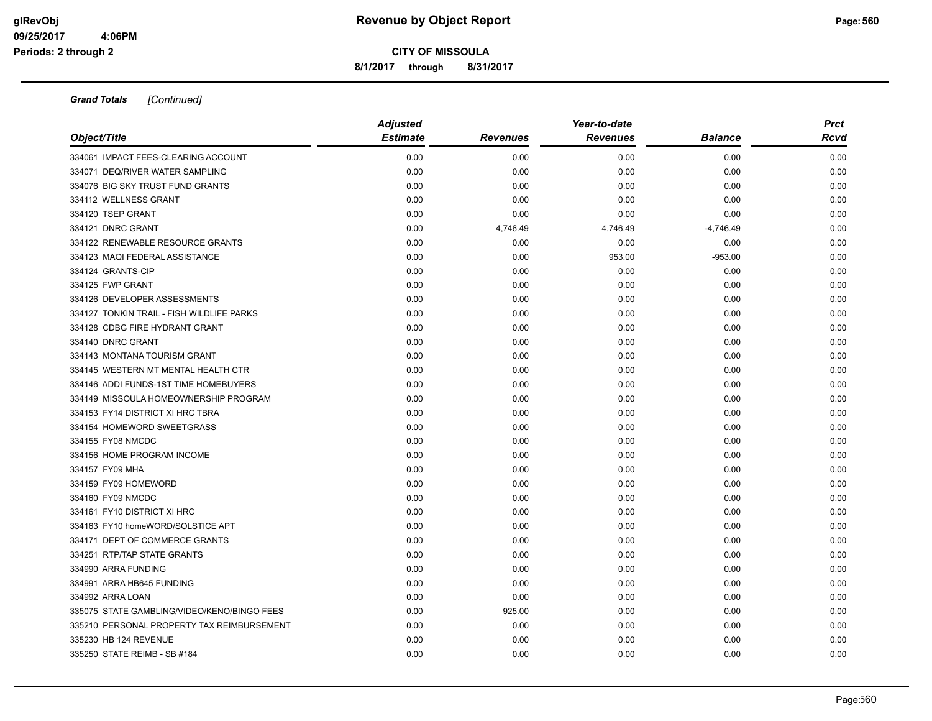**8/1/2017 through 8/31/2017**

| Object/Title                                | <b>Adjusted</b><br><b>Estimate</b> | <b>Revenues</b> | Year-to-date<br><b>Revenues</b> | <b>Balance</b> | <b>Prct</b><br>Rcvd |
|---------------------------------------------|------------------------------------|-----------------|---------------------------------|----------------|---------------------|
| 334061 IMPACT FEES-CLEARING ACCOUNT         | 0.00                               | 0.00            | 0.00                            | 0.00           | 0.00                |
| 334071 DEQ/RIVER WATER SAMPLING             | 0.00                               | 0.00            | 0.00                            | 0.00           | 0.00                |
| 334076 BIG SKY TRUST FUND GRANTS            | 0.00                               | 0.00            | 0.00                            | 0.00           | 0.00                |
| 334112 WELLNESS GRANT                       | 0.00                               | 0.00            | 0.00                            | 0.00           | 0.00                |
| 334120 TSEP GRANT                           | 0.00                               | 0.00            | 0.00                            | 0.00           | 0.00                |
| 334121 DNRC GRANT                           | 0.00                               | 4,746.49        | 4,746.49                        | $-4,746.49$    | 0.00                |
| 334122 RENEWABLE RESOURCE GRANTS            | 0.00                               | 0.00            | 0.00                            | 0.00           | 0.00                |
| 334123 MAQI FEDERAL ASSISTANCE              | 0.00                               | 0.00            | 953.00                          | $-953.00$      | 0.00                |
| 334124 GRANTS-CIP                           | 0.00                               | 0.00            | 0.00                            | 0.00           | 0.00                |
| 334125 FWP GRANT                            | 0.00                               | 0.00            | 0.00                            | 0.00           | 0.00                |
| 334126 DEVELOPER ASSESSMENTS                | 0.00                               | 0.00            | 0.00                            | 0.00           | 0.00                |
| 334127 TONKIN TRAIL - FISH WILDLIFE PARKS   | 0.00                               | 0.00            | 0.00                            | 0.00           | 0.00                |
| 334128 CDBG FIRE HYDRANT GRANT              | 0.00                               | 0.00            | 0.00                            | 0.00           | 0.00                |
| 334140 DNRC GRANT                           | 0.00                               | 0.00            | 0.00                            | 0.00           | 0.00                |
| 334143 MONTANA TOURISM GRANT                | 0.00                               | 0.00            | 0.00                            | 0.00           | 0.00                |
| 334145 WESTERN MT MENTAL HEALTH CTR         | 0.00                               | 0.00            | 0.00                            | 0.00           | 0.00                |
| 334146 ADDI FUNDS-1ST TIME HOMEBUYERS       | 0.00                               | 0.00            | 0.00                            | 0.00           | 0.00                |
| 334149 MISSOULA HOMEOWNERSHIP PROGRAM       | 0.00                               | 0.00            | 0.00                            | 0.00           | 0.00                |
| 334153 FY14 DISTRICT XI HRC TBRA            | 0.00                               | 0.00            | 0.00                            | 0.00           | 0.00                |
| 334154 HOMEWORD SWEETGRASS                  | 0.00                               | 0.00            | 0.00                            | 0.00           | 0.00                |
| 334155 FY08 NMCDC                           | 0.00                               | 0.00            | 0.00                            | 0.00           | 0.00                |
| 334156 HOME PROGRAM INCOME                  | 0.00                               | 0.00            | 0.00                            | 0.00           | 0.00                |
| 334157 FY09 MHA                             | 0.00                               | 0.00            | 0.00                            | 0.00           | 0.00                |
| 334159 FY09 HOMEWORD                        | 0.00                               | 0.00            | 0.00                            | 0.00           | 0.00                |
| 334160 FY09 NMCDC                           | 0.00                               | 0.00            | 0.00                            | 0.00           | 0.00                |
| 334161 FY10 DISTRICT XI HRC                 | 0.00                               | 0.00            | 0.00                            | 0.00           | 0.00                |
| 334163 FY10 homeWORD/SOLSTICE APT           | 0.00                               | 0.00            | 0.00                            | 0.00           | 0.00                |
| 334171 DEPT OF COMMERCE GRANTS              | 0.00                               | 0.00            | 0.00                            | 0.00           | 0.00                |
| 334251 RTP/TAP STATE GRANTS                 | 0.00                               | 0.00            | 0.00                            | 0.00           | 0.00                |
| 334990 ARRA FUNDING                         | 0.00                               | 0.00            | 0.00                            | 0.00           | 0.00                |
| 334991 ARRA HB645 FUNDING                   | 0.00                               | 0.00            | 0.00                            | 0.00           | 0.00                |
| 334992 ARRA LOAN                            | 0.00                               | 0.00            | 0.00                            | 0.00           | 0.00                |
| 335075 STATE GAMBLING/VIDEO/KENO/BINGO FEES | 0.00                               | 925.00          | 0.00                            | 0.00           | 0.00                |
| 335210 PERSONAL PROPERTY TAX REIMBURSEMENT  | 0.00                               | 0.00            | 0.00                            | 0.00           | 0.00                |
| 335230 HB 124 REVENUE                       | 0.00                               | 0.00            | 0.00                            | 0.00           | 0.00                |
| 335250 STATE REIMB - SB #184                | 0.00                               | 0.00            | 0.00                            | 0.00           | 0.00                |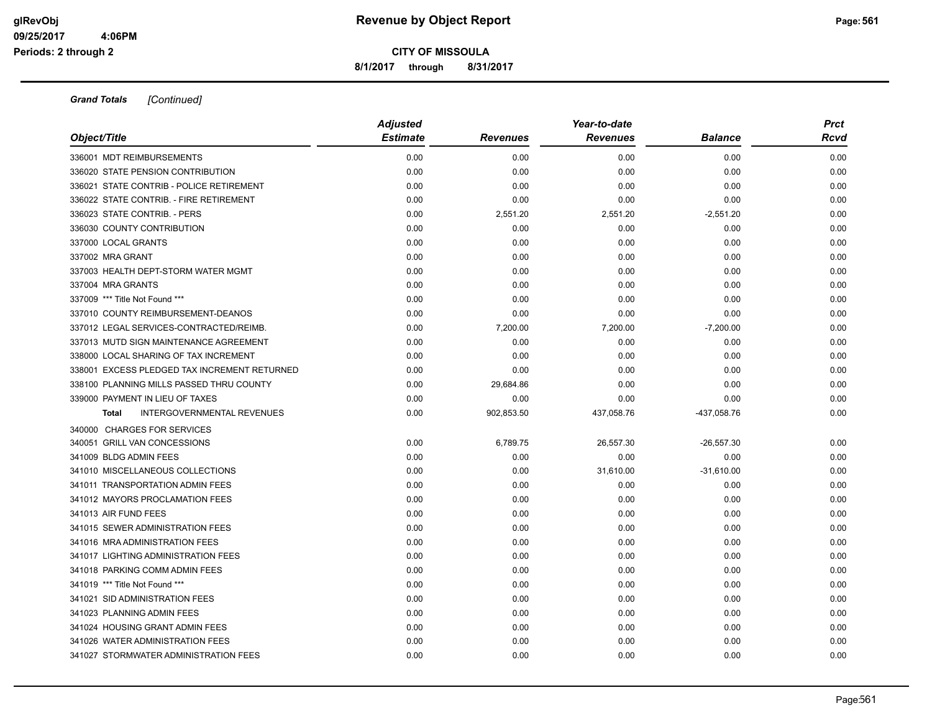**8/1/2017 through 8/31/2017**

|                                              | <b>Adjusted</b> |                 | Year-to-date    |                | <b>Prct</b> |
|----------------------------------------------|-----------------|-----------------|-----------------|----------------|-------------|
| Object/Title                                 | <b>Estimate</b> | <b>Revenues</b> | <b>Revenues</b> | <b>Balance</b> | <b>Rcvd</b> |
| 336001 MDT REIMBURSEMENTS                    | 0.00            | 0.00            | 0.00            | 0.00           | 0.00        |
| 336020 STATE PENSION CONTRIBUTION            | 0.00            | 0.00            | 0.00            | 0.00           | 0.00        |
| 336021 STATE CONTRIB - POLICE RETIREMENT     | 0.00            | 0.00            | 0.00            | 0.00           | 0.00        |
| 336022 STATE CONTRIB. - FIRE RETIREMENT      | 0.00            | 0.00            | 0.00            | 0.00           | 0.00        |
| 336023 STATE CONTRIB. - PERS                 | 0.00            | 2,551.20        | 2,551.20        | $-2,551.20$    | 0.00        |
| 336030 COUNTY CONTRIBUTION                   | 0.00            | 0.00            | 0.00            | 0.00           | 0.00        |
| 337000 LOCAL GRANTS                          | 0.00            | 0.00            | 0.00            | 0.00           | 0.00        |
| 337002 MRA GRANT                             | 0.00            | 0.00            | 0.00            | 0.00           | 0.00        |
| 337003 HEALTH DEPT-STORM WATER MGMT          | 0.00            | 0.00            | 0.00            | 0.00           | 0.00        |
| 337004 MRA GRANTS                            | 0.00            | 0.00            | 0.00            | 0.00           | 0.00        |
| 337009 *** Title Not Found ***               | 0.00            | 0.00            | 0.00            | 0.00           | 0.00        |
| 337010 COUNTY REIMBURSEMENT-DEANOS           | 0.00            | 0.00            | 0.00            | 0.00           | 0.00        |
| 337012 LEGAL SERVICES-CONTRACTED/REIMB.      | 0.00            | 7,200.00        | 7,200.00        | $-7,200.00$    | 0.00        |
| 337013 MUTD SIGN MAINTENANCE AGREEMENT       | 0.00            | 0.00            | 0.00            | 0.00           | 0.00        |
| 338000 LOCAL SHARING OF TAX INCREMENT        | 0.00            | 0.00            | 0.00            | 0.00           | 0.00        |
| 338001 EXCESS PLEDGED TAX INCREMENT RETURNED | 0.00            | 0.00            | 0.00            | 0.00           | 0.00        |
| 338100 PLANNING MILLS PASSED THRU COUNTY     | 0.00            | 29,684.86       | 0.00            | 0.00           | 0.00        |
| 339000 PAYMENT IN LIEU OF TAXES              | 0.00            | 0.00            | 0.00            | 0.00           | 0.00        |
| <b>INTERGOVERNMENTAL REVENUES</b><br>Total   | 0.00            | 902,853.50      | 437,058.76      | -437,058.76    | 0.00        |
| 340000 CHARGES FOR SERVICES                  |                 |                 |                 |                |             |
| 340051 GRILL VAN CONCESSIONS                 | 0.00            | 6,789.75        | 26,557.30       | $-26,557.30$   | 0.00        |
| 341009 BLDG ADMIN FEES                       | 0.00            | 0.00            | 0.00            | 0.00           | 0.00        |
| 341010 MISCELLANEOUS COLLECTIONS             | 0.00            | 0.00            | 31,610.00       | $-31,610.00$   | 0.00        |
| 341011 TRANSPORTATION ADMIN FEES             | 0.00            | 0.00            | 0.00            | 0.00           | 0.00        |
| 341012 MAYORS PROCLAMATION FEES              | 0.00            | 0.00            | 0.00            | 0.00           | 0.00        |
| 341013 AIR FUND FEES                         | 0.00            | 0.00            | 0.00            | 0.00           | 0.00        |
| 341015 SEWER ADMINISTRATION FEES             | 0.00            | 0.00            | 0.00            | 0.00           | 0.00        |
| 341016 MRA ADMINISTRATION FEES               | 0.00            | 0.00            | 0.00            | 0.00           | 0.00        |
| 341017 LIGHTING ADMINISTRATION FEES          | 0.00            | 0.00            | 0.00            | 0.00           | 0.00        |
| 341018 PARKING COMM ADMIN FEES               | 0.00            | 0.00            | 0.00            | 0.00           | 0.00        |
| 341019 *** Title Not Found ***               | 0.00            | 0.00            | 0.00            | 0.00           | 0.00        |
| 341021 SID ADMINISTRATION FEES               | 0.00            | 0.00            | 0.00            | 0.00           | 0.00        |
| 341023 PLANNING ADMIN FEES                   | 0.00            | 0.00            | 0.00            | 0.00           | 0.00        |
| 341024 HOUSING GRANT ADMIN FEES              | 0.00            | 0.00            | 0.00            | 0.00           | 0.00        |
| 341026 WATER ADMINISTRATION FEES             | 0.00            | 0.00            | 0.00            | 0.00           | 0.00        |
| 341027 STORMWATER ADMINISTRATION FEES        | 0.00            | 0.00            | 0.00            | 0.00           | 0.00        |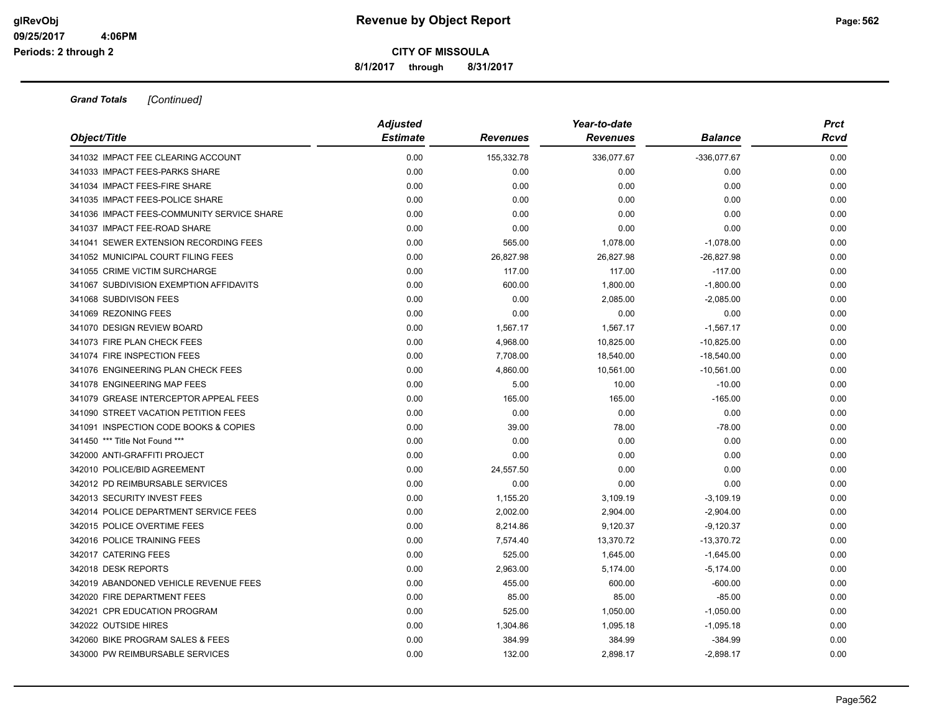**8/1/2017 through 8/31/2017**

| Object/Title                               | <b>Adjusted</b><br><b>Estimate</b> | <b>Revenues</b> | Year-to-date<br><b>Revenues</b> | <b>Balance</b> | <b>Prct</b><br>Rcvd |
|--------------------------------------------|------------------------------------|-----------------|---------------------------------|----------------|---------------------|
| 341032 IMPACT FEE CLEARING ACCOUNT         | 0.00                               | 155,332.78      | 336,077.67                      | -336,077.67    | 0.00                |
| 341033 IMPACT FEES-PARKS SHARE             | 0.00                               | 0.00            | 0.00                            | 0.00           | 0.00                |
| 341034 IMPACT FEES-FIRE SHARE              | 0.00                               | 0.00            | 0.00                            | 0.00           | 0.00                |
| 341035 IMPACT FEES-POLICE SHARE            | 0.00                               | 0.00            | 0.00                            | 0.00           | 0.00                |
| 341036 IMPACT FEES-COMMUNITY SERVICE SHARE | 0.00                               | 0.00            | 0.00                            | 0.00           | 0.00                |
| 341037 IMPACT FEE-ROAD SHARE               | 0.00                               | 0.00            | 0.00                            | 0.00           | 0.00                |
| 341041 SEWER EXTENSION RECORDING FEES      | 0.00                               | 565.00          | 1,078.00                        | $-1,078.00$    | 0.00                |
| 341052 MUNICIPAL COURT FILING FEES         | 0.00                               | 26,827.98       | 26,827.98                       | $-26,827.98$   | 0.00                |
| 341055 CRIME VICTIM SURCHARGE              | 0.00                               | 117.00          | 117.00                          | $-117.00$      | 0.00                |
| 341067 SUBDIVISION EXEMPTION AFFIDAVITS    | 0.00                               | 600.00          | 1,800.00                        | $-1,800.00$    | 0.00                |
| 341068 SUBDIVISON FEES                     | 0.00                               | 0.00            | 2,085.00                        | $-2,085.00$    | 0.00                |
| 341069 REZONING FEES                       | 0.00                               | 0.00            | 0.00                            | 0.00           | 0.00                |
| 341070 DESIGN REVIEW BOARD                 | 0.00                               | 1,567.17        | 1,567.17                        | $-1,567.17$    | 0.00                |
| 341073 FIRE PLAN CHECK FEES                | 0.00                               | 4,968.00        | 10,825.00                       | $-10,825.00$   | 0.00                |
| 341074 FIRE INSPECTION FEES                | 0.00                               | 7,708.00        | 18,540.00                       | $-18,540.00$   | 0.00                |
| 341076 ENGINEERING PLAN CHECK FEES         | 0.00                               | 4,860.00        | 10,561.00                       | $-10,561.00$   | 0.00                |
| 341078 ENGINEERING MAP FEES                | 0.00                               | 5.00            | 10.00                           | $-10.00$       | 0.00                |
| 341079 GREASE INTERCEPTOR APPEAL FEES      | 0.00                               | 165.00          | 165.00                          | $-165.00$      | 0.00                |
| 341090 STREET VACATION PETITION FEES       | 0.00                               | 0.00            | 0.00                            | 0.00           | 0.00                |
| 341091 INSPECTION CODE BOOKS & COPIES      | 0.00                               | 39.00           | 78.00                           | $-78.00$       | 0.00                |
| 341450 *** Title Not Found ***             | 0.00                               | 0.00            | 0.00                            | 0.00           | 0.00                |
| 342000 ANTI-GRAFFITI PROJECT               | 0.00                               | 0.00            | 0.00                            | 0.00           | 0.00                |
| 342010 POLICE/BID AGREEMENT                | 0.00                               | 24,557.50       | 0.00                            | 0.00           | 0.00                |
| 342012 PD REIMBURSABLE SERVICES            | 0.00                               | 0.00            | 0.00                            | 0.00           | 0.00                |
| 342013 SECURITY INVEST FEES                | 0.00                               | 1,155.20        | 3,109.19                        | $-3,109.19$    | 0.00                |
| 342014 POLICE DEPARTMENT SERVICE FEES      | 0.00                               | 2,002.00        | 2,904.00                        | $-2,904.00$    | 0.00                |
| 342015 POLICE OVERTIME FEES                | 0.00                               | 8,214.86        | 9,120.37                        | $-9,120.37$    | 0.00                |
| 342016 POLICE TRAINING FEES                | 0.00                               | 7,574.40        | 13,370.72                       | $-13,370.72$   | 0.00                |
| 342017 CATERING FEES                       | 0.00                               | 525.00          | 1,645.00                        | $-1,645.00$    | 0.00                |
| 342018 DESK REPORTS                        | 0.00                               | 2,963.00        | 5,174.00                        | $-5,174.00$    | 0.00                |
| 342019 ABANDONED VEHICLE REVENUE FEES      | 0.00                               | 455.00          | 600.00                          | $-600.00$      | 0.00                |
| 342020 FIRE DEPARTMENT FEES                | 0.00                               | 85.00           | 85.00                           | $-85.00$       | 0.00                |
| 342021 CPR EDUCATION PROGRAM               | 0.00                               | 525.00          | 1,050.00                        | $-1,050.00$    | 0.00                |
| 342022 OUTSIDE HIRES                       | 0.00                               | 1,304.86        | 1,095.18                        | $-1,095.18$    | 0.00                |
| 342060 BIKE PROGRAM SALES & FEES           | 0.00                               | 384.99          | 384.99                          | $-384.99$      | 0.00                |
| 343000 PW REIMBURSABLE SERVICES            | 0.00                               | 132.00          | 2,898.17                        | $-2,898.17$    | 0.00                |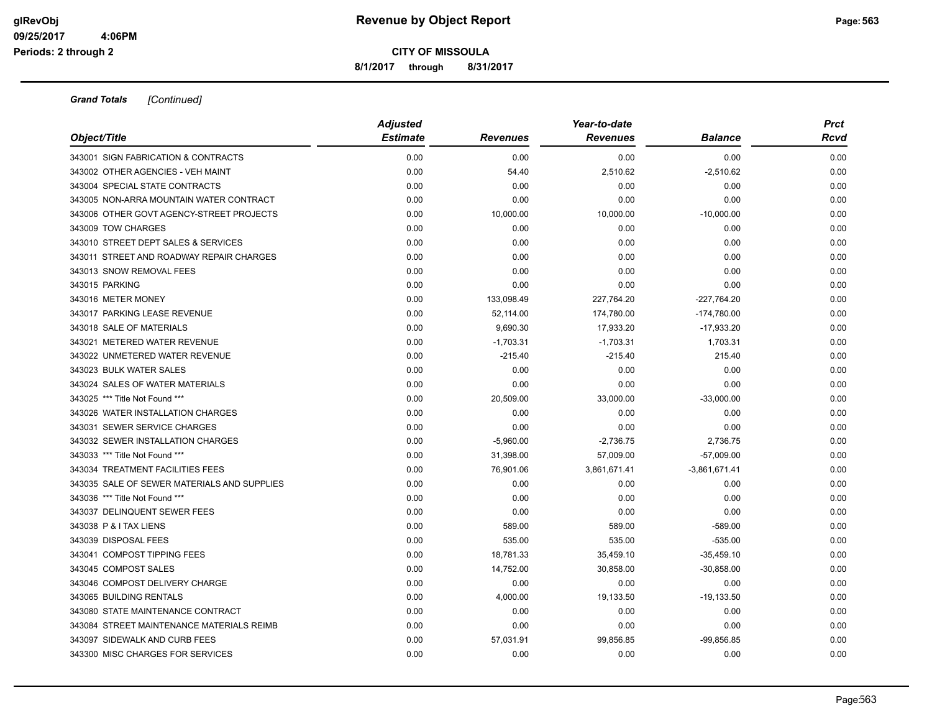**8/1/2017 through 8/31/2017**

| Object/Title                                | <b>Adjusted</b><br><b>Estimate</b> | Revenues    | Year-to-date<br><b>Revenues</b> | <b>Balance</b>  | <b>Prct</b><br>Rcvd |
|---------------------------------------------|------------------------------------|-------------|---------------------------------|-----------------|---------------------|
| 343001 SIGN FABRICATION & CONTRACTS         | 0.00                               | 0.00        | 0.00                            | 0.00            | 0.00                |
| 343002 OTHER AGENCIES - VEH MAINT           | 0.00                               | 54.40       | 2,510.62                        | $-2,510.62$     | 0.00                |
| 343004 SPECIAL STATE CONTRACTS              | 0.00                               | 0.00        | 0.00                            | 0.00            | 0.00                |
| 343005 NON-ARRA MOUNTAIN WATER CONTRACT     | 0.00                               | 0.00        | 0.00                            | 0.00            | 0.00                |
| 343006 OTHER GOVT AGENCY-STREET PROJECTS    | 0.00                               | 10,000.00   | 10,000.00                       | $-10,000.00$    | 0.00                |
| 343009 TOW CHARGES                          | 0.00                               | 0.00        | 0.00                            | 0.00            | 0.00                |
| 343010 STREET DEPT SALES & SERVICES         | 0.00                               | 0.00        | 0.00                            | 0.00            | 0.00                |
| 343011 STREET AND ROADWAY REPAIR CHARGES    | 0.00                               | 0.00        | 0.00                            | 0.00            | 0.00                |
| 343013 SNOW REMOVAL FEES                    | 0.00                               | 0.00        | 0.00                            | 0.00            | 0.00                |
| 343015 PARKING                              | 0.00                               | 0.00        | 0.00                            | 0.00            | 0.00                |
| 343016 METER MONEY                          | 0.00                               | 133,098.49  | 227,764.20                      | $-227,764.20$   | 0.00                |
| 343017 PARKING LEASE REVENUE                | 0.00                               | 52,114.00   | 174,780.00                      | $-174,780.00$   | 0.00                |
| 343018 SALE OF MATERIALS                    | 0.00                               | 9,690.30    | 17,933.20                       | $-17,933.20$    | 0.00                |
| 343021 METERED WATER REVENUE                | 0.00                               | $-1,703.31$ | $-1,703.31$                     | 1,703.31        | 0.00                |
| 343022 UNMETERED WATER REVENUE              | 0.00                               | $-215.40$   | $-215.40$                       | 215.40          | 0.00                |
| 343023 BULK WATER SALES                     | 0.00                               | 0.00        | 0.00                            | 0.00            | 0.00                |
| 343024 SALES OF WATER MATERIALS             | 0.00                               | 0.00        | 0.00                            | 0.00            | 0.00                |
| 343025 *** Title Not Found ***              | 0.00                               | 20,509.00   | 33,000.00                       | $-33,000.00$    | 0.00                |
| 343026 WATER INSTALLATION CHARGES           | 0.00                               | 0.00        | 0.00                            | 0.00            | 0.00                |
| 343031 SEWER SERVICE CHARGES                | 0.00                               | 0.00        | 0.00                            | 0.00            | 0.00                |
| 343032 SEWER INSTALLATION CHARGES           | 0.00                               | $-5,960.00$ | $-2,736.75$                     | 2,736.75        | 0.00                |
| 343033 *** Title Not Found ***              | 0.00                               | 31,398.00   | 57,009.00                       | $-57,009.00$    | 0.00                |
| 343034 TREATMENT FACILITIES FEES            | 0.00                               | 76,901.06   | 3,861,671.41                    | $-3,861,671.41$ | 0.00                |
| 343035 SALE OF SEWER MATERIALS AND SUPPLIES | 0.00                               | 0.00        | 0.00                            | 0.00            | 0.00                |
| 343036 *** Title Not Found ***              | 0.00                               | 0.00        | 0.00                            | 0.00            | 0.00                |
| 343037 DELINQUENT SEWER FEES                | 0.00                               | 0.00        | 0.00                            | 0.00            | 0.00                |
| 343038 P & I TAX LIENS                      | 0.00                               | 589.00      | 589.00                          | $-589.00$       | 0.00                |
| 343039 DISPOSAL FEES                        | 0.00                               | 535.00      | 535.00                          | $-535.00$       | 0.00                |
| 343041 COMPOST TIPPING FEES                 | 0.00                               | 18,781.33   | 35,459.10                       | $-35,459.10$    | 0.00                |
| 343045 COMPOST SALES                        | 0.00                               | 14,752.00   | 30,858.00                       | $-30,858.00$    | 0.00                |
| 343046 COMPOST DELIVERY CHARGE              | 0.00                               | 0.00        | 0.00                            | 0.00            | 0.00                |
| 343065 BUILDING RENTALS                     | 0.00                               | 4,000.00    | 19,133.50                       | $-19,133.50$    | 0.00                |
| 343080 STATE MAINTENANCE CONTRACT           | 0.00                               | 0.00        | 0.00                            | 0.00            | 0.00                |
| 343084 STREET MAINTENANCE MATERIALS REIMB   | 0.00                               | 0.00        | 0.00                            | 0.00            | 0.00                |
| 343097 SIDEWALK AND CURB FEES               | 0.00                               | 57,031.91   | 99,856.85                       | $-99,856.85$    | 0.00                |
| 343300 MISC CHARGES FOR SERVICES            | 0.00                               | 0.00        | 0.00                            | 0.00            | 0.00                |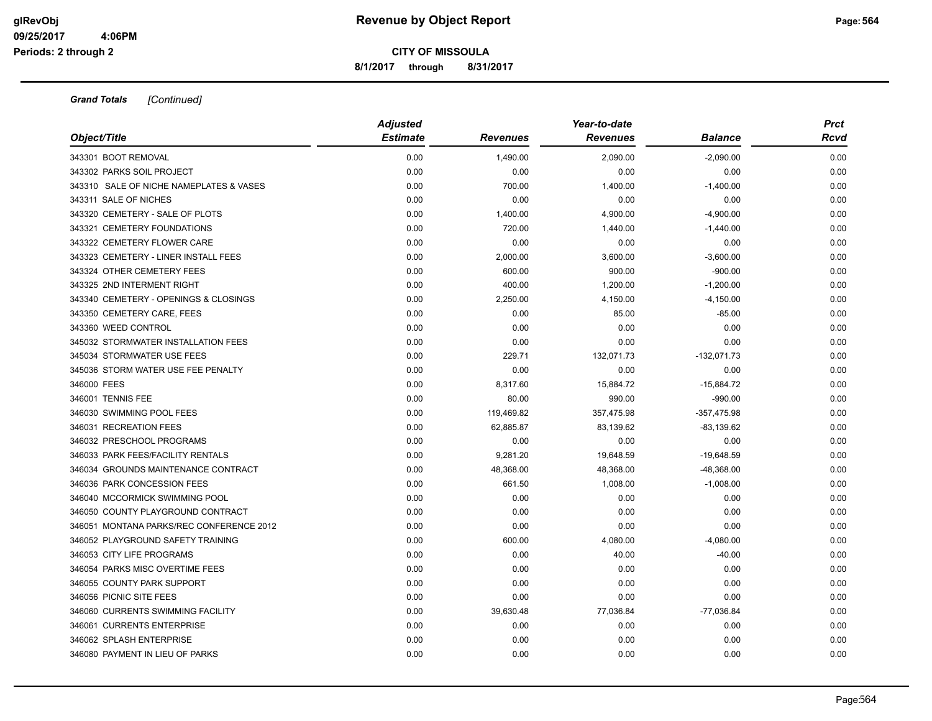**8/1/2017 through 8/31/2017**

| Object/Title                             | <b>Adjusted</b><br><b>Estimate</b> | <b>Revenues</b> | Year-to-date<br><b>Revenues</b> | <b>Balance</b> | <b>Prct</b><br>Rcvd |
|------------------------------------------|------------------------------------|-----------------|---------------------------------|----------------|---------------------|
| 343301 BOOT REMOVAL                      | 0.00                               | 1,490.00        | 2,090.00                        | $-2,090.00$    | 0.00                |
| 343302 PARKS SOIL PROJECT                | 0.00                               | 0.00            | 0.00                            | 0.00           | 0.00                |
| 343310 SALE OF NICHE NAMEPLATES & VASES  | 0.00                               | 700.00          | 1,400.00                        | $-1,400.00$    | 0.00                |
| 343311 SALE OF NICHES                    | 0.00                               | 0.00            | 0.00                            | 0.00           | 0.00                |
| 343320 CEMETERY - SALE OF PLOTS          | 0.00                               | 1,400.00        | 4,900.00                        | $-4,900.00$    | 0.00                |
| 343321 CEMETERY FOUNDATIONS              | 0.00                               | 720.00          | 1,440.00                        | $-1,440.00$    | 0.00                |
| 343322 CEMETERY FLOWER CARE              | 0.00                               | 0.00            | 0.00                            | 0.00           | 0.00                |
| 343323 CEMETERY - LINER INSTALL FEES     | 0.00                               | 2,000.00        | 3,600.00                        | $-3,600.00$    | 0.00                |
| 343324 OTHER CEMETERY FEES               | 0.00                               | 600.00          | 900.00                          | $-900.00$      | 0.00                |
| 343325 2ND INTERMENT RIGHT               | 0.00                               | 400.00          | 1,200.00                        | $-1,200.00$    | 0.00                |
| 343340 CEMETERY - OPENINGS & CLOSINGS    | 0.00                               | 2,250.00        | 4,150.00                        | $-4,150.00$    | 0.00                |
| 343350 CEMETERY CARE, FEES               | 0.00                               | 0.00            | 85.00                           | $-85.00$       | 0.00                |
| 343360 WEED CONTROL                      | 0.00                               | 0.00            | 0.00                            | 0.00           | 0.00                |
| 345032 STORMWATER INSTALLATION FEES      | 0.00                               | 0.00            | 0.00                            | 0.00           | 0.00                |
| 345034 STORMWATER USE FEES               | 0.00                               | 229.71          | 132,071.73                      | $-132,071.73$  | 0.00                |
| 345036 STORM WATER USE FEE PENALTY       | 0.00                               | 0.00            | 0.00                            | 0.00           | 0.00                |
| 346000 FEES                              | 0.00                               | 8,317.60        | 15,884.72                       | $-15,884.72$   | 0.00                |
| 346001 TENNIS FEE                        | 0.00                               | 80.00           | 990.00                          | $-990.00$      | 0.00                |
| 346030 SWIMMING POOL FEES                | 0.00                               | 119,469.82      | 357,475.98                      | $-357,475.98$  | 0.00                |
| 346031 RECREATION FEES                   | 0.00                               | 62,885.87       | 83,139.62                       | $-83,139.62$   | 0.00                |
| 346032 PRESCHOOL PROGRAMS                | 0.00                               | 0.00            | 0.00                            | 0.00           | 0.00                |
| 346033 PARK FEES/FACILITY RENTALS        | 0.00                               | 9,281.20        | 19,648.59                       | $-19,648.59$   | 0.00                |
| 346034 GROUNDS MAINTENANCE CONTRACT      | 0.00                               | 48,368.00       | 48,368.00                       | $-48,368.00$   | 0.00                |
| 346036 PARK CONCESSION FEES              | 0.00                               | 661.50          | 1,008.00                        | $-1,008.00$    | 0.00                |
| 346040 MCCORMICK SWIMMING POOL           | 0.00                               | 0.00            | 0.00                            | 0.00           | 0.00                |
| 346050 COUNTY PLAYGROUND CONTRACT        | 0.00                               | 0.00            | 0.00                            | 0.00           | 0.00                |
| 346051 MONTANA PARKS/REC CONFERENCE 2012 | 0.00                               | 0.00            | 0.00                            | 0.00           | 0.00                |
| 346052 PLAYGROUND SAFETY TRAINING        | 0.00                               | 600.00          | 4,080.00                        | $-4,080.00$    | 0.00                |
| 346053 CITY LIFE PROGRAMS                | 0.00                               | 0.00            | 40.00                           | $-40.00$       | 0.00                |
| 346054 PARKS MISC OVERTIME FEES          | 0.00                               | 0.00            | 0.00                            | 0.00           | 0.00                |
| 346055 COUNTY PARK SUPPORT               | 0.00                               | 0.00            | 0.00                            | 0.00           | 0.00                |
| 346056 PICNIC SITE FEES                  | 0.00                               | 0.00            | 0.00                            | 0.00           | 0.00                |
| 346060 CURRENTS SWIMMING FACILITY        | 0.00                               | 39,630.48       | 77,036.84                       | $-77,036.84$   | 0.00                |
| 346061 CURRENTS ENTERPRISE               | 0.00                               | 0.00            | 0.00                            | 0.00           | 0.00                |
| 346062 SPLASH ENTERPRISE                 | 0.00                               | 0.00            | 0.00                            | 0.00           | 0.00                |
| 346080 PAYMENT IN LIEU OF PARKS          | 0.00                               | 0.00            | 0.00                            | 0.00           | 0.00                |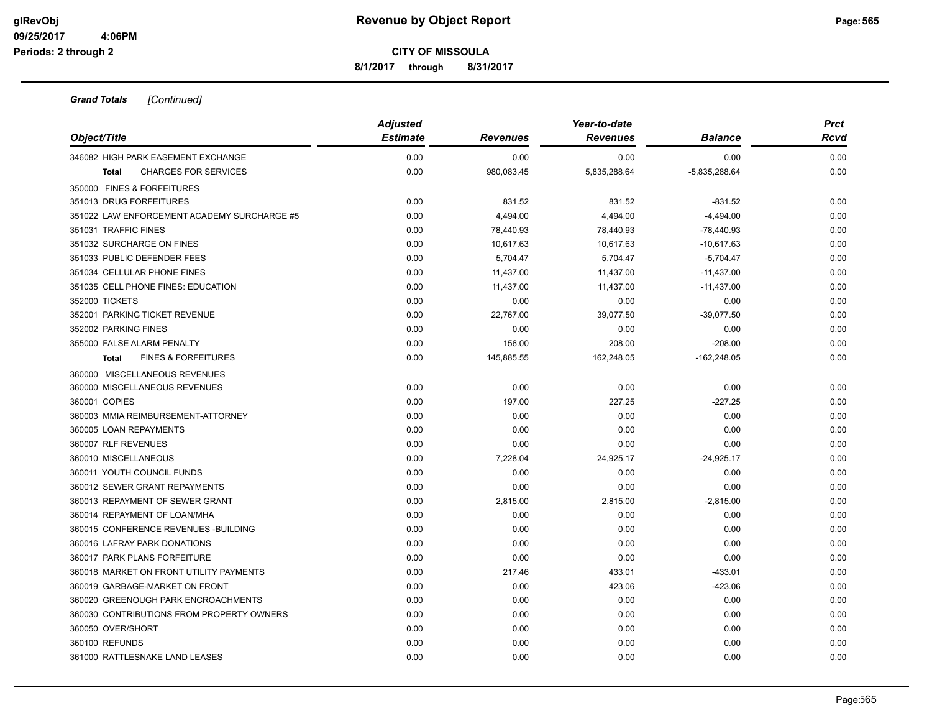**8/1/2017 through 8/31/2017**

|                                                | <b>Adjusted</b> |                 | Year-to-date    |                 | <b>Prct</b> |
|------------------------------------------------|-----------------|-----------------|-----------------|-----------------|-------------|
| Object/Title                                   | <b>Estimate</b> | <b>Revenues</b> | <b>Revenues</b> | <b>Balance</b>  | Rcvd        |
| 346082 HIGH PARK EASEMENT EXCHANGE             | 0.00            | 0.00            | 0.00            | 0.00            | 0.00        |
| <b>CHARGES FOR SERVICES</b><br><b>Total</b>    | 0.00            | 980,083.45      | 5,835,288.64    | $-5,835,288.64$ | 0.00        |
| 350000 FINES & FORFEITURES                     |                 |                 |                 |                 |             |
| 351013 DRUG FORFEITURES                        | 0.00            | 831.52          | 831.52          | $-831.52$       | 0.00        |
| 351022 LAW ENFORCEMENT ACADEMY SURCHARGE #5    | 0.00            | 4,494.00        | 4,494.00        | $-4,494.00$     | 0.00        |
| 351031 TRAFFIC FINES                           | 0.00            | 78,440.93       | 78,440.93       | -78,440.93      | 0.00        |
| 351032 SURCHARGE ON FINES                      | 0.00            | 10,617.63       | 10,617.63       | $-10,617.63$    | 0.00        |
| 351033 PUBLIC DEFENDER FEES                    | 0.00            | 5,704.47        | 5,704.47        | $-5,704.47$     | 0.00        |
| 351034 CELLULAR PHONE FINES                    | 0.00            | 11,437.00       | 11,437.00       | $-11,437.00$    | 0.00        |
| 351035 CELL PHONE FINES: EDUCATION             | 0.00            | 11,437.00       | 11,437.00       | $-11,437.00$    | 0.00        |
| 352000 TICKETS                                 | 0.00            | 0.00            | 0.00            | 0.00            | 0.00        |
| 352001 PARKING TICKET REVENUE                  | 0.00            | 22,767.00       | 39,077.50       | $-39,077.50$    | 0.00        |
| 352002 PARKING FINES                           | 0.00            | 0.00            | 0.00            | 0.00            | 0.00        |
| 355000 FALSE ALARM PENALTY                     | 0.00            | 156.00          | 208.00          | $-208.00$       | 0.00        |
| <b>FINES &amp; FORFEITURES</b><br><b>Total</b> | 0.00            | 145,885.55      | 162,248.05      | $-162,248.05$   | 0.00        |
| 360000 MISCELLANEOUS REVENUES                  |                 |                 |                 |                 |             |
| 360000 MISCELLANEOUS REVENUES                  | 0.00            | 0.00            | 0.00            | 0.00            | 0.00        |
| 360001 COPIES                                  | 0.00            | 197.00          | 227.25          | $-227.25$       | 0.00        |
| 360003 MMIA REIMBURSEMENT-ATTORNEY             | 0.00            | 0.00            | 0.00            | 0.00            | 0.00        |
| 360005 LOAN REPAYMENTS                         | 0.00            | 0.00            | 0.00            | 0.00            | 0.00        |
| 360007 RLF REVENUES                            | 0.00            | 0.00            | 0.00            | 0.00            | 0.00        |
| 360010 MISCELLANEOUS                           | 0.00            | 7,228.04        | 24,925.17       | $-24,925.17$    | 0.00        |
| 360011 YOUTH COUNCIL FUNDS                     | 0.00            | 0.00            | 0.00            | 0.00            | 0.00        |
| 360012 SEWER GRANT REPAYMENTS                  | 0.00            | 0.00            | 0.00            | 0.00            | 0.00        |
| 360013 REPAYMENT OF SEWER GRANT                | 0.00            | 2,815.00        | 2,815.00        | $-2,815.00$     | 0.00        |
| 360014 REPAYMENT OF LOAN/MHA                   | 0.00            | 0.00            | 0.00            | 0.00            | 0.00        |
| 360015 CONFERENCE REVENUES - BUILDING          | 0.00            | 0.00            | 0.00            | 0.00            | 0.00        |
| 360016 LAFRAY PARK DONATIONS                   | 0.00            | 0.00            | 0.00            | 0.00            | 0.00        |
| 360017 PARK PLANS FORFEITURE                   | 0.00            | 0.00            | 0.00            | 0.00            | 0.00        |
| 360018 MARKET ON FRONT UTILITY PAYMENTS        | 0.00            | 217.46          | 433.01          | $-433.01$       | 0.00        |
| 360019 GARBAGE-MARKET ON FRONT                 | 0.00            | 0.00            | 423.06          | $-423.06$       | 0.00        |
| 360020 GREENOUGH PARK ENCROACHMENTS            | 0.00            | 0.00            | 0.00            | 0.00            | 0.00        |
| 360030 CONTRIBUTIONS FROM PROPERTY OWNERS      | 0.00            | 0.00            | 0.00            | 0.00            | 0.00        |
| 360050 OVER/SHORT                              | 0.00            | 0.00            | 0.00            | 0.00            | 0.00        |
| 360100 REFUNDS                                 | 0.00            | 0.00            | 0.00            | 0.00            | 0.00        |
| 361000 RATTLESNAKE LAND LEASES                 | 0.00            | 0.00            | 0.00            | 0.00            | 0.00        |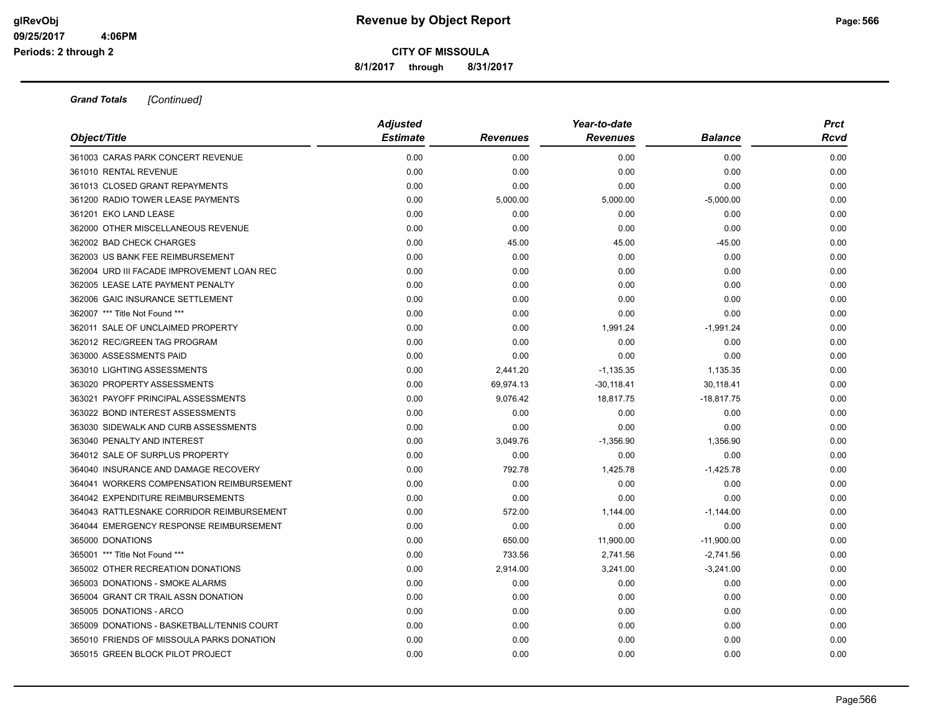**8/1/2017 through 8/31/2017**

| Object/Title                               | <b>Adjusted</b> |                 | Year-to-date<br><b>Revenues</b> | <b>Balance</b> | <b>Prct</b><br>Rcvd |
|--------------------------------------------|-----------------|-----------------|---------------------------------|----------------|---------------------|
|                                            | <b>Estimate</b> | <b>Revenues</b> |                                 |                |                     |
| 361003 CARAS PARK CONCERT REVENUE          | 0.00            | 0.00            | 0.00                            | 0.00           | 0.00                |
| 361010 RENTAL REVENUE                      | 0.00            | 0.00            | 0.00                            | 0.00           | 0.00                |
| 361013 CLOSED GRANT REPAYMENTS             | 0.00            | 0.00            | 0.00                            | 0.00           | 0.00                |
| 361200 RADIO TOWER LEASE PAYMENTS          | 0.00            | 5,000.00        | 5,000.00                        | $-5,000.00$    | 0.00                |
| 361201 EKO LAND LEASE                      | 0.00            | 0.00            | 0.00                            | 0.00           | 0.00                |
| 362000 OTHER MISCELLANEOUS REVENUE         | 0.00            | 0.00            | 0.00                            | 0.00           | 0.00                |
| 362002 BAD CHECK CHARGES                   | 0.00            | 45.00           | 45.00                           | $-45.00$       | 0.00                |
| 362003 US BANK FEE REIMBURSEMENT           | 0.00            | 0.00            | 0.00                            | 0.00           | 0.00                |
| 362004 URD III FACADE IMPROVEMENT LOAN REC | 0.00            | 0.00            | 0.00                            | 0.00           | 0.00                |
| 362005 LEASE LATE PAYMENT PENALTY          | 0.00            | 0.00            | 0.00                            | 0.00           | 0.00                |
| 362006 GAIC INSURANCE SETTLEMENT           | 0.00            | 0.00            | 0.00                            | 0.00           | 0.00                |
| 362007 *** Title Not Found ***             | 0.00            | 0.00            | 0.00                            | 0.00           | 0.00                |
| 362011 SALE OF UNCLAIMED PROPERTY          | 0.00            | 0.00            | 1,991.24                        | $-1,991.24$    | 0.00                |
| 362012 REC/GREEN TAG PROGRAM               | 0.00            | 0.00            | 0.00                            | 0.00           | 0.00                |
| 363000 ASSESSMENTS PAID                    | 0.00            | 0.00            | 0.00                            | 0.00           | 0.00                |
| 363010 LIGHTING ASSESSMENTS                | 0.00            | 2,441.20        | $-1,135.35$                     | 1,135.35       | 0.00                |
| 363020 PROPERTY ASSESSMENTS                | 0.00            | 69,974.13       | $-30,118.41$                    | 30,118.41      | 0.00                |
| 363021 PAYOFF PRINCIPAL ASSESSMENTS        | 0.00            | 9,076.42        | 18,817.75                       | $-18,817.75$   | 0.00                |
| 363022 BOND INTEREST ASSESSMENTS           | 0.00            | 0.00            | 0.00                            | 0.00           | 0.00                |
| 363030 SIDEWALK AND CURB ASSESSMENTS       | 0.00            | 0.00            | 0.00                            | 0.00           | 0.00                |
| 363040 PENALTY AND INTEREST                | 0.00            | 3,049.76        | $-1,356.90$                     | 1,356.90       | 0.00                |
| 364012 SALE OF SURPLUS PROPERTY            | 0.00            | 0.00            | 0.00                            | 0.00           | 0.00                |
| 364040 INSURANCE AND DAMAGE RECOVERY       | 0.00            | 792.78          | 1,425.78                        | $-1,425.78$    | 0.00                |
| 364041 WORKERS COMPENSATION REIMBURSEMENT  | 0.00            | 0.00            | 0.00                            | 0.00           | 0.00                |
| 364042 EXPENDITURE REIMBURSEMENTS          | 0.00            | 0.00            | 0.00                            | 0.00           | 0.00                |
| 364043 RATTLESNAKE CORRIDOR REIMBURSEMENT  | 0.00            | 572.00          | 1,144.00                        | $-1,144.00$    | 0.00                |
| 364044 EMERGENCY RESPONSE REIMBURSEMENT    | 0.00            | 0.00            | 0.00                            | 0.00           | 0.00                |
| 365000 DONATIONS                           | 0.00            | 650.00          | 11,900.00                       | $-11,900.00$   | 0.00                |
| 365001 *** Title Not Found ***             | 0.00            | 733.56          | 2,741.56                        | $-2,741.56$    | 0.00                |
| 365002 OTHER RECREATION DONATIONS          | 0.00            | 2,914.00        | 3,241.00                        | $-3,241.00$    | 0.00                |
| 365003 DONATIONS - SMOKE ALARMS            | 0.00            | 0.00            | 0.00                            | 0.00           | 0.00                |
| 365004 GRANT CR TRAIL ASSN DONATION        | 0.00            | 0.00            | 0.00                            | 0.00           | 0.00                |
| 365005 DONATIONS - ARCO                    | 0.00            | 0.00            | 0.00                            | 0.00           | 0.00                |
| 365009 DONATIONS - BASKETBALL/TENNIS COURT | 0.00            | 0.00            | 0.00                            | 0.00           | 0.00                |
| 365010 FRIENDS OF MISSOULA PARKS DONATION  | 0.00            | 0.00            | 0.00                            | 0.00           | 0.00                |
| 365015 GREEN BLOCK PILOT PROJECT           | 0.00            | 0.00            | 0.00                            | 0.00           | 0.00                |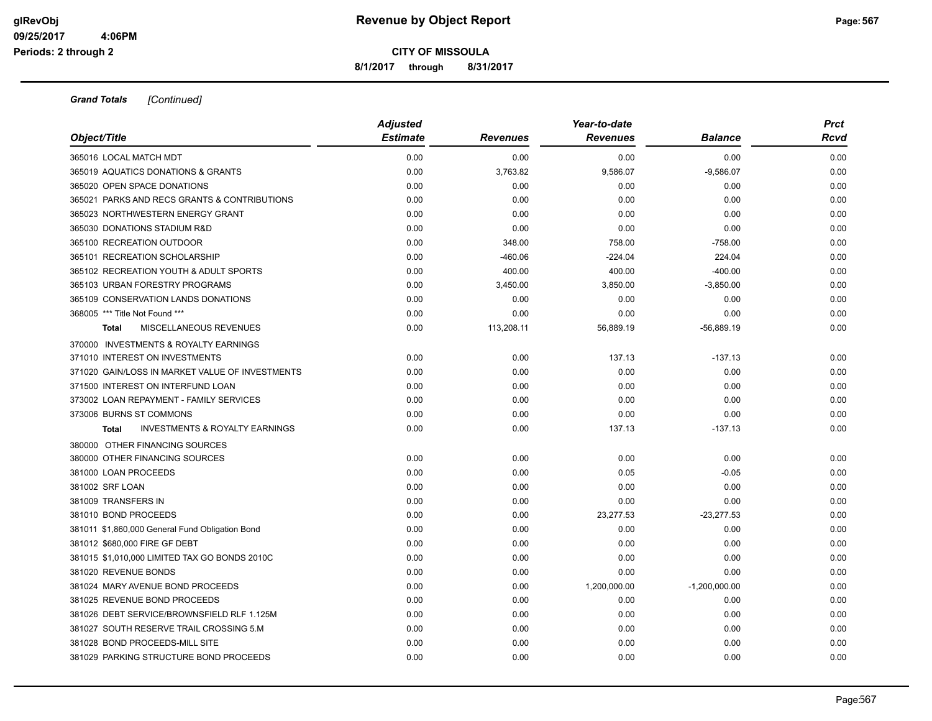**8/1/2017 through 8/31/2017**

| Object/Title                                              | <b>Adjusted</b><br><b>Estimate</b> | Revenues   | Year-to-date<br><b>Revenues</b> | <b>Balance</b>  | <b>Prct</b><br>Rcvd |
|-----------------------------------------------------------|------------------------------------|------------|---------------------------------|-----------------|---------------------|
| 365016 LOCAL MATCH MDT                                    | 0.00                               | 0.00       | 0.00                            | 0.00            | 0.00                |
| 365019 AQUATICS DONATIONS & GRANTS                        | 0.00                               | 3,763.82   | 9,586.07                        | $-9,586.07$     | 0.00                |
| 365020 OPEN SPACE DONATIONS                               | 0.00                               | 0.00       | 0.00                            | 0.00            | 0.00                |
| 365021 PARKS AND RECS GRANTS & CONTRIBUTIONS              | 0.00                               | 0.00       | 0.00                            | 0.00            | 0.00                |
| 365023 NORTHWESTERN ENERGY GRANT                          | 0.00                               | 0.00       | 0.00                            | 0.00            | 0.00                |
| 365030 DONATIONS STADIUM R&D                              | 0.00                               | 0.00       | 0.00                            | 0.00            | 0.00                |
| 365100 RECREATION OUTDOOR                                 | 0.00                               | 348.00     | 758.00                          | $-758.00$       | 0.00                |
| 365101 RECREATION SCHOLARSHIP                             | 0.00                               | $-460.06$  | $-224.04$                       | 224.04          | 0.00                |
| 365102 RECREATION YOUTH & ADULT SPORTS                    | 0.00                               | 400.00     | 400.00                          | $-400.00$       | 0.00                |
| 365103 URBAN FORESTRY PROGRAMS                            | 0.00                               | 3,450.00   | 3,850.00                        | $-3,850.00$     | 0.00                |
| 365109 CONSERVATION LANDS DONATIONS                       | 0.00                               | 0.00       | 0.00                            | 0.00            | 0.00                |
| 368005 *** Title Not Found ***                            | 0.00                               | 0.00       | 0.00                            | 0.00            | 0.00                |
| MISCELLANEOUS REVENUES<br><b>Total</b>                    | 0.00                               | 113,208.11 | 56,889.19                       | $-56,889.19$    | 0.00                |
| 370000 INVESTMENTS & ROYALTY EARNINGS                     |                                    |            |                                 |                 |                     |
| 371010 INTEREST ON INVESTMENTS                            | 0.00                               | 0.00       | 137.13                          | $-137.13$       | 0.00                |
| 371020 GAIN/LOSS IN MARKET VALUE OF INVESTMENTS           | 0.00                               | 0.00       | 0.00                            | 0.00            | 0.00                |
| 371500 INTEREST ON INTERFUND LOAN                         | 0.00                               | 0.00       | 0.00                            | 0.00            | 0.00                |
| 373002 LOAN REPAYMENT - FAMILY SERVICES                   | 0.00                               | 0.00       | 0.00                            | 0.00            | 0.00                |
| 373006 BURNS ST COMMONS                                   | 0.00                               | 0.00       | 0.00                            | 0.00            | 0.00                |
| <b>INVESTMENTS &amp; ROYALTY EARNINGS</b><br><b>Total</b> | 0.00                               | 0.00       | 137.13                          | $-137.13$       | 0.00                |
| 380000 OTHER FINANCING SOURCES                            |                                    |            |                                 |                 |                     |
| 380000 OTHER FINANCING SOURCES                            | 0.00                               | 0.00       | 0.00                            | 0.00            | 0.00                |
| 381000 LOAN PROCEEDS                                      | 0.00                               | 0.00       | 0.05                            | $-0.05$         | 0.00                |
| 381002 SRF LOAN                                           | 0.00                               | 0.00       | 0.00                            | 0.00            | 0.00                |
| 381009 TRANSFERS IN                                       | 0.00                               | 0.00       | 0.00                            | 0.00            | 0.00                |
| 381010 BOND PROCEEDS                                      | 0.00                               | 0.00       | 23,277.53                       | $-23,277.53$    | 0.00                |
| 381011 \$1,860,000 General Fund Obligation Bond           | 0.00                               | 0.00       | 0.00                            | 0.00            | 0.00                |
| 381012 \$680,000 FIRE GF DEBT                             | 0.00                               | 0.00       | 0.00                            | 0.00            | 0.00                |
| 381015 \$1,010,000 LIMITED TAX GO BONDS 2010C             | 0.00                               | 0.00       | 0.00                            | 0.00            | 0.00                |
| 381020 REVENUE BONDS                                      | 0.00                               | 0.00       | 0.00                            | 0.00            | 0.00                |
| 381024 MARY AVENUE BOND PROCEEDS                          | 0.00                               | 0.00       | 1,200,000.00                    | $-1,200,000.00$ | 0.00                |
| 381025 REVENUE BOND PROCEEDS                              | 0.00                               | 0.00       | 0.00                            | 0.00            | 0.00                |
| 381026 DEBT SERVICE/BROWNSFIELD RLF 1.125M                | 0.00                               | 0.00       | 0.00                            | 0.00            | 0.00                |
| 381027 SOUTH RESERVE TRAIL CROSSING 5.M                   | 0.00                               | 0.00       | 0.00                            | 0.00            | 0.00                |
| 381028 BOND PROCEEDS-MILL SITE                            | 0.00                               | 0.00       | 0.00                            | 0.00            | 0.00                |
| 381029 PARKING STRUCTURE BOND PROCEEDS                    | 0.00                               | 0.00       | 0.00                            | 0.00            | 0.00                |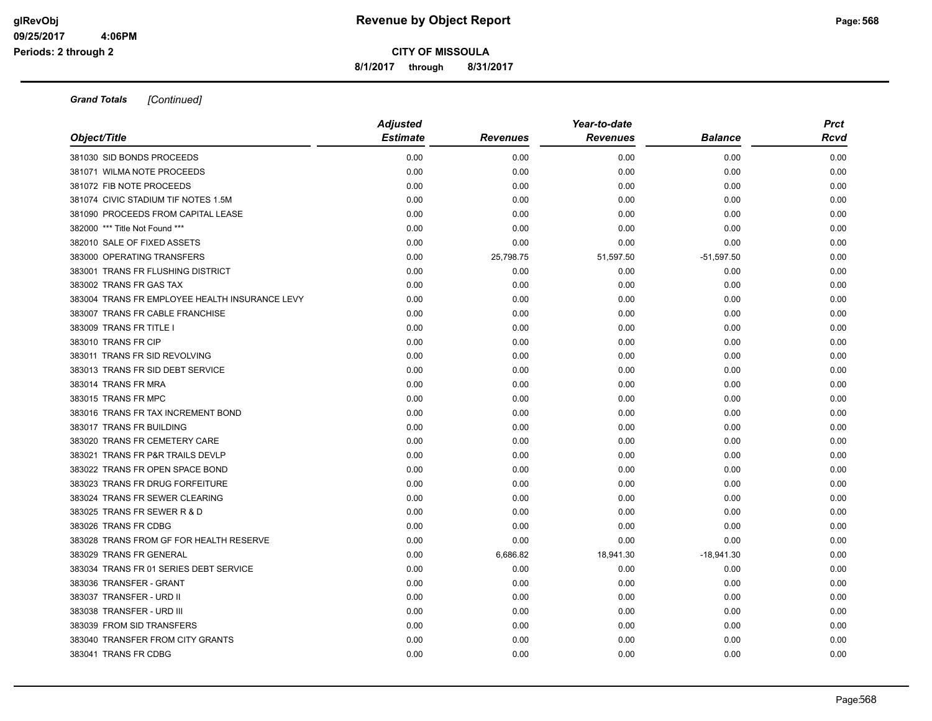**8/1/2017 through 8/31/2017**

| Object/Title                                   | <b>Adjusted</b><br><b>Estimate</b> | <b>Revenues</b> | Year-to-date<br><b>Revenues</b> | <b>Balance</b> | <b>Prct</b><br><b>Rcvd</b> |
|------------------------------------------------|------------------------------------|-----------------|---------------------------------|----------------|----------------------------|
|                                                |                                    |                 |                                 |                |                            |
| 381030 SID BONDS PROCEEDS                      | 0.00                               | 0.00            | 0.00                            | 0.00           | 0.00                       |
| 381071 WILMA NOTE PROCEEDS                     | 0.00                               | 0.00            | 0.00                            | 0.00           | 0.00                       |
| 381072 FIB NOTE PROCEEDS                       | 0.00                               | 0.00            | 0.00                            | 0.00           | 0.00                       |
| 381074 CIVIC STADIUM TIF NOTES 1.5M            | 0.00                               | 0.00            | 0.00                            | 0.00           | 0.00                       |
| 381090 PROCEEDS FROM CAPITAL LEASE             | 0.00                               | 0.00            | 0.00                            | 0.00           | 0.00                       |
| 382000 *** Title Not Found ***                 | 0.00                               | 0.00            | 0.00                            | 0.00           | 0.00                       |
| 382010 SALE OF FIXED ASSETS                    | 0.00                               | 0.00            | 0.00                            | 0.00           | 0.00                       |
| 383000 OPERATING TRANSFERS                     | 0.00                               | 25,798.75       | 51,597.50                       | $-51,597.50$   | 0.00                       |
| 383001 TRANS FR FLUSHING DISTRICT              | 0.00                               | 0.00            | 0.00                            | 0.00           | 0.00                       |
| 383002 TRANS FR GAS TAX                        | 0.00                               | 0.00            | 0.00                            | 0.00           | 0.00                       |
| 383004 TRANS FR EMPLOYEE HEALTH INSURANCE LEVY | 0.00                               | 0.00            | 0.00                            | 0.00           | 0.00                       |
| 383007 TRANS FR CABLE FRANCHISE                | 0.00                               | 0.00            | 0.00                            | 0.00           | 0.00                       |
| 383009 TRANS FR TITLE I                        | 0.00                               | 0.00            | 0.00                            | 0.00           | 0.00                       |
| 383010 TRANS FR CIP                            | 0.00                               | 0.00            | 0.00                            | 0.00           | 0.00                       |
| 383011 TRANS FR SID REVOLVING                  | 0.00                               | 0.00            | 0.00                            | 0.00           | 0.00                       |
| 383013 TRANS FR SID DEBT SERVICE               | 0.00                               | 0.00            | 0.00                            | 0.00           | 0.00                       |
| 383014 TRANS FR MRA                            | 0.00                               | 0.00            | 0.00                            | 0.00           | 0.00                       |
| 383015 TRANS FR MPC                            | 0.00                               | 0.00            | 0.00                            | 0.00           | 0.00                       |
| 383016 TRANS FR TAX INCREMENT BOND             | 0.00                               | 0.00            | 0.00                            | 0.00           | 0.00                       |
| 383017 TRANS FR BUILDING                       | 0.00                               | 0.00            | 0.00                            | 0.00           | 0.00                       |
| 383020 TRANS FR CEMETERY CARE                  | 0.00                               | 0.00            | 0.00                            | 0.00           | 0.00                       |
| 383021 TRANS FR P&R TRAILS DEVLP               | 0.00                               | 0.00            | 0.00                            | 0.00           | 0.00                       |
| 383022 TRANS FR OPEN SPACE BOND                | 0.00                               | 0.00            | 0.00                            | 0.00           | 0.00                       |
| 383023 TRANS FR DRUG FORFEITURE                | 0.00                               | 0.00            | 0.00                            | 0.00           | 0.00                       |
| 383024 TRANS FR SEWER CLEARING                 | 0.00                               | 0.00            | 0.00                            | 0.00           | 0.00                       |
| 383025 TRANS FR SEWER R & D                    | 0.00                               | 0.00            | 0.00                            | 0.00           | 0.00                       |
| 383026 TRANS FR CDBG                           | 0.00                               | 0.00            | 0.00                            | 0.00           | 0.00                       |
| 383028 TRANS FROM GF FOR HEALTH RESERVE        | 0.00                               | 0.00            | 0.00                            | 0.00           | 0.00                       |
| 383029 TRANS FR GENERAL                        | 0.00                               | 6,686.82        | 18,941.30                       | $-18,941.30$   | 0.00                       |
| 383034 TRANS FR 01 SERIES DEBT SERVICE         | 0.00                               | 0.00            | 0.00                            | 0.00           | 0.00                       |
| 383036 TRANSFER - GRANT                        | 0.00                               | 0.00            | 0.00                            | 0.00           | 0.00                       |
| 383037 TRANSFER - URD II                       | 0.00                               | 0.00            | 0.00                            | 0.00           | 0.00                       |
| 383038 TRANSFER - URD III                      | 0.00                               | 0.00            | 0.00                            | 0.00           | 0.00                       |
| 383039 FROM SID TRANSFERS                      | 0.00                               | 0.00            | 0.00                            | 0.00           | 0.00                       |
| 383040 TRANSFER FROM CITY GRANTS               | 0.00                               | 0.00            | 0.00                            | 0.00           | 0.00                       |
| 383041 TRANS FR CDBG                           | 0.00                               | 0.00            | 0.00                            | 0.00           | 0.00                       |